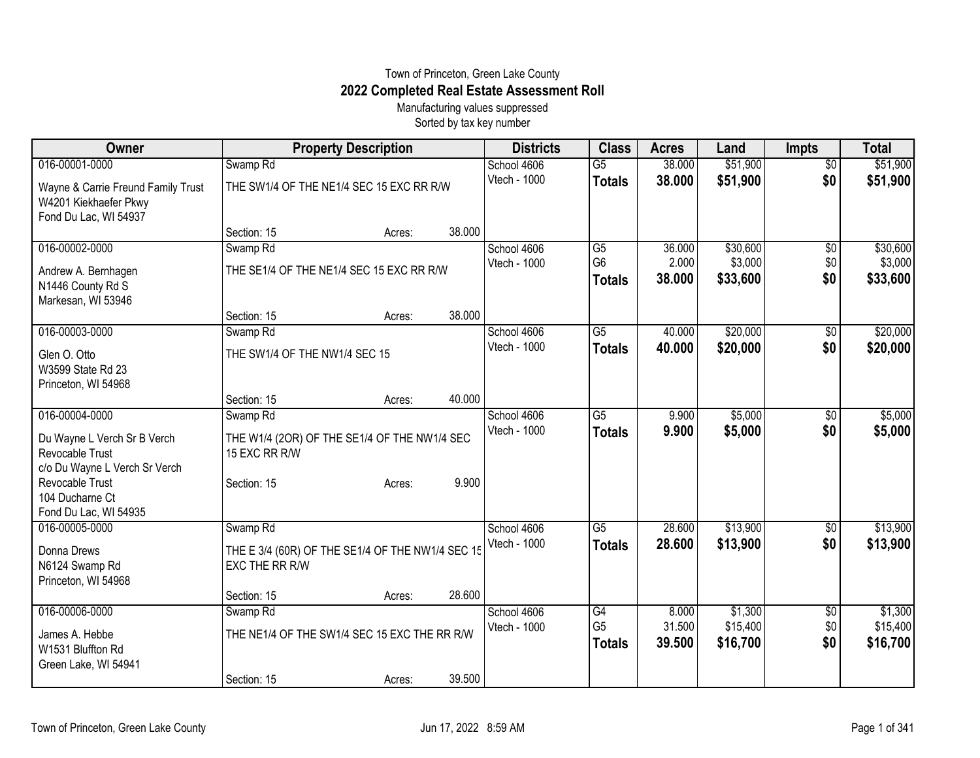## Town of Princeton, Green Lake County **2022 Completed Real Estate Assessment Roll**

Manufacturing values suppressed Sorted by tax key number

| Owner                              |                                                  | <b>Property Description</b> |        | <b>Districts</b>            | <b>Class</b>         | <b>Acres</b>    | Land                | <b>Impts</b>           | <b>Total</b>        |
|------------------------------------|--------------------------------------------------|-----------------------------|--------|-----------------------------|----------------------|-----------------|---------------------|------------------------|---------------------|
| 016-00001-0000                     | Swamp <sub>Rd</sub>                              |                             |        | School 4606                 | $\overline{G5}$      | 38.000          | \$51,900            | $\overline{50}$        | \$51,900            |
| Wayne & Carrie Freund Family Trust | THE SW1/4 OF THE NE1/4 SEC 15 EXC RR R/W         |                             |        | Vtech - 1000                | <b>Totals</b>        | 38.000          | \$51,900            | \$0                    | \$51,900            |
| W4201 Kiekhaefer Pkwy              |                                                  |                             |        |                             |                      |                 |                     |                        |                     |
| Fond Du Lac, WI 54937              |                                                  |                             |        |                             |                      |                 |                     |                        |                     |
|                                    | Section: 15                                      | Acres:                      | 38.000 |                             |                      |                 |                     |                        |                     |
| 016-00002-0000                     | Swamp Rd                                         |                             |        | School 4606                 | G5<br>G <sub>6</sub> | 36.000          | \$30,600            | $\overline{50}$        | \$30,600            |
| Andrew A. Bernhagen                | THE SE1/4 OF THE NE1/4 SEC 15 EXC RR R/W         |                             |        | Vtech - 1000                | <b>Totals</b>        | 2.000<br>38.000 | \$3,000<br>\$33,600 | \$0<br>\$0             | \$3,000<br>\$33,600 |
| N1446 County Rd S                  |                                                  |                             |        |                             |                      |                 |                     |                        |                     |
| Markesan, WI 53946                 |                                                  |                             |        |                             |                      |                 |                     |                        |                     |
| 016-00003-0000                     | Section: 15                                      | Acres:                      | 38.000 |                             | $\overline{G5}$      | 40.000          | \$20,000            |                        | \$20,000            |
|                                    | Swamp Rd                                         |                             |        | School 4606<br>Vtech - 1000 |                      | 40.000          | \$20,000            | $\overline{60}$<br>\$0 | \$20,000            |
| Glen O. Otto                       | THE SW1/4 OF THE NW1/4 SEC 15                    |                             |        |                             | <b>Totals</b>        |                 |                     |                        |                     |
| W3599 State Rd 23                  |                                                  |                             |        |                             |                      |                 |                     |                        |                     |
| Princeton, WI 54968                |                                                  |                             | 40.000 |                             |                      |                 |                     |                        |                     |
| 016-00004-0000                     | Section: 15<br>Swamp Rd                          | Acres:                      |        | School 4606                 | $\overline{G5}$      | 9.900           | \$5,000             | $\overline{50}$        | \$5,000             |
|                                    |                                                  |                             |        | <b>Vtech - 1000</b>         | <b>Totals</b>        | 9.900           | \$5,000             | \$0                    | \$5,000             |
| Du Wayne L Verch Sr B Verch        | THE W1/4 (2OR) OF THE SE1/4 OF THE NW1/4 SEC     |                             |        |                             |                      |                 |                     |                        |                     |
| Revocable Trust                    | 15 EXC RR R/W                                    |                             |        |                             |                      |                 |                     |                        |                     |
| c/o Du Wayne L Verch Sr Verch      |                                                  |                             | 9.900  |                             |                      |                 |                     |                        |                     |
| Revocable Trust<br>104 Ducharne Ct | Section: 15                                      | Acres:                      |        |                             |                      |                 |                     |                        |                     |
| Fond Du Lac, WI 54935              |                                                  |                             |        |                             |                      |                 |                     |                        |                     |
| 016-00005-0000                     | Swamp Rd                                         |                             |        | School 4606                 | $\overline{G5}$      | 28.600          | \$13,900            | $\sqrt[6]{3}$          | \$13,900            |
| Donna Drews                        | THE E 3/4 (60R) OF THE SE1/4 OF THE NW1/4 SEC 15 |                             |        | Vtech - 1000                | <b>Totals</b>        | 28.600          | \$13,900            | \$0                    | \$13,900            |
| N6124 Swamp Rd                     | EXC THE RR R/W                                   |                             |        |                             |                      |                 |                     |                        |                     |
| Princeton, WI 54968                |                                                  |                             |        |                             |                      |                 |                     |                        |                     |
|                                    | Section: 15                                      | Acres:                      | 28.600 |                             |                      |                 |                     |                        |                     |
| 016-00006-0000                     | Swamp Rd                                         |                             |        | School 4606                 | G4                   | 8.000           | \$1,300             | \$0                    | \$1,300             |
| James A. Hebbe                     | THE NE1/4 OF THE SW1/4 SEC 15 EXC THE RR R/W     |                             |        | Vtech - 1000                | G <sub>5</sub>       | 31.500          | \$15,400            | \$0                    | \$15,400            |
| W1531 Bluffton Rd                  |                                                  |                             |        |                             | <b>Totals</b>        | 39.500          | \$16,700            | \$0                    | \$16,700            |
| Green Lake, WI 54941               |                                                  |                             |        |                             |                      |                 |                     |                        |                     |
|                                    | Section: 15                                      | Acres:                      | 39.500 |                             |                      |                 |                     |                        |                     |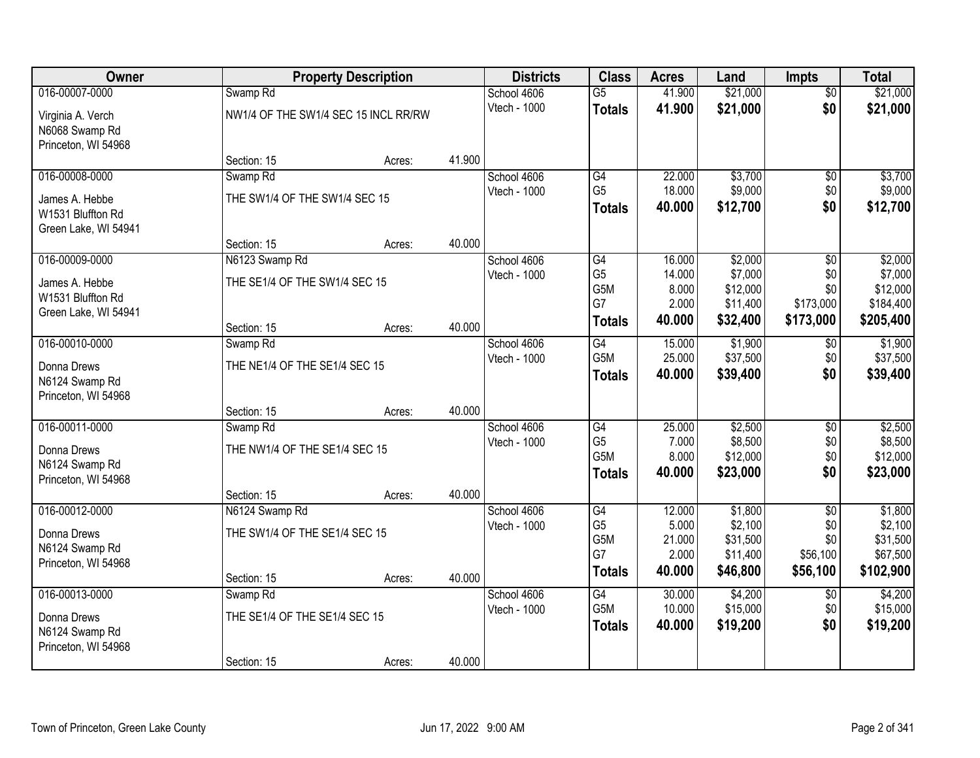| <b>Owner</b>         |                                      | <b>Property Description</b> |        | <b>Districts</b>            | <b>Class</b>                       | <b>Acres</b>     | Land                 | <b>Impts</b>           | <b>Total</b>         |
|----------------------|--------------------------------------|-----------------------------|--------|-----------------------------|------------------------------------|------------------|----------------------|------------------------|----------------------|
| 016-00007-0000       | Swamp <sub>Rd</sub>                  |                             |        | School 4606                 | $\overline{G5}$                    | 41.900           | \$21,000             | $\overline{50}$        | \$21,000             |
| Virginia A. Verch    | NW1/4 OF THE SW1/4 SEC 15 INCL RR/RW |                             |        | Vtech - 1000                | <b>Totals</b>                      | 41.900           | \$21,000             | \$0                    | \$21,000             |
| N6068 Swamp Rd       |                                      |                             |        |                             |                                    |                  |                      |                        |                      |
| Princeton, WI 54968  |                                      |                             |        |                             |                                    |                  |                      |                        |                      |
|                      | Section: 15                          | Acres:                      | 41.900 |                             |                                    |                  |                      |                        |                      |
| 016-00008-0000       | Swamp <sub>Rd</sub>                  |                             |        | School 4606                 | G4                                 | 22.000           | \$3,700              | $\overline{50}$        | \$3,700              |
| James A. Hebbe       | THE SW1/4 OF THE SW1/4 SEC 15        |                             |        | Vtech - 1000                | G <sub>5</sub>                     | 18.000           | \$9,000              | \$0                    | \$9,000              |
| W1531 Bluffton Rd    |                                      |                             |        |                             | <b>Totals</b>                      | 40.000           | \$12,700             | \$0                    | \$12,700             |
| Green Lake, WI 54941 |                                      |                             |        |                             |                                    |                  |                      |                        |                      |
|                      | Section: 15                          | Acres:                      | 40.000 |                             |                                    |                  |                      |                        |                      |
| 016-00009-0000       | N6123 Swamp Rd                       |                             |        | School 4606                 | G4                                 | 16.000           | \$2,000              | \$0                    | \$2,000              |
| James A. Hebbe       | THE SE1/4 OF THE SW1/4 SEC 15        |                             |        | Vtech - 1000                | G <sub>5</sub><br>G <sub>5</sub> M | 14.000<br>8.000  | \$7,000<br>\$12,000  | \$0<br>\$0             | \$7,000<br>\$12,000  |
| W1531 Bluffton Rd    |                                      |                             |        |                             | G7                                 | 2.000            | \$11,400             | \$173,000              | \$184,400            |
| Green Lake, WI 54941 |                                      |                             |        |                             | <b>Totals</b>                      | 40.000           | \$32,400             | \$173,000              | \$205,400            |
|                      | Section: 15                          | Acres:                      | 40.000 |                             |                                    |                  |                      |                        |                      |
| 016-00010-0000       | Swamp <sub>Rd</sub>                  |                             |        | School 4606                 | G4<br>G5M                          | 15.000<br>25.000 | \$1,900              | $\sqrt[6]{3}$          | \$1,900              |
| Donna Drews          | THE NE1/4 OF THE SE1/4 SEC 15        |                             |        | Vtech - 1000                |                                    | 40.000           | \$37,500<br>\$39,400 | \$0<br>\$0             | \$37,500<br>\$39,400 |
| N6124 Swamp Rd       |                                      |                             |        |                             | <b>Totals</b>                      |                  |                      |                        |                      |
| Princeton, WI 54968  |                                      |                             |        |                             |                                    |                  |                      |                        |                      |
|                      | Section: 15                          | Acres:                      | 40.000 |                             |                                    |                  |                      |                        |                      |
| 016-00011-0000       | Swamp <sub>Rd</sub>                  |                             |        | School 4606                 | $\overline{G4}$<br>G <sub>5</sub>  | 25.000<br>7.000  | \$2,500<br>\$8,500   | $\overline{50}$        | \$2,500<br>\$8,500   |
| Donna Drews          | THE NW1/4 OF THE SE1/4 SEC 15        |                             |        | Vtech - 1000                | G5M                                | 8.000            | \$12,000             | \$0<br>\$0             | \$12,000             |
| N6124 Swamp Rd       |                                      |                             |        |                             | <b>Totals</b>                      | 40.000           | \$23,000             | \$0                    | \$23,000             |
| Princeton, WI 54968  |                                      |                             |        |                             |                                    |                  |                      |                        |                      |
|                      | Section: 15                          | Acres:                      | 40.000 |                             |                                    |                  |                      |                        |                      |
| 016-00012-0000       | N6124 Swamp Rd                       |                             |        | School 4606<br>Vtech - 1000 | G4<br>G <sub>5</sub>               | 12.000<br>5.000  | \$1,800<br>\$2,100   | $\overline{50}$<br>\$0 | \$1,800<br>\$2,100   |
| Donna Drews          | THE SW1/4 OF THE SE1/4 SEC 15        |                             |        |                             | G <sub>5</sub> M                   | 21.000           | \$31,500             | \$0                    | \$31,500             |
| N6124 Swamp Rd       |                                      |                             |        |                             | G7                                 | 2.000            | \$11,400             | \$56,100               | \$67,500             |
| Princeton, WI 54968  |                                      |                             |        |                             | <b>Totals</b>                      | 40.000           | \$46,800             | \$56,100               | \$102,900            |
|                      | Section: 15                          | Acres:                      | 40.000 |                             |                                    |                  |                      |                        |                      |
| 016-00013-0000       | Swamp <sub>Rd</sub>                  |                             |        | School 4606<br>Vtech - 1000 | $\overline{G4}$<br>G5M             | 30.000<br>10.000 | \$4,200<br>\$15,000  | $\overline{50}$<br>\$0 | \$4,200<br>\$15,000  |
| Donna Drews          | THE SE1/4 OF THE SE1/4 SEC 15        |                             |        |                             | <b>Totals</b>                      | 40.000           | \$19,200             | \$0                    | \$19,200             |
| N6124 Swamp Rd       |                                      |                             |        |                             |                                    |                  |                      |                        |                      |
| Princeton, WI 54968  |                                      |                             |        |                             |                                    |                  |                      |                        |                      |
|                      | Section: 15                          | Acres:                      | 40.000 |                             |                                    |                  |                      |                        |                      |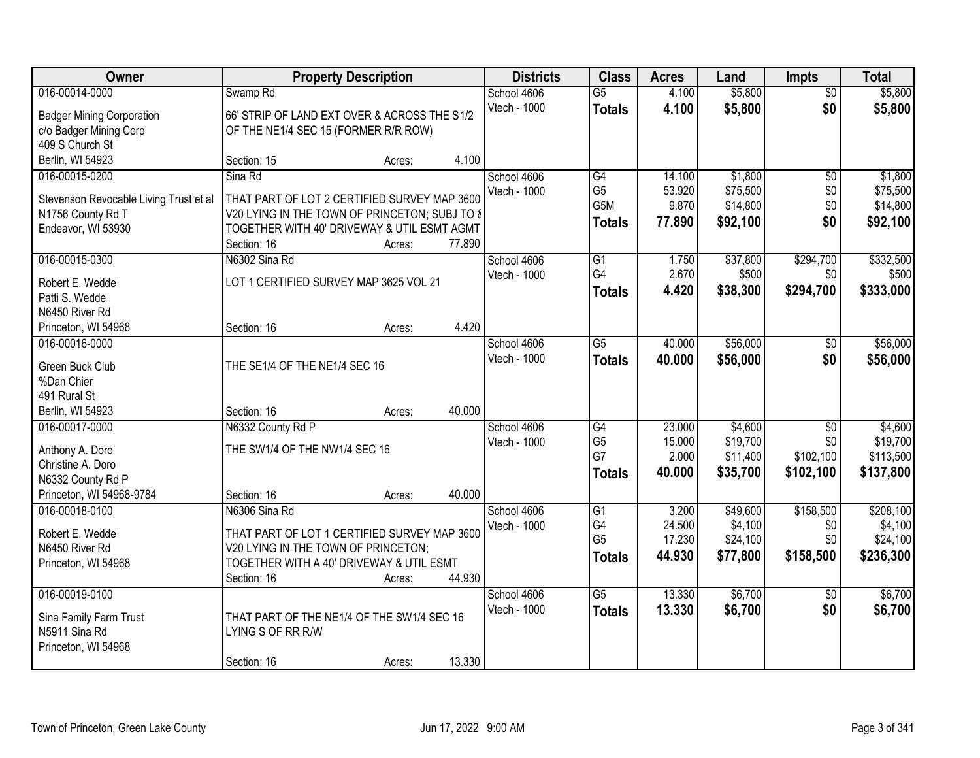| Owner                                  |                                                            | <b>Property Description</b> |        | <b>Districts</b> | <b>Class</b>     | <b>Acres</b>     | Land                | <b>Impts</b>    | <b>Total</b>        |
|----------------------------------------|------------------------------------------------------------|-----------------------------|--------|------------------|------------------|------------------|---------------------|-----------------|---------------------|
| 016-00014-0000                         | Swamp Rd                                                   |                             |        | School 4606      | $\overline{G5}$  | 4.100            | \$5,800             | $\overline{50}$ | \$5,800             |
| <b>Badger Mining Corporation</b>       | 66' STRIP OF LAND EXT OVER & ACROSS THE S1/2               |                             |        | Vtech - 1000     | <b>Totals</b>    | 4.100            | \$5,800             | \$0             | \$5,800             |
| c/o Badger Mining Corp                 | OF THE NE1/4 SEC 15 (FORMER R/R ROW)                       |                             |        |                  |                  |                  |                     |                 |                     |
| 409 S Church St                        |                                                            |                             |        |                  |                  |                  |                     |                 |                     |
| Berlin, WI 54923                       | Section: 15                                                | Acres:                      | 4.100  |                  |                  |                  |                     |                 |                     |
| 016-00015-0200                         | Sina Rd                                                    |                             |        | School 4606      | G4               | 14.100           | \$1,800             | $\overline{50}$ | \$1,800             |
|                                        |                                                            |                             |        | Vtech - 1000     | G <sub>5</sub>   | 53.920           | \$75,500            | \$0             | \$75,500            |
| Stevenson Revocable Living Trust et al | THAT PART OF LOT 2 CERTIFIED SURVEY MAP 3600               |                             |        |                  | G <sub>5</sub> M | 9.870            | \$14,800            | \$0             | \$14,800            |
| N1756 County Rd T                      | V20 LYING IN THE TOWN OF PRINCETON; SUBJ TO &              |                             |        |                  | <b>Totals</b>    | 77.890           | \$92,100            | \$0             | \$92,100            |
| Endeavor, WI 53930                     | TOGETHER WITH 40' DRIVEWAY & UTIL ESMT AGMT<br>Section: 16 |                             | 77.890 |                  |                  |                  |                     |                 |                     |
| 016-00015-0300                         | N6302 Sina Rd                                              | Acres:                      |        | School 4606      | G1               | 1.750            | \$37,800            | \$294,700       | \$332,500           |
|                                        |                                                            |                             |        | Vtech - 1000     | G4               | 2.670            | \$500               | \$0             | \$500               |
| Robert E. Wedde                        | LOT 1 CERTIFIED SURVEY MAP 3625 VOL 21                     |                             |        |                  |                  | 4.420            | \$38,300            | \$294,700       | \$333,000           |
| Patti S. Wedde                         |                                                            |                             |        |                  | <b>Totals</b>    |                  |                     |                 |                     |
| N6450 River Rd                         |                                                            |                             |        |                  |                  |                  |                     |                 |                     |
| Princeton, WI 54968                    | Section: 16                                                | Acres:                      | 4.420  |                  |                  |                  |                     |                 |                     |
| 016-00016-0000                         |                                                            |                             |        | School 4606      | $\overline{G5}$  | 40.000           | \$56,000            | $\sqrt[6]{3}$   | \$56,000            |
| Green Buck Club                        | THE SE1/4 OF THE NE1/4 SEC 16                              |                             |        | Vtech - 1000     | <b>Totals</b>    | 40.000           | \$56,000            | \$0             | \$56,000            |
| %Dan Chier                             |                                                            |                             |        |                  |                  |                  |                     |                 |                     |
| 491 Rural St                           |                                                            |                             |        |                  |                  |                  |                     |                 |                     |
| Berlin, WI 54923                       | Section: 16                                                | Acres:                      | 40.000 |                  |                  |                  |                     |                 |                     |
| 016-00017-0000                         | N6332 County Rd P                                          |                             |        | School 4606      | G4               | 23.000           | \$4,600             | \$0             | \$4,600             |
|                                        |                                                            |                             |        | Vtech - 1000     | G <sub>5</sub>   | 15.000           | \$19,700            | \$0             | \$19,700            |
| Anthony A. Doro                        | THE SW1/4 OF THE NW1/4 SEC 16                              |                             |        |                  | G7               | 2.000            | \$11,400            | \$102,100       | \$113,500           |
| Christine A. Doro                      |                                                            |                             |        |                  | <b>Totals</b>    | 40.000           | \$35,700            | \$102,100       | \$137,800           |
| N6332 County Rd P                      |                                                            |                             |        |                  |                  |                  |                     |                 |                     |
| Princeton, WI 54968-9784               | Section: 16                                                | Acres:                      | 40.000 |                  |                  |                  |                     |                 |                     |
| 016-00018-0100                         | N6306 Sina Rd                                              |                             |        | School 4606      | G1<br>G4         | 3.200            | \$49,600<br>\$4,100 | \$158,500       | \$208,100           |
| Robert E. Wedde                        | THAT PART OF LOT 1 CERTIFIED SURVEY MAP 3600               |                             |        | Vtech - 1000     | G <sub>5</sub>   | 24.500<br>17.230 | \$24,100            | \$0<br>\$0      | \$4,100<br>\$24,100 |
| N6450 River Rd                         | V20 LYING IN THE TOWN OF PRINCETON:                        |                             |        |                  |                  | 44.930           |                     |                 |                     |
| Princeton, WI 54968                    | TOGETHER WITH A 40' DRIVEWAY & UTIL ESMT                   |                             |        |                  | <b>Totals</b>    |                  | \$77,800            | \$158,500       | \$236,300           |
|                                        | Section: 16                                                | Acres:                      | 44.930 |                  |                  |                  |                     |                 |                     |
| 016-00019-0100                         |                                                            |                             |        | School 4606      | $\overline{G5}$  | 13.330           | \$6,700             | $\overline{50}$ | \$6,700             |
| Sina Family Farm Trust                 | THAT PART OF THE NE1/4 OF THE SW1/4 SEC 16                 |                             |        | Vtech - 1000     | <b>Totals</b>    | 13.330           | \$6,700             | \$0             | \$6,700             |
| N5911 Sina Rd                          | LYING S OF RR R/W                                          |                             |        |                  |                  |                  |                     |                 |                     |
| Princeton, WI 54968                    |                                                            |                             |        |                  |                  |                  |                     |                 |                     |
|                                        | Section: 16                                                | Acres:                      | 13.330 |                  |                  |                  |                     |                 |                     |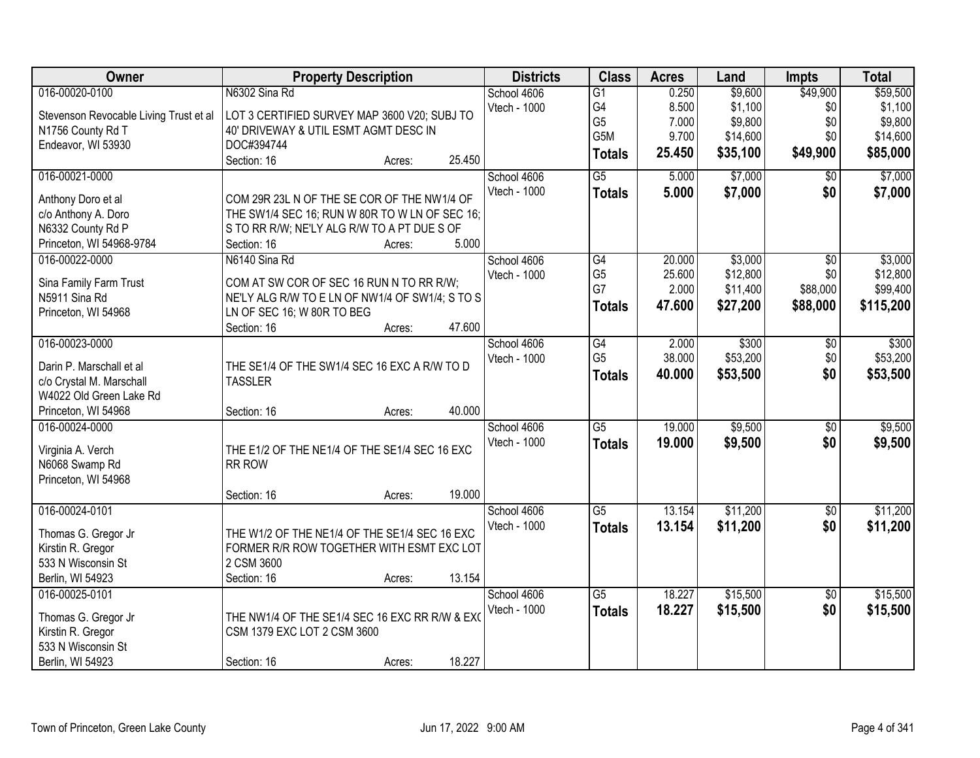| Owner                                     | <b>Property Description</b>                             | <b>Districts</b>    | <b>Class</b>    | <b>Acres</b> | Land     | <b>Impts</b>    | <b>Total</b> |
|-------------------------------------------|---------------------------------------------------------|---------------------|-----------------|--------------|----------|-----------------|--------------|
| 016-00020-0100                            | N6302 Sina Rd                                           | School 4606         | $\overline{G1}$ | 0.250        | \$9,600  | \$49,900        | \$59,500     |
| Stevenson Revocable Living Trust et al    | LOT 3 CERTIFIED SURVEY MAP 3600 V20; SUBJ TO            | Vtech - 1000        | G4              | 8.500        | \$1,100  | \$0             | \$1,100      |
| N1756 County Rd T                         | 40' DRIVEWAY & UTIL ESMT AGMT DESC IN                   |                     | G <sub>5</sub>  | 7.000        | \$9,800  | \$0             | \$9,800      |
| Endeavor, WI 53930                        | DOC#394744                                              |                     | G5M             | 9.700        | \$14,600 | \$0             | \$14,600     |
|                                           | 25.450<br>Section: 16<br>Acres:                         |                     | <b>Totals</b>   | 25.450       | \$35,100 | \$49,900        | \$85,000     |
| 016-00021-0000                            |                                                         | School 4606         | $\overline{G5}$ | 5.000        | \$7,000  | \$0             | \$7,000      |
|                                           | COM 29R 23L N OF THE SE COR OF THE NW1/4 OF             | Vtech - 1000        | <b>Totals</b>   | 5.000        | \$7,000  | \$0             | \$7,000      |
| Anthony Doro et al<br>c/o Anthony A. Doro | THE SW1/4 SEC 16; RUN W 80R TO W LN OF SEC 16;          |                     |                 |              |          |                 |              |
| N6332 County Rd P                         | S TO RR R/W; NE'LY ALG R/W TO A PT DUE S OF             |                     |                 |              |          |                 |              |
| Princeton, WI 54968-9784                  | 5.000<br>Section: 16<br>Acres:                          |                     |                 |              |          |                 |              |
| 016-00022-0000                            | N6140 Sina Rd                                           | School 4606         | $\overline{G4}$ | 20.000       | \$3,000  | $\overline{50}$ | \$3,000      |
|                                           |                                                         | Vtech - 1000        | G <sub>5</sub>  | 25.600       | \$12,800 | \$0             | \$12,800     |
| Sina Family Farm Trust                    | COM AT SW COR OF SEC 16 RUN N TO RR R/W;                |                     | G7              | 2.000        | \$11,400 | \$88,000        | \$99,400     |
| N5911 Sina Rd                             | NE'LY ALG R/W TO E LN OF NW1/4 OF SW1/4; S TO S         |                     | <b>Totals</b>   | 47.600       | \$27,200 | \$88,000        | \$115,200    |
| Princeton, WI 54968                       | LN OF SEC 16; W 80R TO BEG                              |                     |                 |              |          |                 |              |
|                                           | 47.600<br>Section: 16<br>Acres:                         |                     |                 |              |          |                 |              |
| 016-00023-0000                            |                                                         | School 4606         | G4              | 2.000        | \$300    | \$0             | \$300        |
| Darin P. Marschall et al                  | THE SE1/4 OF THE SW1/4 SEC 16 EXC A R/W TO D            | Vtech - 1000        | G <sub>5</sub>  | 38.000       | \$53,200 | \$0             | \$53,200     |
| c/o Crystal M. Marschall                  | <b>TASSLER</b>                                          |                     | <b>Totals</b>   | 40.000       | \$53,500 | \$0             | \$53,500     |
| W4022 Old Green Lake Rd                   |                                                         |                     |                 |              |          |                 |              |
| Princeton, WI 54968                       | 40.000<br>Section: 16<br>Acres:                         |                     |                 |              |          |                 |              |
| 016-00024-0000                            |                                                         | School 4606         | $\overline{G5}$ | 19,000       | \$9,500  | $\overline{50}$ | \$9,500      |
| Virginia A. Verch                         | THE E1/2 OF THE NE1/4 OF THE SE1/4 SEC 16 EXC           | <b>Vtech - 1000</b> | <b>Totals</b>   | 19.000       | \$9,500  | \$0             | \$9,500      |
| N6068 Swamp Rd                            | <b>RR ROW</b>                                           |                     |                 |              |          |                 |              |
| Princeton, WI 54968                       |                                                         |                     |                 |              |          |                 |              |
|                                           | 19.000<br>Section: 16<br>Acres:                         |                     |                 |              |          |                 |              |
| 016-00024-0101                            |                                                         | School 4606         | $\overline{G5}$ | 13.154       | \$11,200 | $\overline{60}$ | \$11,200     |
|                                           |                                                         | Vtech - 1000        | <b>Totals</b>   | 13.154       | \$11,200 | \$0             | \$11,200     |
| Thomas G. Gregor Jr<br>Kirstin R. Gregor  | THE W1/2 OF THE NE1/4 OF THE SE1/4 SEC 16 EXC           |                     |                 |              |          |                 |              |
| 533 N Wisconsin St                        | FORMER R/R ROW TOGETHER WITH ESMT EXC LOT<br>2 CSM 3600 |                     |                 |              |          |                 |              |
| Berlin, WI 54923                          | 13.154<br>Section: 16<br>Acres:                         |                     |                 |              |          |                 |              |
| 016-00025-0101                            |                                                         | School 4606         | $\overline{G5}$ | 18.227       | \$15,500 | $\overline{50}$ | \$15,500     |
|                                           |                                                         | Vtech - 1000        |                 | 18.227       | \$15,500 | \$0             | \$15,500     |
| Thomas G. Gregor Jr                       | THE NW1/4 OF THE SE1/4 SEC 16 EXC RR R/W & EXC          |                     | <b>Totals</b>   |              |          |                 |              |
| Kirstin R. Gregor                         | CSM 1379 EXC LOT 2 CSM 3600                             |                     |                 |              |          |                 |              |
| 533 N Wisconsin St                        |                                                         |                     |                 |              |          |                 |              |
| Berlin, WI 54923                          | 18.227<br>Section: 16<br>Acres:                         |                     |                 |              |          |                 |              |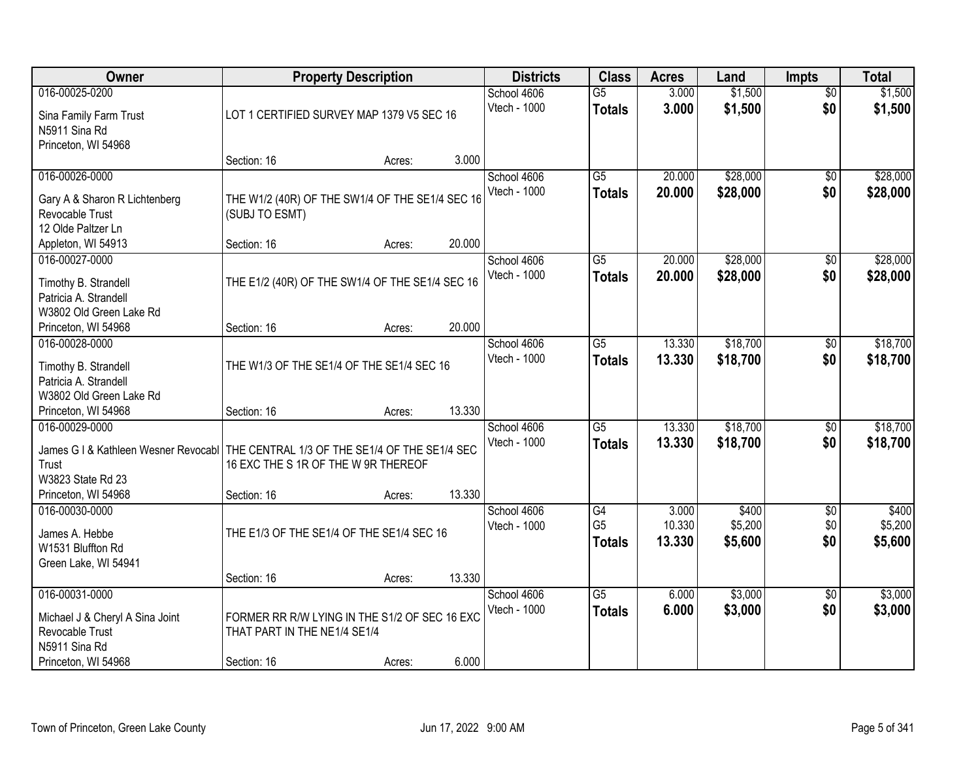| Owner                                                                                                                                                       | <b>Property Description</b>                                                                                 |                  |                 | <b>Districts</b>            | <b>Class</b>                          | <b>Acres</b>              | Land                        | <b>Impts</b>           | <b>Total</b>                |
|-------------------------------------------------------------------------------------------------------------------------------------------------------------|-------------------------------------------------------------------------------------------------------------|------------------|-----------------|-----------------------------|---------------------------------------|---------------------------|-----------------------------|------------------------|-----------------------------|
| 016-00025-0200<br>Sina Family Farm Trust<br>N5911 Sina Rd                                                                                                   | LOT 1 CERTIFIED SURVEY MAP 1379 V5 SEC 16                                                                   |                  |                 | School 4606<br>Vtech - 1000 | $\overline{G5}$<br><b>Totals</b>      | 3.000<br>3.000            | \$1,500<br>\$1,500          | $\overline{50}$<br>\$0 | \$1,500<br>\$1,500          |
| Princeton, WI 54968                                                                                                                                         | Section: 16                                                                                                 | Acres:           | 3.000           |                             |                                       |                           |                             |                        |                             |
| 016-00026-0000<br>Gary A & Sharon R Lichtenberg<br>Revocable Trust<br>12 Olde Paltzer Ln                                                                    | THE W1/2 (40R) OF THE SW1/4 OF THE SE1/4 SEC 16<br>(SUBJ TO ESMT)                                           |                  |                 | School 4606<br>Vtech - 1000 | $\overline{G5}$<br><b>Totals</b>      | 20.000<br>20.000          | \$28,000<br>\$28,000        | \$0<br>\$0             | \$28,000<br>\$28,000        |
| Appleton, WI 54913                                                                                                                                          | Section: 16                                                                                                 | Acres:           | 20.000          |                             |                                       |                           |                             |                        |                             |
| 016-00027-0000<br>Timothy B. Strandell<br>Patricia A. Strandell<br>W3802 Old Green Lake Rd                                                                  | THE E1/2 (40R) OF THE SW1/4 OF THE SE1/4 SEC 16                                                             |                  |                 | School 4606<br>Vtech - 1000 | $\overline{G5}$<br><b>Totals</b>      | 20.000<br>20.000          | \$28,000<br>\$28,000        | \$0<br>\$0             | \$28,000<br>\$28,000        |
| Princeton, WI 54968                                                                                                                                         | Section: 16                                                                                                 | Acres:           | 20.000          |                             |                                       |                           |                             |                        |                             |
| 016-00028-0000<br>Timothy B. Strandell<br>Patricia A. Strandell<br>W3802 Old Green Lake Rd                                                                  | THE W1/3 OF THE SE1/4 OF THE SE1/4 SEC 16                                                                   |                  |                 | School 4606<br>Vtech - 1000 | G5<br><b>Totals</b>                   | 13.330<br>13.330          | \$18,700<br>\$18,700        | \$0<br>\$0             | \$18,700<br>\$18,700        |
| Princeton, WI 54968                                                                                                                                         | Section: 16                                                                                                 | Acres:           | 13.330          |                             |                                       |                           |                             |                        |                             |
| 016-00029-0000<br>James G I & Kathleen Wesner Revocabl   THE CENTRAL 1/3 OF THE SE1/4 OF THE SE1/4 SEC<br>Trust<br>W3823 State Rd 23<br>Princeton, WI 54968 | 16 EXC THE S 1R OF THE W 9R THEREOF<br>Section: 16                                                          | Acres:           | 13.330          | School 4606<br>Vtech - 1000 | $\overline{G5}$<br><b>Totals</b>      | 13.330<br>13.330          | \$18,700<br>\$18,700        | $\overline{50}$<br>\$0 | \$18,700<br>\$18,700        |
| 016-00030-0000<br>James A. Hebbe<br>W1531 Bluffton Rd<br>Green Lake, WI 54941                                                                               | THE E1/3 OF THE SE1/4 OF THE SE1/4 SEC 16                                                                   |                  |                 | School 4606<br>Vtech - 1000 | G4<br>G <sub>5</sub><br><b>Totals</b> | 3.000<br>10.330<br>13.330 | \$400<br>\$5,200<br>\$5,600 | \$0<br>\$0<br>\$0      | \$400<br>\$5,200<br>\$5,600 |
| 016-00031-0000<br>Michael J & Cheryl A Sina Joint<br>Revocable Trust<br>N5911 Sina Rd<br>Princeton, WI 54968                                                | Section: 16<br>FORMER RR R/W LYING IN THE S1/2 OF SEC 16 EXC<br>THAT PART IN THE NE1/4 SE1/4<br>Section: 16 | Acres:<br>Acres: | 13.330<br>6.000 | School 4606<br>Vtech - 1000 | $\overline{G5}$<br><b>Totals</b>      | 6.000<br>6.000            | \$3,000<br>\$3,000          | $\overline{30}$<br>\$0 | \$3,000<br>\$3,000          |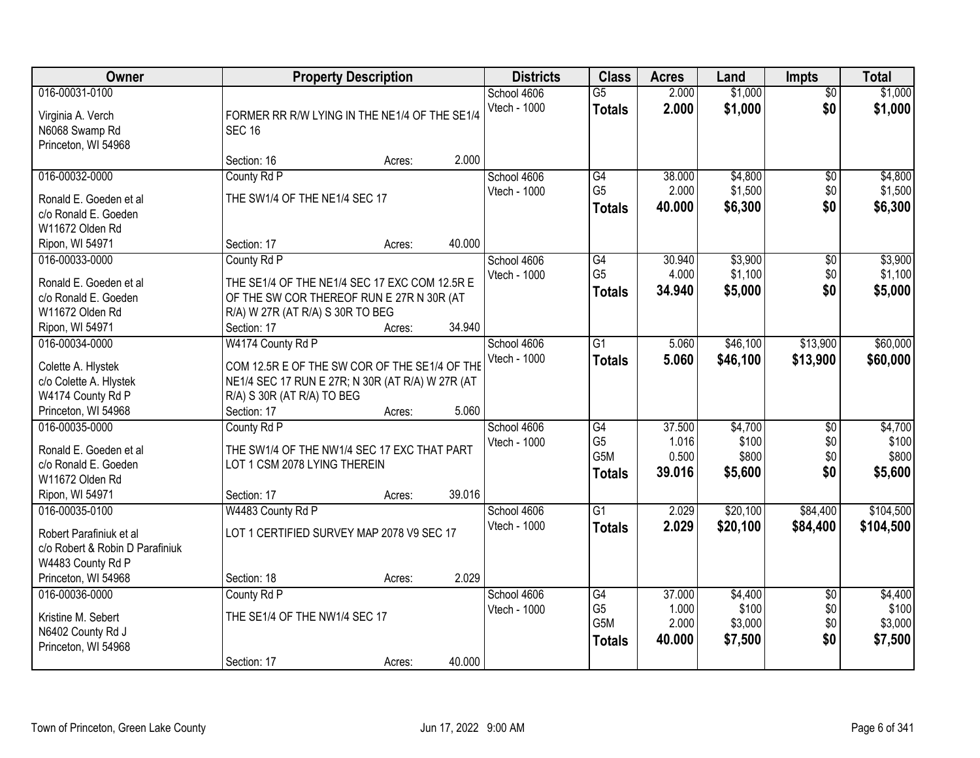| Owner                                       | <b>Property Description</b>                                                    |        | <b>Districts</b>            | <b>Class</b>                     | <b>Acres</b>   | Land               | <b>Impts</b>           | <b>Total</b>       |
|---------------------------------------------|--------------------------------------------------------------------------------|--------|-----------------------------|----------------------------------|----------------|--------------------|------------------------|--------------------|
| 016-00031-0100<br>Virginia A. Verch         | FORMER RR R/W LYING IN THE NE1/4 OF THE SE1/4                                  |        | School 4606<br>Vtech - 1000 | $\overline{G5}$<br><b>Totals</b> | 2.000<br>2.000 | \$1,000<br>\$1,000 | $\overline{50}$<br>\$0 | \$1,000<br>\$1,000 |
| N6068 Swamp Rd                              | <b>SEC 16</b>                                                                  |        |                             |                                  |                |                    |                        |                    |
| Princeton, WI 54968                         |                                                                                |        |                             |                                  |                |                    |                        |                    |
|                                             | Section: 16<br>Acres:                                                          | 2.000  |                             |                                  |                |                    |                        |                    |
| 016-00032-0000                              | County Rd P                                                                    |        | School 4606                 | $\overline{G4}$                  | 38.000         | \$4,800            | \$0                    | \$4,800            |
| Ronald E. Goeden et al                      | THE SW1/4 OF THE NE1/4 SEC 17                                                  |        | Vtech - 1000                | G <sub>5</sub>                   | 2.000          | \$1,500            | \$0                    | \$1,500            |
| c/o Ronald E. Goeden                        |                                                                                |        |                             | <b>Totals</b>                    | 40.000         | \$6,300            | \$0                    | \$6,300            |
| W11672 Olden Rd                             |                                                                                |        |                             |                                  |                |                    |                        |                    |
| Ripon, WI 54971                             | Section: 17<br>Acres:                                                          | 40.000 |                             |                                  |                |                    |                        |                    |
| 016-00033-0000                              | County Rd P                                                                    |        | School 4606                 | G4                               | 30.940         | \$3,900            | \$0                    | \$3,900            |
| Ronald E. Goeden et al                      | THE SE1/4 OF THE NE1/4 SEC 17 EXC COM 12.5R E                                  |        | Vtech - 1000                | G <sub>5</sub>                   | 4.000          | \$1,100            | \$0                    | \$1,100            |
| c/o Ronald E. Goeden                        | OF THE SW COR THEREOF RUN E 27R N 30R (AT                                      |        |                             | <b>Totals</b>                    | 34.940         | \$5,000            | \$0                    | \$5,000            |
| W11672 Olden Rd                             | R/A) W 27R (AT R/A) S 30R TO BEG                                               |        |                             |                                  |                |                    |                        |                    |
| Ripon, WI 54971                             | Section: 17<br>Acres:                                                          | 34.940 |                             |                                  |                |                    |                        |                    |
| 016-00034-0000                              | W4174 County Rd P                                                              |        | School 4606                 | $\overline{G1}$                  | 5.060          | \$46,100           | \$13,900               | \$60,000           |
|                                             |                                                                                |        | Vtech - 1000                | <b>Totals</b>                    | 5.060          | \$46,100           | \$13,900               | \$60,000           |
| Colette A. Hlystek                          | COM 12.5R E OF THE SW COR OF THE SE1/4 OF THE                                  |        |                             |                                  |                |                    |                        |                    |
| c/o Colette A. Hlystek<br>W4174 County Rd P | NE1/4 SEC 17 RUN E 27R; N 30R (AT R/A) W 27R (AT<br>R/A) S 30R (AT R/A) TO BEG |        |                             |                                  |                |                    |                        |                    |
| Princeton, WI 54968                         | Section: 17<br>Acres:                                                          | 5.060  |                             |                                  |                |                    |                        |                    |
| 016-00035-0000                              | County Rd P                                                                    |        | School 4606                 | $\overline{G4}$                  | 37.500         | \$4,700            | \$0                    | \$4,700            |
|                                             |                                                                                |        | Vtech - 1000                | G <sub>5</sub>                   | 1.016          | \$100              | \$0                    | \$100              |
| Ronald E. Goeden et al                      | THE SW1/4 OF THE NW1/4 SEC 17 EXC THAT PART                                    |        |                             | G <sub>5</sub> M                 | 0.500          | \$800              | \$0                    | \$800              |
| c/o Ronald E. Goeden                        | LOT 1 CSM 2078 LYING THEREIN                                                   |        |                             | <b>Totals</b>                    | 39.016         | \$5,600            | \$0                    | \$5,600            |
| W11672 Olden Rd                             |                                                                                |        |                             |                                  |                |                    |                        |                    |
| Ripon, WI 54971                             | Section: 17<br>Acres:                                                          | 39.016 |                             | $\overline{G1}$                  |                |                    |                        | \$104,500          |
| 016-00035-0100                              | W4483 County Rd P                                                              |        | School 4606<br>Vtech - 1000 |                                  | 2.029          | \$20,100           | \$84,400               |                    |
| Robert Parafiniuk et al                     | LOT 1 CERTIFIED SURVEY MAP 2078 V9 SEC 17                                      |        |                             | <b>Totals</b>                    | 2.029          | \$20,100           | \$84,400               | \$104,500          |
| c/o Robert & Robin D Parafiniuk             |                                                                                |        |                             |                                  |                |                    |                        |                    |
| W4483 County Rd P                           |                                                                                |        |                             |                                  |                |                    |                        |                    |
| Princeton, WI 54968                         | Section: 18<br>Acres:                                                          | 2.029  |                             |                                  |                |                    |                        |                    |
| 016-00036-0000                              | County Rd P                                                                    |        | School 4606                 | G4                               | 37.000         | \$4,400            | $\overline{60}$        | \$4,400            |
| Kristine M. Sebert                          | THE SE1/4 OF THE NW1/4 SEC 17                                                  |        | Vtech - 1000                | G <sub>5</sub>                   | 1.000          | \$100              | \$0                    | \$100              |
| N6402 County Rd J                           |                                                                                |        |                             | G <sub>5</sub> M                 | 2.000          | \$3,000            | \$0                    | \$3,000            |
| Princeton, WI 54968                         |                                                                                |        |                             | <b>Totals</b>                    | 40.000         | \$7,500            | \$0                    | \$7,500            |
|                                             | Section: 17<br>Acres:                                                          | 40.000 |                             |                                  |                |                    |                        |                    |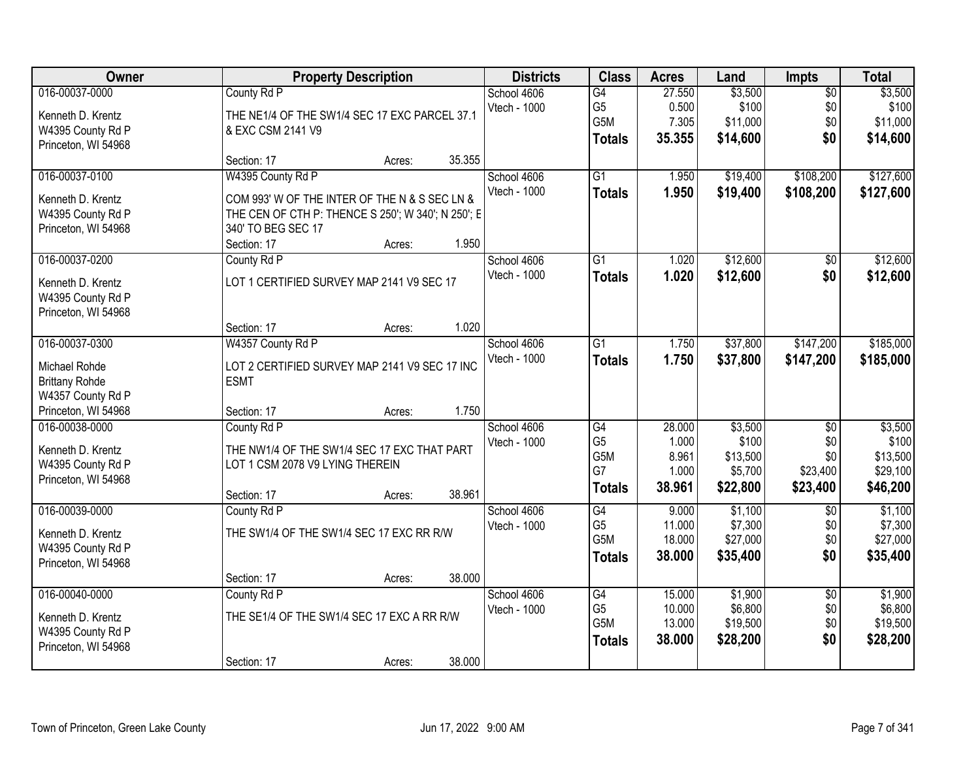| Owner                 | <b>Property Description</b>                        | <b>Districts</b> | <b>Class</b>     | <b>Acres</b> | Land     | <b>Impts</b>    | <b>Total</b> |
|-----------------------|----------------------------------------------------|------------------|------------------|--------------|----------|-----------------|--------------|
| 016-00037-0000        | County Rd P                                        | School 4606      | G4               | 27.550       | \$3,500  | $\overline{50}$ | \$3,500      |
| Kenneth D. Krentz     | THE NE1/4 OF THE SW1/4 SEC 17 EXC PARCEL 37.1      | Vtech - 1000     | G <sub>5</sub>   | 0.500        | \$100    | \$0             | \$100        |
| W4395 County Rd P     | & EXC CSM 2141 V9                                  |                  | G5M              | 7.305        | \$11,000 | \$0             | \$11,000     |
| Princeton, WI 54968   |                                                    |                  | <b>Totals</b>    | 35.355       | \$14,600 | \$0             | \$14,600     |
|                       | 35.355<br>Section: 17<br>Acres:                    |                  |                  |              |          |                 |              |
| 016-00037-0100        | W4395 County Rd P                                  | School 4606      | $\overline{G1}$  | 1.950        | \$19,400 | \$108,200       | \$127,600    |
| Kenneth D. Krentz     | COM 993' W OF THE INTER OF THE N & S SEC LN &      | Vtech - 1000     | <b>Totals</b>    | 1.950        | \$19,400 | \$108,200       | \$127,600    |
| W4395 County Rd P     | THE CEN OF CTH P: THENCE S 250'; W 340'; N 250'; E |                  |                  |              |          |                 |              |
| Princeton, WI 54968   | 340' TO BEG SEC 17                                 |                  |                  |              |          |                 |              |
|                       | 1.950<br>Section: 17<br>Acres:                     |                  |                  |              |          |                 |              |
| 016-00037-0200        | County Rd P                                        | School 4606      | G1               | 1.020        | \$12,600 | \$0             | \$12,600     |
| Kenneth D. Krentz     | LOT 1 CERTIFIED SURVEY MAP 2141 V9 SEC 17          | Vtech - 1000     | <b>Totals</b>    | 1.020        | \$12,600 | \$0             | \$12,600     |
| W4395 County Rd P     |                                                    |                  |                  |              |          |                 |              |
| Princeton, WI 54968   |                                                    |                  |                  |              |          |                 |              |
|                       | 1.020<br>Section: 17<br>Acres:                     |                  |                  |              |          |                 |              |
| 016-00037-0300        | W4357 County Rd P                                  | School 4606      | $\overline{G1}$  | 1.750        | \$37,800 | \$147,200       | \$185,000    |
| Michael Rohde         | LOT 2 CERTIFIED SURVEY MAP 2141 V9 SEC 17 INC      | Vtech - 1000     | <b>Totals</b>    | 1.750        | \$37,800 | \$147,200       | \$185,000    |
| <b>Brittany Rohde</b> | <b>ESMT</b>                                        |                  |                  |              |          |                 |              |
| W4357 County Rd P     |                                                    |                  |                  |              |          |                 |              |
| Princeton, WI 54968   | 1.750<br>Section: 17<br>Acres:                     |                  |                  |              |          |                 |              |
| 016-00038-0000        | County Rd P                                        | School 4606      | G4               | 28.000       | \$3,500  | $\overline{50}$ | \$3,500      |
| Kenneth D. Krentz     | THE NW1/4 OF THE SW1/4 SEC 17 EXC THAT PART        | Vtech - 1000     | G <sub>5</sub>   | 1.000        | \$100    | \$0             | \$100        |
| W4395 County Rd P     | LOT 1 CSM 2078 V9 LYING THEREIN                    |                  | G5M              | 8.961        | \$13,500 | \$0             | \$13,500     |
| Princeton, WI 54968   |                                                    |                  | G7               | 1.000        | \$5,700  | \$23,400        | \$29,100     |
|                       | 38.961<br>Section: 17<br>Acres:                    |                  | <b>Totals</b>    | 38.961       | \$22,800 | \$23,400        | \$46,200     |
| 016-00039-0000        | County Rd P                                        | School 4606      | $\overline{G4}$  | 9.000        | \$1,100  | $\overline{50}$ | \$1,100      |
| Kenneth D. Krentz     | THE SW1/4 OF THE SW1/4 SEC 17 EXC RR R/W           | Vtech - 1000     | G <sub>5</sub>   | 11.000       | \$7,300  | \$0             | \$7,300      |
| W4395 County Rd P     |                                                    |                  | G5M              | 18.000       | \$27,000 | \$0             | \$27,000     |
| Princeton, WI 54968   |                                                    |                  | <b>Totals</b>    | 38.000       | \$35,400 | \$0             | \$35,400     |
|                       | 38.000<br>Section: 17<br>Acres:                    |                  |                  |              |          |                 |              |
| 016-00040-0000        | County Rd P                                        | School 4606      | G4               | 15.000       | \$1,900  | $\overline{30}$ | \$1,900      |
| Kenneth D. Krentz     | THE SE1/4 OF THE SW1/4 SEC 17 EXC A RR R/W         | Vtech - 1000     | G <sub>5</sub>   | 10.000       | \$6,800  | \$0             | \$6,800      |
| W4395 County Rd P     |                                                    |                  | G <sub>5</sub> M | 13.000       | \$19,500 | \$0             | \$19,500     |
| Princeton, WI 54968   |                                                    |                  | <b>Totals</b>    | 38.000       | \$28,200 | \$0             | \$28,200     |
|                       | 38.000<br>Section: 17<br>Acres:                    |                  |                  |              |          |                 |              |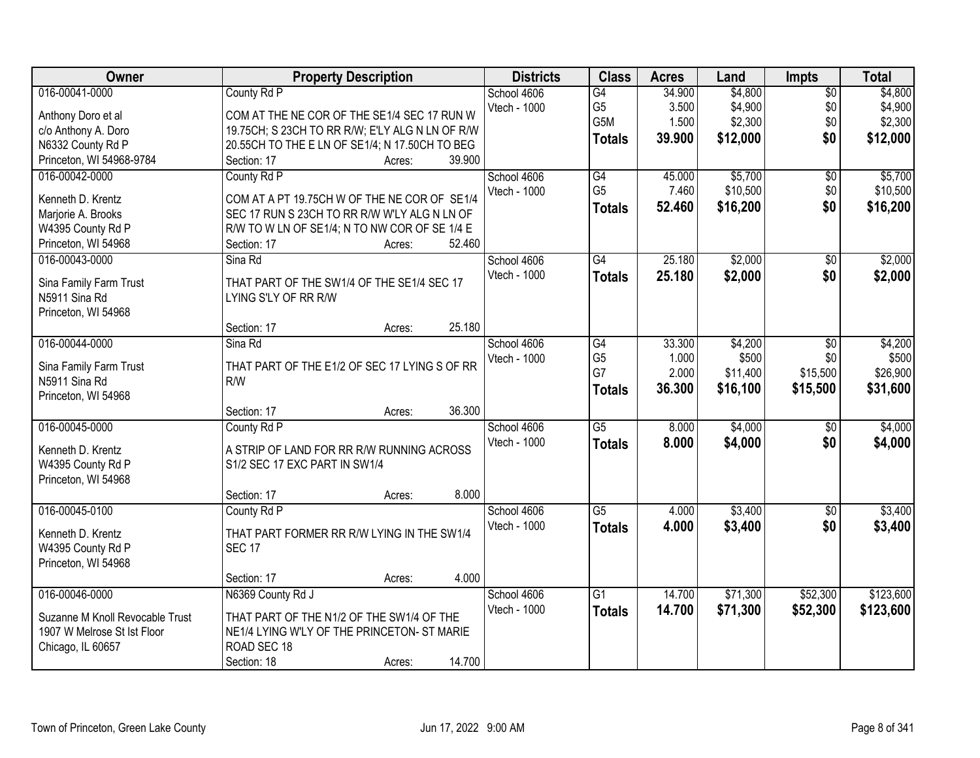| Owner                                 | <b>Property Description</b>                                | <b>Districts</b> | <b>Class</b>    | <b>Acres</b> | Land     | <b>Impts</b>    | <b>Total</b> |
|---------------------------------------|------------------------------------------------------------|------------------|-----------------|--------------|----------|-----------------|--------------|
| 016-00041-0000                        | County Rd P                                                | School 4606      | $\overline{G4}$ | 34.900       | \$4,800  | $\overline{$0}$ | \$4,800      |
| Anthony Doro et al                    | COM AT THE NE COR OF THE SE1/4 SEC 17 RUN W                | Vtech - 1000     | G <sub>5</sub>  | 3.500        | \$4,900  | \$0             | \$4,900      |
| c/o Anthony A. Doro                   | 19.75CH; S 23CH TO RR R/W; E'LY ALG N LN OF R/W            |                  | G5M             | 1.500        | \$2,300  | \$0             | \$2,300      |
| N6332 County Rd P                     | 20.55CH TO THE E LN OF SE1/4; N 17.50CH TO BEG             |                  | <b>Totals</b>   | 39.900       | \$12,000 | \$0             | \$12,000     |
| Princeton, WI 54968-9784              | 39.900<br>Section: 17<br>Acres:                            |                  |                 |              |          |                 |              |
| 016-00042-0000                        | County Rd P                                                | School 4606      | G4              | 45.000       | \$5,700  | \$0             | \$5,700      |
|                                       |                                                            | Vtech - 1000     | G <sub>5</sub>  | 7.460        | \$10,500 | \$0             | \$10,500     |
| Kenneth D. Krentz                     | COM AT A PT 19.75CH W OF THE NE COR OF SE1/4               |                  | <b>Totals</b>   | 52.460       | \$16,200 | \$0             | \$16,200     |
| Marjorie A. Brooks                    | SEC 17 RUN S 23CH TO RR R/W W'LY ALG N LN OF               |                  |                 |              |          |                 |              |
| W4395 County Rd P                     | R/W TO W LN OF SE1/4; N TO NW COR OF SE 1/4 E<br>52.460    |                  |                 |              |          |                 |              |
| Princeton, WI 54968<br>016-00043-0000 | Section: 17<br>Acres:<br>Sina Rd                           | School 4606      | G4              | 25.180       | \$2,000  |                 | \$2,000      |
|                                       |                                                            | Vtech - 1000     |                 |              |          | \$0             |              |
| Sina Family Farm Trust                | THAT PART OF THE SW1/4 OF THE SE1/4 SEC 17                 |                  | <b>Totals</b>   | 25.180       | \$2,000  | \$0             | \$2,000      |
| N5911 Sina Rd                         | LYING S'LY OF RR R/W                                       |                  |                 |              |          |                 |              |
| Princeton, WI 54968                   |                                                            |                  |                 |              |          |                 |              |
|                                       | 25.180<br>Section: 17<br>Acres:                            |                  |                 |              |          |                 |              |
| 016-00044-0000                        | Sina Rd                                                    | School 4606      | G4              | 33.300       | \$4,200  | $\sqrt[6]{3}$   | \$4,200      |
| Sina Family Farm Trust                | THAT PART OF THE E1/2 OF SEC 17 LYING S OF RR              | Vtech - 1000     | G <sub>5</sub>  | 1.000        | \$500    | \$0             | \$500        |
| N5911 Sina Rd                         | R/W                                                        |                  | G7              | 2.000        | \$11,400 | \$15,500        | \$26,900     |
| Princeton, WI 54968                   |                                                            |                  | <b>Totals</b>   | 36.300       | \$16,100 | \$15,500        | \$31,600     |
|                                       | 36.300<br>Section: 17<br>Acres:                            |                  |                 |              |          |                 |              |
| 016-00045-0000                        | County Rd P                                                | School 4606      | $\overline{G5}$ | 8.000        | \$4,000  | \$0             | \$4,000      |
|                                       |                                                            | Vtech - 1000     | <b>Totals</b>   | 8.000        | \$4,000  | \$0             | \$4,000      |
| Kenneth D. Krentz                     | A STRIP OF LAND FOR RR R/W RUNNING ACROSS                  |                  |                 |              |          |                 |              |
| W4395 County Rd P                     | S1/2 SEC 17 EXC PART IN SW1/4                              |                  |                 |              |          |                 |              |
| Princeton, WI 54968                   |                                                            |                  |                 |              |          |                 |              |
|                                       | 8.000<br>Section: 17<br>Acres:                             |                  |                 |              |          |                 |              |
| 016-00045-0100                        | County Rd P                                                | School 4606      | $\overline{G5}$ | 4.000        | \$3,400  | \$0             | \$3,400      |
| Kenneth D. Krentz                     | THAT PART FORMER RR R/W LYING IN THE SW1/4                 | Vtech - 1000     | <b>Totals</b>   | 4.000        | \$3,400  | \$0             | \$3,400      |
| W4395 County Rd P                     | <b>SEC 17</b>                                              |                  |                 |              |          |                 |              |
| Princeton, WI 54968                   |                                                            |                  |                 |              |          |                 |              |
|                                       | 4.000<br>Section: 17<br>Acres:                             |                  |                 |              |          |                 |              |
| 016-00046-0000                        | N6369 County Rd J                                          | School 4606      | $\overline{G1}$ | 14.700       | \$71,300 | \$52,300        | \$123,600    |
|                                       |                                                            | Vtech - 1000     | <b>Totals</b>   | 14.700       | \$71,300 | \$52,300        | \$123,600    |
| Suzanne M Knoll Revocable Trust       | THAT PART OF THE N1/2 OF THE SW1/4 OF THE                  |                  |                 |              |          |                 |              |
| 1907 W Melrose St Ist Floor           | NE1/4 LYING W'LY OF THE PRINCETON- ST MARIE<br>ROAD SEC 18 |                  |                 |              |          |                 |              |
| Chicago, IL 60657                     |                                                            |                  |                 |              |          |                 |              |
|                                       | 14.700<br>Section: 18<br>Acres:                            |                  |                 |              |          |                 |              |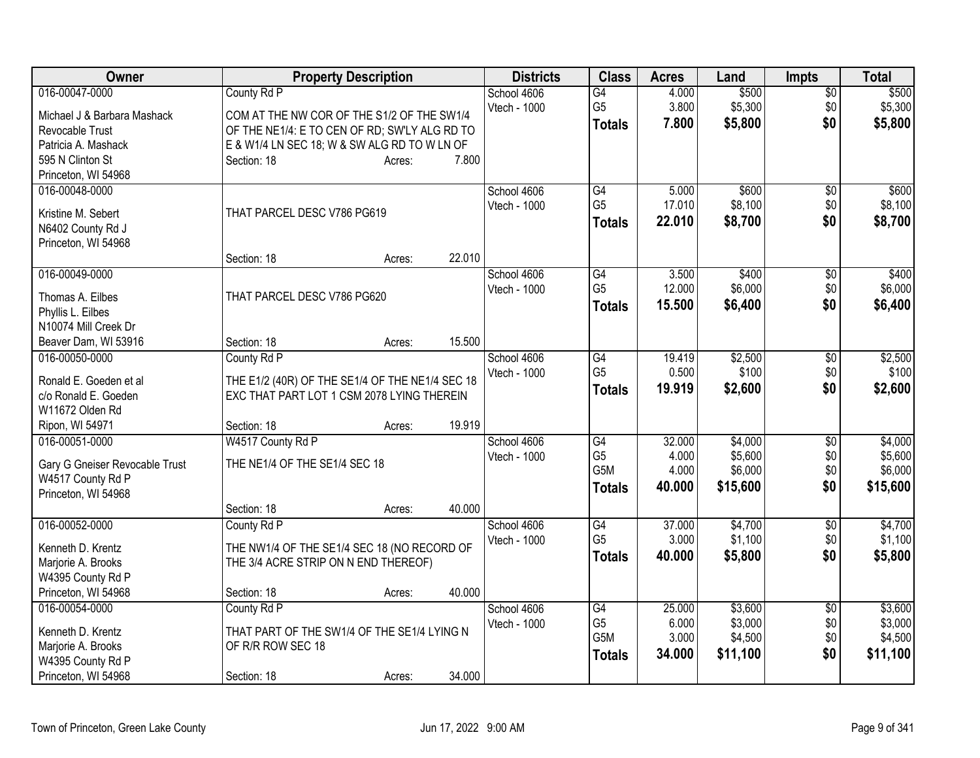| Owner                          |                                                 | <b>Property Description</b> |        | <b>Districts</b> | <b>Class</b>    | <b>Acres</b> | Land     | <b>Impts</b>    | <b>Total</b> |
|--------------------------------|-------------------------------------------------|-----------------------------|--------|------------------|-----------------|--------------|----------|-----------------|--------------|
| 016-00047-0000                 | County Rd P                                     |                             |        | School 4606      | $\overline{G4}$ | 4.000        | \$500    | $\overline{50}$ | \$500        |
| Michael J & Barbara Mashack    | COM AT THE NW COR OF THE S1/2 OF THE SW1/4      |                             |        | Vtech - 1000     | G <sub>5</sub>  | 3.800        | \$5,300  | \$0             | \$5,300      |
| Revocable Trust                | OF THE NE1/4: E TO CEN OF RD; SW'LY ALG RD TO   |                             |        |                  | <b>Totals</b>   | 7.800        | \$5,800  | \$0             | \$5,800      |
| Patricia A. Mashack            | E & W1/4 LN SEC 18; W & SW ALG RD TO W LN OF    |                             |        |                  |                 |              |          |                 |              |
| 595 N Clinton St               | Section: 18                                     | Acres:                      | 7.800  |                  |                 |              |          |                 |              |
| Princeton, WI 54968            |                                                 |                             |        |                  |                 |              |          |                 |              |
| 016-00048-0000                 |                                                 |                             |        | School 4606      | G4              | 5.000        | \$600    | $\overline{60}$ | \$600        |
| Kristine M. Sebert             | THAT PARCEL DESC V786 PG619                     |                             |        | Vtech - 1000     | G <sub>5</sub>  | 17.010       | \$8,100  | \$0             | \$8,100      |
| N6402 County Rd J              |                                                 |                             |        |                  | Totals          | 22.010       | \$8,700  | \$0             | \$8,700      |
| Princeton, WI 54968            |                                                 |                             |        |                  |                 |              |          |                 |              |
|                                | Section: 18                                     | Acres:                      | 22.010 |                  |                 |              |          |                 |              |
| 016-00049-0000                 |                                                 |                             |        | School 4606      | G4              | 3.500        | \$400    | \$0             | \$400        |
| Thomas A. Eilbes               | THAT PARCEL DESC V786 PG620                     |                             |        | Vtech - 1000     | G <sub>5</sub>  | 12.000       | \$6,000  | \$0             | \$6,000      |
| Phyllis L. Eilbes              |                                                 |                             |        |                  | <b>Totals</b>   | 15,500       | \$6,400  | \$0             | \$6,400      |
| N10074 Mill Creek Dr           |                                                 |                             |        |                  |                 |              |          |                 |              |
| Beaver Dam, WI 53916           | Section: 18                                     | Acres:                      | 15.500 |                  |                 |              |          |                 |              |
| 016-00050-0000                 | County Rd P                                     |                             |        | School 4606      | G4              | 19.419       | \$2,500  | $\sqrt{6}$      | \$2,500      |
| Ronald E. Goeden et al         | THE E1/2 (40R) OF THE SE1/4 OF THE NE1/4 SEC 18 |                             |        | Vtech - 1000     | G <sub>5</sub>  | 0.500        | \$100    | \$0             | \$100        |
| c/o Ronald E. Goeden           | EXC THAT PART LOT 1 CSM 2078 LYING THEREIN      |                             |        |                  | <b>Totals</b>   | 19.919       | \$2,600  | \$0             | \$2,600      |
| W11672 Olden Rd                |                                                 |                             |        |                  |                 |              |          |                 |              |
| Ripon, WI 54971                | Section: 18                                     | Acres:                      | 19.919 |                  |                 |              |          |                 |              |
| 016-00051-0000                 | W4517 County Rd P                               |                             |        | School 4606      | G4              | 32.000       | \$4,000  | \$0             | \$4,000      |
| Gary G Gneiser Revocable Trust | THE NE1/4 OF THE SE1/4 SEC 18                   |                             |        | Vtech - 1000     | G <sub>5</sub>  | 4.000        | \$5,600  | \$0             | \$5,600      |
| W4517 County Rd P              |                                                 |                             |        |                  | G5M             | 4.000        | \$6,000  | \$0             | \$6,000      |
| Princeton, WI 54968            |                                                 |                             |        |                  | <b>Totals</b>   | 40,000       | \$15,600 | \$0             | \$15,600     |
|                                | Section: 18                                     | Acres:                      | 40.000 |                  |                 |              |          |                 |              |
| 016-00052-0000                 | County Rd P                                     |                             |        | School 4606      | $\overline{G4}$ | 37.000       | \$4,700  | \$0             | \$4,700      |
| Kenneth D. Krentz              | THE NW1/4 OF THE SE1/4 SEC 18 (NO RECORD OF     |                             |        | Vtech - 1000     | G <sub>5</sub>  | 3.000        | \$1,100  | \$0             | \$1,100      |
| Marjorie A. Brooks             | THE 3/4 ACRE STRIP ON N END THEREOF)            |                             |        |                  | <b>Totals</b>   | 40.000       | \$5,800  | \$0             | \$5,800      |
| W4395 County Rd P              |                                                 |                             |        |                  |                 |              |          |                 |              |
| Princeton, WI 54968            | Section: 18                                     | Acres:                      | 40.000 |                  |                 |              |          |                 |              |
| 016-00054-0000                 | County Rd P                                     |                             |        | School 4606      | G4              | 25.000       | \$3,600  | $\overline{50}$ | \$3,600      |
| Kenneth D. Krentz              | THAT PART OF THE SW1/4 OF THE SE1/4 LYING N     |                             |        | Vtech - 1000     | G <sub>5</sub>  | 6.000        | \$3,000  | \$0             | \$3,000      |
| Marjorie A. Brooks             | OF R/R ROW SEC 18                               |                             |        |                  | G5M             | 3.000        | \$4,500  | \$0             | \$4,500      |
| W4395 County Rd P              |                                                 |                             |        |                  | <b>Totals</b>   | 34.000       | \$11,100 | \$0             | \$11,100     |
| Princeton, WI 54968            | Section: 18                                     | Acres:                      | 34.000 |                  |                 |              |          |                 |              |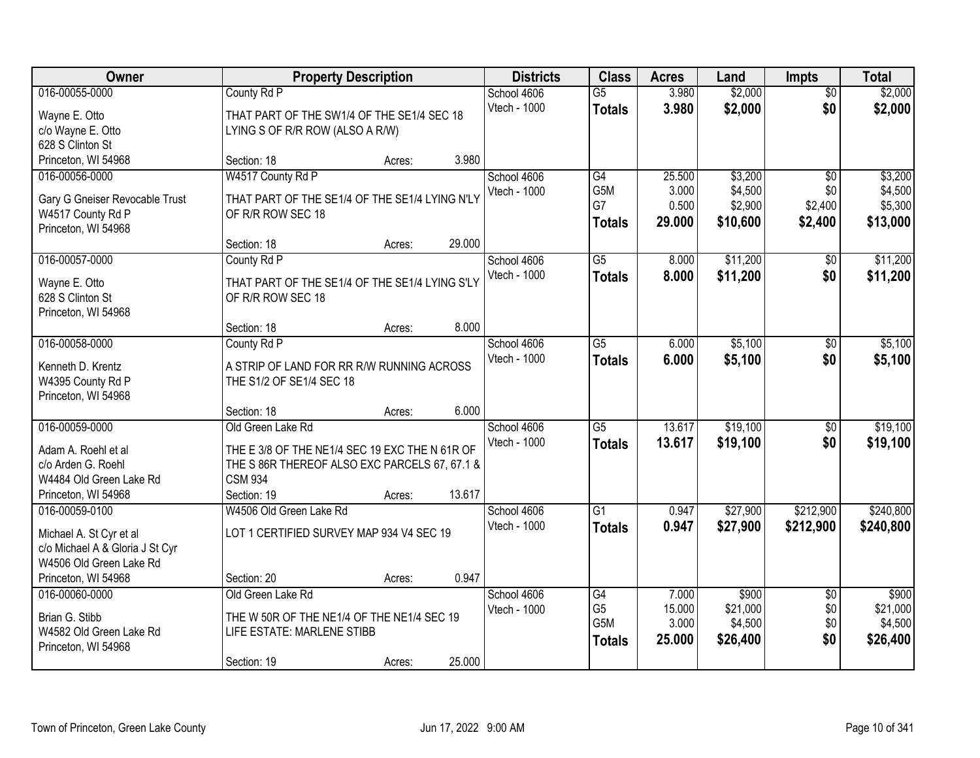| Owner                                                      | <b>Property Description</b>                    |                  | <b>Districts</b> | <b>Class</b>    | <b>Acres</b> | Land     | <b>Impts</b>    | <b>Total</b> |
|------------------------------------------------------------|------------------------------------------------|------------------|------------------|-----------------|--------------|----------|-----------------|--------------|
| 016-00055-0000                                             | County Rd P                                    |                  | School 4606      | $\overline{G5}$ | 3.980        | \$2,000  | $\overline{50}$ | \$2,000      |
| Wayne E. Otto                                              | THAT PART OF THE SW1/4 OF THE SE1/4 SEC 18     |                  | Vtech - 1000     | <b>Totals</b>   | 3.980        | \$2,000  | \$0             | \$2,000      |
| c/o Wayne E. Otto                                          | LYING S OF R/R ROW (ALSO A R/W)                |                  |                  |                 |              |          |                 |              |
| 628 S Clinton St                                           |                                                |                  |                  |                 |              |          |                 |              |
| Princeton, WI 54968                                        | Section: 18                                    | Acres:           | 3.980            |                 |              |          |                 |              |
| 016-00056-0000                                             | W4517 County Rd P                              |                  | School 4606      | G4              | 25.500       | \$3,200  | $\overline{50}$ | \$3,200      |
| Gary G Gneiser Revocable Trust                             | THAT PART OF THE SE1/4 OF THE SE1/4 LYING N'LY |                  | Vtech - 1000     | G5M             | 3.000        | \$4,500  | \$0             | \$4,500      |
| W4517 County Rd P                                          | OF R/R ROW SEC 18                              |                  |                  | G7              | 0.500        | \$2,900  | \$2,400         | \$5,300      |
| Princeton, WI 54968                                        |                                                |                  |                  | <b>Totals</b>   | 29.000       | \$10,600 | \$2,400         | \$13,000     |
|                                                            | Section: 18                                    | 29.000<br>Acres: |                  |                 |              |          |                 |              |
| 016-00057-0000                                             | County Rd P                                    |                  | School 4606      | $\overline{G5}$ | 8.000        | \$11,200 | \$0             | \$11,200     |
| Wayne E. Otto                                              | THAT PART OF THE SE1/4 OF THE SE1/4 LYING S'LY |                  | Vtech - 1000     | <b>Totals</b>   | 8.000        | \$11,200 | \$0             | \$11,200     |
| 628 S Clinton St                                           | OF R/R ROW SEC 18                              |                  |                  |                 |              |          |                 |              |
| Princeton, WI 54968                                        |                                                |                  |                  |                 |              |          |                 |              |
|                                                            | Section: 18                                    | Acres:           | 8.000            |                 |              |          |                 |              |
| 016-00058-0000                                             | County Rd P                                    |                  | School 4606      | $\overline{G5}$ | 6.000        | \$5,100  | $\sqrt[6]{3}$   | \$5,100      |
| Kenneth D. Krentz                                          | A STRIP OF LAND FOR RR R/W RUNNING ACROSS      |                  | Vtech - 1000     | <b>Totals</b>   | 6.000        | \$5,100  | \$0             | \$5,100      |
| W4395 County Rd P                                          | THE S1/2 OF SE1/4 SEC 18                       |                  |                  |                 |              |          |                 |              |
| Princeton, WI 54968                                        |                                                |                  |                  |                 |              |          |                 |              |
|                                                            | Section: 18                                    | Acres:           | 6.000            |                 |              |          |                 |              |
| 016-00059-0000                                             | Old Green Lake Rd                              |                  | School 4606      | $\overline{G5}$ | 13.617       | \$19,100 | $\overline{50}$ | \$19,100     |
|                                                            | THE E 3/8 OF THE NE1/4 SEC 19 EXC THE N 61R OF |                  | Vtech - 1000     | Totals          | 13.617       | \$19,100 | \$0             | \$19,100     |
| Adam A. Roehl et al<br>c/o Arden G. Roehl                  | THE S 86R THEREOF ALSO EXC PARCELS 67, 67.1 &  |                  |                  |                 |              |          |                 |              |
| W4484 Old Green Lake Rd                                    | <b>CSM 934</b>                                 |                  |                  |                 |              |          |                 |              |
| Princeton, WI 54968                                        | Section: 19                                    | 13.617<br>Acres: |                  |                 |              |          |                 |              |
| 016-00059-0100                                             | W4506 Old Green Lake Rd                        |                  | School 4606      | $\overline{G1}$ | 0.947        | \$27,900 | \$212,900       | \$240,800    |
|                                                            |                                                |                  | Vtech - 1000     | <b>Totals</b>   | 0.947        | \$27,900 | \$212,900       | \$240,800    |
| Michael A. St Cyr et al                                    | LOT 1 CERTIFIED SURVEY MAP 934 V4 SEC 19       |                  |                  |                 |              |          |                 |              |
| c/o Michael A & Gloria J St Cyr<br>W4506 Old Green Lake Rd |                                                |                  |                  |                 |              |          |                 |              |
| Princeton, WI 54968                                        | Section: 20                                    | Acres:           | 0.947            |                 |              |          |                 |              |
| 016-00060-0000                                             | Old Green Lake Rd                              |                  | School 4606      | G4              | 7.000        | \$900    | $\overline{50}$ | \$900        |
|                                                            |                                                |                  | Vtech - 1000     | G <sub>5</sub>  | 15.000       | \$21,000 | \$0             | \$21,000     |
| Brian G. Stibb                                             | THE W 50R OF THE NE1/4 OF THE NE1/4 SEC 19     |                  |                  | G5M             | 3.000        | \$4,500  | \$0             | \$4,500      |
| W4582 Old Green Lake Rd                                    | LIFE ESTATE: MARLENE STIBB                     |                  |                  | <b>Totals</b>   | 25.000       | \$26,400 | \$0             | \$26,400     |
| Princeton, WI 54968                                        |                                                | 25.000           |                  |                 |              |          |                 |              |
|                                                            | Section: 19                                    | Acres:           |                  |                 |              |          |                 |              |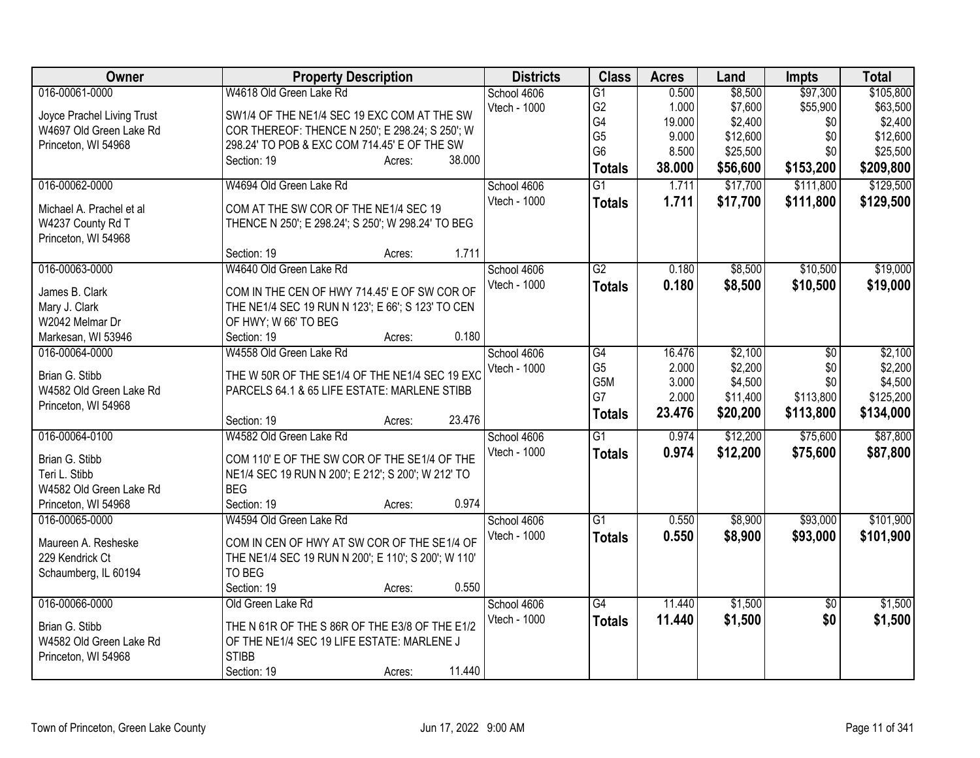| Owner                            | <b>Property Description</b>                                               | <b>Districts</b> | <b>Class</b>    | <b>Acres</b> | Land     | <b>Impts</b>    | <b>Total</b> |
|----------------------------------|---------------------------------------------------------------------------|------------------|-----------------|--------------|----------|-----------------|--------------|
| 016-00061-0000                   | W4618 Old Green Lake Rd                                                   | School 4606      | $\overline{G1}$ | 0.500        | \$8,500  | \$97,300        | \$105,800    |
| Joyce Prachel Living Trust       | SW1/4 OF THE NE1/4 SEC 19 EXC COM AT THE SW                               | Vtech - 1000     | G <sub>2</sub>  | 1.000        | \$7,600  | \$55,900        | \$63,500     |
| W4697 Old Green Lake Rd          | COR THEREOF: THENCE N 250'; E 298.24; S 250'; W                           |                  | G4              | 19.000       | \$2,400  | \$0             | \$2,400      |
| Princeton, WI 54968              | 298.24' TO POB & EXC COM 714.45' E OF THE SW                              |                  | G <sub>5</sub>  | 9.000        | \$12,600 | \$0             | \$12,600     |
|                                  | 38.000<br>Section: 19<br>Acres:                                           |                  | G <sub>6</sub>  | 8.500        | \$25,500 | \$0             | \$25,500     |
|                                  |                                                                           |                  | <b>Totals</b>   | 38.000       | \$56,600 | \$153,200       | \$209,800    |
| 016-00062-0000                   | W4694 Old Green Lake Rd                                                   | School 4606      | $\overline{G1}$ | 1.711        | \$17,700 | \$111,800       | \$129,500    |
| Michael A. Prachel et al         | COM AT THE SW COR OF THE NE1/4 SEC 19                                     | Vtech - 1000     | <b>Totals</b>   | 1.711        | \$17,700 | \$111,800       | \$129,500    |
| W4237 County Rd T                | THENCE N 250'; E 298.24'; S 250'; W 298.24' TO BEG                        |                  |                 |              |          |                 |              |
| Princeton, WI 54968              |                                                                           |                  |                 |              |          |                 |              |
|                                  | 1.711<br>Section: 19<br>Acres:                                            |                  |                 |              |          |                 |              |
| 016-00063-0000                   | W4640 Old Green Lake Rd                                                   | School 4606      | $\overline{G2}$ | 0.180        | \$8,500  | \$10,500        | \$19,000     |
| James B. Clark                   | COM IN THE CEN OF HWY 714.45' E OF SW COR OF                              | Vtech - 1000     | <b>Totals</b>   | 0.180        | \$8,500  | \$10,500        | \$19,000     |
|                                  |                                                                           |                  |                 |              |          |                 |              |
| Mary J. Clark<br>W2042 Melmar Dr | THE NE1/4 SEC 19 RUN N 123'; E 66'; S 123' TO CEN<br>OF HWY; W 66' TO BEG |                  |                 |              |          |                 |              |
| Markesan, WI 53946               | 0.180<br>Section: 19<br>Acres:                                            |                  |                 |              |          |                 |              |
| 016-00064-0000                   | W4558 Old Green Lake Rd                                                   | School 4606      | G4              | 16.476       | \$2,100  | $\overline{50}$ | \$2,100      |
|                                  |                                                                           | Vtech - 1000     | G <sub>5</sub>  | 2.000        | \$2,200  | \$0             | \$2,200      |
| Brian G. Stibb                   | THE W 50R OF THE SE1/4 OF THE NE1/4 SEC 19 EXC                            |                  | G5M             | 3.000        | \$4,500  | \$0             | \$4,500      |
| W4582 Old Green Lake Rd          | PARCELS 64.1 & 65 LIFE ESTATE: MARLENE STIBB                              |                  | G7              | 2.000        | \$11,400 | \$113,800       | \$125,200    |
| Princeton, WI 54968              |                                                                           |                  | <b>Totals</b>   | 23.476       | \$20,200 | \$113,800       | \$134,000    |
|                                  | 23.476<br>Section: 19<br>Acres:                                           |                  |                 |              |          |                 |              |
| 016-00064-0100                   | W4582 Old Green Lake Rd                                                   | School 4606      | $\overline{G1}$ | 0.974        | \$12,200 | \$75,600        | \$87,800     |
| Brian G. Stibb                   | COM 110' E OF THE SW COR OF THE SE1/4 OF THE                              | Vtech - 1000     | <b>Totals</b>   | 0.974        | \$12,200 | \$75,600        | \$87,800     |
| Teri L. Stibb                    | NE1/4 SEC 19 RUN N 200'; E 212'; S 200'; W 212' TO                        |                  |                 |              |          |                 |              |
| W4582 Old Green Lake Rd          | <b>BEG</b>                                                                |                  |                 |              |          |                 |              |
| Princeton, WI 54968              | 0.974<br>Section: 19<br>Acres:                                            |                  |                 |              |          |                 |              |
| 016-00065-0000                   | W4594 Old Green Lake Rd                                                   | School 4606      | G1              | 0.550        | \$8,900  | \$93,000        | \$101,900    |
|                                  |                                                                           | Vtech - 1000     | <b>Totals</b>   | 0.550        | \$8,900  | \$93,000        | \$101,900    |
| Maureen A. Resheske              | COM IN CEN OF HWY AT SW COR OF THE SE1/4 OF                               |                  |                 |              |          |                 |              |
| 229 Kendrick Ct                  | THE NE1/4 SEC 19 RUN N 200'; E 110'; S 200'; W 110'                       |                  |                 |              |          |                 |              |
| Schaumberg, IL 60194             | TO BEG<br>Section: 19<br>0.550                                            |                  |                 |              |          |                 |              |
| 016-00066-0000                   | Acres:<br>Old Green Lake Rd                                               | School 4606      | $\overline{G4}$ | 11.440       | \$1,500  | \$0             | \$1,500      |
|                                  |                                                                           | Vtech - 1000     |                 |              |          |                 |              |
| Brian G. Stibb                   | THE N 61R OF THE S 86R OF THE E3/8 OF THE E1/2                            |                  | <b>Totals</b>   | 11.440       | \$1,500  | \$0             | \$1,500      |
| W4582 Old Green Lake Rd          | OF THE NE1/4 SEC 19 LIFE ESTATE: MARLENE J                                |                  |                 |              |          |                 |              |
| Princeton, WI 54968              | <b>STIBB</b>                                                              |                  |                 |              |          |                 |              |
|                                  | 11.440<br>Section: 19<br>Acres:                                           |                  |                 |              |          |                 |              |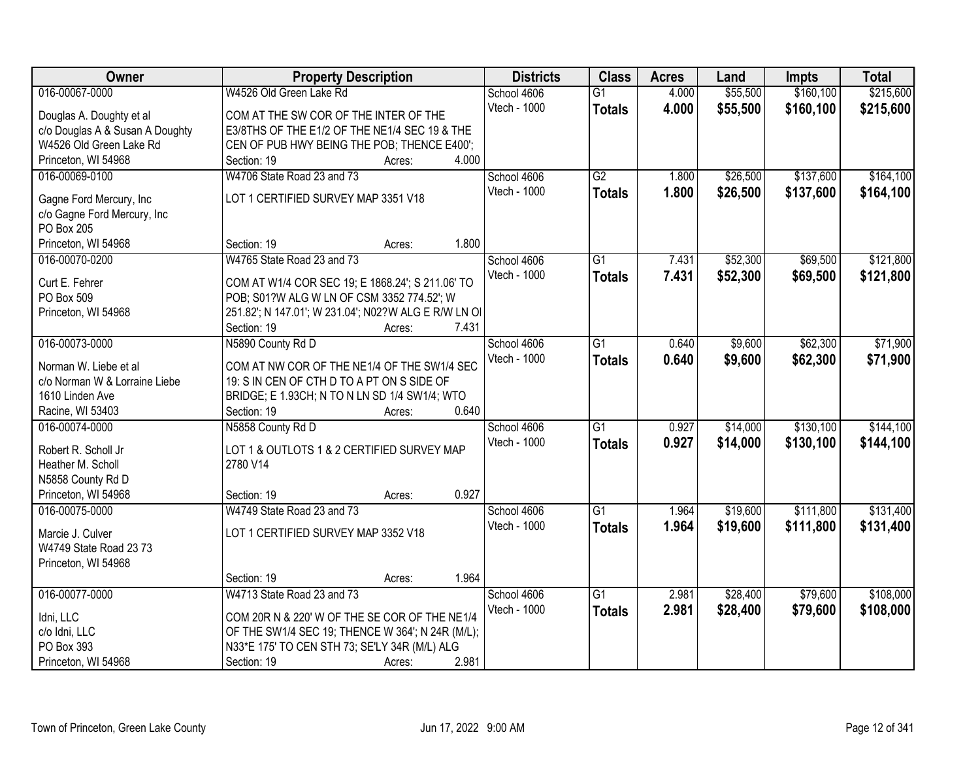| Owner                                                  | <b>Property Description</b>                                                                       |       | <b>Districts</b>            | <b>Class</b>    | <b>Acres</b> | Land     | <b>Impts</b> | <b>Total</b> |
|--------------------------------------------------------|---------------------------------------------------------------------------------------------------|-------|-----------------------------|-----------------|--------------|----------|--------------|--------------|
| 016-00067-0000                                         | W4526 Old Green Lake Rd                                                                           |       | School 4606                 | $\overline{G1}$ | 4.000        | \$55,500 | \$160,100    | \$215,600    |
| Douglas A. Doughty et al                               | COM AT THE SW COR OF THE INTER OF THE                                                             |       | Vtech - 1000                | <b>Totals</b>   | 4.000        | \$55,500 | \$160,100    | \$215,600    |
| c/o Douglas A & Susan A Doughty                        | E3/8THS OF THE E1/2 OF THE NE1/4 SEC 19 & THE                                                     |       |                             |                 |              |          |              |              |
| W4526 Old Green Lake Rd                                | CEN OF PUB HWY BEING THE POB; THENCE E400';                                                       |       |                             |                 |              |          |              |              |
| Princeton, WI 54968                                    | Section: 19<br>Acres:                                                                             | 4.000 |                             |                 |              |          |              |              |
| 016-00069-0100                                         | W4706 State Road 23 and 73                                                                        |       | School 4606                 | G2              | 1.800        | \$26,500 | \$137,600    | \$164,100    |
|                                                        | LOT 1 CERTIFIED SURVEY MAP 3351 V18                                                               |       | Vtech - 1000                | <b>Totals</b>   | 1.800        | \$26,500 | \$137,600    | \$164,100    |
| Gagne Ford Mercury, Inc<br>c/o Gagne Ford Mercury, Inc |                                                                                                   |       |                             |                 |              |          |              |              |
| PO Box 205                                             |                                                                                                   |       |                             |                 |              |          |              |              |
| Princeton, WI 54968                                    | Section: 19<br>Acres:                                                                             | 1.800 |                             |                 |              |          |              |              |
| 016-00070-0200                                         | W4765 State Road 23 and 73                                                                        |       | School 4606                 | $\overline{G1}$ | 7.431        | \$52,300 | \$69,500     | \$121,800    |
|                                                        |                                                                                                   |       | Vtech - 1000                | <b>Totals</b>   | 7.431        | \$52,300 | \$69,500     | \$121,800    |
| Curt E. Fehrer                                         | COM AT W1/4 COR SEC 19; E 1868.24'; S 211.06' TO                                                  |       |                             |                 |              |          |              |              |
| PO Box 509                                             | POB; S01?W ALG W LN OF CSM 3352 774.52'; W                                                        |       |                             |                 |              |          |              |              |
| Princeton, WI 54968                                    | 251.82'; N 147.01'; W 231.04'; N02?W ALG E R/W LN OI                                              |       |                             |                 |              |          |              |              |
| 016-00073-0000                                         | Section: 19<br>Acres:                                                                             | 7.431 |                             | $\overline{G1}$ |              |          | \$62,300     | \$71,900     |
|                                                        | N5890 County Rd D                                                                                 |       | School 4606<br>Vtech - 1000 |                 | 0.640        | \$9,600  |              |              |
| Norman W. Liebe et al                                  | COM AT NW COR OF THE NE1/4 OF THE SW1/4 SEC                                                       |       |                             | <b>Totals</b>   | 0.640        | \$9,600  | \$62,300     | \$71,900     |
| c/o Norman W & Lorraine Liebe                          | 19: S IN CEN OF CTH D TO A PT ON S SIDE OF                                                        |       |                             |                 |              |          |              |              |
| 1610 Linden Ave                                        | BRIDGE; E 1.93CH; N TO N LN SD 1/4 SW1/4; WTO                                                     |       |                             |                 |              |          |              |              |
| Racine, WI 53403                                       | Section: 19<br>Acres:                                                                             | 0.640 |                             |                 |              |          |              |              |
| 016-00074-0000                                         | N5858 County Rd D                                                                                 |       | School 4606                 | $\overline{G1}$ | 0.927        | \$14,000 | \$130,100    | \$144,100    |
| Robert R. Scholl Jr                                    | LOT 1 & OUTLOTS 1 & 2 CERTIFIED SURVEY MAP                                                        |       | <b>Vtech - 1000</b>         | <b>Totals</b>   | 0.927        | \$14,000 | \$130,100    | \$144,100    |
| Heather M. Scholl                                      | 2780 V14                                                                                          |       |                             |                 |              |          |              |              |
| N5858 County Rd D                                      |                                                                                                   |       |                             |                 |              |          |              |              |
| Princeton, WI 54968                                    | Section: 19<br>Acres:                                                                             | 0.927 |                             |                 |              |          |              |              |
| 016-00075-0000                                         | W4749 State Road 23 and 73                                                                        |       | School 4606                 | $\overline{G1}$ | 1.964        | \$19,600 | \$111,800    | \$131,400    |
| Marcie J. Culver                                       | LOT 1 CERTIFIED SURVEY MAP 3352 V18                                                               |       | Vtech - 1000                | <b>Totals</b>   | 1.964        | \$19,600 | \$111,800    | \$131,400    |
| W4749 State Road 23 73                                 |                                                                                                   |       |                             |                 |              |          |              |              |
| Princeton, WI 54968                                    |                                                                                                   |       |                             |                 |              |          |              |              |
|                                                        | Section: 19<br>Acres:                                                                             | 1.964 |                             |                 |              |          |              |              |
| 016-00077-0000                                         | W4713 State Road 23 and 73                                                                        |       | School 4606                 | $\overline{G1}$ | 2.981        | \$28,400 | \$79,600     | \$108,000    |
|                                                        |                                                                                                   |       | Vtech - 1000                | <b>Totals</b>   | 2.981        | \$28,400 | \$79,600     | \$108,000    |
| Idni, LLC                                              | COM 20R N & 220' W OF THE SE COR OF THE NE1/4                                                     |       |                             |                 |              |          |              |              |
| c/o Idni, LLC<br>PO Box 393                            | OF THE SW1/4 SEC 19; THENCE W 364'; N 24R (M/L);<br>N33*E 175' TO CEN STH 73; SE'LY 34R (M/L) ALG |       |                             |                 |              |          |              |              |
| Princeton, WI 54968                                    | Section: 19<br>Acres:                                                                             | 2.981 |                             |                 |              |          |              |              |
|                                                        |                                                                                                   |       |                             |                 |              |          |              |              |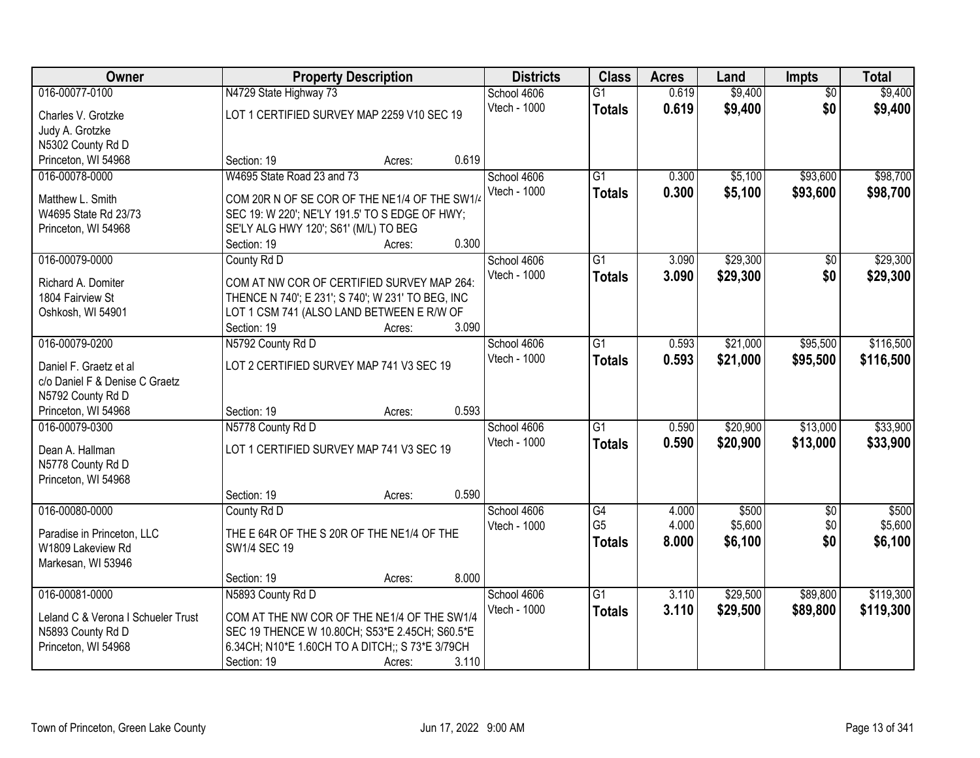| Owner                                   | <b>Property Description</b>                                    |        |              | <b>Districts</b> | <b>Class</b>    | <b>Acres</b> | Land     | <b>Impts</b>    | <b>Total</b> |
|-----------------------------------------|----------------------------------------------------------------|--------|--------------|------------------|-----------------|--------------|----------|-----------------|--------------|
| 016-00077-0100                          | N4729 State Highway 73                                         |        | School 4606  |                  | $\overline{G1}$ | 0.619        | \$9,400  | $\overline{50}$ | \$9,400      |
| Charles V. Grotzke                      | LOT 1 CERTIFIED SURVEY MAP 2259 V10 SEC 19                     |        | Vtech - 1000 |                  | <b>Totals</b>   | 0.619        | \$9,400  | \$0             | \$9,400      |
| Judy A. Grotzke                         |                                                                |        |              |                  |                 |              |          |                 |              |
| N5302 County Rd D                       |                                                                |        |              |                  |                 |              |          |                 |              |
| Princeton, WI 54968                     | Section: 19                                                    | Acres: | 0.619        |                  |                 |              |          |                 |              |
| 016-00078-0000                          | W4695 State Road 23 and 73                                     |        | School 4606  |                  | $\overline{G1}$ | 0.300        | \$5,100  | \$93,600        | \$98,700     |
| Matthew L. Smith                        | COM 20R N OF SE COR OF THE NE1/4 OF THE SW1/4                  |        | Vtech - 1000 |                  | <b>Totals</b>   | 0.300        | \$5,100  | \$93,600        | \$98,700     |
| W4695 State Rd 23/73                    | SEC 19: W 220'; NE'LY 191.5' TO S EDGE OF HWY;                 |        |              |                  |                 |              |          |                 |              |
| Princeton, WI 54968                     | SE'LY ALG HWY 120'; S61' (M/L) TO BEG                          |        |              |                  |                 |              |          |                 |              |
|                                         | Section: 19                                                    | Acres: | 0.300        |                  |                 |              |          |                 |              |
| 016-00079-0000                          | County Rd D                                                    |        | School 4606  |                  | $\overline{G1}$ | 3.090        | \$29,300 | $\overline{50}$ | \$29,300     |
| Richard A. Domiter                      | COM AT NW COR OF CERTIFIED SURVEY MAP 264:                     |        | Vtech - 1000 |                  | <b>Totals</b>   | 3.090        | \$29,300 | \$0             | \$29,300     |
| 1804 Fairview St                        | THENCE N 740'; E 231'; S 740'; W 231' TO BEG, INC              |        |              |                  |                 |              |          |                 |              |
| Oshkosh, WI 54901                       | LOT 1 CSM 741 (ALSO LAND BETWEEN E R/W OF                      |        |              |                  |                 |              |          |                 |              |
|                                         | Section: 19                                                    | Acres: | 3.090        |                  |                 |              |          |                 |              |
| 016-00079-0200                          | N5792 County Rd D                                              |        | School 4606  |                  | $\overline{G1}$ | 0.593        | \$21,000 | \$95,500        | \$116,500    |
| Daniel F. Graetz et al                  | LOT 2 CERTIFIED SURVEY MAP 741 V3 SEC 19                       |        | Vtech - 1000 |                  | <b>Totals</b>   | 0.593        | \$21,000 | \$95,500        | \$116,500    |
| c/o Daniel F & Denise C Graetz          |                                                                |        |              |                  |                 |              |          |                 |              |
| N5792 County Rd D                       |                                                                |        |              |                  |                 |              |          |                 |              |
| Princeton, WI 54968                     | Section: 19                                                    | Acres: | 0.593        |                  |                 |              |          |                 |              |
| 016-00079-0300                          | N5778 County Rd D                                              |        | School 4606  |                  | $\overline{G1}$ | 0.590        | \$20,900 | \$13,000        | \$33,900     |
|                                         |                                                                |        | Vtech - 1000 |                  | <b>Totals</b>   | 0.590        | \$20,900 | \$13,000        | \$33,900     |
| Dean A. Hallman<br>N5778 County Rd D    | LOT 1 CERTIFIED SURVEY MAP 741 V3 SEC 19                       |        |              |                  |                 |              |          |                 |              |
| Princeton, WI 54968                     |                                                                |        |              |                  |                 |              |          |                 |              |
|                                         | Section: 19                                                    | Acres: | 0.590        |                  |                 |              |          |                 |              |
| 016-00080-0000                          | County Rd D                                                    |        | School 4606  |                  | G4              | 4.000        | \$500    | $\overline{60}$ | \$500        |
|                                         |                                                                |        | Vtech - 1000 |                  | G <sub>5</sub>  | 4.000        | \$5,600  | \$0             | \$5,600      |
| Paradise in Princeton, LLC              | THE E 64R OF THE S 20R OF THE NE1/4 OF THE                     |        |              |                  | <b>Totals</b>   | 8.000        | \$6,100  | \$0             | \$6,100      |
| W1809 Lakeview Rd<br>Markesan, WI 53946 | SW1/4 SEC 19                                                   |        |              |                  |                 |              |          |                 |              |
|                                         | Section: 19                                                    | Acres: | 8.000        |                  |                 |              |          |                 |              |
| 016-00081-0000                          | N5893 County Rd D                                              |        | School 4606  |                  | $\overline{G1}$ | 3.110        | \$29,500 | \$89,800        | \$119,300    |
|                                         |                                                                |        | Vtech - 1000 |                  | <b>Totals</b>   | 3.110        | \$29,500 | \$89,800        | \$119,300    |
| Leland C & Verona I Schueler Trust      | COM AT THE NW COR OF THE NE1/4 OF THE SW1/4                    |        |              |                  |                 |              |          |                 |              |
| N5893 County Rd D                       | SEC 19 THENCE W 10.80CH; S53*E 2.45CH; S60.5*E                 |        |              |                  |                 |              |          |                 |              |
| Princeton, WI 54968                     | 6.34CH; N10*E 1.60CH TO A DITCH;; S 73*E 3/79CH<br>Section: 19 | Acres: | 3.110        |                  |                 |              |          |                 |              |
|                                         |                                                                |        |              |                  |                 |              |          |                 |              |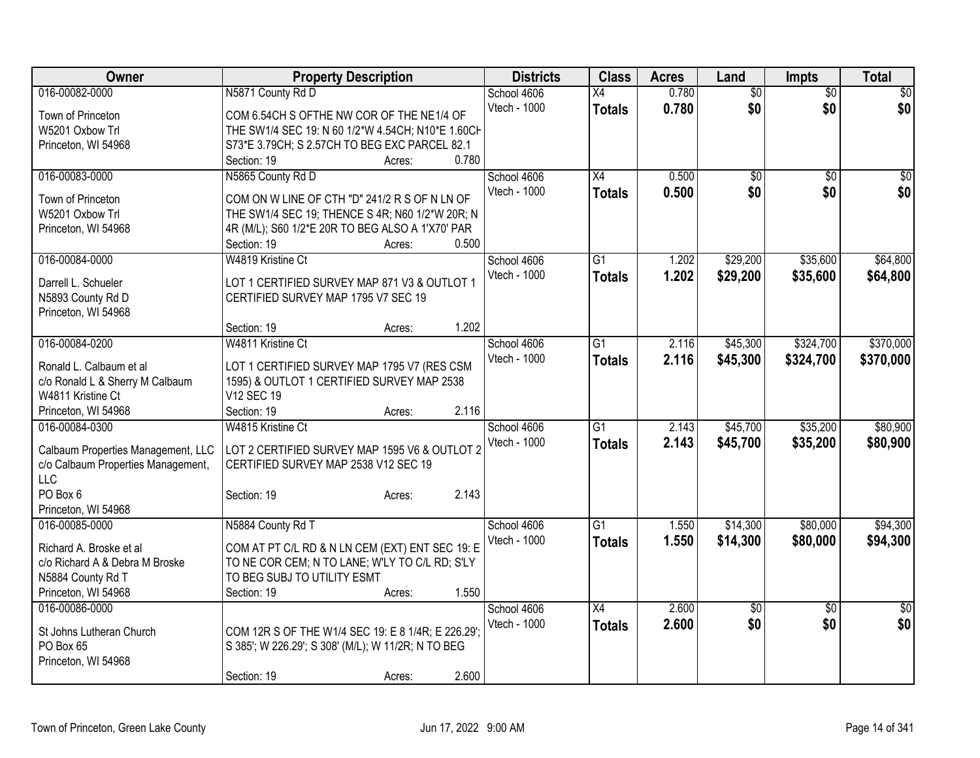| Owner                              | <b>Property Description</b>                                              | <b>Districts</b>            | <b>Class</b>    | <b>Acres</b> | Land            | <b>Impts</b>    | <b>Total</b>    |
|------------------------------------|--------------------------------------------------------------------------|-----------------------------|-----------------|--------------|-----------------|-----------------|-----------------|
| 016-00082-0000                     | N5871 County Rd D                                                        | School 4606                 | X4              | 0.780        | $\overline{60}$ | $\overline{50}$ | $\sqrt{30}$     |
| Town of Princeton                  | COM 6.54CH S OFTHE NW COR OF THE NE1/4 OF                                | Vtech - 1000                | <b>Totals</b>   | 0.780        | \$0             | \$0             | \$0             |
| W5201 Oxbow Trl                    | THE SW1/4 SEC 19: N 60 1/2*W 4.54CH; N10*E 1.60CH                        |                             |                 |              |                 |                 |                 |
| Princeton, WI 54968                | S73*E 3.79CH; S 2.57CH TO BEG EXC PARCEL 82.1                            |                             |                 |              |                 |                 |                 |
|                                    | 0.780<br>Section: 19<br>Acres:                                           |                             |                 |              |                 |                 |                 |
| 016-00083-0000                     | N5865 County Rd D                                                        | School 4606                 | X4              | 0.500        | \$0             | \$0             | \$0             |
|                                    |                                                                          | Vtech - 1000                | <b>Totals</b>   | 0.500        | \$0             | \$0             | \$0             |
| Town of Princeton                  | COM ON W LINE OF CTH "D" 241/2 R S OF N LN OF                            |                             |                 |              |                 |                 |                 |
| W5201 Oxbow Trl                    | THE SW1/4 SEC 19; THENCE S 4R; N60 1/2*W 20R; N                          |                             |                 |              |                 |                 |                 |
| Princeton, WI 54968                | 4R (M/L); S60 1/2*E 20R TO BEG ALSO A 1'X70' PAR<br>0.500<br>Section: 19 |                             |                 |              |                 |                 |                 |
| 016-00084-0000                     | Acres:<br>W4819 Kristine Ct                                              |                             | $\overline{G1}$ | 1.202        |                 | \$35,600        |                 |
|                                    |                                                                          | School 4606<br>Vtech - 1000 |                 |              | \$29,200        |                 | \$64,800        |
| Darrell L. Schueler                | LOT 1 CERTIFIED SURVEY MAP 871 V3 & OUTLOT 1                             |                             | <b>Totals</b>   | 1.202        | \$29,200        | \$35,600        | \$64,800        |
| N5893 County Rd D                  | CERTIFIED SURVEY MAP 1795 V7 SEC 19                                      |                             |                 |              |                 |                 |                 |
| Princeton, WI 54968                |                                                                          |                             |                 |              |                 |                 |                 |
|                                    | 1.202<br>Section: 19<br>Acres:                                           |                             |                 |              |                 |                 |                 |
| 016-00084-0200                     | W4811 Kristine Ct                                                        | School 4606                 | G1              | 2.116        | \$45,300        | \$324,700       | \$370,000       |
|                                    |                                                                          | Vtech - 1000                | <b>Totals</b>   | 2.116        | \$45,300        | \$324,700       | \$370,000       |
| Ronald L. Calbaum et al            | LOT 1 CERTIFIED SURVEY MAP 1795 V7 (RES CSM                              |                             |                 |              |                 |                 |                 |
| c/o Ronald L & Sherry M Calbaum    | 1595) & OUTLOT 1 CERTIFIED SURVEY MAP 2538                               |                             |                 |              |                 |                 |                 |
| W4811 Kristine Ct                  | V12 SEC 19                                                               |                             |                 |              |                 |                 |                 |
| Princeton, WI 54968                | 2.116<br>Section: 19<br>Acres:                                           |                             |                 |              |                 |                 |                 |
| 016-00084-0300                     | W4815 Kristine Ct                                                        | School 4606                 | $\overline{G1}$ | 2.143        | \$45,700        | \$35,200        | \$80,900        |
| Calbaum Properties Management, LLC | LOT 2 CERTIFIED SURVEY MAP 1595 V6 & OUTLOT 2                            | Vtech - 1000                | <b>Totals</b>   | 2.143        | \$45,700        | \$35,200        | \$80,900        |
| c/o Calbaum Properties Management, | CERTIFIED SURVEY MAP 2538 V12 SEC 19                                     |                             |                 |              |                 |                 |                 |
| <b>LLC</b>                         |                                                                          |                             |                 |              |                 |                 |                 |
| PO Box 6                           | 2.143<br>Section: 19<br>Acres:                                           |                             |                 |              |                 |                 |                 |
| Princeton, WI 54968                |                                                                          |                             |                 |              |                 |                 |                 |
| 016-00085-0000                     | N5884 County Rd T                                                        | School 4606                 | $\overline{G1}$ | 1.550        | \$14,300        | \$80,000        | \$94,300        |
| Richard A. Broske et al            | COM AT PT C/L RD & N LN CEM (EXT) ENT SEC 19: E                          | Vtech - 1000                | <b>Totals</b>   | 1.550        | \$14,300        | \$80,000        | \$94,300        |
| c/o Richard A & Debra M Broske     | TO NE COR CEM; N TO LANE; W'LY TO C/L RD; S'LY                           |                             |                 |              |                 |                 |                 |
| N5884 County Rd T                  | TO BEG SUBJ TO UTILITY ESMT                                              |                             |                 |              |                 |                 |                 |
| Princeton, WI 54968                | 1.550<br>Section: 19<br>Acres:                                           |                             |                 |              |                 |                 |                 |
| 016-00086-0000                     |                                                                          | School 4606                 | X4              | 2.600        | $\sqrt{$0}$     | $\overline{30}$ | $\overline{50}$ |
|                                    |                                                                          | Vtech - 1000                |                 | 2.600        | \$0             | \$0             | \$0             |
| St Johns Lutheran Church           | COM 12R S OF THE W1/4 SEC 19: E 8 1/4R; E 226.29';                       |                             | <b>Totals</b>   |              |                 |                 |                 |
| PO Box 65                          | S 385'; W 226.29'; S 308' (M/L); W 11/2R; N TO BEG                       |                             |                 |              |                 |                 |                 |
| Princeton, WI 54968                |                                                                          |                             |                 |              |                 |                 |                 |
|                                    | 2.600<br>Section: 19<br>Acres:                                           |                             |                 |              |                 |                 |                 |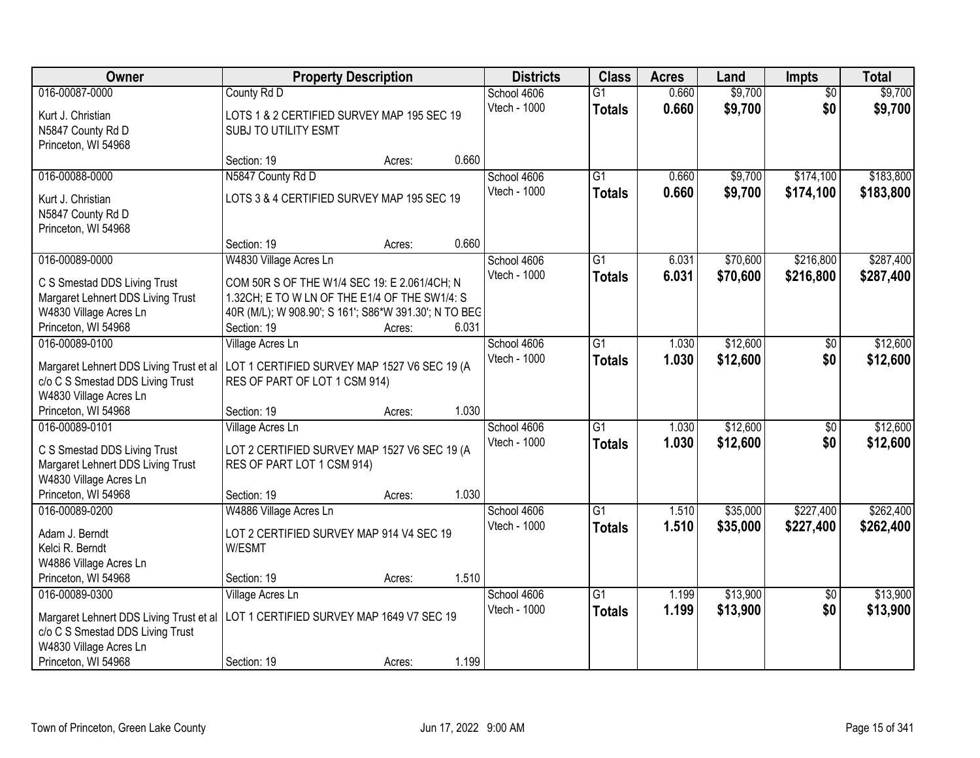| <b>Owner</b>                                                                | <b>Property Description</b>                                                   |        |              | <b>Class</b><br><b>Districts</b> | <b>Acres</b> | Land     | <b>Impts</b>    | <b>Total</b> |
|-----------------------------------------------------------------------------|-------------------------------------------------------------------------------|--------|--------------|----------------------------------|--------------|----------|-----------------|--------------|
| 016-00087-0000                                                              | County Rd D                                                                   |        | School 4606  | $\overline{G1}$                  | 0.660        | \$9,700  | $\overline{50}$ | \$9,700      |
| Kurt J. Christian                                                           | LOTS 1 & 2 CERTIFIED SURVEY MAP 195 SEC 19                                    |        | Vtech - 1000 | <b>Totals</b>                    | 0.660        | \$9,700  | \$0             | \$9,700      |
| N5847 County Rd D                                                           | SUBJ TO UTILITY ESMT                                                          |        |              |                                  |              |          |                 |              |
| Princeton, WI 54968                                                         |                                                                               |        |              |                                  |              |          |                 |              |
|                                                                             | Section: 19                                                                   | Acres: | 0.660        |                                  |              |          |                 |              |
| 016-00088-0000                                                              | N5847 County Rd D                                                             |        | School 4606  | $\overline{G1}$                  | 0.660        | \$9,700  | \$174,100       | \$183,800    |
| Kurt J. Christian                                                           | LOTS 3 & 4 CERTIFIED SURVEY MAP 195 SEC 19                                    |        | Vtech - 1000 | <b>Totals</b>                    | 0.660        | \$9,700  | \$174,100       | \$183,800    |
| N5847 County Rd D                                                           |                                                                               |        |              |                                  |              |          |                 |              |
| Princeton, WI 54968                                                         |                                                                               |        |              |                                  |              |          |                 |              |
|                                                                             | Section: 19                                                                   | Acres: | 0.660        |                                  |              |          |                 |              |
| 016-00089-0000                                                              | W4830 Village Acres Ln                                                        |        | School 4606  | G1                               | 6.031        | \$70,600 | \$216,800       | \$287,400    |
| C S Smestad DDS Living Trust                                                | COM 50R S OF THE W1/4 SEC 19: E 2.061/4CH; N                                  |        | Vtech - 1000 | <b>Totals</b>                    | 6.031        | \$70,600 | \$216,800       | \$287,400    |
| Margaret Lehnert DDS Living Trust                                           | 1.32CH; E TO W LN OF THE E1/4 OF THE SW1/4: S                                 |        |              |                                  |              |          |                 |              |
| W4830 Village Acres Ln                                                      | 40R (M/L); W 908.90'; S 161'; S86*W 391.30'; N TO BEC                         |        |              |                                  |              |          |                 |              |
| Princeton, WI 54968                                                         | Section: 19                                                                   | Acres: | 6.031        |                                  |              |          |                 |              |
| 016-00089-0100                                                              | Village Acres Ln                                                              |        | School 4606  | $\overline{G1}$                  | 1.030        | \$12,600 | \$0             | \$12,600     |
|                                                                             |                                                                               |        | Vtech - 1000 | <b>Totals</b>                    | 1.030        | \$12,600 | \$0             | \$12,600     |
| Margaret Lehnert DDS Living Trust et al<br>c/o C S Smestad DDS Living Trust | LOT 1 CERTIFIED SURVEY MAP 1527 V6 SEC 19 (A<br>RES OF PART OF LOT 1 CSM 914) |        |              |                                  |              |          |                 |              |
| W4830 Village Acres Ln                                                      |                                                                               |        |              |                                  |              |          |                 |              |
| Princeton, WI 54968                                                         | Section: 19                                                                   | Acres: | 1.030        |                                  |              |          |                 |              |
| 016-00089-0101                                                              | Village Acres Ln                                                              |        | School 4606  | $\overline{G1}$                  | 1.030        | \$12,600 | \$0             | \$12,600     |
|                                                                             |                                                                               |        | Vtech - 1000 | <b>Totals</b>                    | 1.030        | \$12,600 | \$0             | \$12,600     |
| C S Smestad DDS Living Trust                                                | LOT 2 CERTIFIED SURVEY MAP 1527 V6 SEC 19 (A                                  |        |              |                                  |              |          |                 |              |
| Margaret Lehnert DDS Living Trust<br>W4830 Village Acres Ln                 | RES OF PART LOT 1 CSM 914)                                                    |        |              |                                  |              |          |                 |              |
| Princeton, WI 54968                                                         | Section: 19                                                                   | Acres: | 1.030        |                                  |              |          |                 |              |
| 016-00089-0200                                                              | W4886 Village Acres Ln                                                        |        | School 4606  | $\overline{G1}$                  | 1.510        | \$35,000 | \$227,400       | \$262,400    |
|                                                                             |                                                                               |        | Vtech - 1000 | <b>Totals</b>                    | 1.510        | \$35,000 | \$227,400       | \$262,400    |
| Adam J. Berndt                                                              | LOT 2 CERTIFIED SURVEY MAP 914 V4 SEC 19                                      |        |              |                                  |              |          |                 |              |
| Kelci R. Berndt                                                             | W/ESMT                                                                        |        |              |                                  |              |          |                 |              |
| W4886 Village Acres Ln<br>Princeton, WI 54968                               | Section: 19                                                                   |        | 1.510        |                                  |              |          |                 |              |
| 016-00089-0300                                                              | Village Acres Ln                                                              | Acres: | School 4606  | $\overline{G1}$                  | 1.199        | \$13,900 | $\overline{30}$ | \$13,900     |
|                                                                             |                                                                               |        | Vtech - 1000 | <b>Totals</b>                    | 1.199        | \$13,900 | \$0             | \$13,900     |
| Margaret Lehnert DDS Living Trust et al                                     | LOT 1 CERTIFIED SURVEY MAP 1649 V7 SEC 19                                     |        |              |                                  |              |          |                 |              |
| c/o C S Smestad DDS Living Trust                                            |                                                                               |        |              |                                  |              |          |                 |              |
| W4830 Village Acres Ln                                                      |                                                                               |        |              |                                  |              |          |                 |              |
| Princeton, WI 54968                                                         | Section: 19                                                                   | Acres: | 1.199        |                                  |              |          |                 |              |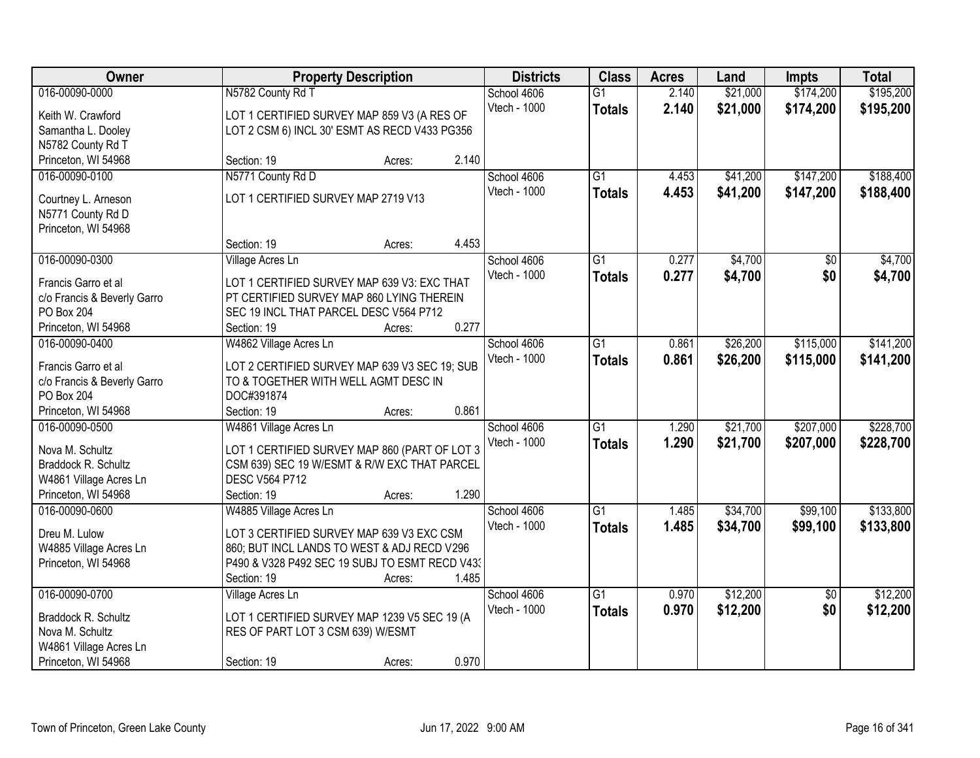| Owner                       |                                                | <b>Property Description</b> |       |              | <b>Class</b>    | <b>Acres</b> | Land     | <b>Impts</b>    | <b>Total</b> |
|-----------------------------|------------------------------------------------|-----------------------------|-------|--------------|-----------------|--------------|----------|-----------------|--------------|
| 016-00090-0000              | N5782 County Rd T                              |                             |       | School 4606  | $\overline{G1}$ | 2.140        | \$21,000 | \$174,200       | \$195,200    |
| Keith W. Crawford           | LOT 1 CERTIFIED SURVEY MAP 859 V3 (A RES OF    |                             |       | Vtech - 1000 | <b>Totals</b>   | 2.140        | \$21,000 | \$174,200       | \$195,200    |
| Samantha L. Dooley          | LOT 2 CSM 6) INCL 30' ESMT AS RECD V433 PG356  |                             |       |              |                 |              |          |                 |              |
| N5782 County Rd T           |                                                |                             |       |              |                 |              |          |                 |              |
| Princeton, WI 54968         | Section: 19                                    | Acres:                      | 2.140 |              |                 |              |          |                 |              |
| 016-00090-0100              | N5771 County Rd D                              |                             |       | School 4606  | $\overline{G1}$ | 4.453        | \$41,200 | \$147,200       | \$188,400    |
|                             |                                                |                             |       | Vtech - 1000 | <b>Totals</b>   | 4.453        | \$41,200 | \$147,200       | \$188,400    |
| Courtney L. Arneson         | LOT 1 CERTIFIED SURVEY MAP 2719 V13            |                             |       |              |                 |              |          |                 |              |
| N5771 County Rd D           |                                                |                             |       |              |                 |              |          |                 |              |
| Princeton, WI 54968         | Section: 19                                    |                             | 4.453 |              |                 |              |          |                 |              |
| 016-00090-0300              | Village Acres Ln                               | Acres:                      |       | School 4606  | $\overline{G1}$ | 0.277        | \$4,700  | $\overline{50}$ | \$4,700      |
|                             |                                                |                             |       | Vtech - 1000 |                 |              |          |                 |              |
| Francis Garro et al         | LOT 1 CERTIFIED SURVEY MAP 639 V3: EXC THAT    |                             |       |              | <b>Totals</b>   | 0.277        | \$4,700  | \$0             | \$4,700      |
| c/o Francis & Beverly Garro | PT CERTIFIED SURVEY MAP 860 LYING THEREIN      |                             |       |              |                 |              |          |                 |              |
| PO Box 204                  | SEC 19 INCL THAT PARCEL DESC V564 P712         |                             |       |              |                 |              |          |                 |              |
| Princeton, WI 54968         | Section: 19                                    | Acres:                      | 0.277 |              |                 |              |          |                 |              |
| 016-00090-0400              | W4862 Village Acres Ln                         |                             |       | School 4606  | $\overline{G1}$ | 0.861        | \$26,200 | \$115,000       | \$141,200    |
| Francis Garro et al         | LOT 2 CERTIFIED SURVEY MAP 639 V3 SEC 19; SUB  |                             |       | Vtech - 1000 | <b>Totals</b>   | 0.861        | \$26,200 | \$115,000       | \$141,200    |
| c/o Francis & Beverly Garro | TO & TOGETHER WITH WELL AGMT DESC IN           |                             |       |              |                 |              |          |                 |              |
| <b>PO Box 204</b>           | DOC#391874                                     |                             |       |              |                 |              |          |                 |              |
| Princeton, WI 54968         | Section: 19                                    | Acres:                      | 0.861 |              |                 |              |          |                 |              |
| 016-00090-0500              | W4861 Village Acres Ln                         |                             |       | School 4606  | $\overline{G1}$ | 1.290        | \$21,700 | \$207,000       | \$228,700    |
|                             |                                                |                             |       | Vtech - 1000 | <b>Totals</b>   | 1.290        | \$21,700 | \$207,000       | \$228,700    |
| Nova M. Schultz             | LOT 1 CERTIFIED SURVEY MAP 860 (PART OF LOT 3  |                             |       |              |                 |              |          |                 |              |
| Braddock R. Schultz         | CSM 639) SEC 19 W/ESMT & R/W EXC THAT PARCEL   |                             |       |              |                 |              |          |                 |              |
| W4861 Village Acres Ln      | <b>DESC V564 P712</b>                          |                             |       |              |                 |              |          |                 |              |
| Princeton, WI 54968         | Section: 19                                    | Acres:                      | 1.290 |              |                 |              |          |                 |              |
| 016-00090-0600              | W4885 Village Acres Ln                         |                             |       | School 4606  | G1              | 1.485        | \$34,700 | \$99,100        | \$133,800    |
| Dreu M. Lulow               | LOT 3 CERTIFIED SURVEY MAP 639 V3 EXC CSM      |                             |       | Vtech - 1000 | <b>Totals</b>   | 1.485        | \$34,700 | \$99,100        | \$133,800    |
| W4885 Village Acres Ln      | 860; BUT INCL LANDS TO WEST & ADJ RECD V296    |                             |       |              |                 |              |          |                 |              |
| Princeton, WI 54968         | P490 & V328 P492 SEC 19 SUBJ TO ESMT RECD V43: |                             |       |              |                 |              |          |                 |              |
|                             | Section: 19                                    | Acres:                      | 1.485 |              |                 |              |          |                 |              |
| 016-00090-0700              | Village Acres Ln                               |                             |       | School 4606  | $\overline{G1}$ | 0.970        | \$12,200 | $\overline{50}$ | \$12,200     |
|                             |                                                |                             |       | Vtech - 1000 | <b>Totals</b>   | 0.970        | \$12,200 | \$0             | \$12,200     |
| Braddock R. Schultz         | LOT 1 CERTIFIED SURVEY MAP 1239 V5 SEC 19 (A   |                             |       |              |                 |              |          |                 |              |
| Nova M. Schultz             | RES OF PART LOT 3 CSM 639) W/ESMT              |                             |       |              |                 |              |          |                 |              |
| W4861 Village Acres Ln      |                                                |                             |       |              |                 |              |          |                 |              |
| Princeton, WI 54968         | Section: 19                                    | Acres:                      | 0.970 |              |                 |              |          |                 |              |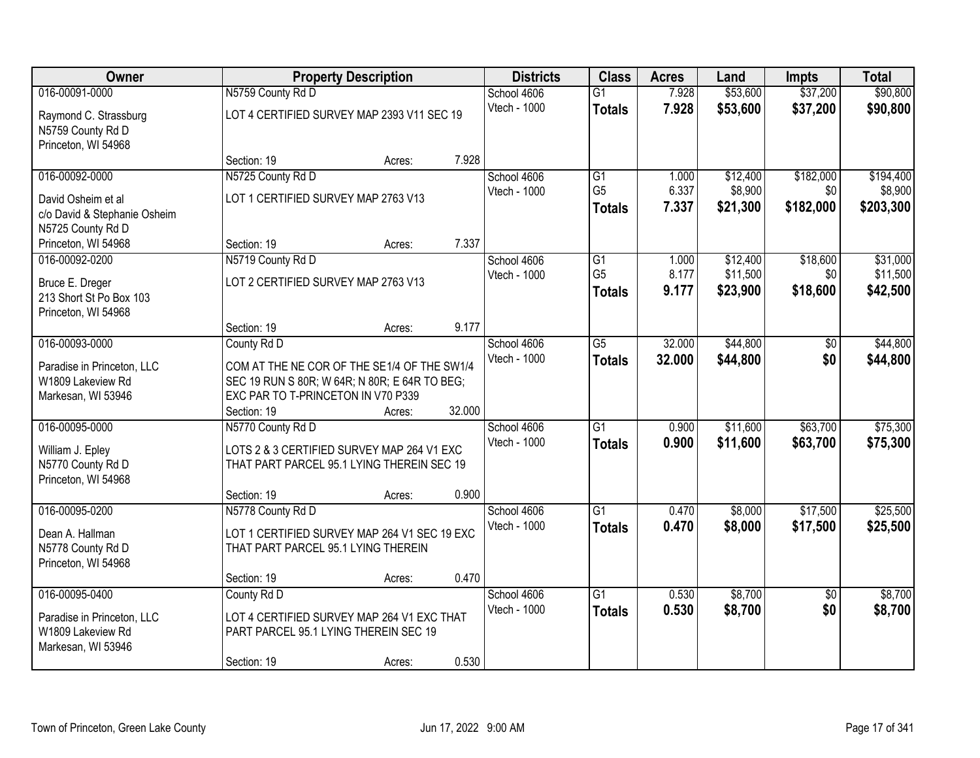| Owner                                                                                   |                                                                                                                                    | <b>Property Description</b> |                             |                                  | <b>Acres</b>   | Land                 | <b>Impts</b>           | <b>Total</b>         |
|-----------------------------------------------------------------------------------------|------------------------------------------------------------------------------------------------------------------------------------|-----------------------------|-----------------------------|----------------------------------|----------------|----------------------|------------------------|----------------------|
| 016-00091-0000                                                                          | N5759 County Rd D                                                                                                                  |                             | School 4606                 | $\overline{G1}$                  | 7.928          | \$53,600             | \$37,200               | \$90,800             |
| Raymond C. Strassburg<br>N5759 County Rd D<br>Princeton, WI 54968                       | LOT 4 CERTIFIED SURVEY MAP 2393 V11 SEC 19                                                                                         |                             | Vtech - 1000                | <b>Totals</b>                    | 7.928          | \$53,600             | \$37,200               | \$90,800             |
|                                                                                         | Section: 19                                                                                                                        | Acres:                      | 7.928                       |                                  |                |                      |                        |                      |
| 016-00092-0000                                                                          | N5725 County Rd D                                                                                                                  |                             | School 4606                 | G1                               | 1.000          | \$12,400             | \$182,000              | \$194,400            |
| David Osheim et al<br>c/o David & Stephanie Osheim<br>N5725 County Rd D                 | LOT 1 CERTIFIED SURVEY MAP 2763 V13                                                                                                |                             | Vtech - 1000                | G <sub>5</sub><br><b>Totals</b>  | 6.337<br>7.337 | \$8,900<br>\$21,300  | \$0<br>\$182,000       | \$8,900<br>\$203,300 |
| Princeton, WI 54968                                                                     | Section: 19                                                                                                                        | Acres:                      | 7.337                       |                                  |                |                      |                        |                      |
| 016-00092-0200                                                                          | N5719 County Rd D                                                                                                                  |                             | School 4606                 | G1                               | 1.000          | \$12,400             | \$18,600               | \$31,000             |
| Bruce E. Dreger<br>213 Short St Po Box 103<br>Princeton, WI 54968                       | LOT 2 CERTIFIED SURVEY MAP 2763 V13                                                                                                |                             | Vtech - 1000                | G <sub>5</sub><br><b>Totals</b>  | 8.177<br>9.177 | \$11,500<br>\$23,900 | \$0<br>\$18,600        | \$11,500<br>\$42,500 |
|                                                                                         | Section: 19                                                                                                                        | Acres:                      | 9.177                       |                                  |                |                      |                        |                      |
| 016-00093-0000                                                                          | County Rd D                                                                                                                        |                             | School 4606                 | $\overline{G5}$                  | 32.000         | \$44,800             | \$0                    | \$44,800             |
| Paradise in Princeton, LLC<br>W1809 Lakeview Rd<br>Markesan, WI 53946                   | COM AT THE NE COR OF THE SE1/4 OF THE SW1/4<br>SEC 19 RUN S 80R; W 64R; N 80R; E 64R TO BEG;<br>EXC PAR TO T-PRINCETON IN V70 P339 |                             | Vtech - 1000                | <b>Totals</b>                    | 32.000         | \$44,800             | \$0                    | \$44,800             |
|                                                                                         | Section: 19                                                                                                                        | Acres:                      | 32.000                      |                                  |                |                      |                        |                      |
| 016-00095-0000<br>William J. Epley<br>N5770 County Rd D<br>Princeton, WI 54968          | N5770 County Rd D<br>LOTS 2 & 3 CERTIFIED SURVEY MAP 264 V1 EXC<br>THAT PART PARCEL 95.1 LYING THEREIN SEC 19                      |                             | School 4606<br>Vtech - 1000 | $\overline{G1}$<br><b>Totals</b> | 0.900<br>0.900 | \$11,600<br>\$11,600 | \$63,700<br>\$63,700   | \$75,300<br>\$75,300 |
|                                                                                         | Section: 19                                                                                                                        | Acres:                      | 0.900                       |                                  |                |                      |                        |                      |
| 016-00095-0200<br>Dean A. Hallman<br>N5778 County Rd D<br>Princeton, WI 54968           | N5778 County Rd D<br>LOT 1 CERTIFIED SURVEY MAP 264 V1 SEC 19 EXC<br>THAT PART PARCEL 95.1 LYING THEREIN                           |                             | School 4606<br>Vtech - 1000 | G1<br><b>Totals</b>              | 0.470<br>0.470 | \$8,000<br>\$8,000   | \$17,500<br>\$17,500   | \$25,500<br>\$25,500 |
|                                                                                         | Section: 19                                                                                                                        | Acres:                      | 0.470                       |                                  |                |                      |                        |                      |
| 016-00095-0400<br>Paradise in Princeton, LLC<br>W1809 Lakeview Rd<br>Markesan, WI 53946 | County Rd D<br>LOT 4 CERTIFIED SURVEY MAP 264 V1 EXC THAT<br>PART PARCEL 95.1 LYING THEREIN SEC 19                                 |                             | School 4606<br>Vtech - 1000 | $\overline{G1}$<br><b>Totals</b> | 0.530<br>0.530 | \$8,700<br>\$8,700   | $\overline{30}$<br>\$0 | \$8,700<br>\$8,700   |
|                                                                                         | Section: 19                                                                                                                        | Acres:                      | 0.530                       |                                  |                |                      |                        |                      |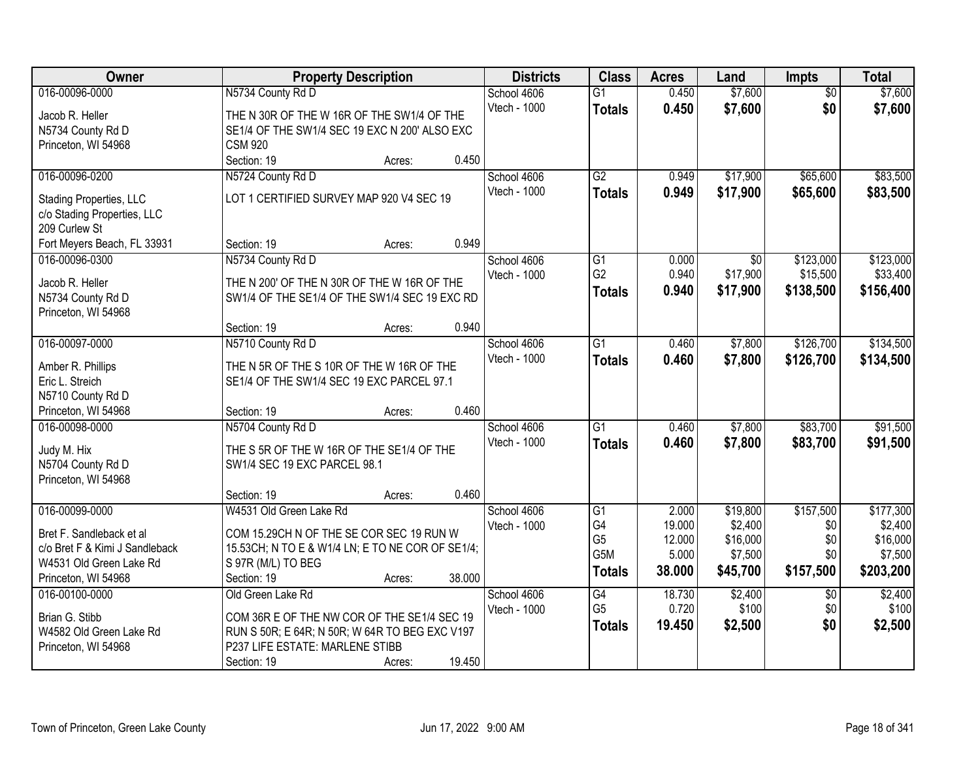| Owner                          |                                                  | <b>Property Description</b> |        |              | <b>Class</b>     | <b>Acres</b> | Land            | <b>Impts</b>    | <b>Total</b> |
|--------------------------------|--------------------------------------------------|-----------------------------|--------|--------------|------------------|--------------|-----------------|-----------------|--------------|
| 016-00096-0000                 | N5734 County Rd D                                |                             |        | School 4606  | $\overline{G1}$  | 0.450        | \$7,600         | $\overline{50}$ | \$7,600      |
| Jacob R. Heller                | THE N 30R OF THE W 16R OF THE SW1/4 OF THE       |                             |        | Vtech - 1000 | <b>Totals</b>    | 0.450        | \$7,600         | \$0             | \$7,600      |
| N5734 County Rd D              | SE1/4 OF THE SW1/4 SEC 19 EXC N 200' ALSO EXC    |                             |        |              |                  |              |                 |                 |              |
| Princeton, WI 54968            | <b>CSM 920</b>                                   |                             |        |              |                  |              |                 |                 |              |
|                                | Section: 19                                      | Acres:                      | 0.450  |              |                  |              |                 |                 |              |
| 016-00096-0200                 | N5724 County Rd D                                |                             |        | School 4606  | $\overline{G2}$  | 0.949        | \$17,900        | \$65,600        | \$83,500     |
| Stading Properties, LLC        | LOT 1 CERTIFIED SURVEY MAP 920 V4 SEC 19         |                             |        | Vtech - 1000 | <b>Totals</b>    | 0.949        | \$17,900        | \$65,600        | \$83,500     |
| c/o Stading Properties, LLC    |                                                  |                             |        |              |                  |              |                 |                 |              |
| 209 Curlew St                  |                                                  |                             |        |              |                  |              |                 |                 |              |
| Fort Meyers Beach, FL 33931    | Section: 19                                      | Acres:                      | 0.949  |              |                  |              |                 |                 |              |
| 016-00096-0300                 | N5734 County Rd D                                |                             |        | School 4606  | $\overline{G1}$  | 0.000        | $\overline{50}$ | \$123,000       | \$123,000    |
| Jacob R. Heller                | THE N 200' OF THE N 30R OF THE W 16R OF THE      |                             |        | Vtech - 1000 | G <sub>2</sub>   | 0.940        | \$17,900        | \$15,500        | \$33,400     |
| N5734 County Rd D              | SW1/4 OF THE SE1/4 OF THE SW1/4 SEC 19 EXC RD    |                             |        |              | <b>Totals</b>    | 0.940        | \$17,900        | \$138,500       | \$156,400    |
| Princeton, WI 54968            |                                                  |                             |        |              |                  |              |                 |                 |              |
|                                | Section: 19                                      | Acres:                      | 0.940  |              |                  |              |                 |                 |              |
| 016-00097-0000                 | N5710 County Rd D                                |                             |        | School 4606  | $\overline{G1}$  | 0.460        | \$7,800         | \$126,700       | \$134,500    |
| Amber R. Phillips              | THE N 5R OF THE S 10R OF THE W 16R OF THE        |                             |        | Vtech - 1000 | <b>Totals</b>    | 0.460        | \$7,800         | \$126,700       | \$134,500    |
| Eric L. Streich                | SE1/4 OF THE SW1/4 SEC 19 EXC PARCEL 97.1        |                             |        |              |                  |              |                 |                 |              |
| N5710 County Rd D              |                                                  |                             |        |              |                  |              |                 |                 |              |
| Princeton, WI 54968            | Section: 19                                      | Acres:                      | 0.460  |              |                  |              |                 |                 |              |
| 016-00098-0000                 | N5704 County Rd D                                |                             |        | School 4606  | $\overline{G1}$  | 0.460        | \$7,800         | \$83,700        | \$91,500     |
| Judy M. Hix                    | THE S 5R OF THE W 16R OF THE SE1/4 OF THE        |                             |        | Vtech - 1000 | <b>Totals</b>    | 0.460        | \$7,800         | \$83,700        | \$91,500     |
| N5704 County Rd D              | SW1/4 SEC 19 EXC PARCEL 98.1                     |                             |        |              |                  |              |                 |                 |              |
| Princeton, WI 54968            |                                                  |                             |        |              |                  |              |                 |                 |              |
|                                | Section: 19                                      | Acres:                      | 0.460  |              |                  |              |                 |                 |              |
| 016-00099-0000                 | W4531 Old Green Lake Rd                          |                             |        | School 4606  | $\overline{G1}$  | 2.000        | \$19,800        | \$157,500       | \$177,300    |
| Bret F. Sandleback et al       | COM 15.29CH N OF THE SE COR SEC 19 RUN W         |                             |        | Vtech - 1000 | G4               | 19.000       | \$2,400         | \$0             | \$2,400      |
| c/o Bret F & Kimi J Sandleback | 15.53CH; N TO E & W1/4 LN; E TO NE COR OF SE1/4; |                             |        |              | G <sub>5</sub>   | 12.000       | \$16,000        | \$0             | \$16,000     |
| W4531 Old Green Lake Rd        | S 97R (M/L) TO BEG                               |                             |        |              | G <sub>5</sub> M | 5.000        | \$7,500         | \$0             | \$7,500      |
| Princeton, WI 54968            | Section: 19                                      | Acres:                      | 38.000 |              | <b>Totals</b>    | 38.000       | \$45,700        | \$157,500       | \$203,200    |
| 016-00100-0000                 | Old Green Lake Rd                                |                             |        | School 4606  | G4               | 18.730       | \$2,400         | $\overline{30}$ | \$2,400      |
| Brian G. Stibb                 | COM 36R E OF THE NW COR OF THE SE1/4 SEC 19      |                             |        | Vtech - 1000 | G <sub>5</sub>   | 0.720        | \$100           | \$0             | \$100        |
| W4582 Old Green Lake Rd        | RUN S 50R; E 64R; N 50R; W 64R TO BEG EXC V197   |                             |        |              | <b>Totals</b>    | 19.450       | \$2,500         | \$0             | \$2,500      |
| Princeton, WI 54968            | P237 LIFE ESTATE: MARLENE STIBB                  |                             |        |              |                  |              |                 |                 |              |
|                                | Section: 19                                      | Acres:                      | 19.450 |              |                  |              |                 |                 |              |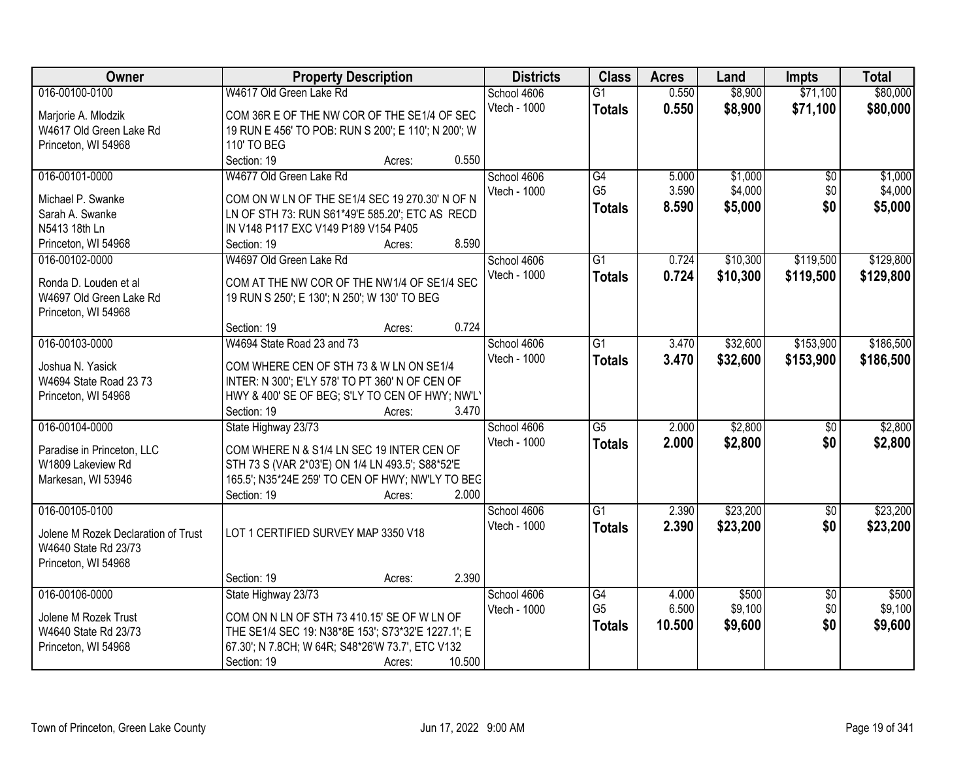| Owner                                | <b>Property Description</b>                                                             |                  | <b>Districts</b> | <b>Class</b>    | <b>Acres</b> | Land     | <b>Impts</b>    | <b>Total</b> |
|--------------------------------------|-----------------------------------------------------------------------------------------|------------------|------------------|-----------------|--------------|----------|-----------------|--------------|
| 016-00100-0100                       | W4617 Old Green Lake Rd                                                                 |                  | School 4606      | $\overline{G1}$ | 0.550        | \$8,900  | \$71,100        | \$80,000     |
| Marjorie A. Mlodzik                  | COM 36R E OF THE NW COR OF THE SE1/4 OF SEC                                             |                  | Vtech - 1000     | <b>Totals</b>   | 0.550        | \$8,900  | \$71,100        | \$80,000     |
| W4617 Old Green Lake Rd              | 19 RUN E 456' TO POB: RUN S 200'; E 110'; N 200'; W                                     |                  |                  |                 |              |          |                 |              |
| Princeton, WI 54968                  | 110' TO BEG                                                                             |                  |                  |                 |              |          |                 |              |
|                                      | Section: 19                                                                             | 0.550<br>Acres:  |                  |                 |              |          |                 |              |
| 016-00101-0000                       | W4677 Old Green Lake Rd                                                                 |                  | School 4606      | G4              | 5.000        | \$1,000  | $\overline{50}$ | \$1,000      |
|                                      |                                                                                         |                  | Vtech - 1000     | G <sub>5</sub>  | 3.590        | \$4,000  | \$0             | \$4,000      |
| Michael P. Swanke<br>Sarah A. Swanke | COM ON W LN OF THE SE1/4 SEC 19 270.30' N OF N                                          |                  |                  | <b>Totals</b>   | 8.590        | \$5,000  | \$0             | \$5,000      |
| N5413 18th Ln                        | LN OF STH 73: RUN S61*49'E 585.20'; ETC AS RECD<br>IN V148 P117 EXC V149 P189 V154 P405 |                  |                  |                 |              |          |                 |              |
| Princeton, WI 54968                  | Section: 19                                                                             | 8.590<br>Acres:  |                  |                 |              |          |                 |              |
| 016-00102-0000                       | W4697 Old Green Lake Rd                                                                 |                  | School 4606      | $\overline{G1}$ | 0.724        | \$10,300 | \$119,500       | \$129,800    |
|                                      |                                                                                         |                  | Vtech - 1000     |                 |              | \$10,300 | \$119,500       |              |
| Ronda D. Louden et al                | COM AT THE NW COR OF THE NW1/4 OF SE1/4 SEC                                             |                  |                  | <b>Totals</b>   | 0.724        |          |                 | \$129,800    |
| W4697 Old Green Lake Rd              | 19 RUN S 250'; E 130'; N 250'; W 130' TO BEG                                            |                  |                  |                 |              |          |                 |              |
| Princeton, WI 54968                  |                                                                                         |                  |                  |                 |              |          |                 |              |
|                                      | Section: 19                                                                             | 0.724<br>Acres:  |                  |                 |              |          |                 |              |
| 016-00103-0000                       | W4694 State Road 23 and 73                                                              |                  | School 4606      | $\overline{G1}$ | 3.470        | \$32,600 | \$153,900       | \$186,500    |
| Joshua N. Yasick                     | COM WHERE CEN OF STH 73 & W LN ON SE1/4                                                 |                  | Vtech - 1000     | <b>Totals</b>   | 3.470        | \$32,600 | \$153,900       | \$186,500    |
| W4694 State Road 23 73               | INTER: N 300'; E'LY 578' TO PT 360' N OF CEN OF                                         |                  |                  |                 |              |          |                 |              |
| Princeton, WI 54968                  | HWY & 400' SE OF BEG; S'LY TO CEN OF HWY; NW'L'                                         |                  |                  |                 |              |          |                 |              |
|                                      | Section: 19                                                                             | 3.470<br>Acres:  |                  |                 |              |          |                 |              |
| 016-00104-0000                       | State Highway 23/73                                                                     |                  | School 4606      | $\overline{G5}$ | 2.000        | \$2,800  | $\overline{50}$ | \$2,800      |
|                                      |                                                                                         |                  | Vtech - 1000     | <b>Totals</b>   | 2.000        | \$2,800  | \$0             | \$2,800      |
| Paradise in Princeton, LLC           | COM WHERE N & S1/4 LN SEC 19 INTER CEN OF                                               |                  |                  |                 |              |          |                 |              |
| W1809 Lakeview Rd                    | STH 73 S (VAR 2*03'E) ON 1/4 LN 493.5'; S88*52'E                                        |                  |                  |                 |              |          |                 |              |
| Markesan, WI 53946                   | 165.5'; N35*24E 259' TO CEN OF HWY; NW'LY TO BEC                                        |                  |                  |                 |              |          |                 |              |
|                                      | Section: 19                                                                             | 2.000<br>Acres:  |                  |                 |              |          |                 |              |
| 016-00105-0100                       |                                                                                         |                  | School 4606      | $\overline{G1}$ | 2.390        | \$23,200 | $\overline{60}$ | \$23,200     |
| Jolene M Rozek Declaration of Trust  | LOT 1 CERTIFIED SURVEY MAP 3350 V18                                                     |                  | Vtech - 1000     | <b>Totals</b>   | 2.390        | \$23,200 | \$0             | \$23,200     |
| W4640 State Rd 23/73                 |                                                                                         |                  |                  |                 |              |          |                 |              |
| Princeton, WI 54968                  |                                                                                         |                  |                  |                 |              |          |                 |              |
|                                      | Section: 19                                                                             | 2.390<br>Acres:  |                  |                 |              |          |                 |              |
| 016-00106-0000                       | State Highway 23/73                                                                     |                  | School 4606      | G4              | 4.000        | \$500    | $\overline{50}$ | \$500        |
|                                      |                                                                                         |                  | Vtech - 1000     | G <sub>5</sub>  | 6.500        | \$9,100  | \$0             | \$9,100      |
| Jolene M Rozek Trust                 | COM ON N LN OF STH 73 410.15' SE OF W LN OF                                             |                  |                  | <b>Totals</b>   | 10.500       | \$9,600  | \$0             | \$9,600      |
| W4640 State Rd 23/73                 | THE SE1/4 SEC 19: N38*8E 153'; S73*32'E 1227.1'; E                                      |                  |                  |                 |              |          |                 |              |
| Princeton, WI 54968                  | 67.30'; N 7.8CH; W 64R; S48*26'W 73.7', ETC V132                                        |                  |                  |                 |              |          |                 |              |
|                                      | Section: 19                                                                             | 10.500<br>Acres: |                  |                 |              |          |                 |              |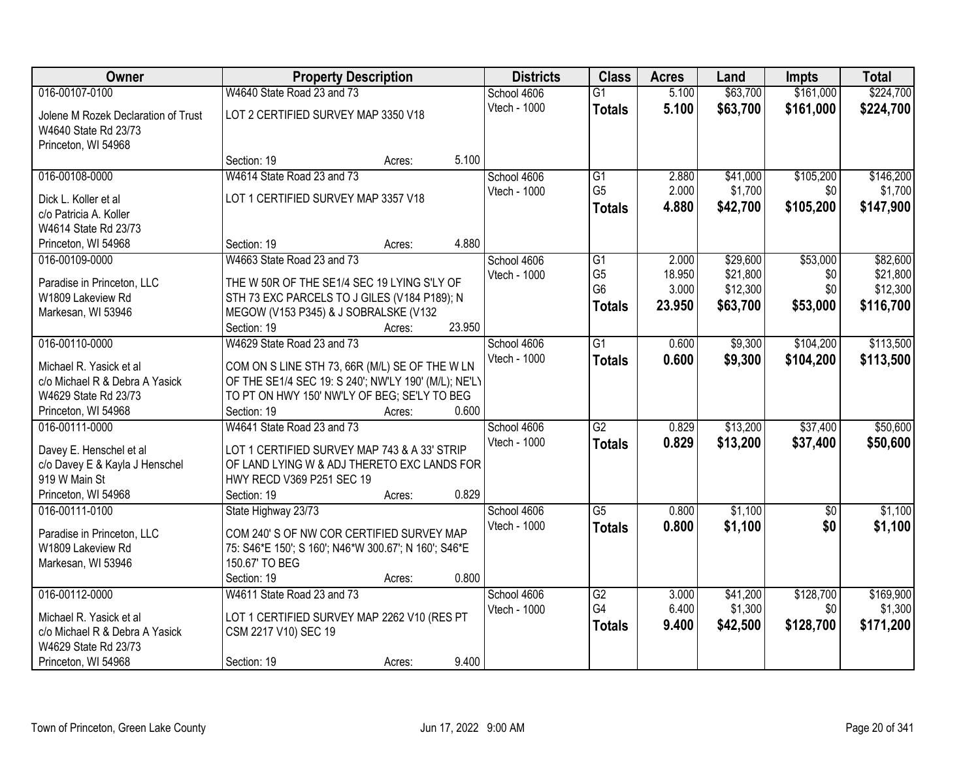| Owner                                                     | <b>Property Description</b>                                                                            | <b>Districts</b> | <b>Class</b> | <b>Acres</b>    | Land   | <b>Impts</b> | <b>Total</b> |           |
|-----------------------------------------------------------|--------------------------------------------------------------------------------------------------------|------------------|--------------|-----------------|--------|--------------|--------------|-----------|
| 016-00107-0100                                            | W4640 State Road 23 and 73                                                                             |                  | School 4606  | $\overline{G1}$ | 5.100  | \$63,700     | \$161,000    | \$224,700 |
| Jolene M Rozek Declaration of Trust                       | LOT 2 CERTIFIED SURVEY MAP 3350 V18                                                                    |                  | Vtech - 1000 | <b>Totals</b>   | 5.100  | \$63,700     | \$161,000    | \$224,700 |
| W4640 State Rd 23/73                                      |                                                                                                        |                  |              |                 |        |              |              |           |
| Princeton, WI 54968                                       |                                                                                                        |                  |              |                 |        |              |              |           |
|                                                           | Section: 19                                                                                            | 5.100<br>Acres:  |              |                 |        |              |              |           |
| 016-00108-0000                                            | W4614 State Road 23 and 73                                                                             |                  | School 4606  | $\overline{G1}$ | 2.880  | \$41,000     | \$105,200    | \$146,200 |
| Dick L. Koller et al                                      | LOT 1 CERTIFIED SURVEY MAP 3357 V18                                                                    |                  | Vtech - 1000 | G <sub>5</sub>  | 2.000  | \$1,700      | \$0          | \$1,700   |
| c/o Patricia A. Koller                                    |                                                                                                        |                  |              | <b>Totals</b>   | 4.880  | \$42,700     | \$105,200    | \$147,900 |
| W4614 State Rd 23/73                                      |                                                                                                        |                  |              |                 |        |              |              |           |
| Princeton, WI 54968                                       | Section: 19                                                                                            | 4.880<br>Acres:  |              |                 |        |              |              |           |
| 016-00109-0000                                            | W4663 State Road 23 and 73                                                                             |                  | School 4606  | G1              | 2.000  | \$29,600     | \$53,000     | \$82,600  |
| Paradise in Princeton, LLC                                | THE W 50R OF THE SE1/4 SEC 19 LYING S'LY OF                                                            |                  | Vtech - 1000 | G <sub>5</sub>  | 18.950 | \$21,800     | \$0          | \$21,800  |
| W1809 Lakeview Rd                                         | STH 73 EXC PARCELS TO J GILES (V184 P189); N                                                           |                  |              | G <sub>6</sub>  | 3.000  | \$12,300     | \$0          | \$12,300  |
| Markesan, WI 53946                                        | MEGOW (V153 P345) & J SOBRALSKE (V132                                                                  |                  |              | <b>Totals</b>   | 23.950 | \$63,700     | \$53,000     | \$116,700 |
|                                                           | Section: 19                                                                                            | 23.950<br>Acres: |              |                 |        |              |              |           |
| 016-00110-0000                                            | W4629 State Road 23 and 73                                                                             |                  | School 4606  | $\overline{G1}$ | 0.600  | \$9,300      | \$104,200    | \$113,500 |
|                                                           |                                                                                                        |                  | Vtech - 1000 | <b>Totals</b>   | 0.600  | \$9,300      | \$104,200    | \$113,500 |
| Michael R. Yasick et al<br>c/o Michael R & Debra A Yasick | COM ON S LINE STH 73, 66R (M/L) SE OF THE W LN<br>OF THE SE1/4 SEC 19: S 240'; NW'LY 190' (M/L); NE'LY |                  |              |                 |        |              |              |           |
| W4629 State Rd 23/73                                      | TO PT ON HWY 150' NW'LY OF BEG; SE'LY TO BEG                                                           |                  |              |                 |        |              |              |           |
| Princeton, WI 54968                                       | Section: 19                                                                                            | 0.600<br>Acres:  |              |                 |        |              |              |           |
| 016-00111-0000                                            | W4641 State Road 23 and 73                                                                             |                  | School 4606  | $\overline{G2}$ | 0.829  | \$13,200     | \$37,400     | \$50,600  |
|                                                           |                                                                                                        |                  | Vtech - 1000 | Totals          | 0.829  | \$13,200     | \$37,400     | \$50,600  |
| Davey E. Henschel et al                                   | LOT 1 CERTIFIED SURVEY MAP 743 & A 33' STRIP                                                           |                  |              |                 |        |              |              |           |
| c/o Davey E & Kayla J Henschel<br>919 W Main St           | OF LAND LYING W & ADJ THERETO EXC LANDS FOR<br>HWY RECD V369 P251 SEC 19                               |                  |              |                 |        |              |              |           |
| Princeton, WI 54968                                       | Section: 19                                                                                            | 0.829<br>Acres:  |              |                 |        |              |              |           |
| 016-00111-0100                                            | State Highway 23/73                                                                                    |                  | School 4606  | $\overline{G5}$ | 0.800  | \$1,100      | \$0          | \$1,100   |
|                                                           |                                                                                                        |                  | Vtech - 1000 | <b>Totals</b>   | 0.800  | \$1,100      | \$0          | \$1,100   |
| Paradise in Princeton, LLC                                | COM 240' S OF NW COR CERTIFIED SURVEY MAP                                                              |                  |              |                 |        |              |              |           |
| W1809 Lakeview Rd                                         | 75: S46*E 150'; S 160'; N46*W 300.67'; N 160'; S46*E<br>150.67' TO BEG                                 |                  |              |                 |        |              |              |           |
| Markesan, WI 53946                                        | Section: 19                                                                                            | 0.800<br>Acres:  |              |                 |        |              |              |           |
| 016-00112-0000                                            | W4611 State Road 23 and 73                                                                             |                  | School 4606  | G2              | 3.000  | \$41,200     | \$128,700    | \$169,900 |
|                                                           |                                                                                                        |                  | Vtech - 1000 | G4              | 6.400  | \$1,300      | \$0          | \$1,300   |
| Michael R. Yasick et al                                   | LOT 1 CERTIFIED SURVEY MAP 2262 V10 (RES PT                                                            |                  |              | <b>Totals</b>   | 9.400  | \$42,500     | \$128,700    | \$171,200 |
| c/o Michael R & Debra A Yasick                            | CSM 2217 V10) SEC 19                                                                                   |                  |              |                 |        |              |              |           |
| W4629 State Rd 23/73                                      |                                                                                                        |                  |              |                 |        |              |              |           |
| Princeton, WI 54968                                       | Section: 19                                                                                            | 9.400<br>Acres:  |              |                 |        |              |              |           |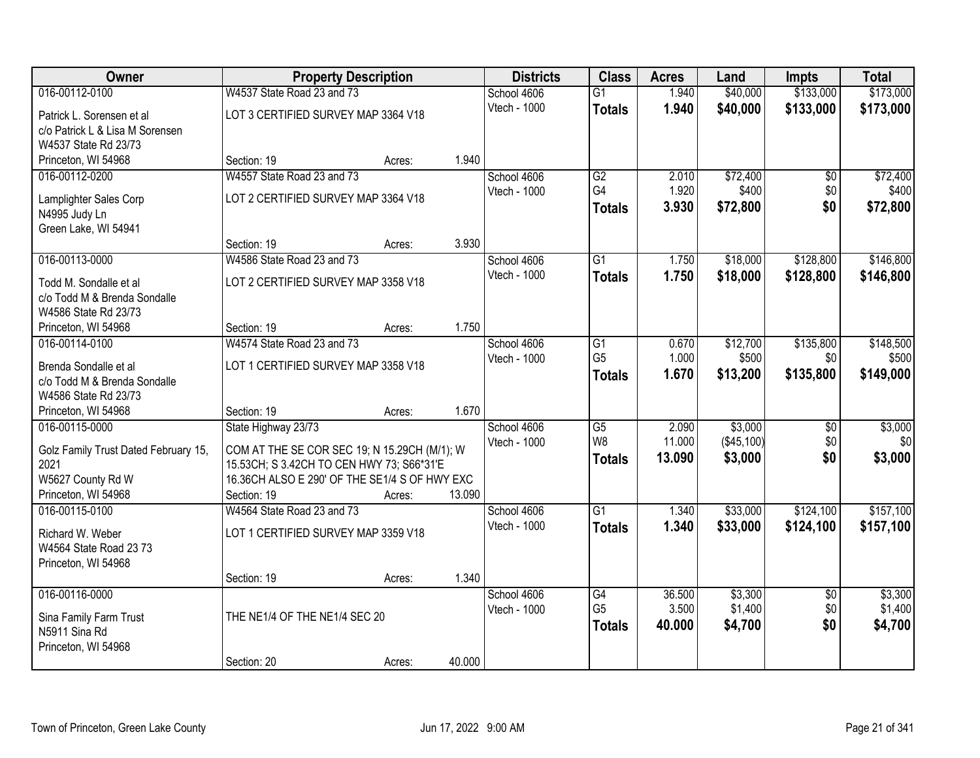| Owner                                |                                               | <b>Property Description</b> |        | <b>Districts</b> | <b>Class</b>    | <b>Acres</b> | Land       | <b>Impts</b>    | <b>Total</b> |
|--------------------------------------|-----------------------------------------------|-----------------------------|--------|------------------|-----------------|--------------|------------|-----------------|--------------|
| 016-00112-0100                       | W4537 State Road 23 and 73                    |                             |        | School 4606      | $\overline{G1}$ | 1.940        | \$40,000   | \$133,000       | \$173,000    |
| Patrick L. Sorensen et al            | LOT 3 CERTIFIED SURVEY MAP 3364 V18           |                             |        | Vtech - 1000     | <b>Totals</b>   | 1.940        | \$40,000   | \$133,000       | \$173,000    |
| c/o Patrick L & Lisa M Sorensen      |                                               |                             |        |                  |                 |              |            |                 |              |
| W4537 State Rd 23/73                 |                                               |                             |        |                  |                 |              |            |                 |              |
| Princeton, WI 54968                  | Section: 19                                   | Acres:                      | 1.940  |                  |                 |              |            |                 |              |
| 016-00112-0200                       | W4557 State Road 23 and 73                    |                             |        | School 4606      | G2              | 2.010        | \$72,400   | \$0             | \$72,400     |
| Lamplighter Sales Corp               | LOT 2 CERTIFIED SURVEY MAP 3364 V18           |                             |        | Vtech - 1000     | G4              | 1.920        | \$400      | \$0             | \$400        |
| N4995 Judy Ln                        |                                               |                             |        |                  | <b>Totals</b>   | 3.930        | \$72,800   | \$0             | \$72,800     |
| Green Lake, WI 54941                 |                                               |                             |        |                  |                 |              |            |                 |              |
|                                      | Section: 19                                   | Acres:                      | 3.930  |                  |                 |              |            |                 |              |
| 016-00113-0000                       | W4586 State Road 23 and 73                    |                             |        | School 4606      | G1              | 1.750        | \$18,000   | \$128,800       | \$146,800    |
| Todd M. Sondalle et al               | LOT 2 CERTIFIED SURVEY MAP 3358 V18           |                             |        | Vtech - 1000     | <b>Totals</b>   | 1.750        | \$18,000   | \$128,800       | \$146,800    |
| c/o Todd M & Brenda Sondalle         |                                               |                             |        |                  |                 |              |            |                 |              |
| W4586 State Rd 23/73                 |                                               |                             |        |                  |                 |              |            |                 |              |
| Princeton, WI 54968                  | Section: 19                                   | Acres:                      | 1.750  |                  |                 |              |            |                 |              |
| 016-00114-0100                       | W4574 State Road 23 and 73                    |                             |        | School 4606      | G1              | 0.670        | \$12,700   | \$135,800       | \$148,500    |
| Brenda Sondalle et al                | LOT 1 CERTIFIED SURVEY MAP 3358 V18           |                             |        | Vtech - 1000     | G <sub>5</sub>  | 1.000        | \$500      | \$0             | \$500        |
| c/o Todd M & Brenda Sondalle         |                                               |                             |        |                  | <b>Totals</b>   | 1.670        | \$13,200   | \$135,800       | \$149,000    |
| W4586 State Rd 23/73                 |                                               |                             |        |                  |                 |              |            |                 |              |
| Princeton, WI 54968                  | Section: 19                                   | Acres:                      | 1.670  |                  |                 |              |            |                 |              |
| 016-00115-0000                       | State Highway 23/73                           |                             |        | School 4606      | $\overline{G5}$ | 2.090        | \$3,000    | $\overline{50}$ | \$3,000      |
| Golz Family Trust Dated February 15, | COM AT THE SE COR SEC 19; N 15.29CH (M/1); W  |                             |        | Vtech - 1000     | W <sub>8</sub>  | 11.000       | (\$45,100) | \$0             | \$0          |
| 2021                                 | 15.53CH; S 3.42CH TO CEN HWY 73; S66*31'E     |                             |        |                  | <b>Totals</b>   | 13.090       | \$3,000    | \$0             | \$3,000      |
| W5627 County Rd W                    | 16.36CH ALSO E 290' OF THE SE1/4 S OF HWY EXC |                             |        |                  |                 |              |            |                 |              |
| Princeton, WI 54968                  | Section: 19                                   | Acres:                      | 13.090 |                  |                 |              |            |                 |              |
| 016-00115-0100                       | W4564 State Road 23 and 73                    |                             |        | School 4606      | $\overline{G1}$ | 1.340        | \$33,000   | \$124,100       | \$157,100    |
| Richard W. Weber                     | LOT 1 CERTIFIED SURVEY MAP 3359 V18           |                             |        | Vtech - 1000     | <b>Totals</b>   | 1.340        | \$33,000   | \$124,100       | \$157,100    |
| W4564 State Road 23 73               |                                               |                             |        |                  |                 |              |            |                 |              |
| Princeton, WI 54968                  |                                               |                             |        |                  |                 |              |            |                 |              |
|                                      | Section: 19                                   | Acres:                      | 1.340  |                  |                 |              |            |                 |              |
| 016-00116-0000                       |                                               |                             |        | School 4606      | G4              | 36.500       | \$3,300    | $\overline{50}$ | \$3,300      |
| Sina Family Farm Trust               | THE NE1/4 OF THE NE1/4 SEC 20                 |                             |        | Vtech - 1000     | G <sub>5</sub>  | 3.500        | \$1,400    | \$0             | \$1,400      |
| N5911 Sina Rd                        |                                               |                             |        |                  | <b>Totals</b>   | 40.000       | \$4,700    | \$0             | \$4,700      |
| Princeton, WI 54968                  |                                               |                             |        |                  |                 |              |            |                 |              |
|                                      | Section: 20                                   | Acres:                      | 40.000 |                  |                 |              |            |                 |              |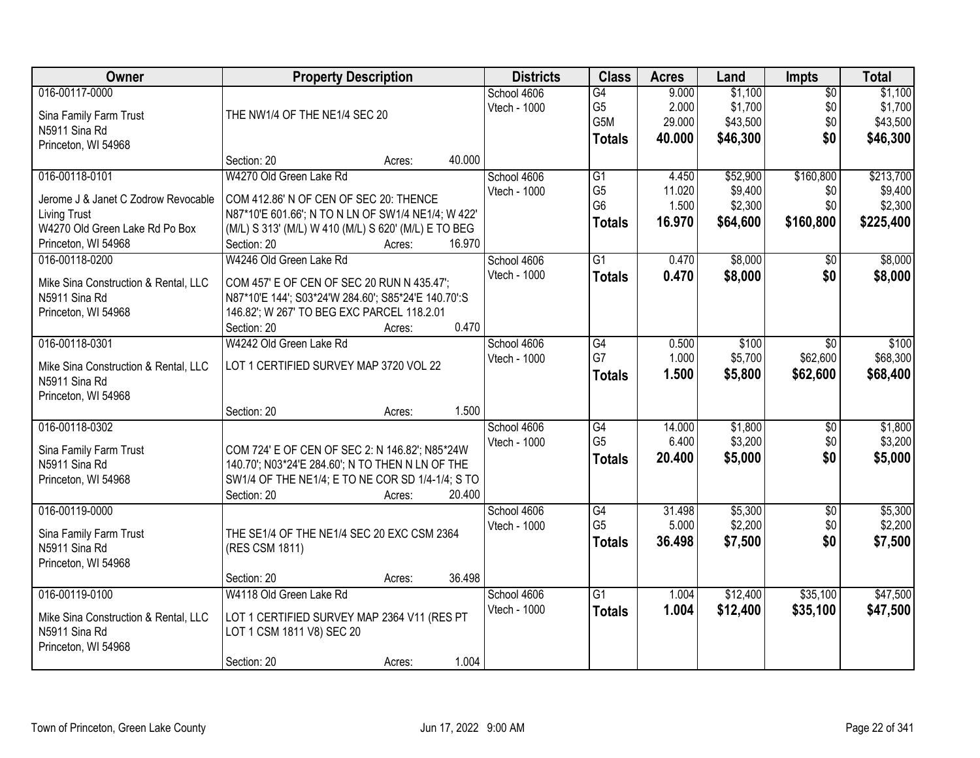| <b>Owner</b>                                          | <b>Property Description</b>                                                                       | <b>Districts</b> | <b>Class</b>    | <b>Acres</b> | Land     | <b>Impts</b> | <b>Total</b> |
|-------------------------------------------------------|---------------------------------------------------------------------------------------------------|------------------|-----------------|--------------|----------|--------------|--------------|
| 016-00117-0000                                        |                                                                                                   | School 4606      | $\overline{G4}$ | 9.000        | \$1,100  | \$0          | \$1,100      |
| Sina Family Farm Trust                                | THE NW1/4 OF THE NE1/4 SEC 20                                                                     | Vtech - 1000     | G <sub>5</sub>  | 2.000        | \$1,700  | \$0          | \$1,700      |
| N5911 Sina Rd                                         |                                                                                                   |                  | G5M             | 29.000       | \$43,500 | \$0          | \$43,500     |
| Princeton, WI 54968                                   |                                                                                                   |                  | <b>Totals</b>   | 40,000       | \$46,300 | \$0          | \$46,300     |
|                                                       | 40.000<br>Section: 20<br>Acres:                                                                   |                  |                 |              |          |              |              |
| 016-00118-0101                                        | W4270 Old Green Lake Rd                                                                           | School 4606      | G1              | 4.450        | \$52,900 | \$160,800    | \$213,700    |
| Jerome J & Janet C Zodrow Revocable                   | COM 412.86' N OF CEN OF SEC 20: THENCE                                                            | Vtech - 1000     | G <sub>5</sub>  | 11.020       | \$9,400  | \$0          | \$9,400      |
| <b>Living Trust</b>                                   | N87*10'E 601.66'; N TO N LN OF SW1/4 NE1/4; W 422'                                                |                  | G <sub>6</sub>  | 1.500        | \$2,300  | \$0          | \$2,300      |
| W4270 Old Green Lake Rd Po Box                        | (M/L) S 313' (M/L) W 410 (M/L) S 620' (M/L) E TO BEG                                              |                  | <b>Totals</b>   | 16.970       | \$64,600 | \$160,800    | \$225,400    |
| Princeton, WI 54968                                   | Section: 20<br>16.970<br>Acres:                                                                   |                  |                 |              |          |              |              |
| 016-00118-0200                                        | W4246 Old Green Lake Rd                                                                           | School 4606      | $\overline{G1}$ | 0.470        | \$8,000  | \$0          | \$8,000      |
|                                                       |                                                                                                   | Vtech - 1000     | <b>Totals</b>   | 0.470        | \$8,000  | \$0          | \$8,000      |
| Mike Sina Construction & Rental, LLC<br>N5911 Sina Rd | COM 457' E OF CEN OF SEC 20 RUN N 435.47';<br>N87*10'E 144'; S03*24'W 284.60'; S85*24'E 140.70':S |                  |                 |              |          |              |              |
| Princeton, WI 54968                                   | 146.82'; W 267' TO BEG EXC PARCEL 118.2.01                                                        |                  |                 |              |          |              |              |
|                                                       | 0.470<br>Section: 20<br>Acres:                                                                    |                  |                 |              |          |              |              |
| 016-00118-0301                                        | W4242 Old Green Lake Rd                                                                           | School 4606      | G4              | 0.500        | \$100    | \$0          | \$100        |
|                                                       |                                                                                                   | Vtech - 1000     | G7              | 1.000        | \$5,700  | \$62,600     | \$68,300     |
| Mike Sina Construction & Rental, LLC                  | LOT 1 CERTIFIED SURVEY MAP 3720 VOL 22                                                            |                  | <b>Totals</b>   | 1.500        | \$5,800  | \$62,600     | \$68,400     |
| N5911 Sina Rd                                         |                                                                                                   |                  |                 |              |          |              |              |
| Princeton, WI 54968                                   | 1.500<br>Section: 20                                                                              |                  |                 |              |          |              |              |
| 016-00118-0302                                        | Acres:                                                                                            | School 4606      | $\overline{G4}$ | 14.000       | \$1,800  | \$0          | \$1,800      |
|                                                       |                                                                                                   | Vtech - 1000     | G <sub>5</sub>  | 6.400        | \$3,200  | \$0          | \$3,200      |
| Sina Family Farm Trust                                | COM 724' E OF CEN OF SEC 2: N 146.82'; N85*24W                                                    |                  | <b>Totals</b>   | 20,400       | \$5,000  | \$0          | \$5,000      |
| N5911 Sina Rd                                         | 140.70'; N03*24'E 284.60'; N TO THEN N LN OF THE                                                  |                  |                 |              |          |              |              |
| Princeton, WI 54968                                   | SW1/4 OF THE NE1/4; E TO NE COR SD 1/4-1/4; S TO                                                  |                  |                 |              |          |              |              |
|                                                       | Section: 20<br>20.400<br>Acres:                                                                   |                  |                 |              |          |              |              |
| 016-00119-0000                                        |                                                                                                   | School 4606      | G4              | 31.498       | \$5,300  | $\sqrt{6}$   | \$5,300      |
| Sina Family Farm Trust                                | THE SE1/4 OF THE NE1/4 SEC 20 EXC CSM 2364                                                        | Vtech - 1000     | G <sub>5</sub>  | 5.000        | \$2,200  | \$0          | \$2,200      |
| N5911 Sina Rd                                         | (RES CSM 1811)                                                                                    |                  | <b>Totals</b>   | 36.498       | \$7,500  | \$0          | \$7,500      |
| Princeton, WI 54968                                   |                                                                                                   |                  |                 |              |          |              |              |
|                                                       | 36.498<br>Section: 20<br>Acres:                                                                   |                  |                 |              |          |              |              |
| 016-00119-0100                                        | W4118 Old Green Lake Rd                                                                           | School 4606      | $\overline{G1}$ | 1.004        | \$12,400 | \$35,100     | \$47,500     |
| Mike Sina Construction & Rental, LLC                  | LOT 1 CERTIFIED SURVEY MAP 2364 V11 (RES PT                                                       | Vtech - 1000     | <b>Totals</b>   | 1.004        | \$12,400 | \$35,100     | \$47,500     |
| N5911 Sina Rd                                         | LOT 1 CSM 1811 V8) SEC 20                                                                         |                  |                 |              |          |              |              |
| Princeton, WI 54968                                   |                                                                                                   |                  |                 |              |          |              |              |
|                                                       | 1.004<br>Section: 20<br>Acres:                                                                    |                  |                 |              |          |              |              |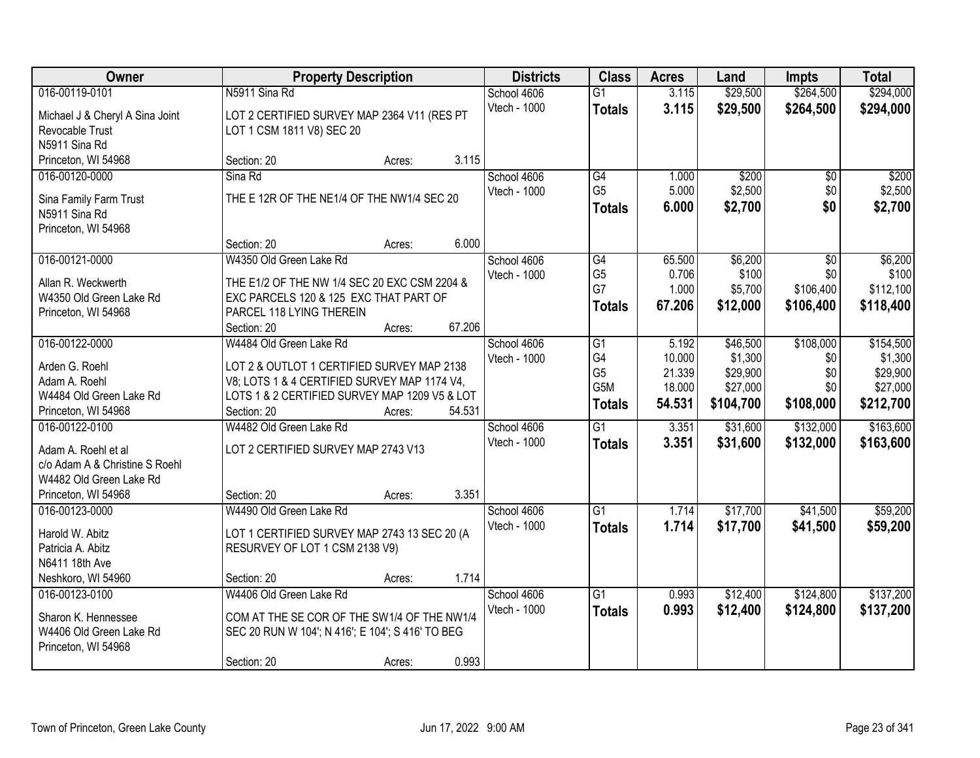| Owner                                                     | <b>Property Description</b>                                                                |                  | <b>Districts</b> | <b>Class</b>    | <b>Acres</b> | Land      | <b>Impts</b>    | <b>Total</b> |
|-----------------------------------------------------------|--------------------------------------------------------------------------------------------|------------------|------------------|-----------------|--------------|-----------|-----------------|--------------|
| 016-00119-0101                                            | N5911 Sina Rd                                                                              |                  | School 4606      | $\overline{G1}$ | 3.115        | \$29,500  | \$264,500       | \$294,000    |
| Michael J & Cheryl A Sina Joint                           | LOT 2 CERTIFIED SURVEY MAP 2364 V11 (RES PT                                                |                  | Vtech - 1000     | <b>Totals</b>   | 3.115        | \$29,500  | \$264,500       | \$294,000    |
| Revocable Trust                                           | LOT 1 CSM 1811 V8) SEC 20                                                                  |                  |                  |                 |              |           |                 |              |
| N5911 Sina Rd                                             |                                                                                            |                  |                  |                 |              |           |                 |              |
| Princeton, WI 54968                                       | Section: 20                                                                                | 3.115<br>Acres:  |                  |                 |              |           |                 |              |
| 016-00120-0000                                            | Sina Rd                                                                                    |                  | School 4606      | G4              | 1.000        | \$200     | $\overline{50}$ | \$200        |
| Sina Family Farm Trust                                    | THE E 12R OF THE NE1/4 OF THE NW1/4 SEC 20                                                 |                  | Vtech - 1000     | G <sub>5</sub>  | 5.000        | \$2,500   | \$0             | \$2,500      |
| N5911 Sina Rd                                             |                                                                                            |                  |                  | <b>Totals</b>   | 6.000        | \$2,700   | \$0             | \$2,700      |
| Princeton, WI 54968                                       |                                                                                            |                  |                  |                 |              |           |                 |              |
|                                                           | Section: 20                                                                                | 6.000<br>Acres:  |                  |                 |              |           |                 |              |
| 016-00121-0000                                            | W4350 Old Green Lake Rd                                                                    |                  | School 4606      | G4              | 65.500       | \$6,200   | \$0             | \$6,200      |
| Allan R. Weckwerth                                        | THE E1/2 OF THE NW 1/4 SEC 20 EXC CSM 2204 &                                               |                  | Vtech - 1000     | G <sub>5</sub>  | 0.706        | \$100     | \$0             | \$100        |
| W4350 Old Green Lake Rd                                   | EXC PARCELS 120 & 125 EXC THAT PART OF                                                     |                  |                  | G7              | 1.000        | \$5,700   | \$106,400       | \$112,100    |
| Princeton, WI 54968                                       | PARCEL 118 LYING THEREIN                                                                   |                  |                  | <b>Totals</b>   | 67.206       | \$12,000  | \$106,400       | \$118,400    |
|                                                           | Section: 20                                                                                | 67.206<br>Acres: |                  |                 |              |           |                 |              |
| 016-00122-0000                                            | W4484 Old Green Lake Rd                                                                    |                  | School 4606      | G1              | 5.192        | \$46,500  | \$108,000       | \$154,500    |
|                                                           |                                                                                            |                  | Vtech - 1000     | G4              | 10.000       | \$1,300   | \$0             | \$1,300      |
| Arden G. Roehl<br>Adam A. Roehl                           | LOT 2 & OUTLOT 1 CERTIFIED SURVEY MAP 2138<br>V8; LOTS 1 & 4 CERTIFIED SURVEY MAP 1174 V4, |                  |                  | G <sub>5</sub>  | 21.339       | \$29,900  | \$0             | \$29,900     |
| W4484 Old Green Lake Rd                                   | LOTS 1 & 2 CERTIFIED SURVEY MAP 1209 V5 & LOT                                              |                  |                  | G5M             | 18.000       | \$27,000  | \$0             | \$27,000     |
| Princeton, WI 54968                                       | Section: 20                                                                                | 54.531<br>Acres: |                  | <b>Totals</b>   | 54.531       | \$104,700 | \$108,000       | \$212,700    |
| 016-00122-0100                                            | W4482 Old Green Lake Rd                                                                    |                  | School 4606      | $\overline{G1}$ | 3.351        | \$31,600  | \$132,000       | \$163,600    |
|                                                           |                                                                                            |                  | Vtech - 1000     | <b>Totals</b>   | 3.351        | \$31,600  | \$132,000       | \$163,600    |
| Adam A. Roehl et al                                       | LOT 2 CERTIFIED SURVEY MAP 2743 V13                                                        |                  |                  |                 |              |           |                 |              |
| c/o Adam A & Christine S Roehl<br>W4482 Old Green Lake Rd |                                                                                            |                  |                  |                 |              |           |                 |              |
| Princeton, WI 54968                                       | Section: 20                                                                                | 3.351<br>Acres:  |                  |                 |              |           |                 |              |
| 016-00123-0000                                            | W4490 Old Green Lake Rd                                                                    |                  | School 4606      | $\overline{G1}$ | 1.714        | \$17,700  | \$41,500        | \$59,200     |
|                                                           |                                                                                            |                  | Vtech - 1000     | <b>Totals</b>   | 1.714        | \$17,700  | \$41,500        | \$59,200     |
| Harold W. Abitz                                           | LOT 1 CERTIFIED SURVEY MAP 2743 13 SEC 20 (A                                               |                  |                  |                 |              |           |                 |              |
| Patricia A. Abitz                                         | RESURVEY OF LOT 1 CSM 2138 V9)                                                             |                  |                  |                 |              |           |                 |              |
| N6411 18th Ave<br>Neshkoro, WI 54960                      | Section: 20                                                                                | 1.714            |                  |                 |              |           |                 |              |
| 016-00123-0100                                            | W4406 Old Green Lake Rd                                                                    | Acres:           | School 4606      | $\overline{G1}$ | 0.993        | \$12,400  | \$124,800       | \$137,200    |
|                                                           |                                                                                            |                  | Vtech - 1000     | <b>Totals</b>   | 0.993        | \$12,400  | \$124,800       | \$137,200    |
| Sharon K. Hennessee                                       | COM AT THE SE COR OF THE SW1/4 OF THE NW1/4                                                |                  |                  |                 |              |           |                 |              |
| W4406 Old Green Lake Rd                                   | SEC 20 RUN W 104'; N 416'; E 104'; S 416' TO BEG                                           |                  |                  |                 |              |           |                 |              |
| Princeton, WI 54968                                       |                                                                                            |                  |                  |                 |              |           |                 |              |
|                                                           | Section: 20                                                                                | 0.993<br>Acres:  |                  |                 |              |           |                 |              |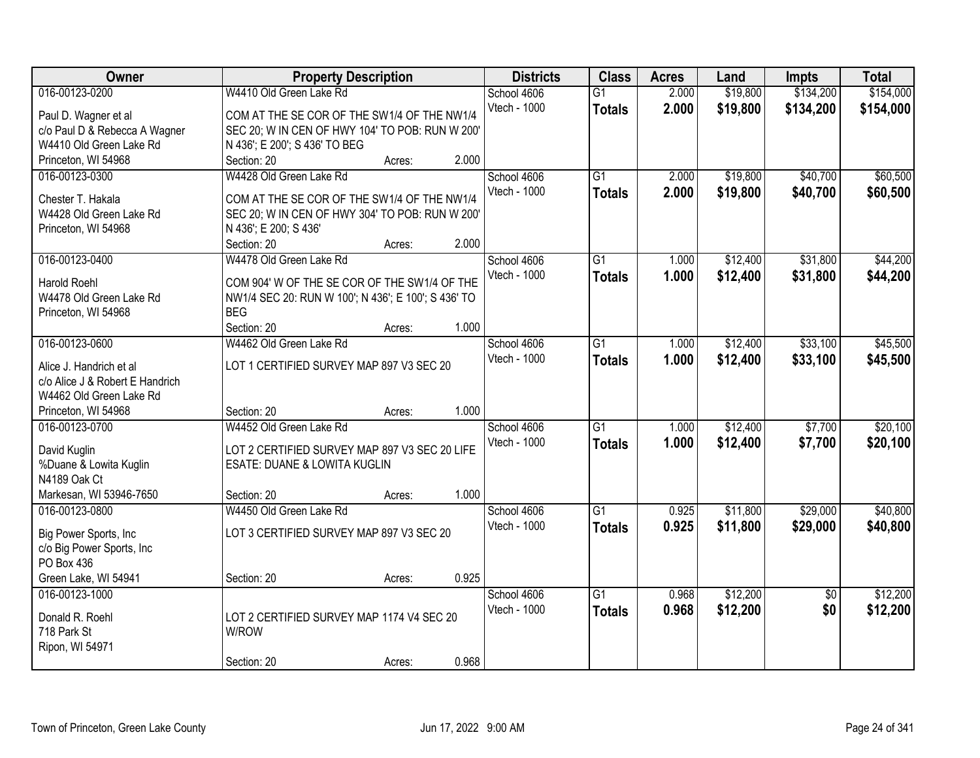| Owner                           | <b>Property Description</b>                         |        |       | <b>Districts</b>    | <b>Class</b>    | <b>Acres</b> | Land     | <b>Impts</b>    | <b>Total</b> |
|---------------------------------|-----------------------------------------------------|--------|-------|---------------------|-----------------|--------------|----------|-----------------|--------------|
| 016-00123-0200                  | W4410 Old Green Lake Rd                             |        |       | School 4606         | $\overline{G1}$ | 2.000        | \$19,800 | \$134,200       | \$154,000    |
| Paul D. Wagner et al            | COM AT THE SE COR OF THE SW1/4 OF THE NW1/4         |        |       | Vtech - 1000        | <b>Totals</b>   | 2.000        | \$19,800 | \$134,200       | \$154,000    |
| c/o Paul D & Rebecca A Wagner   | SEC 20; W IN CEN OF HWY 104' TO POB: RUN W 200'     |        |       |                     |                 |              |          |                 |              |
| W4410 Old Green Lake Rd         | N 436'; E 200'; S 436' TO BEG                       |        |       |                     |                 |              |          |                 |              |
| Princeton, WI 54968             | Section: 20                                         | Acres: | 2.000 |                     |                 |              |          |                 |              |
| 016-00123-0300                  | W4428 Old Green Lake Rd                             |        |       | School 4606         | $\overline{G1}$ | 2.000        | \$19,800 | \$40,700        | \$60,500     |
|                                 |                                                     |        |       | Vtech - 1000        | <b>Totals</b>   | 2.000        | \$19,800 | \$40,700        | \$60,500     |
| Chester T. Hakala               | COM AT THE SE COR OF THE SW1/4 OF THE NW1/4         |        |       |                     |                 |              |          |                 |              |
| W4428 Old Green Lake Rd         | SEC 20; W IN CEN OF HWY 304' TO POB: RUN W 200'     |        |       |                     |                 |              |          |                 |              |
| Princeton, WI 54968             | N 436'; E 200; S 436'                               |        | 2.000 |                     |                 |              |          |                 |              |
|                                 | Section: 20                                         | Acres: |       |                     |                 |              |          |                 |              |
| 016-00123-0400                  | W4478 Old Green Lake Rd                             |        |       | School 4606         | $\overline{G1}$ | 1.000        | \$12,400 | \$31,800        | \$44,200     |
| <b>Harold Roehl</b>             | COM 904' W OF THE SE COR OF THE SW1/4 OF THE        |        |       | Vtech - 1000        | <b>Totals</b>   | 1.000        | \$12,400 | \$31,800        | \$44,200     |
| W4478 Old Green Lake Rd         | NW1/4 SEC 20: RUN W 100'; N 436'; E 100'; S 436' TO |        |       |                     |                 |              |          |                 |              |
| Princeton, WI 54968             | <b>BEG</b>                                          |        |       |                     |                 |              |          |                 |              |
|                                 | Section: 20                                         | Acres: | 1.000 |                     |                 |              |          |                 |              |
| 016-00123-0600                  | W4462 Old Green Lake Rd                             |        |       | School 4606         | $\overline{G1}$ | 1.000        | \$12,400 | \$33,100        | \$45,500     |
| Alice J. Handrich et al         | LOT 1 CERTIFIED SURVEY MAP 897 V3 SEC 20            |        |       | Vtech - 1000        | <b>Totals</b>   | 1.000        | \$12,400 | \$33,100        | \$45,500     |
| c/o Alice J & Robert E Handrich |                                                     |        |       |                     |                 |              |          |                 |              |
| W4462 Old Green Lake Rd         |                                                     |        |       |                     |                 |              |          |                 |              |
| Princeton, WI 54968             | Section: 20                                         | Acres: | 1.000 |                     |                 |              |          |                 |              |
| 016-00123-0700                  | W4452 Old Green Lake Rd                             |        |       | School 4606         | $\overline{G1}$ | 1.000        | \$12,400 | \$7,700         | \$20,100     |
|                                 |                                                     |        |       | <b>Vtech - 1000</b> | <b>Totals</b>   | 1.000        | \$12,400 | \$7,700         | \$20,100     |
| David Kuglin                    | LOT 2 CERTIFIED SURVEY MAP 897 V3 SEC 20 LIFE       |        |       |                     |                 |              |          |                 |              |
| %Duane & Lowita Kuglin          | ESATE: DUANE & LOWITA KUGLIN                        |        |       |                     |                 |              |          |                 |              |
| N4189 Oak Ct                    |                                                     |        |       |                     |                 |              |          |                 |              |
| Markesan, WI 53946-7650         | Section: 20                                         | Acres: | 1.000 |                     |                 |              |          |                 |              |
| 016-00123-0800                  | W4450 Old Green Lake Rd                             |        |       | School 4606         | $\overline{G1}$ | 0.925        | \$11,800 | \$29,000        | \$40,800     |
| Big Power Sports, Inc           | LOT 3 CERTIFIED SURVEY MAP 897 V3 SEC 20            |        |       | Vtech - 1000        | <b>Totals</b>   | 0.925        | \$11,800 | \$29,000        | \$40,800     |
| c/o Big Power Sports, Inc       |                                                     |        |       |                     |                 |              |          |                 |              |
| PO Box 436                      |                                                     |        |       |                     |                 |              |          |                 |              |
| Green Lake, WI 54941            | Section: 20                                         | Acres: | 0.925 |                     |                 |              |          |                 |              |
| 016-00123-1000                  |                                                     |        |       | School 4606         | $\overline{G1}$ | 0.968        | \$12,200 | $\overline{50}$ | \$12,200     |
|                                 |                                                     |        |       | Vtech - 1000        | <b>Totals</b>   | 0.968        | \$12,200 | \$0             | \$12,200     |
| Donald R. Roehl                 | LOT 2 CERTIFIED SURVEY MAP 1174 V4 SEC 20           |        |       |                     |                 |              |          |                 |              |
| 718 Park St                     | W/ROW                                               |        |       |                     |                 |              |          |                 |              |
| Ripon, WI 54971                 |                                                     |        | 0.968 |                     |                 |              |          |                 |              |
|                                 | Section: 20                                         | Acres: |       |                     |                 |              |          |                 |              |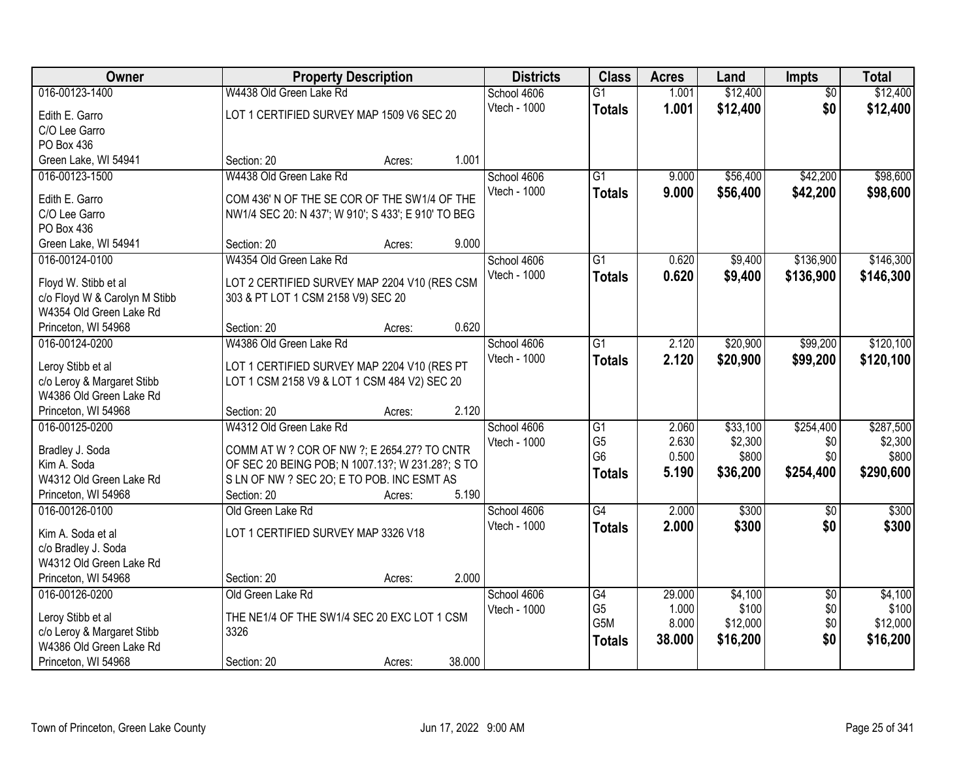| Owner                                           |                                                                                                 | <b>Property Description</b> |        | <b>Districts</b> | <b>Class</b>    | <b>Acres</b> | Land     | <b>Impts</b>    | <b>Total</b> |
|-------------------------------------------------|-------------------------------------------------------------------------------------------------|-----------------------------|--------|------------------|-----------------|--------------|----------|-----------------|--------------|
| 016-00123-1400                                  | W4438 Old Green Lake Rd                                                                         |                             |        | School 4606      | $\overline{G1}$ | 1.001        | \$12,400 | $\overline{50}$ | \$12,400     |
| Edith E. Garro                                  | LOT 1 CERTIFIED SURVEY MAP 1509 V6 SEC 20                                                       |                             |        | Vtech - 1000     | <b>Totals</b>   | 1.001        | \$12,400 | \$0             | \$12,400     |
| C/O Lee Garro                                   |                                                                                                 |                             |        |                  |                 |              |          |                 |              |
| PO Box 436                                      |                                                                                                 |                             |        |                  |                 |              |          |                 |              |
| Green Lake, WI 54941                            | Section: 20                                                                                     | Acres:                      | 1.001  |                  |                 |              |          |                 |              |
| 016-00123-1500                                  | W4438 Old Green Lake Rd                                                                         |                             |        | School 4606      | $\overline{G1}$ | 9.000        | \$56,400 | \$42,200        | \$98,600     |
| Edith E. Garro                                  | COM 436' N OF THE SE COR OF THE SW1/4 OF THE                                                    |                             |        | Vtech - 1000     | <b>Totals</b>   | 9.000        | \$56,400 | \$42,200        | \$98,600     |
| C/O Lee Garro                                   | NW1/4 SEC 20: N 437'; W 910'; S 433'; E 910' TO BEG                                             |                             |        |                  |                 |              |          |                 |              |
| PO Box 436                                      |                                                                                                 |                             |        |                  |                 |              |          |                 |              |
| Green Lake, WI 54941                            | Section: 20                                                                                     | Acres:                      | 9.000  |                  |                 |              |          |                 |              |
| 016-00124-0100                                  | W4354 Old Green Lake Rd                                                                         |                             |        | School 4606      | $\overline{G1}$ | 0.620        | \$9,400  | \$136,900       | \$146,300    |
| Floyd W. Stibb et al                            | LOT 2 CERTIFIED SURVEY MAP 2204 V10 (RES CSM                                                    |                             |        | Vtech - 1000     | <b>Totals</b>   | 0.620        | \$9,400  | \$136,900       | \$146,300    |
| c/o Floyd W & Carolyn M Stibb                   | 303 & PT LOT 1 CSM 2158 V9) SEC 20                                                              |                             |        |                  |                 |              |          |                 |              |
| W4354 Old Green Lake Rd                         |                                                                                                 |                             |        |                  |                 |              |          |                 |              |
| Princeton, WI 54968                             | Section: 20                                                                                     | Acres:                      | 0.620  |                  |                 |              |          |                 |              |
| 016-00124-0200                                  | W4386 Old Green Lake Rd                                                                         |                             |        | School 4606      | $\overline{G1}$ | 2.120        | \$20,900 | \$99,200        | \$120,100    |
|                                                 |                                                                                                 |                             |        | Vtech - 1000     | <b>Totals</b>   | 2.120        | \$20,900 | \$99,200        | \$120,100    |
| Leroy Stibb et al<br>c/o Leroy & Margaret Stibb | LOT 1 CERTIFIED SURVEY MAP 2204 V10 (RES PT<br>LOT 1 CSM 2158 V9 & LOT 1 CSM 484 V2) SEC 20     |                             |        |                  |                 |              |          |                 |              |
| W4386 Old Green Lake Rd                         |                                                                                                 |                             |        |                  |                 |              |          |                 |              |
| Princeton, WI 54968                             | Section: 20                                                                                     | Acres:                      | 2.120  |                  |                 |              |          |                 |              |
| 016-00125-0200                                  | W4312 Old Green Lake Rd                                                                         |                             |        | School 4606      | $\overline{G1}$ | 2.060        | \$33,100 | \$254,400       | \$287,500    |
|                                                 |                                                                                                 |                             |        | Vtech - 1000     | G <sub>5</sub>  | 2.630        | \$2,300  | \$0             | \$2,300      |
| Bradley J. Soda<br>Kim A. Soda                  | COMM AT W ? COR OF NW ?; E 2654.27? TO CNTR<br>OF SEC 20 BEING POB; N 1007.13?; W 231.28?; S TO |                             |        |                  | G <sub>6</sub>  | 0.500        | \$800    | \$0             | \$800        |
| W4312 Old Green Lake Rd                         | S LN OF NW ? SEC 20; E TO POB. INC ESMT AS                                                      |                             |        |                  | <b>Totals</b>   | 5.190        | \$36,200 | \$254,400       | \$290,600    |
| Princeton, WI 54968                             | Section: 20                                                                                     | Acres:                      | 5.190  |                  |                 |              |          |                 |              |
| 016-00126-0100                                  | Old Green Lake Rd                                                                               |                             |        | School 4606      | $\overline{G4}$ | 2.000        | \$300    | $\overline{50}$ | \$300        |
|                                                 |                                                                                                 |                             |        | Vtech - 1000     | <b>Totals</b>   | 2.000        | \$300    | \$0             | \$300        |
| Kim A. Soda et al                               | LOT 1 CERTIFIED SURVEY MAP 3326 V18                                                             |                             |        |                  |                 |              |          |                 |              |
| c/o Bradley J. Soda                             |                                                                                                 |                             |        |                  |                 |              |          |                 |              |
| W4312 Old Green Lake Rd<br>Princeton, WI 54968  | Section: 20                                                                                     | Acres:                      | 2.000  |                  |                 |              |          |                 |              |
| 016-00126-0200                                  | Old Green Lake Rd                                                                               |                             |        | School 4606      | G4              | 29.000       | \$4,100  | $\overline{30}$ | \$4,100      |
|                                                 |                                                                                                 |                             |        | Vtech - 1000     | G <sub>5</sub>  | 1.000        | \$100    | \$0             | \$100        |
| Leroy Stibb et al                               | THE NE1/4 OF THE SW1/4 SEC 20 EXC LOT 1 CSM                                                     |                             |        |                  | G5M             | 8.000        | \$12,000 | \$0             | \$12,000     |
| c/o Leroy & Margaret Stibb                      | 3326                                                                                            |                             |        |                  | <b>Totals</b>   | 38.000       | \$16,200 | \$0             | \$16,200     |
| W4386 Old Green Lake Rd                         |                                                                                                 |                             |        |                  |                 |              |          |                 |              |
| Princeton, WI 54968                             | Section: 20                                                                                     | Acres:                      | 38.000 |                  |                 |              |          |                 |              |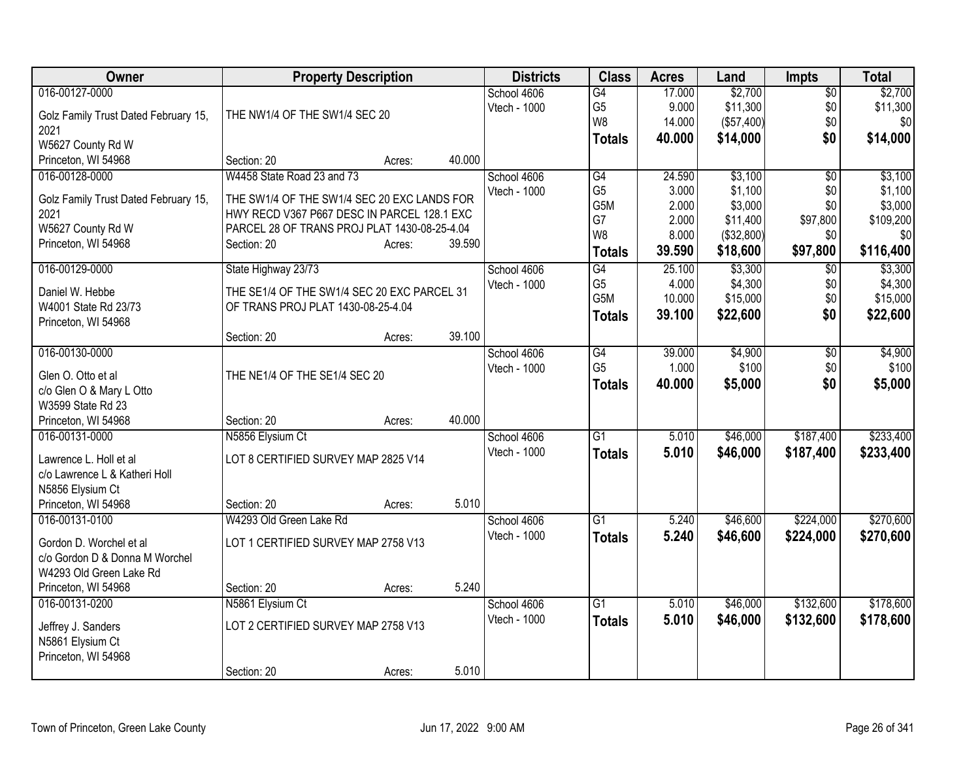| Owner                                        | <b>Property Description</b>                                                                |                  | <b>Districts</b> | <b>Class</b>     | <b>Acres</b> | Land       | <b>Impts</b>    | <b>Total</b> |
|----------------------------------------------|--------------------------------------------------------------------------------------------|------------------|------------------|------------------|--------------|------------|-----------------|--------------|
| 016-00127-0000                               |                                                                                            |                  | School 4606      | G4               | 17.000       | \$2,700    | $\overline{50}$ | \$2,700      |
| Golz Family Trust Dated February 15,         | THE NW1/4 OF THE SW1/4 SEC 20                                                              |                  | Vtech - 1000     | G <sub>5</sub>   | 9.000        | \$11,300   | \$0             | \$11,300     |
| 2021                                         |                                                                                            |                  |                  | W8               | 14.000       | (\$57,400) | \$0             | \$0          |
| W5627 County Rd W                            |                                                                                            |                  |                  | <b>Totals</b>    | 40.000       | \$14,000   | \$0             | \$14,000     |
| Princeton, WI 54968                          | Section: 20                                                                                | 40.000<br>Acres: |                  |                  |              |            |                 |              |
| 016-00128-0000                               | W4458 State Road 23 and 73                                                                 |                  | School 4606      | $\overline{G4}$  | 24.590       | \$3,100    | $\overline{50}$ | \$3,100      |
|                                              |                                                                                            |                  | Vtech - 1000     | G <sub>5</sub>   | 3.000        | \$1,100    | \$0             | \$1,100      |
| Golz Family Trust Dated February 15,<br>2021 | THE SW1/4 OF THE SW1/4 SEC 20 EXC LANDS FOR<br>HWY RECD V367 P667 DESC IN PARCEL 128.1 EXC |                  |                  | G <sub>5</sub> M | 2.000        | \$3,000    | \$0             | \$3,000      |
| W5627 County Rd W                            | PARCEL 28 OF TRANS PROJ PLAT 1430-08-25-4.04                                               |                  |                  | G7               | 2.000        | \$11,400   | \$97,800        | \$109,200    |
| Princeton, WI 54968                          | Section: 20                                                                                | 39.590<br>Acres: |                  | W <sub>8</sub>   | 8.000        | (\$32,800) | \$0             | \$0          |
|                                              |                                                                                            |                  |                  | <b>Totals</b>    | 39.590       | \$18,600   | \$97,800        | \$116,400    |
| 016-00129-0000                               | State Highway 23/73                                                                        |                  | School 4606      | $\overline{G4}$  | 25.100       | \$3,300    | $\overline{60}$ | \$3,300      |
| Daniel W. Hebbe                              | THE SE1/4 OF THE SW1/4 SEC 20 EXC PARCEL 31                                                |                  | Vtech - 1000     | G <sub>5</sub>   | 4.000        | \$4,300    | \$0             | \$4,300      |
| W4001 State Rd 23/73                         | OF TRANS PROJ PLAT 1430-08-25-4.04                                                         |                  |                  | G <sub>5</sub> M | 10.000       | \$15,000   | \$0             | \$15,000     |
| Princeton, WI 54968                          |                                                                                            |                  |                  | <b>Totals</b>    | 39.100       | \$22,600   | \$0             | \$22,600     |
|                                              | Section: 20                                                                                | 39.100<br>Acres: |                  |                  |              |            |                 |              |
| 016-00130-0000                               |                                                                                            |                  | School 4606      | G4               | 39.000       | \$4,900    | $\overline{50}$ | \$4,900      |
|                                              |                                                                                            |                  | Vtech - 1000     | G <sub>5</sub>   | 1.000        | \$100      | \$0             | \$100        |
| Glen O. Otto et al                           | THE NE1/4 OF THE SE1/4 SEC 20                                                              |                  |                  | <b>Totals</b>    | 40.000       | \$5,000    | \$0             | \$5,000      |
| c/o Glen O & Mary L Otto                     |                                                                                            |                  |                  |                  |              |            |                 |              |
| W3599 State Rd 23                            |                                                                                            |                  |                  |                  |              |            |                 |              |
| Princeton, WI 54968                          | Section: 20                                                                                | 40.000<br>Acres: |                  |                  |              |            |                 |              |
| 016-00131-0000                               | N5856 Elysium Ct                                                                           |                  | School 4606      | G1               | 5.010        | \$46,000   | \$187,400       | \$233,400    |
| Lawrence L. Holl et al                       | LOT 8 CERTIFIED SURVEY MAP 2825 V14                                                        |                  | Vtech - 1000     | <b>Totals</b>    | 5.010        | \$46,000   | \$187,400       | \$233,400    |
| c/o Lawrence L & Katheri Holl                |                                                                                            |                  |                  |                  |              |            |                 |              |
| N5856 Elysium Ct                             |                                                                                            |                  |                  |                  |              |            |                 |              |
| Princeton, WI 54968                          | Section: 20                                                                                | 5.010<br>Acres:  |                  |                  |              |            |                 |              |
| 016-00131-0100                               | W4293 Old Green Lake Rd                                                                    |                  | School 4606      | $\overline{G1}$  | 5.240        | \$46,600   | \$224,000       | \$270,600    |
| Gordon D. Worchel et al                      | LOT 1 CERTIFIED SURVEY MAP 2758 V13                                                        |                  | Vtech - 1000     | <b>Totals</b>    | 5.240        | \$46,600   | \$224,000       | \$270,600    |
| c/o Gordon D & Donna M Worchel               |                                                                                            |                  |                  |                  |              |            |                 |              |
| W4293 Old Green Lake Rd                      |                                                                                            |                  |                  |                  |              |            |                 |              |
| Princeton, WI 54968                          | Section: 20                                                                                | 5.240<br>Acres:  |                  |                  |              |            |                 |              |
| 016-00131-0200                               | N5861 Elysium Ct                                                                           |                  | School 4606      | $\overline{G1}$  | 5.010        | \$46,000   | \$132,600       | \$178,600    |
| Jeffrey J. Sanders                           | LOT 2 CERTIFIED SURVEY MAP 2758 V13                                                        |                  | Vtech - 1000     | <b>Totals</b>    | 5.010        | \$46,000   | \$132,600       | \$178,600    |
| N5861 Elysium Ct                             |                                                                                            |                  |                  |                  |              |            |                 |              |
| Princeton, WI 54968                          |                                                                                            |                  |                  |                  |              |            |                 |              |
|                                              | Section: 20                                                                                | 5.010            |                  |                  |              |            |                 |              |
|                                              |                                                                                            | Acres:           |                  |                  |              |            |                 |              |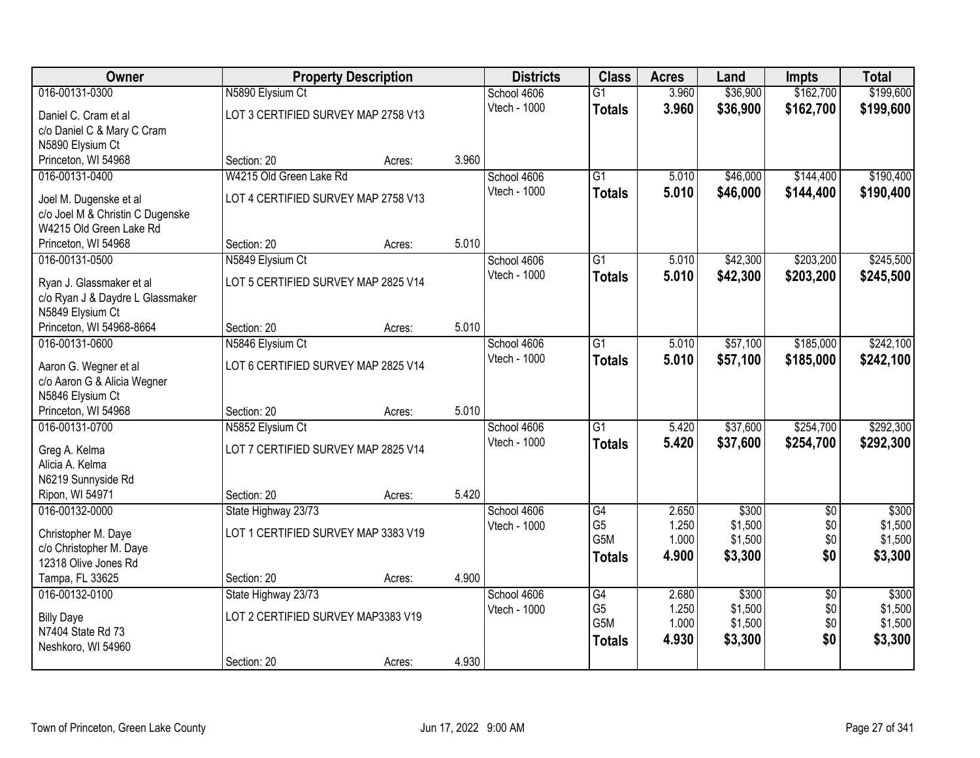| Owner                                  |                                     | <b>Property Description</b> |       | <b>Districts</b>    | <b>Class</b>     | <b>Acres</b> | Land     | <b>Impts</b>    | <b>Total</b> |
|----------------------------------------|-------------------------------------|-----------------------------|-------|---------------------|------------------|--------------|----------|-----------------|--------------|
| 016-00131-0300                         | N5890 Elysium Ct                    |                             |       | School 4606         | $\overline{G1}$  | 3.960        | \$36,900 | \$162,700       | \$199,600    |
| Daniel C. Cram et al                   | LOT 3 CERTIFIED SURVEY MAP 2758 V13 |                             |       | Vtech - 1000        | <b>Totals</b>    | 3.960        | \$36,900 | \$162,700       | \$199,600    |
| c/o Daniel C & Mary C Cram             |                                     |                             |       |                     |                  |              |          |                 |              |
| N5890 Elysium Ct                       |                                     |                             |       |                     |                  |              |          |                 |              |
| Princeton, WI 54968                    | Section: 20                         | Acres:                      | 3.960 |                     |                  |              |          |                 |              |
| 016-00131-0400                         | W4215 Old Green Lake Rd             |                             |       | School 4606         | $\overline{G1}$  | 5.010        | \$46,000 | \$144,400       | \$190,400    |
| Joel M. Dugenske et al                 | LOT 4 CERTIFIED SURVEY MAP 2758 V13 |                             |       | <b>Vtech - 1000</b> | <b>Totals</b>    | 5.010        | \$46,000 | \$144,400       | \$190,400    |
| c/o Joel M & Christin C Dugenske       |                                     |                             |       |                     |                  |              |          |                 |              |
| W4215 Old Green Lake Rd                |                                     |                             |       |                     |                  |              |          |                 |              |
| Princeton, WI 54968                    | Section: 20                         | Acres:                      | 5.010 |                     |                  |              |          |                 |              |
| 016-00131-0500                         | N5849 Elysium Ct                    |                             |       | School 4606         | $\overline{G1}$  | 5.010        | \$42,300 | \$203,200       | \$245,500    |
| Ryan J. Glassmaker et al               | LOT 5 CERTIFIED SURVEY MAP 2825 V14 |                             |       | Vtech - 1000        | <b>Totals</b>    | 5.010        | \$42,300 | \$203,200       | \$245,500    |
| c/o Ryan J & Daydre L Glassmaker       |                                     |                             |       |                     |                  |              |          |                 |              |
| N5849 Elysium Ct                       |                                     |                             |       |                     |                  |              |          |                 |              |
| Princeton, WI 54968-8664               | Section: 20                         | Acres:                      | 5.010 |                     |                  |              |          |                 |              |
| 016-00131-0600                         | N5846 Elysium Ct                    |                             |       | School 4606         | G1               | 5.010        | \$57,100 | \$185,000       | \$242,100    |
| Aaron G. Wegner et al                  | LOT 6 CERTIFIED SURVEY MAP 2825 V14 |                             |       | Vtech - 1000        | <b>Totals</b>    | 5.010        | \$57,100 | \$185,000       | \$242,100    |
| c/o Aaron G & Alicia Wegner            |                                     |                             |       |                     |                  |              |          |                 |              |
| N5846 Elysium Ct                       |                                     |                             |       |                     |                  |              |          |                 |              |
| Princeton, WI 54968                    | Section: 20                         | Acres:                      | 5.010 |                     |                  |              |          |                 |              |
| 016-00131-0700                         | N5852 Elysium Ct                    |                             |       | School 4606         | $\overline{G1}$  | 5.420        | \$37,600 | \$254,700       | \$292,300    |
| Greg A. Kelma                          | LOT 7 CERTIFIED SURVEY MAP 2825 V14 |                             |       | Vtech - 1000        | <b>Totals</b>    | 5.420        | \$37,600 | \$254,700       | \$292,300    |
| Alicia A. Kelma                        |                                     |                             |       |                     |                  |              |          |                 |              |
| N6219 Sunnyside Rd                     |                                     |                             |       |                     |                  |              |          |                 |              |
| Ripon, WI 54971                        | Section: 20                         | Acres:                      | 5.420 |                     |                  |              |          |                 |              |
| 016-00132-0000                         | State Highway 23/73                 |                             |       | School 4606         | G4               | 2.650        | \$300    | $\overline{60}$ | \$300        |
| Christopher M. Daye                    | LOT 1 CERTIFIED SURVEY MAP 3383 V19 |                             |       | Vtech - 1000        | G <sub>5</sub>   | 1.250        | \$1,500  | \$0             | \$1,500      |
| c/o Christopher M. Daye                |                                     |                             |       |                     | G <sub>5</sub> M | 1.000        | \$1,500  | \$0             | \$1,500      |
| 12318 Olive Jones Rd                   |                                     |                             |       |                     | <b>Totals</b>    | 4.900        | \$3,300  | \$0             | \$3,300      |
| Tampa, FL 33625                        | Section: 20                         | Acres:                      | 4.900 |                     |                  |              |          |                 |              |
| 016-00132-0100                         | State Highway 23/73                 |                             |       | School 4606         | $\overline{G4}$  | 2.680        | \$300    | $\overline{50}$ | \$300        |
|                                        |                                     |                             |       | Vtech - 1000        | G <sub>5</sub>   | 1.250        | \$1,500  | \$0             | \$1,500      |
| <b>Billy Daye</b><br>N7404 State Rd 73 | LOT 2 CERTIFIED SURVEY MAP3383 V19  |                             |       |                     | G <sub>5</sub> M | 1.000        | \$1,500  | \$0             | \$1,500      |
| Neshkoro, WI 54960                     |                                     |                             |       |                     | <b>Totals</b>    | 4.930        | \$3,300  | \$0             | \$3,300      |
|                                        | Section: 20                         | Acres:                      | 4.930 |                     |                  |              |          |                 |              |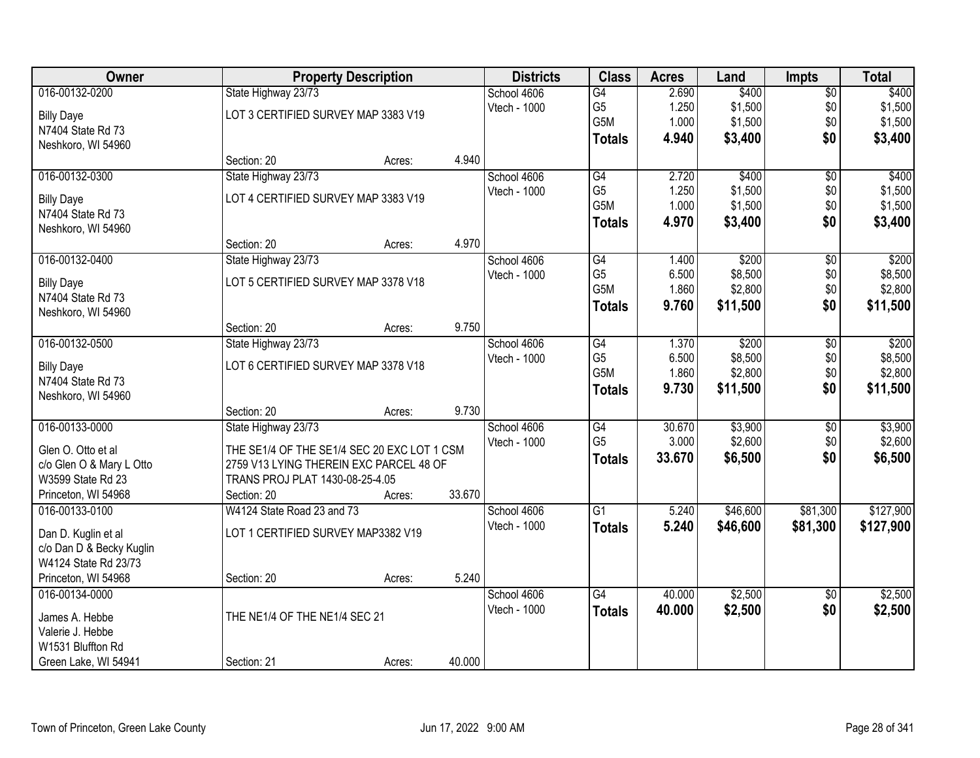| Owner                    |                                                                                        | <b>Property Description</b> |        | <b>Districts</b> | <b>Class</b>    | <b>Acres</b> | Land     | <b>Impts</b>    | <b>Total</b> |
|--------------------------|----------------------------------------------------------------------------------------|-----------------------------|--------|------------------|-----------------|--------------|----------|-----------------|--------------|
| 016-00132-0200           | State Highway 23/73                                                                    |                             |        | School 4606      | G4              | 2.690        | \$400    | $\overline{$0}$ | \$400        |
| <b>Billy Daye</b>        | LOT 3 CERTIFIED SURVEY MAP 3383 V19                                                    |                             |        | Vtech - 1000     | G <sub>5</sub>  | 1.250        | \$1,500  | \$0             | \$1,500      |
| N7404 State Rd 73        |                                                                                        |                             |        |                  | G5M             | 1.000        | \$1,500  | \$0             | \$1,500      |
| Neshkoro, WI 54960       |                                                                                        |                             |        |                  | <b>Totals</b>   | 4.940        | \$3,400  | \$0             | \$3,400      |
|                          | Section: 20                                                                            | Acres:                      | 4.940  |                  |                 |              |          |                 |              |
| 016-00132-0300           | State Highway 23/73                                                                    |                             |        | School 4606      | G4              | 2.720        | \$400    | $\overline{50}$ | \$400        |
| <b>Billy Daye</b>        | LOT 4 CERTIFIED SURVEY MAP 3383 V19                                                    |                             |        | Vtech - 1000     | G <sub>5</sub>  | 1.250        | \$1,500  | \$0             | \$1,500      |
| N7404 State Rd 73        |                                                                                        |                             |        |                  | G5M             | 1.000        | \$1,500  | \$0             | \$1,500      |
| Neshkoro, WI 54960       |                                                                                        |                             |        |                  | <b>Totals</b>   | 4.970        | \$3,400  | \$0             | \$3,400      |
|                          | Section: 20                                                                            | Acres:                      | 4.970  |                  |                 |              |          |                 |              |
| 016-00132-0400           | State Highway 23/73                                                                    |                             |        | School 4606      | G4              | 1.400        | \$200    | \$0             | \$200        |
| <b>Billy Daye</b>        | LOT 5 CERTIFIED SURVEY MAP 3378 V18                                                    |                             |        | Vtech - 1000     | G <sub>5</sub>  | 6.500        | \$8,500  | \$0             | \$8,500      |
| N7404 State Rd 73        |                                                                                        |                             |        |                  | G5M             | 1.860        | \$2,800  | \$0             | \$2,800      |
| Neshkoro, WI 54960       |                                                                                        |                             |        |                  | <b>Totals</b>   | 9.760        | \$11,500 | \$0             | \$11,500     |
|                          | Section: 20                                                                            | Acres:                      | 9.750  |                  |                 |              |          |                 |              |
| 016-00132-0500           | State Highway 23/73                                                                    |                             |        | School 4606      | $\overline{G4}$ | 1.370        | \$200    | \$0             | \$200        |
| <b>Billy Daye</b>        | LOT 6 CERTIFIED SURVEY MAP 3378 V18                                                    |                             |        | Vtech - 1000     | G <sub>5</sub>  | 6.500        | \$8,500  | \$0             | \$8,500      |
| N7404 State Rd 73        |                                                                                        |                             |        |                  | G5M             | 1.860        | \$2,800  | \$0             | \$2,800      |
| Neshkoro, WI 54960       |                                                                                        |                             |        |                  | <b>Totals</b>   | 9.730        | \$11,500 | \$0             | \$11,500     |
|                          | Section: 20                                                                            | Acres:                      | 9.730  |                  |                 |              |          |                 |              |
| 016-00133-0000           | State Highway 23/73                                                                    |                             |        | School 4606      | $\overline{G4}$ | 30.670       | \$3,900  | \$0             | \$3,900      |
| Glen O. Otto et al       |                                                                                        |                             |        | Vtech - 1000     | G <sub>5</sub>  | 3.000        | \$2,600  | \$0             | \$2,600      |
| c/o Glen O & Mary L Otto | THE SE1/4 OF THE SE1/4 SEC 20 EXC LOT 1 CSM<br>2759 V13 LYING THEREIN EXC PARCEL 48 OF |                             |        |                  | <b>Totals</b>   | 33.670       | \$6,500  | \$0             | \$6,500      |
| W3599 State Rd 23        | TRANS PROJ PLAT 1430-08-25-4.05                                                        |                             |        |                  |                 |              |          |                 |              |
| Princeton, WI 54968      | Section: 20                                                                            | Acres:                      | 33.670 |                  |                 |              |          |                 |              |
| 016-00133-0100           | W4124 State Road 23 and 73                                                             |                             |        | School 4606      | $\overline{G1}$ | 5.240        | \$46,600 | \$81,300        | \$127,900    |
|                          |                                                                                        |                             |        | Vtech - 1000     | <b>Totals</b>   | 5.240        | \$46,600 | \$81,300        | \$127,900    |
| Dan D. Kuglin et al      | LOT 1 CERTIFIED SURVEY MAP3382 V19                                                     |                             |        |                  |                 |              |          |                 |              |
| c/o Dan D & Becky Kuglin |                                                                                        |                             |        |                  |                 |              |          |                 |              |
| W4124 State Rd 23/73     |                                                                                        |                             |        |                  |                 |              |          |                 |              |
| Princeton, WI 54968      | Section: 20                                                                            | Acres:                      | 5.240  |                  |                 |              |          |                 |              |
| 016-00134-0000           |                                                                                        |                             |        | School 4606      | G4              | 40.000       | \$2,500  | $\overline{30}$ | \$2,500      |
| James A. Hebbe           | THE NE1/4 OF THE NE1/4 SEC 21                                                          |                             |        | Vtech - 1000     | <b>Totals</b>   | 40.000       | \$2,500  | \$0             | \$2,500      |
| Valerie J. Hebbe         |                                                                                        |                             |        |                  |                 |              |          |                 |              |
| W1531 Bluffton Rd        |                                                                                        |                             |        |                  |                 |              |          |                 |              |
| Green Lake, WI 54941     | Section: 21                                                                            | Acres:                      | 40.000 |                  |                 |              |          |                 |              |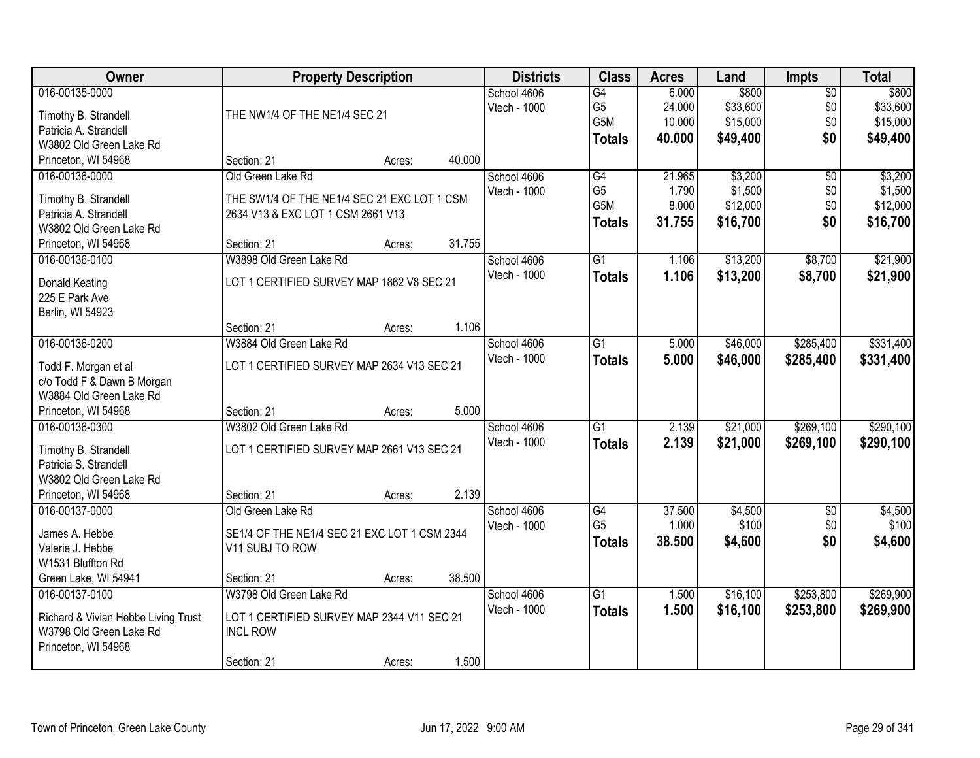| <b>Owner</b>                                     |                                              | <b>Property Description</b> |        | <b>Districts</b> | <b>Class</b>     | <b>Acres</b> | Land     | <b>Impts</b>    | <b>Total</b> |
|--------------------------------------------------|----------------------------------------------|-----------------------------|--------|------------------|------------------|--------------|----------|-----------------|--------------|
| 016-00135-0000                                   |                                              |                             |        | School 4606      | G4               | 6.000        | \$800    | $\overline{60}$ | \$800        |
| Timothy B. Strandell                             | THE NW1/4 OF THE NE1/4 SEC 21                |                             |        | Vtech - 1000     | G <sub>5</sub>   | 24.000       | \$33,600 | \$0             | \$33,600     |
| Patricia A. Strandell                            |                                              |                             |        |                  | G <sub>5</sub> M | 10.000       | \$15,000 | \$0             | \$15,000     |
| W3802 Old Green Lake Rd                          |                                              |                             |        |                  | <b>Totals</b>    | 40.000       | \$49,400 | \$0             | \$49,400     |
| Princeton, WI 54968                              | Section: 21                                  | Acres:                      | 40.000 |                  |                  |              |          |                 |              |
| 016-00136-0000                                   | Old Green Lake Rd                            |                             |        | School 4606      | G4               | 21.965       | \$3,200  | $\overline{50}$ | \$3,200      |
|                                                  | THE SW1/4 OF THE NE1/4 SEC 21 EXC LOT 1 CSM  |                             |        | Vtech - 1000     | G <sub>5</sub>   | 1.790        | \$1,500  | \$0             | \$1,500      |
| Timothy B. Strandell<br>Patricia A. Strandell    | 2634 V13 & EXC LOT 1 CSM 2661 V13            |                             |        |                  | G <sub>5</sub> M | 8.000        | \$12,000 | \$0             | \$12,000     |
| W3802 Old Green Lake Rd                          |                                              |                             |        |                  | <b>Totals</b>    | 31.755       | \$16,700 | \$0             | \$16,700     |
| Princeton, WI 54968                              | Section: 21                                  | Acres:                      | 31.755 |                  |                  |              |          |                 |              |
| 016-00136-0100                                   | W3898 Old Green Lake Rd                      |                             |        | School 4606      | G1               | 1.106        | \$13,200 | \$8,700         | \$21,900     |
|                                                  |                                              |                             |        | Vtech - 1000     | <b>Totals</b>    | 1.106        | \$13,200 | \$8,700         | \$21,900     |
| Donald Keating                                   | LOT 1 CERTIFIED SURVEY MAP 1862 V8 SEC 21    |                             |        |                  |                  |              |          |                 |              |
| 225 E Park Ave                                   |                                              |                             |        |                  |                  |              |          |                 |              |
| Berlin, WI 54923                                 |                                              |                             |        |                  |                  |              |          |                 |              |
|                                                  | Section: 21                                  | Acres:                      | 1.106  |                  |                  |              |          |                 |              |
| 016-00136-0200                                   | W3884 Old Green Lake Rd                      |                             |        | School 4606      | $\overline{G1}$  | 5.000        | \$46,000 | \$285,400       | \$331,400    |
| Todd F. Morgan et al                             | LOT 1 CERTIFIED SURVEY MAP 2634 V13 SEC 21   |                             |        | Vtech - 1000     | <b>Totals</b>    | 5.000        | \$46,000 | \$285,400       | \$331,400    |
| c/o Todd F & Dawn B Morgan                       |                                              |                             |        |                  |                  |              |          |                 |              |
| W3884 Old Green Lake Rd                          |                                              |                             |        |                  |                  |              |          |                 |              |
| Princeton, WI 54968                              | Section: 21                                  | Acres:                      | 5.000  |                  |                  |              |          |                 |              |
| 016-00136-0300                                   | W3802 Old Green Lake Rd                      |                             |        | School 4606      | $\overline{G1}$  | 2.139        | \$21,000 | \$269,100       | \$290,100    |
|                                                  |                                              |                             |        | Vtech - 1000     | <b>Totals</b>    | 2.139        | \$21,000 | \$269,100       | \$290,100    |
| Timothy B. Strandell                             | LOT 1 CERTIFIED SURVEY MAP 2661 V13 SEC 21   |                             |        |                  |                  |              |          |                 |              |
| Patricia S. Strandell<br>W3802 Old Green Lake Rd |                                              |                             |        |                  |                  |              |          |                 |              |
| Princeton, WI 54968                              | Section: 21                                  |                             | 2.139  |                  |                  |              |          |                 |              |
| 016-00137-0000                                   | Old Green Lake Rd                            | Acres:                      |        | School 4606      | G4               | 37.500       | \$4,500  | $\overline{60}$ | \$4,500      |
|                                                  |                                              |                             |        | Vtech - 1000     | G <sub>5</sub>   | 1.000        | \$100    | \$0             | \$100        |
| James A. Hebbe                                   | SE1/4 OF THE NE1/4 SEC 21 EXC LOT 1 CSM 2344 |                             |        |                  |                  | 38.500       | \$4,600  | \$0             | \$4,600      |
| Valerie J. Hebbe                                 | V11 SUBJ TO ROW                              |                             |        |                  | <b>Totals</b>    |              |          |                 |              |
| W1531 Bluffton Rd                                |                                              |                             |        |                  |                  |              |          |                 |              |
| Green Lake, WI 54941                             | Section: 21                                  | Acres:                      | 38.500 |                  |                  |              |          |                 |              |
| 016-00137-0100                                   | W3798 Old Green Lake Rd                      |                             |        | School 4606      | $\overline{G1}$  | 1.500        | \$16,100 | \$253,800       | \$269,900    |
| Richard & Vivian Hebbe Living Trust              | LOT 1 CERTIFIED SURVEY MAP 2344 V11 SEC 21   |                             |        | Vtech - 1000     | <b>Totals</b>    | 1.500        | \$16,100 | \$253,800       | \$269,900    |
| W3798 Old Green Lake Rd                          | <b>INCL ROW</b>                              |                             |        |                  |                  |              |          |                 |              |
| Princeton, WI 54968                              |                                              |                             |        |                  |                  |              |          |                 |              |
|                                                  | Section: 21                                  | Acres:                      | 1.500  |                  |                  |              |          |                 |              |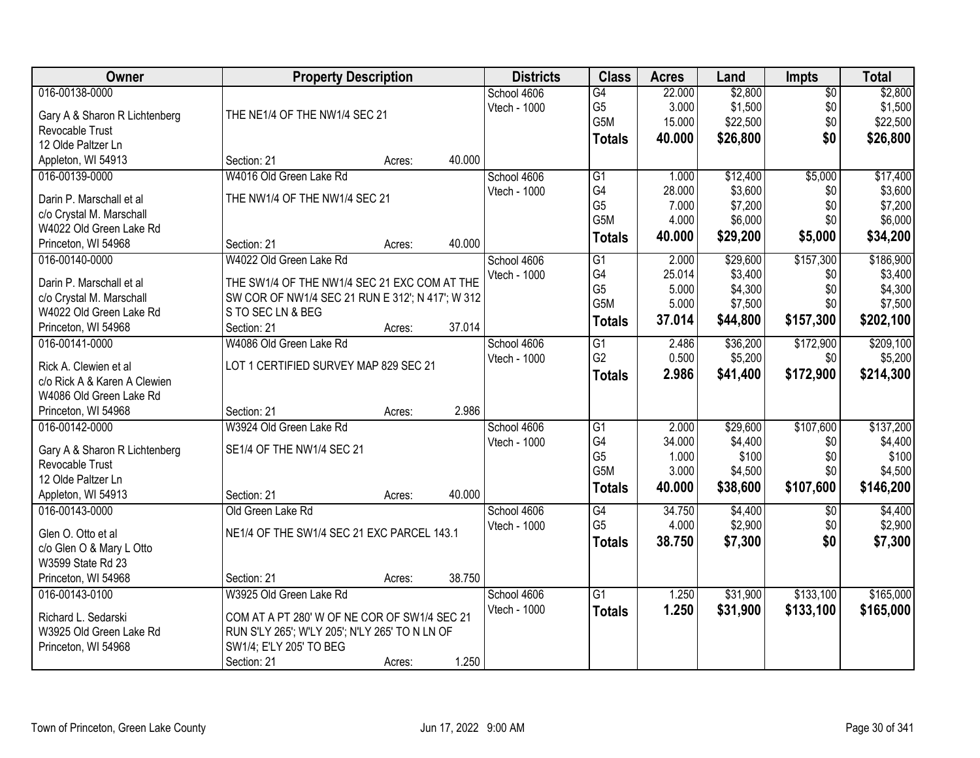| Owner                                 | <b>Property Description</b>                      |        |        | <b>Districts</b> | <b>Class</b>          | <b>Acres</b>    | Land     | <b>Impts</b> | <b>Total</b>         |
|---------------------------------------|--------------------------------------------------|--------|--------|------------------|-----------------------|-----------------|----------|--------------|----------------------|
| 016-00138-0000                        |                                                  |        |        | School 4606      | G4                    | 22.000          | \$2,800  | $\sqrt{$0}$  | \$2,800              |
| Gary A & Sharon R Lichtenberg         | THE NE1/4 OF THE NW1/4 SEC 21                    |        |        | Vtech - 1000     | G <sub>5</sub>        | 3.000           | \$1,500  | \$0          | \$1,500              |
| <b>Revocable Trust</b>                |                                                  |        |        |                  | G5M                   | 15.000          | \$22,500 | \$0          | \$22,500             |
| 12 Olde Paltzer Ln                    |                                                  |        |        |                  | Totals                | 40.000          | \$26,800 | \$0          | \$26,800             |
| Appleton, WI 54913                    | Section: 21                                      | Acres: | 40.000 |                  |                       |                 |          |              |                      |
| 016-00139-0000                        | W4016 Old Green Lake Rd                          |        |        | School 4606      | G1                    | 1.000           | \$12,400 | \$5,000      | \$17,400             |
|                                       |                                                  |        |        | Vtech - 1000     | G4                    | 28.000          | \$3,600  | \$0          | \$3,600              |
| Darin P. Marschall et al.             | THE NW1/4 OF THE NW1/4 SEC 21                    |        |        |                  | G <sub>5</sub>        | 7.000           | \$7,200  | \$0          | \$7,200              |
| c/o Crystal M. Marschall              |                                                  |        |        |                  | G5M                   | 4.000           | \$6,000  | \$0          | \$6,000              |
| W4022 Old Green Lake Rd               |                                                  |        |        |                  | <b>Totals</b>         | 40.000          | \$29,200 | \$5,000      | \$34,200             |
| Princeton, WI 54968                   | Section: 21                                      | Acres: | 40.000 |                  |                       |                 |          |              |                      |
| 016-00140-0000                        | W4022 Old Green Lake Rd                          |        |        | School 4606      | $\overline{G1}$       | 2.000           | \$29,600 | \$157,300    | \$186,900            |
| Darin P. Marschall et al              | THE SW1/4 OF THE NW1/4 SEC 21 EXC COM AT THE     |        |        | Vtech - 1000     | G4                    | 25.014          | \$3,400  | \$0          | \$3,400              |
| c/o Crystal M. Marschall              | SW COR OF NW1/4 SEC 21 RUN E 312'; N 417'; W 312 |        |        |                  | G <sub>5</sub>        | 5.000           | \$4,300  | \$0          | \$4,300              |
| W4022 Old Green Lake Rd               | S TO SEC LN & BEG                                |        |        |                  | G5M                   | 5.000           | \$7,500  | \$0          | \$7,500              |
| Princeton, WI 54968                   | Section: 21                                      | Acres: | 37.014 |                  | <b>Totals</b>         | 37.014          | \$44,800 | \$157,300    | \$202,100            |
| 016-00141-0000                        | W4086 Old Green Lake Rd                          |        |        | School 4606      | $\overline{G1}$       | 2.486           | \$36,200 | \$172,900    | \$209,100            |
|                                       |                                                  |        |        | Vtech - 1000     | G <sub>2</sub>        | 0.500           | \$5,200  | \$0          | \$5,200              |
| Rick A. Clewien et al                 | LOT 1 CERTIFIED SURVEY MAP 829 SEC 21            |        |        |                  | <b>Totals</b>         | 2.986           | \$41,400 | \$172,900    | \$214,300            |
| c/o Rick A & Karen A Clewien          |                                                  |        |        |                  |                       |                 |          |              |                      |
| W4086 Old Green Lake Rd               | Section: 21                                      |        | 2.986  |                  |                       |                 |          |              |                      |
| Princeton, WI 54968<br>016-00142-0000 | W3924 Old Green Lake Rd                          | Acres: |        |                  |                       |                 | \$29,600 | \$107,600    |                      |
|                                       |                                                  |        |        | School 4606      | $\overline{G1}$<br>G4 | 2.000<br>34.000 | \$4,400  |              | \$137,200<br>\$4,400 |
| Gary A & Sharon R Lichtenberg         | SE1/4 OF THE NW1/4 SEC 21                        |        |        | Vtech - 1000     | G <sub>5</sub>        | 1.000           | \$100    | \$0<br>\$0   | \$100                |
| <b>Revocable Trust</b>                |                                                  |        |        |                  | G5M                   | 3.000           | \$4,500  | \$0          | \$4,500              |
| 12 Olde Paltzer Ln                    |                                                  |        |        |                  |                       | 40.000          | \$38,600 | \$107,600    |                      |
| Appleton, WI 54913                    | Section: 21                                      | Acres: | 40.000 |                  | <b>Totals</b>         |                 |          |              | \$146,200            |
| 016-00143-0000                        | Old Green Lake Rd                                |        |        | School 4606      | G4                    | 34.750          | \$4,400  | \$0          | \$4,400              |
| Glen O. Otto et al                    | NE1/4 OF THE SW1/4 SEC 21 EXC PARCEL 143.1       |        |        | Vtech - 1000     | G <sub>5</sub>        | 4.000           | \$2,900  | \$0          | \$2,900              |
| c/o Glen O & Mary L Otto              |                                                  |        |        |                  | <b>Totals</b>         | 38.750          | \$7,300  | \$0          | \$7,300              |
| W3599 State Rd 23                     |                                                  |        |        |                  |                       |                 |          |              |                      |
| Princeton, WI 54968                   | Section: 21                                      | Acres: | 38.750 |                  |                       |                 |          |              |                      |
| 016-00143-0100                        | W3925 Old Green Lake Rd                          |        |        | School 4606      | $\overline{G1}$       | 1.250           | \$31,900 | \$133,100    | \$165,000            |
|                                       |                                                  |        |        | Vtech - 1000     | <b>Totals</b>         | 1.250           | \$31,900 | \$133,100    | \$165,000            |
| Richard L. Sedarski                   | COM AT A PT 280' W OF NE COR OF SW1/4 SEC 21     |        |        |                  |                       |                 |          |              |                      |
| W3925 Old Green Lake Rd               | RUN S'LY 265'; W'LY 205'; N'LY 265' TO N LN OF   |        |        |                  |                       |                 |          |              |                      |
| Princeton, WI 54968                   | SW1/4; E'LY 205' TO BEG                          |        |        |                  |                       |                 |          |              |                      |
|                                       | Section: 21                                      | Acres: | 1.250  |                  |                       |                 |          |              |                      |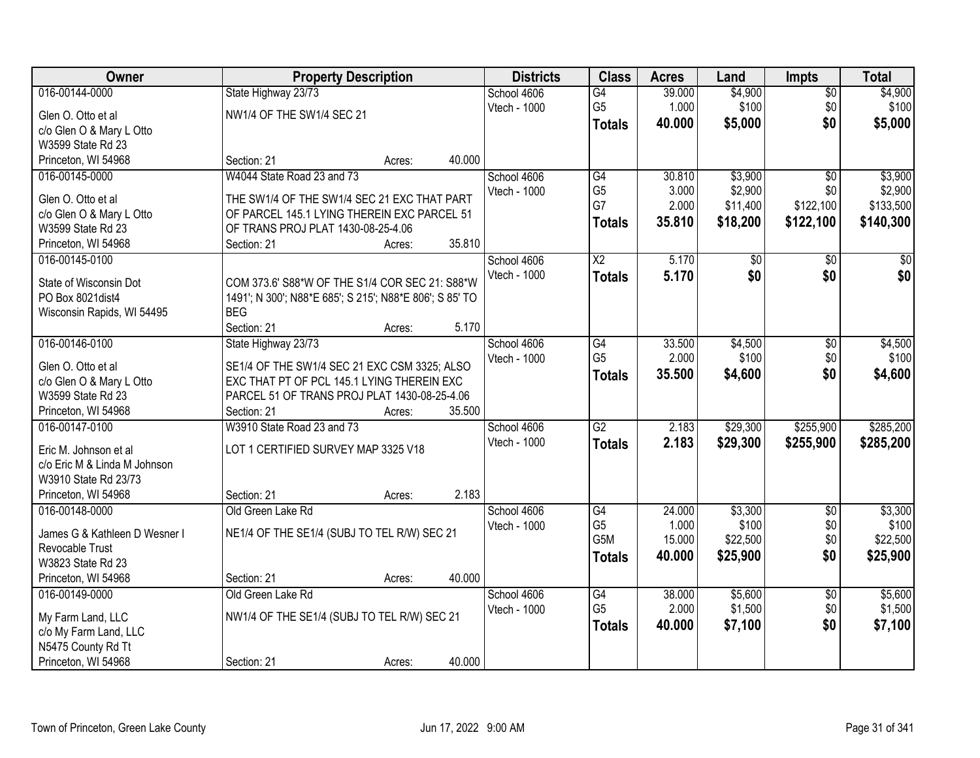| Owner                                       | <b>Property Description</b>                             |        |        | <b>Districts</b> | <b>Class</b>           | <b>Acres</b> | Land     | <b>Impts</b>    | <b>Total</b> |
|---------------------------------------------|---------------------------------------------------------|--------|--------|------------------|------------------------|--------------|----------|-----------------|--------------|
| 016-00144-0000                              | State Highway 23/73                                     |        |        | School 4606      | G4                     | 39.000       | \$4,900  | $\overline{50}$ | \$4,900      |
| Glen O. Otto et al                          | NW1/4 OF THE SW1/4 SEC 21                               |        |        | Vtech - 1000     | G <sub>5</sub>         | 1.000        | \$100    | \$0             | \$100        |
| c/o Glen O & Mary L Otto                    |                                                         |        |        |                  | <b>Totals</b>          | 40.000       | \$5,000  | \$0             | \$5,000      |
| W3599 State Rd 23                           |                                                         |        |        |                  |                        |              |          |                 |              |
| Princeton, WI 54968                         | Section: 21                                             | Acres: | 40.000 |                  |                        |              |          |                 |              |
| 016-00145-0000                              | W4044 State Road 23 and 73                              |        |        | School 4606      | G4                     | 30.810       | \$3,900  | $\overline{50}$ | \$3,900      |
|                                             |                                                         |        |        | Vtech - 1000     | G <sub>5</sub>         | 3.000        | \$2,900  | \$0             | \$2,900      |
| Glen O. Otto et al                          | THE SW1/4 OF THE SW1/4 SEC 21 EXC THAT PART             |        |        |                  | G7                     | 2.000        | \$11,400 | \$122,100       | \$133,500    |
| c/o Glen O & Mary L Otto                    | OF PARCEL 145.1 LYING THEREIN EXC PARCEL 51             |        |        |                  | <b>Totals</b>          | 35.810       | \$18,200 | \$122,100       | \$140,300    |
| W3599 State Rd 23<br>Princeton, WI 54968    | OF TRANS PROJ PLAT 1430-08-25-4.06<br>Section: 21       |        | 35.810 |                  |                        |              |          |                 |              |
| 016-00145-0100                              |                                                         | Acres: |        | School 4606      | $\overline{\text{X2}}$ | 5.170        | \$0      | \$0             | $\sqrt{50}$  |
|                                             |                                                         |        |        | Vtech - 1000     |                        |              | \$0      | \$0             | \$0          |
| State of Wisconsin Dot                      | COM 373.6' S88*W OF THE S1/4 COR SEC 21: S88*W          |        |        |                  | <b>Totals</b>          | 5.170        |          |                 |              |
| PO Box 8021 dist4                           | 1491'; N 300'; N88*E 685'; S 215'; N88*E 806'; S 85' TO |        |        |                  |                        |              |          |                 |              |
| Wisconsin Rapids, WI 54495                  | <b>BEG</b>                                              |        |        |                  |                        |              |          |                 |              |
|                                             | Section: 21                                             | Acres: | 5.170  |                  |                        |              |          |                 |              |
| 016-00146-0100                              | State Highway 23/73                                     |        |        | School 4606      | G4                     | 33.500       | \$4,500  | \$0             | \$4,500      |
| Glen O. Otto et al                          | SE1/4 OF THE SW1/4 SEC 21 EXC CSM 3325; ALSO            |        |        | Vtech - 1000     | G <sub>5</sub>         | 2.000        | \$100    | \$0             | \$100        |
| c/o Glen O & Mary L Otto                    | EXC THAT PT OF PCL 145.1 LYING THEREIN EXC              |        |        |                  | <b>Totals</b>          | 35.500       | \$4,600  | \$0             | \$4,600      |
| W3599 State Rd 23                           | PARCEL 51 OF TRANS PROJ PLAT 1430-08-25-4.06            |        |        |                  |                        |              |          |                 |              |
| Princeton, WI 54968                         | Section: 21                                             | Acres: | 35.500 |                  |                        |              |          |                 |              |
| 016-00147-0100                              | W3910 State Road 23 and 73                              |        |        | School 4606      | $\overline{G2}$        | 2.183        | \$29,300 | \$255,900       | \$285,200    |
|                                             |                                                         |        |        | Vtech - 1000     | <b>Totals</b>          | 2.183        | \$29,300 | \$255,900       | \$285,200    |
| Eric M. Johnson et al                       | LOT 1 CERTIFIED SURVEY MAP 3325 V18                     |        |        |                  |                        |              |          |                 |              |
| c/o Eric M & Linda M Johnson                |                                                         |        |        |                  |                        |              |          |                 |              |
| W3910 State Rd 23/73                        |                                                         |        |        |                  |                        |              |          |                 |              |
| Princeton, WI 54968                         | Section: 21                                             | Acres: | 2.183  |                  |                        |              |          |                 |              |
| 016-00148-0000                              | Old Green Lake Rd                                       |        |        | School 4606      | G4                     | 24.000       | \$3,300  | $\sqrt{$0}$     | \$3,300      |
| James G & Kathleen D Wesner I               | NE1/4 OF THE SE1/4 (SUBJ TO TEL R/W) SEC 21             |        |        | Vtech - 1000     | G <sub>5</sub>         | 1.000        | \$100    | \$0             | \$100        |
| Revocable Trust                             |                                                         |        |        |                  | G5M                    | 15.000       | \$22,500 | \$0             | \$22,500     |
| W3823 State Rd 23                           |                                                         |        |        |                  | <b>Totals</b>          | 40.000       | \$25,900 | \$0             | \$25,900     |
| Princeton, WI 54968                         | Section: 21                                             | Acres: | 40.000 |                  |                        |              |          |                 |              |
| 016-00149-0000                              | Old Green Lake Rd                                       |        |        | School 4606      | G4                     | 38.000       | \$5,600  | $\overline{50}$ | \$5,600      |
|                                             |                                                         |        |        | Vtech - 1000     | G <sub>5</sub>         | 2.000        | \$1,500  | \$0             | \$1,500      |
| My Farm Land, LLC                           | NW1/4 OF THE SE1/4 (SUBJ TO TEL R/W) SEC 21             |        |        |                  | <b>Totals</b>          | 40.000       | \$7,100  | \$0             | \$7,100      |
| c/o My Farm Land, LLC<br>N5475 County Rd Tt |                                                         |        |        |                  |                        |              |          |                 |              |
| Princeton, WI 54968                         | Section: 21                                             |        | 40.000 |                  |                        |              |          |                 |              |
|                                             |                                                         | Acres: |        |                  |                        |              |          |                 |              |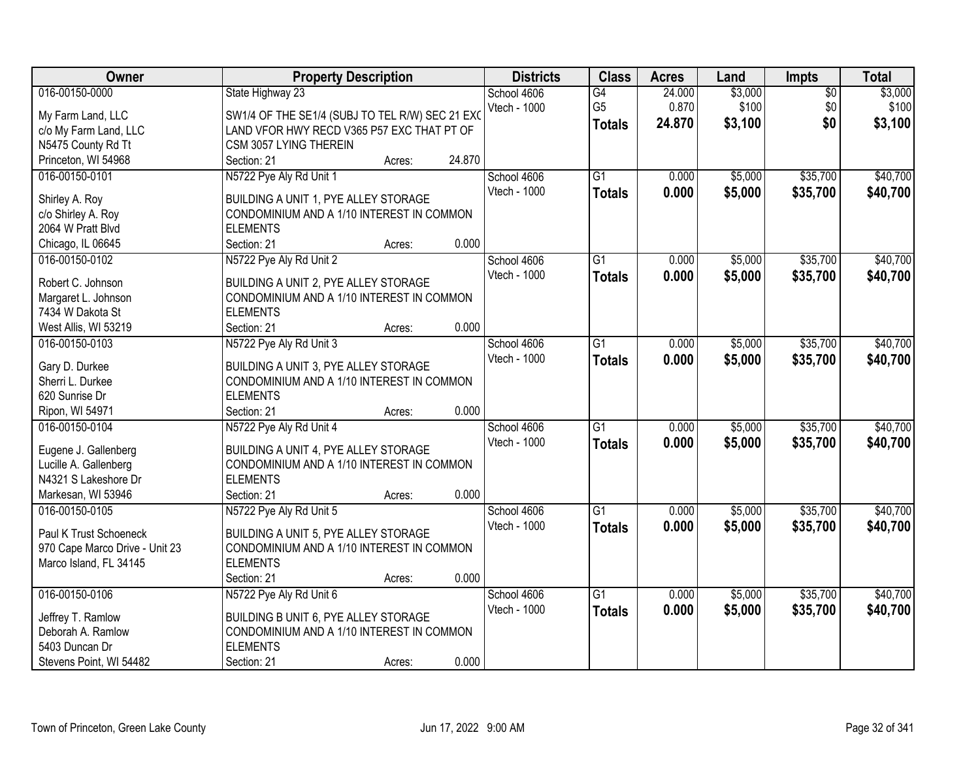| Owner                          | <b>Property Description</b>                                  |        |        | <b>Districts</b> | <b>Class</b>    | <b>Acres</b> | Land    | Impts           | <b>Total</b> |
|--------------------------------|--------------------------------------------------------------|--------|--------|------------------|-----------------|--------------|---------|-----------------|--------------|
| 016-00150-0000                 | State Highway 23                                             |        |        | School 4606      | G4              | 24.000       | \$3,000 | $\overline{50}$ | \$3,000      |
| My Farm Land, LLC              | SW1/4 OF THE SE1/4 (SUBJ TO TEL R/W) SEC 21 EXO              |        |        | Vtech - 1000     | G <sub>5</sub>  | 0.870        | \$100   | \$0             | \$100        |
| c/o My Farm Land, LLC          | LAND VFOR HWY RECD V365 P57 EXC THAT PT OF                   |        |        |                  | <b>Totals</b>   | 24.870       | \$3,100 | \$0             | \$3,100      |
| N5475 County Rd Tt             | CSM 3057 LYING THEREIN                                       |        |        |                  |                 |              |         |                 |              |
| Princeton, WI 54968            | Section: 21                                                  | Acres: | 24.870 |                  |                 |              |         |                 |              |
| 016-00150-0101                 | N5722 Pye Aly Rd Unit 1                                      |        |        | School 4606      | $\overline{G1}$ | 0.000        | \$5,000 | \$35,700        | \$40,700     |
|                                |                                                              |        |        | Vtech - 1000     | <b>Totals</b>   | 0.000        | \$5,000 | \$35,700        | \$40,700     |
| Shirley A. Roy                 | BUILDING A UNIT 1, PYE ALLEY STORAGE                         |        |        |                  |                 |              |         |                 |              |
| c/o Shirley A. Roy             | CONDOMINIUM AND A 1/10 INTEREST IN COMMON                    |        |        |                  |                 |              |         |                 |              |
| 2064 W Pratt Blvd              | <b>ELEMENTS</b>                                              |        |        |                  |                 |              |         |                 |              |
| Chicago, IL 06645              | Section: 21                                                  | Acres: | 0.000  |                  |                 |              |         |                 |              |
| 016-00150-0102                 | N5722 Pye Aly Rd Unit 2                                      |        |        | School 4606      | $\overline{G1}$ | 0.000        | \$5,000 | \$35,700        | \$40,700     |
| Robert C. Johnson              | BUILDING A UNIT 2, PYE ALLEY STORAGE                         |        |        | Vtech - 1000     | <b>Totals</b>   | 0.000        | \$5,000 | \$35,700        | \$40,700     |
| Margaret L. Johnson            | CONDOMINIUM AND A 1/10 INTEREST IN COMMON                    |        |        |                  |                 |              |         |                 |              |
| 7434 W Dakota St               | <b>ELEMENTS</b>                                              |        |        |                  |                 |              |         |                 |              |
| West Allis, WI 53219           | Section: 21                                                  | Acres: | 0.000  |                  |                 |              |         |                 |              |
| 016-00150-0103                 | N5722 Pye Aly Rd Unit 3                                      |        |        | School 4606      | G1              | 0.000        | \$5,000 | \$35,700        | \$40,700     |
|                                |                                                              |        |        | Vtech - 1000     | <b>Totals</b>   | 0.000        | \$5,000 | \$35,700        | \$40,700     |
| Gary D. Durkee                 | BUILDING A UNIT 3, PYE ALLEY STORAGE                         |        |        |                  |                 |              |         |                 |              |
| Sherri L. Durkee               | CONDOMINIUM AND A 1/10 INTEREST IN COMMON                    |        |        |                  |                 |              |         |                 |              |
| 620 Sunrise Dr                 | <b>ELEMENTS</b>                                              |        |        |                  |                 |              |         |                 |              |
| Ripon, WI 54971                | Section: 21                                                  | Acres: | 0.000  |                  |                 |              |         |                 |              |
| 016-00150-0104                 | N5722 Pye Aly Rd Unit 4                                      |        |        | School 4606      | $\overline{G1}$ | 0.000        | \$5,000 | \$35,700        | \$40,700     |
| Eugene J. Gallenberg           | BUILDING A UNIT 4, PYE ALLEY STORAGE                         |        |        | Vtech - 1000     | <b>Totals</b>   | 0.000        | \$5,000 | \$35,700        | \$40,700     |
| Lucille A. Gallenberg          | CONDOMINIUM AND A 1/10 INTEREST IN COMMON                    |        |        |                  |                 |              |         |                 |              |
| N4321 S Lakeshore Dr           | <b>ELEMENTS</b>                                              |        |        |                  |                 |              |         |                 |              |
| Markesan, WI 53946             | Section: 21                                                  | Acres: | 0.000  |                  |                 |              |         |                 |              |
| 016-00150-0105                 | N5722 Pye Aly Rd Unit 5                                      |        |        | School 4606      | $\overline{G1}$ | 0.000        | \$5,000 | \$35,700        | \$40,700     |
|                                |                                                              |        |        | Vtech - 1000     | <b>Totals</b>   | 0.000        | \$5,000 | \$35,700        | \$40,700     |
| Paul K Trust Schoeneck         | BUILDING A UNIT 5, PYE ALLEY STORAGE                         |        |        |                  |                 |              |         |                 |              |
| 970 Cape Marco Drive - Unit 23 | CONDOMINIUM AND A 1/10 INTEREST IN COMMON<br><b>ELEMENTS</b> |        |        |                  |                 |              |         |                 |              |
| Marco Island, FL 34145         |                                                              |        | 0.000  |                  |                 |              |         |                 |              |
|                                | Section: 21                                                  | Acres: |        |                  |                 |              |         | \$35,700        | \$40,700     |
| 016-00150-0106                 | N5722 Pye Aly Rd Unit 6                                      |        |        | School 4606      | $\overline{G1}$ | 0.000        | \$5,000 |                 |              |
| Jeffrey T. Ramlow              | BUILDING B UNIT 6, PYE ALLEY STORAGE                         |        |        | Vtech - 1000     | <b>Totals</b>   | 0.000        | \$5,000 | \$35,700        | \$40,700     |
| Deborah A. Ramlow              | CONDOMINIUM AND A 1/10 INTEREST IN COMMON                    |        |        |                  |                 |              |         |                 |              |
| 5403 Duncan Dr                 | <b>ELEMENTS</b>                                              |        |        |                  |                 |              |         |                 |              |
| Stevens Point, WI 54482        | Section: 21                                                  | Acres: | 0.000  |                  |                 |              |         |                 |              |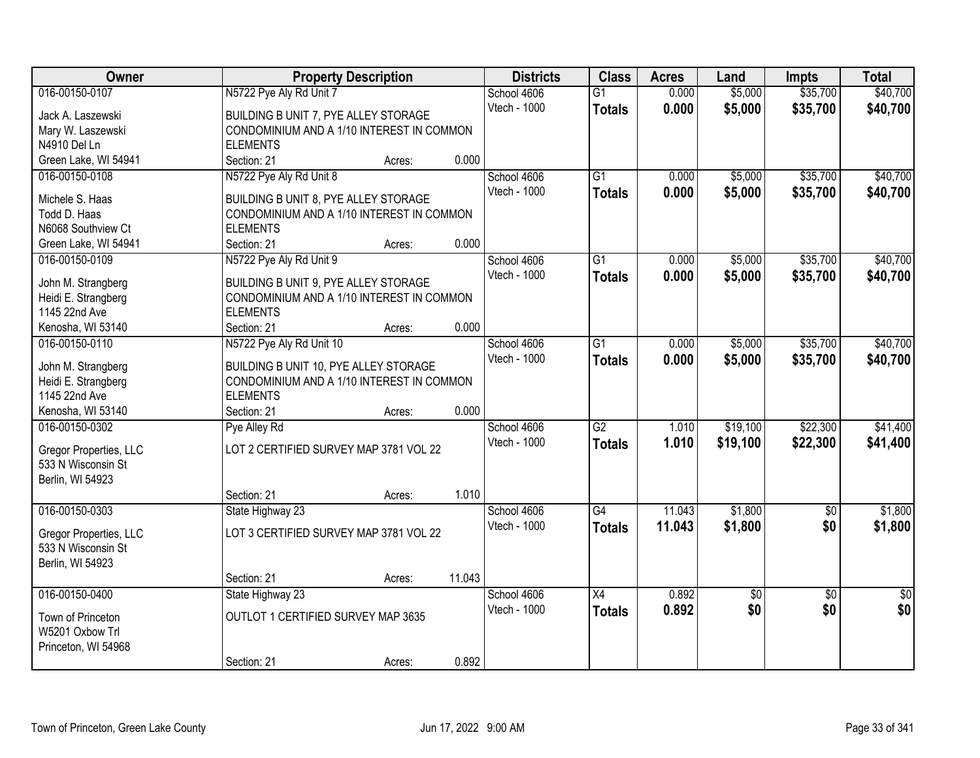| Owner                  | <b>Property Description</b>               |        |        | <b>Districts</b> | <b>Class</b>    | <b>Acres</b> | Land     | <b>Impts</b>    | <b>Total</b>    |
|------------------------|-------------------------------------------|--------|--------|------------------|-----------------|--------------|----------|-----------------|-----------------|
| 016-00150-0107         | N5722 Pye Aly Rd Unit 7                   |        |        | School 4606      | $\overline{G1}$ | 0.000        | \$5,000  | \$35,700        | \$40,700        |
| Jack A. Laszewski      | BUILDING B UNIT 7, PYE ALLEY STORAGE      |        |        | Vtech - 1000     | <b>Totals</b>   | 0.000        | \$5,000  | \$35,700        | \$40,700        |
| Mary W. Laszewski      | CONDOMINIUM AND A 1/10 INTEREST IN COMMON |        |        |                  |                 |              |          |                 |                 |
| N4910 Del Ln           | <b>ELEMENTS</b>                           |        |        |                  |                 |              |          |                 |                 |
| Green Lake, WI 54941   | Section: 21                               | Acres: | 0.000  |                  |                 |              |          |                 |                 |
| 016-00150-0108         | N5722 Pye Aly Rd Unit 8                   |        |        | School 4606      | $\overline{G1}$ | 0.000        | \$5,000  | \$35,700        | \$40,700        |
|                        |                                           |        |        | Vtech - 1000     | <b>Totals</b>   | 0.000        | \$5,000  | \$35,700        | \$40,700        |
| Michele S. Haas        | BUILDING B UNIT 8, PYE ALLEY STORAGE      |        |        |                  |                 |              |          |                 |                 |
| Todd D. Haas           | CONDOMINIUM AND A 1/10 INTEREST IN COMMON |        |        |                  |                 |              |          |                 |                 |
| N6068 Southview Ct     | <b>ELEMENTS</b>                           |        |        |                  |                 |              |          |                 |                 |
| Green Lake, WI 54941   | Section: 21                               | Acres: | 0.000  |                  |                 |              |          |                 |                 |
| 016-00150-0109         | N5722 Pye Aly Rd Unit 9                   |        |        | School 4606      | G1              | 0.000        | \$5,000  | \$35,700        | \$40,700        |
| John M. Strangberg     | BUILDING B UNIT 9, PYE ALLEY STORAGE      |        |        | Vtech - 1000     | <b>Totals</b>   | 0.000        | \$5,000  | \$35,700        | \$40,700        |
| Heidi E. Strangberg    | CONDOMINIUM AND A 1/10 INTEREST IN COMMON |        |        |                  |                 |              |          |                 |                 |
| 1145 22nd Ave          | <b>ELEMENTS</b>                           |        |        |                  |                 |              |          |                 |                 |
| Kenosha, WI 53140      | Section: 21                               | Acres: | 0.000  |                  |                 |              |          |                 |                 |
| 016-00150-0110         | N5722 Pye Aly Rd Unit 10                  |        |        | School 4606      | G1              | 0.000        | \$5,000  | \$35,700        | \$40,700        |
|                        |                                           |        |        | Vtech - 1000     | <b>Totals</b>   | 0.000        | \$5,000  | \$35,700        | \$40,700        |
| John M. Strangberg     | BUILDING B UNIT 10, PYE ALLEY STORAGE     |        |        |                  |                 |              |          |                 |                 |
| Heidi E. Strangberg    | CONDOMINIUM AND A 1/10 INTEREST IN COMMON |        |        |                  |                 |              |          |                 |                 |
| 1145 22nd Ave          | <b>ELEMENTS</b>                           |        |        |                  |                 |              |          |                 |                 |
| Kenosha, WI 53140      | Section: 21                               | Acres: | 0.000  |                  |                 |              |          |                 |                 |
| 016-00150-0302         | Pye Alley Rd                              |        |        | School 4606      | $\overline{G2}$ | 1.010        | \$19,100 | \$22,300        | \$41,400        |
| Gregor Properties, LLC | LOT 2 CERTIFIED SURVEY MAP 3781 VOL 22    |        |        | Vtech - 1000     | <b>Totals</b>   | 1.010        | \$19,100 | \$22,300        | \$41,400        |
| 533 N Wisconsin St     |                                           |        |        |                  |                 |              |          |                 |                 |
| Berlin, WI 54923       |                                           |        |        |                  |                 |              |          |                 |                 |
|                        | Section: 21                               | Acres: | 1.010  |                  |                 |              |          |                 |                 |
| 016-00150-0303         | State Highway 23                          |        |        | School 4606      | $\overline{G4}$ | 11.043       | \$1,800  | $\overline{50}$ | \$1,800         |
| Gregor Properties, LLC | LOT 3 CERTIFIED SURVEY MAP 3781 VOL 22    |        |        | Vtech - 1000     | <b>Totals</b>   | 11.043       | \$1,800  | \$0             | \$1,800         |
| 533 N Wisconsin St     |                                           |        |        |                  |                 |              |          |                 |                 |
| Berlin, WI 54923       |                                           |        |        |                  |                 |              |          |                 |                 |
|                        | Section: 21                               | Acres: | 11.043 |                  |                 |              |          |                 |                 |
| 016-00150-0400         | State Highway 23                          |        |        | School 4606      | $\overline{X4}$ | 0.892        | \$0      | $\overline{30}$ | $\overline{50}$ |
|                        |                                           |        |        | Vtech - 1000     |                 | 0.892        | \$0      | \$0             | \$0             |
| Town of Princeton      | OUTLOT 1 CERTIFIED SURVEY MAP 3635        |        |        |                  | <b>Totals</b>   |              |          |                 |                 |
| W5201 Oxbow Trl        |                                           |        |        |                  |                 |              |          |                 |                 |
| Princeton, WI 54968    |                                           |        |        |                  |                 |              |          |                 |                 |
|                        | Section: 21                               | Acres: | 0.892  |                  |                 |              |          |                 |                 |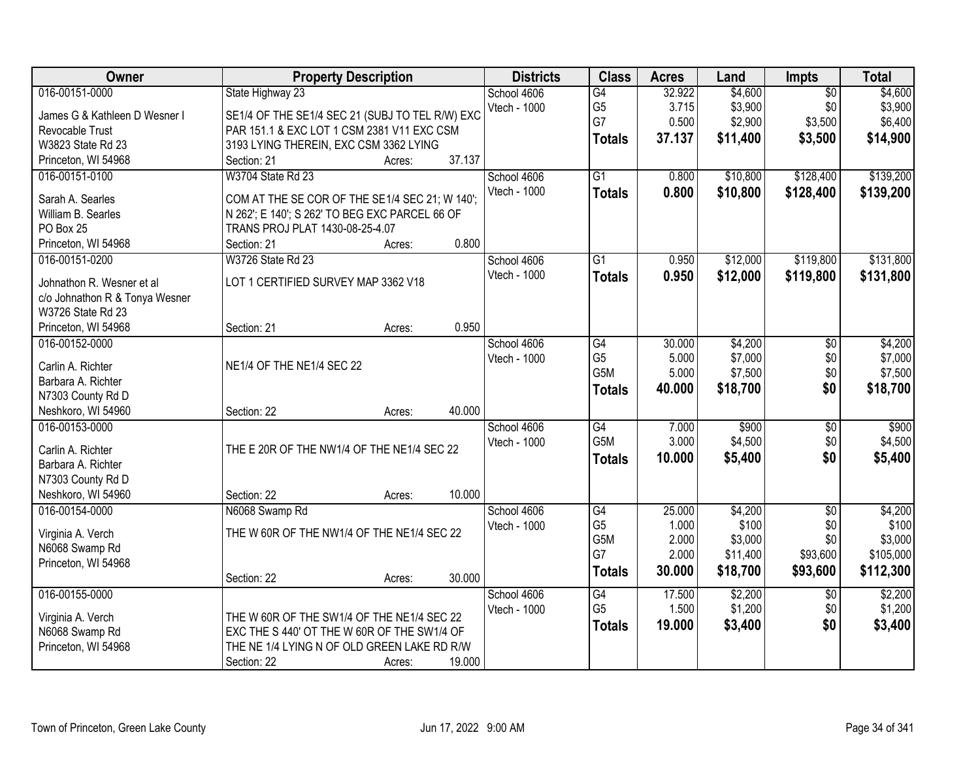| \$4,600<br>School 4606<br>$\overline{G4}$<br>$\overline{50}$<br>G <sub>5</sub><br>3.715<br>\$3,900<br>\$3,900<br>Vtech - 1000<br>\$0<br>SE1/4 OF THE SE1/4 SEC 21 (SUBJ TO TEL R/W) EXC<br>James G & Kathleen D Wesner I<br>G7<br>0.500<br>\$2,900<br>\$3,500<br>\$6,400<br>PAR 151.1 & EXC LOT 1 CSM 2381 V11 EXC CSM<br>Revocable Trust<br>37.137<br>\$11,400<br>\$3,500<br>\$14,900<br><b>Totals</b><br>3193 LYING THEREIN, EXC CSM 3362 LYING<br>W3823 State Rd 23<br>37.137<br>Princeton, WI 54968<br>Section: 21<br>Acres:<br>\$128,400<br>\$139,200<br>016-00151-0100<br><b>W3704 State Rd 23</b><br>$\overline{G1}$<br>0.800<br>\$10,800<br>School 4606<br>Vtech - 1000<br>0.800<br>\$10,800<br>\$128,400<br>\$139,200<br><b>Totals</b><br>COM AT THE SE COR OF THE SE1/4 SEC 21; W 140';<br>Sarah A. Searles<br>N 262'; E 140'; S 262' TO BEG EXC PARCEL 66 OF<br>William B. Searles<br>PO Box 25<br>TRANS PROJ PLAT 1430-08-25-4.07<br>0.800<br>Princeton, WI 54968<br>Section: 21<br>Acres:<br>\$119,800<br>016-00151-0200<br><b>W3726 State Rd 23</b><br>$\overline{G1}$<br>0.950<br>\$12,000<br>School 4606<br>Vtech - 1000<br>0.950<br>\$12,000<br>\$119,800<br><b>Totals</b><br>LOT 1 CERTIFIED SURVEY MAP 3362 V18<br>Johnathon R. Wesner et al<br>c/o Johnathon R & Tonya Wesner<br>W3726 State Rd 23<br>0.950<br>Princeton, WI 54968<br>Section: 21<br>Acres:<br>016-00152-0000<br>School 4606<br>G4<br>30.000<br>\$4,200<br>\$0<br>G <sub>5</sub><br>5.000<br>\$7,000<br>\$0<br>Vtech - 1000<br>Carlin A. Richter<br>NE1/4 OF THE NE1/4 SEC 22<br>G5M<br>5.000<br>\$7,500<br>\$0<br>Barbara A. Richter<br>\$0<br>40.000<br>\$18,700<br>\$18,700<br><b>Totals</b><br>N7303 County Rd D<br>40.000<br>Neshkoro, WI 54960<br>Section: 22<br>Acres:<br>G4<br>\$900<br>016-00153-0000<br>7.000<br>$\overline{30}$<br>\$900<br>School 4606<br>G <sub>5</sub> M<br>3.000<br>\$4,500<br>\$0<br>Vtech - 1000<br>Carlin A. Richter<br>THE E 20R OF THE NW1/4 OF THE NE1/4 SEC 22<br>10.000<br>\$5,400<br>\$0<br>\$5,400<br><b>Totals</b><br>Barbara A. Richter<br>N7303 County Rd D<br>10.000<br>Neshkoro, WI 54960<br>Section: 22<br>Acres:<br>G4<br>016-00154-0000<br>N6068 Swamp Rd<br>School 4606<br>25.000<br>\$4,200<br>$\sqrt{6}$<br>G <sub>5</sub><br>1.000<br>\$100<br>\$0<br>Vtech - 1000<br>THE W 60R OF THE NW1/4 OF THE NE1/4 SEC 22<br>Virginia A. Verch<br>G5M<br>2.000<br>\$3,000<br>\$0<br>N6068 Swamp Rd<br>G7<br>2.000<br>\$93,600<br>\$11,400<br>Princeton, WI 54968<br>\$112,300<br>30.000<br>\$18,700<br>\$93,600<br><b>Totals</b><br>30.000<br>Section: 22<br>Acres:<br>016-00155-0000<br>G4<br>\$2,200<br>\$2,200<br>School 4606<br>17.500<br>$\overline{30}$<br>\$1,200<br>G <sub>5</sub><br>1.500<br>\$0<br>Vtech - 1000<br>Virginia A. Verch<br>THE W 60R OF THE SW1/4 OF THE NE1/4 SEC 22<br>\$0<br>19.000<br>\$3,400<br>\$3,400<br><b>Totals</b><br>N6068 Swamp Rd<br>EXC THE S 440' OT THE W 60R OF THE SW1/4 OF<br>Princeton, WI 54968<br>THE NE 1/4 LYING N OF OLD GREEN LAKE RD R/W | Owner          | <b>Property Description</b>     | <b>Districts</b> | <b>Class</b> | <b>Acres</b> | Land    | <b>Impts</b> | <b>Total</b> |
|------------------------------------------------------------------------------------------------------------------------------------------------------------------------------------------------------------------------------------------------------------------------------------------------------------------------------------------------------------------------------------------------------------------------------------------------------------------------------------------------------------------------------------------------------------------------------------------------------------------------------------------------------------------------------------------------------------------------------------------------------------------------------------------------------------------------------------------------------------------------------------------------------------------------------------------------------------------------------------------------------------------------------------------------------------------------------------------------------------------------------------------------------------------------------------------------------------------------------------------------------------------------------------------------------------------------------------------------------------------------------------------------------------------------------------------------------------------------------------------------------------------------------------------------------------------------------------------------------------------------------------------------------------------------------------------------------------------------------------------------------------------------------------------------------------------------------------------------------------------------------------------------------------------------------------------------------------------------------------------------------------------------------------------------------------------------------------------------------------------------------------------------------------------------------------------------------------------------------------------------------------------------------------------------------------------------------------------------------------------------------------------------------------------------------------------------------------------------------------------------------------------------------------------------------------------------------------------------------------------------------------------------------------------------------------------------------------------------------------------------------------------------------------------------------------------------------------------------------------------------------------------------------------------------------------------------------------------------------------------------------------------------------|----------------|---------------------------------|------------------|--------------|--------------|---------|--------------|--------------|
|                                                                                                                                                                                                                                                                                                                                                                                                                                                                                                                                                                                                                                                                                                                                                                                                                                                                                                                                                                                                                                                                                                                                                                                                                                                                                                                                                                                                                                                                                                                                                                                                                                                                                                                                                                                                                                                                                                                                                                                                                                                                                                                                                                                                                                                                                                                                                                                                                                                                                                                                                                                                                                                                                                                                                                                                                                                                                                                                                                                                                              | 016-00151-0000 | State Highway 23                |                  |              | 32.922       | \$4,600 |              |              |
|                                                                                                                                                                                                                                                                                                                                                                                                                                                                                                                                                                                                                                                                                                                                                                                                                                                                                                                                                                                                                                                                                                                                                                                                                                                                                                                                                                                                                                                                                                                                                                                                                                                                                                                                                                                                                                                                                                                                                                                                                                                                                                                                                                                                                                                                                                                                                                                                                                                                                                                                                                                                                                                                                                                                                                                                                                                                                                                                                                                                                              |                |                                 |                  |              |              |         |              |              |
|                                                                                                                                                                                                                                                                                                                                                                                                                                                                                                                                                                                                                                                                                                                                                                                                                                                                                                                                                                                                                                                                                                                                                                                                                                                                                                                                                                                                                                                                                                                                                                                                                                                                                                                                                                                                                                                                                                                                                                                                                                                                                                                                                                                                                                                                                                                                                                                                                                                                                                                                                                                                                                                                                                                                                                                                                                                                                                                                                                                                                              |                |                                 |                  |              |              |         |              |              |
|                                                                                                                                                                                                                                                                                                                                                                                                                                                                                                                                                                                                                                                                                                                                                                                                                                                                                                                                                                                                                                                                                                                                                                                                                                                                                                                                                                                                                                                                                                                                                                                                                                                                                                                                                                                                                                                                                                                                                                                                                                                                                                                                                                                                                                                                                                                                                                                                                                                                                                                                                                                                                                                                                                                                                                                                                                                                                                                                                                                                                              |                |                                 |                  |              |              |         |              |              |
|                                                                                                                                                                                                                                                                                                                                                                                                                                                                                                                                                                                                                                                                                                                                                                                                                                                                                                                                                                                                                                                                                                                                                                                                                                                                                                                                                                                                                                                                                                                                                                                                                                                                                                                                                                                                                                                                                                                                                                                                                                                                                                                                                                                                                                                                                                                                                                                                                                                                                                                                                                                                                                                                                                                                                                                                                                                                                                                                                                                                                              |                |                                 |                  |              |              |         |              |              |
| \$131,800<br>\$131,800<br>\$4,200<br>\$7,000<br>\$7,500<br>\$4,500<br>\$4,200<br>\$100<br>\$3,000<br>\$105,000<br>\$1,200                                                                                                                                                                                                                                                                                                                                                                                                                                                                                                                                                                                                                                                                                                                                                                                                                                                                                                                                                                                                                                                                                                                                                                                                                                                                                                                                                                                                                                                                                                                                                                                                                                                                                                                                                                                                                                                                                                                                                                                                                                                                                                                                                                                                                                                                                                                                                                                                                                                                                                                                                                                                                                                                                                                                                                                                                                                                                                    |                |                                 |                  |              |              |         |              |              |
|                                                                                                                                                                                                                                                                                                                                                                                                                                                                                                                                                                                                                                                                                                                                                                                                                                                                                                                                                                                                                                                                                                                                                                                                                                                                                                                                                                                                                                                                                                                                                                                                                                                                                                                                                                                                                                                                                                                                                                                                                                                                                                                                                                                                                                                                                                                                                                                                                                                                                                                                                                                                                                                                                                                                                                                                                                                                                                                                                                                                                              |                |                                 |                  |              |              |         |              |              |
|                                                                                                                                                                                                                                                                                                                                                                                                                                                                                                                                                                                                                                                                                                                                                                                                                                                                                                                                                                                                                                                                                                                                                                                                                                                                                                                                                                                                                                                                                                                                                                                                                                                                                                                                                                                                                                                                                                                                                                                                                                                                                                                                                                                                                                                                                                                                                                                                                                                                                                                                                                                                                                                                                                                                                                                                                                                                                                                                                                                                                              |                |                                 |                  |              |              |         |              |              |
|                                                                                                                                                                                                                                                                                                                                                                                                                                                                                                                                                                                                                                                                                                                                                                                                                                                                                                                                                                                                                                                                                                                                                                                                                                                                                                                                                                                                                                                                                                                                                                                                                                                                                                                                                                                                                                                                                                                                                                                                                                                                                                                                                                                                                                                                                                                                                                                                                                                                                                                                                                                                                                                                                                                                                                                                                                                                                                                                                                                                                              |                |                                 |                  |              |              |         |              |              |
|                                                                                                                                                                                                                                                                                                                                                                                                                                                                                                                                                                                                                                                                                                                                                                                                                                                                                                                                                                                                                                                                                                                                                                                                                                                                                                                                                                                                                                                                                                                                                                                                                                                                                                                                                                                                                                                                                                                                                                                                                                                                                                                                                                                                                                                                                                                                                                                                                                                                                                                                                                                                                                                                                                                                                                                                                                                                                                                                                                                                                              |                |                                 |                  |              |              |         |              |              |
|                                                                                                                                                                                                                                                                                                                                                                                                                                                                                                                                                                                                                                                                                                                                                                                                                                                                                                                                                                                                                                                                                                                                                                                                                                                                                                                                                                                                                                                                                                                                                                                                                                                                                                                                                                                                                                                                                                                                                                                                                                                                                                                                                                                                                                                                                                                                                                                                                                                                                                                                                                                                                                                                                                                                                                                                                                                                                                                                                                                                                              |                |                                 |                  |              |              |         |              |              |
|                                                                                                                                                                                                                                                                                                                                                                                                                                                                                                                                                                                                                                                                                                                                                                                                                                                                                                                                                                                                                                                                                                                                                                                                                                                                                                                                                                                                                                                                                                                                                                                                                                                                                                                                                                                                                                                                                                                                                                                                                                                                                                                                                                                                                                                                                                                                                                                                                                                                                                                                                                                                                                                                                                                                                                                                                                                                                                                                                                                                                              |                |                                 |                  |              |              |         |              |              |
|                                                                                                                                                                                                                                                                                                                                                                                                                                                                                                                                                                                                                                                                                                                                                                                                                                                                                                                                                                                                                                                                                                                                                                                                                                                                                                                                                                                                                                                                                                                                                                                                                                                                                                                                                                                                                                                                                                                                                                                                                                                                                                                                                                                                                                                                                                                                                                                                                                                                                                                                                                                                                                                                                                                                                                                                                                                                                                                                                                                                                              |                |                                 |                  |              |              |         |              |              |
|                                                                                                                                                                                                                                                                                                                                                                                                                                                                                                                                                                                                                                                                                                                                                                                                                                                                                                                                                                                                                                                                                                                                                                                                                                                                                                                                                                                                                                                                                                                                                                                                                                                                                                                                                                                                                                                                                                                                                                                                                                                                                                                                                                                                                                                                                                                                                                                                                                                                                                                                                                                                                                                                                                                                                                                                                                                                                                                                                                                                                              |                |                                 |                  |              |              |         |              |              |
|                                                                                                                                                                                                                                                                                                                                                                                                                                                                                                                                                                                                                                                                                                                                                                                                                                                                                                                                                                                                                                                                                                                                                                                                                                                                                                                                                                                                                                                                                                                                                                                                                                                                                                                                                                                                                                                                                                                                                                                                                                                                                                                                                                                                                                                                                                                                                                                                                                                                                                                                                                                                                                                                                                                                                                                                                                                                                                                                                                                                                              |                |                                 |                  |              |              |         |              |              |
|                                                                                                                                                                                                                                                                                                                                                                                                                                                                                                                                                                                                                                                                                                                                                                                                                                                                                                                                                                                                                                                                                                                                                                                                                                                                                                                                                                                                                                                                                                                                                                                                                                                                                                                                                                                                                                                                                                                                                                                                                                                                                                                                                                                                                                                                                                                                                                                                                                                                                                                                                                                                                                                                                                                                                                                                                                                                                                                                                                                                                              |                |                                 |                  |              |              |         |              |              |
|                                                                                                                                                                                                                                                                                                                                                                                                                                                                                                                                                                                                                                                                                                                                                                                                                                                                                                                                                                                                                                                                                                                                                                                                                                                                                                                                                                                                                                                                                                                                                                                                                                                                                                                                                                                                                                                                                                                                                                                                                                                                                                                                                                                                                                                                                                                                                                                                                                                                                                                                                                                                                                                                                                                                                                                                                                                                                                                                                                                                                              |                |                                 |                  |              |              |         |              |              |
|                                                                                                                                                                                                                                                                                                                                                                                                                                                                                                                                                                                                                                                                                                                                                                                                                                                                                                                                                                                                                                                                                                                                                                                                                                                                                                                                                                                                                                                                                                                                                                                                                                                                                                                                                                                                                                                                                                                                                                                                                                                                                                                                                                                                                                                                                                                                                                                                                                                                                                                                                                                                                                                                                                                                                                                                                                                                                                                                                                                                                              |                |                                 |                  |              |              |         |              |              |
|                                                                                                                                                                                                                                                                                                                                                                                                                                                                                                                                                                                                                                                                                                                                                                                                                                                                                                                                                                                                                                                                                                                                                                                                                                                                                                                                                                                                                                                                                                                                                                                                                                                                                                                                                                                                                                                                                                                                                                                                                                                                                                                                                                                                                                                                                                                                                                                                                                                                                                                                                                                                                                                                                                                                                                                                                                                                                                                                                                                                                              |                |                                 |                  |              |              |         |              |              |
|                                                                                                                                                                                                                                                                                                                                                                                                                                                                                                                                                                                                                                                                                                                                                                                                                                                                                                                                                                                                                                                                                                                                                                                                                                                                                                                                                                                                                                                                                                                                                                                                                                                                                                                                                                                                                                                                                                                                                                                                                                                                                                                                                                                                                                                                                                                                                                                                                                                                                                                                                                                                                                                                                                                                                                                                                                                                                                                                                                                                                              |                |                                 |                  |              |              |         |              |              |
|                                                                                                                                                                                                                                                                                                                                                                                                                                                                                                                                                                                                                                                                                                                                                                                                                                                                                                                                                                                                                                                                                                                                                                                                                                                                                                                                                                                                                                                                                                                                                                                                                                                                                                                                                                                                                                                                                                                                                                                                                                                                                                                                                                                                                                                                                                                                                                                                                                                                                                                                                                                                                                                                                                                                                                                                                                                                                                                                                                                                                              |                |                                 |                  |              |              |         |              |              |
|                                                                                                                                                                                                                                                                                                                                                                                                                                                                                                                                                                                                                                                                                                                                                                                                                                                                                                                                                                                                                                                                                                                                                                                                                                                                                                                                                                                                                                                                                                                                                                                                                                                                                                                                                                                                                                                                                                                                                                                                                                                                                                                                                                                                                                                                                                                                                                                                                                                                                                                                                                                                                                                                                                                                                                                                                                                                                                                                                                                                                              |                |                                 |                  |              |              |         |              |              |
|                                                                                                                                                                                                                                                                                                                                                                                                                                                                                                                                                                                                                                                                                                                                                                                                                                                                                                                                                                                                                                                                                                                                                                                                                                                                                                                                                                                                                                                                                                                                                                                                                                                                                                                                                                                                                                                                                                                                                                                                                                                                                                                                                                                                                                                                                                                                                                                                                                                                                                                                                                                                                                                                                                                                                                                                                                                                                                                                                                                                                              |                |                                 |                  |              |              |         |              |              |
|                                                                                                                                                                                                                                                                                                                                                                                                                                                                                                                                                                                                                                                                                                                                                                                                                                                                                                                                                                                                                                                                                                                                                                                                                                                                                                                                                                                                                                                                                                                                                                                                                                                                                                                                                                                                                                                                                                                                                                                                                                                                                                                                                                                                                                                                                                                                                                                                                                                                                                                                                                                                                                                                                                                                                                                                                                                                                                                                                                                                                              |                |                                 |                  |              |              |         |              |              |
|                                                                                                                                                                                                                                                                                                                                                                                                                                                                                                                                                                                                                                                                                                                                                                                                                                                                                                                                                                                                                                                                                                                                                                                                                                                                                                                                                                                                                                                                                                                                                                                                                                                                                                                                                                                                                                                                                                                                                                                                                                                                                                                                                                                                                                                                                                                                                                                                                                                                                                                                                                                                                                                                                                                                                                                                                                                                                                                                                                                                                              |                |                                 |                  |              |              |         |              |              |
|                                                                                                                                                                                                                                                                                                                                                                                                                                                                                                                                                                                                                                                                                                                                                                                                                                                                                                                                                                                                                                                                                                                                                                                                                                                                                                                                                                                                                                                                                                                                                                                                                                                                                                                                                                                                                                                                                                                                                                                                                                                                                                                                                                                                                                                                                                                                                                                                                                                                                                                                                                                                                                                                                                                                                                                                                                                                                                                                                                                                                              |                |                                 |                  |              |              |         |              |              |
|                                                                                                                                                                                                                                                                                                                                                                                                                                                                                                                                                                                                                                                                                                                                                                                                                                                                                                                                                                                                                                                                                                                                                                                                                                                                                                                                                                                                                                                                                                                                                                                                                                                                                                                                                                                                                                                                                                                                                                                                                                                                                                                                                                                                                                                                                                                                                                                                                                                                                                                                                                                                                                                                                                                                                                                                                                                                                                                                                                                                                              |                |                                 |                  |              |              |         |              |              |
|                                                                                                                                                                                                                                                                                                                                                                                                                                                                                                                                                                                                                                                                                                                                                                                                                                                                                                                                                                                                                                                                                                                                                                                                                                                                                                                                                                                                                                                                                                                                                                                                                                                                                                                                                                                                                                                                                                                                                                                                                                                                                                                                                                                                                                                                                                                                                                                                                                                                                                                                                                                                                                                                                                                                                                                                                                                                                                                                                                                                                              |                |                                 |                  |              |              |         |              |              |
|                                                                                                                                                                                                                                                                                                                                                                                                                                                                                                                                                                                                                                                                                                                                                                                                                                                                                                                                                                                                                                                                                                                                                                                                                                                                                                                                                                                                                                                                                                                                                                                                                                                                                                                                                                                                                                                                                                                                                                                                                                                                                                                                                                                                                                                                                                                                                                                                                                                                                                                                                                                                                                                                                                                                                                                                                                                                                                                                                                                                                              |                |                                 |                  |              |              |         |              |              |
|                                                                                                                                                                                                                                                                                                                                                                                                                                                                                                                                                                                                                                                                                                                                                                                                                                                                                                                                                                                                                                                                                                                                                                                                                                                                                                                                                                                                                                                                                                                                                                                                                                                                                                                                                                                                                                                                                                                                                                                                                                                                                                                                                                                                                                                                                                                                                                                                                                                                                                                                                                                                                                                                                                                                                                                                                                                                                                                                                                                                                              |                |                                 |                  |              |              |         |              |              |
|                                                                                                                                                                                                                                                                                                                                                                                                                                                                                                                                                                                                                                                                                                                                                                                                                                                                                                                                                                                                                                                                                                                                                                                                                                                                                                                                                                                                                                                                                                                                                                                                                                                                                                                                                                                                                                                                                                                                                                                                                                                                                                                                                                                                                                                                                                                                                                                                                                                                                                                                                                                                                                                                                                                                                                                                                                                                                                                                                                                                                              |                |                                 |                  |              |              |         |              |              |
|                                                                                                                                                                                                                                                                                                                                                                                                                                                                                                                                                                                                                                                                                                                                                                                                                                                                                                                                                                                                                                                                                                                                                                                                                                                                                                                                                                                                                                                                                                                                                                                                                                                                                                                                                                                                                                                                                                                                                                                                                                                                                                                                                                                                                                                                                                                                                                                                                                                                                                                                                                                                                                                                                                                                                                                                                                                                                                                                                                                                                              |                |                                 |                  |              |              |         |              |              |
|                                                                                                                                                                                                                                                                                                                                                                                                                                                                                                                                                                                                                                                                                                                                                                                                                                                                                                                                                                                                                                                                                                                                                                                                                                                                                                                                                                                                                                                                                                                                                                                                                                                                                                                                                                                                                                                                                                                                                                                                                                                                                                                                                                                                                                                                                                                                                                                                                                                                                                                                                                                                                                                                                                                                                                                                                                                                                                                                                                                                                              |                |                                 |                  |              |              |         |              |              |
|                                                                                                                                                                                                                                                                                                                                                                                                                                                                                                                                                                                                                                                                                                                                                                                                                                                                                                                                                                                                                                                                                                                                                                                                                                                                                                                                                                                                                                                                                                                                                                                                                                                                                                                                                                                                                                                                                                                                                                                                                                                                                                                                                                                                                                                                                                                                                                                                                                                                                                                                                                                                                                                                                                                                                                                                                                                                                                                                                                                                                              |                |                                 |                  |              |              |         |              |              |
|                                                                                                                                                                                                                                                                                                                                                                                                                                                                                                                                                                                                                                                                                                                                                                                                                                                                                                                                                                                                                                                                                                                                                                                                                                                                                                                                                                                                                                                                                                                                                                                                                                                                                                                                                                                                                                                                                                                                                                                                                                                                                                                                                                                                                                                                                                                                                                                                                                                                                                                                                                                                                                                                                                                                                                                                                                                                                                                                                                                                                              |                |                                 |                  |              |              |         |              |              |
|                                                                                                                                                                                                                                                                                                                                                                                                                                                                                                                                                                                                                                                                                                                                                                                                                                                                                                                                                                                                                                                                                                                                                                                                                                                                                                                                                                                                                                                                                                                                                                                                                                                                                                                                                                                                                                                                                                                                                                                                                                                                                                                                                                                                                                                                                                                                                                                                                                                                                                                                                                                                                                                                                                                                                                                                                                                                                                                                                                                                                              |                |                                 |                  |              |              |         |              |              |
|                                                                                                                                                                                                                                                                                                                                                                                                                                                                                                                                                                                                                                                                                                                                                                                                                                                                                                                                                                                                                                                                                                                                                                                                                                                                                                                                                                                                                                                                                                                                                                                                                                                                                                                                                                                                                                                                                                                                                                                                                                                                                                                                                                                                                                                                                                                                                                                                                                                                                                                                                                                                                                                                                                                                                                                                                                                                                                                                                                                                                              |                |                                 |                  |              |              |         |              |              |
|                                                                                                                                                                                                                                                                                                                                                                                                                                                                                                                                                                                                                                                                                                                                                                                                                                                                                                                                                                                                                                                                                                                                                                                                                                                                                                                                                                                                                                                                                                                                                                                                                                                                                                                                                                                                                                                                                                                                                                                                                                                                                                                                                                                                                                                                                                                                                                                                                                                                                                                                                                                                                                                                                                                                                                                                                                                                                                                                                                                                                              |                | 19.000<br>Section: 22<br>Acres: |                  |              |              |         |              |              |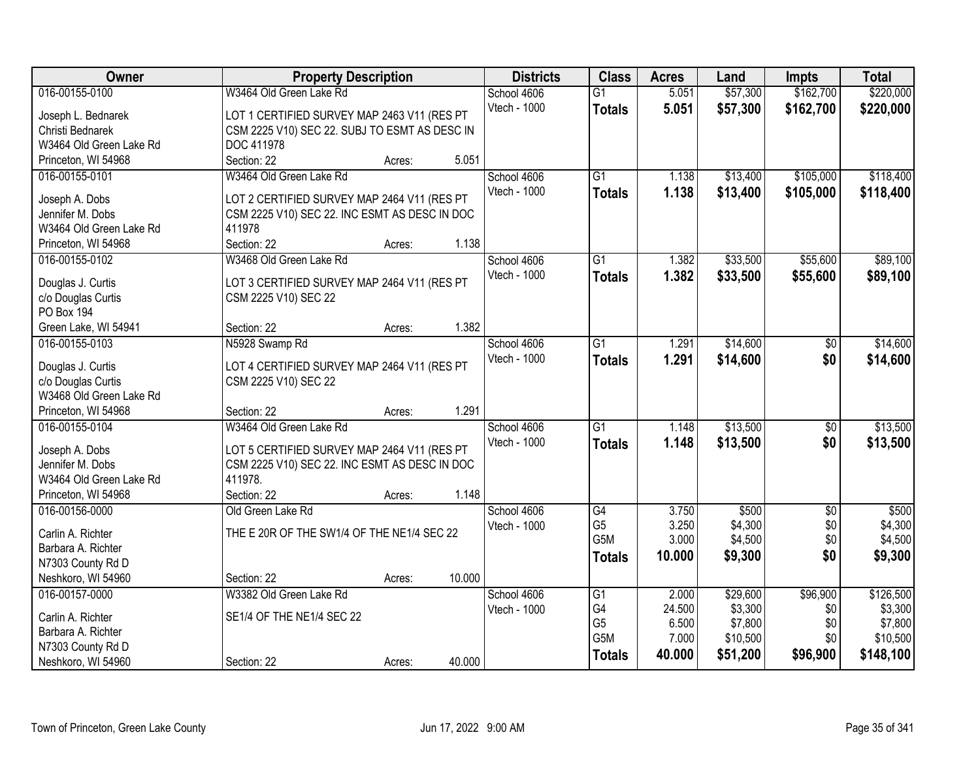| Owner                                   | <b>Property Description</b>                                         | <b>Districts</b>    | <b>Class</b>    | <b>Acres</b> | Land     | <b>Impts</b>    | <b>Total</b> |
|-----------------------------------------|---------------------------------------------------------------------|---------------------|-----------------|--------------|----------|-----------------|--------------|
| 016-00155-0100                          | W3464 Old Green Lake Rd                                             | School 4606         | $\overline{G1}$ | 5.051        | \$57,300 | \$162,700       | \$220,000    |
| Joseph L. Bednarek                      | LOT 1 CERTIFIED SURVEY MAP 2463 V11 (RES PT                         | Vtech - 1000        | <b>Totals</b>   | 5.051        | \$57,300 | \$162,700       | \$220,000    |
| Christi Bednarek                        | CSM 2225 V10) SEC 22. SUBJ TO ESMT AS DESC IN                       |                     |                 |              |          |                 |              |
| W3464 Old Green Lake Rd                 | DOC 411978                                                          |                     |                 |              |          |                 |              |
| Princeton, WI 54968                     | 5.051<br>Section: 22<br>Acres:                                      |                     |                 |              |          |                 |              |
| 016-00155-0101                          | W3464 Old Green Lake Rd                                             | School 4606         | $\overline{G1}$ | 1.138        | \$13,400 | \$105,000       | \$118,400    |
|                                         |                                                                     | Vtech - 1000        | <b>Totals</b>   | 1.138        | \$13,400 | \$105,000       | \$118,400    |
| Joseph A. Dobs                          | LOT 2 CERTIFIED SURVEY MAP 2464 V11 (RES PT                         |                     |                 |              |          |                 |              |
| Jennifer M. Dobs                        | CSM 2225 V10) SEC 22. INC ESMT AS DESC IN DOC                       |                     |                 |              |          |                 |              |
| W3464 Old Green Lake Rd                 | 411978                                                              |                     |                 |              |          |                 |              |
| Princeton, WI 54968                     | Section: 22<br>1.138<br>Acres:                                      |                     |                 |              |          |                 |              |
| 016-00155-0102                          | W3468 Old Green Lake Rd                                             | School 4606         | $\overline{G1}$ | 1.382        | \$33,500 | \$55,600        | \$89,100     |
| Douglas J. Curtis                       | LOT 3 CERTIFIED SURVEY MAP 2464 V11 (RES PT                         | Vtech - 1000        | <b>Totals</b>   | 1.382        | \$33,500 | \$55,600        | \$89,100     |
| c/o Douglas Curtis                      | CSM 2225 V10) SEC 22                                                |                     |                 |              |          |                 |              |
| <b>PO Box 194</b>                       |                                                                     |                     |                 |              |          |                 |              |
| Green Lake, WI 54941                    | 1.382<br>Section: 22<br>Acres:                                      |                     |                 |              |          |                 |              |
| 016-00155-0103                          | N5928 Swamp Rd                                                      | School 4606         | $\overline{G1}$ | 1.291        | \$14,600 | \$0             | \$14,600     |
|                                         |                                                                     | <b>Vtech - 1000</b> | <b>Totals</b>   | 1.291        | \$14,600 | \$0             | \$14,600     |
| Douglas J. Curtis<br>c/o Douglas Curtis | LOT 4 CERTIFIED SURVEY MAP 2464 V11 (RES PT<br>CSM 2225 V10) SEC 22 |                     |                 |              |          |                 |              |
| W3468 Old Green Lake Rd                 |                                                                     |                     |                 |              |          |                 |              |
| Princeton, WI 54968                     | 1.291<br>Section: 22<br>Acres:                                      |                     |                 |              |          |                 |              |
| 016-00155-0104                          | W3464 Old Green Lake Rd                                             | School 4606         | $\overline{G1}$ | 1.148        | \$13,500 | $\overline{50}$ | \$13,500     |
|                                         |                                                                     | Vtech - 1000        | Totals          | 1.148        | \$13,500 | \$0             | \$13,500     |
| Joseph A. Dobs                          | LOT 5 CERTIFIED SURVEY MAP 2464 V11 (RES PT                         |                     |                 |              |          |                 |              |
| Jennifer M. Dobs                        | CSM 2225 V10) SEC 22. INC ESMT AS DESC IN DOC                       |                     |                 |              |          |                 |              |
| W3464 Old Green Lake Rd                 | 411978.                                                             |                     |                 |              |          |                 |              |
| Princeton, WI 54968                     | 1.148<br>Section: 22<br>Acres:                                      |                     |                 |              |          |                 |              |
| 016-00156-0000                          | Old Green Lake Rd                                                   | School 4606         | G4              | 3.750        | \$500    | $\sqrt{6}$      | \$500        |
| Carlin A. Richter                       | THE E 20R OF THE SW1/4 OF THE NE1/4 SEC 22                          | Vtech - 1000        | G <sub>5</sub>  | 3.250        | \$4,300  | \$0             | \$4,300      |
| Barbara A. Richter                      |                                                                     |                     | G5M             | 3.000        | \$4,500  | \$0             | \$4,500      |
| N7303 County Rd D                       |                                                                     |                     | <b>Totals</b>   | 10.000       | \$9,300  | \$0             | \$9,300      |
| Neshkoro, WI 54960                      | 10.000<br>Section: 22<br>Acres:                                     |                     |                 |              |          |                 |              |
| 016-00157-0000                          | W3382 Old Green Lake Rd                                             | School 4606         | G1              | 2.000        | \$29,600 | \$96,900        | \$126,500    |
|                                         |                                                                     | Vtech - 1000        | G4              | 24.500       | \$3,300  | \$0             | \$3,300      |
| Carlin A. Richter                       | SE1/4 OF THE NE1/4 SEC 22                                           |                     | G <sub>5</sub>  | 6.500        | \$7,800  | \$0             | \$7,800      |
| Barbara A. Richter                      |                                                                     |                     | G5M             | 7.000        | \$10,500 | \$0             | \$10,500     |
| N7303 County Rd D                       |                                                                     |                     | <b>Totals</b>   | 40.000       | \$51,200 | \$96,900        | \$148,100    |
| Neshkoro, WI 54960                      | 40.000<br>Section: 22<br>Acres:                                     |                     |                 |              |          |                 |              |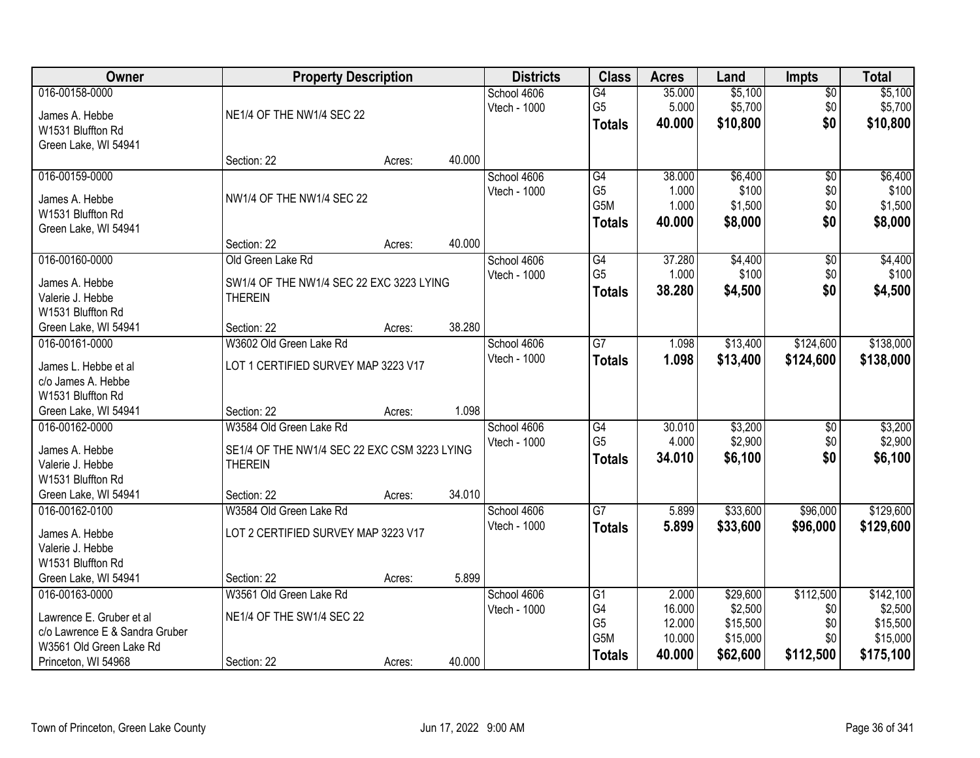| Owner                                     | <b>Property Description</b>                                |        |        | <b>Districts</b>            | <b>Class</b>                          | <b>Acres</b>              | Land                           | <b>Impts</b>                  | <b>Total</b>                   |
|-------------------------------------------|------------------------------------------------------------|--------|--------|-----------------------------|---------------------------------------|---------------------------|--------------------------------|-------------------------------|--------------------------------|
| 016-00158-0000<br>James A. Hebbe          | NE1/4 OF THE NW1/4 SEC 22                                  |        |        | School 4606<br>Vtech - 1000 | G4<br>G <sub>5</sub><br><b>Totals</b> | 35.000<br>5.000<br>40.000 | \$5,100<br>\$5,700<br>\$10,800 | $\overline{50}$<br>\$0<br>\$0 | \$5,100<br>\$5,700<br>\$10,800 |
| W1531 Bluffton Rd<br>Green Lake, WI 54941 |                                                            |        |        |                             |                                       |                           |                                |                               |                                |
|                                           | Section: 22                                                | Acres: | 40.000 |                             |                                       |                           |                                |                               |                                |
| 016-00159-0000                            |                                                            |        |        | School 4606                 | G4                                    | 38.000                    | \$6,400                        | \$0                           | \$6,400                        |
| James A. Hebbe                            | NW1/4 OF THE NW1/4 SEC 22                                  |        |        | Vtech - 1000                | G <sub>5</sub><br>G5M                 | 1.000<br>1.000            | \$100<br>\$1,500               | \$0<br>\$0                    | \$100<br>\$1,500               |
| W1531 Bluffton Rd                         |                                                            |        |        |                             | <b>Totals</b>                         | 40.000                    | \$8,000                        | \$0                           | \$8,000                        |
| Green Lake, WI 54941                      | Section: 22                                                | Acres: | 40.000 |                             |                                       |                           |                                |                               |                                |
| 016-00160-0000                            | Old Green Lake Rd                                          |        |        | School 4606                 | $\overline{G4}$                       | 37.280                    | \$4,400                        | $\overline{60}$               | \$4,400                        |
|                                           |                                                            |        |        | Vtech - 1000                | G <sub>5</sub>                        | 1.000                     | \$100                          | \$0                           | \$100                          |
| James A. Hebbe<br>Valerie J. Hebbe        | SW1/4 OF THE NW1/4 SEC 22 EXC 3223 LYING<br><b>THEREIN</b> |        |        |                             | <b>Totals</b>                         | 38.280                    | \$4,500                        | \$0                           | \$4,500                        |
| W1531 Bluffton Rd                         |                                                            |        |        |                             |                                       |                           |                                |                               |                                |
| Green Lake, WI 54941                      | Section: 22                                                | Acres: | 38.280 |                             |                                       |                           |                                |                               |                                |
| 016-00161-0000                            | W3602 Old Green Lake Rd                                    |        |        | School 4606                 | $\overline{G7}$                       | 1.098                     | \$13,400                       | \$124,600                     | \$138,000                      |
| James L. Hebbe et al                      | LOT 1 CERTIFIED SURVEY MAP 3223 V17                        |        |        | Vtech - 1000                | <b>Totals</b>                         | 1.098                     | \$13,400                       | \$124,600                     | \$138,000                      |
| c/o James A. Hebbe                        |                                                            |        |        |                             |                                       |                           |                                |                               |                                |
| W1531 Bluffton Rd                         |                                                            |        |        |                             |                                       |                           |                                |                               |                                |
| Green Lake, WI 54941                      | Section: 22                                                | Acres: | 1.098  |                             |                                       |                           |                                |                               |                                |
| 016-00162-0000                            | W3584 Old Green Lake Rd                                    |        |        | School 4606                 | $\overline{G4}$<br>G <sub>5</sub>     | 30.010<br>4.000           | \$3,200<br>\$2,900             | \$0<br>\$0                    | \$3,200<br>\$2,900             |
| James A. Hebbe                            | SE1/4 OF THE NW1/4 SEC 22 EXC CSM 3223 LYING               |        |        | Vtech - 1000                | <b>Totals</b>                         | 34.010                    | \$6,100                        | \$0                           | \$6,100                        |
| Valerie J. Hebbe                          | <b>THEREIN</b>                                             |        |        |                             |                                       |                           |                                |                               |                                |
| W1531 Bluffton Rd                         |                                                            |        |        |                             |                                       |                           |                                |                               |                                |
| Green Lake, WI 54941                      | Section: 22                                                | Acres: | 34.010 |                             |                                       |                           |                                |                               |                                |
| 016-00162-0100                            | W3584 Old Green Lake Rd                                    |        |        | School 4606<br>Vtech - 1000 | $\overline{G7}$                       | 5.899                     | \$33,600                       | \$96,000                      | \$129,600                      |
| James A. Hebbe                            | LOT 2 CERTIFIED SURVEY MAP 3223 V17                        |        |        |                             | <b>Totals</b>                         | 5.899                     | \$33,600                       | \$96,000                      | \$129,600                      |
| Valerie J. Hebbe                          |                                                            |        |        |                             |                                       |                           |                                |                               |                                |
| W1531 Bluffton Rd                         |                                                            |        |        |                             |                                       |                           |                                |                               |                                |
| Green Lake, WI 54941                      | Section: 22                                                | Acres: | 5.899  |                             |                                       |                           |                                |                               |                                |
| 016-00163-0000                            | W3561 Old Green Lake Rd                                    |        |        | School 4606                 | G1                                    | 2.000                     | \$29,600                       | \$112,500                     | \$142,100                      |
| Lawrence E. Gruber et al                  | NE1/4 OF THE SW1/4 SEC 22                                  |        |        | Vtech - 1000                | G4<br>G <sub>5</sub>                  | 16.000<br>12.000          | \$2,500<br>\$15,500            | \$0<br>\$0                    | \$2,500<br>\$15,500            |
| c/o Lawrence E & Sandra Gruber            |                                                            |        |        |                             | G5M                                   | 10.000                    | \$15,000                       | \$0                           | \$15,000                       |
| W3561 Old Green Lake Rd                   |                                                            |        |        |                             | <b>Totals</b>                         | 40.000                    | \$62,600                       | \$112,500                     | \$175,100                      |
| Princeton, WI 54968                       | Section: 22                                                | Acres: | 40.000 |                             |                                       |                           |                                |                               |                                |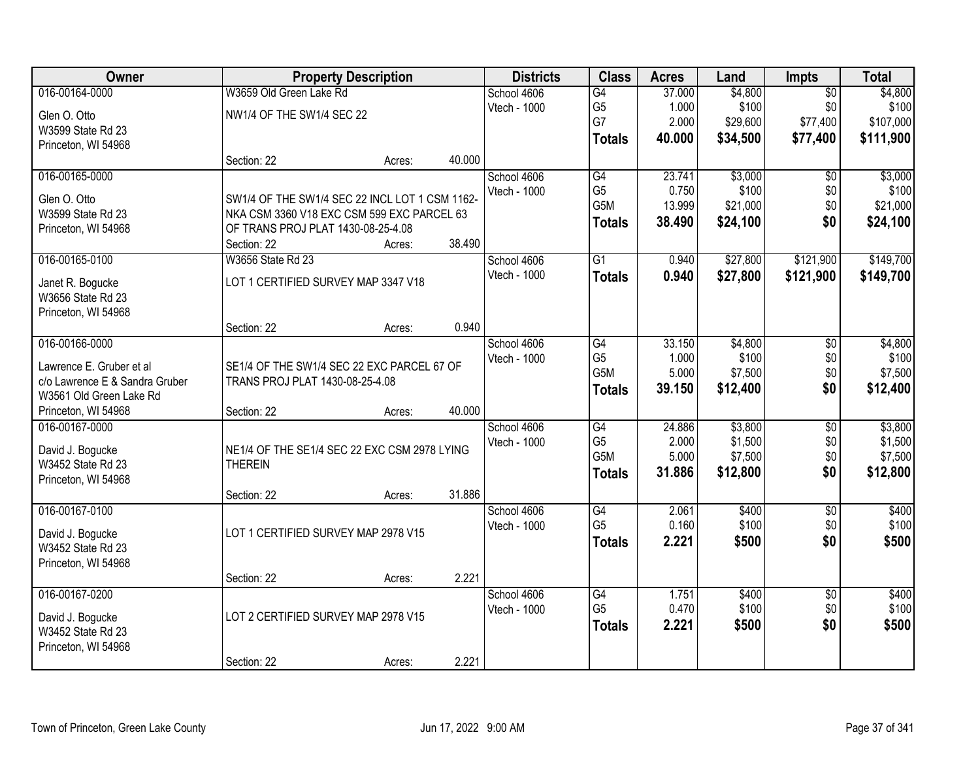| Owner                                 |                                                                | <b>Property Description</b> |        | <b>Districts</b> | <b>Class</b>     | <b>Acres</b> | Land     | <b>Impts</b>    | <b>Total</b> |
|---------------------------------------|----------------------------------------------------------------|-----------------------------|--------|------------------|------------------|--------------|----------|-----------------|--------------|
| 016-00164-0000                        | W3659 Old Green Lake Rd                                        |                             |        | School 4606      | G4               | 37.000       | \$4,800  | $\overline{50}$ | \$4,800      |
| Glen O. Otto                          | NW1/4 OF THE SW1/4 SEC 22                                      |                             |        | Vtech - 1000     | G <sub>5</sub>   | 1.000        | \$100    | \$0             | \$100        |
| W3599 State Rd 23                     |                                                                |                             |        |                  | G7               | 2.000        | \$29,600 | \$77,400        | \$107,000    |
| Princeton, WI 54968                   |                                                                |                             |        |                  | <b>Totals</b>    | 40.000       | \$34,500 | \$77,400        | \$111,900    |
|                                       | Section: 22                                                    | Acres:                      | 40.000 |                  |                  |              |          |                 |              |
| 016-00165-0000                        |                                                                |                             |        | School 4606      | G4               | 23.741       | \$3,000  | $\overline{50}$ | \$3,000      |
| Glen O. Otto                          | SW1/4 OF THE SW1/4 SEC 22 INCL LOT 1 CSM 1162-                 |                             |        | Vtech - 1000     | G <sub>5</sub>   | 0.750        | \$100    | \$0             | \$100        |
| W3599 State Rd 23                     | NKA CSM 3360 V18 EXC CSM 599 EXC PARCEL 63                     |                             |        |                  | G <sub>5</sub> M | 13.999       | \$21,000 | \$0             | \$21,000     |
| Princeton, WI 54968                   | OF TRANS PROJ PLAT 1430-08-25-4.08                             |                             |        |                  | <b>Totals</b>    | 38.490       | \$24,100 | \$0             | \$24,100     |
|                                       | Section: 22                                                    | Acres:                      | 38.490 |                  |                  |              |          |                 |              |
| 016-00165-0100                        | W3656 State Rd 23                                              |                             |        | School 4606      | G1               | 0.940        | \$27,800 | \$121,900       | \$149,700    |
| Janet R. Bogucke                      | LOT 1 CERTIFIED SURVEY MAP 3347 V18                            |                             |        | Vtech - 1000     | <b>Totals</b>    | 0.940        | \$27,800 | \$121,900       | \$149,700    |
| W3656 State Rd 23                     |                                                                |                             |        |                  |                  |              |          |                 |              |
| Princeton, WI 54968                   |                                                                |                             |        |                  |                  |              |          |                 |              |
|                                       | Section: 22                                                    | Acres:                      | 0.940  |                  |                  |              |          |                 |              |
| 016-00166-0000                        |                                                                |                             |        | School 4606      | G4               | 33.150       | \$4,800  | \$0             | \$4,800      |
| Lawrence E. Gruber et al              | SE1/4 OF THE SW1/4 SEC 22 EXC PARCEL 67 OF                     |                             |        | Vtech - 1000     | G <sub>5</sub>   | 1.000        | \$100    | \$0             | \$100        |
| c/o Lawrence E & Sandra Gruber        | TRANS PROJ PLAT 1430-08-25-4.08                                |                             |        |                  | G5M              | 5.000        | \$7,500  | \$0             | \$7,500      |
| W3561 Old Green Lake Rd               |                                                                |                             |        |                  | <b>Totals</b>    | 39.150       | \$12,400 | \$0             | \$12,400     |
| Princeton, WI 54968                   | Section: 22                                                    | Acres:                      | 40.000 |                  |                  |              |          |                 |              |
| 016-00167-0000                        |                                                                |                             |        | School 4606      | $\overline{G4}$  | 24.886       | \$3,800  | $\overline{30}$ | \$3,800      |
|                                       |                                                                |                             |        | Vtech - 1000     | G <sub>5</sub>   | 2.000        | \$1,500  | \$0             | \$1,500      |
| David J. Bogucke<br>W3452 State Rd 23 | NE1/4 OF THE SE1/4 SEC 22 EXC CSM 2978 LYING<br><b>THEREIN</b> |                             |        |                  | G <sub>5</sub> M | 5.000        | \$7,500  | \$0             | \$7,500      |
| Princeton, WI 54968                   |                                                                |                             |        |                  | <b>Totals</b>    | 31.886       | \$12,800 | \$0             | \$12,800     |
|                                       | Section: 22                                                    | Acres:                      | 31.886 |                  |                  |              |          |                 |              |
| 016-00167-0100                        |                                                                |                             |        | School 4606      | G4               | 2.061        | \$400    | $\overline{50}$ | \$400        |
|                                       |                                                                |                             |        | Vtech - 1000     | G <sub>5</sub>   | 0.160        | \$100    | \$0             | \$100        |
| David J. Bogucke                      | LOT 1 CERTIFIED SURVEY MAP 2978 V15                            |                             |        |                  | <b>Totals</b>    | 2.221        | \$500    | \$0             | \$500        |
| W3452 State Rd 23                     |                                                                |                             |        |                  |                  |              |          |                 |              |
| Princeton, WI 54968                   | Section: 22                                                    | Acres:                      | 2.221  |                  |                  |              |          |                 |              |
| 016-00167-0200                        |                                                                |                             |        | School 4606      | G4               | 1.751        | \$400    | $\overline{50}$ | \$400        |
|                                       |                                                                |                             |        | Vtech - 1000     | G <sub>5</sub>   | 0.470        | \$100    | \$0             | \$100        |
| David J. Bogucke                      | LOT 2 CERTIFIED SURVEY MAP 2978 V15                            |                             |        |                  | <b>Totals</b>    | 2.221        | \$500    | \$0             | \$500        |
| W3452 State Rd 23                     |                                                                |                             |        |                  |                  |              |          |                 |              |
| Princeton, WI 54968                   |                                                                |                             |        |                  |                  |              |          |                 |              |
|                                       | Section: 22                                                    | Acres:                      | 2.221  |                  |                  |              |          |                 |              |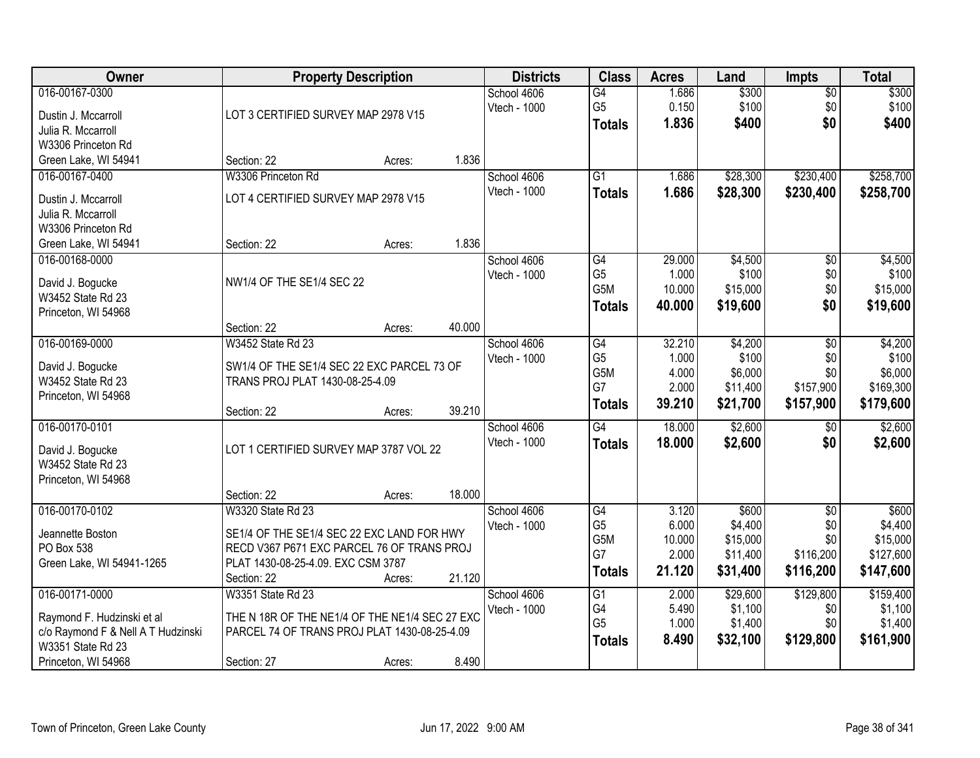| Owner                                                                                                                          | <b>Property Description</b>                                                                                                                                                            | <b>Districts</b>            | <b>Class</b>                                       | <b>Acres</b>                                | Land                                                 | <b>Impts</b>                                       | <b>Total</b>                                           |
|--------------------------------------------------------------------------------------------------------------------------------|----------------------------------------------------------------------------------------------------------------------------------------------------------------------------------------|-----------------------------|----------------------------------------------------|---------------------------------------------|------------------------------------------------------|----------------------------------------------------|--------------------------------------------------------|
| 016-00167-0300<br>Dustin J. Mccarroll<br>Julia R. Mccarroll<br>W3306 Princeton Rd                                              | LOT 3 CERTIFIED SURVEY MAP 2978 V15                                                                                                                                                    | School 4606<br>Vtech - 1000 | $\overline{G4}$<br>G <sub>5</sub><br><b>Totals</b> | 1.686<br>0.150<br>1.836                     | \$300<br>\$100<br>\$400                              | $\overline{$0}$<br>\$0<br>\$0                      | \$300<br>\$100<br>\$400                                |
| Green Lake, WI 54941                                                                                                           | 1.836<br>Section: 22<br>Acres:                                                                                                                                                         |                             |                                                    |                                             |                                                      |                                                    |                                                        |
| 016-00167-0400<br>Dustin J. Mccarroll<br>Julia R. Mccarroll<br>W3306 Princeton Rd                                              | W3306 Princeton Rd<br>LOT 4 CERTIFIED SURVEY MAP 2978 V15                                                                                                                              | School 4606<br>Vtech - 1000 | $\overline{G1}$<br><b>Totals</b>                   | 1.686<br>1.686                              | \$28,300<br>\$28,300                                 | \$230,400<br>\$230,400                             | \$258,700<br>\$258,700                                 |
| Green Lake, WI 54941                                                                                                           | 1.836<br>Section: 22<br>Acres:                                                                                                                                                         |                             |                                                    |                                             |                                                      |                                                    |                                                        |
| 016-00168-0000<br>David J. Bogucke<br>W3452 State Rd 23<br>Princeton, WI 54968                                                 | NW1/4 OF THE SE1/4 SEC 22                                                                                                                                                              | School 4606<br>Vtech - 1000 | G4<br>G5<br>G5M<br><b>Totals</b>                   | 29.000<br>1.000<br>10.000<br>40.000         | \$4,500<br>\$100<br>\$15,000<br>\$19,600             | \$0<br>\$0<br>\$0<br>\$0                           | \$4,500<br>\$100<br>\$15,000<br>\$19,600               |
|                                                                                                                                | 40.000<br>Section: 22<br>Acres:                                                                                                                                                        |                             |                                                    |                                             |                                                      |                                                    |                                                        |
| 016-00169-0000<br>David J. Bogucke<br>W3452 State Rd 23<br>Princeton, WI 54968                                                 | W3452 State Rd 23<br>SW1/4 OF THE SE1/4 SEC 22 EXC PARCEL 73 OF<br>TRANS PROJ PLAT 1430-08-25-4.09                                                                                     | School 4606<br>Vtech - 1000 | G4<br>G <sub>5</sub><br>G5M<br>G7<br><b>Totals</b> | 32.210<br>1.000<br>4.000<br>2.000<br>39.210 | \$4,200<br>\$100<br>\$6,000<br>\$11,400<br>\$21,700  | \$0<br>\$0<br>\$0<br>\$157,900<br>\$157,900        | \$4,200<br>\$100<br>\$6,000<br>\$169,300<br>\$179,600  |
|                                                                                                                                | 39.210<br>Section: 22<br>Acres:                                                                                                                                                        |                             |                                                    |                                             |                                                      |                                                    |                                                        |
| 016-00170-0101<br>David J. Bogucke<br>W3452 State Rd 23<br>Princeton, WI 54968                                                 | LOT 1 CERTIFIED SURVEY MAP 3787 VOL 22                                                                                                                                                 | School 4606<br>Vtech - 1000 | $\overline{G4}$<br><b>Totals</b>                   | 18.000<br>18.000                            | \$2,600<br>\$2,600                                   | $\overline{60}$<br>\$0                             | \$2,600<br>\$2,600                                     |
|                                                                                                                                | 18.000<br>Section: 22<br>Acres:                                                                                                                                                        |                             |                                                    |                                             |                                                      |                                                    |                                                        |
| 016-00170-0102<br>Jeannette Boston<br>PO Box 538<br>Green Lake, WI 54941-1265                                                  | W3320 State Rd 23<br>SE1/4 OF THE SE1/4 SEC 22 EXC LAND FOR HWY<br>RECD V367 P671 EXC PARCEL 76 OF TRANS PROJ<br>PLAT 1430-08-25-4.09. EXC CSM 3787<br>21.120<br>Section: 22<br>Acres: | School 4606<br>Vtech - 1000 | G4<br>G <sub>5</sub><br>G5M<br>G7<br><b>Totals</b> | 3.120<br>6.000<br>10.000<br>2.000<br>21.120 | \$600<br>\$4,400<br>\$15,000<br>\$11,400<br>\$31,400 | $\sqrt{6}$<br>\$0<br>\$0<br>\$116,200<br>\$116,200 | \$600<br>\$4,400<br>\$15,000<br>\$127,600<br>\$147,600 |
| 016-00171-0000<br>Raymond F. Hudzinski et al<br>c/o Raymond F & Nell A T Hudzinski<br>W3351 State Rd 23<br>Princeton, WI 54968 | W3351 State Rd 23<br>THE N 18R OF THE NE1/4 OF THE NE1/4 SEC 27 EXC<br>PARCEL 74 OF TRANS PROJ PLAT 1430-08-25-4.09<br>8.490<br>Section: 27<br>Acres:                                  | School 4606<br>Vtech - 1000 | G1<br>G4<br>G <sub>5</sub><br><b>Totals</b>        | 2.000<br>5.490<br>1.000<br>8.490            | \$29,600<br>\$1,100<br>\$1,400<br>\$32,100           | \$129,800<br>\$0<br>\$0<br>\$129,800               | \$159,400<br>\$1,100<br>\$1,400<br>\$161,900           |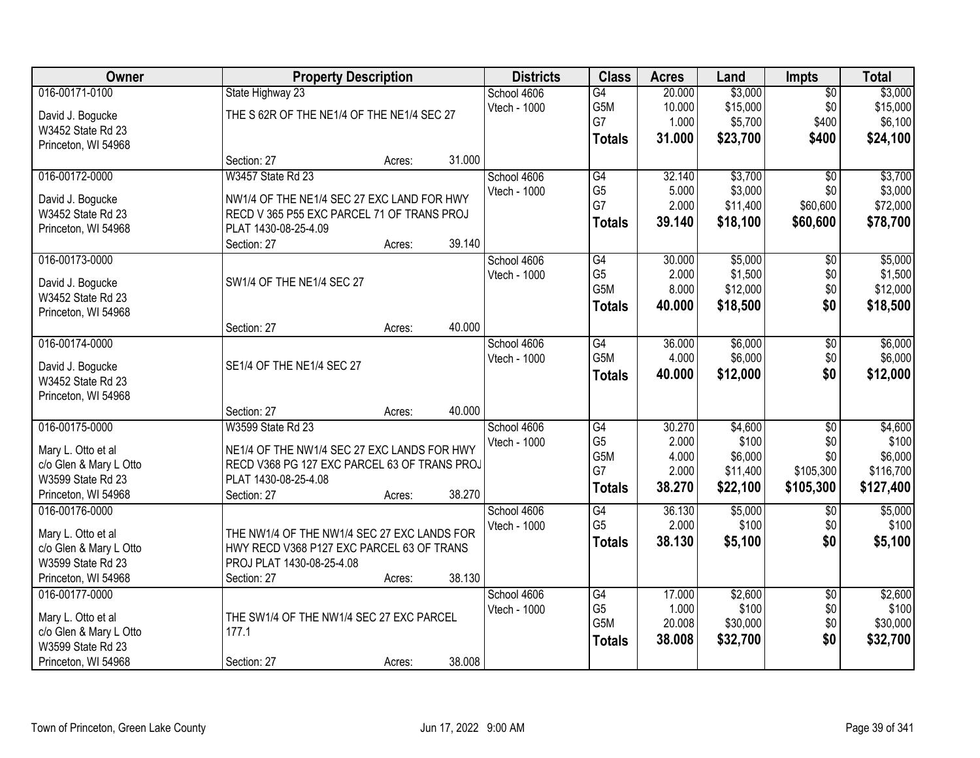| Owner                                 | <b>Property Description</b>                  |        |        | <b>Districts</b> | <b>Class</b>                      | <b>Acres</b>    | Land             | <b>Impts</b>    | <b>Total</b>     |
|---------------------------------------|----------------------------------------------|--------|--------|------------------|-----------------------------------|-----------------|------------------|-----------------|------------------|
| 016-00171-0100                        | State Highway 23                             |        |        | School 4606      | $\overline{G4}$                   | 20.000          | \$3,000          | $\overline{50}$ | \$3,000          |
| David J. Bogucke                      | THE S 62R OF THE NE1/4 OF THE NE1/4 SEC 27   |        |        | Vtech - 1000     | G5M                               | 10.000          | \$15,000         | \$0             | \$15,000         |
| W3452 State Rd 23                     |                                              |        |        |                  | G7                                | 1.000           | \$5,700          | \$400           | \$6,100          |
| Princeton, WI 54968                   |                                              |        |        |                  | <b>Totals</b>                     | 31.000          | \$23,700         | \$400           | \$24,100         |
|                                       | Section: 27                                  | Acres: | 31.000 |                  |                                   |                 |                  |                 |                  |
| 016-00172-0000                        | W3457 State Rd 23                            |        |        | School 4606      | G4                                | 32.140          | \$3,700          | $\overline{50}$ | \$3,700          |
| David J. Bogucke                      | NW1/4 OF THE NE1/4 SEC 27 EXC LAND FOR HWY   |        |        | Vtech - 1000     | G <sub>5</sub>                    | 5.000           | \$3,000          | \$0             | \$3,000          |
| W3452 State Rd 23                     | RECD V 365 P55 EXC PARCEL 71 OF TRANS PROJ   |        |        |                  | G7                                | 2.000           | \$11,400         | \$60,600        | \$72,000         |
| Princeton, WI 54968                   | PLAT 1430-08-25-4.09                         |        |        |                  | <b>Totals</b>                     | 39.140          | \$18,100         | \$60,600        | \$78,700         |
|                                       | Section: 27                                  | Acres: | 39.140 |                  |                                   |                 |                  |                 |                  |
| 016-00173-0000                        |                                              |        |        | School 4606      | G4                                | 30.000          | \$5,000          | $\overline{50}$ | \$5,000          |
|                                       | SW1/4 OF THE NE1/4 SEC 27                    |        |        | Vtech - 1000     | G <sub>5</sub>                    | 2.000           | \$1,500          | \$0             | \$1,500          |
| David J. Bogucke<br>W3452 State Rd 23 |                                              |        |        |                  | G <sub>5</sub> M                  | 8.000           | \$12,000         | \$0             | \$12,000         |
| Princeton, WI 54968                   |                                              |        |        |                  | <b>Totals</b>                     | 40.000          | \$18,500         | \$0             | \$18,500         |
|                                       | Section: 27                                  | Acres: | 40.000 |                  |                                   |                 |                  |                 |                  |
| 016-00174-0000                        |                                              |        |        | School 4606      | G4                                | 36.000          | \$6,000          | \$0             | \$6,000          |
|                                       | SE1/4 OF THE NE1/4 SEC 27                    |        |        | Vtech - 1000     | G5M                               | 4.000           | \$6,000          | \$0             | \$6,000          |
| David J. Bogucke<br>W3452 State Rd 23 |                                              |        |        |                  | <b>Totals</b>                     | 40.000          | \$12,000         | \$0             | \$12,000         |
| Princeton, WI 54968                   |                                              |        |        |                  |                                   |                 |                  |                 |                  |
|                                       | Section: 27                                  | Acres: | 40.000 |                  |                                   |                 |                  |                 |                  |
| 016-00175-0000                        | W3599 State Rd 23                            |        |        | School 4606      | $\overline{G4}$                   | 30.270          | \$4,600          | $\overline{50}$ | \$4,600          |
|                                       |                                              |        |        | Vtech - 1000     | G <sub>5</sub>                    | 2.000           | \$100            | \$0             | \$100            |
| Mary L. Otto et al                    | NE1/4 OF THE NW1/4 SEC 27 EXC LANDS FOR HWY  |        |        |                  | G5M                               | 4.000           | \$6,000          | \$0             | \$6,000          |
| c/o Glen & Mary L Otto                | RECD V368 PG 127 EXC PARCEL 63 OF TRANS PROJ |        |        |                  | G7                                | 2.000           | \$11,400         | \$105,300       | \$116,700        |
| W3599 State Rd 23                     | PLAT 1430-08-25-4.08                         |        |        |                  | <b>Totals</b>                     | 38.270          | \$22,100         | \$105,300       | \$127,400        |
| Princeton, WI 54968                   | Section: 27                                  | Acres: | 38.270 |                  |                                   |                 |                  |                 |                  |
| 016-00176-0000                        |                                              |        |        | School 4606      | $\overline{G4}$<br>G <sub>5</sub> | 36.130<br>2.000 | \$5,000<br>\$100 | $\sqrt{$0}$     | \$5,000<br>\$100 |
| Mary L. Otto et al                    | THE NW1/4 OF THE NW1/4 SEC 27 EXC LANDS FOR  |        |        | Vtech - 1000     |                                   |                 |                  | \$0             |                  |
| c/o Glen & Mary L Otto                | HWY RECD V368 P127 EXC PARCEL 63 OF TRANS    |        |        |                  | <b>Totals</b>                     | 38.130          | \$5,100          | \$0             | \$5,100          |
| W3599 State Rd 23                     | PROJ PLAT 1430-08-25-4.08                    |        |        |                  |                                   |                 |                  |                 |                  |
| Princeton, WI 54968                   | Section: 27                                  | Acres: | 38.130 |                  |                                   |                 |                  |                 |                  |
| 016-00177-0000                        |                                              |        |        | School 4606      | G4                                | 17.000          | \$2,600          | $\overline{60}$ | \$2,600          |
| Mary L. Otto et al                    | THE SW1/4 OF THE NW1/4 SEC 27 EXC PARCEL     |        |        | Vtech - 1000     | G <sub>5</sub>                    | 1.000           | \$100            | \$0             | \$100            |
| c/o Glen & Mary L Otto                | 177.1                                        |        |        |                  | G5M                               | 20.008          | \$30,000         | \$0             | \$30,000         |
| W3599 State Rd 23                     |                                              |        |        |                  | <b>Totals</b>                     | 38.008          | \$32,700         | \$0             | \$32,700         |
| Princeton, WI 54968                   | Section: 27                                  | Acres: | 38.008 |                  |                                   |                 |                  |                 |                  |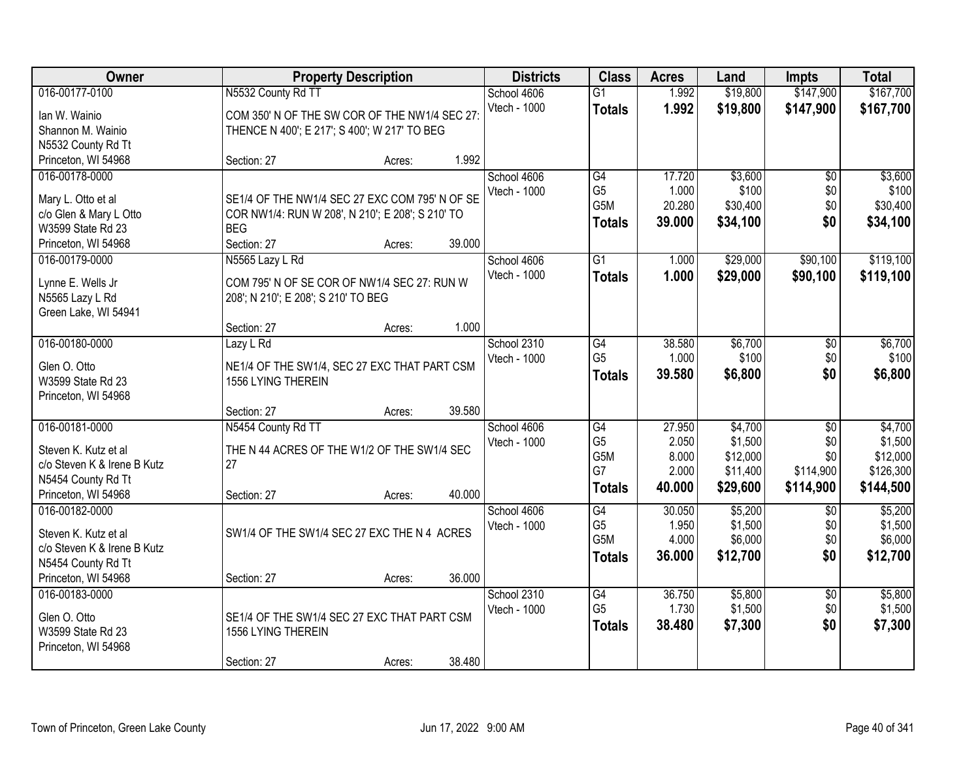| Owner                                       |                                                                | <b>Property Description</b> |        | <b>Districts</b> | <b>Class</b>    | <b>Acres</b> | Land     | <b>Impts</b>    | <b>Total</b> |
|---------------------------------------------|----------------------------------------------------------------|-----------------------------|--------|------------------|-----------------|--------------|----------|-----------------|--------------|
| 016-00177-0100                              | N5532 County Rd T1                                             |                             |        | School 4606      | $\overline{G1}$ | 1.992        | \$19,800 | \$147,900       | \$167,700    |
| lan W. Wainio                               | COM 350' N OF THE SW COR OF THE NW1/4 SEC 27                   |                             |        | Vtech - 1000     | <b>Totals</b>   | 1.992        | \$19,800 | \$147,900       | \$167,700    |
| Shannon M. Wainio                           | THENCE N 400'; E 217'; S 400'; W 217' TO BEG                   |                             |        |                  |                 |              |          |                 |              |
| N5532 County Rd Tt                          |                                                                |                             |        |                  |                 |              |          |                 |              |
| Princeton, WI 54968                         | Section: 27                                                    | Acres:                      | 1.992  |                  |                 |              |          |                 |              |
| 016-00178-0000                              |                                                                |                             |        | School 4606      | G4              | 17.720       | \$3,600  | $\overline{50}$ | \$3,600      |
|                                             |                                                                |                             |        | Vtech - 1000     | G <sub>5</sub>  | 1.000        | \$100    | \$0             | \$100        |
| Mary L. Otto et al                          | SE1/4 OF THE NW1/4 SEC 27 EXC COM 795' N OF SE                 |                             |        |                  | G5M             | 20.280       | \$30,400 | \$0             | \$30,400     |
| c/o Glen & Mary L Otto<br>W3599 State Rd 23 | COR NW1/4: RUN W 208', N 210'; E 208'; S 210' TO<br><b>BEG</b> |                             |        |                  | <b>Totals</b>   | 39.000       | \$34,100 | \$0             | \$34,100     |
| Princeton, WI 54968                         | Section: 27                                                    | Acres:                      | 39.000 |                  |                 |              |          |                 |              |
| 016-00179-0000                              | N5565 Lazy L Rd                                                |                             |        | School 4606      | $\overline{G1}$ | 1.000        | \$29,000 | \$90,100        | \$119,100    |
|                                             |                                                                |                             |        | Vtech - 1000     |                 |              |          |                 |              |
| Lynne E. Wells Jr                           | COM 795' N OF SE COR OF NW1/4 SEC 27: RUN W                    |                             |        |                  | <b>Totals</b>   | 1.000        | \$29,000 | \$90,100        | \$119,100    |
| N5565 Lazy L Rd                             | 208'; N 210'; E 208'; S 210' TO BEG                            |                             |        |                  |                 |              |          |                 |              |
| Green Lake, WI 54941                        |                                                                |                             |        |                  |                 |              |          |                 |              |
|                                             | Section: 27                                                    | Acres:                      | 1.000  |                  |                 |              |          |                 |              |
| 016-00180-0000                              | Lazy L Rd                                                      |                             |        | School 2310      | G4              | 38.580       | \$6,700  | \$0             | \$6,700      |
| Glen O. Otto                                | NE1/4 OF THE SW1/4, SEC 27 EXC THAT PART CSM                   |                             |        | Vtech - 1000     | G <sub>5</sub>  | 1.000        | \$100    | \$0             | \$100        |
| W3599 State Rd 23                           | 1556 LYING THEREIN                                             |                             |        |                  | <b>Totals</b>   | 39.580       | \$6,800  | \$0             | \$6,800      |
| Princeton, WI 54968                         |                                                                |                             |        |                  |                 |              |          |                 |              |
|                                             | Section: 27                                                    | Acres:                      | 39.580 |                  |                 |              |          |                 |              |
| 016-00181-0000                              | N5454 County Rd TT                                             |                             |        | School 4606      | $\overline{G4}$ | 27.950       | \$4,700  | $\overline{30}$ | \$4,700      |
|                                             |                                                                |                             |        | Vtech - 1000     | G <sub>5</sub>  | 2.050        | \$1,500  | \$0             | \$1,500      |
| Steven K. Kutz et al                        | THE N 44 ACRES OF THE W1/2 OF THE SW1/4 SEC                    |                             |        |                  | G5M             | 8.000        | \$12,000 | \$0             | \$12,000     |
| c/o Steven K & Irene B Kutz                 | 27                                                             |                             |        |                  | G7              | 2.000        | \$11,400 | \$114,900       | \$126,300    |
| N5454 County Rd Tt                          |                                                                |                             |        |                  | <b>Totals</b>   | 40.000       | \$29,600 | \$114,900       | \$144,500    |
| Princeton, WI 54968                         | Section: 27                                                    | Acres:                      | 40.000 |                  |                 |              |          |                 |              |
| 016-00182-0000                              |                                                                |                             |        | School 4606      | G4              | 30.050       | \$5,200  | \$0             | \$5,200      |
| Steven K. Kutz et al                        | SW1/4 OF THE SW1/4 SEC 27 EXC THE N 4 ACRES                    |                             |        | Vtech - 1000     | G <sub>5</sub>  | 1.950        | \$1,500  | \$0             | \$1,500      |
| c/o Steven K & Irene B Kutz                 |                                                                |                             |        |                  | G5M             | 4.000        | \$6,000  | \$0             | \$6,000      |
| N5454 County Rd Tt                          |                                                                |                             |        |                  | <b>Totals</b>   | 36,000       | \$12,700 | \$0             | \$12,700     |
| Princeton, WI 54968                         | Section: 27                                                    | Acres:                      | 36.000 |                  |                 |              |          |                 |              |
| 016-00183-0000                              |                                                                |                             |        | School 2310      | G4              | 36.750       | \$5,800  | $\overline{30}$ | \$5,800      |
|                                             |                                                                |                             |        | Vtech - 1000     | G <sub>5</sub>  | 1.730        | \$1,500  | \$0             | \$1,500      |
| Glen O. Otto                                | SE1/4 OF THE SW1/4 SEC 27 EXC THAT PART CSM                    |                             |        |                  | <b>Totals</b>   | 38.480       | \$7,300  | \$0             | \$7,300      |
| W3599 State Rd 23                           | 1556 LYING THEREIN                                             |                             |        |                  |                 |              |          |                 |              |
| Princeton, WI 54968                         |                                                                |                             |        |                  |                 |              |          |                 |              |
|                                             | Section: 27                                                    | Acres:                      | 38.480 |                  |                 |              |          |                 |              |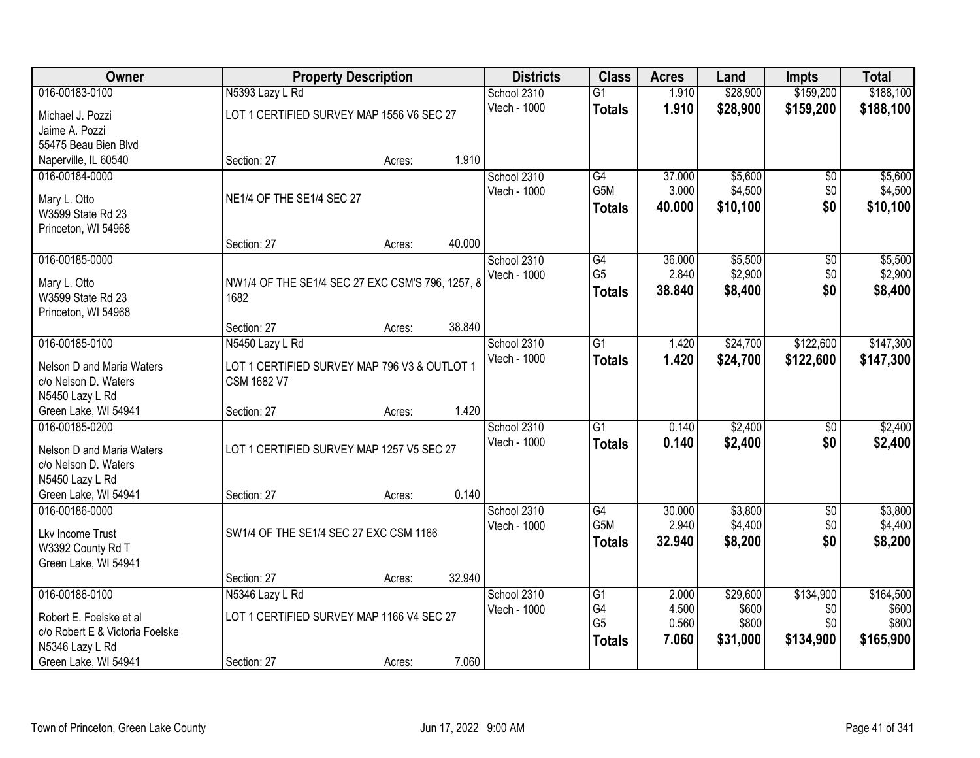| Owner                           |                                                  | <b>Property Description</b> |        | <b>Districts</b> | <b>Class</b>     | <b>Acres</b> | Land     | Impts           | <b>Total</b> |
|---------------------------------|--------------------------------------------------|-----------------------------|--------|------------------|------------------|--------------|----------|-----------------|--------------|
| 016-00183-0100                  | N5393 Lazy L Rd                                  |                             |        | School 2310      | G1               | 1.910        | \$28,900 | \$159,200       | \$188,100    |
| Michael J. Pozzi                | LOT 1 CERTIFIED SURVEY MAP 1556 V6 SEC 27        |                             |        | Vtech - 1000     | <b>Totals</b>    | 1.910        | \$28,900 | \$159,200       | \$188,100    |
| Jaime A. Pozzi                  |                                                  |                             |        |                  |                  |              |          |                 |              |
| 55475 Beau Bien Blvd            |                                                  |                             |        |                  |                  |              |          |                 |              |
| Naperville, IL 60540            | Section: 27                                      | Acres:                      | 1.910  |                  |                  |              |          |                 |              |
| 016-00184-0000                  |                                                  |                             |        | School 2310      | G4               | 37.000       | \$5,600  | $\overline{50}$ | \$5,600      |
| Mary L. Otto                    | NE1/4 OF THE SE1/4 SEC 27                        |                             |        | Vtech - 1000     | G <sub>5</sub> M | 3.000        | \$4,500  | \$0             | \$4,500      |
| W3599 State Rd 23               |                                                  |                             |        |                  | <b>Totals</b>    | 40.000       | \$10,100 | \$0             | \$10,100     |
| Princeton, WI 54968             |                                                  |                             |        |                  |                  |              |          |                 |              |
|                                 | Section: 27                                      | Acres:                      | 40.000 |                  |                  |              |          |                 |              |
| 016-00185-0000                  |                                                  |                             |        | School 2310      | $\overline{G4}$  | 36.000       | \$5,500  | \$0             | \$5,500      |
| Mary L. Otto                    | NW1/4 OF THE SE1/4 SEC 27 EXC CSM'S 796, 1257, 8 |                             |        | Vtech - 1000     | G <sub>5</sub>   | 2.840        | \$2,900  | \$0             | \$2,900      |
| W3599 State Rd 23               | 1682                                             |                             |        |                  | <b>Totals</b>    | 38.840       | \$8,400  | \$0             | \$8,400      |
| Princeton, WI 54968             |                                                  |                             |        |                  |                  |              |          |                 |              |
|                                 | Section: 27                                      | Acres:                      | 38.840 |                  |                  |              |          |                 |              |
| 016-00185-0100                  | N5450 Lazy L Rd                                  |                             |        | School 2310      | G1               | 1.420        | \$24,700 | \$122,600       | \$147,300    |
| Nelson D and Maria Waters       | LOT 1 CERTIFIED SURVEY MAP 796 V3 & OUTLOT 1     |                             |        | Vtech - 1000     | <b>Totals</b>    | 1.420        | \$24,700 | \$122,600       | \$147,300    |
| c/o Nelson D. Waters            | <b>CSM 1682 V7</b>                               |                             |        |                  |                  |              |          |                 |              |
| N5450 Lazy L Rd                 |                                                  |                             |        |                  |                  |              |          |                 |              |
| Green Lake, WI 54941            | Section: 27                                      | Acres:                      | 1.420  |                  |                  |              |          |                 |              |
| 016-00185-0200                  |                                                  |                             |        | School 2310      | $\overline{G1}$  | 0.140        | \$2,400  | $\overline{30}$ | \$2,400      |
| Nelson D and Maria Waters       | LOT 1 CERTIFIED SURVEY MAP 1257 V5 SEC 27        |                             |        | Vtech - 1000     | <b>Totals</b>    | 0.140        | \$2,400  | \$0             | \$2,400      |
| c/o Nelson D. Waters            |                                                  |                             |        |                  |                  |              |          |                 |              |
| N5450 Lazy L Rd                 |                                                  |                             |        |                  |                  |              |          |                 |              |
| Green Lake, WI 54941            | Section: 27                                      | Acres:                      | 0.140  |                  |                  |              |          |                 |              |
| 016-00186-0000                  |                                                  |                             |        | School 2310      | $\overline{G4}$  | 30.000       | \$3,800  | $\overline{60}$ | \$3,800      |
| Lkv Income Trust                | SW1/4 OF THE SE1/4 SEC 27 EXC CSM 1166           |                             |        | Vtech - 1000     | G5M              | 2.940        | \$4,400  | \$0             | \$4,400      |
| W3392 County Rd T               |                                                  |                             |        |                  | <b>Totals</b>    | 32.940       | \$8,200  | \$0             | \$8,200      |
| Green Lake, WI 54941            |                                                  |                             |        |                  |                  |              |          |                 |              |
|                                 | Section: 27                                      | Acres:                      | 32.940 |                  |                  |              |          |                 |              |
| 016-00186-0100                  | N5346 Lazy L Rd                                  |                             |        | School 2310      | G1               | 2.000        | \$29,600 | \$134,900       | \$164,500    |
| Robert E. Foelske et al         | LOT 1 CERTIFIED SURVEY MAP 1166 V4 SEC 27        |                             |        | Vtech - 1000     | G4               | 4.500        | \$600    | \$0             | \$600        |
| c/o Robert E & Victoria Foelske |                                                  |                             |        |                  | G <sub>5</sub>   | 0.560        | \$800    | \$0             | \$800        |
| N5346 Lazy L Rd                 |                                                  |                             |        |                  | <b>Totals</b>    | 7.060        | \$31,000 | \$134,900       | \$165,900    |
| Green Lake, WI 54941            | Section: 27                                      | Acres:                      | 7.060  |                  |                  |              |          |                 |              |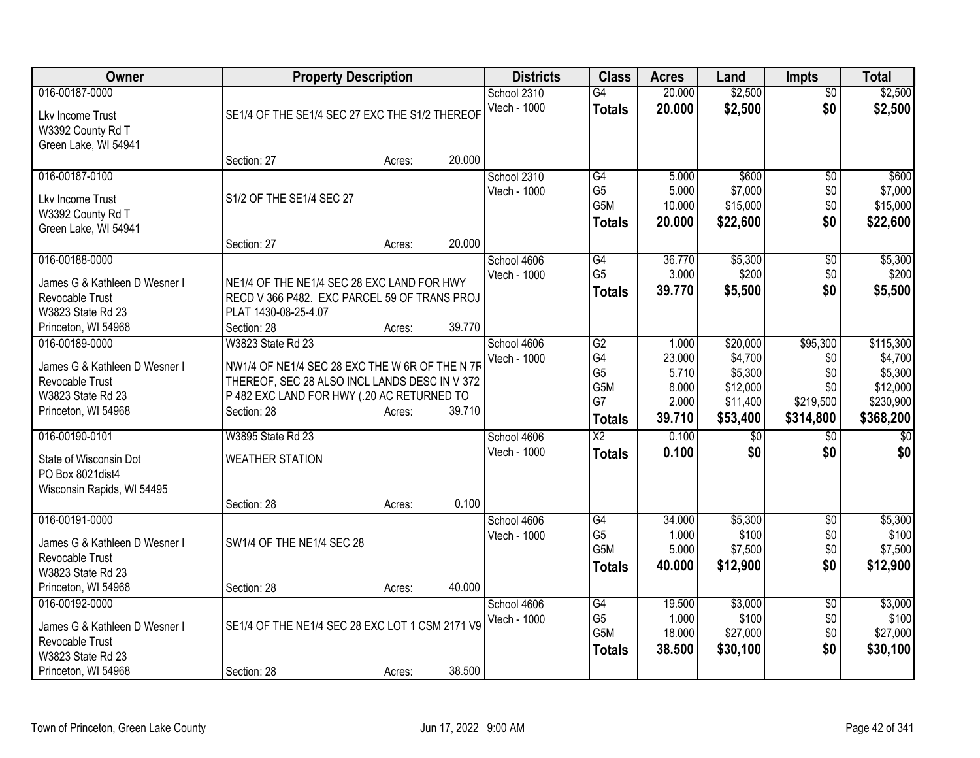| Owner                                     |                                                 | <b>Property Description</b> |        | <b>Districts</b> | <b>Class</b>    | <b>Acres</b> | Land            | <b>Impts</b>    | <b>Total</b>    |
|-------------------------------------------|-------------------------------------------------|-----------------------------|--------|------------------|-----------------|--------------|-----------------|-----------------|-----------------|
| 016-00187-0000                            |                                                 |                             |        | School 2310      | $\overline{G4}$ | 20.000       | \$2,500         | $\overline{50}$ | \$2,500         |
| Lkv Income Trust                          | SE1/4 OF THE SE1/4 SEC 27 EXC THE S1/2 THEREOF  |                             |        | Vtech - 1000     | <b>Totals</b>   | 20.000       | \$2,500         | \$0             | \$2,500         |
| W3392 County Rd T                         |                                                 |                             |        |                  |                 |              |                 |                 |                 |
| Green Lake, WI 54941                      |                                                 |                             |        |                  |                 |              |                 |                 |                 |
|                                           | Section: 27                                     | Acres:                      | 20.000 |                  |                 |              |                 |                 |                 |
| 016-00187-0100                            |                                                 |                             |        | School 2310      | G4              | 5.000        | \$600           | \$0             | \$600           |
|                                           | S1/2 OF THE SE1/4 SEC 27                        |                             |        | Vtech - 1000     | G <sub>5</sub>  | 5.000        | \$7,000         | \$0             | \$7,000         |
| Lkv Income Trust                          |                                                 |                             |        |                  | G5M             | 10.000       | \$15,000        | \$0             | \$15,000        |
| W3392 County Rd T<br>Green Lake, WI 54941 |                                                 |                             |        |                  | <b>Totals</b>   | 20,000       | \$22,600        | \$0             | \$22,600        |
|                                           | Section: 27                                     | Acres:                      | 20.000 |                  |                 |              |                 |                 |                 |
| 016-00188-0000                            |                                                 |                             |        | School 4606      | $\overline{G4}$ | 36.770       | \$5,300         | $\overline{50}$ | \$5,300         |
|                                           |                                                 |                             |        | Vtech - 1000     | G <sub>5</sub>  | 3.000        | \$200           | \$0             | \$200           |
| James G & Kathleen D Wesner I             | NE1/4 OF THE NE1/4 SEC 28 EXC LAND FOR HWY      |                             |        |                  | <b>Totals</b>   | 39.770       | \$5,500         | \$0             | \$5,500         |
| Revocable Trust                           | RECD V 366 P482. EXC PARCEL 59 OF TRANS PROJ    |                             |        |                  |                 |              |                 |                 |                 |
| W3823 State Rd 23                         | PLAT 1430-08-25-4.07                            |                             |        |                  |                 |              |                 |                 |                 |
| Princeton, WI 54968                       | Section: 28                                     | Acres:                      | 39.770 |                  |                 |              |                 |                 |                 |
| 016-00189-0000                            | W3823 State Rd 23                               |                             |        | School 4606      | $\overline{G2}$ | 1.000        | \$20,000        | \$95,300        | \$115,300       |
| James G & Kathleen D Wesner I             | NW1/4 OF NE1/4 SEC 28 EXC THE W 6R OF THE N 7F  |                             |        | Vtech - 1000     | G4              | 23.000       | \$4,700         | \$0             | \$4,700         |
| Revocable Trust                           | THEREOF, SEC 28 ALSO INCL LANDS DESC IN V 372   |                             |        |                  | G <sub>5</sub>  | 5.710        | \$5,300         | \$0             | \$5,300         |
| W3823 State Rd 23                         | P 482 EXC LAND FOR HWY (.20 AC RETURNED TO      |                             |        |                  | G5M             | 8.000        | \$12,000        | \$0             | \$12,000        |
| Princeton, WI 54968                       | Section: 28                                     | Acres:                      | 39.710 |                  | G7              | 2.000        | \$11,400        | \$219,500       | \$230,900       |
|                                           |                                                 |                             |        |                  | <b>Totals</b>   | 39.710       | \$53,400        | \$314,800       | \$368,200       |
| 016-00190-0101                            | <b>W3895 State Rd 23</b>                        |                             |        | School 4606      | $\overline{X2}$ | 0.100        | $\overline{50}$ | $\overline{50}$ | $\overline{50}$ |
| State of Wisconsin Dot                    | <b>WEATHER STATION</b>                          |                             |        | Vtech - 1000     | <b>Totals</b>   | 0.100        | \$0             | \$0             | \$0             |
| PO Box 8021 dist4                         |                                                 |                             |        |                  |                 |              |                 |                 |                 |
| Wisconsin Rapids, WI 54495                |                                                 |                             |        |                  |                 |              |                 |                 |                 |
|                                           | Section: 28                                     | Acres:                      | 0.100  |                  |                 |              |                 |                 |                 |
| 016-00191-0000                            |                                                 |                             |        | School 4606      | G4              | 34.000       | \$5,300         | $\overline{50}$ | \$5,300         |
|                                           |                                                 |                             |        | Vtech - 1000     | G <sub>5</sub>  | 1.000        | \$100           | \$0             | \$100           |
| James G & Kathleen D Wesner I             | SW1/4 OF THE NE1/4 SEC 28                       |                             |        |                  | G5M             | 5.000        | \$7,500         | \$0             | \$7,500         |
| Revocable Trust<br>W3823 State Rd 23      |                                                 |                             |        |                  | Totals          | 40.000       | \$12,900        | \$0             | \$12,900        |
| Princeton, WI 54968                       | Section: 28                                     | Acres:                      | 40.000 |                  |                 |              |                 |                 |                 |
| 016-00192-0000                            |                                                 |                             |        | School 4606      | G4              | 19.500       | \$3,000         | \$0             | \$3,000         |
|                                           |                                                 |                             |        | Vtech - 1000     | G <sub>5</sub>  | 1.000        | \$100           | \$0             | \$100           |
| James G & Kathleen D Wesner I             | SE1/4 OF THE NE1/4 SEC 28 EXC LOT 1 CSM 2171 V9 |                             |        |                  | G5M             | 18.000       | \$27,000        | \$0             | \$27,000        |
| Revocable Trust                           |                                                 |                             |        |                  | <b>Totals</b>   | 38.500       | \$30,100        | \$0             | \$30,100        |
| W3823 State Rd 23                         |                                                 |                             |        |                  |                 |              |                 |                 |                 |
| Princeton, WI 54968                       | Section: 28                                     | Acres:                      | 38.500 |                  |                 |              |                 |                 |                 |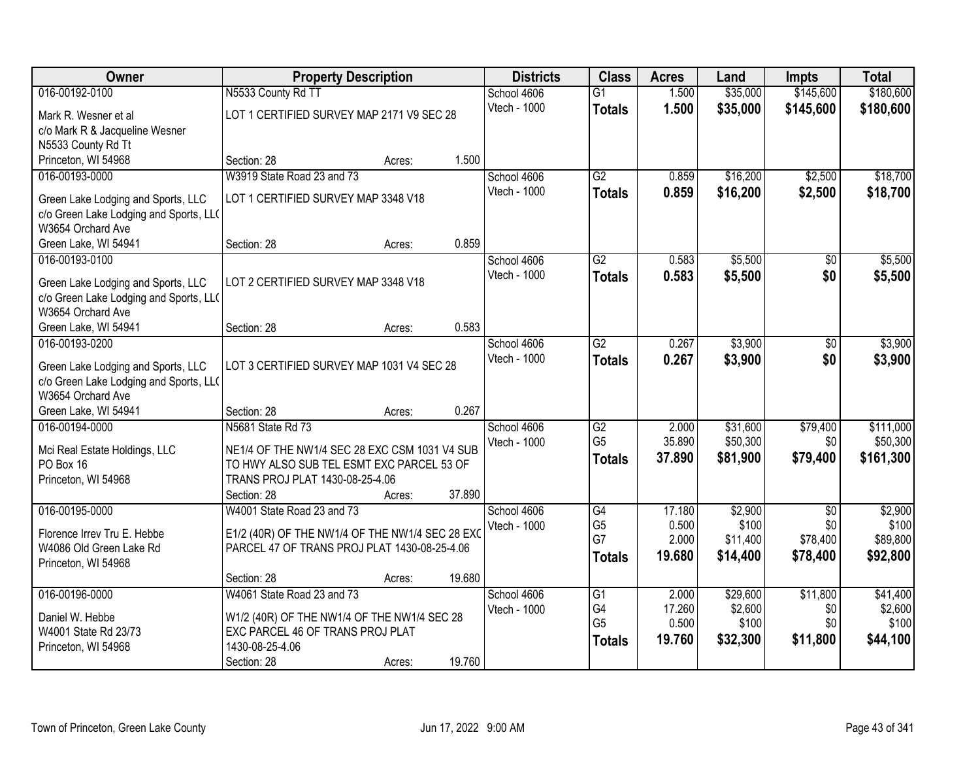| Owner                                  | <b>Property Description</b>                                                     |        |        | <b>Districts</b> | <b>Class</b>    | <b>Acres</b> | Land     | <b>Impts</b>    | <b>Total</b> |
|----------------------------------------|---------------------------------------------------------------------------------|--------|--------|------------------|-----------------|--------------|----------|-----------------|--------------|
| 016-00192-0100                         | N5533 County Rd TT                                                              |        |        | School 4606      | $\overline{G1}$ | 1.500        | \$35,000 | \$145,600       | \$180,600    |
| Mark R. Wesner et al                   | LOT 1 CERTIFIED SURVEY MAP 2171 V9 SEC 28                                       |        |        | Vtech - 1000     | <b>Totals</b>   | 1.500        | \$35,000 | \$145,600       | \$180,600    |
| c/o Mark R & Jacqueline Wesner         |                                                                                 |        |        |                  |                 |              |          |                 |              |
| N5533 County Rd Tt                     |                                                                                 |        |        |                  |                 |              |          |                 |              |
| Princeton, WI 54968                    | Section: 28                                                                     | Acres: | 1.500  |                  |                 |              |          |                 |              |
| 016-00193-0000                         | W3919 State Road 23 and 73                                                      |        |        | School 4606      | $\overline{G2}$ | 0.859        | \$16,200 | \$2,500         | \$18,700     |
| Green Lake Lodging and Sports, LLC     | LOT 1 CERTIFIED SURVEY MAP 3348 V18                                             |        |        | Vtech - 1000     | <b>Totals</b>   | 0.859        | \$16,200 | \$2,500         | \$18,700     |
| c/o Green Lake Lodging and Sports, LL( |                                                                                 |        |        |                  |                 |              |          |                 |              |
| W3654 Orchard Ave                      |                                                                                 |        |        |                  |                 |              |          |                 |              |
| Green Lake, WI 54941                   | Section: 28                                                                     | Acres: | 0.859  |                  |                 |              |          |                 |              |
| 016-00193-0100                         |                                                                                 |        |        | School 4606      | $\overline{G2}$ | 0.583        | \$5,500  | \$0             | \$5,500      |
| Green Lake Lodging and Sports, LLC     | LOT 2 CERTIFIED SURVEY MAP 3348 V18                                             |        |        | Vtech - 1000     | <b>Totals</b>   | 0.583        | \$5,500  | \$0             | \$5,500      |
| c/o Green Lake Lodging and Sports, LL( |                                                                                 |        |        |                  |                 |              |          |                 |              |
| W3654 Orchard Ave                      |                                                                                 |        |        |                  |                 |              |          |                 |              |
| Green Lake, WI 54941                   | Section: 28                                                                     | Acres: | 0.583  |                  |                 |              |          |                 |              |
| 016-00193-0200                         |                                                                                 |        |        | School 4606      | G2              | 0.267        | \$3,900  | \$0             | \$3,900      |
| Green Lake Lodging and Sports, LLC     | LOT 3 CERTIFIED SURVEY MAP 1031 V4 SEC 28                                       |        |        | Vtech - 1000     | <b>Totals</b>   | 0.267        | \$3,900  | \$0             | \$3,900      |
| c/o Green Lake Lodging and Sports, LL( |                                                                                 |        |        |                  |                 |              |          |                 |              |
| W3654 Orchard Ave                      |                                                                                 |        |        |                  |                 |              |          |                 |              |
| Green Lake, WI 54941                   | Section: 28                                                                     | Acres: | 0.267  |                  |                 |              |          |                 |              |
| 016-00194-0000                         | N5681 State Rd 73                                                               |        |        | School 4606      | $\overline{G2}$ | 2.000        | \$31,600 | \$79,400        | \$111,000    |
| Mci Real Estate Holdings, LLC          | NE1/4 OF THE NW1/4 SEC 28 EXC CSM 1031 V4 SUB                                   |        |        | Vtech - 1000     | G <sub>5</sub>  | 35.890       | \$50,300 | \$0             | \$50,300     |
| PO Box 16                              | TO HWY ALSO SUB TEL ESMT EXC PARCEL 53 OF                                       |        |        |                  | <b>Totals</b>   | 37.890       | \$81,900 | \$79,400        | \$161,300    |
| Princeton, WI 54968                    | TRANS PROJ PLAT 1430-08-25-4.06                                                 |        |        |                  |                 |              |          |                 |              |
|                                        | Section: 28                                                                     | Acres: | 37.890 |                  |                 |              |          |                 |              |
| 016-00195-0000                         | W4001 State Road 23 and 73                                                      |        |        | School 4606      | G4              | 17.180       | \$2,900  | $\overline{50}$ | \$2,900      |
| Florence Irrey Tru E. Hebbe            | E1/2 (40R) OF THE NW1/4 OF THE NW1/4 SEC 28 EXC                                 |        |        | Vtech - 1000     | G <sub>5</sub>  | 0.500        | \$100    | \$0             | \$100        |
| W4086 Old Green Lake Rd                | PARCEL 47 OF TRANS PROJ PLAT 1430-08-25-4.06                                    |        |        |                  | G7              | 2.000        | \$11,400 | \$78,400        | \$89,800     |
| Princeton, WI 54968                    |                                                                                 |        |        |                  | <b>Totals</b>   | 19.680       | \$14,400 | \$78,400        | \$92,800     |
|                                        | Section: 28                                                                     | Acres: | 19.680 |                  |                 |              |          |                 |              |
| 016-00196-0000                         | W4061 State Road 23 and 73                                                      |        |        | School 4606      | G1              | 2.000        | \$29,600 | \$11,800        | \$41,400     |
| Daniel W. Hebbe                        |                                                                                 |        |        | Vtech - 1000     | G4              | 17.260       | \$2,600  | \$0             | \$2,600      |
| W4001 State Rd 23/73                   | W1/2 (40R) OF THE NW1/4 OF THE NW1/4 SEC 28<br>EXC PARCEL 46 OF TRANS PROJ PLAT |        |        |                  | G <sub>5</sub>  | 0.500        | \$100    | \$0             | \$100        |
| Princeton, WI 54968                    | 1430-08-25-4.06                                                                 |        |        |                  | <b>Totals</b>   | 19.760       | \$32,300 | \$11,800        | \$44,100     |
|                                        | Section: 28                                                                     | Acres: | 19.760 |                  |                 |              |          |                 |              |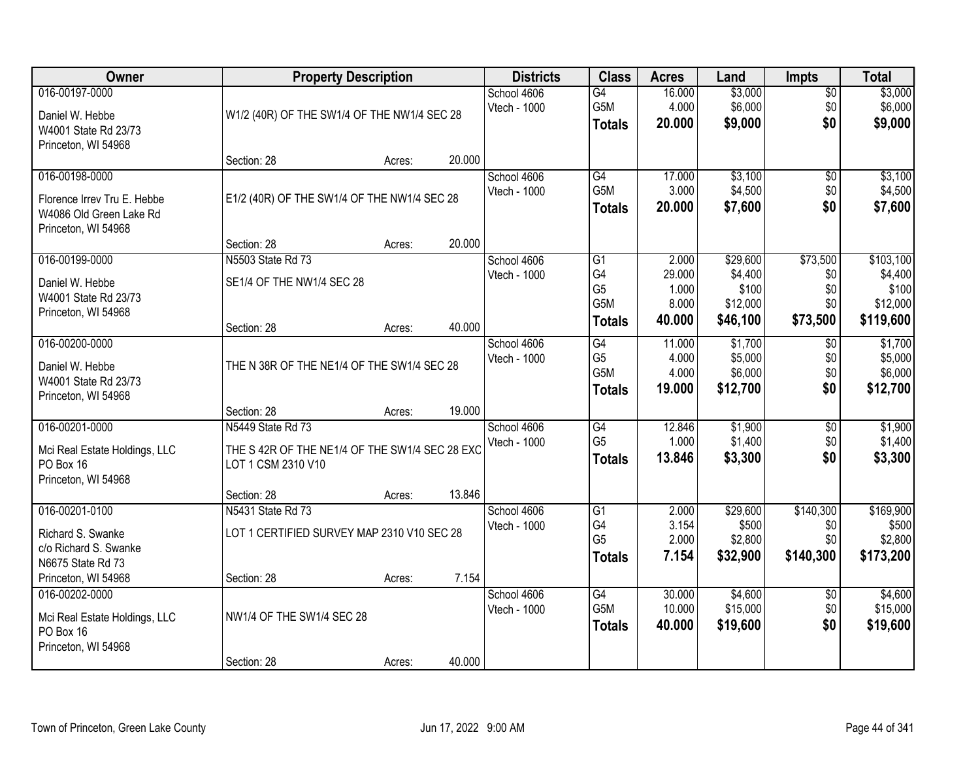| Owner                                                                                           |                                                                                           | <b>Property Description</b> |        | <b>Districts</b>            | <b>Class</b>                                       | <b>Acres</b>                       | Land                                      | <b>Impts</b>                         | <b>Total</b>                               |
|-------------------------------------------------------------------------------------------------|-------------------------------------------------------------------------------------------|-----------------------------|--------|-----------------------------|----------------------------------------------------|------------------------------------|-------------------------------------------|--------------------------------------|--------------------------------------------|
| 016-00197-0000<br>Daniel W. Hebbe<br>W4001 State Rd 23/73<br>Princeton, WI 54968                | W1/2 (40R) OF THE SW1/4 OF THE NW1/4 SEC 28                                               |                             |        | School 4606<br>Vtech - 1000 | $\overline{G4}$<br>G5M<br><b>Totals</b>            | 16.000<br>4.000<br>20.000          | \$3,000<br>\$6,000<br>\$9,000             | $\sqrt{$0}$<br>\$0<br>\$0            | \$3,000<br>\$6,000<br>\$9,000              |
|                                                                                                 | Section: 28                                                                               | Acres:                      | 20.000 |                             |                                                    |                                    |                                           |                                      |                                            |
| 016-00198-0000<br>Florence Irrev Tru E. Hebbe<br>W4086 Old Green Lake Rd<br>Princeton, WI 54968 | E1/2 (40R) OF THE SW1/4 OF THE NW1/4 SEC 28                                               |                             |        | School 4606<br>Vtech - 1000 | G4<br>G5M<br><b>Totals</b>                         | 17.000<br>3.000<br>20.000          | \$3,100<br>\$4,500<br>\$7,600             | \$0<br>\$0<br>\$0                    | \$3,100<br>\$4,500<br>\$7,600              |
| 016-00199-0000                                                                                  | Section: 28<br>N5503 State Rd 73                                                          | Acres:                      | 20.000 |                             | $\overline{G1}$                                    | 2.000                              | \$29,600                                  | \$73,500                             | \$103,100                                  |
| Daniel W. Hebbe<br>W4001 State Rd 23/73<br>Princeton, WI 54968                                  | SE1/4 OF THE NW1/4 SEC 28                                                                 |                             |        | School 4606<br>Vtech - 1000 | G4<br>G <sub>5</sub><br>G5M                        | 29.000<br>1.000<br>8.000           | \$4,400<br>\$100<br>\$12,000              | \$0<br>\$0<br>\$0                    | \$4,400<br>\$100<br>\$12,000               |
|                                                                                                 | Section: 28                                                                               | Acres:                      | 40.000 |                             | <b>Totals</b>                                      | 40.000                             | \$46,100                                  | \$73,500                             | \$119,600                                  |
| 016-00200-0000<br>Daniel W. Hebbe<br>W4001 State Rd 23/73<br>Princeton, WI 54968                | THE N 38R OF THE NE1/4 OF THE SW1/4 SEC 28                                                |                             |        | School 4606<br>Vtech - 1000 | G4<br>G <sub>5</sub><br>G5M<br><b>Totals</b>       | 11.000<br>4.000<br>4.000<br>19.000 | \$1,700<br>\$5,000<br>\$6,000<br>\$12,700 | $\sqrt[6]{3}$<br>\$0<br>\$0<br>\$0   | \$1,700<br>\$5,000<br>\$6,000<br>\$12,700  |
|                                                                                                 | Section: 28                                                                               | Acres:                      | 19.000 |                             |                                                    |                                    |                                           |                                      |                                            |
| 016-00201-0000<br>Mci Real Estate Holdings, LLC<br>PO Box 16<br>Princeton, WI 54968             | N5449 State Rd 73<br>THE S 42R OF THE NE1/4 OF THE SW1/4 SEC 28 EXC<br>LOT 1 CSM 2310 V10 |                             |        | School 4606<br>Vtech - 1000 | $\overline{G4}$<br>G <sub>5</sub><br><b>Totals</b> | 12.846<br>1.000<br>13.846          | \$1,900<br>\$1,400<br>\$3,300             | \$0<br>\$0<br>\$0                    | \$1,900<br>\$1,400<br>\$3,300              |
|                                                                                                 | Section: 28                                                                               | Acres:                      | 13.846 |                             |                                                    |                                    |                                           |                                      |                                            |
| 016-00201-0100<br>Richard S. Swanke<br>c/o Richard S. Swanke<br>N6675 State Rd 73               | N5431 State Rd 73<br>LOT 1 CERTIFIED SURVEY MAP 2310 V10 SEC 28                           |                             |        | School 4606<br>Vtech - 1000 | G1<br>G4<br>G <sub>5</sub><br><b>Totals</b>        | 2.000<br>3.154<br>2.000<br>7.154   | \$29,600<br>\$500<br>\$2,800<br>\$32,900  | \$140,300<br>\$0<br>\$0<br>\$140,300 | \$169,900<br>\$500<br>\$2,800<br>\$173,200 |
| Princeton, WI 54968                                                                             | Section: 28                                                                               | Acres:                      | 7.154  |                             |                                                    |                                    |                                           |                                      |                                            |
| 016-00202-0000<br>Mci Real Estate Holdings, LLC<br>PO Box 16<br>Princeton, WI 54968             | NW1/4 OF THE SW1/4 SEC 28                                                                 |                             |        | School 4606<br>Vtech - 1000 | G4<br>G5M<br><b>Totals</b>                         | 30.000<br>10.000<br>40.000         | \$4,600<br>\$15,000<br>\$19,600           | $\overline{60}$<br>\$0<br>\$0        | \$4,600<br>\$15,000<br>\$19,600            |
|                                                                                                 | Section: 28                                                                               | Acres:                      | 40.000 |                             |                                                    |                                    |                                           |                                      |                                            |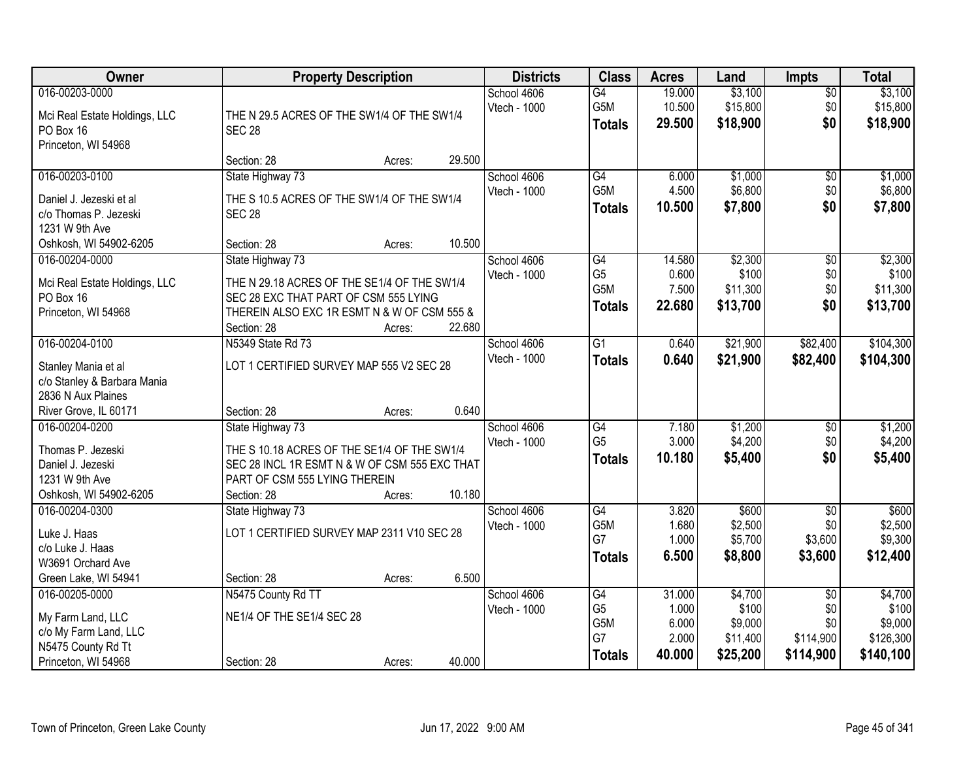| Owner                         | <b>Property Description</b>                   | <b>Districts</b>            | <b>Class</b>         | <b>Acres</b>     | Land                 | <b>Impts</b>    | <b>Total</b>         |
|-------------------------------|-----------------------------------------------|-----------------------------|----------------------|------------------|----------------------|-----------------|----------------------|
| 016-00203-0000                |                                               | School 4606                 | $\overline{G4}$      | 19.000           | \$3,100              | $\sqrt{$0}$     | \$3,100              |
| Mci Real Estate Holdings, LLC | THE N 29.5 ACRES OF THE SW1/4 OF THE SW1/4    | Vtech - 1000                | G5M<br><b>Totals</b> | 10.500<br>29.500 | \$15,800<br>\$18,900 | \$0<br>\$0      | \$15,800<br>\$18,900 |
| PO Box 16                     | <b>SEC 28</b>                                 |                             |                      |                  |                      |                 |                      |
| Princeton, WI 54968           |                                               |                             |                      |                  |                      |                 |                      |
| 016-00203-0100                | 29.500<br>Section: 28<br>Acres:               |                             | G4                   | 6.000            |                      |                 | \$1,000              |
|                               | State Highway 73                              | School 4606<br>Vtech - 1000 | G5M                  | 4.500            | \$1,000<br>\$6,800   | \$0<br>\$0      | \$6,800              |
| Daniel J. Jezeski et al       | THE S 10.5 ACRES OF THE SW1/4 OF THE SW1/4    |                             | <b>Totals</b>        | 10.500           | \$7,800              | \$0             | \$7,800              |
| c/o Thomas P. Jezeski         | <b>SEC 28</b>                                 |                             |                      |                  |                      |                 |                      |
| 1231 W 9th Ave                |                                               |                             |                      |                  |                      |                 |                      |
| Oshkosh, WI 54902-6205        | 10.500<br>Section: 28<br>Acres:               |                             | $\overline{G4}$      |                  | \$2,300              |                 |                      |
| 016-00204-0000                | State Highway 73                              | School 4606<br>Vtech - 1000 | G <sub>5</sub>       | 14.580<br>0.600  | \$100                | \$0<br>\$0      | \$2,300<br>\$100     |
| Mci Real Estate Holdings, LLC | THE N 29.18 ACRES OF THE SE1/4 OF THE SW1/4   |                             | G5M                  | 7.500            | \$11,300             | \$0             | \$11,300             |
| PO Box 16                     | SEC 28 EXC THAT PART OF CSM 555 LYING         |                             | <b>Totals</b>        | 22.680           | \$13,700             | \$0             | \$13,700             |
| Princeton, WI 54968           | THEREIN ALSO EXC 1R ESMT N & W OF CSM 555 &   |                             |                      |                  |                      |                 |                      |
|                               | 22.680<br>Section: 28<br>Acres:               |                             |                      |                  |                      |                 |                      |
| 016-00204-0100                | N5349 State Rd 73                             | School 4606<br>Vtech - 1000 | $\overline{G1}$      | 0.640            | \$21,900             | \$82,400        | \$104,300            |
| Stanley Mania et al           | LOT 1 CERTIFIED SURVEY MAP 555 V2 SEC 28      |                             | <b>Totals</b>        | 0.640            | \$21,900             | \$82,400        | \$104,300            |
| c/o Stanley & Barbara Mania   |                                               |                             |                      |                  |                      |                 |                      |
| 2836 N Aux Plaines            |                                               |                             |                      |                  |                      |                 |                      |
| River Grove, IL 60171         | 0.640<br>Section: 28<br>Acres:                |                             |                      |                  |                      |                 |                      |
| 016-00204-0200                | State Highway 73                              | School 4606                 | $\overline{G4}$      | 7.180            | \$1,200              | \$0             | \$1,200              |
| Thomas P. Jezeski             | THE S 10.18 ACRES OF THE SE1/4 OF THE SW1/4   | Vtech - 1000                | G <sub>5</sub>       | 3.000            | \$4,200              | \$0<br>\$0      | \$4,200              |
| Daniel J. Jezeski             | SEC 28 INCL 1R ESMT N & W OF CSM 555 EXC THAT |                             | <b>Totals</b>        | 10.180           | \$5,400              |                 | \$5,400              |
| 1231 W 9th Ave                | PART OF CSM 555 LYING THEREIN                 |                             |                      |                  |                      |                 |                      |
| Oshkosh, WI 54902-6205        | 10.180<br>Section: 28<br>Acres:               |                             |                      |                  |                      |                 |                      |
| 016-00204-0300                | State Highway 73                              | School 4606                 | G4                   | 3.820            | \$600                | $\sqrt{6}$      | \$600                |
| Luke J. Haas                  | LOT 1 CERTIFIED SURVEY MAP 2311 V10 SEC 28    | Vtech - 1000                | G5M<br>G7            | 1.680<br>1.000   | \$2,500<br>\$5,700   | \$0             | \$2,500              |
| c/o Luke J. Haas              |                                               |                             |                      | 6.500            |                      | \$3,600         | \$9,300              |
| W3691 Orchard Ave             |                                               |                             | <b>Totals</b>        |                  | \$8,800              | \$3,600         | \$12,400             |
| Green Lake, WI 54941          | 6.500<br>Section: 28<br>Acres:                |                             |                      |                  |                      |                 |                      |
| 016-00205-0000                | N5475 County Rd TT                            | School 4606                 | G4                   | 31.000           | \$4,700              | $\overline{30}$ | \$4,700              |
| My Farm Land, LLC             | NE1/4 OF THE SE1/4 SEC 28                     | Vtech - 1000                | G <sub>5</sub>       | 1.000            | \$100                | \$0             | \$100                |
| c/o My Farm Land, LLC         |                                               |                             | G5M                  | 6.000            | \$9,000              | \$0             | \$9,000              |
| N5475 County Rd Tt            |                                               |                             | G7                   | 2.000            | \$11,400             | \$114,900       | \$126,300            |
| Princeton, WI 54968           | 40.000<br>Section: 28<br>Acres:               |                             | <b>Totals</b>        | 40.000           | \$25,200             | \$114,900       | \$140,100            |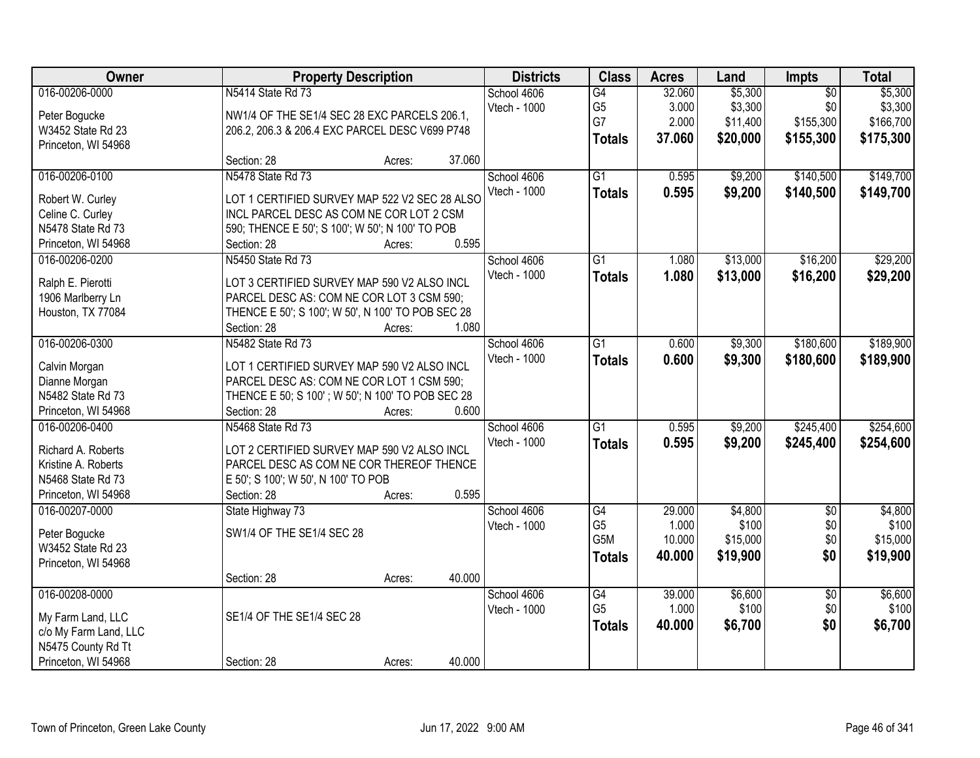| Owner                 | <b>Property Description</b>                       | <b>Districts</b> | <b>Class</b>    | <b>Acres</b> | Land     | Impts           | <b>Total</b> |
|-----------------------|---------------------------------------------------|------------------|-----------------|--------------|----------|-----------------|--------------|
| 016-00206-0000        | N5414 State Rd 73                                 | School 4606      | G4              | 32.060       | \$5,300  | $\overline{50}$ | \$5,300      |
| Peter Bogucke         | NW1/4 OF THE SE1/4 SEC 28 EXC PARCELS 206.1,      | Vtech - 1000     | G <sub>5</sub>  | 3.000        | \$3,300  | \$0             | \$3,300      |
| W3452 State Rd 23     | 206.2, 206.3 & 206.4 EXC PARCEL DESC V699 P748    |                  | G7              | 2.000        | \$11,400 | \$155,300       | \$166,700    |
| Princeton, WI 54968   |                                                   |                  | <b>Totals</b>   | 37.060       | \$20,000 | \$155,300       | \$175,300    |
|                       | 37.060<br>Section: 28<br>Acres:                   |                  |                 |              |          |                 |              |
| 016-00206-0100        | N5478 State Rd 73                                 | School 4606      | $\overline{G1}$ | 0.595        | \$9,200  | \$140,500       | \$149,700    |
| Robert W. Curley      | LOT 1 CERTIFIED SURVEY MAP 522 V2 SEC 28 ALSO     | Vtech - 1000     | <b>Totals</b>   | 0.595        | \$9,200  | \$140,500       | \$149,700    |
| Celine C. Curley      | INCL PARCEL DESC AS COM NE COR LOT 2 CSM          |                  |                 |              |          |                 |              |
| N5478 State Rd 73     | 590; THENCE E 50'; S 100'; W 50'; N 100' TO POB   |                  |                 |              |          |                 |              |
| Princeton, WI 54968   | 0.595<br>Section: 28<br>Acres:                    |                  |                 |              |          |                 |              |
| 016-00206-0200        | N5450 State Rd 73                                 | School 4606      | $\overline{G1}$ | 1.080        | \$13,000 | \$16,200        | \$29,200     |
|                       |                                                   | Vtech - 1000     | <b>Totals</b>   | 1.080        | \$13,000 | \$16,200        | \$29,200     |
| Ralph E. Pierotti     | LOT 3 CERTIFIED SURVEY MAP 590 V2 ALSO INCL       |                  |                 |              |          |                 |              |
| 1906 Marlberry Ln     | PARCEL DESC AS: COM NE COR LOT 3 CSM 590;         |                  |                 |              |          |                 |              |
| Houston, TX 77084     | THENCE E 50'; S 100'; W 50', N 100' TO POB SEC 28 |                  |                 |              |          |                 |              |
|                       | 1.080<br>Section: 28<br>Acres:                    |                  |                 |              |          |                 |              |
| 016-00206-0300        | N5482 State Rd 73                                 | School 4606      | $\overline{G1}$ | 0.600        | \$9,300  | \$180,600       | \$189,900    |
| Calvin Morgan         | LOT 1 CERTIFIED SURVEY MAP 590 V2 ALSO INCL       | Vtech - 1000     | <b>Totals</b>   | 0.600        | \$9,300  | \$180,600       | \$189,900    |
| Dianne Morgan         | PARCEL DESC AS: COM NE COR LOT 1 CSM 590;         |                  |                 |              |          |                 |              |
| N5482 State Rd 73     | THENCE E 50; S 100'; W 50'; N 100' TO POB SEC 28  |                  |                 |              |          |                 |              |
| Princeton, WI 54968   | 0.600<br>Section: 28<br>Acres:                    |                  |                 |              |          |                 |              |
| 016-00206-0400        | N5468 State Rd 73                                 | School 4606      | $\overline{G1}$ | 0.595        | \$9,200  | \$245,400       | \$254,600    |
| Richard A. Roberts    | LOT 2 CERTIFIED SURVEY MAP 590 V2 ALSO INCL       | Vtech - 1000     | <b>Totals</b>   | 0.595        | \$9,200  | \$245,400       | \$254,600    |
| Kristine A. Roberts   | PARCEL DESC AS COM NE COR THEREOF THENCE          |                  |                 |              |          |                 |              |
| N5468 State Rd 73     | E 50'; S 100'; W 50', N 100' TO POB               |                  |                 |              |          |                 |              |
| Princeton, WI 54968   | 0.595<br>Section: 28<br>Acres:                    |                  |                 |              |          |                 |              |
| 016-00207-0000        | State Highway 73                                  | School 4606      | G4              | 29.000       | \$4,800  | $\overline{50}$ | \$4,800      |
|                       |                                                   | Vtech - 1000     | G <sub>5</sub>  | 1.000        | \$100    | \$0             | \$100        |
| Peter Bogucke         | SW1/4 OF THE SE1/4 SEC 28                         |                  | G5M             | 10.000       | \$15,000 | \$0             | \$15,000     |
| W3452 State Rd 23     |                                                   |                  | <b>Totals</b>   | 40.000       | \$19,900 | \$0             | \$19,900     |
| Princeton, WI 54968   |                                                   |                  |                 |              |          |                 |              |
|                       | 40.000<br>Section: 28<br>Acres:                   |                  |                 |              |          |                 |              |
| 016-00208-0000        |                                                   | School 4606      | G4              | 39.000       | \$6,600  | $\overline{50}$ | \$6,600      |
| My Farm Land, LLC     | SE1/4 OF THE SE1/4 SEC 28                         | Vtech - 1000     | G <sub>5</sub>  | 1.000        | \$100    | \$0             | \$100        |
| c/o My Farm Land, LLC |                                                   |                  | <b>Totals</b>   | 40.000       | \$6,700  | \$0             | \$6,700      |
| N5475 County Rd Tt    |                                                   |                  |                 |              |          |                 |              |
| Princeton, WI 54968   | 40.000<br>Section: 28<br>Acres:                   |                  |                 |              |          |                 |              |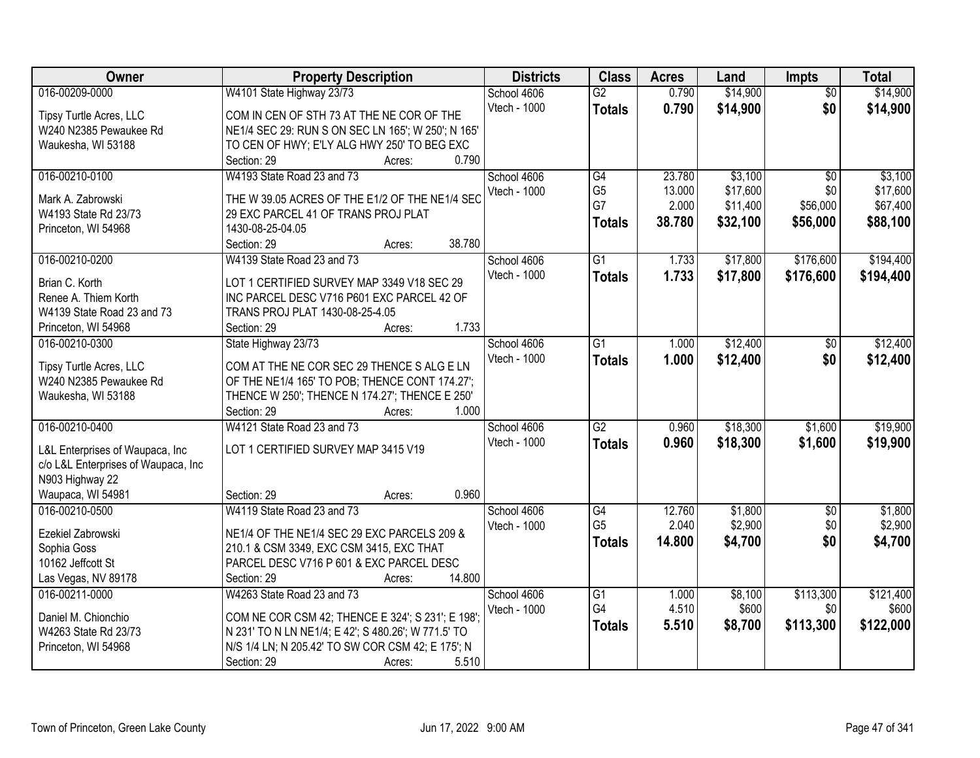| <b>Owner</b>                        | <b>Property Description</b>                         | <b>Districts</b> | <b>Class</b>    | <b>Acres</b> | Land     | <b>Impts</b>    | <b>Total</b> |
|-------------------------------------|-----------------------------------------------------|------------------|-----------------|--------------|----------|-----------------|--------------|
| 016-00209-0000                      | W4101 State Highway 23/73                           | School 4606      | $\overline{G2}$ | 0.790        | \$14,900 | $\overline{50}$ | \$14,900     |
| Tipsy Turtle Acres, LLC             | COM IN CEN OF STH 73 AT THE NE COR OF THE           | Vtech - 1000     | <b>Totals</b>   | 0.790        | \$14,900 | \$0             | \$14,900     |
| W240 N2385 Pewaukee Rd              | NE1/4 SEC 29: RUN S ON SEC LN 165'; W 250'; N 165'  |                  |                 |              |          |                 |              |
| Waukesha, WI 53188                  | TO CEN OF HWY; E'LY ALG HWY 250' TO BEG EXC         |                  |                 |              |          |                 |              |
|                                     | 0.790<br>Section: 29<br>Acres:                      |                  |                 |              |          |                 |              |
| 016-00210-0100                      | W4193 State Road 23 and 73                          | School 4606      | $\overline{G4}$ | 23.780       | \$3,100  | $\overline{50}$ | \$3,100      |
|                                     |                                                     | Vtech - 1000     | G <sub>5</sub>  | 13.000       | \$17,600 | \$0             | \$17,600     |
| Mark A. Zabrowski                   | THE W 39.05 ACRES OF THE E1/2 OF THE NE1/4 SEC      |                  | G7              | 2.000        | \$11,400 | \$56,000        | \$67,400     |
| W4193 State Rd 23/73                | 29 EXC PARCEL 41 OF TRANS PROJ PLAT                 |                  | <b>Totals</b>   | 38.780       | \$32,100 | \$56,000        | \$88,100     |
| Princeton, WI 54968                 | 1430-08-25-04.05                                    |                  |                 |              |          |                 |              |
|                                     | 38.780<br>Section: 29<br>Acres:                     |                  |                 |              |          |                 |              |
| 016-00210-0200                      | W4139 State Road 23 and 73                          | School 4606      | $\overline{G1}$ | 1.733        | \$17,800 | \$176,600       | \$194,400    |
| Brian C. Korth                      | LOT 1 CERTIFIED SURVEY MAP 3349 V18 SEC 29          | Vtech - 1000     | <b>Totals</b>   | 1.733        | \$17,800 | \$176,600       | \$194,400    |
| Renee A. Thiem Korth                | INC PARCEL DESC V716 P601 EXC PARCEL 42 OF          |                  |                 |              |          |                 |              |
| W4139 State Road 23 and 73          | TRANS PROJ PLAT 1430-08-25-4.05                     |                  |                 |              |          |                 |              |
| Princeton, WI 54968                 | 1.733<br>Section: 29<br>Acres:                      |                  |                 |              |          |                 |              |
| 016-00210-0300                      | State Highway 23/73                                 | School 4606      | $\overline{G1}$ | 1.000        | \$12,400 | \$0             | \$12,400     |
|                                     |                                                     | Vtech - 1000     | <b>Totals</b>   | 1.000        | \$12,400 | \$0             | \$12,400     |
| Tipsy Turtle Acres, LLC             | COM AT THE NE COR SEC 29 THENCE S ALG E LN          |                  |                 |              |          |                 |              |
| W240 N2385 Pewaukee Rd              | OF THE NE1/4 165' TO POB; THENCE CONT 174.27';      |                  |                 |              |          |                 |              |
| Waukesha, WI 53188                  | THENCE W 250'; THENCE N 174.27'; THENCE E 250'      |                  |                 |              |          |                 |              |
|                                     | Section: 29<br>1.000<br>Acres:                      |                  |                 |              |          |                 |              |
| 016-00210-0400                      | W4121 State Road 23 and 73                          | School 4606      | $\overline{G2}$ | 0.960        | \$18,300 | \$1,600         | \$19,900     |
| L&L Enterprises of Waupaca, Inc     | LOT 1 CERTIFIED SURVEY MAP 3415 V19                 | Vtech - 1000     | <b>Totals</b>   | 0.960        | \$18,300 | \$1,600         | \$19,900     |
| c/o L&L Enterprises of Waupaca, Inc |                                                     |                  |                 |              |          |                 |              |
| N903 Highway 22                     |                                                     |                  |                 |              |          |                 |              |
| Waupaca, WI 54981                   | 0.960<br>Section: 29<br>Acres:                      |                  |                 |              |          |                 |              |
| 016-00210-0500                      | W4119 State Road 23 and 73                          | School 4606      | G4              | 12.760       | \$1,800  | $\overline{60}$ | \$1,800      |
| Ezekiel Zabrowski                   | NE1/4 OF THE NE1/4 SEC 29 EXC PARCELS 209 &         | Vtech - 1000     | G <sub>5</sub>  | 2.040        | \$2,900  | \$0             | \$2,900      |
| Sophia Goss                         | 210.1 & CSM 3349, EXC CSM 3415, EXC THAT            |                  | <b>Totals</b>   | 14.800       | \$4,700  | \$0             | \$4,700      |
| 10162 Jeffcott St                   | PARCEL DESC V716 P 601 & EXC PARCEL DESC            |                  |                 |              |          |                 |              |
| Las Vegas, NV 89178                 | Section: 29<br>14.800<br>Acres:                     |                  |                 |              |          |                 |              |
| 016-00211-0000                      | W4263 State Road 23 and 73                          | School 4606      | $\overline{G1}$ | 1.000        | \$8,100  | \$113,300       | \$121,400    |
|                                     |                                                     | Vtech - 1000     | G4              | 4.510        | \$600    | \$0             | \$600        |
| Daniel M. Chionchio                 | COM NE COR CSM 42; THENCE E 324'; S 231'; E 198';   |                  | <b>Totals</b>   | 5.510        | \$8,700  | \$113,300       | \$122,000    |
| W4263 State Rd 23/73                | N 231' TO N LN NE1/4; E 42'; S 480.26'; W 771.5' TO |                  |                 |              |          |                 |              |
| Princeton, WI 54968                 | N/S 1/4 LN; N 205.42' TO SW COR CSM 42; E 175'; N   |                  |                 |              |          |                 |              |
|                                     | Section: 29<br>5.510<br>Acres:                      |                  |                 |              |          |                 |              |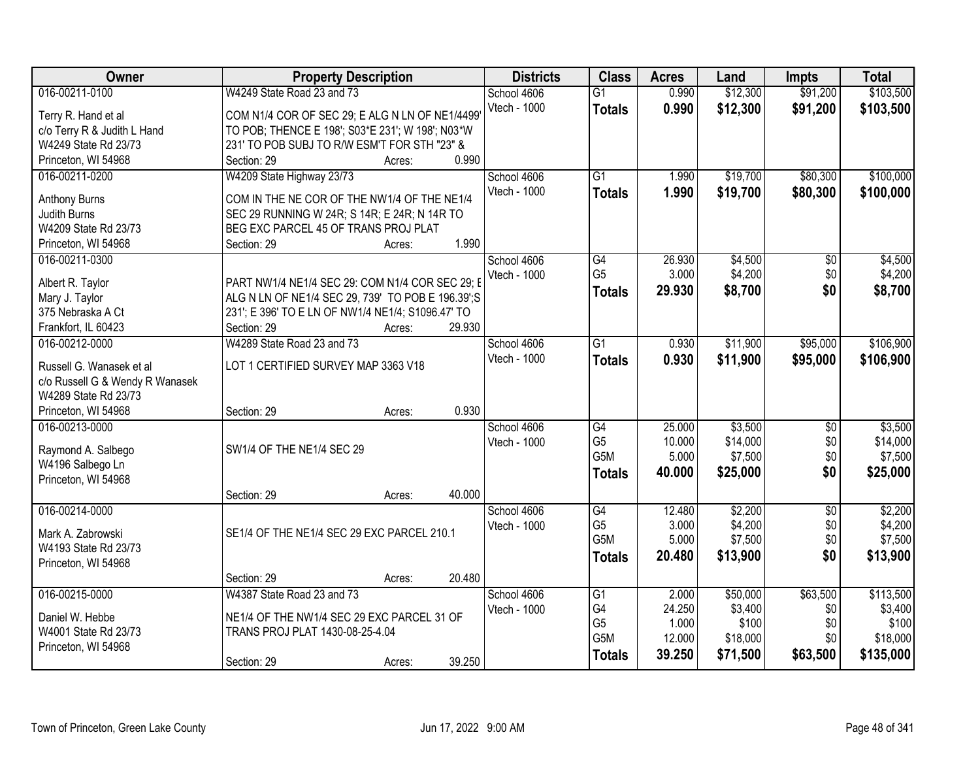| Owner                           | <b>Property Description</b>                       | <b>Districts</b> | <b>Class</b>     | <b>Acres</b> | Land     | Impts           | <b>Total</b> |
|---------------------------------|---------------------------------------------------|------------------|------------------|--------------|----------|-----------------|--------------|
| 016-00211-0100                  | W4249 State Road 23 and 73                        | School 4606      | $\overline{G1}$  | 0.990        | \$12,300 | \$91,200        | \$103,500    |
| Terry R. Hand et al             | COM N1/4 COR OF SEC 29; E ALG N LN OF NE1/4499'   | Vtech - 1000     | <b>Totals</b>    | 0.990        | \$12,300 | \$91,200        | \$103,500    |
| c/o Terry R & Judith L Hand     | TO POB; THENCE E 198'; S03*E 231'; W 198'; N03*W  |                  |                  |              |          |                 |              |
| W4249 State Rd 23/73            | 231' TO POB SUBJ TO R/W ESM'T FOR STH "23" &      |                  |                  |              |          |                 |              |
| Princeton, WI 54968             | 0.990<br>Section: 29<br>Acres:                    |                  |                  |              |          |                 |              |
| 016-00211-0200                  | W4209 State Highway 23/73                         | School 4606      | $\overline{G1}$  | 1.990        | \$19,700 | \$80,300        | \$100,000    |
|                                 |                                                   | Vtech - 1000     | <b>Totals</b>    | 1.990        | \$19,700 | \$80,300        | \$100,000    |
| <b>Anthony Burns</b>            | COM IN THE NE COR OF THE NW1/4 OF THE NE1/4       |                  |                  |              |          |                 |              |
| Judith Burns                    | SEC 29 RUNNING W 24R; S 14R; E 24R; N 14R TO      |                  |                  |              |          |                 |              |
| W4209 State Rd 23/73            | BEG EXC PARCEL 45 OF TRANS PROJ PLAT              |                  |                  |              |          |                 |              |
| Princeton, WI 54968             | 1.990<br>Section: 29<br>Acres:                    |                  |                  |              |          |                 |              |
| 016-00211-0300                  |                                                   | School 4606      | G4               | 26.930       | \$4,500  | \$0             | \$4,500      |
| Albert R. Taylor                | PART NW1/4 NE1/4 SEC 29: COM N1/4 COR SEC 29; I   | Vtech - 1000     | G <sub>5</sub>   | 3.000        | \$4,200  | \$0             | \$4,200      |
| Mary J. Taylor                  | ALG N LN OF NE1/4 SEC 29, 739' TO POB E 196.39';S |                  | <b>Totals</b>    | 29.930       | \$8,700  | \$0             | \$8,700      |
| 375 Nebraska A Ct               | 231'; E 396' TO E LN OF NW1/4 NE1/4; S1096.47' TO |                  |                  |              |          |                 |              |
| Frankfort, IL 60423             | 29.930<br>Section: 29<br>Acres:                   |                  |                  |              |          |                 |              |
| 016-00212-0000                  | W4289 State Road 23 and 73                        | School 4606      | $\overline{G1}$  | 0.930        | \$11,900 | \$95,000        | \$106,900    |
|                                 |                                                   | Vtech - 1000     | <b>Totals</b>    | 0.930        | \$11,900 | \$95,000        | \$106,900    |
| Russell G. Wanasek et al        | LOT 1 CERTIFIED SURVEY MAP 3363 V18               |                  |                  |              |          |                 |              |
| c/o Russell G & Wendy R Wanasek |                                                   |                  |                  |              |          |                 |              |
| W4289 State Rd 23/73            |                                                   |                  |                  |              |          |                 |              |
| Princeton, WI 54968             | 0.930<br>Section: 29<br>Acres:                    |                  |                  |              |          |                 |              |
| 016-00213-0000                  |                                                   | School 4606      | G4               | 25.000       | \$3,500  | $\overline{50}$ | \$3,500      |
| Raymond A. Salbego              | SW1/4 OF THE NE1/4 SEC 29                         | Vtech - 1000     | G <sub>5</sub>   | 10.000       | \$14,000 | \$0             | \$14,000     |
| W4196 Salbego Ln                |                                                   |                  | G <sub>5</sub> M | 5.000        | \$7,500  | \$0             | \$7,500      |
| Princeton, WI 54968             |                                                   |                  | <b>Totals</b>    | 40.000       | \$25,000 | \$0             | \$25,000     |
|                                 | 40.000<br>Section: 29<br>Acres:                   |                  |                  |              |          |                 |              |
| 016-00214-0000                  |                                                   | School 4606      | G4               | 12.480       | \$2,200  | $\sqrt{6}$      | \$2,200      |
| Mark A. Zabrowski               | SE1/4 OF THE NE1/4 SEC 29 EXC PARCEL 210.1        | Vtech - 1000     | G <sub>5</sub>   | 3.000        | \$4,200  | \$0             | \$4,200      |
| W4193 State Rd 23/73            |                                                   |                  | G <sub>5</sub> M | 5.000        | \$7,500  | \$0             | \$7,500      |
| Princeton, WI 54968             |                                                   |                  | <b>Totals</b>    | 20.480       | \$13,900 | \$0             | \$13,900     |
|                                 | 20.480<br>Section: 29<br>Acres:                   |                  |                  |              |          |                 |              |
| 016-00215-0000                  | W4387 State Road 23 and 73                        | School 4606      | $\overline{G1}$  | 2.000        | \$50,000 | \$63,500        | \$113,500    |
|                                 |                                                   | Vtech - 1000     | G4               | 24.250       | \$3,400  | \$0             | \$3,400      |
| Daniel W. Hebbe                 | NE1/4 OF THE NW1/4 SEC 29 EXC PARCEL 31 OF        |                  | G <sub>5</sub>   | 1.000        | \$100    | \$0             | \$100        |
| W4001 State Rd 23/73            | TRANS PROJ PLAT 1430-08-25-4.04                   |                  | G5M              | 12.000       | \$18,000 | \$0             | \$18,000     |
| Princeton, WI 54968             |                                                   |                  | <b>Totals</b>    | 39.250       | \$71,500 | \$63,500        | \$135,000    |
|                                 | 39.250<br>Section: 29<br>Acres:                   |                  |                  |              |          |                 |              |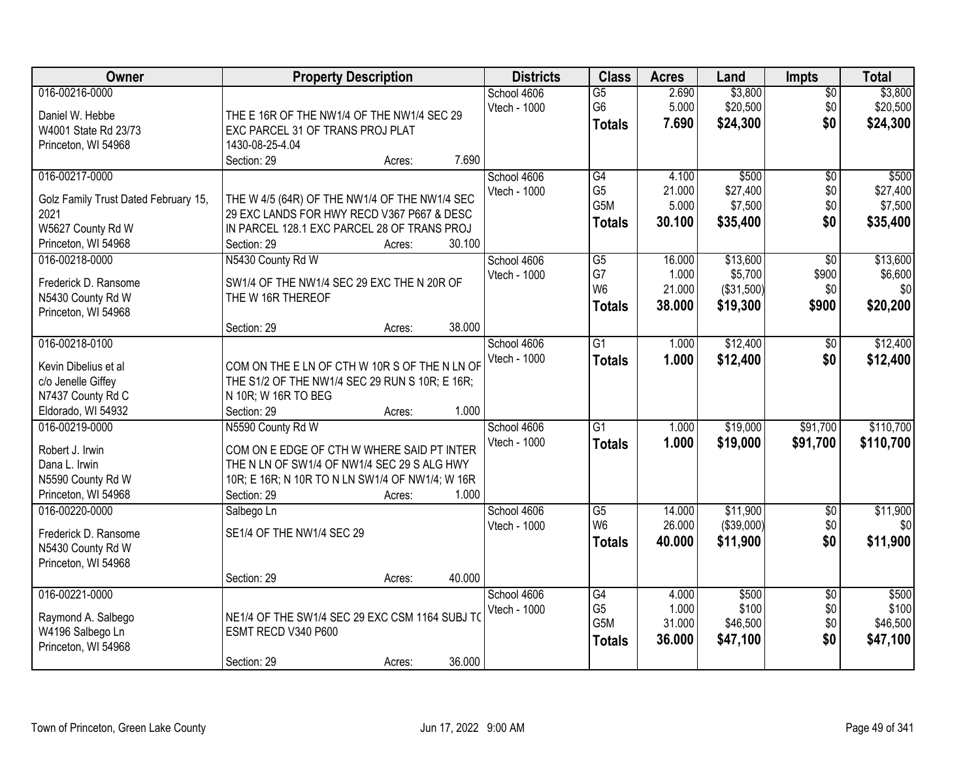| Owner                                  | <b>Property Description</b>                                           |        |        | <b>Districts</b> | <b>Class</b>     | <b>Acres</b> | Land       | <b>Impts</b>    | <b>Total</b> |
|----------------------------------------|-----------------------------------------------------------------------|--------|--------|------------------|------------------|--------------|------------|-----------------|--------------|
| 016-00216-0000                         |                                                                       |        |        | School 4606      | $\overline{G5}$  | 2.690        | \$3,800    | $\sqrt{$0}$     | \$3,800      |
| Daniel W. Hebbe                        | THE E 16R OF THE NW1/4 OF THE NW1/4 SEC 29                            |        |        | Vtech - 1000     | G <sub>6</sub>   | 5.000        | \$20,500   | \$0             | \$20,500     |
| W4001 State Rd 23/73                   | EXC PARCEL 31 OF TRANS PROJ PLAT                                      |        |        |                  | <b>Totals</b>    | 7.690        | \$24,300   | \$0             | \$24,300     |
| Princeton, WI 54968                    | 1430-08-25-4.04                                                       |        |        |                  |                  |              |            |                 |              |
|                                        | Section: 29                                                           | Acres: | 7.690  |                  |                  |              |            |                 |              |
| 016-00217-0000                         |                                                                       |        |        | School 4606      | G4               | 4.100        | \$500      | \$0             | \$500        |
| Golz Family Trust Dated February 15,   | THE W 4/5 (64R) OF THE NW1/4 OF THE NW1/4 SEC                         |        |        | Vtech - 1000     | G <sub>5</sub>   | 21.000       | \$27,400   | \$0             | \$27,400     |
| 2021                                   | 29 EXC LANDS FOR HWY RECD V367 P667 & DESC                            |        |        |                  | G5M              | 5.000        | \$7,500    | \$0             | \$7,500      |
| W5627 County Rd W                      | IN PARCEL 128.1 EXC PARCEL 28 OF TRANS PROJ                           |        |        |                  | <b>Totals</b>    | 30.100       | \$35,400   | \$0             | \$35,400     |
| Princeton, WI 54968                    | Section: 29                                                           | Acres: | 30.100 |                  |                  |              |            |                 |              |
| 016-00218-0000                         | N5430 County Rd W                                                     |        |        | School 4606      | $\overline{G5}$  | 16.000       | \$13,600   | $\overline{50}$ | \$13,600     |
|                                        |                                                                       |        |        | Vtech - 1000     | G7               | 1.000        | \$5,700    | \$900           | \$6,600      |
| Frederick D. Ransome                   | SW1/4 OF THE NW1/4 SEC 29 EXC THE N 20R OF                            |        |        |                  | W <sub>6</sub>   | 21.000       | (\$31,500) | \$0             | \$0          |
| N5430 County Rd W                      | THE W 16R THEREOF                                                     |        |        |                  | <b>Totals</b>    | 38.000       | \$19,300   | \$900           | \$20,200     |
| Princeton, WI 54968                    |                                                                       |        | 38.000 |                  |                  |              |            |                 |              |
| 016-00218-0100                         | Section: 29                                                           | Acres: |        | School 4606      | $\overline{G1}$  | 1.000        | \$12,400   | \$0             | \$12,400     |
|                                        |                                                                       |        |        | Vtech - 1000     |                  | 1.000        |            | \$0             |              |
| Kevin Dibelius et al                   | COM ON THE E LN OF CTH W 10R S OF THE N LN OF                         |        |        |                  | <b>Totals</b>    |              | \$12,400   |                 | \$12,400     |
| c/o Jenelle Giffey                     | THE S1/2 OF THE NW1/4 SEC 29 RUN S 10R; E 16R;                        |        |        |                  |                  |              |            |                 |              |
| N7437 County Rd C                      | N 10R; W 16R TO BEG                                                   |        |        |                  |                  |              |            |                 |              |
| Eldorado, WI 54932                     | Section: 29                                                           | Acres: | 1.000  |                  |                  |              |            |                 |              |
| 016-00219-0000                         | N5590 County Rd W                                                     |        |        | School 4606      | $\overline{G1}$  | 1.000        | \$19,000   | \$91,700        | \$110,700    |
| Robert J. Irwin                        | COM ON E EDGE OF CTH W WHERE SAID PT INTER                            |        |        | Vtech - 1000     | <b>Totals</b>    | 1.000        | \$19,000   | \$91,700        | \$110,700    |
| Dana L. Irwin                          | THE N LN OF SW1/4 OF NW1/4 SEC 29 S ALG HWY                           |        |        |                  |                  |              |            |                 |              |
| N5590 County Rd W                      | 10R; E 16R; N 10R TO N LN SW1/4 OF NW1/4; W 16R                       |        |        |                  |                  |              |            |                 |              |
| Princeton, WI 54968                    | Section: 29                                                           | Acres: | 1.000  |                  |                  |              |            |                 |              |
| 016-00220-0000                         | Salbego Ln                                                            |        |        | School 4606      | G5               | 14.000       | \$11,900   | $\sqrt{6}$      | \$11,900     |
| Frederick D. Ransome                   | SE1/4 OF THE NW1/4 SEC 29                                             |        |        | Vtech - 1000     | W <sub>6</sub>   | 26.000       | (\$39,000) | \$0             | \$0          |
| N5430 County Rd W                      |                                                                       |        |        |                  | <b>Totals</b>    | 40.000       | \$11,900   | \$0             | \$11,900     |
| Princeton, WI 54968                    |                                                                       |        |        |                  |                  |              |            |                 |              |
|                                        | Section: 29                                                           | Acres: | 40.000 |                  |                  |              |            |                 |              |
| 016-00221-0000                         |                                                                       |        |        | School 4606      | G4               | 4.000        | \$500      | $\overline{50}$ | \$500        |
|                                        |                                                                       |        |        | Vtech - 1000     | G <sub>5</sub>   | 1.000        | \$100      | \$0             | \$100        |
| Raymond A. Salbego<br>W4196 Salbego Ln | NE1/4 OF THE SW1/4 SEC 29 EXC CSM 1164 SUBJ TO<br>ESMT RECD V340 P600 |        |        |                  | G <sub>5</sub> M | 31.000       | \$46,500   | \$0             | \$46,500     |
| Princeton, WI 54968                    |                                                                       |        |        |                  | <b>Totals</b>    | 36.000       | \$47,100   | \$0             | \$47,100     |
|                                        |                                                                       |        |        |                  |                  |              |            |                 |              |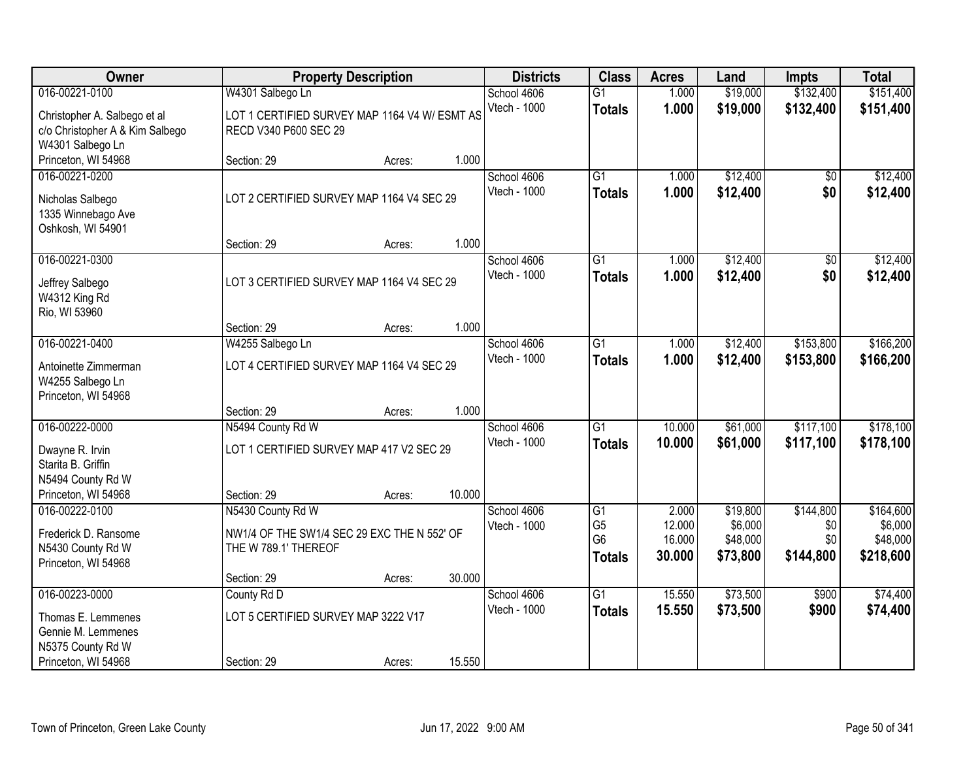| Owner                                    |                                                                     | <b>Property Description</b> |        |                             | <b>Class</b>    | <b>Acres</b> | Land     | <b>Impts</b>    | <b>Total</b> |
|------------------------------------------|---------------------------------------------------------------------|-----------------------------|--------|-----------------------------|-----------------|--------------|----------|-----------------|--------------|
| 016-00221-0100                           | W4301 Salbego Ln                                                    |                             |        | School 4606                 | $\overline{G1}$ | 1.000        | \$19,000 | \$132,400       | \$151,400    |
| Christopher A. Salbego et al             | LOT 1 CERTIFIED SURVEY MAP 1164 V4 W/ ESMT AS                       |                             |        | Vtech - 1000                | <b>Totals</b>   | 1.000        | \$19,000 | \$132,400       | \$151,400    |
| c/o Christopher A & Kim Salbego          | RECD V340 P600 SEC 29                                               |                             |        |                             |                 |              |          |                 |              |
| W4301 Salbego Ln                         |                                                                     |                             |        |                             |                 |              |          |                 |              |
| Princeton, WI 54968                      | Section: 29                                                         | Acres:                      | 1.000  |                             |                 |              |          |                 |              |
| 016-00221-0200                           |                                                                     |                             |        | School 4606                 | $\overline{G1}$ | 1.000        | \$12,400 | $\overline{50}$ | \$12,400     |
| Nicholas Salbego                         | LOT 2 CERTIFIED SURVEY MAP 1164 V4 SEC 29                           |                             |        | Vtech - 1000                | <b>Totals</b>   | 1.000        | \$12,400 | \$0             | \$12,400     |
| 1335 Winnebago Ave                       |                                                                     |                             |        |                             |                 |              |          |                 |              |
| Oshkosh, WI 54901                        |                                                                     |                             |        |                             |                 |              |          |                 |              |
|                                          | Section: 29                                                         | Acres:                      | 1.000  |                             |                 |              |          |                 |              |
| 016-00221-0300                           |                                                                     |                             |        | School 4606<br>Vtech - 1000 | $\overline{G1}$ | 1.000        | \$12,400 | \$0             | \$12,400     |
| Jeffrey Salbego                          | LOT 3 CERTIFIED SURVEY MAP 1164 V4 SEC 29                           |                             |        |                             | <b>Totals</b>   | 1.000        | \$12,400 | \$0             | \$12,400     |
| W4312 King Rd                            |                                                                     |                             |        |                             |                 |              |          |                 |              |
| Rio, WI 53960                            |                                                                     |                             |        |                             |                 |              |          |                 |              |
| 016-00221-0400                           | Section: 29                                                         | Acres:                      | 1.000  | School 4606                 | $\overline{G1}$ | 1.000        | \$12,400 | \$153,800       | \$166,200    |
|                                          | W4255 Salbego Ln                                                    |                             |        | Vtech - 1000                | <b>Totals</b>   | 1.000        | \$12,400 | \$153,800       | \$166,200    |
| Antoinette Zimmerman                     | LOT 4 CERTIFIED SURVEY MAP 1164 V4 SEC 29                           |                             |        |                             |                 |              |          |                 |              |
| W4255 Salbego Ln                         |                                                                     |                             |        |                             |                 |              |          |                 |              |
| Princeton, WI 54968                      |                                                                     |                             | 1.000  |                             |                 |              |          |                 |              |
| 016-00222-0000                           | Section: 29<br>N5494 County Rd W                                    | Acres:                      |        | School 4606                 | $\overline{G1}$ | 10.000       | \$61,000 | \$117,100       | \$178,100    |
|                                          |                                                                     |                             |        | <b>Vtech - 1000</b>         | <b>Totals</b>   | 10.000       | \$61,000 | \$117,100       | \$178,100    |
| Dwayne R. Irvin                          | LOT 1 CERTIFIED SURVEY MAP 417 V2 SEC 29                            |                             |        |                             |                 |              |          |                 |              |
| Starita B. Griffin                       |                                                                     |                             |        |                             |                 |              |          |                 |              |
| N5494 County Rd W<br>Princeton, WI 54968 | Section: 29                                                         | Acres:                      | 10.000 |                             |                 |              |          |                 |              |
| 016-00222-0100                           | N5430 County Rd W                                                   |                             |        | School 4606                 | $\overline{G1}$ | 2.000        | \$19,800 | \$144,800       | \$164,600    |
|                                          |                                                                     |                             |        | Vtech - 1000                | G <sub>5</sub>  | 12.000       | \$6,000  | \$0             | \$6,000      |
| Frederick D. Ransome                     | NW1/4 OF THE SW1/4 SEC 29 EXC THE N 552' OF<br>THE W 789.1' THEREOF |                             |        |                             | G <sub>6</sub>  | 16.000       | \$48,000 | \$0             | \$48,000     |
| N5430 County Rd W<br>Princeton, WI 54968 |                                                                     |                             |        |                             | <b>Totals</b>   | 30.000       | \$73,800 | \$144,800       | \$218,600    |
|                                          | Section: 29                                                         | Acres:                      | 30.000 |                             |                 |              |          |                 |              |
| 016-00223-0000                           | County Rd D                                                         |                             |        | School 4606                 | $\overline{G1}$ | 15.550       | \$73,500 | \$900           | \$74,400     |
|                                          | LOT 5 CERTIFIED SURVEY MAP 3222 V17                                 |                             |        | Vtech - 1000                | <b>Totals</b>   | 15.550       | \$73,500 | \$900           | \$74,400     |
| Thomas E. Lemmenes<br>Gennie M. Lemmenes |                                                                     |                             |        |                             |                 |              |          |                 |              |
| N5375 County Rd W                        |                                                                     |                             |        |                             |                 |              |          |                 |              |
| Princeton, WI 54968                      | Section: 29                                                         | Acres:                      | 15.550 |                             |                 |              |          |                 |              |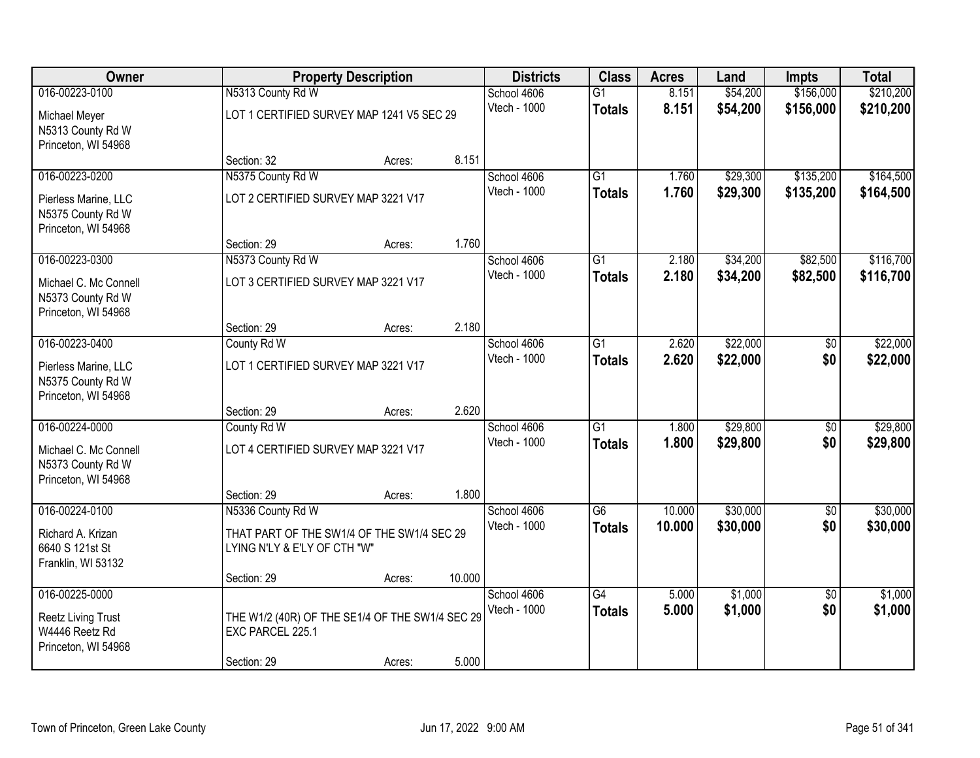| Owner                                                                                |                                                                                    | <b>Property Description</b> |                             |                                    | <b>Class</b>                     | <b>Acres</b>         | Land                   | <b>Impts</b>           | <b>Total</b>           |
|--------------------------------------------------------------------------------------|------------------------------------------------------------------------------------|-----------------------------|-----------------------------|------------------------------------|----------------------------------|----------------------|------------------------|------------------------|------------------------|
| 016-00223-0100<br>Michael Meyer<br>N5313 County Rd W                                 | N5313 County Rd W<br>LOT 1 CERTIFIED SURVEY MAP 1241 V5 SEC 29                     |                             | School 4606<br>Vtech - 1000 | $\overline{G1}$<br><b>Totals</b>   | 8.151<br>8.151                   | \$54,200<br>\$54,200 | \$156,000<br>\$156,000 | \$210,200<br>\$210,200 |                        |
| Princeton, WI 54968                                                                  | Section: 32                                                                        | Acres:                      | 8.151                       |                                    |                                  |                      |                        |                        |                        |
| 016-00223-0200<br>Pierless Marine, LLC<br>N5375 County Rd W<br>Princeton, WI 54968   | N5375 County Rd W<br>LOT 2 CERTIFIED SURVEY MAP 3221 V17                           |                             |                             | School 4606<br>Vtech - 1000        | $\overline{G1}$<br><b>Totals</b> | 1.760<br>1.760       | \$29,300<br>\$29,300   | \$135,200<br>\$135,200 | \$164,500<br>\$164,500 |
|                                                                                      | Section: 29                                                                        | Acres:                      | 1.760                       |                                    |                                  |                      |                        |                        |                        |
| 016-00223-0300<br>Michael C. Mc Connell<br>N5373 County Rd W<br>Princeton, WI 54968  | N5373 County Rd W<br>LOT 3 CERTIFIED SURVEY MAP 3221 V17                           |                             |                             | School 4606<br>Vtech - 1000        | G1<br><b>Totals</b>              | 2.180<br>2.180       | \$34,200<br>\$34,200   | \$82,500<br>\$82,500   | \$116,700<br>\$116,700 |
|                                                                                      | Section: 29                                                                        | Acres:                      | 2.180                       |                                    |                                  |                      |                        |                        |                        |
| 016-00223-0400<br>Pierless Marine, LLC<br>N5375 County Rd W<br>Princeton, WI 54968   | County Rd W<br>LOT 1 CERTIFIED SURVEY MAP 3221 V17                                 |                             |                             | School 4606<br><b>Vtech - 1000</b> | G1<br><b>Totals</b>              | 2.620<br>2.620       | \$22,000<br>\$22,000   | \$0<br>\$0             | \$22,000<br>\$22,000   |
|                                                                                      | Section: 29                                                                        | Acres:                      | 2.620                       |                                    |                                  |                      |                        |                        |                        |
| 016-00224-0000<br>Michael C. Mc Connell<br>N5373 County Rd W<br>Princeton, WI 54968  | County Rd W<br>LOT 4 CERTIFIED SURVEY MAP 3221 V17                                 |                             |                             | School 4606<br>Vtech - 1000        | $\overline{G1}$<br><b>Totals</b> | 1.800<br>1.800       | \$29,800<br>\$29,800   | $\overline{50}$<br>\$0 | \$29,800<br>\$29,800   |
| 016-00224-0100                                                                       | Section: 29<br>N5336 County Rd W                                                   | Acres:                      | 1.800                       | School 4606                        | $\overline{G6}$                  | 10.000               | \$30,000               | $\overline{60}$        | \$30,000               |
| Richard A. Krizan<br>6640 S 121st St<br>Franklin, WI 53132                           | THAT PART OF THE SW1/4 OF THE SW1/4 SEC 29<br>LYING N'LY & E'LY OF CTH "W"         |                             |                             | Vtech - 1000                       | <b>Totals</b>                    | 10.000               | \$30,000               | \$0                    | \$30,000               |
|                                                                                      | Section: 29                                                                        | Acres:                      | 10.000                      |                                    |                                  |                      |                        |                        |                        |
| 016-00225-0000<br><b>Reetz Living Trust</b><br>W4446 Reetz Rd<br>Princeton, WI 54968 | THE W1/2 (40R) OF THE SE1/4 OF THE SW1/4 SEC 29<br>EXC PARCEL 225.1<br>Section: 29 |                             | 5.000                       | School 4606<br>Vtech - 1000        | $\overline{G4}$<br><b>Totals</b> | 5.000<br>5.000       | \$1,000<br>\$1,000     | $\overline{50}$<br>\$0 | \$1,000<br>\$1,000     |
|                                                                                      |                                                                                    | Acres:                      |                             |                                    |                                  |                      |                        |                        |                        |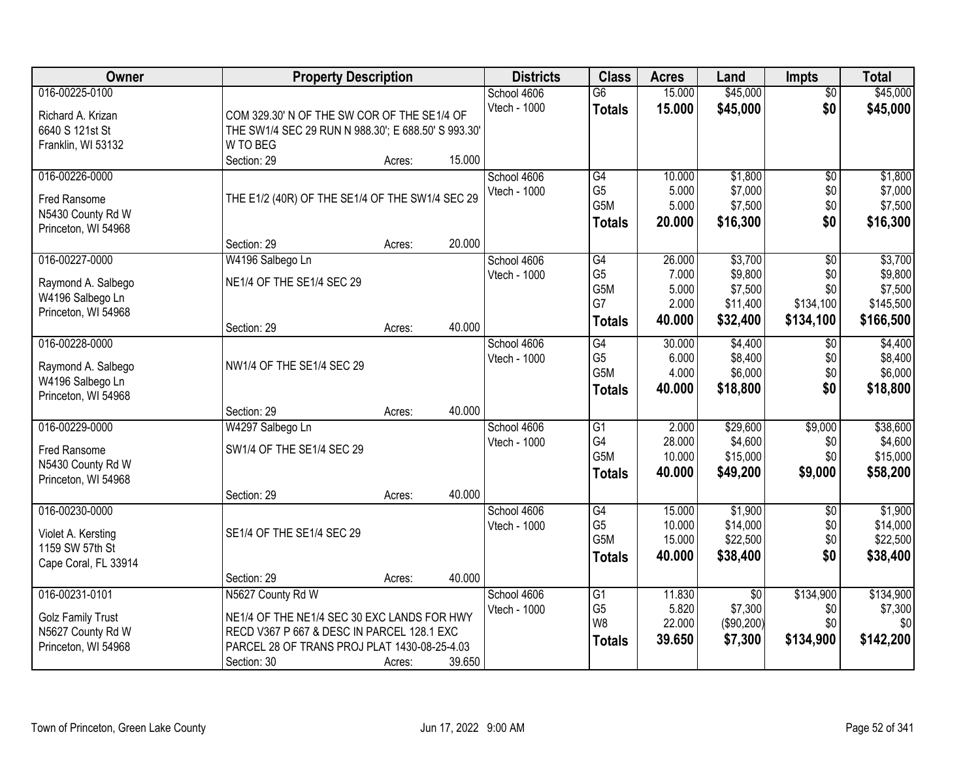| <b>Owner</b>                            | <b>Property Description</b>                                                                |        |        | <b>Districts</b> | <b>Class</b>                       | <b>Acres</b>   | Land                | <b>Impts</b>     | <b>Total</b>         |
|-----------------------------------------|--------------------------------------------------------------------------------------------|--------|--------|------------------|------------------------------------|----------------|---------------------|------------------|----------------------|
| 016-00225-0100                          |                                                                                            |        |        | School 4606      | $\overline{G6}$                    | 15.000         | \$45,000            | $\overline{50}$  | \$45,000             |
| Richard A. Krizan                       | COM 329.30' N OF THE SW COR OF THE SE1/4 OF                                                |        |        | Vtech - 1000     | <b>Totals</b>                      | 15.000         | \$45,000            | \$0              | \$45,000             |
| 6640 S 121st St                         | THE SW1/4 SEC 29 RUN N 988.30'; E 688.50' S 993.30'                                        |        |        |                  |                                    |                |                     |                  |                      |
| Franklin, WI 53132                      | W TO BEG                                                                                   |        |        |                  |                                    |                |                     |                  |                      |
|                                         | Section: 29                                                                                | Acres: | 15.000 |                  |                                    |                |                     |                  |                      |
| 016-00226-0000                          |                                                                                            |        |        | School 4606      | G4                                 | 10.000         | \$1,800             | $\overline{50}$  | \$1,800              |
|                                         |                                                                                            |        |        | Vtech - 1000     | G <sub>5</sub>                     | 5.000          | \$7,000             | \$0              | \$7,000              |
| Fred Ransome                            | THE E1/2 (40R) OF THE SE1/4 OF THE SW1/4 SEC 29                                            |        |        |                  | G5M                                | 5.000          | \$7,500             | \$0              | \$7,500              |
| N5430 County Rd W                       |                                                                                            |        |        |                  | <b>Totals</b>                      | 20.000         | \$16,300            | \$0              | \$16,300             |
| Princeton, WI 54968                     |                                                                                            |        |        |                  |                                    |                |                     |                  |                      |
|                                         | Section: 29                                                                                | Acres: | 20.000 |                  |                                    |                |                     |                  |                      |
| 016-00227-0000                          | W4196 Salbego Ln                                                                           |        |        | School 4606      | $\overline{G4}$                    | 26.000         | \$3,700             | $\overline{50}$  | \$3,700              |
| Raymond A. Salbego                      | NE1/4 OF THE SE1/4 SEC 29                                                                  |        |        | Vtech - 1000     | G <sub>5</sub><br>G <sub>5</sub> M | 7.000          | \$9,800             | \$0              | \$9,800              |
| W4196 Salbego Ln                        |                                                                                            |        |        |                  | G7                                 | 5.000<br>2.000 | \$7,500<br>\$11,400 | \$0<br>\$134,100 | \$7,500<br>\$145,500 |
| Princeton, WI 54968                     |                                                                                            |        |        |                  |                                    |                |                     |                  |                      |
|                                         | Section: 29                                                                                | Acres: | 40.000 |                  | <b>Totals</b>                      | 40.000         | \$32,400            | \$134,100        | \$166,500            |
| 016-00228-0000                          |                                                                                            |        |        | School 4606      | G4                                 | 30.000         | \$4,400             | \$0              | \$4,400              |
|                                         |                                                                                            |        |        | Vtech - 1000     | G <sub>5</sub>                     | 6.000          | \$8,400             | \$0              | \$8,400              |
| Raymond A. Salbego                      | NW1/4 OF THE SE1/4 SEC 29                                                                  |        |        |                  | G5M                                | 4.000          | \$6,000             | \$0              | \$6,000              |
| W4196 Salbego Ln<br>Princeton, WI 54968 |                                                                                            |        |        |                  | <b>Totals</b>                      | 40.000         | \$18,800            | \$0              | \$18,800             |
|                                         | Section: 29                                                                                | Acres: | 40.000 |                  |                                    |                |                     |                  |                      |
| 016-00229-0000                          | W4297 Salbego Ln                                                                           |        |        | School 4606      | $\overline{G1}$                    | 2.000          | \$29,600            | \$9,000          | \$38,600             |
|                                         |                                                                                            |        |        | Vtech - 1000     | G4                                 | 28.000         | \$4,600             | \$0              | \$4,600              |
| Fred Ransome                            | SW1/4 OF THE SE1/4 SEC 29                                                                  |        |        |                  | G5M                                | 10.000         | \$15,000            | \$0              | \$15,000             |
| N5430 County Rd W                       |                                                                                            |        |        |                  |                                    | 40.000         | \$49,200            | \$9,000          | \$58,200             |
| Princeton, WI 54968                     |                                                                                            |        |        |                  | <b>Totals</b>                      |                |                     |                  |                      |
|                                         | Section: 29                                                                                | Acres: | 40.000 |                  |                                    |                |                     |                  |                      |
| 016-00230-0000                          |                                                                                            |        |        | School 4606      | $\overline{G4}$                    | 15.000         | \$1,900             | $\overline{50}$  | \$1,900              |
| Violet A. Kersting                      | SE1/4 OF THE SE1/4 SEC 29                                                                  |        |        | Vtech - 1000     | G <sub>5</sub>                     | 10.000         | \$14,000            | \$0              | \$14,000             |
| 1159 SW 57th St                         |                                                                                            |        |        |                  | G <sub>5</sub> M                   | 15.000         | \$22,500            | \$0              | \$22,500             |
| Cape Coral, FL 33914                    |                                                                                            |        |        |                  | <b>Totals</b>                      | 40.000         | \$38,400            | \$0              | \$38,400             |
|                                         | Section: 29                                                                                | Acres: | 40.000 |                  |                                    |                |                     |                  |                      |
| 016-00231-0101                          | N5627 County Rd W                                                                          |        |        | School 4606      | G1                                 | 11.830         | $\overline{50}$     | \$134,900        | \$134,900            |
|                                         |                                                                                            |        |        | Vtech - 1000     | G <sub>5</sub>                     | 5.820          | \$7,300             | \$0              | \$7,300              |
| <b>Golz Family Trust</b>                | NE1/4 OF THE NE1/4 SEC 30 EXC LANDS FOR HWY                                                |        |        |                  | W <sub>8</sub>                     | 22.000         | (\$90,200)          | \$0              | \$0                  |
| N5627 County Rd W                       | RECD V367 P 667 & DESC IN PARCEL 128.1 EXC<br>PARCEL 28 OF TRANS PROJ PLAT 1430-08-25-4.03 |        |        |                  | <b>Totals</b>                      | 39.650         | \$7,300             | \$134,900        | \$142,200            |
| Princeton, WI 54968                     |                                                                                            |        |        |                  |                                    |                |                     |                  |                      |
|                                         | Section: 30                                                                                | Acres: | 39.650 |                  |                                    |                |                     |                  |                      |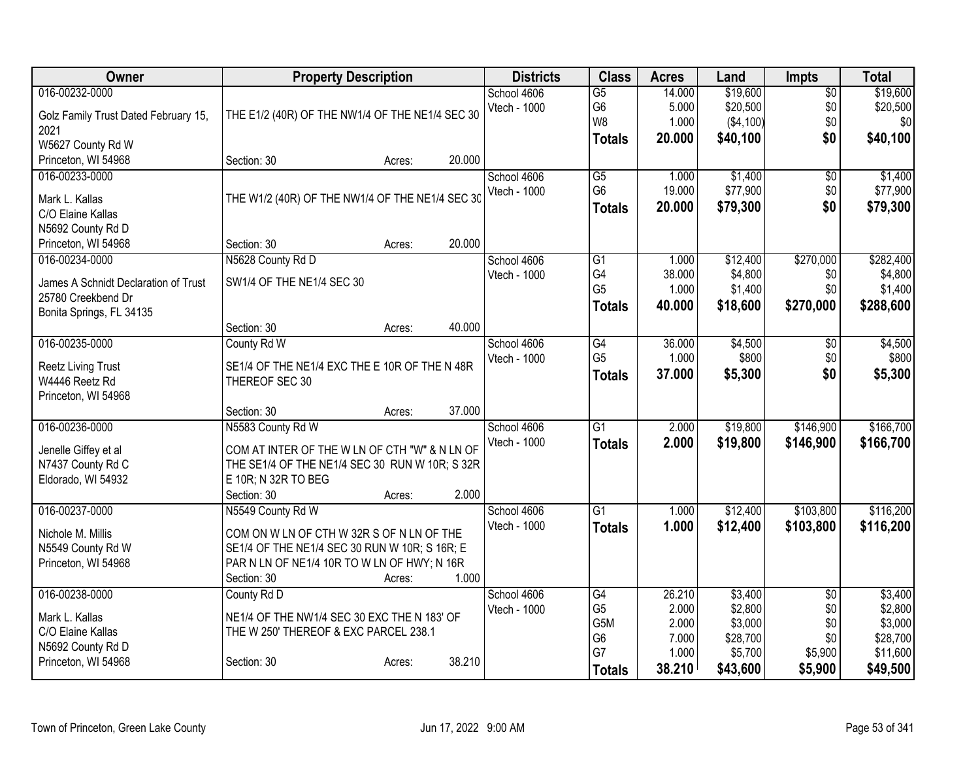| Owner                                  | <b>Property Description</b>                                                                |        | <b>Districts</b> | <b>Class</b> | <b>Acres</b>    | Land   | <b>Impts</b> | <b>Total</b>    |           |
|----------------------------------------|--------------------------------------------------------------------------------------------|--------|------------------|--------------|-----------------|--------|--------------|-----------------|-----------|
| 016-00232-0000                         |                                                                                            |        |                  | School 4606  | $\overline{G5}$ | 14.000 | \$19,600     | $\overline{50}$ | \$19,600  |
| Golz Family Trust Dated February 15,   | THE E1/2 (40R) OF THE NW1/4 OF THE NE1/4 SEC 30                                            |        |                  | Vtech - 1000 | G <sub>6</sub>  | 5.000  | \$20,500     | \$0             | \$20,500  |
| 2021                                   |                                                                                            |        |                  |              | W8              | 1.000  | (\$4,100)    | \$0             | \$0       |
| W5627 County Rd W                      |                                                                                            |        |                  |              | <b>Totals</b>   | 20.000 | \$40,100     | \$0             | \$40,100  |
| Princeton, WI 54968                    | Section: 30                                                                                | Acres: | 20.000           |              |                 |        |              |                 |           |
| 016-00233-0000                         |                                                                                            |        |                  | School 4606  | $\overline{G5}$ | 1.000  | \$1,400      | $\overline{50}$ | \$1,400   |
|                                        | THE W1/2 (40R) OF THE NW1/4 OF THE NE1/4 SEC 30                                            |        |                  | Vtech - 1000 | G <sub>6</sub>  | 19.000 | \$77,900     | \$0             | \$77,900  |
| Mark L. Kallas<br>C/O Elaine Kallas    |                                                                                            |        |                  |              | <b>Totals</b>   | 20.000 | \$79,300     | \$0             | \$79,300  |
| N5692 County Rd D                      |                                                                                            |        |                  |              |                 |        |              |                 |           |
| Princeton, WI 54968                    | Section: 30                                                                                | Acres: | 20.000           |              |                 |        |              |                 |           |
| 016-00234-0000                         | N5628 County Rd D                                                                          |        |                  | School 4606  | $\overline{G1}$ | 1.000  | \$12,400     | \$270,000       | \$282,400 |
|                                        |                                                                                            |        |                  | Vtech - 1000 | G4              | 38.000 | \$4,800      | \$0             | \$4,800   |
| James A Schnidt Declaration of Trust   | SW1/4 OF THE NE1/4 SEC 30                                                                  |        |                  |              | G <sub>5</sub>  | 1.000  | \$1,400      | \$0             | \$1,400   |
| 25780 Creekbend Dr                     |                                                                                            |        |                  |              | <b>Totals</b>   | 40.000 | \$18,600     | \$270,000       | \$288,600 |
| Bonita Springs, FL 34135               |                                                                                            |        |                  |              |                 |        |              |                 |           |
|                                        | Section: 30                                                                                | Acres: | 40.000           |              |                 |        |              |                 |           |
| 016-00235-0000                         | County Rd W                                                                                |        |                  | School 4606  | $\overline{G4}$ | 36.000 | \$4,500      | \$0             | \$4,500   |
| <b>Reetz Living Trust</b>              | SE1/4 OF THE NE1/4 EXC THE E 10R OF THE N 48R                                              |        |                  | Vtech - 1000 | G <sub>5</sub>  | 1.000  | \$800        | \$0             | \$800     |
| W4446 Reetz Rd                         | THEREOF SEC 30                                                                             |        |                  |              | <b>Totals</b>   | 37.000 | \$5,300      | \$0             | \$5,300   |
| Princeton, WI 54968                    |                                                                                            |        |                  |              |                 |        |              |                 |           |
|                                        | Section: 30                                                                                | Acres: | 37.000           |              |                 |        |              |                 |           |
| 016-00236-0000                         | N5583 County Rd W                                                                          |        |                  | School 4606  | $\overline{G1}$ | 2.000  | \$19,800     | \$146,900       | \$166,700 |
| Jenelle Giffey et al                   | COM AT INTER OF THE W LN OF CTH "W" & N LN OF                                              |        |                  | Vtech - 1000 | <b>Totals</b>   | 2.000  | \$19,800     | \$146,900       | \$166,700 |
| N7437 County Rd C                      | THE SE1/4 OF THE NE1/4 SEC 30 RUN W 10R; S 32R                                             |        |                  |              |                 |        |              |                 |           |
| Eldorado, WI 54932                     | E 10R; N 32R TO BEG                                                                        |        |                  |              |                 |        |              |                 |           |
|                                        | Section: 30                                                                                | Acres: | 2.000            |              |                 |        |              |                 |           |
| 016-00237-0000                         | N5549 County Rd W                                                                          |        |                  | School 4606  | $\overline{G1}$ | 1.000  | \$12,400     | \$103,800       | \$116,200 |
|                                        |                                                                                            |        |                  | Vtech - 1000 | <b>Totals</b>   | 1.000  | \$12,400     | \$103,800       | \$116,200 |
| Nichole M. Millis<br>N5549 County Rd W | COM ON W LN OF CTH W 32R S OF N LN OF THE<br>SE1/4 OF THE NE1/4 SEC 30 RUN W 10R; S 16R; E |        |                  |              |                 |        |              |                 |           |
| Princeton, WI 54968                    | PAR N LN OF NE1/4 10R TO W LN OF HWY; N 16R                                                |        |                  |              |                 |        |              |                 |           |
|                                        | Section: 30                                                                                | Acres: | 1.000            |              |                 |        |              |                 |           |
| 016-00238-0000                         | County Rd D                                                                                |        |                  | School 4606  | G4              | 26.210 | \$3,400      | $\overline{50}$ | \$3,400   |
|                                        |                                                                                            |        |                  | Vtech - 1000 | G <sub>5</sub>  | 2.000  | \$2,800      | \$0             | \$2,800   |
| Mark L. Kallas                         | NE1/4 OF THE NW1/4 SEC 30 EXC THE N 183' OF                                                |        |                  |              | G5M             | 2.000  | \$3,000      | \$0             | \$3,000   |
| C/O Elaine Kallas                      | THE W 250' THEREOF & EXC PARCEL 238.1                                                      |        |                  |              | G <sub>6</sub>  | 7.000  | \$28,700     | \$0             | \$28,700  |
| N5692 County Rd D                      |                                                                                            |        | 38.210           |              | G7              | 1.000  | \$5,700      | \$5,900         | \$11,600  |
| Princeton, WI 54968                    | Section: 30                                                                                | Acres: |                  |              | <b>Totals</b>   | 38.210 | \$43,600     | \$5,900         | \$49,500  |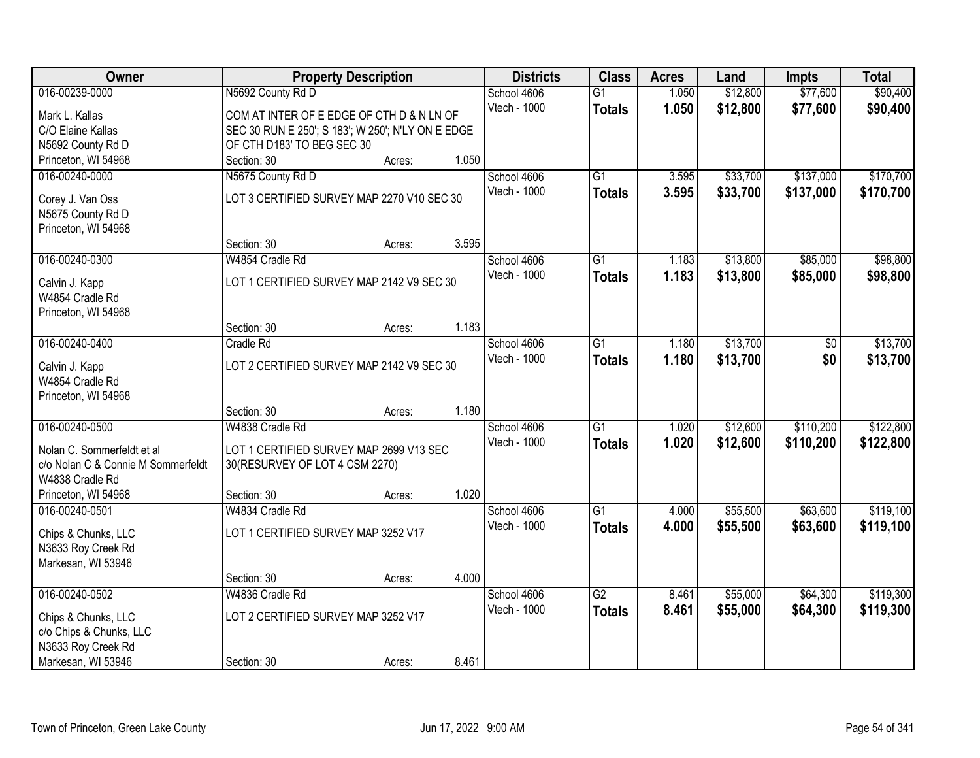| Owner                              |                                                   | <b>Property Description</b> |       | <b>Districts</b>    | <b>Class</b>    | <b>Acres</b> | Land     | <b>Impts</b> | <b>Total</b> |
|------------------------------------|---------------------------------------------------|-----------------------------|-------|---------------------|-----------------|--------------|----------|--------------|--------------|
| 016-00239-0000                     | N5692 County Rd D                                 |                             |       | School 4606         | $\overline{G1}$ | 1.050        | \$12,800 | \$77,600     | \$90,400     |
| Mark L. Kallas                     | COM AT INTER OF E EDGE OF CTH D & N LN OF         |                             |       | Vtech - 1000        | <b>Totals</b>   | 1.050        | \$12,800 | \$77,600     | \$90,400     |
| C/O Elaine Kallas                  | SEC 30 RUN E 250'; S 183'; W 250'; N'LY ON E EDGE |                             |       |                     |                 |              |          |              |              |
| N5692 County Rd D                  | OF CTH D183' TO BEG SEC 30                        |                             |       |                     |                 |              |          |              |              |
| Princeton, WI 54968                | Section: 30                                       | Acres:                      | 1.050 |                     |                 |              |          |              |              |
| 016-00240-0000                     | N5675 County Rd D                                 |                             |       | School 4606         | $\overline{G1}$ | 3.595        | \$33,700 | \$137,000    | \$170,700    |
|                                    |                                                   |                             |       | Vtech - 1000        | <b>Totals</b>   | 3.595        | \$33,700 | \$137,000    | \$170,700    |
| Corey J. Van Oss                   | LOT 3 CERTIFIED SURVEY MAP 2270 V10 SEC 30        |                             |       |                     |                 |              |          |              |              |
| N5675 County Rd D                  |                                                   |                             |       |                     |                 |              |          |              |              |
| Princeton, WI 54968                |                                                   |                             |       |                     |                 |              |          |              |              |
|                                    | Section: 30                                       | Acres:                      | 3.595 |                     |                 |              |          |              |              |
| 016-00240-0300                     | W4854 Cradle Rd                                   |                             |       | School 4606         | G1              | 1.183        | \$13,800 | \$85,000     | \$98,800     |
| Calvin J. Kapp                     | LOT 1 CERTIFIED SURVEY MAP 2142 V9 SEC 30         |                             |       | Vtech - 1000        | <b>Totals</b>   | 1.183        | \$13,800 | \$85,000     | \$98,800     |
| W4854 Cradle Rd                    |                                                   |                             |       |                     |                 |              |          |              |              |
| Princeton, WI 54968                |                                                   |                             |       |                     |                 |              |          |              |              |
|                                    | Section: 30                                       | Acres:                      | 1.183 |                     |                 |              |          |              |              |
| 016-00240-0400                     | Cradle Rd                                         |                             |       | School 4606         | G1              | 1.180        | \$13,700 | \$0          | \$13,700     |
|                                    |                                                   |                             |       | <b>Vtech - 1000</b> | <b>Totals</b>   | 1.180        | \$13,700 | \$0          | \$13,700     |
| Calvin J. Kapp                     | LOT 2 CERTIFIED SURVEY MAP 2142 V9 SEC 30         |                             |       |                     |                 |              |          |              |              |
| W4854 Cradle Rd                    |                                                   |                             |       |                     |                 |              |          |              |              |
| Princeton, WI 54968                |                                                   |                             |       |                     |                 |              |          |              |              |
|                                    | Section: 30                                       | Acres:                      | 1.180 |                     |                 |              |          |              |              |
| 016-00240-0500                     | W4838 Cradle Rd                                   |                             |       | School 4606         | $\overline{G1}$ | 1.020        | \$12,600 | \$110,200    | \$122,800    |
| Nolan C. Sommerfeldt et al         | LOT 1 CERTIFIED SURVEY MAP 2699 V13 SEC           |                             |       | Vtech - 1000        | <b>Totals</b>   | 1.020        | \$12,600 | \$110,200    | \$122,800    |
| c/o Nolan C & Connie M Sommerfeldt | 30(RESURVEY OF LOT 4 CSM 2270)                    |                             |       |                     |                 |              |          |              |              |
| W4838 Cradle Rd                    |                                                   |                             |       |                     |                 |              |          |              |              |
| Princeton, WI 54968                | Section: 30                                       | Acres:                      | 1.020 |                     |                 |              |          |              |              |
| 016-00240-0501                     | W4834 Cradle Rd                                   |                             |       | School 4606         | $\overline{G1}$ | 4.000        | \$55,500 | \$63,600     | \$119,100    |
|                                    |                                                   |                             |       | Vtech - 1000        | <b>Totals</b>   | 4.000        | \$55,500 | \$63,600     | \$119,100    |
| Chips & Chunks, LLC                | LOT 1 CERTIFIED SURVEY MAP 3252 V17               |                             |       |                     |                 |              |          |              |              |
| N3633 Roy Creek Rd                 |                                                   |                             |       |                     |                 |              |          |              |              |
| Markesan, WI 53946                 |                                                   |                             | 4.000 |                     |                 |              |          |              |              |
| 016-00240-0502                     | Section: 30<br>W4836 Cradle Rd                    | Acres:                      |       |                     | $\overline{G2}$ |              |          |              |              |
|                                    |                                                   |                             |       | School 4606         |                 | 8.461        | \$55,000 | \$64,300     | \$119,300    |
| Chips & Chunks, LLC                | LOT 2 CERTIFIED SURVEY MAP 3252 V17               |                             |       | Vtech - 1000        | <b>Totals</b>   | 8.461        | \$55,000 | \$64,300     | \$119,300    |
| c/o Chips & Chunks, LLC            |                                                   |                             |       |                     |                 |              |          |              |              |
| N3633 Roy Creek Rd                 |                                                   |                             |       |                     |                 |              |          |              |              |
| Markesan, WI 53946                 | Section: 30                                       | Acres:                      | 8.461 |                     |                 |              |          |              |              |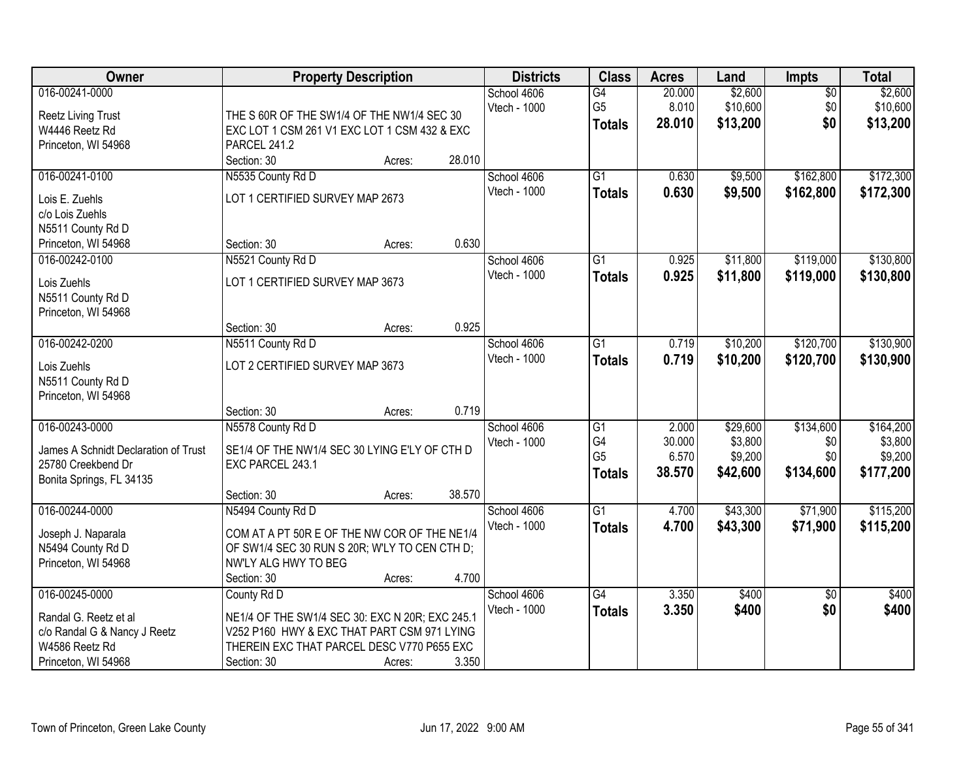| <b>Class</b><br><b>Owner</b><br><b>Property Description</b><br><b>Districts</b><br>Impts<br><b>Acres</b><br>Land                      | <b>Total</b> |
|---------------------------------------------------------------------------------------------------------------------------------------|--------------|
| 016-00241-0000<br>\$2,600<br>School 4606<br>20.000<br>$\overline{50}$<br>G4                                                           | \$2,600      |
| 8.010<br>\$10,600<br>\$0<br>Vtech - 1000<br>G <sub>5</sub><br><b>Reetz Living Trust</b><br>THE S 60R OF THE SW1/4 OF THE NW1/4 SEC 30 | \$10,600     |
| \$0<br>28.010<br>\$13,200<br><b>Totals</b><br>W4446 Reetz Rd<br>EXC LOT 1 CSM 261 V1 EXC LOT 1 CSM 432 & EXC                          | \$13,200     |
| Princeton, WI 54968<br><b>PARCEL 241.2</b>                                                                                            |              |
| 28.010<br>Section: 30<br>Acres:                                                                                                       |              |
| N5535 County Rd D<br>$\overline{G1}$<br>\$9,500<br>\$162,800<br>016-00241-0100<br>School 4606<br>0.630                                | \$172,300    |
| 0.630<br>Vtech - 1000<br>\$9,500<br>\$162,800<br><b>Totals</b><br>LOT 1 CERTIFIED SURVEY MAP 2673<br>Lois E. Zuehls                   | \$172,300    |
| c/o Lois Zuehls                                                                                                                       |              |
| N5511 County Rd D                                                                                                                     |              |
| 0.630<br>Princeton, WI 54968<br>Section: 30<br>Acres:                                                                                 |              |
| \$119,000<br>016-00242-0100<br>N5521 County Rd D<br>$\overline{G1}$<br>0.925<br>\$11,800<br>School 4606                               | \$130,800    |
| Vtech - 1000<br>\$11,800<br>0.925<br>\$119,000<br><b>Totals</b>                                                                       | \$130,800    |
| LOT 1 CERTIFIED SURVEY MAP 3673<br>Lois Zuehls                                                                                        |              |
| N5511 County Rd D                                                                                                                     |              |
| Princeton, WI 54968                                                                                                                   |              |
| 0.925<br>Section: 30<br>Acres:                                                                                                        |              |
| 016-00242-0200<br>N5511 County Rd D<br>$\overline{G1}$<br>\$10,200<br>\$120,700<br>School 4606<br>0.719                               | \$130,900    |
| Vtech - 1000<br>0.719<br>\$10,200<br>\$120,700<br><b>Totals</b><br>LOT 2 CERTIFIED SURVEY MAP 3673<br>Lois Zuehls                     | \$130,900    |
| N5511 County Rd D                                                                                                                     |              |
| Princeton, WI 54968                                                                                                                   |              |
| 0.719<br>Section: 30<br>Acres:                                                                                                        |              |
| 016-00243-0000<br>N5578 County Rd D<br>$\overline{G1}$<br>2.000<br>\$29,600<br>\$134,600<br>School 4606                               | \$164,200    |
| G4<br>30.000<br>\$3,800<br>\$0<br>Vtech - 1000                                                                                        | \$3,800      |
| SE1/4 OF THE NW1/4 SEC 30 LYING E'LY OF CTH D<br>James A Schnidt Declaration of Trust<br>G <sub>5</sub><br>6.570<br>\$9,200<br>\$0    | \$9,200      |
| 25780 Creekbend Dr<br>EXC PARCEL 243.1<br>38.570<br>\$134,600<br>\$42,600<br><b>Totals</b>                                            | \$177,200    |
| Bonita Springs, FL 34135                                                                                                              |              |
| 38.570<br>Section: 30<br>Acres:                                                                                                       |              |
| $\overline{G1}$<br>\$71,900<br>016-00244-0000<br>N5494 County Rd D<br>School 4606<br>4.700<br>\$43,300                                | \$115,200    |
| Vtech - 1000<br>4.700<br>\$43,300<br>\$71,900<br><b>Totals</b><br>COM AT A PT 50R E OF THE NW COR OF THE NE1/4<br>Joseph J. Naparala  | \$115,200    |
| N5494 County Rd D<br>OF SW1/4 SEC 30 RUN S 20R; W'LY TO CEN CTH D;                                                                    |              |
| Princeton, WI 54968<br>NW'LY ALG HWY TO BEG                                                                                           |              |
| 4.700<br>Section: 30<br>Acres:                                                                                                        |              |
| 016-00245-0000<br>County Rd D<br>School 4606<br>G4<br>3.350<br>\$400<br>$\overline{50}$                                               | \$400        |
| Vtech - 1000<br>3.350<br>\$400<br>\$0<br><b>Totals</b><br>Randal G. Reetz et al<br>NE1/4 OF THE SW1/4 SEC 30: EXC N 20R; EXC 245.1    | \$400        |
| V252 P160 HWY & EXC THAT PART CSM 971 LYING<br>c/o Randal G & Nancy J Reetz                                                           |              |
| THEREIN EXC THAT PARCEL DESC V770 P655 EXC<br>W4586 Reetz Rd                                                                          |              |
| Princeton, WI 54968<br>3.350<br>Section: 30<br>Acres:                                                                                 |              |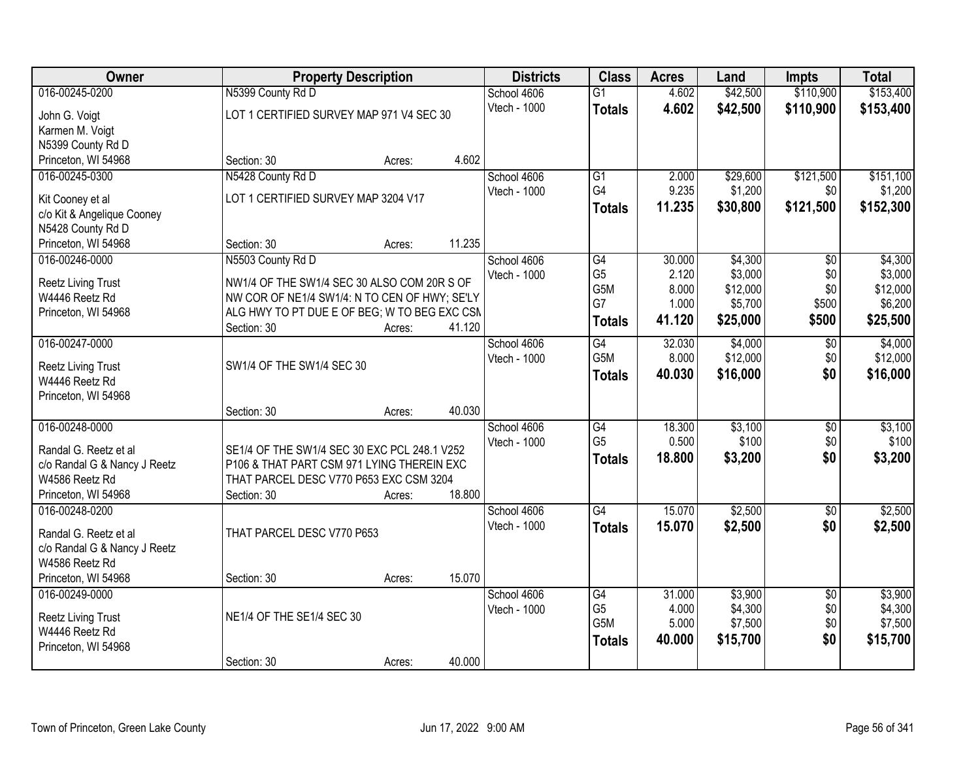| Owner                                          | <b>Property Description</b>                                                                | <b>Districts</b> | <b>Class</b> | <b>Acres</b>     | Land   | <b>Impts</b> | <b>Total</b>    |           |
|------------------------------------------------|--------------------------------------------------------------------------------------------|------------------|--------------|------------------|--------|--------------|-----------------|-----------|
| 016-00245-0200                                 | N5399 County Rd D                                                                          |                  | School 4606  | $\overline{G1}$  | 4.602  | \$42,500     | \$110,900       | \$153,400 |
| John G. Voigt                                  | LOT 1 CERTIFIED SURVEY MAP 971 V4 SEC 30                                                   |                  | Vtech - 1000 | <b>Totals</b>    | 4.602  | \$42,500     | \$110,900       | \$153,400 |
| Karmen M. Voigt                                |                                                                                            |                  |              |                  |        |              |                 |           |
| N5399 County Rd D                              |                                                                                            |                  |              |                  |        |              |                 |           |
| Princeton, WI 54968                            | Section: 30                                                                                | Acres:           | 4.602        |                  |        |              |                 |           |
| 016-00245-0300                                 | N5428 County Rd D                                                                          |                  | School 4606  | $\overline{G1}$  | 2.000  | \$29,600     | \$121,500       | \$151,100 |
| Kit Cooney et al                               | LOT 1 CERTIFIED SURVEY MAP 3204 V17                                                        |                  | Vtech - 1000 | G4               | 9.235  | \$1,200      | \$0             | \$1,200   |
| c/o Kit & Angelique Cooney                     |                                                                                            |                  |              | <b>Totals</b>    | 11.235 | \$30,800     | \$121,500       | \$152,300 |
| N5428 County Rd D                              |                                                                                            |                  |              |                  |        |              |                 |           |
| Princeton, WI 54968                            | Section: 30                                                                                | Acres:           | 11.235       |                  |        |              |                 |           |
| 016-00246-0000                                 | N5503 County Rd D                                                                          |                  | School 4606  | $\overline{G4}$  | 30.000 | \$4,300      | $\overline{50}$ | \$4,300   |
|                                                | NW1/4 OF THE SW1/4 SEC 30 ALSO COM 20R S OF                                                |                  | Vtech - 1000 | G <sub>5</sub>   | 2.120  | \$3,000      | \$0             | \$3,000   |
| <b>Reetz Living Trust</b><br>W4446 Reetz Rd    | NW COR OF NE1/4 SW1/4: N TO CEN OF HWY; SE'LY                                              |                  |              | G <sub>5</sub> M | 8.000  | \$12,000     | \$0             | \$12,000  |
| Princeton, WI 54968                            | ALG HWY TO PT DUE E OF BEG; W TO BEG EXC CSN                                               |                  |              | G7               | 1.000  | \$5,700      | \$500           | \$6,200   |
|                                                | Section: 30                                                                                | Acres:           | 41.120       | <b>Totals</b>    | 41.120 | \$25,000     | \$500           | \$25,500  |
| 016-00247-0000                                 |                                                                                            |                  | School 4606  | G4               | 32.030 | \$4,000      | \$0             | \$4,000   |
|                                                |                                                                                            |                  | Vtech - 1000 | G5M              | 8.000  | \$12,000     | \$0             | \$12,000  |
| <b>Reetz Living Trust</b><br>W4446 Reetz Rd    | SW1/4 OF THE SW1/4 SEC 30                                                                  |                  |              | <b>Totals</b>    | 40.030 | \$16,000     | \$0             | \$16,000  |
| Princeton, WI 54968                            |                                                                                            |                  |              |                  |        |              |                 |           |
|                                                | Section: 30                                                                                | Acres:           | 40.030       |                  |        |              |                 |           |
| 016-00248-0000                                 |                                                                                            |                  | School 4606  | $\overline{G4}$  | 18.300 | \$3,100      | $\overline{30}$ | \$3,100   |
|                                                |                                                                                            |                  | Vtech - 1000 | G <sub>5</sub>   | 0.500  | \$100        | \$0             | \$100     |
| Randal G. Reetz et al                          | SE1/4 OF THE SW1/4 SEC 30 EXC PCL 248.1 V252<br>P106 & THAT PART CSM 971 LYING THEREIN EXC |                  |              | <b>Totals</b>    | 18,800 | \$3,200      | \$0             | \$3,200   |
| c/o Randal G & Nancy J Reetz<br>W4586 Reetz Rd | THAT PARCEL DESC V770 P653 EXC CSM 3204                                                    |                  |              |                  |        |              |                 |           |
| Princeton, WI 54968                            | Section: 30                                                                                | Acres:           | 18.800       |                  |        |              |                 |           |
| 016-00248-0200                                 |                                                                                            |                  | School 4606  | G4               | 15.070 | \$2,500      | $\sqrt{$0}$     | \$2,500   |
|                                                |                                                                                            |                  | Vtech - 1000 | <b>Totals</b>    | 15.070 | \$2,500      | \$0             | \$2,500   |
| Randal G. Reetz et al                          | THAT PARCEL DESC V770 P653                                                                 |                  |              |                  |        |              |                 |           |
| c/o Randal G & Nancy J Reetz                   |                                                                                            |                  |              |                  |        |              |                 |           |
| W4586 Reetz Rd<br>Princeton, WI 54968          | Section: 30                                                                                | Acres:           | 15.070       |                  |        |              |                 |           |
| 016-00249-0000                                 |                                                                                            |                  | School 4606  | G4               | 31.000 | \$3,900      | $\overline{50}$ | \$3,900   |
|                                                |                                                                                            |                  | Vtech - 1000 | G <sub>5</sub>   | 4.000  | \$4,300      | \$0             | \$4,300   |
| <b>Reetz Living Trust</b>                      | NE1/4 OF THE SE1/4 SEC 30                                                                  |                  |              | G <sub>5</sub> M | 5.000  | \$7,500      | \$0             | \$7,500   |
| W4446 Reetz Rd                                 |                                                                                            |                  |              | <b>Totals</b>    | 40.000 | \$15,700     | \$0             | \$15,700  |
| Princeton, WI 54968                            |                                                                                            |                  |              |                  |        |              |                 |           |
|                                                | Section: 30                                                                                | Acres:           | 40.000       |                  |        |              |                 |           |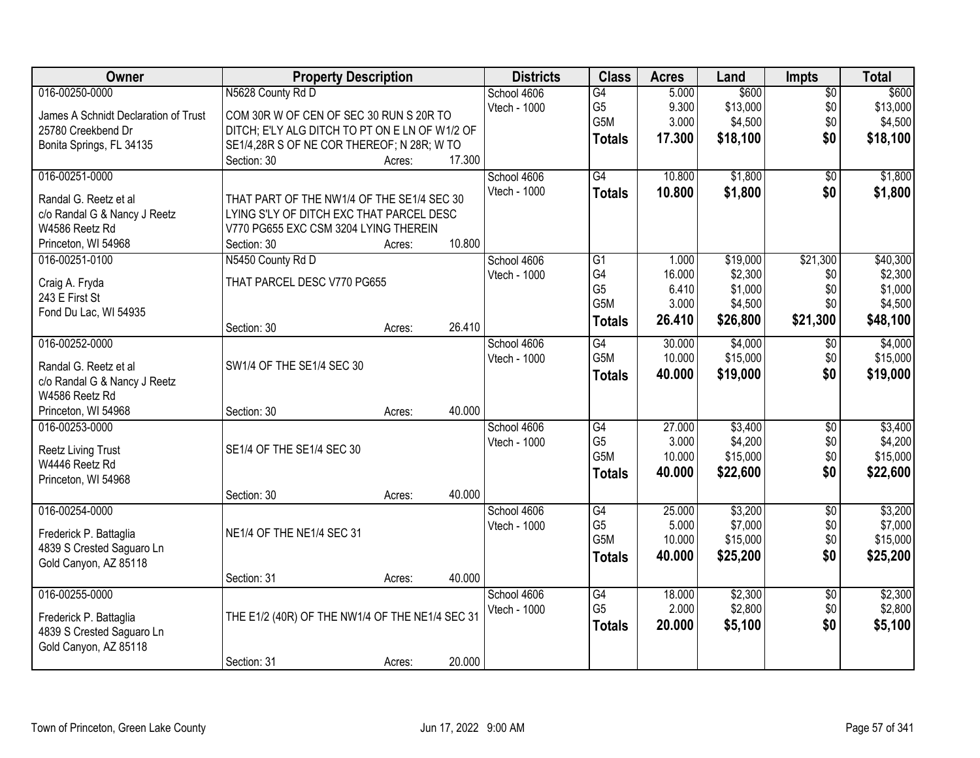| Owner                                | <b>Property Description</b>                     |        |        | <b>Districts</b> | <b>Class</b>     | <b>Acres</b> | Land     | <b>Impts</b>    | <b>Total</b> |
|--------------------------------------|-------------------------------------------------|--------|--------|------------------|------------------|--------------|----------|-----------------|--------------|
| 016-00250-0000                       | N5628 County Rd D                               |        |        | School 4606      | G4               | 5.000        | \$600    | $\overline{50}$ | \$600        |
| James A Schnidt Declaration of Trust | COM 30R W OF CEN OF SEC 30 RUN S 20R TO         |        |        | Vtech - 1000     | G <sub>5</sub>   | 9.300        | \$13,000 | \$0             | \$13,000     |
| 25780 Creekbend Dr                   | DITCH; E'LY ALG DITCH TO PT ON E LN OF W1/2 OF  |        |        |                  | G5M              | 3.000        | \$4,500  | \$0             | \$4,500      |
| Bonita Springs, FL 34135             | SE1/4,28R S OF NE COR THEREOF; N 28R; W TO      |        |        |                  | <b>Totals</b>    | 17.300       | \$18,100 | \$0             | \$18,100     |
|                                      | Section: 30                                     | Acres: | 17.300 |                  |                  |              |          |                 |              |
| 016-00251-0000                       |                                                 |        |        | School 4606      | G4               | 10.800       | \$1,800  | $\overline{50}$ | \$1,800      |
| Randal G. Reetz et al                | THAT PART OF THE NW1/4 OF THE SE1/4 SEC 30      |        |        | Vtech - 1000     | <b>Totals</b>    | 10.800       | \$1,800  | \$0             | \$1,800      |
| c/o Randal G & Nancy J Reetz         | LYING S'LY OF DITCH EXC THAT PARCEL DESC        |        |        |                  |                  |              |          |                 |              |
| W4586 Reetz Rd                       | V770 PG655 EXC CSM 3204 LYING THEREIN           |        |        |                  |                  |              |          |                 |              |
| Princeton, WI 54968                  | Section: 30                                     | Acres: | 10.800 |                  |                  |              |          |                 |              |
| 016-00251-0100                       | N5450 County Rd D                               |        |        | School 4606      | G1               | 1.000        | \$19,000 | \$21,300        | \$40,300     |
| Craig A. Fryda                       | THAT PARCEL DESC V770 PG655                     |        |        | Vtech - 1000     | G4               | 16.000       | \$2,300  | \$0             | \$2,300      |
| 243 E First St                       |                                                 |        |        |                  | G <sub>5</sub>   | 6.410        | \$1,000  | \$0             | \$1,000      |
| Fond Du Lac, WI 54935                |                                                 |        |        |                  | G <sub>5</sub> M | 3.000        | \$4,500  | \$0             | \$4,500      |
|                                      | Section: 30                                     | Acres: | 26.410 |                  | <b>Totals</b>    | 26.410       | \$26,800 | \$21,300        | \$48,100     |
| 016-00252-0000                       |                                                 |        |        | School 4606      | $\overline{G4}$  | 30.000       | \$4,000  | $\sqrt{6}$      | \$4,000      |
| Randal G. Reetz et al                | SW1/4 OF THE SE1/4 SEC 30                       |        |        | Vtech - 1000     | G5M              | 10.000       | \$15,000 | \$0             | \$15,000     |
| c/o Randal G & Nancy J Reetz         |                                                 |        |        |                  | <b>Totals</b>    | 40.000       | \$19,000 | \$0             | \$19,000     |
| W4586 Reetz Rd                       |                                                 |        |        |                  |                  |              |          |                 |              |
| Princeton, WI 54968                  | Section: 30                                     | Acres: | 40.000 |                  |                  |              |          |                 |              |
| 016-00253-0000                       |                                                 |        |        | School 4606      | $\overline{G4}$  | 27.000       | \$3,400  | \$0             | \$3,400      |
| <b>Reetz Living Trust</b>            | SE1/4 OF THE SE1/4 SEC 30                       |        |        | Vtech - 1000     | G <sub>5</sub>   | 3.000        | \$4,200  | \$0             | \$4,200      |
| W4446 Reetz Rd                       |                                                 |        |        |                  | G5M              | 10.000       | \$15,000 | \$0             | \$15,000     |
| Princeton, WI 54968                  |                                                 |        |        |                  | <b>Totals</b>    | 40.000       | \$22,600 | \$0             | \$22,600     |
|                                      | Section: 30                                     | Acres: | 40.000 |                  |                  |              |          |                 |              |
| 016-00254-0000                       |                                                 |        |        | School 4606      | G4               | 25.000       | \$3,200  | $\overline{50}$ | \$3,200      |
| Frederick P. Battaglia               | NE1/4 OF THE NE1/4 SEC 31                       |        |        | Vtech - 1000     | G <sub>5</sub>   | 5.000        | \$7,000  | \$0             | \$7,000      |
| 4839 S Crested Saguaro Ln            |                                                 |        |        |                  | G <sub>5</sub> M | 10.000       | \$15,000 | \$0             | \$15,000     |
| Gold Canyon, AZ 85118                |                                                 |        |        |                  | <b>Totals</b>    | 40.000       | \$25,200 | \$0             | \$25,200     |
|                                      | Section: 31                                     | Acres: | 40.000 |                  |                  |              |          |                 |              |
| 016-00255-0000                       |                                                 |        |        | School 4606      | $\overline{G4}$  | 18.000       | \$2,300  | $\overline{50}$ | \$2,300      |
| Frederick P. Battaglia               | THE E1/2 (40R) OF THE NW1/4 OF THE NE1/4 SEC 31 |        |        | Vtech - 1000     | G <sub>5</sub>   | 2.000        | \$2,800  | \$0             | \$2,800      |
| 4839 S Crested Saguaro Ln            |                                                 |        |        |                  | <b>Totals</b>    | 20.000       | \$5,100  | \$0             | \$5,100      |
| Gold Canyon, AZ 85118                |                                                 |        |        |                  |                  |              |          |                 |              |
|                                      | Section: 31                                     | Acres: | 20.000 |                  |                  |              |          |                 |              |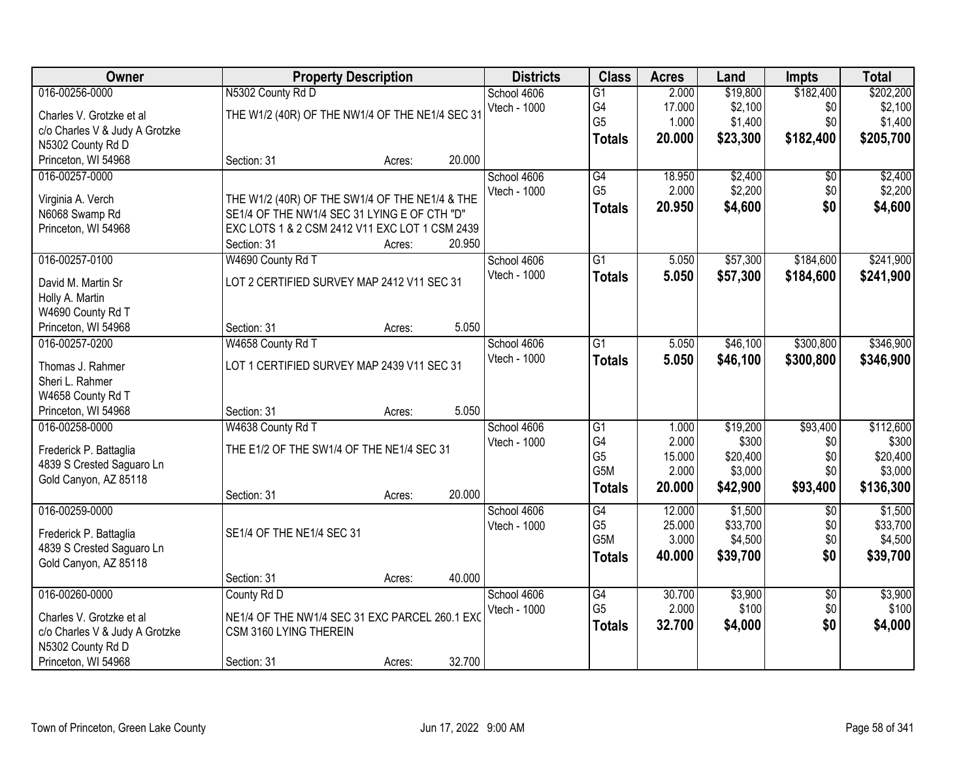| Owner                                                                                                                    | <b>Property Description</b>                                                                                                                                     | <b>Districts</b> | <b>Class</b> | <b>Acres</b>                       | Land                                                                         | <b>Impts</b>                                | <b>Total</b>                                         |                                           |                                                        |
|--------------------------------------------------------------------------------------------------------------------------|-----------------------------------------------------------------------------------------------------------------------------------------------------------------|------------------|--------------|------------------------------------|------------------------------------------------------------------------------|---------------------------------------------|------------------------------------------------------|-------------------------------------------|--------------------------------------------------------|
| 016-00256-0000<br>Charles V. Grotzke et al<br>c/o Charles V & Judy A Grotzke<br>N5302 County Rd D                        | N5302 County Rd D<br>THE W1/2 (40R) OF THE NW1/4 OF THE NE1/4 SEC 31                                                                                            |                  |              | School 4606<br>Vtech - 1000        | $\overline{G1}$<br>G4<br>G <sub>5</sub><br><b>Totals</b>                     | 2.000<br>17.000<br>1.000<br>20.000          | \$19,800<br>\$2,100<br>\$1,400<br>\$23,300           | \$182,400<br>\$0<br>\$0<br>\$182,400      | \$202,200<br>\$2,100<br>\$1,400<br>\$205,700           |
| Princeton, WI 54968                                                                                                      | Section: 31                                                                                                                                                     | Acres:           | 20.000       |                                    |                                                                              |                                             |                                                      |                                           |                                                        |
| 016-00257-0000<br>Virginia A. Verch<br>N6068 Swamp Rd<br>Princeton, WI 54968                                             | THE W1/2 (40R) OF THE SW1/4 OF THE NE1/4 & THE<br>SE1/4 OF THE NW1/4 SEC 31 LYING E OF CTH "D"<br>EXC LOTS 1 & 2 CSM 2412 V11 EXC LOT 1 CSM 2439<br>Section: 31 | Acres:           | 20.950       | School 4606<br>Vtech - 1000        | G4<br>G <sub>5</sub><br><b>Totals</b>                                        | 18.950<br>2.000<br>20.950                   | \$2,400<br>\$2,200<br>\$4,600                        | $\overline{50}$<br>\$0<br>\$0             | \$2,400<br>\$2,200<br>\$4,600                          |
| 016-00257-0100<br>David M. Martin Sr<br>Holly A. Martin<br>W4690 County Rd T<br>Princeton, WI 54968                      | W4690 County Rd T<br>LOT 2 CERTIFIED SURVEY MAP 2412 V11 SEC 31<br>Section: 31                                                                                  | Acres:           | 5.050        | School 4606<br>Vtech - 1000        | $\overline{G1}$<br><b>Totals</b>                                             | 5.050<br>5.050                              | \$57,300<br>\$57,300                                 | \$184,600<br>\$184,600                    | \$241,900<br>\$241,900                                 |
| 016-00257-0200<br>Thomas J. Rahmer<br>Sheri L. Rahmer<br>W4658 County Rd T<br>Princeton, WI 54968                        | W4658 County Rd T<br>LOT 1 CERTIFIED SURVEY MAP 2439 V11 SEC 31<br>Section: 31                                                                                  | Acres:           | 5.050        | School 4606<br>Vtech - 1000        | $\overline{G1}$<br><b>Totals</b>                                             | 5.050<br>5.050                              | \$46,100<br>\$46,100                                 | \$300,800<br>\$300,800                    | \$346,900<br>\$346,900                                 |
| 016-00258-0000<br>Frederick P. Battaglia<br>4839 S Crested Saguaro Ln<br>Gold Canyon, AZ 85118                           | W4638 County Rd T<br>THE E1/2 OF THE SW1/4 OF THE NE1/4 SEC 31<br>Section: 31                                                                                   | Acres:           | 20.000       | School 4606<br><b>Vtech - 1000</b> | $\overline{G1}$<br>G4<br>G <sub>5</sub><br>G <sub>5</sub> M<br><b>Totals</b> | 1.000<br>2.000<br>15.000<br>2.000<br>20.000 | \$19,200<br>\$300<br>\$20,400<br>\$3,000<br>\$42,900 | \$93,400<br>\$0<br>\$0<br>\$0<br>\$93,400 | \$112,600<br>\$300<br>\$20,400<br>\$3,000<br>\$136,300 |
| 016-00259-0000<br>Frederick P. Battaglia<br>4839 S Crested Saguaro Ln<br>Gold Canyon, AZ 85118                           | SE1/4 OF THE NE1/4 SEC 31<br>Section: 31                                                                                                                        | Acres:           | 40.000       | School 4606<br>Vtech - 1000        | G4<br>G <sub>5</sub><br>G5M<br><b>Totals</b>                                 | 12.000<br>25.000<br>3.000<br>40.000         | \$1,500<br>\$33,700<br>\$4,500<br>\$39,700           | $\overline{50}$<br>\$0<br>\$0<br>\$0      | \$1,500<br>\$33,700<br>\$4,500<br>\$39,700             |
| 016-00260-0000<br>Charles V. Grotzke et al<br>c/o Charles V & Judy A Grotzke<br>N5302 County Rd D<br>Princeton, WI 54968 | County Rd D<br>NE1/4 OF THE NW1/4 SEC 31 EXC PARCEL 260.1 EXC<br>CSM 3160 LYING THEREIN<br>Section: 31                                                          | Acres:           | 32.700       | School 4606<br>Vtech - 1000        | $\overline{G4}$<br>G <sub>5</sub><br><b>Totals</b>                           | 30.700<br>2.000<br>32.700                   | \$3,900<br>\$100<br>\$4,000                          | $\overline{50}$<br>\$0<br>\$0             | \$3,900<br>\$100<br>\$4,000                            |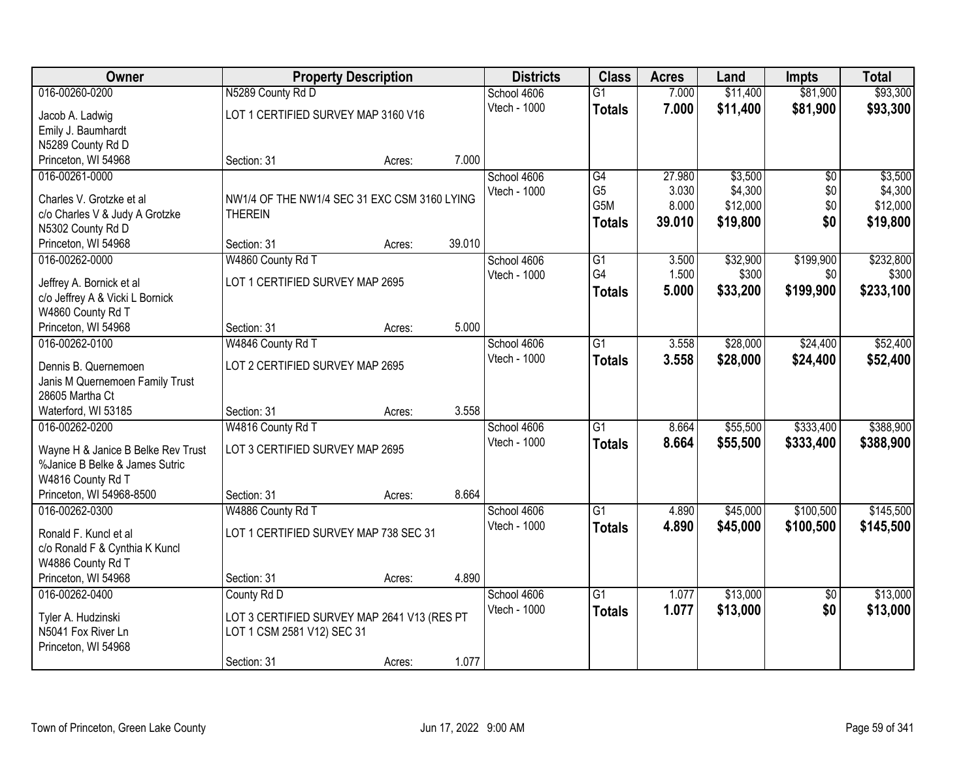| Owner                              | <b>Property Description</b>                  |        |        | <b>Districts</b> | <b>Class</b>    | <b>Acres</b> | Land     | <b>Impts</b>    | <b>Total</b> |
|------------------------------------|----------------------------------------------|--------|--------|------------------|-----------------|--------------|----------|-----------------|--------------|
| 016-00260-0200                     | N5289 County Rd D                            |        |        | School 4606      | $\overline{G1}$ | 7.000        | \$11,400 | \$81,900        | \$93,300     |
| Jacob A. Ladwig                    | LOT 1 CERTIFIED SURVEY MAP 3160 V16          |        |        | Vtech - 1000     | <b>Totals</b>   | 7.000        | \$11,400 | \$81,900        | \$93,300     |
| Emily J. Baumhardt                 |                                              |        |        |                  |                 |              |          |                 |              |
| N5289 County Rd D                  |                                              |        |        |                  |                 |              |          |                 |              |
| Princeton, WI 54968                | Section: 31                                  | Acres: | 7.000  |                  |                 |              |          |                 |              |
| 016-00261-0000                     |                                              |        |        | School 4606      | G4              | 27.980       | \$3,500  | $\overline{50}$ | \$3,500      |
|                                    |                                              |        |        | Vtech - 1000     | G <sub>5</sub>  | 3.030        | \$4,300  | \$0             | \$4,300      |
| Charles V. Grotzke et al           | NW1/4 OF THE NW1/4 SEC 31 EXC CSM 3160 LYING |        |        |                  | G5M             | 8.000        | \$12,000 | \$0             | \$12,000     |
| c/o Charles V & Judy A Grotzke     | <b>THEREIN</b>                               |        |        |                  | <b>Totals</b>   | 39.010       | \$19,800 | \$0             | \$19,800     |
| N5302 County Rd D                  |                                              |        | 39.010 |                  |                 |              |          |                 |              |
| Princeton, WI 54968                | Section: 31                                  | Acres: |        |                  |                 |              |          |                 |              |
| 016-00262-0000                     | W4860 County Rd T                            |        |        | School 4606      | G1<br>G4        | 3.500        | \$32,900 | \$199,900       | \$232,800    |
| Jeffrey A. Bornick et al           | LOT 1 CERTIFIED SURVEY MAP 2695              |        |        | Vtech - 1000     |                 | 1.500        | \$300    | \$0             | \$300        |
| c/o Jeffrey A & Vicki L Bornick    |                                              |        |        |                  | <b>Totals</b>   | 5.000        | \$33,200 | \$199,900       | \$233,100    |
| W4860 County Rd T                  |                                              |        |        |                  |                 |              |          |                 |              |
| Princeton, WI 54968                | Section: 31                                  | Acres: | 5.000  |                  |                 |              |          |                 |              |
| 016-00262-0100                     | W4846 County Rd T                            |        |        | School 4606      | $\overline{G1}$ | 3.558        | \$28,000 | \$24,400        | \$52,400     |
| Dennis B. Quernemoen               | LOT 2 CERTIFIED SURVEY MAP 2695              |        |        | Vtech - 1000     | <b>Totals</b>   | 3.558        | \$28,000 | \$24,400        | \$52,400     |
| Janis M Quernemoen Family Trust    |                                              |        |        |                  |                 |              |          |                 |              |
| 28605 Martha Ct                    |                                              |        |        |                  |                 |              |          |                 |              |
| Waterford, WI 53185                | Section: 31                                  | Acres: | 3.558  |                  |                 |              |          |                 |              |
| 016-00262-0200                     | W4816 County Rd T                            |        |        | School 4606      | $\overline{G1}$ | 8.664        | \$55,500 | \$333,400       | \$388,900    |
|                                    |                                              |        |        | Vtech - 1000     | <b>Totals</b>   | 8.664        | \$55,500 | \$333,400       | \$388,900    |
| Wayne H & Janice B Belke Rev Trust | LOT 3 CERTIFIED SURVEY MAP 2695              |        |        |                  |                 |              |          |                 |              |
| %Janice B Belke & James Sutric     |                                              |        |        |                  |                 |              |          |                 |              |
| W4816 County Rd T                  |                                              |        |        |                  |                 |              |          |                 |              |
| Princeton, WI 54968-8500           | Section: 31                                  | Acres: | 8.664  |                  |                 |              |          |                 |              |
| 016-00262-0300                     | W4886 County Rd T                            |        |        | School 4606      | $\overline{G1}$ | 4.890        | \$45,000 | \$100,500       | \$145,500    |
| Ronald F. Kuncl et al              | LOT 1 CERTIFIED SURVEY MAP 738 SEC 31        |        |        | Vtech - 1000     | <b>Totals</b>   | 4.890        | \$45,000 | \$100,500       | \$145,500    |
| c/o Ronald F & Cynthia K Kuncl     |                                              |        |        |                  |                 |              |          |                 |              |
| W4886 County Rd T                  |                                              |        |        |                  |                 |              |          |                 |              |
| Princeton, WI 54968                | Section: 31                                  | Acres: | 4.890  |                  |                 |              |          |                 |              |
| 016-00262-0400                     | County Rd D                                  |        |        | School 4606      | $\overline{G1}$ | 1.077        | \$13,000 | $\overline{30}$ | \$13,000     |
| Tyler A. Hudzinski                 | LOT 3 CERTIFIED SURVEY MAP 2641 V13 (RES PT  |        |        | Vtech - 1000     | <b>Totals</b>   | 1.077        | \$13,000 | \$0             | \$13,000     |
| N5041 Fox River Ln                 | LOT 1 CSM 2581 V12) SEC 31                   |        |        |                  |                 |              |          |                 |              |
| Princeton, WI 54968                |                                              |        |        |                  |                 |              |          |                 |              |
|                                    | Section: 31                                  | Acres: | 1.077  |                  |                 |              |          |                 |              |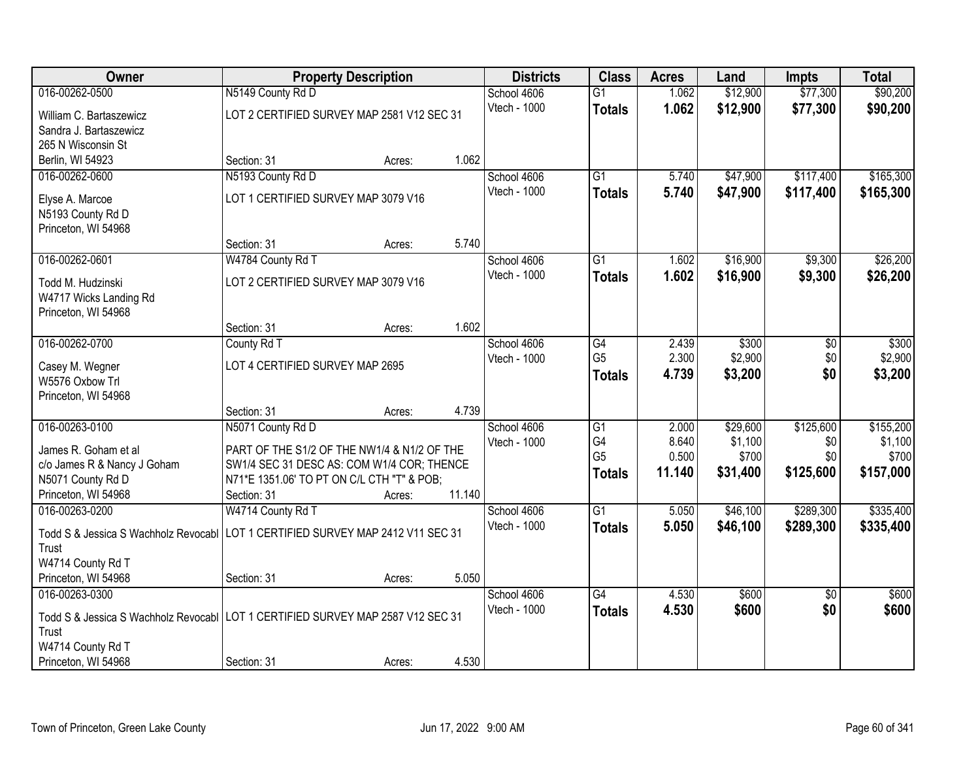| Owner                                                                             | <b>Property Description</b>                 |        |        | <b>Districts</b> | <b>Class</b>         | <b>Acres</b>    | Land              | <b>Impts</b>     | <b>Total</b>       |
|-----------------------------------------------------------------------------------|---------------------------------------------|--------|--------|------------------|----------------------|-----------------|-------------------|------------------|--------------------|
| 016-00262-0500                                                                    | N5149 County Rd D                           |        |        | School 4606      | $\overline{G1}$      | 1.062           | \$12,900          | \$77,300         | \$90,200           |
| William C. Bartaszewicz                                                           | LOT 2 CERTIFIED SURVEY MAP 2581 V12 SEC 31  |        |        | Vtech - 1000     | <b>Totals</b>        | 1.062           | \$12,900          | \$77,300         | \$90,200           |
| Sandra J. Bartaszewicz                                                            |                                             |        |        |                  |                      |                 |                   |                  |                    |
| 265 N Wisconsin St                                                                |                                             |        |        |                  |                      |                 |                   |                  |                    |
| Berlin, WI 54923                                                                  | Section: 31                                 | Acres: | 1.062  |                  |                      |                 |                   |                  |                    |
| 016-00262-0600                                                                    | N5193 County Rd D                           |        |        | School 4606      | $\overline{G1}$      | 5.740           | \$47,900          | \$117,400        | \$165,300          |
| Elyse A. Marcoe                                                                   | LOT 1 CERTIFIED SURVEY MAP 3079 V16         |        |        | Vtech - 1000     | <b>Totals</b>        | 5.740           | \$47,900          | \$117,400        | \$165,300          |
| N5193 County Rd D                                                                 |                                             |        |        |                  |                      |                 |                   |                  |                    |
| Princeton, WI 54968                                                               |                                             |        |        |                  |                      |                 |                   |                  |                    |
|                                                                                   | Section: 31                                 | Acres: | 5.740  |                  |                      |                 |                   |                  |                    |
| 016-00262-0601                                                                    | W4784 County Rd T                           |        |        | School 4606      | G1                   | 1.602           | \$16,900          | \$9,300          | \$26,200           |
| Todd M. Hudzinski                                                                 | LOT 2 CERTIFIED SURVEY MAP 3079 V16         |        |        | Vtech - 1000     | <b>Totals</b>        | 1.602           | \$16,900          | \$9,300          | \$26,200           |
| W4717 Wicks Landing Rd                                                            |                                             |        |        |                  |                      |                 |                   |                  |                    |
| Princeton, WI 54968                                                               |                                             |        |        |                  |                      |                 |                   |                  |                    |
|                                                                                   | Section: 31                                 | Acres: | 1.602  |                  |                      |                 |                   |                  |                    |
| 016-00262-0700                                                                    | County Rd T                                 |        |        | School 4606      | G4                   | 2.439           | \$300             | \$0              | \$300              |
| Casey M. Wegner                                                                   | LOT 4 CERTIFIED SURVEY MAP 2695             |        |        | Vtech - 1000     | G <sub>5</sub>       | 2.300           | \$2,900           | \$0              | \$2,900            |
| W5576 Oxbow Trl                                                                   |                                             |        |        |                  | <b>Totals</b>        | 4.739           | \$3,200           | \$0              | \$3,200            |
| Princeton, WI 54968                                                               |                                             |        |        |                  |                      |                 |                   |                  |                    |
|                                                                                   | Section: 31                                 | Acres: | 4.739  |                  |                      |                 |                   |                  |                    |
| 016-00263-0100                                                                    | N5071 County Rd D                           |        |        | School 4606      | $\overline{G1}$      | 2.000           | \$29,600          | \$125,600        | \$155,200          |
| James R. Goham et al                                                              | PART OF THE S1/2 OF THE NW1/4 & N1/2 OF THE |        |        | Vtech - 1000     | G4<br>G <sub>5</sub> | 8.640           | \$1,100           | \$0              | \$1,100            |
| c/o James R & Nancy J Goham                                                       | SW1/4 SEC 31 DESC AS: COM W1/4 COR; THENCE  |        |        |                  |                      | 0.500<br>11.140 | \$700<br>\$31,400 | \$0<br>\$125,600 | \$700<br>\$157,000 |
| N5071 County Rd D                                                                 | N71*E 1351.06' TO PT ON C/L CTH "T" & POB;  |        |        |                  | <b>Totals</b>        |                 |                   |                  |                    |
| Princeton, WI 54968                                                               | Section: 31                                 | Acres: | 11.140 |                  |                      |                 |                   |                  |                    |
| 016-00263-0200                                                                    | W4714 County Rd T                           |        |        | School 4606      | $\overline{G1}$      | 5.050           | \$46,100          | \$289,300        | \$335,400          |
| Todd S & Jessica S Wachholz Revocabl   LOT 1 CERTIFIED SURVEY MAP 2412 V11 SEC 31 |                                             |        |        | Vtech - 1000     | <b>Totals</b>        | 5.050           | \$46,100          | \$289,300        | \$335,400          |
| Trust                                                                             |                                             |        |        |                  |                      |                 |                   |                  |                    |
| W4714 County Rd T                                                                 |                                             |        |        |                  |                      |                 |                   |                  |                    |
| Princeton, WI 54968                                                               | Section: 31                                 | Acres: | 5.050  |                  |                      |                 |                   |                  |                    |
| 016-00263-0300                                                                    |                                             |        |        | School 4606      | $\overline{G4}$      | 4.530           | \$600             | $\overline{50}$  | \$600              |
| Todd S & Jessica S Wachholz Revocabl LOT 1 CERTIFIED SURVEY MAP 2587 V12 SEC 31   |                                             |        |        | Vtech - 1000     | <b>Totals</b>        | 4.530           | \$600             | \$0              | \$600              |
| Trust                                                                             |                                             |        |        |                  |                      |                 |                   |                  |                    |
| W4714 County Rd T                                                                 |                                             |        |        |                  |                      |                 |                   |                  |                    |
| Princeton, WI 54968                                                               | Section: 31                                 | Acres: | 4.530  |                  |                      |                 |                   |                  |                    |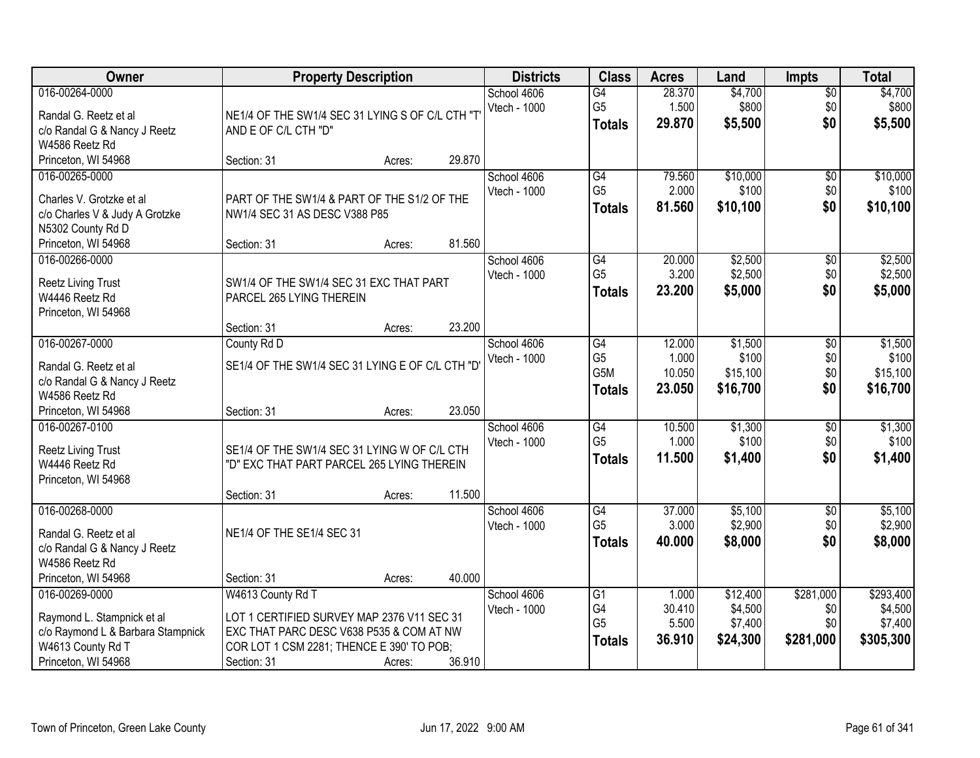| Owner                                                                                                                         | <b>Property Description</b>                                                                                                                                             |        |        | <b>Districts</b>            | <b>Class</b>                                       | <b>Acres</b>                        | Land                                       | <b>Impts</b>                         | <b>Total</b>                                 |
|-------------------------------------------------------------------------------------------------------------------------------|-------------------------------------------------------------------------------------------------------------------------------------------------------------------------|--------|--------|-----------------------------|----------------------------------------------------|-------------------------------------|--------------------------------------------|--------------------------------------|----------------------------------------------|
| 016-00264-0000<br>Randal G. Reetz et al<br>c/o Randal G & Nancy J Reetz<br>W4586 Reetz Rd                                     | NE1/4 OF THE SW1/4 SEC 31 LYING S OF C/L CTH "T<br>AND E OF C/L CTH "D"                                                                                                 |        |        | School 4606<br>Vtech - 1000 | G4<br>G <sub>5</sub><br><b>Totals</b>              | 28.370<br>1.500<br>29.870           | \$4,700<br>\$800<br>\$5,500                | $\overline{$0}$<br>\$0<br>\$0        | \$4,700<br>\$800<br>\$5,500                  |
| Princeton, WI 54968                                                                                                           | Section: 31                                                                                                                                                             | Acres: | 29.870 |                             |                                                    |                                     |                                            |                                      |                                              |
| 016-00265-0000<br>Charles V. Grotzke et al<br>c/o Charles V & Judy A Grotzke<br>N5302 County Rd D                             | PART OF THE SW1/4 & PART OF THE S1/2 OF THE<br>NW1/4 SEC 31 AS DESC V388 P85                                                                                            |        |        | School 4606<br>Vtech - 1000 | G4<br>G <sub>5</sub><br><b>Totals</b>              | 79.560<br>2.000<br>81.560           | \$10,000<br>\$100<br>\$10,100              | $\overline{50}$<br>\$0<br>\$0        | \$10,000<br>\$100<br>\$10,100                |
| Princeton, WI 54968                                                                                                           | Section: 31                                                                                                                                                             | Acres: | 81.560 |                             |                                                    |                                     |                                            |                                      |                                              |
| 016-00266-0000<br>Reetz Living Trust<br>W4446 Reetz Rd<br>Princeton, WI 54968                                                 | SW1/4 OF THE SW1/4 SEC 31 EXC THAT PART<br>PARCEL 265 LYING THEREIN                                                                                                     |        |        | School 4606<br>Vtech - 1000 | G4<br>G <sub>5</sub><br><b>Totals</b>              | 20.000<br>3.200<br>23.200           | \$2,500<br>\$2,500<br>\$5,000              | \$0<br>\$0<br>\$0                    | \$2,500<br>\$2,500<br>\$5,000                |
|                                                                                                                               | Section: 31                                                                                                                                                             | Acres: | 23.200 |                             |                                                    |                                     |                                            |                                      |                                              |
| 016-00267-0000<br>Randal G. Reetz et al<br>c/o Randal G & Nancy J Reetz<br>W4586 Reetz Rd                                     | County Rd D<br>SE1/4 OF THE SW1/4 SEC 31 LYING E OF C/L CTH "D'                                                                                                         |        |        | School 4606<br>Vtech - 1000 | G4<br>G <sub>5</sub><br>G5M<br><b>Totals</b>       | 12.000<br>1.000<br>10.050<br>23.050 | \$1,500<br>\$100<br>\$15,100<br>\$16,700   | \$0<br>\$0<br>\$0<br>\$0             | \$1,500<br>\$100<br>\$15,100<br>\$16,700     |
| Princeton, WI 54968                                                                                                           | Section: 31                                                                                                                                                             | Acres: | 23.050 |                             |                                                    |                                     |                                            |                                      |                                              |
| 016-00267-0100<br><b>Reetz Living Trust</b><br>W4446 Reetz Rd<br>Princeton, WI 54968                                          | SE1/4 OF THE SW1/4 SEC 31 LYING W OF C/L CTH<br>"D" EXC THAT PART PARCEL 265 LYING THEREIN                                                                              |        | 11.500 | School 4606<br>Vtech - 1000 | $\overline{G4}$<br>G <sub>5</sub><br><b>Totals</b> | 10.500<br>1.000<br>11.500           | \$1,300<br>\$100<br>\$1,400                | \$0<br>\$0<br>\$0                    | \$1,300<br>\$100<br>\$1,400                  |
| 016-00268-0000                                                                                                                | Section: 31                                                                                                                                                             | Acres: |        | School 4606                 | G4                                                 | 37.000                              | \$5,100                                    | $\sqrt{6}$                           | \$5,100                                      |
| Randal G. Reetz et al<br>c/o Randal G & Nancy J Reetz<br>W4586 Reetz Rd                                                       | NE1/4 OF THE SE1/4 SEC 31                                                                                                                                               |        |        | Vtech - 1000                | G <sub>5</sub><br><b>Totals</b>                    | 3.000<br>40.000                     | \$2,900<br>\$8,000                         | \$0<br>\$0                           | \$2,900<br>\$8,000                           |
| Princeton, WI 54968                                                                                                           | Section: 31                                                                                                                                                             | Acres: | 40.000 |                             |                                                    |                                     |                                            |                                      |                                              |
| 016-00269-0000<br>Raymond L. Stampnick et al<br>c/o Raymond L & Barbara Stampnick<br>W4613 County Rd T<br>Princeton, WI 54968 | W4613 County Rd T<br>LOT 1 CERTIFIED SURVEY MAP 2376 V11 SEC 31<br>EXC THAT PARC DESC V638 P535 & COM AT NW<br>COR LOT 1 CSM 2281; THENCE E 390' TO POB;<br>Section: 31 | Acres: | 36.910 | School 4606<br>Vtech - 1000 | G1<br>G4<br>G <sub>5</sub><br><b>Totals</b>        | 1.000<br>30.410<br>5.500<br>36.910  | \$12,400<br>\$4,500<br>\$7,400<br>\$24,300 | \$281,000<br>\$0<br>\$0<br>\$281,000 | \$293,400<br>\$4,500<br>\$7,400<br>\$305,300 |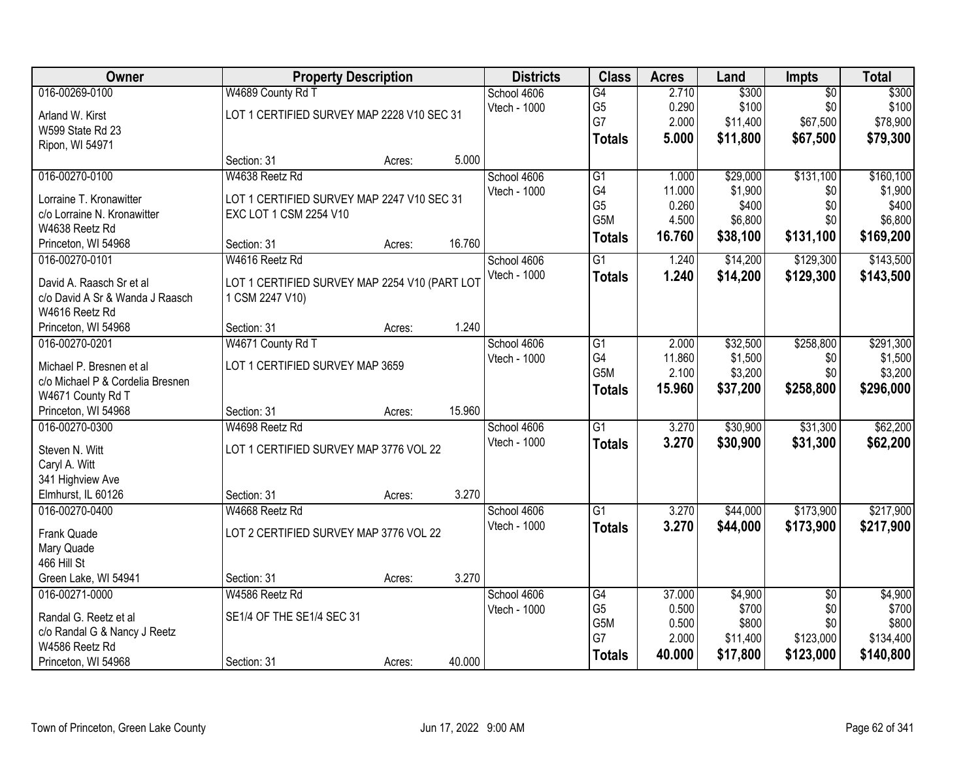| Owner                             |                                               | <b>Property Description</b> |        | <b>Districts</b> | <b>Class</b>         | <b>Acres</b>    | Land             | <b>Impts</b>    | <b>Total</b>     |
|-----------------------------------|-----------------------------------------------|-----------------------------|--------|------------------|----------------------|-----------------|------------------|-----------------|------------------|
| 016-00269-0100                    | W4689 County Rd T                             |                             |        | School 4606      | $\overline{G4}$      | 2.710           | \$300            | $\overline{50}$ | \$300            |
| Arland W. Kirst                   | LOT 1 CERTIFIED SURVEY MAP 2228 V10 SEC 31    |                             |        | Vtech - 1000     | G <sub>5</sub>       | 0.290           | \$100            | \$0             | \$100            |
| W599 State Rd 23                  |                                               |                             |        |                  | G7                   | 2.000           | \$11,400         | \$67,500        | \$78,900         |
| Ripon, WI 54971                   |                                               |                             |        |                  | <b>Totals</b>        | 5.000           | \$11,800         | \$67,500        | \$79,300         |
|                                   | Section: 31                                   | Acres:                      | 5.000  |                  |                      |                 |                  |                 |                  |
| 016-00270-0100                    | W4638 Reetz Rd                                |                             |        | School 4606      | $\overline{G1}$      | 1.000           | \$29,000         | \$131,100       | \$160, 100       |
| Lorraine T. Kronawitter           | LOT 1 CERTIFIED SURVEY MAP 2247 V10 SEC 31    |                             |        | Vtech - 1000     | G4                   | 11.000          | \$1,900          | \$0             | \$1,900          |
| c/o Lorraine N. Kronawitter       | EXC LOT 1 CSM 2254 V10                        |                             |        |                  | G <sub>5</sub>       | 0.260           | \$400            | \$0             | \$400            |
| W4638 Reetz Rd                    |                                               |                             |        |                  | G <sub>5</sub> M     | 4.500           | \$6,800          | \$0             | \$6,800          |
| Princeton, WI 54968               | Section: 31                                   | Acres:                      | 16.760 |                  | <b>Totals</b>        | 16.760          | \$38,100         | \$131,100       | \$169,200        |
| 016-00270-0101                    | W4616 Reetz Rd                                |                             |        | School 4606      | $\overline{G1}$      | 1.240           | \$14,200         | \$129,300       | \$143,500        |
| David A. Raasch Sr et al          | LOT 1 CERTIFIED SURVEY MAP 2254 V10 (PART LOT |                             |        | Vtech - 1000     | <b>Totals</b>        | 1.240           | \$14,200         | \$129,300       | \$143,500        |
| c/o David A Sr & Wanda J Raasch   | 1 CSM 2247 V10)                               |                             |        |                  |                      |                 |                  |                 |                  |
| W4616 Reetz Rd                    |                                               |                             |        |                  |                      |                 |                  |                 |                  |
| Princeton, WI 54968               | Section: 31                                   | Acres:                      | 1.240  |                  |                      |                 |                  |                 |                  |
| 016-00270-0201                    | W4671 County Rd T                             |                             |        | School 4606      | $\overline{G1}$      | 2.000           | \$32,500         | \$258,800       | \$291,300        |
| Michael P. Bresnen et al          | LOT 1 CERTIFIED SURVEY MAP 3659               |                             |        | Vtech - 1000     | G4                   | 11.860          | \$1,500          | \$0             | \$1,500          |
| c/o Michael P & Cordelia Bresnen  |                                               |                             |        |                  | G <sub>5</sub> M     | 2.100           | \$3,200          | \$0             | \$3,200          |
| W4671 County Rd T                 |                                               |                             |        |                  | <b>Totals</b>        | 15.960          | \$37,200         | \$258,800       | \$296,000        |
| Princeton, WI 54968               | Section: 31                                   | Acres:                      | 15.960 |                  |                      |                 |                  |                 |                  |
| 016-00270-0300                    | W4698 Reetz Rd                                |                             |        | School 4606      | $\overline{G1}$      | 3.270           | \$30,900         | \$31,300        | \$62,200         |
|                                   |                                               |                             |        | Vtech - 1000     | <b>Totals</b>        | 3.270           | \$30,900         | \$31,300        | \$62,200         |
| Steven N. Witt                    | LOT 1 CERTIFIED SURVEY MAP 3776 VOL 22        |                             |        |                  |                      |                 |                  |                 |                  |
| Caryl A. Witt<br>341 Highview Ave |                                               |                             |        |                  |                      |                 |                  |                 |                  |
| Elmhurst, IL 60126                | Section: 31                                   | Acres:                      | 3.270  |                  |                      |                 |                  |                 |                  |
| 016-00270-0400                    | W4668 Reetz Rd                                |                             |        | School 4606      | $\overline{G1}$      | 3.270           | \$44,000         | \$173,900       | \$217,900        |
|                                   |                                               |                             |        | Vtech - 1000     | <b>Totals</b>        | 3.270           | \$44,000         | \$173,900       | \$217,900        |
| Frank Quade                       | LOT 2 CERTIFIED SURVEY MAP 3776 VOL 22        |                             |        |                  |                      |                 |                  |                 |                  |
| Mary Quade                        |                                               |                             |        |                  |                      |                 |                  |                 |                  |
| 466 Hill St                       |                                               |                             |        |                  |                      |                 |                  |                 |                  |
| Green Lake, WI 54941              | Section: 31                                   | Acres:                      | 3.270  |                  |                      |                 |                  |                 |                  |
| 016-00271-0000                    | W4586 Reetz Rd                                |                             |        | School 4606      | G4<br>G <sub>5</sub> | 37.000<br>0.500 | \$4,900<br>\$700 | $\overline{50}$ | \$4,900<br>\$700 |
| Randal G. Reetz et al             | SE1/4 OF THE SE1/4 SEC 31                     |                             |        | Vtech - 1000     | G5M                  | 0.500           | \$800            | \$0<br>\$0      | \$800            |
| c/o Randal G & Nancy J Reetz      |                                               |                             |        |                  | G7                   | 2.000           | \$11,400         | \$123,000       | \$134,400        |
| W4586 Reetz Rd                    |                                               |                             |        |                  | <b>Totals</b>        | 40.000          | \$17,800         | \$123,000       | \$140,800        |
| Princeton, WI 54968               | Section: 31                                   | Acres:                      | 40.000 |                  |                      |                 |                  |                 |                  |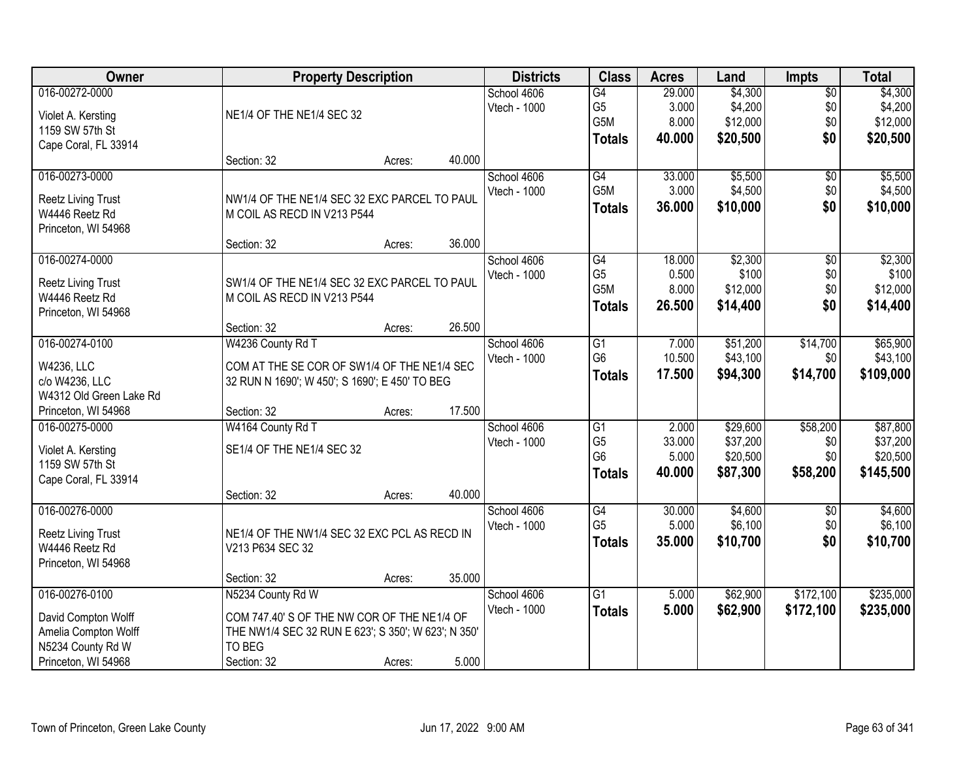| <b>Owner</b>                              | <b>Property Description</b>                         |        |        | <b>Districts</b> | <b>Class</b>    | <b>Acres</b> | Land     | <b>Impts</b>    | <b>Total</b> |
|-------------------------------------------|-----------------------------------------------------|--------|--------|------------------|-----------------|--------------|----------|-----------------|--------------|
| 016-00272-0000                            |                                                     |        |        | School 4606      | $\overline{G4}$ | 29.000       | \$4,300  | $\overline{60}$ | \$4,300      |
| Violet A. Kersting                        | NE1/4 OF THE NE1/4 SEC 32                           |        |        | Vtech - 1000     | G <sub>5</sub>  | 3.000        | \$4,200  | \$0             | \$4,200      |
| 1159 SW 57th St                           |                                                     |        |        |                  | G5M             | 8.000        | \$12,000 | \$0             | \$12,000     |
| Cape Coral, FL 33914                      |                                                     |        |        |                  | <b>Totals</b>   | 40.000       | \$20,500 | \$0             | \$20,500     |
|                                           | Section: 32                                         | Acres: | 40.000 |                  |                 |              |          |                 |              |
| 016-00273-0000                            |                                                     |        |        | School 4606      | G4              | 33.000       | \$5,500  | \$0             | \$5,500      |
| Reetz Living Trust                        | NW1/4 OF THE NE1/4 SEC 32 EXC PARCEL TO PAUL        |        |        | Vtech - 1000     | G5M             | 3.000        | \$4,500  | \$0             | \$4,500      |
| W4446 Reetz Rd                            | M COIL AS RECD IN V213 P544                         |        |        |                  | <b>Totals</b>   | 36.000       | \$10,000 | \$0             | \$10,000     |
| Princeton, WI 54968                       |                                                     |        |        |                  |                 |              |          |                 |              |
|                                           | Section: 32                                         | Acres: | 36.000 |                  |                 |              |          |                 |              |
| 016-00274-0000                            |                                                     |        |        | School 4606      | G4              | 18.000       | \$2,300  | $\sqrt[6]{3}$   | \$2,300      |
|                                           | SW1/4 OF THE NE1/4 SEC 32 EXC PARCEL TO PAUL        |        |        | Vtech - 1000     | G <sub>5</sub>  | 0.500        | \$100    | \$0             | \$100        |
| Reetz Living Trust<br>W4446 Reetz Rd      | M COIL AS RECD IN V213 P544                         |        |        |                  | G5M             | 8.000        | \$12,000 | \$0             | \$12,000     |
| Princeton, WI 54968                       |                                                     |        |        |                  | <b>Totals</b>   | 26.500       | \$14,400 | \$0             | \$14,400     |
|                                           | Section: 32                                         | Acres: | 26.500 |                  |                 |              |          |                 |              |
| 016-00274-0100                            | W4236 County Rd T                                   |        |        | School 4606      | G1              | 7.000        | \$51,200 | \$14,700        | \$65,900     |
|                                           |                                                     |        |        | Vtech - 1000     | G <sub>6</sub>  | 10.500       | \$43,100 | \$0             | \$43,100     |
| W4236, LLC                                | COM AT THE SE COR OF SW1/4 OF THE NE1/4 SEC         |        |        |                  | <b>Totals</b>   | 17.500       | \$94,300 | \$14,700        | \$109,000    |
| c/o W4236, LLC<br>W4312 Old Green Lake Rd | 32 RUN N 1690'; W 450'; S 1690'; E 450' TO BEG      |        |        |                  |                 |              |          |                 |              |
| Princeton, WI 54968                       | Section: 32                                         | Acres: | 17.500 |                  |                 |              |          |                 |              |
| 016-00275-0000                            | W4164 County Rd T                                   |        |        | School 4606      | $\overline{G1}$ | 2.000        | \$29,600 | \$58,200        | \$87,800     |
|                                           |                                                     |        |        | Vtech - 1000     | G <sub>5</sub>  | 33.000       | \$37,200 | \$0             | \$37,200     |
| Violet A. Kersting                        | SE1/4 OF THE NE1/4 SEC 32                           |        |        |                  | G <sub>6</sub>  | 5.000        | \$20,500 | \$0             | \$20,500     |
| 1159 SW 57th St                           |                                                     |        |        |                  | <b>Totals</b>   | 40.000       | \$87,300 | \$58,200        | \$145,500    |
| Cape Coral, FL 33914                      |                                                     |        |        |                  |                 |              |          |                 |              |
|                                           | Section: 32                                         | Acres: | 40.000 |                  |                 |              |          |                 |              |
| 016-00276-0000                            |                                                     |        |        | School 4606      | $\overline{G4}$ | 30.000       | \$4,600  | \$0             | \$4,600      |
| Reetz Living Trust                        | NE1/4 OF THE NW1/4 SEC 32 EXC PCL AS RECD IN        |        |        | Vtech - 1000     | G <sub>5</sub>  | 5.000        | \$6,100  | \$0             | \$6,100      |
| W4446 Reetz Rd                            | V213 P634 SEC 32                                    |        |        |                  | <b>Totals</b>   | 35.000       | \$10,700 | \$0             | \$10,700     |
| Princeton, WI 54968                       |                                                     |        |        |                  |                 |              |          |                 |              |
|                                           | Section: 32                                         | Acres: | 35.000 |                  |                 |              |          |                 |              |
| 016-00276-0100                            | N5234 County Rd W                                   |        |        | School 4606      | $\overline{G1}$ | 5.000        | \$62,900 | \$172,100       | \$235,000    |
| David Compton Wolff                       | COM 747.40' S OF THE NW COR OF THE NE1/4 OF         |        |        | Vtech - 1000     | <b>Totals</b>   | 5.000        | \$62,900 | \$172,100       | \$235,000    |
| Amelia Compton Wolff                      | THE NW1/4 SEC 32 RUN E 623'; S 350'; W 623'; N 350' |        |        |                  |                 |              |          |                 |              |
| N5234 County Rd W                         | TO BEG                                              |        |        |                  |                 |              |          |                 |              |
| Princeton, WI 54968                       | Section: 32                                         | Acres: | 5.000  |                  |                 |              |          |                 |              |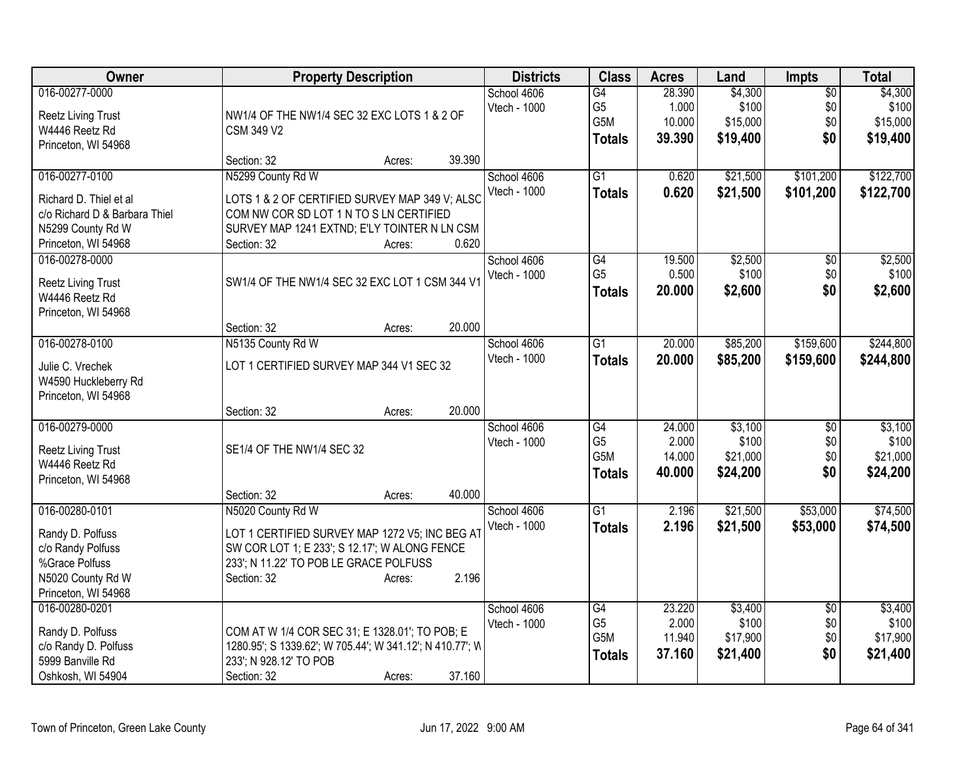| Owner                         | <b>Property Description</b>                              | <b>Districts</b> | <b>Class</b>    | <b>Acres</b> | Land     | Impts           | <b>Total</b> |
|-------------------------------|----------------------------------------------------------|------------------|-----------------|--------------|----------|-----------------|--------------|
| 016-00277-0000                |                                                          | School 4606      | G4              | 28.390       | \$4,300  | $\overline{50}$ | \$4,300      |
| <b>Reetz Living Trust</b>     | NW1/4 OF THE NW1/4 SEC 32 EXC LOTS 1 & 2 OF              | Vtech - 1000     | G <sub>5</sub>  | 1.000        | \$100    | \$0             | \$100        |
| W4446 Reetz Rd                | <b>CSM 349 V2</b>                                        |                  | G5M             | 10.000       | \$15,000 | \$0             | \$15,000     |
| Princeton, WI 54968           |                                                          |                  | <b>Totals</b>   | 39.390       | \$19,400 | \$0             | \$19,400     |
|                               | 39.390<br>Section: 32<br>Acres:                          |                  |                 |              |          |                 |              |
| 016-00277-0100                | N5299 County Rd W                                        | School 4606      | G1              | 0.620        | \$21,500 | \$101,200       | \$122,700    |
| Richard D. Thiel et al        | LOTS 1 & 2 OF CERTIFIED SURVEY MAP 349 V; ALSC           | Vtech - 1000     | <b>Totals</b>   | 0.620        | \$21,500 | \$101,200       | \$122,700    |
| c/o Richard D & Barbara Thiel | COM NW COR SD LOT 1 N TO S LN CERTIFIED                  |                  |                 |              |          |                 |              |
| N5299 County Rd W             | SURVEY MAP 1241 EXTND; E'LY TOINTER N LN CSM             |                  |                 |              |          |                 |              |
| Princeton, WI 54968           | 0.620<br>Section: 32<br>Acres:                           |                  |                 |              |          |                 |              |
| 016-00278-0000                |                                                          | School 4606      | G4              | 19.500       | \$2,500  | $\overline{50}$ | \$2,500      |
|                               |                                                          | Vtech - 1000     | G <sub>5</sub>  | 0.500        | \$100    | \$0             | \$100        |
| <b>Reetz Living Trust</b>     | SW1/4 OF THE NW1/4 SEC 32 EXC LOT 1 CSM 344 V1           |                  | <b>Totals</b>   | 20.000       | \$2,600  | \$0             | \$2,600      |
| W4446 Reetz Rd                |                                                          |                  |                 |              |          |                 |              |
| Princeton, WI 54968           |                                                          |                  |                 |              |          |                 |              |
|                               | 20.000<br>Section: 32<br>Acres:                          |                  |                 |              |          |                 |              |
| 016-00278-0100                | N5135 County Rd W                                        | School 4606      | $\overline{G1}$ | 20.000       | \$85,200 | \$159,600       | \$244,800    |
| Julie C. Vrechek              | LOT 1 CERTIFIED SURVEY MAP 344 V1 SEC 32                 | Vtech - 1000     | <b>Totals</b>   | 20.000       | \$85,200 | \$159,600       | \$244,800    |
| W4590 Huckleberry Rd          |                                                          |                  |                 |              |          |                 |              |
| Princeton, WI 54968           |                                                          |                  |                 |              |          |                 |              |
|                               | 20.000<br>Section: 32<br>Acres:                          |                  |                 |              |          |                 |              |
| 016-00279-0000                |                                                          | School 4606      | G4              | 24.000       | \$3,100  | $\overline{50}$ | \$3,100      |
|                               |                                                          | Vtech - 1000     | G <sub>5</sub>  | 2.000        | \$100    | \$0             | \$100        |
| <b>Reetz Living Trust</b>     | SE1/4 OF THE NW1/4 SEC 32                                |                  | G5M             | 14.000       | \$21,000 | \$0             | \$21,000     |
| W4446 Reetz Rd                |                                                          |                  | <b>Totals</b>   | 40.000       | \$24,200 | \$0             | \$24,200     |
| Princeton, WI 54968           |                                                          |                  |                 |              |          |                 |              |
|                               | 40.000<br>Section: 32<br>Acres:                          |                  |                 |              |          |                 |              |
| 016-00280-0101                | N5020 County Rd W                                        | School 4606      | $\overline{G1}$ | 2.196        | \$21,500 | \$53,000        | \$74,500     |
| Randy D. Polfuss              | LOT 1 CERTIFIED SURVEY MAP 1272 V5; INC BEG AT           | Vtech - 1000     | <b>Totals</b>   | 2.196        | \$21,500 | \$53,000        | \$74,500     |
| c/o Randy Polfuss             | SW COR LOT 1; E 233'; S 12.17'; W ALONG FENCE            |                  |                 |              |          |                 |              |
| %Grace Polfuss                | 233'; N 11.22' TO POB LE GRACE POLFUSS                   |                  |                 |              |          |                 |              |
| N5020 County Rd W             | 2.196<br>Section: 32<br>Acres:                           |                  |                 |              |          |                 |              |
| Princeton, WI 54968           |                                                          |                  |                 |              |          |                 |              |
| 016-00280-0201                |                                                          | School 4606      | G4              | 23.220       | \$3,400  | $\overline{30}$ | \$3,400      |
| Randy D. Polfuss              | COM AT W 1/4 COR SEC 31; E 1328.01'; TO POB; E           | Vtech - 1000     | G <sub>5</sub>  | 2.000        | \$100    | \$0             | \$100        |
| c/o Randy D. Polfuss          | 1280.95'; S 1339.62'; W 705.44'; W 341.12'; N 410.77'; W |                  | G5M             | 11.940       | \$17,900 | \$0             | \$17,900     |
| 5999 Banville Rd              | 233'; N 928.12' TO POB                                   |                  | <b>Totals</b>   | 37.160       | \$21,400 | \$0             | \$21,400     |
| Oshkosh, WI 54904             | 37.160<br>Section: 32<br>Acres:                          |                  |                 |              |          |                 |              |
|                               |                                                          |                  |                 |              |          |                 |              |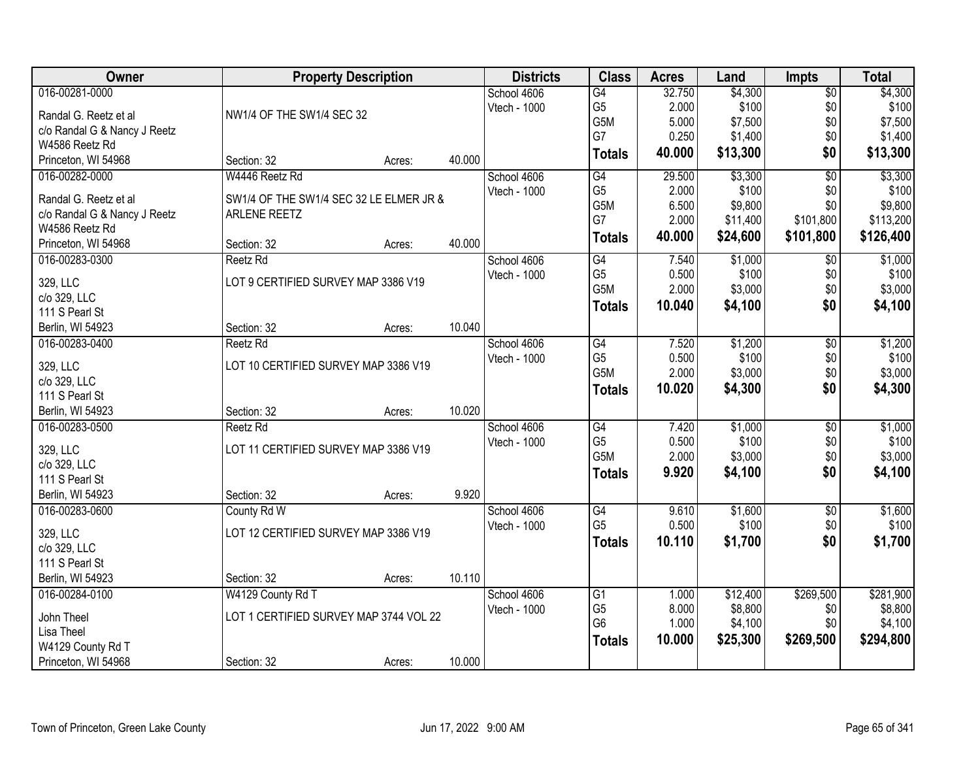| Owner                              | <b>Property Description</b>             |        |        | <b>Districts</b> | <b>Class</b>    | <b>Acres</b> | Land     | <b>Impts</b>    | <b>Total</b> |
|------------------------------------|-----------------------------------------|--------|--------|------------------|-----------------|--------------|----------|-----------------|--------------|
| 016-00281-0000                     |                                         |        |        | School 4606      | $\overline{G4}$ | 32.750       | \$4,300  | \$0             | \$4,300      |
| Randal G. Reetz et al              | NW1/4 OF THE SW1/4 SEC 32               |        |        | Vtech - 1000     | G <sub>5</sub>  | 2.000        | \$100    | \$0             | \$100        |
| c/o Randal G & Nancy J Reetz       |                                         |        |        |                  | G5M             | 5.000        | \$7,500  | \$0             | \$7,500      |
| W4586 Reetz Rd                     |                                         |        |        |                  | G7              | 0.250        | \$1,400  | \$0             | \$1,400      |
| Princeton, WI 54968                | Section: 32                             | Acres: | 40.000 |                  | <b>Totals</b>   | 40.000       | \$13,300 | \$0             | \$13,300     |
| 016-00282-0000                     | W4446 Reetz Rd                          |        |        | School 4606      | G4              | 29.500       | \$3,300  | $\overline{50}$ | \$3,300      |
| Randal G. Reetz et al              | SW1/4 OF THE SW1/4 SEC 32 LE ELMER JR & |        |        | Vtech - 1000     | G <sub>5</sub>  | 2.000        | \$100    | \$0             | \$100        |
| c/o Randal G & Nancy J Reetz       | ARLENE REETZ                            |        |        |                  | G5M             | 6.500        | \$9,800  | \$0             | \$9,800      |
| W4586 Reetz Rd                     |                                         |        |        |                  | G7              | 2.000        | \$11,400 | \$101,800       | \$113,200    |
| Princeton, WI 54968                | Section: 32                             | Acres: | 40.000 |                  | <b>Totals</b>   | 40.000       | \$24,600 | \$101,800       | \$126,400    |
| 016-00283-0300                     | Reetz Rd                                |        |        | School 4606      | G4              | 7.540        | \$1,000  | $\sqrt[6]{3}$   | \$1,000      |
|                                    |                                         |        |        | Vtech - 1000     | G <sub>5</sub>  | 0.500        | \$100    | \$0             | \$100        |
| 329, LLC                           | LOT 9 CERTIFIED SURVEY MAP 3386 V19     |        |        |                  | G5M             | 2.000        | \$3,000  | \$0             | \$3,000      |
| c/o 329, LLC                       |                                         |        |        |                  | <b>Totals</b>   | 10.040       | \$4,100  | \$0             | \$4,100      |
| 111 S Pearl St<br>Berlin, WI 54923 | Section: 32                             | Acres: | 10.040 |                  |                 |              |          |                 |              |
| 016-00283-0400                     | Reetz Rd                                |        |        | School 4606      | G4              | 7.520        | \$1,200  | \$0             | \$1,200      |
|                                    |                                         |        |        | Vtech - 1000     | G <sub>5</sub>  | 0.500        | \$100    | \$0             | \$100        |
| 329, LLC                           | LOT 10 CERTIFIED SURVEY MAP 3386 V19    |        |        |                  | G5M             | 2.000        | \$3,000  | \$0             | \$3,000      |
| c/o 329, LLC                       |                                         |        |        |                  | <b>Totals</b>   | 10.020       | \$4,300  | \$0             | \$4,300      |
| 111 S Pearl St                     |                                         |        |        |                  |                 |              |          |                 |              |
| Berlin, WI 54923                   | Section: 32                             | Acres: | 10.020 |                  |                 |              |          |                 |              |
| 016-00283-0500                     | Reetz Rd                                |        |        | School 4606      | $\overline{G4}$ | 7.420        | \$1,000  | $\overline{50}$ | \$1,000      |
| 329, LLC                           | LOT 11 CERTIFIED SURVEY MAP 3386 V19    |        |        | Vtech - 1000     | G <sub>5</sub>  | 0.500        | \$100    | \$0             | \$100        |
| c/o 329, LLC                       |                                         |        |        |                  | G5M             | 2.000        | \$3,000  | \$0             | \$3,000      |
| 111 S Pearl St                     |                                         |        |        |                  | <b>Totals</b>   | 9.920        | \$4,100  | \$0             | \$4,100      |
| Berlin, WI 54923                   | Section: 32                             | Acres: | 9.920  |                  |                 |              |          |                 |              |
| 016-00283-0600                     | County Rd W                             |        |        | School 4606      | $\overline{G4}$ | 9.610        | \$1,600  | $\overline{50}$ | \$1,600      |
| 329, LLC                           | LOT 12 CERTIFIED SURVEY MAP 3386 V19    |        |        | Vtech - 1000     | G <sub>5</sub>  | 0.500        | \$100    | \$0             | \$100        |
| c/o 329, LLC                       |                                         |        |        |                  | <b>Totals</b>   | 10.110       | \$1,700  | \$0             | \$1,700      |
| 111 S Pearl St                     |                                         |        |        |                  |                 |              |          |                 |              |
| Berlin, WI 54923                   | Section: 32                             | Acres: | 10.110 |                  |                 |              |          |                 |              |
| 016-00284-0100                     | W4129 County Rd T                       |        |        | School 4606      | $\overline{G1}$ | 1.000        | \$12,400 | \$269,500       | \$281,900    |
|                                    |                                         |        |        | Vtech - 1000     | G <sub>5</sub>  | 8.000        | \$8,800  | \$0             | \$8,800      |
| John Theel                         | LOT 1 CERTIFIED SURVEY MAP 3744 VOL 22  |        |        |                  | G <sub>6</sub>  | 1.000        | \$4,100  | \$0             | \$4,100      |
| Lisa Theel                         |                                         |        |        |                  | <b>Totals</b>   | 10.000       | \$25,300 | \$269,500       | \$294,800    |
| W4129 County Rd T                  |                                         |        |        |                  |                 |              |          |                 |              |
| Princeton, WI 54968                | Section: 32                             | Acres: | 10.000 |                  |                 |              |          |                 |              |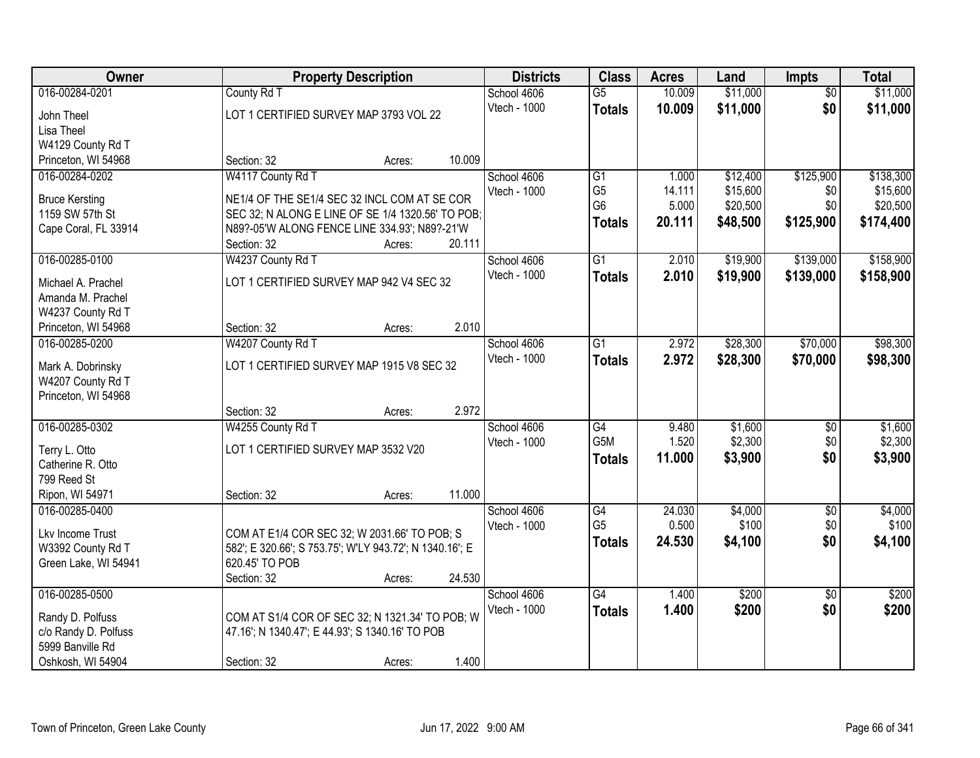| Owner                                 | <b>Property Description</b>                             |                  | <b>Districts</b> | <b>Class</b>    | <b>Acres</b> | Land     | <b>Impts</b>    | <b>Total</b> |
|---------------------------------------|---------------------------------------------------------|------------------|------------------|-----------------|--------------|----------|-----------------|--------------|
| 016-00284-0201                        | County Rd T                                             |                  | School 4606      | $\overline{G5}$ | 10.009       | \$11,000 | $\overline{50}$ | \$11,000     |
| John Theel                            | LOT 1 CERTIFIED SURVEY MAP 3793 VOL 22                  |                  | Vtech - 1000     | <b>Totals</b>   | 10.009       | \$11,000 | \$0             | \$11,000     |
| Lisa Theel                            |                                                         |                  |                  |                 |              |          |                 |              |
| W4129 County Rd T                     |                                                         |                  |                  |                 |              |          |                 |              |
| Princeton, WI 54968                   | Section: 32                                             | 10.009<br>Acres: |                  |                 |              |          |                 |              |
| 016-00284-0202                        | W4117 County Rd T                                       |                  | School 4606      | G1              | 1.000        | \$12,400 | \$125,900       | \$138,300    |
| <b>Bruce Kersting</b>                 | NE1/4 OF THE SE1/4 SEC 32 INCL COM AT SE COR            |                  | Vtech - 1000     | G <sub>5</sub>  | 14.111       | \$15,600 | \$0             | \$15,600     |
| 1159 SW 57th St                       | SEC 32; N ALONG E LINE OF SE 1/4 1320.56' TO POB;       |                  |                  | G <sub>6</sub>  | 5.000        | \$20,500 | \$0             | \$20,500     |
| Cape Coral, FL 33914                  | N89?-05'W ALONG FENCE LINE 334.93'; N89?-21'W           |                  |                  | <b>Totals</b>   | 20.111       | \$48,500 | \$125,900       | \$174,400    |
|                                       | Section: 32                                             | 20.111<br>Acres: |                  |                 |              |          |                 |              |
| 016-00285-0100                        | W4237 County Rd T                                       |                  | School 4606      | G1              | 2.010        | \$19,900 | \$139,000       | \$158,900    |
|                                       |                                                         |                  | Vtech - 1000     | <b>Totals</b>   | 2.010        | \$19,900 | \$139,000       | \$158,900    |
| Michael A. Prachel                    | LOT 1 CERTIFIED SURVEY MAP 942 V4 SEC 32                |                  |                  |                 |              |          |                 |              |
| Amanda M. Prachel                     |                                                         |                  |                  |                 |              |          |                 |              |
| W4237 County Rd T                     | Section: 32                                             | 2.010<br>Acres:  |                  |                 |              |          |                 |              |
| Princeton, WI 54968<br>016-00285-0200 | W4207 County Rd T                                       |                  | School 4606      | $\overline{G1}$ | 2.972        | \$28,300 | \$70,000        | \$98,300     |
|                                       |                                                         |                  | Vtech - 1000     |                 | 2.972        |          |                 |              |
| Mark A. Dobrinsky                     | LOT 1 CERTIFIED SURVEY MAP 1915 V8 SEC 32               |                  |                  | <b>Totals</b>   |              | \$28,300 | \$70,000        | \$98,300     |
| W4207 County Rd T                     |                                                         |                  |                  |                 |              |          |                 |              |
| Princeton, WI 54968                   |                                                         |                  |                  |                 |              |          |                 |              |
|                                       | Section: 32                                             | 2.972<br>Acres:  |                  |                 |              |          |                 |              |
| 016-00285-0302                        | W4255 County Rd T                                       |                  | School 4606      | $\overline{G4}$ | 9.480        | \$1,600  | \$0             | \$1,600      |
| Terry L. Otto                         | LOT 1 CERTIFIED SURVEY MAP 3532 V20                     |                  | Vtech - 1000     | G5M             | 1.520        | \$2,300  | \$0             | \$2,300      |
| Catherine R. Otto                     |                                                         |                  |                  | <b>Totals</b>   | 11.000       | \$3,900  | \$0             | \$3,900      |
| 799 Reed St                           |                                                         |                  |                  |                 |              |          |                 |              |
| Ripon, WI 54971                       | Section: 32                                             | 11.000<br>Acres: |                  |                 |              |          |                 |              |
| 016-00285-0400                        |                                                         |                  | School 4606      | $\overline{G4}$ | 24.030       | \$4,000  | $\overline{$0}$ | \$4,000      |
| Lkv Income Trust                      | COM AT E1/4 COR SEC 32; W 2031.66' TO POB; S            |                  | Vtech - 1000     | G <sub>5</sub>  | 0.500        | \$100    | \$0             | \$100        |
| W3392 County Rd T                     | 582'; E 320.66'; S 753.75'; W'LY 943.72'; N 1340.16'; E |                  |                  | <b>Totals</b>   | 24.530       | \$4,100  | \$0             | \$4,100      |
| Green Lake, WI 54941                  | 620.45' TO POB                                          |                  |                  |                 |              |          |                 |              |
|                                       | Section: 32                                             | 24.530<br>Acres: |                  |                 |              |          |                 |              |
| 016-00285-0500                        |                                                         |                  | School 4606      | G4              | 1.400        | \$200    | $\overline{30}$ | \$200        |
|                                       |                                                         |                  | Vtech - 1000     | <b>Totals</b>   | 1.400        | \$200    | \$0             | \$200        |
| Randy D. Polfuss                      | COM AT S1/4 COR OF SEC 32; N 1321.34' TO POB; W         |                  |                  |                 |              |          |                 |              |
| c/o Randy D. Polfuss                  | 47.16'; N 1340.47'; E 44.93'; S 1340.16' TO POB         |                  |                  |                 |              |          |                 |              |
| 5999 Banville Rd                      |                                                         | 1.400            |                  |                 |              |          |                 |              |
| Oshkosh, WI 54904                     | Section: 32                                             | Acres:           |                  |                 |              |          |                 |              |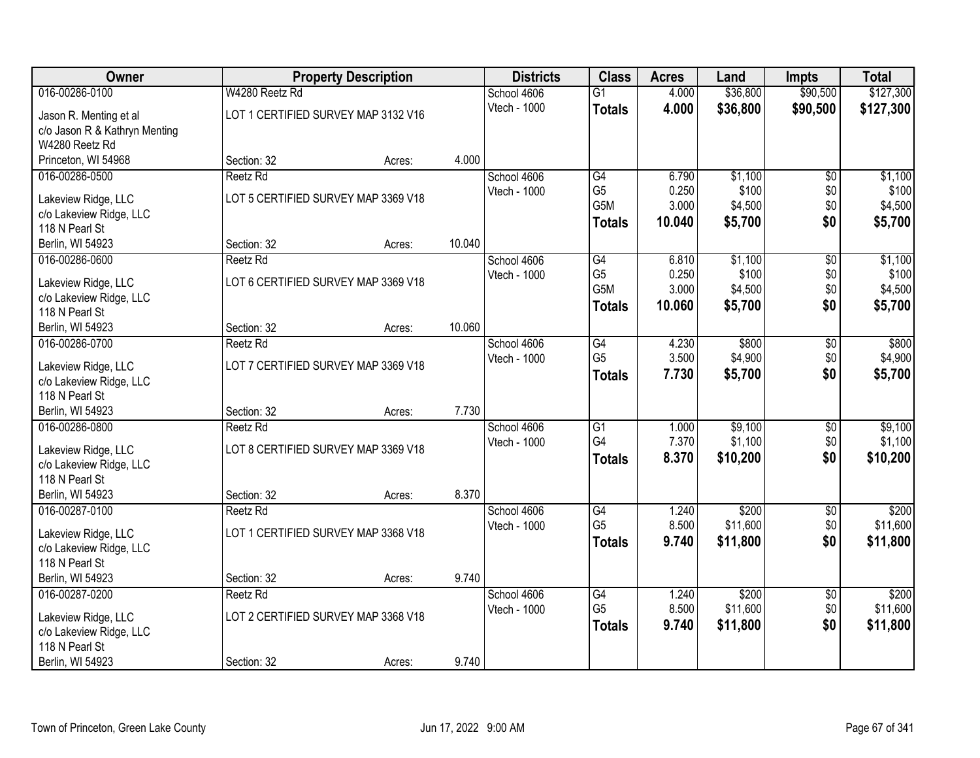| Owner                                     |                                     | <b>Property Description</b> |        | <b>Districts</b> | <b>Class</b>          | <b>Acres</b>   | Land               | <b>Impts</b>    | <b>Total</b>       |
|-------------------------------------------|-------------------------------------|-----------------------------|--------|------------------|-----------------------|----------------|--------------------|-----------------|--------------------|
| 016-00286-0100                            | W4280 Reetz Rd                      |                             |        | School 4606      | $\overline{G1}$       | 4.000          | \$36,800           | \$90,500        | \$127,300          |
| Jason R. Menting et al                    | LOT 1 CERTIFIED SURVEY MAP 3132 V16 |                             |        | Vtech - 1000     | <b>Totals</b>         | 4.000          | \$36,800           | \$90,500        | \$127,300          |
| c/o Jason R & Kathryn Menting             |                                     |                             |        |                  |                       |                |                    |                 |                    |
| W4280 Reetz Rd                            |                                     |                             |        |                  |                       |                |                    |                 |                    |
| Princeton, WI 54968                       | Section: 32                         | Acres:                      | 4.000  |                  |                       |                |                    |                 |                    |
| 016-00286-0500                            | Reetz Rd                            |                             |        | School 4606      | G4                    | 6.790          | \$1,100            | $\overline{50}$ | \$1,100            |
| Lakeview Ridge, LLC                       | LOT 5 CERTIFIED SURVEY MAP 3369 V18 |                             |        | Vtech - 1000     | G <sub>5</sub>        | 0.250          | \$100              | \$0             | \$100              |
| c/o Lakeview Ridge, LLC                   |                                     |                             |        |                  | G5M                   | 3.000          | \$4,500            | \$0             | \$4,500            |
| 118 N Pearl St                            |                                     |                             |        |                  | <b>Totals</b>         | 10.040         | \$5,700            | \$0             | \$5,700            |
| Berlin, WI 54923                          | Section: 32                         | Acres:                      | 10.040 |                  |                       |                |                    |                 |                    |
| 016-00286-0600                            | Reetz Rd                            |                             |        | School 4606      | G4                    | 6.810          | \$1,100            | \$0             | \$1,100            |
|                                           |                                     |                             |        | Vtech - 1000     | G <sub>5</sub>        | 0.250          | \$100              | \$0             | \$100              |
| Lakeview Ridge, LLC                       | LOT 6 CERTIFIED SURVEY MAP 3369 V18 |                             |        |                  | G5M                   | 3.000          | \$4,500            | \$0             | \$4,500            |
| c/o Lakeview Ridge, LLC<br>118 N Pearl St |                                     |                             |        |                  | <b>Totals</b>         | 10.060         | \$5,700            | \$0             | \$5,700            |
| Berlin, WI 54923                          | Section: 32                         | Acres:                      | 10.060 |                  |                       |                |                    |                 |                    |
| 016-00286-0700                            | Reetz Rd                            |                             |        | School 4606      | G4                    | 4.230          | \$800              | \$0             | \$800              |
|                                           |                                     |                             |        | Vtech - 1000     | G <sub>5</sub>        | 3.500          | \$4,900            | \$0             | \$4,900            |
| Lakeview Ridge, LLC                       | LOT 7 CERTIFIED SURVEY MAP 3369 V18 |                             |        |                  | <b>Totals</b>         | 7.730          | \$5,700            | \$0             | \$5,700            |
| c/o Lakeview Ridge, LLC                   |                                     |                             |        |                  |                       |                |                    |                 |                    |
| 118 N Pearl St                            |                                     |                             |        |                  |                       |                |                    |                 |                    |
| Berlin, WI 54923                          | Section: 32                         | Acres:                      | 7.730  |                  |                       |                |                    |                 |                    |
| 016-00286-0800                            | <b>Reetz Rd</b>                     |                             |        | School 4606      | $\overline{G1}$<br>G4 | 1.000<br>7.370 | \$9,100<br>\$1,100 | \$0             | \$9,100<br>\$1,100 |
| Lakeview Ridge, LLC                       | LOT 8 CERTIFIED SURVEY MAP 3369 V18 |                             |        | Vtech - 1000     |                       |                |                    | \$0<br>\$0      |                    |
| c/o Lakeview Ridge, LLC                   |                                     |                             |        |                  | <b>Totals</b>         | 8.370          | \$10,200           |                 | \$10,200           |
| 118 N Pearl St                            |                                     |                             |        |                  |                       |                |                    |                 |                    |
| Berlin, WI 54923                          | Section: 32                         | Acres:                      | 8.370  |                  |                       |                |                    |                 |                    |
| 016-00287-0100                            | Reetz Rd                            |                             |        | School 4606      | $\overline{G4}$       | 1.240          | \$200              | $\overline{50}$ | \$200              |
| Lakeview Ridge, LLC                       | LOT 1 CERTIFIED SURVEY MAP 3368 V18 |                             |        | Vtech - 1000     | G <sub>5</sub>        | 8.500          | \$11,600           | \$0             | \$11,600           |
| c/o Lakeview Ridge, LLC                   |                                     |                             |        |                  | <b>Totals</b>         | 9.740          | \$11,800           | \$0             | \$11,800           |
| 118 N Pearl St                            |                                     |                             |        |                  |                       |                |                    |                 |                    |
| Berlin, WI 54923                          | Section: 32                         | Acres:                      | 9.740  |                  |                       |                |                    |                 |                    |
| 016-00287-0200                            | Reetz Rd                            |                             |        | School 4606      | G4                    | 1.240          | \$200              | $\overline{60}$ | \$200              |
| Lakeview Ridge, LLC                       | LOT 2 CERTIFIED SURVEY MAP 3368 V18 |                             |        | Vtech - 1000     | G <sub>5</sub>        | 8.500          | \$11,600           | \$0             | \$11,600           |
| c/o Lakeview Ridge, LLC                   |                                     |                             |        |                  | <b>Totals</b>         | 9.740          | \$11,800           | \$0             | \$11,800           |
| 118 N Pearl St                            |                                     |                             |        |                  |                       |                |                    |                 |                    |
| Berlin, WI 54923                          | Section: 32                         | Acres:                      | 9.740  |                  |                       |                |                    |                 |                    |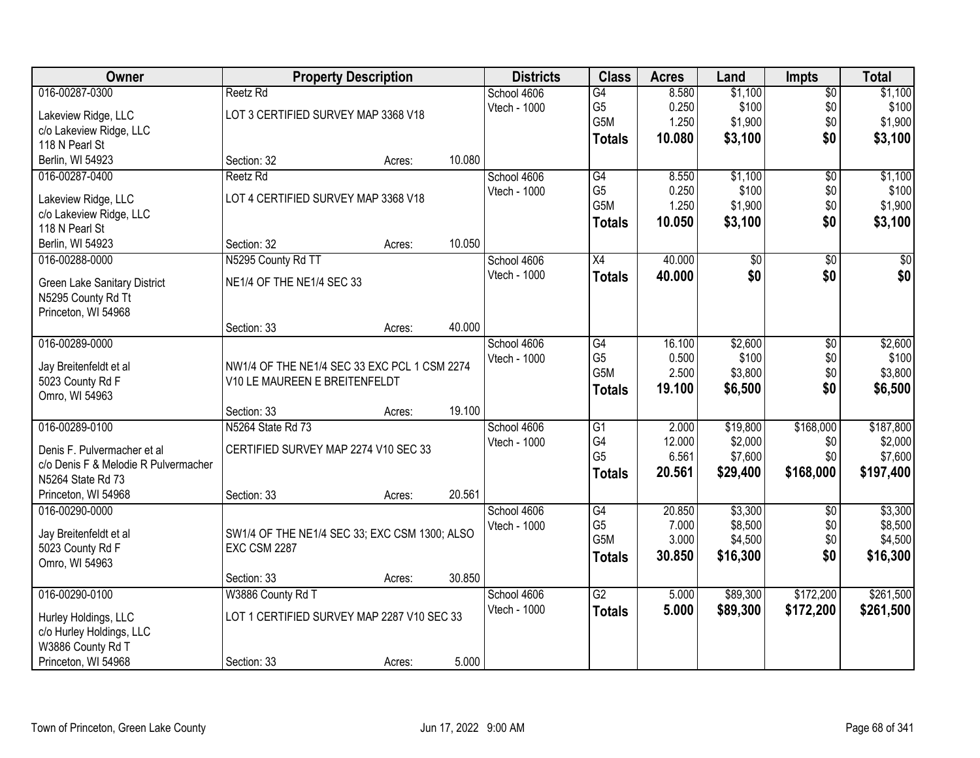| Owner                                | <b>Property Description</b>                   |        |        | <b>Districts</b> | <b>Class</b>    | <b>Acres</b> | Land            | <b>Impts</b>    | <b>Total</b>    |
|--------------------------------------|-----------------------------------------------|--------|--------|------------------|-----------------|--------------|-----------------|-----------------|-----------------|
| 016-00287-0300                       | Reetz Rd                                      |        |        | School 4606      | G4              | 8.580        | \$1,100         | $\overline{$0}$ | \$1,100         |
| Lakeview Ridge, LLC                  | LOT 3 CERTIFIED SURVEY MAP 3368 V18           |        |        | Vtech - 1000     | G <sub>5</sub>  | 0.250        | \$100           | \$0             | \$100           |
| c/o Lakeview Ridge, LLC              |                                               |        |        |                  | G5M             | 1.250        | \$1,900         | \$0             | \$1,900         |
| 118 N Pearl St                       |                                               |        |        |                  | <b>Totals</b>   | 10.080       | \$3,100         | \$0             | \$3,100         |
| Berlin, WI 54923                     | Section: 32                                   | Acres: | 10.080 |                  |                 |              |                 |                 |                 |
| 016-00287-0400                       | Reetz Rd                                      |        |        | School 4606      | G4              | 8.550        | \$1,100         | $\overline{50}$ | \$1,100         |
|                                      |                                               |        |        | Vtech - 1000     | G <sub>5</sub>  | 0.250        | \$100           | \$0             | \$100           |
| Lakeview Ridge, LLC                  | LOT 4 CERTIFIED SURVEY MAP 3368 V18           |        |        |                  | G5M             | 1.250        | \$1,900         | \$0             | \$1,900         |
| c/o Lakeview Ridge, LLC              |                                               |        |        |                  | <b>Totals</b>   | 10.050       | \$3,100         | \$0             | \$3,100         |
| 118 N Pearl St                       |                                               |        |        |                  |                 |              |                 |                 |                 |
| Berlin, WI 54923                     | Section: 32                                   | Acres: | 10.050 |                  |                 |              |                 |                 |                 |
| 016-00288-0000                       | N5295 County Rd TT                            |        |        | School 4606      | X4              | 40.000       | $\overline{60}$ | \$0             | $\overline{50}$ |
| <b>Green Lake Sanitary District</b>  | NE1/4 OF THE NE1/4 SEC 33                     |        |        | Vtech - 1000     | <b>Totals</b>   | 40.000       | \$0             | \$0             | \$0             |
| N5295 County Rd Tt                   |                                               |        |        |                  |                 |              |                 |                 |                 |
| Princeton, WI 54968                  |                                               |        |        |                  |                 |              |                 |                 |                 |
|                                      | Section: 33                                   | Acres: | 40.000 |                  |                 |              |                 |                 |                 |
| 016-00289-0000                       |                                               |        |        | School 4606      | G4              | 16.100       | \$2,600         | \$0             | \$2,600         |
|                                      |                                               |        |        | Vtech - 1000     | G <sub>5</sub>  | 0.500        | \$100           | \$0             | \$100           |
| Jay Breitenfeldt et al               | NW1/4 OF THE NE1/4 SEC 33 EXC PCL 1 CSM 2274  |        |        |                  | G5M             | 2.500        | \$3,800         | \$0             | \$3,800         |
| 5023 County Rd F<br>Omro, WI 54963   | V10 LE MAUREEN E BREITENFELDT                 |        |        |                  | <b>Totals</b>   | 19.100       | \$6,500         | \$0             | \$6,500         |
|                                      | Section: 33                                   | Acres: | 19.100 |                  |                 |              |                 |                 |                 |
| 016-00289-0100                       | N5264 State Rd 73                             |        |        | School 4606      | $\overline{G1}$ | 2.000        | \$19,800        | \$168,000       | \$187,800       |
|                                      |                                               |        |        | Vtech - 1000     | G4              | 12.000       | \$2,000         | \$0             | \$2,000         |
| Denis F. Pulvermacher et al          | CERTIFIED SURVEY MAP 2274 V10 SEC 33          |        |        |                  | G <sub>5</sub>  | 6.561        | \$7,600         | \$0             | \$7,600         |
| c/o Denis F & Melodie R Pulvermacher |                                               |        |        |                  |                 | 20.561       | \$29,400        | \$168,000       | \$197,400       |
| N5264 State Rd 73                    |                                               |        |        |                  | <b>Totals</b>   |              |                 |                 |                 |
| Princeton, WI 54968                  | Section: 33                                   | Acres: | 20.561 |                  |                 |              |                 |                 |                 |
| 016-00290-0000                       |                                               |        |        | School 4606      | G4              | 20.850       | \$3,300         | $\overline{50}$ | \$3,300         |
| Jay Breitenfeldt et al               | SW1/4 OF THE NE1/4 SEC 33; EXC CSM 1300; ALSO |        |        | Vtech - 1000     | G <sub>5</sub>  | 7.000        | \$8,500         | \$0             | \$8,500         |
| 5023 County Rd F                     | <b>EXC CSM 2287</b>                           |        |        |                  | G5M             | 3.000        | \$4,500         | \$0             | \$4,500         |
| Omro, WI 54963                       |                                               |        |        |                  | <b>Totals</b>   | 30.850       | \$16,300        | \$0             | \$16,300        |
|                                      | Section: 33                                   | Acres: | 30.850 |                  |                 |              |                 |                 |                 |
| 016-00290-0100                       | W3886 County Rd T                             |        |        | School 4606      | $\overline{G2}$ | 5.000        | \$89,300        | \$172,200       | \$261,500       |
|                                      |                                               |        |        | Vtech - 1000     | <b>Totals</b>   | 5.000        | \$89,300        | \$172,200       | \$261,500       |
| Hurley Holdings, LLC                 | LOT 1 CERTIFIED SURVEY MAP 2287 V10 SEC 33    |        |        |                  |                 |              |                 |                 |                 |
| c/o Hurley Holdings, LLC             |                                               |        |        |                  |                 |              |                 |                 |                 |
| W3886 County Rd T                    |                                               |        |        |                  |                 |              |                 |                 |                 |
| Princeton, WI 54968                  | Section: 33                                   | Acres: | 5.000  |                  |                 |              |                 |                 |                 |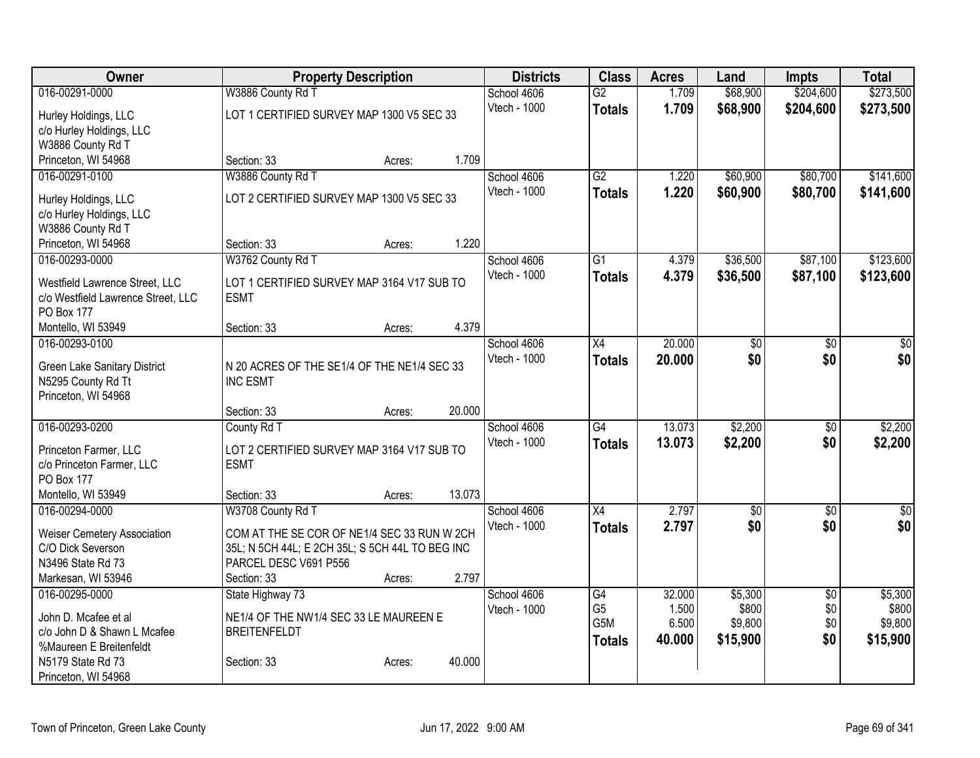| Owner                                            | <b>Property Description</b>                               |        | <b>Districts</b>            | <b>Class</b>     | <b>Acres</b>   | Land                   | <b>Impts</b>    | <b>Total</b>    |
|--------------------------------------------------|-----------------------------------------------------------|--------|-----------------------------|------------------|----------------|------------------------|-----------------|-----------------|
| 016-00291-0000                                   | W3886 County Rd T                                         |        | School 4606                 | $\overline{G2}$  | 1.709          | \$68,900               | \$204,600       | \$273,500       |
| Hurley Holdings, LLC                             | LOT 1 CERTIFIED SURVEY MAP 1300 V5 SEC 33                 |        | Vtech - 1000                | <b>Totals</b>    | 1.709          | \$68,900               | \$204,600       | \$273,500       |
| c/o Hurley Holdings, LLC                         |                                                           |        |                             |                  |                |                        |                 |                 |
| W3886 County Rd T                                |                                                           |        |                             |                  |                |                        |                 |                 |
| Princeton, WI 54968                              | Section: 33                                               | Acres: | 1.709                       |                  |                |                        |                 |                 |
| 016-00291-0100                                   | W3886 County Rd T                                         |        | School 4606                 | $\overline{G2}$  | 1.220          | \$60,900               | \$80,700        | \$141,600       |
| Hurley Holdings, LLC                             | LOT 2 CERTIFIED SURVEY MAP 1300 V5 SEC 33                 |        | Vtech - 1000                | <b>Totals</b>    | 1.220          | \$60,900               | \$80,700        | \$141,600       |
| c/o Hurley Holdings, LLC                         |                                                           |        |                             |                  |                |                        |                 |                 |
| W3886 County Rd T                                |                                                           |        |                             |                  |                |                        |                 |                 |
| Princeton, WI 54968                              | Section: 33                                               | Acres: | 1.220                       |                  |                |                        |                 |                 |
| 016-00293-0000                                   | W3762 County Rd T                                         |        | School 4606                 | G1               | 4.379          | \$36,500               | \$87,100        | \$123,600       |
|                                                  |                                                           |        | Vtech - 1000                | <b>Totals</b>    | 4.379          | \$36,500               | \$87,100        | \$123,600       |
| Westfield Lawrence Street, LLC                   | LOT 1 CERTIFIED SURVEY MAP 3164 V17 SUB TO<br><b>ESMT</b> |        |                             |                  |                |                        |                 |                 |
| c/o Westfield Lawrence Street, LLC<br>PO Box 177 |                                                           |        |                             |                  |                |                        |                 |                 |
| Montello, WI 53949                               | Section: 33                                               | Acres: | 4.379                       |                  |                |                        |                 |                 |
| 016-00293-0100                                   |                                                           |        | School 4606                 | $\overline{X4}$  | 20.000         | $\overline{30}$        | $\sqrt{6}$      | $\overline{50}$ |
|                                                  |                                                           |        | Vtech - 1000                | <b>Totals</b>    | 20.000         | \$0                    | \$0             | \$0             |
| <b>Green Lake Sanitary District</b>              | N 20 ACRES OF THE SE1/4 OF THE NE1/4 SEC 33               |        |                             |                  |                |                        |                 |                 |
| N5295 County Rd Tt                               | <b>INC ESMT</b>                                           |        |                             |                  |                |                        |                 |                 |
| Princeton, WI 54968                              | Section: 33                                               | Acres: | 20.000                      |                  |                |                        |                 |                 |
| 016-00293-0200                                   | County Rd T                                               |        | School 4606                 | $\overline{G4}$  | 13.073         | \$2,200                | $\overline{30}$ | \$2,200         |
|                                                  |                                                           |        | Vtech - 1000                | <b>Totals</b>    | 13.073         | \$2,200                | \$0             | \$2,200         |
| Princeton Farmer, LLC                            | LOT 2 CERTIFIED SURVEY MAP 3164 V17 SUB TO                |        |                             |                  |                |                        |                 |                 |
| c/o Princeton Farmer, LLC                        | <b>ESMT</b>                                               |        |                             |                  |                |                        |                 |                 |
| PO Box 177                                       |                                                           |        |                             |                  |                |                        |                 |                 |
| Montello, WI 53949                               | Section: 33                                               | Acres: | 13.073                      |                  |                |                        |                 |                 |
| 016-00294-0000                                   | W3708 County Rd T                                         |        | School 4606<br>Vtech - 1000 | $\overline{X4}$  | 2.797<br>2.797 | $\overline{30}$<br>\$0 | $\overline{30}$ | $\overline{50}$ |
| Weiser Cemetery Association                      | COM AT THE SE COR OF NE1/4 SEC 33 RUN W 2CH               |        |                             | <b>Totals</b>    |                |                        | \$0             | \$0             |
| C/O Dick Severson                                | 35L; N 5CH 44L; E 2CH 35L; S 5CH 44L TO BEG INC           |        |                             |                  |                |                        |                 |                 |
| N3496 State Rd 73                                | PARCEL DESC V691 P556                                     |        |                             |                  |                |                        |                 |                 |
| Markesan, WI 53946                               | Section: 33                                               | Acres: | 2.797                       |                  |                |                        |                 |                 |
| 016-00295-0000                                   | State Highway 73                                          |        | School 4606                 | $\overline{G4}$  | 32.000         | \$5,300                | $\overline{50}$ | \$5,300         |
| John D. Mcafee et al                             | NE1/4 OF THE NW1/4 SEC 33 LE MAUREEN E                    |        | Vtech - 1000                | G <sub>5</sub>   | 1.500          | \$800                  | \$0             | \$800           |
| c/o John D & Shawn L Mcafee                      | <b>BREITENFELDT</b>                                       |        |                             | G <sub>5</sub> M | 6.500          | \$9,800                | \$0             | \$9,800         |
| %Maureen E Breitenfeldt                          |                                                           |        |                             | <b>Totals</b>    | 40.000         | \$15,900               | \$0             | \$15,900        |
| N5179 State Rd 73                                | Section: 33                                               | Acres: | 40.000                      |                  |                |                        |                 |                 |
| Princeton, WI 54968                              |                                                           |        |                             |                  |                |                        |                 |                 |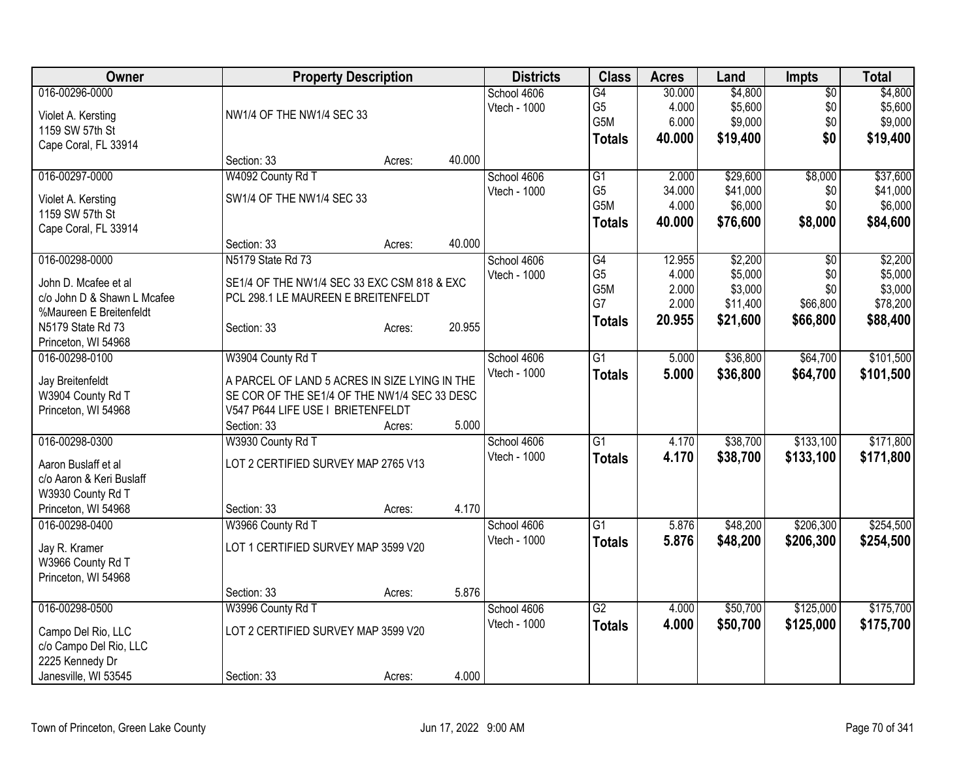| <b>Owner</b>                                        |                                               | <b>Property Description</b> |        | <b>Districts</b> | <b>Class</b>    | <b>Acres</b> | Land     | Impts           | <b>Total</b> |
|-----------------------------------------------------|-----------------------------------------------|-----------------------------|--------|------------------|-----------------|--------------|----------|-----------------|--------------|
| 016-00296-0000                                      |                                               |                             |        | School 4606      | G4              | 30.000       | \$4,800  | $\overline{50}$ | \$4,800      |
| Violet A. Kersting                                  | NW1/4 OF THE NW1/4 SEC 33                     |                             |        | Vtech - 1000     | G <sub>5</sub>  | 4.000        | \$5,600  | \$0             | \$5,600      |
| 1159 SW 57th St                                     |                                               |                             |        |                  | G5M             | 6.000        | \$9,000  | \$0             | \$9,000      |
| Cape Coral, FL 33914                                |                                               |                             |        |                  | <b>Totals</b>   | 40.000       | \$19,400 | \$0             | \$19,400     |
|                                                     | Section: 33                                   | Acres:                      | 40.000 |                  |                 |              |          |                 |              |
| 016-00297-0000                                      | W4092 County Rd T                             |                             |        | School 4606      | G1              | 2.000        | \$29,600 | \$8,000         | \$37,600     |
| Violet A. Kersting                                  | SW1/4 OF THE NW1/4 SEC 33                     |                             |        | Vtech - 1000     | G <sub>5</sub>  | 34.000       | \$41,000 | \$0             | \$41,000     |
| 1159 SW 57th St                                     |                                               |                             |        |                  | G5M             | 4.000        | \$6,000  | \$0             | \$6,000      |
| Cape Coral, FL 33914                                |                                               |                             |        |                  | <b>Totals</b>   | 40.000       | \$76,600 | \$8,000         | \$84,600     |
|                                                     | Section: 33                                   | Acres:                      | 40.000 |                  |                 |              |          |                 |              |
| 016-00298-0000                                      | N5179 State Rd 73                             |                             |        | School 4606      | G4              | 12.955       | \$2,200  | $\overline{50}$ | \$2,200      |
|                                                     |                                               |                             |        | Vtech - 1000     | G <sub>5</sub>  | 4.000        | \$5,000  | \$0             | \$5,000      |
| John D. Mcafee et al<br>c/o John D & Shawn L Mcafee | SE1/4 OF THE NW1/4 SEC 33 EXC CSM 818 & EXC   |                             |        |                  | G5M             | 2.000        | \$3,000  | \$0             | \$3,000      |
| %Maureen E Breitenfeldt                             | PCL 298.1 LE MAUREEN E BREITENFELDT           |                             |        |                  | G7              | 2.000        | \$11,400 | \$66,800        | \$78,200     |
| N5179 State Rd 73                                   | Section: 33                                   | Acres:                      | 20.955 |                  | <b>Totals</b>   | 20.955       | \$21,600 | \$66,800        | \$88,400     |
| Princeton, WI 54968                                 |                                               |                             |        |                  |                 |              |          |                 |              |
| 016-00298-0100                                      | W3904 County Rd T                             |                             |        | School 4606      | $\overline{G1}$ | 5.000        | \$36,800 | \$64,700        | \$101,500    |
|                                                     |                                               |                             |        | Vtech - 1000     | <b>Totals</b>   | 5.000        | \$36,800 | \$64,700        | \$101,500    |
| Jay Breitenfeldt                                    | A PARCEL OF LAND 5 ACRES IN SIZE LYING IN THE |                             |        |                  |                 |              |          |                 |              |
| W3904 County Rd T                                   | SE COR OF THE SE1/4 OF THE NW1/4 SEC 33 DESC  |                             |        |                  |                 |              |          |                 |              |
| Princeton, WI 54968                                 | V547 P644 LIFE USE I BRIETENFELDT             |                             |        |                  |                 |              |          |                 |              |
|                                                     | Section: 33                                   | Acres:                      | 5.000  |                  |                 |              |          |                 |              |
| 016-00298-0300                                      | W3930 County Rd T                             |                             |        | School 4606      | $\overline{G1}$ | 4.170        | \$38,700 | \$133,100       | \$171,800    |
| Aaron Buslaff et al                                 | LOT 2 CERTIFIED SURVEY MAP 2765 V13           |                             |        | Vtech - 1000     | <b>Totals</b>   | 4.170        | \$38,700 | \$133,100       | \$171,800    |
| c/o Aaron & Keri Buslaff                            |                                               |                             |        |                  |                 |              |          |                 |              |
| W3930 County Rd T                                   |                                               |                             |        |                  |                 |              |          |                 |              |
| Princeton, WI 54968                                 | Section: 33                                   | Acres:                      | 4.170  |                  |                 |              |          |                 |              |
| 016-00298-0400                                      | W3966 County Rd T                             |                             |        | School 4606      | $\overline{G1}$ | 5.876        | \$48,200 | \$206,300       | \$254,500    |
| Jay R. Kramer                                       | LOT 1 CERTIFIED SURVEY MAP 3599 V20           |                             |        | Vtech - 1000     | <b>Totals</b>   | 5.876        | \$48,200 | \$206,300       | \$254,500    |
| W3966 County Rd T                                   |                                               |                             |        |                  |                 |              |          |                 |              |
| Princeton, WI 54968                                 |                                               |                             |        |                  |                 |              |          |                 |              |
|                                                     | Section: 33                                   | Acres:                      | 5.876  |                  |                 |              |          |                 |              |
| 016-00298-0500                                      | W3996 County Rd T                             |                             |        | School 4606      | G2              | 4.000        | \$50,700 | \$125,000       | \$175,700    |
| Campo Del Rio, LLC                                  | LOT 2 CERTIFIED SURVEY MAP 3599 V20           |                             |        | Vtech - 1000     | <b>Totals</b>   | 4.000        | \$50,700 | \$125,000       | \$175,700    |
| c/o Campo Del Rio, LLC                              |                                               |                             |        |                  |                 |              |          |                 |              |
| 2225 Kennedy Dr                                     |                                               |                             |        |                  |                 |              |          |                 |              |
| Janesville, WI 53545                                | Section: 33                                   | Acres:                      | 4.000  |                  |                 |              |          |                 |              |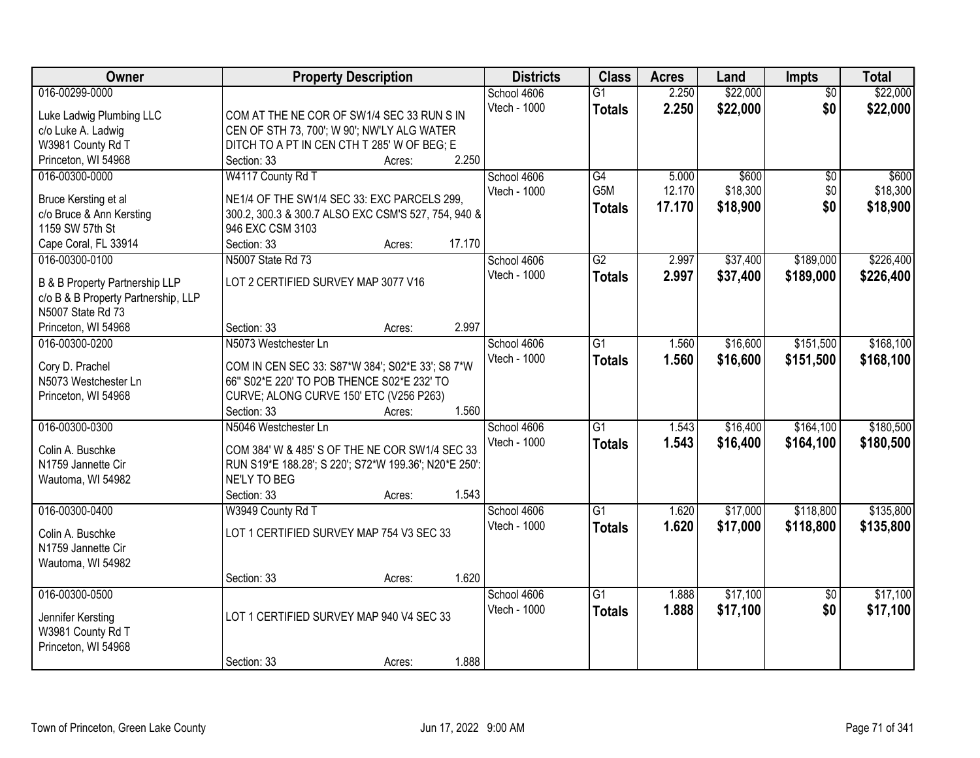| 016-00299-0000<br>2.250<br>\$22,000<br>School 4606<br>$\overline{G1}$<br>$\overline{50}$<br>2.250<br>\$22,000<br>\$0<br>Vtech - 1000<br><b>Totals</b><br>Luke Ladwig Plumbing LLC<br>COM AT THE NE COR OF SW1/4 SEC 33 RUN S IN<br>CEN OF STH 73, 700'; W 90'; NW'LY ALG WATER<br>c/o Luke A. Ladwig<br>W3981 County Rd T<br>DITCH TO A PT IN CEN CTH T 285' W OF BEG; E<br>Princeton, WI 54968<br>2.250<br>Section: 33<br>Acres:<br>016-00300-0000<br>W4117 County Rd T<br>$\overline{G4}$<br>5.000<br>\$600<br>\$600<br>School 4606<br>\$0<br>G <sub>5</sub> M<br>12.170<br>\$18,300<br>\$0<br>Vtech - 1000<br>Bruce Kersting et al<br>NE1/4 OF THE SW1/4 SEC 33: EXC PARCELS 299,<br>\$0<br>17.170<br>\$18,900<br><b>Totals</b><br>c/o Bruce & Ann Kersting<br>300.2, 300.3 & 300.7 ALSO EXC CSM'S 527, 754, 940 &<br>1159 SW 57th St<br>946 EXC CSM 3103<br>17.170<br>Cape Coral, FL 33914<br>Section: 33<br>Acres:<br>016-00300-0100<br>$\overline{G2}$<br>\$189,000<br>N5007 State Rd 73<br>2.997<br>\$37,400<br>School 4606<br>Vtech - 1000<br>2.997<br>\$37,400<br>\$189,000<br><b>Totals</b><br>LOT 2 CERTIFIED SURVEY MAP 3077 V16<br><b>B &amp; B Property Partnership LLP</b><br>c/o B & B Property Partnership, LLP<br>N5007 State Rd 73<br>2.997<br>Princeton, WI 54968<br>Section: 33<br>Acres:<br>\$16,600<br>\$151,500<br>016-00300-0200<br>N5073 Westchester Ln<br>School 4606<br>G1<br>1.560<br>Vtech - 1000<br>1.560<br>\$16,600<br>\$151,500<br><b>Totals</b><br>COM IN CEN SEC 33: S87*W 384'; S02*E 33'; S8 7*W<br>Cory D. Prachel<br>66" S02*E 220' TO POB THENCE S02*E 232' TO<br>N5073 Westchester Ln<br>Princeton, WI 54968<br>CURVE; ALONG CURVE 150' ETC (V256 P263)<br>1.560<br>Section: 33<br>Acres:<br>\$164,100<br>016-00300-0300<br>$\overline{G1}$<br>1.543<br>\$16,400<br>N5046 Westchester Ln<br>School 4606<br>1.543<br>Vtech - 1000<br>\$16,400<br>\$164,100<br><b>Totals</b><br>COM 384' W & 485' S OF THE NE COR SW1/4 SEC 33<br>Colin A. Buschke<br>N1759 Jannette Cir<br>RUN S19*E 188.28'; S 220'; S72*W 199.36'; N20*E 250':<br>Wautoma, WI 54982<br>NE'LY TO BEG<br>1.543<br>Section: 33<br>Acres:<br>016-00300-0400<br>$\overline{G1}$<br>\$118,800<br>School 4606<br>1.620<br>\$17,000<br>W3949 County Rd T<br>\$17,000<br>Vtech - 1000<br>1.620<br>\$118,800<br><b>Totals</b><br>LOT 1 CERTIFIED SURVEY MAP 754 V3 SEC 33<br>Colin A. Buschke | Owner              | <b>Property Description</b> | <b>Districts</b> | <b>Class</b> | <b>Acres</b> | Land     | <b>Impts</b> | <b>Total</b> |
|------------------------------------------------------------------------------------------------------------------------------------------------------------------------------------------------------------------------------------------------------------------------------------------------------------------------------------------------------------------------------------------------------------------------------------------------------------------------------------------------------------------------------------------------------------------------------------------------------------------------------------------------------------------------------------------------------------------------------------------------------------------------------------------------------------------------------------------------------------------------------------------------------------------------------------------------------------------------------------------------------------------------------------------------------------------------------------------------------------------------------------------------------------------------------------------------------------------------------------------------------------------------------------------------------------------------------------------------------------------------------------------------------------------------------------------------------------------------------------------------------------------------------------------------------------------------------------------------------------------------------------------------------------------------------------------------------------------------------------------------------------------------------------------------------------------------------------------------------------------------------------------------------------------------------------------------------------------------------------------------------------------------------------------------------------------------------------------------------------------------------------------------------------------------------------------------------------------------------------------------------------------------------------------------------------------------------------------------------------------------------------------------|--------------------|-----------------------------|------------------|--------------|--------------|----------|--------------|--------------|
|                                                                                                                                                                                                                                                                                                                                                                                                                                                                                                                                                                                                                                                                                                                                                                                                                                                                                                                                                                                                                                                                                                                                                                                                                                                                                                                                                                                                                                                                                                                                                                                                                                                                                                                                                                                                                                                                                                                                                                                                                                                                                                                                                                                                                                                                                                                                                                                                |                    |                             |                  |              |              | \$22,000 |              |              |
|                                                                                                                                                                                                                                                                                                                                                                                                                                                                                                                                                                                                                                                                                                                                                                                                                                                                                                                                                                                                                                                                                                                                                                                                                                                                                                                                                                                                                                                                                                                                                                                                                                                                                                                                                                                                                                                                                                                                                                                                                                                                                                                                                                                                                                                                                                                                                                                                |                    |                             |                  |              |              |          |              | \$22,000     |
| \$18,300<br>\$18,900<br>\$168,100<br>\$180,500                                                                                                                                                                                                                                                                                                                                                                                                                                                                                                                                                                                                                                                                                                                                                                                                                                                                                                                                                                                                                                                                                                                                                                                                                                                                                                                                                                                                                                                                                                                                                                                                                                                                                                                                                                                                                                                                                                                                                                                                                                                                                                                                                                                                                                                                                                                                                 |                    |                             |                  |              |              |          |              |              |
|                                                                                                                                                                                                                                                                                                                                                                                                                                                                                                                                                                                                                                                                                                                                                                                                                                                                                                                                                                                                                                                                                                                                                                                                                                                                                                                                                                                                                                                                                                                                                                                                                                                                                                                                                                                                                                                                                                                                                                                                                                                                                                                                                                                                                                                                                                                                                                                                |                    |                             |                  |              |              |          |              |              |
|                                                                                                                                                                                                                                                                                                                                                                                                                                                                                                                                                                                                                                                                                                                                                                                                                                                                                                                                                                                                                                                                                                                                                                                                                                                                                                                                                                                                                                                                                                                                                                                                                                                                                                                                                                                                                                                                                                                                                                                                                                                                                                                                                                                                                                                                                                                                                                                                |                    |                             |                  |              |              |          |              |              |
|                                                                                                                                                                                                                                                                                                                                                                                                                                                                                                                                                                                                                                                                                                                                                                                                                                                                                                                                                                                                                                                                                                                                                                                                                                                                                                                                                                                                                                                                                                                                                                                                                                                                                                                                                                                                                                                                                                                                                                                                                                                                                                                                                                                                                                                                                                                                                                                                |                    |                             |                  |              |              |          |              |              |
|                                                                                                                                                                                                                                                                                                                                                                                                                                                                                                                                                                                                                                                                                                                                                                                                                                                                                                                                                                                                                                                                                                                                                                                                                                                                                                                                                                                                                                                                                                                                                                                                                                                                                                                                                                                                                                                                                                                                                                                                                                                                                                                                                                                                                                                                                                                                                                                                |                    |                             |                  |              |              |          |              |              |
| \$226,400<br>\$226,400<br>\$168,100<br>\$180,500<br>\$135,800<br>\$135,800                                                                                                                                                                                                                                                                                                                                                                                                                                                                                                                                                                                                                                                                                                                                                                                                                                                                                                                                                                                                                                                                                                                                                                                                                                                                                                                                                                                                                                                                                                                                                                                                                                                                                                                                                                                                                                                                                                                                                                                                                                                                                                                                                                                                                                                                                                                     |                    |                             |                  |              |              |          |              |              |
|                                                                                                                                                                                                                                                                                                                                                                                                                                                                                                                                                                                                                                                                                                                                                                                                                                                                                                                                                                                                                                                                                                                                                                                                                                                                                                                                                                                                                                                                                                                                                                                                                                                                                                                                                                                                                                                                                                                                                                                                                                                                                                                                                                                                                                                                                                                                                                                                |                    |                             |                  |              |              |          |              |              |
|                                                                                                                                                                                                                                                                                                                                                                                                                                                                                                                                                                                                                                                                                                                                                                                                                                                                                                                                                                                                                                                                                                                                                                                                                                                                                                                                                                                                                                                                                                                                                                                                                                                                                                                                                                                                                                                                                                                                                                                                                                                                                                                                                                                                                                                                                                                                                                                                |                    |                             |                  |              |              |          |              |              |
|                                                                                                                                                                                                                                                                                                                                                                                                                                                                                                                                                                                                                                                                                                                                                                                                                                                                                                                                                                                                                                                                                                                                                                                                                                                                                                                                                                                                                                                                                                                                                                                                                                                                                                                                                                                                                                                                                                                                                                                                                                                                                                                                                                                                                                                                                                                                                                                                |                    |                             |                  |              |              |          |              |              |
|                                                                                                                                                                                                                                                                                                                                                                                                                                                                                                                                                                                                                                                                                                                                                                                                                                                                                                                                                                                                                                                                                                                                                                                                                                                                                                                                                                                                                                                                                                                                                                                                                                                                                                                                                                                                                                                                                                                                                                                                                                                                                                                                                                                                                                                                                                                                                                                                |                    |                             |                  |              |              |          |              |              |
|                                                                                                                                                                                                                                                                                                                                                                                                                                                                                                                                                                                                                                                                                                                                                                                                                                                                                                                                                                                                                                                                                                                                                                                                                                                                                                                                                                                                                                                                                                                                                                                                                                                                                                                                                                                                                                                                                                                                                                                                                                                                                                                                                                                                                                                                                                                                                                                                |                    |                             |                  |              |              |          |              |              |
|                                                                                                                                                                                                                                                                                                                                                                                                                                                                                                                                                                                                                                                                                                                                                                                                                                                                                                                                                                                                                                                                                                                                                                                                                                                                                                                                                                                                                                                                                                                                                                                                                                                                                                                                                                                                                                                                                                                                                                                                                                                                                                                                                                                                                                                                                                                                                                                                |                    |                             |                  |              |              |          |              |              |
|                                                                                                                                                                                                                                                                                                                                                                                                                                                                                                                                                                                                                                                                                                                                                                                                                                                                                                                                                                                                                                                                                                                                                                                                                                                                                                                                                                                                                                                                                                                                                                                                                                                                                                                                                                                                                                                                                                                                                                                                                                                                                                                                                                                                                                                                                                                                                                                                |                    |                             |                  |              |              |          |              |              |
|                                                                                                                                                                                                                                                                                                                                                                                                                                                                                                                                                                                                                                                                                                                                                                                                                                                                                                                                                                                                                                                                                                                                                                                                                                                                                                                                                                                                                                                                                                                                                                                                                                                                                                                                                                                                                                                                                                                                                                                                                                                                                                                                                                                                                                                                                                                                                                                                |                    |                             |                  |              |              |          |              |              |
|                                                                                                                                                                                                                                                                                                                                                                                                                                                                                                                                                                                                                                                                                                                                                                                                                                                                                                                                                                                                                                                                                                                                                                                                                                                                                                                                                                                                                                                                                                                                                                                                                                                                                                                                                                                                                                                                                                                                                                                                                                                                                                                                                                                                                                                                                                                                                                                                |                    |                             |                  |              |              |          |              |              |
|                                                                                                                                                                                                                                                                                                                                                                                                                                                                                                                                                                                                                                                                                                                                                                                                                                                                                                                                                                                                                                                                                                                                                                                                                                                                                                                                                                                                                                                                                                                                                                                                                                                                                                                                                                                                                                                                                                                                                                                                                                                                                                                                                                                                                                                                                                                                                                                                |                    |                             |                  |              |              |          |              |              |
|                                                                                                                                                                                                                                                                                                                                                                                                                                                                                                                                                                                                                                                                                                                                                                                                                                                                                                                                                                                                                                                                                                                                                                                                                                                                                                                                                                                                                                                                                                                                                                                                                                                                                                                                                                                                                                                                                                                                                                                                                                                                                                                                                                                                                                                                                                                                                                                                |                    |                             |                  |              |              |          |              |              |
|                                                                                                                                                                                                                                                                                                                                                                                                                                                                                                                                                                                                                                                                                                                                                                                                                                                                                                                                                                                                                                                                                                                                                                                                                                                                                                                                                                                                                                                                                                                                                                                                                                                                                                                                                                                                                                                                                                                                                                                                                                                                                                                                                                                                                                                                                                                                                                                                |                    |                             |                  |              |              |          |              |              |
|                                                                                                                                                                                                                                                                                                                                                                                                                                                                                                                                                                                                                                                                                                                                                                                                                                                                                                                                                                                                                                                                                                                                                                                                                                                                                                                                                                                                                                                                                                                                                                                                                                                                                                                                                                                                                                                                                                                                                                                                                                                                                                                                                                                                                                                                                                                                                                                                |                    |                             |                  |              |              |          |              |              |
|                                                                                                                                                                                                                                                                                                                                                                                                                                                                                                                                                                                                                                                                                                                                                                                                                                                                                                                                                                                                                                                                                                                                                                                                                                                                                                                                                                                                                                                                                                                                                                                                                                                                                                                                                                                                                                                                                                                                                                                                                                                                                                                                                                                                                                                                                                                                                                                                |                    |                             |                  |              |              |          |              |              |
|                                                                                                                                                                                                                                                                                                                                                                                                                                                                                                                                                                                                                                                                                                                                                                                                                                                                                                                                                                                                                                                                                                                                                                                                                                                                                                                                                                                                                                                                                                                                                                                                                                                                                                                                                                                                                                                                                                                                                                                                                                                                                                                                                                                                                                                                                                                                                                                                |                    |                             |                  |              |              |          |              |              |
|                                                                                                                                                                                                                                                                                                                                                                                                                                                                                                                                                                                                                                                                                                                                                                                                                                                                                                                                                                                                                                                                                                                                                                                                                                                                                                                                                                                                                                                                                                                                                                                                                                                                                                                                                                                                                                                                                                                                                                                                                                                                                                                                                                                                                                                                                                                                                                                                |                    |                             |                  |              |              |          |              |              |
|                                                                                                                                                                                                                                                                                                                                                                                                                                                                                                                                                                                                                                                                                                                                                                                                                                                                                                                                                                                                                                                                                                                                                                                                                                                                                                                                                                                                                                                                                                                                                                                                                                                                                                                                                                                                                                                                                                                                                                                                                                                                                                                                                                                                                                                                                                                                                                                                |                    |                             |                  |              |              |          |              |              |
|                                                                                                                                                                                                                                                                                                                                                                                                                                                                                                                                                                                                                                                                                                                                                                                                                                                                                                                                                                                                                                                                                                                                                                                                                                                                                                                                                                                                                                                                                                                                                                                                                                                                                                                                                                                                                                                                                                                                                                                                                                                                                                                                                                                                                                                                                                                                                                                                |                    |                             |                  |              |              |          |              |              |
|                                                                                                                                                                                                                                                                                                                                                                                                                                                                                                                                                                                                                                                                                                                                                                                                                                                                                                                                                                                                                                                                                                                                                                                                                                                                                                                                                                                                                                                                                                                                                                                                                                                                                                                                                                                                                                                                                                                                                                                                                                                                                                                                                                                                                                                                                                                                                                                                |                    |                             |                  |              |              |          |              |              |
|                                                                                                                                                                                                                                                                                                                                                                                                                                                                                                                                                                                                                                                                                                                                                                                                                                                                                                                                                                                                                                                                                                                                                                                                                                                                                                                                                                                                                                                                                                                                                                                                                                                                                                                                                                                                                                                                                                                                                                                                                                                                                                                                                                                                                                                                                                                                                                                                |                    |                             |                  |              |              |          |              |              |
|                                                                                                                                                                                                                                                                                                                                                                                                                                                                                                                                                                                                                                                                                                                                                                                                                                                                                                                                                                                                                                                                                                                                                                                                                                                                                                                                                                                                                                                                                                                                                                                                                                                                                                                                                                                                                                                                                                                                                                                                                                                                                                                                                                                                                                                                                                                                                                                                |                    |                             |                  |              |              |          |              |              |
|                                                                                                                                                                                                                                                                                                                                                                                                                                                                                                                                                                                                                                                                                                                                                                                                                                                                                                                                                                                                                                                                                                                                                                                                                                                                                                                                                                                                                                                                                                                                                                                                                                                                                                                                                                                                                                                                                                                                                                                                                                                                                                                                                                                                                                                                                                                                                                                                |                    |                             |                  |              |              |          |              |              |
|                                                                                                                                                                                                                                                                                                                                                                                                                                                                                                                                                                                                                                                                                                                                                                                                                                                                                                                                                                                                                                                                                                                                                                                                                                                                                                                                                                                                                                                                                                                                                                                                                                                                                                                                                                                                                                                                                                                                                                                                                                                                                                                                                                                                                                                                                                                                                                                                | N1759 Jannette Cir |                             |                  |              |              |          |              |              |
| Wautoma, WI 54982                                                                                                                                                                                                                                                                                                                                                                                                                                                                                                                                                                                                                                                                                                                                                                                                                                                                                                                                                                                                                                                                                                                                                                                                                                                                                                                                                                                                                                                                                                                                                                                                                                                                                                                                                                                                                                                                                                                                                                                                                                                                                                                                                                                                                                                                                                                                                                              |                    |                             |                  |              |              |          |              |              |
| 1.620<br>Section: 33<br>Acres:                                                                                                                                                                                                                                                                                                                                                                                                                                                                                                                                                                                                                                                                                                                                                                                                                                                                                                                                                                                                                                                                                                                                                                                                                                                                                                                                                                                                                                                                                                                                                                                                                                                                                                                                                                                                                                                                                                                                                                                                                                                                                                                                                                                                                                                                                                                                                                 |                    |                             |                  |              |              |          |              |              |
| \$17,100<br>\$17,100<br>016-00300-0500<br>School 4606<br>$\overline{G1}$<br>1.888<br>$\overline{50}$                                                                                                                                                                                                                                                                                                                                                                                                                                                                                                                                                                                                                                                                                                                                                                                                                                                                                                                                                                                                                                                                                                                                                                                                                                                                                                                                                                                                                                                                                                                                                                                                                                                                                                                                                                                                                                                                                                                                                                                                                                                                                                                                                                                                                                                                                           |                    |                             |                  |              |              |          |              |              |
| 1.888<br>\$0<br>\$17,100<br>\$17,100<br>Vtech - 1000<br><b>Totals</b><br>LOT 1 CERTIFIED SURVEY MAP 940 V4 SEC 33<br>Jennifer Kersting                                                                                                                                                                                                                                                                                                                                                                                                                                                                                                                                                                                                                                                                                                                                                                                                                                                                                                                                                                                                                                                                                                                                                                                                                                                                                                                                                                                                                                                                                                                                                                                                                                                                                                                                                                                                                                                                                                                                                                                                                                                                                                                                                                                                                                                         |                    |                             |                  |              |              |          |              |              |
| W3981 County Rd T                                                                                                                                                                                                                                                                                                                                                                                                                                                                                                                                                                                                                                                                                                                                                                                                                                                                                                                                                                                                                                                                                                                                                                                                                                                                                                                                                                                                                                                                                                                                                                                                                                                                                                                                                                                                                                                                                                                                                                                                                                                                                                                                                                                                                                                                                                                                                                              |                    |                             |                  |              |              |          |              |              |
| Princeton, WI 54968                                                                                                                                                                                                                                                                                                                                                                                                                                                                                                                                                                                                                                                                                                                                                                                                                                                                                                                                                                                                                                                                                                                                                                                                                                                                                                                                                                                                                                                                                                                                                                                                                                                                                                                                                                                                                                                                                                                                                                                                                                                                                                                                                                                                                                                                                                                                                                            |                    |                             |                  |              |              |          |              |              |
| 1.888<br>Section: 33<br>Acres:                                                                                                                                                                                                                                                                                                                                                                                                                                                                                                                                                                                                                                                                                                                                                                                                                                                                                                                                                                                                                                                                                                                                                                                                                                                                                                                                                                                                                                                                                                                                                                                                                                                                                                                                                                                                                                                                                                                                                                                                                                                                                                                                                                                                                                                                                                                                                                 |                    |                             |                  |              |              |          |              |              |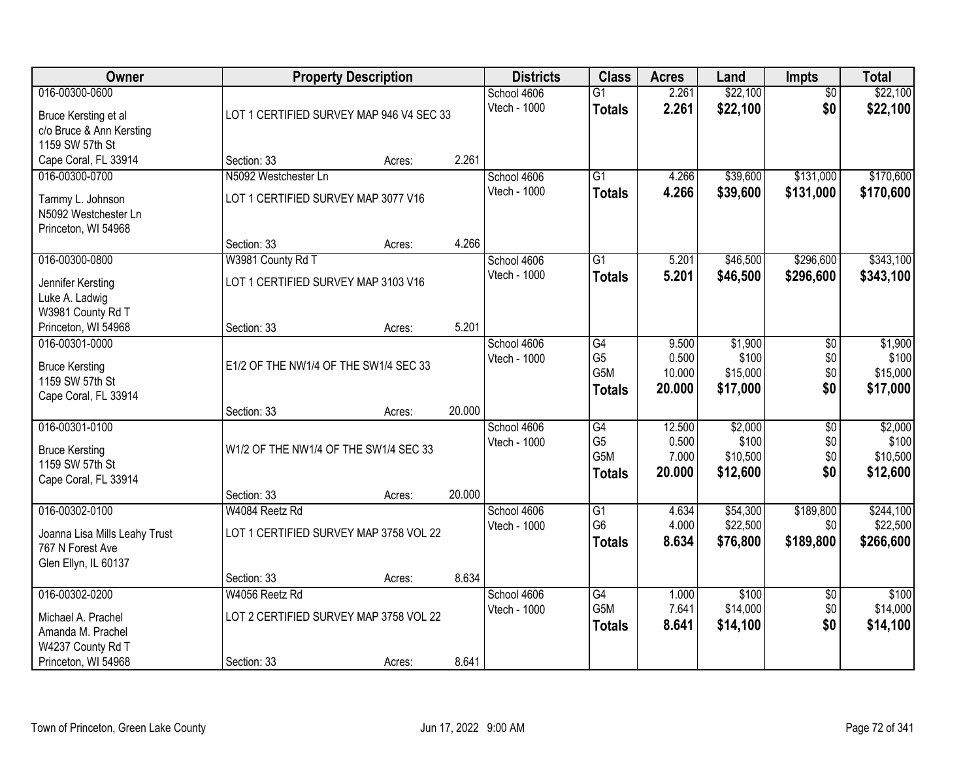| Owner                                                                                       | <b>Property Description</b>                                             |        |        | <b>Districts</b>                   | <b>Class</b>                                              | <b>Acres</b>                       | Land                                     | <b>Impts</b>                         | <b>Total</b>                             |
|---------------------------------------------------------------------------------------------|-------------------------------------------------------------------------|--------|--------|------------------------------------|-----------------------------------------------------------|------------------------------------|------------------------------------------|--------------------------------------|------------------------------------------|
| 016-00300-0600<br>Bruce Kersting et al                                                      | LOT 1 CERTIFIED SURVEY MAP 946 V4 SEC 33                                |        |        | School 4606<br>Vtech - 1000        | $\overline{G1}$<br><b>Totals</b>                          | 2.261<br>2.261                     | \$22,100<br>\$22,100                     | $\overline{50}$<br>\$0               | \$22,100<br>\$22,100                     |
| c/o Bruce & Ann Kersting<br>1159 SW 57th St<br>Cape Coral, FL 33914                         | Section: 33                                                             | Acres: | 2.261  |                                    |                                                           |                                    |                                          |                                      |                                          |
| 016-00300-0700<br>Tammy L. Johnson<br>N5092 Westchester Ln                                  | N5092 Westchester Ln<br>LOT 1 CERTIFIED SURVEY MAP 3077 V16             |        |        | School 4606<br><b>Vtech - 1000</b> | $\overline{G1}$<br><b>Totals</b>                          | 4.266<br>4.266                     | \$39,600<br>\$39,600                     | \$131,000<br>\$131,000               | \$170,600<br>\$170,600                   |
| Princeton, WI 54968                                                                         | Section: 33                                                             | Acres: | 4.266  |                                    |                                                           |                                    |                                          |                                      |                                          |
| 016-00300-0800<br>Jennifer Kersting<br>Luke A. Ladwig<br>W3981 County Rd T                  | W3981 County Rd T<br>LOT 1 CERTIFIED SURVEY MAP 3103 V16                |        |        | School 4606<br>Vtech - 1000        | $\overline{G1}$<br><b>Totals</b>                          | 5.201<br>5.201                     | \$46,500<br>\$46,500                     | \$296,600<br>\$296,600               | \$343,100<br>\$343,100                   |
| Princeton, WI 54968                                                                         | Section: 33                                                             | Acres: | 5.201  |                                    |                                                           |                                    |                                          |                                      |                                          |
| 016-00301-0000<br><b>Bruce Kersting</b><br>1159 SW 57th St<br>Cape Coral, FL 33914          | E1/2 OF THE NW1/4 OF THE SW1/4 SEC 33                                   |        |        | School 4606<br>Vtech - 1000        | G4<br>G <sub>5</sub><br>G5M<br><b>Totals</b>              | 9.500<br>0.500<br>10.000<br>20.000 | \$1,900<br>\$100<br>\$15,000<br>\$17,000 | \$0<br>\$0<br>\$0<br>\$0             | \$1,900<br>\$100<br>\$15,000<br>\$17,000 |
|                                                                                             | Section: 33                                                             | Acres: | 20.000 |                                    |                                                           |                                    |                                          |                                      |                                          |
| 016-00301-0100<br><b>Bruce Kersting</b><br>1159 SW 57th St<br>Cape Coral, FL 33914          | W1/2 OF THE NW1/4 OF THE SW1/4 SEC 33                                   |        |        | School 4606<br>Vtech - 1000        | $\overline{G4}$<br>G <sub>5</sub><br>G5M<br><b>Totals</b> | 12.500<br>0.500<br>7.000<br>20.000 | \$2,000<br>\$100<br>\$10,500<br>\$12,600 | $\overline{50}$<br>\$0<br>\$0<br>\$0 | \$2,000<br>\$100<br>\$10,500<br>\$12,600 |
|                                                                                             | Section: 33                                                             | Acres: | 20.000 |                                    |                                                           |                                    |                                          |                                      | \$244,100                                |
| 016-00302-0100<br>Joanna Lisa Mills Leahy Trust<br>767 N Forest Ave<br>Glen Ellyn, IL 60137 | W4084 Reetz Rd<br>LOT 1 CERTIFIED SURVEY MAP 3758 VOL 22                |        |        | School 4606<br>Vtech - 1000        | G1<br>G <sub>6</sub><br><b>Totals</b>                     | 4.634<br>4.000<br>8.634            | \$54,300<br>\$22,500<br>\$76,800         | \$189,800<br>\$0<br>\$189,800        | \$22,500<br>\$266,600                    |
|                                                                                             | Section: 33                                                             | Acres: | 8.634  |                                    |                                                           |                                    |                                          |                                      |                                          |
| 016-00302-0200<br>Michael A. Prachel<br>Amanda M. Prachel<br>W4237 County Rd T              | W4056 Reetz Rd<br>LOT 2 CERTIFIED SURVEY MAP 3758 VOL 22<br>Section: 33 |        | 8.641  | School 4606<br>Vtech - 1000        | $\overline{G4}$<br>G5M<br><b>Totals</b>                   | 1.000<br>7.641<br>8.641            | \$100<br>\$14,000<br>\$14,100            | $\overline{30}$<br>\$0<br>\$0        | \$100<br>\$14,000<br>\$14,100            |
| Princeton, WI 54968                                                                         |                                                                         | Acres: |        |                                    |                                                           |                                    |                                          |                                      |                                          |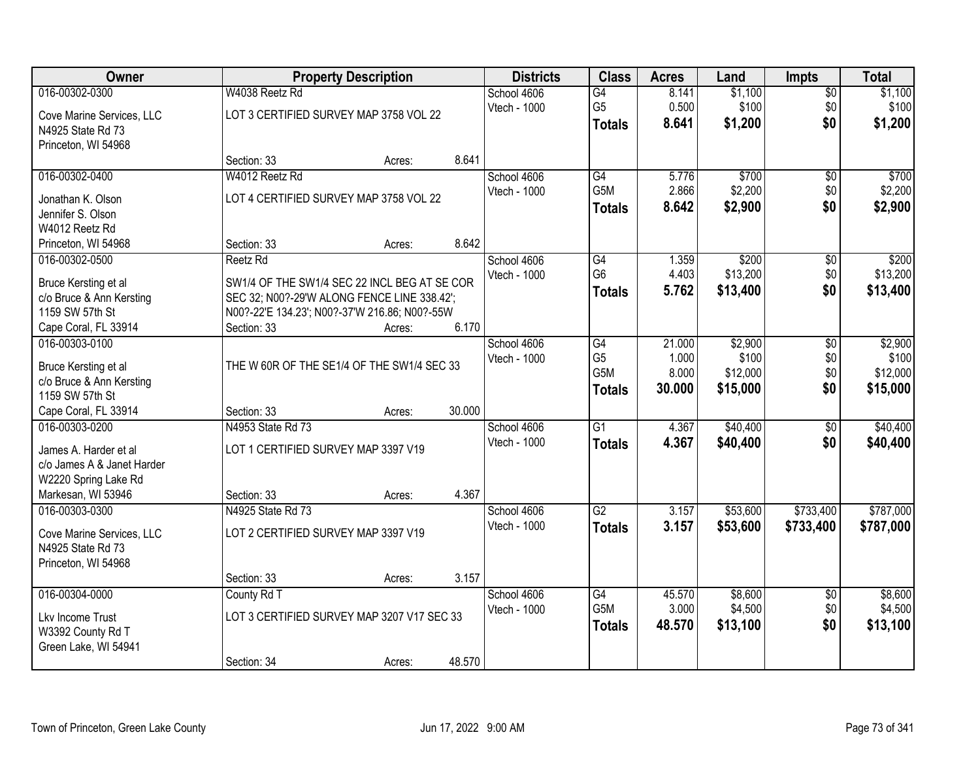| Owner                      |                                               | <b>Property Description</b>                |        | <b>Districts</b> | <b>Class</b>     | <b>Acres</b> | Land     | <b>Impts</b>    | <b>Total</b> |
|----------------------------|-----------------------------------------------|--------------------------------------------|--------|------------------|------------------|--------------|----------|-----------------|--------------|
| 016-00302-0300             | W4038 Reetz Rd                                |                                            |        | School 4606      | $\overline{G4}$  | 8.141        | \$1,100  | $\overline{$0}$ | \$1,100      |
| Cove Marine Services, LLC  | LOT 3 CERTIFIED SURVEY MAP 3758 VOL 22        |                                            |        | Vtech - 1000     | G <sub>5</sub>   | 0.500        | \$100    | \$0             | \$100        |
| N4925 State Rd 73          |                                               |                                            |        |                  | <b>Totals</b>    | 8.641        | \$1,200  | \$0             | \$1,200      |
| Princeton, WI 54968        |                                               |                                            |        |                  |                  |              |          |                 |              |
|                            | Section: 33                                   | Acres:                                     | 8.641  |                  |                  |              |          |                 |              |
| 016-00302-0400             | W4012 Reetz Rd                                |                                            |        | School 4606      | G4               | 5.776        | \$700    | \$0             | \$700        |
| Jonathan K. Olson          | LOT 4 CERTIFIED SURVEY MAP 3758 VOL 22        |                                            |        | Vtech - 1000     | G <sub>5</sub> M | 2.866        | \$2,200  | \$0             | \$2,200      |
| Jennifer S. Olson          |                                               |                                            |        |                  | <b>Totals</b>    | 8.642        | \$2,900  | \$0             | \$2,900      |
| W4012 Reetz Rd             |                                               |                                            |        |                  |                  |              |          |                 |              |
| Princeton, WI 54968        | Section: 33                                   | Acres:                                     | 8.642  |                  |                  |              |          |                 |              |
| 016-00302-0500             | Reetz <sub>Rd</sub>                           |                                            |        | School 4606      | G4               | 1.359        | \$200    | \$0             | \$200        |
| Bruce Kersting et al       | SW1/4 OF THE SW1/4 SEC 22 INCL BEG AT SE COR  |                                            |        | Vtech - 1000     | G <sub>6</sub>   | 4.403        | \$13,200 | \$0             | \$13,200     |
| c/o Bruce & Ann Kersting   | SEC 32; N00?-29'W ALONG FENCE LINE 338.42';   |                                            |        |                  | <b>Totals</b>    | 5.762        | \$13,400 | \$0             | \$13,400     |
| 1159 SW 57th St            | N00?-22'E 134.23'; N00?-37'W 216.86; N00?-55W |                                            |        |                  |                  |              |          |                 |              |
| Cape Coral, FL 33914       | Section: 33                                   | Acres:                                     | 6.170  |                  |                  |              |          |                 |              |
| 016-00303-0100             |                                               |                                            |        | School 4606      | G4               | 21.000       | \$2,900  | $\sqrt[6]{3}$   | \$2,900      |
| Bruce Kersting et al       |                                               | THE W 60R OF THE SE1/4 OF THE SW1/4 SEC 33 |        | Vtech - 1000     | G <sub>5</sub>   | 1.000        | \$100    | \$0             | \$100        |
| c/o Bruce & Ann Kersting   |                                               |                                            |        |                  | G5M              | 8.000        | \$12,000 | \$0             | \$12,000     |
| 1159 SW 57th St            |                                               |                                            |        |                  | <b>Totals</b>    | 30.000       | \$15,000 | \$0             | \$15,000     |
| Cape Coral, FL 33914       | Section: 33                                   | Acres:                                     | 30.000 |                  |                  |              |          |                 |              |
| 016-00303-0200             | N4953 State Rd 73                             |                                            |        | School 4606      | $\overline{G1}$  | 4.367        | \$40,400 | $\overline{50}$ | \$40,400     |
| James A. Harder et al      | LOT 1 CERTIFIED SURVEY MAP 3397 V19           |                                            |        | Vtech - 1000     | <b>Totals</b>    | 4.367        | \$40,400 | \$0             | \$40,400     |
| c/o James A & Janet Harder |                                               |                                            |        |                  |                  |              |          |                 |              |
| W2220 Spring Lake Rd       |                                               |                                            |        |                  |                  |              |          |                 |              |
| Markesan, WI 53946         | Section: 33                                   | Acres:                                     | 4.367  |                  |                  |              |          |                 |              |
| 016-00303-0300             | N4925 State Rd 73                             |                                            |        | School 4606      | $\overline{G2}$  | 3.157        | \$53,600 | \$733,400       | \$787,000    |
| Cove Marine Services, LLC  | LOT 2 CERTIFIED SURVEY MAP 3397 V19           |                                            |        | Vtech - 1000     | <b>Totals</b>    | 3.157        | \$53,600 | \$733,400       | \$787,000    |
| N4925 State Rd 73          |                                               |                                            |        |                  |                  |              |          |                 |              |
| Princeton, WI 54968        |                                               |                                            |        |                  |                  |              |          |                 |              |
|                            | Section: 33                                   | Acres:                                     | 3.157  |                  |                  |              |          |                 |              |
| 016-00304-0000             | County Rd T                                   |                                            |        | School 4606      | G4               | 45.570       | \$8,600  | $\overline{50}$ | \$8,600      |
| Lkv Income Trust           |                                               | LOT 3 CERTIFIED SURVEY MAP 3207 V17 SEC 33 |        | Vtech - 1000     | G5M              | 3.000        | \$4,500  | \$0             | \$4,500      |
| W3392 County Rd T          |                                               |                                            |        |                  | <b>Totals</b>    | 48.570       | \$13,100 | \$0             | \$13,100     |
| Green Lake, WI 54941       |                                               |                                            |        |                  |                  |              |          |                 |              |
|                            | Section: 34                                   | Acres:                                     | 48.570 |                  |                  |              |          |                 |              |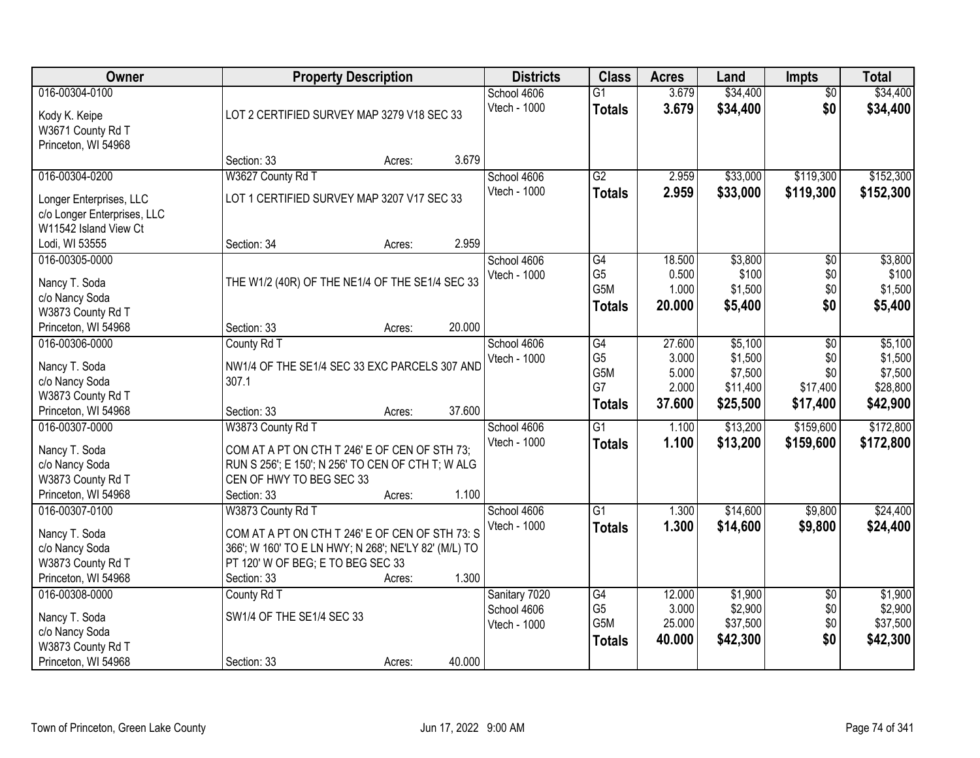| <b>Owner</b>                                                                                      |                                                                                                                                                                    | <b>Property Description</b> |        | <b>Districts</b>                             | <b>Class</b>                                              | <b>Acres</b>                                | Land                                                  | <b>Impts</b>                              | <b>Total</b>                                          |
|---------------------------------------------------------------------------------------------------|--------------------------------------------------------------------------------------------------------------------------------------------------------------------|-----------------------------|--------|----------------------------------------------|-----------------------------------------------------------|---------------------------------------------|-------------------------------------------------------|-------------------------------------------|-------------------------------------------------------|
| 016-00304-0100<br>Kody K. Keipe<br>W3671 County Rd T<br>Princeton, WI 54968                       | LOT 2 CERTIFIED SURVEY MAP 3279 V18 SEC 33                                                                                                                         |                             |        | School 4606<br>Vtech - 1000                  | $\overline{G1}$<br><b>Totals</b>                          | 3.679<br>3.679                              | \$34,400<br>\$34,400                                  | $\overline{50}$<br>\$0                    | \$34,400<br>\$34,400                                  |
|                                                                                                   | Section: 33                                                                                                                                                        | Acres:                      | 3.679  |                                              |                                                           |                                             |                                                       |                                           |                                                       |
| 016-00304-0200<br>Longer Enterprises, LLC<br>c/o Longer Enterprises, LLC<br>W11542 Island View Ct | W3627 County Rd T<br>LOT 1 CERTIFIED SURVEY MAP 3207 V17 SEC 33                                                                                                    |                             |        | School 4606<br>Vtech - 1000                  | $\overline{G2}$<br><b>Totals</b>                          | 2.959<br>2.959                              | \$33,000<br>\$33,000                                  | \$119,300<br>\$119,300                    | \$152,300<br>\$152,300                                |
| Lodi, WI 53555                                                                                    | Section: 34                                                                                                                                                        | Acres:                      | 2.959  |                                              |                                                           |                                             |                                                       |                                           |                                                       |
| 016-00305-0000<br>Nancy T. Soda<br>c/o Nancy Soda<br>W3873 County Rd T                            | THE W1/2 (40R) OF THE NE1/4 OF THE SE1/4 SEC 33                                                                                                                    |                             |        | School 4606<br>Vtech - 1000                  | $\overline{G4}$<br>G <sub>5</sub><br>G5M<br><b>Totals</b> | 18.500<br>0.500<br>1.000<br>20.000          | \$3,800<br>\$100<br>\$1,500<br>\$5,400                | \$0<br>\$0<br>\$0<br>\$0                  | \$3,800<br>\$100<br>\$1,500<br>\$5,400                |
| Princeton, WI 54968                                                                               | Section: 33                                                                                                                                                        | Acres:                      | 20.000 |                                              |                                                           |                                             |                                                       |                                           |                                                       |
| 016-00306-0000<br>Nancy T. Soda<br>c/o Nancy Soda<br>W3873 County Rd T                            | County Rd T<br>NW1/4 OF THE SE1/4 SEC 33 EXC PARCELS 307 AND<br>307.1                                                                                              |                             |        | School 4606<br>Vtech - 1000                  | G4<br>G <sub>5</sub><br>G5M<br>G7<br><b>Totals</b>        | 27.600<br>3.000<br>5.000<br>2.000<br>37.600 | \$5,100<br>\$1,500<br>\$7,500<br>\$11,400<br>\$25,500 | \$0<br>\$0<br>\$0<br>\$17,400<br>\$17,400 | \$5,100<br>\$1,500<br>\$7,500<br>\$28,800<br>\$42,900 |
| Princeton, WI 54968<br>016-00307-0000                                                             | Section: 33                                                                                                                                                        | Acres:                      | 37.600 |                                              | $\overline{G1}$                                           |                                             |                                                       | \$159,600                                 | \$172,800                                             |
| Nancy T. Soda<br>c/o Nancy Soda<br>W3873 County Rd T<br>Princeton, WI 54968                       | W3873 County Rd T<br>COM AT A PT ON CTH T 246' E OF CEN OF STH 73;<br>RUN S 256'; E 150'; N 256' TO CEN OF CTH T; W ALG<br>CEN OF HWY TO BEG SEC 33<br>Section: 33 | Acres:                      | 1.100  | School 4606<br>Vtech - 1000                  | <b>Totals</b>                                             | 1.100<br>1.100                              | \$13,200<br>\$13,200                                  | \$159,600                                 | \$172,800                                             |
| 016-00307-0100                                                                                    | W3873 County Rd T                                                                                                                                                  |                             |        | School 4606                                  | $\overline{G1}$                                           | 1.300                                       | \$14,600                                              | \$9,800                                   | \$24,400                                              |
| Nancy T. Soda<br>c/o Nancy Soda<br>W3873 County Rd T<br>Princeton, WI 54968                       | COM AT A PT ON CTH T 246' E OF CEN OF STH 73: S<br>366'; W 160' TO E LN HWY; N 268'; NE'LY 82' (M/L) TO<br>PT 120' W OF BEG; E TO BEG SEC 33<br>Section: 33        | Acres:                      | 1.300  | Vtech - 1000                                 | <b>Totals</b>                                             | 1.300                                       | \$14,600                                              | \$9,800                                   | \$24,400                                              |
| 016-00308-0000<br>Nancy T. Soda<br>c/o Nancy Soda<br>W3873 County Rd T<br>Princeton, WI 54968     | County Rd T<br>SW1/4 OF THE SE1/4 SEC 33<br>Section: 33                                                                                                            | Acres:                      | 40.000 | Sanitary 7020<br>School 4606<br>Vtech - 1000 | G4<br>G <sub>5</sub><br>G <sub>5</sub> M<br><b>Totals</b> | 12.000<br>3.000<br>25.000<br>40.000         | \$1,900<br>\$2,900<br>\$37,500<br>\$42,300            | $\overline{50}$<br>\$0<br>\$0<br>\$0      | \$1,900<br>\$2,900<br>\$37,500<br>\$42,300            |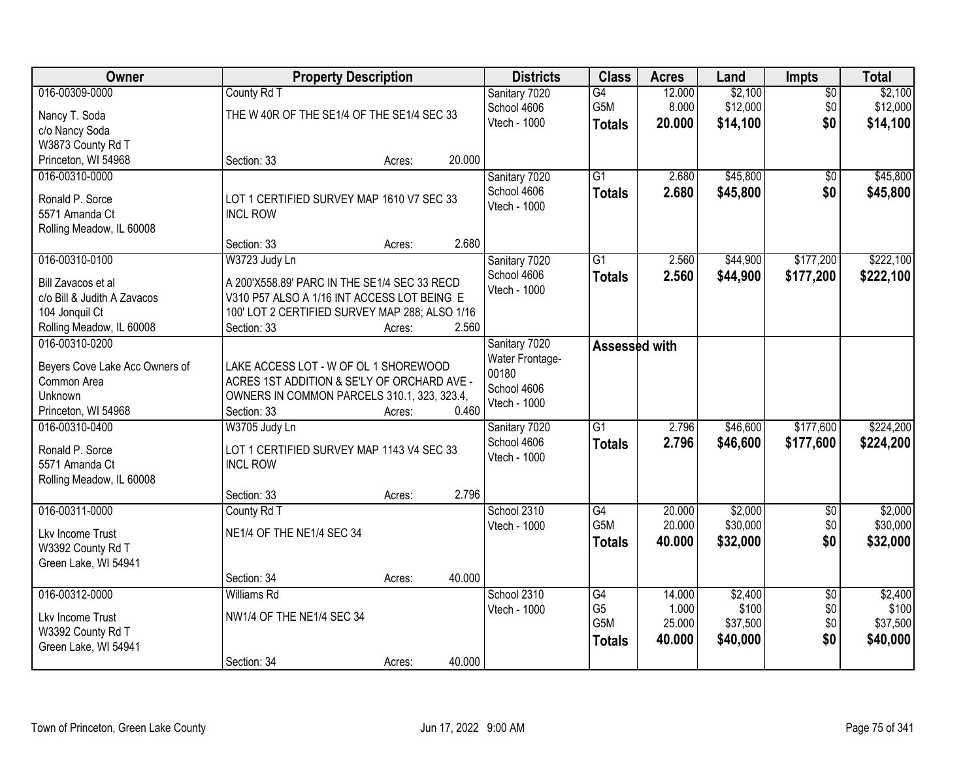| Owner                          | <b>Property Description</b>                                |        |        | <b>Districts</b>             | <b>Class</b>     | <b>Acres</b> | Land     | <b>Impts</b>    | <b>Total</b> |
|--------------------------------|------------------------------------------------------------|--------|--------|------------------------------|------------------|--------------|----------|-----------------|--------------|
| 016-00309-0000                 | County Rd T                                                |        |        | Sanitary 7020                | G4               | 12.000       | \$2,100  | $\overline{50}$ | \$2,100      |
| Nancy T. Soda                  | THE W 40R OF THE SE1/4 OF THE SE1/4 SEC 33                 |        |        | School 4606                  | G5M              | 8.000        | \$12,000 | \$0             | \$12,000     |
| c/o Nancy Soda                 |                                                            |        |        | Vtech - 1000                 | <b>Totals</b>    | 20.000       | \$14,100 | \$0             | \$14,100     |
| W3873 County Rd T              |                                                            |        |        |                              |                  |              |          |                 |              |
| Princeton, WI 54968            | Section: 33                                                | Acres: | 20.000 |                              |                  |              |          |                 |              |
| 016-00310-0000                 |                                                            |        |        | Sanitary 7020                | $\overline{G1}$  | 2.680        | \$45,800 | \$0             | \$45,800     |
| Ronald P. Sorce                | LOT 1 CERTIFIED SURVEY MAP 1610 V7 SEC 33                  |        |        | School 4606                  | <b>Totals</b>    | 2.680        | \$45,800 | \$0             | \$45,800     |
| 5571 Amanda Ct                 | <b>INCL ROW</b>                                            |        |        | Vtech - 1000                 |                  |              |          |                 |              |
| Rolling Meadow, IL 60008       |                                                            |        |        |                              |                  |              |          |                 |              |
|                                | Section: 33                                                | Acres: | 2.680  |                              |                  |              |          |                 |              |
| 016-00310-0100                 | W3723 Judy Ln                                              |        |        | Sanitary 7020                | $\overline{G1}$  | 2.560        | \$44,900 | \$177,200       | \$222,100    |
| Bill Zavacos et al             | A 200'X558.89' PARC IN THE SE1/4 SEC 33 RECD               |        |        | School 4606                  | <b>Totals</b>    | 2.560        | \$44,900 | \$177,200       | \$222,100    |
| c/o Bill & Judith A Zavacos    | V310 P57 ALSO A 1/16 INT ACCESS LOT BEING E                |        |        | Vtech - 1000                 |                  |              |          |                 |              |
| 104 Jonquil Ct                 | 100' LOT 2 CERTIFIED SURVEY MAP 288; ALSO 1/16             |        |        |                              |                  |              |          |                 |              |
| Rolling Meadow, IL 60008       | Section: 33                                                | Acres: | 2.560  |                              |                  |              |          |                 |              |
| 016-00310-0200                 |                                                            |        |        | Sanitary 7020                | Assessed with    |              |          |                 |              |
|                                |                                                            |        |        | Water Frontage-              |                  |              |          |                 |              |
| Beyers Cove Lake Acc Owners of | LAKE ACCESS LOT - W OF OL 1 SHOREWOOD                      |        |        | 00180                        |                  |              |          |                 |              |
| Common Area                    | ACRES 1ST ADDITION & SE'LY OF ORCHARD AVE -                |        |        | School 4606                  |                  |              |          |                 |              |
| Unknown<br>Princeton, WI 54968 | OWNERS IN COMMON PARCELS 310.1, 323, 323.4,<br>Section: 33 |        | 0.460  | Vtech - 1000                 |                  |              |          |                 |              |
| 016-00310-0400                 | W3705 Judy Ln                                              | Acres: |        |                              | $\overline{G1}$  | 2.796        | \$46,600 | \$177,600       | \$224,200    |
|                                |                                                            |        |        | Sanitary 7020<br>School 4606 |                  | 2.796        | \$46,600 | \$177,600       | \$224,200    |
| Ronald P. Sorce                | LOT 1 CERTIFIED SURVEY MAP 1143 V4 SEC 33                  |        |        | Vtech - 1000                 | <b>Totals</b>    |              |          |                 |              |
| 5571 Amanda Ct                 | <b>INCL ROW</b>                                            |        |        |                              |                  |              |          |                 |              |
| Rolling Meadow, IL 60008       |                                                            |        |        |                              |                  |              |          |                 |              |
|                                | Section: 33                                                | Acres: | 2.796  |                              |                  |              |          |                 |              |
| 016-00311-0000                 | County Rd T                                                |        |        | School 2310                  | G4               | 20.000       | \$2,000  | $\overline{50}$ | \$2,000      |
| Lkv Income Trust               | NE1/4 OF THE NE1/4 SEC 34                                  |        |        | Vtech - 1000                 | G5M              | 20.000       | \$30,000 | \$0             | \$30,000     |
| W3392 County Rd T              |                                                            |        |        |                              | <b>Totals</b>    | 40.000       | \$32,000 | \$0             | \$32,000     |
| Green Lake, WI 54941           |                                                            |        |        |                              |                  |              |          |                 |              |
|                                | Section: 34                                                | Acres: | 40.000 |                              |                  |              |          |                 |              |
| 016-00312-0000                 | Williams Rd                                                |        |        | School 2310                  | $\overline{G4}$  | 14.000       | \$2,400  | $\overline{50}$ | \$2,400      |
| Lkv Income Trust               | NW1/4 OF THE NE1/4 SEC 34                                  |        |        | Vtech - 1000                 | G <sub>5</sub>   | 1.000        | \$100    | \$0             | \$100        |
| W3392 County Rd T              |                                                            |        |        |                              | G <sub>5</sub> M | 25.000       | \$37,500 | \$0             | \$37,500     |
| Green Lake, WI 54941           |                                                            |        |        |                              | <b>Totals</b>    | 40.000       | \$40,000 | \$0             | \$40,000     |
|                                | Section: 34                                                | Acres: | 40.000 |                              |                  |              |          |                 |              |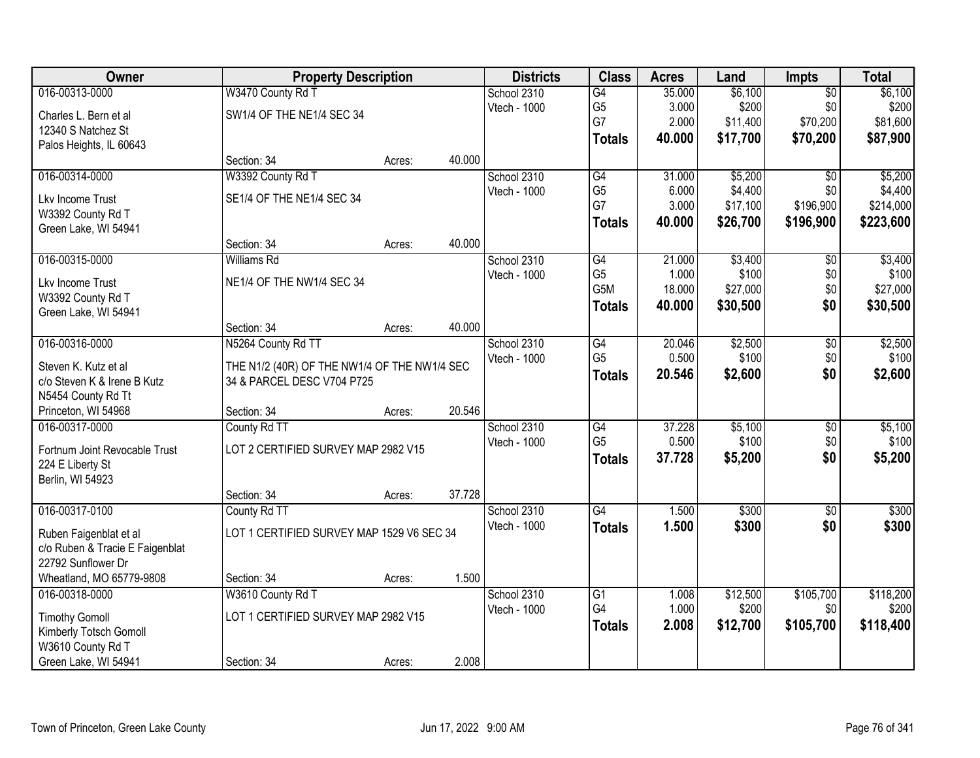| Owner                           |                                              | <b>Property Description</b> |        | <b>Districts</b> | <b>Class</b>     | <b>Acres</b> | Land     | <b>Impts</b>    | <b>Total</b> |
|---------------------------------|----------------------------------------------|-----------------------------|--------|------------------|------------------|--------------|----------|-----------------|--------------|
| 016-00313-0000                  | W3470 County Rd T                            |                             |        | School 2310      | $\overline{G4}$  | 35.000       | \$6,100  | $\overline{50}$ | \$6,100      |
| Charles L. Bern et al           | SW1/4 OF THE NE1/4 SEC 34                    |                             |        | Vtech - 1000     | G <sub>5</sub>   | 3.000        | \$200    | \$0             | \$200        |
| 12340 S Natchez St              |                                              |                             |        |                  | G7               | 2.000        | \$11,400 | \$70,200        | \$81,600     |
| Palos Heights, IL 60643         |                                              |                             |        |                  | <b>Totals</b>    | 40,000       | \$17,700 | \$70,200        | \$87,900     |
|                                 | Section: 34                                  | Acres:                      | 40.000 |                  |                  |              |          |                 |              |
| 016-00314-0000                  | W3392 County Rd T                            |                             |        | School 2310      | G4               | 31.000       | \$5,200  | \$0             | \$5,200      |
| Lkv Income Trust                | SE1/4 OF THE NE1/4 SEC 34                    |                             |        | Vtech - 1000     | G <sub>5</sub>   | 6.000        | \$4,400  | \$0             | \$4,400      |
| W3392 County Rd T               |                                              |                             |        |                  | G7               | 3.000        | \$17,100 | \$196,900       | \$214,000    |
| Green Lake, WI 54941            |                                              |                             |        |                  | <b>Totals</b>    | 40.000       | \$26,700 | \$196,900       | \$223,600    |
|                                 | Section: 34                                  | Acres:                      | 40.000 |                  |                  |              |          |                 |              |
| 016-00315-0000                  | <b>Williams Rd</b>                           |                             |        | School 2310      | $\overline{G4}$  | 21.000       | \$3,400  | \$0             | \$3,400      |
| Lkv Income Trust                | NE1/4 OF THE NW1/4 SEC 34                    |                             |        | Vtech - 1000     | G <sub>5</sub>   | 1.000        | \$100    | \$0             | \$100        |
| W3392 County Rd T               |                                              |                             |        |                  | G <sub>5</sub> M | 18.000       | \$27,000 | \$0             | \$27,000     |
| Green Lake, WI 54941            |                                              |                             |        |                  | <b>Totals</b>    | 40.000       | \$30,500 | \$0             | \$30,500     |
|                                 | Section: 34                                  | Acres:                      | 40.000 |                  |                  |              |          |                 |              |
| 016-00316-0000                  | N5264 County Rd TT                           |                             |        | School 2310      | G4               | 20.046       | \$2,500  | \$0             | \$2,500      |
| Steven K. Kutz et al            | THE N1/2 (40R) OF THE NW1/4 OF THE NW1/4 SEC |                             |        | Vtech - 1000     | G <sub>5</sub>   | 0.500        | \$100    | \$0             | \$100        |
| c/o Steven K & Irene B Kutz     | 34 & PARCEL DESC V704 P725                   |                             |        |                  | <b>Totals</b>    | 20.546       | \$2,600  | \$0             | \$2,600      |
| N5454 County Rd Tt              |                                              |                             |        |                  |                  |              |          |                 |              |
| Princeton, WI 54968             | Section: 34                                  | Acres:                      | 20.546 |                  |                  |              |          |                 |              |
| 016-00317-0000                  | County Rd TT                                 |                             |        | School 2310      | $\overline{G4}$  | 37.228       | \$5,100  | $\overline{30}$ | \$5,100      |
| Fortnum Joint Revocable Trust   | LOT 2 CERTIFIED SURVEY MAP 2982 V15          |                             |        | Vtech - 1000     | G <sub>5</sub>   | 0.500        | \$100    | \$0             | \$100        |
| 224 E Liberty St                |                                              |                             |        |                  | <b>Totals</b>    | 37.728       | \$5,200  | \$0             | \$5,200      |
| Berlin, WI 54923                |                                              |                             |        |                  |                  |              |          |                 |              |
|                                 | Section: 34                                  | Acres:                      | 37.728 |                  |                  |              |          |                 |              |
| 016-00317-0100                  | County Rd TT                                 |                             |        | School 2310      | G4               | 1.500        | \$300    | $\overline{60}$ | \$300        |
| Ruben Faigenblat et al          | LOT 1 CERTIFIED SURVEY MAP 1529 V6 SEC 34    |                             |        | Vtech - 1000     | <b>Totals</b>    | 1.500        | \$300    | \$0             | \$300        |
| c/o Ruben & Tracie E Faigenblat |                                              |                             |        |                  |                  |              |          |                 |              |
| 22792 Sunflower Dr              |                                              |                             |        |                  |                  |              |          |                 |              |
| Wheatland, MO 65779-9808        | Section: 34                                  | Acres:                      | 1.500  |                  |                  |              |          |                 |              |
| 016-00318-0000                  | W3610 County Rd T                            |                             |        | School 2310      | $\overline{G1}$  | 1.008        | \$12,500 | \$105,700       | \$118,200    |
| <b>Timothy Gomoll</b>           | LOT 1 CERTIFIED SURVEY MAP 2982 V15          |                             |        | Vtech - 1000     | G4               | 1.000        | \$200    | \$0             | \$200        |
| Kimberly Totsch Gomoll          |                                              |                             |        |                  | <b>Totals</b>    | 2.008        | \$12,700 | \$105,700       | \$118,400    |
| W3610 County Rd T               |                                              |                             |        |                  |                  |              |          |                 |              |
| Green Lake, WI 54941            | Section: 34                                  | Acres:                      | 2.008  |                  |                  |              |          |                 |              |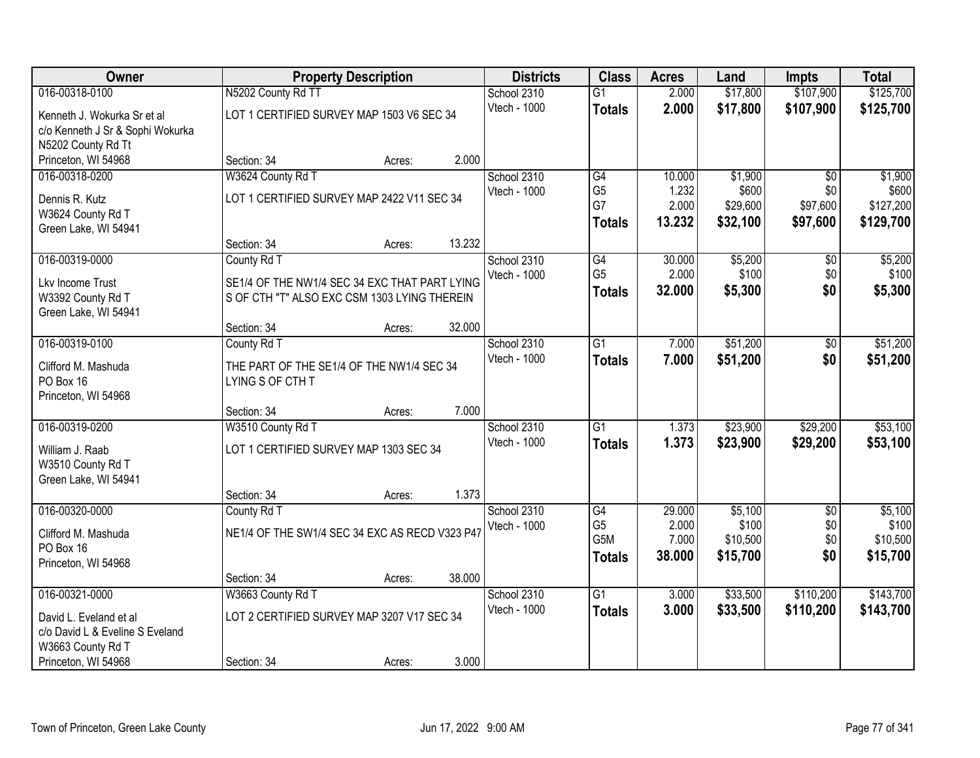| Owner                                                                                 |                                                                                                              | <b>Property Description</b>                |        | <b>Districts</b>            | <b>Class</b>                                              | <b>Acres</b>                       | Land                                     | <b>Impts</b>                         | <b>Total</b>                             |
|---------------------------------------------------------------------------------------|--------------------------------------------------------------------------------------------------------------|--------------------------------------------|--------|-----------------------------|-----------------------------------------------------------|------------------------------------|------------------------------------------|--------------------------------------|------------------------------------------|
| 016-00318-0100                                                                        | N5202 County Rd TT                                                                                           |                                            |        | School 2310                 | $\overline{G1}$                                           | 2.000                              | \$17,800                                 | \$107,900                            | \$125,700                                |
| Kenneth J. Wokurka Sr et al<br>c/o Kenneth J Sr & Sophi Wokurka<br>N5202 County Rd Tt |                                                                                                              | LOT 1 CERTIFIED SURVEY MAP 1503 V6 SEC 34  |        | Vtech - 1000                | <b>Totals</b>                                             | 2.000                              | \$17,800                                 | \$107,900                            | \$125,700                                |
| Princeton, WI 54968                                                                   | Section: 34                                                                                                  | Acres:                                     | 2.000  |                             |                                                           |                                    |                                          |                                      |                                          |
| 016-00318-0200                                                                        | W3624 County Rd T                                                                                            |                                            |        | School 2310                 | G4                                                        | 10.000                             | \$1,900                                  | $\overline{50}$                      | \$1,900                                  |
| Dennis R. Kutz<br>W3624 County Rd T<br>Green Lake, WI 54941                           |                                                                                                              | LOT 1 CERTIFIED SURVEY MAP 2422 V11 SEC 34 |        | Vtech - 1000                | G <sub>5</sub><br>G7<br><b>Totals</b>                     | 1.232<br>2.000<br>13.232           | \$600<br>\$29,600<br>\$32,100            | \$0<br>\$97,600<br>\$97,600          | \$600<br>\$127,200<br>\$129,700          |
|                                                                                       | Section: 34                                                                                                  | Acres:                                     | 13.232 |                             |                                                           |                                    |                                          |                                      |                                          |
| 016-00319-0000<br>Lkv Income Trust<br>W3392 County Rd T<br>Green Lake, WI 54941       | County Rd T<br>SE1/4 OF THE NW1/4 SEC 34 EXC THAT PART LYING<br>S OF CTH "T" ALSO EXC CSM 1303 LYING THEREIN |                                            |        | School 2310<br>Vtech - 1000 | $\overline{G4}$<br>G <sub>5</sub><br><b>Totals</b>        | 30.000<br>2.000<br>32.000          | \$5,200<br>\$100<br>\$5,300              | \$0<br>\$0<br>\$0                    | \$5,200<br>\$100<br>\$5,300              |
|                                                                                       | Section: 34                                                                                                  | Acres:                                     | 32.000 |                             |                                                           |                                    |                                          |                                      |                                          |
| 016-00319-0100                                                                        | County Rd T                                                                                                  |                                            |        | School 2310                 | $\overline{G1}$                                           | 7.000                              | \$51,200                                 | \$0                                  | \$51,200                                 |
| Clifford M. Mashuda<br>PO Box 16<br>Princeton, WI 54968                               | LYING S OF CTH T                                                                                             | THE PART OF THE SE1/4 OF THE NW1/4 SEC 34  |        | Vtech - 1000                | <b>Totals</b>                                             | 7.000                              | \$51,200                                 | \$0                                  | \$51,200                                 |
|                                                                                       | Section: 34                                                                                                  | Acres:                                     | 7.000  |                             |                                                           |                                    |                                          |                                      |                                          |
| 016-00319-0200<br>William J. Raab<br>W3510 County Rd T<br>Green Lake, WI 54941        | W3510 County Rd T<br>LOT 1 CERTIFIED SURVEY MAP 1303 SEC 34                                                  |                                            |        | School 2310<br>Vtech - 1000 | $\overline{G1}$<br><b>Totals</b>                          | 1.373<br>1.373                     | \$23,900<br>\$23,900                     | \$29,200<br>\$29,200                 | \$53,100<br>\$53,100                     |
|                                                                                       | Section: 34                                                                                                  | Acres:                                     | 1.373  |                             |                                                           |                                    |                                          |                                      |                                          |
| 016-00320-0000<br>Clifford M. Mashuda<br>PO Box 16<br>Princeton, WI 54968             | County Rd T<br>NE1/4 OF THE SW1/4 SEC 34 EXC AS RECD V323 P47                                                |                                            | 38.000 | School 2310<br>Vtech - 1000 | G4<br>G <sub>5</sub><br>G <sub>5</sub> M<br><b>Totals</b> | 29.000<br>2.000<br>7.000<br>38.000 | \$5,100<br>\$100<br>\$10,500<br>\$15,700 | $\overline{50}$<br>\$0<br>\$0<br>\$0 | \$5,100<br>\$100<br>\$10,500<br>\$15,700 |
| 016-00321-0000                                                                        | Section: 34<br>W3663 County Rd T                                                                             | Acres:                                     |        | School 2310                 | $\overline{G1}$                                           | 3.000                              | \$33,500                                 | \$110,200                            | \$143,700                                |
| David L. Eveland et al<br>c/o David L & Eveline S Eveland<br>W3663 County Rd T        |                                                                                                              | LOT 2 CERTIFIED SURVEY MAP 3207 V17 SEC 34 |        | Vtech - 1000                | <b>Totals</b>                                             | 3.000                              | \$33,500                                 | \$110,200                            | \$143,700                                |
| Princeton, WI 54968                                                                   | Section: 34                                                                                                  | Acres:                                     | 3.000  |                             |                                                           |                                    |                                          |                                      |                                          |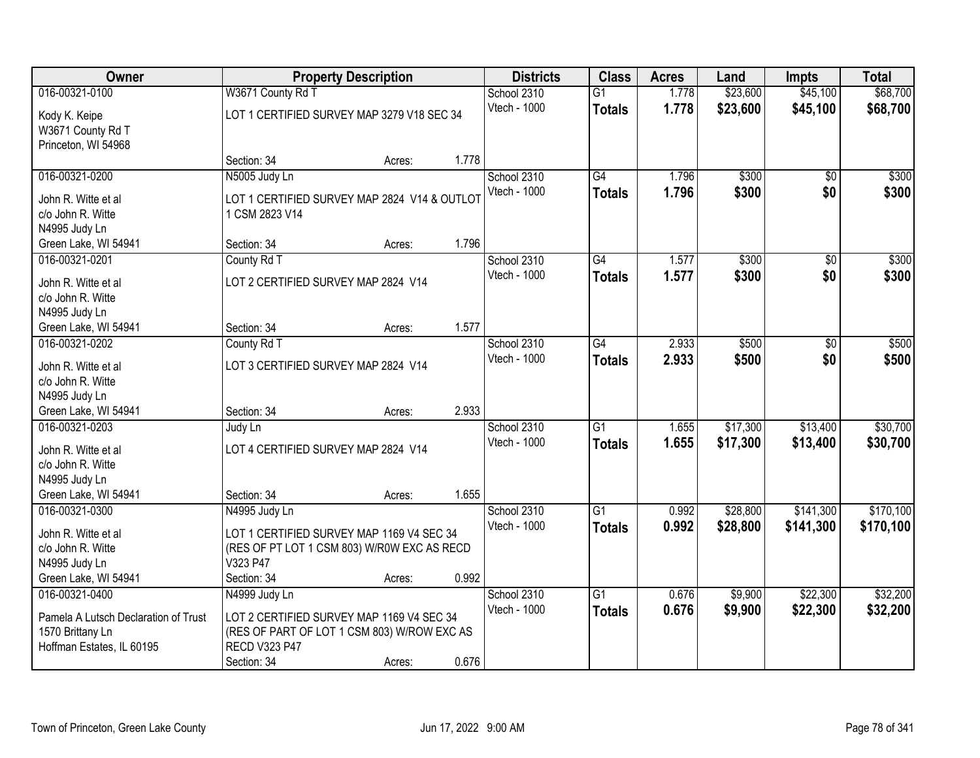| Owner                                                     |                                                                | <b>Property Description</b> |       | <b>Districts</b> | <b>Class</b>    | <b>Acres</b> | Land     | <b>Impts</b> | <b>Total</b> |
|-----------------------------------------------------------|----------------------------------------------------------------|-----------------------------|-------|------------------|-----------------|--------------|----------|--------------|--------------|
| 016-00321-0100                                            | W3671 County Rd T                                              |                             |       | School 2310      | $\overline{G1}$ | 1.778        | \$23,600 | \$45,100     | \$68,700     |
| Kody K. Keipe<br>W3671 County Rd T<br>Princeton, WI 54968 | LOT 1 CERTIFIED SURVEY MAP 3279 V18 SEC 34                     |                             |       | Vtech - 1000     | <b>Totals</b>   | 1.778        | \$23,600 | \$45,100     | \$68,700     |
|                                                           | Section: 34                                                    | Acres:                      | 1.778 |                  |                 |              |          |              |              |
| 016-00321-0200                                            | N5005 Judy Ln                                                  |                             |       | School 2310      | $\overline{G4}$ | 1.796        | \$300    | \$0          | \$300        |
| John R. Witte et al<br>c/o John R. Witte<br>N4995 Judy Ln | LOT 1 CERTIFIED SURVEY MAP 2824 V14 & OUTLOT<br>1 CSM 2823 V14 |                             |       | Vtech - 1000     | <b>Totals</b>   | 1.796        | \$300    | \$0          | \$300        |
| Green Lake, WI 54941                                      | Section: 34                                                    | Acres:                      | 1.796 |                  |                 |              |          |              |              |
| 016-00321-0201                                            | County Rd T                                                    |                             |       | School 2310      | G4              | 1.577        | \$300    | \$0          | \$300        |
| John R. Witte et al<br>c/o John R. Witte<br>N4995 Judy Ln | LOT 2 CERTIFIED SURVEY MAP 2824 V14                            |                             |       | Vtech - 1000     | <b>Totals</b>   | 1.577        | \$300    | \$0          | \$300        |
| Green Lake, WI 54941                                      | Section: 34                                                    | Acres:                      | 1.577 |                  |                 |              |          |              |              |
| 016-00321-0202                                            | County Rd T                                                    |                             |       | School 2310      | $\overline{G4}$ | 2.933        | \$500    | $\sqrt[6]{}$ | \$500        |
| John R. Witte et al<br>c/o John R. Witte                  | LOT 3 CERTIFIED SURVEY MAP 2824 V14                            |                             |       | Vtech - 1000     | <b>Totals</b>   | 2.933        | \$500    | \$0          | \$500        |
| N4995 Judy Ln                                             |                                                                |                             |       |                  |                 |              |          |              |              |
| Green Lake, WI 54941                                      | Section: 34                                                    | Acres:                      | 2.933 |                  |                 |              |          |              |              |
| 016-00321-0203                                            | Judy Ln                                                        |                             |       | School 2310      | $\overline{G1}$ | 1.655        | \$17,300 | \$13,400     | \$30,700     |
| John R. Witte et al                                       | LOT 4 CERTIFIED SURVEY MAP 2824 V14                            |                             |       | Vtech - 1000     | <b>Totals</b>   | 1.655        | \$17,300 | \$13,400     | \$30,700     |
| c/o John R. Witte                                         |                                                                |                             |       |                  |                 |              |          |              |              |
| N4995 Judy Ln                                             |                                                                |                             |       |                  |                 |              |          |              |              |
| Green Lake, WI 54941                                      | Section: 34                                                    | Acres:                      | 1.655 |                  |                 |              |          |              |              |
| 016-00321-0300                                            | N4995 Judy Ln                                                  |                             |       | School 2310      | $\overline{G1}$ | 0.992        | \$28,800 | \$141,300    | \$170,100    |
| John R. Witte et al                                       | LOT 1 CERTIFIED SURVEY MAP 1169 V4 SEC 34                      |                             |       | Vtech - 1000     | <b>Totals</b>   | 0.992        | \$28,800 | \$141,300    | \$170,100    |
| c/o John R. Witte                                         | (RES OF PT LOT 1 CSM 803) W/R0W EXC AS RECD                    |                             |       |                  |                 |              |          |              |              |
| N4995 Judy Ln                                             | V323 P47                                                       |                             |       |                  |                 |              |          |              |              |
| Green Lake, WI 54941                                      | Section: 34                                                    | Acres:                      | 0.992 |                  |                 |              |          |              |              |
| 016-00321-0400                                            | N4999 Judy Ln                                                  |                             |       | School 2310      | $\overline{G1}$ | 0.676        | \$9,900  | \$22,300     | \$32,200     |
| Pamela A Lutsch Declaration of Trust                      | LOT 2 CERTIFIED SURVEY MAP 1169 V4 SEC 34                      |                             |       | Vtech - 1000     | <b>Totals</b>   | 0.676        | \$9,900  | \$22,300     | \$32,200     |
| 1570 Brittany Ln                                          | (RES OF PART OF LOT 1 CSM 803) W/ROW EXC AS                    |                             |       |                  |                 |              |          |              |              |
| Hoffman Estates, IL 60195                                 | <b>RECD V323 P47</b>                                           |                             |       |                  |                 |              |          |              |              |
|                                                           | Section: 34                                                    | Acres:                      | 0.676 |                  |                 |              |          |              |              |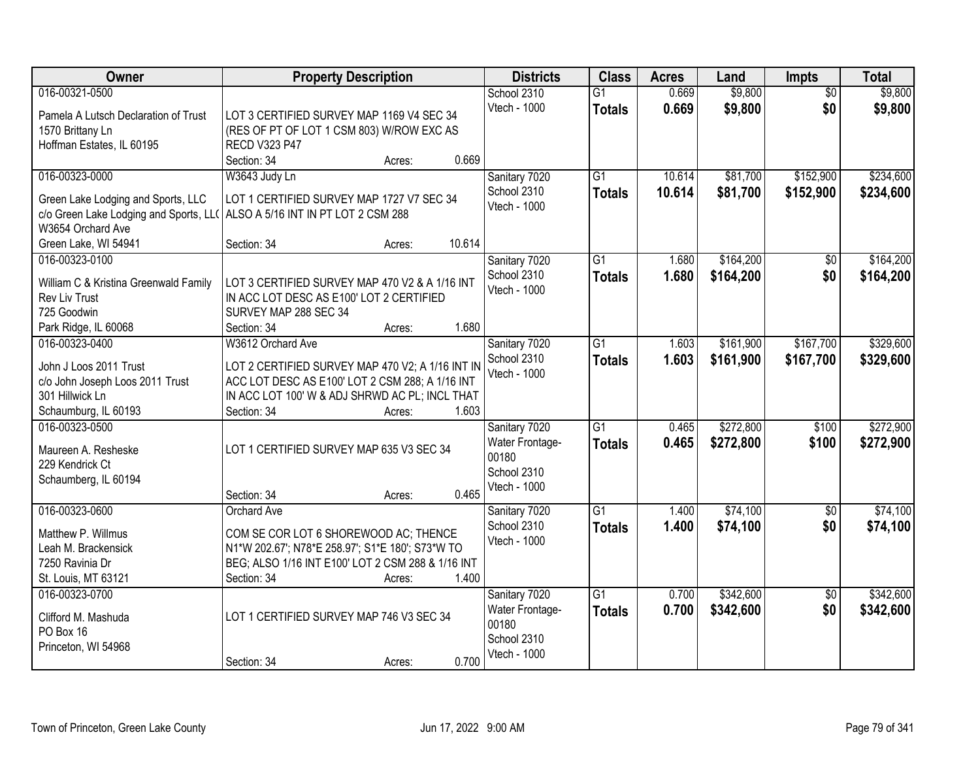| Owner                                  | <b>Property Description</b>                                      |        | <b>Districts</b> | <b>Class</b>    | <b>Acres</b> | Land      | <b>Impts</b>    | <b>Total</b> |
|----------------------------------------|------------------------------------------------------------------|--------|------------------|-----------------|--------------|-----------|-----------------|--------------|
| 016-00321-0500                         |                                                                  |        | School 2310      | $\overline{G1}$ | 0.669        | \$9,800   | $\overline{50}$ | \$9,800      |
| Pamela A Lutsch Declaration of Trust   | LOT 3 CERTIFIED SURVEY MAP 1169 V4 SEC 34                        |        | Vtech - 1000     | <b>Totals</b>   | 0.669        | \$9,800   | \$0             | \$9,800      |
| 1570 Brittany Ln                       | (RES OF PT OF LOT 1 CSM 803) W/ROW EXC AS                        |        |                  |                 |              |           |                 |              |
| Hoffman Estates, IL 60195              | <b>RECD V323 P47</b>                                             |        |                  |                 |              |           |                 |              |
|                                        | Section: 34<br>Acres:                                            | 0.669  |                  |                 |              |           |                 |              |
| 016-00323-0000                         | W3643 Judy Ln                                                    |        | Sanitary 7020    | $\overline{G1}$ | 10.614       | \$81,700  | \$152,900       | \$234,600    |
| Green Lake Lodging and Sports, LLC     | LOT 1 CERTIFIED SURVEY MAP 1727 V7 SEC 34                        |        | School 2310      | <b>Totals</b>   | 10.614       | \$81,700  | \$152,900       | \$234,600    |
| c/o Green Lake Lodging and Sports, LL( | ALSO A 5/16 INT IN PT LOT 2 CSM 288                              |        | Vtech - 1000     |                 |              |           |                 |              |
| W3654 Orchard Ave                      |                                                                  |        |                  |                 |              |           |                 |              |
| Green Lake, WI 54941                   | Section: 34<br>Acres:                                            | 10.614 |                  |                 |              |           |                 |              |
| 016-00323-0100                         |                                                                  |        | Sanitary 7020    | $\overline{G1}$ | 1.680        | \$164,200 | \$0             | \$164,200    |
|                                        |                                                                  |        | School 2310      | <b>Totals</b>   | 1.680        | \$164,200 | \$0             | \$164,200    |
| William C & Kristina Greenwald Family  | LOT 3 CERTIFIED SURVEY MAP 470 V2 & A 1/16 INT                   |        | Vtech - 1000     |                 |              |           |                 |              |
| Rev Liv Trust                          | IN ACC LOT DESC AS E100' LOT 2 CERTIFIED                         |        |                  |                 |              |           |                 |              |
| 725 Goodwin                            | SURVEY MAP 288 SEC 34                                            |        |                  |                 |              |           |                 |              |
| Park Ridge, IL 60068                   | Section: 34<br>Acres:                                            | 1.680  |                  |                 |              |           |                 |              |
| 016-00323-0400                         | W3612 Orchard Ave                                                |        | Sanitary 7020    | $\overline{G1}$ | 1.603        | \$161,900 | \$167,700       | \$329,600    |
| John J Loos 2011 Trust                 | LOT 2 CERTIFIED SURVEY MAP 470 V2; A 1/16 INT IN                 |        | School 2310      | <b>Totals</b>   | 1.603        | \$161,900 | \$167,700       | \$329,600    |
| c/o John Joseph Loos 2011 Trust        | ACC LOT DESC AS E100' LOT 2 CSM 288; A 1/16 INT                  |        | Vtech - 1000     |                 |              |           |                 |              |
| 301 Hillwick Ln                        | IN ACC LOT 100' W & ADJ SHRWD AC PL; INCL THAT                   |        |                  |                 |              |           |                 |              |
| Schaumburg, IL 60193                   | Section: 34<br>Acres:                                            | 1.603  |                  |                 |              |           |                 |              |
| 016-00323-0500                         |                                                                  |        | Sanitary 7020    | $\overline{G1}$ | 0.465        | \$272,800 | \$100           | \$272,900    |
| Maureen A. Resheske                    | LOT 1 CERTIFIED SURVEY MAP 635 V3 SEC 34                         |        | Water Frontage-  | <b>Totals</b>   | 0.465        | \$272,800 | \$100           | \$272,900    |
| 229 Kendrick Ct                        |                                                                  |        | 00180            |                 |              |           |                 |              |
| Schaumberg, IL 60194                   |                                                                  |        | School 2310      |                 |              |           |                 |              |
|                                        | Section: 34<br>Acres:                                            | 0.465  | Vtech - 1000     |                 |              |           |                 |              |
| 016-00323-0600                         | Orchard Ave                                                      |        | Sanitary 7020    | $\overline{G1}$ | 1.400        | \$74,100  | \$0             | \$74,100     |
|                                        |                                                                  |        | School 2310      | <b>Totals</b>   | 1.400        | \$74,100  | \$0             | \$74,100     |
| Matthew P. Willmus                     | COM SE COR LOT 6 SHOREWOOD AC; THENCE                            |        | Vtech - 1000     |                 |              |           |                 |              |
| Leah M. Brackensick<br>7250 Ravinia Dr | N1*W 202.67'; N78*E 258.97'; S1*E 180'; S73*W TO                 |        |                  |                 |              |           |                 |              |
| St. Louis, MT 63121                    | BEG; ALSO 1/16 INT E100' LOT 2 CSM 288 & 1/16 INT<br>Section: 34 | 1.400  |                  |                 |              |           |                 |              |
| 016-00323-0700                         | Acres:                                                           |        | Sanitary 7020    | $\overline{G1}$ | 0.700        | \$342,600 | $\overline{50}$ | \$342,600    |
|                                        |                                                                  |        | Water Frontage-  |                 | 0.700        | \$342,600 | \$0             | \$342,600    |
| Clifford M. Mashuda                    | LOT 1 CERTIFIED SURVEY MAP 746 V3 SEC 34                         |        | 00180            | <b>Totals</b>   |              |           |                 |              |
| PO Box 16                              |                                                                  |        | School 2310      |                 |              |           |                 |              |
| Princeton, WI 54968                    |                                                                  |        | Vtech - 1000     |                 |              |           |                 |              |
|                                        | Section: 34<br>Acres:                                            | 0.700  |                  |                 |              |           |                 |              |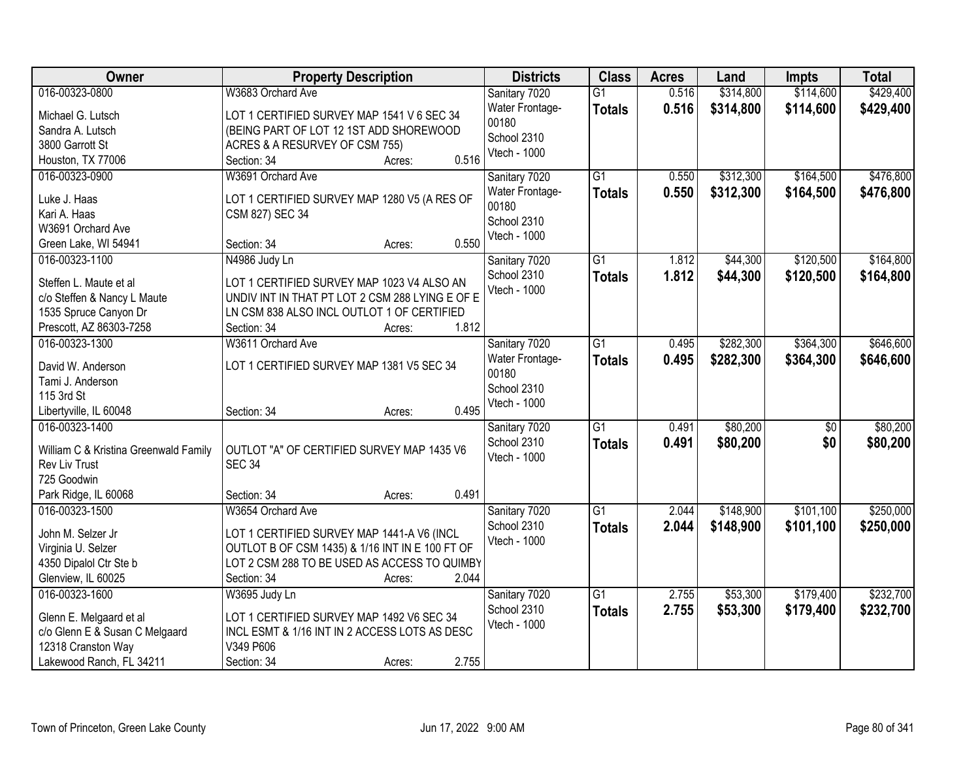| Owner                                                         | <b>Property Description</b>                     | <b>Districts</b>       | <b>Class</b>    | <b>Acres</b> | Land      | <b>Impts</b>    | <b>Total</b> |
|---------------------------------------------------------------|-------------------------------------------------|------------------------|-----------------|--------------|-----------|-----------------|--------------|
| 016-00323-0800                                                | W3683 Orchard Ave                               | Sanitary 7020          | $\overline{G1}$ | 0.516        | \$314,800 | \$114,600       | \$429,400    |
| Michael G. Lutsch                                             | LOT 1 CERTIFIED SURVEY MAP 1541 V 6 SEC 34      | Water Frontage-        | <b>Totals</b>   | 0.516        | \$314,800 | \$114,600       | \$429,400    |
| Sandra A. Lutsch                                              | (BEING PART OF LOT 12 1ST ADD SHOREWOOD         | 00180<br>School 2310   |                 |              |           |                 |              |
| 3800 Garrott St                                               | ACRES & A RESURVEY OF CSM 755)                  |                        |                 |              |           |                 |              |
| Houston, TX 77006                                             | 0.516<br>Section: 34<br>Acres:                  | Vtech - 1000           |                 |              |           |                 |              |
| 016-00323-0900                                                | W3691 Orchard Ave                               | Sanitary 7020          | $\overline{G1}$ | 0.550        | \$312,300 | \$164,500       | \$476,800    |
| Luke J. Haas                                                  | LOT 1 CERTIFIED SURVEY MAP 1280 V5 (A RES OF    | Water Frontage-        | <b>Totals</b>   | 0.550        | \$312,300 | \$164,500       | \$476,800    |
| Kari A. Haas                                                  | CSM 827) SEC 34                                 | 00180                  |                 |              |           |                 |              |
| W3691 Orchard Ave                                             |                                                 | School 2310            |                 |              |           |                 |              |
| Green Lake, WI 54941                                          | 0.550<br>Section: 34<br>Acres:                  | Vtech - 1000           |                 |              |           |                 |              |
| 016-00323-1100                                                | N4986 Judy Ln                                   | Sanitary 7020          | $\overline{G1}$ | 1.812        | \$44,300  | \$120,500       | \$164,800    |
|                                                               |                                                 | School 2310            | <b>Totals</b>   | 1.812        | \$44,300  | \$120,500       | \$164,800    |
| Steffen L. Maute et al                                        | LOT 1 CERTIFIED SURVEY MAP 1023 V4 ALSO AN      | Vtech - 1000           |                 |              |           |                 |              |
| c/o Steffen & Nancy L Maute                                   | UNDIV INT IN THAT PT LOT 2 CSM 288 LYING E OF E |                        |                 |              |           |                 |              |
| 1535 Spruce Canyon Dr                                         | LN CSM 838 ALSO INCL OUTLOT 1 OF CERTIFIED      |                        |                 |              |           |                 |              |
| Prescott, AZ 86303-7258                                       | 1.812<br>Section: 34<br>Acres:                  |                        |                 |              |           |                 |              |
| 016-00323-1300                                                | W3611 Orchard Ave                               | Sanitary 7020          | $\overline{G1}$ | 0.495        | \$282,300 | \$364,300       | \$646,600    |
| David W. Anderson                                             | LOT 1 CERTIFIED SURVEY MAP 1381 V5 SEC 34       | <b>Water Frontage-</b> | <b>Totals</b>   | 0.495        | \$282,300 | \$364,300       | \$646,600    |
| Tami J. Anderson                                              |                                                 | 00180                  |                 |              |           |                 |              |
| 115 3rd St                                                    |                                                 | School 2310            |                 |              |           |                 |              |
| Libertyville, IL 60048                                        | 0.495<br>Section: 34<br>Acres:                  | Vtech - 1000           |                 |              |           |                 |              |
| 016-00323-1400                                                |                                                 | Sanitary 7020          | $\overline{G1}$ | 0.491        | \$80,200  | $\overline{50}$ | \$80,200     |
|                                                               | OUTLOT "A" OF CERTIFIED SURVEY MAP 1435 V6      | School 2310            | <b>Totals</b>   | 0.491        | \$80,200  | \$0             | \$80,200     |
| William C & Kristina Greenwald Family<br><b>Rev Liv Trust</b> | <b>SEC 34</b>                                   | Vtech - 1000           |                 |              |           |                 |              |
| 725 Goodwin                                                   |                                                 |                        |                 |              |           |                 |              |
| Park Ridge, IL 60068                                          | 0.491<br>Section: 34<br>Acres:                  |                        |                 |              |           |                 |              |
| 016-00323-1500                                                | W3654 Orchard Ave                               | Sanitary 7020          | $\overline{G1}$ | 2.044        | \$148,900 | \$101,100       | \$250,000    |
|                                                               |                                                 | School 2310            | <b>Totals</b>   | 2.044        | \$148,900 | \$101,100       | \$250,000    |
| John M. Selzer Jr                                             | LOT 1 CERTIFIED SURVEY MAP 1441-A V6 (INCL      | Vtech - 1000           |                 |              |           |                 |              |
| Virginia U. Selzer                                            | OUTLOT B OF CSM 1435) & 1/16 INT IN E 100 FT OF |                        |                 |              |           |                 |              |
| 4350 Dipalol Ctr Ste b                                        | LOT 2 CSM 288 TO BE USED AS ACCESS TO QUIMBY    |                        |                 |              |           |                 |              |
| Glenview, IL 60025                                            | 2.044<br>Section: 34<br>Acres:                  |                        |                 |              |           |                 |              |
| 016-00323-1600                                                | W3695 Judy Ln                                   | Sanitary 7020          | $\overline{G1}$ | 2.755        | \$53,300  | \$179,400       | \$232,700    |
| Glenn E. Melgaard et al                                       | LOT 1 CERTIFIED SURVEY MAP 1492 V6 SEC 34       | School 2310            | <b>Totals</b>   | 2.755        | \$53,300  | \$179,400       | \$232,700    |
| c/o Glenn E & Susan C Melgaard                                | INCL ESMT & 1/16 INT IN 2 ACCESS LOTS AS DESC   | Vtech - 1000           |                 |              |           |                 |              |
| 12318 Cranston Way                                            | V349 P606                                       |                        |                 |              |           |                 |              |
| Lakewood Ranch, FL 34211                                      | 2.755<br>Section: 34<br>Acres:                  |                        |                 |              |           |                 |              |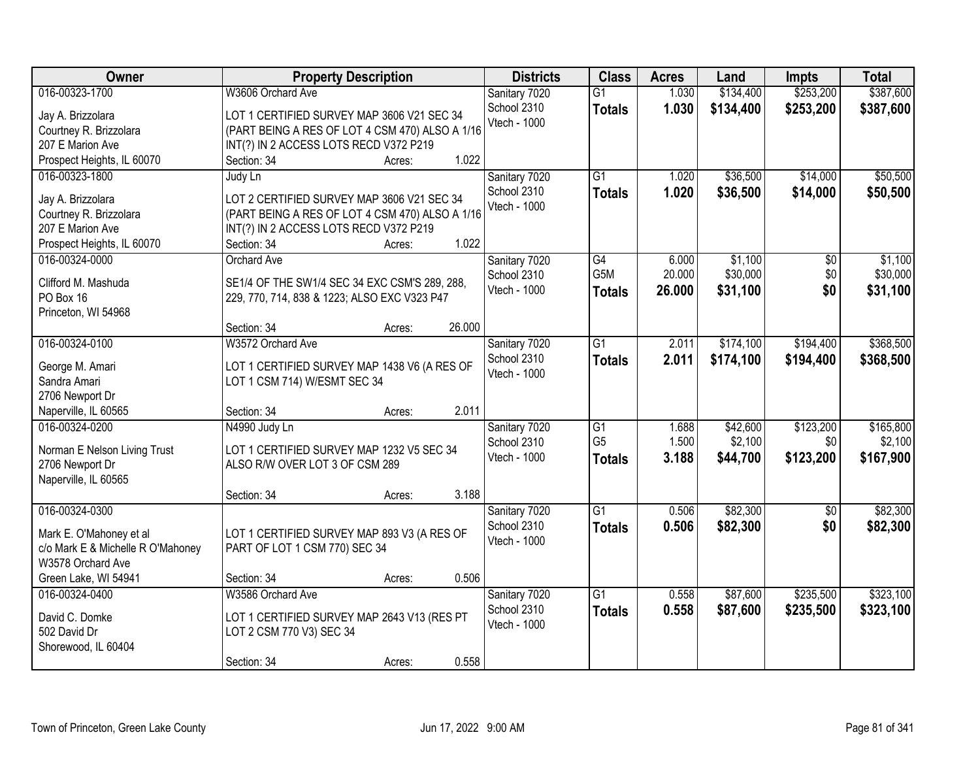| Owner                             | <b>Property Description</b>                     |                  | <b>Districts</b> | <b>Class</b>    | <b>Acres</b> | Land      | <b>Impts</b>    | <b>Total</b> |
|-----------------------------------|-------------------------------------------------|------------------|------------------|-----------------|--------------|-----------|-----------------|--------------|
| 016-00323-1700                    | W3606 Orchard Ave                               |                  | Sanitary 7020    | $\overline{G1}$ | 1.030        | \$134,400 | \$253,200       | \$387,600    |
| Jay A. Brizzolara                 | LOT 1 CERTIFIED SURVEY MAP 3606 V21 SEC 34      |                  | School 2310      | <b>Totals</b>   | 1.030        | \$134,400 | \$253,200       | \$387,600    |
| Courtney R. Brizzolara            | (PART BEING A RES OF LOT 4 CSM 470) ALSO A 1/16 |                  | Vtech - 1000     |                 |              |           |                 |              |
| 207 E Marion Ave                  | INT(?) IN 2 ACCESS LOTS RECD V372 P219          |                  |                  |                 |              |           |                 |              |
| Prospect Heights, IL 60070        | Section: 34                                     | 1.022<br>Acres:  |                  |                 |              |           |                 |              |
| 016-00323-1800                    | Judy Ln                                         |                  | Sanitary 7020    | $\overline{G1}$ | 1.020        | \$36,500  | \$14,000        | \$50,500     |
|                                   |                                                 |                  | School 2310      | <b>Totals</b>   | 1.020        | \$36,500  | \$14,000        | \$50,500     |
| Jay A. Brizzolara                 | LOT 2 CERTIFIED SURVEY MAP 3606 V21 SEC 34      |                  | Vtech - 1000     |                 |              |           |                 |              |
| Courtney R. Brizzolara            | (PART BEING A RES OF LOT 4 CSM 470) ALSO A 1/16 |                  |                  |                 |              |           |                 |              |
| 207 E Marion Ave                  | INT(?) IN 2 ACCESS LOTS RECD V372 P219          | 1.022            |                  |                 |              |           |                 |              |
| Prospect Heights, IL 60070        | Section: 34                                     | Acres:           |                  |                 |              |           |                 |              |
| 016-00324-0000                    | Orchard Ave                                     |                  | Sanitary 7020    | G4              | 6.000        | \$1,100   | $\overline{50}$ | \$1,100      |
| Clifford M. Mashuda               | SE1/4 OF THE SW1/4 SEC 34 EXC CSM'S 289, 288,   |                  | School 2310      | G5M             | 20.000       | \$30,000  | \$0             | \$30,000     |
| PO Box 16                         | 229, 770, 714, 838 & 1223; ALSO EXC V323 P47    |                  | Vtech - 1000     | <b>Totals</b>   | 26.000       | \$31,100  | \$0             | \$31,100     |
| Princeton, WI 54968               |                                                 |                  |                  |                 |              |           |                 |              |
|                                   | Section: 34                                     | 26.000<br>Acres: |                  |                 |              |           |                 |              |
| 016-00324-0100                    | W3572 Orchard Ave                               |                  | Sanitary 7020    | $\overline{G1}$ | 2.011        | \$174,100 | \$194,400       | \$368,500    |
| George M. Amari                   | LOT 1 CERTIFIED SURVEY MAP 1438 V6 (A RES OF    |                  | School 2310      | <b>Totals</b>   | 2.011        | \$174,100 | \$194,400       | \$368,500    |
| Sandra Amari                      | LOT 1 CSM 714) W/ESMT SEC 34                    |                  | Vtech - 1000     |                 |              |           |                 |              |
| 2706 Newport Dr                   |                                                 |                  |                  |                 |              |           |                 |              |
| Naperville, IL 60565              | Section: 34                                     | 2.011<br>Acres:  |                  |                 |              |           |                 |              |
| 016-00324-0200                    | N4990 Judy Ln                                   |                  | Sanitary 7020    | $\overline{G1}$ | 1.688        | \$42,600  | \$123,200       | \$165,800    |
|                                   |                                                 |                  | School 2310      | G <sub>5</sub>  | 1.500        | \$2,100   | \$0             | \$2,100      |
| Norman E Nelson Living Trust      | LOT 1 CERTIFIED SURVEY MAP 1232 V5 SEC 34       |                  | Vtech - 1000     | <b>Totals</b>   | 3.188        | \$44,700  | \$123,200       | \$167,900    |
| 2706 Newport Dr                   | ALSO R/W OVER LOT 3 OF CSM 289                  |                  |                  |                 |              |           |                 |              |
| Naperville, IL 60565              |                                                 |                  |                  |                 |              |           |                 |              |
|                                   | Section: 34                                     | 3.188<br>Acres:  |                  |                 |              |           |                 |              |
| 016-00324-0300                    |                                                 |                  | Sanitary 7020    | G1              | 0.506        | \$82,300  | $\overline{50}$ | \$82,300     |
| Mark E. O'Mahoney et al           | LOT 1 CERTIFIED SURVEY MAP 893 V3 (A RES OF     |                  | School 2310      | <b>Totals</b>   | 0.506        | \$82,300  | \$0             | \$82,300     |
| c/o Mark E & Michelle R O'Mahoney | PART OF LOT 1 CSM 770) SEC 34                   |                  | Vtech - 1000     |                 |              |           |                 |              |
| W3578 Orchard Ave                 |                                                 |                  |                  |                 |              |           |                 |              |
| Green Lake, WI 54941              | Section: 34                                     | 0.506<br>Acres:  |                  |                 |              |           |                 |              |
| 016-00324-0400                    | W3586 Orchard Ave                               |                  | Sanitary 7020    | G1              | 0.558        | \$87,600  | \$235,500       | \$323,100    |
|                                   |                                                 |                  | School 2310      | <b>Totals</b>   | 0.558        | \$87,600  | \$235,500       | \$323,100    |
| David C. Domke                    | LOT 1 CERTIFIED SURVEY MAP 2643 V13 (RES PT     |                  | Vtech - 1000     |                 |              |           |                 |              |
| 502 David Dr                      | LOT 2 CSM 770 V3) SEC 34                        |                  |                  |                 |              |           |                 |              |
| Shorewood, IL 60404               |                                                 | 0.558            |                  |                 |              |           |                 |              |
|                                   | Section: 34                                     | Acres:           |                  |                 |              |           |                 |              |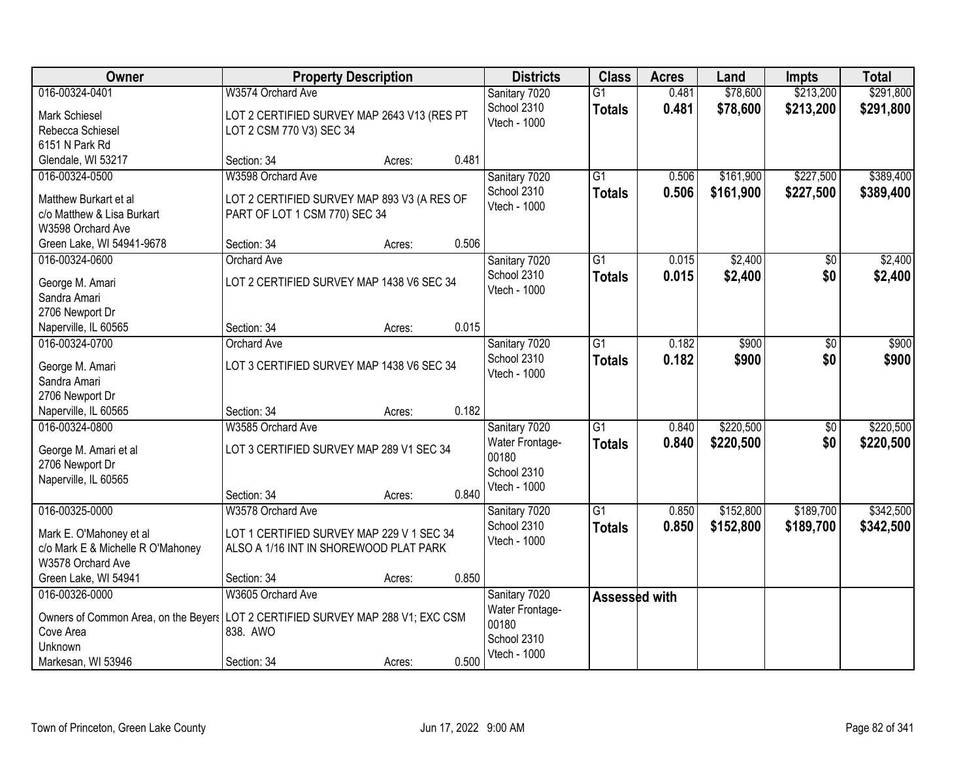| Owner                                                                                                                                           | <b>Property Description</b>                                                                                             |        |       | <b>Districts</b>                                                         | <b>Class</b>                     | <b>Acres</b>   | Land                   | <b>Impts</b>           | <b>Total</b>           |
|-------------------------------------------------------------------------------------------------------------------------------------------------|-------------------------------------------------------------------------------------------------------------------------|--------|-------|--------------------------------------------------------------------------|----------------------------------|----------------|------------------------|------------------------|------------------------|
| 016-00324-0401<br>Mark Schiesel<br>Rebecca Schiesel                                                                                             | W3574 Orchard Ave<br>LOT 2 CERTIFIED SURVEY MAP 2643 V13 (RES PT<br>LOT 2 CSM 770 V3) SEC 34                            |        |       | Sanitary 7020<br>School 2310<br>Vtech - 1000                             | $\overline{G1}$<br><b>Totals</b> | 0.481<br>0.481 | \$78,600<br>\$78,600   | \$213,200<br>\$213,200 | \$291,800<br>\$291,800 |
| 6151 N Park Rd<br>Glendale, WI 53217                                                                                                            | Section: 34                                                                                                             | Acres: | 0.481 |                                                                          |                                  |                |                        |                        |                        |
| 016-00324-0500<br>Matthew Burkart et al<br>c/o Matthew & Lisa Burkart<br>W3598 Orchard Ave                                                      | W3598 Orchard Ave<br>LOT 2 CERTIFIED SURVEY MAP 893 V3 (A RES OF<br>PART OF LOT 1 CSM 770) SEC 34                       |        |       | Sanitary 7020<br>School 2310<br>Vtech - 1000                             | $\overline{G1}$<br><b>Totals</b> | 0.506<br>0.506 | \$161,900<br>\$161,900 | \$227,500<br>\$227,500 | \$389,400<br>\$389,400 |
| Green Lake, WI 54941-9678                                                                                                                       | Section: 34                                                                                                             | Acres: | 0.506 |                                                                          |                                  |                |                        |                        |                        |
| 016-00324-0600<br>George M. Amari<br>Sandra Amari<br>2706 Newport Dr                                                                            | <b>Orchard Ave</b><br>LOT 2 CERTIFIED SURVEY MAP 1438 V6 SEC 34                                                         |        |       | Sanitary 7020<br>School 2310<br>Vtech - 1000                             | $\overline{G1}$<br><b>Totals</b> | 0.015<br>0.015 | \$2,400<br>\$2,400     | $\overline{50}$<br>\$0 | \$2,400<br>\$2,400     |
| Naperville, IL 60565                                                                                                                            | Section: 34                                                                                                             | Acres: | 0.015 |                                                                          |                                  |                |                        |                        |                        |
| 016-00324-0700<br>George M. Amari<br>Sandra Amari<br>2706 Newport Dr                                                                            | <b>Orchard Ave</b><br>LOT 3 CERTIFIED SURVEY MAP 1438 V6 SEC 34                                                         |        |       | Sanitary 7020<br>School 2310<br>Vtech - 1000                             | $\overline{G1}$<br><b>Totals</b> | 0.182<br>0.182 | \$900<br>\$900         | \$0<br>\$0             | \$900<br>\$900         |
| Naperville, IL 60565                                                                                                                            | Section: 34                                                                                                             | Acres: | 0.182 |                                                                          |                                  |                |                        |                        |                        |
| 016-00324-0800<br>George M. Amari et al<br>2706 Newport Dr<br>Naperville, IL 60565                                                              | W3585 Orchard Ave<br>LOT 3 CERTIFIED SURVEY MAP 289 V1 SEC 34<br>Section: 34                                            | Acres: | 0.840 | Sanitary 7020<br>Water Frontage-<br>00180<br>School 2310<br>Vtech - 1000 | $\overline{G1}$<br><b>Totals</b> | 0.840<br>0.840 | \$220,500<br>\$220,500 | $\overline{50}$<br>\$0 | \$220,500<br>\$220,500 |
| 016-00325-0000<br>Mark E. O'Mahoney et al<br>c/o Mark E & Michelle R O'Mahoney<br>W3578 Orchard Ave<br>Green Lake, WI 54941                     | W3578 Orchard Ave<br>LOT 1 CERTIFIED SURVEY MAP 229 V 1 SEC 34<br>ALSO A 1/16 INT IN SHOREWOOD PLAT PARK<br>Section: 34 | Acres: | 0.850 | Sanitary 7020<br>School 2310<br>Vtech - 1000                             | G1<br><b>Totals</b>              | 0.850<br>0.850 | \$152,800<br>\$152,800 | \$189,700<br>\$189,700 | \$342,500<br>\$342,500 |
| 016-00326-0000<br>Owners of Common Area, on the Beyers LOT 2 CERTIFIED SURVEY MAP 288 V1; EXC CSM<br>Cove Area<br>Unknown<br>Markesan, WI 53946 | W3605 Orchard Ave<br>838. AWO<br>Section: 34                                                                            | Acres: | 0.500 | Sanitary 7020<br>Water Frontage-<br>00180<br>School 2310<br>Vtech - 1000 | Assessed with                    |                |                        |                        |                        |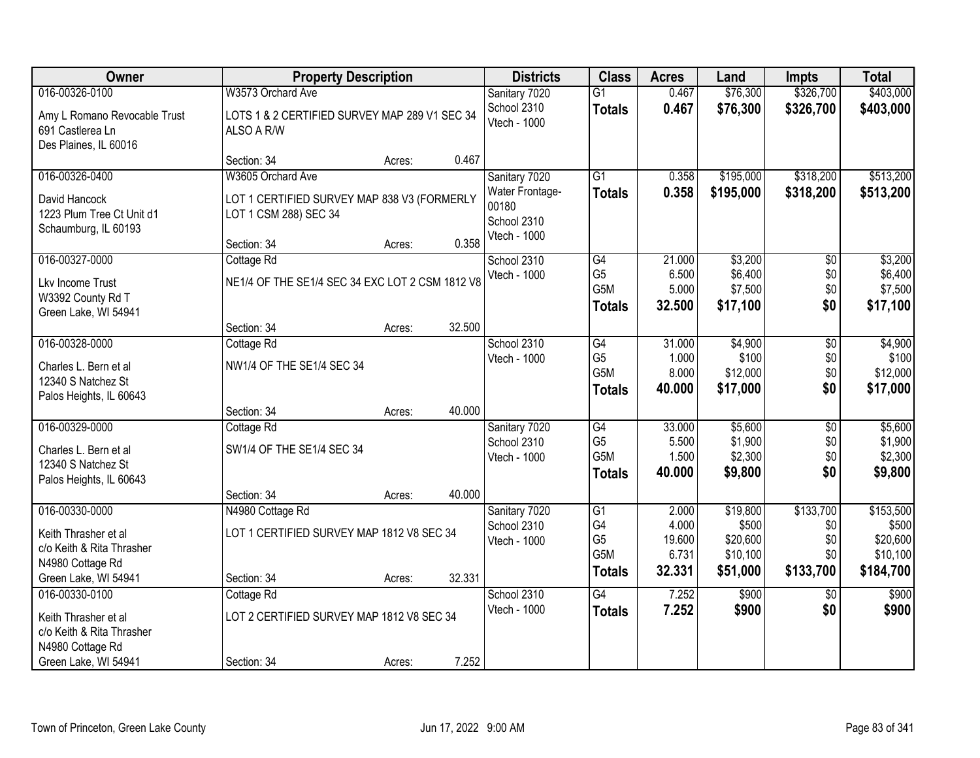| Owner                                                                     |                                                                                     | <b>Property Description</b> |        | <b>Districts</b>                                        | <b>Class</b>                           | <b>Acres</b>             | Land                           | <b>Impts</b>      | <b>Total</b>                   |
|---------------------------------------------------------------------------|-------------------------------------------------------------------------------------|-----------------------------|--------|---------------------------------------------------------|----------------------------------------|--------------------------|--------------------------------|-------------------|--------------------------------|
| 016-00326-0100                                                            | W3573 Orchard Ave                                                                   |                             |        | Sanitary 7020                                           | $\overline{G1}$                        | 0.467                    | \$76,300                       | \$326,700         | \$403,000                      |
| Amy L Romano Revocable Trust<br>691 Castlerea Ln<br>Des Plaines, IL 60016 | LOTS 1 & 2 CERTIFIED SURVEY MAP 289 V1 SEC 34<br>ALSO A R/W                         |                             |        | School 2310<br>Vtech - 1000                             | <b>Totals</b>                          | 0.467                    | \$76,300                       | \$326,700         | \$403,000                      |
|                                                                           | Section: 34                                                                         | Acres:                      | 0.467  |                                                         |                                        |                          |                                |                   |                                |
| 016-00326-0400                                                            | W3605 Orchard Ave                                                                   |                             |        | Sanitary 7020                                           | $\overline{G1}$                        | 0.358                    | \$195,000                      | \$318,200         | \$513,200                      |
| David Hancock<br>1223 Plum Tree Ct Unit d1<br>Schaumburg, IL 60193        | LOT 1 CERTIFIED SURVEY MAP 838 V3 (FORMERLY<br>LOT 1 CSM 288) SEC 34<br>Section: 34 | Acres:                      | 0.358  | Water Frontage-<br>00180<br>School 2310<br>Vtech - 1000 | <b>Totals</b>                          | 0.358                    | \$195,000                      | \$318,200         | \$513,200                      |
| 016-00327-0000                                                            | Cottage Rd                                                                          |                             |        | School 2310                                             | G4                                     | 21.000                   | \$3,200                        | $\overline{50}$   | \$3,200                        |
| Lkv Income Trust<br>W3392 County Rd T<br>Green Lake, WI 54941             | NE1/4 OF THE SE1/4 SEC 34 EXC LOT 2 CSM 1812 V8                                     |                             |        | Vtech - 1000                                            | G <sub>5</sub><br>G5M<br><b>Totals</b> | 6.500<br>5.000<br>32.500 | \$6,400<br>\$7,500<br>\$17,100 | \$0<br>\$0<br>\$0 | \$6,400<br>\$7,500<br>\$17,100 |
|                                                                           | Section: 34                                                                         | Acres:                      | 32.500 |                                                         |                                        |                          |                                |                   |                                |
| 016-00328-0000                                                            | Cottage Rd                                                                          |                             |        | School 2310                                             | G4                                     | 31.000                   | \$4,900                        | $\overline{50}$   | \$4,900                        |
| Charles L. Bern et al                                                     | NW1/4 OF THE SE1/4 SEC 34                                                           |                             |        | Vtech - 1000                                            | G <sub>5</sub>                         | 1.000                    | \$100                          | \$0               | \$100                          |
| 12340 S Natchez St                                                        |                                                                                     |                             |        |                                                         | G5M                                    | 8.000                    | \$12,000                       | \$0               | \$12,000                       |
| Palos Heights, IL 60643                                                   |                                                                                     |                             |        |                                                         | <b>Totals</b>                          | 40.000                   | \$17,000                       | \$0               | \$17,000                       |
|                                                                           | Section: 34                                                                         | Acres:                      | 40.000 |                                                         |                                        |                          |                                |                   |                                |
| 016-00329-0000                                                            | Cottage Rd                                                                          |                             |        | Sanitary 7020                                           | G4                                     | 33.000                   | \$5,600                        | \$0               | \$5,600                        |
| Charles L. Bern et al                                                     | SW1/4 OF THE SE1/4 SEC 34                                                           |                             |        | School 2310<br>Vtech - 1000                             | G <sub>5</sub><br>G5M                  | 5.500<br>1.500           | \$1,900<br>\$2,300             | \$0<br>\$0        | \$1,900<br>\$2,300             |
| 12340 S Natchez St                                                        |                                                                                     |                             |        |                                                         | <b>Totals</b>                          | 40.000                   | \$9,800                        | \$0               | \$9,800                        |
| Palos Heights, IL 60643                                                   |                                                                                     |                             |        |                                                         |                                        |                          |                                |                   |                                |
|                                                                           | Section: 34                                                                         | Acres:                      | 40.000 |                                                         |                                        |                          |                                |                   |                                |
| 016-00330-0000                                                            | N4980 Cottage Rd                                                                    |                             |        | Sanitary 7020<br>School 2310                            | G1<br>G4                               | 2.000<br>4.000           | \$19,800<br>\$500              | \$133,700<br>\$0  | \$153,500<br>\$500             |
| Keith Thrasher et al                                                      | LOT 1 CERTIFIED SURVEY MAP 1812 V8 SEC 34                                           |                             |        | Vtech - 1000                                            | G <sub>5</sub>                         | 19.600                   | \$20,600                       | \$0               | \$20,600                       |
| c/o Keith & Rita Thrasher                                                 |                                                                                     |                             |        |                                                         | G5M                                    | 6.731                    | \$10,100                       | \$0               | \$10,100                       |
| N4980 Cottage Rd                                                          | Section: 34                                                                         |                             | 32.331 |                                                         | <b>Totals</b>                          | 32.331                   | \$51,000                       | \$133,700         | \$184,700                      |
| Green Lake, WI 54941<br>016-00330-0100                                    | Cottage Rd                                                                          | Acres:                      |        | School 2310                                             | $\overline{G4}$                        | 7.252                    | \$900                          | $\overline{50}$   | \$900                          |
|                                                                           |                                                                                     |                             |        | Vtech - 1000                                            | <b>Totals</b>                          | 7.252                    | \$900                          | \$0               | \$900                          |
| Keith Thrasher et al                                                      | LOT 2 CERTIFIED SURVEY MAP 1812 V8 SEC 34                                           |                             |        |                                                         |                                        |                          |                                |                   |                                |
| c/o Keith & Rita Thrasher<br>N4980 Cottage Rd                             |                                                                                     |                             |        |                                                         |                                        |                          |                                |                   |                                |
| Green Lake, WI 54941                                                      | Section: 34                                                                         | Acres:                      | 7.252  |                                                         |                                        |                          |                                |                   |                                |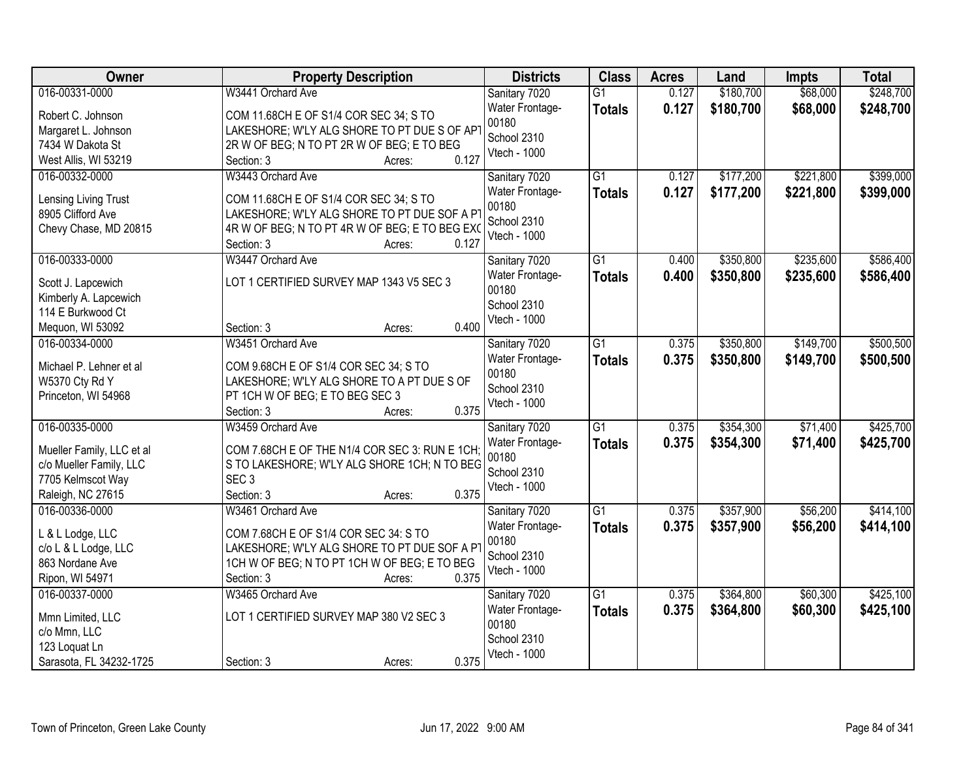| Owner                     | <b>Property Description</b>                           | <b>Districts</b>         | <b>Class</b>    | <b>Acres</b> | Land      | <b>Impts</b> | <b>Total</b> |
|---------------------------|-------------------------------------------------------|--------------------------|-----------------|--------------|-----------|--------------|--------------|
| 016-00331-0000            | W3441 Orchard Ave                                     | Sanitary 7020            | $\overline{G1}$ | 0.127        | \$180,700 | \$68,000     | \$248,700    |
| Robert C. Johnson         | COM 11.68CH E OF S1/4 COR SEC 34; S TO                | Water Frontage-          | <b>Totals</b>   | 0.127        | \$180,700 | \$68,000     | \$248,700    |
| Margaret L. Johnson       | LAKESHORE; W'LY ALG SHORE TO PT DUE S OF APT          | 00180                    |                 |              |           |              |              |
| 7434 W Dakota St          | 2R W OF BEG; N TO PT 2R W OF BEG; E TO BEG            | School 2310              |                 |              |           |              |              |
| West Allis, WI 53219      | 0.127<br>Section: 3<br>Acres:                         | Vtech - 1000             |                 |              |           |              |              |
| 016-00332-0000            | W3443 Orchard Ave                                     | Sanitary 7020            | $\overline{G1}$ | 0.127        | \$177,200 | \$221,800    | \$399,000    |
|                           |                                                       |                          |                 | 0.127        |           |              |              |
| Lensing Living Trust      | COM 11.68CH E OF S1/4 COR SEC 34; S TO                | Water Frontage-<br>00180 | <b>Totals</b>   |              | \$177,200 | \$221,800    | \$399,000    |
| 8905 Clifford Ave         | LAKESHORE; W'LY ALG SHORE TO PT DUE SOF A PT          | School 2310              |                 |              |           |              |              |
| Chevy Chase, MD 20815     | 4R W OF BEG; N TO PT 4R W OF BEG; E TO BEG EXO        | Vtech - 1000             |                 |              |           |              |              |
|                           | Section: 3<br>0.127<br>Acres:                         |                          |                 |              |           |              |              |
| 016-00333-0000            | W3447 Orchard Ave                                     | Sanitary 7020            | G1              | 0.400        | \$350,800 | \$235,600    | \$586,400    |
|                           |                                                       | Water Frontage-          | <b>Totals</b>   | 0.400        | \$350,800 | \$235,600    | \$586,400    |
| Scott J. Lapcewich        | LOT 1 CERTIFIED SURVEY MAP 1343 V5 SEC 3              | 00180                    |                 |              |           |              |              |
| Kimberly A. Lapcewich     |                                                       | School 2310              |                 |              |           |              |              |
| 114 E Burkwood Ct         |                                                       | Vtech - 1000             |                 |              |           |              |              |
| Mequon, WI 53092          | 0.400<br>Section: 3<br>Acres:                         |                          |                 |              |           |              |              |
| 016-00334-0000            | W3451 Orchard Ave                                     | Sanitary 7020            | G1              | 0.375        | \$350,800 | \$149,700    | \$500,500    |
| Michael P. Lehner et al   | COM 9.68CH E OF S1/4 COR SEC 34; S TO                 | Water Frontage-          | <b>Totals</b>   | 0.375        | \$350,800 | \$149,700    | \$500,500    |
| W5370 Cty Rd Y            | LAKESHORE; W'LY ALG SHORE TO A PT DUE S OF            | 00180                    |                 |              |           |              |              |
| Princeton, WI 54968       | PT 1CH W OF BEG; E TO BEG SEC 3                       | School 2310              |                 |              |           |              |              |
|                           | 0.375<br>Section: 3<br>Acres:                         | Vtech - 1000             |                 |              |           |              |              |
| 016-00335-0000            | W3459 Orchard Ave                                     | Sanitary 7020            | $\overline{G1}$ | 0.375        | \$354,300 | \$71,400     | \$425,700    |
|                           |                                                       | Water Frontage-          | <b>Totals</b>   | 0.375        | \$354,300 | \$71,400     | \$425,700    |
| Mueller Family, LLC et al | COM 7.68CH E OF THE N1/4 COR SEC 3: RUN E 1CH;        | 00180                    |                 |              |           |              |              |
| c/o Mueller Family, LLC   | S TO LAKESHORE; W'LY ALG SHORE 1CH; N TO BEG          | School 2310              |                 |              |           |              |              |
| 7705 Kelmscot Way         | SEC <sub>3</sub>                                      | Vtech - 1000             |                 |              |           |              |              |
| Raleigh, NC 27615         | 0.375<br>Section: 3<br>Acres:                         |                          |                 |              |           |              |              |
| 016-00336-0000            | W3461 Orchard Ave                                     | Sanitary 7020            | G1              | 0.375        | \$357,900 | \$56,200     | \$414,100    |
| L & L Lodge, LLC          | COM 7.68CH E OF S1/4 COR SEC 34: S TO                 | Water Frontage-          | <b>Totals</b>   | 0.375        | \$357,900 | \$56,200     | \$414,100    |
| c/o L & L Lodge, LLC      | LAKESHORE; W'LY ALG SHORE TO PT DUE SOF A PT          | 00180                    |                 |              |           |              |              |
| 863 Nordane Ave           |                                                       | School 2310              |                 |              |           |              |              |
|                           | 1CH W OF BEG; N TO PT 1CH W OF BEG; E TO BEG<br>0.375 | Vtech - 1000             |                 |              |           |              |              |
| Ripon, WI 54971           | Section: 3<br>Acres:                                  |                          |                 |              |           |              |              |
| 016-00337-0000            | W3465 Orchard Ave                                     | Sanitary 7020            | $\overline{G1}$ | 0.375        | \$364,800 | \$60,300     | \$425,100    |
| Mmn Limited, LLC          | LOT 1 CERTIFIED SURVEY MAP 380 V2 SEC 3               | Water Frontage-          | <b>Totals</b>   | 0.375        | \$364,800 | \$60,300     | \$425,100    |
| c/o Mmn, LLC              |                                                       | 00180                    |                 |              |           |              |              |
| 123 Loquat Ln             |                                                       | School 2310              |                 |              |           |              |              |
| Sarasota, FL 34232-1725   | 0.375<br>Section: 3<br>Acres:                         | Vtech - 1000             |                 |              |           |              |              |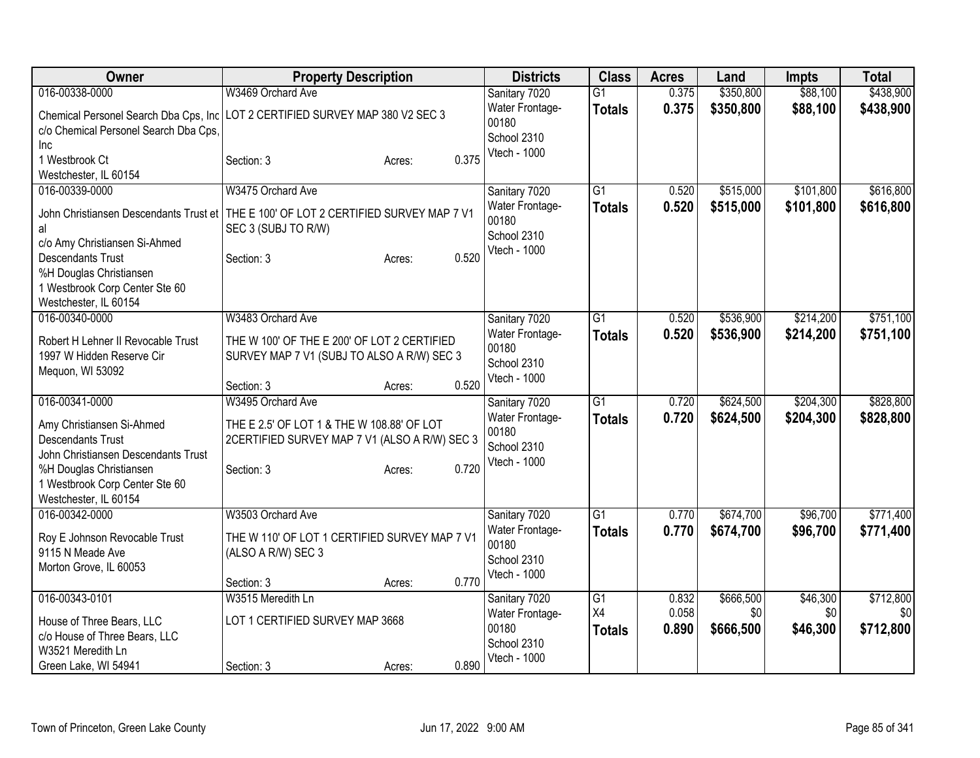| Owner                                 | <b>Property Description</b>                                                                                   | <b>Districts</b>         | <b>Class</b>    | <b>Acres</b> | Land      | <b>Impts</b> | <b>Total</b> |
|---------------------------------------|---------------------------------------------------------------------------------------------------------------|--------------------------|-----------------|--------------|-----------|--------------|--------------|
| 016-00338-0000                        | W3469 Orchard Ave                                                                                             | Sanitary 7020            | G <sub>1</sub>  | 0.375        | \$350,800 | \$88,100     | \$438,900    |
|                                       | Chemical Personel Search Dba Cps, Inc   LOT 2 CERTIFIED SURVEY MAP 380 V2 SEC 3                               | Water Frontage-          | <b>Totals</b>   | 0.375        | \$350,800 | \$88,100     | \$438,900    |
| c/o Chemical Personel Search Dba Cps, |                                                                                                               | 00180                    |                 |              |           |              |              |
| <b>Inc</b>                            |                                                                                                               | School 2310              |                 |              |           |              |              |
| 1 Westbrook Ct                        | 0.375<br>Section: 3<br>Acres:                                                                                 | Vtech - 1000             |                 |              |           |              |              |
| Westchester, IL 60154                 |                                                                                                               |                          |                 |              |           |              |              |
| 016-00339-0000                        | W3475 Orchard Ave                                                                                             | Sanitary 7020            | $\overline{G1}$ | 0.520        | \$515,000 | \$101,800    | \$616,800    |
|                                       |                                                                                                               | Water Frontage-          | <b>Totals</b>   | 0.520        | \$515,000 | \$101,800    | \$616,800    |
|                                       | John Christiansen Descendants Trust et   THE E 100' OF LOT 2 CERTIFIED SURVEY MAP 7 V1<br>SEC 3 (SUBJ TO R/W) | 00180                    |                 |              |           |              |              |
| al<br>c/o Amy Christiansen Si-Ahmed   |                                                                                                               | School 2310              |                 |              |           |              |              |
| <b>Descendants Trust</b>              | 0.520<br>Section: 3<br>Acres:                                                                                 | Vtech - 1000             |                 |              |           |              |              |
| %H Douglas Christiansen               |                                                                                                               |                          |                 |              |           |              |              |
| 1 Westbrook Corp Center Ste 60        |                                                                                                               |                          |                 |              |           |              |              |
| Westchester, IL 60154                 |                                                                                                               |                          |                 |              |           |              |              |
| 016-00340-0000                        | W3483 Orchard Ave                                                                                             | Sanitary 7020            | $\overline{G1}$ | 0.520        | \$536,900 | \$214,200    | \$751,100    |
|                                       |                                                                                                               | Water Frontage-          | <b>Totals</b>   | 0.520        | \$536,900 | \$214,200    | \$751,100    |
| Robert H Lehner II Revocable Trust    | THE W 100' OF THE E 200' OF LOT 2 CERTIFIED                                                                   | 00180                    |                 |              |           |              |              |
| 1997 W Hidden Reserve Cir             | SURVEY MAP 7 V1 (SUBJ TO ALSO A R/W) SEC 3                                                                    | School 2310              |                 |              |           |              |              |
| Mequon, WI 53092                      | 0.520<br>Section: 3<br>Acres:                                                                                 | Vtech - 1000             |                 |              |           |              |              |
| 016-00341-0000                        | W3495 Orchard Ave                                                                                             | Sanitary 7020            | $\overline{G1}$ | 0.720        | \$624,500 | \$204,300    | \$828,800    |
|                                       |                                                                                                               | Water Frontage-          | <b>Totals</b>   | 0.720        | \$624,500 | \$204,300    | \$828,800    |
| Amy Christiansen Si-Ahmed             | THE E 2.5' OF LOT 1 & THE W 108.88' OF LOT                                                                    | 00180                    |                 |              |           |              |              |
| <b>Descendants Trust</b>              | 2CERTIFIED SURVEY MAP 7 V1 (ALSO A R/W) SEC 3                                                                 | School 2310              |                 |              |           |              |              |
| John Christiansen Descendants Trust   |                                                                                                               | Vtech - 1000             |                 |              |           |              |              |
| %H Douglas Christiansen               | 0.720<br>Section: 3<br>Acres:                                                                                 |                          |                 |              |           |              |              |
| 1 Westbrook Corp Center Ste 60        |                                                                                                               |                          |                 |              |           |              |              |
| Westchester, IL 60154                 |                                                                                                               |                          |                 |              |           |              |              |
| 016-00342-0000                        | W3503 Orchard Ave                                                                                             | Sanitary 7020            | G1              | 0.770        | \$674,700 | \$96,700     | \$771,400    |
| Roy E Johnson Revocable Trust         | THE W 110' OF LOT 1 CERTIFIED SURVEY MAP 7 V1                                                                 | Water Frontage-<br>00180 | <b>Totals</b>   | 0.770        | \$674,700 | \$96,700     | \$771,400    |
| 9115 N Meade Ave                      | (ALSO A R/W) SEC 3                                                                                            | School 2310              |                 |              |           |              |              |
| Morton Grove, IL 60053                |                                                                                                               | Vtech - 1000             |                 |              |           |              |              |
|                                       | 0.770<br>Section: 3<br>Acres:                                                                                 |                          |                 |              |           |              |              |
| 016-00343-0101                        | W3515 Meredith Ln                                                                                             | Sanitary 7020            | G1              | 0.832        | \$666,500 | \$46,300     | \$712,800    |
| House of Three Bears, LLC             | LOT 1 CERTIFIED SURVEY MAP 3668                                                                               | Water Frontage-          | X4              | 0.058        | \$0       | \$0          | \$0          |
| c/o House of Three Bears, LLC         |                                                                                                               | 00180                    | <b>Totals</b>   | 0.890        | \$666,500 | \$46,300     | \$712,800    |
| W3521 Meredith Ln                     |                                                                                                               | School 2310              |                 |              |           |              |              |
| Green Lake, WI 54941                  | 0.890<br>Section: 3<br>Acres:                                                                                 | Vtech - 1000             |                 |              |           |              |              |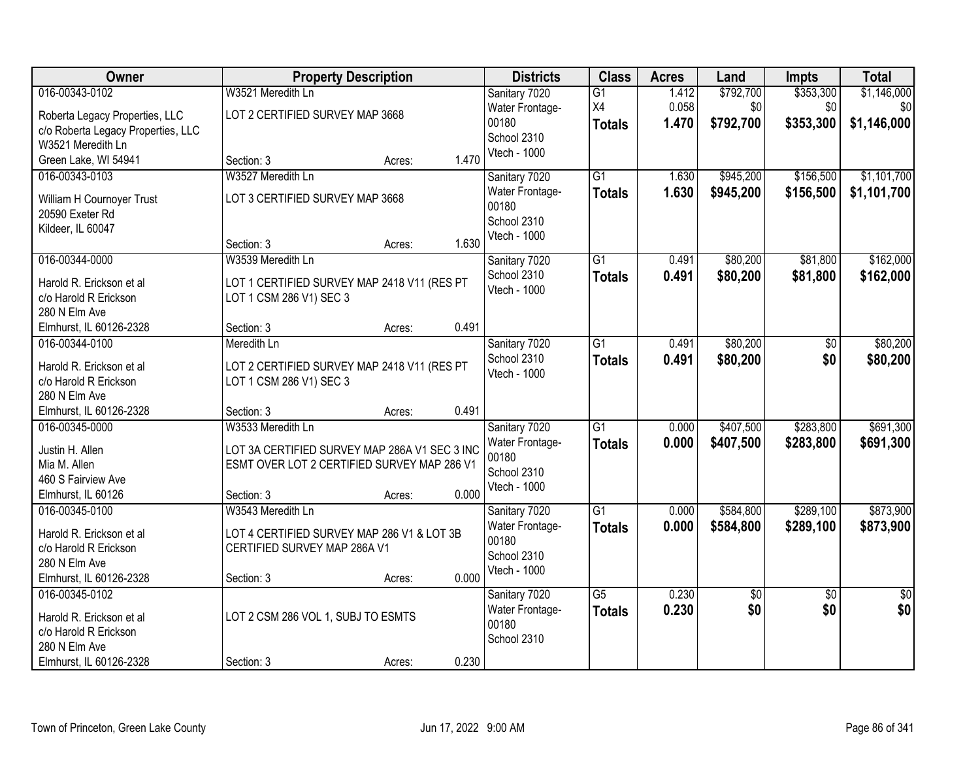| \$353,300<br>\$1,146,000<br>016-00343-0102<br>W3521 Meredith Ln<br>\$792,700<br>Sanitary 7020<br>$\overline{G1}$<br>1.412<br>X4<br>0.058<br>\$0<br>\$0<br>\$0<br>Water Frontage-<br>LOT 2 CERTIFIED SURVEY MAP 3668<br>Roberta Legacy Properties, LLC<br>00180<br>1.470<br>\$792,700<br>\$353,300<br>\$1,146,000<br><b>Totals</b><br>c/o Roberta Legacy Properties, LLC<br>School 2310<br>W3521 Meredith Ln<br>Vtech - 1000<br>1.470<br>Green Lake, WI 54941<br>Section: 3<br>Acres:<br>W3527 Meredith Ln<br>$\overline{G1}$<br>\$1,101,700<br>016-00343-0103<br>\$945,200<br>\$156,500<br>Sanitary 7020<br>1.630<br>1.630<br>\$945,200<br>\$156,500<br>\$1,101,700<br>Water Frontage-<br><b>Totals</b><br>LOT 3 CERTIFIED SURVEY MAP 3668<br>William H Cournoyer Trust<br>00180<br>20590 Exeter Rd<br>School 2310<br>Kildeer, IL 60047<br>Vtech - 1000<br>1.630<br>Section: 3<br>Acres:<br>\$80,200<br>\$81,800<br>\$162,000<br>016-00344-0000<br>W3539 Meredith Ln<br>$\overline{G1}$<br>Sanitary 7020<br>0.491<br>School 2310<br>0.491<br>\$80,200<br>\$81,800<br>\$162,000<br><b>Totals</b><br>Harold R. Erickson et al<br>LOT 1 CERTIFIED SURVEY MAP 2418 V11 (RES PT<br>Vtech - 1000<br>c/o Harold R Erickson<br>LOT 1 CSM 286 V1) SEC 3<br>280 N Elm Ave<br>0.491<br>Elmhurst, IL 60126-2328<br>Section: 3<br>Acres:<br>$\overline{G1}$<br>\$80,200<br>\$80,200<br>016-00344-0100<br>Meredith Ln<br>Sanitary 7020<br>0.491<br>\$0<br>School 2310<br>0.491<br>\$80,200<br>\$0<br>\$80,200<br><b>Totals</b><br>LOT 2 CERTIFIED SURVEY MAP 2418 V11 (RES PT<br>Harold R. Erickson et al<br>Vtech - 1000<br>c/o Harold R Erickson<br>LOT 1 CSM 286 V1) SEC 3<br>280 N Elm Ave<br>0.491<br>Elmhurst, IL 60126-2328<br>Section: 3<br>Acres:<br>$\overline{G1}$<br>\$407,500<br>\$283,800<br>\$691,300<br>016-00345-0000<br>W3533 Meredith Ln<br>0.000<br>Sanitary 7020<br><b>Totals</b><br>0.000<br>\$407,500<br>\$283,800<br>\$691,300<br>Water Frontage-<br>Justin H. Allen<br>LOT 3A CERTIFIED SURVEY MAP 286A V1 SEC 3 INC<br>00180<br>ESMT OVER LOT 2 CERTIFIED SURVEY MAP 286 V1<br>Mia M. Allen<br>School 2310<br>460 S Fairview Ave<br>Vtech - 1000<br>0.000<br>Elmhurst, IL 60126<br>Section: 3<br>Acres:<br>$\overline{G1}$<br>\$584,800<br>\$289,100<br>\$873,900<br>016-00345-0100<br>W3543 Meredith Ln<br>0.000<br>Sanitary 7020<br>0.000<br>\$584,800<br>\$289,100<br>\$873,900<br>Water Frontage-<br><b>Totals</b><br>Harold R. Erickson et al<br>LOT 4 CERTIFIED SURVEY MAP 286 V1 & LOT 3B<br>00180<br>CERTIFIED SURVEY MAP 286A V1<br>c/o Harold R Erickson<br>School 2310 | Owner         | <b>Property Description</b> | <b>Districts</b> | <b>Class</b> | <b>Acres</b> | Land | <b>Impts</b> | <b>Total</b> |
|-----------------------------------------------------------------------------------------------------------------------------------------------------------------------------------------------------------------------------------------------------------------------------------------------------------------------------------------------------------------------------------------------------------------------------------------------------------------------------------------------------------------------------------------------------------------------------------------------------------------------------------------------------------------------------------------------------------------------------------------------------------------------------------------------------------------------------------------------------------------------------------------------------------------------------------------------------------------------------------------------------------------------------------------------------------------------------------------------------------------------------------------------------------------------------------------------------------------------------------------------------------------------------------------------------------------------------------------------------------------------------------------------------------------------------------------------------------------------------------------------------------------------------------------------------------------------------------------------------------------------------------------------------------------------------------------------------------------------------------------------------------------------------------------------------------------------------------------------------------------------------------------------------------------------------------------------------------------------------------------------------------------------------------------------------------------------------------------------------------------------------------------------------------------------------------------------------------------------------------------------------------------------------------------------------------------------------------------------------------------------------------------------------------------------------------------------------------------------------------------------------------------------------------------------------------------------------------------------|---------------|-----------------------------|------------------|--------------|--------------|------|--------------|--------------|
|                                                                                                                                                                                                                                                                                                                                                                                                                                                                                                                                                                                                                                                                                                                                                                                                                                                                                                                                                                                                                                                                                                                                                                                                                                                                                                                                                                                                                                                                                                                                                                                                                                                                                                                                                                                                                                                                                                                                                                                                                                                                                                                                                                                                                                                                                                                                                                                                                                                                                                                                                                                               |               |                             |                  |              |              |      |              |              |
|                                                                                                                                                                                                                                                                                                                                                                                                                                                                                                                                                                                                                                                                                                                                                                                                                                                                                                                                                                                                                                                                                                                                                                                                                                                                                                                                                                                                                                                                                                                                                                                                                                                                                                                                                                                                                                                                                                                                                                                                                                                                                                                                                                                                                                                                                                                                                                                                                                                                                                                                                                                               |               |                             |                  |              |              |      |              |              |
|                                                                                                                                                                                                                                                                                                                                                                                                                                                                                                                                                                                                                                                                                                                                                                                                                                                                                                                                                                                                                                                                                                                                                                                                                                                                                                                                                                                                                                                                                                                                                                                                                                                                                                                                                                                                                                                                                                                                                                                                                                                                                                                                                                                                                                                                                                                                                                                                                                                                                                                                                                                               |               |                             |                  |              |              |      |              |              |
|                                                                                                                                                                                                                                                                                                                                                                                                                                                                                                                                                                                                                                                                                                                                                                                                                                                                                                                                                                                                                                                                                                                                                                                                                                                                                                                                                                                                                                                                                                                                                                                                                                                                                                                                                                                                                                                                                                                                                                                                                                                                                                                                                                                                                                                                                                                                                                                                                                                                                                                                                                                               |               |                             |                  |              |              |      |              |              |
|                                                                                                                                                                                                                                                                                                                                                                                                                                                                                                                                                                                                                                                                                                                                                                                                                                                                                                                                                                                                                                                                                                                                                                                                                                                                                                                                                                                                                                                                                                                                                                                                                                                                                                                                                                                                                                                                                                                                                                                                                                                                                                                                                                                                                                                                                                                                                                                                                                                                                                                                                                                               |               |                             |                  |              |              |      |              |              |
|                                                                                                                                                                                                                                                                                                                                                                                                                                                                                                                                                                                                                                                                                                                                                                                                                                                                                                                                                                                                                                                                                                                                                                                                                                                                                                                                                                                                                                                                                                                                                                                                                                                                                                                                                                                                                                                                                                                                                                                                                                                                                                                                                                                                                                                                                                                                                                                                                                                                                                                                                                                               |               |                             |                  |              |              |      |              |              |
|                                                                                                                                                                                                                                                                                                                                                                                                                                                                                                                                                                                                                                                                                                                                                                                                                                                                                                                                                                                                                                                                                                                                                                                                                                                                                                                                                                                                                                                                                                                                                                                                                                                                                                                                                                                                                                                                                                                                                                                                                                                                                                                                                                                                                                                                                                                                                                                                                                                                                                                                                                                               |               |                             |                  |              |              |      |              |              |
|                                                                                                                                                                                                                                                                                                                                                                                                                                                                                                                                                                                                                                                                                                                                                                                                                                                                                                                                                                                                                                                                                                                                                                                                                                                                                                                                                                                                                                                                                                                                                                                                                                                                                                                                                                                                                                                                                                                                                                                                                                                                                                                                                                                                                                                                                                                                                                                                                                                                                                                                                                                               |               |                             |                  |              |              |      |              |              |
|                                                                                                                                                                                                                                                                                                                                                                                                                                                                                                                                                                                                                                                                                                                                                                                                                                                                                                                                                                                                                                                                                                                                                                                                                                                                                                                                                                                                                                                                                                                                                                                                                                                                                                                                                                                                                                                                                                                                                                                                                                                                                                                                                                                                                                                                                                                                                                                                                                                                                                                                                                                               |               |                             |                  |              |              |      |              |              |
|                                                                                                                                                                                                                                                                                                                                                                                                                                                                                                                                                                                                                                                                                                                                                                                                                                                                                                                                                                                                                                                                                                                                                                                                                                                                                                                                                                                                                                                                                                                                                                                                                                                                                                                                                                                                                                                                                                                                                                                                                                                                                                                                                                                                                                                                                                                                                                                                                                                                                                                                                                                               |               |                             |                  |              |              |      |              |              |
|                                                                                                                                                                                                                                                                                                                                                                                                                                                                                                                                                                                                                                                                                                                                                                                                                                                                                                                                                                                                                                                                                                                                                                                                                                                                                                                                                                                                                                                                                                                                                                                                                                                                                                                                                                                                                                                                                                                                                                                                                                                                                                                                                                                                                                                                                                                                                                                                                                                                                                                                                                                               |               |                             |                  |              |              |      |              |              |
|                                                                                                                                                                                                                                                                                                                                                                                                                                                                                                                                                                                                                                                                                                                                                                                                                                                                                                                                                                                                                                                                                                                                                                                                                                                                                                                                                                                                                                                                                                                                                                                                                                                                                                                                                                                                                                                                                                                                                                                                                                                                                                                                                                                                                                                                                                                                                                                                                                                                                                                                                                                               |               |                             |                  |              |              |      |              |              |
|                                                                                                                                                                                                                                                                                                                                                                                                                                                                                                                                                                                                                                                                                                                                                                                                                                                                                                                                                                                                                                                                                                                                                                                                                                                                                                                                                                                                                                                                                                                                                                                                                                                                                                                                                                                                                                                                                                                                                                                                                                                                                                                                                                                                                                                                                                                                                                                                                                                                                                                                                                                               |               |                             |                  |              |              |      |              |              |
|                                                                                                                                                                                                                                                                                                                                                                                                                                                                                                                                                                                                                                                                                                                                                                                                                                                                                                                                                                                                                                                                                                                                                                                                                                                                                                                                                                                                                                                                                                                                                                                                                                                                                                                                                                                                                                                                                                                                                                                                                                                                                                                                                                                                                                                                                                                                                                                                                                                                                                                                                                                               |               |                             |                  |              |              |      |              |              |
|                                                                                                                                                                                                                                                                                                                                                                                                                                                                                                                                                                                                                                                                                                                                                                                                                                                                                                                                                                                                                                                                                                                                                                                                                                                                                                                                                                                                                                                                                                                                                                                                                                                                                                                                                                                                                                                                                                                                                                                                                                                                                                                                                                                                                                                                                                                                                                                                                                                                                                                                                                                               |               |                             |                  |              |              |      |              |              |
|                                                                                                                                                                                                                                                                                                                                                                                                                                                                                                                                                                                                                                                                                                                                                                                                                                                                                                                                                                                                                                                                                                                                                                                                                                                                                                                                                                                                                                                                                                                                                                                                                                                                                                                                                                                                                                                                                                                                                                                                                                                                                                                                                                                                                                                                                                                                                                                                                                                                                                                                                                                               |               |                             |                  |              |              |      |              |              |
|                                                                                                                                                                                                                                                                                                                                                                                                                                                                                                                                                                                                                                                                                                                                                                                                                                                                                                                                                                                                                                                                                                                                                                                                                                                                                                                                                                                                                                                                                                                                                                                                                                                                                                                                                                                                                                                                                                                                                                                                                                                                                                                                                                                                                                                                                                                                                                                                                                                                                                                                                                                               |               |                             |                  |              |              |      |              |              |
|                                                                                                                                                                                                                                                                                                                                                                                                                                                                                                                                                                                                                                                                                                                                                                                                                                                                                                                                                                                                                                                                                                                                                                                                                                                                                                                                                                                                                                                                                                                                                                                                                                                                                                                                                                                                                                                                                                                                                                                                                                                                                                                                                                                                                                                                                                                                                                                                                                                                                                                                                                                               |               |                             |                  |              |              |      |              |              |
|                                                                                                                                                                                                                                                                                                                                                                                                                                                                                                                                                                                                                                                                                                                                                                                                                                                                                                                                                                                                                                                                                                                                                                                                                                                                                                                                                                                                                                                                                                                                                                                                                                                                                                                                                                                                                                                                                                                                                                                                                                                                                                                                                                                                                                                                                                                                                                                                                                                                                                                                                                                               |               |                             |                  |              |              |      |              |              |
|                                                                                                                                                                                                                                                                                                                                                                                                                                                                                                                                                                                                                                                                                                                                                                                                                                                                                                                                                                                                                                                                                                                                                                                                                                                                                                                                                                                                                                                                                                                                                                                                                                                                                                                                                                                                                                                                                                                                                                                                                                                                                                                                                                                                                                                                                                                                                                                                                                                                                                                                                                                               |               |                             |                  |              |              |      |              |              |
|                                                                                                                                                                                                                                                                                                                                                                                                                                                                                                                                                                                                                                                                                                                                                                                                                                                                                                                                                                                                                                                                                                                                                                                                                                                                                                                                                                                                                                                                                                                                                                                                                                                                                                                                                                                                                                                                                                                                                                                                                                                                                                                                                                                                                                                                                                                                                                                                                                                                                                                                                                                               |               |                             |                  |              |              |      |              |              |
|                                                                                                                                                                                                                                                                                                                                                                                                                                                                                                                                                                                                                                                                                                                                                                                                                                                                                                                                                                                                                                                                                                                                                                                                                                                                                                                                                                                                                                                                                                                                                                                                                                                                                                                                                                                                                                                                                                                                                                                                                                                                                                                                                                                                                                                                                                                                                                                                                                                                                                                                                                                               |               |                             |                  |              |              |      |              |              |
|                                                                                                                                                                                                                                                                                                                                                                                                                                                                                                                                                                                                                                                                                                                                                                                                                                                                                                                                                                                                                                                                                                                                                                                                                                                                                                                                                                                                                                                                                                                                                                                                                                                                                                                                                                                                                                                                                                                                                                                                                                                                                                                                                                                                                                                                                                                                                                                                                                                                                                                                                                                               |               |                             |                  |              |              |      |              |              |
|                                                                                                                                                                                                                                                                                                                                                                                                                                                                                                                                                                                                                                                                                                                                                                                                                                                                                                                                                                                                                                                                                                                                                                                                                                                                                                                                                                                                                                                                                                                                                                                                                                                                                                                                                                                                                                                                                                                                                                                                                                                                                                                                                                                                                                                                                                                                                                                                                                                                                                                                                                                               |               |                             |                  |              |              |      |              |              |
|                                                                                                                                                                                                                                                                                                                                                                                                                                                                                                                                                                                                                                                                                                                                                                                                                                                                                                                                                                                                                                                                                                                                                                                                                                                                                                                                                                                                                                                                                                                                                                                                                                                                                                                                                                                                                                                                                                                                                                                                                                                                                                                                                                                                                                                                                                                                                                                                                                                                                                                                                                                               |               |                             |                  |              |              |      |              |              |
|                                                                                                                                                                                                                                                                                                                                                                                                                                                                                                                                                                                                                                                                                                                                                                                                                                                                                                                                                                                                                                                                                                                                                                                                                                                                                                                                                                                                                                                                                                                                                                                                                                                                                                                                                                                                                                                                                                                                                                                                                                                                                                                                                                                                                                                                                                                                                                                                                                                                                                                                                                                               |               |                             |                  |              |              |      |              |              |
|                                                                                                                                                                                                                                                                                                                                                                                                                                                                                                                                                                                                                                                                                                                                                                                                                                                                                                                                                                                                                                                                                                                                                                                                                                                                                                                                                                                                                                                                                                                                                                                                                                                                                                                                                                                                                                                                                                                                                                                                                                                                                                                                                                                                                                                                                                                                                                                                                                                                                                                                                                                               |               |                             |                  |              |              |      |              |              |
|                                                                                                                                                                                                                                                                                                                                                                                                                                                                                                                                                                                                                                                                                                                                                                                                                                                                                                                                                                                                                                                                                                                                                                                                                                                                                                                                                                                                                                                                                                                                                                                                                                                                                                                                                                                                                                                                                                                                                                                                                                                                                                                                                                                                                                                                                                                                                                                                                                                                                                                                                                                               |               |                             |                  |              |              |      |              |              |
|                                                                                                                                                                                                                                                                                                                                                                                                                                                                                                                                                                                                                                                                                                                                                                                                                                                                                                                                                                                                                                                                                                                                                                                                                                                                                                                                                                                                                                                                                                                                                                                                                                                                                                                                                                                                                                                                                                                                                                                                                                                                                                                                                                                                                                                                                                                                                                                                                                                                                                                                                                                               |               |                             |                  |              |              |      |              |              |
|                                                                                                                                                                                                                                                                                                                                                                                                                                                                                                                                                                                                                                                                                                                                                                                                                                                                                                                                                                                                                                                                                                                                                                                                                                                                                                                                                                                                                                                                                                                                                                                                                                                                                                                                                                                                                                                                                                                                                                                                                                                                                                                                                                                                                                                                                                                                                                                                                                                                                                                                                                                               | 280 N Elm Ave |                             |                  |              |              |      |              |              |
| Vtech - 1000<br>0.000<br>Elmhurst, IL 60126-2328<br>Section: 3<br>Acres:                                                                                                                                                                                                                                                                                                                                                                                                                                                                                                                                                                                                                                                                                                                                                                                                                                                                                                                                                                                                                                                                                                                                                                                                                                                                                                                                                                                                                                                                                                                                                                                                                                                                                                                                                                                                                                                                                                                                                                                                                                                                                                                                                                                                                                                                                                                                                                                                                                                                                                                      |               |                             |                  |              |              |      |              |              |
| $\overline{G5}$<br>0.230<br>016-00345-0102<br>Sanitary 7020<br>\$0<br>$\overline{50}$<br>$\overline{50}$                                                                                                                                                                                                                                                                                                                                                                                                                                                                                                                                                                                                                                                                                                                                                                                                                                                                                                                                                                                                                                                                                                                                                                                                                                                                                                                                                                                                                                                                                                                                                                                                                                                                                                                                                                                                                                                                                                                                                                                                                                                                                                                                                                                                                                                                                                                                                                                                                                                                                      |               |                             |                  |              |              |      |              |              |
| \$0<br>0.230<br>\$0<br>\$0<br>Water Frontage-<br><b>Totals</b>                                                                                                                                                                                                                                                                                                                                                                                                                                                                                                                                                                                                                                                                                                                                                                                                                                                                                                                                                                                                                                                                                                                                                                                                                                                                                                                                                                                                                                                                                                                                                                                                                                                                                                                                                                                                                                                                                                                                                                                                                                                                                                                                                                                                                                                                                                                                                                                                                                                                                                                                |               |                             |                  |              |              |      |              |              |
| LOT 2 CSM 286 VOL 1, SUBJ TO ESMTS<br>Harold R. Erickson et al<br>00180<br>c/o Harold R Erickson                                                                                                                                                                                                                                                                                                                                                                                                                                                                                                                                                                                                                                                                                                                                                                                                                                                                                                                                                                                                                                                                                                                                                                                                                                                                                                                                                                                                                                                                                                                                                                                                                                                                                                                                                                                                                                                                                                                                                                                                                                                                                                                                                                                                                                                                                                                                                                                                                                                                                              |               |                             |                  |              |              |      |              |              |
| School 2310<br>280 N Elm Ave                                                                                                                                                                                                                                                                                                                                                                                                                                                                                                                                                                                                                                                                                                                                                                                                                                                                                                                                                                                                                                                                                                                                                                                                                                                                                                                                                                                                                                                                                                                                                                                                                                                                                                                                                                                                                                                                                                                                                                                                                                                                                                                                                                                                                                                                                                                                                                                                                                                                                                                                                                  |               |                             |                  |              |              |      |              |              |
| 0.230<br>Elmhurst, IL 60126-2328<br>Section: 3<br>Acres:                                                                                                                                                                                                                                                                                                                                                                                                                                                                                                                                                                                                                                                                                                                                                                                                                                                                                                                                                                                                                                                                                                                                                                                                                                                                                                                                                                                                                                                                                                                                                                                                                                                                                                                                                                                                                                                                                                                                                                                                                                                                                                                                                                                                                                                                                                                                                                                                                                                                                                                                      |               |                             |                  |              |              |      |              |              |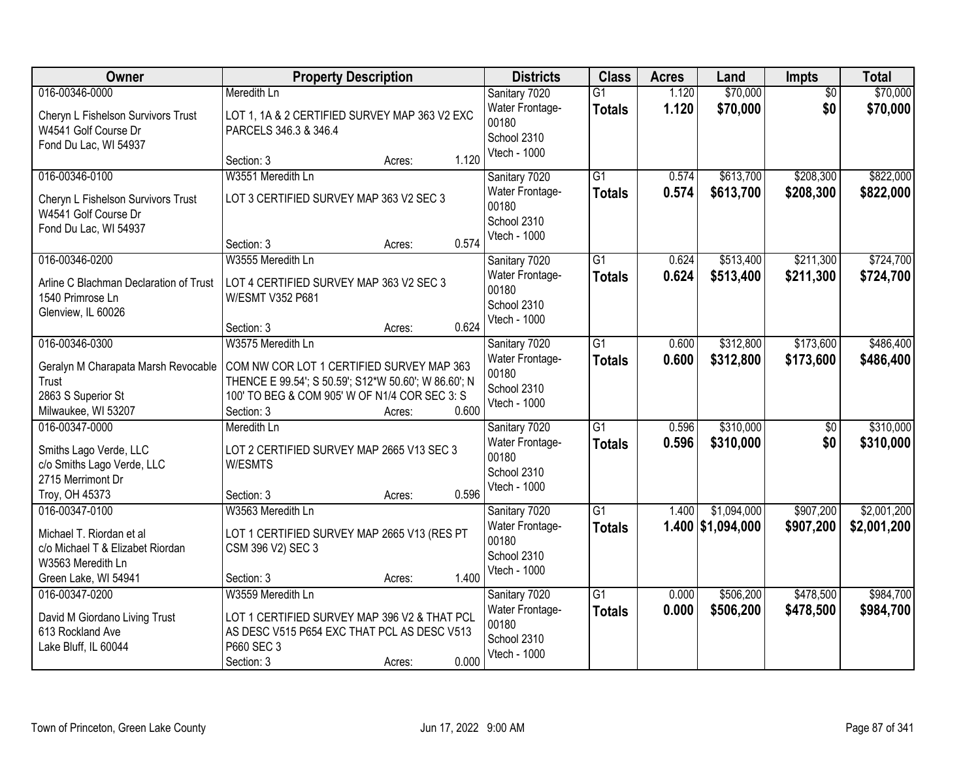| Owner                                  | <b>Property Description</b>                          | <b>Districts</b>            | <b>Class</b>    | <b>Acres</b> | Land              | <b>Impts</b>    | <b>Total</b> |
|----------------------------------------|------------------------------------------------------|-----------------------------|-----------------|--------------|-------------------|-----------------|--------------|
| 016-00346-0000                         | Meredith Ln                                          | Sanitary 7020               | $\overline{G1}$ | 1.120        | \$70,000          | $\overline{50}$ | \$70,000     |
| Cheryn L Fishelson Survivors Trust     | LOT 1, 1A & 2 CERTIFIED SURVEY MAP 363 V2 EXC        | Water Frontage-             | <b>Totals</b>   | 1.120        | \$70,000          | \$0             | \$70,000     |
| W4541 Golf Course Dr                   | PARCELS 346.3 & 346.4                                | 00180                       |                 |              |                   |                 |              |
| Fond Du Lac, WI 54937                  |                                                      | School 2310<br>Vtech - 1000 |                 |              |                   |                 |              |
|                                        | 1.120<br>Section: 3<br>Acres:                        |                             |                 |              |                   |                 |              |
| 016-00346-0100                         | W3551 Meredith Ln                                    | Sanitary 7020               | $\overline{G1}$ | 0.574        | \$613,700         | \$208,300       | \$822,000    |
| Cheryn L Fishelson Survivors Trust     | LOT 3 CERTIFIED SURVEY MAP 363 V2 SEC 3              | Water Frontage-             | Totals          | 0.574        | \$613,700         | \$208,300       | \$822,000    |
| W4541 Golf Course Dr                   |                                                      | 00180                       |                 |              |                   |                 |              |
| Fond Du Lac, WI 54937                  |                                                      | School 2310<br>Vtech - 1000 |                 |              |                   |                 |              |
|                                        | 0.574<br>Section: 3<br>Acres:                        |                             |                 |              |                   |                 |              |
| 016-00346-0200                         | W3555 Meredith Ln                                    | Sanitary 7020               | G1              | 0.624        | \$513,400         | \$211,300       | \$724,700    |
| Arline C Blachman Declaration of Trust | LOT 4 CERTIFIED SURVEY MAP 363 V2 SEC 3              | Water Frontage-             | <b>Totals</b>   | 0.624        | \$513,400         | \$211,300       | \$724,700    |
| 1540 Primrose Ln                       | W/ESMT V352 P681                                     | 00180                       |                 |              |                   |                 |              |
| Glenview, IL 60026                     |                                                      | School 2310                 |                 |              |                   |                 |              |
|                                        | 0.624<br>Section: 3<br>Acres:                        | Vtech - 1000                |                 |              |                   |                 |              |
| 016-00346-0300                         | W3575 Meredith Ln                                    | Sanitary 7020               | $\overline{G1}$ | 0.600        | \$312,800         | \$173,600       | \$486,400    |
| Geralyn M Charapata Marsh Revocable    | COM NW COR LOT 1 CERTIFIED SURVEY MAP 363            | <b>Water Frontage-</b>      | <b>Totals</b>   | 0.600        | \$312,800         | \$173,600       | \$486,400    |
| Trust                                  | THENCE E 99.54'; S 50.59'; S12*W 50.60'; W 86.60'; N | 00180                       |                 |              |                   |                 |              |
| 2863 S Superior St                     | 100' TO BEG & COM 905' W OF N1/4 COR SEC 3: S        | School 2310                 |                 |              |                   |                 |              |
| Milwaukee, WI 53207                    | 0.600<br>Section: 3<br>Acres:                        | Vtech - 1000                |                 |              |                   |                 |              |
| 016-00347-0000                         | Meredith Ln                                          | Sanitary 7020               | $\overline{G1}$ | 0.596        | \$310,000         | $\overline{50}$ | \$310,000    |
| Smiths Lago Verde, LLC                 | LOT 2 CERTIFIED SURVEY MAP 2665 V13 SEC 3            | Water Frontage-             | <b>Totals</b>   | 0.596        | \$310,000         | \$0             | \$310,000    |
| c/o Smiths Lago Verde, LLC             | W/ESMTS                                              | 00180                       |                 |              |                   |                 |              |
| 2715 Merrimont Dr                      |                                                      | School 2310                 |                 |              |                   |                 |              |
| Troy, OH 45373                         | 0.596<br>Section: 3<br>Acres:                        | Vtech - 1000                |                 |              |                   |                 |              |
| 016-00347-0100                         | W3563 Meredith Ln                                    | Sanitary 7020               | $\overline{G1}$ | 1.400        | \$1,094,000       | \$907,200       | \$2,001,200  |
| Michael T. Riordan et al               | LOT 1 CERTIFIED SURVEY MAP 2665 V13 (RES PT          | Water Frontage-             | <b>Totals</b>   |              | 1.400 \$1,094,000 | \$907,200       | \$2,001,200  |
| c/o Michael T & Elizabet Riordan       | CSM 396 V2) SEC 3                                    | 00180                       |                 |              |                   |                 |              |
| W3563 Meredith Ln                      |                                                      | School 2310                 |                 |              |                   |                 |              |
| Green Lake, WI 54941                   | 1.400<br>Section: 3<br>Acres:                        | Vtech - 1000                |                 |              |                   |                 |              |
| 016-00347-0200                         | W3559 Meredith Ln                                    | Sanitary 7020               | $\overline{G1}$ | 0.000        | \$506,200         | \$478,500       | \$984,700    |
| David M Giordano Living Trust          | LOT 1 CERTIFIED SURVEY MAP 396 V2 & THAT PCL         | Water Frontage-             | <b>Totals</b>   | 0.000        | \$506,200         | \$478,500       | \$984,700    |
| 613 Rockland Ave                       | AS DESC V515 P654 EXC THAT PCL AS DESC V513          | 00180                       |                 |              |                   |                 |              |
| Lake Bluff, IL 60044                   | P660 SEC 3                                           | School 2310                 |                 |              |                   |                 |              |
|                                        | 0.000<br>Section: 3<br>Acres:                        | Vtech - 1000                |                 |              |                   |                 |              |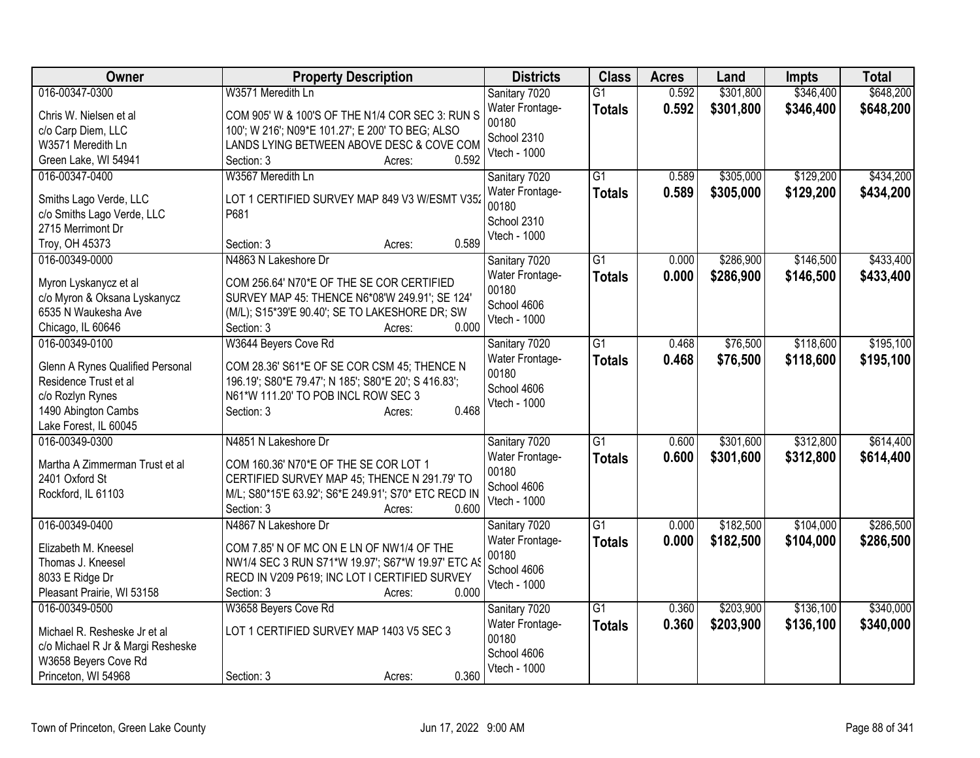| Owner                                        | <b>Property Description</b>                                                                 | <b>Districts</b>         | <b>Class</b>    | <b>Acres</b> | Land      | <b>Impts</b> | <b>Total</b> |
|----------------------------------------------|---------------------------------------------------------------------------------------------|--------------------------|-----------------|--------------|-----------|--------------|--------------|
| 016-00347-0300                               | W3571 Meredith Ln                                                                           | Sanitary 7020            | $\overline{G1}$ | 0.592        | \$301,800 | \$346,400    | \$648,200    |
| Chris W. Nielsen et al                       | COM 905' W & 100'S OF THE N1/4 COR SEC 3: RUN S                                             | Water Frontage-          | <b>Totals</b>   | 0.592        | \$301,800 | \$346,400    | \$648,200    |
| c/o Carp Diem, LLC                           | 100'; W 216'; N09*E 101.27'; E 200' TO BEG; ALSO                                            | 00180                    |                 |              |           |              |              |
| W3571 Meredith Ln                            | LANDS LYING BETWEEN ABOVE DESC & COVE COM                                                   | School 2310              |                 |              |           |              |              |
| Green Lake, WI 54941                         | 0.592<br>Section: 3<br>Acres:                                                               | Vtech - 1000             |                 |              |           |              |              |
| 016-00347-0400                               | W3567 Meredith Ln                                                                           | Sanitary 7020            | $\overline{G1}$ | 0.589        | \$305,000 | \$129,200    | \$434,200    |
|                                              |                                                                                             | Water Frontage-          | <b>Totals</b>   | 0.589        | \$305,000 | \$129,200    | \$434,200    |
| Smiths Lago Verde, LLC                       | LOT 1 CERTIFIED SURVEY MAP 849 V3 W/ESMT V352                                               | 00180                    |                 |              |           |              |              |
| c/o Smiths Lago Verde, LLC                   | P681                                                                                        | School 2310              |                 |              |           |              |              |
| 2715 Merrimont Dr                            | 0.589                                                                                       | Vtech - 1000             |                 |              |           |              |              |
| Troy, OH 45373                               | Section: 3<br>Acres:                                                                        |                          |                 |              |           |              |              |
| 016-00349-0000                               | N4863 N Lakeshore Dr                                                                        | Sanitary 7020            | G1              | 0.000        | \$286,900 | \$146,500    | \$433,400    |
| Myron Lyskanycz et al                        | COM 256.64' N70*E OF THE SE COR CERTIFIED                                                   | Water Frontage-<br>00180 | <b>Totals</b>   | 0.000        | \$286,900 | \$146,500    | \$433,400    |
| c/o Myron & Oksana Lyskanycz                 | SURVEY MAP 45: THENCE N6*08'W 249.91'; SE 124'                                              | School 4606              |                 |              |           |              |              |
| 6535 N Waukesha Ave                          | (M/L); S15*39'E 90.40'; SE TO LAKESHORE DR; SW                                              | Vtech - 1000             |                 |              |           |              |              |
| Chicago, IL 60646                            | 0.000<br>Section: 3<br>Acres:                                                               |                          |                 |              |           |              |              |
| 016-00349-0100                               | W3644 Beyers Cove Rd                                                                        | Sanitary 7020            | $\overline{G1}$ | 0.468        | \$76,500  | \$118,600    | \$195,100    |
|                                              |                                                                                             | Water Frontage-          | <b>Totals</b>   | 0.468        | \$76,500  | \$118,600    | \$195,100    |
| Glenn A Rynes Qualified Personal             | COM 28.36' S61*E OF SE COR CSM 45; THENCE N                                                 | 00180                    |                 |              |           |              |              |
| Residence Trust et al                        | 196.19'; S80*E 79.47'; N 185'; S80*E 20'; S 416.83';<br>N61*W 111.20' TO POB INCL ROW SEC 3 | School 4606              |                 |              |           |              |              |
| c/o Rozlyn Rynes                             | 0.468<br>Section: 3<br>Acres:                                                               | Vtech - 1000             |                 |              |           |              |              |
| 1490 Abington Cambs<br>Lake Forest, IL 60045 |                                                                                             |                          |                 |              |           |              |              |
| 016-00349-0300                               | N4851 N Lakeshore Dr                                                                        | Sanitary 7020            | G1              | 0.600        | \$301,600 | \$312,800    | \$614,400    |
|                                              |                                                                                             | Water Frontage-          |                 | 0.600        |           |              |              |
| Martha A Zimmerman Trust et al               | COM 160.36' N70*E OF THE SE COR LOT 1                                                       | 00180                    | <b>Totals</b>   |              | \$301,600 | \$312,800    | \$614,400    |
| 2401 Oxford St                               | CERTIFIED SURVEY MAP 45; THENCE N 291.79' TO                                                | School 4606              |                 |              |           |              |              |
| Rockford, IL 61103                           | M/L; S80*15'E 63.92'; S6*E 249.91'; S70* ETC RECD IN                                        | Vtech - 1000             |                 |              |           |              |              |
|                                              | 0.600<br>Section: 3<br>Acres:                                                               |                          |                 |              |           |              |              |
| 016-00349-0400                               | N4867 N Lakeshore Dr                                                                        | Sanitary 7020            | $\overline{G1}$ | 0.000        | \$182,500 | \$104,000    | \$286,500    |
| Elizabeth M. Kneesel                         | COM 7.85' N OF MC ON E LN OF NW1/4 OF THE                                                   | Water Frontage-          | <b>Totals</b>   | 0.000        | \$182,500 | \$104,000    | \$286,500    |
| Thomas J. Kneesel                            | NW1/4 SEC 3 RUN S71*W 19.97'; S67*W 19.97' ETC AS                                           | 00180                    |                 |              |           |              |              |
| 8033 E Ridge Dr                              | RECD IN V209 P619; INC LOT I CERTIFIED SURVEY                                               | School 4606              |                 |              |           |              |              |
| Pleasant Prairie, WI 53158                   | 0.000<br>Section: 3<br>Acres:                                                               | Vtech - 1000             |                 |              |           |              |              |
| 016-00349-0500                               | W3658 Beyers Cove Rd                                                                        | Sanitary 7020            | $\overline{G1}$ | 0.360        | \$203,900 | \$136,100    | \$340,000    |
|                                              |                                                                                             | Water Frontage-          | <b>Totals</b>   | 0.360        | \$203,900 | \$136,100    | \$340,000    |
| Michael R. Resheske Jr et al                 | LOT 1 CERTIFIED SURVEY MAP 1403 V5 SEC 3                                                    | 00180                    |                 |              |           |              |              |
| c/o Michael R Jr & Margi Resheske            |                                                                                             | School 4606              |                 |              |           |              |              |
| W3658 Beyers Cove Rd                         |                                                                                             | Vtech - 1000             |                 |              |           |              |              |
| Princeton, WI 54968                          | 0.360<br>Section: 3<br>Acres:                                                               |                          |                 |              |           |              |              |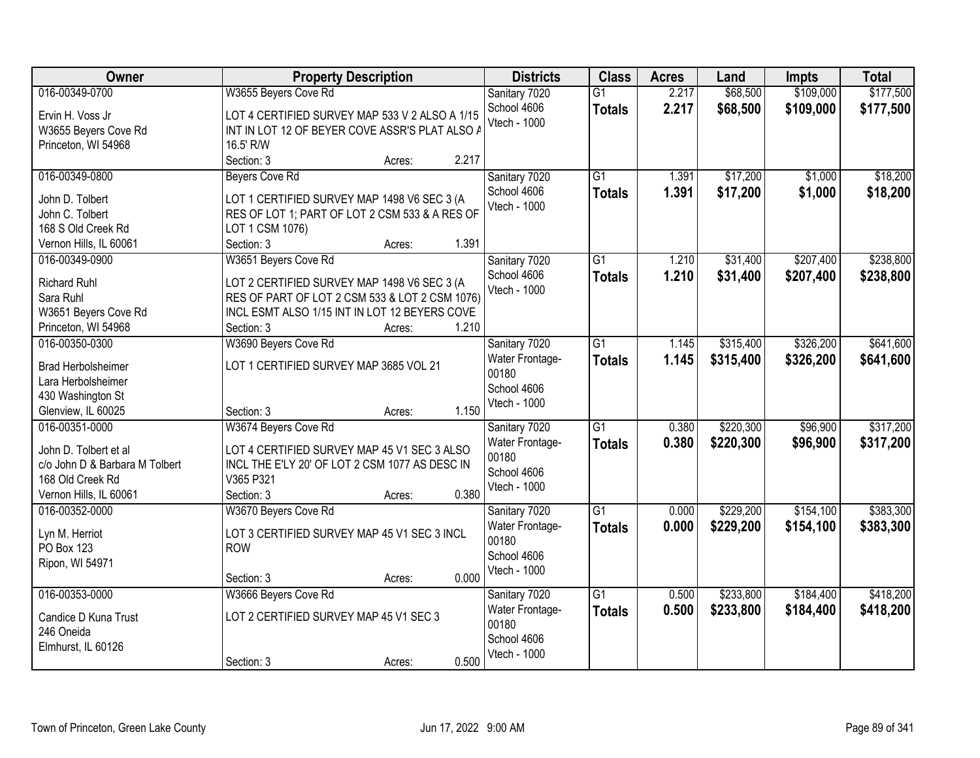| \$109,000<br>\$177,500<br>016-00349-0700<br>W3655 Beyers Cove Rd<br>Sanitary 7020<br>\$68,500<br>$\overline{G1}$<br>2.217<br>2.217<br>School 4606<br>\$68,500<br>\$109,000<br>\$177,500<br><b>Totals</b><br>LOT 4 CERTIFIED SURVEY MAP 533 V 2 ALSO A 1/15<br>Ervin H. Voss Jr<br>Vtech - 1000<br>INT IN LOT 12 OF BEYER COVE ASSR'S PLAT ALSO A<br>W3655 Beyers Cove Rd<br>Princeton, WI 54968<br>16.5' R/W<br>2.217<br>Section: 3<br>Acres:<br>$\overline{G1}$<br>\$17,200<br>\$18,200<br>016-00349-0800<br><b>Beyers Cove Rd</b><br>Sanitary 7020<br>1.391<br>\$1,000<br>\$17,200<br>1.391<br>\$1,000<br>\$18,200<br>School 4606<br><b>Totals</b><br>LOT 1 CERTIFIED SURVEY MAP 1498 V6 SEC 3 (A<br>John D. Tolbert<br>Vtech - 1000<br>John C. Tolbert<br>RES OF LOT 1; PART OF LOT 2 CSM 533 & A RES OF<br>168 S Old Creek Rd<br>LOT 1 CSM 1076)<br>1.391<br>Vernon Hills, IL 60061<br>Section: 3<br>Acres:<br>W3651 Beyers Cove Rd<br>\$207,400<br>\$238,800<br>016-00349-0900<br>Sanitary 7020<br>G <sub>1</sub><br>1.210<br>\$31,400<br>School 4606<br>1.210<br>\$31,400<br>\$207,400<br>\$238,800<br><b>Totals</b><br><b>Richard Ruhl</b><br>LOT 2 CERTIFIED SURVEY MAP 1498 V6 SEC 3 (A<br>Vtech - 1000<br>Sara Ruhl<br>RES OF PART OF LOT 2 CSM 533 & LOT 2 CSM 1076) |
|---------------------------------------------------------------------------------------------------------------------------------------------------------------------------------------------------------------------------------------------------------------------------------------------------------------------------------------------------------------------------------------------------------------------------------------------------------------------------------------------------------------------------------------------------------------------------------------------------------------------------------------------------------------------------------------------------------------------------------------------------------------------------------------------------------------------------------------------------------------------------------------------------------------------------------------------------------------------------------------------------------------------------------------------------------------------------------------------------------------------------------------------------------------------------------------------------------------------------------------------------------------------------------|
|                                                                                                                                                                                                                                                                                                                                                                                                                                                                                                                                                                                                                                                                                                                                                                                                                                                                                                                                                                                                                                                                                                                                                                                                                                                                                 |
|                                                                                                                                                                                                                                                                                                                                                                                                                                                                                                                                                                                                                                                                                                                                                                                                                                                                                                                                                                                                                                                                                                                                                                                                                                                                                 |
|                                                                                                                                                                                                                                                                                                                                                                                                                                                                                                                                                                                                                                                                                                                                                                                                                                                                                                                                                                                                                                                                                                                                                                                                                                                                                 |
|                                                                                                                                                                                                                                                                                                                                                                                                                                                                                                                                                                                                                                                                                                                                                                                                                                                                                                                                                                                                                                                                                                                                                                                                                                                                                 |
|                                                                                                                                                                                                                                                                                                                                                                                                                                                                                                                                                                                                                                                                                                                                                                                                                                                                                                                                                                                                                                                                                                                                                                                                                                                                                 |
|                                                                                                                                                                                                                                                                                                                                                                                                                                                                                                                                                                                                                                                                                                                                                                                                                                                                                                                                                                                                                                                                                                                                                                                                                                                                                 |
|                                                                                                                                                                                                                                                                                                                                                                                                                                                                                                                                                                                                                                                                                                                                                                                                                                                                                                                                                                                                                                                                                                                                                                                                                                                                                 |
|                                                                                                                                                                                                                                                                                                                                                                                                                                                                                                                                                                                                                                                                                                                                                                                                                                                                                                                                                                                                                                                                                                                                                                                                                                                                                 |
|                                                                                                                                                                                                                                                                                                                                                                                                                                                                                                                                                                                                                                                                                                                                                                                                                                                                                                                                                                                                                                                                                                                                                                                                                                                                                 |
|                                                                                                                                                                                                                                                                                                                                                                                                                                                                                                                                                                                                                                                                                                                                                                                                                                                                                                                                                                                                                                                                                                                                                                                                                                                                                 |
|                                                                                                                                                                                                                                                                                                                                                                                                                                                                                                                                                                                                                                                                                                                                                                                                                                                                                                                                                                                                                                                                                                                                                                                                                                                                                 |
|                                                                                                                                                                                                                                                                                                                                                                                                                                                                                                                                                                                                                                                                                                                                                                                                                                                                                                                                                                                                                                                                                                                                                                                                                                                                                 |
|                                                                                                                                                                                                                                                                                                                                                                                                                                                                                                                                                                                                                                                                                                                                                                                                                                                                                                                                                                                                                                                                                                                                                                                                                                                                                 |
|                                                                                                                                                                                                                                                                                                                                                                                                                                                                                                                                                                                                                                                                                                                                                                                                                                                                                                                                                                                                                                                                                                                                                                                                                                                                                 |
| W3651 Beyers Cove Rd<br>INCL ESMT ALSO 1/15 INT IN LOT 12 BEYERS COVE                                                                                                                                                                                                                                                                                                                                                                                                                                                                                                                                                                                                                                                                                                                                                                                                                                                                                                                                                                                                                                                                                                                                                                                                           |
| Princeton, WI 54968<br>Section: 3<br>1.210<br>Acres:                                                                                                                                                                                                                                                                                                                                                                                                                                                                                                                                                                                                                                                                                                                                                                                                                                                                                                                                                                                                                                                                                                                                                                                                                            |
| W3690 Beyers Cove Rd<br>$\overline{G1}$<br>\$315,400<br>\$326,200<br>\$641,600<br>016-00350-0300<br>Sanitary 7020<br>1.145                                                                                                                                                                                                                                                                                                                                                                                                                                                                                                                                                                                                                                                                                                                                                                                                                                                                                                                                                                                                                                                                                                                                                      |
| Water Frontage-<br>1.145<br>\$315,400<br>\$326,200<br>\$641,600<br><b>Totals</b><br>LOT 1 CERTIFIED SURVEY MAP 3685 VOL 21<br><b>Brad Herbolsheimer</b>                                                                                                                                                                                                                                                                                                                                                                                                                                                                                                                                                                                                                                                                                                                                                                                                                                                                                                                                                                                                                                                                                                                         |
| 00180<br>Lara Herbolsheimer                                                                                                                                                                                                                                                                                                                                                                                                                                                                                                                                                                                                                                                                                                                                                                                                                                                                                                                                                                                                                                                                                                                                                                                                                                                     |
| School 4606<br>430 Washington St                                                                                                                                                                                                                                                                                                                                                                                                                                                                                                                                                                                                                                                                                                                                                                                                                                                                                                                                                                                                                                                                                                                                                                                                                                                |
| Vtech - 1000<br>1.150<br>Glenview, IL 60025<br>Section: 3<br>Acres:                                                                                                                                                                                                                                                                                                                                                                                                                                                                                                                                                                                                                                                                                                                                                                                                                                                                                                                                                                                                                                                                                                                                                                                                             |
| $\overline{G1}$<br>\$220,300<br>\$317,200<br>016-00351-0000<br>W3674 Beyers Cove Rd<br>0.380<br>\$96,900<br>Sanitary 7020                                                                                                                                                                                                                                                                                                                                                                                                                                                                                                                                                                                                                                                                                                                                                                                                                                                                                                                                                                                                                                                                                                                                                       |
| 0.380<br>\$220,300<br>\$96,900<br>\$317,200<br>Water Frontage-<br><b>Totals</b>                                                                                                                                                                                                                                                                                                                                                                                                                                                                                                                                                                                                                                                                                                                                                                                                                                                                                                                                                                                                                                                                                                                                                                                                 |
| John D. Tolbert et al<br>LOT 4 CERTIFIED SURVEY MAP 45 V1 SEC 3 ALSO<br>00180                                                                                                                                                                                                                                                                                                                                                                                                                                                                                                                                                                                                                                                                                                                                                                                                                                                                                                                                                                                                                                                                                                                                                                                                   |
| INCL THE E'LY 20' OF LOT 2 CSM 1077 AS DESC IN<br>c/o John D & Barbara M Tolbert<br>School 4606<br>V365 P321                                                                                                                                                                                                                                                                                                                                                                                                                                                                                                                                                                                                                                                                                                                                                                                                                                                                                                                                                                                                                                                                                                                                                                    |
| 168 Old Creek Rd<br>Vtech - 1000<br>0.380<br>Vernon Hills, IL 60061<br>Section: 3                                                                                                                                                                                                                                                                                                                                                                                                                                                                                                                                                                                                                                                                                                                                                                                                                                                                                                                                                                                                                                                                                                                                                                                               |
| Acres:<br>$\overline{G1}$<br>\$229,200<br>\$154,100<br>\$383,300<br>016-00352-0000<br>0.000                                                                                                                                                                                                                                                                                                                                                                                                                                                                                                                                                                                                                                                                                                                                                                                                                                                                                                                                                                                                                                                                                                                                                                                     |
| W3670 Beyers Cove Rd<br>Sanitary 7020                                                                                                                                                                                                                                                                                                                                                                                                                                                                                                                                                                                                                                                                                                                                                                                                                                                                                                                                                                                                                                                                                                                                                                                                                                           |
| 0.000<br>\$229,200<br>\$154,100<br>\$383,300<br>Water Frontage-<br><b>Totals</b><br>Lyn M. Herriot<br>LOT 3 CERTIFIED SURVEY MAP 45 V1 SEC 3 INCL<br>00180                                                                                                                                                                                                                                                                                                                                                                                                                                                                                                                                                                                                                                                                                                                                                                                                                                                                                                                                                                                                                                                                                                                      |
| PO Box 123<br><b>ROW</b><br>School 4606                                                                                                                                                                                                                                                                                                                                                                                                                                                                                                                                                                                                                                                                                                                                                                                                                                                                                                                                                                                                                                                                                                                                                                                                                                         |
| Ripon, WI 54971<br>Vtech - 1000                                                                                                                                                                                                                                                                                                                                                                                                                                                                                                                                                                                                                                                                                                                                                                                                                                                                                                                                                                                                                                                                                                                                                                                                                                                 |
| 0.000<br>Section: 3<br>Acres:                                                                                                                                                                                                                                                                                                                                                                                                                                                                                                                                                                                                                                                                                                                                                                                                                                                                                                                                                                                                                                                                                                                                                                                                                                                   |
| 016-00353-0000<br>W3666 Beyers Cove Rd<br>$\overline{G1}$<br>\$233,800<br>\$184,400<br>\$418,200<br>0.500<br>Sanitary 7020                                                                                                                                                                                                                                                                                                                                                                                                                                                                                                                                                                                                                                                                                                                                                                                                                                                                                                                                                                                                                                                                                                                                                      |
| 0.500<br>\$233,800<br>\$418,200<br>Water Frontage-<br>\$184,400<br><b>Totals</b><br>LOT 2 CERTIFIED SURVEY MAP 45 V1 SEC 3<br>Candice D Kuna Trust                                                                                                                                                                                                                                                                                                                                                                                                                                                                                                                                                                                                                                                                                                                                                                                                                                                                                                                                                                                                                                                                                                                              |
| 00180<br>246 Oneida                                                                                                                                                                                                                                                                                                                                                                                                                                                                                                                                                                                                                                                                                                                                                                                                                                                                                                                                                                                                                                                                                                                                                                                                                                                             |
| School 4606<br>Elmhurst, IL 60126                                                                                                                                                                                                                                                                                                                                                                                                                                                                                                                                                                                                                                                                                                                                                                                                                                                                                                                                                                                                                                                                                                                                                                                                                                               |
| Vtech - 1000<br>0.500<br>Section: 3<br>Acres:                                                                                                                                                                                                                                                                                                                                                                                                                                                                                                                                                                                                                                                                                                                                                                                                                                                                                                                                                                                                                                                                                                                                                                                                                                   |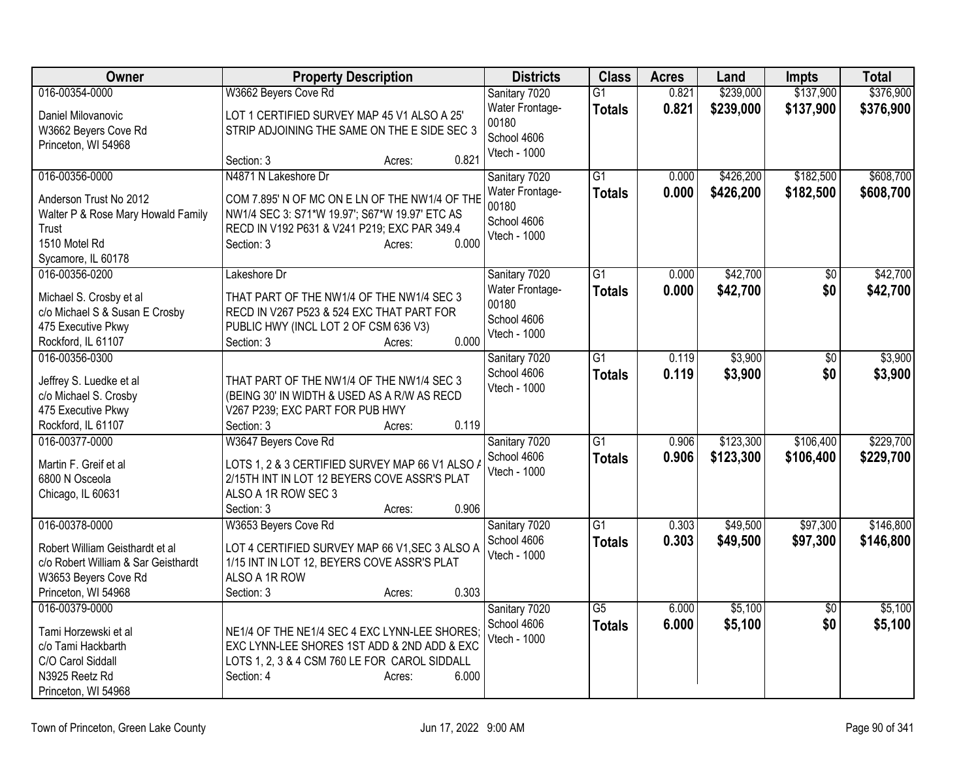| Owner                                                     | <b>Property Description</b>                                                    | <b>Districts</b> | <b>Class</b>    | <b>Acres</b> | Land      | <b>Impts</b>    | <b>Total</b> |
|-----------------------------------------------------------|--------------------------------------------------------------------------------|------------------|-----------------|--------------|-----------|-----------------|--------------|
| 016-00354-0000                                            | W3662 Beyers Cove Rd                                                           | Sanitary 7020    | $\overline{G1}$ | 0.821        | \$239,000 | \$137,900       | \$376,900    |
| Daniel Milovanovic                                        | LOT 1 CERTIFIED SURVEY MAP 45 V1 ALSO A 25'                                    | Water Frontage-  | <b>Totals</b>   | 0.821        | \$239,000 | \$137,900       | \$376,900    |
| W3662 Beyers Cove Rd                                      | STRIP ADJOINING THE SAME ON THE E SIDE SEC 3                                   | 00180            |                 |              |           |                 |              |
| Princeton, WI 54968                                       |                                                                                | School 4606      |                 |              |           |                 |              |
|                                                           | 0.821<br>Section: 3<br>Acres:                                                  | Vtech - 1000     |                 |              |           |                 |              |
| 016-00356-0000                                            | N4871 N Lakeshore Dr                                                           | Sanitary 7020    | G1              | 0.000        | \$426,200 | \$182,500       | \$608,700    |
| Anderson Trust No 2012                                    | COM 7.895' N OF MC ON E LN OF THE NW1/4 OF THE                                 | Water Frontage-  | <b>Totals</b>   | 0.000        | \$426,200 | \$182,500       | \$608,700    |
| Walter P & Rose Mary Howald Family                        | NW1/4 SEC 3: S71*W 19.97'; S67*W 19.97' ETC AS                                 | 00180            |                 |              |           |                 |              |
| Trust                                                     | RECD IN V192 P631 & V241 P219; EXC PAR 349.4                                   | School 4606      |                 |              |           |                 |              |
| 1510 Motel Rd                                             | 0.000<br>Section: 3<br>Acres:                                                  | Vtech - 1000     |                 |              |           |                 |              |
| Sycamore, IL 60178                                        |                                                                                |                  |                 |              |           |                 |              |
| 016-00356-0200                                            | Lakeshore Dr                                                                   | Sanitary 7020    | $\overline{G1}$ | 0.000        | \$42,700  | $\overline{50}$ | \$42,700     |
|                                                           | THAT PART OF THE NW1/4 OF THE NW1/4 SEC 3                                      | Water Frontage-  | <b>Totals</b>   | 0.000        | \$42,700  | \$0             | \$42,700     |
| Michael S. Crosby et al<br>c/o Michael S & Susan E Crosby | RECD IN V267 P523 & 524 EXC THAT PART FOR                                      | 00180            |                 |              |           |                 |              |
| 475 Executive Pkwy                                        | PUBLIC HWY (INCL LOT 2 OF CSM 636 V3)                                          | School 4606      |                 |              |           |                 |              |
| Rockford, IL 61107                                        | 0.000<br>Section: 3<br>Acres:                                                  | Vtech - 1000     |                 |              |           |                 |              |
| 016-00356-0300                                            |                                                                                | Sanitary 7020    | $\overline{G1}$ | 0.119        | \$3,900   | $\overline{50}$ | \$3,900      |
|                                                           |                                                                                | School 4606      | <b>Totals</b>   | 0.119        | \$3,900   | \$0             | \$3,900      |
| Jeffrey S. Luedke et al                                   | THAT PART OF THE NW1/4 OF THE NW1/4 SEC 3                                      | Vtech - 1000     |                 |              |           |                 |              |
| c/o Michael S. Crosby                                     | (BEING 30' IN WIDTH & USED AS A R/W AS RECD                                    |                  |                 |              |           |                 |              |
| 475 Executive Pkwy                                        | V267 P239; EXC PART FOR PUB HWY                                                |                  |                 |              |           |                 |              |
| Rockford, IL 61107                                        | 0.119<br>Section: 3<br>Acres:                                                  |                  |                 |              |           |                 |              |
| 016-00377-0000                                            | W3647 Beyers Cove Rd                                                           | Sanitary 7020    | $\overline{G1}$ | 0.906        | \$123,300 | \$106,400       | \$229,700    |
| Martin F. Greif et al                                     | LOTS 1, 2 & 3 CERTIFIED SURVEY MAP 66 V1 ALSO /                                | School 4606      | <b>Totals</b>   | 0.906        | \$123,300 | \$106,400       | \$229,700    |
| 6800 N Osceola                                            | 2/15TH INT IN LOT 12 BEYERS COVE ASSR'S PLAT                                   | Vtech - 1000     |                 |              |           |                 |              |
| Chicago, IL 60631                                         | ALSO A 1R ROW SEC 3                                                            |                  |                 |              |           |                 |              |
|                                                           | Section: 3<br>0.906<br>Acres:                                                  |                  |                 |              |           |                 |              |
| 016-00378-0000                                            | W3653 Beyers Cove Rd                                                           | Sanitary 7020    | $\overline{G1}$ | 0.303        | \$49,500  | \$97,300        | \$146,800    |
| Robert William Geisthardt et al                           | LOT 4 CERTIFIED SURVEY MAP 66 V1, SEC 3 ALSO A                                 | School 4606      | <b>Totals</b>   | 0.303        | \$49,500  | \$97,300        | \$146,800    |
| c/o Robert William & Sar Geisthardt                       | 1/15 INT IN LOT 12, BEYERS COVE ASSR'S PLAT                                    | Vtech - 1000     |                 |              |           |                 |              |
| W3653 Beyers Cove Rd                                      | ALSO A 1R ROW                                                                  |                  |                 |              |           |                 |              |
| Princeton, WI 54968                                       | 0.303<br>Section: 3<br>Acres:                                                  |                  |                 |              |           |                 |              |
| 016-00379-0000                                            |                                                                                | Sanitary 7020    | G5              | 6.000        | \$5,100   | $\overline{50}$ | \$5,100      |
|                                                           |                                                                                | School 4606      | <b>Totals</b>   | 6.000        | \$5,100   | \$0             | \$5,100      |
| Tami Horzewski et al                                      | NE1/4 OF THE NE1/4 SEC 4 EXC LYNN-LEE SHORES;                                  | Vtech - 1000     |                 |              |           |                 |              |
| c/o Tami Hackbarth<br>C/O Carol Siddall                   | EXC LYNN-LEE SHORES 1ST ADD & 2ND ADD & EXC                                    |                  |                 |              |           |                 |              |
| N3925 Reetz Rd                                            | LOTS 1, 2, 3 & 4 CSM 760 LE FOR CAROL SIDDALL<br>6.000<br>Section: 4<br>Acres: |                  |                 |              |           |                 |              |
|                                                           |                                                                                |                  |                 |              |           |                 |              |
| Princeton, WI 54968                                       |                                                                                |                  |                 |              |           |                 |              |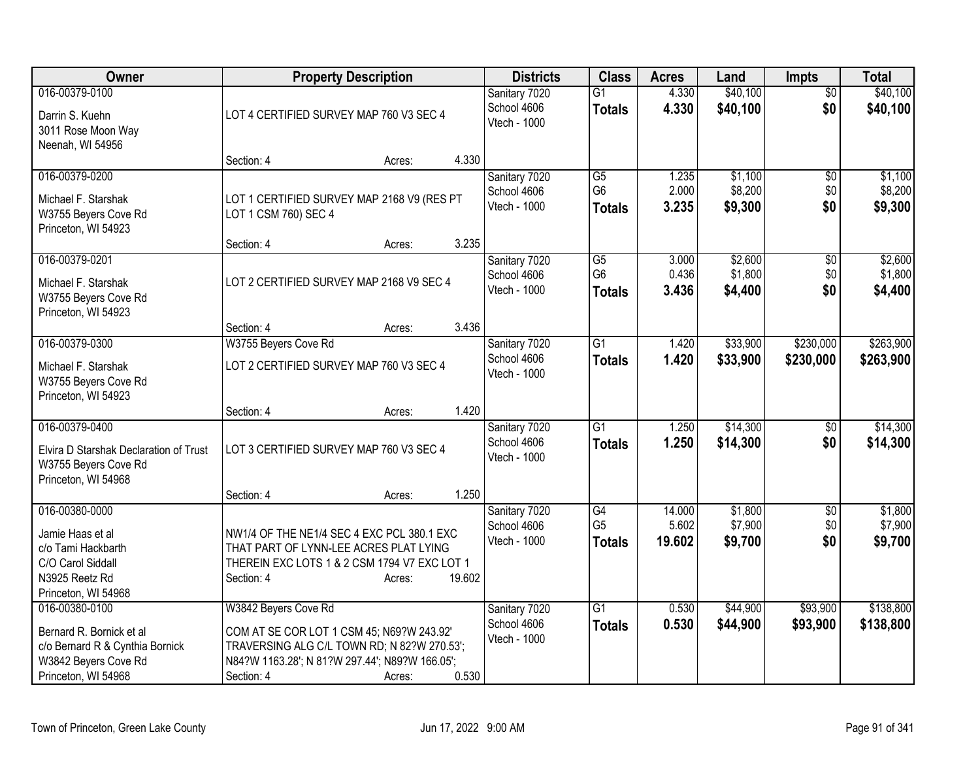| <b>Owner</b>                                                                                                                 | <b>Property Description</b>                                                                                                                                                                         | <b>Districts</b>                             | <b>Class</b>                                       | <b>Acres</b>              | Land                          | <b>Impts</b>                  | <b>Total</b>                  |
|------------------------------------------------------------------------------------------------------------------------------|-----------------------------------------------------------------------------------------------------------------------------------------------------------------------------------------------------|----------------------------------------------|----------------------------------------------------|---------------------------|-------------------------------|-------------------------------|-------------------------------|
| 016-00379-0100<br>Darrin S. Kuehn<br>3011 Rose Moon Way<br>Neenah, WI 54956                                                  | LOT 4 CERTIFIED SURVEY MAP 760 V3 SEC 4                                                                                                                                                             | Sanitary 7020<br>School 4606<br>Vtech - 1000 | $\overline{G1}$<br><b>Totals</b>                   | 4.330<br>4.330            | \$40,100<br>\$40,100          | $\overline{50}$<br>\$0        | \$40,100<br>\$40,100          |
|                                                                                                                              | 4.330<br>Section: 4<br>Acres:                                                                                                                                                                       |                                              |                                                    |                           |                               |                               |                               |
| 016-00379-0200<br>Michael F. Starshak<br>W3755 Beyers Cove Rd<br>Princeton, WI 54923                                         | LOT 1 CERTIFIED SURVEY MAP 2168 V9 (RES PT<br>LOT 1 CSM 760) SEC 4                                                                                                                                  | Sanitary 7020<br>School 4606<br>Vtech - 1000 | $\overline{G5}$<br>G <sub>6</sub><br><b>Totals</b> | 1.235<br>2.000<br>3.235   | \$1,100<br>\$8,200<br>\$9,300 | $\overline{50}$<br>\$0<br>\$0 | \$1,100<br>\$8,200<br>\$9,300 |
|                                                                                                                              | 3.235<br>Section: 4<br>Acres:                                                                                                                                                                       |                                              |                                                    |                           |                               |                               |                               |
| 016-00379-0201<br>Michael F. Starshak<br>W3755 Beyers Cove Rd<br>Princeton, WI 54923                                         | LOT 2 CERTIFIED SURVEY MAP 2168 V9 SEC 4                                                                                                                                                            | Sanitary 7020<br>School 4606<br>Vtech - 1000 | $\overline{G5}$<br>G <sub>6</sub><br><b>Totals</b> | 3.000<br>0.436<br>3.436   | \$2,600<br>\$1,800<br>\$4,400 | $\overline{50}$<br>\$0<br>\$0 | \$2,600<br>\$1,800<br>\$4,400 |
|                                                                                                                              | 3.436<br>Section: 4<br>Acres:                                                                                                                                                                       |                                              |                                                    |                           |                               |                               |                               |
| 016-00379-0300<br>Michael F. Starshak<br>W3755 Beyers Cove Rd<br>Princeton, WI 54923                                         | W3755 Beyers Cove Rd<br>LOT 2 CERTIFIED SURVEY MAP 760 V3 SEC 4                                                                                                                                     | Sanitary 7020<br>School 4606<br>Vtech - 1000 | $\overline{G1}$<br><b>Totals</b>                   | 1.420<br>1.420            | \$33,900<br>\$33,900          | \$230,000<br>\$230,000        | \$263,900<br>\$263,900        |
|                                                                                                                              | 1.420<br>Section: 4<br>Acres:                                                                                                                                                                       |                                              |                                                    |                           |                               |                               |                               |
| 016-00379-0400<br>Elvira D Starshak Declaration of Trust<br>W3755 Beyers Cove Rd<br>Princeton, WI 54968                      | LOT 3 CERTIFIED SURVEY MAP 760 V3 SEC 4                                                                                                                                                             | Sanitary 7020<br>School 4606<br>Vtech - 1000 | $\overline{G1}$<br><b>Totals</b>                   | 1.250<br>1.250            | \$14,300<br>\$14,300          | \$0<br>\$0                    | \$14,300<br>\$14,300          |
|                                                                                                                              | 1.250<br>Section: 4<br>Acres:                                                                                                                                                                       |                                              |                                                    |                           |                               |                               |                               |
| 016-00380-0000<br>Jamie Haas et al<br>c/o Tami Hackbarth<br>C/O Carol Siddall<br>N3925 Reetz Rd<br>Princeton, WI 54968       | NW1/4 OF THE NE1/4 SEC 4 EXC PCL 380.1 EXC<br>THAT PART OF LYNN-LEE ACRES PLAT LYING<br>THEREIN EXC LOTS 1 & 2 CSM 1794 V7 EXC LOT 1<br>19.602<br>Section: 4<br>Acres:                              | Sanitary 7020<br>School 4606<br>Vtech - 1000 | G4<br>G <sub>5</sub><br><b>Totals</b>              | 14.000<br>5.602<br>19.602 | \$1,800<br>\$7,900<br>\$9,700 | $\sqrt{6}$<br>\$0<br>\$0      | \$1,800<br>\$7,900<br>\$9,700 |
| 016-00380-0100<br>Bernard R. Bornick et al<br>c/o Bernard R & Cynthia Bornick<br>W3842 Beyers Cove Rd<br>Princeton, WI 54968 | W3842 Beyers Cove Rd<br>COM AT SE COR LOT 1 CSM 45; N69?W 243.92'<br>TRAVERSING ALG C/L TOWN RD; N 82?W 270.53';<br>N84?W 1163.28'; N 81?W 297.44'; N89?W 166.05';<br>0.530<br>Section: 4<br>Acres: | Sanitary 7020<br>School 4606<br>Vtech - 1000 | $\overline{G1}$<br><b>Totals</b>                   | 0.530<br>0.530            | \$44,900<br>\$44,900          | \$93,900<br>\$93,900          | \$138,800<br>\$138,800        |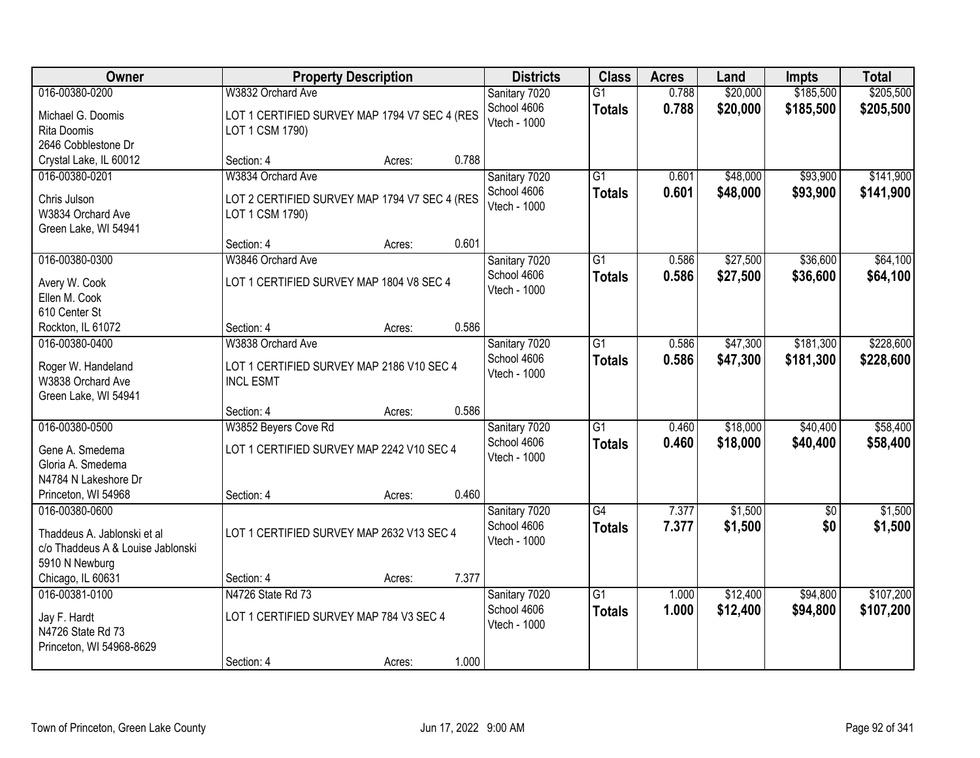| Owner                              | <b>Property Description</b>                   |        |       | <b>Districts</b>             | <b>Class</b>    | <b>Acres</b> | Land     | <b>Impts</b> | <b>Total</b> |
|------------------------------------|-----------------------------------------------|--------|-------|------------------------------|-----------------|--------------|----------|--------------|--------------|
| 016-00380-0200                     | W3832 Orchard Ave                             |        |       | Sanitary 7020<br>School 4606 | $\overline{G1}$ | 0.788        | \$20,000 | \$185,500    | \$205,500    |
| Michael G. Doomis                  | LOT 1 CERTIFIED SURVEY MAP 1794 V7 SEC 4 (RES |        |       | Vtech - 1000                 | <b>Totals</b>   | 0.788        | \$20,000 | \$185,500    | \$205,500    |
| Rita Doomis<br>2646 Cobblestone Dr | LOT 1 CSM 1790)                               |        |       |                              |                 |              |          |              |              |
| Crystal Lake, IL 60012             | Section: 4                                    | Acres: | 0.788 |                              |                 |              |          |              |              |
| 016-00380-0201                     | W3834 Orchard Ave                             |        |       | Sanitary 7020                | $\overline{G1}$ | 0.601        | \$48,000 | \$93,900     | \$141,900    |
|                                    |                                               |        |       | School 4606                  | <b>Totals</b>   | 0.601        | \$48,000 | \$93,900     | \$141,900    |
| Chris Julson                       | LOT 2 CERTIFIED SURVEY MAP 1794 V7 SEC 4 (RES |        |       | Vtech - 1000                 |                 |              |          |              |              |
| W3834 Orchard Ave                  | LOT 1 CSM 1790)                               |        |       |                              |                 |              |          |              |              |
| Green Lake, WI 54941               | Section: 4                                    |        | 0.601 |                              |                 |              |          |              |              |
| 016-00380-0300                     | W3846 Orchard Ave                             | Acres: |       | Sanitary 7020                | G1              | 0.586        | \$27,500 | \$36,600     | \$64,100     |
|                                    |                                               |        |       | School 4606                  |                 | 0.586        |          |              |              |
| Avery W. Cook                      | LOT 1 CERTIFIED SURVEY MAP 1804 V8 SEC 4      |        |       | Vtech - 1000                 | <b>Totals</b>   |              | \$27,500 | \$36,600     | \$64,100     |
| Ellen M. Cook                      |                                               |        |       |                              |                 |              |          |              |              |
| 610 Center St                      |                                               |        |       |                              |                 |              |          |              |              |
| Rockton, IL 61072                  | Section: 4                                    | Acres: | 0.586 |                              |                 |              |          |              |              |
| 016-00380-0400                     | W3838 Orchard Ave                             |        |       | Sanitary 7020                | $\overline{G1}$ | 0.586        | \$47,300 | \$181,300    | \$228,600    |
| Roger W. Handeland                 | LOT 1 CERTIFIED SURVEY MAP 2186 V10 SEC 4     |        |       | School 4606<br>Vtech - 1000  | <b>Totals</b>   | 0.586        | \$47,300 | \$181,300    | \$228,600    |
| W3838 Orchard Ave                  | <b>INCL ESMT</b>                              |        |       |                              |                 |              |          |              |              |
| Green Lake, WI 54941               |                                               |        |       |                              |                 |              |          |              |              |
|                                    | Section: 4                                    | Acres: | 0.586 |                              |                 |              |          |              |              |
| 016-00380-0500                     | W3852 Beyers Cove Rd                          |        |       | Sanitary 7020                | $\overline{G1}$ | 0.460        | \$18,000 | \$40,400     | \$58,400     |
| Gene A. Smedema                    | LOT 1 CERTIFIED SURVEY MAP 2242 V10 SEC 4     |        |       | School 4606                  | <b>Totals</b>   | 0.460        | \$18,000 | \$40,400     | \$58,400     |
| Gloria A. Smedema                  |                                               |        |       | Vtech - 1000                 |                 |              |          |              |              |
| N4784 N Lakeshore Dr               |                                               |        |       |                              |                 |              |          |              |              |
| Princeton, WI 54968                | Section: 4                                    | Acres: | 0.460 |                              |                 |              |          |              |              |
| 016-00380-0600                     |                                               |        |       | Sanitary 7020                | G4              | 7.377        | \$1,500  | $\sqrt{6}$   | \$1,500      |
| Thaddeus A. Jablonski et al        | LOT 1 CERTIFIED SURVEY MAP 2632 V13 SEC 4     |        |       | School 4606                  | <b>Totals</b>   | 7.377        | \$1,500  | \$0          | \$1,500      |
| c/o Thaddeus A & Louise Jablonski  |                                               |        |       | Vtech - 1000                 |                 |              |          |              |              |
| 5910 N Newburg                     |                                               |        |       |                              |                 |              |          |              |              |
| Chicago, IL 60631                  | Section: 4                                    | Acres: | 7.377 |                              |                 |              |          |              |              |
| 016-00381-0100                     | N4726 State Rd 73                             |        |       | Sanitary 7020                | $\overline{G1}$ | 1.000        | \$12,400 | \$94,800     | \$107,200    |
| Jay F. Hardt                       | LOT 1 CERTIFIED SURVEY MAP 784 V3 SEC 4       |        |       | School 4606                  | <b>Totals</b>   | 1.000        | \$12,400 | \$94,800     | \$107,200    |
| N4726 State Rd 73                  |                                               |        |       | Vtech - 1000                 |                 |              |          |              |              |
| Princeton, WI 54968-8629           |                                               |        |       |                              |                 |              |          |              |              |
|                                    | Section: 4                                    | Acres: | 1.000 |                              |                 |              |          |              |              |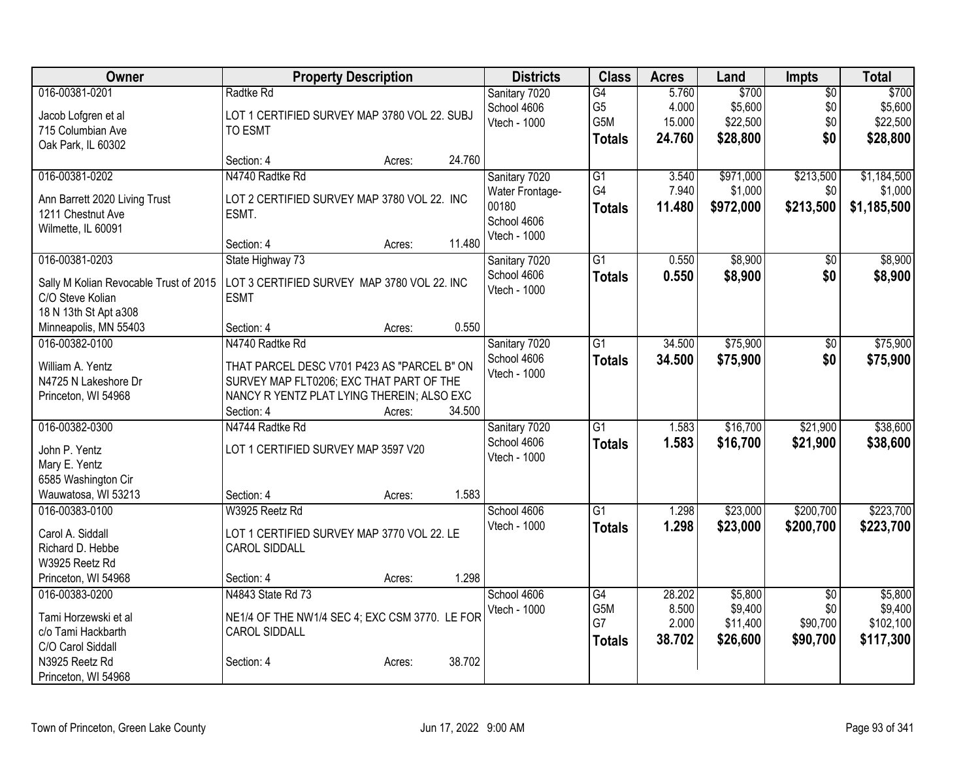| Owner                                      | <b>Property Description</b>                                                             | <b>Districts</b> | <b>Class</b>    | <b>Acres</b>    | Land               | Impts                  | <b>Total</b>       |
|--------------------------------------------|-----------------------------------------------------------------------------------------|------------------|-----------------|-----------------|--------------------|------------------------|--------------------|
| 016-00381-0201                             | Radtke Rd                                                                               | Sanitary 7020    | $\overline{G4}$ | 5.760           | \$700              | $\overline{50}$        | \$700              |
| Jacob Lofgren et al                        | LOT 1 CERTIFIED SURVEY MAP 3780 VOL 22. SUBJ                                            | School 4606      | G <sub>5</sub>  | 4.000           | \$5,600            | \$0                    | \$5,600            |
| 715 Columbian Ave                          | <b>TO ESMT</b>                                                                          | Vtech - 1000     | G5M             | 15.000          | \$22,500           | \$0                    | \$22,500           |
| Oak Park, IL 60302                         |                                                                                         |                  | <b>Totals</b>   | 24.760          | \$28,800           | \$0                    | \$28,800           |
|                                            | 24.760<br>Section: 4<br>Acres:                                                          |                  |                 |                 |                    |                        |                    |
| 016-00381-0202                             | N4740 Radtke Rd                                                                         | Sanitary 7020    | G1              | 3.540           | \$971,000          | \$213,500              | \$1,184,500        |
| Ann Barrett 2020 Living Trust              | LOT 2 CERTIFIED SURVEY MAP 3780 VOL 22. INC                                             | Water Frontage-  | G4              | 7.940           | \$1,000            | \$0                    | \$1,000            |
| 1211 Chestnut Ave                          | ESMT.                                                                                   | 00180            | <b>Totals</b>   | 11.480          | \$972,000          | \$213,500              | \$1,185,500        |
| Wilmette, IL 60091                         |                                                                                         | School 4606      |                 |                 |                    |                        |                    |
|                                            | 11.480<br>Section: 4<br>Acres:                                                          | Vtech - 1000     |                 |                 |                    |                        |                    |
| 016-00381-0203                             | State Highway 73                                                                        | Sanitary 7020    | $\overline{G1}$ | 0.550           | \$8,900            | \$0                    | \$8,900            |
| Sally M Kolian Revocable Trust of 2015     | LOT 3 CERTIFIED SURVEY MAP 3780 VOL 22. INC                                             | School 4606      | <b>Totals</b>   | 0.550           | \$8,900            | \$0                    | \$8,900            |
| C/O Steve Kolian                           | <b>ESMT</b>                                                                             | Vtech - 1000     |                 |                 |                    |                        |                    |
| 18 N 13th St Apt a 308                     |                                                                                         |                  |                 |                 |                    |                        |                    |
| Minneapolis, MN 55403                      | 0.550<br>Section: 4<br>Acres:                                                           |                  |                 |                 |                    |                        |                    |
| 016-00382-0100                             | N4740 Radtke Rd                                                                         | Sanitary 7020    | G1              | 34.500          | \$75,900           | \$0                    | \$75,900           |
|                                            |                                                                                         | School 4606      | <b>Totals</b>   | 34.500          | \$75,900           | \$0                    | \$75,900           |
| William A. Yentz<br>N4725 N Lakeshore Dr   | THAT PARCEL DESC V701 P423 AS "PARCEL B" ON<br>SURVEY MAP FLT0206; EXC THAT PART OF THE | Vtech - 1000     |                 |                 |                    |                        |                    |
| Princeton, WI 54968                        | NANCY R YENTZ PLAT LYING THEREIN; ALSO EXC                                              |                  |                 |                 |                    |                        |                    |
|                                            | 34.500<br>Section: 4<br>Acres:                                                          |                  |                 |                 |                    |                        |                    |
| 016-00382-0300                             | N4744 Radtke Rd                                                                         | Sanitary 7020    | G1              | 1.583           | \$16,700           | \$21,900               | \$38,600           |
|                                            |                                                                                         | School 4606      | <b>Totals</b>   | 1.583           | \$16,700           | \$21,900               | \$38,600           |
| John P. Yentz                              | LOT 1 CERTIFIED SURVEY MAP 3597 V20                                                     | Vtech - 1000     |                 |                 |                    |                        |                    |
| Mary E. Yentz                              |                                                                                         |                  |                 |                 |                    |                        |                    |
| 6585 Washington Cir<br>Wauwatosa, WI 53213 | 1.583<br>Section: 4<br>Acres:                                                           |                  |                 |                 |                    |                        |                    |
| 016-00383-0100                             | W3925 Reetz Rd                                                                          | School 4606      | $\overline{G1}$ | 1.298           | \$23,000           | \$200,700              | \$223,700          |
|                                            |                                                                                         | Vtech - 1000     | <b>Totals</b>   | 1.298           | \$23,000           | \$200,700              | \$223,700          |
| Carol A. Siddall                           | LOT 1 CERTIFIED SURVEY MAP 3770 VOL 22. LE                                              |                  |                 |                 |                    |                        |                    |
| Richard D. Hebbe                           | <b>CAROL SIDDALL</b>                                                                    |                  |                 |                 |                    |                        |                    |
| W3925 Reetz Rd                             |                                                                                         |                  |                 |                 |                    |                        |                    |
| Princeton, WI 54968                        | 1.298<br>Section: 4<br>Acres:                                                           |                  |                 |                 |                    |                        |                    |
| 016-00383-0200                             | N4843 State Rd 73                                                                       | School 4606      | G4<br>G5M       | 28.202<br>8.500 | \$5,800<br>\$9,400 | $\overline{50}$<br>\$0 | \$5,800<br>\$9,400 |
| Tami Horzewski et al                       | NE1/4 OF THE NW1/4 SEC 4; EXC CSM 3770. LE FOR                                          | Vtech - 1000     | G7              | 2.000           | \$11,400           | \$90,700               | \$102,100          |
| c/o Tami Hackbarth                         | <b>CAROL SIDDALL</b>                                                                    |                  |                 | 38.702          | \$26,600           | \$90,700               | \$117,300          |
| C/O Carol Siddall                          |                                                                                         |                  | <b>Totals</b>   |                 |                    |                        |                    |
| N3925 Reetz Rd                             | 38.702<br>Section: 4<br>Acres:                                                          |                  |                 |                 |                    |                        |                    |
| Princeton, WI 54968                        |                                                                                         |                  |                 |                 |                    |                        |                    |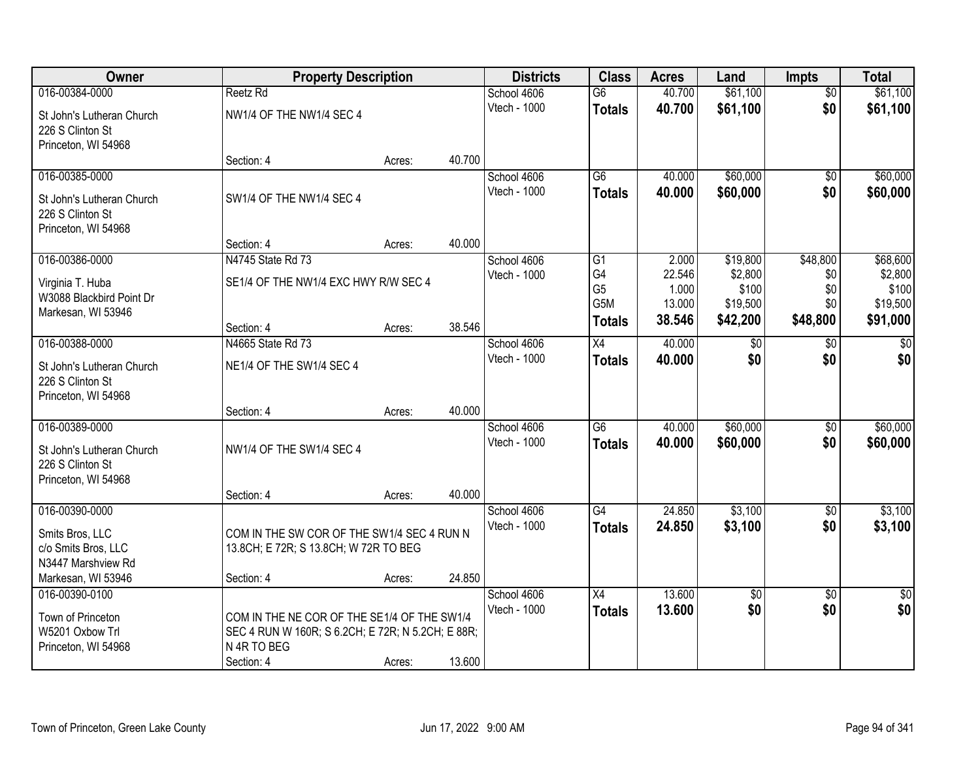| Owner                     |                                                   | <b>Property Description</b> |        | <b>Districts</b> | <b>Class</b>          | <b>Acres</b>    | Land              | <b>Impts</b>    | <b>Total</b>      |
|---------------------------|---------------------------------------------------|-----------------------------|--------|------------------|-----------------------|-----------------|-------------------|-----------------|-------------------|
| 016-00384-0000            | Reetz Rd                                          |                             |        | School 4606      | $\overline{G6}$       | 40.700          | \$61,100          | $\overline{50}$ | \$61,100          |
| St John's Lutheran Church | NW1/4 OF THE NW1/4 SEC 4                          |                             |        | Vtech - 1000     | <b>Totals</b>         | 40.700          | \$61,100          | \$0             | \$61,100          |
| 226 S Clinton St          |                                                   |                             |        |                  |                       |                 |                   |                 |                   |
| Princeton, WI 54968       |                                                   |                             |        |                  |                       |                 |                   |                 |                   |
|                           | Section: 4                                        | Acres:                      | 40.700 |                  |                       |                 |                   |                 |                   |
| 016-00385-0000            |                                                   |                             |        | School 4606      | $\overline{G6}$       | 40.000          | \$60,000          | $\overline{50}$ | \$60,000          |
| St John's Lutheran Church | SW1/4 OF THE NW1/4 SEC 4                          |                             |        | Vtech - 1000     | <b>Totals</b>         | 40.000          | \$60,000          | \$0             | \$60,000          |
| 226 S Clinton St          |                                                   |                             |        |                  |                       |                 |                   |                 |                   |
| Princeton, WI 54968       |                                                   |                             |        |                  |                       |                 |                   |                 |                   |
|                           | Section: 4                                        | Acres:                      | 40.000 |                  |                       |                 |                   |                 |                   |
| 016-00386-0000            | N4745 State Rd 73                                 |                             |        | School 4606      | G1                    | 2.000           | \$19,800          | \$48,800        | \$68,600          |
| Virginia T. Huba          | SE1/4 OF THE NW1/4 EXC HWY R/W SEC 4              |                             |        | Vtech - 1000     | G4                    | 22.546          | \$2,800           | \$0             | \$2,800           |
| W3088 Blackbird Point Dr  |                                                   |                             |        |                  | G <sub>5</sub><br>G5M | 1.000<br>13.000 | \$100<br>\$19,500 | \$0<br>\$0      | \$100<br>\$19,500 |
| Markesan, WI 53946        |                                                   |                             |        |                  |                       | 38.546          | \$42,200          | \$48,800        | \$91,000          |
|                           | Section: 4                                        | Acres:                      | 38.546 |                  | <b>Totals</b>         |                 |                   |                 |                   |
| 016-00388-0000            | N4665 State Rd 73                                 |                             |        | School 4606      | X4                    | 40.000          | $\sqrt[6]{3}$     | $\sqrt[6]{}$    | \$0               |
| St John's Lutheran Church | NE1/4 OF THE SW1/4 SEC 4                          |                             |        | Vtech - 1000     | <b>Totals</b>         | 40.000          | \$0               | \$0             | \$0               |
| 226 S Clinton St          |                                                   |                             |        |                  |                       |                 |                   |                 |                   |
| Princeton, WI 54968       |                                                   |                             |        |                  |                       |                 |                   |                 |                   |
|                           | Section: 4                                        | Acres:                      | 40.000 |                  |                       |                 |                   |                 |                   |
| 016-00389-0000            |                                                   |                             |        | School 4606      | $\overline{G6}$       | 40.000          | \$60,000          | $\overline{50}$ | \$60,000          |
| St John's Lutheran Church | NW1/4 OF THE SW1/4 SEC 4                          |                             |        | Vtech - 1000     | <b>Totals</b>         | 40.000          | \$60,000          | \$0             | \$60,000          |
| 226 S Clinton St          |                                                   |                             |        |                  |                       |                 |                   |                 |                   |
| Princeton, WI 54968       |                                                   |                             |        |                  |                       |                 |                   |                 |                   |
|                           | Section: 4                                        | Acres:                      | 40.000 |                  |                       |                 |                   |                 |                   |
| 016-00390-0000            |                                                   |                             |        | School 4606      | G4                    | 24.850          | \$3,100           | $\sqrt{6}$      | \$3,100           |
| Smits Bros, LLC           | COM IN THE SW COR OF THE SW1/4 SEC 4 RUN N        |                             |        | Vtech - 1000     | <b>Totals</b>         | 24.850          | \$3,100           | \$0             | \$3,100           |
| c/o Smits Bros, LLC       | 13.8CH; E 72R; S 13.8CH; W 72R TO BEG             |                             |        |                  |                       |                 |                   |                 |                   |
| N3447 Marshview Rd        |                                                   |                             |        |                  |                       |                 |                   |                 |                   |
| Markesan, WI 53946        | Section: 4                                        | Acres:                      | 24.850 |                  |                       |                 |                   |                 |                   |
| 016-00390-0100            |                                                   |                             |        | School 4606      | X4                    | 13.600          | $\overline{50}$   | $\overline{30}$ | $\overline{50}$   |
| Town of Princeton         | COM IN THE NE COR OF THE SE1/4 OF THE SW1/4       |                             |        | Vtech - 1000     | <b>Totals</b>         | 13.600          | \$0               | \$0             | \$0               |
| W5201 Oxbow Trl           | SEC 4 RUN W 160R; S 6.2CH; E 72R; N 5.2CH; E 88R; |                             |        |                  |                       |                 |                   |                 |                   |
| Princeton, WI 54968       | N 4R TO BEG                                       |                             |        |                  |                       |                 |                   |                 |                   |
|                           | Section: 4                                        | Acres:                      | 13.600 |                  |                       |                 |                   |                 |                   |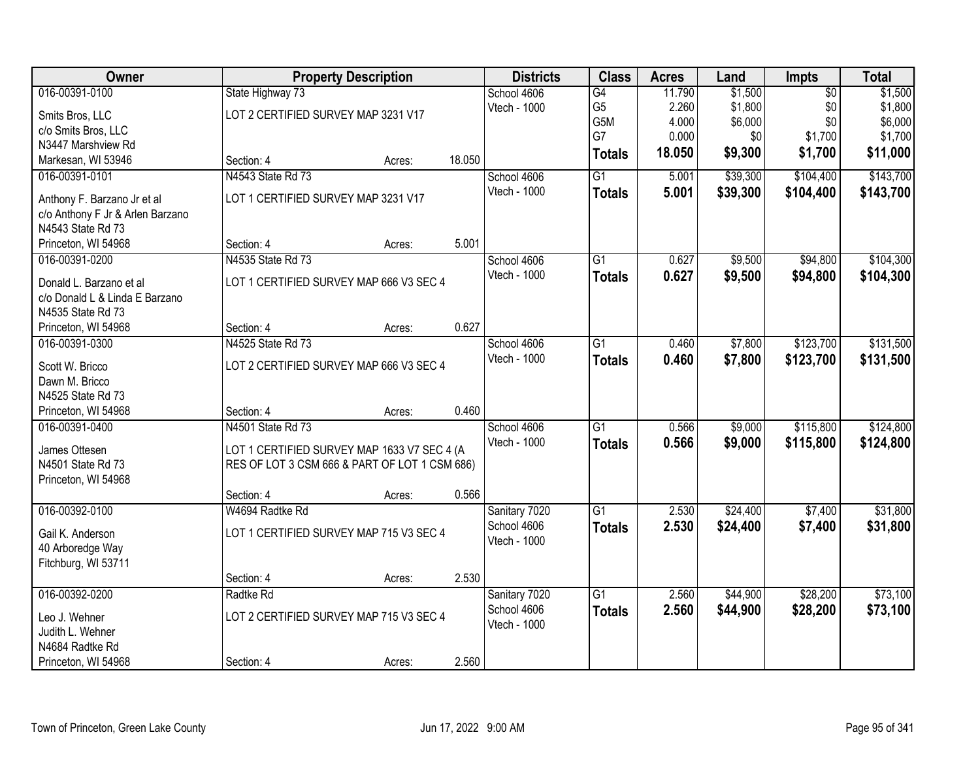| Owner                                                     |                                               | <b>Property Description</b> |        | <b>Districts</b>            | <b>Class</b>    | <b>Acres</b> | Land     | <b>Impts</b>    | <b>Total</b> |
|-----------------------------------------------------------|-----------------------------------------------|-----------------------------|--------|-----------------------------|-----------------|--------------|----------|-----------------|--------------|
| 016-00391-0100                                            | State Highway 73                              |                             |        | School 4606                 | $\overline{G4}$ | 11.790       | \$1,500  | $\overline{50}$ | \$1,500      |
| Smits Bros, LLC                                           | LOT 2 CERTIFIED SURVEY MAP 3231 V17           |                             |        | Vtech - 1000                | G <sub>5</sub>  | 2.260        | \$1,800  | \$0             | \$1,800      |
| c/o Smits Bros, LLC                                       |                                               |                             |        |                             | G5M             | 4.000        | \$6,000  | \$0             | \$6,000      |
| N3447 Marshview Rd                                        |                                               |                             |        |                             | G7              | 0.000        | \$0      | \$1,700         | \$1,700      |
| Markesan, WI 53946                                        | Section: 4                                    | Acres:                      | 18.050 |                             | <b>Totals</b>   | 18.050       | \$9,300  | \$1,700         | \$11,000     |
| 016-00391-0101                                            | N4543 State Rd 73                             |                             |        | School 4606                 | $\overline{G1}$ | 5.001        | \$39,300 | \$104,400       | \$143,700    |
| Anthony F. Barzano Jr et al                               | LOT 1 CERTIFIED SURVEY MAP 3231 V17           |                             |        | Vtech - 1000                | <b>Totals</b>   | 5.001        | \$39,300 | \$104,400       | \$143,700    |
| c/o Anthony F Jr & Arlen Barzano                          |                                               |                             |        |                             |                 |              |          |                 |              |
| N4543 State Rd 73                                         |                                               |                             |        |                             |                 |              |          |                 |              |
| Princeton, WI 54968                                       | Section: 4                                    | Acres:                      | 5.001  |                             |                 |              |          |                 |              |
| 016-00391-0200                                            | N4535 State Rd 73                             |                             |        | School 4606                 | $\overline{G1}$ | 0.627        | \$9,500  | \$94,800        | \$104,300    |
|                                                           | LOT 1 CERTIFIED SURVEY MAP 666 V3 SEC 4       |                             |        | Vtech - 1000                | <b>Totals</b>   | 0.627        | \$9,500  | \$94,800        | \$104,300    |
| Donald L. Barzano et al<br>c/o Donald L & Linda E Barzano |                                               |                             |        |                             |                 |              |          |                 |              |
| N4535 State Rd 73                                         |                                               |                             |        |                             |                 |              |          |                 |              |
| Princeton, WI 54968                                       | Section: 4                                    | Acres:                      | 0.627  |                             |                 |              |          |                 |              |
| 016-00391-0300                                            | N4525 State Rd 73                             |                             |        | School 4606                 | G1              | 0.460        | \$7,800  | \$123,700       | \$131,500    |
|                                                           |                                               |                             |        | Vtech - 1000                | <b>Totals</b>   | 0.460        | \$7,800  | \$123,700       | \$131,500    |
| Scott W. Bricco                                           | LOT 2 CERTIFIED SURVEY MAP 666 V3 SEC 4       |                             |        |                             |                 |              |          |                 |              |
| Dawn M. Bricco                                            |                                               |                             |        |                             |                 |              |          |                 |              |
| N4525 State Rd 73                                         |                                               |                             | 0.460  |                             |                 |              |          |                 |              |
| Princeton, WI 54968<br>016-00391-0400                     | Section: 4<br>N4501 State Rd 73               | Acres:                      |        |                             | $\overline{G1}$ | 0.566        | \$9,000  | \$115,800       | \$124,800    |
|                                                           |                                               |                             |        | School 4606<br>Vtech - 1000 |                 |              |          |                 |              |
| James Ottesen                                             | LOT 1 CERTIFIED SURVEY MAP 1633 V7 SEC 4 (A   |                             |        |                             | <b>Totals</b>   | 0.566        | \$9,000  | \$115,800       | \$124,800    |
| N4501 State Rd 73                                         | RES OF LOT 3 CSM 666 & PART OF LOT 1 CSM 686) |                             |        |                             |                 |              |          |                 |              |
| Princeton, WI 54968                                       |                                               |                             |        |                             |                 |              |          |                 |              |
|                                                           | Section: 4                                    | Acres:                      | 0.566  |                             |                 |              |          |                 |              |
| 016-00392-0100                                            | W4694 Radtke Rd                               |                             |        | Sanitary 7020               | $\overline{G1}$ | 2.530        | \$24,400 | \$7,400         | \$31,800     |
| Gail K. Anderson                                          | LOT 1 CERTIFIED SURVEY MAP 715 V3 SEC 4       |                             |        | School 4606                 | <b>Totals</b>   | 2.530        | \$24,400 | \$7,400         | \$31,800     |
| 40 Arboredge Way                                          |                                               |                             |        | Vtech - 1000                |                 |              |          |                 |              |
| Fitchburg, WI 53711                                       |                                               |                             |        |                             |                 |              |          |                 |              |
|                                                           | Section: 4                                    | Acres:                      | 2.530  |                             |                 |              |          |                 |              |
| 016-00392-0200                                            | Radtke Rd                                     |                             |        | Sanitary 7020               | $\overline{G1}$ | 2.560        | \$44,900 | \$28,200        | \$73,100     |
| Leo J. Wehner                                             | LOT 2 CERTIFIED SURVEY MAP 715 V3 SEC 4       |                             |        | School 4606                 | <b>Totals</b>   | 2.560        | \$44,900 | \$28,200        | \$73,100     |
| Judith L. Wehner                                          |                                               |                             |        | Vtech - 1000                |                 |              |          |                 |              |
| N4684 Radtke Rd                                           |                                               |                             |        |                             |                 |              |          |                 |              |
| Princeton, WI 54968                                       | Section: 4                                    | Acres:                      | 2.560  |                             |                 |              |          |                 |              |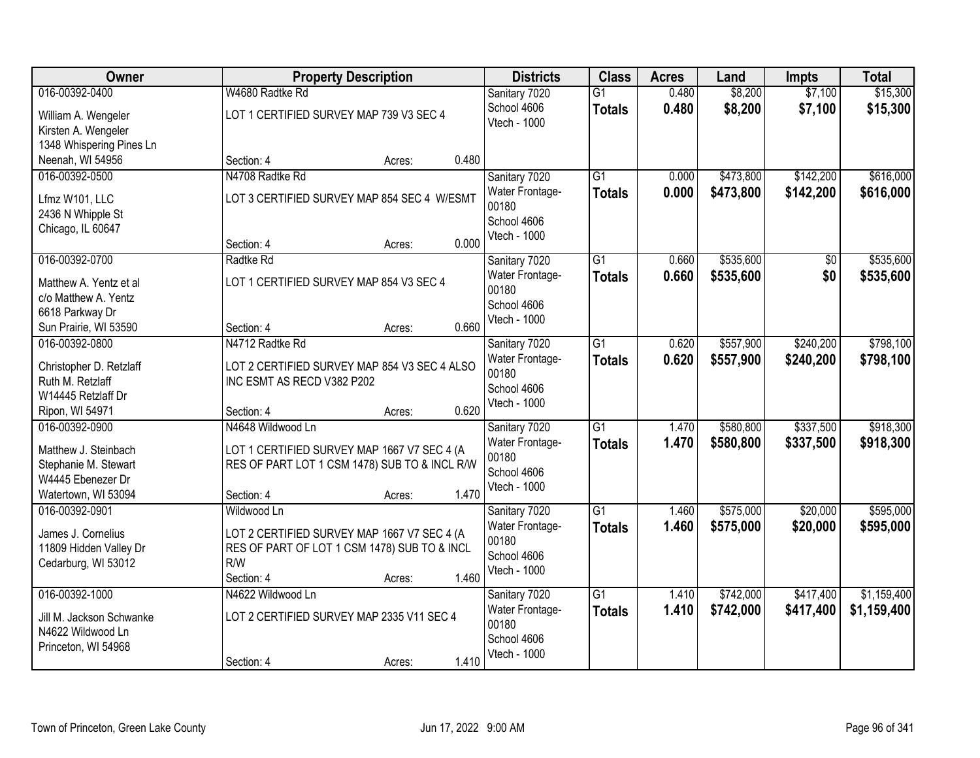| Owner                    |                                               | <b>Property Description</b> | <b>Districts</b>            | <b>Class</b>    | <b>Acres</b> | Land      | <b>Impts</b> | <b>Total</b> |
|--------------------------|-----------------------------------------------|-----------------------------|-----------------------------|-----------------|--------------|-----------|--------------|--------------|
| 016-00392-0400           | W4680 Radtke Rd                               |                             | Sanitary 7020               | $\overline{G1}$ | 0.480        | \$8,200   | \$7,100      | \$15,300     |
| William A. Wengeler      | LOT 1 CERTIFIED SURVEY MAP 739 V3 SEC 4       |                             | School 4606                 | <b>Totals</b>   | 0.480        | \$8,200   | \$7,100      | \$15,300     |
| Kirsten A. Wengeler      |                                               |                             | <b>Vtech - 1000</b>         |                 |              |           |              |              |
| 1348 Whispering Pines Ln |                                               |                             |                             |                 |              |           |              |              |
| Neenah, WI 54956         | Section: 4                                    | Acres:                      | 0.480                       |                 |              |           |              |              |
| 016-00392-0500           | N4708 Radtke Rd                               |                             | Sanitary 7020               | $\overline{G1}$ | 0.000        | \$473,800 | \$142,200    | \$616,000    |
| Lfmz W101, LLC           | LOT 3 CERTIFIED SURVEY MAP 854 SEC 4 W/ESMT   |                             | Water Frontage-             | <b>Totals</b>   | 0.000        | \$473,800 | \$142,200    | \$616,000    |
| 2436 N Whipple St        |                                               |                             | 00180                       |                 |              |           |              |              |
| Chicago, IL 60647        |                                               |                             | School 4606<br>Vtech - 1000 |                 |              |           |              |              |
|                          | Section: 4                                    | Acres:                      | 0.000                       |                 |              |           |              |              |
| 016-00392-0700           | Radtke Rd                                     |                             | Sanitary 7020               | $\overline{G1}$ | 0.660        | \$535,600 | \$0          | \$535,600    |
| Matthew A. Yentz et al   | LOT 1 CERTIFIED SURVEY MAP 854 V3 SEC 4       |                             | Water Frontage-             | <b>Totals</b>   | 0.660        | \$535,600 | \$0          | \$535,600    |
| c/o Matthew A. Yentz     |                                               |                             | 00180                       |                 |              |           |              |              |
| 6618 Parkway Dr          |                                               |                             | School 4606                 |                 |              |           |              |              |
| Sun Prairie, WI 53590    | Section: 4                                    | Acres:                      | Vtech - 1000<br>0.660       |                 |              |           |              |              |
| 016-00392-0800           | N4712 Radtke Rd                               |                             | Sanitary 7020               | $\overline{G1}$ | 0.620        | \$557,900 | \$240,200    | \$798,100    |
| Christopher D. Retzlaff  | LOT 2 CERTIFIED SURVEY MAP 854 V3 SEC 4 ALSO  |                             | Water Frontage-             | <b>Totals</b>   | 0.620        | \$557,900 | \$240,200    | \$798,100    |
| Ruth M. Retzlaff         | INC ESMT AS RECD V382 P202                    |                             | 00180                       |                 |              |           |              |              |
| W14445 Retzlaff Dr       |                                               |                             | School 4606                 |                 |              |           |              |              |
| Ripon, WI 54971          | Section: 4                                    | Acres:                      | Vtech - 1000<br>0.620       |                 |              |           |              |              |
| 016-00392-0900           | N4648 Wildwood Ln                             |                             | Sanitary 7020               | $\overline{G1}$ | 1.470        | \$580,800 | \$337,500    | \$918,300    |
| Matthew J. Steinbach     | LOT 1 CERTIFIED SURVEY MAP 1667 V7 SEC 4 (A   |                             | Water Frontage-             | <b>Totals</b>   | 1.470        | \$580,800 | \$337,500    | \$918,300    |
| Stephanie M. Stewart     | RES OF PART LOT 1 CSM 1478) SUB TO & INCL R/W |                             | 00180                       |                 |              |           |              |              |
| W4445 Ebenezer Dr        |                                               |                             | School 4606                 |                 |              |           |              |              |
| Watertown, WI 53094      | Section: 4                                    | Acres:                      | Vtech - 1000<br>1.470       |                 |              |           |              |              |
| 016-00392-0901           | Wildwood Ln                                   |                             | Sanitary 7020               | $\overline{G1}$ | 1.460        | \$575,000 | \$20,000     | \$595,000    |
| James J. Cornelius       | LOT 2 CERTIFIED SURVEY MAP 1667 V7 SEC 4 (A   |                             | Water Frontage-             | <b>Totals</b>   | 1.460        | \$575,000 | \$20,000     | \$595,000    |
| 11809 Hidden Valley Dr   | RES OF PART OF LOT 1 CSM 1478) SUB TO & INCL  |                             | 00180                       |                 |              |           |              |              |
| Cedarburg, WI 53012      | R/W                                           |                             | School 4606                 |                 |              |           |              |              |
|                          | Section: 4                                    | Acres:                      | Vtech - 1000<br>1.460       |                 |              |           |              |              |
| 016-00392-1000           | N4622 Wildwood Ln                             |                             | Sanitary 7020               | $\overline{G1}$ | 1.410        | \$742,000 | \$417,400    | \$1,159,400  |
| Jill M. Jackson Schwanke | LOT 2 CERTIFIED SURVEY MAP 2335 V11 SEC 4     |                             | Water Frontage-             | <b>Totals</b>   | 1.410        | \$742,000 | \$417,400    | \$1,159,400  |
| N4622 Wildwood Ln        |                                               |                             | 00180                       |                 |              |           |              |              |
| Princeton, WI 54968      |                                               |                             | School 4606                 |                 |              |           |              |              |
|                          | Section: 4                                    | Acres:                      | Vtech - 1000<br>1.410       |                 |              |           |              |              |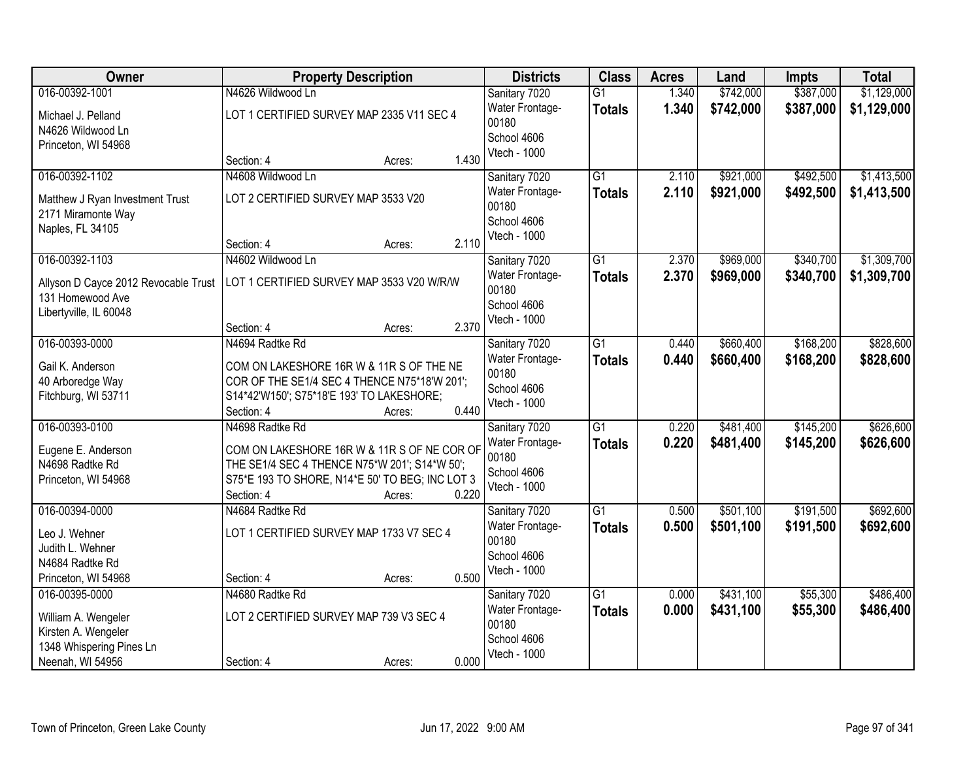| Owner                                                 | <b>Property Description</b>                     | <b>Districts</b>                | <b>Class</b>    | <b>Acres</b> | Land      | <b>Impts</b> | <b>Total</b> |
|-------------------------------------------------------|-------------------------------------------------|---------------------------------|-----------------|--------------|-----------|--------------|--------------|
| 016-00392-1001                                        | N4626 Wildwood Ln                               | Sanitary 7020                   | $\overline{G1}$ | 1.340        | \$742,000 | \$387,000    | \$1,129,000  |
| Michael J. Pelland<br>N4626 Wildwood Ln               | LOT 1 CERTIFIED SURVEY MAP 2335 V11 SEC 4       | Water Frontage-<br>00180        | <b>Totals</b>   | 1.340        | \$742,000 | \$387,000    | \$1,129,000  |
| Princeton, WI 54968                                   |                                                 | School 4606                     |                 |              |           |              |              |
|                                                       | 1.430<br>Section: 4<br>Acres:                   | Vtech - 1000                    |                 |              |           |              |              |
| 016-00392-1102                                        | N4608 Wildwood Ln                               | Sanitary 7020                   | $\overline{G1}$ | 2.110        | \$921,000 | \$492,500    | \$1,413,500  |
| Matthew J Ryan Investment Trust<br>2171 Miramonte Way | LOT 2 CERTIFIED SURVEY MAP 3533 V20             | Water Frontage-<br>00180        | <b>Totals</b>   | 2.110        | \$921,000 | \$492,500    | \$1,413,500  |
| Naples, FL 34105                                      |                                                 | School 4606<br>Vtech - 1000     |                 |              |           |              |              |
|                                                       | 2.110<br>Section: 4<br>Acres:                   |                                 |                 |              |           |              |              |
| 016-00392-1103                                        | N4602 Wildwood Ln                               | Sanitary 7020                   | G1              | 2.370        | \$969,000 | \$340,700    | \$1,309,700  |
| Allyson D Cayce 2012 Revocable Trust                  | LOT 1 CERTIFIED SURVEY MAP 3533 V20 W/R/W       | Water Frontage-                 | <b>Totals</b>   | 2.370        | \$969,000 | \$340,700    | \$1,309,700  |
| 131 Homewood Ave                                      |                                                 | 00180<br>School 4606            |                 |              |           |              |              |
| Libertyville, IL 60048                                |                                                 | Vtech - 1000                    |                 |              |           |              |              |
|                                                       | 2.370<br>Section: 4<br>Acres:                   |                                 |                 |              |           |              |              |
| 016-00393-0000                                        | N4694 Radtke Rd                                 | Sanitary 7020                   | $\overline{G1}$ | 0.440        | \$660,400 | \$168,200    | \$828,600    |
| Gail K. Anderson                                      | COM ON LAKESHORE 16R W & 11R S OF THE NE        | Water Frontage-                 | <b>Totals</b>   | 0.440        | \$660,400 | \$168,200    | \$828,600    |
| 40 Arboredge Way                                      | COR OF THE SE1/4 SEC 4 THENCE N75*18'W 201';    | 00180<br>School 4606            |                 |              |           |              |              |
| Fitchburg, WI 53711                                   | S14*42'W150'; S75*18'E 193' TO LAKESHORE;       | Vtech - 1000                    |                 |              |           |              |              |
|                                                       | 0.440<br>Section: 4<br>Acres:                   |                                 |                 |              |           |              |              |
| 016-00393-0100                                        | N4698 Radtke Rd                                 | Sanitary 7020                   | $\overline{G1}$ | 0.220        | \$481,400 | \$145,200    | \$626,600    |
| Eugene E. Anderson                                    | COM ON LAKESHORE 16R W & 11R S OF NE COR OF     | Water Frontage-<br>00180        | <b>Totals</b>   | 0.220        | \$481,400 | \$145,200    | \$626,600    |
| N4698 Radtke Rd                                       | THE SE1/4 SEC 4 THENCE N75*W 201'; S14*W 50';   | School 4606                     |                 |              |           |              |              |
| Princeton, WI 54968                                   | S75*E 193 TO SHORE, N14*E 50' TO BEG; INC LOT 3 | Vtech - 1000                    |                 |              |           |              |              |
|                                                       | 0.220<br>Section: 4<br>Acres:                   |                                 |                 |              |           |              |              |
| 016-00394-0000                                        | N4684 Radtke Rd                                 | Sanitary 7020                   | $\overline{G1}$ | 0.500        | \$501,100 | \$191,500    | \$692,600    |
| Leo J. Wehner                                         | LOT 1 CERTIFIED SURVEY MAP 1733 V7 SEC 4        | Water Frontage-<br>00180        | <b>Totals</b>   | 0.500        | \$501,100 | \$191,500    | \$692,600    |
| Judith L. Wehner                                      |                                                 | School 4606                     |                 |              |           |              |              |
| N4684 Radtke Rd                                       |                                                 | Vtech - 1000                    |                 |              |           |              |              |
| Princeton, WI 54968                                   | 0.500<br>Section: 4<br>Acres:                   |                                 |                 |              |           |              |              |
| 016-00395-0000                                        | N4680 Radtke Rd                                 | Sanitary 7020                   | $\overline{G1}$ | 0.000        | \$431,100 | \$55,300     | \$486,400    |
| William A. Wengeler                                   | LOT 2 CERTIFIED SURVEY MAP 739 V3 SEC 4         | <b>Water Frontage-</b><br>00180 | <b>Totals</b>   | 0.000        | \$431,100 | \$55,300     | \$486,400    |
| Kirsten A. Wengeler                                   |                                                 | School 4606                     |                 |              |           |              |              |
| 1348 Whispering Pines Ln                              |                                                 | Vtech - 1000                    |                 |              |           |              |              |
| Neenah, WI 54956                                      | 0.000<br>Section: 4<br>Acres:                   |                                 |                 |              |           |              |              |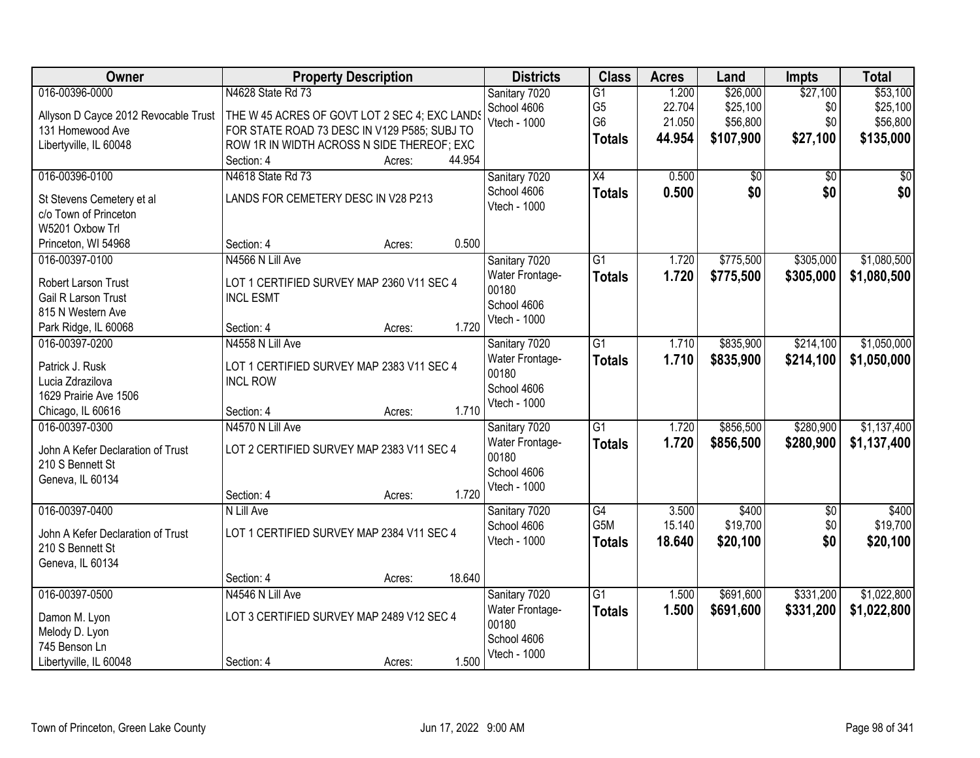| Owner                                      | <b>Property Description</b>                                   | <b>Districts</b>         | <b>Class</b>    | <b>Acres</b> | Land      | Impts      | <b>Total</b> |
|--------------------------------------------|---------------------------------------------------------------|--------------------------|-----------------|--------------|-----------|------------|--------------|
| 016-00396-0000                             | N4628 State Rd 73                                             | Sanitary 7020            | $\overline{G1}$ | 1.200        | \$26,000  | \$27,100   | \$53,100     |
| Allyson D Cayce 2012 Revocable Trust       | THE W 45 ACRES OF GOVT LOT 2 SEC 4; EXC LANDS                 | School 4606              | G <sub>5</sub>  | 22.704       | \$25,100  | \$0        | \$25,100     |
| 131 Homewood Ave                           | FOR STATE ROAD 73 DESC IN V129 P585; SUBJ TO                  | Vtech - 1000             | G <sub>6</sub>  | 21.050       | \$56,800  | \$0        | \$56,800     |
| Libertyville, IL 60048                     | ROW 1R IN WIDTH ACROSS N SIDE THEREOF; EXC                    |                          | <b>Totals</b>   | 44.954       | \$107,900 | \$27,100   | \$135,000    |
|                                            | 44.954<br>Section: 4<br>Acres:                                |                          |                 |              |           |            |              |
| 016-00396-0100                             | N4618 State Rd 73                                             | Sanitary 7020            | $\overline{X4}$ | 0.500        | \$0       | \$0        | \$0          |
| St Stevens Cemetery et al                  | LANDS FOR CEMETERY DESC IN V28 P213                           | School 4606              | <b>Totals</b>   | 0.500        | \$0       | \$0        | \$0          |
| c/o Town of Princeton                      |                                                               | Vtech - 1000             |                 |              |           |            |              |
| W5201 Oxbow Trl                            |                                                               |                          |                 |              |           |            |              |
| Princeton, WI 54968                        | 0.500<br>Section: 4<br>Acres:                                 |                          |                 |              |           |            |              |
| 016-00397-0100                             | N4566 N Lill Ave                                              | Sanitary 7020            | $\overline{G1}$ | 1.720        | \$775,500 | \$305,000  | \$1,080,500  |
|                                            |                                                               | Water Frontage-          | <b>Totals</b>   | 1.720        | \$775,500 | \$305,000  | \$1,080,500  |
| Robert Larson Trust<br>Gail R Larson Trust | LOT 1 CERTIFIED SURVEY MAP 2360 V11 SEC 4<br><b>INCL ESMT</b> | 00180                    |                 |              |           |            |              |
| 815 N Western Ave                          |                                                               | School 4606              |                 |              |           |            |              |
| Park Ridge, IL 60068                       | 1.720<br>Section: 4<br>Acres:                                 | Vtech - 1000             |                 |              |           |            |              |
| 016-00397-0200                             | N4558 N Lill Ave                                              | Sanitary 7020            | G1              | 1.710        | \$835,900 | \$214,100  | \$1,050,000  |
|                                            |                                                               | Water Frontage-          | <b>Totals</b>   | 1.710        | \$835,900 | \$214,100  | \$1,050,000  |
| Patrick J. Rusk                            | LOT 1 CERTIFIED SURVEY MAP 2383 V11 SEC 4                     | 00180                    |                 |              |           |            |              |
| Lucia Zdrazilova                           | <b>INCL ROW</b>                                               | School 4606              |                 |              |           |            |              |
| 1629 Prairie Ave 1506                      |                                                               | Vtech - 1000             |                 |              |           |            |              |
| Chicago, IL 60616                          | 1.710<br>Section: 4<br>Acres:                                 |                          |                 |              |           |            |              |
| 016-00397-0300                             | N4570 N Lill Ave                                              | Sanitary 7020            | $\overline{G1}$ | 1.720        | \$856,500 | \$280,900  | \$1,137,400  |
| John A Kefer Declaration of Trust          | LOT 2 CERTIFIED SURVEY MAP 2383 V11 SEC 4                     | Water Frontage-<br>00180 | <b>Totals</b>   | 1.720        | \$856,500 | \$280,900  | \$1,137,400  |
| 210 S Bennett St                           |                                                               | School 4606              |                 |              |           |            |              |
| Geneva, IL 60134                           |                                                               | Vtech - 1000             |                 |              |           |            |              |
|                                            | 1.720<br>Section: 4<br>Acres:                                 |                          |                 |              |           |            |              |
| 016-00397-0400                             | N Lill Ave                                                    | Sanitary 7020            | G4              | 3.500        | \$400     | $\sqrt{6}$ | \$400        |
| John A Kefer Declaration of Trust          | LOT 1 CERTIFIED SURVEY MAP 2384 V11 SEC 4                     | School 4606              | G5M             | 15.140       | \$19,700  | \$0        | \$19,700     |
| 210 S Bennett St                           |                                                               | Vtech - 1000             | <b>Totals</b>   | 18.640       | \$20,100  | \$0        | \$20,100     |
| Geneva, IL 60134                           |                                                               |                          |                 |              |           |            |              |
|                                            | 18.640<br>Section: 4<br>Acres:                                |                          |                 |              |           |            |              |
| 016-00397-0500                             | N4546 N Lill Ave                                              | Sanitary 7020            | $\overline{G1}$ | 1.500        | \$691,600 | \$331,200  | \$1,022,800  |
| Damon M. Lyon                              | LOT 3 CERTIFIED SURVEY MAP 2489 V12 SEC 4                     | Water Frontage-          | <b>Totals</b>   | 1.500        | \$691,600 | \$331,200  | \$1,022,800  |
| Melody D. Lyon                             |                                                               | 00180                    |                 |              |           |            |              |
| 745 Benson Ln                              |                                                               | School 4606              |                 |              |           |            |              |
| Libertyville, IL 60048                     | 1.500<br>Section: 4<br>Acres:                                 | Vtech - 1000             |                 |              |           |            |              |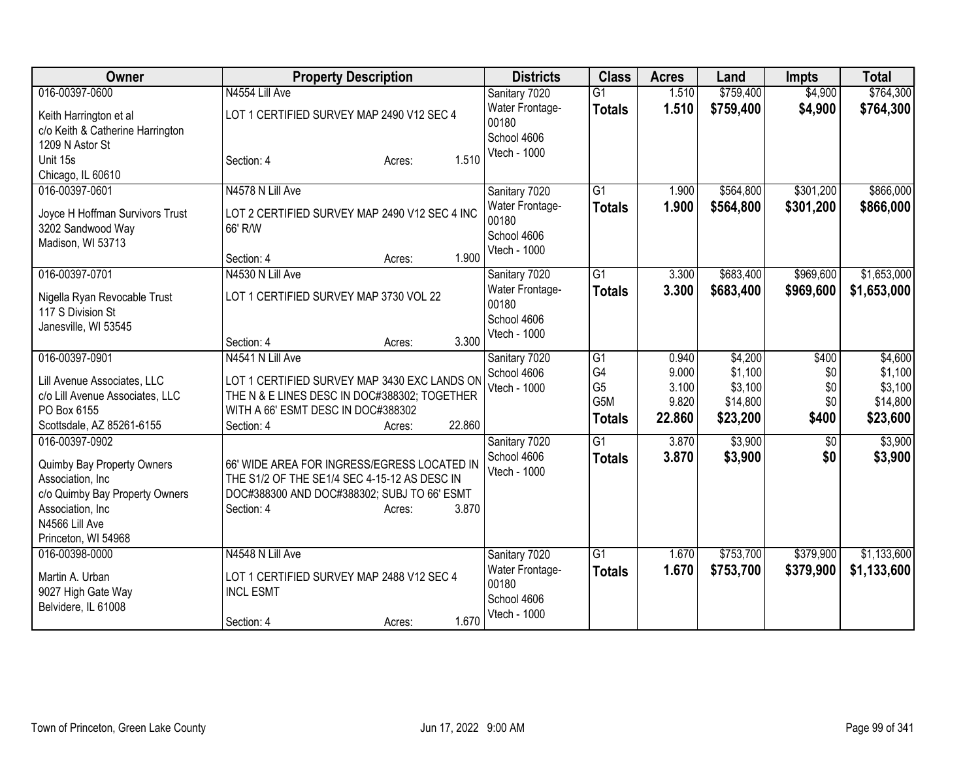| Owner                            | <b>Property Description</b>                   | <b>Districts</b>            | <b>Class</b>    | <b>Acres</b> | Land      | <b>Impts</b> | <b>Total</b> |
|----------------------------------|-----------------------------------------------|-----------------------------|-----------------|--------------|-----------|--------------|--------------|
| 016-00397-0600                   | N4554 Lill Ave                                | Sanitary 7020               | $\overline{G1}$ | 1.510        | \$759,400 | \$4,900      | \$764,300    |
| Keith Harrington et al           | LOT 1 CERTIFIED SURVEY MAP 2490 V12 SEC 4     | Water Frontage-             | <b>Totals</b>   | 1.510        | \$759,400 | \$4,900      | \$764,300    |
| c/o Keith & Catherine Harrington |                                               | 00180                       |                 |              |           |              |              |
| 1209 N Astor St                  |                                               | School 4606<br>Vtech - 1000 |                 |              |           |              |              |
| Unit 15s                         | 1.510<br>Section: 4<br>Acres:                 |                             |                 |              |           |              |              |
| Chicago, IL 60610                |                                               |                             |                 |              |           |              |              |
| 016-00397-0601                   | N4578 N Lill Ave                              | Sanitary 7020               | $\overline{G1}$ | 1.900        | \$564,800 | \$301,200    | \$866,000    |
| Joyce H Hoffman Survivors Trust  | LOT 2 CERTIFIED SURVEY MAP 2490 V12 SEC 4 INC | Water Frontage-             | <b>Totals</b>   | 1.900        | \$564,800 | \$301,200    | \$866,000    |
| 3202 Sandwood Way                | 66' R/W                                       | 00180                       |                 |              |           |              |              |
| Madison, WI 53713                |                                               | School 4606<br>Vtech - 1000 |                 |              |           |              |              |
|                                  | 1.900<br>Section: 4<br>Acres:                 |                             |                 |              |           |              |              |
| 016-00397-0701                   | N4530 N Lill Ave                              | Sanitary 7020               | $\overline{G1}$ | 3.300        | \$683,400 | \$969,600    | \$1,653,000  |
| Nigella Ryan Revocable Trust     | LOT 1 CERTIFIED SURVEY MAP 3730 VOL 22        | Water Frontage-             | <b>Totals</b>   | 3.300        | \$683,400 | \$969,600    | \$1,653,000  |
| 117 S Division St                |                                               | 00180                       |                 |              |           |              |              |
| Janesville, WI 53545             |                                               | School 4606                 |                 |              |           |              |              |
|                                  | 3.300<br>Section: 4<br>Acres:                 | Vtech - 1000                |                 |              |           |              |              |
| 016-00397-0901                   | N4541 N Lill Ave                              | Sanitary 7020               | G <sub>1</sub>  | 0.940        | \$4,200   | \$400        | \$4,600      |
| Lill Avenue Associates, LLC      | LOT 1 CERTIFIED SURVEY MAP 3430 EXC LANDS ON  | School 4606                 | G4              | 9.000        | \$1,100   | \$0          | \$1,100      |
| c/o Lill Avenue Associates, LLC  | THE N & E LINES DESC IN DOC#388302; TOGETHER  | Vtech - 1000                | G <sub>5</sub>  | 3.100        | \$3,100   | \$0          | \$3,100      |
| PO Box 6155                      | WITH A 66' ESMT DESC IN DOC#388302            |                             | G5M             | 9.820        | \$14,800  | \$0          | \$14,800     |
| Scottsdale, AZ 85261-6155        | 22.860<br>Section: 4<br>Acres:                |                             | <b>Totals</b>   | 22.860       | \$23,200  | \$400        | \$23,600     |
| 016-00397-0902                   |                                               | Sanitary 7020               | $\overline{G1}$ | 3.870        | \$3,900   | $\sqrt[6]{}$ | \$3,900      |
| Quimby Bay Property Owners       | 66' WIDE AREA FOR INGRESS/EGRESS LOCATED IN   | School 4606                 | <b>Totals</b>   | 3.870        | \$3,900   | \$0          | \$3,900      |
| Association, Inc                 | THE S1/2 OF THE SE1/4 SEC 4-15-12 AS DESC IN  | Vtech - 1000                |                 |              |           |              |              |
| c/o Quimby Bay Property Owners   | DOC#388300 AND DOC#388302; SUBJ TO 66' ESMT   |                             |                 |              |           |              |              |
| Association, Inc                 | 3.870<br>Section: 4<br>Acres:                 |                             |                 |              |           |              |              |
| N4566 Lill Ave                   |                                               |                             |                 |              |           |              |              |
| Princeton, WI 54968              |                                               |                             |                 |              |           |              |              |
| 016-00398-0000                   | N4548 N Lill Ave                              | Sanitary 7020               | $\overline{G1}$ | 1.670        | \$753,700 | \$379,900    | \$1,133,600  |
| Martin A. Urban                  | LOT 1 CERTIFIED SURVEY MAP 2488 V12 SEC 4     | Water Frontage-             | <b>Totals</b>   | 1.670        | \$753,700 | \$379,900    | \$1,133,600  |
| 9027 High Gate Way               | <b>INCL ESMT</b>                              | 00180                       |                 |              |           |              |              |
| Belvidere, IL 61008              |                                               | School 4606                 |                 |              |           |              |              |
|                                  | 1.670<br>Section: 4<br>Acres:                 | Vtech - 1000                |                 |              |           |              |              |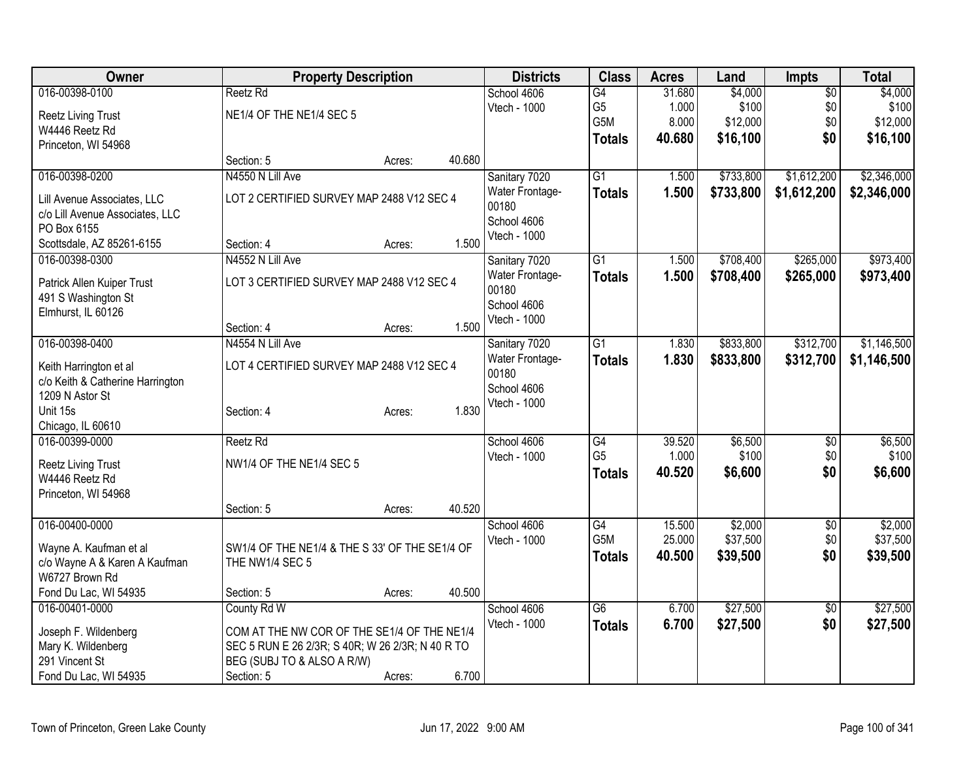| Owner                                             | <b>Property Description</b>                      |        |        | <b>Districts</b> | <b>Class</b>     | <b>Acres</b> | Land      | <b>Impts</b>    | <b>Total</b> |
|---------------------------------------------------|--------------------------------------------------|--------|--------|------------------|------------------|--------------|-----------|-----------------|--------------|
| 016-00398-0100                                    | Reetz Rd                                         |        |        | School 4606      | $\overline{G4}$  | 31.680       | \$4,000   | $\overline{50}$ | \$4,000      |
| <b>Reetz Living Trust</b>                         | NE1/4 OF THE NE1/4 SEC 5                         |        |        | Vtech - 1000     | G <sub>5</sub>   | 1.000        | \$100     | \$0             | \$100        |
| W4446 Reetz Rd                                    |                                                  |        |        |                  | G <sub>5</sub> M | 8.000        | \$12,000  | \$0             | \$12,000     |
| Princeton, WI 54968                               |                                                  |        |        |                  | <b>Totals</b>    | 40.680       | \$16,100  | \$0             | \$16,100     |
|                                                   | Section: 5                                       | Acres: | 40.680 |                  |                  |              |           |                 |              |
| 016-00398-0200                                    | N4550 N Lill Ave                                 |        |        | Sanitary 7020    | $\overline{G1}$  | 1.500        | \$733,800 | \$1,612,200     | \$2,346,000  |
| Lill Avenue Associates, LLC                       | LOT 2 CERTIFIED SURVEY MAP 2488 V12 SEC 4        |        |        | Water Frontage-  | <b>Totals</b>    | 1.500        | \$733,800 | \$1,612,200     | \$2,346,000  |
| c/o Lill Avenue Associates, LLC                   |                                                  |        |        | 00180            |                  |              |           |                 |              |
| PO Box 6155                                       |                                                  |        |        | School 4606      |                  |              |           |                 |              |
| Scottsdale, AZ 85261-6155                         | Section: 4                                       | Acres: | 1.500  | Vtech - 1000     |                  |              |           |                 |              |
| 016-00398-0300                                    | N4552 N Lill Ave                                 |        |        | Sanitary 7020    | $\overline{G1}$  | 1.500        | \$708,400 | \$265,000       | \$973,400    |
|                                                   | LOT 3 CERTIFIED SURVEY MAP 2488 V12 SEC 4        |        |        | Water Frontage-  | <b>Totals</b>    | 1.500        | \$708,400 | \$265,000       | \$973,400    |
| Patrick Allen Kuiper Trust<br>491 S Washington St |                                                  |        |        | 00180            |                  |              |           |                 |              |
| Elmhurst, IL 60126                                |                                                  |        |        | School 4606      |                  |              |           |                 |              |
|                                                   | Section: 4                                       | Acres: | 1.500  | Vtech - 1000     |                  |              |           |                 |              |
| 016-00398-0400                                    | N4554 N Lill Ave                                 |        |        | Sanitary 7020    | $\overline{G1}$  | 1.830        | \$833,800 | \$312,700       | \$1,146,500  |
|                                                   |                                                  |        |        | Water Frontage-  | <b>Totals</b>    | 1.830        | \$833,800 | \$312,700       | \$1,146,500  |
| Keith Harrington et al                            | LOT 4 CERTIFIED SURVEY MAP 2488 V12 SEC 4        |        |        | 00180            |                  |              |           |                 |              |
| c/o Keith & Catherine Harrington                  |                                                  |        |        | School 4606      |                  |              |           |                 |              |
| 1209 N Astor St<br>Unit 15s                       | Section: 4                                       |        | 1.830  | Vtech - 1000     |                  |              |           |                 |              |
| Chicago, IL 60610                                 |                                                  | Acres: |        |                  |                  |              |           |                 |              |
| 016-00399-0000                                    | Reetz Rd                                         |        |        | School 4606      | G4               | 39.520       | \$6,500   | \$0             | \$6,500      |
|                                                   |                                                  |        |        | Vtech - 1000     | G <sub>5</sub>   | 1.000        | \$100     | \$0             | \$100        |
| <b>Reetz Living Trust</b>                         | NW1/4 OF THE NE1/4 SEC 5                         |        |        |                  | <b>Totals</b>    | 40.520       | \$6,600   | \$0             | \$6,600      |
| W4446 Reetz Rd                                    |                                                  |        |        |                  |                  |              |           |                 |              |
| Princeton, WI 54968                               |                                                  |        |        |                  |                  |              |           |                 |              |
|                                                   | Section: 5                                       | Acres: | 40.520 |                  |                  |              |           |                 |              |
| 016-00400-0000                                    |                                                  |        |        | School 4606      | G4<br>G5M        | 15.500       | \$2,000   | \$0             | \$2,000      |
| Wayne A. Kaufman et al                            | SW1/4 OF THE NE1/4 & THE S 33' OF THE SE1/4 OF   |        |        | Vtech - 1000     |                  | 25.000       | \$37,500  | \$0             | \$37,500     |
| c/o Wayne A & Karen A Kaufman                     | THE NW1/4 SEC 5                                  |        |        |                  | <b>Totals</b>    | 40.500       | \$39,500  | \$0             | \$39,500     |
| W6727 Brown Rd                                    |                                                  |        |        |                  |                  |              |           |                 |              |
| Fond Du Lac, WI 54935                             | Section: 5                                       | Acres: | 40.500 |                  |                  |              |           |                 |              |
| 016-00401-0000                                    | County Rd W                                      |        |        | School 4606      | $\overline{G6}$  | 6.700        | \$27,500  | $\overline{30}$ | \$27,500     |
| Joseph F. Wildenberg                              | COM AT THE NW COR OF THE SE1/4 OF THE NE1/4      |        |        | Vtech - 1000     | <b>Totals</b>    | 6.700        | \$27,500  | \$0             | \$27,500     |
| Mary K. Wildenberg                                | SEC 5 RUN E 26 2/3R; S 40R; W 26 2/3R; N 40 R TO |        |        |                  |                  |              |           |                 |              |
| 291 Vincent St                                    | BEG (SUBJ TO & ALSO A R/W)                       |        |        |                  |                  |              |           |                 |              |
| Fond Du Lac, WI 54935                             | Section: 5                                       | Acres: | 6.700  |                  |                  |              |           |                 |              |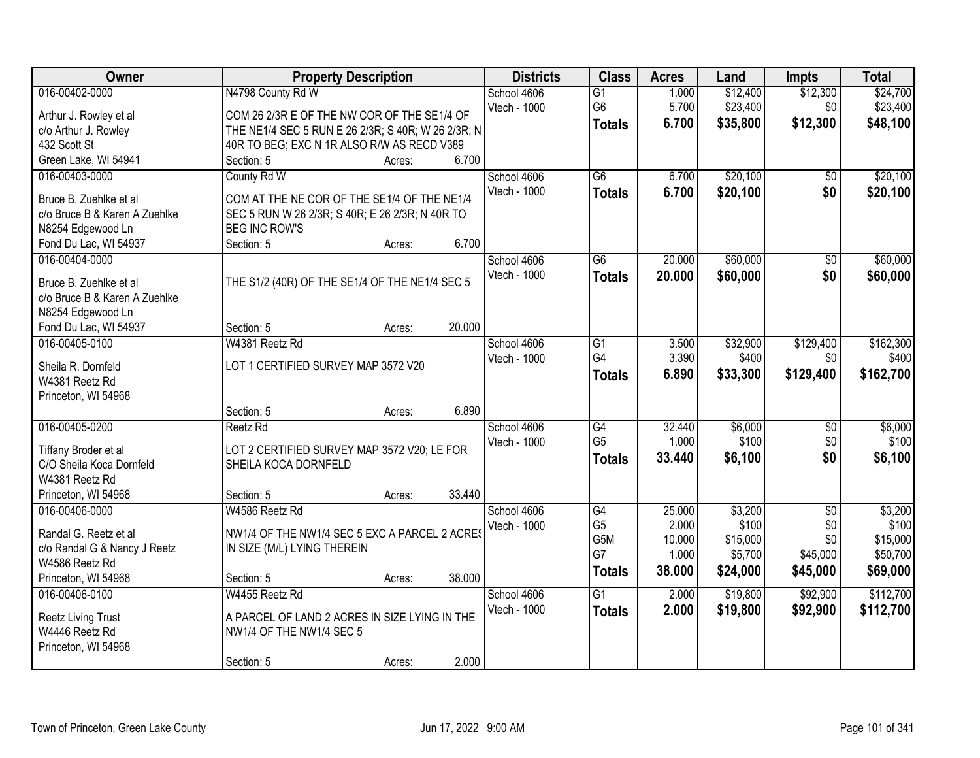| Owner                         |                                                    | <b>Property Description</b> |        | <b>Districts</b> | <b>Class</b>    | <b>Acres</b> | Land     | <b>Impts</b>    | <b>Total</b> |
|-------------------------------|----------------------------------------------------|-----------------------------|--------|------------------|-----------------|--------------|----------|-----------------|--------------|
| 016-00402-0000                | N4798 County Rd W                                  |                             |        | School 4606      | $\overline{G1}$ | 1.000        | \$12,400 | \$12,300        | \$24,700     |
| Arthur J. Rowley et al        | COM 26 2/3R E OF THE NW COR OF THE SE1/4 OF        |                             |        | Vtech - 1000     | G <sub>6</sub>  | 5.700        | \$23,400 | \$0             | \$23,400     |
| c/o Arthur J. Rowley          | THE NE1/4 SEC 5 RUN E 26 2/3R; S 40R; W 26 2/3R; N |                             |        |                  | <b>Totals</b>   | 6.700        | \$35,800 | \$12,300        | \$48,100     |
| 432 Scott St                  | 40R TO BEG; EXC N 1R ALSO R/W AS RECD V389         |                             |        |                  |                 |              |          |                 |              |
| Green Lake, WI 54941          | Section: 5                                         | Acres:                      | 6.700  |                  |                 |              |          |                 |              |
| 016-00403-0000                | County Rd W                                        |                             |        | School 4606      | $\overline{G6}$ | 6.700        | \$20,100 | $\overline{50}$ | \$20,100     |
|                               |                                                    |                             |        | Vtech - 1000     | <b>Totals</b>   | 6.700        | \$20,100 | \$0             | \$20,100     |
| Bruce B. Zuehlke et al        | COM AT THE NE COR OF THE SE1/4 OF THE NE1/4        |                             |        |                  |                 |              |          |                 |              |
| c/o Bruce B & Karen A Zuehlke | SEC 5 RUN W 26 2/3R; S 40R; E 26 2/3R; N 40R TO    |                             |        |                  |                 |              |          |                 |              |
| N8254 Edgewood Ln             | <b>BEG INC ROW'S</b>                               |                             |        |                  |                 |              |          |                 |              |
| Fond Du Lac, WI 54937         | Section: 5                                         | Acres:                      | 6.700  |                  |                 |              |          |                 |              |
| 016-00404-0000                |                                                    |                             |        | School 4606      | G <sub>6</sub>  | 20.000       | \$60,000 | \$0             | \$60,000     |
| Bruce B. Zuehlke et al        | THE S1/2 (40R) OF THE SE1/4 OF THE NE1/4 SEC 5     |                             |        | Vtech - 1000     | <b>Totals</b>   | 20.000       | \$60,000 | \$0             | \$60,000     |
| c/o Bruce B & Karen A Zuehlke |                                                    |                             |        |                  |                 |              |          |                 |              |
| N8254 Edgewood Ln             |                                                    |                             |        |                  |                 |              |          |                 |              |
| Fond Du Lac, WI 54937         | Section: 5                                         | Acres:                      | 20.000 |                  |                 |              |          |                 |              |
| 016-00405-0100                | W4381 Reetz Rd                                     |                             |        | School 4606      | G1              | 3.500        | \$32,900 | \$129,400       | \$162,300    |
|                               |                                                    |                             |        | Vtech - 1000     | G4              | 3.390        | \$400    | \$0             | \$400        |
| Sheila R. Dornfeld            | LOT 1 CERTIFIED SURVEY MAP 3572 V20                |                             |        |                  | <b>Totals</b>   | 6.890        | \$33,300 | \$129,400       | \$162,700    |
| W4381 Reetz Rd                |                                                    |                             |        |                  |                 |              |          |                 |              |
| Princeton, WI 54968           |                                                    |                             |        |                  |                 |              |          |                 |              |
|                               | Section: 5                                         | Acres:                      | 6.890  |                  |                 |              |          |                 |              |
| 016-00405-0200                | Reetz Rd                                           |                             |        | School 4606      | G4              | 32.440       | \$6,000  | \$0             | \$6,000      |
| Tiffany Broder et al          | LOT 2 CERTIFIED SURVEY MAP 3572 V20; LE FOR        |                             |        | Vtech - 1000     | G <sub>5</sub>  | 1.000        | \$100    | \$0             | \$100        |
| C/O Sheila Koca Dornfeld      | SHEILA KOCA DORNFELD                               |                             |        |                  | <b>Totals</b>   | 33.440       | \$6,100  | \$0             | \$6,100      |
| W4381 Reetz Rd                |                                                    |                             |        |                  |                 |              |          |                 |              |
| Princeton, WI 54968           | Section: 5                                         | Acres:                      | 33.440 |                  |                 |              |          |                 |              |
| 016-00406-0000                | W4586 Reetz Rd                                     |                             |        | School 4606      | G4              | 25.000       | \$3,200  | $\sqrt{6}$      | \$3,200      |
|                               |                                                    |                             |        | Vtech - 1000     | G <sub>5</sub>  | 2.000        | \$100    | \$0             | \$100        |
| Randal G. Reetz et al         | NW1/4 OF THE NW1/4 SEC 5 EXC A PARCEL 2 ACRES      |                             |        |                  | G5M             | 10.000       | \$15,000 | \$0             | \$15,000     |
| c/o Randal G & Nancy J Reetz  | IN SIZE (M/L) LYING THEREIN                        |                             |        |                  | G7              | 1.000        | \$5,700  | \$45,000        | \$50,700     |
| W4586 Reetz Rd                |                                                    |                             |        |                  | <b>Totals</b>   | 38.000       | \$24,000 | \$45,000        | \$69,000     |
| Princeton, WI 54968           | Section: 5                                         | Acres:                      | 38.000 |                  |                 |              |          |                 |              |
| 016-00406-0100                | W4455 Reetz Rd                                     |                             |        | School 4606      | $\overline{G1}$ | 2.000        | \$19,800 | \$92,900        | \$112,700    |
| <b>Reetz Living Trust</b>     | A PARCEL OF LAND 2 ACRES IN SIZE LYING IN THE      |                             |        | Vtech - 1000     | <b>Totals</b>   | 2.000        | \$19,800 | \$92,900        | \$112,700    |
| W4446 Reetz Rd                | NW1/4 OF THE NW1/4 SEC 5                           |                             |        |                  |                 |              |          |                 |              |
| Princeton, WI 54968           |                                                    |                             |        |                  |                 |              |          |                 |              |
|                               | Section: 5                                         |                             | 2.000  |                  |                 |              |          |                 |              |
|                               |                                                    | Acres:                      |        |                  |                 |              |          |                 |              |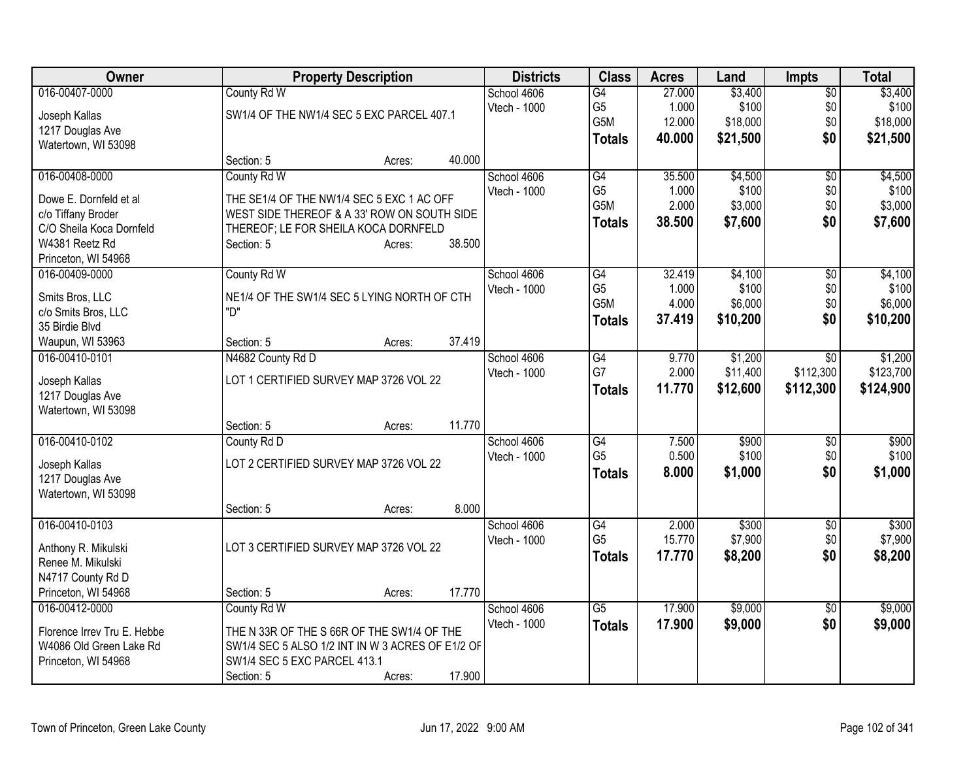| <b>Owner</b>                |                                        | <b>Property Description</b>                      |        |              |                 | <b>Acres</b> | Land     | <b>Impts</b>    | <b>Total</b> |
|-----------------------------|----------------------------------------|--------------------------------------------------|--------|--------------|-----------------|--------------|----------|-----------------|--------------|
| 016-00407-0000              | County Rd W                            |                                                  |        | School 4606  | $\overline{G4}$ | 27.000       | \$3,400  | $\overline{$0}$ | \$3,400      |
| Joseph Kallas               |                                        | SW1/4 OF THE NW1/4 SEC 5 EXC PARCEL 407.1        |        | Vtech - 1000 | G <sub>5</sub>  | 1.000        | \$100    | \$0             | \$100        |
| 1217 Douglas Ave            |                                        |                                                  |        |              | G5M             | 12.000       | \$18,000 | \$0             | \$18,000     |
| Watertown, WI 53098         |                                        |                                                  |        |              | <b>Totals</b>   | 40.000       | \$21,500 | \$0             | \$21,500     |
|                             | Section: 5                             | Acres:                                           | 40.000 |              |                 |              |          |                 |              |
| 016-00408-0000              | County Rd W                            |                                                  |        | School 4606  | G4              | 35.500       | \$4,500  | \$0             | \$4,500      |
| Dowe E. Dornfeld et al      |                                        | THE SE1/4 OF THE NW1/4 SEC 5 EXC 1 AC OFF        |        | Vtech - 1000 | G <sub>5</sub>  | 1.000        | \$100    | \$0             | \$100        |
| c/o Tiffany Broder          |                                        | WEST SIDE THEREOF & A 33' ROW ON SOUTH SIDE      |        |              | G5M             | 2.000        | \$3,000  | \$0             | \$3,000      |
| C/O Sheila Koca Dornfeld    | THEREOF; LE FOR SHEILA KOCA DORNFELD   |                                                  |        |              | <b>Totals</b>   | 38.500       | \$7,600  | \$0             | \$7,600      |
| W4381 Reetz Rd              | Section: 5                             | Acres:                                           | 38.500 |              |                 |              |          |                 |              |
| Princeton, WI 54968         |                                        |                                                  |        |              |                 |              |          |                 |              |
| 016-00409-0000              | County Rd W                            |                                                  |        | School 4606  | G4              | 32.419       | \$4,100  | \$0             | \$4,100      |
|                             |                                        |                                                  |        | Vtech - 1000 | G <sub>5</sub>  | 1.000        | \$100    | \$0             | \$100        |
| Smits Bros, LLC             |                                        | NE1/4 OF THE SW1/4 SEC 5 LYING NORTH OF CTH      |        |              | G5M             | 4.000        | \$6,000  | \$0             | \$6,000      |
| c/o Smits Bros, LLC         | "ח                                     |                                                  |        |              | Totals          | 37.419       | \$10,200 | \$0             | \$10,200     |
| 35 Birdie Blvd              |                                        |                                                  |        |              |                 |              |          |                 |              |
| Waupun, WI 53963            | Section: 5                             | Acres:                                           | 37.419 |              |                 |              |          |                 |              |
| 016-00410-0101              | N4682 County Rd D                      |                                                  |        | School 4606  | G4              | 9.770        | \$1,200  | \$0             | \$1,200      |
| Joseph Kallas               | LOT 1 CERTIFIED SURVEY MAP 3726 VOL 22 |                                                  |        | Vtech - 1000 | G7              | 2.000        | \$11,400 | \$112,300       | \$123,700    |
| 1217 Douglas Ave            |                                        |                                                  |        |              | <b>Totals</b>   | 11.770       | \$12,600 | \$112,300       | \$124,900    |
| Watertown, WI 53098         |                                        |                                                  |        |              |                 |              |          |                 |              |
|                             | Section: 5                             | Acres:                                           | 11.770 |              |                 |              |          |                 |              |
| 016-00410-0102              | County Rd D                            |                                                  |        | School 4606  | G4              | 7.500        | \$900    | $\sqrt[6]{3}$   | \$900        |
|                             |                                        |                                                  |        | Vtech - 1000 | G <sub>5</sub>  | 0.500        | \$100    | \$0             | \$100        |
| Joseph Kallas               | LOT 2 CERTIFIED SURVEY MAP 3726 VOL 22 |                                                  |        |              | <b>Totals</b>   | 8.000        | \$1,000  | \$0             | \$1,000      |
| 1217 Douglas Ave            |                                        |                                                  |        |              |                 |              |          |                 |              |
| Watertown, WI 53098         |                                        |                                                  |        |              |                 |              |          |                 |              |
|                             | Section: 5                             | Acres:                                           | 8.000  |              |                 |              |          |                 |              |
| 016-00410-0103              |                                        |                                                  |        | School 4606  | $\overline{G4}$ | 2.000        | \$300    | $\overline{50}$ | \$300        |
| Anthony R. Mikulski         | LOT 3 CERTIFIED SURVEY MAP 3726 VOL 22 |                                                  |        | Vtech - 1000 | G <sub>5</sub>  | 15.770       | \$7,900  | \$0             | \$7,900      |
| Renee M. Mikulski           |                                        |                                                  |        |              | <b>Totals</b>   | 17.770       | \$8,200  | \$0             | \$8,200      |
| N4717 County Rd D           |                                        |                                                  |        |              |                 |              |          |                 |              |
| Princeton, WI 54968         | Section: 5                             | Acres:                                           | 17.770 |              |                 |              |          |                 |              |
| 016-00412-0000              | County Rd W                            |                                                  |        | School 4606  | $\overline{G5}$ | 17,900       | \$9,000  | $\sqrt{6}$      | \$9,000      |
| Florence Irrey Tru E. Hebbe |                                        | THE N 33R OF THE S 66R OF THE SW1/4 OF THE       |        | Vtech - 1000 | <b>Totals</b>   | 17.900       | \$9,000  | \$0             | \$9,000      |
| W4086 Old Green Lake Rd     |                                        | SW1/4 SEC 5 ALSO 1/2 INT IN W 3 ACRES OF E1/2 OF |        |              |                 |              |          |                 |              |
| Princeton, WI 54968         | SW1/4 SEC 5 EXC PARCEL 413.1           |                                                  |        |              |                 |              |          |                 |              |
|                             | Section: 5                             | Acres:                                           | 17.900 |              |                 |              |          |                 |              |
|                             |                                        |                                                  |        |              |                 |              |          |                 |              |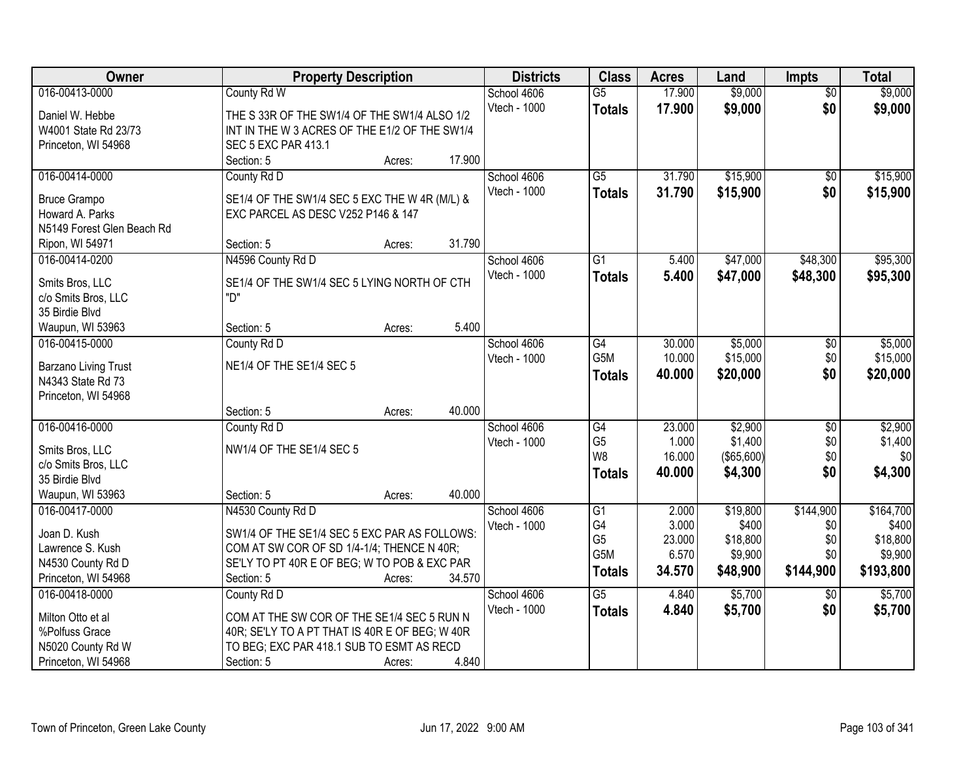| <b>Owner</b>               | <b>Property Description</b>                    | <b>Districts</b> | <b>Class</b>     | <b>Acres</b> | Land       | <b>Impts</b>    | <b>Total</b> |
|----------------------------|------------------------------------------------|------------------|------------------|--------------|------------|-----------------|--------------|
| 016-00413-0000             | County Rd W                                    | School 4606      | $\overline{G5}$  | 17.900       | \$9,000    | $\overline{50}$ | \$9,000      |
| Daniel W. Hebbe            | THE S 33R OF THE SW1/4 OF THE SW1/4 ALSO 1/2   | Vtech - 1000     | <b>Totals</b>    | 17.900       | \$9,000    | \$0             | \$9,000      |
| W4001 State Rd 23/73       | INT IN THE W 3 ACRES OF THE E1/2 OF THE SW1/4  |                  |                  |              |            |                 |              |
| Princeton, WI 54968        | <b>SEC 5 EXC PAR 413.1</b>                     |                  |                  |              |            |                 |              |
|                            | 17.900<br>Section: 5<br>Acres:                 |                  |                  |              |            |                 |              |
| 016-00414-0000             | County Rd D                                    | School 4606      | $\overline{G5}$  | 31.790       | \$15,900   | $\overline{50}$ | \$15,900     |
|                            |                                                | Vtech - 1000     | <b>Totals</b>    | 31.790       | \$15,900   | \$0             | \$15,900     |
| <b>Bruce Grampo</b>        | SE1/4 OF THE SW1/4 SEC 5 EXC THE W 4R (M/L) &  |                  |                  |              |            |                 |              |
| Howard A. Parks            | EXC PARCEL AS DESC V252 P146 & 147             |                  |                  |              |            |                 |              |
| N5149 Forest Glen Beach Rd |                                                |                  |                  |              |            |                 |              |
| Ripon, WI 54971            | 31.790<br>Section: 5<br>Acres:                 |                  |                  |              |            |                 |              |
| 016-00414-0200             | N4596 County Rd D                              | School 4606      | $\overline{G1}$  | 5.400        | \$47,000   | \$48,300        | \$95,300     |
| Smits Bros, LLC            | SE1/4 OF THE SW1/4 SEC 5 LYING NORTH OF CTH    | Vtech - 1000     | <b>Totals</b>    | 5.400        | \$47,000   | \$48,300        | \$95,300     |
| c/o Smits Bros, LLC        | "D"                                            |                  |                  |              |            |                 |              |
| 35 Birdie Blvd             |                                                |                  |                  |              |            |                 |              |
| Waupun, WI 53963           | 5.400<br>Section: 5<br>Acres:                  |                  |                  |              |            |                 |              |
| 016-00415-0000             | County Rd D                                    | School 4606      | $\overline{G4}$  | 30.000       | \$5,000    | \$0             | \$5,000      |
|                            |                                                | Vtech - 1000     | G5M              | 10.000       | \$15,000   | \$0             | \$15,000     |
| Barzano Living Trust       | NE1/4 OF THE SE1/4 SEC 5                       |                  | <b>Totals</b>    | 40.000       | \$20,000   | \$0             | \$20,000     |
| N4343 State Rd 73          |                                                |                  |                  |              |            |                 |              |
| Princeton, WI 54968        |                                                |                  |                  |              |            |                 |              |
|                            | 40.000<br>Section: 5<br>Acres:                 |                  |                  |              |            |                 |              |
| 016-00416-0000             | County Rd D                                    | School 4606      | G4               | 23.000       | \$2,900    | $\overline{50}$ | \$2,900      |
| Smits Bros, LLC            | NW1/4 OF THE SE1/4 SEC 5                       | Vtech - 1000     | G <sub>5</sub>   | 1.000        | \$1,400    | \$0             | \$1,400      |
| c/o Smits Bros, LLC        |                                                |                  | W8               | 16.000       | (\$65,600) | \$0             | \$0          |
| 35 Birdie Blvd             |                                                |                  | <b>Totals</b>    | 40.000       | \$4,300    | \$0             | \$4,300      |
| Waupun, WI 53963           | 40.000<br>Section: 5<br>Acres:                 |                  |                  |              |            |                 |              |
| 016-00417-0000             | N4530 County Rd D                              | School 4606      | $\overline{G1}$  | 2.000        | \$19,800   | \$144,900       | \$164,700    |
| Joan D. Kush               | SW1/4 OF THE SE1/4 SEC 5 EXC PAR AS FOLLOWS:   | Vtech - 1000     | G4               | 3.000        | \$400      | \$0             | \$400        |
| Lawrence S. Kush           | COM AT SW COR OF SD 1/4-1/4; THENCE N 40R;     |                  | G <sub>5</sub>   | 23.000       | \$18,800   | \$0             | \$18,800     |
| N4530 County Rd D          | SE'LY TO PT 40R E OF BEG; W TO POB & EXC PAR   |                  | G <sub>5</sub> M | 6.570        | \$9,900    | \$0             | \$9,900      |
| Princeton, WI 54968        | 34.570<br>Section: 5<br>Acres:                 |                  | <b>Totals</b>    | 34.570       | \$48,900   | \$144,900       | \$193,800    |
| 016-00418-0000             | County Rd D                                    | School 4606      | $\overline{G5}$  | 4.840        | \$5,700    | $\overline{30}$ | \$5,700      |
|                            |                                                | Vtech - 1000     | <b>Totals</b>    | 4.840        | \$5,700    | \$0             | \$5,700      |
| Milton Otto et al          | COM AT THE SW COR OF THE SE1/4 SEC 5 RUN N     |                  |                  |              |            |                 |              |
| %Polfuss Grace             | 40R; SE'LY TO A PT THAT IS 40R E OF BEG; W 40R |                  |                  |              |            |                 |              |
| N5020 County Rd W          | TO BEG; EXC PAR 418.1 SUB TO ESMT AS RECD      |                  |                  |              |            |                 |              |
| Princeton, WI 54968        | 4.840<br>Section: 5<br>Acres:                  |                  |                  |              |            |                 |              |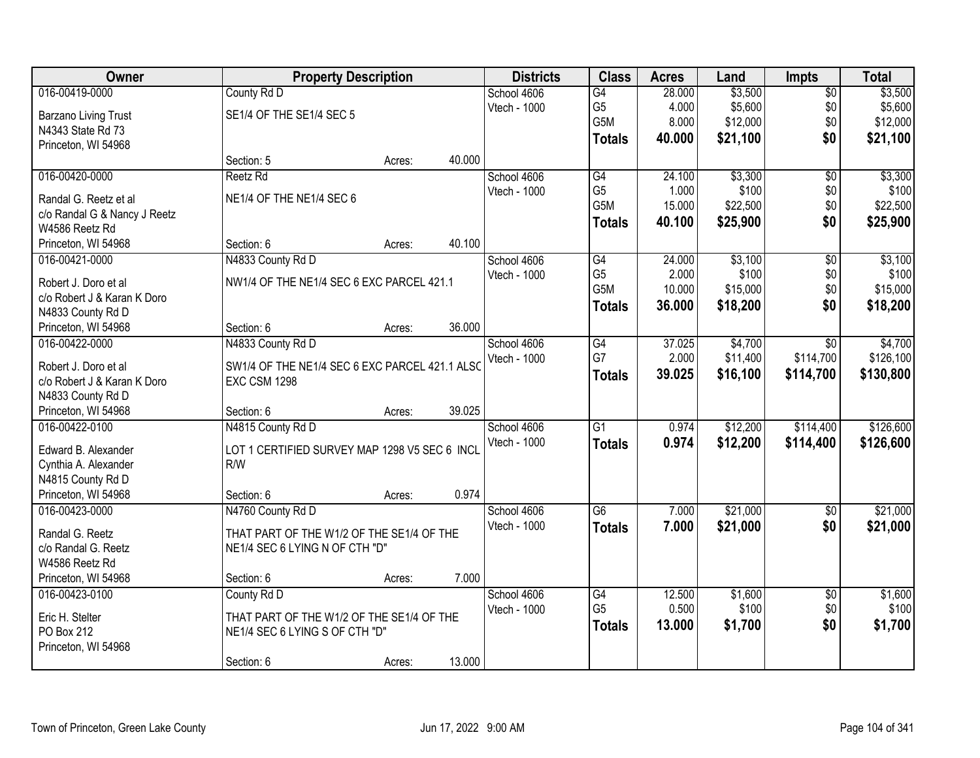| 016-00419-0000<br>County Rd D<br>$\overline{G4}$<br>\$3,500<br>School 4606<br>28.000<br>$\sqrt{$0}$<br>G <sub>5</sub><br>\$5,600<br>4.000<br>\$0<br>Vtech - 1000<br>SE1/4 OF THE SE1/4 SEC 5<br>Barzano Living Trust<br>G5M<br>8.000<br>\$12,000<br>\$0<br>N4343 State Rd 73<br>\$0<br>40.000 | \$3,500<br>\$5,600<br>\$12,000<br>\$21,100 |
|-----------------------------------------------------------------------------------------------------------------------------------------------------------------------------------------------------------------------------------------------------------------------------------------------|--------------------------------------------|
|                                                                                                                                                                                                                                                                                               |                                            |
|                                                                                                                                                                                                                                                                                               |                                            |
|                                                                                                                                                                                                                                                                                               |                                            |
| \$21,100<br><b>Totals</b><br>Princeton, WI 54968                                                                                                                                                                                                                                              |                                            |
| 40.000<br>Section: 5<br>Acres:                                                                                                                                                                                                                                                                |                                            |
| \$3,300<br>016-00420-0000<br>G4<br>24.100<br>$\overline{50}$<br>Reetz Rd<br>School 4606                                                                                                                                                                                                       | \$3,300                                    |
| G <sub>5</sub><br>\$100<br>\$0<br>Vtech - 1000<br>1.000                                                                                                                                                                                                                                       | \$100                                      |
| NE1/4 OF THE NE1/4 SEC 6<br>Randal G. Reetz et al<br>G5M<br>\$0<br>15.000<br>\$22,500                                                                                                                                                                                                         | \$22,500                                   |
| c/o Randal G & Nancy J Reetz<br>\$0<br>\$25,900<br>40.100<br><b>Totals</b>                                                                                                                                                                                                                    | \$25,900                                   |
| W4586 Reetz Rd<br>40.100<br>Section: 6                                                                                                                                                                                                                                                        |                                            |
| Princeton, WI 54968<br>Acres:                                                                                                                                                                                                                                                                 |                                            |
| \$3,100<br>016-00421-0000<br>N4833 County Rd D<br>G4<br>24.000<br>$\overline{60}$<br>School 4606<br>G <sub>5</sub>                                                                                                                                                                            | \$3,100                                    |
| \$100<br>2.000<br>\$0<br>Vtech - 1000<br>NW1/4 OF THE NE1/4 SEC 6 EXC PARCEL 421.1<br>Robert J. Doro et al<br>G5M<br>10.000<br>\$15,000<br>\$0                                                                                                                                                | \$100<br>\$15,000                          |
| c/o Robert J & Karan K Doro                                                                                                                                                                                                                                                                   |                                            |
| 36.000<br>\$18,200<br>\$0<br><b>Totals</b><br>N4833 County Rd D                                                                                                                                                                                                                               | \$18,200                                   |
| 36.000<br>Section: 6<br>Princeton, WI 54968<br>Acres:                                                                                                                                                                                                                                         |                                            |
| N4833 County Rd D<br>$\overline{G4}$<br>37.025<br>\$4,700<br>016-00422-0000<br>School 4606<br>$\sqrt[6]{}$                                                                                                                                                                                    | \$4,700                                    |
| G7<br>2.000<br>\$11,400<br>\$114,700<br>Vtech - 1000<br>Robert J. Doro et al<br>SW1/4 OF THE NE1/4 SEC 6 EXC PARCEL 421.1 ALSC                                                                                                                                                                | \$126,100                                  |
| 39.025<br>\$16,100<br>\$114,700<br><b>Totals</b><br>c/o Robert J & Karan K Doro<br><b>EXC CSM 1298</b>                                                                                                                                                                                        | \$130,800                                  |
| N4833 County Rd D                                                                                                                                                                                                                                                                             |                                            |
| 39.025<br>Princeton, WI 54968<br>Section: 6<br>Acres:                                                                                                                                                                                                                                         |                                            |
| $\overline{G1}$<br>\$12,200<br>\$114,400<br>016-00422-0100<br>N4815 County Rd D<br>0.974<br>School 4606                                                                                                                                                                                       | \$126,600                                  |
| Vtech - 1000<br>0.974<br>\$12,200<br>\$114,400<br><b>Totals</b>                                                                                                                                                                                                                               | \$126,600                                  |
| LOT 1 CERTIFIED SURVEY MAP 1298 V5 SEC 6 INCL<br>Edward B. Alexander                                                                                                                                                                                                                          |                                            |
| R/W<br>Cynthia A. Alexander                                                                                                                                                                                                                                                                   |                                            |
| N4815 County Rd D                                                                                                                                                                                                                                                                             |                                            |
| 0.974<br>Princeton, WI 54968<br>Section: 6<br>Acres:                                                                                                                                                                                                                                          |                                            |
| G6<br>\$21,000<br>016-00423-0000<br>N4760 County Rd D<br>School 4606<br>7.000<br>\$0                                                                                                                                                                                                          | \$21,000                                   |
| Vtech - 1000<br>\$0<br>7.000<br>\$21,000<br><b>Totals</b><br>Randal G. Reetz<br>THAT PART OF THE W1/2 OF THE SE1/4 OF THE                                                                                                                                                                     | \$21,000                                   |
| c/o Randal G. Reetz<br>NE1/4 SEC 6 LYING N OF CTH "D"                                                                                                                                                                                                                                         |                                            |
| W4586 Reetz Rd                                                                                                                                                                                                                                                                                |                                            |
| 7.000<br>Princeton, WI 54968<br>Section: 6<br>Acres:                                                                                                                                                                                                                                          |                                            |
| School 4606<br>12.500<br>\$1,600<br>016-00423-0100<br>County Rd D<br>G4<br>$\overline{50}$                                                                                                                                                                                                    | \$1,600                                    |
| G <sub>5</sub><br>0.500<br>\$100<br>\$0<br>Vtech - 1000<br>THAT PART OF THE W1/2 OF THE SE1/4 OF THE<br>Eric H. Stelter                                                                                                                                                                       | \$100                                      |
| \$0<br>\$1,700<br>13.000<br><b>Totals</b><br>PO Box 212<br>NE1/4 SEC 6 LYING S OF CTH "D"                                                                                                                                                                                                     | \$1,700                                    |
| Princeton, WI 54968                                                                                                                                                                                                                                                                           |                                            |
| 13.000<br>Section: 6<br>Acres:                                                                                                                                                                                                                                                                |                                            |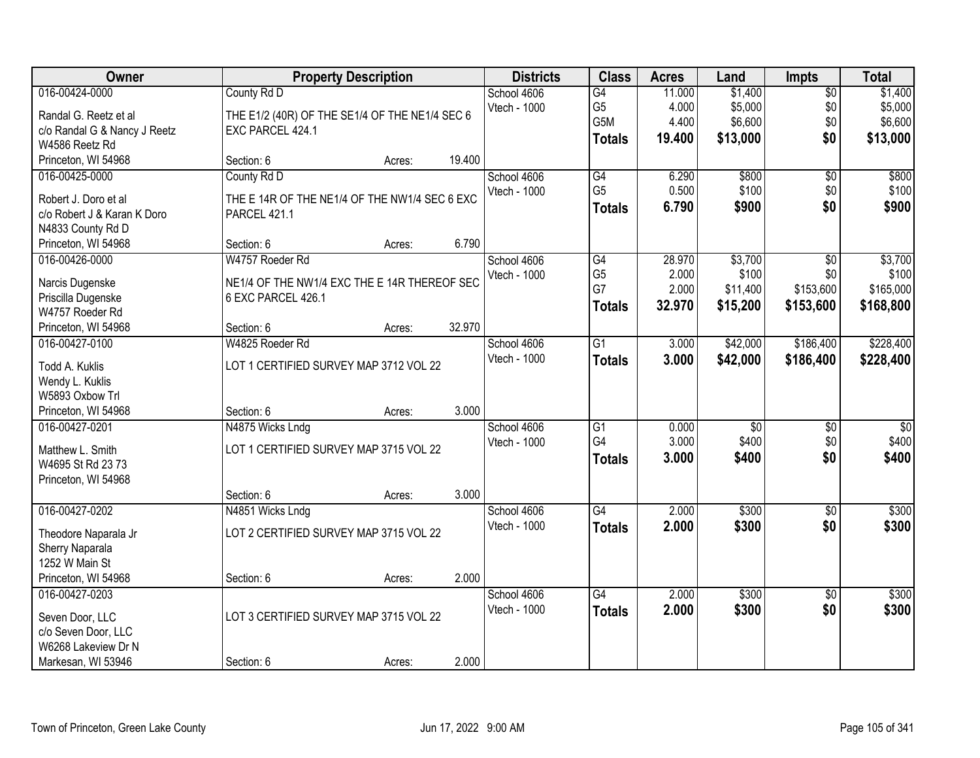| <b>Owner</b>                 | <b>Property Description</b>                    |        |        | <b>Districts</b> | <b>Class</b>    | <b>Acres</b> | Land            | <b>Impts</b>    | <b>Total</b>     |
|------------------------------|------------------------------------------------|--------|--------|------------------|-----------------|--------------|-----------------|-----------------|------------------|
| 016-00424-0000               | County Rd D                                    |        |        | School 4606      | G4              | 11.000       | \$1,400         | $\overline{50}$ | \$1,400          |
| Randal G. Reetz et al        | THE E1/2 (40R) OF THE SE1/4 OF THE NE1/4 SEC 6 |        |        | Vtech - 1000     | G <sub>5</sub>  | 4.000        | \$5,000         | \$0             | \$5,000          |
| c/o Randal G & Nancy J Reetz | EXC PARCEL 424.1                               |        |        |                  | G5M             | 4.400        | \$6,600         | \$0             | \$6,600          |
| W4586 Reetz Rd               |                                                |        |        |                  | <b>Totals</b>   | 19.400       | \$13,000        | \$0             | \$13,000         |
| Princeton, WI 54968          | Section: 6                                     | Acres: | 19.400 |                  |                 |              |                 |                 |                  |
| 016-00425-0000               | County Rd D                                    |        |        | School 4606      | G4              | 6.290        | \$800           | $\overline{50}$ | \$800            |
| Robert J. Doro et al         | THE E 14R OF THE NE1/4 OF THE NW1/4 SEC 6 EXC  |        |        | Vtech - 1000     | G <sub>5</sub>  | 0.500        | \$100           | \$0             | \$100            |
| c/o Robert J & Karan K Doro  | <b>PARCEL 421.1</b>                            |        |        |                  | <b>Totals</b>   | 6.790        | \$900           | \$0             | \$900            |
| N4833 County Rd D            |                                                |        |        |                  |                 |              |                 |                 |                  |
| Princeton, WI 54968          | Section: 6                                     | Acres: | 6.790  |                  |                 |              |                 |                 |                  |
| 016-00426-0000               | W4757 Roeder Rd                                |        |        | School 4606      | $\overline{G4}$ | 28.970       | \$3,700         | $\overline{50}$ | \$3,700          |
|                              |                                                |        |        | Vtech - 1000     | G <sub>5</sub>  | 2.000        | \$100           | \$0             | \$100            |
| Narcis Dugenske              | NE1/4 OF THE NW1/4 EXC THE E 14R THEREOF SEC   |        |        |                  | G7              | 2.000        | \$11,400        | \$153,600       | \$165,000        |
| Priscilla Dugenske           | 6 EXC PARCEL 426.1                             |        |        |                  | <b>Totals</b>   | 32.970       | \$15,200        | \$153,600       | \$168,800        |
| W4757 Roeder Rd              |                                                |        |        |                  |                 |              |                 |                 |                  |
| Princeton, WI 54968          | Section: 6                                     | Acres: | 32.970 |                  |                 |              |                 |                 |                  |
| 016-00427-0100               | W4825 Roeder Rd                                |        |        | School 4606      | $\overline{G1}$ | 3.000        | \$42,000        | \$186,400       | \$228,400        |
| Todd A. Kuklis               | LOT 1 CERTIFIED SURVEY MAP 3712 VOL 22         |        |        | Vtech - 1000     | <b>Totals</b>   | 3.000        | \$42,000        | \$186,400       | \$228,400        |
| Wendy L. Kuklis              |                                                |        |        |                  |                 |              |                 |                 |                  |
| W5893 Oxbow Trl              |                                                |        |        |                  |                 |              |                 |                 |                  |
| Princeton, WI 54968          | Section: 6                                     | Acres: | 3.000  |                  |                 |              |                 |                 |                  |
| 016-00427-0201               | N4875 Wicks Lndg                               |        |        | School 4606      | $\overline{G1}$ | 0.000        | $\overline{50}$ | \$0             | $\overline{\$0}$ |
| Matthew L. Smith             | LOT 1 CERTIFIED SURVEY MAP 3715 VOL 22         |        |        | Vtech - 1000     | G4              | 3.000        | \$400           | \$0             | \$400            |
| W4695 St Rd 23 73            |                                                |        |        |                  | <b>Totals</b>   | 3.000        | \$400           | \$0             | \$400            |
| Princeton, WI 54968          |                                                |        |        |                  |                 |              |                 |                 |                  |
|                              | Section: 6                                     | Acres: | 3.000  |                  |                 |              |                 |                 |                  |
| 016-00427-0202               | N4851 Wicks Lndg                               |        |        | School 4606      | $\overline{G4}$ | 2.000        | \$300           | $\overline{60}$ | \$300            |
|                              |                                                |        |        | Vtech - 1000     | <b>Totals</b>   | 2.000        | \$300           | \$0             | \$300            |
| Theodore Naparala Jr         | LOT 2 CERTIFIED SURVEY MAP 3715 VOL 22         |        |        |                  |                 |              |                 |                 |                  |
| Sherry Naparala              |                                                |        |        |                  |                 |              |                 |                 |                  |
| 1252 W Main St               |                                                |        |        |                  |                 |              |                 |                 |                  |
| Princeton, WI 54968          | Section: 6                                     | Acres: | 2.000  |                  |                 |              |                 |                 |                  |
| 016-00427-0203               |                                                |        |        | School 4606      | $\overline{G4}$ | 2.000        | \$300           | $\overline{30}$ | \$300            |
| Seven Door, LLC              | LOT 3 CERTIFIED SURVEY MAP 3715 VOL 22         |        |        | Vtech - 1000     | <b>Totals</b>   | 2.000        | \$300           | \$0             | \$300            |
| c/o Seven Door, LLC          |                                                |        |        |                  |                 |              |                 |                 |                  |
| W6268 Lakeview Dr N          |                                                |        |        |                  |                 |              |                 |                 |                  |
| Markesan, WI 53946           | Section: 6                                     | Acres: | 2.000  |                  |                 |              |                 |                 |                  |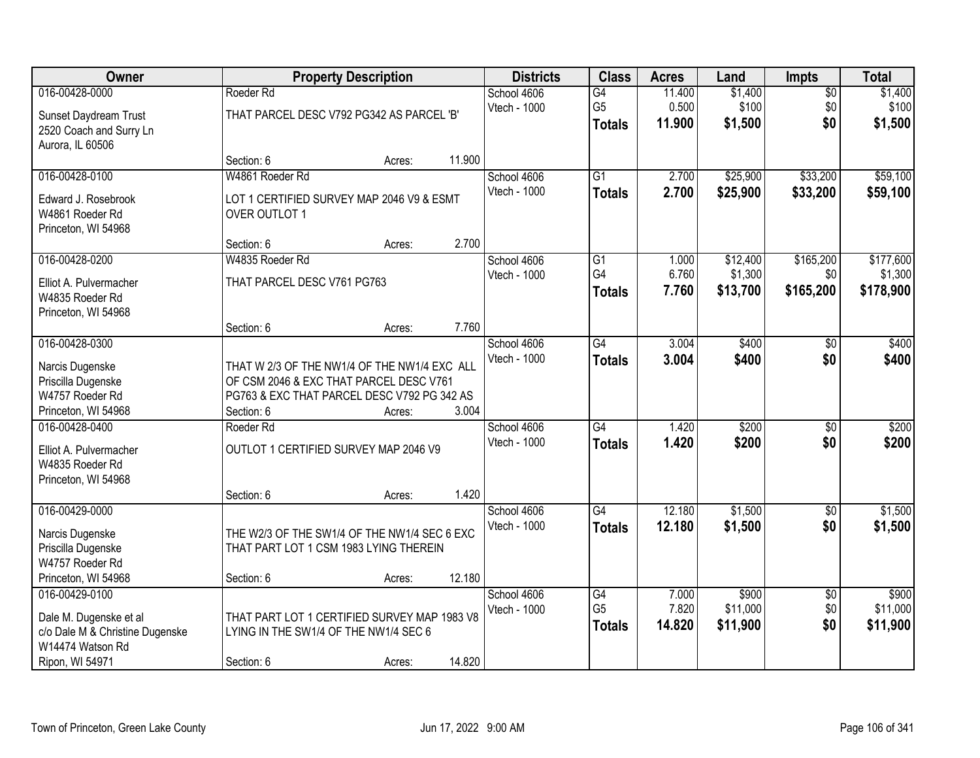| Owner                           |                             | <b>Property Description</b>                  |        | <b>Districts</b> | <b>Class</b>    | <b>Acres</b> | Land     | <b>Impts</b>    | <b>Total</b> |
|---------------------------------|-----------------------------|----------------------------------------------|--------|------------------|-----------------|--------------|----------|-----------------|--------------|
| 016-00428-0000                  | Roeder Rd                   |                                              |        | School 4606      | G4              | 11.400       | \$1,400  | $\overline{50}$ | \$1,400      |
| Sunset Daydream Trust           |                             | THAT PARCEL DESC V792 PG342 AS PARCEL 'B'    |        | Vtech - 1000     | G <sub>5</sub>  | 0.500        | \$100    | \$0             | \$100        |
| 2520 Coach and Surry Ln         |                             |                                              |        |                  | <b>Totals</b>   | 11.900       | \$1,500  | \$0             | \$1,500      |
| Aurora, IL 60506                |                             |                                              |        |                  |                 |              |          |                 |              |
|                                 | Section: 6                  | Acres:                                       | 11.900 |                  |                 |              |          |                 |              |
| 016-00428-0100                  | W4861 Roeder Rd             |                                              |        | School 4606      | $\overline{G1}$ | 2.700        | \$25,900 | \$33,200        | \$59,100     |
| Edward J. Rosebrook             |                             | LOT 1 CERTIFIED SURVEY MAP 2046 V9 & ESMT    |        | Vtech - 1000     | <b>Totals</b>   | 2.700        | \$25,900 | \$33,200        | \$59,100     |
| W4861 Roeder Rd                 | OVER OUTLOT 1               |                                              |        |                  |                 |              |          |                 |              |
| Princeton, WI 54968             |                             |                                              |        |                  |                 |              |          |                 |              |
|                                 | Section: 6                  | Acres:                                       | 2.700  |                  |                 |              |          |                 |              |
| 016-00428-0200                  | W4835 Roeder Rd             |                                              |        | School 4606      | $\overline{G1}$ | 1.000        | \$12,400 | \$165,200       | \$177,600    |
| Elliot A. Pulvermacher          | THAT PARCEL DESC V761 PG763 |                                              |        | Vtech - 1000     | G4              | 6.760        | \$1,300  | \$0             | \$1,300      |
| W4835 Roeder Rd                 |                             |                                              |        |                  | <b>Totals</b>   | 7.760        | \$13,700 | \$165,200       | \$178,900    |
| Princeton, WI 54968             |                             |                                              |        |                  |                 |              |          |                 |              |
|                                 | Section: 6                  | Acres:                                       | 7.760  |                  |                 |              |          |                 |              |
| 016-00428-0300                  |                             |                                              |        | School 4606      | $\overline{G4}$ | 3.004        | \$400    | \$0             | \$400        |
| Narcis Dugenske                 |                             | THAT W 2/3 OF THE NW1/4 OF THE NW1/4 EXC ALL |        | Vtech - 1000     | <b>Totals</b>   | 3.004        | \$400    | \$0             | \$400        |
| Priscilla Dugenske              |                             | OF CSM 2046 & EXC THAT PARCEL DESC V761      |        |                  |                 |              |          |                 |              |
| W4757 Roeder Rd                 |                             | PG763 & EXC THAT PARCEL DESC V792 PG 342 AS  |        |                  |                 |              |          |                 |              |
| Princeton, WI 54968             | Section: 6                  | Acres:                                       | 3.004  |                  |                 |              |          |                 |              |
| 016-00428-0400                  | Roeder Rd                   |                                              |        | School 4606      | $\overline{G4}$ | 1.420        | \$200    | $\overline{30}$ | \$200        |
| Elliot A. Pulvermacher          |                             | OUTLOT 1 CERTIFIED SURVEY MAP 2046 V9        |        | Vtech - 1000     | <b>Totals</b>   | 1.420        | \$200    | \$0             | \$200        |
| W4835 Roeder Rd                 |                             |                                              |        |                  |                 |              |          |                 |              |
| Princeton, WI 54968             |                             |                                              |        |                  |                 |              |          |                 |              |
|                                 | Section: 6                  | Acres:                                       | 1.420  |                  |                 |              |          |                 |              |
| 016-00429-0000                  |                             |                                              |        | School 4606      | G4              | 12.180       | \$1,500  | $\sqrt{$0}$     | \$1,500      |
| Narcis Dugenske                 |                             | THE W2/3 OF THE SW1/4 OF THE NW1/4 SEC 6 EXC |        | Vtech - 1000     | <b>Totals</b>   | 12.180       | \$1,500  | \$0             | \$1,500      |
| Priscilla Dugenske              |                             | THAT PART LOT 1 CSM 1983 LYING THEREIN       |        |                  |                 |              |          |                 |              |
| W4757 Roeder Rd                 |                             |                                              |        |                  |                 |              |          |                 |              |
| Princeton, WI 54968             | Section: 6                  | Acres:                                       | 12.180 |                  |                 |              |          |                 |              |
| 016-00429-0100                  |                             |                                              |        | School 4606      | G4              | 7.000        | \$900    | $\overline{30}$ | \$900        |
| Dale M. Dugenske et al          |                             | THAT PART LOT 1 CERTIFIED SURVEY MAP 1983 V8 |        | Vtech - 1000     | G <sub>5</sub>  | 7.820        | \$11,000 | \$0             | \$11,000     |
| c/o Dale M & Christine Dugenske |                             | LYING IN THE SW1/4 OF THE NW1/4 SEC 6        |        |                  | <b>Totals</b>   | 14.820       | \$11,900 | \$0             | \$11,900     |
| W14474 Watson Rd                |                             |                                              |        |                  |                 |              |          |                 |              |
| Ripon, WI 54971                 | Section: 6                  | Acres:                                       | 14.820 |                  |                 |              |          |                 |              |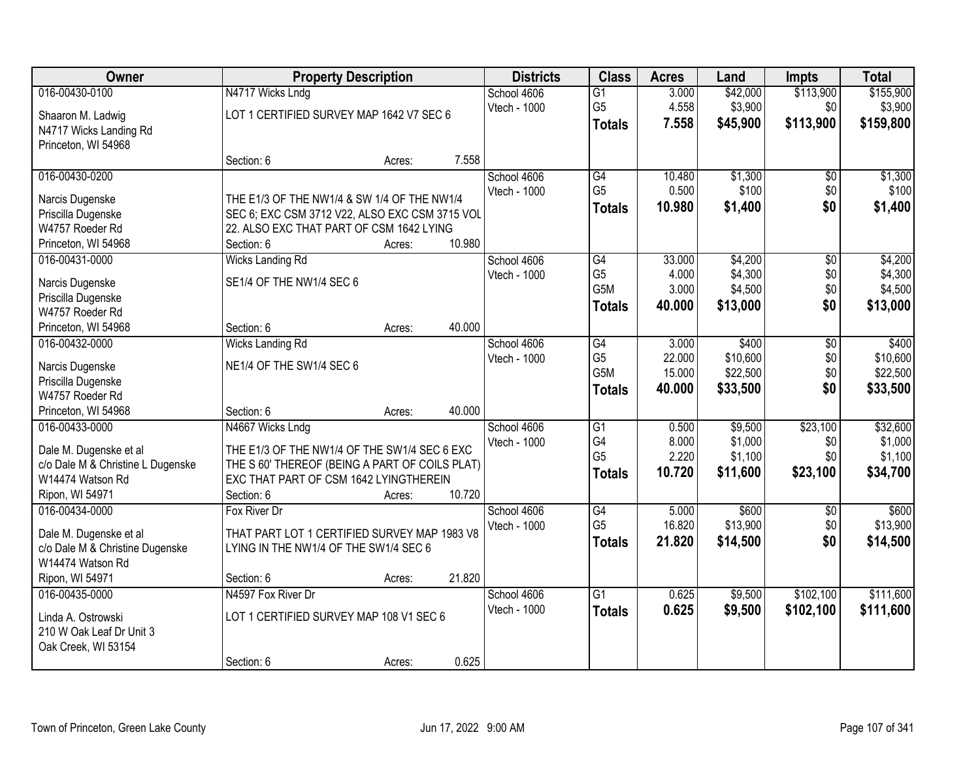| Owner                                                     |                                                | <b>Property Description</b> |        | <b>Districts</b> | <b>Class</b>    | <b>Acres</b> | Land     | <b>Impts</b>    | <b>Total</b> |
|-----------------------------------------------------------|------------------------------------------------|-----------------------------|--------|------------------|-----------------|--------------|----------|-----------------|--------------|
| 016-00430-0100                                            | N4717 Wicks Lndg                               |                             |        | School 4606      | $\overline{G1}$ | 3.000        | \$42,000 | \$113,900       | \$155,900    |
| Shaaron M. Ladwig                                         | LOT 1 CERTIFIED SURVEY MAP 1642 V7 SEC 6       |                             |        | Vtech - 1000     | G <sub>5</sub>  | 4.558        | \$3,900  | \$0             | \$3,900      |
| N4717 Wicks Landing Rd                                    |                                                |                             |        |                  | <b>Totals</b>   | 7.558        | \$45,900 | \$113,900       | \$159,800    |
| Princeton, WI 54968                                       |                                                |                             |        |                  |                 |              |          |                 |              |
|                                                           | Section: 6                                     | Acres:                      | 7.558  |                  |                 |              |          |                 |              |
| 016-00430-0200                                            |                                                |                             |        | School 4606      | G4              | 10.480       | \$1,300  | \$0             | \$1,300      |
| Narcis Dugenske                                           | THE E1/3 OF THE NW1/4 & SW 1/4 OF THE NW1/4    |                             |        | Vtech - 1000     | G <sub>5</sub>  | 0.500        | \$100    | \$0             | \$100        |
| Priscilla Dugenske                                        | SEC 6; EXC CSM 3712 V22, ALSO EXC CSM 3715 VOL |                             |        |                  | <b>Totals</b>   | 10.980       | \$1,400  | \$0             | \$1,400      |
| W4757 Roeder Rd                                           | 22. ALSO EXC THAT PART OF CSM 1642 LYING       |                             |        |                  |                 |              |          |                 |              |
| Princeton, WI 54968                                       | Section: 6                                     | Acres:                      | 10.980 |                  |                 |              |          |                 |              |
| 016-00431-0000                                            | <b>Wicks Landing Rd</b>                        |                             |        | School 4606      | G4              | 33.000       | \$4,200  | \$0             | \$4,200      |
| Narcis Dugenske                                           | SE1/4 OF THE NW1/4 SEC 6                       |                             |        | Vtech - 1000     | G <sub>5</sub>  | 4.000        | \$4,300  | \$0             | \$4,300      |
| Priscilla Dugenske                                        |                                                |                             |        |                  | G5M             | 3.000        | \$4,500  | \$0             | \$4,500      |
| W4757 Roeder Rd                                           |                                                |                             |        |                  | <b>Totals</b>   | 40.000       | \$13,000 | \$0             | \$13,000     |
| Princeton, WI 54968                                       | Section: 6                                     | Acres:                      | 40.000 |                  |                 |              |          |                 |              |
| 016-00432-0000                                            | <b>Wicks Landing Rd</b>                        |                             |        | School 4606      | G4              | 3.000        | \$400    | \$0             | \$400        |
| Narcis Dugenske                                           | NE1/4 OF THE SW1/4 SEC 6                       |                             |        | Vtech - 1000     | G <sub>5</sub>  | 22.000       | \$10,600 | \$0             | \$10,600     |
| Priscilla Dugenske                                        |                                                |                             |        |                  | G5M             | 15.000       | \$22,500 | \$0             | \$22,500     |
| W4757 Roeder Rd                                           |                                                |                             |        |                  | <b>Totals</b>   | 40.000       | \$33,500 | \$0             | \$33,500     |
| Princeton, WI 54968                                       | Section: 6                                     | Acres:                      | 40.000 |                  |                 |              |          |                 |              |
| 016-00433-0000                                            | N4667 Wicks Lndg                               |                             |        | School 4606      | $\overline{G1}$ | 0.500        | \$9,500  | \$23,100        | \$32,600     |
| Dale M. Dugenske et al                                    | THE E1/3 OF THE NW1/4 OF THE SW1/4 SEC 6 EXC   |                             |        | Vtech - 1000     | G4              | 8.000        | \$1,000  | \$0             | \$1,000      |
| c/o Dale M & Christine L Dugenske                         | THE S 60' THEREOF (BEING A PART OF COILS PLAT) |                             |        |                  | G <sub>5</sub>  | 2.220        | \$1,100  | \$0             | \$1,100      |
| W14474 Watson Rd                                          | EXC THAT PART OF CSM 1642 LYINGTHEREIN         |                             |        |                  | <b>Totals</b>   | 10.720       | \$11,600 | \$23,100        | \$34,700     |
| Ripon, WI 54971                                           | Section: 6                                     | Acres:                      | 10.720 |                  |                 |              |          |                 |              |
| 016-00434-0000                                            | Fox River Dr                                   |                             |        | School 4606      | G4              | 5.000        | \$600    | $\overline{50}$ | \$600        |
|                                                           | THAT PART LOT 1 CERTIFIED SURVEY MAP 1983 V8   |                             |        | Vtech - 1000     | G <sub>5</sub>  | 16.820       | \$13,900 | \$0             | \$13,900     |
| Dale M. Dugenske et al<br>c/o Dale M & Christine Dugenske | LYING IN THE NW1/4 OF THE SW1/4 SEC 6          |                             |        |                  | <b>Totals</b>   | 21.820       | \$14,500 | \$0             | \$14,500     |
| W14474 Watson Rd                                          |                                                |                             |        |                  |                 |              |          |                 |              |
| Ripon, WI 54971                                           | Section: 6                                     | Acres:                      | 21.820 |                  |                 |              |          |                 |              |
| 016-00435-0000                                            | N4597 Fox River Dr                             |                             |        | School 4606      | $\overline{G1}$ | 0.625        | \$9,500  | \$102,100       | \$111,600    |
|                                                           |                                                |                             |        | Vtech - 1000     | <b>Totals</b>   | 0.625        | \$9,500  | \$102,100       | \$111,600    |
| Linda A. Ostrowski<br>210 W Oak Leaf Dr Unit 3            | LOT 1 CERTIFIED SURVEY MAP 108 V1 SEC 6        |                             |        |                  |                 |              |          |                 |              |
| Oak Creek, WI 53154                                       |                                                |                             |        |                  |                 |              |          |                 |              |
|                                                           | Section: 6                                     | Acres:                      | 0.625  |                  |                 |              |          |                 |              |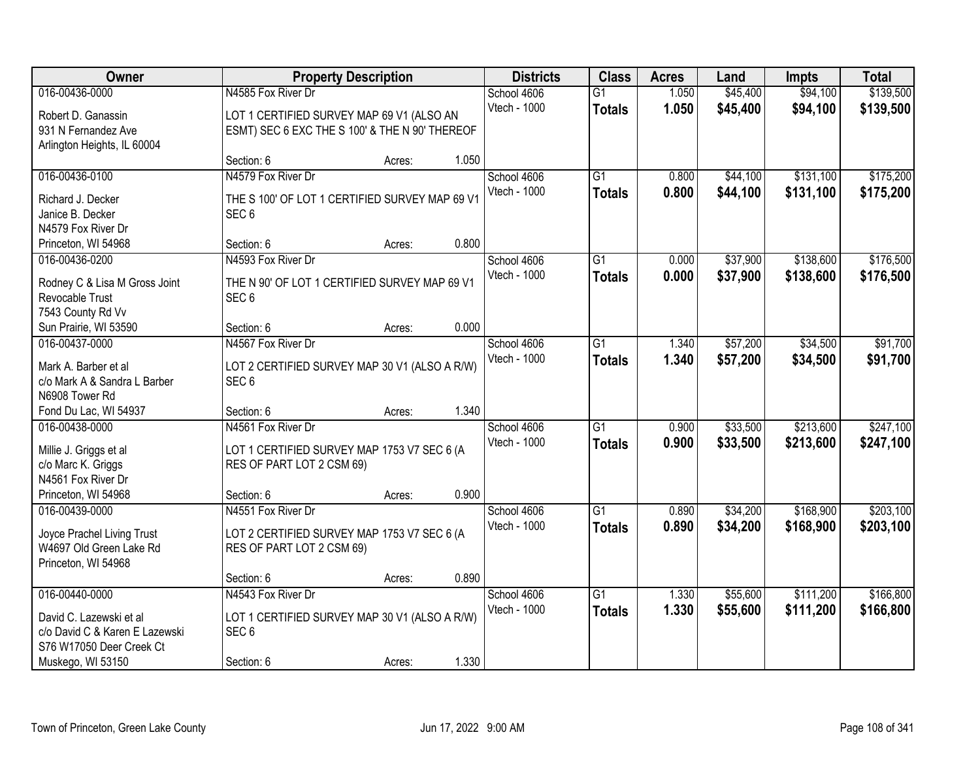| Owner                                                | <b>Property Description</b>                                       |        |       | <b>Districts</b>            | <b>Class</b>    | <b>Acres</b> | Land     | <b>Impts</b> | <b>Total</b> |
|------------------------------------------------------|-------------------------------------------------------------------|--------|-------|-----------------------------|-----------------|--------------|----------|--------------|--------------|
| 016-00436-0000                                       | N4585 Fox River Dr                                                |        |       | School 4606                 | $\overline{G1}$ | 1.050        | \$45,400 | \$94,100     | \$139,500    |
| Robert D. Ganassin                                   | LOT 1 CERTIFIED SURVEY MAP 69 V1 (ALSO AN                         |        |       | Vtech - 1000                | <b>Totals</b>   | 1.050        | \$45,400 | \$94,100     | \$139,500    |
| 931 N Fernandez Ave                                  | ESMT) SEC 6 EXC THE S 100' & THE N 90' THEREOF                    |        |       |                             |                 |              |          |              |              |
| Arlington Heights, IL 60004                          |                                                                   |        |       |                             |                 |              |          |              |              |
|                                                      | Section: 6                                                        | Acres: | 1.050 |                             |                 |              |          |              |              |
| 016-00436-0100                                       | N4579 Fox River Dr                                                |        |       | School 4606                 | $\overline{G1}$ | 0.800        | \$44,100 | \$131,100    | \$175,200    |
| Richard J. Decker                                    | THE S 100' OF LOT 1 CERTIFIED SURVEY MAP 69 V1                    |        |       | Vtech - 1000                | <b>Totals</b>   | 0.800        | \$44,100 | \$131,100    | \$175,200    |
| Janice B. Decker                                     | SEC <sub>6</sub>                                                  |        |       |                             |                 |              |          |              |              |
| N4579 Fox River Dr                                   |                                                                   |        |       |                             |                 |              |          |              |              |
| Princeton, WI 54968                                  | Section: 6                                                        | Acres: | 0.800 |                             |                 |              |          |              |              |
| 016-00436-0200                                       | N4593 Fox River Dr                                                |        |       | School 4606                 | $\overline{G1}$ | 0.000        | \$37,900 | \$138,600    | \$176,500    |
| Rodney C & Lisa M Gross Joint                        | THE N 90' OF LOT 1 CERTIFIED SURVEY MAP 69 V1                     |        |       | Vtech - 1000                | <b>Totals</b>   | 0.000        | \$37,900 | \$138,600    | \$176,500    |
| Revocable Trust                                      | SEC <sub>6</sub>                                                  |        |       |                             |                 |              |          |              |              |
| 7543 County Rd Vv                                    |                                                                   |        |       |                             |                 |              |          |              |              |
| Sun Prairie, WI 53590                                | Section: 6                                                        | Acres: | 0.000 |                             |                 |              |          |              |              |
| 016-00437-0000                                       | N4567 Fox River Dr                                                |        |       | School 4606                 | $\overline{G1}$ | 1.340        | \$57,200 | \$34,500     | \$91,700     |
|                                                      |                                                                   |        |       | Vtech - 1000                | <b>Totals</b>   | 1.340        | \$57,200 | \$34,500     | \$91,700     |
| Mark A. Barber et al<br>c/o Mark A & Sandra L Barber | LOT 2 CERTIFIED SURVEY MAP 30 V1 (ALSO A R/W)<br>SEC <sub>6</sub> |        |       |                             |                 |              |          |              |              |
| N6908 Tower Rd                                       |                                                                   |        |       |                             |                 |              |          |              |              |
| Fond Du Lac, WI 54937                                | Section: 6                                                        | Acres: | 1.340 |                             |                 |              |          |              |              |
| 016-00438-0000                                       | N4561 Fox River Dr                                                |        |       | School 4606                 | $\overline{G1}$ | 0.900        | \$33,500 | \$213,600    | \$247,100    |
|                                                      |                                                                   |        |       | Vtech - 1000                | <b>Totals</b>   | 0.900        | \$33,500 | \$213,600    | \$247,100    |
| Millie J. Griggs et al                               | LOT 1 CERTIFIED SURVEY MAP 1753 V7 SEC 6 (A                       |        |       |                             |                 |              |          |              |              |
| c/o Marc K. Griggs<br>N4561 Fox River Dr             | RES OF PART LOT 2 CSM 69)                                         |        |       |                             |                 |              |          |              |              |
| Princeton, WI 54968                                  | Section: 6                                                        | Acres: | 0.900 |                             |                 |              |          |              |              |
| 016-00439-0000                                       | N4551 Fox River Dr                                                |        |       | School 4606                 | $\overline{G1}$ | 0.890        | \$34,200 | \$168,900    | \$203,100    |
|                                                      |                                                                   |        |       | Vtech - 1000                | <b>Totals</b>   | 0.890        | \$34,200 | \$168,900    | \$203,100    |
| Joyce Prachel Living Trust                           | LOT 2 CERTIFIED SURVEY MAP 1753 V7 SEC 6 (A                       |        |       |                             |                 |              |          |              |              |
| W4697 Old Green Lake Rd                              | RES OF PART LOT 2 CSM 69)                                         |        |       |                             |                 |              |          |              |              |
| Princeton, WI 54968                                  |                                                                   |        | 0.890 |                             |                 |              |          |              |              |
| 016-00440-0000                                       | Section: 6<br>N4543 Fox River Dr                                  | Acres: |       |                             | $\overline{G1}$ | 1.330        | \$55,600 | \$111,200    | \$166,800    |
|                                                      |                                                                   |        |       | School 4606<br>Vtech - 1000 |                 | 1.330        |          |              |              |
| David C. Lazewski et al                              | LOT 1 CERTIFIED SURVEY MAP 30 V1 (ALSO A R/W)                     |        |       |                             | <b>Totals</b>   |              | \$55,600 | \$111,200    | \$166,800    |
| c/o David C & Karen E Lazewski                       | SEC <sub>6</sub>                                                  |        |       |                             |                 |              |          |              |              |
| S76 W17050 Deer Creek Ct                             |                                                                   |        |       |                             |                 |              |          |              |              |
| Muskego, WI 53150                                    | Section: 6                                                        | Acres: | 1.330 |                             |                 |              |          |              |              |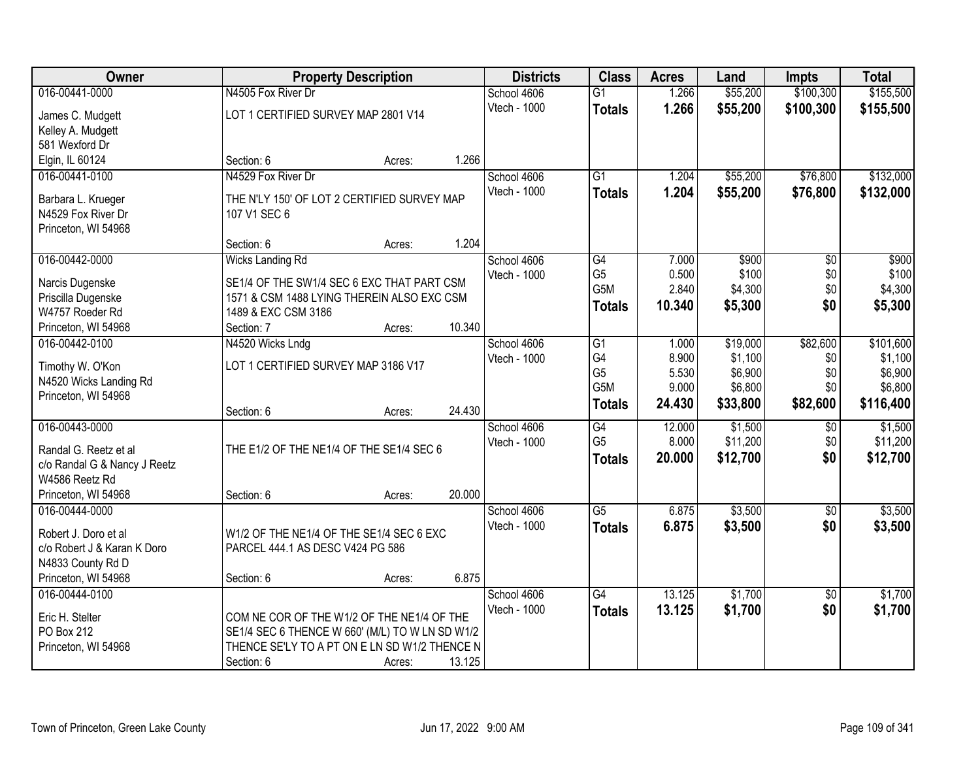| Owner                                                 |                                                 | <b>Property Description</b> |        | <b>Districts</b> | <b>Class</b>     | <b>Acres</b> | Land     | <b>Impts</b>    | <b>Total</b> |
|-------------------------------------------------------|-------------------------------------------------|-----------------------------|--------|------------------|------------------|--------------|----------|-----------------|--------------|
| 016-00441-0000                                        | N4505 Fox River Dr                              |                             |        | School 4606      | $\overline{G1}$  | 1.266        | \$55,200 | \$100,300       | \$155,500    |
| James C. Mudgett                                      | LOT 1 CERTIFIED SURVEY MAP 2801 V14             |                             |        | Vtech - 1000     | <b>Totals</b>    | 1.266        | \$55,200 | \$100,300       | \$155,500    |
| Kelley A. Mudgett                                     |                                                 |                             |        |                  |                  |              |          |                 |              |
| 581 Wexford Dr                                        |                                                 |                             |        |                  |                  |              |          |                 |              |
| Elgin, IL 60124                                       | Section: 6                                      | Acres:                      | 1.266  |                  |                  |              |          |                 |              |
| 016-00441-0100                                        | N4529 Fox River Dr                              |                             |        | School 4606      | $\overline{G1}$  | 1.204        | \$55,200 | \$76,800        | \$132,000    |
| Barbara L. Krueger                                    | THE N'LY 150' OF LOT 2 CERTIFIED SURVEY MAP     |                             |        | Vtech - 1000     | <b>Totals</b>    | 1.204        | \$55,200 | \$76,800        | \$132,000    |
| N4529 Fox River Dr                                    | 107 V1 SEC 6                                    |                             |        |                  |                  |              |          |                 |              |
| Princeton, WI 54968                                   |                                                 |                             |        |                  |                  |              |          |                 |              |
|                                                       | Section: 6                                      | Acres:                      | 1.204  |                  |                  |              |          |                 |              |
| 016-00442-0000                                        | <b>Wicks Landing Rd</b>                         |                             |        | School 4606      | G4               | 7.000        | \$900    | $\overline{50}$ | \$900        |
| Narcis Dugenske                                       | SE1/4 OF THE SW1/4 SEC 6 EXC THAT PART CSM      |                             |        | Vtech - 1000     | G <sub>5</sub>   | 0.500        | \$100    | \$0             | \$100        |
| Priscilla Dugenske                                    | 1571 & CSM 1488 LYING THEREIN ALSO EXC CSM      |                             |        |                  | G <sub>5</sub> M | 2.840        | \$4,300  | \$0             | \$4,300      |
| W4757 Roeder Rd                                       | 1489 & EXC CSM 3186                             |                             |        |                  | <b>Totals</b>    | 10.340       | \$5,300  | \$0             | \$5,300      |
| Princeton, WI 54968                                   | Section: 7                                      | Acres:                      | 10.340 |                  |                  |              |          |                 |              |
| 016-00442-0100                                        | N4520 Wicks Lndg                                |                             |        | School 4606      | G1               | 1.000        | \$19,000 | \$82,600        | \$101,600    |
|                                                       |                                                 |                             |        | Vtech - 1000     | G4               | 8.900        | \$1,100  | \$0             | \$1,100      |
| Timothy W. O'Kon<br>N4520 Wicks Landing Rd            | LOT 1 CERTIFIED SURVEY MAP 3186 V17             |                             |        |                  | G <sub>5</sub>   | 5.530        | \$6,900  | \$0             | \$6,900      |
| Princeton, WI 54968                                   |                                                 |                             |        |                  | G5M              | 9.000        | \$6,800  | \$0             | \$6,800      |
|                                                       | Section: 6                                      | Acres:                      | 24.430 |                  | <b>Totals</b>    | 24.430       | \$33,800 | \$82,600        | \$116,400    |
| 016-00443-0000                                        |                                                 |                             |        | School 4606      | $\overline{G4}$  | 12.000       | \$1,500  | \$0             | \$1,500      |
|                                                       |                                                 |                             |        | Vtech - 1000     | G <sub>5</sub>   | 8.000        | \$11,200 | \$0             | \$11,200     |
| Randal G. Reetz et al<br>c/o Randal G & Nancy J Reetz | THE E1/2 OF THE NE1/4 OF THE SE1/4 SEC 6        |                             |        |                  | <b>Totals</b>    | 20.000       | \$12,700 | \$0             | \$12,700     |
| W4586 Reetz Rd                                        |                                                 |                             |        |                  |                  |              |          |                 |              |
| Princeton, WI 54968                                   | Section: 6                                      | Acres:                      | 20.000 |                  |                  |              |          |                 |              |
| 016-00444-0000                                        |                                                 |                             |        | School 4606      | $\overline{G5}$  | 6.875        | \$3,500  | $\overline{50}$ | \$3,500      |
|                                                       |                                                 |                             |        | Vtech - 1000     | <b>Totals</b>    | 6.875        | \$3,500  | \$0             | \$3,500      |
| Robert J. Doro et al                                  | W1/2 OF THE NE1/4 OF THE SE1/4 SEC 6 EXC        |                             |        |                  |                  |              |          |                 |              |
| c/o Robert J & Karan K Doro                           | PARCEL 444.1 AS DESC V424 PG 586                |                             |        |                  |                  |              |          |                 |              |
| N4833 County Rd D<br>Princeton, WI 54968              | Section: 6                                      | Acres:                      | 6.875  |                  |                  |              |          |                 |              |
| 016-00444-0100                                        |                                                 |                             |        | School 4606      | G4               | 13.125       | \$1,700  | $\overline{30}$ | \$1,700      |
|                                                       |                                                 |                             |        | Vtech - 1000     | <b>Totals</b>    | 13.125       | \$1,700  | \$0             | \$1,700      |
| Eric H. Stelter                                       | COM NE COR OF THE W1/2 OF THE NE1/4 OF THE      |                             |        |                  |                  |              |          |                 |              |
| PO Box 212                                            | SE1/4 SEC 6 THENCE W 660' (M/L) TO W LN SD W1/2 |                             |        |                  |                  |              |          |                 |              |
| Princeton, WI 54968                                   | THENCE SE'LY TO A PT ON E LN SD W1/2 THENCE N   |                             |        |                  |                  |              |          |                 |              |
|                                                       | Section: 6                                      | Acres:                      | 13.125 |                  |                  |              |          |                 |              |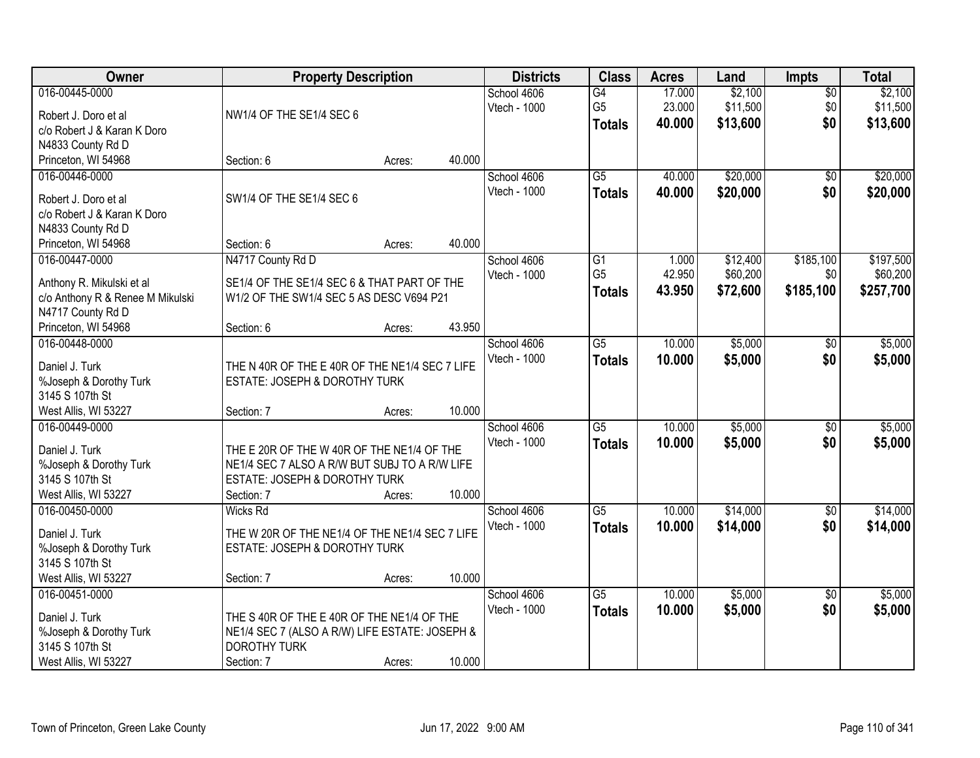| Owner                                     | <b>Property Description</b>                                                     |        |        | <b>Districts</b> | <b>Class</b>    | <b>Acres</b> | Land     | <b>Impts</b>           | <b>Total</b> |
|-------------------------------------------|---------------------------------------------------------------------------------|--------|--------|------------------|-----------------|--------------|----------|------------------------|--------------|
| 016-00445-0000                            |                                                                                 |        |        | School 4606      | G4              | 17.000       | \$2,100  | $\overline{50}$        | \$2,100      |
| Robert J. Doro et al                      | NW1/4 OF THE SE1/4 SEC 6                                                        |        |        | Vtech - 1000     | G <sub>5</sub>  | 23.000       | \$11,500 | \$0                    | \$11,500     |
| c/o Robert J & Karan K Doro               |                                                                                 |        |        |                  | <b>Totals</b>   | 40.000       | \$13,600 | \$0                    | \$13,600     |
| N4833 County Rd D                         |                                                                                 |        |        |                  |                 |              |          |                        |              |
| Princeton, WI 54968                       | Section: 6                                                                      | Acres: | 40.000 |                  |                 |              |          |                        |              |
| 016-00446-0000                            |                                                                                 |        |        | School 4606      | $\overline{G5}$ | 40.000       | \$20,000 | $\overline{50}$        | \$20,000     |
| Robert J. Doro et al                      | SW1/4 OF THE SE1/4 SEC 6                                                        |        |        | Vtech - 1000     | <b>Totals</b>   | 40.000       | \$20,000 | \$0                    | \$20,000     |
| c/o Robert J & Karan K Doro               |                                                                                 |        |        |                  |                 |              |          |                        |              |
| N4833 County Rd D                         |                                                                                 |        |        |                  |                 |              |          |                        |              |
| Princeton, WI 54968                       | Section: 6                                                                      | Acres: | 40.000 |                  |                 |              |          |                        |              |
| 016-00447-0000                            | N4717 County Rd D                                                               |        |        | School 4606      | $\overline{G1}$ | 1.000        | \$12,400 | \$185,100              | \$197,500    |
| Anthony R. Mikulski et al                 | SE1/4 OF THE SE1/4 SEC 6 & THAT PART OF THE                                     |        |        | Vtech - 1000     | G <sub>5</sub>  | 42.950       | \$60,200 | \$0                    | \$60,200     |
| c/o Anthony R & Renee M Mikulski          | W1/2 OF THE SW1/4 SEC 5 AS DESC V694 P21                                        |        |        |                  | <b>Totals</b>   | 43.950       | \$72,600 | \$185,100              | \$257,700    |
| N4717 County Rd D                         |                                                                                 |        |        |                  |                 |              |          |                        |              |
| Princeton, WI 54968                       | Section: 6                                                                      | Acres: | 43.950 |                  |                 |              |          |                        |              |
| 016-00448-0000                            |                                                                                 |        |        | School 4606      | $\overline{G5}$ | 10.000       | \$5,000  | $\sqrt{6}$             | \$5,000      |
|                                           |                                                                                 |        |        | Vtech - 1000     | <b>Totals</b>   | 10.000       | \$5,000  | \$0                    | \$5,000      |
| Daniel J. Turk<br>%Joseph & Dorothy Turk  | THE N 40R OF THE E 40R OF THE NE1/4 SEC 7 LIFE<br>ESTATE: JOSEPH & DOROTHY TURK |        |        |                  |                 |              |          |                        |              |
| 3145 S 107th St                           |                                                                                 |        |        |                  |                 |              |          |                        |              |
| West Allis, WI 53227                      | Section: 7                                                                      | Acres: | 10.000 |                  |                 |              |          |                        |              |
| 016-00449-0000                            |                                                                                 |        |        | School 4606      | $\overline{G5}$ | 10.000       | \$5,000  | \$0                    | \$5,000      |
|                                           |                                                                                 |        |        | Vtech - 1000     | <b>Totals</b>   | 10.000       | \$5,000  | \$0                    | \$5,000      |
| Daniel J. Turk                            | THE E 20R OF THE W 40R OF THE NE1/4 OF THE                                      |        |        |                  |                 |              |          |                        |              |
| %Joseph & Dorothy Turk<br>3145 S 107th St | NE1/4 SEC 7 ALSO A R/W BUT SUBJ TO A R/W LIFE<br>ESTATE: JOSEPH & DOROTHY TURK  |        |        |                  |                 |              |          |                        |              |
| West Allis, WI 53227                      | Section: 7                                                                      | Acres: | 10.000 |                  |                 |              |          |                        |              |
| 016-00450-0000                            | <b>Wicks Rd</b>                                                                 |        |        | School 4606      | $\overline{G5}$ | 10.000       | \$14,000 | $\overline{60}$        | \$14,000     |
|                                           |                                                                                 |        |        | Vtech - 1000     | <b>Totals</b>   | 10.000       | \$14,000 | \$0                    | \$14,000     |
| Daniel J. Turk                            | THE W 20R OF THE NE1/4 OF THE NE1/4 SEC 7 LIFE                                  |        |        |                  |                 |              |          |                        |              |
| %Joseph & Dorothy Turk                    | ESTATE: JOSEPH & DOROTHY TURK                                                   |        |        |                  |                 |              |          |                        |              |
| 3145 S 107th St                           |                                                                                 |        | 10.000 |                  |                 |              |          |                        |              |
| West Allis, WI 53227<br>016-00451-0000    | Section: 7                                                                      | Acres: |        | School 4606      | $\overline{G5}$ | 10.000       | \$5,000  |                        | \$5,000      |
|                                           |                                                                                 |        |        | Vtech - 1000     |                 | 10.000       | \$5,000  | $\overline{30}$<br>\$0 |              |
| Daniel J. Turk                            | THE S 40R OF THE E 40R OF THE NE1/4 OF THE                                      |        |        |                  | <b>Totals</b>   |              |          |                        | \$5,000      |
| %Joseph & Dorothy Turk                    | NE1/4 SEC 7 (ALSO A R/W) LIFE ESTATE: JOSEPH &                                  |        |        |                  |                 |              |          |                        |              |
| 3145 S 107th St                           | <b>DOROTHY TURK</b>                                                             |        |        |                  |                 |              |          |                        |              |
| West Allis, WI 53227                      | Section: 7                                                                      | Acres: | 10.000 |                  |                 |              |          |                        |              |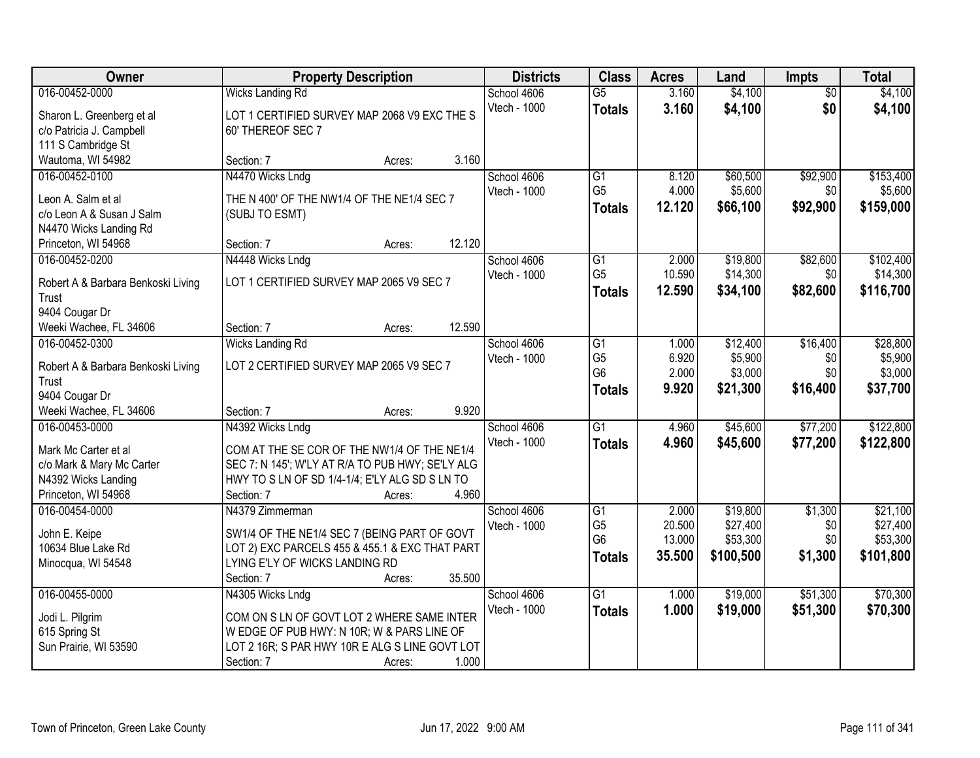| 016-00452-0000<br>$\overline{G5}$<br>3.160<br>\$4,100<br>\$4,100<br><b>Wicks Landing Rd</b><br>School 4606<br>$\overline{50}$<br>3.160<br>\$0<br>Vtech - 1000<br>\$4,100<br>\$4,100<br><b>Totals</b><br>LOT 1 CERTIFIED SURVEY MAP 2068 V9 EXC THE S<br>Sharon L. Greenberg et al<br>c/o Patricia J. Campbell<br>60' THEREOF SEC 7<br>111 S Cambridge St<br>Wautoma, WI 54982<br>3.160<br>Section: 7<br>Acres:<br>\$92,900<br>016-00452-0100<br>N4470 Wicks Lndg<br>$\overline{G1}$<br>\$60,500<br>School 4606<br>8.120<br>G <sub>5</sub><br>4.000<br>\$5,600<br>Vtech - 1000<br>\$0<br>Leon A. Salm et al<br>THE N 400' OF THE NW1/4 OF THE NE1/4 SEC 7<br>12.120<br>\$66,100<br>\$92,900<br><b>Totals</b><br>c/o Leon A & Susan J Salm<br>(SUBJ TO ESMT)<br>N4470 Wicks Landing Rd<br>12.120<br>Princeton, WI 54968<br>Section: 7<br>Acres:<br>\$19,800<br>\$82,600<br>016-00452-0200<br>N4448 Wicks Lndg<br>$\overline{G1}$<br>2.000<br>School 4606<br>G <sub>5</sub><br>10.590<br>\$14,300<br>\$0<br>Vtech - 1000<br>LOT 1 CERTIFIED SURVEY MAP 2065 V9 SEC 7<br>Robert A & Barbara Benkoski Living<br>12.590<br>\$82,600<br>\$34,100<br><b>Totals</b><br>Trust<br>9404 Cougar Dr<br>12.590<br>Weeki Wachee, FL 34606<br>Section: 7<br>Acres:<br>\$12,400<br>\$16,400<br>\$28,800<br>016-00452-0300<br><b>Wicks Landing Rd</b><br>School 4606<br>G1<br>1.000<br>G <sub>5</sub><br>6.920<br>\$5,900<br>\$0<br>Vtech - 1000<br>LOT 2 CERTIFIED SURVEY MAP 2065 V9 SEC 7<br>Robert A & Barbara Benkoski Living<br>G <sub>6</sub><br>2.000<br>\$0<br>\$3,000<br>Trust<br>\$16,400<br>9.920<br>\$21,300<br><b>Totals</b><br>9404 Cougar Dr<br>9.920<br>Weeki Wachee, FL 34606<br>Section: 7<br>Acres:<br>$\overline{G1}$<br>\$45,600<br>\$77,200<br>016-00453-0000<br>4.960<br>N4392 Wicks Lndg<br>School 4606<br>Vtech - 1000<br>4.960<br>\$45,600<br>\$77,200<br><b>Totals</b><br>COM AT THE SE COR OF THE NW1/4 OF THE NE1/4<br>Mark Mc Carter et al<br>c/o Mark & Mary Mc Carter<br>SEC 7: N 145'; W'LY AT R/A TO PUB HWY; SE'LY ALG<br>N4392 Wicks Landing<br>HWY TO S LN OF SD 1/4-1/4; E'LY ALG SD S LN TO<br>Princeton, WI 54968<br>4.960<br>Section: 7<br>Acres:<br>\$19,800<br>\$1,300<br>016-00454-0000<br>N4379 Zimmerman<br>School 4606<br>$\overline{G1}$<br>2.000<br>\$27,400<br>G <sub>5</sub><br>20.500<br>\$0<br>Vtech - 1000<br>SW1/4 OF THE NE1/4 SEC 7 (BEING PART OF GOVT<br>John E. Keipe<br>G <sub>6</sub><br>13.000<br>\$53,300<br>\$0<br>10634 Blue Lake Rd<br>LOT 2) EXC PARCELS 455 & 455.1 & EXC THAT PART<br>35.500<br>\$100,500<br>\$1,300<br><b>Totals</b><br>LYING E'LY OF WICKS LANDING RD<br>Minocqua, WI 54548<br>35.500<br>Section: 7<br>Acres:<br>\$19,000<br>\$51,300<br>016-00455-0000<br>$\overline{G1}$<br>N4305 Wicks Lndg<br>School 4606<br>1.000<br>1.000<br>\$19,000<br>\$51,300<br>Vtech - 1000<br><b>Totals</b><br>COM ON S LN OF GOVT LOT 2 WHERE SAME INTER<br>Jodi L. Pilgrim<br>615 Spring St<br>WEDGE OF PUB HWY: N 10R; W & PARS LINE OF<br>Sun Prairie, WI 53590<br>LOT 2 16R; S PAR HWY 10R E ALG S LINE GOVT LOT | Owner | <b>Property Description</b> |       | <b>Districts</b> | <b>Class</b> | <b>Acres</b> | Land | Impts | <b>Total</b> |
|--------------------------------------------------------------------------------------------------------------------------------------------------------------------------------------------------------------------------------------------------------------------------------------------------------------------------------------------------------------------------------------------------------------------------------------------------------------------------------------------------------------------------------------------------------------------------------------------------------------------------------------------------------------------------------------------------------------------------------------------------------------------------------------------------------------------------------------------------------------------------------------------------------------------------------------------------------------------------------------------------------------------------------------------------------------------------------------------------------------------------------------------------------------------------------------------------------------------------------------------------------------------------------------------------------------------------------------------------------------------------------------------------------------------------------------------------------------------------------------------------------------------------------------------------------------------------------------------------------------------------------------------------------------------------------------------------------------------------------------------------------------------------------------------------------------------------------------------------------------------------------------------------------------------------------------------------------------------------------------------------------------------------------------------------------------------------------------------------------------------------------------------------------------------------------------------------------------------------------------------------------------------------------------------------------------------------------------------------------------------------------------------------------------------------------------------------------------------------------------------------------------------------------------------------------------------------------------------------------------------------------------------------------------------------------------------------------------------------------------------------------------------------------------------------------------------------------------------------------------------------------------------------------------------------------------------------------------------------------------------------------------------------------------------------------------------------|-------|-----------------------------|-------|------------------|--------------|--------------|------|-------|--------------|
|                                                                                                                                                                                                                                                                                                                                                                                                                                                                                                                                                                                                                                                                                                                                                                                                                                                                                                                                                                                                                                                                                                                                                                                                                                                                                                                                                                                                                                                                                                                                                                                                                                                                                                                                                                                                                                                                                                                                                                                                                                                                                                                                                                                                                                                                                                                                                                                                                                                                                                                                                                                                                                                                                                                                                                                                                                                                                                                                                                                                                                                                          |       |                             |       |                  |              |              |      |       |              |
|                                                                                                                                                                                                                                                                                                                                                                                                                                                                                                                                                                                                                                                                                                                                                                                                                                                                                                                                                                                                                                                                                                                                                                                                                                                                                                                                                                                                                                                                                                                                                                                                                                                                                                                                                                                                                                                                                                                                                                                                                                                                                                                                                                                                                                                                                                                                                                                                                                                                                                                                                                                                                                                                                                                                                                                                                                                                                                                                                                                                                                                                          |       |                             |       |                  |              |              |      |       |              |
| \$5,600<br>\$159,000<br>\$116,700<br>\$37,700<br>\$122,800<br>\$101,800<br>\$70,300<br>\$70,300                                                                                                                                                                                                                                                                                                                                                                                                                                                                                                                                                                                                                                                                                                                                                                                                                                                                                                                                                                                                                                                                                                                                                                                                                                                                                                                                                                                                                                                                                                                                                                                                                                                                                                                                                                                                                                                                                                                                                                                                                                                                                                                                                                                                                                                                                                                                                                                                                                                                                                                                                                                                                                                                                                                                                                                                                                                                                                                                                                          |       |                             |       |                  |              |              |      |       |              |
|                                                                                                                                                                                                                                                                                                                                                                                                                                                                                                                                                                                                                                                                                                                                                                                                                                                                                                                                                                                                                                                                                                                                                                                                                                                                                                                                                                                                                                                                                                                                                                                                                                                                                                                                                                                                                                                                                                                                                                                                                                                                                                                                                                                                                                                                                                                                                                                                                                                                                                                                                                                                                                                                                                                                                                                                                                                                                                                                                                                                                                                                          |       |                             |       |                  |              |              |      |       |              |
|                                                                                                                                                                                                                                                                                                                                                                                                                                                                                                                                                                                                                                                                                                                                                                                                                                                                                                                                                                                                                                                                                                                                                                                                                                                                                                                                                                                                                                                                                                                                                                                                                                                                                                                                                                                                                                                                                                                                                                                                                                                                                                                                                                                                                                                                                                                                                                                                                                                                                                                                                                                                                                                                                                                                                                                                                                                                                                                                                                                                                                                                          |       |                             |       |                  |              |              |      |       |              |
| \$102,400<br>\$14,300<br>\$5,900<br>\$3,000<br>\$122,800<br>\$21,100<br>\$27,400<br>\$53,300                                                                                                                                                                                                                                                                                                                                                                                                                                                                                                                                                                                                                                                                                                                                                                                                                                                                                                                                                                                                                                                                                                                                                                                                                                                                                                                                                                                                                                                                                                                                                                                                                                                                                                                                                                                                                                                                                                                                                                                                                                                                                                                                                                                                                                                                                                                                                                                                                                                                                                                                                                                                                                                                                                                                                                                                                                                                                                                                                                             |       |                             |       |                  |              |              |      |       | \$153,400    |
|                                                                                                                                                                                                                                                                                                                                                                                                                                                                                                                                                                                                                                                                                                                                                                                                                                                                                                                                                                                                                                                                                                                                                                                                                                                                                                                                                                                                                                                                                                                                                                                                                                                                                                                                                                                                                                                                                                                                                                                                                                                                                                                                                                                                                                                                                                                                                                                                                                                                                                                                                                                                                                                                                                                                                                                                                                                                                                                                                                                                                                                                          |       |                             |       |                  |              |              |      |       |              |
|                                                                                                                                                                                                                                                                                                                                                                                                                                                                                                                                                                                                                                                                                                                                                                                                                                                                                                                                                                                                                                                                                                                                                                                                                                                                                                                                                                                                                                                                                                                                                                                                                                                                                                                                                                                                                                                                                                                                                                                                                                                                                                                                                                                                                                                                                                                                                                                                                                                                                                                                                                                                                                                                                                                                                                                                                                                                                                                                                                                                                                                                          |       |                             |       |                  |              |              |      |       |              |
|                                                                                                                                                                                                                                                                                                                                                                                                                                                                                                                                                                                                                                                                                                                                                                                                                                                                                                                                                                                                                                                                                                                                                                                                                                                                                                                                                                                                                                                                                                                                                                                                                                                                                                                                                                                                                                                                                                                                                                                                                                                                                                                                                                                                                                                                                                                                                                                                                                                                                                                                                                                                                                                                                                                                                                                                                                                                                                                                                                                                                                                                          |       |                             |       |                  |              |              |      |       |              |
|                                                                                                                                                                                                                                                                                                                                                                                                                                                                                                                                                                                                                                                                                                                                                                                                                                                                                                                                                                                                                                                                                                                                                                                                                                                                                                                                                                                                                                                                                                                                                                                                                                                                                                                                                                                                                                                                                                                                                                                                                                                                                                                                                                                                                                                                                                                                                                                                                                                                                                                                                                                                                                                                                                                                                                                                                                                                                                                                                                                                                                                                          |       |                             |       |                  |              |              |      |       |              |
|                                                                                                                                                                                                                                                                                                                                                                                                                                                                                                                                                                                                                                                                                                                                                                                                                                                                                                                                                                                                                                                                                                                                                                                                                                                                                                                                                                                                                                                                                                                                                                                                                                                                                                                                                                                                                                                                                                                                                                                                                                                                                                                                                                                                                                                                                                                                                                                                                                                                                                                                                                                                                                                                                                                                                                                                                                                                                                                                                                                                                                                                          |       |                             |       |                  |              |              |      |       |              |
|                                                                                                                                                                                                                                                                                                                                                                                                                                                                                                                                                                                                                                                                                                                                                                                                                                                                                                                                                                                                                                                                                                                                                                                                                                                                                                                                                                                                                                                                                                                                                                                                                                                                                                                                                                                                                                                                                                                                                                                                                                                                                                                                                                                                                                                                                                                                                                                                                                                                                                                                                                                                                                                                                                                                                                                                                                                                                                                                                                                                                                                                          |       |                             |       |                  |              |              |      |       |              |
|                                                                                                                                                                                                                                                                                                                                                                                                                                                                                                                                                                                                                                                                                                                                                                                                                                                                                                                                                                                                                                                                                                                                                                                                                                                                                                                                                                                                                                                                                                                                                                                                                                                                                                                                                                                                                                                                                                                                                                                                                                                                                                                                                                                                                                                                                                                                                                                                                                                                                                                                                                                                                                                                                                                                                                                                                                                                                                                                                                                                                                                                          |       |                             |       |                  |              |              |      |       |              |
|                                                                                                                                                                                                                                                                                                                                                                                                                                                                                                                                                                                                                                                                                                                                                                                                                                                                                                                                                                                                                                                                                                                                                                                                                                                                                                                                                                                                                                                                                                                                                                                                                                                                                                                                                                                                                                                                                                                                                                                                                                                                                                                                                                                                                                                                                                                                                                                                                                                                                                                                                                                                                                                                                                                                                                                                                                                                                                                                                                                                                                                                          |       |                             |       |                  |              |              |      |       |              |
|                                                                                                                                                                                                                                                                                                                                                                                                                                                                                                                                                                                                                                                                                                                                                                                                                                                                                                                                                                                                                                                                                                                                                                                                                                                                                                                                                                                                                                                                                                                                                                                                                                                                                                                                                                                                                                                                                                                                                                                                                                                                                                                                                                                                                                                                                                                                                                                                                                                                                                                                                                                                                                                                                                                                                                                                                                                                                                                                                                                                                                                                          |       |                             |       |                  |              |              |      |       |              |
|                                                                                                                                                                                                                                                                                                                                                                                                                                                                                                                                                                                                                                                                                                                                                                                                                                                                                                                                                                                                                                                                                                                                                                                                                                                                                                                                                                                                                                                                                                                                                                                                                                                                                                                                                                                                                                                                                                                                                                                                                                                                                                                                                                                                                                                                                                                                                                                                                                                                                                                                                                                                                                                                                                                                                                                                                                                                                                                                                                                                                                                                          |       |                             |       |                  |              |              |      |       |              |
|                                                                                                                                                                                                                                                                                                                                                                                                                                                                                                                                                                                                                                                                                                                                                                                                                                                                                                                                                                                                                                                                                                                                                                                                                                                                                                                                                                                                                                                                                                                                                                                                                                                                                                                                                                                                                                                                                                                                                                                                                                                                                                                                                                                                                                                                                                                                                                                                                                                                                                                                                                                                                                                                                                                                                                                                                                                                                                                                                                                                                                                                          |       |                             |       |                  |              |              |      |       |              |
|                                                                                                                                                                                                                                                                                                                                                                                                                                                                                                                                                                                                                                                                                                                                                                                                                                                                                                                                                                                                                                                                                                                                                                                                                                                                                                                                                                                                                                                                                                                                                                                                                                                                                                                                                                                                                                                                                                                                                                                                                                                                                                                                                                                                                                                                                                                                                                                                                                                                                                                                                                                                                                                                                                                                                                                                                                                                                                                                                                                                                                                                          |       |                             |       |                  |              |              |      |       |              |
|                                                                                                                                                                                                                                                                                                                                                                                                                                                                                                                                                                                                                                                                                                                                                                                                                                                                                                                                                                                                                                                                                                                                                                                                                                                                                                                                                                                                                                                                                                                                                                                                                                                                                                                                                                                                                                                                                                                                                                                                                                                                                                                                                                                                                                                                                                                                                                                                                                                                                                                                                                                                                                                                                                                                                                                                                                                                                                                                                                                                                                                                          |       |                             |       |                  |              |              |      |       |              |
|                                                                                                                                                                                                                                                                                                                                                                                                                                                                                                                                                                                                                                                                                                                                                                                                                                                                                                                                                                                                                                                                                                                                                                                                                                                                                                                                                                                                                                                                                                                                                                                                                                                                                                                                                                                                                                                                                                                                                                                                                                                                                                                                                                                                                                                                                                                                                                                                                                                                                                                                                                                                                                                                                                                                                                                                                                                                                                                                                                                                                                                                          |       |                             |       |                  |              |              |      |       |              |
|                                                                                                                                                                                                                                                                                                                                                                                                                                                                                                                                                                                                                                                                                                                                                                                                                                                                                                                                                                                                                                                                                                                                                                                                                                                                                                                                                                                                                                                                                                                                                                                                                                                                                                                                                                                                                                                                                                                                                                                                                                                                                                                                                                                                                                                                                                                                                                                                                                                                                                                                                                                                                                                                                                                                                                                                                                                                                                                                                                                                                                                                          |       |                             |       |                  |              |              |      |       |              |
|                                                                                                                                                                                                                                                                                                                                                                                                                                                                                                                                                                                                                                                                                                                                                                                                                                                                                                                                                                                                                                                                                                                                                                                                                                                                                                                                                                                                                                                                                                                                                                                                                                                                                                                                                                                                                                                                                                                                                                                                                                                                                                                                                                                                                                                                                                                                                                                                                                                                                                                                                                                                                                                                                                                                                                                                                                                                                                                                                                                                                                                                          |       |                             |       |                  |              |              |      |       |              |
|                                                                                                                                                                                                                                                                                                                                                                                                                                                                                                                                                                                                                                                                                                                                                                                                                                                                                                                                                                                                                                                                                                                                                                                                                                                                                                                                                                                                                                                                                                                                                                                                                                                                                                                                                                                                                                                                                                                                                                                                                                                                                                                                                                                                                                                                                                                                                                                                                                                                                                                                                                                                                                                                                                                                                                                                                                                                                                                                                                                                                                                                          |       |                             |       |                  |              |              |      |       |              |
|                                                                                                                                                                                                                                                                                                                                                                                                                                                                                                                                                                                                                                                                                                                                                                                                                                                                                                                                                                                                                                                                                                                                                                                                                                                                                                                                                                                                                                                                                                                                                                                                                                                                                                                                                                                                                                                                                                                                                                                                                                                                                                                                                                                                                                                                                                                                                                                                                                                                                                                                                                                                                                                                                                                                                                                                                                                                                                                                                                                                                                                                          |       |                             |       |                  |              |              |      |       |              |
|                                                                                                                                                                                                                                                                                                                                                                                                                                                                                                                                                                                                                                                                                                                                                                                                                                                                                                                                                                                                                                                                                                                                                                                                                                                                                                                                                                                                                                                                                                                                                                                                                                                                                                                                                                                                                                                                                                                                                                                                                                                                                                                                                                                                                                                                                                                                                                                                                                                                                                                                                                                                                                                                                                                                                                                                                                                                                                                                                                                                                                                                          |       |                             |       |                  |              |              |      |       |              |
|                                                                                                                                                                                                                                                                                                                                                                                                                                                                                                                                                                                                                                                                                                                                                                                                                                                                                                                                                                                                                                                                                                                                                                                                                                                                                                                                                                                                                                                                                                                                                                                                                                                                                                                                                                                                                                                                                                                                                                                                                                                                                                                                                                                                                                                                                                                                                                                                                                                                                                                                                                                                                                                                                                                                                                                                                                                                                                                                                                                                                                                                          |       |                             |       |                  |              |              |      |       |              |
|                                                                                                                                                                                                                                                                                                                                                                                                                                                                                                                                                                                                                                                                                                                                                                                                                                                                                                                                                                                                                                                                                                                                                                                                                                                                                                                                                                                                                                                                                                                                                                                                                                                                                                                                                                                                                                                                                                                                                                                                                                                                                                                                                                                                                                                                                                                                                                                                                                                                                                                                                                                                                                                                                                                                                                                                                                                                                                                                                                                                                                                                          |       |                             |       |                  |              |              |      |       |              |
|                                                                                                                                                                                                                                                                                                                                                                                                                                                                                                                                                                                                                                                                                                                                                                                                                                                                                                                                                                                                                                                                                                                                                                                                                                                                                                                                                                                                                                                                                                                                                                                                                                                                                                                                                                                                                                                                                                                                                                                                                                                                                                                                                                                                                                                                                                                                                                                                                                                                                                                                                                                                                                                                                                                                                                                                                                                                                                                                                                                                                                                                          |       |                             |       |                  |              |              |      |       |              |
|                                                                                                                                                                                                                                                                                                                                                                                                                                                                                                                                                                                                                                                                                                                                                                                                                                                                                                                                                                                                                                                                                                                                                                                                                                                                                                                                                                                                                                                                                                                                                                                                                                                                                                                                                                                                                                                                                                                                                                                                                                                                                                                                                                                                                                                                                                                                                                                                                                                                                                                                                                                                                                                                                                                                                                                                                                                                                                                                                                                                                                                                          |       |                             |       |                  |              |              |      |       |              |
|                                                                                                                                                                                                                                                                                                                                                                                                                                                                                                                                                                                                                                                                                                                                                                                                                                                                                                                                                                                                                                                                                                                                                                                                                                                                                                                                                                                                                                                                                                                                                                                                                                                                                                                                                                                                                                                                                                                                                                                                                                                                                                                                                                                                                                                                                                                                                                                                                                                                                                                                                                                                                                                                                                                                                                                                                                                                                                                                                                                                                                                                          |       |                             |       |                  |              |              |      |       |              |
|                                                                                                                                                                                                                                                                                                                                                                                                                                                                                                                                                                                                                                                                                                                                                                                                                                                                                                                                                                                                                                                                                                                                                                                                                                                                                                                                                                                                                                                                                                                                                                                                                                                                                                                                                                                                                                                                                                                                                                                                                                                                                                                                                                                                                                                                                                                                                                                                                                                                                                                                                                                                                                                                                                                                                                                                                                                                                                                                                                                                                                                                          |       |                             |       |                  |              |              |      |       |              |
|                                                                                                                                                                                                                                                                                                                                                                                                                                                                                                                                                                                                                                                                                                                                                                                                                                                                                                                                                                                                                                                                                                                                                                                                                                                                                                                                                                                                                                                                                                                                                                                                                                                                                                                                                                                                                                                                                                                                                                                                                                                                                                                                                                                                                                                                                                                                                                                                                                                                                                                                                                                                                                                                                                                                                                                                                                                                                                                                                                                                                                                                          |       |                             |       |                  |              |              |      |       |              |
|                                                                                                                                                                                                                                                                                                                                                                                                                                                                                                                                                                                                                                                                                                                                                                                                                                                                                                                                                                                                                                                                                                                                                                                                                                                                                                                                                                                                                                                                                                                                                                                                                                                                                                                                                                                                                                                                                                                                                                                                                                                                                                                                                                                                                                                                                                                                                                                                                                                                                                                                                                                                                                                                                                                                                                                                                                                                                                                                                                                                                                                                          |       |                             |       |                  |              |              |      |       |              |
|                                                                                                                                                                                                                                                                                                                                                                                                                                                                                                                                                                                                                                                                                                                                                                                                                                                                                                                                                                                                                                                                                                                                                                                                                                                                                                                                                                                                                                                                                                                                                                                                                                                                                                                                                                                                                                                                                                                                                                                                                                                                                                                                                                                                                                                                                                                                                                                                                                                                                                                                                                                                                                                                                                                                                                                                                                                                                                                                                                                                                                                                          |       |                             |       |                  |              |              |      |       |              |
|                                                                                                                                                                                                                                                                                                                                                                                                                                                                                                                                                                                                                                                                                                                                                                                                                                                                                                                                                                                                                                                                                                                                                                                                                                                                                                                                                                                                                                                                                                                                                                                                                                                                                                                                                                                                                                                                                                                                                                                                                                                                                                                                                                                                                                                                                                                                                                                                                                                                                                                                                                                                                                                                                                                                                                                                                                                                                                                                                                                                                                                                          |       |                             |       |                  |              |              |      |       |              |
|                                                                                                                                                                                                                                                                                                                                                                                                                                                                                                                                                                                                                                                                                                                                                                                                                                                                                                                                                                                                                                                                                                                                                                                                                                                                                                                                                                                                                                                                                                                                                                                                                                                                                                                                                                                                                                                                                                                                                                                                                                                                                                                                                                                                                                                                                                                                                                                                                                                                                                                                                                                                                                                                                                                                                                                                                                                                                                                                                                                                                                                                          |       | Section: 7<br>Acres:        | 1.000 |                  |              |              |      |       |              |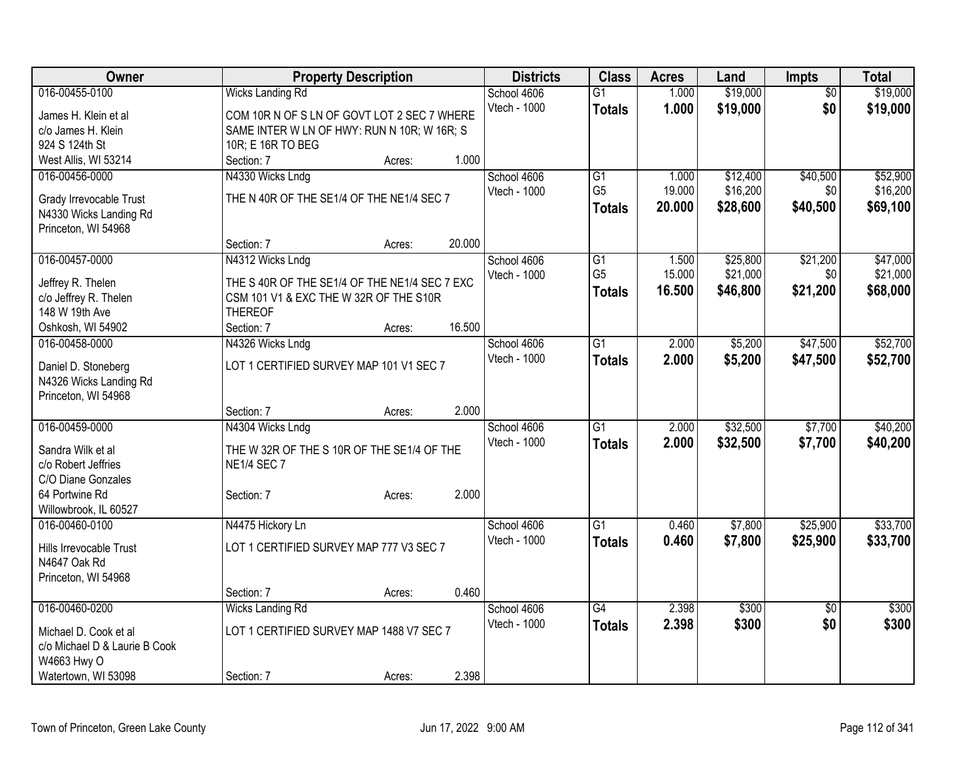| Owner                                   |                                               | <b>Property Description</b> |        | <b>Districts</b> | <b>Class</b>    | <b>Acres</b> | Land     | <b>Impts</b>    | <b>Total</b> |
|-----------------------------------------|-----------------------------------------------|-----------------------------|--------|------------------|-----------------|--------------|----------|-----------------|--------------|
| 016-00455-0100                          | <b>Wicks Landing Rd</b>                       |                             |        | School 4606      | $\overline{G1}$ | 1.000        | \$19,000 | $\overline{50}$ | \$19,000     |
| James H. Klein et al                    | COM 10R N OF S LN OF GOVT LOT 2 SEC 7 WHERE   |                             |        | Vtech - 1000     | <b>Totals</b>   | 1.000        | \$19,000 | \$0             | \$19,000     |
| c/o James H. Klein                      | SAME INTER W LN OF HWY: RUN N 10R; W 16R; S   |                             |        |                  |                 |              |          |                 |              |
| 924 S 124th St                          | 10R; E 16R TO BEG                             |                             |        |                  |                 |              |          |                 |              |
| West Allis, WI 53214                    | Section: 7                                    | Acres:                      | 1.000  |                  |                 |              |          |                 |              |
| 016-00456-0000                          | N4330 Wicks Lndg                              |                             |        | School 4606      | G1              | 1.000        | \$12,400 | \$40,500        | \$52,900     |
| Grady Irrevocable Trust                 | THE N 40R OF THE SE1/4 OF THE NE1/4 SEC 7     |                             |        | Vtech - 1000     | G <sub>5</sub>  | 19.000       | \$16,200 | \$0             | \$16,200     |
| N4330 Wicks Landing Rd                  |                                               |                             |        |                  | <b>Totals</b>   | 20.000       | \$28,600 | \$40,500        | \$69,100     |
| Princeton, WI 54968                     |                                               |                             |        |                  |                 |              |          |                 |              |
|                                         | Section: 7                                    | Acres:                      | 20.000 |                  |                 |              |          |                 |              |
| 016-00457-0000                          | N4312 Wicks Lndg                              |                             |        | School 4606      | $\overline{G1}$ | 1.500        | \$25,800 | \$21,200        | \$47,000     |
|                                         |                                               |                             |        | Vtech - 1000     | G <sub>5</sub>  | 15.000       | \$21,000 | \$0             | \$21,000     |
| Jeffrey R. Thelen                       | THE S 40R OF THE SE1/4 OF THE NE1/4 SEC 7 EXC |                             |        |                  | <b>Totals</b>   | 16.500       | \$46,800 | \$21,200        | \$68,000     |
| c/o Jeffrey R. Thelen<br>148 W 19th Ave | CSM 101 V1 & EXC THE W 32R OF THE S10R        |                             |        |                  |                 |              |          |                 |              |
| Oshkosh, WI 54902                       | <b>THEREOF</b><br>Section: 7                  | Acres:                      | 16.500 |                  |                 |              |          |                 |              |
| 016-00458-0000                          | N4326 Wicks Lndg                              |                             |        | School 4606      | $\overline{G1}$ | 2.000        | \$5,200  | \$47,500        | \$52,700     |
|                                         |                                               |                             |        | Vtech - 1000     |                 | 2.000        | \$5,200  | \$47,500        | \$52,700     |
| Daniel D. Stoneberg                     | LOT 1 CERTIFIED SURVEY MAP 101 V1 SEC 7       |                             |        |                  | <b>Totals</b>   |              |          |                 |              |
| N4326 Wicks Landing Rd                  |                                               |                             |        |                  |                 |              |          |                 |              |
| Princeton, WI 54968                     |                                               |                             |        |                  |                 |              |          |                 |              |
|                                         | Section: 7                                    | Acres:                      | 2.000  |                  |                 |              |          |                 |              |
| 016-00459-0000                          | N4304 Wicks Lndg                              |                             |        | School 4606      | $\overline{G1}$ | 2.000        | \$32,500 | \$7,700         | \$40,200     |
| Sandra Wilk et al                       | THE W 32R OF THE S 10R OF THE SE1/4 OF THE    |                             |        | Vtech - 1000     | <b>Totals</b>   | 2.000        | \$32,500 | \$7,700         | \$40,200     |
| c/o Robert Jeffries                     | <b>NE1/4 SEC 7</b>                            |                             |        |                  |                 |              |          |                 |              |
| C/O Diane Gonzales                      |                                               |                             |        |                  |                 |              |          |                 |              |
| 64 Portwine Rd                          | Section: 7                                    | Acres:                      | 2.000  |                  |                 |              |          |                 |              |
| Willowbrook, IL 60527                   |                                               |                             |        |                  |                 |              |          |                 |              |
| 016-00460-0100                          | N4475 Hickory Ln                              |                             |        | School 4606      | $\overline{G1}$ | 0.460        | \$7,800  | \$25,900        | \$33,700     |
| Hills Irrevocable Trust                 | LOT 1 CERTIFIED SURVEY MAP 777 V3 SEC 7       |                             |        | Vtech - 1000     | <b>Totals</b>   | 0.460        | \$7,800  | \$25,900        | \$33,700     |
| N4647 Oak Rd                            |                                               |                             |        |                  |                 |              |          |                 |              |
| Princeton, WI 54968                     |                                               |                             |        |                  |                 |              |          |                 |              |
|                                         | Section: 7                                    | Acres:                      | 0.460  |                  |                 |              |          |                 |              |
| 016-00460-0200                          | <b>Wicks Landing Rd</b>                       |                             |        | School 4606      | $\overline{G4}$ | 2.398        | \$300    | $\overline{50}$ | \$300        |
| Michael D. Cook et al                   | LOT 1 CERTIFIED SURVEY MAP 1488 V7 SEC 7      |                             |        | Vtech - 1000     | <b>Totals</b>   | 2.398        | \$300    | \$0             | \$300        |
| c/o Michael D & Laurie B Cook           |                                               |                             |        |                  |                 |              |          |                 |              |
| W4663 Hwy O                             |                                               |                             |        |                  |                 |              |          |                 |              |
| Watertown, WI 53098                     | Section: 7                                    | Acres:                      | 2.398  |                  |                 |              |          |                 |              |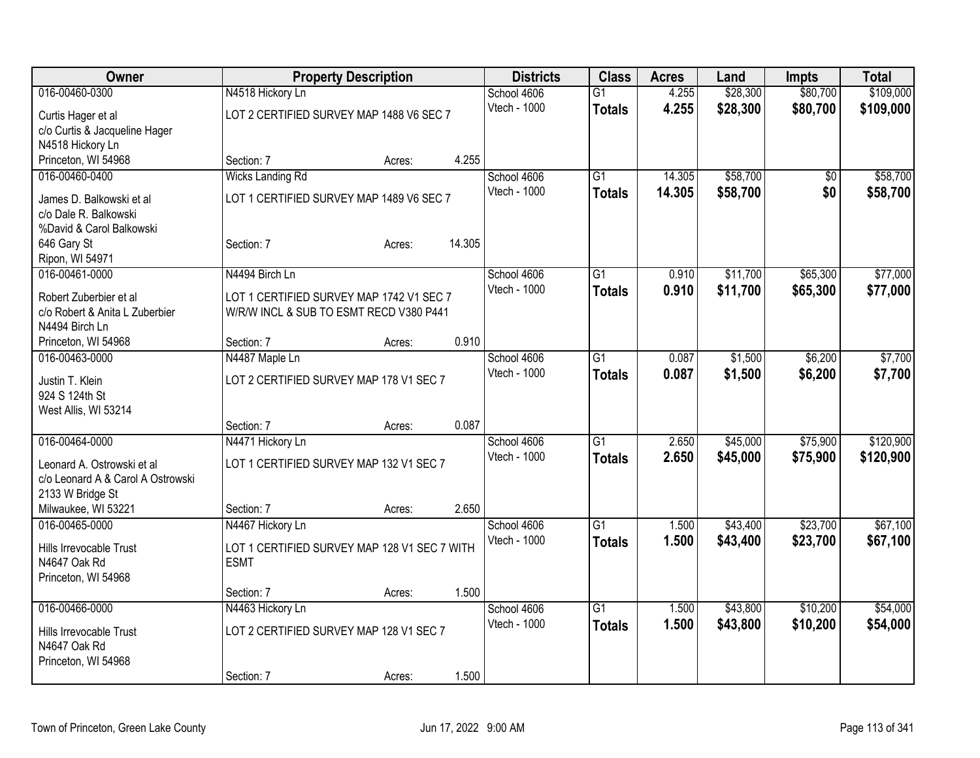| Owner                             |                                              | <b>Property Description</b> |        | <b>Districts</b>    | <b>Class</b>    | <b>Acres</b> | Land     | <b>Impts</b>    | <b>Total</b> |
|-----------------------------------|----------------------------------------------|-----------------------------|--------|---------------------|-----------------|--------------|----------|-----------------|--------------|
| 016-00460-0300                    | N4518 Hickory Ln                             |                             |        | School 4606         | $\overline{G1}$ | 4.255        | \$28,300 | \$80,700        | \$109,000    |
| Curtis Hager et al                | LOT 2 CERTIFIED SURVEY MAP 1488 V6 SEC 7     |                             |        | Vtech - 1000        | <b>Totals</b>   | 4.255        | \$28,300 | \$80,700        | \$109,000    |
| c/o Curtis & Jacqueline Hager     |                                              |                             |        |                     |                 |              |          |                 |              |
| N4518 Hickory Ln                  |                                              |                             |        |                     |                 |              |          |                 |              |
| Princeton, WI 54968               | Section: 7                                   | Acres:                      | 4.255  |                     |                 |              |          |                 |              |
| 016-00460-0400                    | <b>Wicks Landing Rd</b>                      |                             |        | School 4606         | $\overline{G1}$ | 14.305       | \$58,700 | $\overline{50}$ | \$58,700     |
| James D. Balkowski et al          | LOT 1 CERTIFIED SURVEY MAP 1489 V6 SEC 7     |                             |        | Vtech - 1000        | <b>Totals</b>   | 14.305       | \$58,700 | \$0             | \$58,700     |
| c/o Dale R. Balkowski             |                                              |                             |        |                     |                 |              |          |                 |              |
| %David & Carol Balkowski          |                                              |                             |        |                     |                 |              |          |                 |              |
| 646 Gary St                       | Section: 7                                   | Acres:                      | 14.305 |                     |                 |              |          |                 |              |
| Ripon, WI 54971                   |                                              |                             |        |                     |                 |              |          |                 |              |
| 016-00461-0000                    | N4494 Birch Ln                               |                             |        | School 4606         | G1              | 0.910        | \$11,700 | \$65,300        | \$77,000     |
| Robert Zuberbier et al            | LOT 1 CERTIFIED SURVEY MAP 1742 V1 SEC 7     |                             |        | <b>Vtech - 1000</b> | <b>Totals</b>   | 0.910        | \$11,700 | \$65,300        | \$77,000     |
| c/o Robert & Anita L Zuberbier    | W/R/W INCL & SUB TO ESMT RECD V380 P441      |                             |        |                     |                 |              |          |                 |              |
| N4494 Birch Ln                    |                                              |                             |        |                     |                 |              |          |                 |              |
| Princeton, WI 54968               | Section: 7                                   | Acres:                      | 0.910  |                     |                 |              |          |                 |              |
| 016-00463-0000                    | N4487 Maple Ln                               |                             |        | School 4606         | $\overline{G1}$ | 0.087        | \$1,500  | \$6,200         | \$7,700      |
| Justin T. Klein                   | LOT 2 CERTIFIED SURVEY MAP 178 V1 SEC 7      |                             |        | Vtech - 1000        | <b>Totals</b>   | 0.087        | \$1,500  | \$6,200         | \$7,700      |
| 924 S 124th St                    |                                              |                             |        |                     |                 |              |          |                 |              |
| West Allis, WI 53214              |                                              |                             |        |                     |                 |              |          |                 |              |
|                                   | Section: 7                                   | Acres:                      | 0.087  |                     |                 |              |          |                 |              |
| 016-00464-0000                    | N4471 Hickory Ln                             |                             |        | School 4606         | $\overline{G1}$ | 2.650        | \$45,000 | \$75,900        | \$120,900    |
| Leonard A. Ostrowski et al        | LOT 1 CERTIFIED SURVEY MAP 132 V1 SEC 7      |                             |        | Vtech - 1000        | <b>Totals</b>   | 2.650        | \$45,000 | \$75,900        | \$120,900    |
| c/o Leonard A & Carol A Ostrowski |                                              |                             |        |                     |                 |              |          |                 |              |
| 2133 W Bridge St                  |                                              |                             |        |                     |                 |              |          |                 |              |
| Milwaukee, WI 53221               | Section: 7                                   | Acres:                      | 2.650  |                     |                 |              |          |                 |              |
| 016-00465-0000                    | N4467 Hickory Ln                             |                             |        | School 4606         | $\overline{G1}$ | 1.500        | \$43,400 | \$23,700        | \$67,100     |
| Hills Irrevocable Trust           | LOT 1 CERTIFIED SURVEY MAP 128 V1 SEC 7 WITH |                             |        | Vtech - 1000        | <b>Totals</b>   | 1.500        | \$43,400 | \$23,700        | \$67,100     |
| N4647 Oak Rd                      | <b>ESMT</b>                                  |                             |        |                     |                 |              |          |                 |              |
| Princeton, WI 54968               |                                              |                             |        |                     |                 |              |          |                 |              |
|                                   | Section: 7                                   | Acres:                      | 1.500  |                     |                 |              |          |                 |              |
| 016-00466-0000                    | N4463 Hickory Ln                             |                             |        | School 4606         | $\overline{G1}$ | 1.500        | \$43,800 | \$10,200        | \$54,000     |
| Hills Irrevocable Trust           | LOT 2 CERTIFIED SURVEY MAP 128 V1 SEC 7      |                             |        | Vtech - 1000        | <b>Totals</b>   | 1.500        | \$43,800 | \$10,200        | \$54,000     |
| N4647 Oak Rd                      |                                              |                             |        |                     |                 |              |          |                 |              |
| Princeton, WI 54968               |                                              |                             |        |                     |                 |              |          |                 |              |
|                                   | Section: 7                                   | Acres:                      | 1.500  |                     |                 |              |          |                 |              |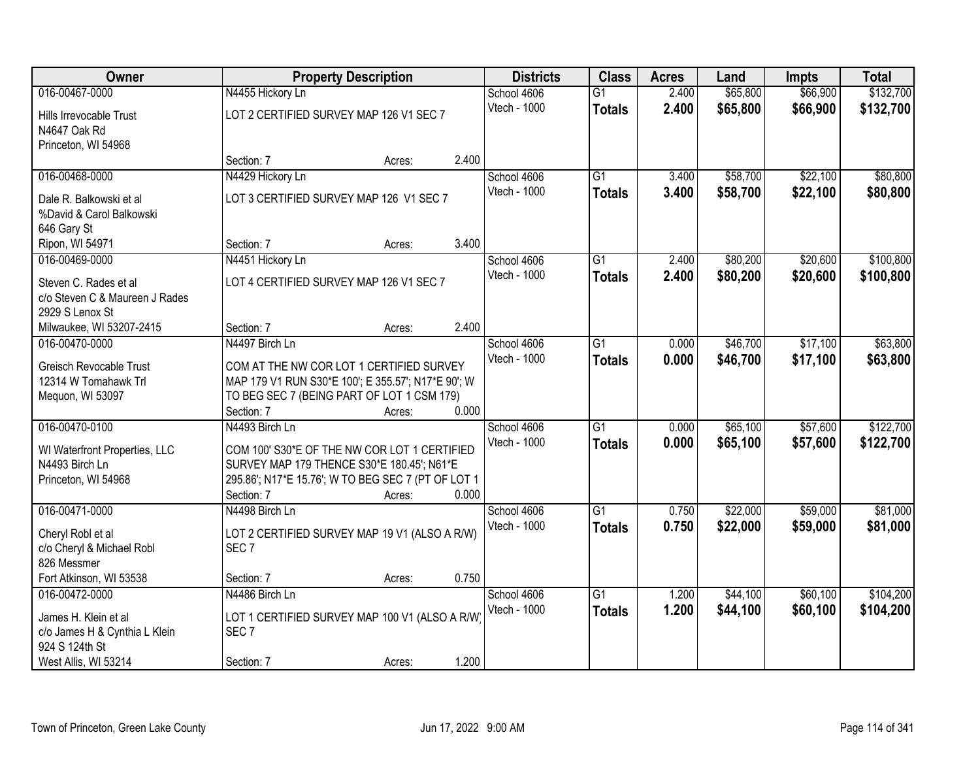| Owner                                           |                                                                   | <b>Property Description</b> |       | <b>Districts</b> | <b>Class</b>    | <b>Acres</b> | Land     | <b>Impts</b> | <b>Total</b> |
|-------------------------------------------------|-------------------------------------------------------------------|-----------------------------|-------|------------------|-----------------|--------------|----------|--------------|--------------|
| 016-00467-0000                                  | N4455 Hickory Ln                                                  |                             |       | School 4606      | $\overline{G1}$ | 2.400        | \$65,800 | \$66,900     | \$132,700    |
| Hills Irrevocable Trust                         | LOT 2 CERTIFIED SURVEY MAP 126 V1 SEC 7                           |                             |       | Vtech - 1000     | <b>Totals</b>   | 2.400        | \$65,800 | \$66,900     | \$132,700    |
| N4647 Oak Rd                                    |                                                                   |                             |       |                  |                 |              |          |              |              |
| Princeton, WI 54968                             |                                                                   |                             |       |                  |                 |              |          |              |              |
|                                                 | Section: 7                                                        | Acres:                      | 2.400 |                  |                 |              |          |              |              |
| 016-00468-0000                                  | N4429 Hickory Ln                                                  |                             |       | School 4606      | $\overline{G1}$ | 3.400        | \$58,700 | \$22,100     | \$80,800     |
| Dale R. Balkowski et al                         | LOT 3 CERTIFIED SURVEY MAP 126 V1 SEC 7                           |                             |       | Vtech - 1000     | <b>Totals</b>   | 3.400        | \$58,700 | \$22,100     | \$80,800     |
| %David & Carol Balkowski                        |                                                                   |                             |       |                  |                 |              |          |              |              |
| 646 Gary St                                     |                                                                   |                             |       |                  |                 |              |          |              |              |
| Ripon, WI 54971                                 | Section: 7                                                        | Acres:                      | 3.400 |                  |                 |              |          |              |              |
| 016-00469-0000                                  | N4451 Hickory Ln                                                  |                             |       | School 4606      | G1              | 2.400        | \$80,200 | \$20,600     | \$100,800    |
| Steven C. Rades et al                           | LOT 4 CERTIFIED SURVEY MAP 126 V1 SEC 7                           |                             |       | Vtech - 1000     | <b>Totals</b>   | 2.400        | \$80,200 | \$20,600     | \$100,800    |
| c/o Steven C & Maureen J Rades                  |                                                                   |                             |       |                  |                 |              |          |              |              |
| 2929 S Lenox St                                 |                                                                   |                             |       |                  |                 |              |          |              |              |
| Milwaukee, WI 53207-2415                        | Section: 7                                                        | Acres:                      | 2.400 |                  |                 |              |          |              |              |
| 016-00470-0000                                  | N4497 Birch Ln                                                    |                             |       | School 4606      | $\overline{G1}$ | 0.000        | \$46,700 | \$17,100     | \$63,800     |
| <b>Greisch Revocable Trust</b>                  | COM AT THE NW COR LOT 1 CERTIFIED SURVEY                          |                             |       | Vtech - 1000     | <b>Totals</b>   | 0.000        | \$46,700 | \$17,100     | \$63,800     |
| 12314 W Tomahawk Trl                            | MAP 179 V1 RUN S30*E 100'; E 355.57'; N17*E 90'; W                |                             |       |                  |                 |              |          |              |              |
| Mequon, WI 53097                                | TO BEG SEC 7 (BEING PART OF LOT 1 CSM 179)                        |                             |       |                  |                 |              |          |              |              |
|                                                 | Section: 7                                                        | Acres:                      | 0.000 |                  |                 |              |          |              |              |
| 016-00470-0100                                  | N4493 Birch Ln                                                    |                             |       | School 4606      | $\overline{G1}$ | 0.000        | \$65,100 | \$57,600     | \$122,700    |
|                                                 | COM 100' S30*E OF THE NW COR LOT 1 CERTIFIED                      |                             |       | Vtech - 1000     | <b>Totals</b>   | 0.000        | \$65,100 | \$57,600     | \$122,700    |
| WI Waterfront Properties, LLC<br>N4493 Birch Ln | SURVEY MAP 179 THENCE S30*E 180.45'; N61*E                        |                             |       |                  |                 |              |          |              |              |
| Princeton, WI 54968                             | 295.86'; N17*E 15.76'; W TO BEG SEC 7 (PT OF LOT 1                |                             |       |                  |                 |              |          |              |              |
|                                                 | Section: 7                                                        | Acres:                      | 0.000 |                  |                 |              |          |              |              |
| 016-00471-0000                                  | N4498 Birch Ln                                                    |                             |       | School 4606      | $\overline{G1}$ | 0.750        | \$22,000 | \$59,000     | \$81,000     |
|                                                 |                                                                   |                             |       | Vtech - 1000     | <b>Totals</b>   | 0.750        | \$22,000 | \$59,000     | \$81,000     |
| Cheryl Robl et al<br>c/o Cheryl & Michael Robl  | LOT 2 CERTIFIED SURVEY MAP 19 V1 (ALSO A R/W)<br>SEC <sub>7</sub> |                             |       |                  |                 |              |          |              |              |
| 826 Messmer                                     |                                                                   |                             |       |                  |                 |              |          |              |              |
| Fort Atkinson, WI 53538                         | Section: 7                                                        | Acres:                      | 0.750 |                  |                 |              |          |              |              |
| 016-00472-0000                                  | N4486 Birch Ln                                                    |                             |       | School 4606      | G1              | 1.200        | \$44,100 | \$60,100     | \$104,200    |
| James H. Klein et al                            | LOT 1 CERTIFIED SURVEY MAP 100 V1 (ALSO A R/W)                    |                             |       | Vtech - 1000     | <b>Totals</b>   | 1.200        | \$44,100 | \$60,100     | \$104,200    |
| c/o James H & Cynthia L Klein                   | SEC <sub>7</sub>                                                  |                             |       |                  |                 |              |          |              |              |
| 924 S 124th St                                  |                                                                   |                             |       |                  |                 |              |          |              |              |
| West Allis, WI 53214                            | Section: 7                                                        | Acres:                      | 1.200 |                  |                 |              |          |              |              |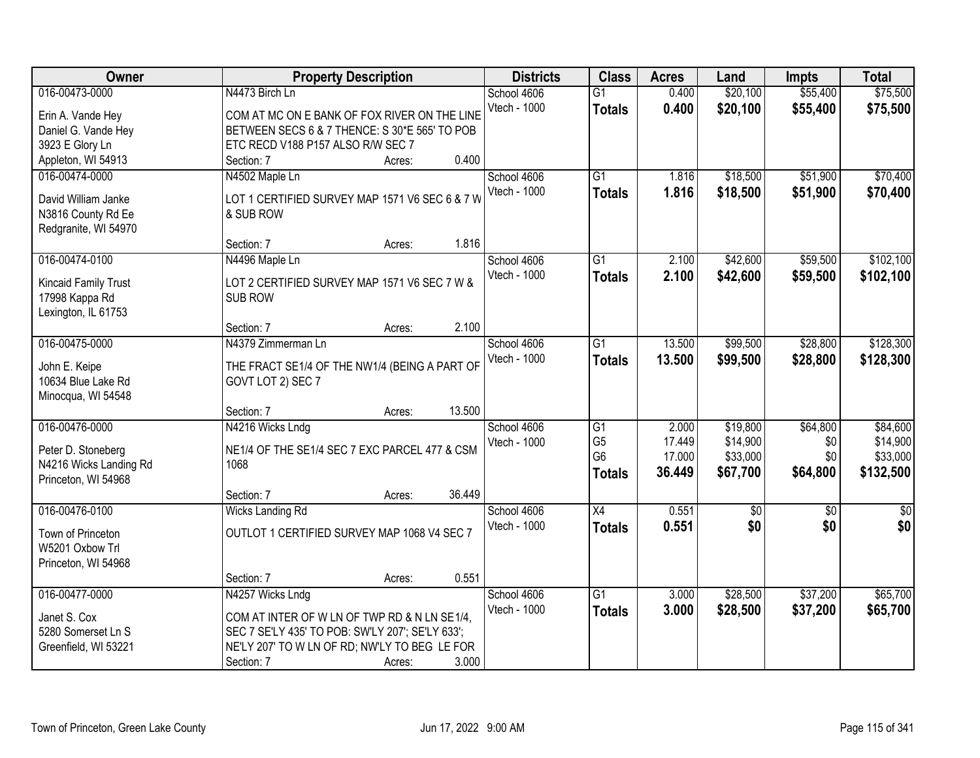| Owner                  | <b>Property Description</b>                      | <b>Districts</b> | <b>Class</b>    | <b>Acres</b> | Land        | <b>Impts</b> | <b>Total</b>  |
|------------------------|--------------------------------------------------|------------------|-----------------|--------------|-------------|--------------|---------------|
| 016-00473-0000         | N4473 Birch Ln                                   | School 4606      | $\overline{G1}$ | 0.400        | \$20,100    | \$55,400     | \$75,500      |
| Erin A. Vande Hey      | COM AT MC ON E BANK OF FOX RIVER ON THE LINE     | Vtech - 1000     | <b>Totals</b>   | 0.400        | \$20,100    | \$55,400     | \$75,500      |
| Daniel G. Vande Hey    | BETWEEN SECS 6 & 7 THENCE: S 30*E 565' TO POB    |                  |                 |              |             |              |               |
| 3923 E Glory Ln        | ETC RECD V188 P157 ALSO R/W SEC 7                |                  |                 |              |             |              |               |
| Appleton, WI 54913     | 0.400<br>Section: 7<br>Acres:                    |                  |                 |              |             |              |               |
| 016-00474-0000         | N4502 Maple Ln                                   | School 4606      | $\overline{G1}$ | 1.816        | \$18,500    | \$51,900     | \$70,400      |
|                        |                                                  | Vtech - 1000     | <b>Totals</b>   | 1.816        | \$18,500    | \$51,900     | \$70,400      |
| David William Janke    | LOT 1 CERTIFIED SURVEY MAP 1571 V6 SEC 6 & 7 W   |                  |                 |              |             |              |               |
| N3816 County Rd Ee     | & SUB ROW                                        |                  |                 |              |             |              |               |
| Redgranite, WI 54970   |                                                  |                  |                 |              |             |              |               |
|                        | 1.816<br>Section: 7<br>Acres:                    |                  |                 |              |             |              |               |
| 016-00474-0100         | N4496 Maple Ln                                   | School 4606      | $\overline{G1}$ | 2.100        | \$42,600    | \$59,500     | \$102,100     |
| Kincaid Family Trust   | LOT 2 CERTIFIED SURVEY MAP 1571 V6 SEC 7 W &     | Vtech - 1000     | <b>Totals</b>   | 2.100        | \$42,600    | \$59,500     | \$102,100     |
| 17998 Kappa Rd         | <b>SUB ROW</b>                                   |                  |                 |              |             |              |               |
| Lexington, IL 61753    |                                                  |                  |                 |              |             |              |               |
|                        | 2.100<br>Section: 7<br>Acres:                    |                  |                 |              |             |              |               |
| 016-00475-0000         | N4379 Zimmerman Ln                               | School 4606      | G1              | 13.500       | \$99,500    | \$28,800     | \$128,300     |
| John E. Keipe          | THE FRACT SE1/4 OF THE NW1/4 (BEING A PART OF    | Vtech - 1000     | <b>Totals</b>   | 13.500       | \$99,500    | \$28,800     | \$128,300     |
| 10634 Blue Lake Rd     | GOVT LOT 2) SEC 7                                |                  |                 |              |             |              |               |
| Minocqua, WI 54548     |                                                  |                  |                 |              |             |              |               |
|                        | 13.500<br>Section: 7<br>Acres:                   |                  |                 |              |             |              |               |
| 016-00476-0000         | N4216 Wicks Lndg                                 | School 4606      | $\overline{G1}$ | 2.000        | \$19,800    | \$64,800     | \$84,600      |
|                        |                                                  | Vtech - 1000     | G <sub>5</sub>  | 17.449       | \$14,900    | \$0          | \$14,900      |
| Peter D. Stoneberg     | NE1/4 OF THE SE1/4 SEC 7 EXC PARCEL 477 & CSM    |                  | G <sub>6</sub>  | 17.000       | \$33,000    | \$0          | \$33,000      |
| N4216 Wicks Landing Rd | 1068                                             |                  | <b>Totals</b>   | 36.449       | \$67,700    | \$64,800     | \$132,500     |
| Princeton, WI 54968    |                                                  |                  |                 |              |             |              |               |
|                        | 36.449<br>Section: 7<br>Acres:                   |                  |                 |              |             |              |               |
| 016-00476-0100         | Wicks Landing Rd                                 | School 4606      | X4              | 0.551        | $\sqrt{50}$ | $\sqrt{6}$   | $\frac{1}{6}$ |
| Town of Princeton      | OUTLOT 1 CERTIFIED SURVEY MAP 1068 V4 SEC 7      | Vtech - 1000     | <b>Totals</b>   | 0.551        | \$0         | \$0          | \$0           |
| W5201 Oxbow Trl        |                                                  |                  |                 |              |             |              |               |
| Princeton, WI 54968    |                                                  |                  |                 |              |             |              |               |
|                        | 0.551<br>Section: 7<br>Acres:                    |                  |                 |              |             |              |               |
| 016-00477-0000         | N4257 Wicks Lndg                                 | School 4606      | $\overline{G1}$ | 3.000        | \$28,500    | \$37,200     | \$65,700      |
|                        |                                                  | Vtech - 1000     | <b>Totals</b>   | 3.000        | \$28,500    | \$37,200     | \$65,700      |
| Janet S. Cox           | COM AT INTER OF W LN OF TWP RD & N LN SE1/4,     |                  |                 |              |             |              |               |
| 5280 Somerset Ln S     | SEC 7 SE'LY 435' TO POB: SW'LY 207'; SE'LY 633'; |                  |                 |              |             |              |               |
| Greenfield, WI 53221   | NE'LY 207' TO W LN OF RD; NW'LY TO BEG LE FOR    |                  |                 |              |             |              |               |
|                        | 3.000<br>Section: 7<br>Acres:                    |                  |                 |              |             |              |               |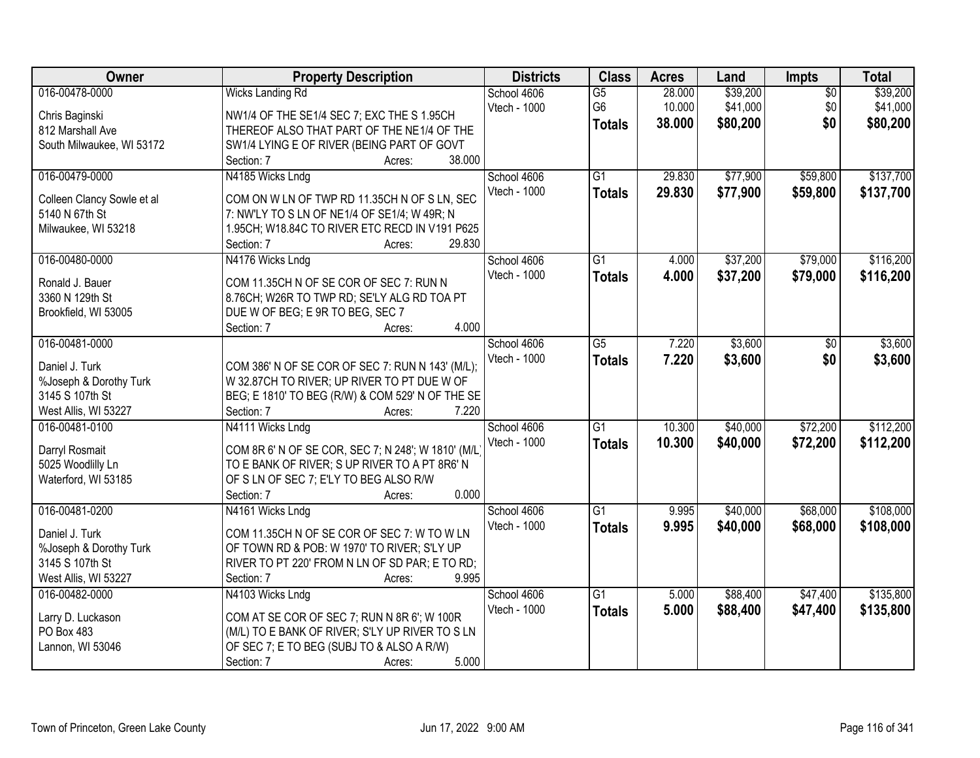| Owner                                     | <b>Property Description</b>                                                                     | <b>Districts</b> | <b>Class</b>    | <b>Acres</b> | Land     | Impts           | <b>Total</b> |
|-------------------------------------------|-------------------------------------------------------------------------------------------------|------------------|-----------------|--------------|----------|-----------------|--------------|
| 016-00478-0000                            | <b>Wicks Landing Rd</b>                                                                         | School 4606      | $\overline{G5}$ | 28.000       | \$39,200 | $\overline{50}$ | \$39,200     |
| Chris Baginski                            | NW1/4 OF THE SE1/4 SEC 7; EXC THE S 1.95CH                                                      | Vtech - 1000     | G6              | 10.000       | \$41,000 | \$0             | \$41,000     |
| 812 Marshall Ave                          | THEREOF ALSO THAT PART OF THE NE1/4 OF THE                                                      |                  | <b>Totals</b>   | 38.000       | \$80,200 | \$0             | \$80,200     |
| South Milwaukee, WI 53172                 | SW1/4 LYING E OF RIVER (BEING PART OF GOVT                                                      |                  |                 |              |          |                 |              |
|                                           | 38.000<br>Section: 7<br>Acres:                                                                  |                  |                 |              |          |                 |              |
| 016-00479-0000                            | N4185 Wicks Lndg                                                                                | School 4606      | $\overline{G1}$ | 29.830       | \$77,900 | \$59,800        | \$137,700    |
|                                           |                                                                                                 | Vtech - 1000     | <b>Totals</b>   | 29.830       | \$77,900 | \$59,800        | \$137,700    |
| Colleen Clancy Sowle et al                | COM ON W LN OF TWP RD 11.35CH N OF S LN, SEC                                                    |                  |                 |              |          |                 |              |
| 5140 N 67th St                            | 7: NW'LY TO S LN OF NE1/4 OF SE1/4; W 49R; N                                                    |                  |                 |              |          |                 |              |
| Milwaukee, WI 53218                       | 1.95CH; W18.84C TO RIVER ETC RECD IN V191 P625<br>29.830<br>Section: 7                          |                  |                 |              |          |                 |              |
| 016-00480-0000                            | Acres:                                                                                          | School 4606      | G1              | 4.000        | \$37,200 | \$79,000        | \$116,200    |
|                                           | N4176 Wicks Lndg                                                                                |                  |                 |              |          |                 |              |
| Ronald J. Bauer                           | COM 11.35CH N OF SE COR OF SEC 7: RUN N                                                         | Vtech - 1000     | <b>Totals</b>   | 4.000        | \$37,200 | \$79,000        | \$116,200    |
| 3360 N 129th St                           | 8.76CH; W26R TO TWP RD; SE'LY ALG RD TOA PT                                                     |                  |                 |              |          |                 |              |
| Brookfield, WI 53005                      | DUE W OF BEG; E 9R TO BEG, SEC 7                                                                |                  |                 |              |          |                 |              |
|                                           | 4.000<br>Section: 7<br>Acres:                                                                   |                  |                 |              |          |                 |              |
| 016-00481-0000                            |                                                                                                 | School 4606      | $\overline{G5}$ | 7.220        | \$3,600  | \$0             | \$3,600      |
| Daniel J. Turk                            |                                                                                                 | Vtech - 1000     | <b>Totals</b>   | 7.220        | \$3,600  | \$0             | \$3,600      |
|                                           | COM 386' N OF SE COR OF SEC 7: RUN N 143' (M/L);<br>W 32.87CH TO RIVER; UP RIVER TO PT DUE W OF |                  |                 |              |          |                 |              |
| %Joseph & Dorothy Turk<br>3145 S 107th St | BEG; E 1810' TO BEG (R/W) & COM 529' N OF THE SE                                                |                  |                 |              |          |                 |              |
| West Allis, WI 53227                      | 7.220<br>Section: 7<br>Acres:                                                                   |                  |                 |              |          |                 |              |
| 016-00481-0100                            | N4111 Wicks Lndg                                                                                | School 4606      | $\overline{G1}$ | 10.300       | \$40,000 | \$72,200        | \$112,200    |
|                                           |                                                                                                 | Vtech - 1000     |                 | 10.300       |          |                 |              |
| Darryl Rosmait                            | COM 8R 6' N OF SE COR, SEC 7; N 248'; W 1810' (M/L)                                             |                  | <b>Totals</b>   |              | \$40,000 | \$72,200        | \$112,200    |
| 5025 Woodlilly Ln                         | TO E BANK OF RIVER; S UP RIVER TO A PT 8R6' N                                                   |                  |                 |              |          |                 |              |
| Waterford, WI 53185                       | OF S LN OF SEC 7; E'LY TO BEG ALSO R/W                                                          |                  |                 |              |          |                 |              |
|                                           | 0.000<br>Section: 7<br>Acres:                                                                   |                  |                 |              |          |                 |              |
| 016-00481-0200                            | N4161 Wicks Lndg                                                                                | School 4606      | G1              | 9.995        | \$40,000 | \$68,000        | \$108,000    |
| Daniel J. Turk                            | COM 11.35CH N OF SE COR OF SEC 7: W TO W LN                                                     | Vtech - 1000     | <b>Totals</b>   | 9.995        | \$40,000 | \$68,000        | \$108,000    |
| %Joseph & Dorothy Turk                    | OF TOWN RD & POB: W 1970' TO RIVER; S'LY UP                                                     |                  |                 |              |          |                 |              |
| 3145 S 107th St                           | RIVER TO PT 220' FROM N LN OF SD PAR; E TO RD;                                                  |                  |                 |              |          |                 |              |
| West Allis, WI 53227                      | 9.995<br>Section: 7<br>Acres:                                                                   |                  |                 |              |          |                 |              |
| 016-00482-0000                            | N4103 Wicks Lndg                                                                                | School 4606      | $\overline{G1}$ | 5.000        | \$88,400 | \$47,400        | \$135,800    |
|                                           |                                                                                                 | Vtech - 1000     |                 | 5.000        |          |                 |              |
| Larry D. Luckason                         | COM AT SE COR OF SEC 7; RUN N 8R 6'; W 100R                                                     |                  | <b>Totals</b>   |              | \$88,400 | \$47,400        | \$135,800    |
| PO Box 483                                | (M/L) TO E BANK OF RIVER; S'LY UP RIVER TO S LN                                                 |                  |                 |              |          |                 |              |
| Lannon, WI 53046                          | OF SEC 7; E TO BEG (SUBJ TO & ALSO A R/W)                                                       |                  |                 |              |          |                 |              |
|                                           | 5.000<br>Section: 7<br>Acres:                                                                   |                  |                 |              |          |                 |              |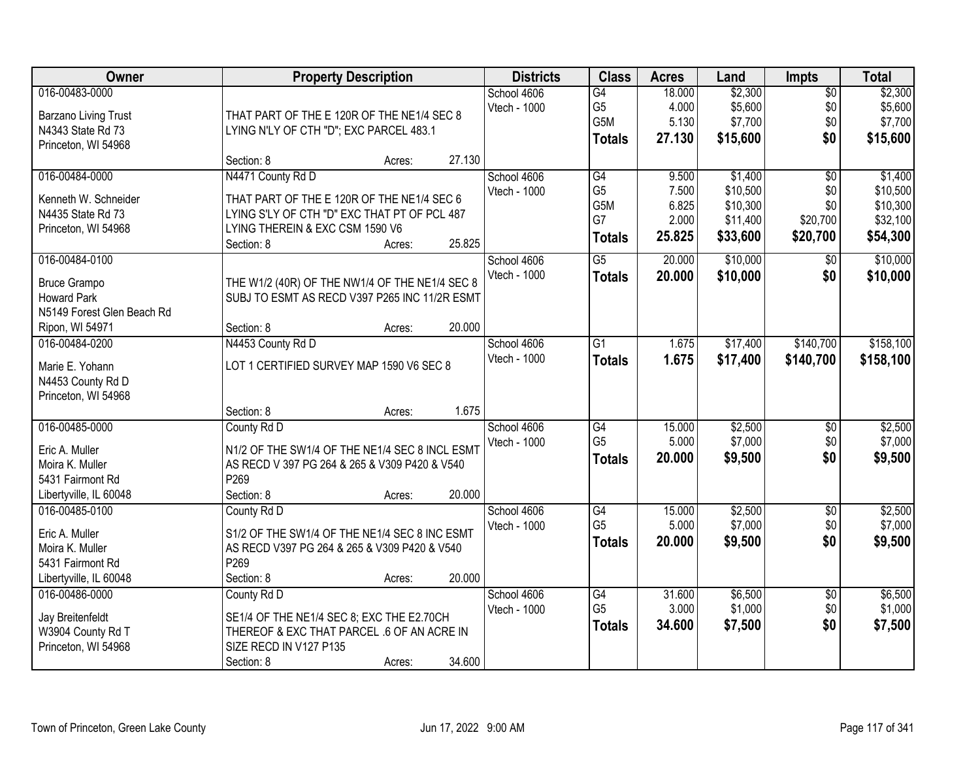| <b>Owner</b>               |                                                | <b>Property Description</b> |        | <b>Districts</b> | <b>Class</b>                      | <b>Acres</b>    | Land               | <b>Impts</b>    | <b>Total</b>       |
|----------------------------|------------------------------------------------|-----------------------------|--------|------------------|-----------------------------------|-----------------|--------------------|-----------------|--------------------|
| 016-00483-0000             |                                                |                             |        | School 4606      | $\overline{G4}$                   | 18.000          | \$2,300            | $\overline{$0}$ | \$2,300            |
| Barzano Living Trust       | THAT PART OF THE E 120R OF THE NE1/4 SEC 8     |                             |        | Vtech - 1000     | G <sub>5</sub>                    | 4.000           | \$5,600            | \$0             | \$5,600            |
| N4343 State Rd 73          | LYING N'LY OF CTH "D"; EXC PARCEL 483.1        |                             |        |                  | G5M                               | 5.130           | \$7,700            | \$0             | \$7,700            |
| Princeton, WI 54968        |                                                |                             |        |                  | <b>Totals</b>                     | 27.130          | \$15,600           | \$0             | \$15,600           |
|                            | Section: 8                                     | Acres:                      | 27.130 |                  |                                   |                 |                    |                 |                    |
| 016-00484-0000             | N4471 County Rd D                              |                             |        | School 4606      | G4                                | 9.500           | \$1,400            | $\overline{50}$ | \$1,400            |
| Kenneth W. Schneider       | THAT PART OF THE E 120R OF THE NE1/4 SEC 6     |                             |        | Vtech - 1000     | G <sub>5</sub>                    | 7.500           | \$10,500           | \$0             | \$10,500           |
| N4435 State Rd 73          | LYING S'LY OF CTH "D" EXC THAT PT OF PCL 487   |                             |        |                  | G5M                               | 6.825           | \$10,300           | \$0             | \$10,300           |
| Princeton, WI 54968        | LYING THEREIN & EXC CSM 1590 V6                |                             |        |                  | G7                                | 2.000           | \$11,400           | \$20,700        | \$32,100           |
|                            | Section: 8                                     | Acres:                      | 25.825 |                  | <b>Totals</b>                     | 25.825          | \$33,600           | \$20,700        | \$54,300           |
| 016-00484-0100             |                                                |                             |        | School 4606      | $\overline{G5}$                   | 20.000          | \$10,000           | $\sqrt[6]{}$    | \$10,000           |
| <b>Bruce Grampo</b>        | THE W1/2 (40R) OF THE NW1/4 OF THE NE1/4 SEC 8 |                             |        | Vtech - 1000     | <b>Totals</b>                     | 20.000          | \$10,000           | \$0             | \$10,000           |
| <b>Howard Park</b>         | SUBJ TO ESMT AS RECD V397 P265 INC 11/2R ESMT  |                             |        |                  |                                   |                 |                    |                 |                    |
| N5149 Forest Glen Beach Rd |                                                |                             |        |                  |                                   |                 |                    |                 |                    |
| Ripon, WI 54971            | Section: 8                                     | Acres:                      | 20.000 |                  |                                   |                 |                    |                 |                    |
| 016-00484-0200             | N4453 County Rd D                              |                             |        | School 4606      | $\overline{G1}$                   | 1.675           | \$17,400           | \$140,700       | \$158,100          |
| Marie E. Yohann            | LOT 1 CERTIFIED SURVEY MAP 1590 V6 SEC 8       |                             |        | Vtech - 1000     | <b>Totals</b>                     | 1.675           | \$17,400           | \$140,700       | \$158,100          |
| N4453 County Rd D          |                                                |                             |        |                  |                                   |                 |                    |                 |                    |
| Princeton, WI 54968        |                                                |                             |        |                  |                                   |                 |                    |                 |                    |
|                            | Section: 8                                     | Acres:                      | 1.675  |                  |                                   |                 |                    |                 |                    |
| 016-00485-0000             | County Rd D                                    |                             |        | School 4606      | $\overline{G4}$                   | 15.000          | \$2,500            | \$0             | \$2,500            |
|                            |                                                |                             |        | Vtech - 1000     | G <sub>5</sub>                    | 5.000           | \$7,000            | \$0             | \$7,000            |
| Eric A. Muller             | N1/2 OF THE SW1/4 OF THE NE1/4 SEC 8 INCL ESMT |                             |        |                  | <b>Totals</b>                     | 20.000          | \$9,500            | \$0             | \$9,500            |
| Moira K. Muller            | AS RECD V 397 PG 264 & 265 & V309 P420 & V540  |                             |        |                  |                                   |                 |                    |                 |                    |
| 5431 Fairmont Rd           | P269                                           |                             |        |                  |                                   |                 |                    |                 |                    |
| Libertyville, IL 60048     | Section: 8                                     | Acres:                      | 20.000 |                  |                                   |                 |                    |                 |                    |
| 016-00485-0100             | County Rd D                                    |                             |        | School 4606      | $\overline{G4}$<br>G <sub>5</sub> | 15.000<br>5.000 | \$2,500<br>\$7,000 | $\overline{$0}$ | \$2,500<br>\$7,000 |
| Eric A. Muller             | S1/2 OF THE SW1/4 OF THE NE1/4 SEC 8 INC ESMT  |                             |        | Vtech - 1000     |                                   |                 |                    | \$0             |                    |
| Moira K. Muller            | AS RECD V397 PG 264 & 265 & V309 P420 & V540   |                             |        |                  | <b>Totals</b>                     | 20.000          | \$9,500            | \$0             | \$9,500            |
| 5431 Fairmont Rd           | P269                                           |                             |        |                  |                                   |                 |                    |                 |                    |
| Libertyville, IL 60048     | Section: 8                                     | Acres:                      | 20.000 |                  |                                   |                 |                    |                 |                    |
| 016-00486-0000             | County Rd D                                    |                             |        | School 4606      | G4                                | 31.600          | \$6,500            | $\overline{60}$ | \$6,500            |
| Jay Breitenfeldt           | SE1/4 OF THE NE1/4 SEC 8; EXC THE E2.70CH      |                             |        | Vtech - 1000     | G <sub>5</sub>                    | 3.000           | \$1,000            | \$0             | \$1,000            |
| W3904 County Rd T          | THEREOF & EXC THAT PARCEL .6 OF AN ACRE IN     |                             |        |                  | <b>Totals</b>                     | 34.600          | \$7,500            | \$0             | \$7,500            |
| Princeton, WI 54968        | SIZE RECD IN V127 P135                         |                             |        |                  |                                   |                 |                    |                 |                    |
|                            | Section: 8                                     | Acres:                      | 34.600 |                  |                                   |                 |                    |                 |                    |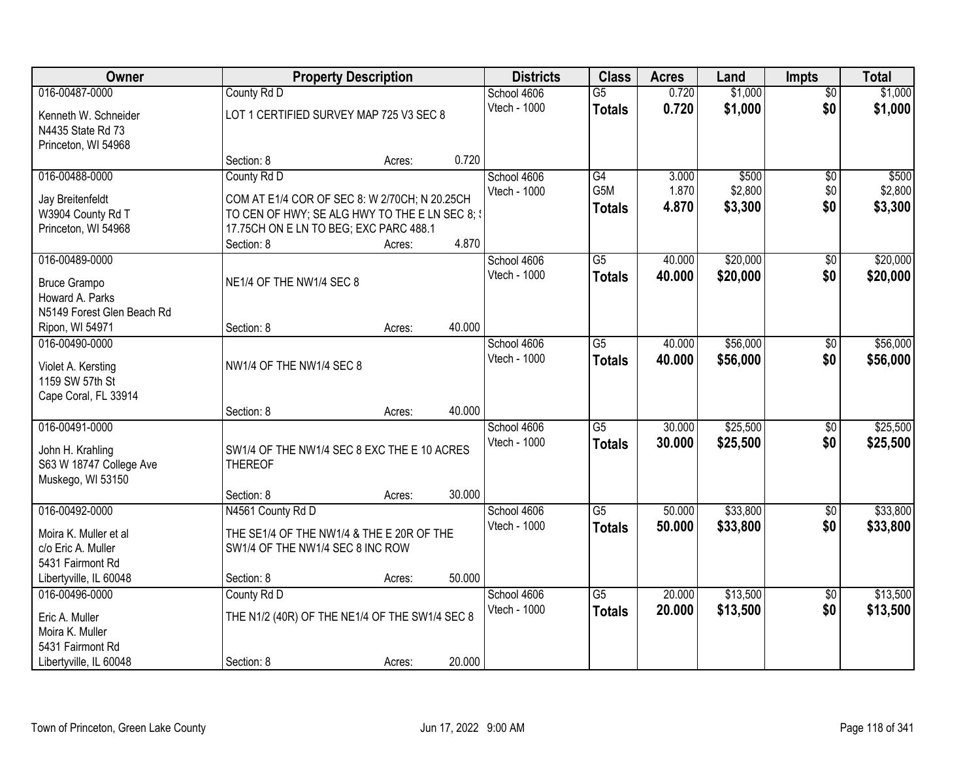| Owner                                                            |                                                | <b>Property Description</b> |        | <b>Districts</b> | <b>Class</b>    | <b>Acres</b> | Land     | <b>Impts</b>    | <b>Total</b> |
|------------------------------------------------------------------|------------------------------------------------|-----------------------------|--------|------------------|-----------------|--------------|----------|-----------------|--------------|
| 016-00487-0000                                                   | County Rd D                                    |                             |        | School 4606      | $\overline{G5}$ | 0.720        | \$1,000  | $\overline{50}$ | \$1,000      |
| Kenneth W. Schneider<br>N4435 State Rd 73<br>Princeton, WI 54968 | LOT 1 CERTIFIED SURVEY MAP 725 V3 SEC 8        |                             |        | Vtech - 1000     | <b>Totals</b>   | 0.720        | \$1,000  | \$0             | \$1,000      |
|                                                                  | Section: 8                                     | Acres:                      | 0.720  |                  |                 |              |          |                 |              |
| 016-00488-0000                                                   | County Rd D                                    |                             |        | School 4606      | $\overline{G4}$ | 3.000        | \$500    | \$0             | \$500        |
| Jay Breitenfeldt                                                 | COM AT E1/4 COR OF SEC 8: W 2/70CH; N 20.25CH  |                             |        | Vtech - 1000     | G5M             | 1.870        | \$2,800  | \$0             | \$2,800      |
| W3904 County Rd T                                                | TO CEN OF HWY; SE ALG HWY TO THE E LN SEC 8; \ |                             |        |                  | <b>Totals</b>   | 4.870        | \$3,300  | \$0             | \$3,300      |
| Princeton, WI 54968                                              | 17.75CH ON E LN TO BEG; EXC PARC 488.1         |                             |        |                  |                 |              |          |                 |              |
|                                                                  | Section: 8                                     | Acres:                      | 4.870  |                  |                 |              |          |                 |              |
| 016-00489-0000                                                   |                                                |                             |        | School 4606      | G5              | 40.000       | \$20,000 | \$0             | \$20,000     |
| <b>Bruce Grampo</b>                                              | NE1/4 OF THE NW1/4 SEC 8                       |                             |        | Vtech - 1000     | <b>Totals</b>   | 40.000       | \$20,000 | \$0             | \$20,000     |
| Howard A. Parks                                                  |                                                |                             |        |                  |                 |              |          |                 |              |
| N5149 Forest Glen Beach Rd                                       |                                                |                             |        |                  |                 |              |          |                 |              |
| Ripon, WI 54971                                                  | Section: 8                                     | Acres:                      | 40.000 |                  |                 |              |          |                 |              |
| 016-00490-0000                                                   |                                                |                             |        | School 4606      | $\overline{G5}$ | 40.000       | \$56,000 | $\sqrt[6]{}$    | \$56,000     |
| Violet A. Kersting                                               | NW1/4 OF THE NW1/4 SEC 8                       |                             |        | Vtech - 1000     | <b>Totals</b>   | 40.000       | \$56,000 | \$0             | \$56,000     |
| 1159 SW 57th St                                                  |                                                |                             |        |                  |                 |              |          |                 |              |
| Cape Coral, FL 33914                                             |                                                |                             |        |                  |                 |              |          |                 |              |
|                                                                  | Section: 8                                     | Acres:                      | 40.000 |                  |                 |              |          |                 |              |
| 016-00491-0000                                                   |                                                |                             |        | School 4606      | $\overline{G5}$ | 30.000       | \$25,500 | $\overline{50}$ | \$25,500     |
| John H. Krahling                                                 | SW1/4 OF THE NW1/4 SEC 8 EXC THE E 10 ACRES    |                             |        | Vtech - 1000     | <b>Totals</b>   | 30.000       | \$25,500 | \$0             | \$25,500     |
| S63 W 18747 College Ave                                          | <b>THEREOF</b>                                 |                             |        |                  |                 |              |          |                 |              |
| Muskego, WI 53150                                                |                                                |                             |        |                  |                 |              |          |                 |              |
|                                                                  | Section: 8                                     | Acres:                      | 30.000 |                  |                 |              |          |                 |              |
| 016-00492-0000                                                   | N4561 County Rd D                              |                             |        | School 4606      | $\overline{G5}$ | 50.000       | \$33,800 | $\sqrt{6}$      | \$33,800     |
| Moira K. Muller et al                                            | THE SE1/4 OF THE NW1/4 & THE E 20R OF THE      |                             |        | Vtech - 1000     | <b>Totals</b>   | 50.000       | \$33,800 | \$0             | \$33,800     |
| c/o Eric A. Muller                                               | SW1/4 OF THE NW1/4 SEC 8 INC ROW               |                             |        |                  |                 |              |          |                 |              |
| 5431 Fairmont Rd                                                 |                                                |                             |        |                  |                 |              |          |                 |              |
| Libertyville, IL 60048                                           | Section: 8                                     | Acres:                      | 50.000 |                  |                 |              |          |                 |              |
| 016-00496-0000                                                   | County Rd D                                    |                             |        | School 4606      | $\overline{G5}$ | 20.000       | \$13,500 | $\overline{60}$ | \$13,500     |
| Eric A. Muller                                                   | THE N1/2 (40R) OF THE NE1/4 OF THE SW1/4 SEC 8 |                             |        | Vtech - 1000     | <b>Totals</b>   | 20.000       | \$13,500 | \$0             | \$13,500     |
| Moira K. Muller                                                  |                                                |                             |        |                  |                 |              |          |                 |              |
| 5431 Fairmont Rd                                                 |                                                |                             |        |                  |                 |              |          |                 |              |
| Libertyville, IL 60048                                           | Section: 8                                     | Acres:                      | 20.000 |                  |                 |              |          |                 |              |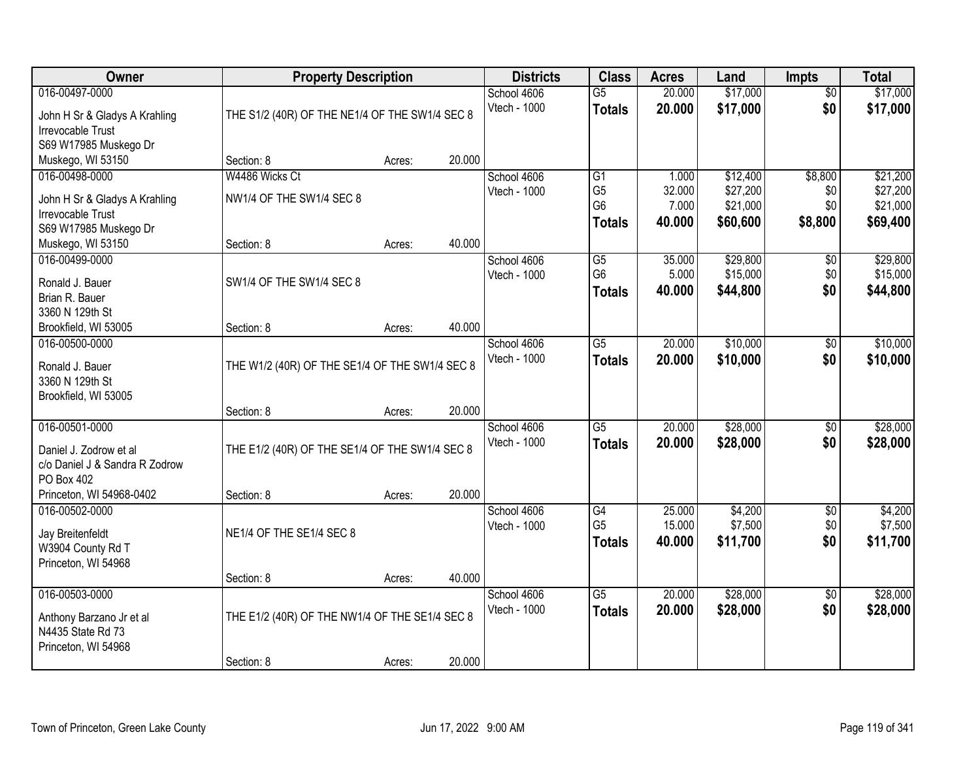| Owner                                 | <b>Property Description</b>                    |        |        | <b>Districts</b> | <b>Class</b>    | <b>Acres</b> | Land     | <b>Impts</b>    | <b>Total</b> |
|---------------------------------------|------------------------------------------------|--------|--------|------------------|-----------------|--------------|----------|-----------------|--------------|
| 016-00497-0000                        |                                                |        |        | School 4606      | $\overline{G5}$ | 20.000       | \$17,000 | $\overline{50}$ | \$17,000     |
| John H Sr & Gladys A Krahling         | THE S1/2 (40R) OF THE NE1/4 OF THE SW1/4 SEC 8 |        |        | Vtech - 1000     | <b>Totals</b>   | 20.000       | \$17,000 | \$0             | \$17,000     |
| <b>Irrevocable Trust</b>              |                                                |        |        |                  |                 |              |          |                 |              |
| S69 W17985 Muskego Dr                 |                                                |        |        |                  |                 |              |          |                 |              |
| Muskego, WI 53150                     | Section: 8                                     | Acres: | 20.000 |                  |                 |              |          |                 |              |
| 016-00498-0000                        | W4486 Wicks Ct                                 |        |        | School 4606      | G1              | 1.000        | \$12,400 | \$8,800         | \$21,200     |
| John H Sr & Gladys A Krahling         | NW1/4 OF THE SW1/4 SEC 8                       |        |        | Vtech - 1000     | G <sub>5</sub>  | 32.000       | \$27,200 | \$0             | \$27,200     |
| Irrevocable Trust                     |                                                |        |        |                  | G <sub>6</sub>  | 7.000        | \$21,000 | \$0             | \$21,000     |
| S69 W17985 Muskego Dr                 |                                                |        |        |                  | <b>Totals</b>   | 40.000       | \$60,600 | \$8,800         | \$69,400     |
| Muskego, WI 53150                     | Section: 8                                     | Acres: | 40.000 |                  |                 |              |          |                 |              |
| 016-00499-0000                        |                                                |        |        | School 4606      | G5              | 35.000       | \$29,800 | \$0             | \$29,800     |
| Ronald J. Bauer                       | SW1/4 OF THE SW1/4 SEC 8                       |        |        | Vtech - 1000     | G <sub>6</sub>  | 5.000        | \$15,000 | \$0             | \$15,000     |
| Brian R. Bauer                        |                                                |        |        |                  | <b>Totals</b>   | 40.000       | \$44,800 | \$0             | \$44,800     |
| 3360 N 129th St                       |                                                |        |        |                  |                 |              |          |                 |              |
| Brookfield, WI 53005                  | Section: 8                                     | Acres: | 40.000 |                  |                 |              |          |                 |              |
| 016-00500-0000                        |                                                |        |        | School 4606      | $\overline{G5}$ | 20.000       | \$10,000 | \$0             | \$10,000     |
| Ronald J. Bauer                       | THE W1/2 (40R) OF THE SE1/4 OF THE SW1/4 SEC 8 |        |        | Vtech - 1000     | <b>Totals</b>   | 20.000       | \$10,000 | \$0             | \$10,000     |
| 3360 N 129th St                       |                                                |        |        |                  |                 |              |          |                 |              |
| Brookfield, WI 53005                  |                                                |        |        |                  |                 |              |          |                 |              |
|                                       | Section: 8                                     | Acres: | 20.000 |                  |                 |              |          |                 |              |
| 016-00501-0000                        |                                                |        |        | School 4606      | $\overline{G5}$ | 20.000       | \$28,000 | \$0             | \$28,000     |
| Daniel J. Zodrow et al                | THE E1/2 (40R) OF THE SE1/4 OF THE SW1/4 SEC 8 |        |        | Vtech - 1000     | <b>Totals</b>   | 20,000       | \$28,000 | \$0             | \$28,000     |
| c/o Daniel J & Sandra R Zodrow        |                                                |        |        |                  |                 |              |          |                 |              |
| PO Box 402                            |                                                |        |        |                  |                 |              |          |                 |              |
| Princeton, WI 54968-0402              | Section: 8                                     | Acres: | 20.000 |                  |                 |              |          |                 |              |
| 016-00502-0000                        |                                                |        |        | School 4606      | G4              | 25.000       | \$4,200  | $\sqrt{$0}$     | \$4,200      |
|                                       | NE1/4 OF THE SE1/4 SEC 8                       |        |        | Vtech - 1000     | G <sub>5</sub>  | 15.000       | \$7,500  | \$0             | \$7,500      |
| Jay Breitenfeldt<br>W3904 County Rd T |                                                |        |        |                  | Totals          | 40.000       | \$11,700 | \$0             | \$11,700     |
| Princeton, WI 54968                   |                                                |        |        |                  |                 |              |          |                 |              |
|                                       | Section: 8                                     | Acres: | 40.000 |                  |                 |              |          |                 |              |
| 016-00503-0000                        |                                                |        |        | School 4606      | $\overline{G5}$ | 20.000       | \$28,000 | $\overline{50}$ | \$28,000     |
| Anthony Barzano Jr et al              | THE E1/2 (40R) OF THE NW1/4 OF THE SE1/4 SEC 8 |        |        | Vtech - 1000     | <b>Totals</b>   | 20.000       | \$28,000 | \$0             | \$28,000     |
| N4435 State Rd 73                     |                                                |        |        |                  |                 |              |          |                 |              |
| Princeton, WI 54968                   |                                                |        |        |                  |                 |              |          |                 |              |
|                                       | Section: 8                                     | Acres: | 20.000 |                  |                 |              |          |                 |              |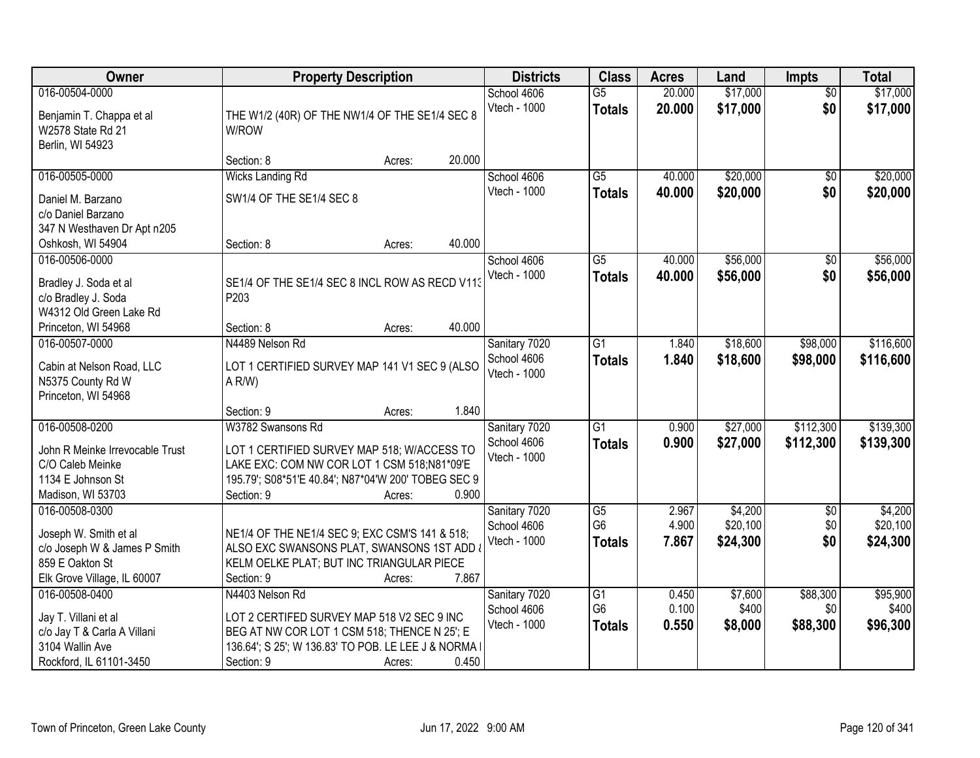| Owner                                                                                                                     | <b>Property Description</b>                                                                                                                                                                                                              | <b>Districts</b>                             | <b>Class</b>                                       | <b>Acres</b>            | Land                            | <b>Impts</b>                | <b>Total</b>                    |
|---------------------------------------------------------------------------------------------------------------------------|------------------------------------------------------------------------------------------------------------------------------------------------------------------------------------------------------------------------------------------|----------------------------------------------|----------------------------------------------------|-------------------------|---------------------------------|-----------------------------|---------------------------------|
| 016-00504-0000<br>Benjamin T. Chappa et al<br>W2578 State Rd 21<br>Berlin, WI 54923                                       | THE W1/2 (40R) OF THE NW1/4 OF THE SE1/4 SEC 8<br>W/ROW                                                                                                                                                                                  | School 4606<br>Vtech - 1000                  | $\overline{G5}$<br><b>Totals</b>                   | 20.000<br>20.000        | \$17,000<br>\$17,000            | $\overline{50}$<br>\$0      | \$17,000<br>\$17,000            |
|                                                                                                                           | 20.000<br>Section: 8<br>Acres:                                                                                                                                                                                                           |                                              |                                                    |                         |                                 |                             |                                 |
| 016-00505-0000<br>Daniel M. Barzano<br>c/o Daniel Barzano                                                                 | <b>Wicks Landing Rd</b><br>SW1/4 OF THE SE1/4 SEC 8                                                                                                                                                                                      | School 4606<br>Vtech - 1000                  | $\overline{G5}$<br><b>Totals</b>                   | 40.000<br>40.000        | \$20,000<br>\$20,000            | $\overline{50}$<br>\$0      | \$20,000<br>\$20,000            |
| 347 N Westhaven Dr Apt n205<br>Oshkosh, WI 54904                                                                          | 40.000<br>Section: 8<br>Acres:                                                                                                                                                                                                           |                                              |                                                    |                         |                                 |                             |                                 |
| 016-00506-0000<br>Bradley J. Soda et al<br>c/o Bradley J. Soda<br>W4312 Old Green Lake Rd                                 | SE1/4 OF THE SE1/4 SEC 8 INCL ROW AS RECD V113<br>P203                                                                                                                                                                                   | School 4606<br>Vtech - 1000                  | $\overline{G5}$<br><b>Totals</b>                   | 40.000<br>40.000        | \$56,000<br>\$56,000            | \$0<br>\$0                  | \$56,000<br>\$56,000            |
| Princeton, WI 54968<br>016-00507-0000<br>Cabin at Nelson Road, LLC<br>N5375 County Rd W<br>Princeton, WI 54968            | 40.000<br>Section: 8<br>Acres:<br>N4489 Nelson Rd<br>LOT 1 CERTIFIED SURVEY MAP 141 V1 SEC 9 (ALSO<br>A R/W                                                                                                                              | Sanitary 7020<br>School 4606<br>Vtech - 1000 | G1<br><b>Totals</b>                                | 1.840<br>1.840          | \$18,600<br>\$18,600            | \$98,000<br>\$98,000        | \$116,600<br>\$116,600          |
| 016-00508-0200<br>John R Meinke Irrevocable Trust<br>C/O Caleb Meinke<br>1134 E Johnson St<br>Madison, WI 53703           | 1.840<br>Section: 9<br>Acres:<br>W3782 Swansons Rd<br>LOT 1 CERTIFIED SURVEY MAP 518; W/ACCESS TO<br>LAKE EXC: COM NW COR LOT 1 CSM 518;N81*09'E<br>195.79'; S08*51'E 40.84'; N87*04'W 200' TOBEG SEC 9<br>0.900<br>Section: 9<br>Acres: | Sanitary 7020<br>School 4606<br>Vtech - 1000 | $\overline{G1}$<br><b>Totals</b>                   | 0.900<br>0.900          | \$27,000<br>\$27,000            | \$112,300<br>\$112,300      | \$139,300<br>\$139,300          |
| 016-00508-0300<br>Joseph W. Smith et al<br>c/o Joseph W & James P Smith<br>859 E Oakton St<br>Elk Grove Village, IL 60007 | NE1/4 OF THE NE1/4 SEC 9; EXC CSM'S 141 & 518;<br>ALSO EXC SWANSONS PLAT, SWANSONS 1ST ADD<br>KELM OELKE PLAT; BUT INC TRIANGULAR PIECE<br>Section: 9<br>7.867<br>Acres:                                                                 | Sanitary 7020<br>School 4606<br>Vtech - 1000 | $\overline{G5}$<br>G <sub>6</sub><br><b>Totals</b> | 2.967<br>4.900<br>7.867 | \$4,200<br>\$20,100<br>\$24,300 | $\sqrt{6}$<br>\$0<br>\$0    | \$4,200<br>\$20,100<br>\$24,300 |
| 016-00508-0400<br>Jay T. Villani et al<br>c/o Jay T & Carla A Villani<br>3104 Wallin Ave<br>Rockford, IL 61101-3450       | N4403 Nelson Rd<br>LOT 2 CERTIFED SURVEY MAP 518 V2 SEC 9 INC<br>BEG AT NW COR LOT 1 CSM 518; THENCE N 25'; E<br>136.64'; S 25'; W 136.83' TO POB. LE LEE J & NORMA I<br>0.450<br>Section: 9<br>Acres:                                   | Sanitary 7020<br>School 4606<br>Vtech - 1000 | G1<br>G <sub>6</sub><br><b>Totals</b>              | 0.450<br>0.100<br>0.550 | \$7,600<br>\$400<br>\$8,000     | \$88,300<br>\$0<br>\$88,300 | \$95,900<br>\$400<br>\$96,300   |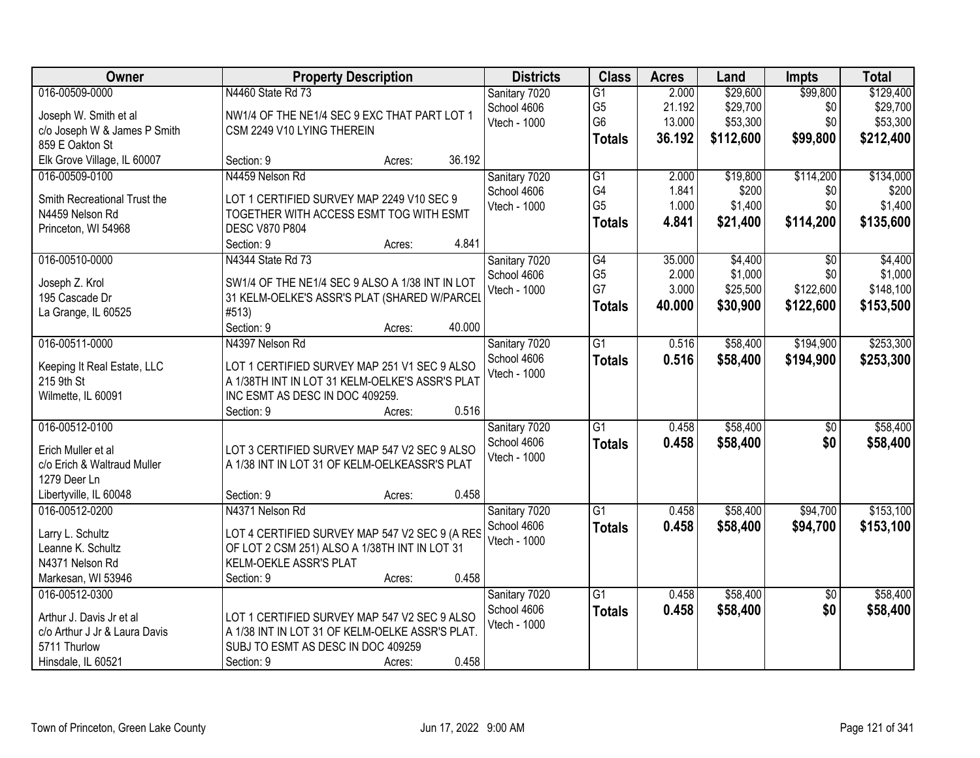| Owner                                     | <b>Property Description</b>                     | <b>Districts</b> | <b>Class</b>         | <b>Acres</b> | Land      | <b>Impts</b>    | <b>Total</b> |
|-------------------------------------------|-------------------------------------------------|------------------|----------------------|--------------|-----------|-----------------|--------------|
| 016-00509-0000                            | N4460 State Rd 73                               | Sanitary 7020    | $\overline{G1}$      | 2.000        | \$29,600  | \$99,800        | \$129,400    |
| Joseph W. Smith et al                     | NW1/4 OF THE NE1/4 SEC 9 EXC THAT PART LOT 1    | School 4606      | G <sub>5</sub>       | 21.192       | \$29,700  | \$0             | \$29,700     |
| c/o Joseph W & James P Smith              | CSM 2249 V10 LYING THEREIN                      | Vtech - 1000     | G <sub>6</sub>       | 13.000       | \$53,300  | \$0             | \$53,300     |
| 859 E Oakton St                           |                                                 |                  | <b>Totals</b>        | 36.192       | \$112,600 | \$99,800        | \$212,400    |
| Elk Grove Village, IL 60007               | 36.192<br>Section: 9<br>Acres:                  |                  |                      |              |           |                 |              |
| 016-00509-0100                            | N4459 Nelson Rd                                 | Sanitary 7020    | G1                   | 2.000        | \$19,800  | \$114,200       | \$134,000    |
|                                           |                                                 | School 4606      | G4                   | 1.841        | \$200     | \$0             | \$200        |
| Smith Recreational Trust the              | LOT 1 CERTIFIED SURVEY MAP 2249 V10 SEC 9       | Vtech - 1000     | G <sub>5</sub>       | 1.000        | \$1,400   | \$0             | \$1,400      |
| N4459 Nelson Rd                           | TOGETHER WITH ACCESS ESMT TOG WITH ESMT         |                  | <b>Totals</b>        | 4.841        | \$21,400  | \$114,200       | \$135,600    |
| Princeton, WI 54968                       | <b>DESC V870 P804</b><br>4.841                  |                  |                      |              |           |                 |              |
| 016-00510-0000                            | Section: 9<br>Acres:<br>N4344 State Rd 73       |                  |                      | 35.000       | \$4,400   | $\overline{50}$ | \$4,400      |
|                                           |                                                 | Sanitary 7020    | G4<br>G <sub>5</sub> | 2.000        | \$1,000   | \$0             | \$1,000      |
| Joseph Z. Krol                            | SW1/4 OF THE NE1/4 SEC 9 ALSO A 1/38 INT IN LOT | School 4606      | G7                   | 3.000        | \$25,500  | \$122,600       | \$148,100    |
| 195 Cascade Dr                            | 31 KELM-OELKE'S ASSR'S PLAT (SHARED W/PARCEL    | Vtech - 1000     |                      |              |           |                 |              |
| La Grange, IL 60525                       | #513)                                           |                  | <b>Totals</b>        | 40.000       | \$30,900  | \$122,600       | \$153,500    |
|                                           | 40.000<br>Section: 9<br>Acres:                  |                  |                      |              |           |                 |              |
| 016-00511-0000                            | N4397 Nelson Rd                                 | Sanitary 7020    | $\overline{G1}$      | 0.516        | \$58,400  | \$194,900       | \$253,300    |
|                                           | LOT 1 CERTIFIED SURVEY MAP 251 V1 SEC 9 ALSO    | School 4606      | <b>Totals</b>        | 0.516        | \$58,400  | \$194,900       | \$253,300    |
| Keeping It Real Estate, LLC<br>215 9th St | A 1/38TH INT IN LOT 31 KELM-OELKE'S ASSR'S PLAT | Vtech - 1000     |                      |              |           |                 |              |
| Wilmette, IL 60091                        | INC ESMT AS DESC IN DOC 409259.                 |                  |                      |              |           |                 |              |
|                                           | 0.516<br>Section: 9<br>Acres:                   |                  |                      |              |           |                 |              |
| 016-00512-0100                            |                                                 | Sanitary 7020    | $\overline{G1}$      | 0.458        | \$58,400  | $\overline{50}$ | \$58,400     |
|                                           |                                                 | School 4606      |                      | 0.458        |           | \$0             |              |
| Erich Muller et al                        | LOT 3 CERTIFIED SURVEY MAP 547 V2 SEC 9 ALSO    | Vtech - 1000     | <b>Totals</b>        |              | \$58,400  |                 | \$58,400     |
| c/o Erich & Waltraud Muller               | A 1/38 INT IN LOT 31 OF KELM-OELKEASSR'S PLAT   |                  |                      |              |           |                 |              |
| 1279 Deer Ln                              |                                                 |                  |                      |              |           |                 |              |
| Libertyville, IL 60048                    | 0.458<br>Section: 9<br>Acres:                   |                  |                      |              |           |                 |              |
| 016-00512-0200                            | N4371 Nelson Rd                                 | Sanitary 7020    | G1                   | 0.458        | \$58,400  | \$94,700        | \$153,100    |
| Larry L. Schultz                          | LOT 4 CERTIFIED SURVEY MAP 547 V2 SEC 9 (A RES  | School 4606      | <b>Totals</b>        | 0.458        | \$58,400  | \$94,700        | \$153,100    |
| Leanne K. Schultz                         | OF LOT 2 CSM 251) ALSO A 1/38TH INT IN LOT 31   | Vtech - 1000     |                      |              |           |                 |              |
| N4371 Nelson Rd                           | KELM-OEKLE ASSR'S PLAT                          |                  |                      |              |           |                 |              |
| Markesan, WI 53946                        | 0.458<br>Section: 9<br>Acres:                   |                  |                      |              |           |                 |              |
| 016-00512-0300                            |                                                 | Sanitary 7020    | $\overline{G1}$      | 0.458        | \$58,400  | $\overline{50}$ | \$58,400     |
|                                           |                                                 | School 4606      | <b>Totals</b>        | 0.458        | \$58,400  | \$0             | \$58,400     |
| Arthur J. Davis Jr et al                  | LOT 1 CERTIFIED SURVEY MAP 547 V2 SEC 9 ALSO    | Vtech - 1000     |                      |              |           |                 |              |
| c/o Arthur J Jr & Laura Davis             | A 1/38 INT IN LOT 31 OF KELM-OELKE ASSR'S PLAT. |                  |                      |              |           |                 |              |
| 5711 Thurlow                              | SUBJ TO ESMT AS DESC IN DOC 409259              |                  |                      |              |           |                 |              |
| Hinsdale, IL 60521                        | 0.458<br>Section: 9<br>Acres:                   |                  |                      |              |           |                 |              |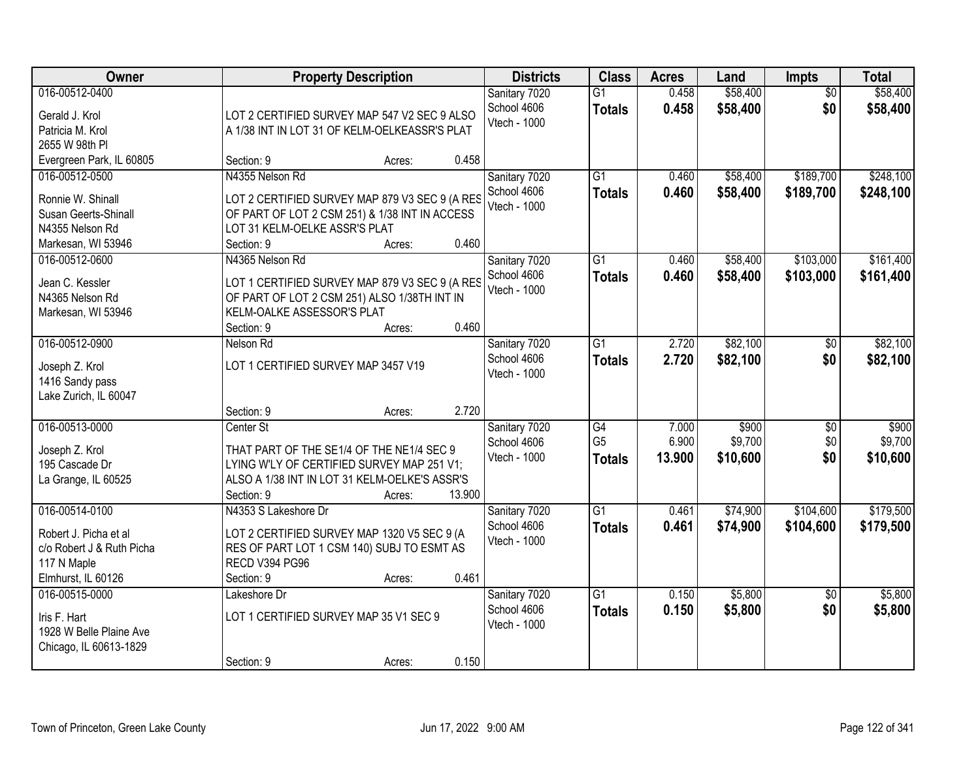| Owner                                                                                                     | <b>Property Description</b>                                                                                                                                         |                  |        | <b>Districts</b>                             | <b>Class</b>                          | <b>Acres</b>             | Land                         | Impts                         | <b>Total</b>                 |
|-----------------------------------------------------------------------------------------------------------|---------------------------------------------------------------------------------------------------------------------------------------------------------------------|------------------|--------|----------------------------------------------|---------------------------------------|--------------------------|------------------------------|-------------------------------|------------------------------|
| 016-00512-0400<br>Gerald J. Krol<br>Patricia M. Krol<br>2655 W 98th PI                                    | LOT 2 CERTIFIED SURVEY MAP 547 V2 SEC 9 ALSO<br>A 1/38 INT IN LOT 31 OF KELM-OELKEASSR'S PLAT                                                                       |                  |        | Sanitary 7020<br>School 4606<br>Vtech - 1000 | $\overline{G1}$<br><b>Totals</b>      | 0.458<br>0.458           | \$58,400<br>\$58,400         | $\overline{30}$<br>\$0        | \$58,400<br>\$58,400         |
| Evergreen Park, IL 60805                                                                                  | Section: 9                                                                                                                                                          | Acres:           | 0.458  |                                              |                                       |                          |                              |                               |                              |
| 016-00512-0500<br>Ronnie W. Shinall<br>Susan Geerts-Shinall<br>N4355 Nelson Rd<br>Markesan, WI 53946      | N4355 Nelson Rd<br>LOT 2 CERTIFIED SURVEY MAP 879 V3 SEC 9 (A RES<br>OF PART OF LOT 2 CSM 251) & 1/38 INT IN ACCESS<br>LOT 31 KELM-OELKE ASSR'S PLAT<br>Section: 9  | Acres:           | 0.460  | Sanitary 7020<br>School 4606<br>Vtech - 1000 | G1<br><b>Totals</b>                   | 0.460<br>0.460           | \$58,400<br>\$58,400         | \$189,700<br>\$189,700        | \$248,100<br>\$248,100       |
| 016-00512-0600<br>Jean C. Kessler<br>N4365 Nelson Rd<br>Markesan, WI 53946                                | N4365 Nelson Rd<br>LOT 1 CERTIFIED SURVEY MAP 879 V3 SEC 9 (A RES<br>OF PART OF LOT 2 CSM 251) ALSO 1/38TH INT IN<br>KELM-OALKE ASSESSOR'S PLAT<br>Section: 9       | Acres:           | 0.460  | Sanitary 7020<br>School 4606<br>Vtech - 1000 | G1<br><b>Totals</b>                   | 0.460<br>0.460           | \$58,400<br>\$58,400         | \$103,000<br>\$103,000        | \$161,400<br>\$161,400       |
| 016-00512-0900<br>Joseph Z. Krol<br>1416 Sandy pass<br>Lake Zurich, IL 60047                              | Nelson Rd<br>LOT 1 CERTIFIED SURVEY MAP 3457 V19<br>Section: 9                                                                                                      |                  | 2.720  | Sanitary 7020<br>School 4606<br>Vtech - 1000 | G1<br><b>Totals</b>                   | 2.720<br>2.720           | \$82,100<br>\$82,100         | \$0<br>\$0                    | \$82,100<br>\$82,100         |
| 016-00513-0000<br>Joseph Z. Krol<br>195 Cascade Dr<br>La Grange, IL 60525                                 | Center St<br>THAT PART OF THE SE1/4 OF THE NE1/4 SEC 9<br>LYING W'LY OF CERTIFIED SURVEY MAP 251 V1;<br>ALSO A 1/38 INT IN LOT 31 KELM-OELKE'S ASSR'S<br>Section: 9 | Acres:<br>Acres: | 13.900 | Sanitary 7020<br>School 4606<br>Vtech - 1000 | G4<br>G <sub>5</sub><br><b>Totals</b> | 7.000<br>6.900<br>13.900 | \$900<br>\$9,700<br>\$10,600 | $\overline{50}$<br>\$0<br>\$0 | \$900<br>\$9,700<br>\$10,600 |
| 016-00514-0100<br>Robert J. Picha et al<br>c/o Robert J & Ruth Picha<br>117 N Maple<br>Elmhurst, IL 60126 | N4353 S Lakeshore Dr<br>LOT 2 CERTIFIED SURVEY MAP 1320 V5 SEC 9 (A<br>RES OF PART LOT 1 CSM 140) SUBJ TO ESMT AS<br>RECD V394 PG96<br>Section: 9                   | Acres:           | 0.461  | Sanitary 7020<br>School 4606<br>Vtech - 1000 | $\overline{G1}$<br><b>Totals</b>      | 0.461<br>0.461           | \$74,900<br>\$74,900         | \$104,600<br>\$104,600        | \$179,500<br>\$179,500       |
| 016-00515-0000<br>Iris F. Hart<br>1928 W Belle Plaine Ave<br>Chicago, IL 60613-1829                       | Lakeshore Dr<br>LOT 1 CERTIFIED SURVEY MAP 35 V1 SEC 9<br>Section: 9                                                                                                | Acres:           | 0.150  | Sanitary 7020<br>School 4606<br>Vtech - 1000 | $\overline{G1}$<br><b>Totals</b>      | 0.150<br>0.150           | \$5,800<br>\$5,800           | $\overline{50}$<br>\$0        | \$5,800<br>\$5,800           |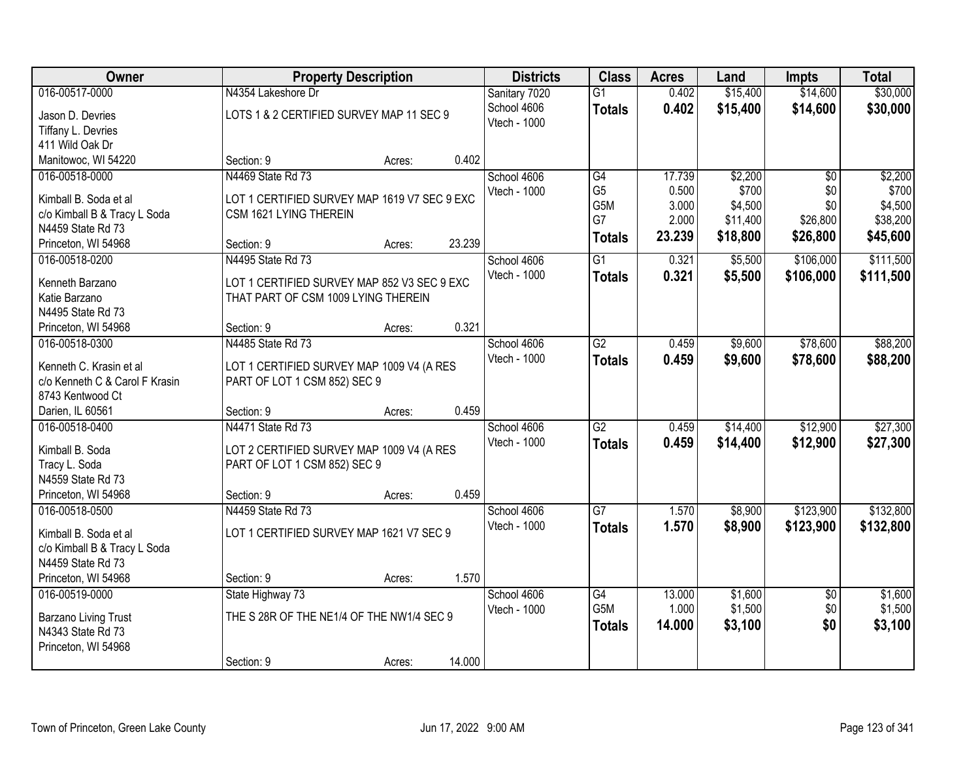| 016-00517-0000<br>\$15,400<br>\$14,600<br>\$30,000<br>N4354 Lakeshore Dr<br>Sanitary 7020<br>$\overline{G1}$<br>0.402<br>School 4606<br>0.402<br>\$15,400<br>\$14,600<br>\$30,000<br><b>Totals</b><br>LOTS 1 & 2 CERTIFIED SURVEY MAP 11 SEC 9<br>Jason D. Devries<br>Vtech - 1000<br>Tiffany L. Devries<br>411 Wild Oak Dr<br>0.402<br>Manitowoc, WI 54220<br>Section: 9<br>Acres:<br>\$2,200<br>N4469 State Rd 73<br>17.739<br>016-00518-0000<br>School 4606<br>G4<br>$\overline{50}$<br>G <sub>5</sub><br>0.500<br>\$700<br>\$0<br>Vtech - 1000<br>Kimball B. Soda et al<br>LOT 1 CERTIFIED SURVEY MAP 1619 V7 SEC 9 EXC<br>G5M<br>3.000<br>\$4,500<br>\$0<br>c/o Kimball B & Tracy L Soda<br>CSM 1621 LYING THEREIN<br>G7<br>2.000<br>\$11,400<br>\$26,800<br>N4459 State Rd 73<br>23.239<br>\$18,800<br>\$26,800<br>\$45,600<br><b>Totals</b><br>23.239<br>Princeton, WI 54968<br>Section: 9<br>Acres:<br>$\overline{G1}$<br>0.321<br>\$5,500<br>\$106,000<br>016-00518-0200<br>N4495 State Rd 73<br>School 4606<br>Vtech - 1000<br>0.321<br>\$106,000<br>\$5,500<br><b>Totals</b><br>Kenneth Barzano<br>LOT 1 CERTIFIED SURVEY MAP 852 V3 SEC 9 EXC<br>THAT PART OF CSM 1009 LYING THEREIN<br>Katie Barzano<br>N4495 State Rd 73<br>0.321<br>Princeton, WI 54968<br>Section: 9<br>Acres:<br>N4485 State Rd 73<br>$\overline{G2}$<br>\$9,600<br>\$78,600<br>016-00518-0300<br>School 4606<br>0.459<br>Vtech - 1000<br>0.459<br>\$9,600<br>\$78,600<br>\$88,200<br><b>Totals</b><br>Kenneth C. Krasin et al<br>LOT 1 CERTIFIED SURVEY MAP 1009 V4 (A RES<br>c/o Kenneth C & Carol F Krasin<br>PART OF LOT 1 CSM 852) SEC 9<br>8743 Kentwood Ct<br>0.459<br>Darien, IL 60561<br>Section: 9<br>Acres:<br>N4471 State Rd 73<br>$\overline{G2}$<br>\$14,400<br>\$12,900<br>016-00518-0400<br>0.459<br>School 4606<br>Vtech - 1000<br>0.459<br>\$14,400<br>\$12,900<br><b>Totals</b><br>Kimball B. Soda<br>LOT 2 CERTIFIED SURVEY MAP 1009 V4 (A RES<br>Tracy L. Soda<br>PART OF LOT 1 CSM 852) SEC 9<br>N4559 State Rd 73<br>Princeton, WI 54968<br>0.459<br>Section: 9<br>Acres:<br>$\overline{G7}$<br>\$123,900<br>016-00518-0500<br>N4459 State Rd 73<br>School 4606<br>1.570<br>\$8,900<br>Vtech - 1000<br>1.570<br>\$8,900<br>\$123,900<br>\$132,800<br><b>Totals</b><br>LOT 1 CERTIFIED SURVEY MAP 1621 V7 SEC 9<br>Kimball B. Soda et al<br>c/o Kimball B & Tracy L Soda<br>N4459 State Rd 73<br>1.570<br>Princeton, WI 54968<br>Section: 9<br>Acres:<br>$\overline{G4}$<br>\$1,600<br>016-00519-0000<br>State Highway 73<br>13.000<br>$\overline{30}$<br>School 4606<br>G <sub>5</sub> M<br>1.000<br>\$1,500<br>\$0<br>Vtech - 1000<br>THE S 28R OF THE NE1/4 OF THE NW1/4 SEC 9<br><b>Barzano Living Trust</b><br>\$0<br>\$3,100<br>14.000<br>\$3,100<br><b>Totals</b><br>N4343 State Rd 73<br>Princeton, WI 54968 | Owner |            | <b>Property Description</b> |        | <b>Districts</b> | <b>Class</b> | <b>Acres</b> | Land | <b>Impts</b> | <b>Total</b> |
|-----------------------------------------------------------------------------------------------------------------------------------------------------------------------------------------------------------------------------------------------------------------------------------------------------------------------------------------------------------------------------------------------------------------------------------------------------------------------------------------------------------------------------------------------------------------------------------------------------------------------------------------------------------------------------------------------------------------------------------------------------------------------------------------------------------------------------------------------------------------------------------------------------------------------------------------------------------------------------------------------------------------------------------------------------------------------------------------------------------------------------------------------------------------------------------------------------------------------------------------------------------------------------------------------------------------------------------------------------------------------------------------------------------------------------------------------------------------------------------------------------------------------------------------------------------------------------------------------------------------------------------------------------------------------------------------------------------------------------------------------------------------------------------------------------------------------------------------------------------------------------------------------------------------------------------------------------------------------------------------------------------------------------------------------------------------------------------------------------------------------------------------------------------------------------------------------------------------------------------------------------------------------------------------------------------------------------------------------------------------------------------------------------------------------------------------------------------------------------------------------------------------------------------------------------------------------------------------------------------------------------------------------------------------------------------------------------------------------------------------------------------------------------------------------------------------------------|-------|------------|-----------------------------|--------|------------------|--------------|--------------|------|--------------|--------------|
|                                                                                                                                                                                                                                                                                                                                                                                                                                                                                                                                                                                                                                                                                                                                                                                                                                                                                                                                                                                                                                                                                                                                                                                                                                                                                                                                                                                                                                                                                                                                                                                                                                                                                                                                                                                                                                                                                                                                                                                                                                                                                                                                                                                                                                                                                                                                                                                                                                                                                                                                                                                                                                                                                                                                                                                                                             |       |            |                             |        |                  |              |              |      |              |              |
|                                                                                                                                                                                                                                                                                                                                                                                                                                                                                                                                                                                                                                                                                                                                                                                                                                                                                                                                                                                                                                                                                                                                                                                                                                                                                                                                                                                                                                                                                                                                                                                                                                                                                                                                                                                                                                                                                                                                                                                                                                                                                                                                                                                                                                                                                                                                                                                                                                                                                                                                                                                                                                                                                                                                                                                                                             |       |            |                             |        |                  |              |              |      |              |              |
|                                                                                                                                                                                                                                                                                                                                                                                                                                                                                                                                                                                                                                                                                                                                                                                                                                                                                                                                                                                                                                                                                                                                                                                                                                                                                                                                                                                                                                                                                                                                                                                                                                                                                                                                                                                                                                                                                                                                                                                                                                                                                                                                                                                                                                                                                                                                                                                                                                                                                                                                                                                                                                                                                                                                                                                                                             |       |            |                             |        |                  |              |              |      |              |              |
|                                                                                                                                                                                                                                                                                                                                                                                                                                                                                                                                                                                                                                                                                                                                                                                                                                                                                                                                                                                                                                                                                                                                                                                                                                                                                                                                                                                                                                                                                                                                                                                                                                                                                                                                                                                                                                                                                                                                                                                                                                                                                                                                                                                                                                                                                                                                                                                                                                                                                                                                                                                                                                                                                                                                                                                                                             |       |            |                             |        |                  |              |              |      |              |              |
|                                                                                                                                                                                                                                                                                                                                                                                                                                                                                                                                                                                                                                                                                                                                                                                                                                                                                                                                                                                                                                                                                                                                                                                                                                                                                                                                                                                                                                                                                                                                                                                                                                                                                                                                                                                                                                                                                                                                                                                                                                                                                                                                                                                                                                                                                                                                                                                                                                                                                                                                                                                                                                                                                                                                                                                                                             |       |            |                             |        |                  |              |              |      |              |              |
| \$700<br>\$4,500<br>\$38,200<br>\$111,500<br>\$111,500                                                                                                                                                                                                                                                                                                                                                                                                                                                                                                                                                                                                                                                                                                                                                                                                                                                                                                                                                                                                                                                                                                                                                                                                                                                                                                                                                                                                                                                                                                                                                                                                                                                                                                                                                                                                                                                                                                                                                                                                                                                                                                                                                                                                                                                                                                                                                                                                                                                                                                                                                                                                                                                                                                                                                                      |       |            |                             |        |                  |              |              |      |              | \$2,200      |
|                                                                                                                                                                                                                                                                                                                                                                                                                                                                                                                                                                                                                                                                                                                                                                                                                                                                                                                                                                                                                                                                                                                                                                                                                                                                                                                                                                                                                                                                                                                                                                                                                                                                                                                                                                                                                                                                                                                                                                                                                                                                                                                                                                                                                                                                                                                                                                                                                                                                                                                                                                                                                                                                                                                                                                                                                             |       |            |                             |        |                  |              |              |      |              |              |
|                                                                                                                                                                                                                                                                                                                                                                                                                                                                                                                                                                                                                                                                                                                                                                                                                                                                                                                                                                                                                                                                                                                                                                                                                                                                                                                                                                                                                                                                                                                                                                                                                                                                                                                                                                                                                                                                                                                                                                                                                                                                                                                                                                                                                                                                                                                                                                                                                                                                                                                                                                                                                                                                                                                                                                                                                             |       |            |                             |        |                  |              |              |      |              |              |
|                                                                                                                                                                                                                                                                                                                                                                                                                                                                                                                                                                                                                                                                                                                                                                                                                                                                                                                                                                                                                                                                                                                                                                                                                                                                                                                                                                                                                                                                                                                                                                                                                                                                                                                                                                                                                                                                                                                                                                                                                                                                                                                                                                                                                                                                                                                                                                                                                                                                                                                                                                                                                                                                                                                                                                                                                             |       |            |                             |        |                  |              |              |      |              |              |
|                                                                                                                                                                                                                                                                                                                                                                                                                                                                                                                                                                                                                                                                                                                                                                                                                                                                                                                                                                                                                                                                                                                                                                                                                                                                                                                                                                                                                                                                                                                                                                                                                                                                                                                                                                                                                                                                                                                                                                                                                                                                                                                                                                                                                                                                                                                                                                                                                                                                                                                                                                                                                                                                                                                                                                                                                             |       |            |                             |        |                  |              |              |      |              |              |
|                                                                                                                                                                                                                                                                                                                                                                                                                                                                                                                                                                                                                                                                                                                                                                                                                                                                                                                                                                                                                                                                                                                                                                                                                                                                                                                                                                                                                                                                                                                                                                                                                                                                                                                                                                                                                                                                                                                                                                                                                                                                                                                                                                                                                                                                                                                                                                                                                                                                                                                                                                                                                                                                                                                                                                                                                             |       |            |                             |        |                  |              |              |      |              |              |
|                                                                                                                                                                                                                                                                                                                                                                                                                                                                                                                                                                                                                                                                                                                                                                                                                                                                                                                                                                                                                                                                                                                                                                                                                                                                                                                                                                                                                                                                                                                                                                                                                                                                                                                                                                                                                                                                                                                                                                                                                                                                                                                                                                                                                                                                                                                                                                                                                                                                                                                                                                                                                                                                                                                                                                                                                             |       |            |                             |        |                  |              |              |      |              |              |
|                                                                                                                                                                                                                                                                                                                                                                                                                                                                                                                                                                                                                                                                                                                                                                                                                                                                                                                                                                                                                                                                                                                                                                                                                                                                                                                                                                                                                                                                                                                                                                                                                                                                                                                                                                                                                                                                                                                                                                                                                                                                                                                                                                                                                                                                                                                                                                                                                                                                                                                                                                                                                                                                                                                                                                                                                             |       |            |                             |        |                  |              |              |      |              |              |
|                                                                                                                                                                                                                                                                                                                                                                                                                                                                                                                                                                                                                                                                                                                                                                                                                                                                                                                                                                                                                                                                                                                                                                                                                                                                                                                                                                                                                                                                                                                                                                                                                                                                                                                                                                                                                                                                                                                                                                                                                                                                                                                                                                                                                                                                                                                                                                                                                                                                                                                                                                                                                                                                                                                                                                                                                             |       |            |                             |        |                  |              |              |      |              |              |
| \$88,200<br>\$27,300<br>\$27,300<br>\$132,800<br>\$1,600<br>\$1,500                                                                                                                                                                                                                                                                                                                                                                                                                                                                                                                                                                                                                                                                                                                                                                                                                                                                                                                                                                                                                                                                                                                                                                                                                                                                                                                                                                                                                                                                                                                                                                                                                                                                                                                                                                                                                                                                                                                                                                                                                                                                                                                                                                                                                                                                                                                                                                                                                                                                                                                                                                                                                                                                                                                                                         |       |            |                             |        |                  |              |              |      |              |              |
|                                                                                                                                                                                                                                                                                                                                                                                                                                                                                                                                                                                                                                                                                                                                                                                                                                                                                                                                                                                                                                                                                                                                                                                                                                                                                                                                                                                                                                                                                                                                                                                                                                                                                                                                                                                                                                                                                                                                                                                                                                                                                                                                                                                                                                                                                                                                                                                                                                                                                                                                                                                                                                                                                                                                                                                                                             |       |            |                             |        |                  |              |              |      |              |              |
|                                                                                                                                                                                                                                                                                                                                                                                                                                                                                                                                                                                                                                                                                                                                                                                                                                                                                                                                                                                                                                                                                                                                                                                                                                                                                                                                                                                                                                                                                                                                                                                                                                                                                                                                                                                                                                                                                                                                                                                                                                                                                                                                                                                                                                                                                                                                                                                                                                                                                                                                                                                                                                                                                                                                                                                                                             |       |            |                             |        |                  |              |              |      |              |              |
|                                                                                                                                                                                                                                                                                                                                                                                                                                                                                                                                                                                                                                                                                                                                                                                                                                                                                                                                                                                                                                                                                                                                                                                                                                                                                                                                                                                                                                                                                                                                                                                                                                                                                                                                                                                                                                                                                                                                                                                                                                                                                                                                                                                                                                                                                                                                                                                                                                                                                                                                                                                                                                                                                                                                                                                                                             |       |            |                             |        |                  |              |              |      |              |              |
|                                                                                                                                                                                                                                                                                                                                                                                                                                                                                                                                                                                                                                                                                                                                                                                                                                                                                                                                                                                                                                                                                                                                                                                                                                                                                                                                                                                                                                                                                                                                                                                                                                                                                                                                                                                                                                                                                                                                                                                                                                                                                                                                                                                                                                                                                                                                                                                                                                                                                                                                                                                                                                                                                                                                                                                                                             |       |            |                             |        |                  |              |              |      |              |              |
|                                                                                                                                                                                                                                                                                                                                                                                                                                                                                                                                                                                                                                                                                                                                                                                                                                                                                                                                                                                                                                                                                                                                                                                                                                                                                                                                                                                                                                                                                                                                                                                                                                                                                                                                                                                                                                                                                                                                                                                                                                                                                                                                                                                                                                                                                                                                                                                                                                                                                                                                                                                                                                                                                                                                                                                                                             |       |            |                             |        |                  |              |              |      |              |              |
|                                                                                                                                                                                                                                                                                                                                                                                                                                                                                                                                                                                                                                                                                                                                                                                                                                                                                                                                                                                                                                                                                                                                                                                                                                                                                                                                                                                                                                                                                                                                                                                                                                                                                                                                                                                                                                                                                                                                                                                                                                                                                                                                                                                                                                                                                                                                                                                                                                                                                                                                                                                                                                                                                                                                                                                                                             |       |            |                             |        |                  |              |              |      |              |              |
|                                                                                                                                                                                                                                                                                                                                                                                                                                                                                                                                                                                                                                                                                                                                                                                                                                                                                                                                                                                                                                                                                                                                                                                                                                                                                                                                                                                                                                                                                                                                                                                                                                                                                                                                                                                                                                                                                                                                                                                                                                                                                                                                                                                                                                                                                                                                                                                                                                                                                                                                                                                                                                                                                                                                                                                                                             |       |            |                             |        |                  |              |              |      |              |              |
|                                                                                                                                                                                                                                                                                                                                                                                                                                                                                                                                                                                                                                                                                                                                                                                                                                                                                                                                                                                                                                                                                                                                                                                                                                                                                                                                                                                                                                                                                                                                                                                                                                                                                                                                                                                                                                                                                                                                                                                                                                                                                                                                                                                                                                                                                                                                                                                                                                                                                                                                                                                                                                                                                                                                                                                                                             |       |            |                             |        |                  |              |              |      |              |              |
|                                                                                                                                                                                                                                                                                                                                                                                                                                                                                                                                                                                                                                                                                                                                                                                                                                                                                                                                                                                                                                                                                                                                                                                                                                                                                                                                                                                                                                                                                                                                                                                                                                                                                                                                                                                                                                                                                                                                                                                                                                                                                                                                                                                                                                                                                                                                                                                                                                                                                                                                                                                                                                                                                                                                                                                                                             |       |            |                             |        |                  |              |              |      |              |              |
|                                                                                                                                                                                                                                                                                                                                                                                                                                                                                                                                                                                                                                                                                                                                                                                                                                                                                                                                                                                                                                                                                                                                                                                                                                                                                                                                                                                                                                                                                                                                                                                                                                                                                                                                                                                                                                                                                                                                                                                                                                                                                                                                                                                                                                                                                                                                                                                                                                                                                                                                                                                                                                                                                                                                                                                                                             |       |            |                             |        |                  |              |              |      |              |              |
|                                                                                                                                                                                                                                                                                                                                                                                                                                                                                                                                                                                                                                                                                                                                                                                                                                                                                                                                                                                                                                                                                                                                                                                                                                                                                                                                                                                                                                                                                                                                                                                                                                                                                                                                                                                                                                                                                                                                                                                                                                                                                                                                                                                                                                                                                                                                                                                                                                                                                                                                                                                                                                                                                                                                                                                                                             |       |            |                             |        |                  |              |              |      |              |              |
|                                                                                                                                                                                                                                                                                                                                                                                                                                                                                                                                                                                                                                                                                                                                                                                                                                                                                                                                                                                                                                                                                                                                                                                                                                                                                                                                                                                                                                                                                                                                                                                                                                                                                                                                                                                                                                                                                                                                                                                                                                                                                                                                                                                                                                                                                                                                                                                                                                                                                                                                                                                                                                                                                                                                                                                                                             |       |            |                             |        |                  |              |              |      |              |              |
|                                                                                                                                                                                                                                                                                                                                                                                                                                                                                                                                                                                                                                                                                                                                                                                                                                                                                                                                                                                                                                                                                                                                                                                                                                                                                                                                                                                                                                                                                                                                                                                                                                                                                                                                                                                                                                                                                                                                                                                                                                                                                                                                                                                                                                                                                                                                                                                                                                                                                                                                                                                                                                                                                                                                                                                                                             |       |            |                             |        |                  |              |              |      |              |              |
|                                                                                                                                                                                                                                                                                                                                                                                                                                                                                                                                                                                                                                                                                                                                                                                                                                                                                                                                                                                                                                                                                                                                                                                                                                                                                                                                                                                                                                                                                                                                                                                                                                                                                                                                                                                                                                                                                                                                                                                                                                                                                                                                                                                                                                                                                                                                                                                                                                                                                                                                                                                                                                                                                                                                                                                                                             |       |            |                             |        |                  |              |              |      |              |              |
|                                                                                                                                                                                                                                                                                                                                                                                                                                                                                                                                                                                                                                                                                                                                                                                                                                                                                                                                                                                                                                                                                                                                                                                                                                                                                                                                                                                                                                                                                                                                                                                                                                                                                                                                                                                                                                                                                                                                                                                                                                                                                                                                                                                                                                                                                                                                                                                                                                                                                                                                                                                                                                                                                                                                                                                                                             |       |            |                             |        |                  |              |              |      |              |              |
|                                                                                                                                                                                                                                                                                                                                                                                                                                                                                                                                                                                                                                                                                                                                                                                                                                                                                                                                                                                                                                                                                                                                                                                                                                                                                                                                                                                                                                                                                                                                                                                                                                                                                                                                                                                                                                                                                                                                                                                                                                                                                                                                                                                                                                                                                                                                                                                                                                                                                                                                                                                                                                                                                                                                                                                                                             |       |            |                             |        |                  |              |              |      |              |              |
|                                                                                                                                                                                                                                                                                                                                                                                                                                                                                                                                                                                                                                                                                                                                                                                                                                                                                                                                                                                                                                                                                                                                                                                                                                                                                                                                                                                                                                                                                                                                                                                                                                                                                                                                                                                                                                                                                                                                                                                                                                                                                                                                                                                                                                                                                                                                                                                                                                                                                                                                                                                                                                                                                                                                                                                                                             |       |            |                             |        |                  |              |              |      |              |              |
|                                                                                                                                                                                                                                                                                                                                                                                                                                                                                                                                                                                                                                                                                                                                                                                                                                                                                                                                                                                                                                                                                                                                                                                                                                                                                                                                                                                                                                                                                                                                                                                                                                                                                                                                                                                                                                                                                                                                                                                                                                                                                                                                                                                                                                                                                                                                                                                                                                                                                                                                                                                                                                                                                                                                                                                                                             |       |            |                             |        |                  |              |              |      |              |              |
|                                                                                                                                                                                                                                                                                                                                                                                                                                                                                                                                                                                                                                                                                                                                                                                                                                                                                                                                                                                                                                                                                                                                                                                                                                                                                                                                                                                                                                                                                                                                                                                                                                                                                                                                                                                                                                                                                                                                                                                                                                                                                                                                                                                                                                                                                                                                                                                                                                                                                                                                                                                                                                                                                                                                                                                                                             |       |            |                             |        |                  |              |              |      |              |              |
|                                                                                                                                                                                                                                                                                                                                                                                                                                                                                                                                                                                                                                                                                                                                                                                                                                                                                                                                                                                                                                                                                                                                                                                                                                                                                                                                                                                                                                                                                                                                                                                                                                                                                                                                                                                                                                                                                                                                                                                                                                                                                                                                                                                                                                                                                                                                                                                                                                                                                                                                                                                                                                                                                                                                                                                                                             |       |            |                             |        |                  |              |              |      |              |              |
|                                                                                                                                                                                                                                                                                                                                                                                                                                                                                                                                                                                                                                                                                                                                                                                                                                                                                                                                                                                                                                                                                                                                                                                                                                                                                                                                                                                                                                                                                                                                                                                                                                                                                                                                                                                                                                                                                                                                                                                                                                                                                                                                                                                                                                                                                                                                                                                                                                                                                                                                                                                                                                                                                                                                                                                                                             |       | Section: 9 | Acres:                      | 14.000 |                  |              |              |      |              |              |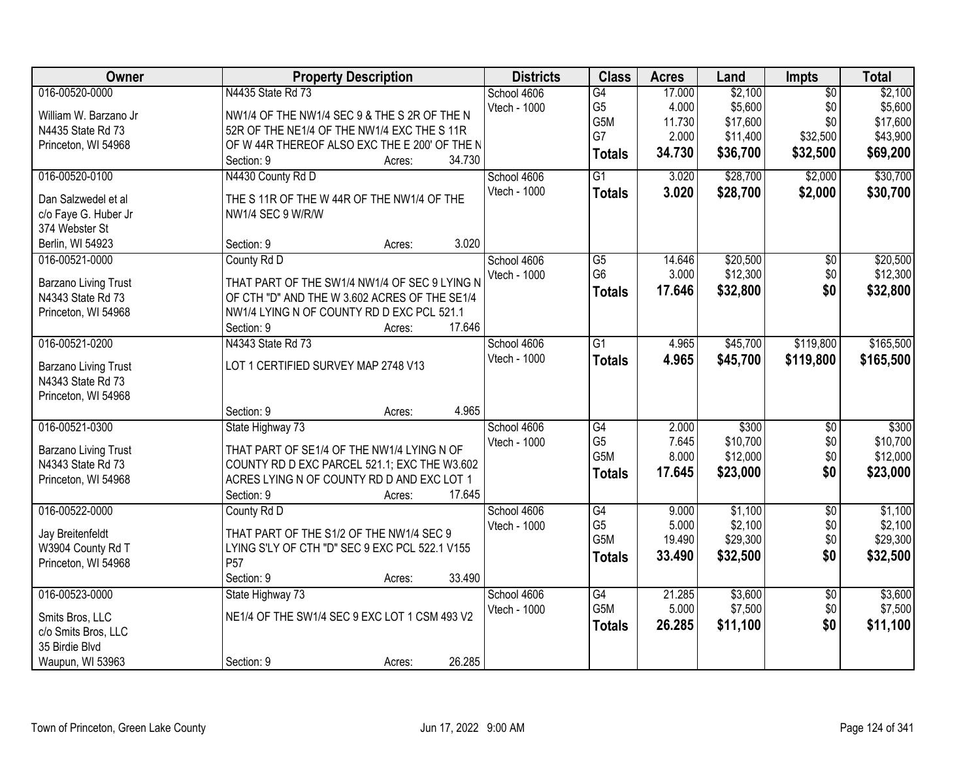| School 4606<br>G4<br>17.000<br>4.000<br>\$5,600<br>\$5,600<br>G <sub>5</sub><br>\$0<br>Vtech - 1000<br>William W. Barzano Jr<br>NW1/4 OF THE NW1/4 SEC 9 & THE S 2R OF THE N<br>G5M<br>\$17,600<br>\$0<br>\$17,600<br>11.730<br>52R OF THE NE1/4 OF THE NW1/4 EXC THE S 11R<br>N4435 State Rd 73<br>G7<br>\$32,500<br>2.000<br>\$11,400<br>\$43,900<br>OF W 44R THEREOF ALSO EXC THE E 200' OF THE N<br>Princeton, WI 54968<br>\$36,700<br>\$32,500<br>34.730<br>\$69,200<br><b>Totals</b><br>34.730<br>Section: 9<br>Acres:<br>\$28,700<br>016-00520-0100<br>N4430 County Rd D<br>$\overline{G1}$<br>3.020<br>\$2,000<br>School 4606<br>Vtech - 1000<br>3.020<br>\$28,700<br>\$2,000<br><b>Totals</b><br>Dan Salzwedel et al<br>THE S 11R OF THE W 44R OF THE NW1/4 OF THE<br>c/o Faye G. Huber Jr<br>NW1/4 SEC 9 W/R/W<br>374 Webster St<br>3.020<br>Section: 9<br>Berlin, WI 54923<br>Acres:<br>\$20,500<br>016-00521-0000<br>County Rd D<br>School 4606<br>$\overline{G5}$<br>14.646<br>$\overline{50}$<br>G <sub>6</sub><br>\$12,300<br>\$0<br>3.000<br>Vtech - 1000<br>THAT PART OF THE SW1/4 NW1/4 OF SEC 9 LYING N<br>Barzano Living Trust<br>17.646<br>\$32,800<br>\$0<br><b>Totals</b><br>OF CTH "D" AND THE W 3.602 ACRES OF THE SE1/4<br>N4343 State Rd 73<br>NW1/4 LYING N OF COUNTY RD D EXC PCL 521.1<br>Princeton, WI 54968<br>17.646<br>Section: 9<br>Acres:<br>016-00521-0200<br>N4343 State Rd 73<br>$\overline{G1}$<br>\$45,700<br>\$119,800<br>School 4606<br>4.965<br>Vtech - 1000<br>4.965<br>\$45,700<br>\$119,800<br><b>Totals</b><br>LOT 1 CERTIFIED SURVEY MAP 2748 V13<br>Barzano Living Trust<br>N4343 State Rd 73<br>Princeton, WI 54968<br>4.965<br>Section: 9<br>Acres:<br>016-00521-0300<br>\$300<br>$\overline{G4}$<br>2.000<br>$\overline{50}$<br>\$300<br>State Highway 73<br>School 4606<br>G <sub>5</sub><br>\$10,700<br>7.645<br>\$0<br>Vtech - 1000<br><b>Barzano Living Trust</b><br>THAT PART OF SE1/4 OF THE NW1/4 LYING N OF<br>\$0<br>G5M<br>8.000<br>\$12,000<br>COUNTY RD D EXC PARCEL 521.1; EXC THE W3.602<br>N4343 State Rd 73<br>\$0<br>17.645<br>\$23,000<br>\$23,000<br><b>Totals</b><br>Princeton, WI 54968<br>ACRES LYING N OF COUNTY RD D AND EXC LOT 1<br>17.645<br>Section: 9<br>Acres:<br>\$1,100<br>$\overline{50}$<br>016-00522-0000<br>School 4606<br>G4<br>9.000<br>County Rd D<br>\$2,100<br>\$0<br>G <sub>5</sub><br>5.000<br>Vtech - 1000<br>Jay Breitenfeldt<br>THAT PART OF THE S1/2 OF THE NW1/4 SEC 9<br>G5M<br>\$29,300<br>\$0<br>19.490<br>LYING S'LY OF CTH "D" SEC 9 EXC PCL 522.1 V155<br>W3904 County Rd T<br>33.490<br>\$32,500<br>\$0<br>\$32,500<br><b>Totals</b><br>P <sub>57</sub><br>Princeton, WI 54968<br>Section: 9<br>33.490<br>Acres: | Owner          | <b>Property Description</b> | <b>Districts</b> | <b>Class</b> | <b>Acres</b> | Land    | Impts           | <b>Total</b> |
|------------------------------------------------------------------------------------------------------------------------------------------------------------------------------------------------------------------------------------------------------------------------------------------------------------------------------------------------------------------------------------------------------------------------------------------------------------------------------------------------------------------------------------------------------------------------------------------------------------------------------------------------------------------------------------------------------------------------------------------------------------------------------------------------------------------------------------------------------------------------------------------------------------------------------------------------------------------------------------------------------------------------------------------------------------------------------------------------------------------------------------------------------------------------------------------------------------------------------------------------------------------------------------------------------------------------------------------------------------------------------------------------------------------------------------------------------------------------------------------------------------------------------------------------------------------------------------------------------------------------------------------------------------------------------------------------------------------------------------------------------------------------------------------------------------------------------------------------------------------------------------------------------------------------------------------------------------------------------------------------------------------------------------------------------------------------------------------------------------------------------------------------------------------------------------------------------------------------------------------------------------------------------------------------------------------------------------------------------------------------------------------------------------------------------------------------------------------------------------------------------------------------------------------------------------------------------------------------------------------------------------------------------------------------------------------------------------------------------|----------------|-----------------------------|------------------|--------------|--------------|---------|-----------------|--------------|
|                                                                                                                                                                                                                                                                                                                                                                                                                                                                                                                                                                                                                                                                                                                                                                                                                                                                                                                                                                                                                                                                                                                                                                                                                                                                                                                                                                                                                                                                                                                                                                                                                                                                                                                                                                                                                                                                                                                                                                                                                                                                                                                                                                                                                                                                                                                                                                                                                                                                                                                                                                                                                                                                                                                              | 016-00520-0000 | N4435 State Rd 73           |                  |              |              | \$2,100 | $\overline{50}$ | \$2,100      |
|                                                                                                                                                                                                                                                                                                                                                                                                                                                                                                                                                                                                                                                                                                                                                                                                                                                                                                                                                                                                                                                                                                                                                                                                                                                                                                                                                                                                                                                                                                                                                                                                                                                                                                                                                                                                                                                                                                                                                                                                                                                                                                                                                                                                                                                                                                                                                                                                                                                                                                                                                                                                                                                                                                                              |                |                             |                  |              |              |         |                 |              |
|                                                                                                                                                                                                                                                                                                                                                                                                                                                                                                                                                                                                                                                                                                                                                                                                                                                                                                                                                                                                                                                                                                                                                                                                                                                                                                                                                                                                                                                                                                                                                                                                                                                                                                                                                                                                                                                                                                                                                                                                                                                                                                                                                                                                                                                                                                                                                                                                                                                                                                                                                                                                                                                                                                                              |                |                             |                  |              |              |         |                 |              |
|                                                                                                                                                                                                                                                                                                                                                                                                                                                                                                                                                                                                                                                                                                                                                                                                                                                                                                                                                                                                                                                                                                                                                                                                                                                                                                                                                                                                                                                                                                                                                                                                                                                                                                                                                                                                                                                                                                                                                                                                                                                                                                                                                                                                                                                                                                                                                                                                                                                                                                                                                                                                                                                                                                                              |                |                             |                  |              |              |         |                 |              |
| \$30,700<br>\$30,700<br>\$20,500<br>\$12,300<br>\$32,800<br>\$165,500<br>\$12,000                                                                                                                                                                                                                                                                                                                                                                                                                                                                                                                                                                                                                                                                                                                                                                                                                                                                                                                                                                                                                                                                                                                                                                                                                                                                                                                                                                                                                                                                                                                                                                                                                                                                                                                                                                                                                                                                                                                                                                                                                                                                                                                                                                                                                                                                                                                                                                                                                                                                                                                                                                                                                                            |                |                             |                  |              |              |         |                 |              |
|                                                                                                                                                                                                                                                                                                                                                                                                                                                                                                                                                                                                                                                                                                                                                                                                                                                                                                                                                                                                                                                                                                                                                                                                                                                                                                                                                                                                                                                                                                                                                                                                                                                                                                                                                                                                                                                                                                                                                                                                                                                                                                                                                                                                                                                                                                                                                                                                                                                                                                                                                                                                                                                                                                                              |                |                             |                  |              |              |         |                 |              |
|                                                                                                                                                                                                                                                                                                                                                                                                                                                                                                                                                                                                                                                                                                                                                                                                                                                                                                                                                                                                                                                                                                                                                                                                                                                                                                                                                                                                                                                                                                                                                                                                                                                                                                                                                                                                                                                                                                                                                                                                                                                                                                                                                                                                                                                                                                                                                                                                                                                                                                                                                                                                                                                                                                                              |                |                             |                  |              |              |         |                 |              |
|                                                                                                                                                                                                                                                                                                                                                                                                                                                                                                                                                                                                                                                                                                                                                                                                                                                                                                                                                                                                                                                                                                                                                                                                                                                                                                                                                                                                                                                                                                                                                                                                                                                                                                                                                                                                                                                                                                                                                                                                                                                                                                                                                                                                                                                                                                                                                                                                                                                                                                                                                                                                                                                                                                                              |                |                             |                  |              |              |         |                 |              |
|                                                                                                                                                                                                                                                                                                                                                                                                                                                                                                                                                                                                                                                                                                                                                                                                                                                                                                                                                                                                                                                                                                                                                                                                                                                                                                                                                                                                                                                                                                                                                                                                                                                                                                                                                                                                                                                                                                                                                                                                                                                                                                                                                                                                                                                                                                                                                                                                                                                                                                                                                                                                                                                                                                                              |                |                             |                  |              |              |         |                 |              |
|                                                                                                                                                                                                                                                                                                                                                                                                                                                                                                                                                                                                                                                                                                                                                                                                                                                                                                                                                                                                                                                                                                                                                                                                                                                                                                                                                                                                                                                                                                                                                                                                                                                                                                                                                                                                                                                                                                                                                                                                                                                                                                                                                                                                                                                                                                                                                                                                                                                                                                                                                                                                                                                                                                                              |                |                             |                  |              |              |         |                 |              |
|                                                                                                                                                                                                                                                                                                                                                                                                                                                                                                                                                                                                                                                                                                                                                                                                                                                                                                                                                                                                                                                                                                                                                                                                                                                                                                                                                                                                                                                                                                                                                                                                                                                                                                                                                                                                                                                                                                                                                                                                                                                                                                                                                                                                                                                                                                                                                                                                                                                                                                                                                                                                                                                                                                                              |                |                             |                  |              |              |         |                 |              |
|                                                                                                                                                                                                                                                                                                                                                                                                                                                                                                                                                                                                                                                                                                                                                                                                                                                                                                                                                                                                                                                                                                                                                                                                                                                                                                                                                                                                                                                                                                                                                                                                                                                                                                                                                                                                                                                                                                                                                                                                                                                                                                                                                                                                                                                                                                                                                                                                                                                                                                                                                                                                                                                                                                                              |                |                             |                  |              |              |         |                 |              |
|                                                                                                                                                                                                                                                                                                                                                                                                                                                                                                                                                                                                                                                                                                                                                                                                                                                                                                                                                                                                                                                                                                                                                                                                                                                                                                                                                                                                                                                                                                                                                                                                                                                                                                                                                                                                                                                                                                                                                                                                                                                                                                                                                                                                                                                                                                                                                                                                                                                                                                                                                                                                                                                                                                                              |                |                             |                  |              |              |         |                 |              |
| \$165,500<br>\$10,700<br>\$1,100<br>\$2,100<br>\$29,300                                                                                                                                                                                                                                                                                                                                                                                                                                                                                                                                                                                                                                                                                                                                                                                                                                                                                                                                                                                                                                                                                                                                                                                                                                                                                                                                                                                                                                                                                                                                                                                                                                                                                                                                                                                                                                                                                                                                                                                                                                                                                                                                                                                                                                                                                                                                                                                                                                                                                                                                                                                                                                                                      |                |                             |                  |              |              |         |                 |              |
|                                                                                                                                                                                                                                                                                                                                                                                                                                                                                                                                                                                                                                                                                                                                                                                                                                                                                                                                                                                                                                                                                                                                                                                                                                                                                                                                                                                                                                                                                                                                                                                                                                                                                                                                                                                                                                                                                                                                                                                                                                                                                                                                                                                                                                                                                                                                                                                                                                                                                                                                                                                                                                                                                                                              |                |                             |                  |              |              |         |                 |              |
|                                                                                                                                                                                                                                                                                                                                                                                                                                                                                                                                                                                                                                                                                                                                                                                                                                                                                                                                                                                                                                                                                                                                                                                                                                                                                                                                                                                                                                                                                                                                                                                                                                                                                                                                                                                                                                                                                                                                                                                                                                                                                                                                                                                                                                                                                                                                                                                                                                                                                                                                                                                                                                                                                                                              |                |                             |                  |              |              |         |                 |              |
|                                                                                                                                                                                                                                                                                                                                                                                                                                                                                                                                                                                                                                                                                                                                                                                                                                                                                                                                                                                                                                                                                                                                                                                                                                                                                                                                                                                                                                                                                                                                                                                                                                                                                                                                                                                                                                                                                                                                                                                                                                                                                                                                                                                                                                                                                                                                                                                                                                                                                                                                                                                                                                                                                                                              |                |                             |                  |              |              |         |                 |              |
|                                                                                                                                                                                                                                                                                                                                                                                                                                                                                                                                                                                                                                                                                                                                                                                                                                                                                                                                                                                                                                                                                                                                                                                                                                                                                                                                                                                                                                                                                                                                                                                                                                                                                                                                                                                                                                                                                                                                                                                                                                                                                                                                                                                                                                                                                                                                                                                                                                                                                                                                                                                                                                                                                                                              |                |                             |                  |              |              |         |                 |              |
|                                                                                                                                                                                                                                                                                                                                                                                                                                                                                                                                                                                                                                                                                                                                                                                                                                                                                                                                                                                                                                                                                                                                                                                                                                                                                                                                                                                                                                                                                                                                                                                                                                                                                                                                                                                                                                                                                                                                                                                                                                                                                                                                                                                                                                                                                                                                                                                                                                                                                                                                                                                                                                                                                                                              |                |                             |                  |              |              |         |                 |              |
|                                                                                                                                                                                                                                                                                                                                                                                                                                                                                                                                                                                                                                                                                                                                                                                                                                                                                                                                                                                                                                                                                                                                                                                                                                                                                                                                                                                                                                                                                                                                                                                                                                                                                                                                                                                                                                                                                                                                                                                                                                                                                                                                                                                                                                                                                                                                                                                                                                                                                                                                                                                                                                                                                                                              |                |                             |                  |              |              |         |                 |              |
|                                                                                                                                                                                                                                                                                                                                                                                                                                                                                                                                                                                                                                                                                                                                                                                                                                                                                                                                                                                                                                                                                                                                                                                                                                                                                                                                                                                                                                                                                                                                                                                                                                                                                                                                                                                                                                                                                                                                                                                                                                                                                                                                                                                                                                                                                                                                                                                                                                                                                                                                                                                                                                                                                                                              |                |                             |                  |              |              |         |                 |              |
|                                                                                                                                                                                                                                                                                                                                                                                                                                                                                                                                                                                                                                                                                                                                                                                                                                                                                                                                                                                                                                                                                                                                                                                                                                                                                                                                                                                                                                                                                                                                                                                                                                                                                                                                                                                                                                                                                                                                                                                                                                                                                                                                                                                                                                                                                                                                                                                                                                                                                                                                                                                                                                                                                                                              |                |                             |                  |              |              |         |                 |              |
|                                                                                                                                                                                                                                                                                                                                                                                                                                                                                                                                                                                                                                                                                                                                                                                                                                                                                                                                                                                                                                                                                                                                                                                                                                                                                                                                                                                                                                                                                                                                                                                                                                                                                                                                                                                                                                                                                                                                                                                                                                                                                                                                                                                                                                                                                                                                                                                                                                                                                                                                                                                                                                                                                                                              |                |                             |                  |              |              |         |                 |              |
|                                                                                                                                                                                                                                                                                                                                                                                                                                                                                                                                                                                                                                                                                                                                                                                                                                                                                                                                                                                                                                                                                                                                                                                                                                                                                                                                                                                                                                                                                                                                                                                                                                                                                                                                                                                                                                                                                                                                                                                                                                                                                                                                                                                                                                                                                                                                                                                                                                                                                                                                                                                                                                                                                                                              |                |                             |                  |              |              |         |                 |              |
|                                                                                                                                                                                                                                                                                                                                                                                                                                                                                                                                                                                                                                                                                                                                                                                                                                                                                                                                                                                                                                                                                                                                                                                                                                                                                                                                                                                                                                                                                                                                                                                                                                                                                                                                                                                                                                                                                                                                                                                                                                                                                                                                                                                                                                                                                                                                                                                                                                                                                                                                                                                                                                                                                                                              |                |                             |                  |              |              |         |                 |              |
|                                                                                                                                                                                                                                                                                                                                                                                                                                                                                                                                                                                                                                                                                                                                                                                                                                                                                                                                                                                                                                                                                                                                                                                                                                                                                                                                                                                                                                                                                                                                                                                                                                                                                                                                                                                                                                                                                                                                                                                                                                                                                                                                                                                                                                                                                                                                                                                                                                                                                                                                                                                                                                                                                                                              |                |                             |                  |              |              |         |                 |              |
|                                                                                                                                                                                                                                                                                                                                                                                                                                                                                                                                                                                                                                                                                                                                                                                                                                                                                                                                                                                                                                                                                                                                                                                                                                                                                                                                                                                                                                                                                                                                                                                                                                                                                                                                                                                                                                                                                                                                                                                                                                                                                                                                                                                                                                                                                                                                                                                                                                                                                                                                                                                                                                                                                                                              |                |                             |                  |              |              |         |                 |              |
|                                                                                                                                                                                                                                                                                                                                                                                                                                                                                                                                                                                                                                                                                                                                                                                                                                                                                                                                                                                                                                                                                                                                                                                                                                                                                                                                                                                                                                                                                                                                                                                                                                                                                                                                                                                                                                                                                                                                                                                                                                                                                                                                                                                                                                                                                                                                                                                                                                                                                                                                                                                                                                                                                                                              |                |                             |                  |              |              |         |                 |              |
|                                                                                                                                                                                                                                                                                                                                                                                                                                                                                                                                                                                                                                                                                                                                                                                                                                                                                                                                                                                                                                                                                                                                                                                                                                                                                                                                                                                                                                                                                                                                                                                                                                                                                                                                                                                                                                                                                                                                                                                                                                                                                                                                                                                                                                                                                                                                                                                                                                                                                                                                                                                                                                                                                                                              |                |                             |                  |              |              |         |                 |              |
|                                                                                                                                                                                                                                                                                                                                                                                                                                                                                                                                                                                                                                                                                                                                                                                                                                                                                                                                                                                                                                                                                                                                                                                                                                                                                                                                                                                                                                                                                                                                                                                                                                                                                                                                                                                                                                                                                                                                                                                                                                                                                                                                                                                                                                                                                                                                                                                                                                                                                                                                                                                                                                                                                                                              |                |                             |                  |              |              |         |                 |              |
|                                                                                                                                                                                                                                                                                                                                                                                                                                                                                                                                                                                                                                                                                                                                                                                                                                                                                                                                                                                                                                                                                                                                                                                                                                                                                                                                                                                                                                                                                                                                                                                                                                                                                                                                                                                                                                                                                                                                                                                                                                                                                                                                                                                                                                                                                                                                                                                                                                                                                                                                                                                                                                                                                                                              |                |                             |                  |              |              |         |                 |              |
| \$3,600<br>\$3,600<br>016-00523-0000<br>State Highway 73<br>21.285<br>School 4606<br>G4<br>$\overline{30}$                                                                                                                                                                                                                                                                                                                                                                                                                                                                                                                                                                                                                                                                                                                                                                                                                                                                                                                                                                                                                                                                                                                                                                                                                                                                                                                                                                                                                                                                                                                                                                                                                                                                                                                                                                                                                                                                                                                                                                                                                                                                                                                                                                                                                                                                                                                                                                                                                                                                                                                                                                                                                   |                |                             |                  |              |              |         |                 |              |
| G5M<br>5.000<br>\$7,500<br>\$0<br>\$7,500<br>Vtech - 1000<br>NE1/4 OF THE SW1/4 SEC 9 EXC LOT 1 CSM 493 V2                                                                                                                                                                                                                                                                                                                                                                                                                                                                                                                                                                                                                                                                                                                                                                                                                                                                                                                                                                                                                                                                                                                                                                                                                                                                                                                                                                                                                                                                                                                                                                                                                                                                                                                                                                                                                                                                                                                                                                                                                                                                                                                                                                                                                                                                                                                                                                                                                                                                                                                                                                                                                   |                |                             |                  |              |              |         |                 |              |
| Smits Bros, LLC<br>\$11,100<br>\$0<br>\$11,100<br>26.285<br><b>Totals</b><br>c/o Smits Bros, LLC                                                                                                                                                                                                                                                                                                                                                                                                                                                                                                                                                                                                                                                                                                                                                                                                                                                                                                                                                                                                                                                                                                                                                                                                                                                                                                                                                                                                                                                                                                                                                                                                                                                                                                                                                                                                                                                                                                                                                                                                                                                                                                                                                                                                                                                                                                                                                                                                                                                                                                                                                                                                                             |                |                             |                  |              |              |         |                 |              |
| 35 Birdie Blvd                                                                                                                                                                                                                                                                                                                                                                                                                                                                                                                                                                                                                                                                                                                                                                                                                                                                                                                                                                                                                                                                                                                                                                                                                                                                                                                                                                                                                                                                                                                                                                                                                                                                                                                                                                                                                                                                                                                                                                                                                                                                                                                                                                                                                                                                                                                                                                                                                                                                                                                                                                                                                                                                                                               |                |                             |                  |              |              |         |                 |              |
| 26.285<br>Waupun, WI 53963<br>Section: 9<br>Acres:                                                                                                                                                                                                                                                                                                                                                                                                                                                                                                                                                                                                                                                                                                                                                                                                                                                                                                                                                                                                                                                                                                                                                                                                                                                                                                                                                                                                                                                                                                                                                                                                                                                                                                                                                                                                                                                                                                                                                                                                                                                                                                                                                                                                                                                                                                                                                                                                                                                                                                                                                                                                                                                                           |                |                             |                  |              |              |         |                 |              |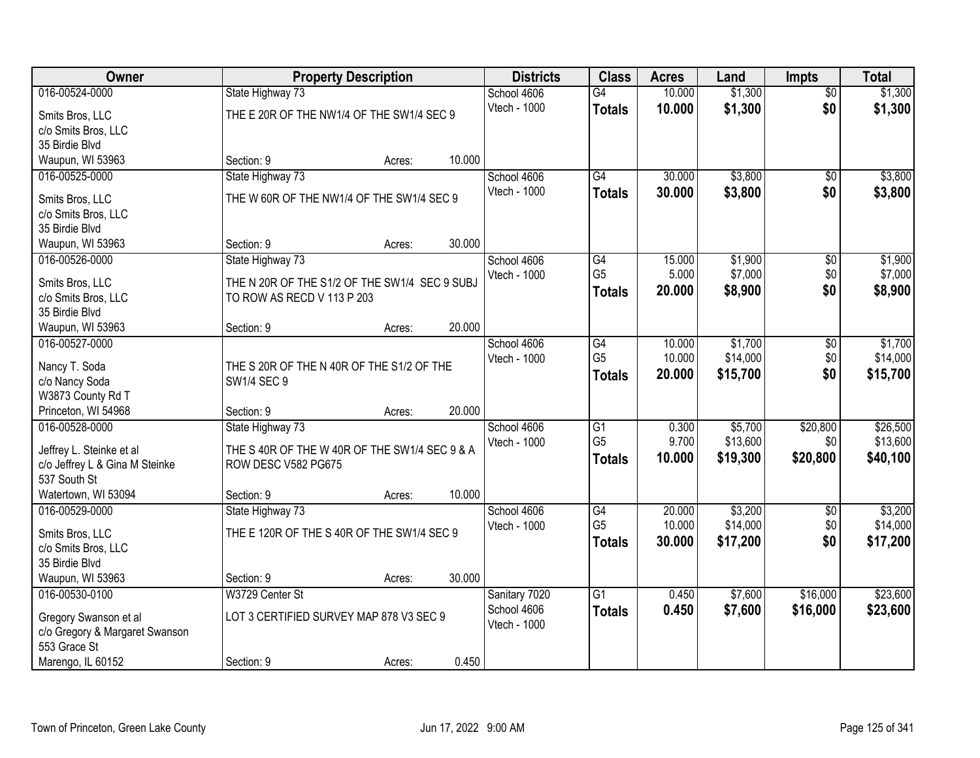| Owner                               |                                                          | <b>Property Description</b> |        | <b>Districts</b>             | <b>Class</b>    | <b>Acres</b> | Land     | <b>Impts</b>    | <b>Total</b> |
|-------------------------------------|----------------------------------------------------------|-----------------------------|--------|------------------------------|-----------------|--------------|----------|-----------------|--------------|
| 016-00524-0000                      | State Highway 73                                         |                             |        | School 4606                  | $\overline{G4}$ | 10.000       | \$1,300  | $\overline{50}$ | \$1,300      |
| Smits Bros, LLC                     | THE E 20R OF THE NW1/4 OF THE SW1/4 SEC 9                |                             |        | Vtech - 1000                 | <b>Totals</b>   | 10.000       | \$1,300  | \$0             | \$1,300      |
| c/o Smits Bros, LLC                 |                                                          |                             |        |                              |                 |              |          |                 |              |
| 35 Birdie Blvd                      |                                                          |                             |        |                              |                 |              |          |                 |              |
| Waupun, WI 53963                    | Section: 9                                               | Acres:                      | 10.000 |                              |                 |              |          |                 |              |
| 016-00525-0000                      | State Highway 73                                         |                             |        | School 4606                  | G4              | 30.000       | \$3,800  | $\overline{50}$ | \$3,800      |
| Smits Bros, LLC                     | THE W 60R OF THE NW1/4 OF THE SW1/4 SEC 9                |                             |        | Vtech - 1000                 | <b>Totals</b>   | 30.000       | \$3,800  | \$0             | \$3,800      |
| c/o Smits Bros, LLC                 |                                                          |                             |        |                              |                 |              |          |                 |              |
| 35 Birdie Blvd                      |                                                          |                             |        |                              |                 |              |          |                 |              |
| Waupun, WI 53963                    | Section: 9                                               | Acres:                      | 30.000 |                              |                 |              |          |                 |              |
| 016-00526-0000                      | State Highway 73                                         |                             |        | School 4606                  | G4              | 15.000       | \$1,900  | \$0             | \$1,900      |
| Smits Bros, LLC                     | THE N 20R OF THE S1/2 OF THE SW1/4 SEC 9 SUBJ            |                             |        | Vtech - 1000                 | G <sub>5</sub>  | 5.000        | \$7,000  | \$0             | \$7,000      |
| c/o Smits Bros, LLC                 | TO ROW AS RECD V 113 P 203                               |                             |        |                              | <b>Totals</b>   | 20.000       | \$8,900  | \$0             | \$8,900      |
| 35 Birdie Blvd                      |                                                          |                             |        |                              |                 |              |          |                 |              |
| Waupun, WI 53963                    | Section: 9                                               | Acres:                      | 20.000 |                              |                 |              |          |                 |              |
| 016-00527-0000                      |                                                          |                             |        | School 4606                  | $\overline{G4}$ | 10.000       | \$1,700  | \$0             | \$1,700      |
|                                     |                                                          |                             |        | Vtech - 1000                 | G <sub>5</sub>  | 10.000       | \$14,000 | \$0             | \$14,000     |
| Nancy T. Soda                       | THE S 20R OF THE N 40R OF THE S1/2 OF THE<br>SW1/4 SEC 9 |                             |        |                              | <b>Totals</b>   | 20.000       | \$15,700 | \$0             | \$15,700     |
| c/o Nancy Soda<br>W3873 County Rd T |                                                          |                             |        |                              |                 |              |          |                 |              |
| Princeton, WI 54968                 | Section: 9                                               | Acres:                      | 20.000 |                              |                 |              |          |                 |              |
| 016-00528-0000                      | State Highway 73                                         |                             |        | School 4606                  | $\overline{G1}$ | 0.300        | \$5,700  | \$20,800        | \$26,500     |
|                                     |                                                          |                             |        | Vtech - 1000                 | G <sub>5</sub>  | 9.700        | \$13,600 | \$0             | \$13,600     |
| Jeffrey L. Steinke et al            | THE S 40R OF THE W 40R OF THE SW1/4 SEC 9 & A            |                             |        |                              | <b>Totals</b>   | 10.000       | \$19,300 | \$20,800        | \$40,100     |
| c/o Jeffrey L & Gina M Steinke      | ROW DESC V582 PG675                                      |                             |        |                              |                 |              |          |                 |              |
| 537 South St<br>Watertown, WI 53094 | Section: 9                                               | Acres:                      | 10.000 |                              |                 |              |          |                 |              |
| 016-00529-0000                      | State Highway 73                                         |                             |        | School 4606                  | G4              | 20.000       | \$3,200  | $\sqrt{6}$      | \$3,200      |
|                                     |                                                          |                             |        | Vtech - 1000                 | G <sub>5</sub>  | 10.000       | \$14,000 | \$0             | \$14,000     |
| Smits Bros, LLC                     | THE E 120R OF THE S 40R OF THE SW1/4 SEC 9               |                             |        |                              | <b>Totals</b>   | 30.000       | \$17,200 | \$0             | \$17,200     |
| c/o Smits Bros, LLC                 |                                                          |                             |        |                              |                 |              |          |                 |              |
| 35 Birdie Blvd                      |                                                          |                             |        |                              |                 |              |          |                 |              |
| Waupun, WI 53963                    | Section: 9                                               | Acres:                      | 30.000 |                              |                 |              |          |                 |              |
| 016-00530-0100                      | W3729 Center St                                          |                             |        | Sanitary 7020<br>School 4606 | $\overline{G1}$ | 0.450        | \$7,600  | \$16,000        | \$23,600     |
| Gregory Swanson et al               | LOT 3 CERTIFIED SURVEY MAP 878 V3 SEC 9                  |                             |        | Vtech - 1000                 | <b>Totals</b>   | 0.450        | \$7,600  | \$16,000        | \$23,600     |
| c/o Gregory & Margaret Swanson      |                                                          |                             |        |                              |                 |              |          |                 |              |
| 553 Grace St                        |                                                          |                             |        |                              |                 |              |          |                 |              |
| Marengo, IL 60152                   | Section: 9                                               | Acres:                      | 0.450  |                              |                 |              |          |                 |              |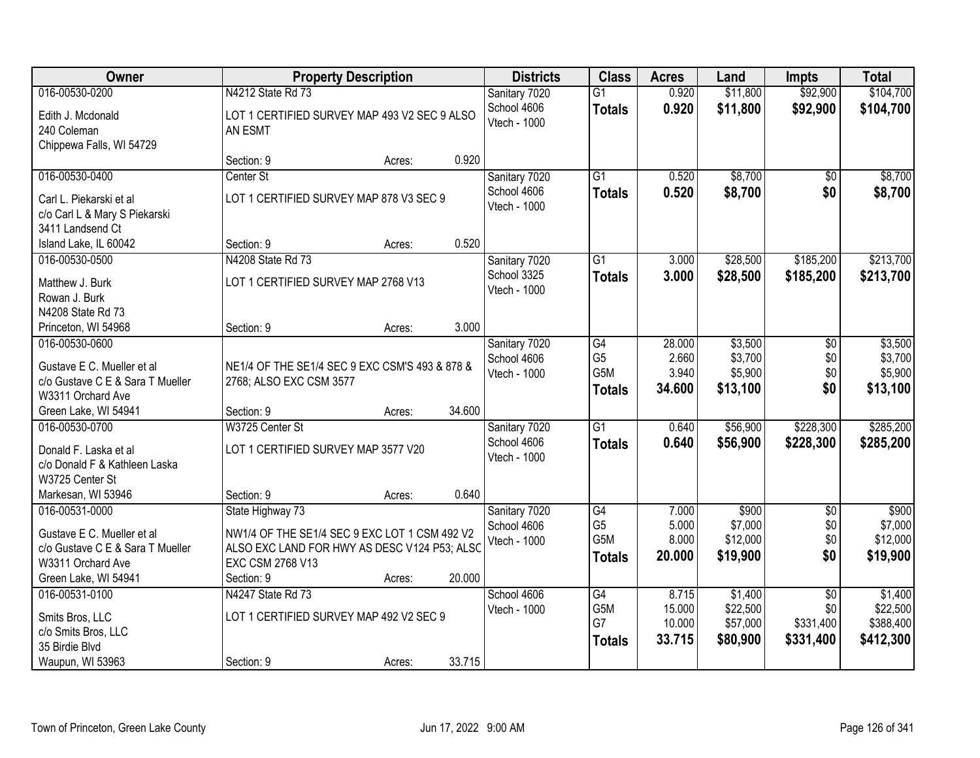| Owner                                                                        |                                                         | <b>Property Description</b> |        | <b>Districts</b>            | <b>Class</b>          | <b>Acres</b>   | Land                | <b>Impts</b>    | <b>Total</b>        |
|------------------------------------------------------------------------------|---------------------------------------------------------|-----------------------------|--------|-----------------------------|-----------------------|----------------|---------------------|-----------------|---------------------|
| 016-00530-0200                                                               | N4212 State Rd 73                                       |                             |        | Sanitary 7020               | $\overline{G1}$       | 0.920          | \$11,800            | \$92,900        | \$104,700           |
| Edith J. Mcdonald<br>240 Coleman<br>Chippewa Falls, WI 54729                 | LOT 1 CERTIFIED SURVEY MAP 493 V2 SEC 9 ALSO<br>AN ESMT |                             |        | School 4606<br>Vtech - 1000 | <b>Totals</b>         | 0.920          | \$11,800            | \$92,900        | \$104,700           |
|                                                                              | Section: 9                                              | Acres:                      | 0.920  |                             |                       |                |                     |                 |                     |
| 016-00530-0400                                                               | Center St                                               |                             |        | Sanitary 7020               | $\overline{G1}$       | 0.520          | \$8,700             | $\overline{50}$ | \$8,700             |
| Carl L. Piekarski et al<br>c/o Carl L & Mary S Piekarski<br>3411 Landsend Ct | LOT 1 CERTIFIED SURVEY MAP 878 V3 SEC 9                 |                             |        | School 4606<br>Vtech - 1000 | <b>Totals</b>         | 0.520          | \$8,700             | \$0             | \$8,700             |
| Island Lake, IL 60042                                                        | Section: 9                                              | Acres:                      | 0.520  |                             |                       |                |                     |                 |                     |
| 016-00530-0500                                                               | N4208 State Rd 73                                       |                             |        | Sanitary 7020               | $\overline{G1}$       | 3.000          | \$28,500            | \$185,200       | \$213,700           |
| Matthew J. Burk<br>Rowan J. Burk<br>N4208 State Rd 73                        | LOT 1 CERTIFIED SURVEY MAP 2768 V13                     |                             |        | School 3325<br>Vtech - 1000 | <b>Totals</b>         | 3.000          | \$28,500            | \$185,200       | \$213,700           |
| Princeton, WI 54968                                                          | Section: 9                                              | Acres:                      | 3.000  |                             |                       |                |                     |                 |                     |
| 016-00530-0600                                                               |                                                         |                             |        | Sanitary 7020               | G4                    | 28.000         | \$3,500             | \$0             | \$3,500             |
| Gustave E C. Mueller et al                                                   | NE1/4 OF THE SE1/4 SEC 9 EXC CSM'S 493 & 878 &          |                             |        | School 4606<br>Vtech - 1000 | G <sub>5</sub><br>G5M | 2.660<br>3.940 | \$3,700<br>\$5,900  | \$0<br>\$0      | \$3,700<br>\$5,900  |
| c/o Gustave C E & Sara T Mueller                                             | 2768; ALSO EXC CSM 3577                                 |                             |        |                             | <b>Totals</b>         | 34.600         | \$13,100            | \$0             | \$13,100            |
| W3311 Orchard Ave                                                            |                                                         |                             |        |                             |                       |                |                     |                 |                     |
| Green Lake, WI 54941                                                         | Section: 9                                              | Acres:                      | 34.600 |                             |                       |                |                     |                 |                     |
| 016-00530-0700                                                               | W3725 Center St                                         |                             |        | Sanitary 7020               | $\overline{G1}$       | 0.640          | \$56,900            | \$228,300       | \$285,200           |
| Donald F. Laska et al                                                        | LOT 1 CERTIFIED SURVEY MAP 3577 V20                     |                             |        | School 4606<br>Vtech - 1000 | <b>Totals</b>         | 0.640          | \$56,900            | \$228,300       | \$285,200           |
| c/o Donald F & Kathleen Laska                                                |                                                         |                             |        |                             |                       |                |                     |                 |                     |
| W3725 Center St                                                              |                                                         |                             |        |                             |                       |                |                     |                 |                     |
| Markesan, WI 53946                                                           | Section: 9                                              | Acres:                      | 0.640  |                             |                       |                |                     |                 |                     |
| 016-00531-0000                                                               | State Highway 73                                        |                             |        | Sanitary 7020               | G4                    | 7.000          | \$900               | $\sqrt{6}$      | \$900               |
| Gustave E C. Mueller et al                                                   | NW1/4 OF THE SE1/4 SEC 9 EXC LOT 1 CSM 492 V2           |                             |        | School 4606                 | G <sub>5</sub><br>G5M | 5.000<br>8.000 | \$7,000<br>\$12,000 | \$0<br>\$0      | \$7,000<br>\$12,000 |
| c/o Gustave C E & Sara T Mueller                                             | ALSO EXC LAND FOR HWY AS DESC V124 P53; ALSO            |                             |        | Vtech - 1000                |                       | 20,000         |                     | \$0             |                     |
| W3311 Orchard Ave                                                            | EXC CSM 2768 V13                                        |                             |        |                             | <b>Totals</b>         |                | \$19,900            |                 | \$19,900            |
| Green Lake, WI 54941                                                         | Section: 9                                              | Acres:                      | 20.000 |                             |                       |                |                     |                 |                     |
| 016-00531-0100                                                               | N4247 State Rd 73                                       |                             |        | School 4606                 | G4                    | 8.715          | \$1,400             | $\overline{50}$ | \$1,400             |
| Smits Bros, LLC                                                              | LOT 1 CERTIFIED SURVEY MAP 492 V2 SEC 9                 |                             |        | Vtech - 1000                | G5M                   | 15.000         | \$22,500            | \$0             | \$22,500            |
| c/o Smits Bros, LLC                                                          |                                                         |                             |        |                             | G7                    | 10.000         | \$57,000            | \$331,400       | \$388,400           |
| 35 Birdie Blvd                                                               |                                                         |                             |        |                             | <b>Totals</b>         | 33.715         | \$80,900            | \$331,400       | \$412,300           |
| Waupun, WI 53963                                                             | Section: 9                                              | Acres:                      | 33.715 |                             |                       |                |                     |                 |                     |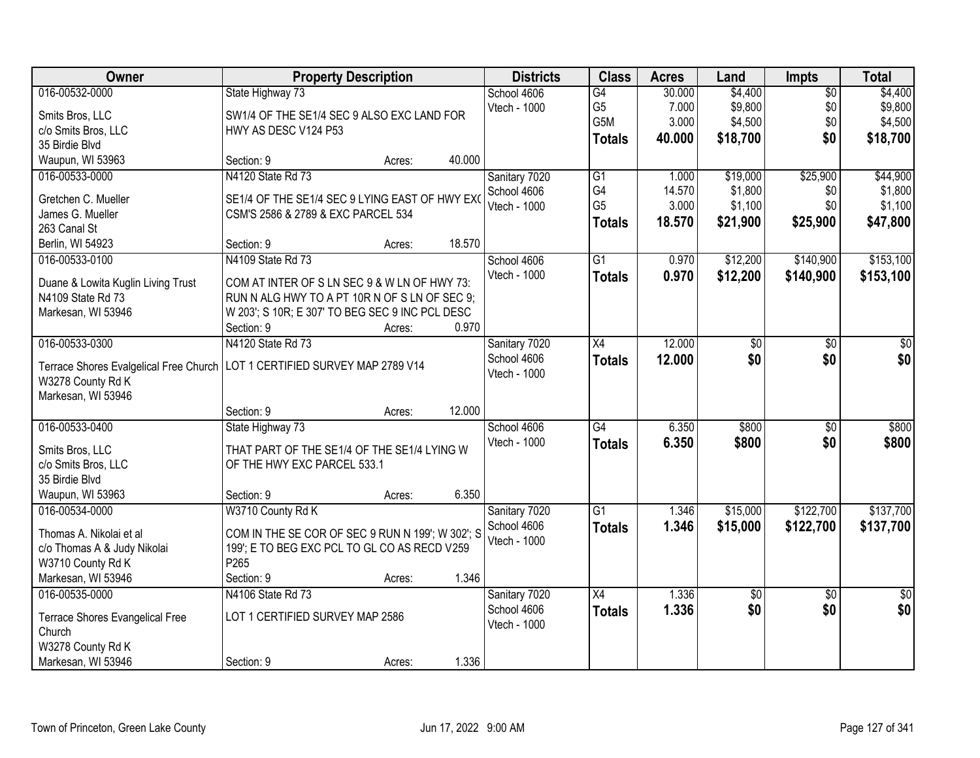| Owner                                  | <b>Property Description</b>                      |        |        | <b>Districts</b> | <b>Class</b>    | <b>Acres</b> | Land       | <b>Impts</b>    | <b>Total</b>    |
|----------------------------------------|--------------------------------------------------|--------|--------|------------------|-----------------|--------------|------------|-----------------|-----------------|
| 016-00532-0000                         | State Highway 73                                 |        |        | School 4606      | G4              | 30.000       | \$4,400    | $\overline{50}$ | \$4,400         |
| Smits Bros, LLC                        | SW1/4 OF THE SE1/4 SEC 9 ALSO EXC LAND FOR       |        |        | Vtech - 1000     | G <sub>5</sub>  | 7.000        | \$9,800    | \$0             | \$9,800         |
| c/o Smits Bros, LLC                    | HWY AS DESC V124 P53                             |        |        |                  | G5M             | 3.000        | \$4,500    | \$0             | \$4,500         |
| 35 Birdie Blvd                         |                                                  |        |        |                  | <b>Totals</b>   | 40.000       | \$18,700   | \$0             | \$18,700        |
| Waupun, WI 53963                       | Section: 9                                       | Acres: | 40.000 |                  |                 |              |            |                 |                 |
| 016-00533-0000                         | N4120 State Rd 73                                |        |        | Sanitary 7020    | G1              | 1.000        | \$19,000   | \$25,900        | \$44,900        |
|                                        |                                                  |        |        | School 4606      | G4              | 14.570       | \$1,800    | \$0             | \$1,800         |
| Gretchen C. Mueller                    | SE1/4 OF THE SE1/4 SEC 9 LYING EAST OF HWY EXO   |        |        | Vtech - 1000     | G <sub>5</sub>  | 3.000        | \$1,100    | \$0             | \$1,100         |
| James G. Mueller                       | CSM'S 2586 & 2789 & EXC PARCEL 534               |        |        |                  | <b>Totals</b>   | 18.570       | \$21,900   | \$25,900        | \$47,800        |
| 263 Canal St                           |                                                  |        |        |                  |                 |              |            |                 |                 |
| Berlin, WI 54923                       | Section: 9                                       | Acres: | 18.570 |                  |                 |              |            |                 |                 |
| 016-00533-0100                         | N4109 State Rd 73                                |        |        | School 4606      | $\overline{G1}$ | 0.970        | \$12,200   | \$140,900       | \$153,100       |
| Duane & Lowita Kuglin Living Trust     | COM AT INTER OF S LN SEC 9 & W LN OF HWY 73:     |        |        | Vtech - 1000     | <b>Totals</b>   | 0.970        | \$12,200   | \$140,900       | \$153,100       |
| N4109 State Rd 73                      | RUN N ALG HWY TO A PT 10R N OF S LN OF SEC 9;    |        |        |                  |                 |              |            |                 |                 |
| Markesan, WI 53946                     | W 203'; S 10R; E 307' TO BEG SEC 9 INC PCL DESC  |        |        |                  |                 |              |            |                 |                 |
|                                        | Section: 9                                       | Acres: | 0.970  |                  |                 |              |            |                 |                 |
| 016-00533-0300                         | N4120 State Rd 73                                |        |        | Sanitary 7020    | X4              | 12.000       | \$0        | \$0             | \$0             |
|                                        |                                                  |        |        | School 4606      | <b>Totals</b>   | 12.000       | \$0        | \$0             | \$0             |
| Terrace Shores Evalgelical Free Church | LOT 1 CERTIFIED SURVEY MAP 2789 V14              |        |        | Vtech - 1000     |                 |              |            |                 |                 |
| W3278 County Rd K                      |                                                  |        |        |                  |                 |              |            |                 |                 |
| Markesan, WI 53946                     |                                                  |        |        |                  |                 |              |            |                 |                 |
|                                        | Section: 9                                       | Acres: | 12.000 |                  |                 |              |            |                 |                 |
| 016-00533-0400                         | State Highway 73                                 |        |        | School 4606      | G4              | 6.350        | \$800      | $\overline{50}$ | \$800           |
| Smits Bros, LLC                        | THAT PART OF THE SE1/4 OF THE SE1/4 LYING W      |        |        | Vtech - 1000     | <b>Totals</b>   | 6.350        | \$800      | \$0             | \$800           |
| c/o Smits Bros, LLC                    | OF THE HWY EXC PARCEL 533.1                      |        |        |                  |                 |              |            |                 |                 |
| 35 Birdie Blvd                         |                                                  |        |        |                  |                 |              |            |                 |                 |
| Waupun, WI 53963                       | Section: 9                                       | Acres: | 6.350  |                  |                 |              |            |                 |                 |
| 016-00534-0000                         | W3710 County Rd K                                |        |        | Sanitary 7020    | G1              | 1.346        | \$15,000   | \$122,700       | \$137,700       |
| Thomas A. Nikolai et al                | COM IN THE SE COR OF SEC 9 RUN N 199'; W 302'; S |        |        | School 4606      | <b>Totals</b>   | 1.346        | \$15,000   | \$122,700       | \$137,700       |
| c/o Thomas A & Judy Nikolai            | 199'; E TO BEG EXC PCL TO GL CO AS RECD V259     |        |        | Vtech - 1000     |                 |              |            |                 |                 |
| W3710 County Rd K                      | P265                                             |        |        |                  |                 |              |            |                 |                 |
| Markesan, WI 53946                     | Section: 9                                       | Acres: | 1.346  |                  |                 |              |            |                 |                 |
| 016-00535-0000                         | N4106 State Rd 73                                |        |        | Sanitary 7020    | $\overline{X4}$ | 1.336        | $\sqrt{6}$ | $\overline{30}$ | $\overline{50}$ |
|                                        |                                                  |        |        | School 4606      |                 | 1.336        | \$0        | \$0             | \$0             |
| Terrace Shores Evangelical Free        | LOT 1 CERTIFIED SURVEY MAP 2586                  |        |        | Vtech - 1000     | <b>Totals</b>   |              |            |                 |                 |
| Church                                 |                                                  |        |        |                  |                 |              |            |                 |                 |
| W3278 County Rd K                      |                                                  |        |        |                  |                 |              |            |                 |                 |
| Markesan, WI 53946                     | Section: 9                                       | Acres: | 1.336  |                  |                 |              |            |                 |                 |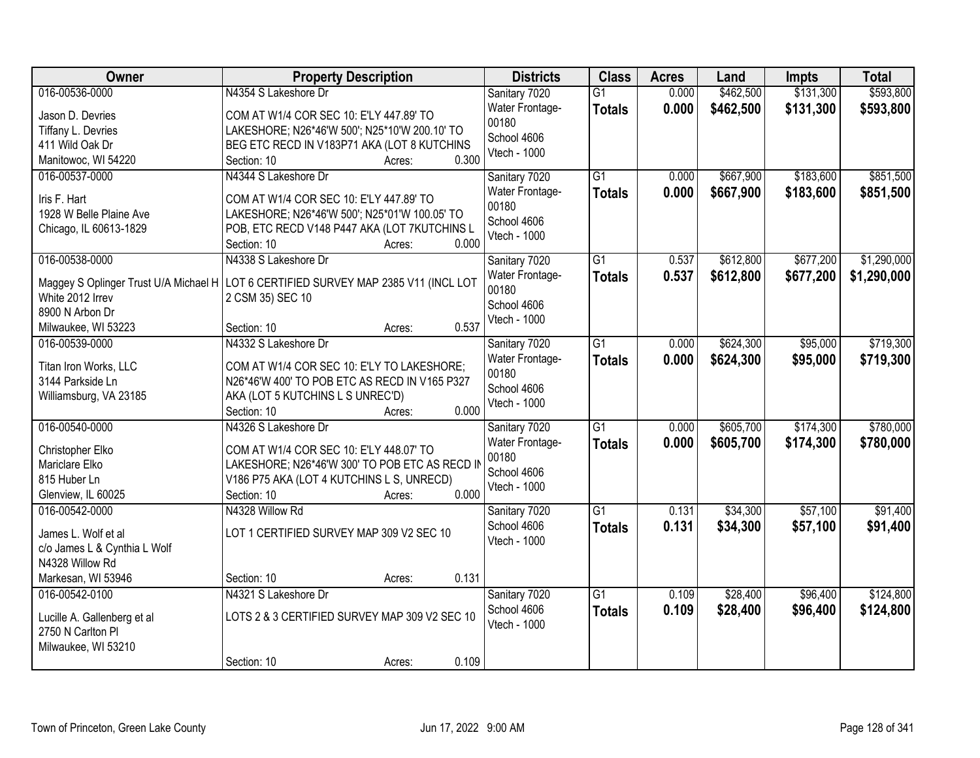| Owner                        | <b>Property Description</b>                                                           | <b>Districts</b>         | <b>Class</b>    | <b>Acres</b> | Land      | <b>Impts</b> | <b>Total</b> |
|------------------------------|---------------------------------------------------------------------------------------|--------------------------|-----------------|--------------|-----------|--------------|--------------|
| 016-00536-0000               | N4354 S Lakeshore Dr                                                                  | Sanitary 7020            | G1              | 0.000        | \$462,500 | \$131,300    | \$593,800    |
| Jason D. Devries             | COM AT W1/4 COR SEC 10: E'LY 447.89' TO                                               | Water Frontage-<br>00180 | <b>Totals</b>   | 0.000        | \$462,500 | \$131,300    | \$593,800    |
| Tiffany L. Devries           | LAKESHORE; N26*46'W 500'; N25*10'W 200.10' TO                                         | School 4606              |                 |              |           |              |              |
| 411 Wild Oak Dr              | BEG ETC RECD IN V183P71 AKA (LOT 8 KUTCHINS                                           | Vtech - 1000             |                 |              |           |              |              |
| Manitowoc, WI 54220          | 0.300<br>Section: 10<br>Acres:                                                        |                          |                 |              |           |              |              |
| 016-00537-0000               | N4344 S Lakeshore Dr                                                                  | Sanitary 7020            | $\overline{G1}$ | 0.000        | \$667,900 | \$183,600    | \$851,500    |
| Iris F. Hart                 | COM AT W1/4 COR SEC 10: E'LY 447.89' TO                                               | Water Frontage-          | <b>Totals</b>   | 0.000        | \$667,900 | \$183,600    | \$851,500    |
| 1928 W Belle Plaine Ave      | LAKESHORE; N26*46'W 500'; N25*01'W 100.05' TO                                         | 00180                    |                 |              |           |              |              |
| Chicago, IL 60613-1829       | POB, ETC RECD V148 P447 AKA (LOT 7KUTCHINS L                                          | School 4606              |                 |              |           |              |              |
|                              | 0.000<br>Section: 10<br>Acres:                                                        | Vtech - 1000             |                 |              |           |              |              |
| 016-00538-0000               | N4338 S Lakeshore Dr                                                                  | Sanitary 7020            | G1              | 0.537        | \$612,800 | \$677,200    | \$1,290,000  |
|                              |                                                                                       | <b>Water Frontage-</b>   | <b>Totals</b>   | 0.537        | \$612,800 | \$677,200    | \$1,290,000  |
| White 2012 Irrev             | Maggey S Oplinger Trust U/A Michael H   LOT 6 CERTIFIED SURVEY MAP 2385 V11 (INCL LOT | 00180                    |                 |              |           |              |              |
| 8900 N Arbon Dr              | 2 CSM 35) SEC 10                                                                      | School 4606              |                 |              |           |              |              |
| Milwaukee, WI 53223          | 0.537<br>Section: 10<br>Acres:                                                        | Vtech - 1000             |                 |              |           |              |              |
| 016-00539-0000               | N4332 S Lakeshore Dr                                                                  | Sanitary 7020            | $\overline{G1}$ | 0.000        | \$624,300 | \$95,000     | \$719,300    |
|                              |                                                                                       | Water Frontage-          |                 | 0.000        |           |              |              |
| Titan Iron Works, LLC        | COM AT W1/4 COR SEC 10: E'LY TO LAKESHORE;                                            | 00180                    | <b>Totals</b>   |              | \$624,300 | \$95,000     | \$719,300    |
| 3144 Parkside Ln             | N26*46'W 400' TO POB ETC AS RECD IN V165 P327                                         | School 4606              |                 |              |           |              |              |
| Williamsburg, VA 23185       | AKA (LOT 5 KUTCHINS L S UNREC'D)                                                      | Vtech - 1000             |                 |              |           |              |              |
|                              | 0.000<br>Section: 10<br>Acres:                                                        |                          |                 |              |           |              |              |
| 016-00540-0000               | N4326 S Lakeshore Dr                                                                  | Sanitary 7020            | $\overline{G1}$ | 0.000        | \$605,700 | \$174,300    | \$780,000    |
| Christopher Elko             | COM AT W1/4 COR SEC 10: E'LY 448.07' TO                                               | Water Frontage-          | <b>Totals</b>   | 0.000        | \$605,700 | \$174,300    | \$780,000    |
| Mariclare Elko               | LAKESHORE; N26*46'W 300' TO POB ETC AS RECD IN                                        | 00180                    |                 |              |           |              |              |
| 815 Huber Ln                 | V186 P75 AKA (LOT 4 KUTCHINS L S, UNRECD)                                             | School 4606              |                 |              |           |              |              |
| Glenview, IL 60025           | 0.000<br>Section: 10<br>Acres:                                                        | Vtech - 1000             |                 |              |           |              |              |
| 016-00542-0000               | N4328 Willow Rd                                                                       | Sanitary 7020            | $\overline{G1}$ | 0.131        | \$34,300  | \$57,100     | \$91,400     |
|                              |                                                                                       | School 4606              | <b>Totals</b>   | 0.131        | \$34,300  | \$57,100     | \$91,400     |
| James L. Wolf et al          | LOT 1 CERTIFIED SURVEY MAP 309 V2 SEC 10                                              | Vtech - 1000             |                 |              |           |              |              |
| c/o James L & Cynthia L Wolf |                                                                                       |                          |                 |              |           |              |              |
| N4328 Willow Rd              |                                                                                       |                          |                 |              |           |              |              |
| Markesan, WI 53946           | 0.131<br>Section: 10<br>Acres:                                                        |                          |                 |              |           |              |              |
| 016-00542-0100               | N4321 S Lakeshore Dr                                                                  | Sanitary 7020            | $\overline{G1}$ | 0.109        | \$28,400  | \$96,400     | \$124,800    |
| Lucille A. Gallenberg et al  | LOTS 2 & 3 CERTIFIED SURVEY MAP 309 V2 SEC 10                                         | School 4606              | <b>Totals</b>   | 0.109        | \$28,400  | \$96,400     | \$124,800    |
| 2750 N Carlton Pl            |                                                                                       | Vtech - 1000             |                 |              |           |              |              |
| Milwaukee, WI 53210          |                                                                                       |                          |                 |              |           |              |              |
|                              | 0.109<br>Section: 10<br>Acres:                                                        |                          |                 |              |           |              |              |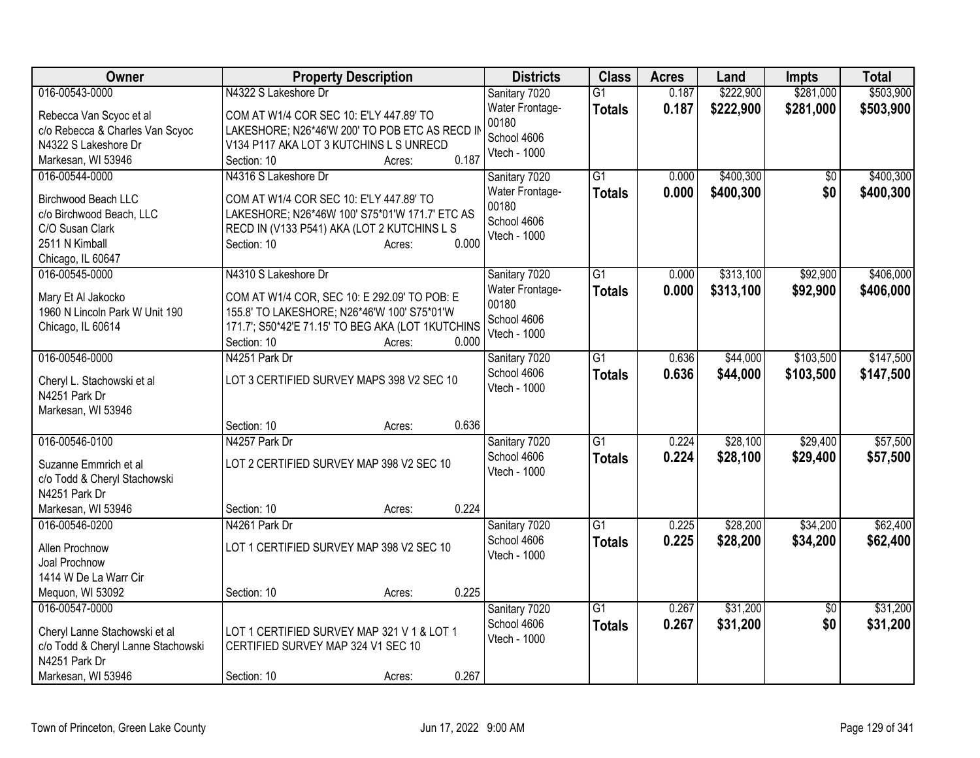| 016-00543-0000<br>$\overline{G1}$<br>0.187<br>Sanitary 7020<br>0.187<br>\$222,900<br>\$281,000<br>\$503,900<br>Water Frontage-<br><b>Totals</b><br>COM AT W1/4 COR SEC 10: E'LY 447.89' TO<br>Rebecca Van Scyoc et al<br>00180<br>c/o Rebecca & Charles Van Scyoc<br>LAKESHORE; N26*46'W 200' TO POB ETC AS RECD II<br>School 4606<br>N4322 S Lakeshore Dr<br>V134 P117 AKA LOT 3 KUTCHINS L S UNRECD<br>Vtech - 1000<br>0.187<br>Markesan, WI 53946<br>Section: 10<br>Acres:<br>\$400,300<br>016-00544-0000<br>N4316 S Lakeshore Dr<br>$\overline{G1}$<br>\$400,300<br>0.000<br>Sanitary 7020<br>$\overline{50}$<br>\$0<br>0.000<br>\$400,300<br>Water Frontage-<br>\$400,300<br><b>Totals</b><br><b>Birchwood Beach LLC</b><br>COM AT W1/4 COR SEC 10: E'LY 447.89' TO<br>00180<br>c/o Birchwood Beach, LLC<br>LAKESHORE; N26*46W 100' S75*01'W 171.7' ETC AS<br>School 4606<br>C/O Susan Clark<br>RECD IN (V133 P541) AKA (LOT 2 KUTCHINS L S<br>Vtech - 1000<br>0.000<br>2511 N Kimball<br>Section: 10<br>Acres:<br>Chicago, IL 60647<br>$\overline{G1}$<br>\$313,100<br>\$92,900<br>016-00545-0000<br>N4310 S Lakeshore Dr<br>Sanitary 7020<br>0.000<br>0.000<br>\$313,100<br>Water Frontage-<br>\$92,900<br><b>Totals</b><br>Mary Et Al Jakocko<br>COM AT W1/4 COR, SEC 10: E 292.09' TO POB: E<br>00180<br>1960 N Lincoln Park W Unit 190<br>155.8' TO LAKESHORE; N26*46'W 100' S75*01'W<br>School 4606<br>171.7'; S50*42'E 71.15' TO BEG AKA (LOT 1KUTCHINS<br>Chicago, IL 60614<br>Vtech - 1000<br>Section: 10<br>0.000<br>Acres:<br>N4251 Park Dr<br>\$103,500<br>016-00546-0000<br>G1<br>0.636<br>\$44,000<br>Sanitary 7020<br>School 4606<br>\$103,500<br>0.636<br>\$44,000<br>\$147,500<br><b>Totals</b><br>LOT 3 CERTIFIED SURVEY MAPS 398 V2 SEC 10<br>Cheryl L. Stachowski et al<br>Vtech - 1000<br>N4251 Park Dr<br>Markesan, WI 53946<br>0.636<br>Section: 10<br>Acres:<br>N4257 Park Dr<br>\$29,400<br>016-00546-0100<br>Sanitary 7020<br>$\overline{G1}$<br>\$28,100<br>0.224<br>School 4606<br>0.224<br>\$28,100<br>\$29,400<br>\$57,500<br><b>Totals</b><br>LOT 2 CERTIFIED SURVEY MAP 398 V2 SEC 10<br>Suzanne Emmrich et al<br>Vtech - 1000<br>c/o Todd & Cheryl Stachowski<br>N4251 Park Dr<br>0.224<br>Markesan, WI 53946<br>Section: 10<br>Acres:<br>\$28,200<br>\$34,200<br>N4261 Park Dr<br>Sanitary 7020<br>$\overline{G1}$<br>016-00546-0200<br>0.225<br>0.225<br>\$28,200<br>\$34,200<br>School 4606<br>\$62,400<br><b>Totals</b><br>LOT 1 CERTIFIED SURVEY MAP 398 V2 SEC 10<br>Allen Prochnow<br>Vtech - 1000<br>Joal Prochnow<br>1414 W De La Warr Cir<br>0.225<br>Mequon, WI 53092<br>Section: 10<br>Acres:<br>\$31,200<br>016-00547-0000<br>$\overline{G1}$<br>0.267<br>Sanitary 7020<br>$\overline{50}$ | Owner | <b>Property Description</b> | <b>Districts</b> | <b>Class</b>  | <b>Acres</b> | Land      | <b>Impts</b> | <b>Total</b> |
|-----------------------------------------------------------------------------------------------------------------------------------------------------------------------------------------------------------------------------------------------------------------------------------------------------------------------------------------------------------------------------------------------------------------------------------------------------------------------------------------------------------------------------------------------------------------------------------------------------------------------------------------------------------------------------------------------------------------------------------------------------------------------------------------------------------------------------------------------------------------------------------------------------------------------------------------------------------------------------------------------------------------------------------------------------------------------------------------------------------------------------------------------------------------------------------------------------------------------------------------------------------------------------------------------------------------------------------------------------------------------------------------------------------------------------------------------------------------------------------------------------------------------------------------------------------------------------------------------------------------------------------------------------------------------------------------------------------------------------------------------------------------------------------------------------------------------------------------------------------------------------------------------------------------------------------------------------------------------------------------------------------------------------------------------------------------------------------------------------------------------------------------------------------------------------------------------------------------------------------------------------------------------------------------------------------------------------------------------------------------------------------------------------------------------------------------------------------------------------------------------------------------------------------------------------------------------------------------------------------------------------------------------------------------------------------------------------------------------------------------------|-------|-----------------------------|------------------|---------------|--------------|-----------|--------------|--------------|
|                                                                                                                                                                                                                                                                                                                                                                                                                                                                                                                                                                                                                                                                                                                                                                                                                                                                                                                                                                                                                                                                                                                                                                                                                                                                                                                                                                                                                                                                                                                                                                                                                                                                                                                                                                                                                                                                                                                                                                                                                                                                                                                                                                                                                                                                                                                                                                                                                                                                                                                                                                                                                                                                                                                                               |       | N4322 S Lakeshore Dr        |                  |               |              | \$222,900 | \$281,000    | \$503,900    |
|                                                                                                                                                                                                                                                                                                                                                                                                                                                                                                                                                                                                                                                                                                                                                                                                                                                                                                                                                                                                                                                                                                                                                                                                                                                                                                                                                                                                                                                                                                                                                                                                                                                                                                                                                                                                                                                                                                                                                                                                                                                                                                                                                                                                                                                                                                                                                                                                                                                                                                                                                                                                                                                                                                                                               |       |                             |                  |               |              |           |              |              |
|                                                                                                                                                                                                                                                                                                                                                                                                                                                                                                                                                                                                                                                                                                                                                                                                                                                                                                                                                                                                                                                                                                                                                                                                                                                                                                                                                                                                                                                                                                                                                                                                                                                                                                                                                                                                                                                                                                                                                                                                                                                                                                                                                                                                                                                                                                                                                                                                                                                                                                                                                                                                                                                                                                                                               |       |                             |                  |               |              |           |              |              |
|                                                                                                                                                                                                                                                                                                                                                                                                                                                                                                                                                                                                                                                                                                                                                                                                                                                                                                                                                                                                                                                                                                                                                                                                                                                                                                                                                                                                                                                                                                                                                                                                                                                                                                                                                                                                                                                                                                                                                                                                                                                                                                                                                                                                                                                                                                                                                                                                                                                                                                                                                                                                                                                                                                                                               |       |                             |                  |               |              |           |              |              |
|                                                                                                                                                                                                                                                                                                                                                                                                                                                                                                                                                                                                                                                                                                                                                                                                                                                                                                                                                                                                                                                                                                                                                                                                                                                                                                                                                                                                                                                                                                                                                                                                                                                                                                                                                                                                                                                                                                                                                                                                                                                                                                                                                                                                                                                                                                                                                                                                                                                                                                                                                                                                                                                                                                                                               |       |                             |                  |               |              |           |              |              |
|                                                                                                                                                                                                                                                                                                                                                                                                                                                                                                                                                                                                                                                                                                                                                                                                                                                                                                                                                                                                                                                                                                                                                                                                                                                                                                                                                                                                                                                                                                                                                                                                                                                                                                                                                                                                                                                                                                                                                                                                                                                                                                                                                                                                                                                                                                                                                                                                                                                                                                                                                                                                                                                                                                                                               |       |                             |                  |               |              |           |              |              |
|                                                                                                                                                                                                                                                                                                                                                                                                                                                                                                                                                                                                                                                                                                                                                                                                                                                                                                                                                                                                                                                                                                                                                                                                                                                                                                                                                                                                                                                                                                                                                                                                                                                                                                                                                                                                                                                                                                                                                                                                                                                                                                                                                                                                                                                                                                                                                                                                                                                                                                                                                                                                                                                                                                                                               |       |                             |                  |               |              |           |              |              |
| \$406,000<br>\$406,000<br>\$147,500                                                                                                                                                                                                                                                                                                                                                                                                                                                                                                                                                                                                                                                                                                                                                                                                                                                                                                                                                                                                                                                                                                                                                                                                                                                                                                                                                                                                                                                                                                                                                                                                                                                                                                                                                                                                                                                                                                                                                                                                                                                                                                                                                                                                                                                                                                                                                                                                                                                                                                                                                                                                                                                                                                           |       |                             |                  |               |              |           |              |              |
|                                                                                                                                                                                                                                                                                                                                                                                                                                                                                                                                                                                                                                                                                                                                                                                                                                                                                                                                                                                                                                                                                                                                                                                                                                                                                                                                                                                                                                                                                                                                                                                                                                                                                                                                                                                                                                                                                                                                                                                                                                                                                                                                                                                                                                                                                                                                                                                                                                                                                                                                                                                                                                                                                                                                               |       |                             |                  |               |              |           |              |              |
|                                                                                                                                                                                                                                                                                                                                                                                                                                                                                                                                                                                                                                                                                                                                                                                                                                                                                                                                                                                                                                                                                                                                                                                                                                                                                                                                                                                                                                                                                                                                                                                                                                                                                                                                                                                                                                                                                                                                                                                                                                                                                                                                                                                                                                                                                                                                                                                                                                                                                                                                                                                                                                                                                                                                               |       |                             |                  |               |              |           |              |              |
|                                                                                                                                                                                                                                                                                                                                                                                                                                                                                                                                                                                                                                                                                                                                                                                                                                                                                                                                                                                                                                                                                                                                                                                                                                                                                                                                                                                                                                                                                                                                                                                                                                                                                                                                                                                                                                                                                                                                                                                                                                                                                                                                                                                                                                                                                                                                                                                                                                                                                                                                                                                                                                                                                                                                               |       |                             |                  |               |              |           |              |              |
|                                                                                                                                                                                                                                                                                                                                                                                                                                                                                                                                                                                                                                                                                                                                                                                                                                                                                                                                                                                                                                                                                                                                                                                                                                                                                                                                                                                                                                                                                                                                                                                                                                                                                                                                                                                                                                                                                                                                                                                                                                                                                                                                                                                                                                                                                                                                                                                                                                                                                                                                                                                                                                                                                                                                               |       |                             |                  |               |              |           |              |              |
|                                                                                                                                                                                                                                                                                                                                                                                                                                                                                                                                                                                                                                                                                                                                                                                                                                                                                                                                                                                                                                                                                                                                                                                                                                                                                                                                                                                                                                                                                                                                                                                                                                                                                                                                                                                                                                                                                                                                                                                                                                                                                                                                                                                                                                                                                                                                                                                                                                                                                                                                                                                                                                                                                                                                               |       |                             |                  |               |              |           |              |              |
|                                                                                                                                                                                                                                                                                                                                                                                                                                                                                                                                                                                                                                                                                                                                                                                                                                                                                                                                                                                                                                                                                                                                                                                                                                                                                                                                                                                                                                                                                                                                                                                                                                                                                                                                                                                                                                                                                                                                                                                                                                                                                                                                                                                                                                                                                                                                                                                                                                                                                                                                                                                                                                                                                                                                               |       |                             |                  |               |              |           |              |              |
|                                                                                                                                                                                                                                                                                                                                                                                                                                                                                                                                                                                                                                                                                                                                                                                                                                                                                                                                                                                                                                                                                                                                                                                                                                                                                                                                                                                                                                                                                                                                                                                                                                                                                                                                                                                                                                                                                                                                                                                                                                                                                                                                                                                                                                                                                                                                                                                                                                                                                                                                                                                                                                                                                                                                               |       |                             |                  |               |              |           |              |              |
|                                                                                                                                                                                                                                                                                                                                                                                                                                                                                                                                                                                                                                                                                                                                                                                                                                                                                                                                                                                                                                                                                                                                                                                                                                                                                                                                                                                                                                                                                                                                                                                                                                                                                                                                                                                                                                                                                                                                                                                                                                                                                                                                                                                                                                                                                                                                                                                                                                                                                                                                                                                                                                                                                                                                               |       |                             |                  |               |              |           |              |              |
| \$57,500<br>\$62,400<br>\$31,200                                                                                                                                                                                                                                                                                                                                                                                                                                                                                                                                                                                                                                                                                                                                                                                                                                                                                                                                                                                                                                                                                                                                                                                                                                                                                                                                                                                                                                                                                                                                                                                                                                                                                                                                                                                                                                                                                                                                                                                                                                                                                                                                                                                                                                                                                                                                                                                                                                                                                                                                                                                                                                                                                                              |       |                             |                  |               |              |           |              |              |
|                                                                                                                                                                                                                                                                                                                                                                                                                                                                                                                                                                                                                                                                                                                                                                                                                                                                                                                                                                                                                                                                                                                                                                                                                                                                                                                                                                                                                                                                                                                                                                                                                                                                                                                                                                                                                                                                                                                                                                                                                                                                                                                                                                                                                                                                                                                                                                                                                                                                                                                                                                                                                                                                                                                                               |       |                             |                  |               |              |           |              |              |
|                                                                                                                                                                                                                                                                                                                                                                                                                                                                                                                                                                                                                                                                                                                                                                                                                                                                                                                                                                                                                                                                                                                                                                                                                                                                                                                                                                                                                                                                                                                                                                                                                                                                                                                                                                                                                                                                                                                                                                                                                                                                                                                                                                                                                                                                                                                                                                                                                                                                                                                                                                                                                                                                                                                                               |       |                             |                  |               |              |           |              |              |
|                                                                                                                                                                                                                                                                                                                                                                                                                                                                                                                                                                                                                                                                                                                                                                                                                                                                                                                                                                                                                                                                                                                                                                                                                                                                                                                                                                                                                                                                                                                                                                                                                                                                                                                                                                                                                                                                                                                                                                                                                                                                                                                                                                                                                                                                                                                                                                                                                                                                                                                                                                                                                                                                                                                                               |       |                             |                  |               |              |           |              |              |
|                                                                                                                                                                                                                                                                                                                                                                                                                                                                                                                                                                                                                                                                                                                                                                                                                                                                                                                                                                                                                                                                                                                                                                                                                                                                                                                                                                                                                                                                                                                                                                                                                                                                                                                                                                                                                                                                                                                                                                                                                                                                                                                                                                                                                                                                                                                                                                                                                                                                                                                                                                                                                                                                                                                                               |       |                             |                  |               |              |           |              |              |
|                                                                                                                                                                                                                                                                                                                                                                                                                                                                                                                                                                                                                                                                                                                                                                                                                                                                                                                                                                                                                                                                                                                                                                                                                                                                                                                                                                                                                                                                                                                                                                                                                                                                                                                                                                                                                                                                                                                                                                                                                                                                                                                                                                                                                                                                                                                                                                                                                                                                                                                                                                                                                                                                                                                                               |       |                             |                  |               |              |           |              |              |
|                                                                                                                                                                                                                                                                                                                                                                                                                                                                                                                                                                                                                                                                                                                                                                                                                                                                                                                                                                                                                                                                                                                                                                                                                                                                                                                                                                                                                                                                                                                                                                                                                                                                                                                                                                                                                                                                                                                                                                                                                                                                                                                                                                                                                                                                                                                                                                                                                                                                                                                                                                                                                                                                                                                                               |       |                             |                  |               |              |           |              |              |
|                                                                                                                                                                                                                                                                                                                                                                                                                                                                                                                                                                                                                                                                                                                                                                                                                                                                                                                                                                                                                                                                                                                                                                                                                                                                                                                                                                                                                                                                                                                                                                                                                                                                                                                                                                                                                                                                                                                                                                                                                                                                                                                                                                                                                                                                                                                                                                                                                                                                                                                                                                                                                                                                                                                                               |       |                             |                  |               |              |           |              |              |
|                                                                                                                                                                                                                                                                                                                                                                                                                                                                                                                                                                                                                                                                                                                                                                                                                                                                                                                                                                                                                                                                                                                                                                                                                                                                                                                                                                                                                                                                                                                                                                                                                                                                                                                                                                                                                                                                                                                                                                                                                                                                                                                                                                                                                                                                                                                                                                                                                                                                                                                                                                                                                                                                                                                                               |       |                             |                  |               |              |           |              |              |
|                                                                                                                                                                                                                                                                                                                                                                                                                                                                                                                                                                                                                                                                                                                                                                                                                                                                                                                                                                                                                                                                                                                                                                                                                                                                                                                                                                                                                                                                                                                                                                                                                                                                                                                                                                                                                                                                                                                                                                                                                                                                                                                                                                                                                                                                                                                                                                                                                                                                                                                                                                                                                                                                                                                                               |       |                             |                  |               |              |           |              |              |
|                                                                                                                                                                                                                                                                                                                                                                                                                                                                                                                                                                                                                                                                                                                                                                                                                                                                                                                                                                                                                                                                                                                                                                                                                                                                                                                                                                                                                                                                                                                                                                                                                                                                                                                                                                                                                                                                                                                                                                                                                                                                                                                                                                                                                                                                                                                                                                                                                                                                                                                                                                                                                                                                                                                                               |       |                             |                  |               |              |           |              |              |
|                                                                                                                                                                                                                                                                                                                                                                                                                                                                                                                                                                                                                                                                                                                                                                                                                                                                                                                                                                                                                                                                                                                                                                                                                                                                                                                                                                                                                                                                                                                                                                                                                                                                                                                                                                                                                                                                                                                                                                                                                                                                                                                                                                                                                                                                                                                                                                                                                                                                                                                                                                                                                                                                                                                                               |       |                             |                  |               |              |           |              |              |
|                                                                                                                                                                                                                                                                                                                                                                                                                                                                                                                                                                                                                                                                                                                                                                                                                                                                                                                                                                                                                                                                                                                                                                                                                                                                                                                                                                                                                                                                                                                                                                                                                                                                                                                                                                                                                                                                                                                                                                                                                                                                                                                                                                                                                                                                                                                                                                                                                                                                                                                                                                                                                                                                                                                                               |       |                             |                  |               |              |           |              |              |
|                                                                                                                                                                                                                                                                                                                                                                                                                                                                                                                                                                                                                                                                                                                                                                                                                                                                                                                                                                                                                                                                                                                                                                                                                                                                                                                                                                                                                                                                                                                                                                                                                                                                                                                                                                                                                                                                                                                                                                                                                                                                                                                                                                                                                                                                                                                                                                                                                                                                                                                                                                                                                                                                                                                                               |       |                             |                  |               |              |           |              |              |
|                                                                                                                                                                                                                                                                                                                                                                                                                                                                                                                                                                                                                                                                                                                                                                                                                                                                                                                                                                                                                                                                                                                                                                                                                                                                                                                                                                                                                                                                                                                                                                                                                                                                                                                                                                                                                                                                                                                                                                                                                                                                                                                                                                                                                                                                                                                                                                                                                                                                                                                                                                                                                                                                                                                                               |       |                             |                  |               |              |           |              |              |
|                                                                                                                                                                                                                                                                                                                                                                                                                                                                                                                                                                                                                                                                                                                                                                                                                                                                                                                                                                                                                                                                                                                                                                                                                                                                                                                                                                                                                                                                                                                                                                                                                                                                                                                                                                                                                                                                                                                                                                                                                                                                                                                                                                                                                                                                                                                                                                                                                                                                                                                                                                                                                                                                                                                                               |       |                             |                  |               |              |           |              |              |
|                                                                                                                                                                                                                                                                                                                                                                                                                                                                                                                                                                                                                                                                                                                                                                                                                                                                                                                                                                                                                                                                                                                                                                                                                                                                                                                                                                                                                                                                                                                                                                                                                                                                                                                                                                                                                                                                                                                                                                                                                                                                                                                                                                                                                                                                                                                                                                                                                                                                                                                                                                                                                                                                                                                                               |       |                             |                  |               |              |           |              |              |
|                                                                                                                                                                                                                                                                                                                                                                                                                                                                                                                                                                                                                                                                                                                                                                                                                                                                                                                                                                                                                                                                                                                                                                                                                                                                                                                                                                                                                                                                                                                                                                                                                                                                                                                                                                                                                                                                                                                                                                                                                                                                                                                                                                                                                                                                                                                                                                                                                                                                                                                                                                                                                                                                                                                                               |       |                             |                  |               |              |           |              |              |
| Cheryl Lanne Stachowski et al<br>LOT 1 CERTIFIED SURVEY MAP 321 V 1 & LOT 1                                                                                                                                                                                                                                                                                                                                                                                                                                                                                                                                                                                                                                                                                                                                                                                                                                                                                                                                                                                                                                                                                                                                                                                                                                                                                                                                                                                                                                                                                                                                                                                                                                                                                                                                                                                                                                                                                                                                                                                                                                                                                                                                                                                                                                                                                                                                                                                                                                                                                                                                                                                                                                                                   |       |                             | School 4606      | <b>Totals</b> | 0.267        | \$31,200  | \$0          | \$31,200     |
| Vtech - 1000<br>c/o Todd & Cheryl Lanne Stachowski<br>CERTIFIED SURVEY MAP 324 V1 SEC 10                                                                                                                                                                                                                                                                                                                                                                                                                                                                                                                                                                                                                                                                                                                                                                                                                                                                                                                                                                                                                                                                                                                                                                                                                                                                                                                                                                                                                                                                                                                                                                                                                                                                                                                                                                                                                                                                                                                                                                                                                                                                                                                                                                                                                                                                                                                                                                                                                                                                                                                                                                                                                                                      |       |                             |                  |               |              |           |              |              |
| N4251 Park Dr                                                                                                                                                                                                                                                                                                                                                                                                                                                                                                                                                                                                                                                                                                                                                                                                                                                                                                                                                                                                                                                                                                                                                                                                                                                                                                                                                                                                                                                                                                                                                                                                                                                                                                                                                                                                                                                                                                                                                                                                                                                                                                                                                                                                                                                                                                                                                                                                                                                                                                                                                                                                                                                                                                                                 |       |                             |                  |               |              |           |              |              |
| 0.267<br>Markesan, WI 53946<br>Section: 10<br>Acres:                                                                                                                                                                                                                                                                                                                                                                                                                                                                                                                                                                                                                                                                                                                                                                                                                                                                                                                                                                                                                                                                                                                                                                                                                                                                                                                                                                                                                                                                                                                                                                                                                                                                                                                                                                                                                                                                                                                                                                                                                                                                                                                                                                                                                                                                                                                                                                                                                                                                                                                                                                                                                                                                                          |       |                             |                  |               |              |           |              |              |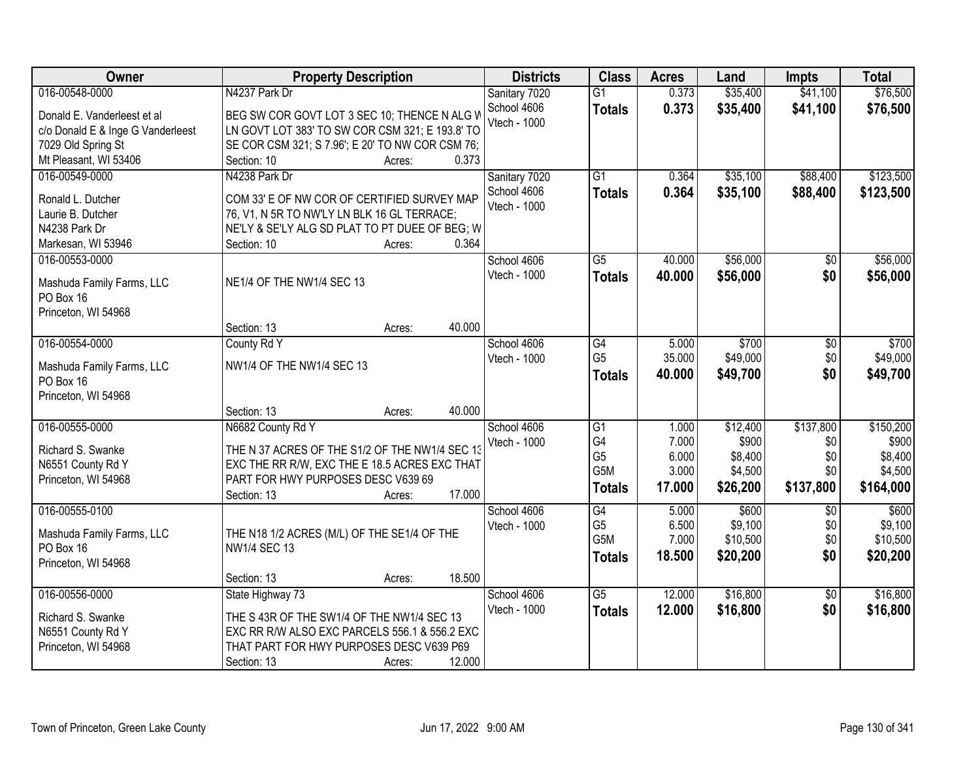| Owner                                | <b>Property Description</b>                             | <b>Districts</b> | <b>Class</b>                      | <b>Acres</b>   | Land                | <b>Impts</b>    | <b>Total</b>        |
|--------------------------------------|---------------------------------------------------------|------------------|-----------------------------------|----------------|---------------------|-----------------|---------------------|
| 016-00548-0000                       | N4237 Park Dr                                           | Sanitary 7020    | $\overline{G1}$                   | 0.373          | \$35,400            | \$41,100        | \$76,500            |
| Donald E. Vanderleest et al          | BEG SW COR GOVT LOT 3 SEC 10; THENCE N ALG V            | School 4606      | <b>Totals</b>                     | 0.373          | \$35,400            | \$41,100        | \$76,500            |
| c/o Donald E & Inge G Vanderleest    | LN GOVT LOT 383' TO SW COR CSM 321; E 193.8' TO         | Vtech - 1000     |                                   |                |                     |                 |                     |
| 7029 Old Spring St                   | SE COR CSM 321; S 7.96'; E 20' TO NW COR CSM 76;        |                  |                                   |                |                     |                 |                     |
| Mt Pleasant, WI 53406                | 0.373<br>Section: 10<br>Acres:                          |                  |                                   |                |                     |                 |                     |
| 016-00549-0000                       | N4238 Park Dr                                           | Sanitary 7020    | $\overline{G1}$                   | 0.364          | \$35,100            | \$88,400        | \$123,500           |
|                                      |                                                         | School 4606      | <b>Totals</b>                     | 0.364          | \$35,100            | \$88,400        | \$123,500           |
| Ronald L. Dutcher                    | COM 33' E OF NW COR OF CERTIFIED SURVEY MAP             | Vtech - 1000     |                                   |                |                     |                 |                     |
| Laurie B. Dutcher                    | 76, V1, N 5R TO NW'LY LN BLK 16 GL TERRACE;             |                  |                                   |                |                     |                 |                     |
| N4238 Park Dr                        | NE'LY & SE'LY ALG SD PLAT TO PT DUEE OF BEG; W<br>0.364 |                  |                                   |                |                     |                 |                     |
| Markesan, WI 53946<br>016-00553-0000 | Section: 10<br>Acres:                                   | School 4606      | $\overline{G5}$                   | 40.000         | \$56,000            |                 | \$56,000            |
|                                      |                                                         | Vtech - 1000     |                                   |                |                     | $\overline{50}$ |                     |
| Mashuda Family Farms, LLC            | NE1/4 OF THE NW1/4 SEC 13                               |                  | <b>Totals</b>                     | 40.000         | \$56,000            | \$0             | \$56,000            |
| PO Box 16                            |                                                         |                  |                                   |                |                     |                 |                     |
| Princeton, WI 54968                  |                                                         |                  |                                   |                |                     |                 |                     |
|                                      | 40.000<br>Section: 13<br>Acres:                         |                  |                                   |                |                     |                 |                     |
| 016-00554-0000                       | County Rd Y                                             | School 4606      | G4                                | 5.000          | \$700               | \$0             | \$700               |
| Mashuda Family Farms, LLC            | NW1/4 OF THE NW1/4 SEC 13                               | Vtech - 1000     | G <sub>5</sub>                    | 35.000         | \$49,000            | \$0             | \$49,000            |
| PO Box 16                            |                                                         |                  | <b>Totals</b>                     | 40.000         | \$49,700            | \$0             | \$49,700            |
| Princeton, WI 54968                  |                                                         |                  |                                   |                |                     |                 |                     |
|                                      | Section: 13<br>40.000<br>Acres:                         |                  |                                   |                |                     |                 |                     |
| 016-00555-0000                       | N6682 County Rd Y                                       | School 4606      | $\overline{G1}$                   | 1.000          | \$12,400            | \$137,800       | \$150,200           |
|                                      |                                                         | Vtech - 1000     | G4                                | 7.000          | \$900               | \$0             | \$900               |
| Richard S. Swanke                    | THE N 37 ACRES OF THE S1/2 OF THE NW1/4 SEC 13          |                  | G <sub>5</sub>                    | 6.000          | \$8,400             | \$0             | \$8,400             |
| N6551 County Rd Y                    | EXC THE RR R/W, EXC THE E 18.5 ACRES EXC THAT           |                  | G <sub>5</sub> M                  | 3.000          | \$4,500             | \$0             | \$4,500             |
| Princeton, WI 54968                  | PART FOR HWY PURPOSES DESC V639 69<br>17.000            |                  | <b>Totals</b>                     | 17.000         | \$26,200            | \$137,800       | \$164,000           |
|                                      | Section: 13<br>Acres:                                   |                  |                                   |                |                     |                 |                     |
| 016-00555-0100                       |                                                         | School 4606      | $\overline{G4}$<br>G <sub>5</sub> | 5.000<br>6.500 | \$600               | $\overline{50}$ | \$600               |
| Mashuda Family Farms, LLC            | THE N18 1/2 ACRES (M/L) OF THE SE1/4 OF THE             | Vtech - 1000     | G <sub>5</sub> M                  | 7.000          | \$9,100<br>\$10,500 | \$0<br>\$0      | \$9,100<br>\$10,500 |
| PO Box 16                            | <b>NW1/4 SEC 13</b>                                     |                  |                                   | 18.500         | \$20,200            | \$0             | \$20,200            |
| Princeton, WI 54968                  |                                                         |                  | <b>Totals</b>                     |                |                     |                 |                     |
|                                      | 18.500<br>Section: 13<br>Acres:                         |                  |                                   |                |                     |                 |                     |
| 016-00556-0000                       | State Highway 73                                        | School 4606      | $\overline{G5}$                   | 12.000         | \$16,800            | $\overline{50}$ | \$16,800            |
| Richard S. Swanke                    | THE S 43R OF THE SW1/4 OF THE NW1/4 SEC 13              | Vtech - 1000     | <b>Totals</b>                     | 12.000         | \$16,800            | \$0             | \$16,800            |
| N6551 County Rd Y                    | EXC RR R/W ALSO EXC PARCELS 556.1 & 556.2 EXC           |                  |                                   |                |                     |                 |                     |
| Princeton, WI 54968                  | THAT PART FOR HWY PURPOSES DESC V639 P69                |                  |                                   |                |                     |                 |                     |
|                                      | 12.000<br>Section: 13<br>Acres:                         |                  |                                   |                |                     |                 |                     |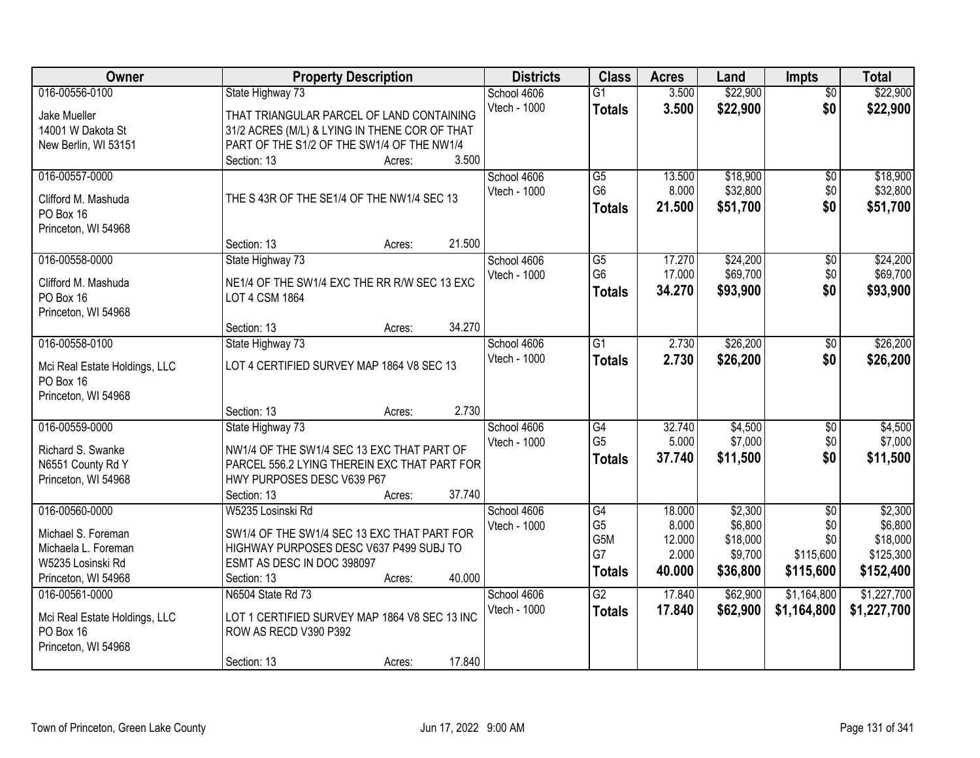| Owner                                      | <b>Property Description</b>                                                | <b>Districts</b> | <b>Class</b>    | <b>Acres</b> | Land     | <b>Impts</b>    | <b>Total</b> |
|--------------------------------------------|----------------------------------------------------------------------------|------------------|-----------------|--------------|----------|-----------------|--------------|
| 016-00556-0100                             | State Highway 73                                                           | School 4606      | $\overline{G1}$ | 3.500        | \$22,900 | $\overline{50}$ | \$22,900     |
| Jake Mueller                               | THAT TRIANGULAR PARCEL OF LAND CONTAINING                                  | Vtech - 1000     | <b>Totals</b>   | 3.500        | \$22,900 | \$0             | \$22,900     |
| 14001 W Dakota St                          | 31/2 ACRES (M/L) & LYING IN THENE COR OF THAT                              |                  |                 |              |          |                 |              |
| New Berlin, WI 53151                       | PART OF THE S1/2 OF THE SW1/4 OF THE NW1/4                                 |                  |                 |              |          |                 |              |
|                                            | 3.500<br>Section: 13<br>Acres:                                             |                  |                 |              |          |                 |              |
| 016-00557-0000                             |                                                                            | School 4606      | $\overline{G5}$ | 13.500       | \$18,900 | $\overline{50}$ | \$18,900     |
| Clifford M. Mashuda                        | THE S 43R OF THE SE1/4 OF THE NW1/4 SEC 13                                 | Vtech - 1000     | G6              | 8.000        | \$32,800 | \$0             | \$32,800     |
| PO Box 16                                  |                                                                            |                  | <b>Totals</b>   | 21.500       | \$51,700 | \$0             | \$51,700     |
| Princeton, WI 54968                        |                                                                            |                  |                 |              |          |                 |              |
|                                            | 21.500<br>Section: 13<br>Acres:                                            |                  |                 |              |          |                 |              |
| 016-00558-0000                             | State Highway 73                                                           | School 4606      | G5              | 17.270       | \$24,200 | \$0             | \$24,200     |
| Clifford M. Mashuda                        | NE1/4 OF THE SW1/4 EXC THE RR R/W SEC 13 EXC                               | Vtech - 1000     | G <sub>6</sub>  | 17.000       | \$69,700 | \$0             | \$69,700     |
| PO Box 16                                  | LOT 4 CSM 1864                                                             |                  | <b>Totals</b>   | 34.270       | \$93,900 | \$0             | \$93,900     |
| Princeton, WI 54968                        |                                                                            |                  |                 |              |          |                 |              |
|                                            | 34.270<br>Section: 13<br>Acres:                                            |                  |                 |              |          |                 |              |
| 016-00558-0100                             | State Highway 73                                                           | School 4606      | $\overline{G1}$ | 2.730        | \$26,200 | $\frac{1}{20}$  | \$26,200     |
|                                            |                                                                            | Vtech - 1000     | <b>Totals</b>   | 2.730        | \$26,200 | \$0             | \$26,200     |
| Mci Real Estate Holdings, LLC<br>PO Box 16 | LOT 4 CERTIFIED SURVEY MAP 1864 V8 SEC 13                                  |                  |                 |              |          |                 |              |
| Princeton, WI 54968                        |                                                                            |                  |                 |              |          |                 |              |
|                                            | 2.730<br>Section: 13<br>Acres:                                             |                  |                 |              |          |                 |              |
| 016-00559-0000                             | State Highway 73                                                           | School 4606      | $\overline{G4}$ | 32.740       | \$4,500  | \$0             | \$4,500      |
|                                            |                                                                            | Vtech - 1000     | G <sub>5</sub>  | 5.000        | \$7,000  | \$0             | \$7,000      |
| Richard S. Swanke                          | NW1/4 OF THE SW1/4 SEC 13 EXC THAT PART OF                                 |                  | <b>Totals</b>   | 37.740       | \$11,500 | \$0             | \$11,500     |
| N6551 County Rd Y                          | PARCEL 556.2 LYING THEREIN EXC THAT PART FOR<br>HWY PURPOSES DESC V639 P67 |                  |                 |              |          |                 |              |
| Princeton, WI 54968                        | 37.740<br>Section: 13<br>Acres:                                            |                  |                 |              |          |                 |              |
| 016-00560-0000                             | W5235 Losinski Rd                                                          | School 4606      | $\overline{G4}$ | 18.000       | \$2,300  | $\overline{50}$ | \$2,300      |
|                                            |                                                                            | Vtech - 1000     | G <sub>5</sub>  | 8.000        | \$6,800  | \$0             | \$6,800      |
| Michael S. Foreman                         | SW1/4 OF THE SW1/4 SEC 13 EXC THAT PART FOR                                |                  | G5M             | 12.000       | \$18,000 | \$0             | \$18,000     |
| Michaela L. Foreman                        | HIGHWAY PURPOSES DESC V637 P499 SUBJ TO                                    |                  | G7              | 2.000        | \$9,700  | \$115,600       | \$125,300    |
| W5235 Losinski Rd                          | ESMT AS DESC IN DOC 398097                                                 |                  | <b>Totals</b>   | 40.000       | \$36,800 | \$115,600       | \$152,400    |
| Princeton, WI 54968                        | 40.000<br>Section: 13<br>Acres:                                            |                  |                 |              |          |                 |              |
| 016-00561-0000                             | N6504 State Rd 73                                                          | School 4606      | $\overline{G2}$ | 17.840       | \$62,900 | \$1,164,800     | \$1,227,700  |
| Mci Real Estate Holdings, LLC              | LOT 1 CERTIFIED SURVEY MAP 1864 V8 SEC 13 INC                              | Vtech - 1000     | <b>Totals</b>   | 17.840       | \$62,900 | \$1,164,800     | \$1,227,700  |
| PO Box 16                                  | ROW AS RECD V390 P392                                                      |                  |                 |              |          |                 |              |
| Princeton, WI 54968                        |                                                                            |                  |                 |              |          |                 |              |
|                                            | 17.840<br>Section: 13<br>Acres:                                            |                  |                 |              |          |                 |              |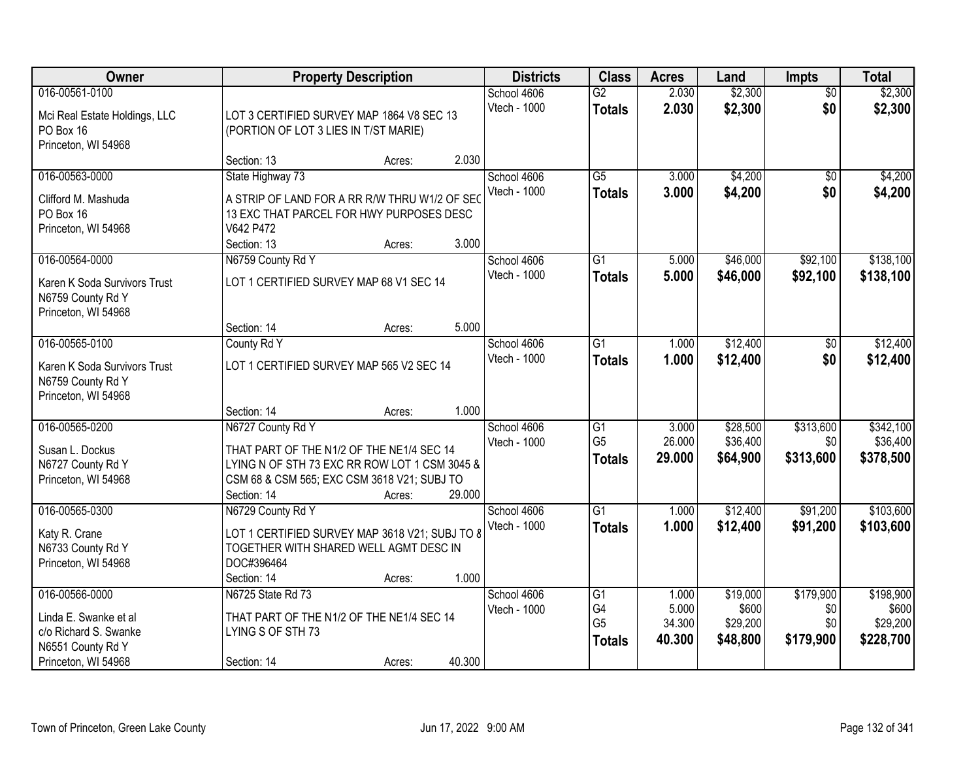| Owner                                                                                      |                                                                                                                                                                               | <b>Property Description</b> |        |                                    | <b>Class</b>                                       | <b>Acres</b>              | Land                             | <b>Impts</b>                  | <b>Total</b>                       |
|--------------------------------------------------------------------------------------------|-------------------------------------------------------------------------------------------------------------------------------------------------------------------------------|-----------------------------|--------|------------------------------------|----------------------------------------------------|---------------------------|----------------------------------|-------------------------------|------------------------------------|
| 016-00561-0100<br>Mci Real Estate Holdings, LLC<br>PO Box 16<br>Princeton, WI 54968        | LOT 3 CERTIFIED SURVEY MAP 1864 V8 SEC 13<br>(PORTION OF LOT 3 LIES IN T/ST MARIE)                                                                                            |                             |        | School 4606<br>Vtech - 1000        | $\overline{G2}$<br><b>Totals</b>                   | 2.030<br>2.030            | \$2,300<br>\$2,300               | $\overline{50}$<br>\$0        | \$2,300<br>\$2,300                 |
|                                                                                            | Section: 13                                                                                                                                                                   | Acres:                      | 2.030  |                                    |                                                    |                           |                                  |                               |                                    |
| 016-00563-0000<br>Clifford M. Mashuda<br>PO Box 16<br>Princeton, WI 54968                  | State Highway 73<br>A STRIP OF LAND FOR A RR R/W THRU W1/2 OF SEC<br>13 EXC THAT PARCEL FOR HWY PURPOSES DESC<br>V642 P472<br>Section: 13                                     | Acres:                      | 3.000  | School 4606<br>Vtech - 1000        | $\overline{G5}$<br><b>Totals</b>                   | 3.000<br>3.000            | \$4,200<br>\$4,200               | $\overline{50}$<br>\$0        | \$4,200<br>\$4,200                 |
| 016-00564-0000                                                                             | N6759 County Rd Y                                                                                                                                                             |                             |        | School 4606                        | $\overline{G1}$                                    | 5.000                     | \$46,000                         | \$92,100                      | \$138,100                          |
| Karen K Soda Survivors Trust<br>N6759 County Rd Y<br>Princeton, WI 54968                   | LOT 1 CERTIFIED SURVEY MAP 68 V1 SEC 14                                                                                                                                       |                             |        | Vtech - 1000                       | <b>Totals</b>                                      | 5.000                     | \$46,000                         | \$92,100                      | \$138,100                          |
|                                                                                            | Section: 14                                                                                                                                                                   | Acres:                      | 5.000  |                                    |                                                    |                           |                                  |                               |                                    |
| 016-00565-0100                                                                             | County Rd Y                                                                                                                                                                   |                             |        | School 4606                        | $\overline{G1}$                                    | 1.000                     | \$12,400                         | \$0                           | \$12,400                           |
| Karen K Soda Survivors Trust<br>N6759 County Rd Y<br>Princeton, WI 54968                   | LOT 1 CERTIFIED SURVEY MAP 565 V2 SEC 14                                                                                                                                      |                             |        | Vtech - 1000                       | <b>Totals</b>                                      | 1.000                     | \$12,400                         | \$0                           | \$12,400                           |
|                                                                                            | Section: 14                                                                                                                                                                   | Acres:                      | 1.000  |                                    |                                                    |                           |                                  |                               |                                    |
| 016-00565-0200<br>Susan L. Dockus<br>N6727 County Rd Y<br>Princeton, WI 54968              | N6727 County Rd Y<br>THAT PART OF THE N1/2 OF THE NE1/4 SEC 14<br>LYING N OF STH 73 EXC RR ROW LOT 1 CSM 3045 &<br>CSM 68 & CSM 565; EXC CSM 3618 V21; SUBJ TO<br>Section: 14 | Acres:                      | 29,000 | School 4606<br><b>Vtech - 1000</b> | $\overline{G1}$<br>G <sub>5</sub><br><b>Totals</b> | 3.000<br>26.000<br>29.000 | \$28,500<br>\$36,400<br>\$64,900 | \$313,600<br>\$0<br>\$313,600 | \$342,100<br>\$36,400<br>\$378,500 |
| 016-00565-0300                                                                             | N6729 County Rd Y                                                                                                                                                             |                             |        | School 4606                        | $\overline{G1}$                                    | 1.000                     | \$12,400                         | \$91,200                      | \$103,600                          |
| Katy R. Crane<br>N6733 County Rd Y<br>Princeton, WI 54968                                  | LOT 1 CERTIFIED SURVEY MAP 3618 V21; SUBJ TO 8<br>TOGETHER WITH SHARED WELL AGMT DESC IN<br>DOC#396464<br>Section: 14                                                         | Acres:                      | 1.000  | Vtech - 1000                       | <b>Totals</b>                                      | 1.000                     | \$12,400                         | \$91,200                      | \$103,600                          |
| 016-00566-0000                                                                             | N6725 State Rd 73                                                                                                                                                             |                             |        | School 4606                        | $\overline{G1}$                                    | 1.000                     | \$19,000                         | \$179,900                     | \$198,900                          |
| Linda E. Swanke et al<br>c/o Richard S. Swanke<br>N6551 County Rd Y<br>Princeton, WI 54968 | THAT PART OF THE N1/2 OF THE NE1/4 SEC 14<br>LYING S OF STH 73<br>Section: 14                                                                                                 | Acres:                      | 40.300 | Vtech - 1000                       | G4<br>G <sub>5</sub><br><b>Totals</b>              | 5.000<br>34.300<br>40.300 | \$600<br>\$29,200<br>\$48,800    | \$0<br>\$0<br>\$179,900       | \$600<br>\$29,200<br>\$228,700     |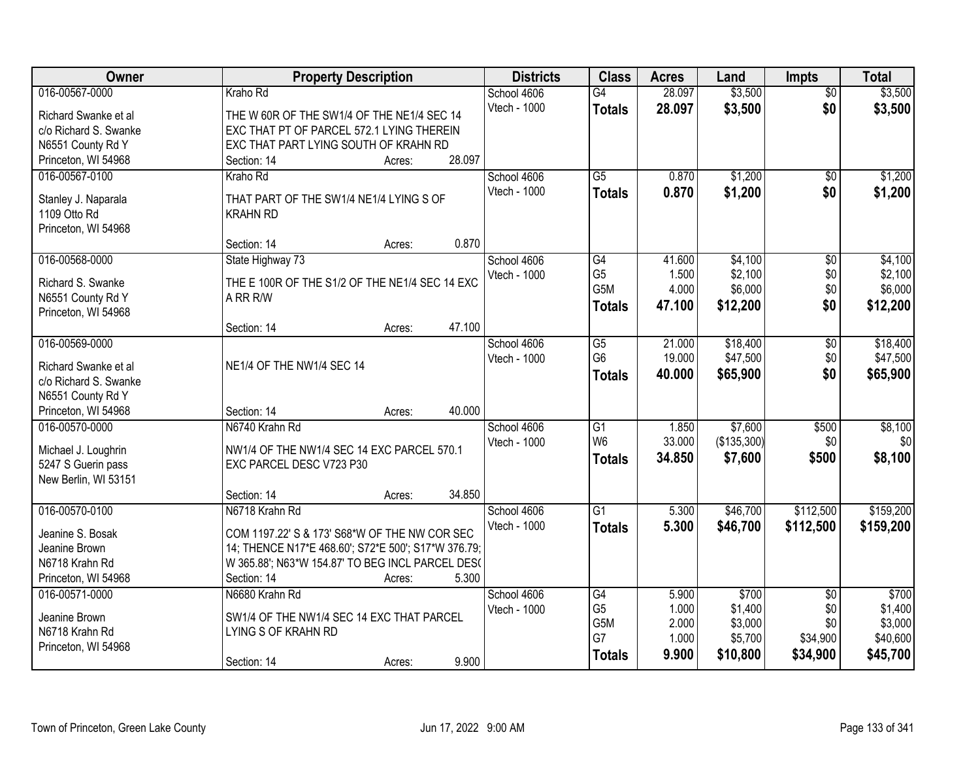| Owner                                    | <b>Property Description</b>                         | <b>Districts</b> | <b>Class</b>     | <b>Acres</b> | Land        | <b>Impts</b>    | <b>Total</b> |
|------------------------------------------|-----------------------------------------------------|------------------|------------------|--------------|-------------|-----------------|--------------|
| 016-00567-0000                           | Kraho Rd                                            | School 4606      | $\overline{G4}$  | 28.097       | \$3,500     | $\overline{50}$ | \$3,500      |
| Richard Swanke et al                     | THE W 60R OF THE SW1/4 OF THE NE1/4 SEC 14          | Vtech - 1000     | <b>Totals</b>    | 28.097       | \$3,500     | \$0             | \$3,500      |
| c/o Richard S. Swanke                    | EXC THAT PT OF PARCEL 572.1 LYING THEREIN           |                  |                  |              |             |                 |              |
| N6551 County Rd Y                        | EXC THAT PART LYING SOUTH OF KRAHN RD               |                  |                  |              |             |                 |              |
| Princeton, WI 54968                      | 28.097<br>Section: 14<br>Acres:                     |                  |                  |              |             |                 |              |
| 016-00567-0100                           | Kraho Rd                                            | School 4606      | $\overline{G5}$  | 0.870        | \$1,200     | \$0             | \$1,200      |
| Stanley J. Naparala                      | THAT PART OF THE SW1/4 NE1/4 LYING S OF             | Vtech - 1000     | <b>Totals</b>    | 0.870        | \$1,200     | \$0             | \$1,200      |
| 1109 Otto Rd                             | <b>KRAHN RD</b>                                     |                  |                  |              |             |                 |              |
| Princeton, WI 54968                      |                                                     |                  |                  |              |             |                 |              |
|                                          | 0.870<br>Section: 14<br>Acres:                      |                  |                  |              |             |                 |              |
| 016-00568-0000                           | State Highway 73                                    | School 4606      | G4               | 41.600       | \$4,100     | $\overline{50}$ | \$4,100      |
|                                          | THE E 100R OF THE S1/2 OF THE NE1/4 SEC 14 EXC      | Vtech - 1000     | G <sub>5</sub>   | 1.500        | \$2,100     | \$0             | \$2,100      |
| Richard S. Swanke<br>N6551 County Rd Y   | A RR R/W                                            |                  | G <sub>5</sub> M | 4.000        | \$6,000     | \$0             | \$6,000      |
| Princeton, WI 54968                      |                                                     |                  | <b>Totals</b>    | 47.100       | \$12,200    | \$0             | \$12,200     |
|                                          | 47.100<br>Section: 14<br>Acres:                     |                  |                  |              |             |                 |              |
| 016-00569-0000                           |                                                     | School 4606      | $\overline{G5}$  | 21.000       | \$18,400    | \$0             | \$18,400     |
|                                          |                                                     | Vtech - 1000     | G <sub>6</sub>   | 19.000       | \$47,500    | \$0             | \$47,500     |
| Richard Swanke et al                     | NE1/4 OF THE NW1/4 SEC 14                           |                  | <b>Totals</b>    | 40.000       | \$65,900    | \$0             | \$65,900     |
| c/o Richard S. Swanke                    |                                                     |                  |                  |              |             |                 |              |
| N6551 County Rd Y<br>Princeton, WI 54968 | 40.000<br>Section: 14<br>Acres:                     |                  |                  |              |             |                 |              |
| 016-00570-0000                           | N6740 Krahn Rd                                      | School 4606      | $\overline{G1}$  | 1.850        | \$7,600     | \$500           | \$8,100      |
|                                          |                                                     | Vtech - 1000     | W <sub>6</sub>   | 33.000       | (\$135,300) | \$0             | \$0          |
| Michael J. Loughrin                      | NW1/4 OF THE NW1/4 SEC 14 EXC PARCEL 570.1          |                  | <b>Totals</b>    | 34.850       | \$7,600     | \$500           | \$8,100      |
| 5247 S Guerin pass                       | EXC PARCEL DESC V723 P30                            |                  |                  |              |             |                 |              |
| New Berlin, WI 53151                     |                                                     |                  |                  |              |             |                 |              |
|                                          | 34.850<br>Section: 14<br>Acres:                     |                  |                  |              |             |                 |              |
| 016-00570-0100                           | N6718 Krahn Rd                                      | School 4606      | $\overline{G1}$  | 5.300        | \$46,700    | \$112,500       | \$159,200    |
| Jeanine S. Bosak                         | COM 1197.22' S & 173' S68*W OF THE NW COR SEC       | Vtech - 1000     | <b>Totals</b>    | 5.300        | \$46,700    | \$112,500       | \$159,200    |
| Jeanine Brown                            | 14; THENCE N17*E 468.60'; S72*E 500'; S17*W 376.79; |                  |                  |              |             |                 |              |
| N6718 Krahn Rd                           | W 365.88'; N63*W 154.87' TO BEG INCL PARCEL DES(    |                  |                  |              |             |                 |              |
| Princeton, WI 54968                      | 5.300<br>Section: 14<br>Acres:                      |                  |                  |              |             |                 |              |
| 016-00571-0000                           | N6680 Krahn Rd                                      | School 4606      | G4               | 5.900        | \$700       | $\overline{50}$ | \$700        |
| Jeanine Brown                            | SW1/4 OF THE NW1/4 SEC 14 EXC THAT PARCEL           | Vtech - 1000     | G <sub>5</sub>   | 1.000        | \$1,400     | \$0             | \$1,400      |
| N6718 Krahn Rd                           | LYING S OF KRAHN RD                                 |                  | G5M              | 2.000        | \$3,000     | \$0             | \$3,000      |
| Princeton, WI 54968                      |                                                     |                  | G7               | 1.000        | \$5,700     | \$34,900        | \$40,600     |
|                                          | 9.900<br>Section: 14<br>Acres:                      |                  | <b>Totals</b>    | 9.900        | \$10,800    | \$34,900        | \$45,700     |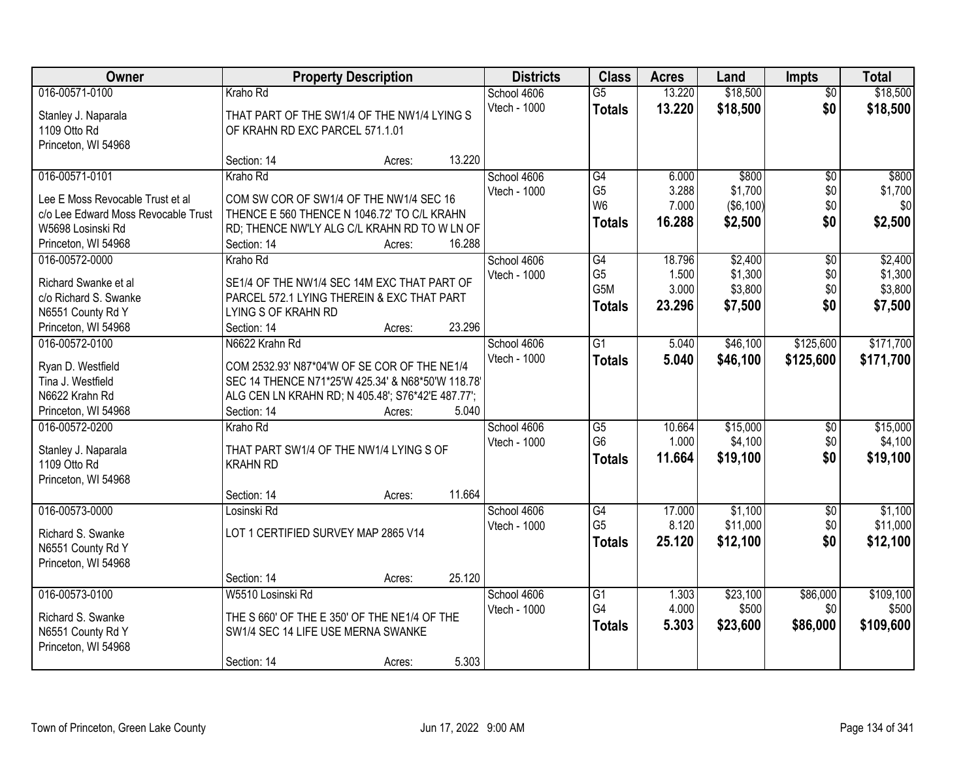| Owner                               | <b>Property Description</b>                                                | <b>Districts</b> | <b>Class</b>         | <b>Acres</b> | Land                | <b>Impts</b>    | <b>Total</b> |
|-------------------------------------|----------------------------------------------------------------------------|------------------|----------------------|--------------|---------------------|-----------------|--------------|
| 016-00571-0100                      | Kraho Rd                                                                   | School 4606      | $\overline{G5}$      | 13.220       | \$18,500            | $\overline{50}$ | \$18,500     |
| Stanley J. Naparala                 | THAT PART OF THE SW1/4 OF THE NW1/4 LYING S                                | Vtech - 1000     | <b>Totals</b>        | 13.220       | \$18,500            | \$0             | \$18,500     |
| 1109 Otto Rd                        | OF KRAHN RD EXC PARCEL 571.1.01                                            |                  |                      |              |                     |                 |              |
| Princeton, WI 54968                 |                                                                            |                  |                      |              |                     |                 |              |
|                                     | Section: 14<br>Acres:                                                      | 13.220           |                      |              |                     |                 |              |
| 016-00571-0101                      | Kraho Rd                                                                   | School 4606      | G4                   | 6.000        | \$800               | $\overline{50}$ | \$800        |
| Lee E Moss Revocable Trust et al    | COM SW COR OF SW1/4 OF THE NW1/4 SEC 16                                    | Vtech - 1000     | G <sub>5</sub>       | 3.288        | \$1,700             | \$0             | \$1,700      |
| c/o Lee Edward Moss Revocable Trust | THENCE E 560 THENCE N 1046.72' TO C/L KRAHN                                |                  | W <sub>6</sub>       | 7.000        | $($ \$6,100) $ $    | \$0             | \$0          |
| W5698 Losinski Rd                   | RD; THENCE NW'LY ALG C/L KRAHN RD TO W LN OF                               |                  | <b>Totals</b>        | 16.288       | \$2,500             | \$0             | \$2,500      |
| Princeton, WI 54968                 | Section: 14<br>Acres:                                                      | 16.288           |                      |              |                     |                 |              |
| 016-00572-0000                      | Kraho Rd                                                                   | School 4606      | G4                   | 18.796       | \$2,400             | \$0             | \$2,400      |
| Richard Swanke et al                | SE1/4 OF THE NW1/4 SEC 14M EXC THAT PART OF                                | Vtech - 1000     | G <sub>5</sub>       | 1.500        | \$1,300             | \$0             | \$1,300      |
| c/o Richard S. Swanke               | PARCEL 572.1 LYING THEREIN & EXC THAT PART                                 |                  | G5M                  | 3.000        | \$3,800             | \$0             | \$3,800      |
| N6551 County Rd Y                   | LYING S OF KRAHN RD                                                        |                  | <b>Totals</b>        | 23.296       | \$7,500             | \$0             | \$7,500      |
| Princeton, WI 54968                 | Section: 14<br>Acres:                                                      | 23.296           |                      |              |                     |                 |              |
| 016-00572-0100                      | N6622 Krahn Rd                                                             | School 4606      | G1                   | 5.040        | \$46,100            | \$125,600       | \$171,700    |
|                                     |                                                                            | Vtech - 1000     | <b>Totals</b>        | 5.040        | \$46,100            | \$125,600       | \$171,700    |
| Ryan D. Westfield                   | COM 2532.93' N87*04'W OF SE COR OF THE NE1/4                               |                  |                      |              |                     |                 |              |
| Tina J. Westfield<br>N6622 Krahn Rd | SEC 14 THENCE N71*25'W 425.34' & N68*50'W 118.78'                          |                  |                      |              |                     |                 |              |
| Princeton, WI 54968                 | ALG CEN LN KRAHN RD; N 405.48'; S76*42'E 487.77';<br>Section: 14<br>Acres: | 5.040            |                      |              |                     |                 |              |
| 016-00572-0200                      | Kraho Rd                                                                   | School 4606      | $\overline{G5}$      | 10.664       | \$15,000            | $\overline{50}$ | \$15,000     |
|                                     |                                                                            | Vtech - 1000     | G <sub>6</sub>       | 1.000        | \$4,100             | \$0             | \$4,100      |
| Stanley J. Naparala                 | THAT PART SW1/4 OF THE NW1/4 LYING S OF                                    |                  | <b>Totals</b>        | 11.664       | \$19,100            | \$0             | \$19,100     |
| 1109 Otto Rd                        | <b>KRAHN RD</b>                                                            |                  |                      |              |                     |                 |              |
| Princeton, WI 54968                 |                                                                            |                  |                      |              |                     |                 |              |
|                                     | Section: 14<br>Acres:                                                      | 11.664           |                      |              |                     |                 |              |
| 016-00573-0000                      | Losinski Rd                                                                | School 4606      | G4<br>G <sub>5</sub> | 17.000       | \$1,100<br>\$11,000 | $\overline{50}$ | \$1,100      |
| Richard S. Swanke                   | LOT 1 CERTIFIED SURVEY MAP 2865 V14                                        | Vtech - 1000     |                      | 8.120        |                     | \$0<br>\$0      | \$11,000     |
| N6551 County Rd Y                   |                                                                            |                  | <b>Totals</b>        | 25.120       | \$12,100            |                 | \$12,100     |
| Princeton, WI 54968                 |                                                                            |                  |                      |              |                     |                 |              |
|                                     | Section: 14<br>Acres:                                                      | 25.120           |                      |              |                     |                 |              |
| 016-00573-0100                      | W5510 Losinski Rd                                                          | School 4606      | G1                   | 1.303        | \$23,100            | \$86,000        | \$109,100    |
| Richard S. Swanke                   | THE S 660' OF THE E 350' OF THE NE1/4 OF THE                               | Vtech - 1000     | G4                   | 4.000        | \$500               | \$0             | \$500        |
| N6551 County Rd Y                   | SW1/4 SEC 14 LIFE USE MERNA SWANKE                                         |                  | <b>Totals</b>        | 5.303        | \$23,600            | \$86,000        | \$109,600    |
| Princeton, WI 54968                 |                                                                            |                  |                      |              |                     |                 |              |
|                                     | Section: 14<br>Acres:                                                      | 5.303            |                      |              |                     |                 |              |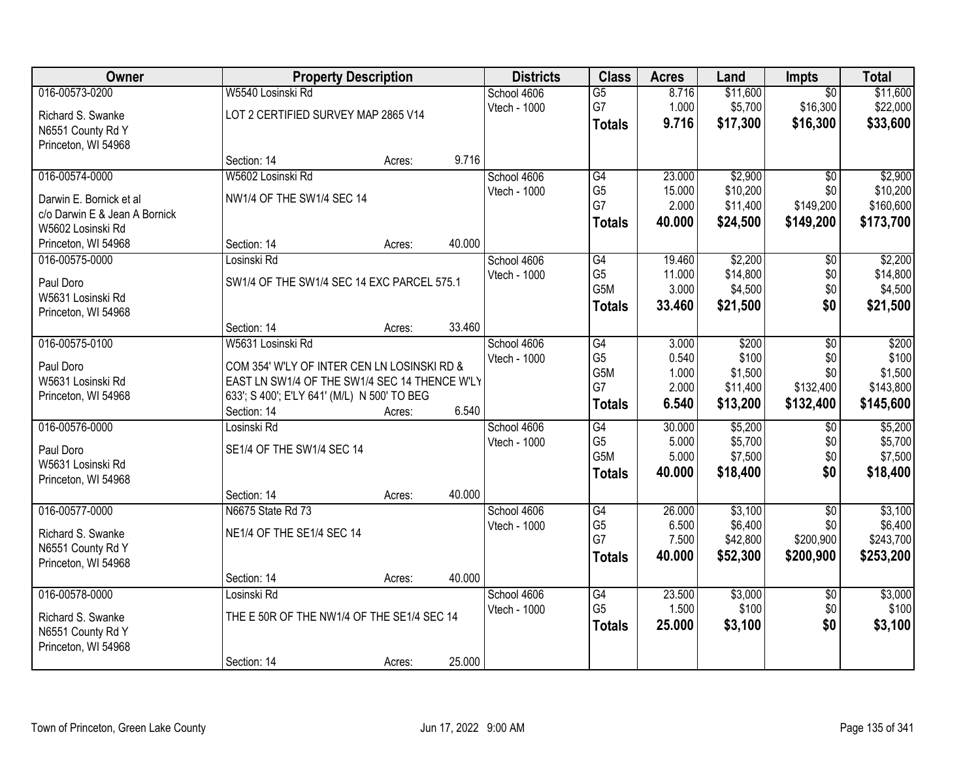| Owner                          |                                                                                              | <b>Property Description</b> |        |              | <b>Class</b>         | <b>Acres</b> | Land     | <b>Impts</b>    | <b>Total</b> |
|--------------------------------|----------------------------------------------------------------------------------------------|-----------------------------|--------|--------------|----------------------|--------------|----------|-----------------|--------------|
| 016-00573-0200                 | W5540 Losinski Rd                                                                            |                             |        | School 4606  | $\overline{G5}$      | 8.716        | \$11,600 | $\overline{50}$ | \$11,600     |
| Richard S. Swanke              | LOT 2 CERTIFIED SURVEY MAP 2865 V14                                                          |                             |        | Vtech - 1000 | G7                   | 1.000        | \$5,700  | \$16,300        | \$22,000     |
| N6551 County Rd Y              |                                                                                              |                             |        |              | <b>Totals</b>        | 9.716        | \$17,300 | \$16,300        | \$33,600     |
| Princeton, WI 54968            |                                                                                              |                             |        |              |                      |              |          |                 |              |
|                                | Section: 14                                                                                  | Acres:                      | 9.716  |              |                      |              |          |                 |              |
| 016-00574-0000                 | W5602 Losinski Rd                                                                            |                             |        | School 4606  | G4                   | 23.000       | \$2,900  | $\overline{30}$ | \$2,900      |
| Darwin E. Bornick et al        | NW1/4 OF THE SW1/4 SEC 14                                                                    |                             |        | Vtech - 1000 | G <sub>5</sub>       | 15.000       | \$10,200 | \$0             | \$10,200     |
| c/o Darwin E & Jean A Bornick  |                                                                                              |                             |        |              | G7                   | 2.000        | \$11,400 | \$149,200       | \$160,600    |
| W5602 Losinski Rd              |                                                                                              |                             |        |              | <b>Totals</b>        | 40.000       | \$24,500 | \$149,200       | \$173,700    |
| Princeton, WI 54968            | Section: 14                                                                                  | Acres:                      | 40.000 |              |                      |              |          |                 |              |
| 016-00575-0000                 | Losinski Rd                                                                                  |                             |        | School 4606  | G4                   | 19.460       | \$2,200  | \$0             | \$2,200      |
| Paul Doro                      | SW1/4 OF THE SW1/4 SEC 14 EXC PARCEL 575.1                                                   |                             |        | Vtech - 1000 | G <sub>5</sub>       | 11.000       | \$14,800 | \$0             | \$14,800     |
| W5631 Losinski Rd              |                                                                                              |                             |        |              | G <sub>5</sub> M     | 3.000        | \$4,500  | \$0             | \$4,500      |
| Princeton, WI 54968            |                                                                                              |                             |        |              | <b>Totals</b>        | 33.460       | \$21,500 | \$0             | \$21,500     |
|                                | Section: 14                                                                                  | Acres:                      | 33.460 |              |                      |              |          |                 |              |
| 016-00575-0100                 | W5631 Losinski Rd                                                                            |                             |        | School 4606  | $\overline{G4}$      | 3.000        | \$200    | \$0             | \$200        |
|                                |                                                                                              |                             |        | Vtech - 1000 | G <sub>5</sub>       | 0.540        | \$100    | \$0             | \$100        |
| Paul Doro<br>W5631 Losinski Rd | COM 354' W'LY OF INTER CEN LN LOSINSKI RD &<br>EAST LN SW1/4 OF THE SW1/4 SEC 14 THENCE W'LY |                             |        |              | G <sub>5</sub> M     | 1.000        | \$1,500  | \$0             | \$1,500      |
| Princeton, WI 54968            | 633'; S 400'; E'LY 641' (M/L) N 500' TO BEG                                                  |                             |        |              | G7                   | 2.000        | \$11,400 | \$132,400       | \$143,800    |
|                                | Section: 14                                                                                  | Acres:                      | 6.540  |              | <b>Totals</b>        | 6.540        | \$13,200 | \$132,400       | \$145,600    |
| 016-00576-0000                 | Losinski Rd                                                                                  |                             |        | School 4606  | $\overline{G4}$      | 30.000       | \$5,200  | $\overline{50}$ | \$5,200      |
|                                |                                                                                              |                             |        | Vtech - 1000 | G <sub>5</sub>       | 5.000        | \$5,700  | \$0             | \$5,700      |
| Paul Doro                      | SE1/4 OF THE SW1/4 SEC 14                                                                    |                             |        |              | G <sub>5</sub> M     | 5.000        | \$7,500  | \$0             | \$7,500      |
| W5631 Losinski Rd              |                                                                                              |                             |        |              | <b>Totals</b>        | 40.000       | \$18,400 | \$0             | \$18,400     |
| Princeton, WI 54968            |                                                                                              |                             | 40.000 |              |                      |              |          |                 |              |
| 016-00577-0000                 | Section: 14<br>N6675 State Rd 73                                                             | Acres:                      |        | School 4606  | G4                   | 26.000       | \$3,100  | $\overline{50}$ | \$3,100      |
|                                |                                                                                              |                             |        | Vtech - 1000 | G <sub>5</sub>       | 6.500        | \$6,400  | \$0             | \$6,400      |
| Richard S. Swanke              | NE1/4 OF THE SE1/4 SEC 14                                                                    |                             |        |              | G7                   | 7.500        | \$42,800 | \$200,900       | \$243,700    |
| N6551 County Rd Y              |                                                                                              |                             |        |              | <b>Totals</b>        | 40.000       | \$52,300 | \$200,900       | \$253,200    |
| Princeton, WI 54968            |                                                                                              |                             |        |              |                      |              |          |                 |              |
|                                | Section: 14                                                                                  | Acres:                      | 40.000 |              |                      |              |          |                 |              |
| 016-00578-0000                 | Losinski Rd                                                                                  |                             |        | School 4606  | G4<br>G <sub>5</sub> | 23.500       | \$3,000  | $\overline{50}$ | \$3,000      |
| Richard S. Swanke              | THE E 50R OF THE NW1/4 OF THE SE1/4 SEC 14                                                   |                             |        | Vtech - 1000 |                      | 1.500        | \$100    | \$0             | \$100        |
| N6551 County Rd Y              |                                                                                              |                             |        |              | <b>Totals</b>        | 25.000       | \$3,100  | \$0             | \$3,100      |
| Princeton, WI 54968            |                                                                                              |                             |        |              |                      |              |          |                 |              |
|                                | Section: 14                                                                                  | Acres:                      | 25.000 |              |                      |              |          |                 |              |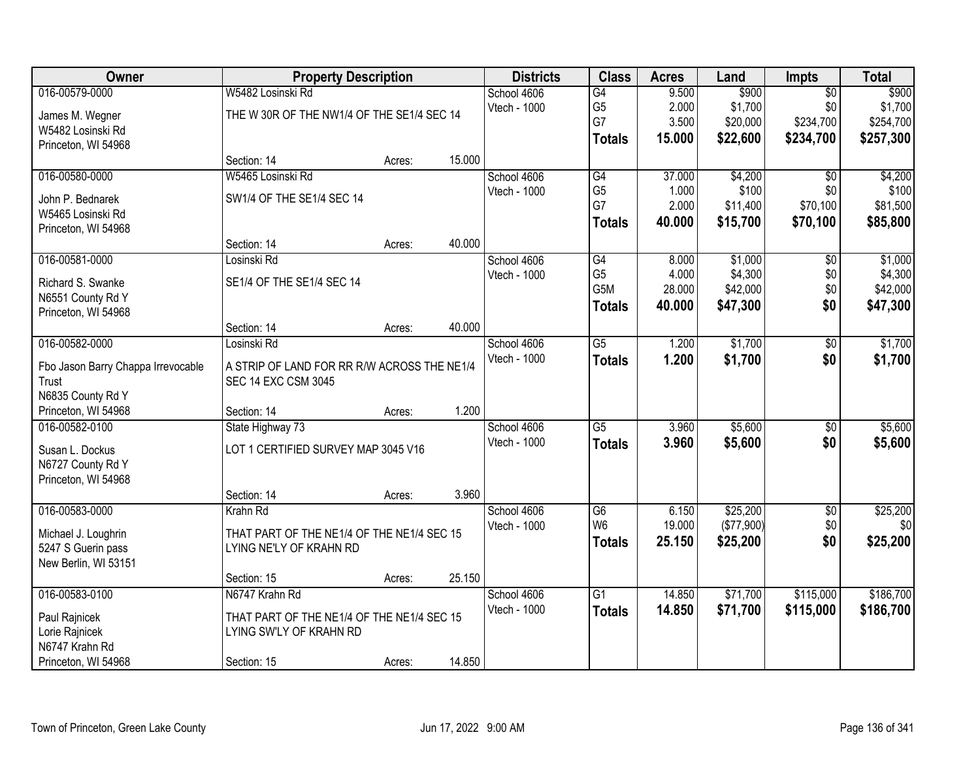| Owner                              | <b>Property Description</b>                 |        |        | <b>Districts</b> | <b>Class</b>     | <b>Acres</b> | Land       | <b>Impts</b>    | <b>Total</b> |
|------------------------------------|---------------------------------------------|--------|--------|------------------|------------------|--------------|------------|-----------------|--------------|
| 016-00579-0000                     | W5482 Losinski Rd                           |        |        | School 4606      | G4               | 9.500        | \$900      | $\overline{50}$ | \$900        |
| James M. Wegner                    | THE W 30R OF THE NW1/4 OF THE SE1/4 SEC 14  |        |        | Vtech - 1000     | G <sub>5</sub>   | 2.000        | \$1,700    | \$0             | \$1,700      |
| W5482 Losinski Rd                  |                                             |        |        |                  | G7               | 3.500        | \$20,000   | \$234,700       | \$254,700    |
| Princeton, WI 54968                |                                             |        |        |                  | <b>Totals</b>    | 15.000       | \$22,600   | \$234,700       | \$257,300    |
|                                    | Section: 14                                 | Acres: | 15.000 |                  |                  |              |            |                 |              |
| 016-00580-0000                     | W5465 Losinski Rd                           |        |        | School 4606      | G4               | 37.000       | \$4,200    | $\overline{50}$ | \$4,200      |
| John P. Bednarek                   | SW1/4 OF THE SE1/4 SEC 14                   |        |        | Vtech - 1000     | G <sub>5</sub>   | 1.000        | \$100      | \$0             | \$100        |
| W5465 Losinski Rd                  |                                             |        |        |                  | G7               | 2.000        | \$11,400   | \$70,100        | \$81,500     |
| Princeton, WI 54968                |                                             |        |        |                  | <b>Totals</b>    | 40.000       | \$15,700   | \$70,100        | \$85,800     |
|                                    | Section: 14                                 | Acres: | 40.000 |                  |                  |              |            |                 |              |
| 016-00581-0000                     | Losinski Rd                                 |        |        | School 4606      | G4               | 8.000        | \$1,000    | $\overline{50}$ | \$1,000      |
| Richard S. Swanke                  | SE1/4 OF THE SE1/4 SEC 14                   |        |        | Vtech - 1000     | G <sub>5</sub>   | 4.000        | \$4,300    | \$0             | \$4,300      |
| N6551 County Rd Y                  |                                             |        |        |                  | G <sub>5</sub> M | 28.000       | \$42,000   | \$0             | \$42,000     |
| Princeton, WI 54968                |                                             |        |        |                  | <b>Totals</b>    | 40.000       | \$47,300   | \$0             | \$47,300     |
|                                    | Section: 14                                 | Acres: | 40.000 |                  |                  |              |            |                 |              |
| 016-00582-0000                     | Losinski Rd                                 |        |        | School 4606      | $\overline{G5}$  | 1.200        | \$1,700    | \$0             | \$1,700      |
| Fbo Jason Barry Chappa Irrevocable | A STRIP OF LAND FOR RR R/W ACROSS THE NE1/4 |        |        | Vtech - 1000     | <b>Totals</b>    | 1.200        | \$1,700    | \$0             | \$1,700      |
| Trust                              | <b>SEC 14 EXC CSM 3045</b>                  |        |        |                  |                  |              |            |                 |              |
| N6835 County Rd Y                  |                                             |        |        |                  |                  |              |            |                 |              |
| Princeton, WI 54968                | Section: 14                                 | Acres: | 1.200  |                  |                  |              |            |                 |              |
| 016-00582-0100                     | State Highway 73                            |        |        | School 4606      | $\overline{G5}$  | 3.960        | \$5,600    | $\overline{30}$ | \$5,600      |
| Susan L. Dockus                    | LOT 1 CERTIFIED SURVEY MAP 3045 V16         |        |        | Vtech - 1000     | <b>Totals</b>    | 3.960        | \$5,600    | \$0             | \$5,600      |
| N6727 County Rd Y                  |                                             |        |        |                  |                  |              |            |                 |              |
| Princeton, WI 54968                |                                             |        |        |                  |                  |              |            |                 |              |
|                                    | Section: 14                                 | Acres: | 3.960  |                  |                  |              |            |                 |              |
| 016-00583-0000                     | Krahn Rd                                    |        |        | School 4606      | G6               | 6.150        | \$25,200   | $\sqrt{$0}$     | \$25,200     |
| Michael J. Loughrin                | THAT PART OF THE NE1/4 OF THE NE1/4 SEC 15  |        |        | Vtech - 1000     | W <sub>6</sub>   | 19.000       | (\$77,900) | \$0             | \$0          |
| 5247 S Guerin pass                 | LYING NE'LY OF KRAHN RD                     |        |        |                  | <b>Totals</b>    | 25.150       | \$25,200   | \$0             | \$25,200     |
| New Berlin, WI 53151               |                                             |        |        |                  |                  |              |            |                 |              |
|                                    | Section: 15                                 | Acres: | 25.150 |                  |                  |              |            |                 |              |
| 016-00583-0100                     | N6747 Krahn Rd                              |        |        | School 4606      | $\overline{G1}$  | 14.850       | \$71,700   | \$115,000       | \$186,700    |
| Paul Rajnicek                      | THAT PART OF THE NE1/4 OF THE NE1/4 SEC 15  |        |        | Vtech - 1000     | <b>Totals</b>    | 14.850       | \$71,700   | \$115,000       | \$186,700    |
| Lorie Rajnicek                     | LYING SW'LY OF KRAHN RD                     |        |        |                  |                  |              |            |                 |              |
| N6747 Krahn Rd                     |                                             |        |        |                  |                  |              |            |                 |              |
| Princeton, WI 54968                | Section: 15                                 | Acres: | 14.850 |                  |                  |              |            |                 |              |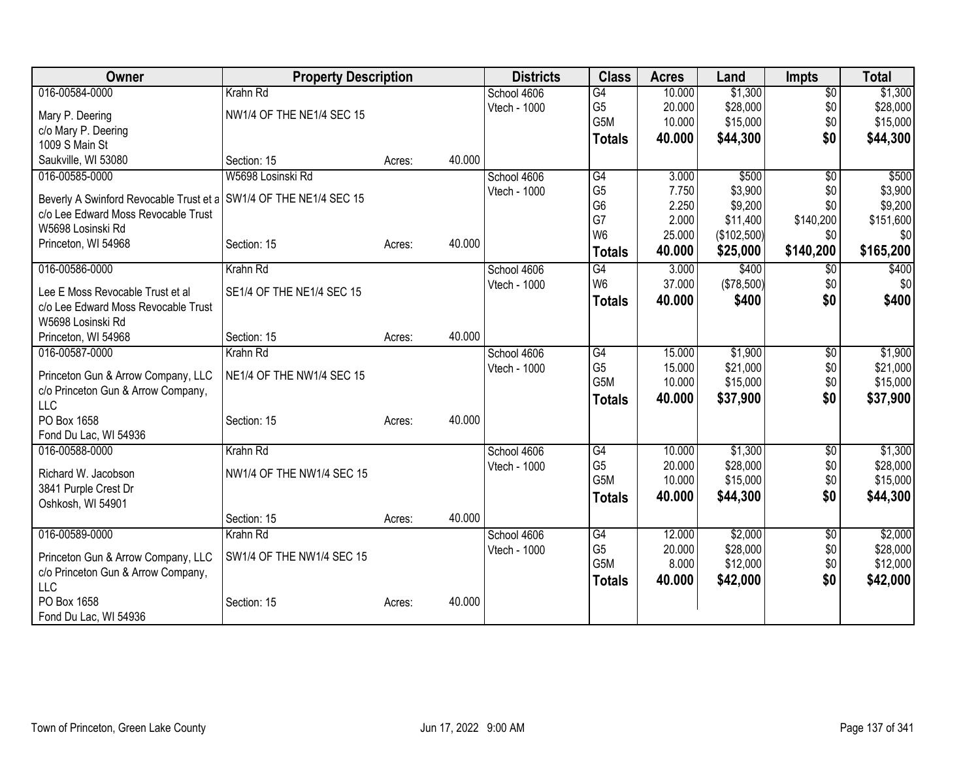| Owner                                                                                                    | <b>Property Description</b> |        |        | <b>Districts</b> | <b>Class</b>    | <b>Acres</b> | Land        | <b>Impts</b>    | <b>Total</b> |
|----------------------------------------------------------------------------------------------------------|-----------------------------|--------|--------|------------------|-----------------|--------------|-------------|-----------------|--------------|
| 016-00584-0000                                                                                           | Krahn Rd                    |        |        | School 4606      | $\overline{G4}$ | 10.000       | \$1,300     | $\overline{50}$ | \$1,300      |
| Mary P. Deering                                                                                          | NW1/4 OF THE NE1/4 SEC 15   |        |        | Vtech - 1000     | G <sub>5</sub>  | 20.000       | \$28,000    | \$0             | \$28,000     |
| c/o Mary P. Deering                                                                                      |                             |        |        |                  | G5M             | 10.000       | \$15,000    | \$0             | \$15,000     |
| 1009 S Main St                                                                                           |                             |        |        |                  | <b>Totals</b>   | 40,000       | \$44,300    | \$0             | \$44,300     |
| Saukville, WI 53080                                                                                      | Section: 15                 | Acres: | 40.000 |                  |                 |              |             |                 |              |
| 016-00585-0000                                                                                           | W5698 Losinski Rd           |        |        | School 4606      | $\overline{G4}$ | 3.000        | \$500       | $\overline{50}$ | \$500        |
|                                                                                                          |                             |        |        | Vtech - 1000     | G <sub>5</sub>  | 7.750        | \$3,900     | \$0             | \$3,900      |
| Beverly A Swinford Revocable Trust et a SW1/4 OF THE NE1/4 SEC 15<br>c/o Lee Edward Moss Revocable Trust |                             |        |        |                  | G <sub>6</sub>  | 2.250        | \$9,200     | \$0             | \$9,200      |
| W5698 Losinski Rd                                                                                        |                             |        |        |                  | G7              | 2.000        | \$11,400    | \$140,200       | \$151,600    |
| Princeton, WI 54968                                                                                      | Section: 15                 | Acres: | 40.000 |                  | W <sub>6</sub>  | 25.000       | (\$102,500) | \$0             | \$0          |
|                                                                                                          |                             |        |        |                  | <b>Totals</b>   | 40.000       | \$25,000    | \$140,200       | \$165,200    |
| 016-00586-0000                                                                                           | Krahn Rd                    |        |        | School 4606      | G4              | 3.000        | \$400       | $\overline{60}$ | \$400        |
| Lee E Moss Revocable Trust et al                                                                         | SE1/4 OF THE NE1/4 SEC 15   |        |        | Vtech - 1000     | W <sub>6</sub>  | 37.000       | (\$78,500)  | \$0             | \$0          |
| c/o Lee Edward Moss Revocable Trust                                                                      |                             |        |        |                  | <b>Totals</b>   | 40.000       | \$400       | \$0             | \$400        |
| W5698 Losinski Rd                                                                                        |                             |        |        |                  |                 |              |             |                 |              |
| Princeton, WI 54968                                                                                      | Section: 15                 | Acres: | 40.000 |                  |                 |              |             |                 |              |
| 016-00587-0000                                                                                           | Krahn Rd                    |        |        | School 4606      | G4              | 15.000       | \$1,900     | $\overline{60}$ | \$1,900      |
|                                                                                                          |                             |        |        | Vtech - 1000     | G <sub>5</sub>  | 15.000       | \$21,000    | \$0             | \$21,000     |
| Princeton Gun & Arrow Company, LLC                                                                       | NE1/4 OF THE NW1/4 SEC 15   |        |        |                  | G5M             | 10.000       | \$15,000    | \$0             | \$15,000     |
| c/o Princeton Gun & Arrow Company,<br><b>LLC</b>                                                         |                             |        |        |                  | <b>Totals</b>   | 40.000       | \$37,900    | \$0             | \$37,900     |
| PO Box 1658                                                                                              | Section: 15                 | Acres: | 40.000 |                  |                 |              |             |                 |              |
| Fond Du Lac, WI 54936                                                                                    |                             |        |        |                  |                 |              |             |                 |              |
| 016-00588-0000                                                                                           | Krahn Rd                    |        |        | School 4606      | G4              | 10.000       | \$1,300     | $\overline{50}$ | \$1,300      |
|                                                                                                          |                             |        |        | Vtech - 1000     | G <sub>5</sub>  | 20.000       | \$28,000    | \$0             | \$28,000     |
| Richard W. Jacobson                                                                                      | NW1/4 OF THE NW1/4 SEC 15   |        |        |                  | G5M             | 10.000       | \$15,000    | \$0             | \$15,000     |
| 3841 Purple Crest Dr                                                                                     |                             |        |        |                  | <b>Totals</b>   | 40.000       | \$44,300    | \$0             | \$44,300     |
| Oshkosh, WI 54901                                                                                        | Section: 15                 | Acres: | 40.000 |                  |                 |              |             |                 |              |
| 016-00589-0000                                                                                           | Krahn Rd                    |        |        | School 4606      | $\overline{G4}$ | 12.000       | \$2,000     | \$0             | \$2,000      |
|                                                                                                          |                             |        |        | Vtech - 1000     | G <sub>5</sub>  | 20.000       | \$28,000    | \$0             | \$28,000     |
| Princeton Gun & Arrow Company, LLC                                                                       | SW1/4 OF THE NW1/4 SEC 15   |        |        |                  | G5M             | 8.000        | \$12,000    | \$0             | \$12,000     |
| c/o Princeton Gun & Arrow Company,                                                                       |                             |        |        |                  | <b>Totals</b>   | 40.000       | \$42,000    | \$0             | \$42,000     |
| <b>LLC</b>                                                                                               |                             |        |        |                  |                 |              |             |                 |              |
| PO Box 1658                                                                                              | Section: 15                 | Acres: | 40.000 |                  |                 |              |             |                 |              |
| Fond Du Lac, WI 54936                                                                                    |                             |        |        |                  |                 |              |             |                 |              |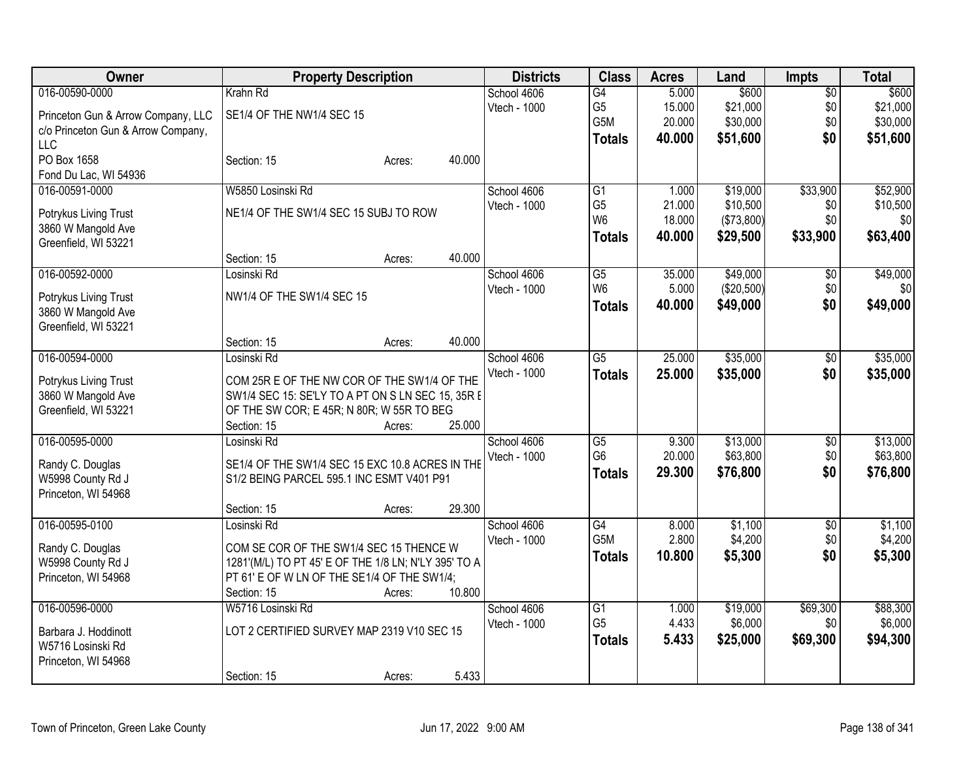| Owner                                      | <b>Property Description</b>                                                                      |                  | <b>Districts</b> | <b>Class</b>    | <b>Acres</b> | Land       | <b>Impts</b>    | <b>Total</b> |
|--------------------------------------------|--------------------------------------------------------------------------------------------------|------------------|------------------|-----------------|--------------|------------|-----------------|--------------|
| 016-00590-0000                             | Krahn Rd                                                                                         |                  | School 4606      | G4              | 5.000        | \$600      | $\overline{50}$ | \$600        |
| Princeton Gun & Arrow Company, LLC         | SE1/4 OF THE NW1/4 SEC 15                                                                        |                  | Vtech - 1000     | G <sub>5</sub>  | 15.000       | \$21,000   | \$0             | \$21,000     |
| c/o Princeton Gun & Arrow Company,         |                                                                                                  |                  |                  | G5M             | 20.000       | \$30,000   | \$0             | \$30,000     |
| <b>LLC</b>                                 |                                                                                                  |                  |                  | Totals          | 40.000       | \$51,600   | \$0             | \$51,600     |
| PO Box 1658                                | Section: 15                                                                                      | 40.000<br>Acres: |                  |                 |              |            |                 |              |
| Fond Du Lac, WI 54936                      |                                                                                                  |                  |                  |                 |              |            |                 |              |
| 016-00591-0000                             | W5850 Losinski Rd                                                                                |                  | School 4606      | $\overline{G1}$ | 1.000        | \$19,000   | \$33,900        | \$52,900     |
| Potrykus Living Trust                      | NE1/4 OF THE SW1/4 SEC 15 SUBJ TO ROW                                                            |                  | Vtech - 1000     | G <sub>5</sub>  | 21.000       | \$10,500   | \$0             | \$10,500     |
| 3860 W Mangold Ave                         |                                                                                                  |                  |                  | W <sub>6</sub>  | 18.000       | (\$73,800) | \$0             | \$0          |
| Greenfield, WI 53221                       |                                                                                                  |                  |                  | Totals          | 40.000       | \$29,500   | \$33,900        | \$63,400     |
|                                            | Section: 15                                                                                      | 40.000<br>Acres: |                  |                 |              |            |                 |              |
| 016-00592-0000                             | Losinski Rd                                                                                      |                  | School 4606      | G5              | 35.000       | \$49,000   | \$0             | \$49,000     |
| Potrykus Living Trust                      | NW1/4 OF THE SW1/4 SEC 15                                                                        |                  | Vtech - 1000     | W <sub>6</sub>  | 5.000        | (\$20,500) | \$0             | \$0          |
| 3860 W Mangold Ave                         |                                                                                                  |                  |                  | <b>Totals</b>   | 40.000       | \$49,000   | \$0             | \$49,000     |
| Greenfield, WI 53221                       |                                                                                                  |                  |                  |                 |              |            |                 |              |
|                                            | Section: 15                                                                                      | 40.000<br>Acres: |                  |                 |              |            |                 |              |
| 016-00594-0000                             | Losinski Rd                                                                                      |                  | School 4606      | $\overline{G5}$ | 25.000       | \$35,000   | \$0             | \$35,000     |
|                                            |                                                                                                  |                  | Vtech - 1000     | <b>Totals</b>   | 25.000       | \$35,000   | \$0             | \$35,000     |
| Potrykus Living Trust                      | COM 25R E OF THE NW COR OF THE SW1/4 OF THE<br>SW1/4 SEC 15: SE'LY TO A PT ON S LN SEC 15, 35R E |                  |                  |                 |              |            |                 |              |
| 3860 W Mangold Ave<br>Greenfield, WI 53221 | OF THE SW COR; E 45R; N 80R; W 55R TO BEG                                                        |                  |                  |                 |              |            |                 |              |
|                                            | Section: 15                                                                                      | 25.000<br>Acres: |                  |                 |              |            |                 |              |
| 016-00595-0000                             | Losinski Rd                                                                                      |                  | School 4606      | G5              | 9.300        | \$13,000   | $\sqrt[6]{3}$   | \$13,000     |
|                                            |                                                                                                  |                  | Vtech - 1000     | G <sub>6</sub>  | 20.000       | \$63,800   | \$0             | \$63,800     |
| Randy C. Douglas                           | SE1/4 OF THE SW1/4 SEC 15 EXC 10.8 ACRES IN THE                                                  |                  |                  | <b>Totals</b>   | 29.300       | \$76,800   | \$0             | \$76,800     |
| W5998 County Rd J                          | S1/2 BEING PARCEL 595.1 INC ESMT V401 P91                                                        |                  |                  |                 |              |            |                 |              |
| Princeton, WI 54968                        | Section: 15                                                                                      | 29.300<br>Acres: |                  |                 |              |            |                 |              |
| 016-00595-0100                             | Losinski Rd                                                                                      |                  | School 4606      | G4              | 8.000        | \$1,100    | $\sqrt{6}$      | \$1,100      |
|                                            |                                                                                                  |                  | Vtech - 1000     | G5M             | 2.800        | \$4,200    | \$0             | \$4,200      |
| Randy C. Douglas                           | COM SE COR OF THE SW1/4 SEC 15 THENCE W                                                          |                  |                  | <b>Totals</b>   | 10.800       | \$5,300    | \$0             | \$5,300      |
| W5998 County Rd J                          | 1281'(M/L) TO PT 45' E OF THE 1/8 LN; N'LY 395' TO A                                             |                  |                  |                 |              |            |                 |              |
| Princeton, WI 54968                        | PT 61' E OF W LN OF THE SE1/4 OF THE SW1/4;                                                      |                  |                  |                 |              |            |                 |              |
|                                            | Section: 15                                                                                      | 10.800<br>Acres: |                  |                 |              |            |                 |              |
| 016-00596-0000                             | W5716 Losinski Rd                                                                                |                  | School 4606      | $\overline{G1}$ | 1.000        | \$19,000   | \$69,300        | \$88,300     |
| Barbara J. Hoddinott                       | LOT 2 CERTIFIED SURVEY MAP 2319 V10 SEC 15                                                       |                  | Vtech - 1000     | G <sub>5</sub>  | 4.433        | \$6,000    | \$0             | \$6,000      |
| W5716 Losinski Rd                          |                                                                                                  |                  |                  | <b>Totals</b>   | 5.433        | \$25,000   | \$69,300        | \$94,300     |
| Princeton, WI 54968                        |                                                                                                  |                  |                  |                 |              |            |                 |              |
|                                            | Section: 15                                                                                      | 5.433<br>Acres:  |                  |                 |              |            |                 |              |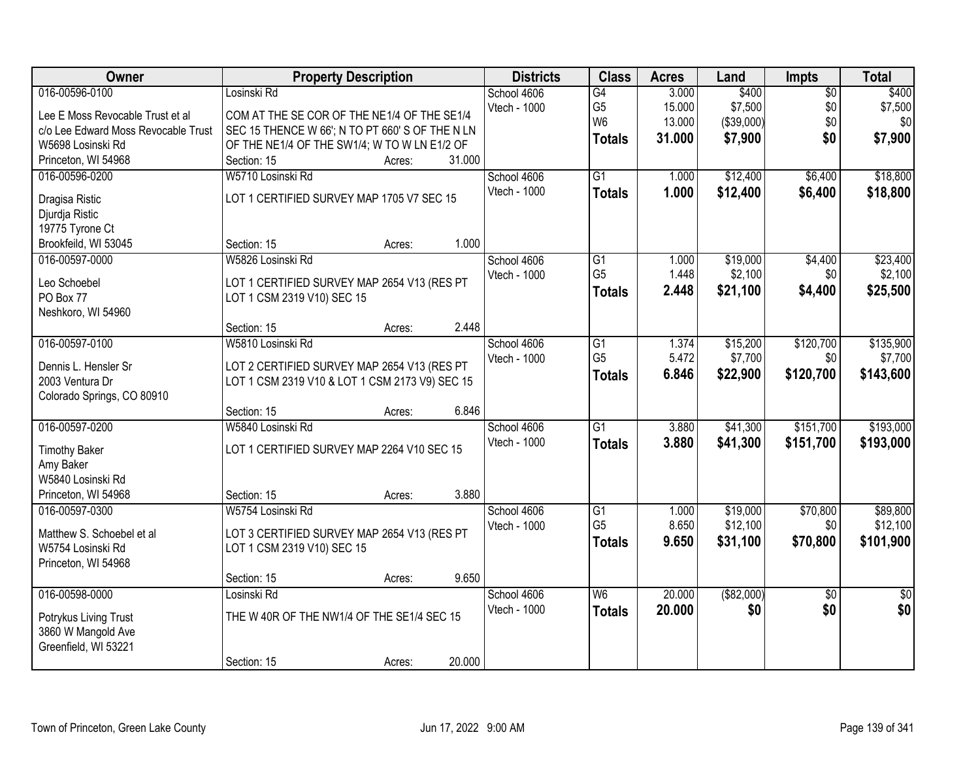| Owner                                    | <b>Property Description</b>                     | <b>Districts</b> | <b>Class</b>    | <b>Acres</b> | Land        | <b>Impts</b>    | <b>Total</b>    |
|------------------------------------------|-------------------------------------------------|------------------|-----------------|--------------|-------------|-----------------|-----------------|
| 016-00596-0100                           | Losinski Rd                                     | School 4606      | G4              | 3.000        | \$400       | $\overline{50}$ | \$400           |
| Lee E Moss Revocable Trust et al         | COM AT THE SE COR OF THE NE1/4 OF THE SE1/4     | Vtech - 1000     | G <sub>5</sub>  | 15.000       | \$7,500     | \$0             | \$7,500         |
| c/o Lee Edward Moss Revocable Trust      | SEC 15 THENCE W 66'; N TO PT 660' S OF THE N LN |                  | W <sub>6</sub>  | 13.000       | (\$39,000)  | \$0             | \$0             |
| W5698 Losinski Rd                        | OF THE NE1/4 OF THE SW1/4; W TO W LN E1/2 OF    |                  | <b>Totals</b>   | 31.000       | \$7,900     | \$0             | \$7,900         |
| Princeton, WI 54968                      | Section: 15<br>31.000<br>Acres:                 |                  |                 |              |             |                 |                 |
| 016-00596-0200                           | W5710 Losinski Rd                               | School 4606      | $\overline{G1}$ | 1.000        | \$12,400    | \$6,400         | \$18,800        |
|                                          | LOT 1 CERTIFIED SURVEY MAP 1705 V7 SEC 15       | Vtech - 1000     | <b>Totals</b>   | 1.000        | \$12,400    | \$6,400         | \$18,800        |
| Dragisa Ristic                           |                                                 |                  |                 |              |             |                 |                 |
| Djurdja Ristic<br>19775 Tyrone Ct        |                                                 |                  |                 |              |             |                 |                 |
| Brookfeild, WI 53045                     | 1.000<br>Section: 15<br>Acres:                  |                  |                 |              |             |                 |                 |
| 016-00597-0000                           | W5826 Losinski Rd                               | School 4606      | G1              | 1.000        | \$19,000    | \$4,400         | \$23,400        |
|                                          |                                                 | Vtech - 1000     | G <sub>5</sub>  | 1.448        | \$2,100     | \$0             | \$2,100         |
| Leo Schoebel                             | LOT 1 CERTIFIED SURVEY MAP 2654 V13 (RES PT     |                  | <b>Totals</b>   | 2.448        | \$21,100    | \$4,400         | \$25,500        |
| PO Box 77                                | LOT 1 CSM 2319 V10) SEC 15                      |                  |                 |              |             |                 |                 |
| Neshkoro, WI 54960                       |                                                 |                  |                 |              |             |                 |                 |
|                                          | 2.448<br>Section: 15<br>Acres:                  |                  |                 |              |             |                 |                 |
| 016-00597-0100                           | W5810 Losinski Rd                               | School 4606      | G1              | 1.374        | \$15,200    | \$120,700       | \$135,900       |
| Dennis L. Hensler Sr                     | LOT 2 CERTIFIED SURVEY MAP 2654 V13 (RES PT     | Vtech - 1000     | G <sub>5</sub>  | 5.472        | \$7,700     | \$0             | \$7,700         |
| 2003 Ventura Dr                          | LOT 1 CSM 2319 V10 & LOT 1 CSM 2173 V9) SEC 15  |                  | <b>Totals</b>   | 6.846        | \$22,900    | \$120,700       | \$143,600       |
| Colorado Springs, CO 80910               |                                                 |                  |                 |              |             |                 |                 |
|                                          | 6.846<br>Section: 15<br>Acres:                  |                  |                 |              |             |                 |                 |
| 016-00597-0200                           | W5840 Losinski Rd                               | School 4606      | $\overline{G1}$ | 3.880        | \$41,300    | \$151,700       | \$193,000       |
|                                          |                                                 | Vtech - 1000     | <b>Totals</b>   | 3.880        | \$41,300    | \$151,700       | \$193,000       |
| <b>Timothy Baker</b>                     | LOT 1 CERTIFIED SURVEY MAP 2264 V10 SEC 15      |                  |                 |              |             |                 |                 |
| Amy Baker                                |                                                 |                  |                 |              |             |                 |                 |
| W5840 Losinski Rd<br>Princeton, WI 54968 | 3.880<br>Section: 15                            |                  |                 |              |             |                 |                 |
| 016-00597-0300                           | Acres:<br>W5754 Losinski Rd                     | School 4606      | $\overline{G1}$ | 1.000        | \$19,000    | \$70,800        | \$89,800        |
|                                          |                                                 | Vtech - 1000     | G <sub>5</sub>  | 8.650        | \$12,100    | \$0             | \$12,100        |
| Matthew S. Schoebel et al                | LOT 3 CERTIFIED SURVEY MAP 2654 V13 (RES PT     |                  |                 | 9.650        | \$31,100    | \$70,800        | \$101,900       |
| W5754 Losinski Rd                        | LOT 1 CSM 2319 V10) SEC 15                      |                  | <b>Totals</b>   |              |             |                 |                 |
| Princeton, WI 54968                      |                                                 |                  |                 |              |             |                 |                 |
|                                          | 9.650<br>Section: 15<br>Acres:                  |                  |                 |              |             |                 |                 |
| 016-00598-0000                           | Losinski Rd                                     | School 4606      | W6              | 20,000       | ( \$82,000) | $\overline{50}$ | $\overline{50}$ |
| Potrykus Living Trust                    | THE W 40R OF THE NW1/4 OF THE SE1/4 SEC 15      | Vtech - 1000     | <b>Totals</b>   | 20.000       | \$0         | \$0             | \$0             |
| 3860 W Mangold Ave                       |                                                 |                  |                 |              |             |                 |                 |
| Greenfield, WI 53221                     |                                                 |                  |                 |              |             |                 |                 |
|                                          | 20.000<br>Section: 15<br>Acres:                 |                  |                 |              |             |                 |                 |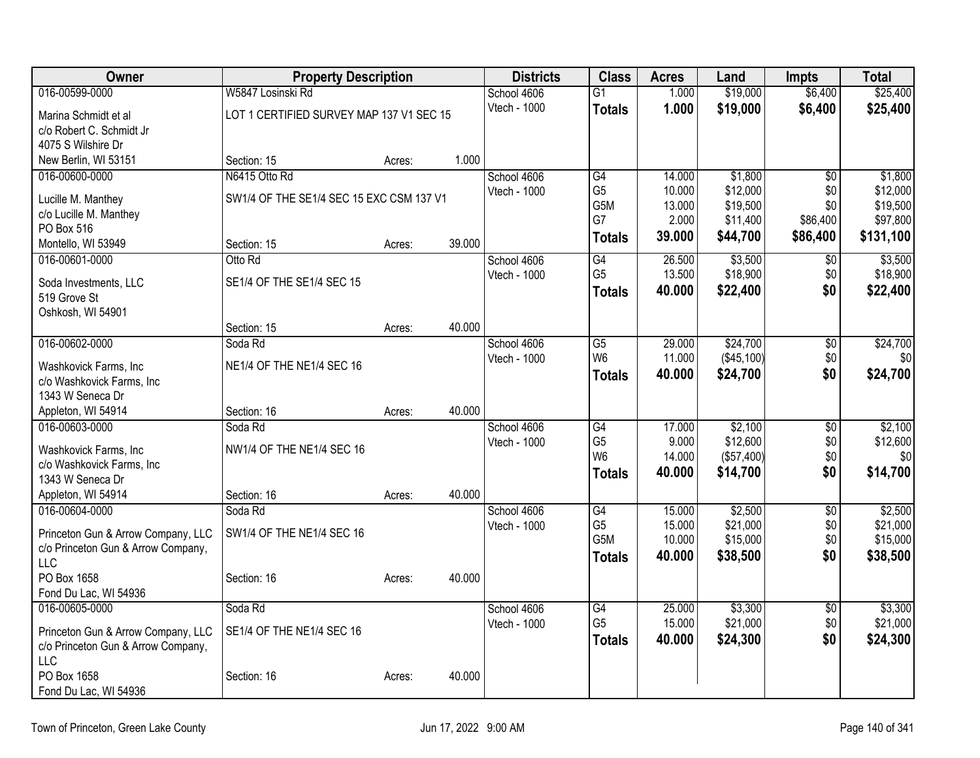| Owner                                            | <b>Property Description</b>              |        |        | <b>Districts</b>            | <b>Class</b>                      | <b>Acres</b>     | Land                   | <b>Impts</b>           | <b>Total</b>         |
|--------------------------------------------------|------------------------------------------|--------|--------|-----------------------------|-----------------------------------|------------------|------------------------|------------------------|----------------------|
| 016-00599-0000                                   | W5847 Losinski Rd                        |        |        | School 4606                 | $\overline{G1}$                   | 1.000            | \$19,000               | \$6,400                | \$25,400             |
| Marina Schmidt et al                             | LOT 1 CERTIFIED SURVEY MAP 137 V1 SEC 15 |        |        | Vtech - 1000                | <b>Totals</b>                     | 1.000            | \$19,000               | \$6,400                | \$25,400             |
| c/o Robert C. Schmidt Jr                         |                                          |        |        |                             |                                   |                  |                        |                        |                      |
| 4075 S Wilshire Dr                               |                                          |        |        |                             |                                   |                  |                        |                        |                      |
| New Berlin, WI 53151                             | Section: 15                              | Acres: | 1.000  |                             |                                   |                  |                        |                        |                      |
| 016-00600-0000                                   | N6415 Otto Rd                            |        |        | School 4606                 | G4                                | 14.000           | \$1,800                | \$0                    | \$1,800              |
| Lucille M. Manthey                               | SW1/4 OF THE SE1/4 SEC 15 EXC CSM 137 V1 |        |        | Vtech - 1000                | G <sub>5</sub><br>G5M             | 10.000<br>13.000 | \$12,000<br>\$19,500   | \$0<br>\$0             | \$12,000<br>\$19,500 |
| c/o Lucille M. Manthey                           |                                          |        |        |                             | G7                                | 2.000            | \$11,400               | \$86,400               | \$97,800             |
| PO Box 516                                       |                                          |        |        |                             | <b>Totals</b>                     | 39.000           | \$44,700               | \$86,400               | \$131,100            |
| Montello, WI 53949                               | Section: 15                              | Acres: | 39.000 |                             |                                   |                  |                        |                        |                      |
| 016-00601-0000                                   | Otto Rd                                  |        |        | School 4606                 | G4                                | 26.500           | \$3,500                | $\sqrt[6]{}$           | \$3,500              |
| Soda Investments, LLC                            | SE1/4 OF THE SE1/4 SEC 15                |        |        | Vtech - 1000                | G <sub>5</sub>                    | 13.500<br>40.000 | \$18,900               | \$0<br>\$0             | \$18,900             |
| 519 Grove St                                     |                                          |        |        |                             | <b>Totals</b>                     |                  | \$22,400               |                        | \$22,400             |
| Oshkosh, WI 54901                                |                                          |        |        |                             |                                   |                  |                        |                        |                      |
|                                                  | Section: 15                              | Acres: | 40.000 |                             |                                   |                  |                        |                        |                      |
| 016-00602-0000                                   | Soda Rd                                  |        |        | School 4606                 | $\overline{G5}$                   | 29.000           | \$24,700               | $\overline{50}$        | \$24,700             |
| Washkovick Farms, Inc                            | NE1/4 OF THE NE1/4 SEC 16                |        |        | Vtech - 1000                | W <sub>6</sub>                    | 11.000<br>40.000 | (\$45,100)<br>\$24,700 | \$0<br>\$0             | \$0<br>\$24,700      |
| c/o Washkovick Farms, Inc                        |                                          |        |        |                             | <b>Totals</b>                     |                  |                        |                        |                      |
| 1343 W Seneca Dr                                 |                                          |        |        |                             |                                   |                  |                        |                        |                      |
| Appleton, WI 54914                               | Section: 16                              | Acres: | 40.000 |                             |                                   |                  |                        |                        |                      |
| 016-00603-0000                                   | Soda Rd                                  |        |        | School 4606                 | $\overline{G4}$<br>G <sub>5</sub> | 17.000<br>9.000  | \$2,100<br>\$12,600    | $\overline{50}$<br>\$0 | \$2,100              |
| Washkovick Farms, Inc                            | NW1/4 OF THE NE1/4 SEC 16                |        |        | Vtech - 1000                | W <sub>6</sub>                    | 14.000           | (\$57,400)             | \$0                    | \$12,600<br>\$0      |
| c/o Washkovick Farms, Inc                        |                                          |        |        |                             | <b>Totals</b>                     | 40.000           | \$14,700               | \$0                    | \$14,700             |
| 1343 W Seneca Dr                                 |                                          |        |        |                             |                                   |                  |                        |                        |                      |
| Appleton, WI 54914                               | Section: 16                              | Acres: | 40.000 |                             |                                   |                  |                        |                        |                      |
| 016-00604-0000                                   | Soda Rd                                  |        |        | School 4606<br>Vtech - 1000 | $\overline{G4}$<br>G <sub>5</sub> | 15.000<br>15.000 | \$2,500<br>\$21,000    | $\overline{50}$<br>\$0 | \$2,500<br>\$21,000  |
| Princeton Gun & Arrow Company, LLC               | SW1/4 OF THE NE1/4 SEC 16                |        |        |                             | G5M                               | 10.000           | \$15,000               | \$0                    | \$15,000             |
| c/o Princeton Gun & Arrow Company,               |                                          |        |        |                             | <b>Totals</b>                     | 40.000           | \$38,500               | \$0                    | \$38,500             |
| <b>LLC</b><br>PO Box 1658                        |                                          |        |        |                             |                                   |                  |                        |                        |                      |
| Fond Du Lac, WI 54936                            | Section: 16                              | Acres: | 40.000 |                             |                                   |                  |                        |                        |                      |
| 016-00605-0000                                   | Soda Rd                                  |        |        | School 4606                 | G4                                | 25.000           | \$3,300                | $\sqrt{6}$             | \$3,300              |
|                                                  |                                          |        |        | Vtech - 1000                | G <sub>5</sub>                    | 15.000           | \$21,000               | \$0                    | \$21,000             |
| Princeton Gun & Arrow Company, LLC               | SE1/4 OF THE NE1/4 SEC 16                |        |        |                             | <b>Totals</b>                     | 40.000           | \$24,300               | \$0                    | \$24,300             |
| c/o Princeton Gun & Arrow Company,<br><b>LLC</b> |                                          |        |        |                             |                                   |                  |                        |                        |                      |
| PO Box 1658                                      | Section: 16                              | Acres: | 40.000 |                             |                                   |                  |                        |                        |                      |
| Fond Du Lac, WI 54936                            |                                          |        |        |                             |                                   |                  |                        |                        |                      |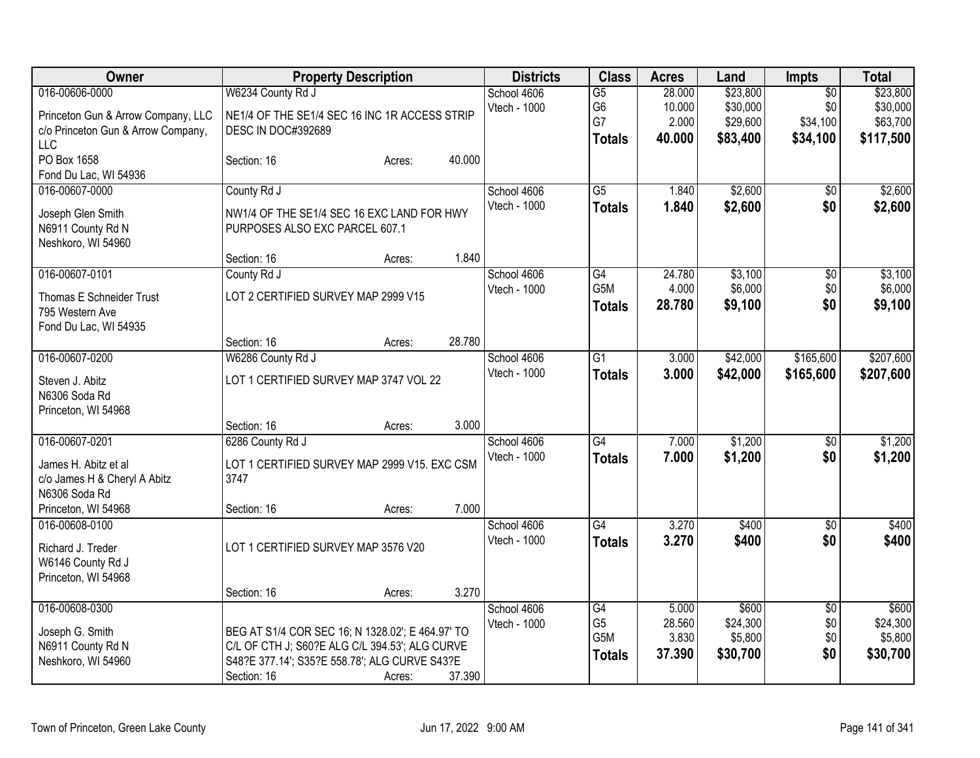| <b>Owner</b>                                                                                           | <b>Property Description</b>                                                                                                                                                                                              | <b>Districts</b>            | <b>Class</b>                                              | <b>Acres</b>                        | Land                                     | Impts                                | <b>Total</b>                             |
|--------------------------------------------------------------------------------------------------------|--------------------------------------------------------------------------------------------------------------------------------------------------------------------------------------------------------------------------|-----------------------------|-----------------------------------------------------------|-------------------------------------|------------------------------------------|--------------------------------------|------------------------------------------|
| 016-00606-0000<br>Princeton Gun & Arrow Company, LLC<br>c/o Princeton Gun & Arrow Company,             | W6234 County Rd J<br>NE1/4 OF THE SE1/4 SEC 16 INC 1R ACCESS STRIP<br><b>DESC IN DOC#392689</b>                                                                                                                          | School 4606<br>Vtech - 1000 | $\overline{G5}$<br>G <sub>6</sub><br>G7                   | 28.000<br>10.000<br>2.000<br>40.000 | \$23,800<br>\$30,000<br>\$29,600         | $\overline{50}$<br>\$0<br>\$34,100   | \$23,800<br>\$30,000<br>\$63,700         |
| LLC<br>PO Box 1658<br>Fond Du Lac, WI 54936                                                            | 40.000<br>Section: 16<br>Acres:                                                                                                                                                                                          |                             | <b>Totals</b>                                             |                                     | \$83,400                                 | \$34,100                             | \$117,500                                |
| 016-00607-0000<br>Joseph Glen Smith<br>N6911 County Rd N<br>Neshkoro, WI 54960                         | County Rd J<br>NW1/4 OF THE SE1/4 SEC 16 EXC LAND FOR HWY<br>PURPOSES ALSO EXC PARCEL 607.1                                                                                                                              | School 4606<br>Vtech - 1000 | $\overline{G5}$<br><b>Totals</b>                          | 1.840<br>1.840                      | \$2,600<br>\$2,600                       | \$0<br>\$0                           | \$2,600<br>\$2,600                       |
| 016-00607-0101<br>Thomas E Schneider Trust<br>795 Western Ave<br>Fond Du Lac, WI 54935                 | 1.840<br>Section: 16<br>Acres:<br>County Rd J<br>LOT 2 CERTIFIED SURVEY MAP 2999 V15                                                                                                                                     | School 4606<br>Vtech - 1000 | G4<br>G5M<br><b>Totals</b>                                | 24.780<br>4.000<br>28.780           | \$3,100<br>\$6,000<br>\$9,100            | \$0<br>\$0<br>\$0                    | \$3,100<br>\$6,000<br>\$9,100            |
| 016-00607-0200<br>Steven J. Abitz<br>N6306 Soda Rd<br>Princeton, WI 54968                              | 28.780<br>Section: 16<br>Acres:<br>W6286 County Rd J<br>LOT 1 CERTIFIED SURVEY MAP 3747 VOL 22                                                                                                                           | School 4606<br>Vtech - 1000 | $\overline{G1}$<br><b>Totals</b>                          | 3.000<br>3.000                      | \$42,000<br>\$42,000                     | \$165,600<br>\$165,600               | \$207,600<br>\$207,600                   |
| 016-00607-0201<br>James H. Abitz et al<br>c/o James H & Cheryl A Abitz<br>N6306 Soda Rd                | 3.000<br>Section: 16<br>Acres:<br>6286 County Rd J<br>LOT 1 CERTIFIED SURVEY MAP 2999 V15. EXC CSM<br>3747                                                                                                               | School 4606<br>Vtech - 1000 | $\overline{G4}$<br><b>Totals</b>                          | 7.000<br>7.000                      | \$1,200<br>\$1,200                       | $\sqrt[6]{}$<br>\$0                  | \$1,200<br>\$1,200                       |
| Princeton, WI 54968<br>016-00608-0100<br>Richard J. Treder<br>W6146 County Rd J<br>Princeton, WI 54968 | 7.000<br>Section: 16<br>Acres:<br>LOT 1 CERTIFIED SURVEY MAP 3576 V20                                                                                                                                                    | School 4606<br>Vtech - 1000 | $\overline{G4}$<br><b>Totals</b>                          | 3.270<br>3.270                      | \$400<br>\$400                           | $\overline{50}$<br>\$0               | \$400<br>\$400                           |
| 016-00608-0300<br>Joseph G. Smith<br>N6911 County Rd N<br>Neshkoro, WI 54960                           | 3.270<br>Section: 16<br>Acres:<br>BEG AT S1/4 COR SEC 16; N 1328.02'; E 464.97' TO<br>C/L OF CTH J; S60?E ALG C/L 394.53'; ALG CURVE<br>S48?E 377.14'; S35?E 558.78'; ALG CURVE S43?E<br>Section: 16<br>37.390<br>Acres: | School 4606<br>Vtech - 1000 | $\overline{G4}$<br>G <sub>5</sub><br>G5M<br><b>Totals</b> | 5.000<br>28.560<br>3.830<br>37.390  | \$600<br>\$24,300<br>\$5,800<br>\$30,700 | $\overline{30}$<br>\$0<br>\$0<br>\$0 | \$600<br>\$24,300<br>\$5,800<br>\$30,700 |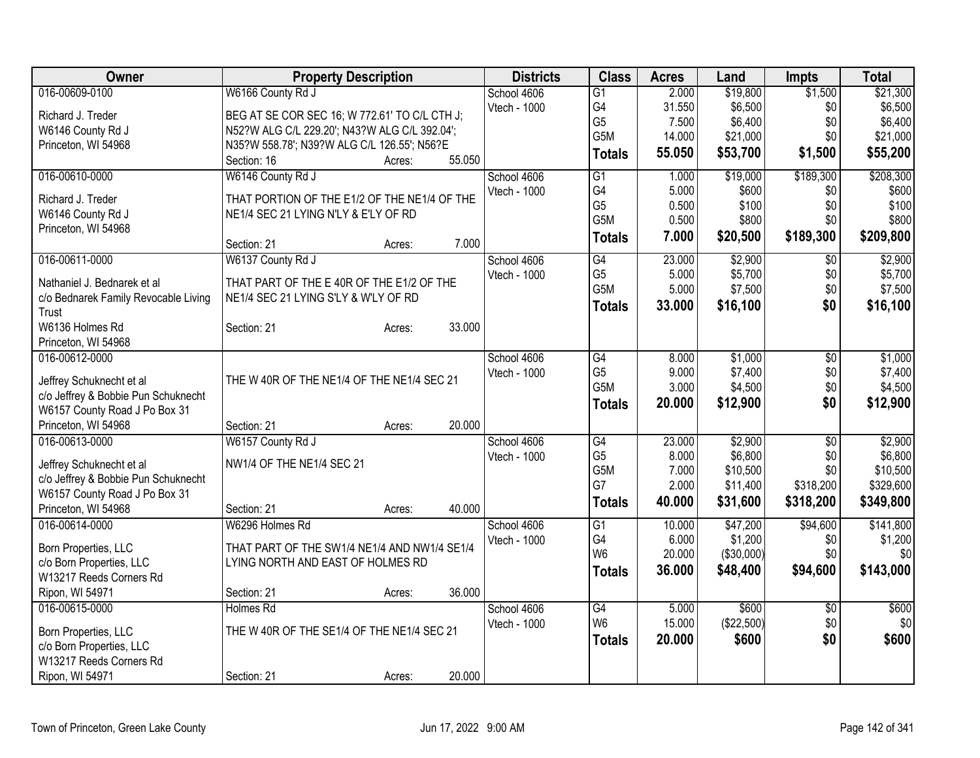| Owner                                | <b>Property Description</b>                   |        | <b>Districts</b> | <b>Class</b>   | <b>Acres</b> | Land       | <b>Impts</b>    | <b>Total</b> |
|--------------------------------------|-----------------------------------------------|--------|------------------|----------------|--------------|------------|-----------------|--------------|
| 016-00609-0100                       | W6166 County Rd J                             |        | School 4606      | G1             | 2.000        | \$19,800   | \$1,500         | \$21,300     |
| Richard J. Treder                    | BEG AT SE COR SEC 16; W 772.61' TO C/L CTH J; |        | Vtech - 1000     | G <sub>4</sub> | 31.550       | \$6,500    | \$0             | \$6,500      |
| W6146 County Rd J                    | N52?W ALG C/L 229.20'; N43?W ALG C/L 392.04'; |        |                  | G <sub>5</sub> | 7.500        | \$6,400    | \$0             | \$6,400      |
| Princeton, WI 54968                  | N35?W 558.78'; N39?W ALG C/L 126.55'; N56?E   |        |                  | G5M            | 14.000       | \$21,000   | \$0             | \$21,000     |
|                                      | Section: 16<br>Acres:                         | 55.050 |                  | <b>Totals</b>  | 55.050       | \$53,700   | \$1,500         | \$55,200     |
| 016-00610-0000                       | W6146 County Rd J                             |        | School 4606      | G1             | 1.000        | \$19,000   | \$189,300       | \$208,300    |
|                                      |                                               |        | Vtech - 1000     | G4             | 5.000        | \$600      | \$0             | \$600        |
| Richard J. Treder                    | THAT PORTION OF THE E1/2 OF THE NE1/4 OF THE  |        |                  | G <sub>5</sub> | 0.500        | \$100      | \$0             | \$100        |
| W6146 County Rd J                    | NE1/4 SEC 21 LYING N'LY & E'LY OF RD          |        |                  | G5M            | 0.500        | \$800      | \$0             | \$800        |
| Princeton, WI 54968                  | Section: 21<br>Acres:                         | 7.000  |                  | <b>Totals</b>  | 7.000        | \$20,500   | \$189,300       | \$209,800    |
| 016-00611-0000                       | W6137 County Rd J                             |        | School 4606      | G4             | 23.000       | \$2,900    | $\sqrt{6}$      | \$2,900      |
|                                      |                                               |        | Vtech - 1000     | G <sub>5</sub> | 5.000        | \$5,700    | \$0             | \$5,700      |
| Nathaniel J. Bednarek et al          | THAT PART OF THE E 40R OF THE E1/2 OF THE     |        |                  | G5M            | 5.000        | \$7,500    | \$0             | \$7,500      |
| c/o Bednarek Family Revocable Living | NE1/4 SEC 21 LYING S'LY & W'LY OF RD          |        |                  | <b>Totals</b>  | 33.000       | \$16,100   | \$0             | \$16,100     |
| Trust<br>W6136 Holmes Rd             | Section: 21<br>Acres:                         | 33.000 |                  |                |              |            |                 |              |
| Princeton, WI 54968                  |                                               |        |                  |                |              |            |                 |              |
| 016-00612-0000                       |                                               |        | School 4606      | G4             | 8.000        | \$1,000    | \$0             | \$1,000      |
|                                      |                                               |        | Vtech - 1000     | G <sub>5</sub> | 9.000        | \$7,400    | \$0             | \$7,400      |
| Jeffrey Schuknecht et al             | THE W 40R OF THE NE1/4 OF THE NE1/4 SEC 21    |        |                  | G5M            | 3.000        | \$4,500    | \$0             | \$4,500      |
| c/o Jeffrey & Bobbie Pun Schuknecht  |                                               |        |                  | <b>Totals</b>  | 20.000       | \$12,900   | \$0             | \$12,900     |
| W6157 County Road J Po Box 31        |                                               |        |                  |                |              |            |                 |              |
| Princeton, WI 54968                  | Section: 21<br>Acres:                         | 20.000 |                  |                |              |            |                 |              |
| 016-00613-0000                       | W6157 County Rd J                             |        | School 4606      | G4             | 23.000       | \$2,900    | $\overline{50}$ | \$2,900      |
| Jeffrey Schuknecht et al             | NW1/4 OF THE NE1/4 SEC 21                     |        | Vtech - 1000     | G <sub>5</sub> | 8.000        | \$6,800    | \$0             | \$6,800      |
| c/o Jeffrey & Bobbie Pun Schuknecht  |                                               |        |                  | G5M            | 7.000        | \$10,500   | \$0             | \$10,500     |
| W6157 County Road J Po Box 31        |                                               |        |                  | G7             | 2.000        | \$11,400   | \$318,200       | \$329,600    |
| Princeton, WI 54968                  | Section: 21<br>Acres:                         | 40.000 |                  | <b>Totals</b>  | 40.000       | \$31,600   | \$318,200       | \$349,800    |
| 016-00614-0000                       | W6296 Holmes Rd                               |        | School 4606      | G1             | 10.000       | \$47,200   | \$94,600        | \$141,800    |
|                                      |                                               |        | Vtech - 1000     | G4             | 6.000        | \$1,200    | \$0             | \$1,200      |
| Born Properties, LLC                 | THAT PART OF THE SW1/4 NE1/4 AND NW1/4 SE1/4  |        |                  | W <sub>6</sub> | 20.000       | (\$30,000) | \$0             | \$0          |
| c/o Born Properties, LLC             | LYING NORTH AND EAST OF HOLMES RD             |        |                  | <b>Totals</b>  | 36.000       | \$48,400   | \$94,600        | \$143,000    |
| W13217 Reeds Corners Rd              |                                               |        |                  |                |              |            |                 |              |
| Ripon, WI 54971                      | Section: 21<br>Acres:                         | 36.000 |                  |                |              |            |                 |              |
| 016-00615-0000                       | Holmes Rd                                     |        | School 4606      | G4             | 5.000        | \$600      | \$0             | \$600        |
| Born Properties, LLC                 | THE W 40R OF THE SE1/4 OF THE NE1/4 SEC 21    |        | Vtech - 1000     | W <sub>6</sub> | 15.000       | (\$22,500) | \$0             | \$0          |
| c/o Born Properties, LLC             |                                               |        |                  | <b>Totals</b>  | 20.000       | \$600      | \$0             | \$600        |
| W13217 Reeds Corners Rd              |                                               |        |                  |                |              |            |                 |              |
| Ripon, WI 54971                      | Section: 21<br>Acres:                         | 20.000 |                  |                |              |            |                 |              |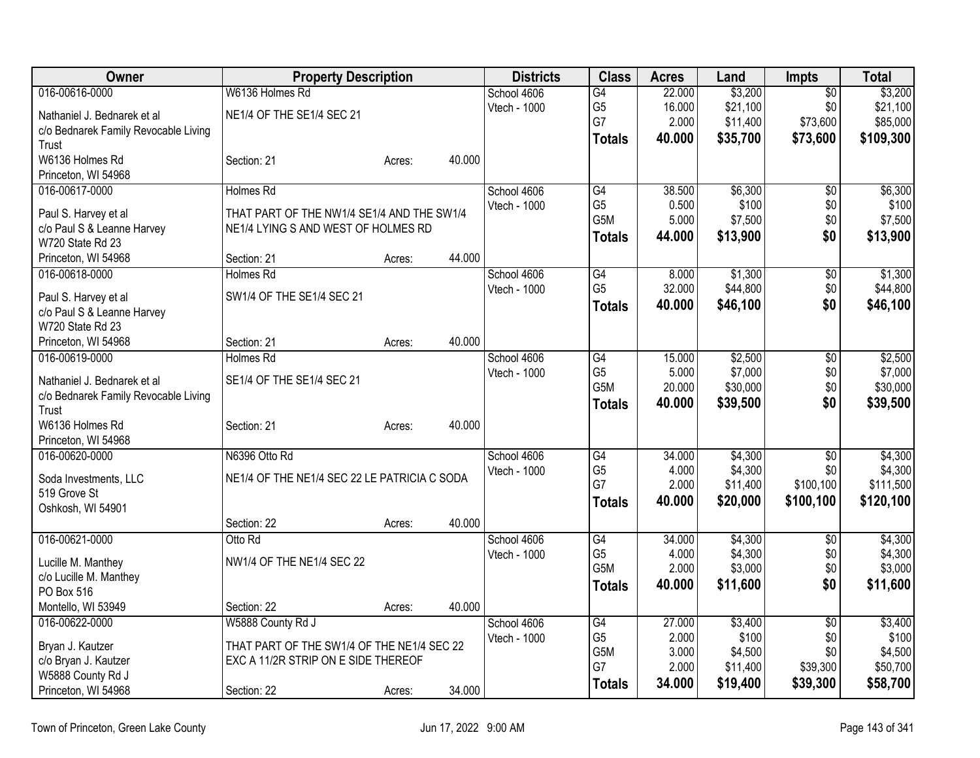| Owner                                | <b>Property Description</b>                  |        |        | <b>Districts</b> | <b>Class</b>     | <b>Acres</b> | Land     | <b>Impts</b>    | <b>Total</b> |
|--------------------------------------|----------------------------------------------|--------|--------|------------------|------------------|--------------|----------|-----------------|--------------|
| 016-00616-0000                       | W6136 Holmes Rd                              |        |        | School 4606      | G4               | 22.000       | \$3,200  | $\overline{50}$ | \$3,200      |
| Nathaniel J. Bednarek et al          | NE1/4 OF THE SE1/4 SEC 21                    |        |        | Vtech - 1000     | G <sub>5</sub>   | 16.000       | \$21,100 | \$0             | \$21,100     |
| c/o Bednarek Family Revocable Living |                                              |        |        |                  | G7               | 2.000        | \$11,400 | \$73,600        | \$85,000     |
| Trust                                |                                              |        |        |                  | <b>Totals</b>    | 40.000       | \$35,700 | \$73,600        | \$109,300    |
| W6136 Holmes Rd                      | Section: 21                                  | Acres: | 40.000 |                  |                  |              |          |                 |              |
| Princeton, WI 54968                  |                                              |        |        |                  |                  |              |          |                 |              |
| 016-00617-0000                       | <b>Holmes Rd</b>                             |        |        | School 4606      | G4               | 38.500       | \$6,300  | \$0             | \$6,300      |
| Paul S. Harvey et al                 | THAT PART OF THE NW1/4 SE1/4 AND THE SW1/4   |        |        | Vtech - 1000     | G <sub>5</sub>   | 0.500        | \$100    | \$0             | \$100        |
| c/o Paul S & Leanne Harvey           | NE1/4 LYING S AND WEST OF HOLMES RD          |        |        |                  | G5M              | 5.000        | \$7,500  | \$0             | \$7,500      |
| W720 State Rd 23                     |                                              |        |        |                  | <b>Totals</b>    | 44.000       | \$13,900 | \$0             | \$13,900     |
| Princeton, WI 54968                  | Section: 21                                  | Acres: | 44.000 |                  |                  |              |          |                 |              |
| 016-00618-0000                       | <b>Holmes Rd</b>                             |        |        | School 4606      | $\overline{G4}$  | 8.000        | \$1,300  | $\overline{50}$ | \$1,300      |
| Paul S. Harvey et al                 | SW1/4 OF THE SE1/4 SEC 21                    |        |        | Vtech - 1000     | G <sub>5</sub>   | 32.000       | \$44,800 | \$0             | \$44,800     |
| c/o Paul S & Leanne Harvey           |                                              |        |        |                  | <b>Totals</b>    | 40.000       | \$46,100 | \$0             | \$46,100     |
| W720 State Rd 23                     |                                              |        |        |                  |                  |              |          |                 |              |
| Princeton, WI 54968                  | Section: 21                                  | Acres: | 40.000 |                  |                  |              |          |                 |              |
| 016-00619-0000                       | <b>Holmes Rd</b>                             |        |        | School 4606      | $\overline{G4}$  | 15.000       | \$2,500  | \$0             | \$2,500      |
| Nathaniel J. Bednarek et al          | SE1/4 OF THE SE1/4 SEC 21                    |        |        | Vtech - 1000     | G <sub>5</sub>   | 5.000        | \$7,000  | \$0             | \$7,000      |
| c/o Bednarek Family Revocable Living |                                              |        |        |                  | G5M              | 20.000       | \$30,000 | \$0             | \$30,000     |
| Trust                                |                                              |        |        |                  | <b>Totals</b>    | 40.000       | \$39,500 | \$0             | \$39,500     |
| W6136 Holmes Rd                      | Section: 21                                  | Acres: | 40.000 |                  |                  |              |          |                 |              |
| Princeton, WI 54968                  |                                              |        |        |                  |                  |              |          |                 |              |
| 016-00620-0000                       | N6396 Otto Rd                                |        |        | School 4606      | G4               | 34.000       | \$4,300  | \$0             | \$4,300      |
| Soda Investments, LLC                | NE1/4 OF THE NE1/4 SEC 22 LE PATRICIA C SODA |        |        | Vtech - 1000     | G <sub>5</sub>   | 4.000        | \$4,300  | \$0             | \$4,300      |
| 519 Grove St                         |                                              |        |        |                  | G7               | 2.000        | \$11,400 | \$100,100       | \$111,500    |
| Oshkosh, WI 54901                    |                                              |        |        |                  | <b>Totals</b>    | 40.000       | \$20,000 | \$100,100       | \$120,100    |
|                                      | Section: 22                                  | Acres: | 40.000 |                  |                  |              |          |                 |              |
| 016-00621-0000                       | Otto Rd                                      |        |        | School 4606      | G4               | 34.000       | \$4,300  | $\overline{50}$ | \$4,300      |
| Lucille M. Manthey                   | NW1/4 OF THE NE1/4 SEC 22                    |        |        | Vtech - 1000     | G <sub>5</sub>   | 4.000        | \$4,300  | \$0             | \$4,300      |
| c/o Lucille M. Manthey               |                                              |        |        |                  | G <sub>5</sub> M | 2.000        | \$3,000  | \$0             | \$3,000      |
| PO Box 516                           |                                              |        |        |                  | <b>Totals</b>    | 40.000       | \$11,600 | \$0             | \$11,600     |
| Montello, WI 53949                   | Section: 22                                  | Acres: | 40.000 |                  |                  |              |          |                 |              |
| 016-00622-0000                       | W5888 County Rd J                            |        |        | School 4606      | G4               | 27.000       | \$3,400  | $\overline{50}$ | \$3,400      |
| Bryan J. Kautzer                     | THAT PART OF THE SW1/4 OF THE NE1/4 SEC 22   |        |        | Vtech - 1000     | G <sub>5</sub>   | 2.000        | \$100    | \$0             | \$100        |
| c/o Bryan J. Kautzer                 | EXC A 11/2R STRIP ON E SIDE THEREOF          |        |        |                  | G5M              | 3.000        | \$4,500  | \$0             | \$4,500      |
| W5888 County Rd J                    |                                              |        |        |                  | G7               | 2.000        | \$11,400 | \$39,300        | \$50,700     |
| Princeton, WI 54968                  | Section: 22                                  | Acres: | 34.000 |                  | <b>Totals</b>    | 34.000       | \$19,400 | \$39,300        | \$58,700     |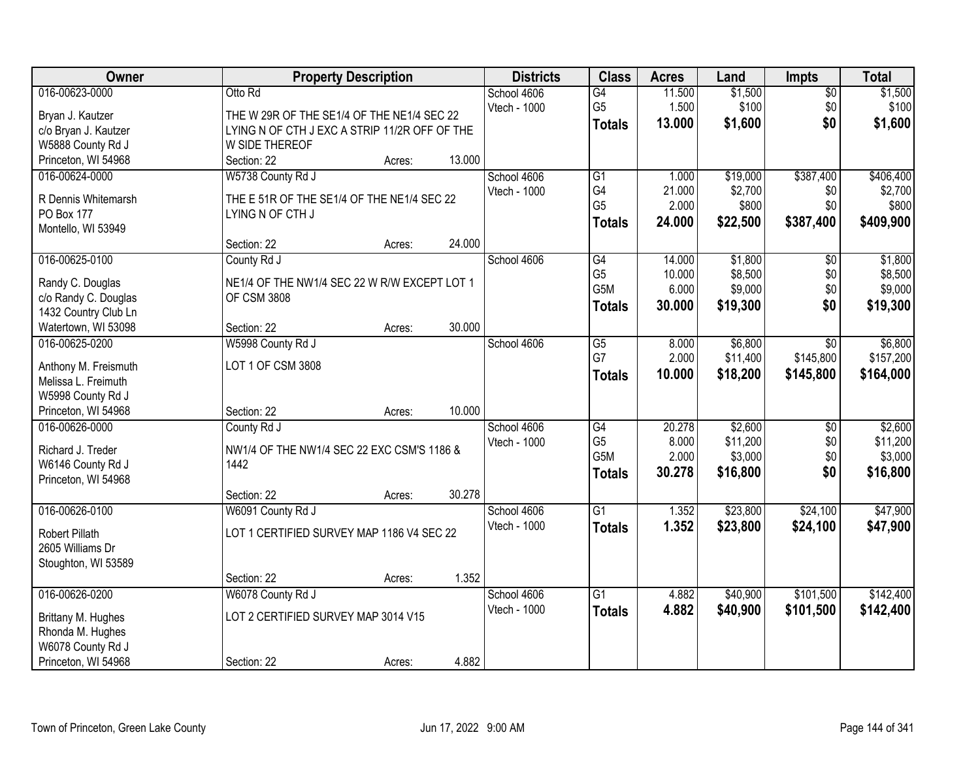| Owner                                 | <b>Property Description</b>                   | <b>Districts</b> | <b>Class</b>                      | <b>Acres</b>    | Land               | <b>Impts</b>           | <b>Total</b>       |
|---------------------------------------|-----------------------------------------------|------------------|-----------------------------------|-----------------|--------------------|------------------------|--------------------|
| 016-00623-0000                        | Otto Rd                                       | School 4606      | $\overline{G4}$                   | 11.500          | \$1,500            | $\overline{50}$        | \$1,500            |
| Bryan J. Kautzer                      | THE W 29R OF THE SE1/4 OF THE NE1/4 SEC 22    | Vtech - 1000     | G <sub>5</sub>                    | 1.500           | \$100              | \$0                    | \$100              |
| c/o Bryan J. Kautzer                  | LYING N OF CTH J EXC A STRIP 11/2R OFF OF THE |                  | <b>Totals</b>                     | 13.000          | \$1,600            | \$0                    | \$1,600            |
| W5888 County Rd J                     | W SIDE THEREOF                                |                  |                                   |                 |                    |                        |                    |
| Princeton, WI 54968                   | Section: 22<br>13.000<br>Acres:               |                  |                                   |                 |                    |                        |                    |
| 016-00624-0000                        | W5738 County Rd J                             | School 4606      | $\overline{G1}$                   | 1.000           | \$19,000           | \$387,400              | \$406,400          |
|                                       |                                               | Vtech - 1000     | G4                                | 21.000          | \$2,700            | \$0                    | \$2,700            |
| R Dennis Whitemarsh                   | THE E 51R OF THE SE1/4 OF THE NE1/4 SEC 22    |                  | G <sub>5</sub>                    | 2.000           | \$800              | \$0                    | \$800              |
| PO Box 177                            | LYING N OF CTH J                              |                  | <b>Totals</b>                     | 24.000          | \$22,500           | \$387,400              | \$409,900          |
| Montello, WI 53949                    | 24.000                                        |                  |                                   |                 |                    |                        |                    |
|                                       | Section: 22<br>Acres:                         |                  |                                   |                 |                    |                        |                    |
| 016-00625-0100                        | County Rd J                                   | School 4606      | G4<br>G <sub>5</sub>              | 14.000          | \$1,800            | \$0                    | \$1,800            |
| Randy C. Douglas                      | NE1/4 OF THE NW1/4 SEC 22 W R/W EXCEPT LOT 1  |                  | G5M                               | 10.000<br>6.000 | \$8,500<br>\$9,000 | \$0<br>\$0             | \$8,500<br>\$9,000 |
| c/o Randy C. Douglas                  | <b>OF CSM 3808</b>                            |                  |                                   |                 |                    |                        |                    |
| 1432 Country Club Ln                  |                                               |                  | <b>Totals</b>                     | 30.000          | \$19,300           | \$0                    | \$19,300           |
| Watertown, WI 53098                   | 30.000<br>Section: 22<br>Acres:               |                  |                                   |                 |                    |                        |                    |
| 016-00625-0200                        | W5998 County Rd J                             | School 4606      | G5                                | 8.000           | \$6,800            | \$0                    | \$6,800            |
|                                       |                                               |                  | G7                                | 2.000           | \$11,400           | \$145,800              | \$157,200          |
| Anthony M. Freismuth                  | LOT 1 OF CSM 3808                             |                  | <b>Totals</b>                     | 10.000          | \$18,200           | \$145,800              | \$164,000          |
| Melissa L. Freimuth                   |                                               |                  |                                   |                 |                    |                        |                    |
| W5998 County Rd J                     | 10.000<br>Section: 22                         |                  |                                   |                 |                    |                        |                    |
| Princeton, WI 54968<br>016-00626-0000 | Acres:                                        |                  |                                   |                 | \$2,600            |                        | \$2,600            |
|                                       | County Rd J                                   | School 4606      | $\overline{G4}$<br>G <sub>5</sub> | 20.278<br>8.000 | \$11,200           | $\overline{30}$<br>\$0 | \$11,200           |
| Richard J. Treder                     | NW1/4 OF THE NW1/4 SEC 22 EXC CSM'S 1186 &    | Vtech - 1000     | G5M                               | 2.000           |                    |                        | \$3,000            |
| W6146 County Rd J                     | 1442                                          |                  |                                   |                 | \$3,000            | \$0                    |                    |
| Princeton, WI 54968                   |                                               |                  | <b>Totals</b>                     | 30.278          | \$16,800           | \$0                    | \$16,800           |
|                                       | 30.278<br>Section: 22<br>Acres:               |                  |                                   |                 |                    |                        |                    |
| 016-00626-0100                        | W6091 County Rd J                             | School 4606      | $\overline{G1}$                   | 1.352           | \$23,800           | \$24,100               | \$47,900           |
| Robert Pillath                        | LOT 1 CERTIFIED SURVEY MAP 1186 V4 SEC 22     | Vtech - 1000     | <b>Totals</b>                     | 1.352           | \$23,800           | \$24,100               | \$47,900           |
| 2605 Williams Dr                      |                                               |                  |                                   |                 |                    |                        |                    |
| Stoughton, WI 53589                   |                                               |                  |                                   |                 |                    |                        |                    |
|                                       | 1.352<br>Section: 22<br>Acres:                |                  |                                   |                 |                    |                        |                    |
| 016-00626-0200                        | W6078 County Rd J                             | School 4606      | $\overline{G1}$                   | 4.882           | \$40,900           | \$101,500              | \$142,400          |
|                                       |                                               | Vtech - 1000     |                                   | 4.882           | \$40,900           | \$101,500              | \$142,400          |
| Brittany M. Hughes                    | LOT 2 CERTIFIED SURVEY MAP 3014 V15           |                  | <b>Totals</b>                     |                 |                    |                        |                    |
| Rhonda M. Hughes                      |                                               |                  |                                   |                 |                    |                        |                    |
| W6078 County Rd J                     |                                               |                  |                                   |                 |                    |                        |                    |
| Princeton, WI 54968                   | 4.882<br>Section: 22<br>Acres:                |                  |                                   |                 |                    |                        |                    |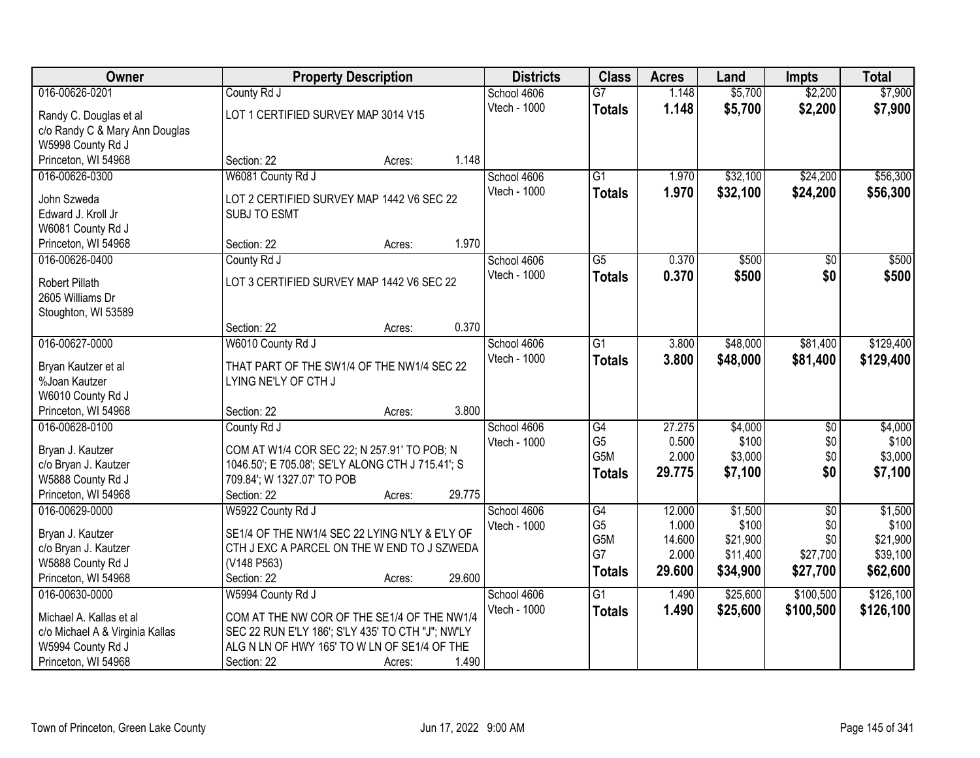| Owner                                     | <b>Property Description</b>                       |                  | <b>Districts</b>            | <b>Class</b>    | <b>Acres</b>    | Land                 | <b>Impts</b>    | <b>Total</b>         |
|-------------------------------------------|---------------------------------------------------|------------------|-----------------------------|-----------------|-----------------|----------------------|-----------------|----------------------|
| 016-00626-0201                            | County Rd J                                       |                  | School 4606                 | $\overline{G}$  | 1.148           | \$5,700              | \$2,200         | \$7,900              |
| Randy C. Douglas et al                    | LOT 1 CERTIFIED SURVEY MAP 3014 V15               |                  | Vtech - 1000                | <b>Totals</b>   | 1.148           | \$5,700              | \$2,200         | \$7,900              |
| c/o Randy C & Mary Ann Douglas            |                                                   |                  |                             |                 |                 |                      |                 |                      |
| W5998 County Rd J                         |                                                   |                  |                             |                 |                 |                      |                 |                      |
| Princeton, WI 54968                       | Section: 22                                       | 1.148<br>Acres:  |                             |                 |                 |                      |                 |                      |
| 016-00626-0300                            | W6081 County Rd J                                 |                  | School 4606                 | $\overline{G1}$ | 1.970           | \$32,100             | \$24,200        | \$56,300             |
| John Szweda                               | LOT 2 CERTIFIED SURVEY MAP 1442 V6 SEC 22         |                  | Vtech - 1000                | <b>Totals</b>   | 1.970           | \$32,100             | \$24,200        | \$56,300             |
| Edward J. Kroll Jr                        | SUBJ TO ESMT                                      |                  |                             |                 |                 |                      |                 |                      |
| W6081 County Rd J                         |                                                   |                  |                             |                 |                 |                      |                 |                      |
| Princeton, WI 54968                       | Section: 22                                       | 1.970<br>Acres:  |                             |                 |                 |                      |                 |                      |
| 016-00626-0400                            | County Rd J                                       |                  | School 4606                 | $\overline{G5}$ | 0.370           | \$500                | $\sqrt[6]{}$    | \$500                |
|                                           | LOT 3 CERTIFIED SURVEY MAP 1442 V6 SEC 22         |                  | Vtech - 1000                | <b>Totals</b>   | 0.370           | \$500                | \$0             | \$500                |
| <b>Robert Pillath</b><br>2605 Williams Dr |                                                   |                  |                             |                 |                 |                      |                 |                      |
| Stoughton, WI 53589                       |                                                   |                  |                             |                 |                 |                      |                 |                      |
|                                           | Section: 22                                       | 0.370<br>Acres:  |                             |                 |                 |                      |                 |                      |
| 016-00627-0000                            | W6010 County Rd J                                 |                  | School 4606                 | $\overline{G1}$ | 3.800           | \$48,000             | \$81,400        | \$129,400            |
|                                           |                                                   |                  | Vtech - 1000                | <b>Totals</b>   | 3.800           | \$48,000             | \$81,400        | \$129,400            |
| Bryan Kautzer et al                       | THAT PART OF THE SW1/4 OF THE NW1/4 SEC 22        |                  |                             |                 |                 |                      |                 |                      |
| %Joan Kautzer                             | LYING NE'LY OF CTH J                              |                  |                             |                 |                 |                      |                 |                      |
| W6010 County Rd J                         |                                                   | 3.800            |                             |                 |                 |                      |                 |                      |
| Princeton, WI 54968<br>016-00628-0100     | Section: 22                                       | Acres:           |                             | $\overline{G4}$ | 27.275          |                      |                 |                      |
|                                           | County Rd J                                       |                  | School 4606<br>Vtech - 1000 | G <sub>5</sub>  | 0.500           | \$4,000<br>\$100     | \$0<br>\$0      | \$4,000<br>\$100     |
| Bryan J. Kautzer                          | COM AT W1/4 COR SEC 22; N 257.91' TO POB; N       |                  |                             | G5M             | 2.000           | \$3,000              | \$0             | \$3,000              |
| c/o Bryan J. Kautzer                      | 1046.50'; E 705.08'; SE'LY ALONG CTH J 715.41'; S |                  |                             | <b>Totals</b>   | 29.775          | \$7,100              | \$0             | \$7,100              |
| W5888 County Rd J                         | 709.84'; W 1327.07' TO POB                        |                  |                             |                 |                 |                      |                 |                      |
| Princeton, WI 54968                       | Section: 22                                       | 29.775<br>Acres: |                             |                 |                 |                      |                 |                      |
| 016-00629-0000                            | W5922 County Rd J                                 |                  | School 4606                 | $\overline{G4}$ | 12.000          | \$1,500              | $\overline{50}$ | \$1,500              |
| Bryan J. Kautzer                          | SE1/4 OF THE NW1/4 SEC 22 LYING N'LY & E'LY OF    |                  | Vtech - 1000                | G <sub>5</sub>  | 1.000           | \$100                | \$0             | \$100                |
| c/o Bryan J. Kautzer                      | CTH J EXC A PARCEL ON THE W END TO J SZWEDA       |                  |                             | G5M<br>G7       | 14.600<br>2.000 | \$21,900<br>\$11,400 | \$0<br>\$27,700 | \$21,900<br>\$39,100 |
| W5888 County Rd J                         | (V148 P563)                                       |                  |                             |                 | 29.600          | \$34,900             | \$27,700        | \$62,600             |
| Princeton, WI 54968                       | Section: 22                                       | 29.600<br>Acres: |                             | <b>Totals</b>   |                 |                      |                 |                      |
| 016-00630-0000                            | W5994 County Rd J                                 |                  | School 4606                 | G1              | 1.490           | \$25,600             | \$100,500       | \$126,100            |
| Michael A. Kallas et al                   | COM AT THE NW COR OF THE SE1/4 OF THE NW1/4       |                  | Vtech - 1000                | <b>Totals</b>   | 1.490           | \$25,600             | \$100,500       | \$126,100            |
| c/o Michael A & Virginia Kallas           | SEC 22 RUN E'LY 186'; S'LY 435' TO CTH "J"; NW'LY |                  |                             |                 |                 |                      |                 |                      |
| W5994 County Rd J                         | ALG N LN OF HWY 165' TO W LN OF SE1/4 OF THE      |                  |                             |                 |                 |                      |                 |                      |
| Princeton, WI 54968                       | Section: 22                                       | 1.490<br>Acres:  |                             |                 |                 |                      |                 |                      |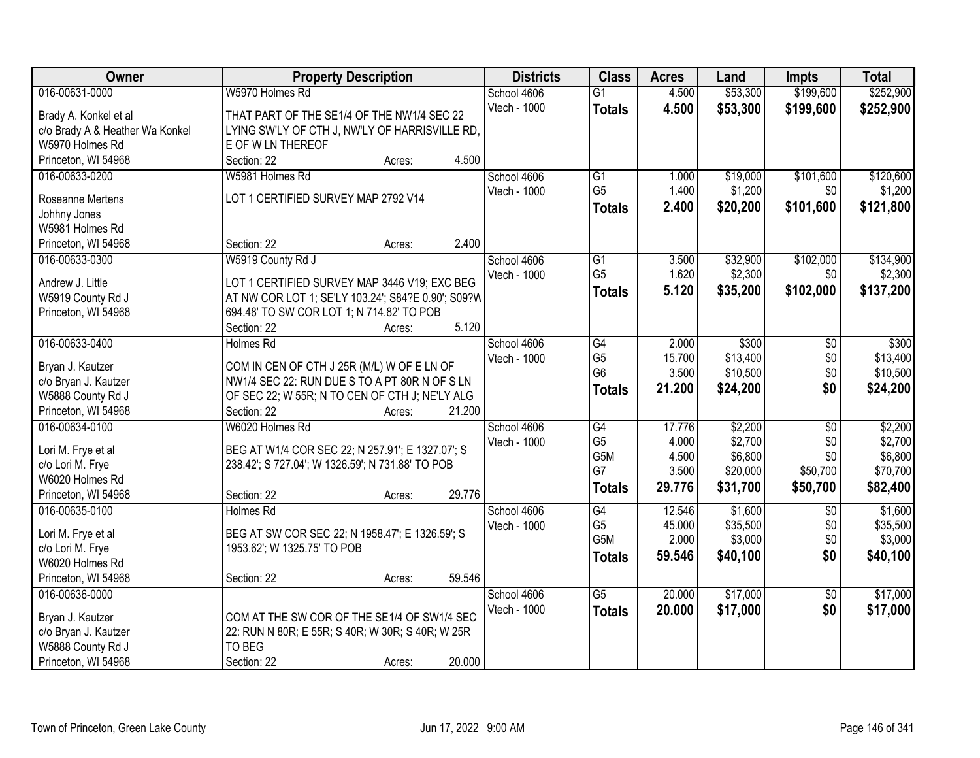| Owner                           | <b>Property Description</b>                        | <b>Districts</b> | <b>Class</b>    | <b>Acres</b> | Land     | <b>Impts</b>    | <b>Total</b> |
|---------------------------------|----------------------------------------------------|------------------|-----------------|--------------|----------|-----------------|--------------|
| 016-00631-0000                  | W5970 Holmes Rd                                    | School 4606      | $\overline{G1}$ | 4.500        | \$53,300 | \$199,600       | \$252,900    |
| Brady A. Konkel et al           | THAT PART OF THE SE1/4 OF THE NW1/4 SEC 22         | Vtech - 1000     | <b>Totals</b>   | 4.500        | \$53,300 | \$199,600       | \$252,900    |
| c/o Brady A & Heather Wa Konkel | LYING SW'LY OF CTH J, NW'LY OF HARRISVILLE RD,     |                  |                 |              |          |                 |              |
| W5970 Holmes Rd                 | E OF W LN THEREOF                                  |                  |                 |              |          |                 |              |
| Princeton, WI 54968             | Section: 22<br>4.500<br>Acres:                     |                  |                 |              |          |                 |              |
| 016-00633-0200                  | W5981 Holmes Rd                                    | School 4606      | $\overline{G1}$ | 1.000        | \$19,000 | \$101,600       | \$120,600    |
|                                 |                                                    | Vtech - 1000     | G <sub>5</sub>  | 1.400        | \$1,200  | \$0             | \$1,200      |
| Roseanne Mertens                | LOT 1 CERTIFIED SURVEY MAP 2792 V14                |                  | Totals          | 2.400        | \$20,200 | \$101,600       | \$121,800    |
| Johhny Jones                    |                                                    |                  |                 |              |          |                 |              |
| W5981 Holmes Rd                 |                                                    |                  |                 |              |          |                 |              |
| Princeton, WI 54968             | 2.400<br>Section: 22<br>Acres:                     |                  |                 |              |          |                 |              |
| 016-00633-0300                  | W5919 County Rd J                                  | School 4606      | $\overline{G1}$ | 3.500        | \$32,900 | \$102,000       | \$134,900    |
| Andrew J. Little                | LOT 1 CERTIFIED SURVEY MAP 3446 V19; EXC BEG       | Vtech - 1000     | G <sub>5</sub>  | 1.620        | \$2,300  | \$0             | \$2,300      |
| W5919 County Rd J               | AT NW COR LOT 1; SE'LY 103.24'; S84?E 0.90'; S09?W |                  | Totals          | 5.120        | \$35,200 | \$102,000       | \$137,200    |
| Princeton, WI 54968             | 694.48' TO SW COR LOT 1; N 714.82' TO POB          |                  |                 |              |          |                 |              |
|                                 | 5.120<br>Section: 22<br>Acres:                     |                  |                 |              |          |                 |              |
| 016-00633-0400                  | <b>Holmes Rd</b>                                   | School 4606      | $\overline{G4}$ | 2.000        | \$300    | \$0             | \$300        |
|                                 |                                                    | Vtech - 1000     | G <sub>5</sub>  | 15.700       | \$13,400 | \$0             | \$13,400     |
| Bryan J. Kautzer                | COM IN CEN OF CTH J 25R (M/L) W OF E LN OF         |                  | G <sub>6</sub>  | 3.500        | \$10,500 | \$0             | \$10,500     |
| c/o Bryan J. Kautzer            | NW1/4 SEC 22: RUN DUE S TO A PT 80R N OF S LN      |                  | <b>Totals</b>   | 21.200       | \$24,200 | \$0             | \$24,200     |
| W5888 County Rd J               | OF SEC 22; W 55R; N TO CEN OF CTH J; NE'LY ALG     |                  |                 |              |          |                 |              |
| Princeton, WI 54968             | Section: 22<br>21.200<br>Acres:                    |                  |                 |              |          |                 |              |
| 016-00634-0100                  | W6020 Holmes Rd                                    | School 4606      | $\overline{G4}$ | 17.776       | \$2,200  | $\overline{30}$ | \$2,200      |
| Lori M. Frye et al              | BEG AT W1/4 COR SEC 22; N 257.91'; E 1327.07'; S   | Vtech - 1000     | G <sub>5</sub>  | 4.000        | \$2,700  | \$0             | \$2,700      |
| c/o Lori M. Frye                | 238.42'; S 727.04'; W 1326.59'; N 731.88' TO POB   |                  | G5M             | 4.500        | \$6,800  | \$0             | \$6,800      |
| W6020 Holmes Rd                 |                                                    |                  | G7              | 3.500        | \$20,000 | \$50,700        | \$70,700     |
| Princeton, WI 54968             | 29.776<br>Section: 22<br>Acres:                    |                  | <b>Totals</b>   | 29.776       | \$31,700 | \$50,700        | \$82,400     |
| 016-00635-0100                  | <b>Holmes Rd</b>                                   | School 4606      | G4              | 12.546       | \$1,600  | $\overline{50}$ | \$1,600      |
|                                 |                                                    | Vtech - 1000     | G <sub>5</sub>  | 45.000       | \$35,500 | \$0             | \$35,500     |
| Lori M. Frye et al              | BEG AT SW COR SEC 22; N 1958.47'; E 1326.59'; S    |                  | G5M             | 2.000        | \$3,000  | \$0             | \$3,000      |
| c/o Lori M. Frye                | 1953.62'; W 1325.75' TO POB                        |                  | <b>Totals</b>   | 59.546       | \$40,100 | \$0             | \$40,100     |
| W6020 Holmes Rd                 |                                                    |                  |                 |              |          |                 |              |
| Princeton, WI 54968             | 59.546<br>Section: 22<br>Acres:                    |                  |                 |              |          |                 |              |
| 016-00636-0000                  |                                                    | School 4606      | $\overline{G5}$ | 20.000       | \$17,000 | $\overline{50}$ | \$17,000     |
| Bryan J. Kautzer                | COM AT THE SW COR OF THE SE1/4 OF SW1/4 SEC        | Vtech - 1000     | <b>Totals</b>   | 20.000       | \$17,000 | \$0             | \$17,000     |
| c/o Bryan J. Kautzer            | 22: RUN N 80R; E 55R; S 40R; W 30R; S 40R; W 25R   |                  |                 |              |          |                 |              |
| W5888 County Rd J               | TO BEG                                             |                  |                 |              |          |                 |              |
| Princeton, WI 54968             | 20.000<br>Section: 22<br>Acres:                    |                  |                 |              |          |                 |              |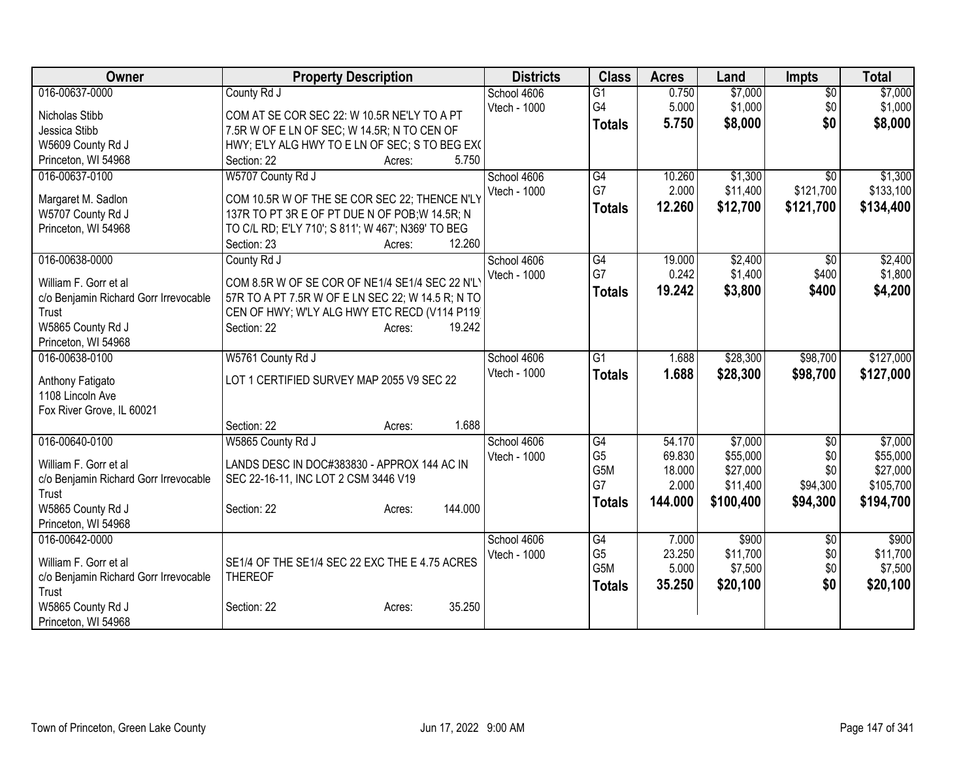| Owner                                 | <b>Property Description</b>                        | <b>Districts</b> | <b>Class</b>    | <b>Acres</b> | Land      | <b>Impts</b>    | <b>Total</b> |
|---------------------------------------|----------------------------------------------------|------------------|-----------------|--------------|-----------|-----------------|--------------|
| 016-00637-0000                        | County Rd J                                        | School 4606      | $\overline{G1}$ | 0.750        | \$7,000   | $\overline{50}$ | \$7,000      |
| Nicholas Stibb                        | COM AT SE COR SEC 22: W 10.5R NE'LY TO A PT        | Vtech - 1000     | G4              | 5.000        | \$1,000   | \$0             | \$1,000      |
| Jessica Stibb                         | 7.5R W OF E LN OF SEC; W 14.5R; N TO CEN OF        |                  | <b>Totals</b>   | 5.750        | \$8,000   | \$0             | \$8,000      |
| W5609 County Rd J                     | HWY; E'LY ALG HWY TO E LN OF SEC; S TO BEG EX(     |                  |                 |              |           |                 |              |
| Princeton, WI 54968                   | 5.750<br>Section: 22<br>Acres:                     |                  |                 |              |           |                 |              |
| 016-00637-0100                        | W5707 County Rd J                                  | School 4606      | G4              | 10.260       | \$1,300   | $\overline{50}$ | \$1,300      |
|                                       |                                                    | Vtech - 1000     | G7              | 2.000        | \$11,400  | \$121,700       | \$133,100    |
| Margaret M. Sadlon                    | COM 10.5R W OF THE SE COR SEC 22; THENCE N'LY      |                  | <b>Totals</b>   | 12.260       | \$12,700  | \$121,700       | \$134,400    |
| W5707 County Rd J                     | 137R TO PT 3R E OF PT DUE N OF POB; W 14.5R; N     |                  |                 |              |           |                 |              |
| Princeton, WI 54968                   | TO C/L RD; E'LY 710'; S 811'; W 467'; N369' TO BEG |                  |                 |              |           |                 |              |
|                                       | 12.260<br>Section: 23<br>Acres:                    |                  |                 |              |           |                 |              |
| 016-00638-0000                        | County Rd J                                        | School 4606      | G4<br>G7        | 19.000       | \$2,400   | $\overline{50}$ | \$2,400      |
| William F. Gorr et al                 | COM 8.5R W OF SE COR OF NE1/4 SE1/4 SEC 22 N'L'    | Vtech - 1000     |                 | 0.242        | \$1,400   | \$400           | \$1,800      |
| c/o Benjamin Richard Gorr Irrevocable | 57R TO A PT 7.5R W OF E LN SEC 22; W 14.5 R; N TO  |                  | <b>Totals</b>   | 19.242       | \$3,800   | \$400           | \$4,200      |
| Trust                                 | CEN OF HWY; W'LY ALG HWY ETC RECD (V114 P119)      |                  |                 |              |           |                 |              |
| W5865 County Rd J                     | Section: 22<br>19.242<br>Acres:                    |                  |                 |              |           |                 |              |
| Princeton, WI 54968                   |                                                    |                  |                 |              |           |                 |              |
| 016-00638-0100                        | W5761 County Rd J                                  | School 4606      | $\overline{G1}$ | 1.688        | \$28,300  | \$98,700        | \$127,000    |
|                                       | LOT 1 CERTIFIED SURVEY MAP 2055 V9 SEC 22          | Vtech - 1000     | <b>Totals</b>   | 1.688        | \$28,300  | \$98,700        | \$127,000    |
| Anthony Fatigato<br>1108 Lincoln Ave  |                                                    |                  |                 |              |           |                 |              |
| Fox River Grove, IL 60021             |                                                    |                  |                 |              |           |                 |              |
|                                       | 1.688<br>Section: 22<br>Acres:                     |                  |                 |              |           |                 |              |
| 016-00640-0100                        | W5865 County Rd J                                  | School 4606      | G4              | 54.170       | \$7,000   | \$0             | \$7,000      |
|                                       |                                                    | Vtech - 1000     | G <sub>5</sub>  | 69.830       | \$55,000  | \$0             | \$55,000     |
| William F. Gorr et al                 | LANDS DESC IN DOC#383830 - APPROX 144 AC IN        |                  | G5M             | 18.000       | \$27,000  | \$0             | \$27,000     |
| c/o Benjamin Richard Gorr Irrevocable | SEC 22-16-11, INC LOT 2 CSM 3446 V19               |                  | G7              | 2.000        | \$11,400  | \$94,300        | \$105,700    |
| Trust                                 |                                                    |                  | <b>Totals</b>   | 144.000      | \$100,400 | \$94,300        | \$194,700    |
| W5865 County Rd J                     | 144.000<br>Section: 22<br>Acres:                   |                  |                 |              |           |                 |              |
| Princeton, WI 54968                   |                                                    |                  |                 |              |           |                 |              |
| 016-00642-0000                        |                                                    | School 4606      | $\overline{G4}$ | 7.000        | \$900     | \$0             | \$900        |
| William F. Gorr et al                 | SE1/4 OF THE SE1/4 SEC 22 EXC THE E 4.75 ACRES     | Vtech - 1000     | G <sub>5</sub>  | 23.250       | \$11,700  | \$0             | \$11,700     |
| c/o Benjamin Richard Gorr Irrevocable | <b>THEREOF</b>                                     |                  | G5M             | 5.000        | \$7,500   | \$0             | \$7,500      |
| Trust                                 |                                                    |                  | <b>Totals</b>   | 35.250       | \$20,100  | \$0             | \$20,100     |
| W5865 County Rd J                     | 35.250<br>Section: 22<br>Acres:                    |                  |                 |              |           |                 |              |
| Princeton, WI 54968                   |                                                    |                  |                 |              |           |                 |              |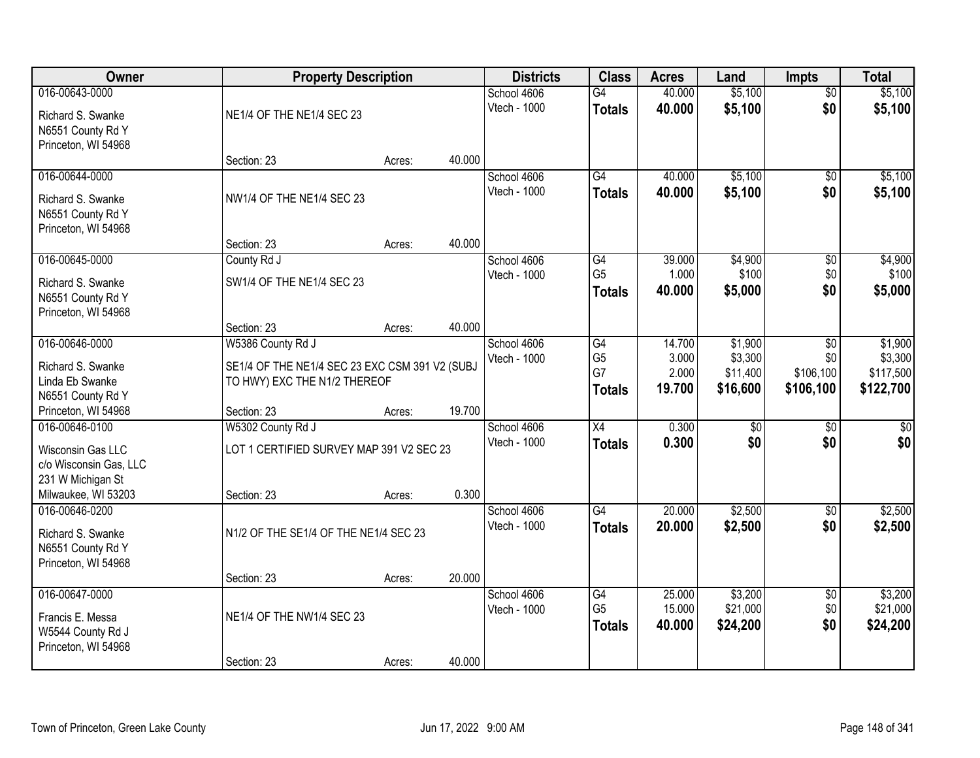| <b>Owner</b>                         |                                                | <b>Property Description</b> |        | <b>Districts</b>            | <b>Class</b>         | <b>Acres</b>     | Land                | <b>Impts</b>           | <b>Total</b>        |
|--------------------------------------|------------------------------------------------|-----------------------------|--------|-----------------------------|----------------------|------------------|---------------------|------------------------|---------------------|
| 016-00643-0000                       |                                                |                             |        | School 4606                 | $\overline{G4}$      | 40.000           | \$5,100             | $\overline{50}$        | \$5,100             |
| Richard S. Swanke                    | NE1/4 OF THE NE1/4 SEC 23                      |                             |        | Vtech - 1000                | <b>Totals</b>        | 40.000           | \$5,100             | \$0                    | \$5,100             |
| N6551 County Rd Y                    |                                                |                             |        |                             |                      |                  |                     |                        |                     |
| Princeton, WI 54968                  |                                                |                             |        |                             |                      |                  |                     |                        |                     |
|                                      | Section: 23                                    | Acres:                      | 40.000 |                             |                      |                  |                     |                        |                     |
| 016-00644-0000                       |                                                |                             |        | School 4606                 | $\overline{G4}$      | 40.000           | \$5,100             | $\overline{50}$        | \$5,100             |
| Richard S. Swanke                    | NW1/4 OF THE NE1/4 SEC 23                      |                             |        | Vtech - 1000                | <b>Totals</b>        | 40.000           | \$5,100             | \$0                    | \$5,100             |
| N6551 County Rd Y                    |                                                |                             |        |                             |                      |                  |                     |                        |                     |
| Princeton, WI 54968                  |                                                |                             |        |                             |                      |                  |                     |                        |                     |
|                                      | Section: 23                                    | Acres:                      | 40.000 |                             |                      |                  |                     |                        |                     |
| 016-00645-0000                       | County Rd J                                    |                             |        | School 4606<br>Vtech - 1000 | G4<br>G <sub>5</sub> | 39.000<br>1.000  | \$4,900<br>\$100    | \$0<br>\$0             | \$4,900<br>\$100    |
| Richard S. Swanke                    | SW1/4 OF THE NE1/4 SEC 23                      |                             |        |                             | <b>Totals</b>        | 40.000           | \$5,000             | \$0                    | \$5,000             |
| N6551 County Rd Y                    |                                                |                             |        |                             |                      |                  |                     |                        |                     |
| Princeton, WI 54968                  | Section: 23                                    | Acres:                      | 40.000 |                             |                      |                  |                     |                        |                     |
| 016-00646-0000                       | W5386 County Rd J                              |                             |        | School 4606                 | G4                   | 14.700           | \$1,900             | $\sqrt[6]{}$           | \$1,900             |
|                                      |                                                |                             |        | Vtech - 1000                | G <sub>5</sub>       | 3.000            | \$3,300             | \$0                    | \$3,300             |
| Richard S. Swanke<br>Linda Eb Swanke | SE1/4 OF THE NE1/4 SEC 23 EXC CSM 391 V2 (SUBJ |                             |        |                             | G7                   | 2.000            | \$11,400            | \$106,100              | \$117,500           |
| N6551 County Rd Y                    | TO HWY) EXC THE N1/2 THEREOF                   |                             |        |                             | <b>Totals</b>        | 19.700           | \$16,600            | \$106,100              | \$122,700           |
| Princeton, WI 54968                  | Section: 23                                    | Acres:                      | 19.700 |                             |                      |                  |                     |                        |                     |
| 016-00646-0100                       | W5302 County Rd J                              |                             |        | School 4606                 | $\overline{X4}$      | 0.300            | $\overline{50}$     | $\overline{50}$        | $\overline{50}$     |
| Wisconsin Gas LLC                    | LOT 1 CERTIFIED SURVEY MAP 391 V2 SEC 23       |                             |        | Vtech - 1000                | <b>Totals</b>        | 0.300            | \$0                 | \$0                    | \$0                 |
| c/o Wisconsin Gas, LLC               |                                                |                             |        |                             |                      |                  |                     |                        |                     |
| 231 W Michigan St                    |                                                |                             |        |                             |                      |                  |                     |                        |                     |
| Milwaukee, WI 53203                  | Section: 23                                    | Acres:                      | 0.300  |                             |                      |                  |                     |                        |                     |
| 016-00646-0200                       |                                                |                             |        | School 4606                 | $\overline{G4}$      | 20.000           | \$2,500             | $\sqrt{6}$             | \$2,500             |
| Richard S. Swanke                    | N1/2 OF THE SE1/4 OF THE NE1/4 SEC 23          |                             |        | Vtech - 1000                | <b>Totals</b>        | 20.000           | \$2,500             | \$0                    | \$2,500             |
| N6551 County Rd Y                    |                                                |                             |        |                             |                      |                  |                     |                        |                     |
| Princeton, WI 54968                  |                                                |                             |        |                             |                      |                  |                     |                        |                     |
|                                      | Section: 23                                    | Acres:                      | 20.000 |                             |                      |                  |                     |                        |                     |
| 016-00647-0000                       |                                                |                             |        | School 4606<br>Vtech - 1000 | G4<br>G <sub>5</sub> | 25,000<br>15.000 | \$3,200<br>\$21,000 | $\overline{60}$<br>\$0 | \$3,200<br>\$21,000 |
| Francis E. Messa                     | NE1/4 OF THE NW1/4 SEC 23                      |                             |        |                             | <b>Totals</b>        | 40.000           | \$24,200            | \$0                    | \$24,200            |
| W5544 County Rd J                    |                                                |                             |        |                             |                      |                  |                     |                        |                     |
| Princeton, WI 54968                  | Section: 23                                    |                             | 40.000 |                             |                      |                  |                     |                        |                     |
|                                      |                                                | Acres:                      |        |                             |                      |                  |                     |                        |                     |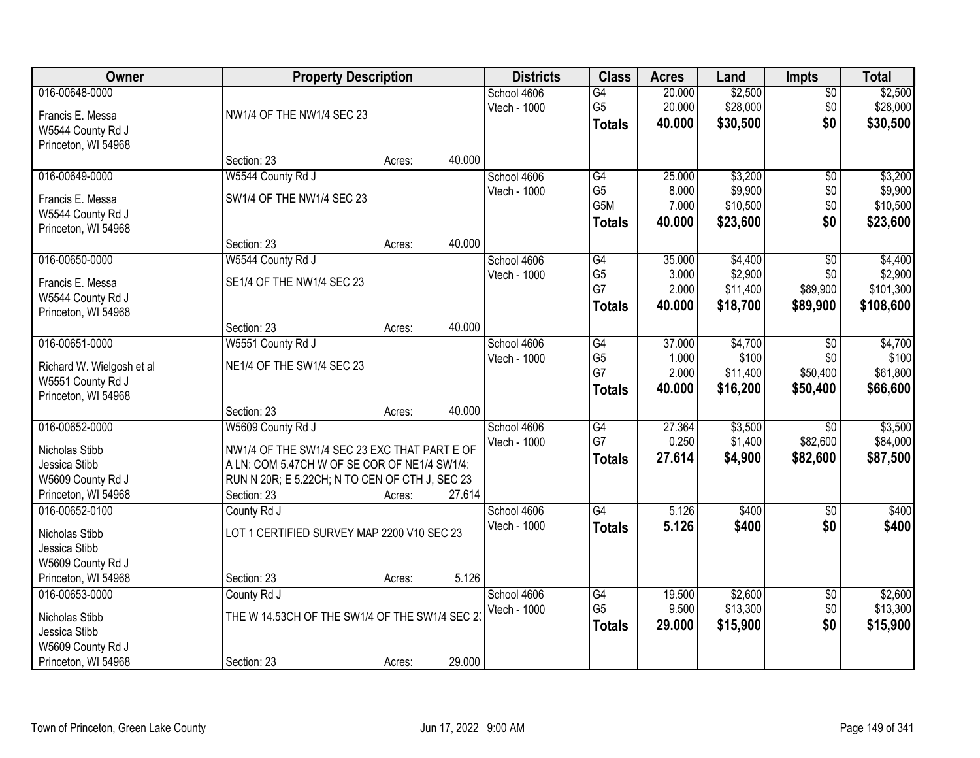| Owner                                                                                         |                                                                                                                                                                                    | <b>Property Description</b> |        | <b>Districts</b>            | <b>Class</b>                                              | <b>Acres</b>                       | Land                                       | <b>Impts</b>                              | <b>Total</b>                                 |
|-----------------------------------------------------------------------------------------------|------------------------------------------------------------------------------------------------------------------------------------------------------------------------------------|-----------------------------|--------|-----------------------------|-----------------------------------------------------------|------------------------------------|--------------------------------------------|-------------------------------------------|----------------------------------------------|
| 016-00648-0000<br>Francis E. Messa<br>W5544 County Rd J<br>Princeton, WI 54968                | NW1/4 OF THE NW1/4 SEC 23                                                                                                                                                          |                             |        | School 4606<br>Vtech - 1000 | G4<br>G <sub>5</sub><br><b>Totals</b>                     | 20.000<br>20.000<br>40.000         | \$2,500<br>\$28,000<br>\$30,500            | \$0<br>\$0<br>\$0                         | \$2,500<br>\$28,000<br>\$30,500              |
|                                                                                               | Section: 23                                                                                                                                                                        | Acres:                      | 40.000 |                             |                                                           |                                    |                                            |                                           |                                              |
| 016-00649-0000<br>Francis E. Messa<br>W5544 County Rd J<br>Princeton, WI 54968                | W5544 County Rd J<br>SW1/4 OF THE NW1/4 SEC 23                                                                                                                                     |                             |        | School 4606<br>Vtech - 1000 | G4<br>G <sub>5</sub><br>G <sub>5</sub> M<br><b>Totals</b> | 25.000<br>8.000<br>7.000<br>40.000 | \$3,200<br>\$9,900<br>\$10,500<br>\$23,600 | $\overline{50}$<br>\$0<br>\$0<br>\$0      | \$3,200<br>\$9,900<br>\$10,500<br>\$23,600   |
|                                                                                               | Section: 23                                                                                                                                                                        | Acres:                      | 40.000 |                             |                                                           |                                    |                                            |                                           |                                              |
| 016-00650-0000<br>Francis E. Messa<br>W5544 County Rd J<br>Princeton, WI 54968                | W5544 County Rd J<br>SE1/4 OF THE NW1/4 SEC 23                                                                                                                                     |                             |        | School 4606<br>Vtech - 1000 | G4<br>G <sub>5</sub><br>G7<br><b>Totals</b>               | 35.000<br>3.000<br>2.000<br>40.000 | \$4,400<br>\$2,900<br>\$11,400<br>\$18,700 | \$0<br>\$0<br>\$89,900<br>\$89,900        | \$4,400<br>\$2,900<br>\$101,300<br>\$108,600 |
|                                                                                               | Section: 23                                                                                                                                                                        | Acres:                      | 40.000 |                             |                                                           |                                    |                                            |                                           |                                              |
| 016-00651-0000<br>Richard W. Wielgosh et al<br>W5551 County Rd J<br>Princeton, WI 54968       | W5551 County Rd J<br>NE1/4 OF THE SW1/4 SEC 23                                                                                                                                     |                             |        | School 4606<br>Vtech - 1000 | G4<br>G <sub>5</sub><br>G7<br><b>Totals</b>               | 37.000<br>1.000<br>2.000<br>40.000 | \$4,700<br>\$100<br>\$11,400<br>\$16,200   | $\sqrt{6}$<br>\$0<br>\$50,400<br>\$50,400 | \$4,700<br>\$100<br>\$61,800<br>\$66,600     |
|                                                                                               | Section: 23                                                                                                                                                                        | Acres:                      | 40.000 |                             |                                                           |                                    |                                            |                                           |                                              |
| 016-00652-0000<br>Nicholas Stibb<br>Jessica Stibb<br>W5609 County Rd J<br>Princeton, WI 54968 | W5609 County Rd J<br>NW1/4 OF THE SW1/4 SEC 23 EXC THAT PART E OF<br>A LN: COM 5.47CH W OF SE COR OF NE1/4 SW1/4:<br>RUN N 20R; E 5.22CH; N TO CEN OF CTH J, SEC 23<br>Section: 23 | Acres:                      | 27.614 | School 4606<br>Vtech - 1000 | $\overline{G4}$<br>G7<br><b>Totals</b>                    | 27.364<br>0.250<br>27.614          | \$3,500<br>\$1,400<br>\$4,900              | $\overline{30}$<br>\$82,600<br>\$82,600   | \$3,500<br>\$84,000<br>\$87,500              |
| 016-00652-0100<br>Nicholas Stibb<br>Jessica Stibb<br>W5609 County Rd J<br>Princeton, WI 54968 | County Rd J<br>LOT 1 CERTIFIED SURVEY MAP 2200 V10 SEC 23<br>Section: 23                                                                                                           | Acres:                      | 5.126  | School 4606<br>Vtech - 1000 | $\overline{G4}$<br><b>Totals</b>                          | 5.126<br>5.126                     | \$400<br>\$400                             | $\overline{30}$<br>\$0                    | \$400<br>\$400                               |
| 016-00653-0000<br>Nicholas Stibb<br>Jessica Stibb<br>W5609 County Rd J<br>Princeton, WI 54968 | County Rd J<br>THE W 14.53CH OF THE SW1/4 OF THE SW1/4 SEC 2<br>Section: 23                                                                                                        | Acres:                      | 29.000 | School 4606<br>Vtech - 1000 | $\overline{G4}$<br>G <sub>5</sub><br><b>Totals</b>        | 19.500<br>9.500<br>29.000          | \$2,600<br>\$13,300<br>\$15,900            | $\overline{60}$<br>\$0<br>\$0             | \$2,600<br>\$13,300<br>\$15,900              |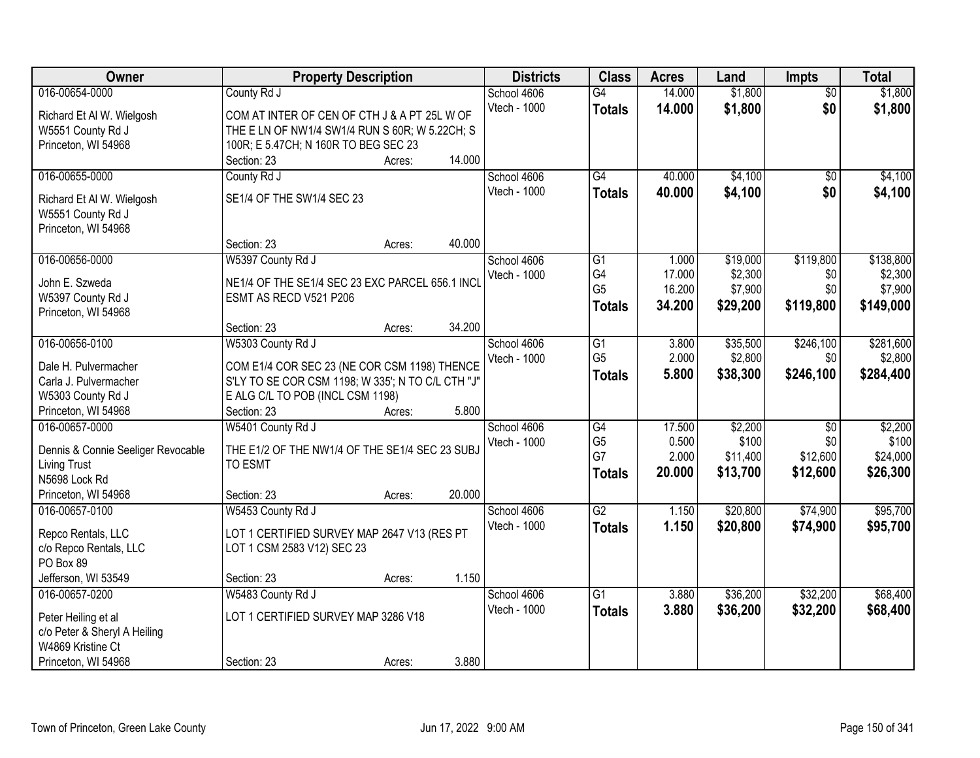| Owner                                         | <b>Property Description</b>                                                                       |        |        | <b>Districts</b> | <b>Class</b>    | <b>Acres</b> | Land     | <b>Impts</b>    | <b>Total</b> |
|-----------------------------------------------|---------------------------------------------------------------------------------------------------|--------|--------|------------------|-----------------|--------------|----------|-----------------|--------------|
| 016-00654-0000                                | County Rd J                                                                                       |        |        | School 4606      | G4              | 14.000       | \$1,800  | $\overline{50}$ | \$1,800      |
| Richard Et Al W. Wielgosh                     | COM AT INTER OF CEN OF CTH J & A PT 25L W OF                                                      |        |        | Vtech - 1000     | <b>Totals</b>   | 14.000       | \$1,800  | \$0             | \$1,800      |
| W5551 County Rd J                             | THE E LN OF NW1/4 SW1/4 RUN S 60R; W 5.22CH; S                                                    |        |        |                  |                 |              |          |                 |              |
| Princeton, WI 54968                           | 100R; E 5.47CH; N 160R TO BEG SEC 23                                                              |        |        |                  |                 |              |          |                 |              |
|                                               | Section: 23                                                                                       | Acres: | 14.000 |                  |                 |              |          |                 |              |
| 016-00655-0000                                | County Rd J                                                                                       |        |        | School 4606      | $\overline{G4}$ | 40.000       | \$4,100  | $\overline{50}$ | \$4,100      |
| Richard Et Al W. Wielgosh                     | SE1/4 OF THE SW1/4 SEC 23                                                                         |        |        | Vtech - 1000     | <b>Totals</b>   | 40.000       | \$4,100  | \$0             | \$4,100      |
| W5551 County Rd J                             |                                                                                                   |        |        |                  |                 |              |          |                 |              |
| Princeton, WI 54968                           |                                                                                                   |        |        |                  |                 |              |          |                 |              |
|                                               | Section: 23                                                                                       | Acres: | 40.000 |                  |                 |              |          |                 |              |
| 016-00656-0000                                | W5397 County Rd J                                                                                 |        |        | School 4606      | $\overline{G1}$ | 1.000        | \$19,000 | \$119,800       | \$138,800    |
| John E. Szweda                                | NE1/4 OF THE SE1/4 SEC 23 EXC PARCEL 656.1 INCL                                                   |        |        | Vtech - 1000     | G4              | 17.000       | \$2,300  | \$0             | \$2,300      |
| W5397 County Rd J                             | ESMT AS RECD V521 P206                                                                            |        |        |                  | G <sub>5</sub>  | 16.200       | \$7,900  | \$0             | \$7,900      |
| Princeton, WI 54968                           |                                                                                                   |        |        |                  | <b>Totals</b>   | 34.200       | \$29,200 | \$119,800       | \$149,000    |
|                                               | Section: 23                                                                                       | Acres: | 34.200 |                  |                 |              |          |                 |              |
| 016-00656-0100                                | W5303 County Rd J                                                                                 |        |        | School 4606      | G1              | 3.800        | \$35,500 | \$246,100       | \$281,600    |
|                                               |                                                                                                   |        |        | Vtech - 1000     | G <sub>5</sub>  | 2.000        | \$2,800  | \$0             | \$2,800      |
| Dale H. Pulvermacher<br>Carla J. Pulvermacher | COM E1/4 COR SEC 23 (NE COR CSM 1198) THENCE<br>S'LY TO SE COR CSM 1198; W 335'; N TO C/L CTH "J" |        |        |                  | <b>Totals</b>   | 5.800        | \$38,300 | \$246,100       | \$284,400    |
|                                               | E ALG C/L TO POB (INCL CSM 1198)                                                                  |        |        |                  |                 |              |          |                 |              |
| W5303 County Rd J<br>Princeton, WI 54968      | Section: 23                                                                                       |        | 5.800  |                  |                 |              |          |                 |              |
| 016-00657-0000                                | W5401 County Rd J                                                                                 | Acres: |        | School 4606      | $\overline{G4}$ | 17.500       | \$2,200  | $\overline{50}$ | \$2,200      |
|                                               |                                                                                                   |        |        | Vtech - 1000     | G <sub>5</sub>  | 0.500        | \$100    | \$0             | \$100        |
| Dennis & Connie Seeliger Revocable            | THE E1/2 OF THE NW1/4 OF THE SE1/4 SEC 23 SUBJ                                                    |        |        |                  | G7              | 2.000        | \$11,400 | \$12,600        | \$24,000     |
| <b>Living Trust</b>                           | TO ESMT                                                                                           |        |        |                  | <b>Totals</b>   | 20.000       | \$13,700 | \$12,600        | \$26,300     |
| N5698 Lock Rd                                 |                                                                                                   |        |        |                  |                 |              |          |                 |              |
| Princeton, WI 54968                           | Section: 23                                                                                       | Acres: | 20.000 |                  |                 |              |          |                 |              |
| 016-00657-0100                                | W5453 County Rd J                                                                                 |        |        | School 4606      | $\overline{G2}$ | 1.150        | \$20,800 | \$74,900        | \$95,700     |
| Repco Rentals, LLC                            | LOT 1 CERTIFIED SURVEY MAP 2647 V13 (RES PT                                                       |        |        | Vtech - 1000     | <b>Totals</b>   | 1.150        | \$20,800 | \$74,900        | \$95,700     |
| c/o Repco Rentals, LLC                        | LOT 1 CSM 2583 V12) SEC 23                                                                        |        |        |                  |                 |              |          |                 |              |
| PO Box 89                                     |                                                                                                   |        |        |                  |                 |              |          |                 |              |
| Jefferson, WI 53549                           | Section: 23                                                                                       | Acres: | 1.150  |                  |                 |              |          |                 |              |
| 016-00657-0200                                | W5483 County Rd J                                                                                 |        |        | School 4606      | $\overline{G1}$ | 3.880        | \$36,200 | \$32,200        | \$68,400     |
| Peter Heiling et al                           | LOT 1 CERTIFIED SURVEY MAP 3286 V18                                                               |        |        | Vtech - 1000     | <b>Totals</b>   | 3.880        | \$36,200 | \$32,200        | \$68,400     |
| c/o Peter & Sheryl A Heiling                  |                                                                                                   |        |        |                  |                 |              |          |                 |              |
| W4869 Kristine Ct                             |                                                                                                   |        |        |                  |                 |              |          |                 |              |
| Princeton, WI 54968                           | Section: 23                                                                                       | Acres: | 3.880  |                  |                 |              |          |                 |              |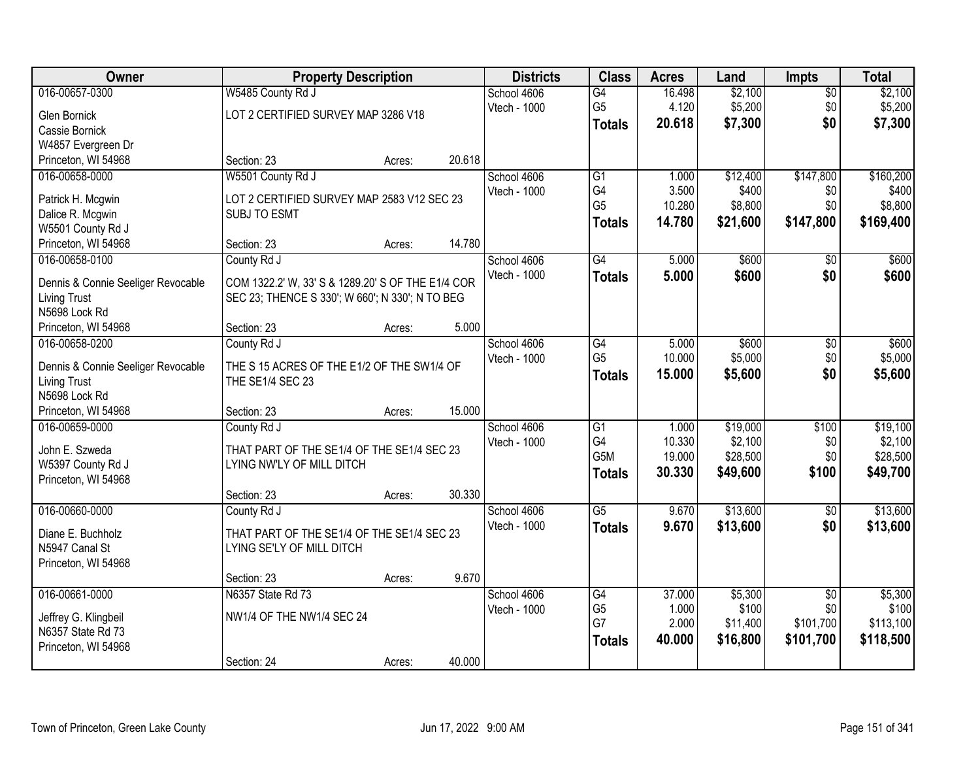| Owner                                |                                                   | <b>Property Description</b> |        | <b>Districts</b> | <b>Class</b>     | <b>Acres</b> | Land     | <b>Impts</b>    | <b>Total</b> |
|--------------------------------------|---------------------------------------------------|-----------------------------|--------|------------------|------------------|--------------|----------|-----------------|--------------|
| 016-00657-0300                       | W5485 County Rd J                                 |                             |        | School 4606      | G4               | 16.498       | \$2,100  | $\overline{50}$ | \$2,100      |
| Glen Bornick                         | LOT 2 CERTIFIED SURVEY MAP 3286 V18               |                             |        | Vtech - 1000     | G <sub>5</sub>   | 4.120        | \$5,200  | \$0             | \$5,200      |
| Cassie Bornick                       |                                                   |                             |        |                  | <b>Totals</b>    | 20.618       | \$7,300  | \$0             | \$7,300      |
| W4857 Evergreen Dr                   |                                                   |                             |        |                  |                  |              |          |                 |              |
| Princeton, WI 54968                  | Section: 23                                       | Acres:                      | 20.618 |                  |                  |              |          |                 |              |
| 016-00658-0000                       | W5501 County Rd J                                 |                             |        | School 4606      | $\overline{G1}$  | 1.000        | \$12,400 | \$147,800       | \$160,200    |
|                                      |                                                   |                             |        | Vtech - 1000     | G4               | 3.500        | \$400    | \$0             | \$400        |
| Patrick H. Mcgwin                    | LOT 2 CERTIFIED SURVEY MAP 2583 V12 SEC 23        |                             |        |                  | G <sub>5</sub>   | 10.280       | \$8,800  | \$0             | \$8,800      |
| Dalice R. Mcgwin                     | <b>SUBJ TO ESMT</b>                               |                             |        |                  | <b>Totals</b>    | 14.780       | \$21,600 | \$147,800       | \$169,400    |
| W5501 County Rd J                    |                                                   |                             | 14.780 |                  |                  |              |          |                 |              |
| Princeton, WI 54968                  | Section: 23                                       | Acres:                      |        |                  |                  |              |          |                 |              |
| 016-00658-0100                       | County Rd J                                       |                             |        | School 4606      | $\overline{G4}$  | 5.000        | \$600    | $\overline{50}$ | \$600        |
| Dennis & Connie Seeliger Revocable   | COM 1322.2' W, 33' S & 1289.20' S OF THE E1/4 COR |                             |        | Vtech - 1000     | <b>Totals</b>    | 5.000        | \$600    | \$0             | \$600        |
| <b>Living Trust</b>                  | SEC 23; THENCE S 330'; W 660'; N 330'; N TO BEG   |                             |        |                  |                  |              |          |                 |              |
| N5698 Lock Rd                        |                                                   |                             |        |                  |                  |              |          |                 |              |
| Princeton, WI 54968                  | Section: 23                                       | Acres:                      | 5.000  |                  |                  |              |          |                 |              |
| 016-00658-0200                       | County Rd J                                       |                             |        | School 4606      | $\overline{G4}$  | 5.000        | \$600    | \$0             | \$600        |
|                                      |                                                   |                             |        | Vtech - 1000     | G <sub>5</sub>   | 10.000       | \$5,000  | \$0             | \$5,000      |
| Dennis & Connie Seeliger Revocable   | THE S 15 ACRES OF THE E1/2 OF THE SW1/4 OF        |                             |        |                  | <b>Totals</b>    | 15.000       | \$5,600  | \$0             | \$5,600      |
| <b>Living Trust</b><br>N5698 Lock Rd | THE SE1/4 SEC 23                                  |                             |        |                  |                  |              |          |                 |              |
| Princeton, WI 54968                  | Section: 23                                       | Acres:                      | 15.000 |                  |                  |              |          |                 |              |
| 016-00659-0000                       | County Rd J                                       |                             |        | School 4606      | $\overline{G1}$  | 1.000        | \$19,000 | \$100           | \$19,100     |
|                                      |                                                   |                             |        | Vtech - 1000     | G4               | 10.330       | \$2,100  | \$0             | \$2,100      |
| John E. Szweda                       | THAT PART OF THE SE1/4 OF THE SE1/4 SEC 23        |                             |        |                  | G <sub>5</sub> M | 19.000       | \$28,500 | \$0             | \$28,500     |
| W5397 County Rd J                    | LYING NW'LY OF MILL DITCH                         |                             |        |                  |                  | 30.330       | \$49,600 | \$100           | \$49,700     |
| Princeton, WI 54968                  |                                                   |                             |        |                  | <b>Totals</b>    |              |          |                 |              |
|                                      | Section: 23                                       | Acres:                      | 30.330 |                  |                  |              |          |                 |              |
| 016-00660-0000                       | County Rd J                                       |                             |        | School 4606      | $\overline{G5}$  | 9.670        | \$13,600 | $\overline{50}$ | \$13,600     |
| Diane E. Buchholz                    | THAT PART OF THE SE1/4 OF THE SE1/4 SEC 23        |                             |        | Vtech - 1000     | <b>Totals</b>    | 9.670        | \$13,600 | \$0             | \$13,600     |
| N5947 Canal St                       | LYING SE'LY OF MILL DITCH                         |                             |        |                  |                  |              |          |                 |              |
| Princeton, WI 54968                  |                                                   |                             |        |                  |                  |              |          |                 |              |
|                                      | Section: 23                                       | Acres:                      | 9.670  |                  |                  |              |          |                 |              |
| 016-00661-0000                       | N6357 State Rd 73                                 |                             |        | School 4606      | G4               | 37,000       | \$5,300  | $\overline{30}$ | \$5,300      |
|                                      |                                                   |                             |        | Vtech - 1000     | G <sub>5</sub>   | 1.000        | \$100    | \$0             | \$100        |
| Jeffrey G. Klingbeil                 | NW1/4 OF THE NW1/4 SEC 24                         |                             |        |                  | G7               | 2.000        | \$11,400 | \$101,700       | \$113,100    |
| N6357 State Rd 73                    |                                                   |                             |        |                  | <b>Totals</b>    | 40.000       | \$16,800 | \$101,700       | \$118,500    |
| Princeton, WI 54968                  |                                                   |                             |        |                  |                  |              |          |                 |              |
|                                      | Section: 24                                       | Acres:                      | 40.000 |                  |                  |              |          |                 |              |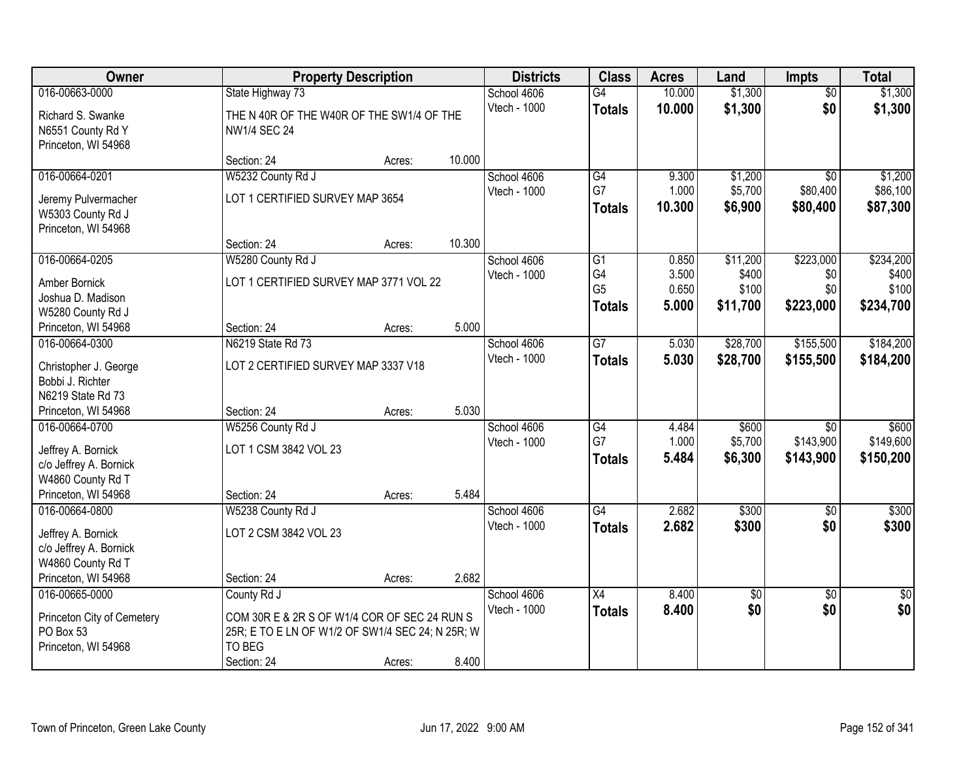| Owner                                                                                                      |                                                                                                                           | <b>Property Description</b> |        | <b>Districts</b>            | <b>Class</b>                          | <b>Acres</b>            | Land                        | <b>Impts</b>                              | <b>Total</b>                    |
|------------------------------------------------------------------------------------------------------------|---------------------------------------------------------------------------------------------------------------------------|-----------------------------|--------|-----------------------------|---------------------------------------|-------------------------|-----------------------------|-------------------------------------------|---------------------------------|
| 016-00663-0000                                                                                             | State Highway 73                                                                                                          |                             |        | School 4606                 | G4                                    | 10.000                  | \$1,300                     | $\overline{50}$                           | \$1,300                         |
| Richard S. Swanke<br>N6551 County Rd Y<br>Princeton, WI 54968                                              | THE N 40R OF THE W40R OF THE SW1/4 OF THE<br><b>NW1/4 SEC 24</b>                                                          |                             |        | Vtech - 1000                | <b>Totals</b>                         | 10.000                  | \$1,300                     | \$0                                       | \$1,300                         |
|                                                                                                            | Section: 24                                                                                                               | Acres:                      | 10.000 |                             |                                       |                         |                             |                                           |                                 |
| 016-00664-0201                                                                                             | W5232 County Rd J                                                                                                         |                             |        | School 4606                 | $\overline{G4}$                       | 9.300                   | \$1,200                     | $\overline{50}$                           | \$1,200                         |
| Jeremy Pulvermacher<br>W5303 County Rd J<br>Princeton, WI 54968                                            | LOT 1 CERTIFIED SURVEY MAP 3654                                                                                           |                             |        | Vtech - 1000                | G7<br><b>Totals</b>                   | 1.000<br>10.300         | \$5,700<br>\$6,900          | \$80,400<br>\$80,400                      | \$86,100<br>\$87,300            |
|                                                                                                            | Section: 24                                                                                                               | Acres:                      | 10.300 |                             |                                       |                         |                             |                                           |                                 |
| 016-00664-0205                                                                                             | W5280 County Rd J                                                                                                         |                             |        | School 4606                 | G1                                    | 0.850                   | \$11,200                    | \$223,000                                 | \$234,200                       |
| Amber Bornick<br>Joshua D. Madison<br>W5280 County Rd J                                                    | LOT 1 CERTIFIED SURVEY MAP 3771 VOL 22                                                                                    |                             |        | Vtech - 1000                | G4<br>G <sub>5</sub><br><b>Totals</b> | 3.500<br>0.650<br>5.000 | \$400<br>\$100<br>\$11,700  | \$0<br>\$0<br>\$223,000                   | \$400<br>\$100<br>\$234,700     |
| Princeton, WI 54968                                                                                        | Section: 24                                                                                                               | Acres:                      | 5.000  |                             |                                       |                         |                             |                                           |                                 |
| 016-00664-0300                                                                                             | N6219 State Rd 73                                                                                                         |                             |        | School 4606                 | $\overline{G7}$                       | 5.030                   | \$28,700                    | \$155,500                                 | \$184,200                       |
| Christopher J. George<br>Bobbi J. Richter<br>N6219 State Rd 73                                             | LOT 2 CERTIFIED SURVEY MAP 3337 V18                                                                                       |                             |        | Vtech - 1000                | <b>Totals</b>                         | 5.030                   | \$28,700                    | \$155,500                                 | \$184,200                       |
| Princeton, WI 54968                                                                                        | Section: 24                                                                                                               | Acres:                      | 5.030  |                             |                                       |                         |                             |                                           |                                 |
| 016-00664-0700<br>Jeffrey A. Bornick<br>c/o Jeffrey A. Bornick<br>W4860 County Rd T<br>Princeton, WI 54968 | W5256 County Rd J<br>LOT 1 CSM 3842 VOL 23<br>Section: 24                                                                 | Acres:                      | 5.484  | School 4606<br>Vtech - 1000 | G4<br>G7<br><b>Totals</b>             | 4.484<br>1.000<br>5.484 | \$600<br>\$5,700<br>\$6,300 | $\overline{50}$<br>\$143,900<br>\$143,900 | \$600<br>\$149,600<br>\$150,200 |
| 016-00664-0800                                                                                             | W5238 County Rd J                                                                                                         |                             |        | School 4606                 | $\overline{G4}$                       | 2.682                   | \$300                       | $\sqrt{6}$                                | \$300                           |
| Jeffrey A. Bornick<br>c/o Jeffrey A. Bornick<br>W4860 County Rd T                                          | LOT 2 CSM 3842 VOL 23                                                                                                     |                             |        | Vtech - 1000                | <b>Totals</b>                         | 2.682                   | \$300                       | \$0                                       | \$300                           |
| Princeton, WI 54968                                                                                        | Section: 24                                                                                                               | Acres:                      | 2.682  |                             |                                       |                         |                             |                                           |                                 |
| 016-00665-0000<br>Princeton City of Cemetery<br>PO Box 53<br>Princeton, WI 54968                           | County Rd J<br>COM 30R E & 2R S OF W1/4 COR OF SEC 24 RUN S<br>25R; E TO E LN OF W1/2 OF SW1/4 SEC 24; N 25R; W<br>TO BEG |                             | 8.400  | School 4606<br>Vtech - 1000 | X4<br><b>Totals</b>                   | 8.400<br>8.400          | $\overline{50}$<br>\$0      | $\overline{30}$<br>\$0                    | $\overline{50}$<br>\$0          |
|                                                                                                            | Section: 24                                                                                                               | Acres:                      |        |                             |                                       |                         |                             |                                           |                                 |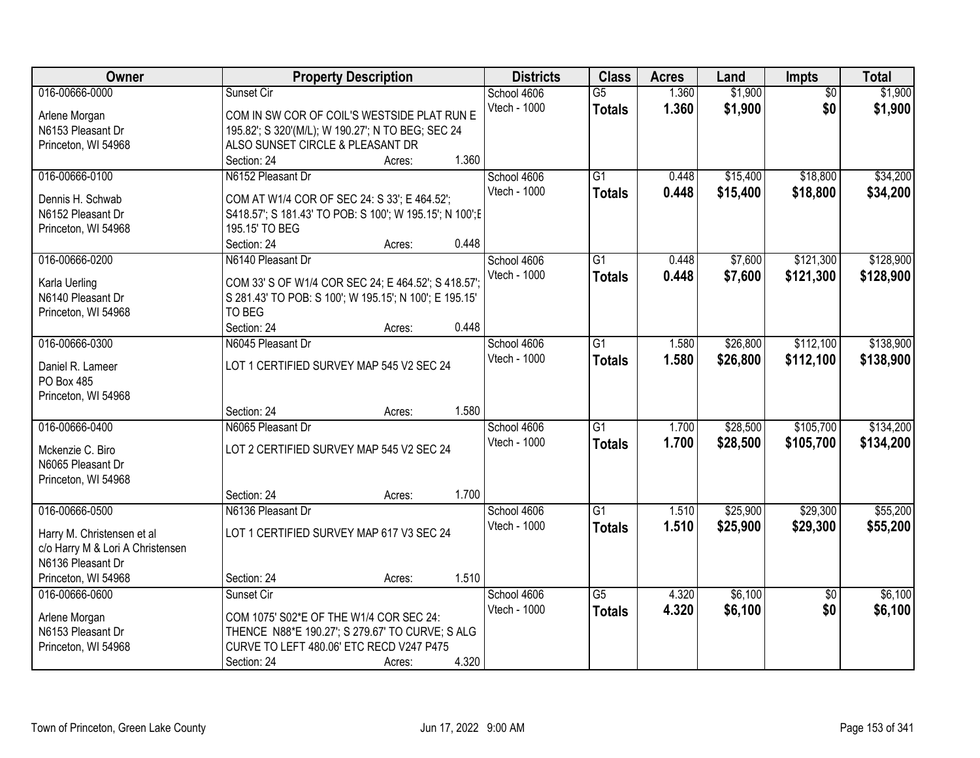| \$1,900<br>016-00666-0000<br>1.360<br>$\overline{50}$<br>\$1,900<br>Sunset Cir<br>School 4606<br>$\overline{G5}$<br>1.360<br>\$1,900<br>\$0<br>Vtech - 1000<br>\$1,900<br><b>Totals</b><br>COM IN SW COR OF COIL'S WESTSIDE PLAT RUN E<br>Arlene Morgan<br>N6153 Pleasant Dr<br>195.82'; S 320'(M/L); W 190.27'; N TO BEG; SEC 24<br>ALSO SUNSET CIRCLE & PLEASANT DR<br>Princeton, WI 54968<br>1.360<br>Section: 24<br>Acres:<br>\$18,800<br>\$34,200<br>016-00666-0100<br>N6152 Pleasant Dr<br>$\overline{G1}$<br>\$15,400<br>School 4606<br>0.448<br>Vtech - 1000<br>0.448<br>\$18,800<br>\$15,400<br>\$34,200<br><b>Totals</b><br>Dennis H. Schwab<br>COM AT W1/4 COR OF SEC 24: S 33'; E 464.52';<br>N6152 Pleasant Dr<br>S418.57'; S 181.43' TO POB: S 100'; W 195.15'; N 100'; E<br>Princeton, WI 54968<br>195.15' TO BEG<br>0.448<br>Section: 24<br>Acres:<br>016-00666-0200<br>\$7,600<br>\$121,300<br>\$128,900<br>N6140 Pleasant Dr<br>School 4606<br>$\overline{G1}$<br>0.448<br>Vtech - 1000<br>0.448<br>\$7,600<br>\$121,300<br>\$128,900<br><b>Totals</b><br>COM 33' S OF W1/4 COR SEC 24; E 464.52'; S 418.57';<br>Karla Uerling<br>N6140 Pleasant Dr<br>S 281.43' TO POB: S 100'; W 195.15'; N 100'; E 195.15'<br>TO BEG<br>Princeton, WI 54968<br>0.448<br>Section: 24<br>Acres:<br>\$112,100<br>016-00666-0300<br>N6045 Pleasant Dr<br>$\overline{G1}$<br>\$26,800<br>School 4606<br>1.580<br>Vtech - 1000<br>1.580<br>\$26,800<br>\$112,100<br><b>Totals</b><br>LOT 1 CERTIFIED SURVEY MAP 545 V2 SEC 24<br>Daniel R. Lameer<br>PO Box 485<br>Princeton, WI 54968<br>1.580<br>Section: 24<br>Acres:<br>016-00666-0400<br>$\overline{G1}$<br>1.700<br>\$28,500<br>\$105,700<br>N6065 Pleasant Dr<br>School 4606<br><b>Vtech - 1000</b><br>1.700<br>\$105,700<br>\$28,500<br><b>Totals</b><br>LOT 2 CERTIFIED SURVEY MAP 545 V2 SEC 24<br>Mckenzie C. Biro<br>N6065 Pleasant Dr<br>Princeton, WI 54968<br>1.700<br>Section: 24<br>Acres:<br>016-00666-0500<br>\$25,900<br>\$29,300<br>N6136 Pleasant Dr<br>School 4606<br>$\overline{G1}$<br>1.510<br>Vtech - 1000<br>1.510<br>\$25,900<br>\$29,300<br><b>Totals</b><br>LOT 1 CERTIFIED SURVEY MAP 617 V3 SEC 24<br>Harry M. Christensen et al<br>c/o Harry M & Lori A Christensen<br>N6136 Pleasant Dr<br>1.510<br>Princeton, WI 54968<br>Section: 24<br>Acres:<br>\$6,100<br>016-00666-0600<br>$\overline{G5}$<br>Sunset Cir<br>School 4606<br>4.320<br>$\overline{50}$<br>\$0<br>Vtech - 1000<br>4.320<br>\$6,100<br><b>Totals</b><br>COM 1075' S02*E OF THE W1/4 COR SEC 24:<br>Arlene Morgan<br>N6153 Pleasant Dr<br>THENCE N88*E 190.27'; S 279.67' TO CURVE; S ALG | Owner               | <b>Property Description</b>              |  | <b>Districts</b> | <b>Class</b> | <b>Acres</b> | Land | Impts | <b>Total</b> |
|---------------------------------------------------------------------------------------------------------------------------------------------------------------------------------------------------------------------------------------------------------------------------------------------------------------------------------------------------------------------------------------------------------------------------------------------------------------------------------------------------------------------------------------------------------------------------------------------------------------------------------------------------------------------------------------------------------------------------------------------------------------------------------------------------------------------------------------------------------------------------------------------------------------------------------------------------------------------------------------------------------------------------------------------------------------------------------------------------------------------------------------------------------------------------------------------------------------------------------------------------------------------------------------------------------------------------------------------------------------------------------------------------------------------------------------------------------------------------------------------------------------------------------------------------------------------------------------------------------------------------------------------------------------------------------------------------------------------------------------------------------------------------------------------------------------------------------------------------------------------------------------------------------------------------------------------------------------------------------------------------------------------------------------------------------------------------------------------------------------------------------------------------------------------------------------------------------------------------------------------------------------------------------------------------------------------------------------------------------------------------------------------------------------------------------------------------------------------------------------------------------------------------------------------------------------------------------------------------------------------------------------------|---------------------|------------------------------------------|--|------------------|--------------|--------------|------|-------|--------------|
|                                                                                                                                                                                                                                                                                                                                                                                                                                                                                                                                                                                                                                                                                                                                                                                                                                                                                                                                                                                                                                                                                                                                                                                                                                                                                                                                                                                                                                                                                                                                                                                                                                                                                                                                                                                                                                                                                                                                                                                                                                                                                                                                                                                                                                                                                                                                                                                                                                                                                                                                                                                                                                             |                     |                                          |  |                  |              |              |      |       |              |
|                                                                                                                                                                                                                                                                                                                                                                                                                                                                                                                                                                                                                                                                                                                                                                                                                                                                                                                                                                                                                                                                                                                                                                                                                                                                                                                                                                                                                                                                                                                                                                                                                                                                                                                                                                                                                                                                                                                                                                                                                                                                                                                                                                                                                                                                                                                                                                                                                                                                                                                                                                                                                                             |                     |                                          |  |                  |              |              |      |       |              |
|                                                                                                                                                                                                                                                                                                                                                                                                                                                                                                                                                                                                                                                                                                                                                                                                                                                                                                                                                                                                                                                                                                                                                                                                                                                                                                                                                                                                                                                                                                                                                                                                                                                                                                                                                                                                                                                                                                                                                                                                                                                                                                                                                                                                                                                                                                                                                                                                                                                                                                                                                                                                                                             |                     |                                          |  |                  |              |              |      |       |              |
|                                                                                                                                                                                                                                                                                                                                                                                                                                                                                                                                                                                                                                                                                                                                                                                                                                                                                                                                                                                                                                                                                                                                                                                                                                                                                                                                                                                                                                                                                                                                                                                                                                                                                                                                                                                                                                                                                                                                                                                                                                                                                                                                                                                                                                                                                                                                                                                                                                                                                                                                                                                                                                             |                     |                                          |  |                  |              |              |      |       |              |
|                                                                                                                                                                                                                                                                                                                                                                                                                                                                                                                                                                                                                                                                                                                                                                                                                                                                                                                                                                                                                                                                                                                                                                                                                                                                                                                                                                                                                                                                                                                                                                                                                                                                                                                                                                                                                                                                                                                                                                                                                                                                                                                                                                                                                                                                                                                                                                                                                                                                                                                                                                                                                                             |                     |                                          |  |                  |              |              |      |       |              |
|                                                                                                                                                                                                                                                                                                                                                                                                                                                                                                                                                                                                                                                                                                                                                                                                                                                                                                                                                                                                                                                                                                                                                                                                                                                                                                                                                                                                                                                                                                                                                                                                                                                                                                                                                                                                                                                                                                                                                                                                                                                                                                                                                                                                                                                                                                                                                                                                                                                                                                                                                                                                                                             |                     |                                          |  |                  |              |              |      |       |              |
|                                                                                                                                                                                                                                                                                                                                                                                                                                                                                                                                                                                                                                                                                                                                                                                                                                                                                                                                                                                                                                                                                                                                                                                                                                                                                                                                                                                                                                                                                                                                                                                                                                                                                                                                                                                                                                                                                                                                                                                                                                                                                                                                                                                                                                                                                                                                                                                                                                                                                                                                                                                                                                             |                     |                                          |  |                  |              |              |      |       |              |
|                                                                                                                                                                                                                                                                                                                                                                                                                                                                                                                                                                                                                                                                                                                                                                                                                                                                                                                                                                                                                                                                                                                                                                                                                                                                                                                                                                                                                                                                                                                                                                                                                                                                                                                                                                                                                                                                                                                                                                                                                                                                                                                                                                                                                                                                                                                                                                                                                                                                                                                                                                                                                                             |                     |                                          |  |                  |              |              |      |       |              |
|                                                                                                                                                                                                                                                                                                                                                                                                                                                                                                                                                                                                                                                                                                                                                                                                                                                                                                                                                                                                                                                                                                                                                                                                                                                                                                                                                                                                                                                                                                                                                                                                                                                                                                                                                                                                                                                                                                                                                                                                                                                                                                                                                                                                                                                                                                                                                                                                                                                                                                                                                                                                                                             |                     |                                          |  |                  |              |              |      |       |              |
|                                                                                                                                                                                                                                                                                                                                                                                                                                                                                                                                                                                                                                                                                                                                                                                                                                                                                                                                                                                                                                                                                                                                                                                                                                                                                                                                                                                                                                                                                                                                                                                                                                                                                                                                                                                                                                                                                                                                                                                                                                                                                                                                                                                                                                                                                                                                                                                                                                                                                                                                                                                                                                             |                     |                                          |  |                  |              |              |      |       |              |
|                                                                                                                                                                                                                                                                                                                                                                                                                                                                                                                                                                                                                                                                                                                                                                                                                                                                                                                                                                                                                                                                                                                                                                                                                                                                                                                                                                                                                                                                                                                                                                                                                                                                                                                                                                                                                                                                                                                                                                                                                                                                                                                                                                                                                                                                                                                                                                                                                                                                                                                                                                                                                                             |                     |                                          |  |                  |              |              |      |       |              |
|                                                                                                                                                                                                                                                                                                                                                                                                                                                                                                                                                                                                                                                                                                                                                                                                                                                                                                                                                                                                                                                                                                                                                                                                                                                                                                                                                                                                                                                                                                                                                                                                                                                                                                                                                                                                                                                                                                                                                                                                                                                                                                                                                                                                                                                                                                                                                                                                                                                                                                                                                                                                                                             |                     |                                          |  |                  |              |              |      |       |              |
|                                                                                                                                                                                                                                                                                                                                                                                                                                                                                                                                                                                                                                                                                                                                                                                                                                                                                                                                                                                                                                                                                                                                                                                                                                                                                                                                                                                                                                                                                                                                                                                                                                                                                                                                                                                                                                                                                                                                                                                                                                                                                                                                                                                                                                                                                                                                                                                                                                                                                                                                                                                                                                             |                     |                                          |  |                  |              |              |      |       |              |
| \$138,900<br>\$138,900<br>\$134,200<br>\$134,200<br>\$55,200<br>\$55,200<br>\$6,100<br>\$6,100                                                                                                                                                                                                                                                                                                                                                                                                                                                                                                                                                                                                                                                                                                                                                                                                                                                                                                                                                                                                                                                                                                                                                                                                                                                                                                                                                                                                                                                                                                                                                                                                                                                                                                                                                                                                                                                                                                                                                                                                                                                                                                                                                                                                                                                                                                                                                                                                                                                                                                                                              |                     |                                          |  |                  |              |              |      |       |              |
|                                                                                                                                                                                                                                                                                                                                                                                                                                                                                                                                                                                                                                                                                                                                                                                                                                                                                                                                                                                                                                                                                                                                                                                                                                                                                                                                                                                                                                                                                                                                                                                                                                                                                                                                                                                                                                                                                                                                                                                                                                                                                                                                                                                                                                                                                                                                                                                                                                                                                                                                                                                                                                             |                     |                                          |  |                  |              |              |      |       |              |
|                                                                                                                                                                                                                                                                                                                                                                                                                                                                                                                                                                                                                                                                                                                                                                                                                                                                                                                                                                                                                                                                                                                                                                                                                                                                                                                                                                                                                                                                                                                                                                                                                                                                                                                                                                                                                                                                                                                                                                                                                                                                                                                                                                                                                                                                                                                                                                                                                                                                                                                                                                                                                                             |                     |                                          |  |                  |              |              |      |       |              |
|                                                                                                                                                                                                                                                                                                                                                                                                                                                                                                                                                                                                                                                                                                                                                                                                                                                                                                                                                                                                                                                                                                                                                                                                                                                                                                                                                                                                                                                                                                                                                                                                                                                                                                                                                                                                                                                                                                                                                                                                                                                                                                                                                                                                                                                                                                                                                                                                                                                                                                                                                                                                                                             |                     |                                          |  |                  |              |              |      |       |              |
|                                                                                                                                                                                                                                                                                                                                                                                                                                                                                                                                                                                                                                                                                                                                                                                                                                                                                                                                                                                                                                                                                                                                                                                                                                                                                                                                                                                                                                                                                                                                                                                                                                                                                                                                                                                                                                                                                                                                                                                                                                                                                                                                                                                                                                                                                                                                                                                                                                                                                                                                                                                                                                             |                     |                                          |  |                  |              |              |      |       |              |
|                                                                                                                                                                                                                                                                                                                                                                                                                                                                                                                                                                                                                                                                                                                                                                                                                                                                                                                                                                                                                                                                                                                                                                                                                                                                                                                                                                                                                                                                                                                                                                                                                                                                                                                                                                                                                                                                                                                                                                                                                                                                                                                                                                                                                                                                                                                                                                                                                                                                                                                                                                                                                                             |                     |                                          |  |                  |              |              |      |       |              |
|                                                                                                                                                                                                                                                                                                                                                                                                                                                                                                                                                                                                                                                                                                                                                                                                                                                                                                                                                                                                                                                                                                                                                                                                                                                                                                                                                                                                                                                                                                                                                                                                                                                                                                                                                                                                                                                                                                                                                                                                                                                                                                                                                                                                                                                                                                                                                                                                                                                                                                                                                                                                                                             |                     |                                          |  |                  |              |              |      |       |              |
|                                                                                                                                                                                                                                                                                                                                                                                                                                                                                                                                                                                                                                                                                                                                                                                                                                                                                                                                                                                                                                                                                                                                                                                                                                                                                                                                                                                                                                                                                                                                                                                                                                                                                                                                                                                                                                                                                                                                                                                                                                                                                                                                                                                                                                                                                                                                                                                                                                                                                                                                                                                                                                             |                     |                                          |  |                  |              |              |      |       |              |
|                                                                                                                                                                                                                                                                                                                                                                                                                                                                                                                                                                                                                                                                                                                                                                                                                                                                                                                                                                                                                                                                                                                                                                                                                                                                                                                                                                                                                                                                                                                                                                                                                                                                                                                                                                                                                                                                                                                                                                                                                                                                                                                                                                                                                                                                                                                                                                                                                                                                                                                                                                                                                                             |                     |                                          |  |                  |              |              |      |       |              |
|                                                                                                                                                                                                                                                                                                                                                                                                                                                                                                                                                                                                                                                                                                                                                                                                                                                                                                                                                                                                                                                                                                                                                                                                                                                                                                                                                                                                                                                                                                                                                                                                                                                                                                                                                                                                                                                                                                                                                                                                                                                                                                                                                                                                                                                                                                                                                                                                                                                                                                                                                                                                                                             |                     |                                          |  |                  |              |              |      |       |              |
|                                                                                                                                                                                                                                                                                                                                                                                                                                                                                                                                                                                                                                                                                                                                                                                                                                                                                                                                                                                                                                                                                                                                                                                                                                                                                                                                                                                                                                                                                                                                                                                                                                                                                                                                                                                                                                                                                                                                                                                                                                                                                                                                                                                                                                                                                                                                                                                                                                                                                                                                                                                                                                             |                     |                                          |  |                  |              |              |      |       |              |
|                                                                                                                                                                                                                                                                                                                                                                                                                                                                                                                                                                                                                                                                                                                                                                                                                                                                                                                                                                                                                                                                                                                                                                                                                                                                                                                                                                                                                                                                                                                                                                                                                                                                                                                                                                                                                                                                                                                                                                                                                                                                                                                                                                                                                                                                                                                                                                                                                                                                                                                                                                                                                                             |                     |                                          |  |                  |              |              |      |       |              |
|                                                                                                                                                                                                                                                                                                                                                                                                                                                                                                                                                                                                                                                                                                                                                                                                                                                                                                                                                                                                                                                                                                                                                                                                                                                                                                                                                                                                                                                                                                                                                                                                                                                                                                                                                                                                                                                                                                                                                                                                                                                                                                                                                                                                                                                                                                                                                                                                                                                                                                                                                                                                                                             |                     |                                          |  |                  |              |              |      |       |              |
|                                                                                                                                                                                                                                                                                                                                                                                                                                                                                                                                                                                                                                                                                                                                                                                                                                                                                                                                                                                                                                                                                                                                                                                                                                                                                                                                                                                                                                                                                                                                                                                                                                                                                                                                                                                                                                                                                                                                                                                                                                                                                                                                                                                                                                                                                                                                                                                                                                                                                                                                                                                                                                             |                     |                                          |  |                  |              |              |      |       |              |
|                                                                                                                                                                                                                                                                                                                                                                                                                                                                                                                                                                                                                                                                                                                                                                                                                                                                                                                                                                                                                                                                                                                                                                                                                                                                                                                                                                                                                                                                                                                                                                                                                                                                                                                                                                                                                                                                                                                                                                                                                                                                                                                                                                                                                                                                                                                                                                                                                                                                                                                                                                                                                                             |                     |                                          |  |                  |              |              |      |       |              |
|                                                                                                                                                                                                                                                                                                                                                                                                                                                                                                                                                                                                                                                                                                                                                                                                                                                                                                                                                                                                                                                                                                                                                                                                                                                                                                                                                                                                                                                                                                                                                                                                                                                                                                                                                                                                                                                                                                                                                                                                                                                                                                                                                                                                                                                                                                                                                                                                                                                                                                                                                                                                                                             |                     |                                          |  |                  |              |              |      |       |              |
|                                                                                                                                                                                                                                                                                                                                                                                                                                                                                                                                                                                                                                                                                                                                                                                                                                                                                                                                                                                                                                                                                                                                                                                                                                                                                                                                                                                                                                                                                                                                                                                                                                                                                                                                                                                                                                                                                                                                                                                                                                                                                                                                                                                                                                                                                                                                                                                                                                                                                                                                                                                                                                             |                     |                                          |  |                  |              |              |      |       |              |
|                                                                                                                                                                                                                                                                                                                                                                                                                                                                                                                                                                                                                                                                                                                                                                                                                                                                                                                                                                                                                                                                                                                                                                                                                                                                                                                                                                                                                                                                                                                                                                                                                                                                                                                                                                                                                                                                                                                                                                                                                                                                                                                                                                                                                                                                                                                                                                                                                                                                                                                                                                                                                                             |                     |                                          |  |                  |              |              |      |       |              |
|                                                                                                                                                                                                                                                                                                                                                                                                                                                                                                                                                                                                                                                                                                                                                                                                                                                                                                                                                                                                                                                                                                                                                                                                                                                                                                                                                                                                                                                                                                                                                                                                                                                                                                                                                                                                                                                                                                                                                                                                                                                                                                                                                                                                                                                                                                                                                                                                                                                                                                                                                                                                                                             |                     |                                          |  |                  |              |              |      |       |              |
|                                                                                                                                                                                                                                                                                                                                                                                                                                                                                                                                                                                                                                                                                                                                                                                                                                                                                                                                                                                                                                                                                                                                                                                                                                                                                                                                                                                                                                                                                                                                                                                                                                                                                                                                                                                                                                                                                                                                                                                                                                                                                                                                                                                                                                                                                                                                                                                                                                                                                                                                                                                                                                             | Princeton, WI 54968 | CURVE TO LEFT 480.06' ETC RECD V247 P475 |  |                  |              |              |      |       |              |
| 4.320<br>Section: 24<br>Acres:                                                                                                                                                                                                                                                                                                                                                                                                                                                                                                                                                                                                                                                                                                                                                                                                                                                                                                                                                                                                                                                                                                                                                                                                                                                                                                                                                                                                                                                                                                                                                                                                                                                                                                                                                                                                                                                                                                                                                                                                                                                                                                                                                                                                                                                                                                                                                                                                                                                                                                                                                                                                              |                     |                                          |  |                  |              |              |      |       |              |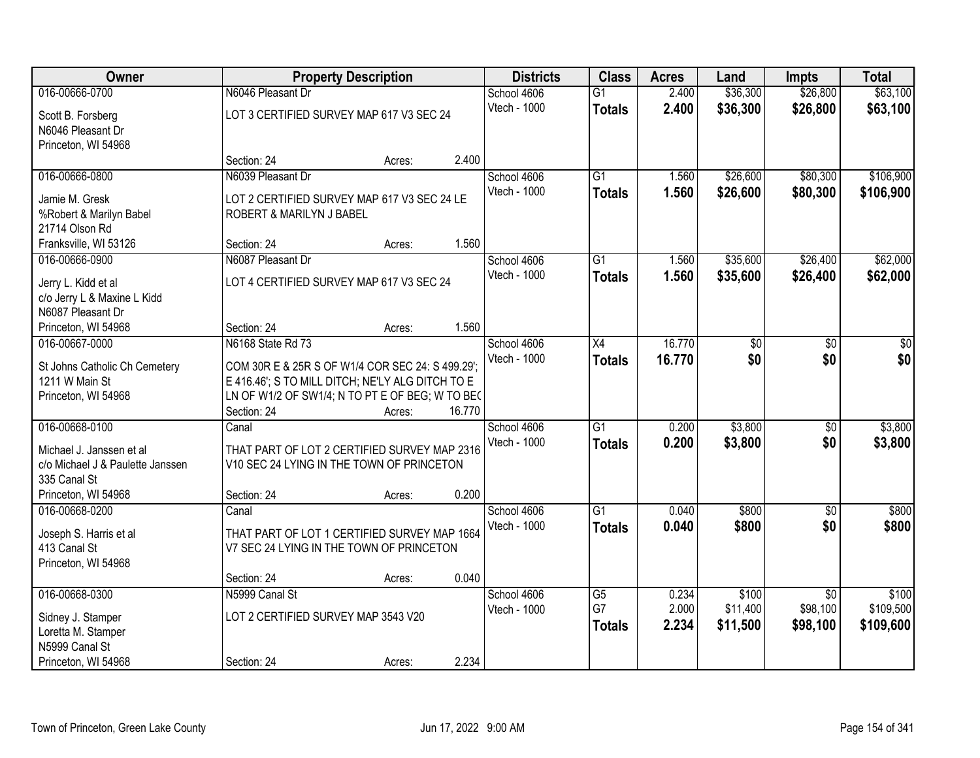| <b>Owner</b>                                    |                                                                                                     | <b>Property Description</b> |        | <b>Districts</b> | <b>Class</b>    | <b>Acres</b> | Land            | <b>Impts</b>    | <b>Total</b> |
|-------------------------------------------------|-----------------------------------------------------------------------------------------------------|-----------------------------|--------|------------------|-----------------|--------------|-----------------|-----------------|--------------|
| 016-00666-0700                                  | N6046 Pleasant Dr                                                                                   |                             |        | School 4606      | $\overline{G1}$ | 2.400        | \$36,300        | \$26,800        | \$63,100     |
| Scott B. Forsberg                               | LOT 3 CERTIFIED SURVEY MAP 617 V3 SEC 24                                                            |                             |        | Vtech - 1000     | <b>Totals</b>   | 2.400        | \$36,300        | \$26,800        | \$63,100     |
| N6046 Pleasant Dr                               |                                                                                                     |                             |        |                  |                 |              |                 |                 |              |
| Princeton, WI 54968                             |                                                                                                     |                             |        |                  |                 |              |                 |                 |              |
|                                                 | Section: 24                                                                                         | Acres:                      | 2.400  |                  |                 |              |                 |                 |              |
| 016-00666-0800                                  | N6039 Pleasant Dr                                                                                   |                             |        | School 4606      | $\overline{G1}$ | 1.560        | \$26,600        | \$80,300        | \$106,900    |
| Jamie M. Gresk                                  | LOT 2 CERTIFIED SURVEY MAP 617 V3 SEC 24 LE                                                         |                             |        | Vtech - 1000     | <b>Totals</b>   | 1.560        | \$26,600        | \$80,300        | \$106,900    |
| %Robert & Marilyn Babel                         | ROBERT & MARILYN J BABEL                                                                            |                             |        |                  |                 |              |                 |                 |              |
| 21714 Olson Rd                                  |                                                                                                     |                             |        |                  |                 |              |                 |                 |              |
| Franksville, WI 53126                           | Section: 24                                                                                         | Acres:                      | 1.560  |                  |                 |              |                 |                 |              |
| 016-00666-0900                                  | N6087 Pleasant Dr                                                                                   |                             |        | School 4606      | $\overline{G1}$ | 1.560        | \$35,600        | \$26,400        | \$62,000     |
| Jerry L. Kidd et al                             | LOT 4 CERTIFIED SURVEY MAP 617 V3 SEC 24                                                            |                             |        | Vtech - 1000     | <b>Totals</b>   | 1.560        | \$35,600        | \$26,400        | \$62,000     |
| c/o Jerry L & Maxine L Kidd                     |                                                                                                     |                             |        |                  |                 |              |                 |                 |              |
| N6087 Pleasant Dr                               |                                                                                                     |                             |        |                  |                 |              |                 |                 |              |
| Princeton, WI 54968                             | Section: 24                                                                                         | Acres:                      | 1.560  |                  |                 |              |                 |                 |              |
| 016-00667-0000                                  | N6168 State Rd 73                                                                                   |                             |        | School 4606      | X4              | 16.770       | $\overline{50}$ | \$0             | \$0          |
|                                                 |                                                                                                     |                             |        | Vtech - 1000     | <b>Totals</b>   | 16.770       | \$0             | \$0             | \$0          |
| St Johns Catholic Ch Cemetery<br>1211 W Main St | COM 30R E & 25R S OF W1/4 COR SEC 24: S 499.29';                                                    |                             |        |                  |                 |              |                 |                 |              |
| Princeton, WI 54968                             | E 416.46'; S TO MILL DITCH; NE'LY ALG DITCH TO E<br>LN OF W1/2 OF SW1/4; N TO PT E OF BEG; W TO BEC |                             |        |                  |                 |              |                 |                 |              |
|                                                 | Section: 24                                                                                         | Acres:                      | 16.770 |                  |                 |              |                 |                 |              |
| 016-00668-0100                                  | Canal                                                                                               |                             |        | School 4606      | $\overline{G1}$ | 0.200        | \$3,800         | $\overline{50}$ | \$3,800      |
|                                                 |                                                                                                     |                             |        | Vtech - 1000     | <b>Totals</b>   | 0.200        | \$3,800         | \$0             | \$3,800      |
| Michael J. Janssen et al                        | THAT PART OF LOT 2 CERTIFIED SURVEY MAP 2316                                                        |                             |        |                  |                 |              |                 |                 |              |
| c/o Michael J & Paulette Janssen                | V10 SEC 24 LYING IN THE TOWN OF PRINCETON                                                           |                             |        |                  |                 |              |                 |                 |              |
| 335 Canal St                                    | Section: 24                                                                                         |                             | 0.200  |                  |                 |              |                 |                 |              |
| Princeton, WI 54968<br>016-00668-0200           | Canal                                                                                               | Acres:                      |        | School 4606      | $\overline{G1}$ | 0.040        | \$800           | $\sqrt{6}$      | \$800        |
|                                                 |                                                                                                     |                             |        | Vtech - 1000     |                 | 0.040        | \$800           | \$0             | \$800        |
| Joseph S. Harris et al                          | THAT PART OF LOT 1 CERTIFIED SURVEY MAP 1664                                                        |                             |        |                  | <b>Totals</b>   |              |                 |                 |              |
| 413 Canal St                                    | V7 SEC 24 LYING IN THE TOWN OF PRINCETON                                                            |                             |        |                  |                 |              |                 |                 |              |
| Princeton, WI 54968                             |                                                                                                     |                             |        |                  |                 |              |                 |                 |              |
|                                                 | Section: 24                                                                                         | Acres:                      | 0.040  |                  |                 |              |                 |                 |              |
| 016-00668-0300                                  | N5999 Canal St                                                                                      |                             |        | School 4606      | $\overline{G5}$ | 0.234        | \$100           | $\overline{50}$ | \$100        |
| Sidney J. Stamper                               | LOT 2 CERTIFIED SURVEY MAP 3543 V20                                                                 |                             |        | Vtech - 1000     | G7              | 2.000        | \$11,400        | \$98,100        | \$109,500    |
| Loretta M. Stamper                              |                                                                                                     |                             |        |                  | <b>Totals</b>   | 2.234        | \$11,500        | \$98,100        | \$109,600    |
| N5999 Canal St                                  |                                                                                                     |                             |        |                  |                 |              |                 |                 |              |
| Princeton, WI 54968                             | Section: 24                                                                                         | Acres:                      | 2.234  |                  |                 |              |                 |                 |              |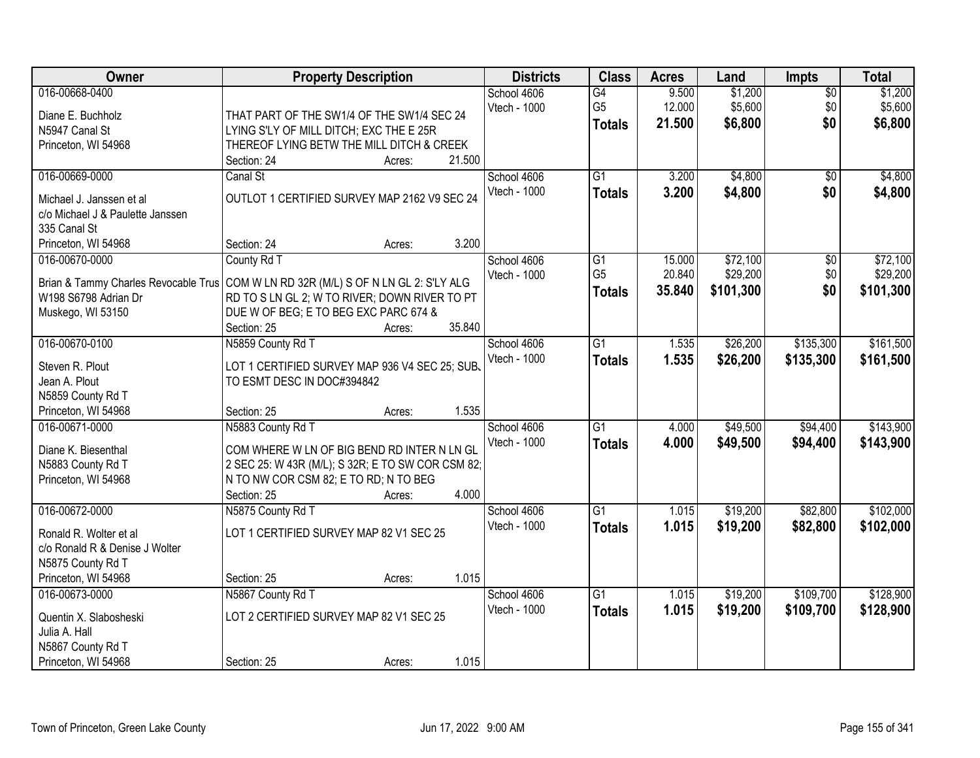| Owner                                                                               | <b>Property Description</b>                       |        |        | <b>Districts</b>            | <b>Class</b>                          | <b>Acres</b>              | Land                          | <b>Impts</b>                  | <b>Total</b>                  |
|-------------------------------------------------------------------------------------|---------------------------------------------------|--------|--------|-----------------------------|---------------------------------------|---------------------------|-------------------------------|-------------------------------|-------------------------------|
| 016-00668-0400<br>Diane E. Buchholz                                                 | THAT PART OF THE SW1/4 OF THE SW1/4 SEC 24        |        |        | School 4606<br>Vtech - 1000 | G4<br>G <sub>5</sub><br><b>Totals</b> | 9.500<br>12.000<br>21.500 | \$1,200<br>\$5,600<br>\$6,800 | $\overline{50}$<br>\$0<br>\$0 | \$1,200<br>\$5,600<br>\$6,800 |
| N5947 Canal St                                                                      | LYING S'LY OF MILL DITCH; EXC THE E 25R           |        |        |                             |                                       |                           |                               |                               |                               |
| Princeton, WI 54968                                                                 | THEREOF LYING BETW THE MILL DITCH & CREEK         |        | 21.500 |                             |                                       |                           |                               |                               |                               |
| 016-00669-0000                                                                      | Section: 24<br>Canal St                           | Acres: |        | School 4606                 | $\overline{G1}$                       | 3.200                     | \$4,800                       | \$0                           | \$4,800                       |
|                                                                                     |                                                   |        |        | Vtech - 1000                | <b>Totals</b>                         | 3.200                     | \$4,800                       | \$0                           | \$4,800                       |
| Michael J. Janssen et al.                                                           | OUTLOT 1 CERTIFIED SURVEY MAP 2162 V9 SEC 24      |        |        |                             |                                       |                           |                               |                               |                               |
| c/o Michael J & Paulette Janssen                                                    |                                                   |        |        |                             |                                       |                           |                               |                               |                               |
| 335 Canal St                                                                        |                                                   |        |        |                             |                                       |                           |                               |                               |                               |
| Princeton, WI 54968                                                                 | Section: 24                                       | Acres: | 3.200  |                             |                                       |                           |                               |                               |                               |
| 016-00670-0000                                                                      | County Rd T                                       |        |        | School 4606<br>Vtech - 1000 | $\overline{G1}$<br>G <sub>5</sub>     | 15.000<br>20.840          | \$72,100<br>\$29,200          | $\overline{50}$<br>\$0        | \$72,100<br>\$29,200          |
| Brian & Tammy Charles Revocable Trus COM W LN RD 32R (M/L) S OF N LN GL 2: S'LY ALG |                                                   |        |        |                             |                                       | 35.840                    | \$101,300                     | \$0                           | \$101,300                     |
| W198 S6798 Adrian Dr                                                                | RD TO S LN GL 2; W TO RIVER; DOWN RIVER TO PT     |        |        |                             | <b>Totals</b>                         |                           |                               |                               |                               |
| Muskego, WI 53150                                                                   | DUE W OF BEG; E TO BEG EXC PARC 674 &             |        |        |                             |                                       |                           |                               |                               |                               |
|                                                                                     | Section: 25                                       | Acres: | 35.840 |                             |                                       |                           |                               |                               |                               |
| 016-00670-0100                                                                      | N5859 County Rd T                                 |        |        | School 4606                 | $\overline{G1}$                       | 1.535                     | \$26,200                      | \$135,300                     | \$161,500                     |
| Steven R. Plout                                                                     | LOT 1 CERTIFIED SURVEY MAP 936 V4 SEC 25; SUB.    |        |        | Vtech - 1000                | <b>Totals</b>                         | 1.535                     | \$26,200                      | \$135,300                     | \$161,500                     |
| Jean A. Plout                                                                       | TO ESMT DESC IN DOC#394842                        |        |        |                             |                                       |                           |                               |                               |                               |
| N5859 County Rd T                                                                   |                                                   |        |        |                             |                                       |                           |                               |                               |                               |
| Princeton, WI 54968                                                                 | Section: 25                                       | Acres: | 1.535  |                             |                                       |                           |                               |                               |                               |
| 016-00671-0000                                                                      | N5883 County Rd T                                 |        |        | School 4606                 | $\overline{G1}$                       | 4.000                     | \$49,500                      | \$94,400                      | \$143,900                     |
| Diane K. Biesenthal                                                                 | COM WHERE W LN OF BIG BEND RD INTER N LN GL       |        |        | Vtech - 1000                | <b>Totals</b>                         | 4.000                     | \$49,500                      | \$94,400                      | \$143,900                     |
| N5883 County Rd T                                                                   | 2 SEC 25: W 43R (M/L); S 32R; E TO SW COR CSM 82; |        |        |                             |                                       |                           |                               |                               |                               |
| Princeton, WI 54968                                                                 | N TO NW COR CSM 82; E TO RD; N TO BEG             |        |        |                             |                                       |                           |                               |                               |                               |
|                                                                                     | Section: 25                                       | Acres: | 4.000  |                             |                                       |                           |                               |                               |                               |
| 016-00672-0000                                                                      | N5875 County Rd T                                 |        |        | School 4606                 | G1                                    | 1.015                     | \$19,200                      | \$82,800                      | \$102,000                     |
| Ronald R. Wolter et al                                                              | LOT 1 CERTIFIED SURVEY MAP 82 V1 SEC 25           |        |        | Vtech - 1000                | <b>Totals</b>                         | 1.015                     | \$19,200                      | \$82,800                      | \$102,000                     |
| c/o Ronald R & Denise J Wolter                                                      |                                                   |        |        |                             |                                       |                           |                               |                               |                               |
| N5875 County Rd T                                                                   |                                                   |        |        |                             |                                       |                           |                               |                               |                               |
| Princeton, WI 54968                                                                 | Section: 25                                       | Acres: | 1.015  |                             |                                       |                           |                               |                               |                               |
| 016-00673-0000                                                                      | N5867 County Rd T                                 |        |        | School 4606                 | G1                                    | 1.015                     | \$19,200                      | \$109,700                     | \$128,900                     |
| Quentin X. Slabosheski                                                              | LOT 2 CERTIFIED SURVEY MAP 82 V1 SEC 25           |        |        | Vtech - 1000                | <b>Totals</b>                         | 1.015                     | \$19,200                      | \$109,700                     | \$128,900                     |
| Julia A. Hall                                                                       |                                                   |        |        |                             |                                       |                           |                               |                               |                               |
| N5867 County Rd T                                                                   |                                                   |        |        |                             |                                       |                           |                               |                               |                               |
| Princeton, WI 54968                                                                 | Section: 25                                       | Acres: | 1.015  |                             |                                       |                           |                               |                               |                               |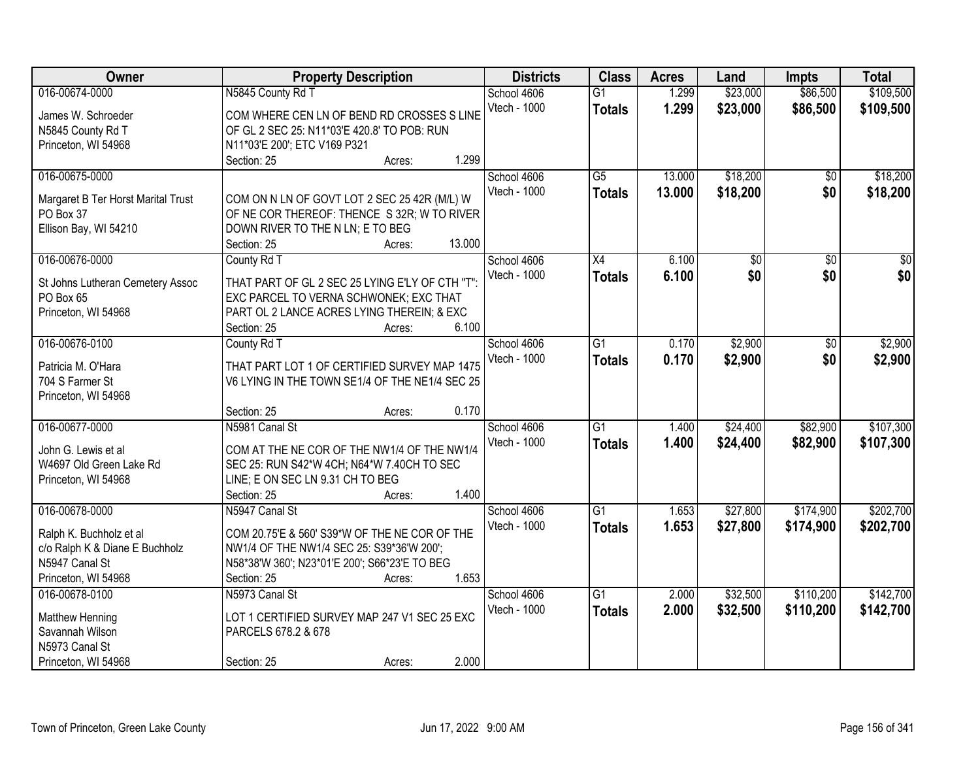| Owner                                           | <b>Property Description</b>                                                                 |        | <b>Districts</b> | <b>Class</b>    | <b>Acres</b> | Land            | <b>Impts</b>    | <b>Total</b>    |
|-------------------------------------------------|---------------------------------------------------------------------------------------------|--------|------------------|-----------------|--------------|-----------------|-----------------|-----------------|
| 016-00674-0000                                  | N5845 County Rd T                                                                           |        | School 4606      | $\overline{G1}$ | 1.299        | \$23,000        | \$86,500        | \$109,500       |
| James W. Schroeder                              | COM WHERE CEN LN OF BEND RD CROSSES S LINE                                                  |        | Vtech - 1000     | <b>Totals</b>   | 1.299        | \$23,000        | \$86,500        | \$109,500       |
| N5845 County Rd T                               | OF GL 2 SEC 25: N11*03'E 420.8' TO POB: RUN                                                 |        |                  |                 |              |                 |                 |                 |
| Princeton, WI 54968                             | N11*03'E 200'; ETC V169 P321                                                                |        |                  |                 |              |                 |                 |                 |
|                                                 | Section: 25<br>Acres:                                                                       | 1.299  |                  |                 |              |                 |                 |                 |
| 016-00675-0000                                  |                                                                                             |        | School 4606      | $\overline{G5}$ | 13.000       | \$18,200        | $\overline{50}$ | \$18,200        |
|                                                 |                                                                                             |        | Vtech - 1000     | <b>Totals</b>   | 13.000       | \$18,200        | \$0             | \$18,200        |
| Margaret B Ter Horst Marital Trust<br>PO Box 37 | COM ON N LN OF GOVT LOT 2 SEC 25 42R (M/L) W<br>OF NE COR THEREOF: THENCE S 32R; W TO RIVER |        |                  |                 |              |                 |                 |                 |
| Ellison Bay, WI 54210                           | DOWN RIVER TO THE N LN; E TO BEG                                                            |        |                  |                 |              |                 |                 |                 |
|                                                 | Section: 25<br>Acres:                                                                       | 13.000 |                  |                 |              |                 |                 |                 |
| 016-00676-0000                                  | County Rd T                                                                                 |        | School 4606      | $\overline{X4}$ | 6.100        | $\overline{50}$ | $\overline{50}$ | $\overline{30}$ |
|                                                 |                                                                                             |        | Vtech - 1000     | <b>Totals</b>   | 6.100        | \$0             | \$0             | \$0             |
| St Johns Lutheran Cemetery Assoc                | THAT PART OF GL 2 SEC 25 LYING E'LY OF CTH "T":                                             |        |                  |                 |              |                 |                 |                 |
| PO Box 65                                       | EXC PARCEL TO VERNA SCHWONEK; EXC THAT                                                      |        |                  |                 |              |                 |                 |                 |
| Princeton, WI 54968                             | PART OL 2 LANCE ACRES LYING THEREIN; & EXC                                                  |        |                  |                 |              |                 |                 |                 |
|                                                 | Section: 25<br>Acres:                                                                       | 6.100  |                  |                 |              |                 |                 |                 |
| 016-00676-0100                                  | County Rd T                                                                                 |        | School 4606      | $\overline{G1}$ | 0.170        | \$2,900         | \$0             | \$2,900         |
| Patricia M. O'Hara                              | THAT PART LOT 1 OF CERTIFIED SURVEY MAP 1475                                                |        | Vtech - 1000     | <b>Totals</b>   | 0.170        | \$2,900         | \$0             | \$2,900         |
| 704 S Farmer St                                 | V6 LYING IN THE TOWN SE1/4 OF THE NE1/4 SEC 25                                              |        |                  |                 |              |                 |                 |                 |
| Princeton, WI 54968                             |                                                                                             |        |                  |                 |              |                 |                 |                 |
|                                                 | Section: 25<br>Acres:                                                                       | 0.170  |                  |                 |              |                 |                 |                 |
| 016-00677-0000                                  | N5981 Canal St                                                                              |        | School 4606      | $\overline{G1}$ | 1.400        | \$24,400        | \$82,900        | \$107,300       |
| John G. Lewis et al                             | COM AT THE NE COR OF THE NW1/4 OF THE NW1/4                                                 |        | Vtech - 1000     | <b>Totals</b>   | 1.400        | \$24,400        | \$82,900        | \$107,300       |
| W4697 Old Green Lake Rd                         | SEC 25: RUN S42*W 4CH; N64*W 7.40CH TO SEC                                                  |        |                  |                 |              |                 |                 |                 |
| Princeton, WI 54968                             | LINE; E ON SEC LN 9.31 CH TO BEG                                                            |        |                  |                 |              |                 |                 |                 |
|                                                 | Section: 25<br>Acres:                                                                       | 1.400  |                  |                 |              |                 |                 |                 |
| 016-00678-0000                                  | N5947 Canal St                                                                              |        | School 4606      | $\overline{G1}$ | 1.653        | \$27,800        | \$174,900       | \$202,700       |
|                                                 |                                                                                             |        | Vtech - 1000     | <b>Totals</b>   | 1.653        | \$27,800        | \$174,900       | \$202,700       |
| Ralph K. Buchholz et al                         | COM 20.75'E & 560' S39*W OF THE NE COR OF THE                                               |        |                  |                 |              |                 |                 |                 |
| c/o Ralph K & Diane E Buchholz                  | NW1/4 OF THE NW1/4 SEC 25: S39*36'W 200';                                                   |        |                  |                 |              |                 |                 |                 |
| N5947 Canal St                                  | N58*38'W 360'; N23*01'E 200'; S66*23'E TO BEG                                               |        |                  |                 |              |                 |                 |                 |
| Princeton, WI 54968                             | Section: 25<br>Acres:                                                                       | 1.653  |                  |                 |              |                 |                 |                 |
| 016-00678-0100                                  | N5973 Canal St                                                                              |        | School 4606      | $\overline{G1}$ | 2.000        | \$32,500        | \$110,200       | \$142,700       |
| Matthew Henning                                 | LOT 1 CERTIFIED SURVEY MAP 247 V1 SEC 25 EXC                                                |        | Vtech - 1000     | <b>Totals</b>   | 2.000        | \$32,500        | \$110,200       | \$142,700       |
| Savannah Wilson                                 | PARCELS 678.2 & 678                                                                         |        |                  |                 |              |                 |                 |                 |
| N5973 Canal St                                  |                                                                                             |        |                  |                 |              |                 |                 |                 |
| Princeton, WI 54968                             | Section: 25<br>Acres:                                                                       | 2.000  |                  |                 |              |                 |                 |                 |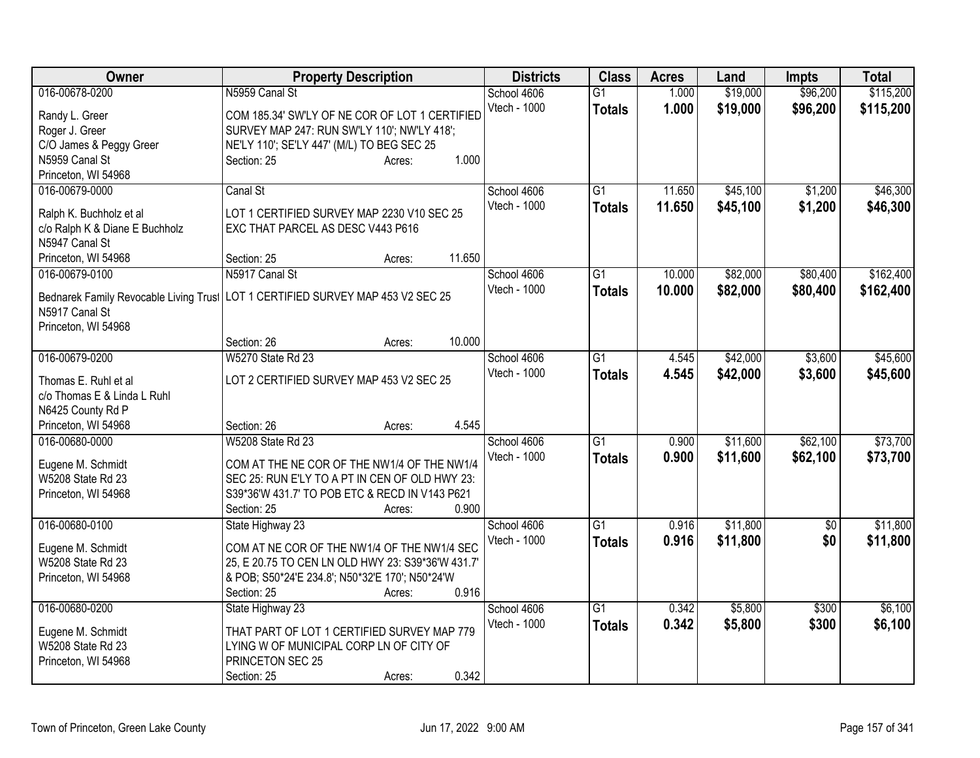| <b>Owner</b>                           | <b>Property Description</b>                                                            | <b>Districts</b> | <b>Class</b>    | <b>Acres</b> | Land     | Impts           | <b>Total</b> |
|----------------------------------------|----------------------------------------------------------------------------------------|------------------|-----------------|--------------|----------|-----------------|--------------|
| 016-00678-0200                         | N5959 Canal St                                                                         | School 4606      | $\overline{G1}$ | 1.000        | \$19,000 | \$96,200        | \$115,200    |
| Randy L. Greer                         | COM 185.34' SW'LY OF NE COR OF LOT 1 CERTIFIED                                         | Vtech - 1000     | <b>Totals</b>   | 1.000        | \$19,000 | \$96,200        | \$115,200    |
| Roger J. Greer                         | SURVEY MAP 247: RUN SW'LY 110'; NW'LY 418';                                            |                  |                 |              |          |                 |              |
| C/O James & Peggy Greer                | NE'LY 110'; SE'LY 447' (M/L) TO BEG SEC 25                                             |                  |                 |              |          |                 |              |
| N5959 Canal St                         | 1.000<br>Section: 25<br>Acres:                                                         |                  |                 |              |          |                 |              |
| Princeton, WI 54968                    |                                                                                        |                  |                 |              |          |                 |              |
| 016-00679-0000                         | Canal St                                                                               | School 4606      | G1              | 11.650       | \$45,100 | \$1,200         | \$46,300     |
| Ralph K. Buchholz et al                | LOT 1 CERTIFIED SURVEY MAP 2230 V10 SEC 25                                             | Vtech - 1000     | <b>Totals</b>   | 11.650       | \$45,100 | \$1,200         | \$46,300     |
| c/o Ralph K & Diane E Buchholz         | EXC THAT PARCEL AS DESC V443 P616                                                      |                  |                 |              |          |                 |              |
| N5947 Canal St                         |                                                                                        |                  |                 |              |          |                 |              |
| Princeton, WI 54968                    | 11.650<br>Section: 25<br>Acres:                                                        |                  |                 |              |          |                 |              |
| 016-00679-0100                         | N5917 Canal St                                                                         | School 4606      | $\overline{G1}$ | 10.000       | \$82,000 | \$80,400        | \$162,400    |
|                                        |                                                                                        | Vtech - 1000     | <b>Totals</b>   | 10.000       | \$82,000 | \$80,400        | \$162,400    |
|                                        | Bednarek Family Revocable Living Trusi   LOT 1 CERTIFIED SURVEY MAP 453 V2 SEC 25      |                  |                 |              |          |                 |              |
| N5917 Canal St                         |                                                                                        |                  |                 |              |          |                 |              |
| Princeton, WI 54968                    |                                                                                        |                  |                 |              |          |                 |              |
|                                        | 10.000<br>Section: 26<br>Acres:                                                        |                  |                 |              |          |                 |              |
| 016-00679-0200                         | <b>W5270 State Rd 23</b>                                                               | School 4606      | $\overline{G1}$ | 4.545        | \$42,000 | \$3,600         | \$45,600     |
| Thomas E. Ruhl et al                   | LOT 2 CERTIFIED SURVEY MAP 453 V2 SEC 25                                               | Vtech - 1000     | <b>Totals</b>   | 4.545        | \$42,000 | \$3,600         | \$45,600     |
| c/o Thomas E & Linda L Ruhl            |                                                                                        |                  |                 |              |          |                 |              |
| N6425 County Rd P                      |                                                                                        |                  |                 |              |          |                 |              |
| Princeton, WI 54968                    | 4.545<br>Section: 26<br>Acres:                                                         |                  |                 |              |          |                 |              |
| 016-00680-0000                         | <b>W5208 State Rd 23</b>                                                               | School 4606      | G1              | 0.900        | \$11,600 | \$62,100        | \$73,700     |
|                                        |                                                                                        | Vtech - 1000     | <b>Totals</b>   | 0.900        | \$11,600 | \$62,100        | \$73,700     |
| Eugene M. Schmidt                      | COM AT THE NE COR OF THE NW1/4 OF THE NW1/4                                            |                  |                 |              |          |                 |              |
| W5208 State Rd 23                      | SEC 25: RUN E'LY TO A PT IN CEN OF OLD HWY 23:                                         |                  |                 |              |          |                 |              |
| Princeton, WI 54968                    | S39*36'W 431.7' TO POB ETC & RECD IN V143 P621                                         |                  |                 |              |          |                 |              |
|                                        | 0.900<br>Section: 25<br>Acres:                                                         |                  |                 |              |          |                 |              |
| 016-00680-0100                         | State Highway 23                                                                       | School 4606      | $\overline{G1}$ | 0.916        | \$11,800 | $\overline{50}$ | \$11,800     |
| Eugene M. Schmidt                      | COM AT NE COR OF THE NW1/4 OF THE NW1/4 SEC                                            | Vtech - 1000     | <b>Totals</b>   | 0.916        | \$11,800 | \$0             | \$11,800     |
| W5208 State Rd 23                      | 25, E 20.75 TO CEN LN OLD HWY 23: S39*36'W 431.7'                                      |                  |                 |              |          |                 |              |
| Princeton, WI 54968                    | & POB; S50*24'E 234.8'; N50*32'E 170'; N50*24'W                                        |                  |                 |              |          |                 |              |
|                                        | 0.916<br>Section: 25<br>Acres:                                                         |                  |                 |              |          |                 |              |
| 016-00680-0200                         | State Highway 23                                                                       | School 4606      | $\overline{G1}$ | 0.342        | \$5,800  | \$300           | \$6,100      |
|                                        |                                                                                        | Vtech - 1000     | <b>Totals</b>   | 0.342        | \$5,800  | \$300           | \$6,100      |
| Eugene M. Schmidt<br>W5208 State Rd 23 | THAT PART OF LOT 1 CERTIFIED SURVEY MAP 779<br>LYING W OF MUNICIPAL CORP LN OF CITY OF |                  |                 |              |          |                 |              |
| Princeton, WI 54968                    | PRINCETON SEC 25                                                                       |                  |                 |              |          |                 |              |
|                                        | 0.342                                                                                  |                  |                 |              |          |                 |              |
|                                        | Section: 25<br>Acres:                                                                  |                  |                 |              |          |                 |              |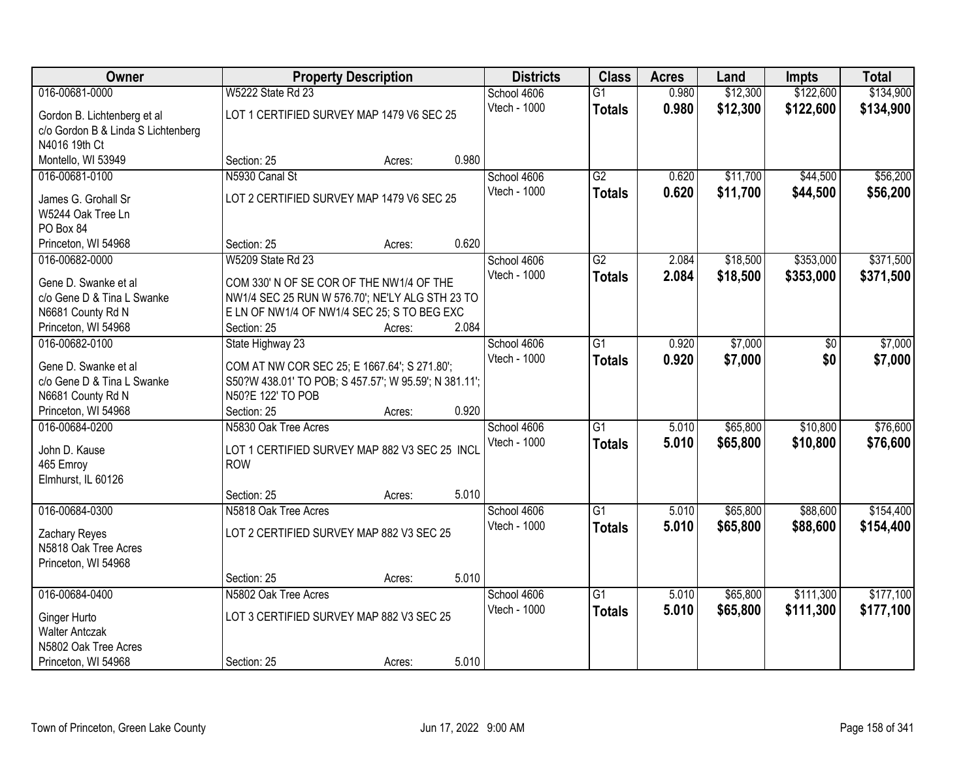| Owner                              |                                                       | <b>Property Description</b> |       | <b>Districts</b> | <b>Class</b>    | <b>Acres</b> | Land     | <b>Impts</b> | <b>Total</b> |
|------------------------------------|-------------------------------------------------------|-----------------------------|-------|------------------|-----------------|--------------|----------|--------------|--------------|
| 016-00681-0000                     | <b>W5222 State Rd 23</b>                              |                             |       | School 4606      | $\overline{G1}$ | 0.980        | \$12,300 | \$122,600    | \$134,900    |
| Gordon B. Lichtenberg et al        | LOT 1 CERTIFIED SURVEY MAP 1479 V6 SEC 25             |                             |       | Vtech - 1000     | <b>Totals</b>   | 0.980        | \$12,300 | \$122,600    | \$134,900    |
| c/o Gordon B & Linda S Lichtenberg |                                                       |                             |       |                  |                 |              |          |              |              |
| N4016 19th Ct                      |                                                       |                             |       |                  |                 |              |          |              |              |
| Montello, WI 53949                 | Section: 25                                           | Acres:                      | 0.980 |                  |                 |              |          |              |              |
| 016-00681-0100                     | N5930 Canal St                                        |                             |       | School 4606      | G2              | 0.620        | \$11,700 | \$44,500     | \$56,200     |
| James G. Grohall Sr                | LOT 2 CERTIFIED SURVEY MAP 1479 V6 SEC 25             |                             |       | Vtech - 1000     | <b>Totals</b>   | 0.620        | \$11,700 | \$44,500     | \$56,200     |
| W5244 Oak Tree Ln                  |                                                       |                             |       |                  |                 |              |          |              |              |
| PO Box 84                          |                                                       |                             |       |                  |                 |              |          |              |              |
| Princeton, WI 54968                | Section: 25                                           | Acres:                      | 0.620 |                  |                 |              |          |              |              |
| 016-00682-0000                     | W5209 State Rd 23                                     |                             |       | School 4606      | $\overline{G2}$ | 2.084        | \$18,500 | \$353,000    | \$371,500    |
|                                    |                                                       |                             |       | Vtech - 1000     | <b>Totals</b>   | 2.084        | \$18,500 | \$353,000    | \$371,500    |
| Gene D. Swanke et al               | COM 330' N OF SE COR OF THE NW1/4 OF THE              |                             |       |                  |                 |              |          |              |              |
| c/o Gene D & Tina L Swanke         | NW1/4 SEC 25 RUN W 576.70'; NE'LY ALG STH 23 TO       |                             |       |                  |                 |              |          |              |              |
| N6681 County Rd N                  | E LN OF NW1/4 OF NW1/4 SEC 25; S TO BEG EXC           |                             |       |                  |                 |              |          |              |              |
| Princeton, WI 54968                | Section: 25                                           | Acres:                      | 2.084 |                  |                 |              |          |              |              |
| 016-00682-0100                     | State Highway 23                                      |                             |       | School 4606      | $\overline{G1}$ | 0.920        | \$7,000  | \$0          | \$7,000      |
| Gene D. Swanke et al               | COM AT NW COR SEC 25; E 1667.64'; S 271.80';          |                             |       | Vtech - 1000     | <b>Totals</b>   | 0.920        | \$7,000  | \$0          | \$7,000      |
| c/o Gene D & Tina L Swanke         | S50?W 438.01' TO POB; S 457.57'; W 95.59'; N 381.11'; |                             |       |                  |                 |              |          |              |              |
| N6681 County Rd N                  | N50?E 122' TO POB                                     |                             |       |                  |                 |              |          |              |              |
| Princeton, WI 54968                | Section: 25                                           | Acres:                      | 0.920 |                  |                 |              |          |              |              |
| 016-00684-0200                     | N5830 Oak Tree Acres                                  |                             |       | School 4606      | $\overline{G1}$ | 5.010        | \$65,800 | \$10,800     | \$76,600     |
| John D. Kause                      | LOT 1 CERTIFIED SURVEY MAP 882 V3 SEC 25 INCL         |                             |       | Vtech - 1000     | <b>Totals</b>   | 5.010        | \$65,800 | \$10,800     | \$76,600     |
| 465 Emroy                          | <b>ROW</b>                                            |                             |       |                  |                 |              |          |              |              |
| Elmhurst, IL 60126                 |                                                       |                             |       |                  |                 |              |          |              |              |
|                                    | Section: 25                                           | Acres:                      | 5.010 |                  |                 |              |          |              |              |
| 016-00684-0300                     | N5818 Oak Tree Acres                                  |                             |       | School 4606      | $\overline{G1}$ | 5.010        | \$65,800 | \$88,600     | \$154,400    |
|                                    |                                                       |                             |       | Vtech - 1000     | <b>Totals</b>   | 5.010        | \$65,800 | \$88,600     | \$154,400    |
| Zachary Reyes                      | LOT 2 CERTIFIED SURVEY MAP 882 V3 SEC 25              |                             |       |                  |                 |              |          |              |              |
| N5818 Oak Tree Acres               |                                                       |                             |       |                  |                 |              |          |              |              |
| Princeton, WI 54968                | Section: 25                                           |                             | 5.010 |                  |                 |              |          |              |              |
| 016-00684-0400                     | N5802 Oak Tree Acres                                  | Acres:                      |       | School 4606      | $\overline{G1}$ | 5.010        | \$65,800 | \$111,300    | \$177,100    |
|                                    |                                                       |                             |       | Vtech - 1000     |                 |              |          |              |              |
| Ginger Hurto                       | LOT 3 CERTIFIED SURVEY MAP 882 V3 SEC 25              |                             |       |                  | <b>Totals</b>   | 5.010        | \$65,800 | \$111,300    | \$177,100    |
| <b>Walter Antczak</b>              |                                                       |                             |       |                  |                 |              |          |              |              |
| N5802 Oak Tree Acres               |                                                       |                             |       |                  |                 |              |          |              |              |
| Princeton, WI 54968                | Section: 25                                           | Acres:                      | 5.010 |                  |                 |              |          |              |              |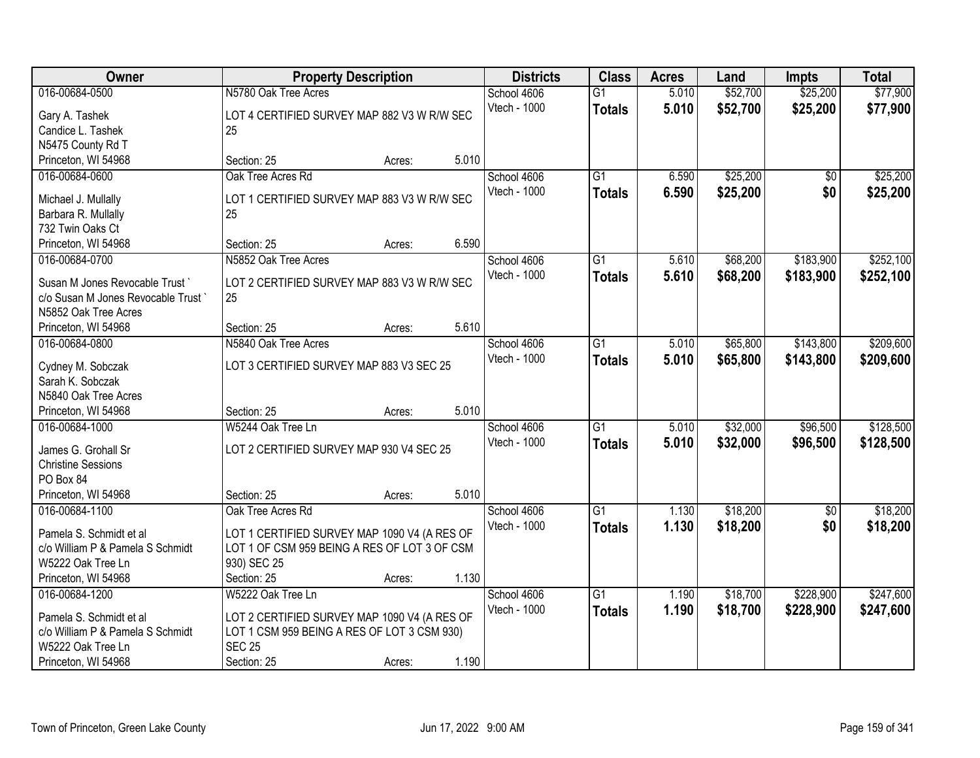| Owner                             | <b>Property Description</b>                  |        | <b>Districts</b> | <b>Class</b> | <b>Acres</b>    | Land  | <b>Impts</b> | <b>Total</b> |           |
|-----------------------------------|----------------------------------------------|--------|------------------|--------------|-----------------|-------|--------------|--------------|-----------|
| 016-00684-0500                    | N5780 Oak Tree Acres                         |        |                  | School 4606  | $\overline{G1}$ | 5.010 | \$52,700     | \$25,200     | \$77,900  |
| Gary A. Tashek                    | LOT 4 CERTIFIED SURVEY MAP 882 V3 W R/W SEC  |        |                  | Vtech - 1000 | <b>Totals</b>   | 5.010 | \$52,700     | \$25,200     | \$77,900  |
| Candice L. Tashek                 | 25                                           |        |                  |              |                 |       |              |              |           |
| N5475 County Rd T                 |                                              |        |                  |              |                 |       |              |              |           |
| Princeton, WI 54968               | Section: 25                                  | Acres: | 5.010            |              |                 |       |              |              |           |
| 016-00684-0600                    | Oak Tree Acres Rd                            |        |                  | School 4606  | $\overline{G1}$ | 6.590 | \$25,200     | \$0          | \$25,200  |
|                                   |                                              |        |                  | Vtech - 1000 | <b>Totals</b>   | 6.590 | \$25,200     | \$0          | \$25,200  |
| Michael J. Mullally               | LOT 1 CERTIFIED SURVEY MAP 883 V3 W R/W SEC  |        |                  |              |                 |       |              |              |           |
| Barbara R. Mullally               | 25                                           |        |                  |              |                 |       |              |              |           |
| 732 Twin Oaks Ct                  |                                              |        |                  |              |                 |       |              |              |           |
| Princeton, WI 54968               | Section: 25                                  | Acres: | 6.590            |              |                 |       |              |              |           |
| 016-00684-0700                    | N5852 Oak Tree Acres                         |        |                  | School 4606  | $\overline{G1}$ | 5.610 | \$68,200     | \$183,900    | \$252,100 |
| Susan M Jones Revocable Trust     | LOT 2 CERTIFIED SURVEY MAP 883 V3 W R/W SEC  |        |                  | Vtech - 1000 | <b>Totals</b>   | 5.610 | \$68,200     | \$183,900    | \$252,100 |
| c/o Susan M Jones Revocable Trust | 25                                           |        |                  |              |                 |       |              |              |           |
| N5852 Oak Tree Acres              |                                              |        |                  |              |                 |       |              |              |           |
| Princeton, WI 54968               | Section: 25                                  | Acres: | 5.610            |              |                 |       |              |              |           |
| 016-00684-0800                    | N5840 Oak Tree Acres                         |        |                  | School 4606  | G1              | 5.010 | \$65,800     | \$143,800    | \$209,600 |
|                                   |                                              |        |                  | Vtech - 1000 | <b>Totals</b>   | 5.010 | \$65,800     | \$143,800    | \$209,600 |
| Cydney M. Sobczak                 | LOT 3 CERTIFIED SURVEY MAP 883 V3 SEC 25     |        |                  |              |                 |       |              |              |           |
| Sarah K. Sobczak                  |                                              |        |                  |              |                 |       |              |              |           |
| N5840 Oak Tree Acres              |                                              |        |                  |              |                 |       |              |              |           |
| Princeton, WI 54968               | Section: 25                                  | Acres: | 5.010            |              |                 |       |              |              |           |
| 016-00684-1000                    | W5244 Oak Tree Ln                            |        |                  | School 4606  | $\overline{G1}$ | 5.010 | \$32,000     | \$96,500     | \$128,500 |
| James G. Grohall Sr               | LOT 2 CERTIFIED SURVEY MAP 930 V4 SEC 25     |        |                  | Vtech - 1000 | <b>Totals</b>   | 5.010 | \$32,000     | \$96,500     | \$128,500 |
| <b>Christine Sessions</b>         |                                              |        |                  |              |                 |       |              |              |           |
| PO Box 84                         |                                              |        |                  |              |                 |       |              |              |           |
| Princeton, WI 54968               | Section: 25                                  | Acres: | 5.010            |              |                 |       |              |              |           |
| 016-00684-1100                    | Oak Tree Acres Rd                            |        |                  | School 4606  | G1              | 1.130 | \$18,200     | $\sqrt{6}$   | \$18,200  |
|                                   |                                              |        |                  | Vtech - 1000 | <b>Totals</b>   | 1.130 | \$18,200     | \$0          | \$18,200  |
| Pamela S. Schmidt et al           | LOT 1 CERTIFIED SURVEY MAP 1090 V4 (A RES OF |        |                  |              |                 |       |              |              |           |
| c/o William P & Pamela S Schmidt  | LOT 1 OF CSM 959 BEING A RES OF LOT 3 OF CSM |        |                  |              |                 |       |              |              |           |
| W5222 Oak Tree Ln                 | 930) SEC 25                                  |        |                  |              |                 |       |              |              |           |
| Princeton, WI 54968               | Section: 25                                  | Acres: | 1.130            |              |                 |       |              |              |           |
| 016-00684-1200                    | W5222 Oak Tree Ln                            |        |                  | School 4606  | $\overline{G1}$ | 1.190 | \$18,700     | \$228,900    | \$247,600 |
| Pamela S. Schmidt et al           | LOT 2 CERTIFIED SURVEY MAP 1090 V4 (A RES OF |        |                  | Vtech - 1000 | <b>Totals</b>   | 1.190 | \$18,700     | \$228,900    | \$247,600 |
| c/o William P & Pamela S Schmidt  | LOT 1 CSM 959 BEING A RES OF LOT 3 CSM 930)  |        |                  |              |                 |       |              |              |           |
| W5222 Oak Tree Ln                 | <b>SEC 25</b>                                |        |                  |              |                 |       |              |              |           |
| Princeton, WI 54968               | Section: 25                                  | Acres: | 1.190            |              |                 |       |              |              |           |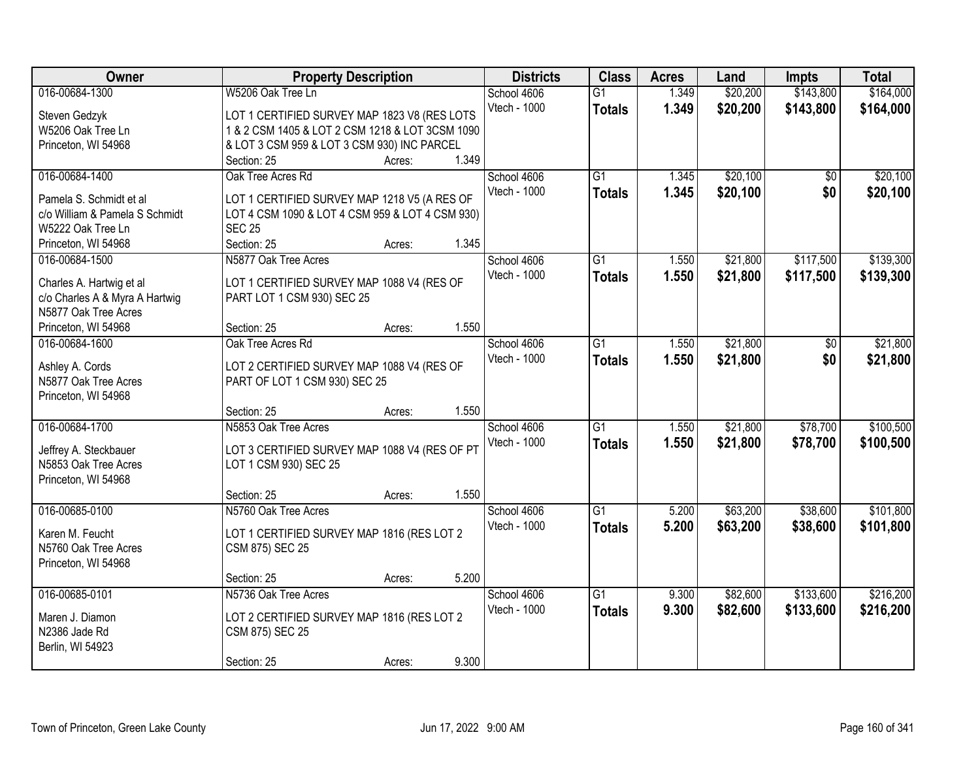| Owner                          | <b>Property Description</b>                     |        | <b>Districts</b> | <b>Class</b>    | <b>Acres</b> | Land     | <b>Impts</b>    | <b>Total</b> |
|--------------------------------|-------------------------------------------------|--------|------------------|-----------------|--------------|----------|-----------------|--------------|
| 016-00684-1300                 | W5206 Oak Tree Ln                               |        | School 4606      | $\overline{G1}$ | 1.349        | \$20,200 | \$143,800       | \$164,000    |
| Steven Gedzyk                  | LOT 1 CERTIFIED SURVEY MAP 1823 V8 (RES LOTS    |        | Vtech - 1000     | <b>Totals</b>   | 1.349        | \$20,200 | \$143,800       | \$164,000    |
| W5206 Oak Tree Ln              | 1 & 2 CSM 1405 & LOT 2 CSM 1218 & LOT 3CSM 1090 |        |                  |                 |              |          |                 |              |
| Princeton, WI 54968            | & LOT 3 CSM 959 & LOT 3 CSM 930) INC PARCEL     |        |                  |                 |              |          |                 |              |
|                                | Section: 25                                     | Acres: | 1.349            |                 |              |          |                 |              |
| 016-00684-1400                 | Oak Tree Acres Rd                               |        | School 4606      | $\overline{G1}$ | 1.345        | \$20,100 | $\overline{50}$ | \$20,100     |
|                                |                                                 |        | Vtech - 1000     | <b>Totals</b>   | 1.345        | \$20,100 | \$0             | \$20,100     |
| Pamela S. Schmidt et al        | LOT 1 CERTIFIED SURVEY MAP 1218 V5 (A RES OF    |        |                  |                 |              |          |                 |              |
| c/o William & Pamela S Schmidt | LOT 4 CSM 1090 & LOT 4 CSM 959 & LOT 4 CSM 930) |        |                  |                 |              |          |                 |              |
| W5222 Oak Tree Ln              | <b>SEC 25</b>                                   |        |                  |                 |              |          |                 |              |
| Princeton, WI 54968            | Section: 25                                     | Acres: | 1.345            |                 |              |          |                 |              |
| 016-00684-1500                 | N5877 Oak Tree Acres                            |        | School 4606      | $\overline{G1}$ | 1.550        | \$21,800 | \$117,500       | \$139,300    |
| Charles A. Hartwig et al       | LOT 1 CERTIFIED SURVEY MAP 1088 V4 (RES OF      |        | Vtech - 1000     | <b>Totals</b>   | 1.550        | \$21,800 | \$117,500       | \$139,300    |
| c/o Charles A & Myra A Hartwig | PART LOT 1 CSM 930) SEC 25                      |        |                  |                 |              |          |                 |              |
| N5877 Oak Tree Acres           |                                                 |        |                  |                 |              |          |                 |              |
| Princeton, WI 54968            | Section: 25                                     | Acres: | 1.550            |                 |              |          |                 |              |
| 016-00684-1600                 | Oak Tree Acres Rd                               |        | School 4606      | $\overline{G1}$ | 1.550        | \$21,800 | \$0             | \$21,800     |
|                                |                                                 |        | Vtech - 1000     | <b>Totals</b>   | 1.550        | \$21,800 | \$0             | \$21,800     |
| Ashley A. Cords                | LOT 2 CERTIFIED SURVEY MAP 1088 V4 (RES OF      |        |                  |                 |              |          |                 |              |
| N5877 Oak Tree Acres           | PART OF LOT 1 CSM 930) SEC 25                   |        |                  |                 |              |          |                 |              |
| Princeton, WI 54968            |                                                 |        |                  |                 |              |          |                 |              |
|                                | Section: 25                                     | Acres: | 1.550            |                 |              |          |                 |              |
| 016-00684-1700                 | N5853 Oak Tree Acres                            |        | School 4606      | $\overline{G1}$ | 1.550        | \$21,800 | \$78,700        | \$100,500    |
| Jeffrey A. Steckbauer          | LOT 3 CERTIFIED SURVEY MAP 1088 V4 (RES OF PT   |        | Vtech - 1000     | <b>Totals</b>   | 1.550        | \$21,800 | \$78,700        | \$100,500    |
| N5853 Oak Tree Acres           | LOT 1 CSM 930) SEC 25                           |        |                  |                 |              |          |                 |              |
| Princeton, WI 54968            |                                                 |        |                  |                 |              |          |                 |              |
|                                | Section: 25                                     | Acres: | 1.550            |                 |              |          |                 |              |
| 016-00685-0100                 | N5760 Oak Tree Acres                            |        | School 4606      | $\overline{G1}$ | 5.200        | \$63,200 | \$38,600        | \$101,800    |
| Karen M. Feucht                |                                                 |        | Vtech - 1000     | <b>Totals</b>   | 5.200        | \$63,200 | \$38,600        | \$101,800    |
| N5760 Oak Tree Acres           | LOT 1 CERTIFIED SURVEY MAP 1816 (RES LOT 2      |        |                  |                 |              |          |                 |              |
|                                | CSM 875) SEC 25                                 |        |                  |                 |              |          |                 |              |
| Princeton, WI 54968            | Section: 25                                     | Acres: | 5.200            |                 |              |          |                 |              |
| 016-00685-0101                 | N5736 Oak Tree Acres                            |        | School 4606      | $\overline{G1}$ | 9.300        | \$82,600 | \$133,600       | \$216,200    |
|                                |                                                 |        | Vtech - 1000     |                 |              |          |                 |              |
| Maren J. Diamon                | LOT 2 CERTIFIED SURVEY MAP 1816 (RES LOT 2      |        |                  | <b>Totals</b>   | 9.300        | \$82,600 | \$133,600       | \$216,200    |
| N2386 Jade Rd                  | CSM 875) SEC 25                                 |        |                  |                 |              |          |                 |              |
| Berlin, WI 54923               |                                                 |        |                  |                 |              |          |                 |              |
|                                | Section: 25                                     | Acres: | 9.300            |                 |              |          |                 |              |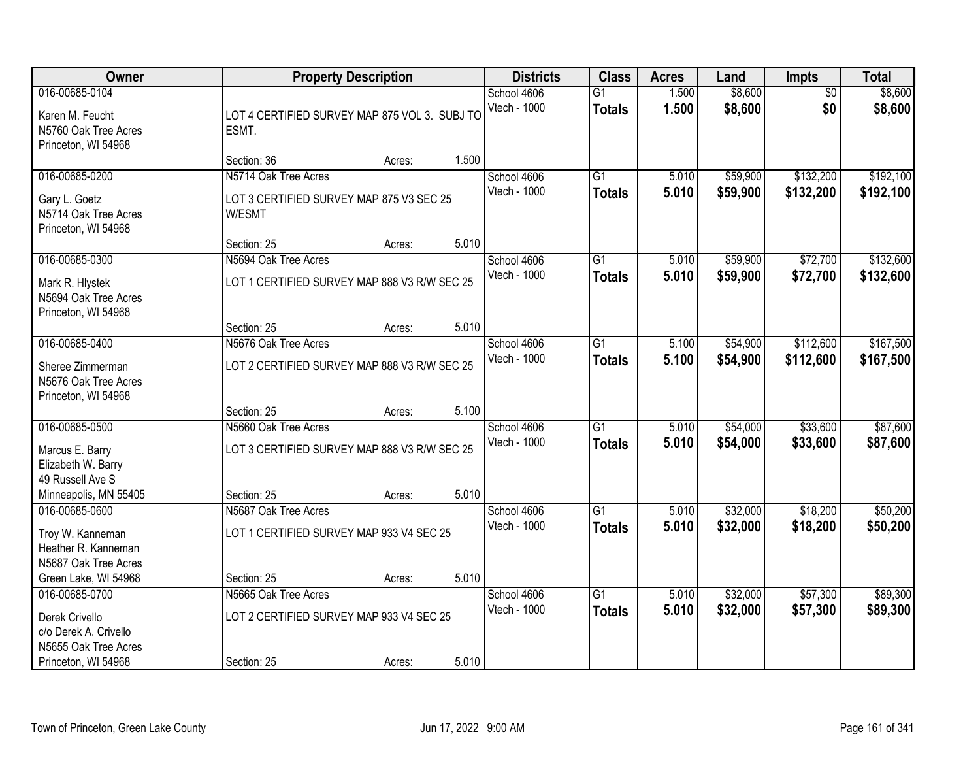| 016-00685-0104<br>Karen M. Feucht<br>LOT 4 CERTIFIED SURVEY MAP 875 VOL 3. SUBJ TO<br>N5760 Oak Tree Acres<br>ESMT.<br>Princeton, WI 54968<br>1.500<br>Section: 36<br>Acres:                                   | School 4606<br>Vtech - 1000<br>School 4606<br>Vtech - 1000 | $\overline{G1}$<br><b>Totals</b><br>$\overline{G1}$ | 1.500<br>1.500 | \$8,600<br>\$8,600   | $\overline{50}$<br>\$0 | \$8,600<br>\$8,600     |
|----------------------------------------------------------------------------------------------------------------------------------------------------------------------------------------------------------------|------------------------------------------------------------|-----------------------------------------------------|----------------|----------------------|------------------------|------------------------|
|                                                                                                                                                                                                                |                                                            |                                                     |                |                      |                        |                        |
|                                                                                                                                                                                                                |                                                            |                                                     |                |                      |                        |                        |
| 016-00685-0200<br>N5714 Oak Tree Acres<br>LOT 3 CERTIFIED SURVEY MAP 875 V3 SEC 25<br>Gary L. Goetz<br>N5714 Oak Tree Acres<br>W/ESMT<br>Princeton, WI 54968                                                   |                                                            | <b>Totals</b>                                       | 5.010<br>5.010 | \$59,900<br>\$59,900 | \$132,200<br>\$132,200 | \$192,100<br>\$192,100 |
| 5.010<br>Section: 25<br>Acres:                                                                                                                                                                                 |                                                            |                                                     |                |                      |                        |                        |
| 016-00685-0300<br>N5694 Oak Tree Acres<br>LOT 1 CERTIFIED SURVEY MAP 888 V3 R/W SEC 25<br>Mark R. Hlystek<br>N5694 Oak Tree Acres<br>Princeton, WI 54968                                                       | School 4606<br>Vtech - 1000                                | G1<br><b>Totals</b>                                 | 5.010<br>5.010 | \$59,900<br>\$59,900 | \$72,700<br>\$72,700   | \$132,600<br>\$132,600 |
| 5.010<br>Section: 25<br>Acres:                                                                                                                                                                                 |                                                            |                                                     |                |                      |                        |                        |
| 016-00685-0400<br>N5676 Oak Tree Acres<br>LOT 2 CERTIFIED SURVEY MAP 888 V3 R/W SEC 25<br>Sheree Zimmerman<br>N5676 Oak Tree Acres                                                                             | School 4606<br>Vtech - 1000                                | $\overline{G1}$<br><b>Totals</b>                    | 5.100<br>5.100 | \$54,900<br>\$54,900 | \$112,600<br>\$112,600 | \$167,500<br>\$167,500 |
| Princeton, WI 54968<br>5.100<br>Section: 25<br>Acres:                                                                                                                                                          |                                                            |                                                     |                |                      |                        |                        |
| 016-00685-0500<br>N5660 Oak Tree Acres<br>LOT 3 CERTIFIED SURVEY MAP 888 V3 R/W SEC 25<br>Marcus E. Barry<br>Elizabeth W. Barry<br>49 Russell Ave S<br>5.010<br>Minneapolis, MN 55405<br>Section: 25<br>Acres: | School 4606<br>Vtech - 1000                                | $\overline{G1}$<br><b>Totals</b>                    | 5.010<br>5.010 | \$54,000<br>\$54,000 | \$33,600<br>\$33,600   | \$87,600<br>\$87,600   |
| 016-00685-0600<br>N5687 Oak Tree Acres                                                                                                                                                                         | School 4606                                                | G1                                                  | 5.010          | \$32,000             | \$18,200               | \$50,200               |
| LOT 1 CERTIFIED SURVEY MAP 933 V4 SEC 25<br>Troy W. Kanneman<br>Heather R. Kanneman<br>N5687 Oak Tree Acres                                                                                                    | Vtech - 1000                                               | <b>Totals</b>                                       | 5.010          | \$32,000             | \$18,200               | \$50,200               |
| 5.010<br>Green Lake, WI 54968<br>Section: 25<br>Acres:                                                                                                                                                         |                                                            |                                                     |                |                      |                        |                        |
| 016-00685-0700<br>N5665 Oak Tree Acres<br>LOT 2 CERTIFIED SURVEY MAP 933 V4 SEC 25<br>Derek Crivello<br>c/o Derek A. Crivello<br>N5655 Oak Tree Acres<br>5.010<br>Princeton, WI 54968<br>Section: 25<br>Acres: | School 4606<br>Vtech - 1000                                | $\overline{G1}$<br><b>Totals</b>                    | 5.010<br>5.010 | \$32,000<br>\$32,000 | \$57,300<br>\$57,300   | \$89,300<br>\$89,300   |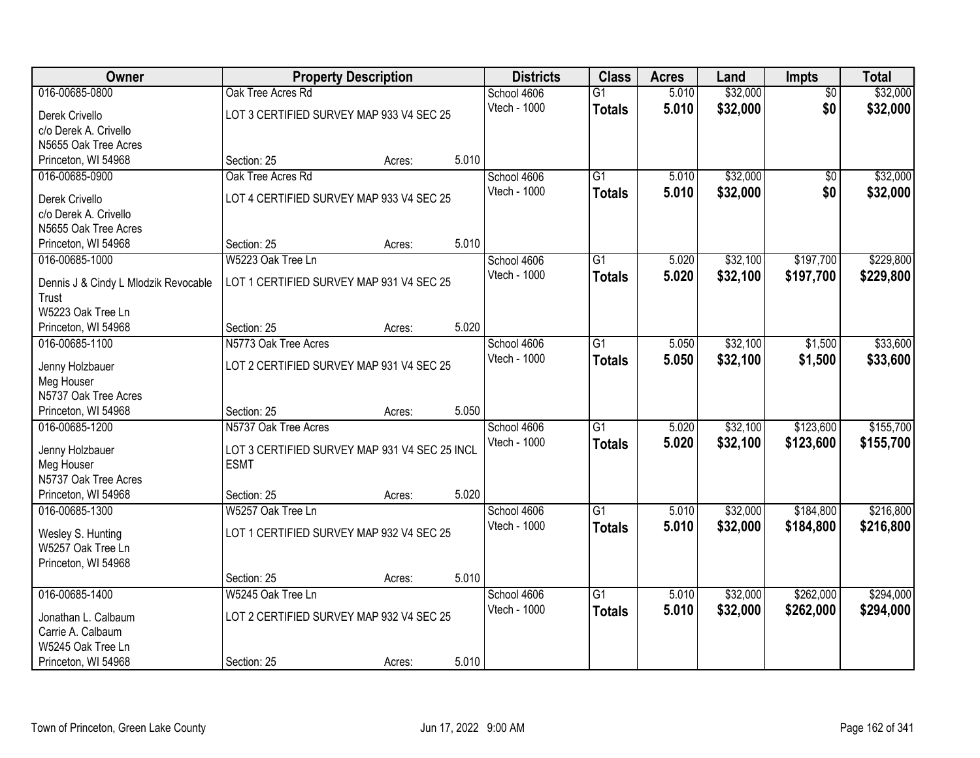| <b>Owner</b>                           | <b>Property Description</b>                   |        | <b>Districts</b> | <b>Class</b> | <b>Acres</b>    | Land  | Impts    | <b>Total</b>    |           |
|----------------------------------------|-----------------------------------------------|--------|------------------|--------------|-----------------|-------|----------|-----------------|-----------|
| 016-00685-0800                         | Oak Tree Acres Rd                             |        |                  | School 4606  | $\overline{G1}$ | 5.010 | \$32,000 | $\overline{50}$ | \$32,000  |
| Derek Crivello                         | LOT 3 CERTIFIED SURVEY MAP 933 V4 SEC 25      |        |                  | Vtech - 1000 | <b>Totals</b>   | 5.010 | \$32,000 | \$0             | \$32,000  |
| c/o Derek A. Crivello                  |                                               |        |                  |              |                 |       |          |                 |           |
| N5655 Oak Tree Acres                   |                                               |        |                  |              |                 |       |          |                 |           |
| Princeton, WI 54968                    | Section: 25                                   | Acres: | 5.010            |              |                 |       |          |                 |           |
| 016-00685-0900                         | Oak Tree Acres Rd                             |        |                  | School 4606  | $\overline{G1}$ | 5.010 | \$32,000 | $\overline{50}$ | \$32,000  |
| Derek Crivello                         | LOT 4 CERTIFIED SURVEY MAP 933 V4 SEC 25      |        |                  | Vtech - 1000 | <b>Totals</b>   | 5.010 | \$32,000 | \$0             | \$32,000  |
| c/o Derek A. Crivello                  |                                               |        |                  |              |                 |       |          |                 |           |
| N5655 Oak Tree Acres                   |                                               |        |                  |              |                 |       |          |                 |           |
| Princeton, WI 54968                    | Section: 25                                   | Acres: | 5.010            |              |                 |       |          |                 |           |
| 016-00685-1000                         | W5223 Oak Tree Ln                             |        |                  | School 4606  | G1              | 5.020 | \$32,100 | \$197,700       | \$229,800 |
|                                        |                                               |        |                  | Vtech - 1000 |                 | 5.020 | \$32,100 | \$197,700       |           |
| Dennis J & Cindy L Mlodzik Revocable   | LOT 1 CERTIFIED SURVEY MAP 931 V4 SEC 25      |        |                  |              | <b>Totals</b>   |       |          |                 | \$229,800 |
| Trust                                  |                                               |        |                  |              |                 |       |          |                 |           |
| W5223 Oak Tree Ln                      |                                               |        |                  |              |                 |       |          |                 |           |
| Princeton, WI 54968                    | Section: 25                                   | Acres: | 5.020            |              |                 |       |          |                 |           |
| 016-00685-1100                         | N5773 Oak Tree Acres                          |        |                  | School 4606  | G1              | 5.050 | \$32,100 | \$1,500         | \$33,600  |
| Jenny Holzbauer                        | LOT 2 CERTIFIED SURVEY MAP 931 V4 SEC 25      |        |                  | Vtech - 1000 | <b>Totals</b>   | 5.050 | \$32,100 | \$1,500         | \$33,600  |
| Meg Houser                             |                                               |        |                  |              |                 |       |          |                 |           |
| N5737 Oak Tree Acres                   |                                               |        |                  |              |                 |       |          |                 |           |
| Princeton, WI 54968                    | Section: 25                                   | Acres: | 5.050            |              |                 |       |          |                 |           |
| 016-00685-1200                         | N5737 Oak Tree Acres                          |        |                  | School 4606  | $\overline{G1}$ | 5.020 | \$32,100 | \$123,600       | \$155,700 |
|                                        |                                               |        |                  | Vtech - 1000 | <b>Totals</b>   | 5.020 | \$32,100 | \$123,600       | \$155,700 |
| Jenny Holzbauer                        | LOT 3 CERTIFIED SURVEY MAP 931 V4 SEC 25 INCL |        |                  |              |                 |       |          |                 |           |
| Meg Houser                             | <b>ESMT</b>                                   |        |                  |              |                 |       |          |                 |           |
| N5737 Oak Tree Acres                   |                                               |        |                  |              |                 |       |          |                 |           |
| Princeton, WI 54968                    | Section: 25                                   | Acres: | 5.020            |              |                 |       |          |                 |           |
| 016-00685-1300                         | W5257 Oak Tree Ln                             |        |                  | School 4606  | $\overline{G1}$ | 5.010 | \$32,000 | \$184,800       | \$216,800 |
| Wesley S. Hunting                      | LOT 1 CERTIFIED SURVEY MAP 932 V4 SEC 25      |        |                  | Vtech - 1000 | <b>Totals</b>   | 5.010 | \$32,000 | \$184,800       | \$216,800 |
| W5257 Oak Tree Ln                      |                                               |        |                  |              |                 |       |          |                 |           |
| Princeton, WI 54968                    |                                               |        |                  |              |                 |       |          |                 |           |
|                                        | Section: 25                                   | Acres: | 5.010            |              |                 |       |          |                 |           |
| 016-00685-1400                         | W5245 Oak Tree Ln                             |        |                  | School 4606  | $\overline{G1}$ | 5.010 | \$32,000 | \$262,000       | \$294,000 |
|                                        | LOT 2 CERTIFIED SURVEY MAP 932 V4 SEC 25      |        |                  | Vtech - 1000 | <b>Totals</b>   | 5.010 | \$32,000 | \$262,000       | \$294,000 |
| Jonathan L. Calbaum                    |                                               |        |                  |              |                 |       |          |                 |           |
| Carrie A. Calbaum<br>W5245 Oak Tree Ln |                                               |        |                  |              |                 |       |          |                 |           |
|                                        |                                               |        | 5.010            |              |                 |       |          |                 |           |
| Princeton, WI 54968                    | Section: 25                                   | Acres: |                  |              |                 |       |          |                 |           |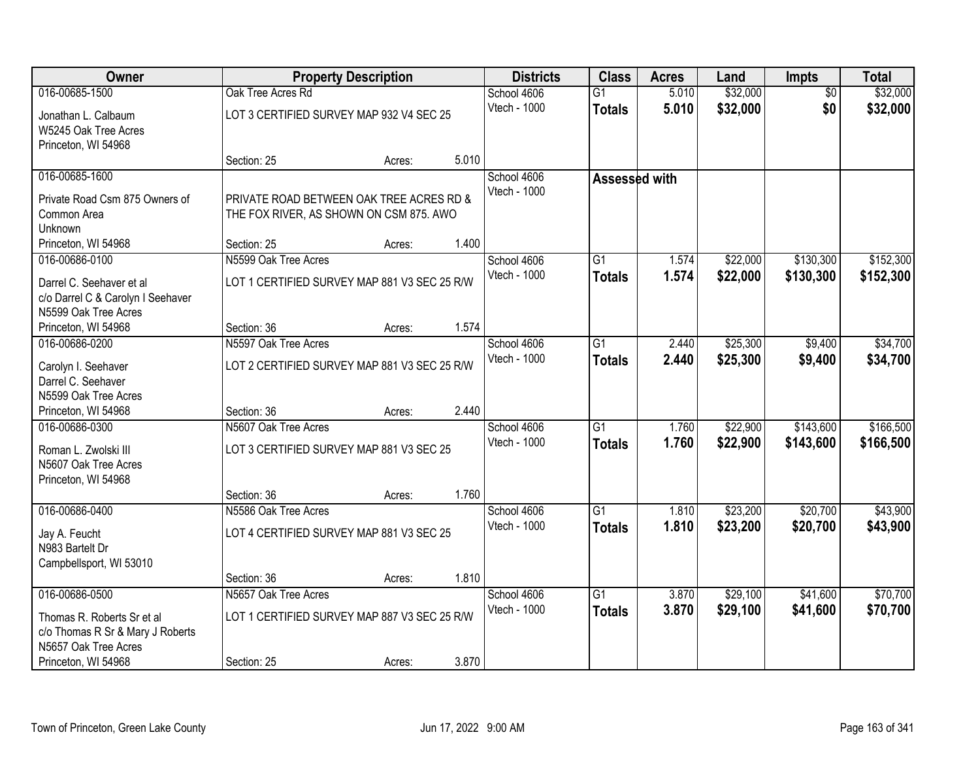| Owner                             |                                              | <b>Property Description</b> |       | <b>Districts</b> | <b>Class</b>         | <b>Acres</b> | Land     | <b>Impts</b>    | <b>Total</b> |
|-----------------------------------|----------------------------------------------|-----------------------------|-------|------------------|----------------------|--------------|----------|-----------------|--------------|
| 016-00685-1500                    | Oak Tree Acres Rd                            |                             |       | School 4606      | $\overline{G1}$      | 5.010        | \$32,000 | $\overline{50}$ | \$32,000     |
| Jonathan L. Calbaum               | LOT 3 CERTIFIED SURVEY MAP 932 V4 SEC 25     |                             |       | Vtech - 1000     | <b>Totals</b>        | 5.010        | \$32,000 | \$0             | \$32,000     |
| W5245 Oak Tree Acres              |                                              |                             |       |                  |                      |              |          |                 |              |
| Princeton, WI 54968               |                                              |                             |       |                  |                      |              |          |                 |              |
|                                   | Section: 25                                  | Acres:                      | 5.010 |                  |                      |              |          |                 |              |
| 016-00685-1600                    |                                              |                             |       | School 4606      | <b>Assessed with</b> |              |          |                 |              |
| Private Road Csm 875 Owners of    | PRIVATE ROAD BETWEEN OAK TREE ACRES RD &     |                             |       | Vtech - 1000     |                      |              |          |                 |              |
| Common Area                       | THE FOX RIVER, AS SHOWN ON CSM 875. AWO      |                             |       |                  |                      |              |          |                 |              |
| Unknown                           |                                              |                             |       |                  |                      |              |          |                 |              |
| Princeton, WI 54968               | Section: 25                                  | Acres:                      | 1.400 |                  |                      |              |          |                 |              |
| 016-00686-0100                    | N5599 Oak Tree Acres                         |                             |       | School 4606      | G1                   | 1.574        | \$22,000 | \$130,300       | \$152,300    |
| Darrel C. Seehaver et al          | LOT 1 CERTIFIED SURVEY MAP 881 V3 SEC 25 R/W |                             |       | Vtech - 1000     | <b>Totals</b>        | 1.574        | \$22,000 | \$130,300       | \$152,300    |
| c/o Darrel C & Carolyn I Seehaver |                                              |                             |       |                  |                      |              |          |                 |              |
| N5599 Oak Tree Acres              |                                              |                             |       |                  |                      |              |          |                 |              |
| Princeton, WI 54968               | Section: 36                                  | Acres:                      | 1.574 |                  |                      |              |          |                 |              |
| 016-00686-0200                    | N5597 Oak Tree Acres                         |                             |       | School 4606      | $\overline{G1}$      | 2.440        | \$25,300 | \$9,400         | \$34,700     |
| Carolyn I. Seehaver               | LOT 2 CERTIFIED SURVEY MAP 881 V3 SEC 25 R/W |                             |       | Vtech - 1000     | <b>Totals</b>        | 2.440        | \$25,300 | \$9,400         | \$34,700     |
| Darrel C. Seehaver                |                                              |                             |       |                  |                      |              |          |                 |              |
| N5599 Oak Tree Acres              |                                              |                             |       |                  |                      |              |          |                 |              |
| Princeton, WI 54968               | Section: 36                                  | Acres:                      | 2.440 |                  |                      |              |          |                 |              |
| 016-00686-0300                    | N5607 Oak Tree Acres                         |                             |       | School 4606      | $\overline{G1}$      | 1.760        | \$22,900 | \$143,600       | \$166,500    |
| Roman L. Zwolski III              | LOT 3 CERTIFIED SURVEY MAP 881 V3 SEC 25     |                             |       | Vtech - 1000     | <b>Totals</b>        | 1.760        | \$22,900 | \$143,600       | \$166,500    |
| N5607 Oak Tree Acres              |                                              |                             |       |                  |                      |              |          |                 |              |
| Princeton, WI 54968               |                                              |                             |       |                  |                      |              |          |                 |              |
|                                   | Section: 36                                  | Acres:                      | 1.760 |                  |                      |              |          |                 |              |
| 016-00686-0400                    | N5586 Oak Tree Acres                         |                             |       | School 4606      | G1                   | 1.810        | \$23,200 | \$20,700        | \$43,900     |
| Jay A. Feucht                     | LOT 4 CERTIFIED SURVEY MAP 881 V3 SEC 25     |                             |       | Vtech - 1000     | <b>Totals</b>        | 1.810        | \$23,200 | \$20,700        | \$43,900     |
| N983 Bartelt Dr                   |                                              |                             |       |                  |                      |              |          |                 |              |
| Campbellsport, WI 53010           |                                              |                             |       |                  |                      |              |          |                 |              |
|                                   | Section: 36                                  | Acres:                      | 1.810 |                  |                      |              |          |                 |              |
| 016-00686-0500                    | N5657 Oak Tree Acres                         |                             |       | School 4606      | $\overline{G1}$      | 3.870        | \$29,100 | \$41,600        | \$70,700     |
| Thomas R. Roberts Sr et al        | LOT 1 CERTIFIED SURVEY MAP 887 V3 SEC 25 R/W |                             |       | Vtech - 1000     | <b>Totals</b>        | 3.870        | \$29,100 | \$41,600        | \$70,700     |
| c/o Thomas R Sr & Mary J Roberts  |                                              |                             |       |                  |                      |              |          |                 |              |
| N5657 Oak Tree Acres              |                                              |                             |       |                  |                      |              |          |                 |              |
| Princeton, WI 54968               | Section: 25                                  | Acres:                      | 3.870 |                  |                      |              |          |                 |              |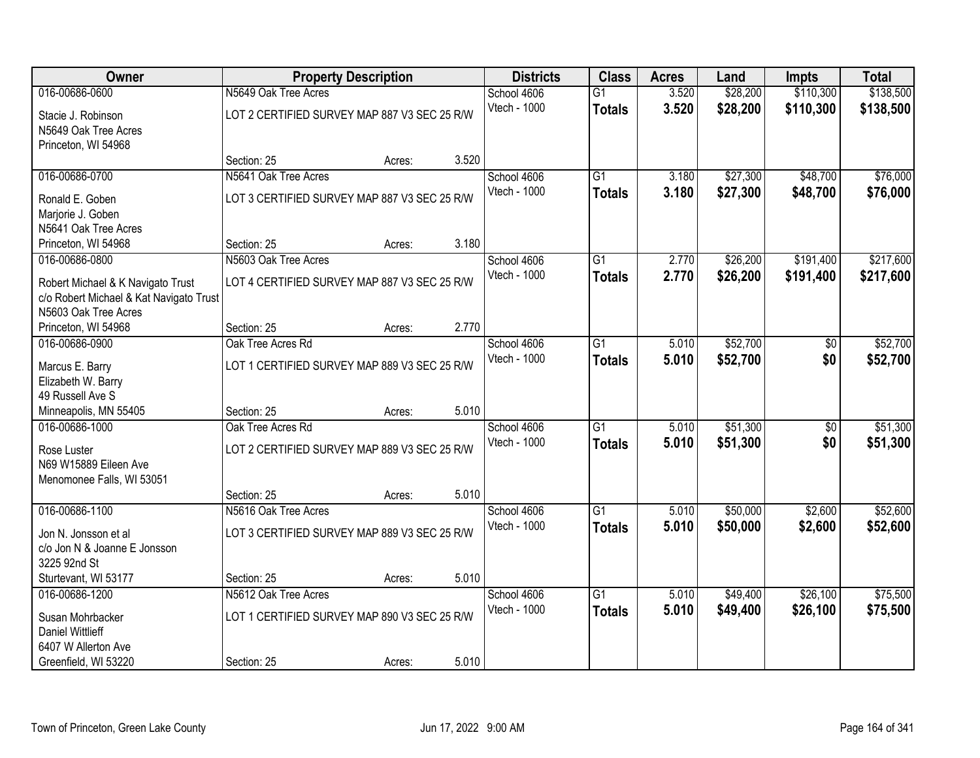| Owner                                          |                                              | <b>Property Description</b> |       | <b>Districts</b> | <b>Class</b>    | <b>Acres</b> | Land     | <b>Impts</b> | <b>Total</b> |
|------------------------------------------------|----------------------------------------------|-----------------------------|-------|------------------|-----------------|--------------|----------|--------------|--------------|
| 016-00686-0600                                 | N5649 Oak Tree Acres                         |                             |       | School 4606      | $\overline{G1}$ | 3.520        | \$28,200 | \$110,300    | \$138,500    |
| Stacie J. Robinson                             | LOT 2 CERTIFIED SURVEY MAP 887 V3 SEC 25 R/W |                             |       | Vtech - 1000     | <b>Totals</b>   | 3.520        | \$28,200 | \$110,300    | \$138,500    |
| N5649 Oak Tree Acres                           |                                              |                             |       |                  |                 |              |          |              |              |
| Princeton, WI 54968                            |                                              |                             |       |                  |                 |              |          |              |              |
|                                                | Section: 25                                  | Acres:                      | 3.520 |                  |                 |              |          |              |              |
| 016-00686-0700                                 | N5641 Oak Tree Acres                         |                             |       | School 4606      | G1              | 3.180        | \$27,300 | \$48,700     | \$76,000     |
| Ronald E. Goben                                | LOT 3 CERTIFIED SURVEY MAP 887 V3 SEC 25 R/W |                             |       | Vtech - 1000     | <b>Totals</b>   | 3.180        | \$27,300 | \$48,700     | \$76,000     |
| Marjorie J. Goben                              |                                              |                             |       |                  |                 |              |          |              |              |
| N5641 Oak Tree Acres                           |                                              |                             |       |                  |                 |              |          |              |              |
| Princeton, WI 54968                            | Section: 25                                  | Acres:                      | 3.180 |                  |                 |              |          |              |              |
| 016-00686-0800                                 | N5603 Oak Tree Acres                         |                             |       | School 4606      | $\overline{G1}$ | 2.770        | \$26,200 | \$191,400    | \$217,600    |
| Robert Michael & K Navigato Trust              | LOT 4 CERTIFIED SURVEY MAP 887 V3 SEC 25 R/W |                             |       | Vtech - 1000     | <b>Totals</b>   | 2.770        | \$26,200 | \$191,400    | \$217,600    |
| c/o Robert Michael & Kat Navigato Trust        |                                              |                             |       |                  |                 |              |          |              |              |
| N5603 Oak Tree Acres                           |                                              |                             |       |                  |                 |              |          |              |              |
| Princeton, WI 54968                            | Section: 25                                  | Acres:                      | 2.770 |                  |                 |              |          |              |              |
| 016-00686-0900                                 | Oak Tree Acres Rd                            |                             |       | School 4606      | $\overline{G1}$ | 5.010        | \$52,700 | \$0          | \$52,700     |
| Marcus E. Barry                                | LOT 1 CERTIFIED SURVEY MAP 889 V3 SEC 25 R/W |                             |       | Vtech - 1000     | <b>Totals</b>   | 5.010        | \$52,700 | \$0          | \$52,700     |
| Elizabeth W. Barry                             |                                              |                             |       |                  |                 |              |          |              |              |
| 49 Russell Ave S                               |                                              |                             |       |                  |                 |              |          |              |              |
| Minneapolis, MN 55405                          | Section: 25                                  | Acres:                      | 5.010 |                  |                 |              |          |              |              |
| 016-00686-1000                                 | Oak Tree Acres Rd                            |                             |       | School 4606      | $\overline{G1}$ | 5.010        | \$51,300 | \$0          | \$51,300     |
| Rose Luster                                    | LOT 2 CERTIFIED SURVEY MAP 889 V3 SEC 25 R/W |                             |       | Vtech - 1000     | <b>Totals</b>   | 5.010        | \$51,300 | \$0          | \$51,300     |
| N69 W15889 Eileen Ave                          |                                              |                             |       |                  |                 |              |          |              |              |
| Menomonee Falls, WI 53051                      |                                              |                             |       |                  |                 |              |          |              |              |
|                                                | Section: 25                                  | Acres:                      | 5.010 |                  |                 |              |          |              |              |
| 016-00686-1100                                 | N5616 Oak Tree Acres                         |                             |       | School 4606      | G1              | 5.010        | \$50,000 | \$2,600      | \$52,600     |
|                                                |                                              |                             |       | Vtech - 1000     | <b>Totals</b>   | 5.010        | \$50,000 | \$2,600      | \$52,600     |
| Jon N. Jonsson et al                           | LOT 3 CERTIFIED SURVEY MAP 889 V3 SEC 25 R/W |                             |       |                  |                 |              |          |              |              |
| c/o Jon N & Joanne E Jonsson<br>3225 92nd St   |                                              |                             |       |                  |                 |              |          |              |              |
| Sturtevant, WI 53177                           | Section: 25                                  | Acres:                      | 5.010 |                  |                 |              |          |              |              |
| 016-00686-1200                                 | N5612 Oak Tree Acres                         |                             |       | School 4606      | $\overline{G1}$ | 5.010        | \$49,400 | \$26,100     | \$75,500     |
|                                                |                                              |                             |       | Vtech - 1000     | <b>Totals</b>   | 5.010        | \$49,400 | \$26,100     | \$75,500     |
| Susan Mohrbacker                               | LOT 1 CERTIFIED SURVEY MAP 890 V3 SEC 25 R/W |                             |       |                  |                 |              |          |              |              |
| <b>Daniel Wittlieff</b><br>6407 W Allerton Ave |                                              |                             |       |                  |                 |              |          |              |              |
| Greenfield, WI 53220                           | Section: 25                                  | Acres:                      | 5.010 |                  |                 |              |          |              |              |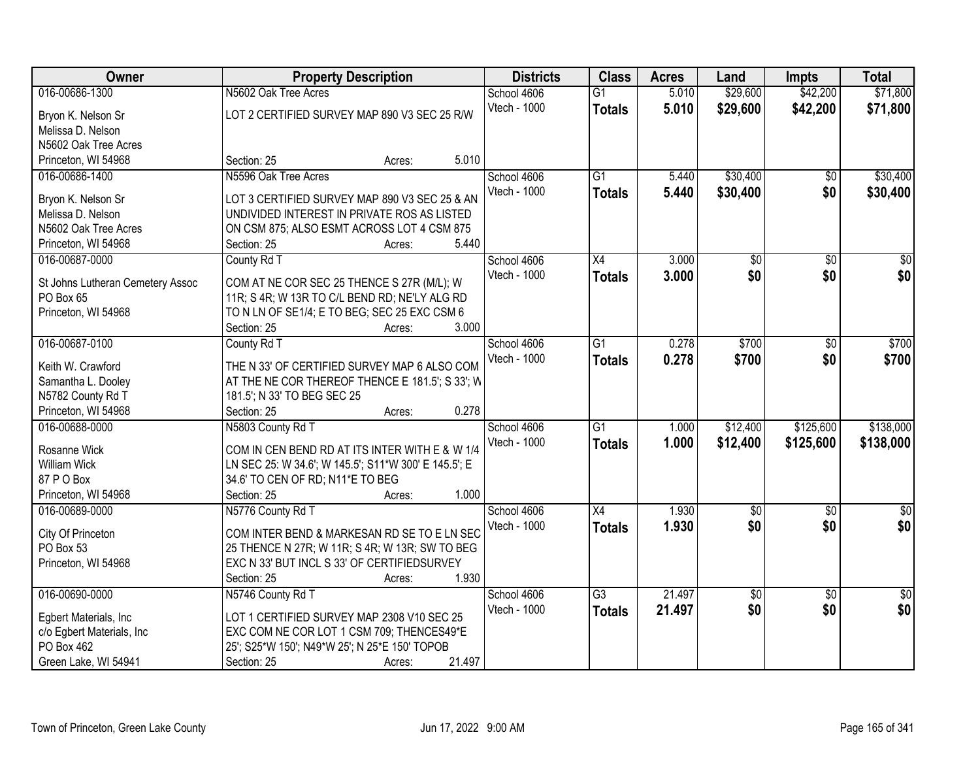| <b>Owner</b>                     | <b>Property Description</b>                          | <b>Districts</b> | <b>Class</b>    | <b>Acres</b> | Land            | <b>Impts</b>    | <b>Total</b>    |
|----------------------------------|------------------------------------------------------|------------------|-----------------|--------------|-----------------|-----------------|-----------------|
| 016-00686-1300                   | N5602 Oak Tree Acres                                 | School 4606      | $\overline{G1}$ | 5.010        | \$29,600        | \$42,200        | \$71,800        |
| Bryon K. Nelson Sr               | LOT 2 CERTIFIED SURVEY MAP 890 V3 SEC 25 R/W         | Vtech - 1000     | <b>Totals</b>   | 5.010        | \$29,600        | \$42,200        | \$71,800        |
| Melissa D. Nelson                |                                                      |                  |                 |              |                 |                 |                 |
| N5602 Oak Tree Acres             |                                                      |                  |                 |              |                 |                 |                 |
| Princeton, WI 54968              | 5.010<br>Section: 25<br>Acres:                       |                  |                 |              |                 |                 |                 |
| 016-00686-1400                   | N5596 Oak Tree Acres                                 | School 4606      | $\overline{G1}$ | 5.440        | \$30,400        | $\overline{50}$ | \$30,400        |
|                                  |                                                      | Vtech - 1000     | <b>Totals</b>   | 5.440        | \$30,400        | \$0             | \$30,400        |
| Bryon K. Nelson Sr               | LOT 3 CERTIFIED SURVEY MAP 890 V3 SEC 25 & AN        |                  |                 |              |                 |                 |                 |
| Melissa D. Nelson                | UNDIVIDED INTEREST IN PRIVATE ROS AS LISTED          |                  |                 |              |                 |                 |                 |
| N5602 Oak Tree Acres             | ON CSM 875; ALSO ESMT ACROSS LOT 4 CSM 875           |                  |                 |              |                 |                 |                 |
| Princeton, WI 54968              | 5.440<br>Section: 25<br>Acres:                       |                  |                 |              |                 |                 |                 |
| 016-00687-0000                   | County Rd T                                          | School 4606      | X4              | 3.000        | $\overline{50}$ | $\overline{50}$ | $\overline{30}$ |
| St Johns Lutheran Cemetery Assoc | COM AT NE COR SEC 25 THENCE S 27R (M/L); W           | Vtech - 1000     | <b>Totals</b>   | 3.000        | \$0             | \$0             | \$0             |
| PO Box 65                        | 11R; S 4R; W 13R TO C/L BEND RD; NE'LY ALG RD        |                  |                 |              |                 |                 |                 |
| Princeton, WI 54968              | TO N LN OF SE1/4; E TO BEG; SEC 25 EXC CSM 6         |                  |                 |              |                 |                 |                 |
|                                  | 3.000<br>Section: 25<br>Acres:                       |                  |                 |              |                 |                 |                 |
| 016-00687-0100                   | County Rd T                                          | School 4606      | G1              | 0.278        | \$700           | \$0             | \$700           |
|                                  |                                                      | Vtech - 1000     | <b>Totals</b>   | 0.278        | \$700           | \$0             | \$700           |
| Keith W. Crawford                | THE N 33' OF CERTIFIED SURVEY MAP 6 ALSO COM         |                  |                 |              |                 |                 |                 |
| Samantha L. Dooley               | AT THE NE COR THEREOF THENCE E 181.5'; S 33'; W      |                  |                 |              |                 |                 |                 |
| N5782 County Rd T                | 181.5'; N 33' TO BEG SEC 25                          |                  |                 |              |                 |                 |                 |
| Princeton, WI 54968              | 0.278<br>Section: 25<br>Acres:                       |                  |                 |              |                 |                 |                 |
| 016-00688-0000                   | N5803 County Rd T                                    | School 4606      | $\overline{G1}$ | 1.000        | \$12,400        | \$125,600       | \$138,000       |
| Rosanne Wick                     | COM IN CEN BEND RD AT ITS INTER WITH E & W 1/4       | Vtech - 1000     | <b>Totals</b>   | 1.000        | \$12,400        | \$125,600       | \$138,000       |
| <b>William Wick</b>              | LN SEC 25: W 34.6'; W 145.5'; S11*W 300' E 145.5'; E |                  |                 |              |                 |                 |                 |
| 87 P O Box                       | 34.6' TO CEN OF RD; N11*E TO BEG                     |                  |                 |              |                 |                 |                 |
| Princeton, WI 54968              | 1.000<br>Section: 25<br>Acres:                       |                  |                 |              |                 |                 |                 |
| 016-00689-0000                   | N5776 County Rd T                                    | School 4606      | X4              | 1.930        | $\sqrt{6}$      | $\sqrt{6}$      | $\frac{1}{6}$   |
|                                  |                                                      | Vtech - 1000     | <b>Totals</b>   | 1.930        | \$0             | \$0             | \$0             |
| City Of Princeton                | COM INTER BEND & MARKESAN RD SE TO E LN SEC          |                  |                 |              |                 |                 |                 |
| PO Box 53                        | 25 THENCE N 27R; W 11R; S 4R; W 13R; SW TO BEG       |                  |                 |              |                 |                 |                 |
| Princeton, WI 54968              | EXC N 33' BUT INCL S 33' OF CERTIFIEDSURVEY          |                  |                 |              |                 |                 |                 |
|                                  | 1.930<br>Section: 25<br>Acres:                       |                  |                 |              |                 |                 |                 |
| 016-00690-0000                   | N5746 County Rd T                                    | School 4606      | $\overline{G3}$ | 21.497       | $\overline{50}$ | $\overline{50}$ | $\frac{1}{2}$   |
| Egbert Materials, Inc.           | LOT 1 CERTIFIED SURVEY MAP 2308 V10 SEC 25           | Vtech - 1000     | <b>Totals</b>   | 21.497       | \$0             | \$0             | \$0             |
| c/o Egbert Materials, Inc        | EXC COM NE COR LOT 1 CSM 709; THENCES49*E            |                  |                 |              |                 |                 |                 |
| PO Box 462                       | 25'; S25*W 150'; N49*W 25'; N 25*E 150' TOPOB        |                  |                 |              |                 |                 |                 |
| Green Lake, WI 54941             | 21.497<br>Section: 25<br>Acres:                      |                  |                 |              |                 |                 |                 |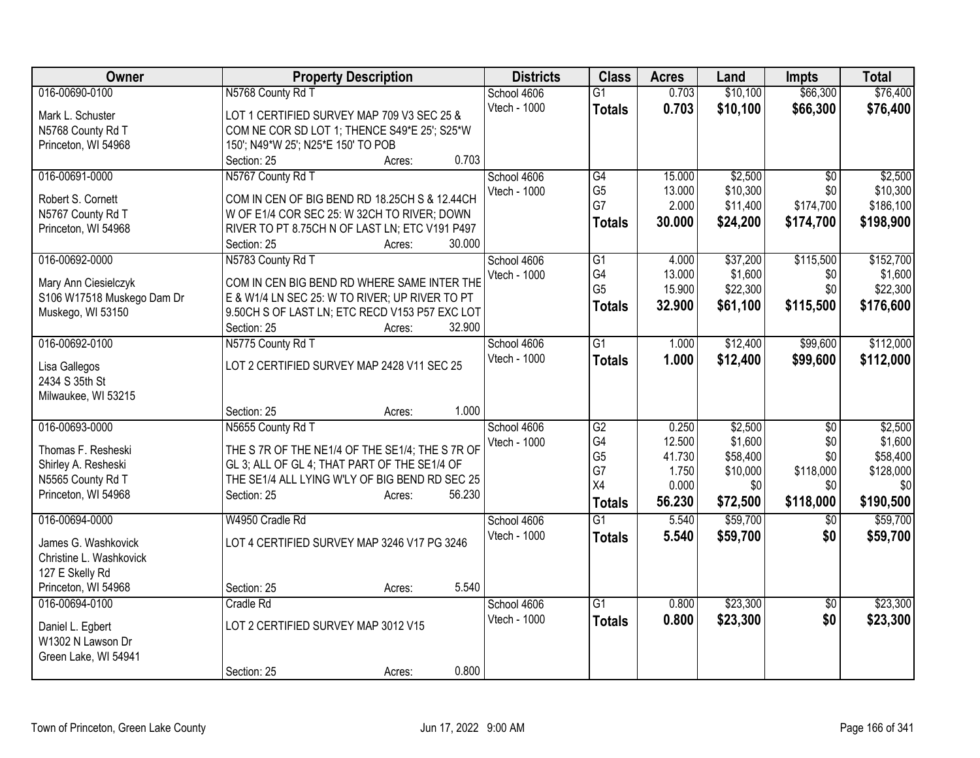| Owner                                 | <b>Property Description</b>                     | <b>Districts</b> | <b>Class</b>         | <b>Acres</b>    | Land                 | <b>Impts</b>     | <b>Total</b>          |
|---------------------------------------|-------------------------------------------------|------------------|----------------------|-----------------|----------------------|------------------|-----------------------|
| 016-00690-0100                        | N5768 County Rd T                               | School 4606      | $\overline{G1}$      | 0.703           | \$10,100             | \$66,300         | \$76,400              |
| Mark L. Schuster                      | LOT 1 CERTIFIED SURVEY MAP 709 V3 SEC 25 &      | Vtech - 1000     | <b>Totals</b>        | 0.703           | \$10,100             | \$66,300         | \$76,400              |
| N5768 County Rd T                     | COM NE COR SD LOT 1; THENCE S49*E 25'; S25*W    |                  |                      |                 |                      |                  |                       |
| Princeton, WI 54968                   | 150'; N49*W 25'; N25*E 150' TO POB              |                  |                      |                 |                      |                  |                       |
|                                       | 0.703<br>Section: 25<br>Acres:                  |                  |                      |                 |                      |                  |                       |
| 016-00691-0000                        | N5767 County Rd T                               | School 4606      | G4                   | 15.000          | \$2,500              | \$0              | \$2,500               |
|                                       |                                                 | Vtech - 1000     | G <sub>5</sub>       | 13.000          | \$10,300             | \$0              | \$10,300              |
| Robert S. Cornett                     | COM IN CEN OF BIG BEND RD 18.25CH S & 12.44CH   |                  | G7                   | 2.000           | \$11,400             | \$174,700        | \$186,100             |
| N5767 County Rd T                     | W OF E1/4 COR SEC 25: W 32CH TO RIVER; DOWN     |                  | <b>Totals</b>        | 30.000          | \$24,200             | \$174,700        | \$198,900             |
| Princeton, WI 54968                   | RIVER TO PT 8.75CH N OF LAST LN; ETC V191 P497  |                  |                      |                 |                      |                  |                       |
|                                       | 30.000<br>Section: 25<br>Acres:                 |                  |                      |                 |                      |                  |                       |
| 016-00692-0000                        | N5783 County Rd T                               | School 4606      | G1                   | 4.000           | \$37,200             | \$115,500        | \$152,700             |
| Mary Ann Ciesielczyk                  | COM IN CEN BIG BEND RD WHERE SAME INTER THE     | Vtech - 1000     | G4                   | 13.000          | \$1,600              | \$0              | \$1,600               |
| S106 W17518 Muskego Dam Dr            | E & W1/4 LN SEC 25: W TO RIVER; UP RIVER TO PT  |                  | G <sub>5</sub>       | 15.900          | \$22,300             | \$0              | \$22,300              |
| Muskego, WI 53150                     | 9.50CH S OF LAST LN; ETC RECD V153 P57 EXC LOT  |                  | <b>Totals</b>        | 32.900          | \$61,100             | \$115,500        | \$176,600             |
|                                       | 32.900<br>Section: 25<br>Acres:                 |                  |                      |                 |                      |                  |                       |
| 016-00692-0100                        | N5775 County Rd T                               | School 4606      | $\overline{G1}$      | 1.000           | \$12,400             | \$99,600         | \$112,000             |
|                                       |                                                 | Vtech - 1000     | <b>Totals</b>        | 1.000           | \$12,400             | \$99,600         | \$112,000             |
| Lisa Gallegos                         | LOT 2 CERTIFIED SURVEY MAP 2428 V11 SEC 25      |                  |                      |                 |                      |                  |                       |
| 2434 S 35th St                        |                                                 |                  |                      |                 |                      |                  |                       |
| Milwaukee, WI 53215                   |                                                 |                  |                      |                 |                      |                  |                       |
|                                       | 1.000<br>Section: 25<br>Acres:                  |                  |                      |                 |                      |                  |                       |
| 016-00693-0000                        | N5655 County Rd T                               | School 4606      | G2                   | 0.250           | \$2,500              | \$0              | \$2,500               |
| Thomas F. Resheski                    | THE S 7R OF THE NE1/4 OF THE SE1/4; THE S 7R OF | Vtech - 1000     | G4                   | 12.500          | \$1,600              | \$0              | \$1,600               |
| Shirley A. Resheski                   | GL 3; ALL OF GL 4; THAT PART OF THE SE1/4 OF    |                  | G <sub>5</sub><br>G7 | 41.730<br>1.750 | \$58,400<br>\$10,000 | \$0<br>\$118,000 | \$58,400<br>\$128,000 |
| N5565 County Rd T                     | THE SE1/4 ALL LYING W'LY OF BIG BEND RD SEC 25  |                  | X4                   | 0.000           | \$0                  | \$0              | \$0                   |
| Princeton, WI 54968                   | 56.230<br>Section: 25<br>Acres:                 |                  |                      | 56.230          |                      | \$118,000        | \$190,500             |
|                                       |                                                 |                  | <b>Totals</b>        |                 | \$72,500             |                  |                       |
| 016-00694-0000                        | W4950 Cradle Rd                                 | School 4606      | $\overline{G1}$      | 5.540           | \$59,700             | $\sqrt[6]{}$     | \$59,700              |
| James G. Washkovick                   | LOT 4 CERTIFIED SURVEY MAP 3246 V17 PG 3246     | Vtech - 1000     | <b>Totals</b>        | 5.540           | \$59,700             | \$0              | \$59,700              |
| Christine L. Washkovick               |                                                 |                  |                      |                 |                      |                  |                       |
| 127 E Skelly Rd                       |                                                 |                  |                      |                 |                      |                  |                       |
| Princeton, WI 54968                   | 5.540<br>Section: 25<br>Acres:                  |                  |                      |                 |                      |                  |                       |
| 016-00694-0100                        | Cradle Rd                                       | School 4606      | $\overline{G1}$      | 0.800           | \$23,300             | \$0              | \$23,300              |
|                                       | LOT 2 CERTIFIED SURVEY MAP 3012 V15             | Vtech - 1000     | <b>Totals</b>        | 0.800           | \$23,300             | \$0              | \$23,300              |
| Daniel L. Egbert<br>W1302 N Lawson Dr |                                                 |                  |                      |                 |                      |                  |                       |
| Green Lake, WI 54941                  |                                                 |                  |                      |                 |                      |                  |                       |
|                                       | 0.800<br>Section: 25                            |                  |                      |                 |                      |                  |                       |
|                                       | Acres:                                          |                  |                      |                 |                      |                  |                       |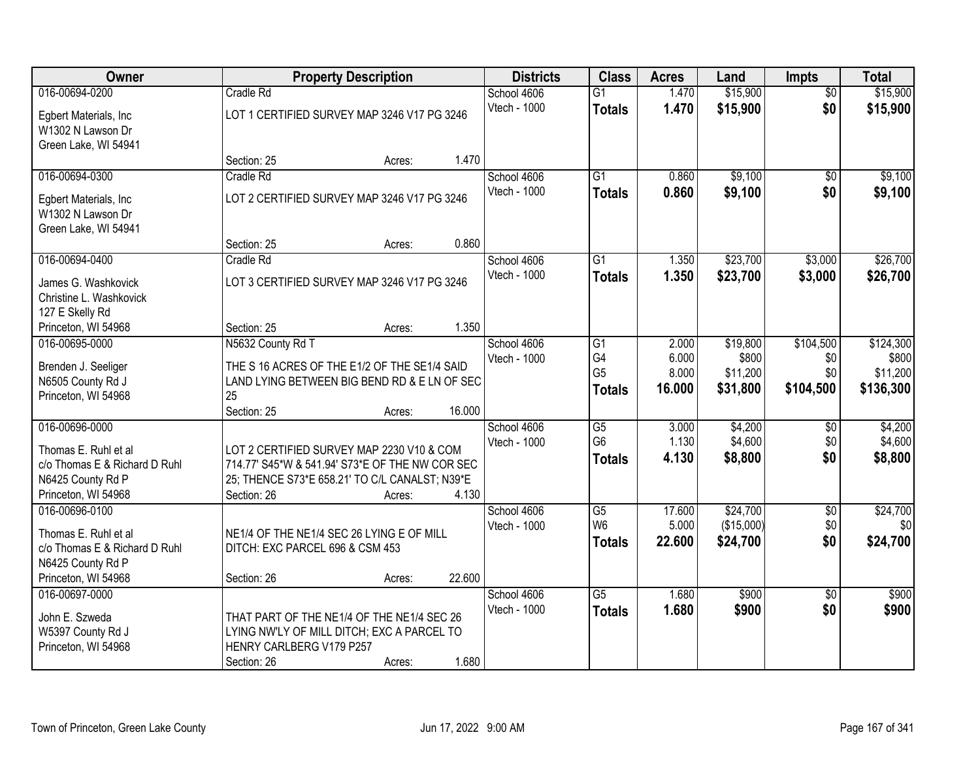| Owner                                                 | <b>Property Description</b>                                                              |        |        | <b>Districts</b> | <b>Class</b>    | <b>Acres</b> | Land       | <b>Impts</b>    | <b>Total</b> |
|-------------------------------------------------------|------------------------------------------------------------------------------------------|--------|--------|------------------|-----------------|--------------|------------|-----------------|--------------|
| 016-00694-0200                                        | Cradle Rd                                                                                |        |        | School 4606      | $\overline{G1}$ | 1.470        | \$15,900   | $\overline{50}$ | \$15,900     |
| Egbert Materials, Inc.                                | LOT 1 CERTIFIED SURVEY MAP 3246 V17 PG 3246                                              |        |        | Vtech - 1000     | <b>Totals</b>   | 1.470        | \$15,900   | \$0             | \$15,900     |
| W1302 N Lawson Dr                                     |                                                                                          |        |        |                  |                 |              |            |                 |              |
| Green Lake, WI 54941                                  |                                                                                          |        |        |                  |                 |              |            |                 |              |
|                                                       | Section: 25                                                                              | Acres: | 1.470  |                  |                 |              |            |                 |              |
| 016-00694-0300                                        | Cradle Rd                                                                                |        |        | School 4606      | $\overline{G1}$ | 0.860        | \$9,100    | \$0             | \$9,100      |
| Egbert Materials, Inc.                                | LOT 2 CERTIFIED SURVEY MAP 3246 V17 PG 3246                                              |        |        | Vtech - 1000     | <b>Totals</b>   | 0.860        | \$9,100    | \$0             | \$9,100      |
| W1302 N Lawson Dr                                     |                                                                                          |        |        |                  |                 |              |            |                 |              |
| Green Lake, WI 54941                                  |                                                                                          |        |        |                  |                 |              |            |                 |              |
|                                                       | Section: 25                                                                              | Acres: | 0.860  |                  |                 |              |            |                 |              |
| 016-00694-0400                                        | Cradle Rd                                                                                |        |        | School 4606      | G1              | 1.350        | \$23,700   | \$3,000         | \$26,700     |
| James G. Washkovick                                   | LOT 3 CERTIFIED SURVEY MAP 3246 V17 PG 3246                                              |        |        | Vtech - 1000     | <b>Totals</b>   | 1.350        | \$23,700   | \$3,000         | \$26,700     |
| Christine L. Washkovick                               |                                                                                          |        |        |                  |                 |              |            |                 |              |
| 127 E Skelly Rd                                       |                                                                                          |        |        |                  |                 |              |            |                 |              |
| Princeton, WI 54968                                   | Section: 25                                                                              | Acres: | 1.350  |                  |                 |              |            |                 |              |
| 016-00695-0000                                        | N5632 County Rd T                                                                        |        |        | School 4606      | $\overline{G1}$ | 2.000        | \$19,800   | \$104,500       | \$124,300    |
| Brenden J. Seeliger                                   | THE S 16 ACRES OF THE E1/2 OF THE SE1/4 SAID                                             |        |        | Vtech - 1000     | G4              | 6.000        | \$800      | \$0             | \$800        |
| N6505 County Rd J                                     | LAND LYING BETWEEN BIG BEND RD & E LN OF SEC                                             |        |        |                  | G <sub>5</sub>  | 8.000        | \$11,200   | \$0             | \$11,200     |
| Princeton, WI 54968                                   | 25                                                                                       |        |        |                  | <b>Totals</b>   | 16.000       | \$31,800   | \$104,500       | \$136,300    |
|                                                       | Section: 25                                                                              | Acres: | 16.000 |                  |                 |              |            |                 |              |
| 016-00696-0000                                        |                                                                                          |        |        | School 4606      | G5              | 3.000        | \$4,200    | \$0             | \$4,200      |
| Thomas E. Ruhl et al                                  | LOT 2 CERTIFIED SURVEY MAP 2230 V10 & COM                                                |        |        | Vtech - 1000     | G <sub>6</sub>  | 1.130        | \$4,600    | \$0             | \$4,600      |
| c/o Thomas E & Richard D Ruhl                         | 714.77' S45*W & 541.94' S73*E OF THE NW COR SEC                                          |        |        |                  | <b>Totals</b>   | 4.130        | \$8,800    | \$0             | \$8,800      |
| N6425 County Rd P                                     | 25; THENCE S73*E 658.21' TO C/L CANALST; N39*E                                           |        |        |                  |                 |              |            |                 |              |
| Princeton, WI 54968                                   | Section: 26                                                                              | Acres: | 4.130  |                  |                 |              |            |                 |              |
| 016-00696-0100                                        |                                                                                          |        |        | School 4606      | G5              | 17.600       | \$24,700   | $\overline{50}$ | \$24,700     |
|                                                       |                                                                                          |        |        | Vtech - 1000     | W <sub>6</sub>  | 5.000        | (\$15,000) | \$0             | \$0          |
| Thomas E. Ruhl et al<br>c/o Thomas E & Richard D Ruhl | NE1/4 OF THE NE1/4 SEC 26 LYING E OF MILL<br>DITCH: EXC PARCEL 696 & CSM 453             |        |        |                  | <b>Totals</b>   | 22.600       | \$24,700   | \$0             | \$24,700     |
| N6425 County Rd P                                     |                                                                                          |        |        |                  |                 |              |            |                 |              |
| Princeton, WI 54968                                   | Section: 26                                                                              | Acres: | 22.600 |                  |                 |              |            |                 |              |
| 016-00697-0000                                        |                                                                                          |        |        | School 4606      | G5              | 1.680        | \$900      | $\overline{50}$ | \$900        |
|                                                       |                                                                                          |        |        | Vtech - 1000     | <b>Totals</b>   | 1.680        | \$900      | \$0             | \$900        |
| John E. Szweda<br>W5397 County Rd J                   | THAT PART OF THE NE1/4 OF THE NE1/4 SEC 26<br>LYING NW'LY OF MILL DITCH; EXC A PARCEL TO |        |        |                  |                 |              |            |                 |              |
| Princeton, WI 54968                                   | HENRY CARLBERG V179 P257                                                                 |        |        |                  |                 |              |            |                 |              |
|                                                       | Section: 26                                                                              | Acres: | 1.680  |                  |                 |              |            |                 |              |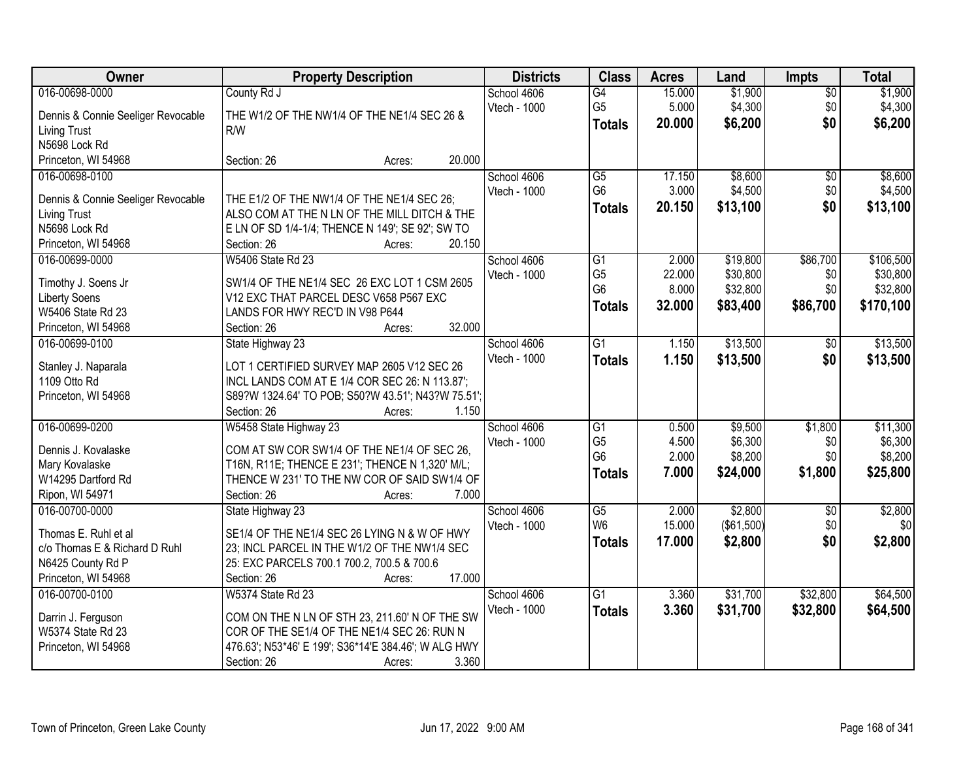| Owner                                 | <b>Property Description</b>                                | <b>Districts</b>            | <b>Class</b>    | <b>Acres</b> | Land       | <b>Impts</b>    | <b>Total</b> |
|---------------------------------------|------------------------------------------------------------|-----------------------------|-----------------|--------------|------------|-----------------|--------------|
| 016-00698-0000                        | County Rd J                                                | School 4606                 | $\overline{G4}$ | 15.000       | \$1,900    | $\overline{50}$ | \$1,900      |
| Dennis & Connie Seeliger Revocable    | THE W1/2 OF THE NW1/4 OF THE NE1/4 SEC 26 &                | Vtech - 1000                | G <sub>5</sub>  | 5.000        | \$4,300    | \$0             | \$4,300      |
| <b>Living Trust</b>                   | R/W                                                        |                             | <b>Totals</b>   | 20.000       | \$6,200    | \$0             | \$6,200      |
| N5698 Lock Rd                         |                                                            |                             |                 |              |            |                 |              |
| Princeton, WI 54968                   | 20.000<br>Section: 26<br>Acres:                            |                             |                 |              |            |                 |              |
| 016-00698-0100                        |                                                            | School 4606                 | $\overline{G5}$ | 17.150       | \$8,600    | \$0             | \$8,600      |
|                                       |                                                            | Vtech - 1000                | G <sub>6</sub>  | 3.000        | \$4,500    | \$0             | \$4,500      |
| Dennis & Connie Seeliger Revocable    | THE E1/2 OF THE NW1/4 OF THE NE1/4 SEC 26;                 |                             | <b>Totals</b>   | 20.150       | \$13,100   | \$0             | \$13,100     |
| <b>Living Trust</b>                   | ALSO COM AT THE N LN OF THE MILL DITCH & THE               |                             |                 |              |            |                 |              |
| N5698 Lock Rd                         | E LN OF SD 1/4-1/4; THENCE N 149'; SE 92'; SW TO<br>20.150 |                             |                 |              |            |                 |              |
| Princeton, WI 54968<br>016-00699-0000 | Section: 26<br>Acres:<br><b>W5406 State Rd 23</b>          |                             | $\overline{G1}$ | 2.000        | \$19,800   |                 | \$106,500    |
|                                       |                                                            | School 4606<br>Vtech - 1000 | G <sub>5</sub>  | 22.000       | \$30,800   | \$86,700        | \$30,800     |
| Timothy J. Soens Jr                   | SW1/4 OF THE NE1/4 SEC 26 EXC LOT 1 CSM 2605               |                             | G <sub>6</sub>  | 8.000        | \$32,800   | \$0<br>\$0      | \$32,800     |
| <b>Liberty Soens</b>                  | V12 EXC THAT PARCEL DESC V658 P567 EXC                     |                             |                 |              |            |                 |              |
| W5406 State Rd 23                     | LANDS FOR HWY REC'D IN V98 P644                            |                             | <b>Totals</b>   | 32.000       | \$83,400   | \$86,700        | \$170,100    |
| Princeton, WI 54968                   | 32.000<br>Section: 26<br>Acres:                            |                             |                 |              |            |                 |              |
| 016-00699-0100                        | State Highway 23                                           | School 4606                 | $\overline{G1}$ | 1.150        | \$13,500   | $\sqrt[6]{30}$  | \$13,500     |
|                                       | LOT 1 CERTIFIED SURVEY MAP 2605 V12 SEC 26                 | Vtech - 1000                | <b>Totals</b>   | 1.150        | \$13,500   | \$0             | \$13,500     |
| Stanley J. Naparala<br>1109 Otto Rd   | INCL LANDS COM AT E 1/4 COR SEC 26: N 113.87';             |                             |                 |              |            |                 |              |
| Princeton, WI 54968                   | S89?W 1324.64' TO POB; S50?W 43.51'; N43?W 75.51';         |                             |                 |              |            |                 |              |
|                                       | 1.150<br>Section: 26<br>Acres:                             |                             |                 |              |            |                 |              |
| 016-00699-0200                        | W5458 State Highway 23                                     | School 4606                 | $\overline{G1}$ | 0.500        | \$9,500    | \$1,800         | \$11,300     |
|                                       |                                                            | Vtech - 1000                | G <sub>5</sub>  | 4.500        | \$6,300    | \$0             | \$6,300      |
| Dennis J. Kovalaske                   | COM AT SW COR SW1/4 OF THE NE1/4 OF SEC 26,                |                             | G <sub>6</sub>  | 2.000        | \$8,200    | \$0             | \$8,200      |
| Mary Kovalaske                        | T16N, R11E; THENCE E 231'; THENCE N 1,320' M/L;            |                             | <b>Totals</b>   | 7.000        | \$24,000   | \$1,800         | \$25,800     |
| W14295 Dartford Rd                    | THENCE W 231' TO THE NW COR OF SAID SW1/4 OF               |                             |                 |              |            |                 |              |
| Ripon, WI 54971                       | 7.000<br>Section: 26<br>Acres:                             |                             |                 |              |            |                 |              |
| 016-00700-0000                        | State Highway 23                                           | School 4606                 | G5              | 2.000        | \$2,800    | $\overline{50}$ | \$2,800      |
| Thomas E. Ruhl et al                  | SE1/4 OF THE NE1/4 SEC 26 LYING N & W OF HWY               | Vtech - 1000                | W <sub>6</sub>  | 15.000       | (\$61,500) | \$0             | \$0          |
| c/o Thomas E & Richard D Ruhl         | 23; INCL PARCEL IN THE W1/2 OF THE NW1/4 SEC               |                             | <b>Totals</b>   | 17.000       | \$2,800    | \$0             | \$2,800      |
| N6425 County Rd P                     | 25: EXC PARCELS 700.1 700.2, 700.5 & 700.6                 |                             |                 |              |            |                 |              |
| Princeton, WI 54968                   | 17.000<br>Section: 26<br>Acres:                            |                             |                 |              |            |                 |              |
| 016-00700-0100                        | <b>W5374 State Rd 23</b>                                   | School 4606                 | G1              | 3.360        | \$31,700   | \$32,800        | \$64,500     |
|                                       |                                                            | Vtech - 1000                | <b>Totals</b>   | 3.360        | \$31,700   | \$32,800        | \$64,500     |
| Darrin J. Ferguson                    | COM ON THE N LN OF STH 23, 211.60' N OF THE SW             |                             |                 |              |            |                 |              |
| W5374 State Rd 23                     | COR OF THE SE1/4 OF THE NE1/4 SEC 26: RUN N                |                             |                 |              |            |                 |              |
| Princeton, WI 54968                   | 476.63'; N53*46' E 199'; S36*14'E 384.46'; W ALG HWY       |                             |                 |              |            |                 |              |
|                                       | 3.360<br>Section: 26<br>Acres:                             |                             |                 |              |            |                 |              |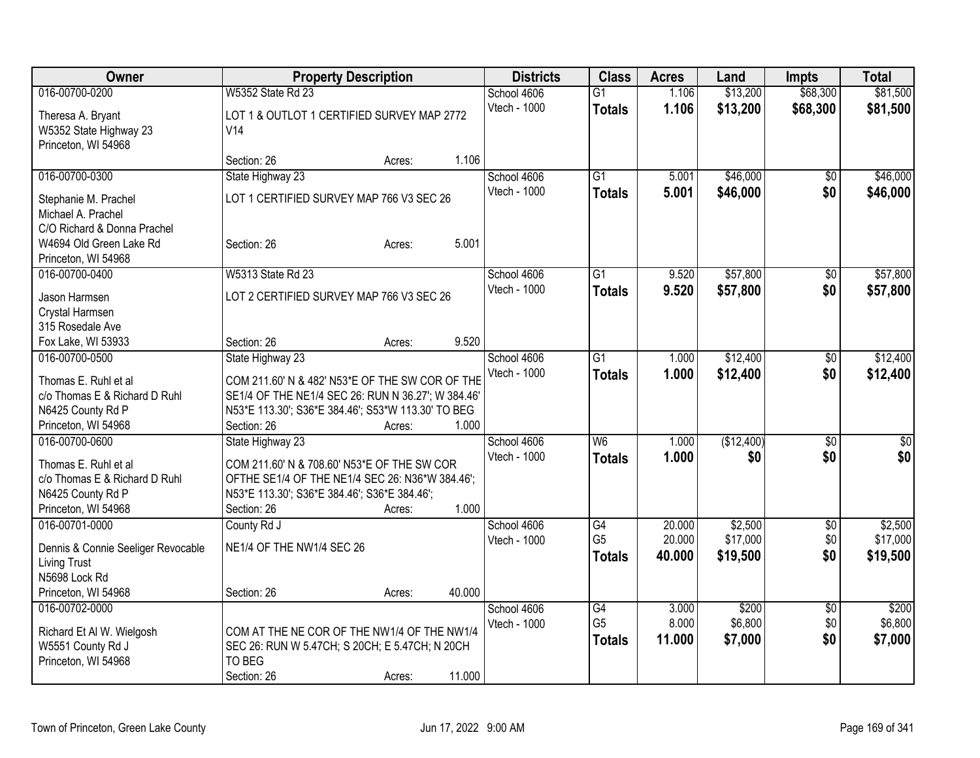| <b>Owner</b>                                              | <b>Property Description</b>                              |                  | <b>Districts</b> | <b>Class</b>    | <b>Acres</b> | Land       | <b>Impts</b>    | <b>Total</b>    |
|-----------------------------------------------------------|----------------------------------------------------------|------------------|------------------|-----------------|--------------|------------|-----------------|-----------------|
| 016-00700-0200                                            | <b>W5352 State Rd 23</b>                                 |                  | School 4606      | $\overline{G1}$ | 1.106        | \$13,200   | \$68,300        | \$81,500        |
| Theresa A. Bryant                                         | LOT 1 & OUTLOT 1 CERTIFIED SURVEY MAP 2772               |                  | Vtech - 1000     | <b>Totals</b>   | 1.106        | \$13,200   | \$68,300        | \$81,500        |
| W5352 State Highway 23                                    | V14                                                      |                  |                  |                 |              |            |                 |                 |
| Princeton, WI 54968                                       |                                                          |                  |                  |                 |              |            |                 |                 |
|                                                           | Section: 26                                              | 1.106<br>Acres:  |                  |                 |              |            |                 |                 |
| 016-00700-0300                                            | State Highway 23                                         |                  | School 4606      | $\overline{G1}$ | 5.001        | \$46,000   | \$0             | \$46,000        |
| Stephanie M. Prachel                                      | LOT 1 CERTIFIED SURVEY MAP 766 V3 SEC 26                 |                  | Vtech - 1000     | <b>Totals</b>   | 5.001        | \$46,000   | \$0             | \$46,000        |
| Michael A. Prachel                                        |                                                          |                  |                  |                 |              |            |                 |                 |
| C/O Richard & Donna Prachel                               |                                                          |                  |                  |                 |              |            |                 |                 |
| W4694 Old Green Lake Rd                                   | Section: 26                                              | 5.001<br>Acres:  |                  |                 |              |            |                 |                 |
| Princeton, WI 54968                                       |                                                          |                  |                  |                 |              |            |                 |                 |
| 016-00700-0400                                            | W5313 State Rd 23                                        |                  | School 4606      | $\overline{G1}$ | 9.520        | \$57,800   | \$0             | \$57,800        |
| Jason Harmsen                                             | LOT 2 CERTIFIED SURVEY MAP 766 V3 SEC 26                 |                  | Vtech - 1000     | <b>Totals</b>   | 9.520        | \$57,800   | \$0             | \$57,800        |
| Crystal Harmsen                                           |                                                          |                  |                  |                 |              |            |                 |                 |
| 315 Rosedale Ave                                          |                                                          |                  |                  |                 |              |            |                 |                 |
| Fox Lake, WI 53933                                        | Section: 26                                              | 9.520<br>Acres:  |                  |                 |              |            |                 |                 |
| 016-00700-0500                                            | State Highway 23                                         |                  | School 4606      | $\overline{G1}$ | 1.000        | \$12,400   | $\sqrt[6]{30}$  | \$12,400        |
| Thomas E. Ruhl et al                                      | COM 211.60' N & 482' N53*E OF THE SW COR OF THE          |                  | Vtech - 1000     | <b>Totals</b>   | 1.000        | \$12,400   | \$0             | \$12,400        |
| c/o Thomas E & Richard D Ruhl                             | SE1/4 OF THE NE1/4 SEC 26: RUN N 36.27'; W 384.46'       |                  |                  |                 |              |            |                 |                 |
| N6425 County Rd P                                         | N53*E 113.30'; S36*E 384.46'; S53*W 113.30' TO BEG       |                  |                  |                 |              |            |                 |                 |
| Princeton, WI 54968                                       | Section: 26                                              | 1.000<br>Acres:  |                  |                 |              |            |                 |                 |
| 016-00700-0600                                            | State Highway 23                                         |                  | School 4606      | W6              | 1.000        | (\$12,400) | \$0             | $\overline{50}$ |
| Thomas E. Ruhl et al                                      | COM 211.60' N & 708.60' N53*E OF THE SW COR              |                  | Vtech - 1000     | <b>Totals</b>   | 1.000        | \$0        | \$0             | \$0             |
| c/o Thomas E & Richard D Ruhl                             | OFTHE SE1/4 OF THE NE1/4 SEC 26: N36*W 384.46';          |                  |                  |                 |              |            |                 |                 |
| N6425 County Rd P                                         | N53*E 113.30'; S36*E 384.46'; S36*E 384.46';             |                  |                  |                 |              |            |                 |                 |
| Princeton, WI 54968                                       | Section: 26                                              | 1.000<br>Acres:  |                  |                 |              |            |                 |                 |
| 016-00701-0000                                            | County Rd J                                              |                  | School 4606      | G4              | 20.000       | \$2,500    | \$0             | \$2,500         |
|                                                           |                                                          |                  | Vtech - 1000     | G <sub>5</sub>  | 20.000       | \$17,000   | \$0             | \$17,000        |
| Dennis & Connie Seeliger Revocable<br><b>Living Trust</b> | NE1/4 OF THE NW1/4 SEC 26                                |                  |                  | <b>Totals</b>   | 40.000       | \$19,500   | \$0             | \$19,500        |
| N5698 Lock Rd                                             |                                                          |                  |                  |                 |              |            |                 |                 |
| Princeton, WI 54968                                       | Section: 26                                              | 40.000<br>Acres: |                  |                 |              |            |                 |                 |
| 016-00702-0000                                            |                                                          |                  | School 4606      | G4              | 3.000        | \$200      | $\overline{50}$ | \$200           |
|                                                           |                                                          |                  | Vtech - 1000     | G <sub>5</sub>  | 8.000        | \$6,800    | \$0             | \$6,800         |
| Richard Et Al W. Wielgosh                                 | COM AT THE NE COR OF THE NW1/4 OF THE NW1/4              |                  |                  | <b>Totals</b>   | 11.000       | \$7,000    | \$0             | \$7,000         |
| W5551 County Rd J<br>Princeton, WI 54968                  | SEC 26: RUN W 5.47CH; S 20CH; E 5.47CH; N 20CH<br>TO BEG |                  |                  |                 |              |            |                 |                 |
|                                                           | Section: 26                                              | 11.000<br>Acres: |                  |                 |              |            |                 |                 |
|                                                           |                                                          |                  |                  |                 |              |            |                 |                 |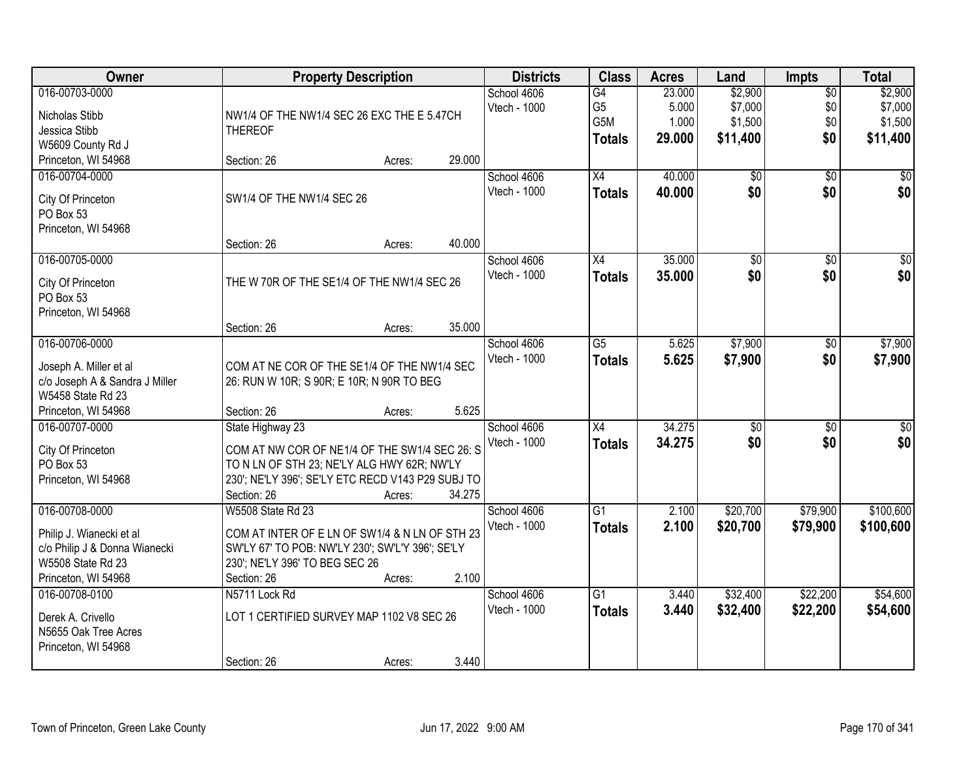| Owner                                                    | <b>Property Description</b>                       |        |        | <b>Districts</b> | <b>Class</b>    | <b>Acres</b> | Land            | <b>Impts</b>    | <b>Total</b>    |
|----------------------------------------------------------|---------------------------------------------------|--------|--------|------------------|-----------------|--------------|-----------------|-----------------|-----------------|
| 016-00703-0000                                           |                                                   |        |        | School 4606      | $\overline{G4}$ | 23.000       | \$2,900         | $\overline{50}$ | \$2,900         |
| Nicholas Stibb                                           | NW1/4 OF THE NW1/4 SEC 26 EXC THE E 5.47CH        |        |        | Vtech - 1000     | G <sub>5</sub>  | 5.000        | \$7,000         | \$0             | \$7,000         |
| Jessica Stibb                                            | <b>THEREOF</b>                                    |        |        |                  | G5M             | 1.000        | \$1,500         | \$0             | \$1,500         |
| W5609 County Rd J                                        |                                                   |        |        |                  | <b>Totals</b>   | 29.000       | \$11,400        | \$0             | \$11,400        |
| Princeton, WI 54968                                      | Section: 26                                       | Acres: | 29.000 |                  |                 |              |                 |                 |                 |
| 016-00704-0000                                           |                                                   |        |        | School 4606      | $\overline{X4}$ | 40.000       | $\overline{50}$ | $\overline{50}$ | \$0             |
|                                                          |                                                   |        |        | Vtech - 1000     | <b>Totals</b>   | 40.000       | \$0             | \$0             | \$0             |
| City Of Princeton                                        | SW1/4 OF THE NW1/4 SEC 26                         |        |        |                  |                 |              |                 |                 |                 |
| PO Box 53                                                |                                                   |        |        |                  |                 |              |                 |                 |                 |
| Princeton, WI 54968                                      |                                                   |        |        |                  |                 |              |                 |                 |                 |
|                                                          | Section: 26                                       | Acres: | 40.000 |                  |                 |              |                 |                 |                 |
| 016-00705-0000                                           |                                                   |        |        | School 4606      | X4              | 35.000       | $\overline{50}$ | \$0             | $\overline{30}$ |
| City Of Princeton                                        | THE W 70R OF THE SE1/4 OF THE NW1/4 SEC 26        |        |        | Vtech - 1000     | <b>Totals</b>   | 35.000       | \$0             | \$0             | \$0             |
| PO Box 53                                                |                                                   |        |        |                  |                 |              |                 |                 |                 |
| Princeton, WI 54968                                      |                                                   |        |        |                  |                 |              |                 |                 |                 |
|                                                          | Section: 26                                       | Acres: | 35.000 |                  |                 |              |                 |                 |                 |
| 016-00706-0000                                           |                                                   |        |        | School 4606      | $\overline{G5}$ | 5.625        | \$7,900         | $\sqrt{6}$      | \$7,900         |
|                                                          | COM AT NE COR OF THE SE1/4 OF THE NW1/4 SEC       |        |        | Vtech - 1000     | <b>Totals</b>   | 5.625        | \$7,900         | \$0             | \$7,900         |
| Joseph A. Miller et al<br>c/o Joseph A & Sandra J Miller | 26: RUN W 10R; S 90R; E 10R; N 90R TO BEG         |        |        |                  |                 |              |                 |                 |                 |
| W5458 State Rd 23                                        |                                                   |        |        |                  |                 |              |                 |                 |                 |
| Princeton, WI 54968                                      | Section: 26                                       | Acres: | 5.625  |                  |                 |              |                 |                 |                 |
| 016-00707-0000                                           | State Highway 23                                  |        |        | School 4606      | $\overline{X4}$ | 34.275       | $\overline{50}$ | $\overline{50}$ | $\overline{50}$ |
|                                                          |                                                   |        |        | Vtech - 1000     | <b>Totals</b>   | 34.275       | \$0             | \$0             | \$0             |
| City Of Princeton                                        | COM AT NW COR OF NE1/4 OF THE SW1/4 SEC 26: S     |        |        |                  |                 |              |                 |                 |                 |
| PO Box 53                                                | TO N LN OF STH 23; NE'LY ALG HWY 62R; NW'LY       |        |        |                  |                 |              |                 |                 |                 |
| Princeton, WI 54968                                      | 230'; NE'LY 396'; SE'LY ETC RECD V143 P29 SUBJ TO |        |        |                  |                 |              |                 |                 |                 |
|                                                          | Section: 26                                       | Acres: | 34.275 |                  |                 |              |                 |                 |                 |
| 016-00708-0000                                           | W5508 State Rd 23                                 |        |        | School 4606      | $\overline{G1}$ | 2.100        | \$20,700        | \$79,900        | \$100,600       |
| Philip J. Wianecki et al                                 | COM AT INTER OF E LN OF SW1/4 & N LN OF STH 23    |        |        | Vtech - 1000     | <b>Totals</b>   | 2.100        | \$20,700        | \$79,900        | \$100,600       |
| c/o Philip J & Donna Wianecki                            | SW'LY 67' TO POB: NW'LY 230'; SW'L'Y 396'; SE'LY  |        |        |                  |                 |              |                 |                 |                 |
| W5508 State Rd 23                                        | 230'; NE'LY 396' TO BEG SEC 26                    |        |        |                  |                 |              |                 |                 |                 |
| Princeton, WI 54968                                      | Section: 26                                       | Acres: | 2.100  |                  |                 |              |                 |                 |                 |
| 016-00708-0100                                           | N5711 Lock Rd                                     |        |        | School 4606      | $\overline{G1}$ | 3.440        | \$32,400        | \$22,200        | \$54,600        |
|                                                          |                                                   |        |        | Vtech - 1000     | <b>Totals</b>   | 3.440        | \$32,400        | \$22,200        | \$54,600        |
| Derek A. Crivello<br>N5655 Oak Tree Acres                | LOT 1 CERTIFIED SURVEY MAP 1102 V8 SEC 26         |        |        |                  |                 |              |                 |                 |                 |
| Princeton, WI 54968                                      |                                                   |        |        |                  |                 |              |                 |                 |                 |
|                                                          | Section: 26                                       | Acres: | 3.440  |                  |                 |              |                 |                 |                 |
|                                                          |                                                   |        |        |                  |                 |              |                 |                 |                 |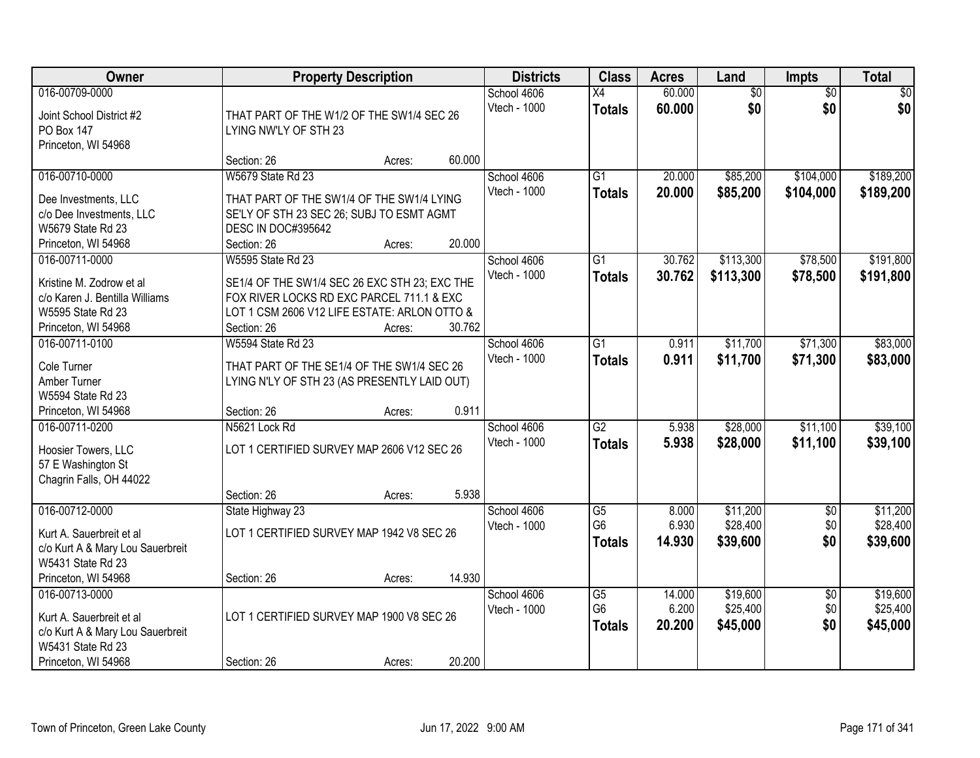| Owner                                                                                                                      | <b>Property Description</b>                                                                                                                               |        |        | <b>Districts</b>            | <b>Class</b>                          | <b>Acres</b>              | Land                             | Impts                         | <b>Total</b>                     |
|----------------------------------------------------------------------------------------------------------------------------|-----------------------------------------------------------------------------------------------------------------------------------------------------------|--------|--------|-----------------------------|---------------------------------------|---------------------------|----------------------------------|-------------------------------|----------------------------------|
| 016-00709-0000<br>Joint School District #2<br>PO Box 147<br>Princeton, WI 54968                                            | THAT PART OF THE W1/2 OF THE SW1/4 SEC 26<br>LYING NW'LY OF STH 23                                                                                        |        |        | School 4606<br>Vtech - 1000 | X4<br><b>Totals</b>                   | 60.000<br>60.000          | $\overline{60}$<br>\$0           | $\overline{30}$<br>\$0        | \$0<br>\$0                       |
|                                                                                                                            | Section: 26                                                                                                                                               | Acres: | 60.000 |                             |                                       |                           |                                  |                               |                                  |
| 016-00710-0000<br>Dee Investments, LLC<br>c/o Dee Investments, LLC<br>W5679 State Rd 23<br>Princeton, WI 54968             | <b>W5679 State Rd 23</b><br>THAT PART OF THE SW1/4 OF THE SW1/4 LYING<br>SE'LY OF STH 23 SEC 26; SUBJ TO ESMT AGMT<br>DESC IN DOC#395642<br>Section: 26   | Acres: | 20.000 | School 4606<br>Vtech - 1000 | G1<br><b>Totals</b>                   | 20.000<br>20.000          | \$85,200<br>\$85,200             | \$104,000<br>\$104,000        | \$189,200<br>\$189,200           |
| 016-00711-0000                                                                                                             | <b>W5595 State Rd 23</b>                                                                                                                                  |        |        | School 4606                 | $\overline{G1}$                       | 30.762                    | \$113,300                        | \$78,500                      | \$191,800                        |
| Kristine M. Zodrow et al<br>c/o Karen J. Bentilla Williams<br>W5595 State Rd 23<br>Princeton, WI 54968                     | SE1/4 OF THE SW1/4 SEC 26 EXC STH 23; EXC THE<br>FOX RIVER LOCKS RD EXC PARCEL 711.1 & EXC<br>LOT 1 CSM 2606 V12 LIFE ESTATE: ARLON OTTO &<br>Section: 26 | Acres: | 30.762 | Vtech - 1000                | <b>Totals</b>                         | 30.762                    | \$113,300                        | \$78,500                      | \$191,800                        |
| 016-00711-0100                                                                                                             | <b>W5594 State Rd 23</b>                                                                                                                                  |        |        | School 4606                 | G1                                    | 0.911                     | \$11,700                         | \$71,300                      | \$83,000                         |
| Cole Turner<br>Amber Turner<br>W5594 State Rd 23<br>Princeton, WI 54968                                                    | THAT PART OF THE SE1/4 OF THE SW1/4 SEC 26<br>LYING N'LY OF STH 23 (AS PRESENTLY LAID OUT)<br>Section: 26                                                 |        | 0.911  | <b>Vtech - 1000</b>         | <b>Totals</b>                         | 0.911                     | \$11,700                         | \$71,300                      | \$83,000                         |
| 016-00711-0200                                                                                                             | N5621 Lock Rd                                                                                                                                             | Acres: |        | School 4606                 | $\overline{G2}$                       | 5.938                     | \$28,000                         | \$11,100                      | \$39,100                         |
| Hoosier Towers, LLC<br>57 E Washington St<br>Chagrin Falls, OH 44022                                                       | LOT 1 CERTIFIED SURVEY MAP 2606 V12 SEC 26<br>Section: 26                                                                                                 | Acres: | 5.938  | Vtech - 1000                | <b>Totals</b>                         | 5.938                     | \$28,000                         | \$11,100                      | \$39,100                         |
| 016-00712-0000                                                                                                             | State Highway 23                                                                                                                                          |        |        | School 4606                 | $\overline{\text{G5}}$                | 8.000                     | \$11,200                         | $\sqrt{6}$                    | \$11,200                         |
| Kurt A. Sauerbreit et al<br>c/o Kurt A & Mary Lou Sauerbreit<br>W5431 State Rd 23                                          | LOT 1 CERTIFIED SURVEY MAP 1942 V8 SEC 26                                                                                                                 |        |        | <b>Vtech - 1000</b>         | G <sub>6</sub><br><b>Totals</b>       | 6.930<br>14.930           | \$28,400<br>\$39,600             | \$0<br>\$0                    | \$28,400<br>\$39,600             |
| Princeton, WI 54968                                                                                                        | Section: 26                                                                                                                                               | Acres: | 14.930 |                             |                                       |                           |                                  |                               |                                  |
| 016-00713-0000<br>Kurt A. Sauerbreit et al<br>c/o Kurt A & Mary Lou Sauerbreit<br>W5431 State Rd 23<br>Princeton, WI 54968 | LOT 1 CERTIFIED SURVEY MAP 1900 V8 SEC 26<br>Section: 26                                                                                                  | Acres: | 20.200 | School 4606<br>Vtech - 1000 | G5<br>G <sub>6</sub><br><b>Totals</b> | 14.000<br>6.200<br>20.200 | \$19,600<br>\$25,400<br>\$45,000 | $\overline{50}$<br>\$0<br>\$0 | \$19,600<br>\$25,400<br>\$45,000 |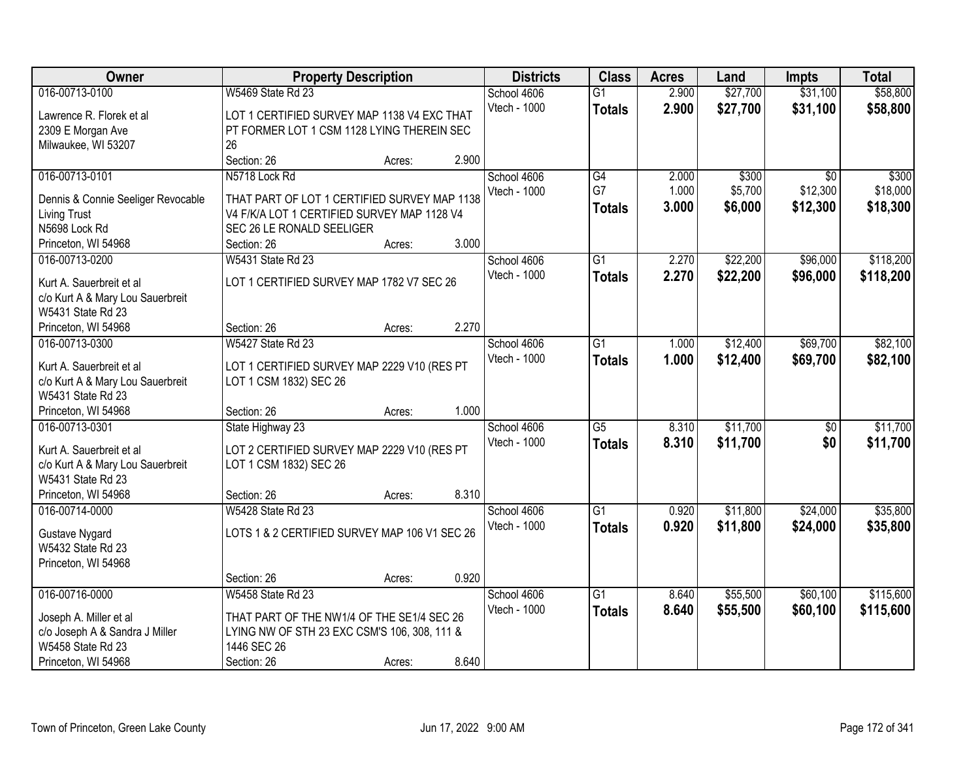| Owner                                |                                                                                             | <b>Property Description</b> |       | <b>Districts</b>    | <b>Class</b>    | <b>Acres</b> | Land     | <b>Impts</b>    | <b>Total</b> |
|--------------------------------------|---------------------------------------------------------------------------------------------|-----------------------------|-------|---------------------|-----------------|--------------|----------|-----------------|--------------|
| 016-00713-0100                       | W5469 State Rd 23                                                                           |                             |       | School 4606         | $\overline{G1}$ | 2.900        | \$27,700 | \$31,100        | \$58,800     |
| Lawrence R. Florek et al             | LOT 1 CERTIFIED SURVEY MAP 1138 V4 EXC THAT                                                 |                             |       | Vtech - 1000        | <b>Totals</b>   | 2.900        | \$27,700 | \$31,100        | \$58,800     |
| 2309 E Morgan Ave                    | PT FORMER LOT 1 CSM 1128 LYING THEREIN SEC                                                  |                             |       |                     |                 |              |          |                 |              |
| Milwaukee, WI 53207                  | 26                                                                                          |                             |       |                     |                 |              |          |                 |              |
|                                      | Section: 26                                                                                 | Acres:                      | 2.900 |                     |                 |              |          |                 |              |
| 016-00713-0101                       | N5718 Lock Rd                                                                               |                             |       | School 4606         | G4              | 2.000        | \$300    | $\overline{50}$ | \$300        |
|                                      |                                                                                             |                             |       | <b>Vtech - 1000</b> | G7              | 1.000        | \$5,700  | \$12,300        | \$18,000     |
| Dennis & Connie Seeliger Revocable   | THAT PART OF LOT 1 CERTIFIED SURVEY MAP 1138<br>V4 F/K/A LOT 1 CERTIFIED SURVEY MAP 1128 V4 |                             |       |                     | <b>Totals</b>   | 3.000        | \$6,000  | \$12,300        | \$18,300     |
| <b>Living Trust</b><br>N5698 Lock Rd | SEC 26 LE RONALD SEELIGER                                                                   |                             |       |                     |                 |              |          |                 |              |
| Princeton, WI 54968                  | Section: 26                                                                                 | Acres:                      | 3.000 |                     |                 |              |          |                 |              |
| 016-00713-0200                       | <b>W5431 State Rd 23</b>                                                                    |                             |       | School 4606         | $\overline{G1}$ | 2.270        | \$22,200 | \$96,000        | \$118,200    |
|                                      |                                                                                             |                             |       | Vtech - 1000        |                 | 2.270        | \$22,200 | \$96,000        | \$118,200    |
| Kurt A. Sauerbreit et al             | LOT 1 CERTIFIED SURVEY MAP 1782 V7 SEC 26                                                   |                             |       |                     | <b>Totals</b>   |              |          |                 |              |
| c/o Kurt A & Mary Lou Sauerbreit     |                                                                                             |                             |       |                     |                 |              |          |                 |              |
| W5431 State Rd 23                    |                                                                                             |                             |       |                     |                 |              |          |                 |              |
| Princeton, WI 54968                  | Section: 26                                                                                 | Acres:                      | 2.270 |                     |                 |              |          |                 |              |
| 016-00713-0300                       | W5427 State Rd 23                                                                           |                             |       | School 4606         | G1              | 1.000        | \$12,400 | \$69,700        | \$82,100     |
| Kurt A. Sauerbreit et al             | LOT 1 CERTIFIED SURVEY MAP 2229 V10 (RES PT                                                 |                             |       | Vtech - 1000        | <b>Totals</b>   | 1.000        | \$12,400 | \$69,700        | \$82,100     |
| c/o Kurt A & Mary Lou Sauerbreit     | LOT 1 CSM 1832) SEC 26                                                                      |                             |       |                     |                 |              |          |                 |              |
| W5431 State Rd 23                    |                                                                                             |                             |       |                     |                 |              |          |                 |              |
| Princeton, WI 54968                  | Section: 26                                                                                 | Acres:                      | 1.000 |                     |                 |              |          |                 |              |
| 016-00713-0301                       | State Highway 23                                                                            |                             |       | School 4606         | $\overline{G5}$ | 8.310        | \$11,700 | $\overline{50}$ | \$11,700     |
|                                      |                                                                                             |                             |       | Vtech - 1000        | <b>Totals</b>   | 8.310        | \$11,700 | \$0             | \$11,700     |
| Kurt A. Sauerbreit et al             | LOT 2 CERTIFIED SURVEY MAP 2229 V10 (RES PT                                                 |                             |       |                     |                 |              |          |                 |              |
| c/o Kurt A & Mary Lou Sauerbreit     | LOT 1 CSM 1832) SEC 26                                                                      |                             |       |                     |                 |              |          |                 |              |
| W5431 State Rd 23                    |                                                                                             |                             |       |                     |                 |              |          |                 |              |
| Princeton, WI 54968                  | Section: 26                                                                                 | Acres:                      | 8.310 |                     |                 |              |          |                 |              |
| 016-00714-0000                       | W5428 State Rd 23                                                                           |                             |       | School 4606         | G1              | 0.920        | \$11,800 | \$24,000        | \$35,800     |
| Gustave Nygard                       | LOTS 1 & 2 CERTIFIED SURVEY MAP 106 V1 SEC 26                                               |                             |       | Vtech - 1000        | <b>Totals</b>   | 0.920        | \$11,800 | \$24,000        | \$35,800     |
| W5432 State Rd 23                    |                                                                                             |                             |       |                     |                 |              |          |                 |              |
| Princeton, WI 54968                  |                                                                                             |                             |       |                     |                 |              |          |                 |              |
|                                      | Section: 26                                                                                 | Acres:                      | 0.920 |                     |                 |              |          |                 |              |
| 016-00716-0000                       | W5458 State Rd 23                                                                           |                             |       | School 4606         | $\overline{G1}$ | 8.640        | \$55,500 | \$60,100        | \$115,600    |
| Joseph A. Miller et al               | THAT PART OF THE NW1/4 OF THE SE1/4 SEC 26                                                  |                             |       | Vtech - 1000        | <b>Totals</b>   | 8.640        | \$55,500 | \$60,100        | \$115,600    |
| c/o Joseph A & Sandra J Miller       | LYING NW OF STH 23 EXC CSM'S 106, 308, 111 &                                                |                             |       |                     |                 |              |          |                 |              |
| W5458 State Rd 23                    | 1446 SEC 26                                                                                 |                             |       |                     |                 |              |          |                 |              |
| Princeton, WI 54968                  | Section: 26                                                                                 | Acres:                      | 8.640 |                     |                 |              |          |                 |              |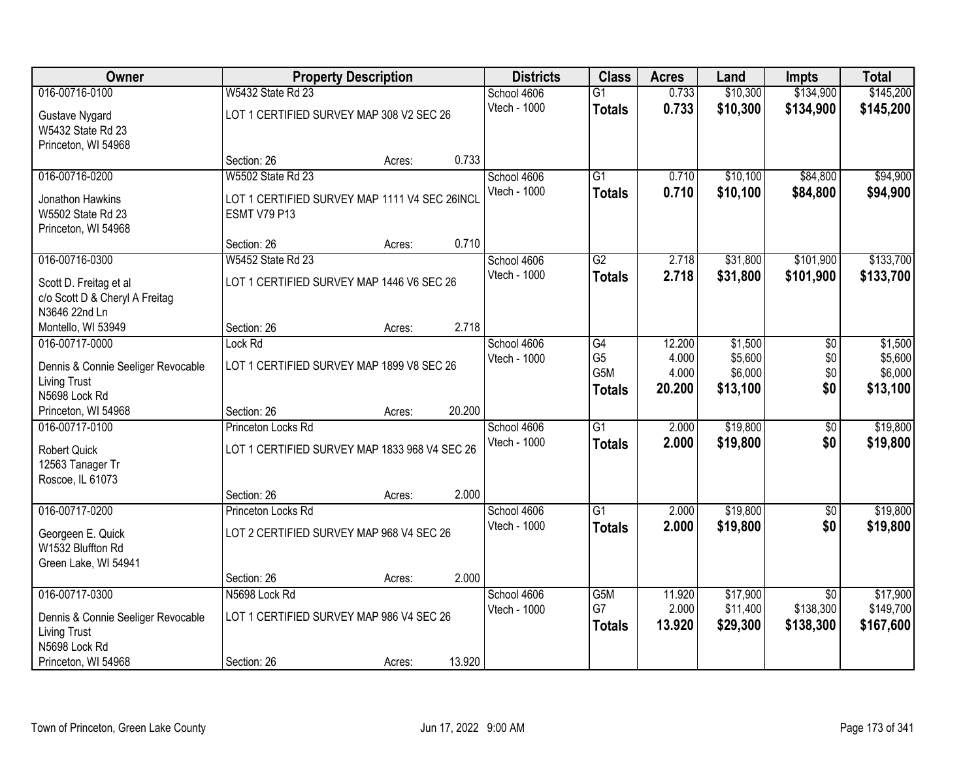| Owner                               | <b>Property Description</b>                   |        |        | <b>Districts</b> | <b>Class</b>    | <b>Acres</b> | Land     | Impts           | <b>Total</b> |
|-------------------------------------|-----------------------------------------------|--------|--------|------------------|-----------------|--------------|----------|-----------------|--------------|
| 016-00716-0100                      | <b>W5432 State Rd 23</b>                      |        |        | School 4606      | $\overline{G1}$ | 0.733        | \$10,300 | \$134,900       | \$145,200    |
| Gustave Nygard<br>W5432 State Rd 23 | LOT 1 CERTIFIED SURVEY MAP 308 V2 SEC 26      |        |        | Vtech - 1000     | <b>Totals</b>   | 0.733        | \$10,300 | \$134,900       | \$145,200    |
| Princeton, WI 54968                 |                                               |        |        |                  |                 |              |          |                 |              |
|                                     | Section: 26                                   | Acres: | 0.733  |                  |                 |              |          |                 |              |
| 016-00716-0200                      | <b>W5502 State Rd 23</b>                      |        |        | School 4606      | $\overline{G1}$ | 0.710        | \$10,100 | \$84,800        | \$94,900     |
| Jonathon Hawkins                    | LOT 1 CERTIFIED SURVEY MAP 1111 V4 SEC 26INCI |        |        | Vtech - 1000     | <b>Totals</b>   | 0.710        | \$10,100 | \$84,800        | \$94,900     |
| W5502 State Rd 23                   | <b>ESMT V79 P13</b>                           |        |        |                  |                 |              |          |                 |              |
| Princeton, WI 54968                 |                                               |        |        |                  |                 |              |          |                 |              |
|                                     | Section: 26                                   | Acres: | 0.710  |                  |                 |              |          |                 |              |
| 016-00716-0300                      | W5452 State Rd 23                             |        |        | School 4606      | G2              | 2.718        | \$31,800 | \$101,900       | \$133,700    |
| Scott D. Freitag et al              | LOT 1 CERTIFIED SURVEY MAP 1446 V6 SEC 26     |        |        | Vtech - 1000     | <b>Totals</b>   | 2.718        | \$31,800 | \$101,900       | \$133,700    |
| c/o Scott D & Cheryl A Freitag      |                                               |        |        |                  |                 |              |          |                 |              |
| N3646 22nd Ln                       |                                               |        |        |                  |                 |              |          |                 |              |
| Montello, WI 53949                  | Section: 26                                   | Acres: | 2.718  |                  |                 |              |          |                 |              |
| 016-00717-0000                      | Lock Rd                                       |        |        | School 4606      | $\overline{G4}$ | 12.200       | \$1,500  | $\overline{50}$ | \$1,500      |
| Dennis & Connie Seeliger Revocable  | LOT 1 CERTIFIED SURVEY MAP 1899 V8 SEC 26     |        |        | Vtech - 1000     | G <sub>5</sub>  | 4.000        | \$5,600  | \$0             | \$5,600      |
| <b>Living Trust</b>                 |                                               |        |        |                  | G5M             | 4.000        | \$6,000  | \$0             | \$6,000      |
| N5698 Lock Rd                       |                                               |        |        |                  | <b>Totals</b>   | 20.200       | \$13,100 | \$0             | \$13,100     |
| Princeton, WI 54968                 | Section: 26                                   | Acres: | 20.200 |                  |                 |              |          |                 |              |
| 016-00717-0100                      | Princeton Locks Rd                            |        |        | School 4606      | $\overline{G1}$ | 2.000        | \$19,800 | $\overline{50}$ | \$19,800     |
| <b>Robert Quick</b>                 | LOT 1 CERTIFIED SURVEY MAP 1833 968 V4 SEC 26 |        |        | Vtech - 1000     | <b>Totals</b>   | 2.000        | \$19,800 | \$0             | \$19,800     |
| 12563 Tanager Tr                    |                                               |        |        |                  |                 |              |          |                 |              |
| Roscoe, IL 61073                    |                                               |        |        |                  |                 |              |          |                 |              |
|                                     | Section: 26                                   | Acres: | 2.000  |                  |                 |              |          |                 |              |
| 016-00717-0200                      | Princeton Locks Rd                            |        |        | School 4606      | $\overline{G1}$ | 2.000        | \$19,800 | $\overline{60}$ | \$19,800     |
| Georgeen E. Quick                   | LOT 2 CERTIFIED SURVEY MAP 968 V4 SEC 26      |        |        | Vtech - 1000     | <b>Totals</b>   | 2.000        | \$19,800 | \$0             | \$19,800     |
| W1532 Bluffton Rd                   |                                               |        |        |                  |                 |              |          |                 |              |
| Green Lake, WI 54941                |                                               |        |        |                  |                 |              |          |                 |              |
|                                     | Section: 26                                   | Acres: | 2.000  |                  |                 |              |          |                 |              |
| 016-00717-0300                      | N5698 Lock Rd                                 |        |        | School 4606      | G5M             | 11.920       | \$17,900 | $\overline{50}$ | \$17,900     |
| Dennis & Connie Seeliger Revocable  | LOT 1 CERTIFIED SURVEY MAP 986 V4 SEC 26      |        |        | Vtech - 1000     | G7              | 2.000        | \$11,400 | \$138,300       | \$149,700    |
| <b>Living Trust</b>                 |                                               |        |        |                  | <b>Totals</b>   | 13.920       | \$29,300 | \$138,300       | \$167,600    |
| N5698 Lock Rd                       |                                               |        |        |                  |                 |              |          |                 |              |
| Princeton, WI 54968                 | Section: 26                                   | Acres: | 13.920 |                  |                 |              |          |                 |              |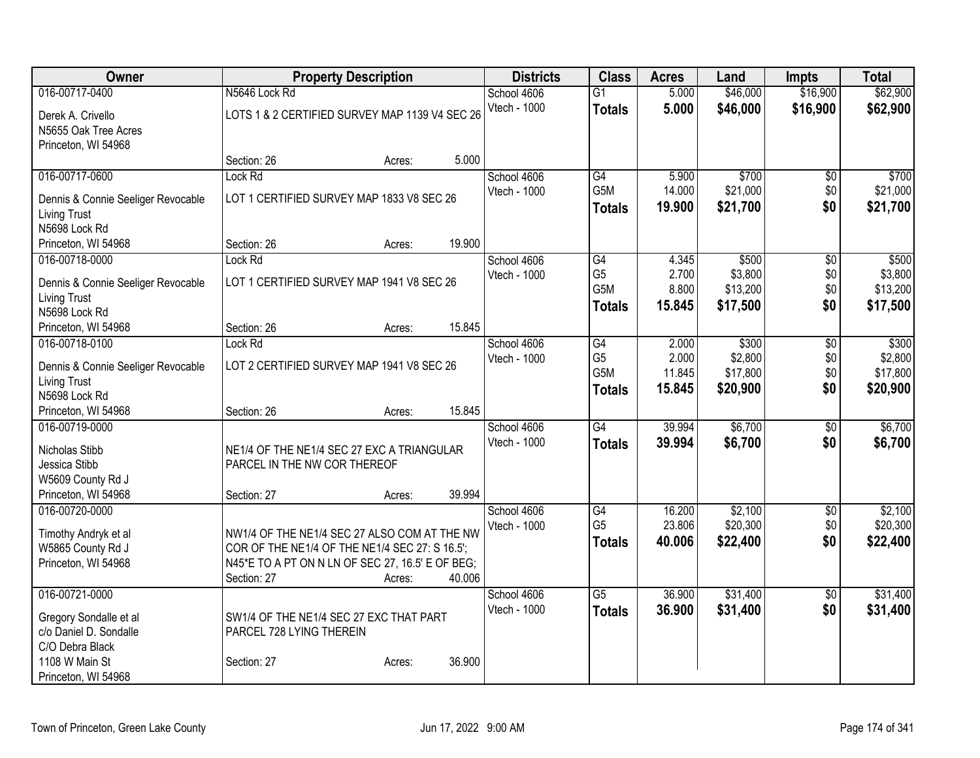| Owner                                |                                                  | <b>Property Description</b> |        |              | <b>Class</b>     | <b>Acres</b> | Land     | <b>Impts</b>    | <b>Total</b> |
|--------------------------------------|--------------------------------------------------|-----------------------------|--------|--------------|------------------|--------------|----------|-----------------|--------------|
| 016-00717-0400                       | N5646 Lock Rd                                    |                             |        | School 4606  | $\overline{G1}$  | 5.000        | \$46,000 | \$16,900        | \$62,900     |
| Derek A. Crivello                    | LOTS 1 & 2 CERTIFIED SURVEY MAP 1139 V4 SEC 26   |                             |        | Vtech - 1000 | <b>Totals</b>    | 5.000        | \$46,000 | \$16,900        | \$62,900     |
| N5655 Oak Tree Acres                 |                                                  |                             |        |              |                  |              |          |                 |              |
| Princeton, WI 54968                  |                                                  |                             |        |              |                  |              |          |                 |              |
|                                      | Section: 26                                      | Acres:                      | 5.000  |              |                  |              |          |                 |              |
| 016-00717-0600                       | Lock Rd                                          |                             |        | School 4606  | G4               | 5.900        | \$700    | $\overline{50}$ | \$700        |
| Dennis & Connie Seeliger Revocable   | LOT 1 CERTIFIED SURVEY MAP 1833 V8 SEC 26        |                             |        | Vtech - 1000 | G5M              | 14.000       | \$21,000 | \$0             | \$21,000     |
| <b>Living Trust</b>                  |                                                  |                             |        |              | <b>Totals</b>    | 19.900       | \$21,700 | \$0             | \$21,700     |
| N5698 Lock Rd                        |                                                  |                             |        |              |                  |              |          |                 |              |
| Princeton, WI 54968                  | Section: 26                                      | Acres:                      | 19.900 |              |                  |              |          |                 |              |
| 016-00718-0000                       | Lock Rd                                          |                             |        | School 4606  | $\overline{G4}$  | 4.345        | \$500    | $\overline{50}$ | \$500        |
|                                      |                                                  |                             |        | Vtech - 1000 | G <sub>5</sub>   | 2.700        | \$3,800  | \$0             | \$3,800      |
| Dennis & Connie Seeliger Revocable   | LOT 1 CERTIFIED SURVEY MAP 1941 V8 SEC 26        |                             |        |              | G <sub>5</sub> M | 8.800        | \$13,200 | \$0             | \$13,200     |
| <b>Living Trust</b><br>N5698 Lock Rd |                                                  |                             |        |              | <b>Totals</b>    | 15.845       | \$17,500 | \$0             | \$17,500     |
| Princeton, WI 54968                  | Section: 26                                      | Acres:                      | 15.845 |              |                  |              |          |                 |              |
| 016-00718-0100                       | Lock Rd                                          |                             |        | School 4606  | $\overline{G4}$  | 2.000        | \$300    | $\overline{50}$ | \$300        |
|                                      |                                                  |                             |        | Vtech - 1000 | G <sub>5</sub>   | 2.000        | \$2,800  | \$0             | \$2,800      |
| Dennis & Connie Seeliger Revocable   | LOT 2 CERTIFIED SURVEY MAP 1941 V8 SEC 26        |                             |        |              | G5M              | 11.845       | \$17,800 | \$0             | \$17,800     |
| <b>Living Trust</b>                  |                                                  |                             |        |              | <b>Totals</b>    | 15.845       | \$20,900 | \$0             | \$20,900     |
| N5698 Lock Rd                        |                                                  |                             |        |              |                  |              |          |                 |              |
| Princeton, WI 54968                  | Section: 26                                      | Acres:                      | 15.845 |              |                  |              |          |                 |              |
| 016-00719-0000                       |                                                  |                             |        | School 4606  | $\overline{G4}$  | 39.994       | \$6,700  | $\overline{50}$ | \$6,700      |
| Nicholas Stibb                       | NE1/4 OF THE NE1/4 SEC 27 EXC A TRIANGULAR       |                             |        | Vtech - 1000 | <b>Totals</b>    | 39.994       | \$6,700  | \$0             | \$6,700      |
| Jessica Stibb                        | PARCEL IN THE NW COR THEREOF                     |                             |        |              |                  |              |          |                 |              |
| W5609 County Rd J                    |                                                  |                             |        |              |                  |              |          |                 |              |
| Princeton, WI 54968                  | Section: 27                                      | Acres:                      | 39.994 |              |                  |              |          |                 |              |
| 016-00720-0000                       |                                                  |                             |        | School 4606  | G4               | 16.200       | \$2,100  | $\overline{50}$ | \$2,100      |
| Timothy Andryk et al                 | NW1/4 OF THE NE1/4 SEC 27 ALSO COM AT THE NW     |                             |        | Vtech - 1000 | G <sub>5</sub>   | 23.806       | \$20,300 | \$0             | \$20,300     |
| W5865 County Rd J                    | COR OF THE NE1/4 OF THE NE1/4 SEC 27: S 16.5';   |                             |        |              | <b>Totals</b>    | 40.006       | \$22,400 | \$0             | \$22,400     |
| Princeton, WI 54968                  | N45*E TO A PT ON N LN OF SEC 27, 16.5' E OF BEG; |                             |        |              |                  |              |          |                 |              |
|                                      | Section: 27                                      | Acres:                      | 40.006 |              |                  |              |          |                 |              |
| 016-00721-0000                       |                                                  |                             |        | School 4606  | $\overline{G5}$  | 36.900       | \$31,400 | $\overline{50}$ | \$31,400     |
| Gregory Sondalle et al               | SW1/4 OF THE NE1/4 SEC 27 EXC THAT PART          |                             |        | Vtech - 1000 | <b>Totals</b>    | 36.900       | \$31,400 | \$0             | \$31,400     |
| c/o Daniel D. Sondalle               | PARCEL 728 LYING THEREIN                         |                             |        |              |                  |              |          |                 |              |
| C/O Debra Black                      |                                                  |                             |        |              |                  |              |          |                 |              |
| 1108 W Main St                       | Section: 27                                      | Acres:                      | 36.900 |              |                  |              |          |                 |              |
| Princeton, WI 54968                  |                                                  |                             |        |              |                  |              |          |                 |              |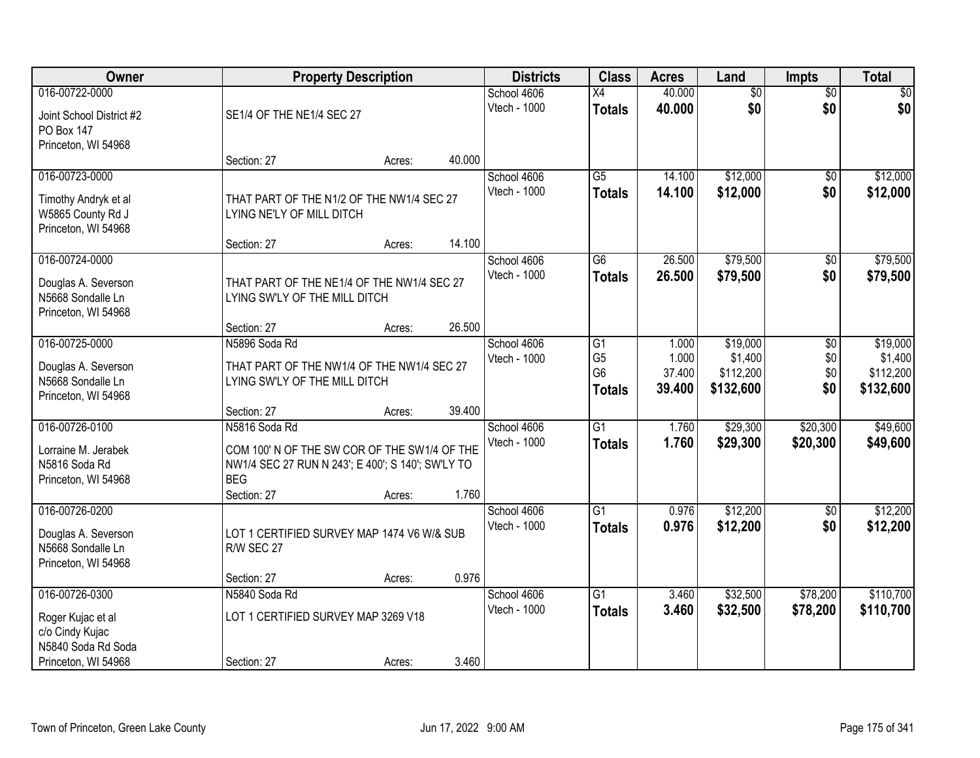| Owner                                                                              |                                                                                                                                                 | <b>Property Description</b> |        | <b>Districts</b>            | <b>Class</b>                                            | <b>Acres</b>                       | Land                                          | <b>Impts</b>             | <b>Total</b>                                  |
|------------------------------------------------------------------------------------|-------------------------------------------------------------------------------------------------------------------------------------------------|-----------------------------|--------|-----------------------------|---------------------------------------------------------|------------------------------------|-----------------------------------------------|--------------------------|-----------------------------------------------|
| 016-00722-0000                                                                     |                                                                                                                                                 |                             |        | School 4606                 | $\overline{X4}$                                         | 40.000                             | $\overline{60}$                               | $\overline{50}$          | $\overline{30}$                               |
| Joint School District #2<br>PO Box 147<br>Princeton, WI 54968                      | SE1/4 OF THE NE1/4 SEC 27                                                                                                                       |                             |        | Vtech - 1000                | <b>Totals</b>                                           | 40.000                             | \$0                                           | \$0                      | \$0                                           |
|                                                                                    | Section: 27                                                                                                                                     | Acres:                      | 40.000 |                             |                                                         |                                    |                                               |                          |                                               |
| 016-00723-0000<br>Timothy Andryk et al<br>W5865 County Rd J<br>Princeton, WI 54968 | THAT PART OF THE N1/2 OF THE NW1/4 SEC 27<br>LYING NE'LY OF MILL DITCH                                                                          |                             |        | School 4606<br>Vtech - 1000 | $\overline{G5}$<br><b>Totals</b>                        | 14.100<br>14.100                   | \$12,000<br>\$12,000                          | \$0<br>\$0               | \$12,000<br>\$12,000                          |
|                                                                                    | Section: 27                                                                                                                                     | Acres:                      | 14.100 |                             |                                                         |                                    |                                               |                          |                                               |
| 016-00724-0000<br>Douglas A. Severson<br>N5668 Sondalle Ln<br>Princeton, WI 54968  | THAT PART OF THE NE1/4 OF THE NW1/4 SEC 27<br>LYING SW'LY OF THE MILL DITCH                                                                     |                             |        | School 4606<br>Vtech - 1000 | G <sub>6</sub><br><b>Totals</b>                         | 26.500<br>26.500                   | \$79,500<br>\$79,500                          | \$0<br>\$0               | \$79,500<br>\$79,500                          |
|                                                                                    | Section: 27                                                                                                                                     | Acres:                      | 26.500 |                             |                                                         |                                    |                                               |                          |                                               |
| 016-00725-0000<br>Douglas A. Severson<br>N5668 Sondalle Ln<br>Princeton, WI 54968  | N5896 Soda Rd<br>THAT PART OF THE NW1/4 OF THE NW1/4 SEC 27<br>LYING SW'LY OF THE MILL DITCH                                                    |                             |        | School 4606<br>Vtech - 1000 | G1<br>G <sub>5</sub><br>G <sub>6</sub><br><b>Totals</b> | 1.000<br>1.000<br>37.400<br>39.400 | \$19,000<br>\$1,400<br>\$112,200<br>\$132,600 | \$0<br>\$0<br>\$0<br>\$0 | \$19,000<br>\$1,400<br>\$112,200<br>\$132,600 |
|                                                                                    | Section: 27                                                                                                                                     | Acres:                      | 39.400 |                             |                                                         |                                    |                                               |                          |                                               |
| 016-00726-0100<br>Lorraine M. Jerabek<br>N5816 Soda Rd<br>Princeton, WI 54968      | N5816 Soda Rd<br>COM 100' N OF THE SW COR OF THE SW1/4 OF THE<br>NW1/4 SEC 27 RUN N 243'; E 400'; S 140'; SW'LY TO<br><b>BEG</b><br>Section: 27 | Acres:                      | 1.760  | School 4606<br>Vtech - 1000 | $\overline{G1}$<br><b>Totals</b>                        | 1.760<br>1.760                     | \$29,300<br>\$29,300                          | \$20,300<br>\$20,300     | \$49,600<br>\$49,600                          |
| 016-00726-0200<br>Douglas A. Severson<br>N5668 Sondalle Ln<br>Princeton, WI 54968  | LOT 1 CERTIFIED SURVEY MAP 1474 V6 W/& SUB<br>R/W SEC 27<br>Section: 27                                                                         | Acres:                      | 0.976  | School 4606<br>Vtech - 1000 | G1<br><b>Totals</b>                                     | 0.976<br>0.976                     | \$12,200<br>\$12,200                          | $\sqrt{$0}$<br>\$0       | \$12,200<br>\$12,200                          |
| 016-00726-0300                                                                     | N5840 Soda Rd                                                                                                                                   |                             |        | School 4606                 | $\overline{G1}$                                         | 3.460                              | \$32,500                                      | \$78,200                 | \$110,700                                     |
| Roger Kujac et al<br>c/o Cindy Kujac<br>N5840 Soda Rd Soda<br>Princeton, WI 54968  | LOT 1 CERTIFIED SURVEY MAP 3269 V18<br>Section: 27                                                                                              |                             | 3.460  | Vtech - 1000                | <b>Totals</b>                                           | 3.460                              | \$32,500                                      | \$78,200                 | \$110,700                                     |
|                                                                                    |                                                                                                                                                 | Acres:                      |        |                             |                                                         |                                    |                                               |                          |                                               |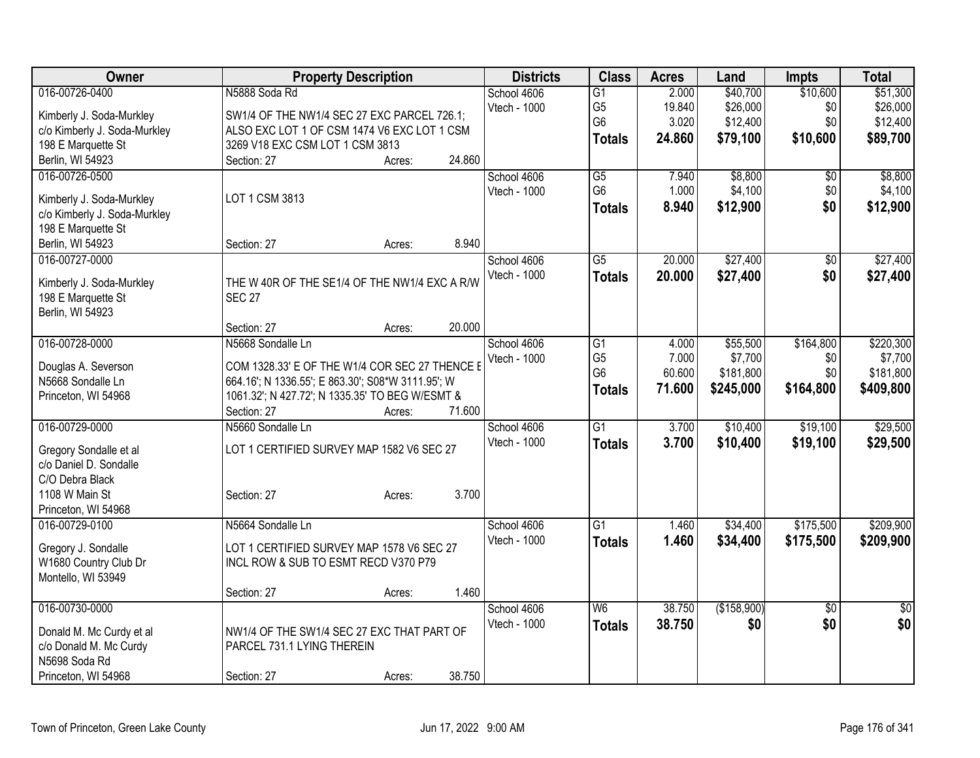| Owner                        | <b>Property Description</b>                       |        |        | <b>Districts</b> | <b>Class</b>    | <b>Acres</b> | Land        | <b>Impts</b>    | <b>Total</b>    |
|------------------------------|---------------------------------------------------|--------|--------|------------------|-----------------|--------------|-------------|-----------------|-----------------|
| 016-00726-0400               | N5888 Soda Rd                                     |        |        | School 4606      | $\overline{G1}$ | 2.000        | \$40,700    | \$10,600        | \$51,300        |
| Kimberly J. Soda-Murkley     | SW1/4 OF THE NW1/4 SEC 27 EXC PARCEL 726.1;       |        |        | Vtech - 1000     | G <sub>5</sub>  | 19.840       | \$26,000    | \$0             | \$26,000        |
| c/o Kimberly J. Soda-Murkley | ALSO EXC LOT 1 OF CSM 1474 V6 EXC LOT 1 CSM       |        |        |                  | G <sub>6</sub>  | 3.020        | \$12,400    | \$0             | \$12,400        |
| 198 E Marquette St           | 3269 V18 EXC CSM LOT 1 CSM 3813                   |        |        |                  | <b>Totals</b>   | 24.860       | \$79,100    | \$10,600        | \$89,700        |
| Berlin, WI 54923             | Section: 27                                       | Acres: | 24.860 |                  |                 |              |             |                 |                 |
| 016-00726-0500               |                                                   |        |        | School 4606      | $\overline{G5}$ | 7.940        | \$8,800     | $\overline{50}$ | \$8,800         |
|                              |                                                   |        |        | Vtech - 1000     | G <sub>6</sub>  | 1.000        | \$4,100     | \$0             | \$4,100         |
| Kimberly J. Soda-Murkley     | LOT 1 CSM 3813                                    |        |        |                  | <b>Totals</b>   | 8.940        | \$12,900    | \$0             | \$12,900        |
| c/o Kimberly J. Soda-Murkley |                                                   |        |        |                  |                 |              |             |                 |                 |
| 198 E Marquette St           |                                                   |        |        |                  |                 |              |             |                 |                 |
| Berlin, WI 54923             | Section: 27                                       | Acres: | 8.940  |                  |                 |              |             |                 |                 |
| 016-00727-0000               |                                                   |        |        | School 4606      | $\overline{G5}$ | 20.000       | \$27,400    | \$0             | \$27,400        |
| Kimberly J. Soda-Murkley     | THE W 40R OF THE SE1/4 OF THE NW1/4 EXC A R/W     |        |        | Vtech - 1000     | <b>Totals</b>   | 20.000       | \$27,400    | \$0             | \$27,400        |
| 198 E Marquette St           | <b>SEC 27</b>                                     |        |        |                  |                 |              |             |                 |                 |
| Berlin, WI 54923             |                                                   |        |        |                  |                 |              |             |                 |                 |
|                              | Section: 27                                       | Acres: | 20.000 |                  |                 |              |             |                 |                 |
| 016-00728-0000               | N5668 Sondalle Ln                                 |        |        | School 4606      | G1              | 4.000        | \$55,500    | \$164,800       | \$220,300       |
|                              |                                                   |        |        | Vtech - 1000     | G <sub>5</sub>  | 7.000        | \$7,700     | \$0             | \$7,700         |
| Douglas A. Severson          | COM 1328.33' E OF THE W1/4 COR SEC 27 THENCE E    |        |        |                  | G <sub>6</sub>  | 60.600       | \$181,800   | \$0             | \$181,800       |
| N5668 Sondalle Ln            | 664.16'; N 1336.55'; E 863.30'; S08*W 3111.95'; W |        |        |                  |                 | 71.600       | \$245,000   | \$164,800       | \$409,800       |
| Princeton, WI 54968          | 1061.32'; N 427.72'; N 1335.35' TO BEG W/ESMT &   |        |        |                  | <b>Totals</b>   |              |             |                 |                 |
|                              | Section: 27                                       | Acres: | 71.600 |                  |                 |              |             |                 |                 |
| 016-00729-0000               | N5660 Sondalle Ln                                 |        |        | School 4606      | $\overline{G1}$ | 3.700        | \$10,400    | \$19,100        | \$29,500        |
| Gregory Sondalle et al       | LOT 1 CERTIFIED SURVEY MAP 1582 V6 SEC 27         |        |        | Vtech - 1000     | <b>Totals</b>   | 3.700        | \$10,400    | \$19,100        | \$29,500        |
| c/o Daniel D. Sondalle       |                                                   |        |        |                  |                 |              |             |                 |                 |
| C/O Debra Black              |                                                   |        |        |                  |                 |              |             |                 |                 |
| 1108 W Main St               | Section: 27                                       | Acres: | 3.700  |                  |                 |              |             |                 |                 |
| Princeton, WI 54968          |                                                   |        |        |                  |                 |              |             |                 |                 |
| 016-00729-0100               | N5664 Sondalle Ln                                 |        |        | School 4606      | $\overline{G1}$ | 1.460        | \$34,400    | \$175,500       | \$209,900       |
|                              |                                                   |        |        | Vtech - 1000     | <b>Totals</b>   | 1.460        | \$34,400    | \$175,500       | \$209,900       |
| Gregory J. Sondalle          | LOT 1 CERTIFIED SURVEY MAP 1578 V6 SEC 27         |        |        |                  |                 |              |             |                 |                 |
| W1680 Country Club Dr        | INCL ROW & SUB TO ESMT RECD V370 P79              |        |        |                  |                 |              |             |                 |                 |
| Montello, WI 53949           |                                                   |        |        |                  |                 |              |             |                 |                 |
|                              | Section: 27                                       | Acres: | 1.460  |                  |                 |              |             |                 |                 |
| 016-00730-0000               |                                                   |        |        | School 4606      | W6              | 38.750       | (\$158,900) | $\overline{50}$ | $\overline{50}$ |
| Donald M. Mc Curdy et al     | NW1/4 OF THE SW1/4 SEC 27 EXC THAT PART OF        |        |        | Vtech - 1000     | <b>Totals</b>   | 38.750       | \$0         | \$0             | \$0             |
| c/o Donald M. Mc Curdy       | PARCEL 731.1 LYING THEREIN                        |        |        |                  |                 |              |             |                 |                 |
| N5698 Soda Rd                |                                                   |        |        |                  |                 |              |             |                 |                 |
| Princeton, WI 54968          | Section: 27                                       | Acres: | 38.750 |                  |                 |              |             |                 |                 |
|                              |                                                   |        |        |                  |                 |              |             |                 |                 |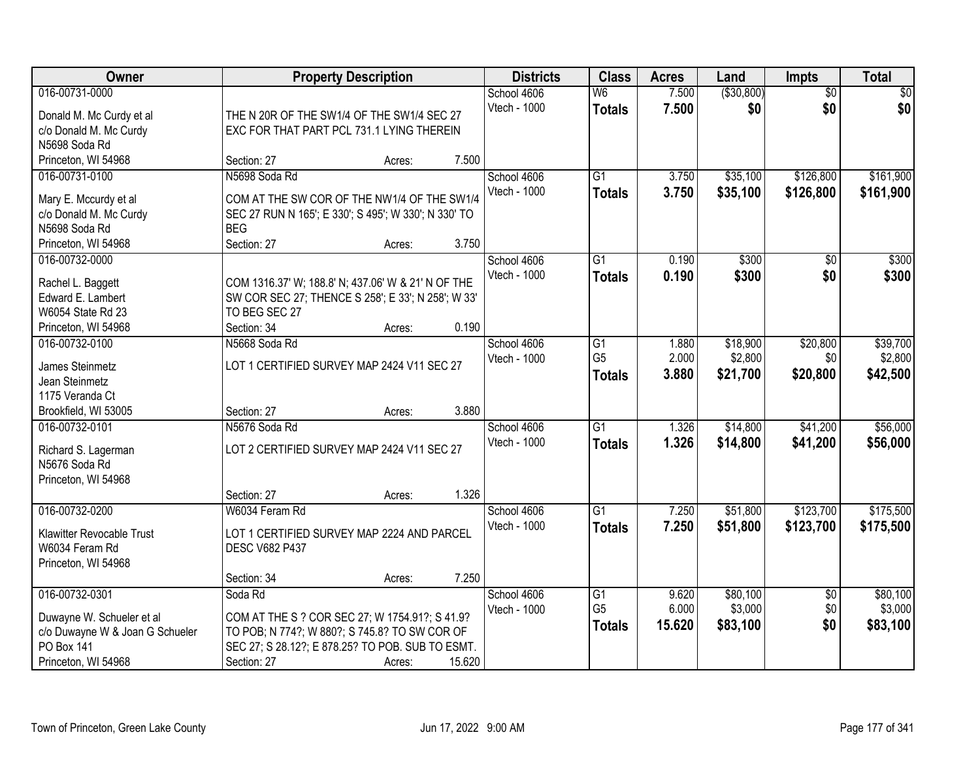| Owner                                  | <b>Property Description</b>                                         |        | <b>Districts</b> | <b>Class</b>             | <b>Acres</b> | Land         | <b>Impts</b>    | <b>Total</b> |
|----------------------------------------|---------------------------------------------------------------------|--------|------------------|--------------------------|--------------|--------------|-----------------|--------------|
| 016-00731-0000                         |                                                                     |        | School 4606      | $\overline{\mathsf{W6}}$ | 7.500        | ( \$30, 800) | $\overline{30}$ | \$0          |
| Donald M. Mc Curdy et al               | THE N 20R OF THE SW1/4 OF THE SW1/4 SEC 27                          |        | Vtech - 1000     | <b>Totals</b>            | 7.500        | \$0          | \$0             | \$0          |
| c/o Donald M. Mc Curdy                 | EXC FOR THAT PART PCL 731.1 LYING THEREIN                           |        |                  |                          |              |              |                 |              |
| N5698 Soda Rd                          |                                                                     |        |                  |                          |              |              |                 |              |
| Princeton, WI 54968                    | Section: 27                                                         | Acres: | 7.500            |                          |              |              |                 |              |
| 016-00731-0100                         | N5698 Soda Rd                                                       |        | School 4606      | $\overline{G1}$          | 3.750        | \$35,100     | \$126,800       | \$161,900    |
| Mary E. Mccurdy et al                  | COM AT THE SW COR OF THE NW1/4 OF THE SW1/4                         |        | Vtech - 1000     | <b>Totals</b>            | 3.750        | \$35,100     | \$126,800       | \$161,900    |
| c/o Donald M. Mc Curdy                 | SEC 27 RUN N 165'; E 330'; S 495'; W 330'; N 330' TO                |        |                  |                          |              |              |                 |              |
| N5698 Soda Rd                          | <b>BEG</b>                                                          |        |                  |                          |              |              |                 |              |
| Princeton, WI 54968                    | Section: 27                                                         | Acres: | 3.750            |                          |              |              |                 |              |
| 016-00732-0000                         |                                                                     |        | School 4606      | G1                       | 0.190        | \$300        | \$0             | \$300        |
|                                        |                                                                     |        | Vtech - 1000     | <b>Totals</b>            | 0.190        | \$300        | \$0             | \$300        |
| Rachel L. Baggett<br>Edward E. Lambert | COM 1316.37' W; 188.8' N; 437.06' W & 21' N OF THE                  |        |                  |                          |              |              |                 |              |
| W6054 State Rd 23                      | SW COR SEC 27; THENCE S 258'; E 33'; N 258'; W 33'<br>TO BEG SEC 27 |        |                  |                          |              |              |                 |              |
| Princeton, WI 54968                    | Section: 34                                                         | Acres: | 0.190            |                          |              |              |                 |              |
| 016-00732-0100                         | N5668 Soda Rd                                                       |        | School 4606      | $\overline{G1}$          | 1.880        | \$18,900     | \$20,800        | \$39,700     |
|                                        |                                                                     |        | Vtech - 1000     | G <sub>5</sub>           | 2.000        | \$2,800      | \$0             | \$2,800      |
| James Steinmetz                        | LOT 1 CERTIFIED SURVEY MAP 2424 V11 SEC 27                          |        |                  |                          | 3.880        | \$21,700     | \$20,800        | \$42,500     |
| Jean Steinmetz                         |                                                                     |        |                  | <b>Totals</b>            |              |              |                 |              |
| 1175 Veranda Ct                        |                                                                     |        |                  |                          |              |              |                 |              |
| Brookfield, WI 53005                   | Section: 27                                                         | Acres: | 3.880            |                          |              |              |                 |              |
| 016-00732-0101                         | N5676 Soda Rd                                                       |        | School 4606      | $\overline{G1}$          | 1.326        | \$14,800     | \$41,200        | \$56,000     |
| Richard S. Lagerman                    | LOT 2 CERTIFIED SURVEY MAP 2424 V11 SEC 27                          |        | Vtech - 1000     | <b>Totals</b>            | 1.326        | \$14,800     | \$41,200        | \$56,000     |
| N5676 Soda Rd                          |                                                                     |        |                  |                          |              |              |                 |              |
| Princeton, WI 54968                    |                                                                     |        |                  |                          |              |              |                 |              |
|                                        | Section: 27                                                         | Acres: | 1.326            |                          |              |              |                 |              |
| 016-00732-0200                         | W6034 Feram Rd                                                      |        | School 4606      | $\overline{G1}$          | 7.250        | \$51,800     | \$123,700       | \$175,500    |
| Klawitter Revocable Trust              | LOT 1 CERTIFIED SURVEY MAP 2224 AND PARCEL                          |        | Vtech - 1000     | <b>Totals</b>            | 7.250        | \$51,800     | \$123,700       | \$175,500    |
| W6034 Feram Rd                         | <b>DESC V682 P437</b>                                               |        |                  |                          |              |              |                 |              |
| Princeton, WI 54968                    |                                                                     |        |                  |                          |              |              |                 |              |
|                                        | Section: 34                                                         | Acres: | 7.250            |                          |              |              |                 |              |
| 016-00732-0301                         | Soda Rd                                                             |        | School 4606      | $\overline{G1}$          | 9.620        | \$80,100     | \$0             | \$80,100     |
|                                        |                                                                     |        | Vtech - 1000     | G <sub>5</sub>           | 6.000        | \$3,000      | \$0             | \$3,000      |
| Duwayne W. Schueler et al              | COM AT THE S ? COR SEC 27; W 1754.91?; S 41.9?                      |        |                  | <b>Totals</b>            | 15.620       | \$83,100     | \$0             | \$83,100     |
| c/o Duwayne W & Joan G Schueler        | TO POB; N 774?; W 880?; S 745.8? TO SW COR OF                       |        |                  |                          |              |              |                 |              |
| PO Box 141                             | SEC 27; S 28.12?; E 878.25? TO POB. SUB TO ESMT.                    |        |                  |                          |              |              |                 |              |
| Princeton, WI 54968                    | Section: 27                                                         | Acres: | 15.620           |                          |              |              |                 |              |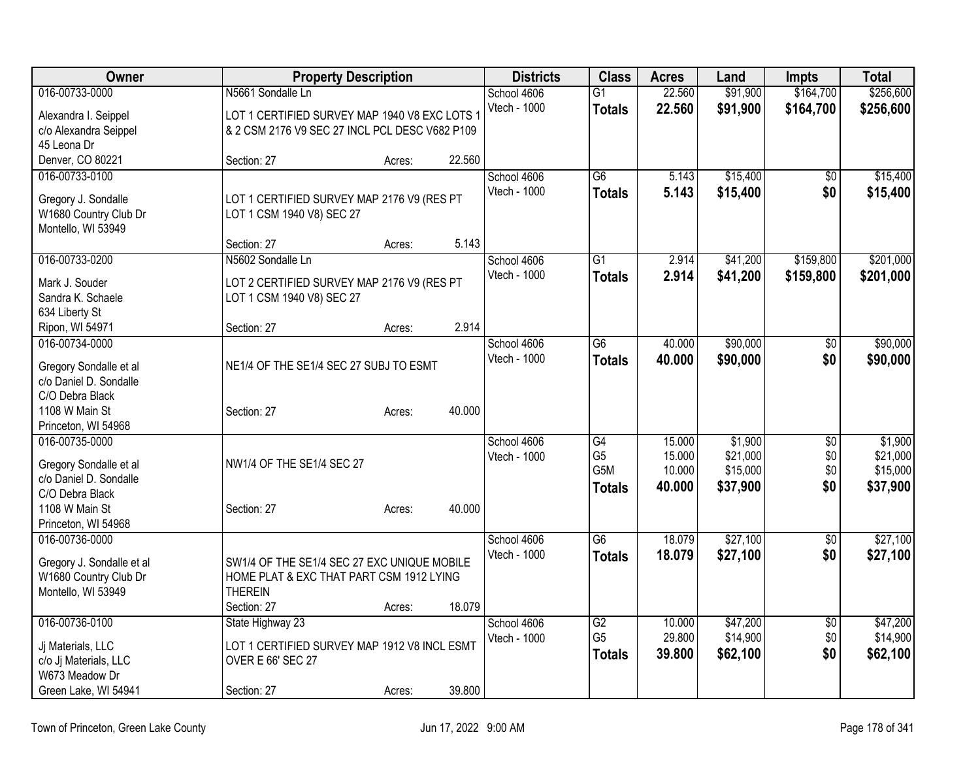| <b>Owner</b>                                     |                                                | <b>Property Description</b> |        | <b>Districts</b> | <b>Class</b>     | <b>Acres</b> | Land     | <b>Impts</b>    | <b>Total</b> |
|--------------------------------------------------|------------------------------------------------|-----------------------------|--------|------------------|------------------|--------------|----------|-----------------|--------------|
| 016-00733-0000                                   | N5661 Sondalle Ln                              |                             |        | School 4606      | $\overline{G1}$  | 22.560       | \$91,900 | \$164,700       | \$256,600    |
| Alexandra I. Seippel                             | LOT 1 CERTIFIED SURVEY MAP 1940 V8 EXC LOTS 1  |                             |        | Vtech - 1000     | <b>Totals</b>    | 22.560       | \$91,900 | \$164,700       | \$256,600    |
| c/o Alexandra Seippel                            | & 2 CSM 2176 V9 SEC 27 INCL PCL DESC V682 P109 |                             |        |                  |                  |              |          |                 |              |
| 45 Leona Dr                                      |                                                |                             |        |                  |                  |              |          |                 |              |
| Denver, CO 80221                                 | Section: 27                                    | Acres:                      | 22.560 |                  |                  |              |          |                 |              |
| 016-00733-0100                                   |                                                |                             |        | School 4606      | $\overline{G6}$  | 5.143        | \$15,400 | \$0             | \$15,400     |
| Gregory J. Sondalle                              | LOT 1 CERTIFIED SURVEY MAP 2176 V9 (RES PT     |                             |        | Vtech - 1000     | <b>Totals</b>    | 5.143        | \$15,400 | \$0             | \$15,400     |
| W1680 Country Club Dr                            | LOT 1 CSM 1940 V8) SEC 27                      |                             |        |                  |                  |              |          |                 |              |
| Montello, WI 53949                               |                                                |                             |        |                  |                  |              |          |                 |              |
|                                                  | Section: 27                                    | Acres:                      | 5.143  |                  |                  |              |          |                 |              |
| 016-00733-0200                                   | N5602 Sondalle Ln                              |                             |        | School 4606      | $\overline{G1}$  | 2.914        | \$41,200 | \$159,800       | \$201,000    |
| Mark J. Souder                                   | LOT 2 CERTIFIED SURVEY MAP 2176 V9 (RES PT     |                             |        | Vtech - 1000     | <b>Totals</b>    | 2.914        | \$41,200 | \$159,800       | \$201,000    |
| Sandra K. Schaele                                | LOT 1 CSM 1940 V8) SEC 27                      |                             |        |                  |                  |              |          |                 |              |
| 634 Liberty St                                   |                                                |                             |        |                  |                  |              |          |                 |              |
| Ripon, WI 54971                                  | Section: 27                                    | Acres:                      | 2.914  |                  |                  |              |          |                 |              |
| 016-00734-0000                                   |                                                |                             |        | School 4606      | $\overline{G6}$  | 40.000       | \$90,000 | \$0             | \$90,000     |
|                                                  | NE1/4 OF THE SE1/4 SEC 27 SUBJ TO ESMT         |                             |        | Vtech - 1000     | <b>Totals</b>    | 40.000       | \$90,000 | \$0             | \$90,000     |
| Gregory Sondalle et al<br>c/o Daniel D. Sondalle |                                                |                             |        |                  |                  |              |          |                 |              |
| C/O Debra Black                                  |                                                |                             |        |                  |                  |              |          |                 |              |
| 1108 W Main St                                   | Section: 27                                    | Acres:                      | 40.000 |                  |                  |              |          |                 |              |
| Princeton, WI 54968                              |                                                |                             |        |                  |                  |              |          |                 |              |
| 016-00735-0000                                   |                                                |                             |        | School 4606      | G4               | 15.000       | \$1,900  | \$0             | \$1,900      |
| Gregory Sondalle et al                           | NW1/4 OF THE SE1/4 SEC 27                      |                             |        | Vtech - 1000     | G <sub>5</sub>   | 15.000       | \$21,000 | \$0             | \$21,000     |
| c/o Daniel D. Sondalle                           |                                                |                             |        |                  | G <sub>5</sub> M | 10.000       | \$15,000 | \$0             | \$15,000     |
| C/O Debra Black                                  |                                                |                             |        |                  | <b>Totals</b>    | 40.000       | \$37,900 | \$0             | \$37,900     |
| 1108 W Main St                                   | Section: 27                                    | Acres:                      | 40.000 |                  |                  |              |          |                 |              |
| Princeton, WI 54968                              |                                                |                             |        |                  |                  |              |          |                 |              |
| 016-00736-0000                                   |                                                |                             |        | School 4606      | $\overline{G6}$  | 18.079       | \$27,100 | \$0             | \$27,100     |
| Gregory J. Sondalle et al                        | SW1/4 OF THE SE1/4 SEC 27 EXC UNIQUE MOBILE    |                             |        | Vtech - 1000     | <b>Totals</b>    | 18.079       | \$27,100 | \$0             | \$27,100     |
| W1680 Country Club Dr                            | HOME PLAT & EXC THAT PART CSM 1912 LYING       |                             |        |                  |                  |              |          |                 |              |
| Montello, WI 53949                               | <b>THEREIN</b>                                 |                             |        |                  |                  |              |          |                 |              |
|                                                  | Section: 27                                    | Acres:                      | 18.079 |                  |                  |              |          |                 |              |
| 016-00736-0100                                   | State Highway 23                               |                             |        | School 4606      | G2               | 10.000       | \$47,200 | $\overline{50}$ | \$47,200     |
| Jj Materials, LLC                                | LOT 1 CERTIFIED SURVEY MAP 1912 V8 INCL ESMT   |                             |        | Vtech - 1000     | G <sub>5</sub>   | 29.800       | \$14,900 | \$0             | \$14,900     |
| c/o Jj Materials, LLC                            | <b>OVER E 66' SEC 27</b>                       |                             |        |                  | <b>Totals</b>    | 39.800       | \$62,100 | \$0             | \$62,100     |
| W673 Meadow Dr                                   |                                                |                             |        |                  |                  |              |          |                 |              |
| Green Lake, WI 54941                             | Section: 27                                    | Acres:                      | 39.800 |                  |                  |              |          |                 |              |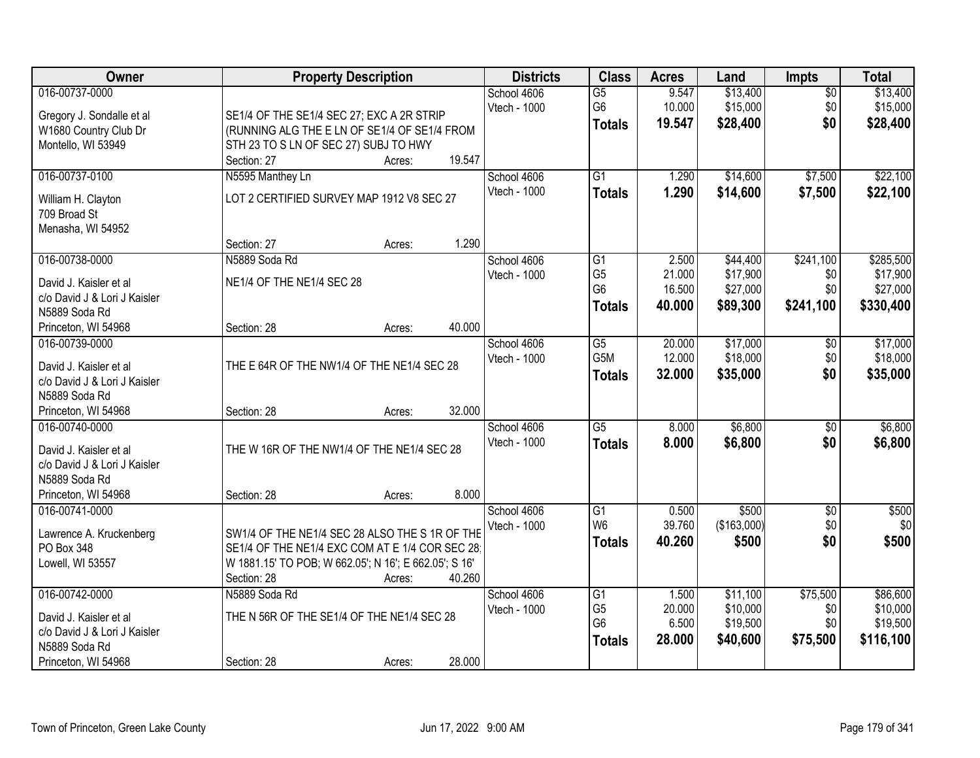| Owner                                 | <b>Property Description</b>                                                                      | <b>Districts</b> | <b>Class</b>                      | <b>Acres</b>    | Land                 | <b>Impts</b>    | <b>Total</b>         |
|---------------------------------------|--------------------------------------------------------------------------------------------------|------------------|-----------------------------------|-----------------|----------------------|-----------------|----------------------|
| 016-00737-0000                        |                                                                                                  | School 4606      | $\overline{G5}$                   | 9.547           | \$13,400             | $\overline{50}$ | \$13,400             |
| Gregory J. Sondalle et al             | SE1/4 OF THE SE1/4 SEC 27; EXC A 2R STRIP                                                        | Vtech - 1000     | G6                                | 10.000          | \$15,000             | \$0             | \$15,000             |
| W1680 Country Club Dr                 | (RUNNING ALG THE E LN OF SE1/4 OF SE1/4 FROM                                                     |                  | <b>Totals</b>                     | 19.547          | \$28,400             | \$0             | \$28,400             |
| Montello, WI 53949                    | STH 23 TO S LN OF SEC 27) SUBJ TO HWY                                                            |                  |                                   |                 |                      |                 |                      |
|                                       | 19.547<br>Section: 27<br>Acres:                                                                  |                  |                                   |                 |                      |                 |                      |
| 016-00737-0100                        | N5595 Manthey Ln                                                                                 | School 4606      | $\overline{G1}$                   | 1.290           | \$14,600             | \$7,500         | \$22,100             |
|                                       |                                                                                                  | Vtech - 1000     | <b>Totals</b>                     | 1.290           | \$14,600             | \$7,500         | \$22,100             |
| William H. Clayton                    | LOT 2 CERTIFIED SURVEY MAP 1912 V8 SEC 27                                                        |                  |                                   |                 |                      |                 |                      |
| 709 Broad St                          |                                                                                                  |                  |                                   |                 |                      |                 |                      |
| Menasha, WI 54952                     |                                                                                                  |                  |                                   |                 |                      |                 |                      |
|                                       | 1.290<br>Section: 27<br>Acres:                                                                   |                  |                                   |                 |                      |                 |                      |
| 016-00738-0000                        | N5889 Soda Rd                                                                                    | School 4606      | G1                                | 2.500           | \$44,400             | \$241,100       | \$285,500            |
| David J. Kaisler et al                | NE1/4 OF THE NE1/4 SEC 28                                                                        | Vtech - 1000     | G <sub>5</sub>                    | 21.000          | \$17,900             | \$0             | \$17,900             |
| c/o David J & Lori J Kaisler          |                                                                                                  |                  | G <sub>6</sub>                    | 16.500          | \$27,000             | \$0             | \$27,000             |
| N5889 Soda Rd                         |                                                                                                  |                  | <b>Totals</b>                     | 40.000          | \$89,300             | \$241,100       | \$330,400            |
| Princeton, WI 54968                   | 40.000<br>Section: 28<br>Acres:                                                                  |                  |                                   |                 |                      |                 |                      |
| 016-00739-0000                        |                                                                                                  | School 4606      | $\overline{G5}$                   | 20.000          | \$17,000             | \$0             | \$17,000             |
|                                       |                                                                                                  | Vtech - 1000     | G5M                               | 12.000          | \$18,000             | \$0             | \$18,000             |
| David J. Kaisler et al                | THE E 64R OF THE NW1/4 OF THE NE1/4 SEC 28                                                       |                  | <b>Totals</b>                     | 32.000          | \$35,000             | \$0             | \$35,000             |
| c/o David J & Lori J Kaisler          |                                                                                                  |                  |                                   |                 |                      |                 |                      |
| N5889 Soda Rd                         |                                                                                                  |                  |                                   |                 |                      |                 |                      |
| Princeton, WI 54968                   | 32.000<br>Section: 28<br>Acres:                                                                  |                  |                                   |                 |                      |                 |                      |
| 016-00740-0000                        |                                                                                                  | School 4606      | $\overline{G5}$                   | 8.000           | \$6,800              | \$0             | \$6,800              |
| David J. Kaisler et al                | THE W 16R OF THE NW1/4 OF THE NE1/4 SEC 28                                                       | Vtech - 1000     | <b>Totals</b>                     | 8.000           | \$6,800              | \$0             | \$6,800              |
| c/o David J & Lori J Kaisler          |                                                                                                  |                  |                                   |                 |                      |                 |                      |
| N5889 Soda Rd                         |                                                                                                  |                  |                                   |                 |                      |                 |                      |
| Princeton, WI 54968                   | 8.000<br>Section: 28<br>Acres:                                                                   |                  |                                   |                 |                      |                 |                      |
| 016-00741-0000                        |                                                                                                  | School 4606      | G1                                | 0.500           | \$500                | $\sqrt{$0}$     | \$500                |
|                                       |                                                                                                  | Vtech - 1000     | W <sub>6</sub>                    | 39.760          | (\$163,000)          | \$0             | \$0                  |
| Lawrence A. Kruckenberg<br>PO Box 348 | SW1/4 OF THE NE1/4 SEC 28 ALSO THE S 1R OF THE<br>SE1/4 OF THE NE1/4 EXC COM AT E 1/4 COR SEC 28 |                  | <b>Totals</b>                     | 40.260          | \$500                | \$0             | \$500                |
|                                       |                                                                                                  |                  |                                   |                 |                      |                 |                      |
| Lowell, WI 53557                      | W 1881.15' TO POB; W 662.05'; N 16'; E 662.05'; S 16'<br>40.260                                  |                  |                                   |                 |                      |                 |                      |
| 016-00742-0000                        | Section: 28<br>Acres:                                                                            |                  |                                   |                 |                      | \$75,500        |                      |
|                                       | N5889 Soda Rd                                                                                    | School 4606      | $\overline{G1}$<br>G <sub>5</sub> | 1.500<br>20.000 | \$11,100<br>\$10,000 |                 | \$86,600<br>\$10,000 |
| David J. Kaisler et al                | THE N 56R OF THE SE1/4 OF THE NE1/4 SEC 28                                                       | Vtech - 1000     | G <sub>6</sub>                    | 6.500           | \$19,500             | \$0<br>\$0      | \$19,500             |
| c/o David J & Lori J Kaisler          |                                                                                                  |                  |                                   | 28.000          |                      |                 |                      |
| N5889 Soda Rd                         |                                                                                                  |                  | <b>Totals</b>                     |                 | \$40,600             | \$75,500        | \$116,100            |
| Princeton, WI 54968                   | 28.000<br>Section: 28<br>Acres:                                                                  |                  |                                   |                 |                      |                 |                      |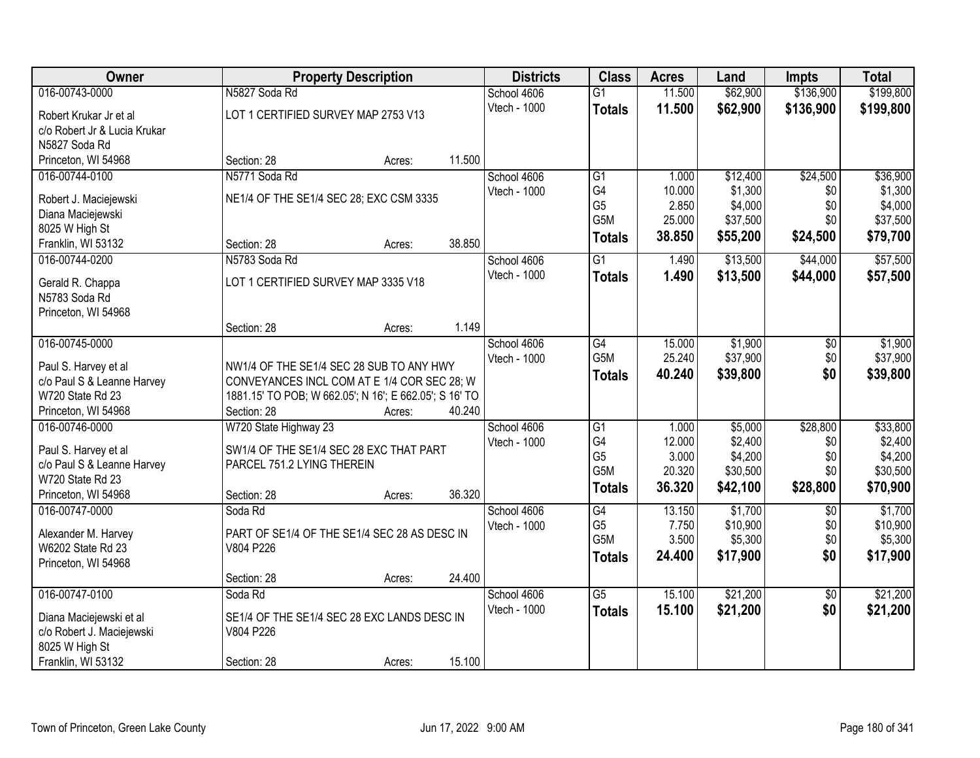| Owner                                          |                                                                       | <b>Property Description</b> |        | <b>Districts</b> | <b>Class</b>    | <b>Acres</b> | Land     | <b>Impts</b>    | <b>Total</b> |
|------------------------------------------------|-----------------------------------------------------------------------|-----------------------------|--------|------------------|-----------------|--------------|----------|-----------------|--------------|
| 016-00743-0000                                 | N5827 Soda Rd                                                         |                             |        | School 4606      | $\overline{G1}$ | 11.500       | \$62,900 | \$136,900       | \$199,800    |
| Robert Krukar Jr et al                         | LOT 1 CERTIFIED SURVEY MAP 2753 V13                                   |                             |        | Vtech - 1000     | <b>Totals</b>   | 11.500       | \$62,900 | \$136,900       | \$199,800    |
| c/o Robert Jr & Lucia Krukar                   |                                                                       |                             |        |                  |                 |              |          |                 |              |
| N5827 Soda Rd                                  |                                                                       |                             |        |                  |                 |              |          |                 |              |
| Princeton, WI 54968                            | Section: 28                                                           | Acres:                      | 11.500 |                  |                 |              |          |                 |              |
| 016-00744-0100                                 | N5771 Soda Rd                                                         |                             |        | School 4606      | $\overline{G1}$ | 1.000        | \$12,400 | \$24,500        | \$36,900     |
|                                                |                                                                       |                             |        | Vtech - 1000     | G4              | 10.000       | \$1,300  | \$0             | \$1,300      |
| Robert J. Maciejewski                          | NE1/4 OF THE SE1/4 SEC 28; EXC CSM 3335                               |                             |        |                  | G <sub>5</sub>  | 2.850        | \$4,000  | \$0             | \$4,000      |
| Diana Maciejewski<br>8025 W High St            |                                                                       |                             |        |                  | G5M             | 25.000       | \$37,500 | \$0             | \$37,500     |
| Franklin, WI 53132                             | Section: 28                                                           | Acres:                      | 38.850 |                  | <b>Totals</b>   | 38.850       | \$55,200 | \$24,500        | \$79,700     |
| 016-00744-0200                                 | N5783 Soda Rd                                                         |                             |        | School 4606      | $\overline{G1}$ | 1.490        | \$13,500 | \$44,000        | \$57,500     |
|                                                |                                                                       |                             |        | Vtech - 1000     | <b>Totals</b>   | 1.490        | \$13,500 | \$44,000        | \$57,500     |
| Gerald R. Chappa                               | LOT 1 CERTIFIED SURVEY MAP 3335 V18                                   |                             |        |                  |                 |              |          |                 |              |
| N5783 Soda Rd                                  |                                                                       |                             |        |                  |                 |              |          |                 |              |
| Princeton, WI 54968                            |                                                                       |                             |        |                  |                 |              |          |                 |              |
|                                                | Section: 28                                                           | Acres:                      | 1.149  |                  |                 |              |          |                 |              |
| 016-00745-0000                                 |                                                                       |                             |        | School 4606      | G4              | 15.000       | \$1,900  | $\sqrt[6]{3}$   | \$1,900      |
| Paul S. Harvey et al                           | NW1/4 OF THE SE1/4 SEC 28 SUB TO ANY HWY                              |                             |        | Vtech - 1000     | G5M             | 25.240       | \$37,900 | \$0             | \$37,900     |
| c/o Paul S & Leanne Harvey                     | CONVEYANCES INCL COM AT E 1/4 COR SEC 28; W                           |                             |        |                  | <b>Totals</b>   | 40.240       | \$39,800 | \$0             | \$39,800     |
| W720 State Rd 23                               | 1881.15' TO POB; W 662.05'; N 16'; E 662.05'; S 16' TO                |                             |        |                  |                 |              |          |                 |              |
| Princeton, WI 54968                            | Section: 28                                                           | Acres:                      | 40.240 |                  |                 |              |          |                 |              |
| 016-00746-0000                                 | W720 State Highway 23                                                 |                             |        | School 4606      | $\overline{G1}$ | 1.000        | \$5,000  | \$28,800        | \$33,800     |
|                                                |                                                                       |                             |        | Vtech - 1000     | G4              | 12.000       | \$2,400  | \$0             | \$2,400      |
| Paul S. Harvey et al                           | SW1/4 OF THE SE1/4 SEC 28 EXC THAT PART<br>PARCEL 751.2 LYING THEREIN |                             |        |                  | G <sub>5</sub>  | 3.000        | \$4,200  | \$0             | \$4,200      |
| c/o Paul S & Leanne Harvey<br>W720 State Rd 23 |                                                                       |                             |        |                  | G5M             | 20.320       | \$30,500 | \$0             | \$30,500     |
| Princeton, WI 54968                            | Section: 28                                                           | Acres:                      | 36.320 |                  | <b>Totals</b>   | 36.320       | \$42,100 | \$28,800        | \$70,900     |
| 016-00747-0000                                 | Soda Rd                                                               |                             |        | School 4606      | G4              | 13.150       | \$1,700  | $\overline{50}$ | \$1,700      |
|                                                |                                                                       |                             |        | Vtech - 1000     | G <sub>5</sub>  | 7.750        | \$10,900 | \$0             | \$10,900     |
| Alexander M. Harvey                            | PART OF SE1/4 OF THE SE1/4 SEC 28 AS DESC IN                          |                             |        |                  | G5M             | 3.500        | \$5,300  | \$0             | \$5,300      |
| W6202 State Rd 23                              | V804 P226                                                             |                             |        |                  | <b>Totals</b>   | 24.400       | \$17,900 | \$0             | \$17,900     |
| Princeton, WI 54968                            |                                                                       |                             |        |                  |                 |              |          |                 |              |
|                                                | Section: 28                                                           | Acres:                      | 24.400 |                  |                 |              |          |                 |              |
| 016-00747-0100                                 | Soda Rd                                                               |                             |        | School 4606      | $\overline{G5}$ | 15.100       | \$21,200 | $\overline{30}$ | \$21,200     |
| Diana Maciejewski et al                        | SE1/4 OF THE SE1/4 SEC 28 EXC LANDS DESC IN                           |                             |        | Vtech - 1000     | <b>Totals</b>   | 15.100       | \$21,200 | \$0             | \$21,200     |
| c/o Robert J. Maciejewski                      | V804 P226                                                             |                             |        |                  |                 |              |          |                 |              |
| 8025 W High St                                 |                                                                       |                             |        |                  |                 |              |          |                 |              |
| Franklin, WI 53132                             | Section: 28                                                           | Acres:                      | 15.100 |                  |                 |              |          |                 |              |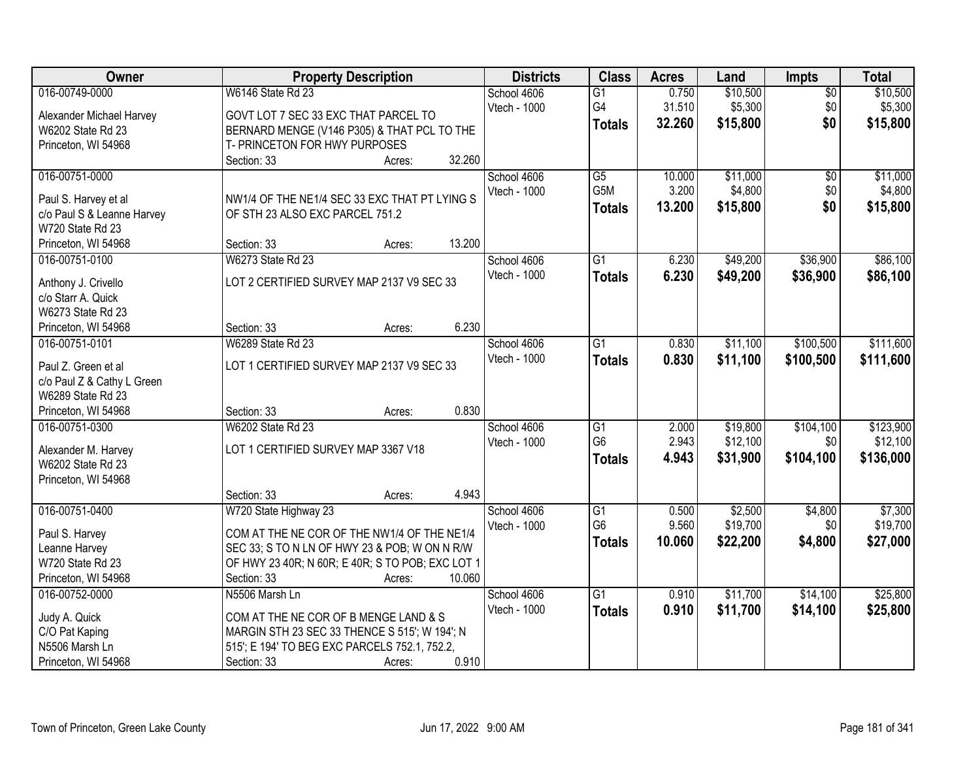| Owner                      | <b>Property Description</b>                      | <b>Districts</b> | <b>Class</b>    | <b>Acres</b> | Land     | Impts           | <b>Total</b> |
|----------------------------|--------------------------------------------------|------------------|-----------------|--------------|----------|-----------------|--------------|
| 016-00749-0000             | W6146 State Rd 23                                | School 4606      | G1              | 0.750        | \$10,500 | $\overline{50}$ | \$10,500     |
| Alexander Michael Harvey   | GOVT LOT 7 SEC 33 EXC THAT PARCEL TO             | Vtech - 1000     | G4              | 31.510       | \$5,300  | \$0             | \$5,300      |
| W6202 State Rd 23          | BERNARD MENGE (V146 P305) & THAT PCL TO THE      |                  | <b>Totals</b>   | 32.260       | \$15,800 | \$0             | \$15,800     |
| Princeton, WI 54968        | T- PRINCETON FOR HWY PURPOSES                    |                  |                 |              |          |                 |              |
|                            | 32.260<br>Section: 33<br>Acres:                  |                  |                 |              |          |                 |              |
| 016-00751-0000             |                                                  | School 4606      | $\overline{G5}$ | 10.000       | \$11,000 | $\overline{50}$ | \$11,000     |
| Paul S. Harvey et al       | NW1/4 OF THE NE1/4 SEC 33 EXC THAT PT LYING S    | Vtech - 1000     | G5M             | 3.200        | \$4,800  | \$0             | \$4,800      |
| c/o Paul S & Leanne Harvey | OF STH 23 ALSO EXC PARCEL 751.2                  |                  | <b>Totals</b>   | 13.200       | \$15,800 | \$0             | \$15,800     |
| W720 State Rd 23           |                                                  |                  |                 |              |          |                 |              |
| Princeton, WI 54968        | 13.200<br>Section: 33<br>Acres:                  |                  |                 |              |          |                 |              |
| 016-00751-0100             | W6273 State Rd 23                                | School 4606      | $\overline{G1}$ | 6.230        | \$49,200 | \$36,900        | \$86,100     |
|                            |                                                  | Vtech - 1000     | <b>Totals</b>   | 6.230        | \$49,200 | \$36,900        | \$86,100     |
| Anthony J. Crivello        | LOT 2 CERTIFIED SURVEY MAP 2137 V9 SEC 33        |                  |                 |              |          |                 |              |
| c/o Starr A. Quick         |                                                  |                  |                 |              |          |                 |              |
| W6273 State Rd 23          | 6.230                                            |                  |                 |              |          |                 |              |
| Princeton, WI 54968        | Section: 33<br>Acres:                            |                  |                 |              |          |                 |              |
| 016-00751-0101             | <b>W6289 State Rd 23</b>                         | School 4606      | $\overline{G1}$ | 0.830        | \$11,100 | \$100,500       | \$111,600    |
| Paul Z. Green et al        | LOT 1 CERTIFIED SURVEY MAP 2137 V9 SEC 33        | Vtech - 1000     | <b>Totals</b>   | 0.830        | \$11,100 | \$100,500       | \$111,600    |
| c/o Paul Z & Cathy L Green |                                                  |                  |                 |              |          |                 |              |
| W6289 State Rd 23          |                                                  |                  |                 |              |          |                 |              |
| Princeton, WI 54968        | 0.830<br>Section: 33<br>Acres:                   |                  |                 |              |          |                 |              |
| 016-00751-0300             | <b>W6202 State Rd 23</b>                         | School 4606      | $\overline{G1}$ | 2.000        | \$19,800 | \$104,100       | \$123,900    |
| Alexander M. Harvey        | LOT 1 CERTIFIED SURVEY MAP 3367 V18              | Vtech - 1000     | G <sub>6</sub>  | 2.943        | \$12,100 | \$0             | \$12,100     |
| W6202 State Rd 23          |                                                  |                  | <b>Totals</b>   | 4.943        | \$31,900 | \$104,100       | \$136,000    |
| Princeton, WI 54968        |                                                  |                  |                 |              |          |                 |              |
|                            | 4.943<br>Section: 33<br>Acres:                   |                  |                 |              |          |                 |              |
| 016-00751-0400             | W720 State Highway 23                            | School 4606      | G1              | 0.500        | \$2,500  | \$4,800         | \$7,300      |
| Paul S. Harvey             | COM AT THE NE COR OF THE NW1/4 OF THE NE1/4      | Vtech - 1000     | G <sub>6</sub>  | 9.560        | \$19,700 | \$0             | \$19,700     |
| Leanne Harvey              | SEC 33; S TO N LN OF HWY 23 & POB; W ON N R/W    |                  | <b>Totals</b>   | 10.060       | \$22,200 | \$4,800         | \$27,000     |
| W720 State Rd 23           | OF HWY 23 40R; N 60R; E 40R; S TO POB; EXC LOT 1 |                  |                 |              |          |                 |              |
| Princeton, WI 54968        | Section: 33<br>10.060<br>Acres:                  |                  |                 |              |          |                 |              |
| 016-00752-0000             | N5506 Marsh Ln                                   | School 4606      | $\overline{G1}$ | 0.910        | \$11,700 | \$14,100        | \$25,800     |
|                            |                                                  | Vtech - 1000     | <b>Totals</b>   | 0.910        | \$11,700 | \$14,100        | \$25,800     |
| Judy A. Quick              | COM AT THE NE COR OF B MENGE LAND & S            |                  |                 |              |          |                 |              |
| C/O Pat Kaping             | MARGIN STH 23 SEC 33 THENCE S 515'; W 194'; N    |                  |                 |              |          |                 |              |
| N5506 Marsh Ln             | 515'; E 194' TO BEG EXC PARCELS 752.1, 752.2,    |                  |                 |              |          |                 |              |
| Princeton, WI 54968        | 0.910<br>Section: 33<br>Acres:                   |                  |                 |              |          |                 |              |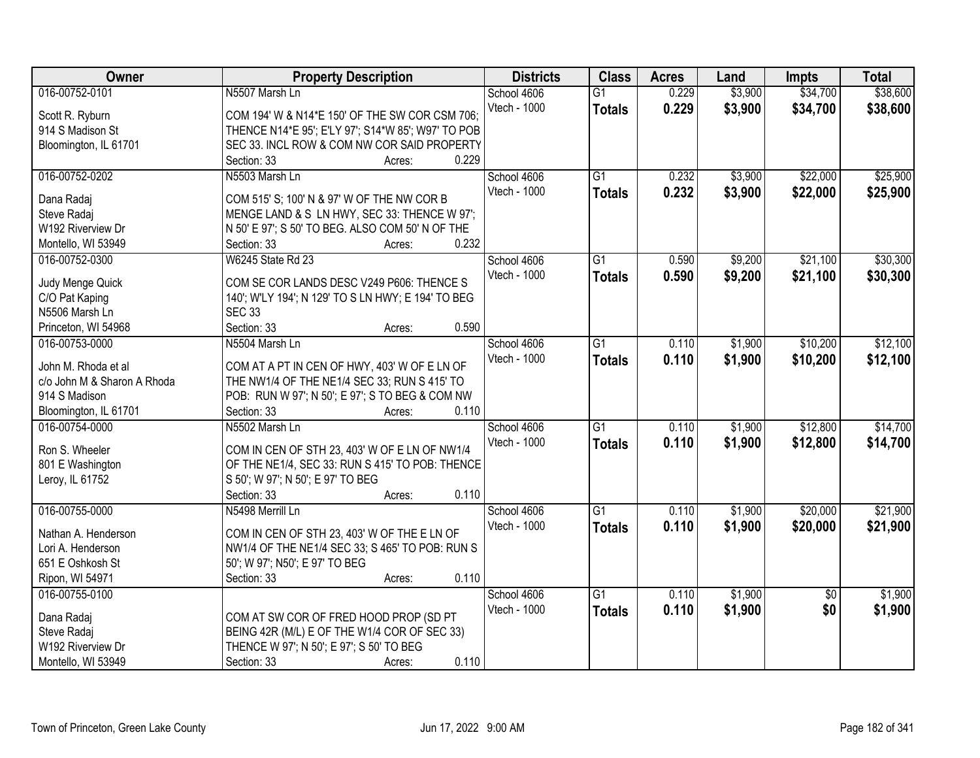| Owner                                   | <b>Property Description</b>                                                                      | <b>Districts</b> | <b>Class</b>    | <b>Acres</b> | Land    | <b>Impts</b>    | <b>Total</b> |
|-----------------------------------------|--------------------------------------------------------------------------------------------------|------------------|-----------------|--------------|---------|-----------------|--------------|
| 016-00752-0101                          | N5507 Marsh Ln                                                                                   | School 4606      | $\overline{G1}$ | 0.229        | \$3,900 | \$34,700        | \$38,600     |
| Scott R. Ryburn                         | COM 194' W & N14*E 150' OF THE SW COR CSM 706;                                                   | Vtech - 1000     | <b>Totals</b>   | 0.229        | \$3,900 | \$34,700        | \$38,600     |
| 914 S Madison St                        | THENCE N14*E 95'; E'LY 97'; S14*W 85'; W97' TO POB                                               |                  |                 |              |         |                 |              |
| Bloomington, IL 61701                   | SEC 33. INCL ROW & COM NW COR SAID PROPERTY                                                      |                  |                 |              |         |                 |              |
|                                         | 0.229<br>Section: 33<br>Acres:                                                                   |                  |                 |              |         |                 |              |
| 016-00752-0202                          | N5503 Marsh Ln                                                                                   | School 4606      | $\overline{G1}$ | 0.232        | \$3,900 | \$22,000        | \$25,900     |
|                                         |                                                                                                  | Vtech - 1000     | <b>Totals</b>   | 0.232        | \$3,900 | \$22,000        | \$25,900     |
| Dana Radaj                              | COM 515' S; 100' N & 97' W OF THE NW COR B                                                       |                  |                 |              |         |                 |              |
| Steve Radaj<br>W192 Riverview Dr        | MENGE LAND & S LN HWY, SEC 33: THENCE W 97';<br>N 50' E 97'; S 50' TO BEG. ALSO COM 50' N OF THE |                  |                 |              |         |                 |              |
| Montello, WI 53949                      | 0.232<br>Section: 33                                                                             |                  |                 |              |         |                 |              |
| 016-00752-0300                          | Acres:<br>W6245 State Rd 23                                                                      | School 4606      | $\overline{G1}$ | 0.590        | \$9,200 | \$21,100        | \$30,300     |
|                                         |                                                                                                  |                  |                 |              |         |                 |              |
| Judy Menge Quick                        | COM SE COR LANDS DESC V249 P606: THENCE S                                                        | Vtech - 1000     | <b>Totals</b>   | 0.590        | \$9,200 | \$21,100        | \$30,300     |
| C/O Pat Kaping                          | 140'; W'LY 194'; N 129' TO S LN HWY; E 194' TO BEG                                               |                  |                 |              |         |                 |              |
| N5506 Marsh Ln                          | <b>SEC 33</b>                                                                                    |                  |                 |              |         |                 |              |
| Princeton, WI 54968                     | Section: 33<br>0.590<br>Acres:                                                                   |                  |                 |              |         |                 |              |
| 016-00753-0000                          | N5504 Marsh Ln                                                                                   | School 4606      | G1              | 0.110        | \$1,900 | \$10,200        | \$12,100     |
|                                         |                                                                                                  | Vtech - 1000     | <b>Totals</b>   | 0.110        | \$1,900 | \$10,200        | \$12,100     |
| John M. Rhoda et al                     | COM AT A PT IN CEN OF HWY, 403' W OF E LN OF                                                     |                  |                 |              |         |                 |              |
| c/o John M & Sharon A Rhoda             | THE NW1/4 OF THE NE1/4 SEC 33; RUN S 415' TO                                                     |                  |                 |              |         |                 |              |
| 914 S Madison                           | POB: RUN W 97'; N 50'; E 97'; S TO BEG & COM NW<br>0.110                                         |                  |                 |              |         |                 |              |
| Bloomington, IL 61701<br>016-00754-0000 | Section: 33<br>Acres:<br>N5502 Marsh Ln                                                          |                  | $\overline{G1}$ | 0.110        |         | \$12,800        |              |
|                                         |                                                                                                  | School 4606      |                 |              | \$1,900 |                 | \$14,700     |
| Ron S. Wheeler                          | COM IN CEN OF STH 23, 403' W OF E LN OF NW1/4                                                    | Vtech - 1000     | <b>Totals</b>   | 0.110        | \$1,900 | \$12,800        | \$14,700     |
| 801 E Washington                        | OF THE NE1/4, SEC 33: RUN S 415' TO POB: THENCE                                                  |                  |                 |              |         |                 |              |
| Leroy, IL 61752                         | S 50'; W 97'; N 50'; E 97' TO BEG                                                                |                  |                 |              |         |                 |              |
|                                         | 0.110<br>Section: 33<br>Acres:                                                                   |                  |                 |              |         |                 |              |
| 016-00755-0000                          | N5498 Merrill Ln                                                                                 | School 4606      | $\overline{G1}$ | 0.110        | \$1,900 | \$20,000        | \$21,900     |
| Nathan A. Henderson                     | COM IN CEN OF STH 23, 403' W OF THE E LN OF                                                      | Vtech - 1000     | <b>Totals</b>   | 0.110        | \$1,900 | \$20,000        | \$21,900     |
| Lori A. Henderson                       | NW1/4 OF THE NE1/4 SEC 33; S 465' TO POB: RUN S                                                  |                  |                 |              |         |                 |              |
| 651 E Oshkosh St                        | 50'; W 97'; N50'; E 97' TO BEG                                                                   |                  |                 |              |         |                 |              |
| Ripon, WI 54971                         | 0.110<br>Section: 33<br>Acres:                                                                   |                  |                 |              |         |                 |              |
| 016-00755-0100                          |                                                                                                  | School 4606      | G1              | 0.110        | \$1,900 | $\overline{50}$ | \$1,900      |
|                                         |                                                                                                  | Vtech - 1000     |                 |              |         | \$0             |              |
| Dana Radaj                              | COM AT SW COR OF FRED HOOD PROP (SD PT                                                           |                  | <b>Totals</b>   | 0.110        | \$1,900 |                 | \$1,900      |
| Steve Radaj                             | BEING 42R (M/L) E OF THE W1/4 COR OF SEC 33)                                                     |                  |                 |              |         |                 |              |
| W192 Riverview Dr                       | THENCE W 97'; N 50'; E 97'; S 50' TO BEG                                                         |                  |                 |              |         |                 |              |
| Montello, WI 53949                      | 0.110<br>Section: 33<br>Acres:                                                                   |                  |                 |              |         |                 |              |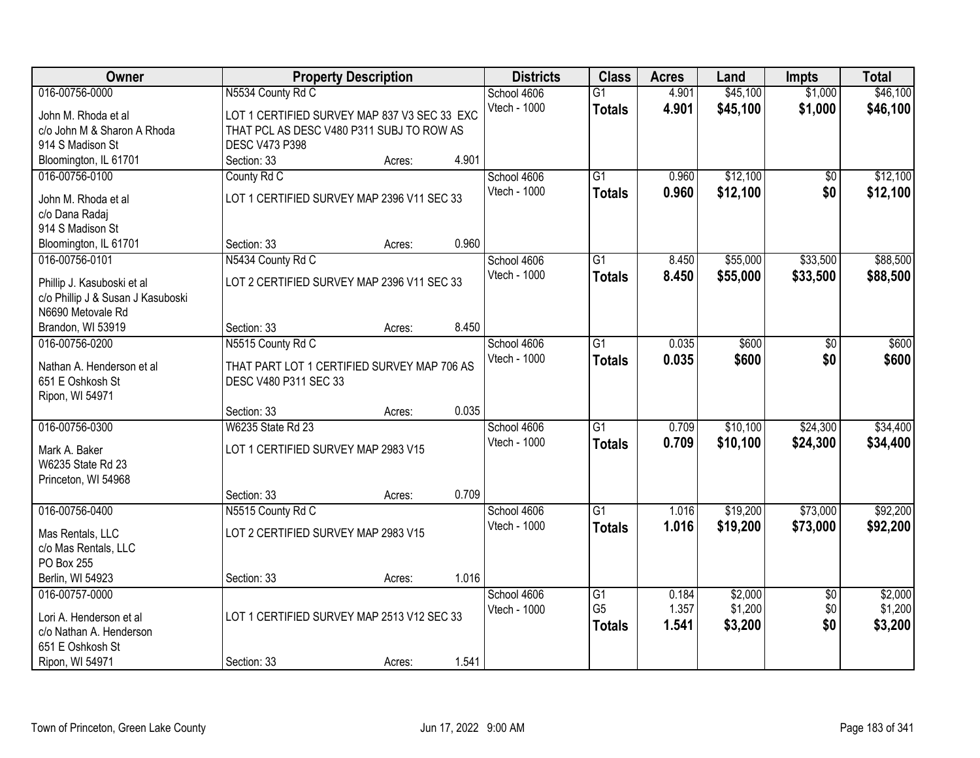| Owner                               | <b>Property Description</b>                  |        | <b>Districts</b> | <b>Class</b> | <b>Acres</b>    | Land  | <b>Impts</b> | <b>Total</b>    |          |
|-------------------------------------|----------------------------------------------|--------|------------------|--------------|-----------------|-------|--------------|-----------------|----------|
| 016-00756-0000                      | N5534 County Rd C                            |        |                  | School 4606  | $\overline{G1}$ | 4.901 | \$45,100     | \$1,000         | \$46,100 |
| John M. Rhoda et al                 | LOT 1 CERTIFIED SURVEY MAP 837 V3 SEC 33 EXC |        |                  | Vtech - 1000 | <b>Totals</b>   | 4.901 | \$45,100     | \$1,000         | \$46,100 |
| c/o John M & Sharon A Rhoda         | THAT PCL AS DESC V480 P311 SUBJ TO ROW AS    |        |                  |              |                 |       |              |                 |          |
| 914 S Madison St                    | <b>DESC V473 P398</b>                        |        |                  |              |                 |       |              |                 |          |
| Bloomington, IL 61701               | Section: 33                                  | Acres: | 4.901            |              |                 |       |              |                 |          |
| 016-00756-0100                      | County Rd C                                  |        |                  | School 4606  | $\overline{G1}$ | 0.960 | \$12,100     | \$0             | \$12,100 |
| John M. Rhoda et al                 | LOT 1 CERTIFIED SURVEY MAP 2396 V11 SEC 33   |        |                  | Vtech - 1000 | <b>Totals</b>   | 0.960 | \$12,100     | \$0             | \$12,100 |
| c/o Dana Radaj                      |                                              |        |                  |              |                 |       |              |                 |          |
| 914 S Madison St                    |                                              |        |                  |              |                 |       |              |                 |          |
| Bloomington, IL 61701               | Section: 33                                  | Acres: | 0.960            |              |                 |       |              |                 |          |
| 016-00756-0101                      | N5434 County Rd C                            |        |                  | School 4606  | G1              | 8.450 | \$55,000     | \$33,500        | \$88,500 |
|                                     |                                              |        |                  | Vtech - 1000 | <b>Totals</b>   | 8.450 | \$55,000     | \$33,500        | \$88,500 |
| Phillip J. Kasuboski et al          | LOT 2 CERTIFIED SURVEY MAP 2396 V11 SEC 33   |        |                  |              |                 |       |              |                 |          |
| c/o Phillip J & Susan J Kasuboski   |                                              |        |                  |              |                 |       |              |                 |          |
| N6690 Metovale Rd                   |                                              |        | 8.450            |              |                 |       |              |                 |          |
| Brandon, WI 53919<br>016-00756-0200 | Section: 33<br>N5515 County Rd C             | Acres: |                  | School 4606  | $\overline{G1}$ | 0.035 | \$600        |                 | \$600    |
|                                     |                                              |        |                  | Vtech - 1000 |                 |       |              | \$0             |          |
| Nathan A. Henderson et al           | THAT PART LOT 1 CERTIFIED SURVEY MAP 706 AS  |        |                  |              | <b>Totals</b>   | 0.035 | \$600        | \$0             | \$600    |
| 651 E Oshkosh St                    | DESC V480 P311 SEC 33                        |        |                  |              |                 |       |              |                 |          |
| Ripon, WI 54971                     |                                              |        |                  |              |                 |       |              |                 |          |
|                                     | Section: 33                                  | Acres: | 0.035            |              |                 |       |              |                 |          |
| 016-00756-0300                      | W6235 State Rd 23                            |        |                  | School 4606  | $\overline{G1}$ | 0.709 | \$10,100     | \$24,300        | \$34,400 |
| Mark A. Baker                       | LOT 1 CERTIFIED SURVEY MAP 2983 V15          |        |                  | Vtech - 1000 | <b>Totals</b>   | 0.709 | \$10,100     | \$24,300        | \$34,400 |
| W6235 State Rd 23                   |                                              |        |                  |              |                 |       |              |                 |          |
| Princeton, WI 54968                 |                                              |        |                  |              |                 |       |              |                 |          |
|                                     | Section: 33                                  | Acres: | 0.709            |              |                 |       |              |                 |          |
| 016-00756-0400                      | N5515 County Rd C                            |        |                  | School 4606  | $\overline{G1}$ | 1.016 | \$19,200     | \$73,000        | \$92,200 |
| Mas Rentals, LLC                    | LOT 2 CERTIFIED SURVEY MAP 2983 V15          |        |                  | Vtech - 1000 | <b>Totals</b>   | 1.016 | \$19,200     | \$73,000        | \$92,200 |
| c/o Mas Rentals, LLC                |                                              |        |                  |              |                 |       |              |                 |          |
| PO Box 255                          |                                              |        |                  |              |                 |       |              |                 |          |
| Berlin, WI 54923                    | Section: 33                                  | Acres: | 1.016            |              |                 |       |              |                 |          |
| 016-00757-0000                      |                                              |        |                  | School 4606  | $\overline{G1}$ | 0.184 | \$2,000      | $\overline{50}$ | \$2,000  |
|                                     |                                              |        |                  | Vtech - 1000 | G <sub>5</sub>  | 1.357 | \$1,200      | \$0             | \$1,200  |
| Lori A. Henderson et al             | LOT 1 CERTIFIED SURVEY MAP 2513 V12 SEC 33   |        |                  |              | <b>Totals</b>   | 1.541 | \$3,200      | \$0             | \$3,200  |
| c/o Nathan A. Henderson             |                                              |        |                  |              |                 |       |              |                 |          |
| 651 E Oshkosh St                    |                                              |        |                  |              |                 |       |              |                 |          |
| Ripon, WI 54971                     | Section: 33                                  | Acres: | 1.541            |              |                 |       |              |                 |          |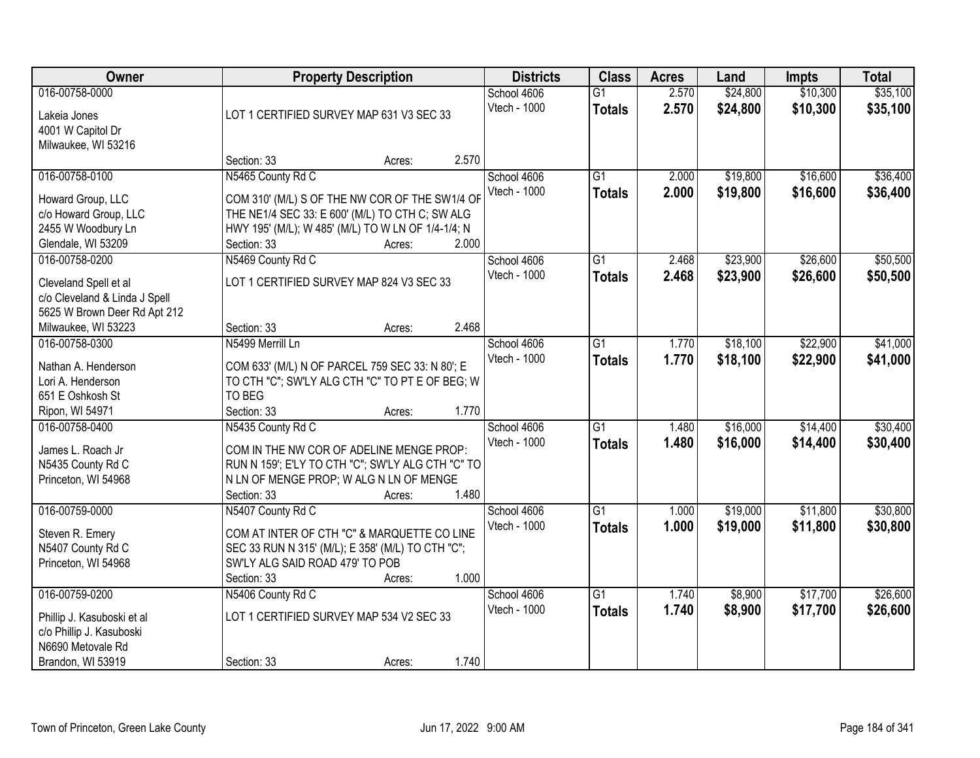| Owner                                 | <b>Property Description</b>                               |        |       | <b>Districts</b> | <b>Class</b>    | <b>Acres</b> | Land     | <b>Impts</b> | <b>Total</b> |
|---------------------------------------|-----------------------------------------------------------|--------|-------|------------------|-----------------|--------------|----------|--------------|--------------|
| 016-00758-0000                        |                                                           |        |       | School 4606      | $\overline{G1}$ | 2.570        | \$24,800 | \$10,300     | \$35,100     |
| Lakeia Jones                          | LOT 1 CERTIFIED SURVEY MAP 631 V3 SEC 33                  |        |       | Vtech - 1000     | <b>Totals</b>   | 2.570        | \$24,800 | \$10,300     | \$35,100     |
| 4001 W Capitol Dr                     |                                                           |        |       |                  |                 |              |          |              |              |
| Milwaukee, WI 53216                   |                                                           |        |       |                  |                 |              |          |              |              |
|                                       | Section: 33                                               | Acres: | 2.570 |                  |                 |              |          |              |              |
| 016-00758-0100                        | N5465 County Rd C                                         |        |       | School 4606      | $\overline{G1}$ | 2.000        | \$19,800 | \$16,600     | \$36,400     |
| Howard Group, LLC                     | COM 310' (M/L) S OF THE NW COR OF THE SW1/4 OF            |        |       | Vtech - 1000     | <b>Totals</b>   | 2.000        | \$19,800 | \$16,600     | \$36,400     |
| c/o Howard Group, LLC                 | THE NE1/4 SEC 33: E 600' (M/L) TO CTH C; SW ALG           |        |       |                  |                 |              |          |              |              |
| 2455 W Woodbury Ln                    | HWY 195' (M/L); W 485' (M/L) TO W LN OF 1/4-1/4; N        |        |       |                  |                 |              |          |              |              |
| Glendale, WI 53209                    | Section: 33                                               | Acres: | 2.000 |                  |                 |              |          |              |              |
| 016-00758-0200                        | N5469 County Rd C                                         |        |       | School 4606      | $\overline{G1}$ | 2.468        | \$23,900 | \$26,600     | \$50,500     |
| Cleveland Spell et al                 | LOT 1 CERTIFIED SURVEY MAP 824 V3 SEC 33                  |        |       | Vtech - 1000     | <b>Totals</b>   | 2.468        | \$23,900 | \$26,600     | \$50,500     |
| c/o Cleveland & Linda J Spell         |                                                           |        |       |                  |                 |              |          |              |              |
| 5625 W Brown Deer Rd Apt 212          |                                                           |        |       |                  |                 |              |          |              |              |
| Milwaukee, WI 53223                   | Section: 33                                               | Acres: | 2.468 |                  |                 |              |          |              |              |
| 016-00758-0300                        | N5499 Merrill Ln                                          |        |       | School 4606      | G1              | 1.770        | \$18,100 | \$22,900     | \$41,000     |
|                                       |                                                           |        |       | Vtech - 1000     | <b>Totals</b>   | 1.770        | \$18,100 | \$22,900     | \$41,000     |
| Nathan A. Henderson                   | COM 633' (M/L) N OF PARCEL 759 SEC 33: N 80'; E           |        |       |                  |                 |              |          |              |              |
| Lori A. Henderson<br>651 E Oshkosh St | TO CTH "C"; SW'LY ALG CTH "C" TO PT E OF BEG; W<br>TO BEG |        |       |                  |                 |              |          |              |              |
| Ripon, WI 54971                       | Section: 33                                               | Acres: | 1.770 |                  |                 |              |          |              |              |
| 016-00758-0400                        | N5435 County Rd C                                         |        |       | School 4606      | $\overline{G1}$ | 1.480        | \$16,000 | \$14,400     | \$30,400     |
|                                       |                                                           |        |       | Vtech - 1000     | <b>Totals</b>   | 1.480        | \$16,000 | \$14,400     | \$30,400     |
| James L. Roach Jr                     | COM IN THE NW COR OF ADELINE MENGE PROP:                  |        |       |                  |                 |              |          |              |              |
| N5435 County Rd C                     | RUN N 159'; E'LY TO CTH "C"; SW'LY ALG CTH "C" TO         |        |       |                  |                 |              |          |              |              |
| Princeton, WI 54968                   | N LN OF MENGE PROP; W ALG N LN OF MENGE                   |        |       |                  |                 |              |          |              |              |
|                                       | Section: 33                                               | Acres: | 1.480 |                  |                 |              |          |              |              |
| 016-00759-0000                        | N5407 County Rd C                                         |        |       | School 4606      | G1              | 1.000        | \$19,000 | \$11,800     | \$30,800     |
| Steven R. Emery                       | COM AT INTER OF CTH "C" & MARQUETTE CO LINE               |        |       | Vtech - 1000     | <b>Totals</b>   | 1.000        | \$19,000 | \$11,800     | \$30,800     |
| N5407 County Rd C                     | SEC 33 RUN N 315' (M/L); E 358' (M/L) TO CTH "C";         |        |       |                  |                 |              |          |              |              |
| Princeton, WI 54968                   | SW'LY ALG SAID ROAD 479' TO POB                           |        |       |                  |                 |              |          |              |              |
|                                       | Section: 33                                               | Acres: | 1.000 |                  |                 |              |          |              |              |
| 016-00759-0200                        | N5406 County Rd C                                         |        |       | School 4606      | $\overline{G1}$ | 1.740        | \$8,900  | \$17,700     | \$26,600     |
| Phillip J. Kasuboski et al            | LOT 1 CERTIFIED SURVEY MAP 534 V2 SEC 33                  |        |       | Vtech - 1000     | <b>Totals</b>   | 1.740        | \$8,900  | \$17,700     | \$26,600     |
| c/o Phillip J. Kasuboski              |                                                           |        |       |                  |                 |              |          |              |              |
| N6690 Metovale Rd                     |                                                           |        |       |                  |                 |              |          |              |              |
| Brandon, WI 53919                     | Section: 33                                               | Acres: | 1.740 |                  |                 |              |          |              |              |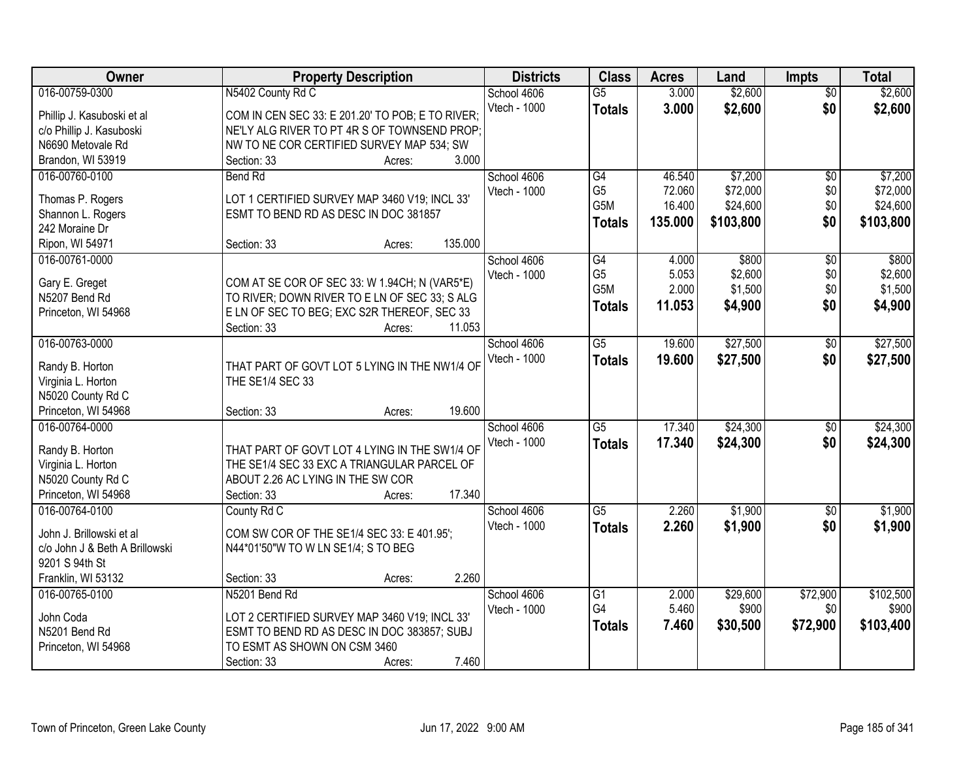| Owner                          | <b>Property Description</b>                      | <b>Districts</b> | <b>Class</b>     | <b>Acres</b> | Land      | <b>Impts</b>    | <b>Total</b> |
|--------------------------------|--------------------------------------------------|------------------|------------------|--------------|-----------|-----------------|--------------|
| 016-00759-0300                 | N5402 County Rd C                                | School 4606      | $\overline{G5}$  | 3.000        | \$2,600   | $\overline{50}$ | \$2,600      |
| Phillip J. Kasuboski et al     | COM IN CEN SEC 33: E 201.20' TO POB; E TO RIVER; | Vtech - 1000     | <b>Totals</b>    | 3.000        | \$2,600   | \$0             | \$2,600      |
| c/o Phillip J. Kasuboski       | NE'LY ALG RIVER TO PT 4R S OF TOWNSEND PROP:     |                  |                  |              |           |                 |              |
| N6690 Metovale Rd              | NW TO NE COR CERTIFIED SURVEY MAP 534; SW        |                  |                  |              |           |                 |              |
| Brandon, WI 53919              | 3.000<br>Section: 33<br>Acres:                   |                  |                  |              |           |                 |              |
| 016-00760-0100                 | <b>Bend Rd</b>                                   | School 4606      | G4               | 46.540       | \$7,200   | \$0             | \$7,200      |
|                                |                                                  | Vtech - 1000     | G <sub>5</sub>   | 72.060       | \$72,000  | \$0             | \$72,000     |
| Thomas P. Rogers               | LOT 1 CERTIFIED SURVEY MAP 3460 V19; INCL 33'    |                  | G5M              | 16.400       | \$24,600  | \$0             | \$24,600     |
| Shannon L. Rogers              | ESMT TO BEND RD AS DESC IN DOC 381857            |                  | <b>Totals</b>    | 135.000      | \$103,800 | \$0             | \$103,800    |
| 242 Moraine Dr                 |                                                  |                  |                  |              |           |                 |              |
| Ripon, WI 54971                | 135.000<br>Section: 33<br>Acres:                 |                  |                  |              |           |                 |              |
| 016-00761-0000                 |                                                  | School 4606      | $\overline{G4}$  | 4.000        | \$800     | \$0             | \$800        |
| Gary E. Greget                 | COM AT SE COR OF SEC 33: W 1.94CH; N (VAR5*E)    | Vtech - 1000     | G <sub>5</sub>   | 5.053        | \$2,600   | \$0             | \$2,600      |
| N5207 Bend Rd                  | TO RIVER; DOWN RIVER TO E LN OF SEC 33; S ALG    |                  | G <sub>5</sub> M | 2.000        | \$1,500   | \$0             | \$1,500      |
| Princeton, WI 54968            | E LN OF SEC TO BEG; EXC S2R THEREOF, SEC 33      |                  | <b>Totals</b>    | 11.053       | \$4,900   | \$0             | \$4,900      |
|                                | Section: 33<br>11.053<br>Acres:                  |                  |                  |              |           |                 |              |
| 016-00763-0000                 |                                                  | School 4606      | G5               | 19.600       | \$27,500  | $\sqrt[6]{30}$  | \$27,500     |
|                                |                                                  | Vtech - 1000     |                  | 19.600       | \$27,500  | \$0             | \$27,500     |
| Randy B. Horton                | THAT PART OF GOVT LOT 5 LYING IN THE NW1/4 OF    |                  | <b>Totals</b>    |              |           |                 |              |
| Virginia L. Horton             | THE SE1/4 SEC 33                                 |                  |                  |              |           |                 |              |
| N5020 County Rd C              |                                                  |                  |                  |              |           |                 |              |
| Princeton, WI 54968            | 19.600<br>Section: 33<br>Acres:                  |                  |                  |              |           |                 |              |
| 016-00764-0000                 |                                                  | School 4606      | $\overline{G5}$  | 17.340       | \$24,300  | $\overline{50}$ | \$24,300     |
|                                | THAT PART OF GOVT LOT 4 LYING IN THE SW1/4 OF    | Vtech - 1000     | <b>Totals</b>    | 17.340       | \$24,300  | \$0             | \$24,300     |
| Randy B. Horton                | THE SE1/4 SEC 33 EXC A TRIANGULAR PARCEL OF      |                  |                  |              |           |                 |              |
| Virginia L. Horton             |                                                  |                  |                  |              |           |                 |              |
| N5020 County Rd C              | ABOUT 2.26 AC LYING IN THE SW COR<br>17.340      |                  |                  |              |           |                 |              |
| Princeton, WI 54968            | Section: 33<br>Acres:                            |                  |                  |              |           |                 |              |
| 016-00764-0100                 | County Rd C                                      | School 4606      | $\overline{G5}$  | 2.260        | \$1,900   | $\sqrt{$0}$     | \$1,900      |
| John J. Brillowski et al       | COM SW COR OF THE SE1/4 SEC 33: E 401.95';       | Vtech - 1000     | <b>Totals</b>    | 2.260        | \$1,900   | \$0             | \$1,900      |
| c/o John J & Beth A Brillowski | N44*01'50"W TO W LN SE1/4; S TO BEG              |                  |                  |              |           |                 |              |
| 9201 S 94th St                 |                                                  |                  |                  |              |           |                 |              |
| Franklin, WI 53132             | 2.260<br>Section: 33<br>Acres:                   |                  |                  |              |           |                 |              |
| 016-00765-0100                 | N5201 Bend Rd                                    | School 4606      | G1               | 2.000        | \$29,600  | \$72,900        | \$102,500    |
|                                |                                                  | Vtech - 1000     | G4               | 5.460        | \$900     | \$0             | \$900        |
| John Coda                      | LOT 2 CERTIFIED SURVEY MAP 3460 V19; INCL 33'    |                  | <b>Totals</b>    | 7.460        | \$30,500  | \$72,900        | \$103,400    |
| N5201 Bend Rd                  | ESMT TO BEND RD AS DESC IN DOC 383857; SUBJ      |                  |                  |              |           |                 |              |
| Princeton, WI 54968            | TO ESMT AS SHOWN ON CSM 3460                     |                  |                  |              |           |                 |              |
|                                | 7.460<br>Section: 33<br>Acres:                   |                  |                  |              |           |                 |              |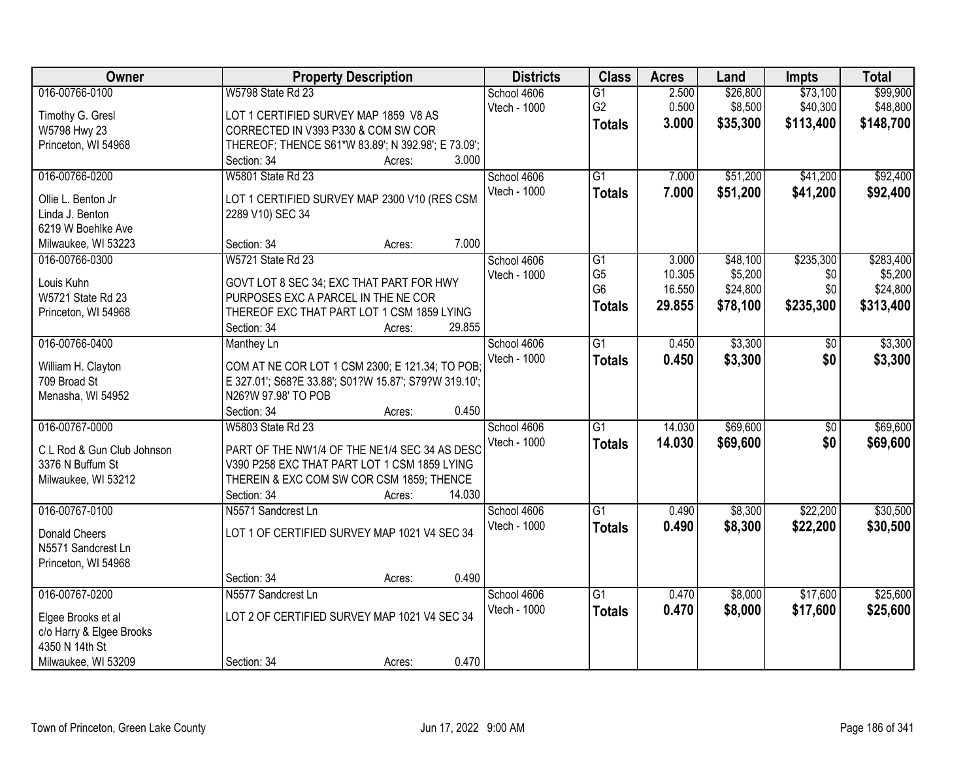| Owner                      | <b>Property Description</b>                                                  | <b>Districts</b> | <b>Class</b>         | <b>Acres</b>     | Land                | <b>Impts</b>    | <b>Total</b>        |
|----------------------------|------------------------------------------------------------------------------|------------------|----------------------|------------------|---------------------|-----------------|---------------------|
| 016-00766-0100             | W5798 State Rd 23                                                            | School 4606      | $\overline{G1}$      | 2.500            | \$26,800            | \$73,100        | \$99,900            |
| Timothy G. Gresl           | LOT 1 CERTIFIED SURVEY MAP 1859 V8 AS                                        | Vtech - 1000     | G <sub>2</sub>       | 0.500            | \$8,500             | \$40,300        | \$48,800            |
| W5798 Hwy 23               | CORRECTED IN V393 P330 & COM SW COR                                          |                  | <b>Totals</b>        | 3.000            | \$35,300            | \$113,400       | \$148,700           |
| Princeton, WI 54968        | THEREOF; THENCE S61*W 83.89'; N 392.98'; E 73.09';                           |                  |                      |                  |                     |                 |                     |
|                            | 3.000<br>Section: 34<br>Acres:                                               |                  |                      |                  |                     |                 |                     |
| 016-00766-0200             | <b>W5801 State Rd 23</b>                                                     | School 4606      | G1                   | 7.000            | \$51,200            | \$41,200        | \$92,400            |
|                            |                                                                              | Vtech - 1000     | <b>Totals</b>        | 7.000            | \$51,200            | \$41,200        | \$92,400            |
| Ollie L. Benton Jr         | LOT 1 CERTIFIED SURVEY MAP 2300 V10 (RES CSM                                 |                  |                      |                  |                     |                 |                     |
| Linda J. Benton            | 2289 V10) SEC 34                                                             |                  |                      |                  |                     |                 |                     |
| 6219 W Boehlke Ave         | 7.000<br>Section: 34                                                         |                  |                      |                  |                     |                 |                     |
| Milwaukee, WI 53223        | Acres:                                                                       |                  |                      |                  |                     |                 |                     |
| 016-00766-0300             | W5721 State Rd 23                                                            | School 4606      | G1<br>G <sub>5</sub> | 3.000            | \$48,100<br>\$5,200 | \$235,300       | \$283,400           |
| Louis Kuhn                 | GOVT LOT 8 SEC 34; EXC THAT PART FOR HWY                                     | Vtech - 1000     | G <sub>6</sub>       | 10.305<br>16.550 | \$24,800            | \$0<br>\$0      | \$5,200<br>\$24,800 |
| W5721 State Rd 23          | PURPOSES EXC A PARCEL IN THE NE COR                                          |                  |                      |                  |                     |                 |                     |
| Princeton, WI 54968        | THEREOF EXC THAT PART LOT 1 CSM 1859 LYING                                   |                  | <b>Totals</b>        | 29.855           | \$78,100            | \$235,300       | \$313,400           |
|                            | 29.855<br>Section: 34<br>Acres:                                              |                  |                      |                  |                     |                 |                     |
| 016-00766-0400             | <b>Manthey Ln</b>                                                            | School 4606      | $\overline{G1}$      | 0.450            | \$3,300             | \$0             | \$3,300             |
|                            |                                                                              | Vtech - 1000     | <b>Totals</b>        | 0.450            | \$3,300             | \$0             | \$3,300             |
| William H. Clayton         | COM AT NE COR LOT 1 CSM 2300; E 121.34; TO POB;                              |                  |                      |                  |                     |                 |                     |
| 709 Broad St               | E 327.01'; S68?E 33.88'; S01?W 15.87'; S79?W 319.10';<br>N26?W 97.98' TO POB |                  |                      |                  |                     |                 |                     |
| Menasha, WI 54952          | Section: 34<br>0.450                                                         |                  |                      |                  |                     |                 |                     |
| 016-00767-0000             | Acres:<br>W5803 State Rd 23                                                  |                  | $\overline{G1}$      | 14.030           | \$69,600            | $\overline{50}$ | \$69,600            |
|                            |                                                                              | School 4606      |                      |                  |                     |                 |                     |
| C L Rod & Gun Club Johnson | PART OF THE NW1/4 OF THE NE1/4 SEC 34 AS DESC                                | Vtech - 1000     | <b>Totals</b>        | 14.030           | \$69,600            | \$0             | \$69,600            |
| 3376 N Buffum St           | V390 P258 EXC THAT PART LOT 1 CSM 1859 LYING                                 |                  |                      |                  |                     |                 |                     |
| Milwaukee, WI 53212        | THEREIN & EXC COM SW COR CSM 1859; THENCE                                    |                  |                      |                  |                     |                 |                     |
|                            | 14.030<br>Section: 34<br>Acres:                                              |                  |                      |                  |                     |                 |                     |
| 016-00767-0100             | N5571 Sandcrest Ln                                                           | School 4606      | $\overline{G1}$      | 0.490            | \$8,300             | \$22,200        | \$30,500            |
| <b>Donald Cheers</b>       | LOT 1 OF CERTIFIED SURVEY MAP 1021 V4 SEC 34                                 | Vtech - 1000     | <b>Totals</b>        | 0.490            | \$8,300             | \$22,200        | \$30,500            |
| N5571 Sandcrest Ln         |                                                                              |                  |                      |                  |                     |                 |                     |
|                            |                                                                              |                  |                      |                  |                     |                 |                     |
| Princeton, WI 54968        | 0.490<br>Section: 34                                                         |                  |                      |                  |                     |                 |                     |
| 016-00767-0200             | Acres:<br>N5577 Sandcrest Ln                                                 | School 4606      | $\overline{G1}$      | 0.470            | \$8,000             | \$17,600        | \$25,600            |
|                            |                                                                              |                  |                      |                  |                     |                 |                     |
| Elgee Brooks et al         | LOT 2 OF CERTIFIED SURVEY MAP 1021 V4 SEC 34                                 | Vtech - 1000     | <b>Totals</b>        | 0.470            | \$8,000             | \$17,600        | \$25,600            |
| c/o Harry & Elgee Brooks   |                                                                              |                  |                      |                  |                     |                 |                     |
| 4350 N 14th St             |                                                                              |                  |                      |                  |                     |                 |                     |
| Milwaukee, WI 53209        | 0.470<br>Section: 34<br>Acres:                                               |                  |                      |                  |                     |                 |                     |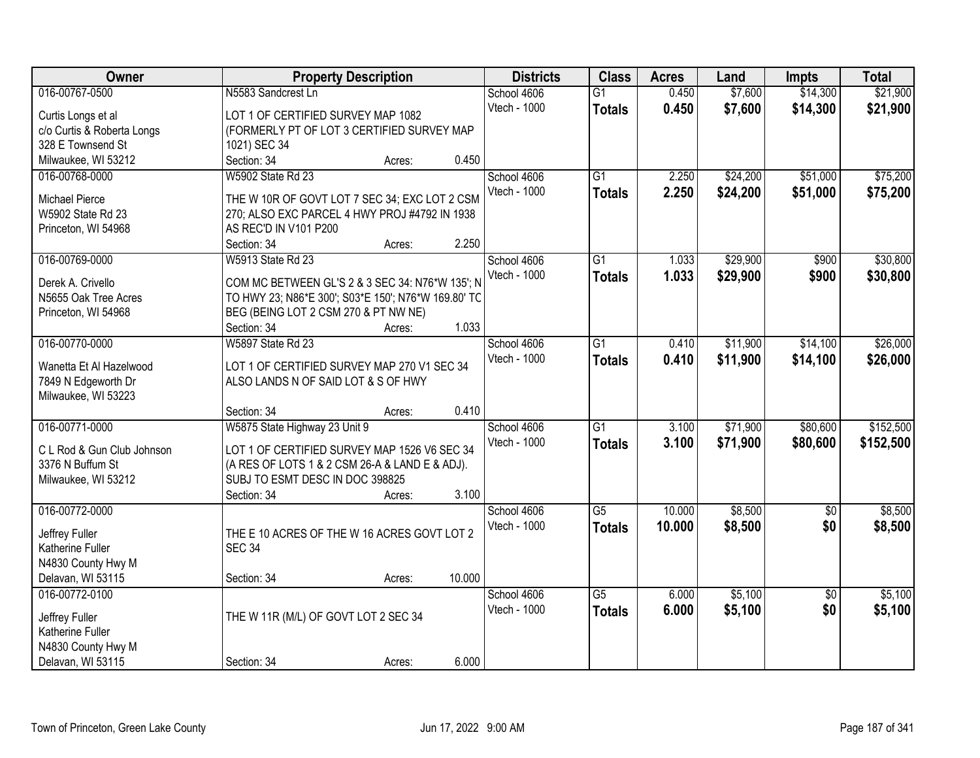| Owner                                      | <b>Property Description</b>                                                        | <b>Districts</b> | <b>Class</b>    | <b>Acres</b> | Land     | <b>Impts</b>    | <b>Total</b> |
|--------------------------------------------|------------------------------------------------------------------------------------|------------------|-----------------|--------------|----------|-----------------|--------------|
| 016-00767-0500                             | N5583 Sandcrest Ln                                                                 | School 4606      | $\overline{G1}$ | 0.450        | \$7,600  | \$14,300        | \$21,900     |
| Curtis Longs et al                         | LOT 1 OF CERTIFIED SURVEY MAP 1082                                                 | Vtech - 1000     | <b>Totals</b>   | 0.450        | \$7,600  | \$14,300        | \$21,900     |
| c/o Curtis & Roberta Longs                 | (FORMERLY PT OF LOT 3 CERTIFIED SURVEY MAP                                         |                  |                 |              |          |                 |              |
| 328 E Townsend St                          | 1021) SEC 34                                                                       |                  |                 |              |          |                 |              |
| Milwaukee, WI 53212                        | 0.450<br>Section: 34<br>Acres:                                                     |                  |                 |              |          |                 |              |
| 016-00768-0000                             | W5902 State Rd 23                                                                  | School 4606      | $\overline{G1}$ | 2.250        | \$24,200 | \$51,000        | \$75,200     |
|                                            |                                                                                    | Vtech - 1000     | <b>Totals</b>   | 2.250        | \$24,200 | \$51,000        | \$75,200     |
| <b>Michael Pierce</b>                      | THE W 10R OF GOVT LOT 7 SEC 34; EXC LOT 2 CSM                                      |                  |                 |              |          |                 |              |
| W5902 State Rd 23                          | 270; ALSO EXC PARCEL 4 HWY PROJ #4792 IN 1938                                      |                  |                 |              |          |                 |              |
| Princeton, WI 54968                        | AS REC'D IN V101 P200                                                              |                  |                 |              |          |                 |              |
|                                            | 2.250<br>Section: 34<br>Acres:                                                     |                  |                 |              |          |                 |              |
| 016-00769-0000                             | W5913 State Rd 23                                                                  | School 4606      | $\overline{G1}$ | 1.033        | \$29,900 | \$900           | \$30,800     |
| Derek A. Crivello                          | COM MC BETWEEN GL'S 2 & 3 SEC 34: N76*W 135'; N                                    | Vtech - 1000     | <b>Totals</b>   | 1.033        | \$29,900 | \$900           | \$30,800     |
| N5655 Oak Tree Acres                       | TO HWY 23; N86*E 300'; S03*E 150'; N76*W 169.80' TC                                |                  |                 |              |          |                 |              |
| Princeton, WI 54968                        | BEG (BEING LOT 2 CSM 270 & PT NW NE)                                               |                  |                 |              |          |                 |              |
|                                            | 1.033<br>Section: 34<br>Acres:                                                     |                  |                 |              |          |                 |              |
| 016-00770-0000                             | <b>W5897 State Rd 23</b>                                                           | School 4606      | G1              | 0.410        | \$11,900 | \$14,100        | \$26,000     |
|                                            |                                                                                    | Vtech - 1000     | <b>Totals</b>   | 0.410        | \$11,900 | \$14,100        | \$26,000     |
| Wanetta Et Al Hazelwood                    | LOT 1 OF CERTIFIED SURVEY MAP 270 V1 SEC 34<br>ALSO LANDS N OF SAID LOT & S OF HWY |                  |                 |              |          |                 |              |
| 7849 N Edgeworth Dr<br>Milwaukee, WI 53223 |                                                                                    |                  |                 |              |          |                 |              |
|                                            | 0.410<br>Section: 34                                                               |                  |                 |              |          |                 |              |
| 016-00771-0000                             | Acres:<br>W5875 State Highway 23 Unit 9                                            | School 4606      | $\overline{G1}$ | 3.100        | \$71,900 | \$80,600        | \$152,500    |
|                                            |                                                                                    | Vtech - 1000     |                 | 3.100        |          |                 |              |
| C L Rod & Gun Club Johnson                 | LOT 1 OF CERTIFIED SURVEY MAP 1526 V6 SEC 34                                       |                  | <b>Totals</b>   |              | \$71,900 | \$80,600        | \$152,500    |
| 3376 N Buffum St                           | (A RES OF LOTS 1 & 2 CSM 26-A & LAND E & ADJ).                                     |                  |                 |              |          |                 |              |
| Milwaukee, WI 53212                        | SUBJ TO ESMT DESC IN DOC 398825                                                    |                  |                 |              |          |                 |              |
|                                            | 3.100<br>Section: 34<br>Acres:                                                     |                  |                 |              |          |                 |              |
| 016-00772-0000                             |                                                                                    | School 4606      | $\overline{G5}$ | 10.000       | \$8,500  | $\sqrt{6}$      | \$8,500      |
| Jeffrey Fuller                             | THE E 10 ACRES OF THE W 16 ACRES GOVT LOT 2                                        | Vtech - 1000     | <b>Totals</b>   | 10.000       | \$8,500  | \$0             | \$8,500      |
| Katherine Fuller                           | <b>SEC 34</b>                                                                      |                  |                 |              |          |                 |              |
| N4830 County Hwy M                         |                                                                                    |                  |                 |              |          |                 |              |
| Delavan, WI 53115                          | 10.000<br>Section: 34<br>Acres:                                                    |                  |                 |              |          |                 |              |
| 016-00772-0100                             |                                                                                    | School 4606      | $\overline{G5}$ | 6.000        | \$5,100  | $\overline{50}$ | \$5,100      |
|                                            |                                                                                    | Vtech - 1000     | <b>Totals</b>   | 6.000        | \$5,100  | \$0             | \$5,100      |
| Jeffrey Fuller                             | THE W 11R (M/L) OF GOVT LOT 2 SEC 34                                               |                  |                 |              |          |                 |              |
| Katherine Fuller                           |                                                                                    |                  |                 |              |          |                 |              |
| N4830 County Hwy M                         |                                                                                    |                  |                 |              |          |                 |              |
| Delavan, WI 53115                          | 6.000<br>Section: 34<br>Acres:                                                     |                  |                 |              |          |                 |              |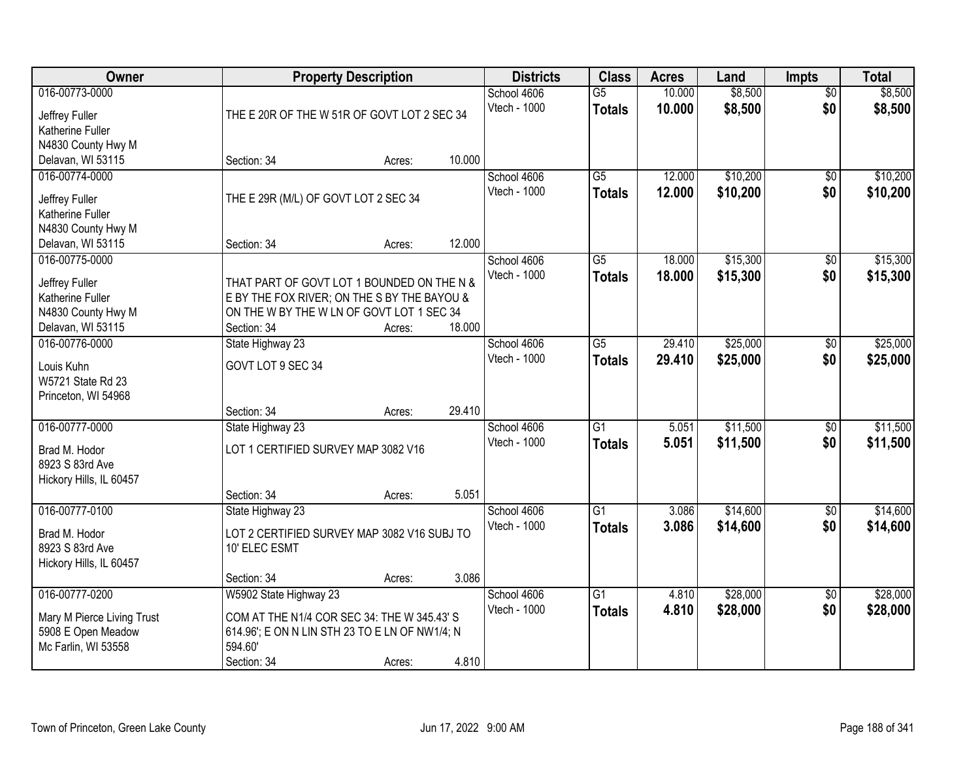| Owner                                                                                           |                                                                                                                                                       | <b>Property Description</b> |        |                             | <b>Class</b>                     | <b>Acres</b>     | Land                 | <b>Impts</b>           | <b>Total</b>         |
|-------------------------------------------------------------------------------------------------|-------------------------------------------------------------------------------------------------------------------------------------------------------|-----------------------------|--------|-----------------------------|----------------------------------|------------------|----------------------|------------------------|----------------------|
| 016-00773-0000<br>Jeffrey Fuller<br>Katherine Fuller                                            | THE E 20R OF THE W 51R OF GOVT LOT 2 SEC 34                                                                                                           |                             |        | School 4606<br>Vtech - 1000 | $\overline{G5}$<br><b>Totals</b> | 10.000<br>10.000 | \$8,500<br>\$8,500   | $\overline{50}$<br>\$0 | \$8,500<br>\$8,500   |
| N4830 County Hwy M<br>Delavan, WI 53115                                                         | Section: 34                                                                                                                                           | Acres:                      | 10.000 |                             |                                  |                  |                      |                        |                      |
| 016-00774-0000<br>Jeffrey Fuller<br>Katherine Fuller<br>N4830 County Hwy M                      | THE E 29R (M/L) OF GOVT LOT 2 SEC 34                                                                                                                  |                             |        | School 4606<br>Vtech - 1000 | $\overline{G5}$<br><b>Totals</b> | 12.000<br>12.000 | \$10,200<br>\$10,200 | $\overline{50}$<br>\$0 | \$10,200<br>\$10,200 |
| Delavan, WI 53115                                                                               | Section: 34                                                                                                                                           | Acres:                      | 12.000 |                             |                                  |                  |                      |                        |                      |
| 016-00775-0000<br>Jeffrey Fuller<br>Katherine Fuller<br>N4830 County Hwy M<br>Delavan, WI 53115 | THAT PART OF GOVT LOT 1 BOUNDED ON THE N &<br>E BY THE FOX RIVER; ON THE S BY THE BAYOU &<br>ON THE W BY THE W LN OF GOVT LOT 1 SEC 34<br>Section: 34 | Acres:                      | 18.000 | School 4606<br>Vtech - 1000 | G5<br><b>Totals</b>              | 18.000<br>18.000 | \$15,300<br>\$15,300 | \$0<br>\$0             | \$15,300<br>\$15,300 |
| 016-00776-0000<br>Louis Kuhn<br>W5721 State Rd 23<br>Princeton, WI 54968                        | State Highway 23<br>GOVT LOT 9 SEC 34<br>Section: 34                                                                                                  | Acres:                      | 29.410 | School 4606<br>Vtech - 1000 | G5<br><b>Totals</b>              | 29.410<br>29.410 | \$25,000<br>\$25,000 | \$0<br>\$0             | \$25,000<br>\$25,000 |
| 016-00777-0000<br>Brad M. Hodor<br>8923 S 83rd Ave<br>Hickory Hills, IL 60457                   | State Highway 23<br>LOT 1 CERTIFIED SURVEY MAP 3082 V16<br>Section: 34                                                                                | Acres:                      | 5.051  | School 4606<br>Vtech - 1000 | $\overline{G1}$<br><b>Totals</b> | 5.051<br>5.051   | \$11,500<br>\$11,500 | $\overline{50}$<br>\$0 | \$11,500<br>\$11,500 |
| 016-00777-0100<br>Brad M. Hodor<br>8923 S 83rd Ave<br>Hickory Hills, IL 60457                   | State Highway 23<br>LOT 2 CERTIFIED SURVEY MAP 3082 V16 SUBJ TO<br>10' ELEC ESMT<br>Section: 34                                                       | Acres:                      | 3.086  | School 4606<br>Vtech - 1000 | $\overline{G1}$<br><b>Totals</b> | 3.086<br>3.086   | \$14,600<br>\$14,600 | $\overline{60}$<br>\$0 | \$14,600<br>\$14,600 |
| 016-00777-0200<br>Mary M Pierce Living Trust<br>5908 E Open Meadow<br>Mc Farlin, WI 53558       | W5902 State Highway 23<br>COM AT THE N1/4 COR SEC 34: THE W 345.43' S<br>614.96'; E ON N LIN STH 23 TO E LN OF NW1/4; N<br>594.60<br>Section: 34      | Acres:                      | 4.810  | School 4606<br>Vtech - 1000 | $\overline{G1}$<br><b>Totals</b> | 4.810<br>4.810   | \$28,000<br>\$28,000 | $\overline{50}$<br>\$0 | \$28,000<br>\$28,000 |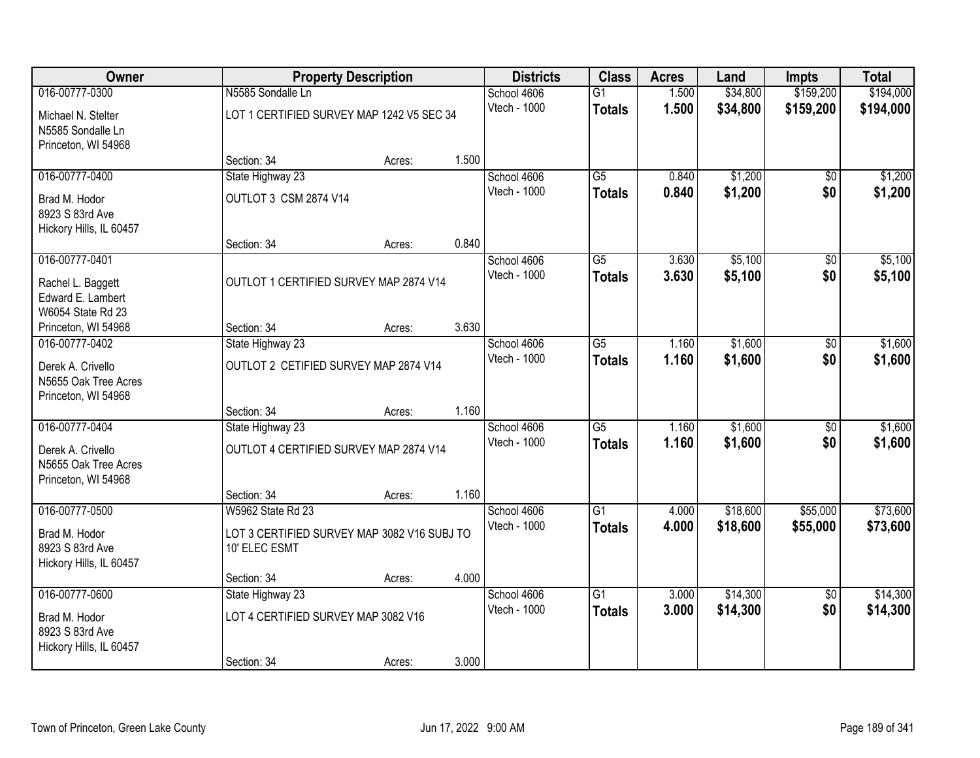| Owner                                                            |                                                              | <b>Property Description</b> |       |              | <b>Class</b>    | <b>Acres</b> | Land     | <b>Impts</b>    | <b>Total</b> |
|------------------------------------------------------------------|--------------------------------------------------------------|-----------------------------|-------|--------------|-----------------|--------------|----------|-----------------|--------------|
| 016-00777-0300                                                   | N5585 Sondalle Ln                                            |                             |       | School 4606  | $\overline{G1}$ | 1.500        | \$34,800 | \$159,200       | \$194,000    |
| Michael N. Stelter<br>N5585 Sondalle Ln<br>Princeton, WI 54968   | LOT 1 CERTIFIED SURVEY MAP 1242 V5 SEC 34                    |                             |       | Vtech - 1000 | <b>Totals</b>   | 1.500        | \$34,800 | \$159,200       | \$194,000    |
|                                                                  | Section: 34                                                  | Acres:                      | 1.500 |              |                 |              |          |                 |              |
| 016-00777-0400                                                   | State Highway 23                                             |                             |       | School 4606  | $\overline{G5}$ | 0.840        | \$1,200  | $\overline{50}$ | \$1,200      |
| Brad M. Hodor<br>8923 S 83rd Ave<br>Hickory Hills, IL 60457      | OUTLOT 3 CSM 2874 V14                                        |                             |       | Vtech - 1000 | <b>Totals</b>   | 0.840        | \$1,200  | \$0             | \$1,200      |
|                                                                  | Section: 34                                                  | Acres:                      | 0.840 |              |                 |              |          |                 |              |
| 016-00777-0401                                                   |                                                              |                             |       | School 4606  | $\overline{G5}$ | 3.630        | \$5,100  | \$0             | \$5,100      |
| Rachel L. Baggett<br>Edward E. Lambert<br>W6054 State Rd 23      | OUTLOT 1 CERTIFIED SURVEY MAP 2874 V14                       |                             |       | Vtech - 1000 | <b>Totals</b>   | 3.630        | \$5,100  | \$0             | \$5,100      |
| Princeton, WI 54968                                              | Section: 34                                                  | Acres:                      | 3.630 |              |                 |              |          |                 |              |
| 016-00777-0402                                                   | State Highway 23                                             |                             |       | School 4606  | $\overline{G5}$ | 1.160        | \$1,600  | \$0             | \$1,600      |
| Derek A. Crivello<br>N5655 Oak Tree Acres<br>Princeton, WI 54968 | OUTLOT 2 CETIFIED SURVEY MAP 2874 V14                        |                             |       | Vtech - 1000 | <b>Totals</b>   | 1.160        | \$1,600  | \$0             | \$1,600      |
|                                                                  | Section: 34                                                  | Acres:                      | 1.160 |              |                 |              |          |                 |              |
| 016-00777-0404                                                   | State Highway 23                                             |                             |       | School 4606  | $\overline{G5}$ | 1.160        | \$1,600  | $\overline{50}$ | \$1,600      |
| Derek A. Crivello<br>N5655 Oak Tree Acres<br>Princeton, WI 54968 | OUTLOT 4 CERTIFIED SURVEY MAP 2874 V14                       |                             |       | Vtech - 1000 | <b>Totals</b>   | 1.160        | \$1,600  | \$0             | \$1,600      |
|                                                                  | Section: 34                                                  | Acres:                      | 1.160 |              |                 |              |          |                 |              |
| 016-00777-0500                                                   | W5962 State Rd 23                                            |                             |       | School 4606  | $\overline{G1}$ | 4.000        | \$18,600 | \$55,000        | \$73,600     |
| Brad M. Hodor<br>8923 S 83rd Ave<br>Hickory Hills, IL 60457      | LOT 3 CERTIFIED SURVEY MAP 3082 V16 SUBJ TO<br>10' ELEC ESMT |                             |       | Vtech - 1000 | <b>Totals</b>   | 4.000        | \$18,600 | \$55,000        | \$73,600     |
|                                                                  | Section: 34                                                  | Acres:                      | 4.000 |              |                 |              |          |                 |              |
| 016-00777-0600                                                   | State Highway 23                                             |                             |       | School 4606  | $\overline{G1}$ | 3.000        | \$14,300 | $\overline{50}$ | \$14,300     |
| Brad M. Hodor<br>8923 S 83rd Ave<br>Hickory Hills, IL 60457      | LOT 4 CERTIFIED SURVEY MAP 3082 V16                          |                             |       | Vtech - 1000 | <b>Totals</b>   | 3.000        | \$14,300 | \$0             | \$14,300     |
|                                                                  | Section: 34                                                  | Acres:                      | 3.000 |              |                 |              |          |                 |              |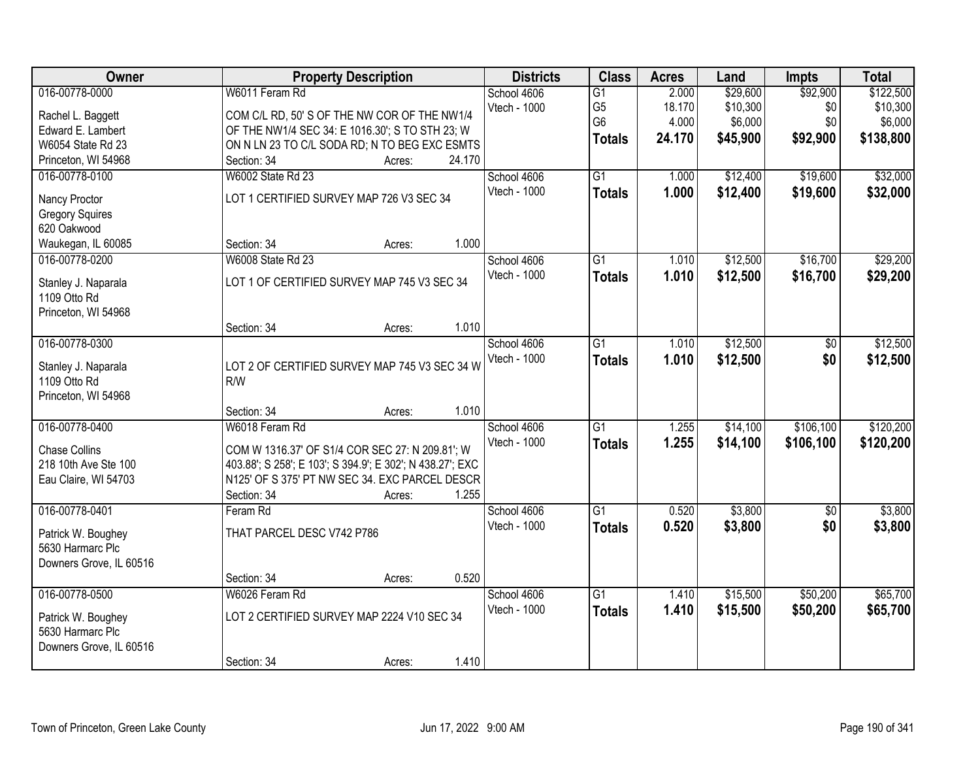| Owner                   |                                                           | <b>Property Description</b> |        | <b>Districts</b>            | <b>Class</b>         | <b>Acres</b>    | Land                 | <b>Impts</b>    | <b>Total</b>          |
|-------------------------|-----------------------------------------------------------|-----------------------------|--------|-----------------------------|----------------------|-----------------|----------------------|-----------------|-----------------------|
| 016-00778-0000          | W6011 Feram Rd                                            |                             |        | School 4606<br>Vtech - 1000 | G1<br>G <sub>5</sub> | 2.000<br>18.170 | \$29,600<br>\$10,300 | \$92,900<br>\$0 | \$122,500<br>\$10,300 |
| Rachel L. Baggett       | COM C/L RD, 50' S OF THE NW COR OF THE NW1/4              |                             |        |                             | G <sub>6</sub>       | 4.000           | \$6,000              | \$0             | \$6,000               |
| Edward E. Lambert       | OF THE NW1/4 SEC 34: E 1016.30'; S TO STH 23; W           |                             |        |                             |                      | 24.170          |                      |                 |                       |
| W6054 State Rd 23       | ON N LN 23 TO C/L SODA RD; N TO BEG EXC ESMTS             |                             |        |                             | <b>Totals</b>        |                 | \$45,900             | \$92,900        | \$138,800             |
| Princeton, WI 54968     | Section: 34                                               | Acres:                      | 24.170 |                             |                      |                 |                      |                 |                       |
| 016-00778-0100          | <b>W6002 State Rd 23</b>                                  |                             |        | School 4606                 | $\overline{G1}$      | 1.000           | \$12,400             | \$19,600        | \$32,000              |
| Nancy Proctor           | LOT 1 CERTIFIED SURVEY MAP 726 V3 SEC 34                  |                             |        | Vtech - 1000                | <b>Totals</b>        | 1.000           | \$12,400             | \$19,600        | \$32,000              |
| <b>Gregory Squires</b>  |                                                           |                             |        |                             |                      |                 |                      |                 |                       |
| 620 Oakwood             |                                                           |                             |        |                             |                      |                 |                      |                 |                       |
| Waukegan, IL 60085      | Section: 34                                               | Acres:                      | 1.000  |                             |                      |                 |                      |                 |                       |
| 016-00778-0200          | W6008 State Rd 23                                         |                             |        | School 4606                 | G <sub>1</sub>       | 1.010           | \$12,500             | \$16,700        | \$29,200              |
| Stanley J. Naparala     | LOT 1 OF CERTIFIED SURVEY MAP 745 V3 SEC 34               |                             |        | Vtech - 1000                | <b>Totals</b>        | 1.010           | \$12,500             | \$16,700        | \$29,200              |
| 1109 Otto Rd            |                                                           |                             |        |                             |                      |                 |                      |                 |                       |
| Princeton, WI 54968     |                                                           |                             |        |                             |                      |                 |                      |                 |                       |
|                         | Section: 34                                               | Acres:                      | 1.010  |                             |                      |                 |                      |                 |                       |
| 016-00778-0300          |                                                           |                             |        | School 4606                 | G1                   | 1.010           | \$12,500             | \$0             | \$12,500              |
|                         |                                                           |                             |        | Vtech - 1000                | <b>Totals</b>        | 1.010           | \$12,500             | \$0             | \$12,500              |
| Stanley J. Naparala     | LOT 2 OF CERTIFIED SURVEY MAP 745 V3 SEC 34 W             |                             |        |                             |                      |                 |                      |                 |                       |
| 1109 Otto Rd            | R/W                                                       |                             |        |                             |                      |                 |                      |                 |                       |
| Princeton, WI 54968     |                                                           |                             | 1.010  |                             |                      |                 |                      |                 |                       |
|                         | Section: 34                                               | Acres:                      |        |                             |                      |                 |                      |                 |                       |
| 016-00778-0400          | W6018 Feram Rd                                            |                             |        | School 4606                 | $\overline{G1}$      | 1.255           | \$14,100             | \$106,100       | \$120,200             |
| <b>Chase Collins</b>    | COM W 1316.37' OF S1/4 COR SEC 27: N 209.81'; W           |                             |        | Vtech - 1000                | <b>Totals</b>        | 1.255           | \$14,100             | \$106,100       | \$120,200             |
| 218 10th Ave Ste 100    | 403.88'; S 258'; E 103'; S 394.9'; E 302'; N 438.27'; EXC |                             |        |                             |                      |                 |                      |                 |                       |
| Eau Claire, WI 54703    | N125' OF S 375' PT NW SEC 34. EXC PARCEL DESCR            |                             |        |                             |                      |                 |                      |                 |                       |
|                         | Section: 34                                               | Acres:                      | 1.255  |                             |                      |                 |                      |                 |                       |
| 016-00778-0401          | Feram Rd                                                  |                             |        | School 4606                 | $\overline{G1}$      | 0.520           | \$3,800              | $\overline{50}$ | \$3,800               |
| Patrick W. Boughey      | THAT PARCEL DESC V742 P786                                |                             |        | Vtech - 1000                | <b>Totals</b>        | 0.520           | \$3,800              | \$0             | \$3,800               |
| 5630 Harmarc Plc        |                                                           |                             |        |                             |                      |                 |                      |                 |                       |
| Downers Grove, IL 60516 |                                                           |                             |        |                             |                      |                 |                      |                 |                       |
|                         | Section: 34                                               | Acres:                      | 0.520  |                             |                      |                 |                      |                 |                       |
| 016-00778-0500          | W6026 Feram Rd                                            |                             |        | School 4606                 | $\overline{G1}$      | 1.410           | \$15,500             | \$50,200        | \$65,700              |
| Patrick W. Boughey      | LOT 2 CERTIFIED SURVEY MAP 2224 V10 SEC 34                |                             |        | Vtech - 1000                | <b>Totals</b>        | 1.410           | \$15,500             | \$50,200        | \$65,700              |
| 5630 Harmarc Plc        |                                                           |                             |        |                             |                      |                 |                      |                 |                       |
| Downers Grove, IL 60516 |                                                           |                             |        |                             |                      |                 |                      |                 |                       |
|                         | Section: 34                                               | Acres:                      | 1.410  |                             |                      |                 |                      |                 |                       |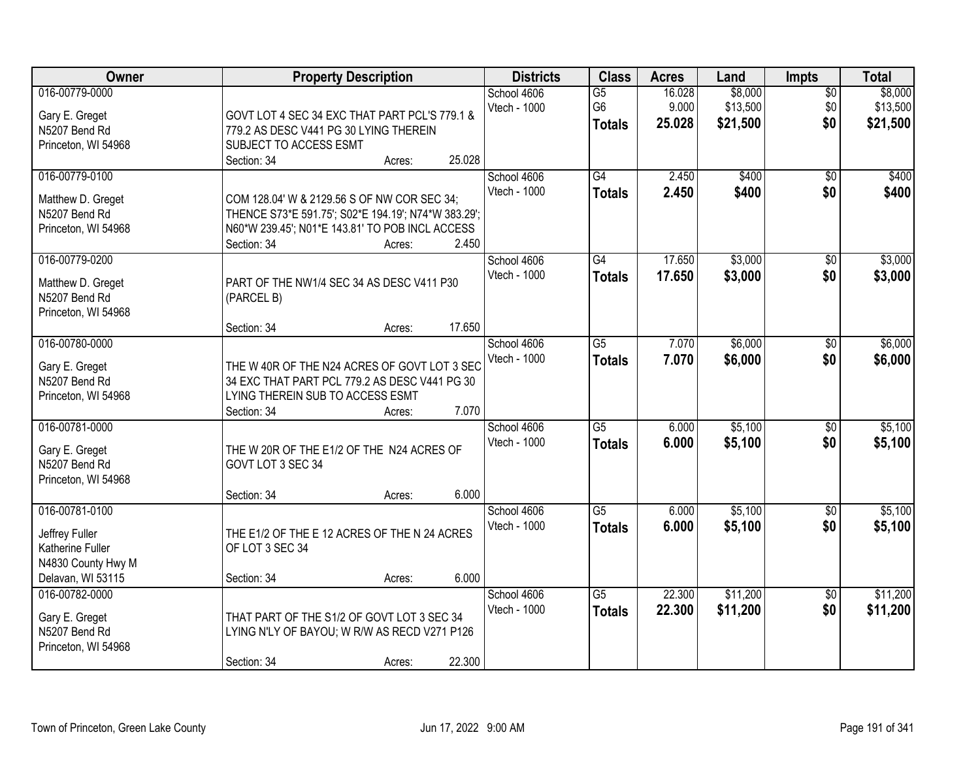| <b>Owner</b>                                                                                    |                                                                                                                                                                      | <b>Property Description</b> |        |                             | <b>Class</b>                                       | <b>Acres</b>              | Land                            | <b>Impts</b>                  | <b>Total</b>                    |
|-------------------------------------------------------------------------------------------------|----------------------------------------------------------------------------------------------------------------------------------------------------------------------|-----------------------------|--------|-----------------------------|----------------------------------------------------|---------------------------|---------------------------------|-------------------------------|---------------------------------|
| 016-00779-0000<br>Gary E. Greget<br>N5207 Bend Rd<br>Princeton, WI 54968                        | GOVT LOT 4 SEC 34 EXC THAT PART PCL'S 779.1 &<br>779.2 AS DESC V441 PG 30 LYING THEREIN<br>SUBJECT TO ACCESS ESMT                                                    |                             |        | School 4606<br>Vtech - 1000 | $\overline{G5}$<br>G <sub>6</sub><br><b>Totals</b> | 16.028<br>9.000<br>25.028 | \$8,000<br>\$13,500<br>\$21,500 | $\overline{50}$<br>\$0<br>\$0 | \$8,000<br>\$13,500<br>\$21,500 |
|                                                                                                 | Section: 34                                                                                                                                                          | Acres:                      | 25.028 |                             |                                                    |                           |                                 |                               |                                 |
| 016-00779-0100<br>Matthew D. Greget<br>N5207 Bend Rd<br>Princeton, WI 54968                     | COM 128.04' W & 2129.56 S OF NW COR SEC 34;<br>THENCE S73*E 591.75'; S02*E 194.19'; N74*W 383.29';<br>N60*W 239.45'; N01*E 143.81' TO POB INCL ACCESS<br>Section: 34 | Acres:                      | 2.450  | School 4606<br>Vtech - 1000 | G4<br><b>Totals</b>                                | 2.450<br>2.450            | \$400<br>\$400                  | $\overline{50}$<br>\$0        | \$400<br>\$400                  |
| 016-00779-0200<br>Matthew D. Greget<br>N5207 Bend Rd<br>Princeton, WI 54968                     | PART OF THE NW1/4 SEC 34 AS DESC V411 P30<br>(PARCEL B)<br>Section: 34                                                                                               | Acres:                      | 17.650 | School 4606<br>Vtech - 1000 | G4<br><b>Totals</b>                                | 17.650<br>17.650          | \$3,000<br>\$3,000              | $\overline{50}$<br>\$0        | \$3,000<br>\$3,000              |
| 016-00780-0000<br>Gary E. Greget<br>N5207 Bend Rd<br>Princeton, WI 54968                        | THE W 40R OF THE N24 ACRES OF GOVT LOT 3 SEC<br>34 EXC THAT PART PCL 779.2 AS DESC V441 PG 30<br>LYING THEREIN SUB TO ACCESS ESMT<br>Section: 34                     | Acres:                      | 7.070  | School 4606<br>Vtech - 1000 | $\overline{G5}$<br><b>Totals</b>                   | 7.070<br>7.070            | \$6,000<br>\$6,000              | \$0<br>\$0                    | \$6,000<br>\$6,000              |
| 016-00781-0000<br>Gary E. Greget<br>N5207 Bend Rd<br>Princeton, WI 54968                        | THE W 20R OF THE E1/2 OF THE N24 ACRES OF<br>GOVT LOT 3 SEC 34<br>Section: 34                                                                                        | Acres:                      | 6.000  | School 4606<br>Vtech - 1000 | $\overline{G5}$<br><b>Totals</b>                   | 6.000<br>6.000            | \$5,100<br>\$5,100              | $\overline{50}$<br>\$0        | \$5,100<br>\$5,100              |
| 016-00781-0100<br>Jeffrey Fuller<br>Katherine Fuller<br>N4830 County Hwy M<br>Delavan, WI 53115 | THE E1/2 OF THE E 12 ACRES OF THE N 24 ACRES<br>OF LOT 3 SEC 34<br>Section: 34                                                                                       | Acres:                      | 6.000  | School 4606<br>Vtech - 1000 | $\overline{G5}$<br><b>Totals</b>                   | 6.000<br>6.000            | \$5,100<br>\$5,100              | $\sqrt{$0}$<br>\$0            | \$5,100<br>\$5,100              |
| 016-00782-0000<br>Gary E. Greget<br>N5207 Bend Rd<br>Princeton, WI 54968                        | THAT PART OF THE S1/2 OF GOVT LOT 3 SEC 34<br>LYING N'LY OF BAYOU; W R/W AS RECD V271 P126<br>Section: 34                                                            | Acres:                      | 22.300 | School 4606<br>Vtech - 1000 | $\overline{G5}$<br><b>Totals</b>                   | 22.300<br>22.300          | \$11,200<br>\$11,200            | $\overline{50}$<br>\$0        | \$11,200<br>\$11,200            |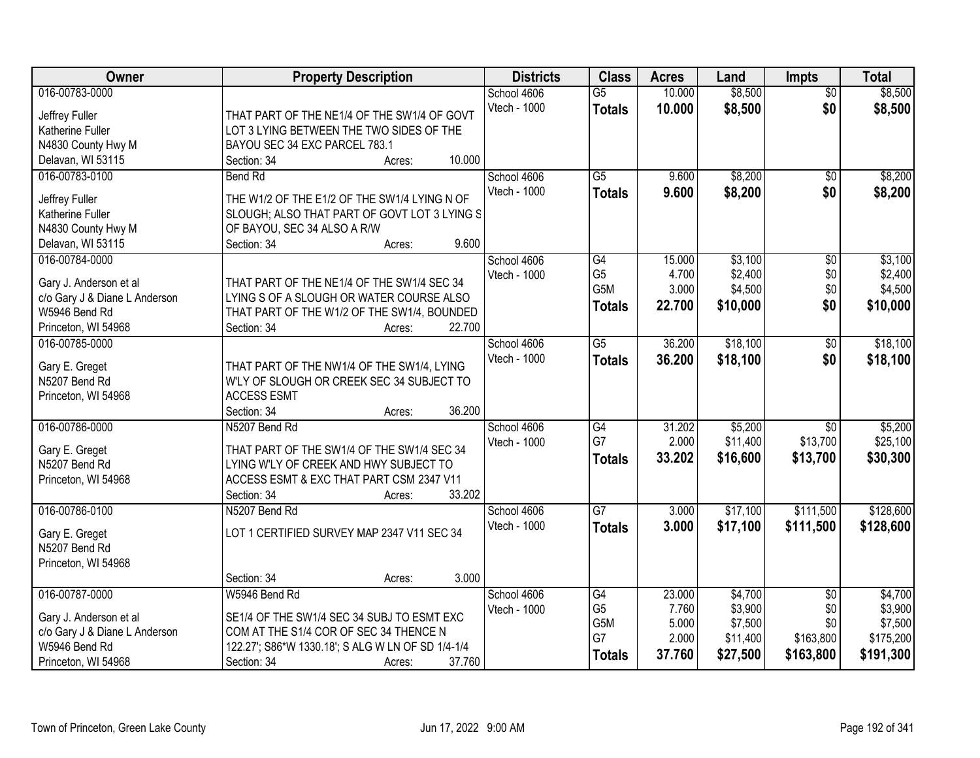| Owner                               | <b>Property Description</b>                         | <b>Districts</b> | <b>Class</b>    | <b>Acres</b> | Land     | <b>Impts</b>    | <b>Total</b> |
|-------------------------------------|-----------------------------------------------------|------------------|-----------------|--------------|----------|-----------------|--------------|
| 016-00783-0000                      |                                                     | School 4606      | $\overline{G5}$ | 10.000       | \$8,500  | $\overline{50}$ | \$8,500      |
| Jeffrey Fuller                      | THAT PART OF THE NE1/4 OF THE SW1/4 OF GOVT         | Vtech - 1000     | <b>Totals</b>   | 10.000       | \$8,500  | \$0             | \$8,500      |
| Katherine Fuller                    | LOT 3 LYING BETWEEN THE TWO SIDES OF THE            |                  |                 |              |          |                 |              |
| N4830 County Hwy M                  | BAYOU SEC 34 EXC PARCEL 783.1                       |                  |                 |              |          |                 |              |
| Delavan, WI 53115                   | 10.000<br>Section: 34<br>Acres:                     |                  |                 |              |          |                 |              |
| 016-00783-0100                      | <b>Bend Rd</b>                                      | School 4606      | $\overline{G5}$ | 9.600        | \$8,200  | $\overline{50}$ | \$8,200      |
|                                     |                                                     | Vtech - 1000     | <b>Totals</b>   | 9.600        | \$8,200  | \$0             | \$8,200      |
| Jeffrey Fuller                      | THE W1/2 OF THE E1/2 OF THE SW1/4 LYING N OF        |                  |                 |              |          |                 |              |
| Katherine Fuller                    | SLOUGH; ALSO THAT PART OF GOVT LOT 3 LYING S        |                  |                 |              |          |                 |              |
| N4830 County Hwy M                  | OF BAYOU, SEC 34 ALSO A R/W<br>9.600<br>Section: 34 |                  |                 |              |          |                 |              |
| Delavan, WI 53115<br>016-00784-0000 | Acres:                                              | School 4606      | G4              | 15.000       | \$3,100  |                 | \$3,100      |
|                                     |                                                     | Vtech - 1000     | G <sub>5</sub>  | 4.700        | \$2,400  | \$0<br>\$0      | \$2,400      |
| Gary J. Anderson et al              | THAT PART OF THE NE1/4 OF THE SW1/4 SEC 34          |                  | G5M             | 3.000        | \$4,500  | \$0             | \$4,500      |
| c/o Gary J & Diane L Anderson       | LYING S OF A SLOUGH OR WATER COURSE ALSO            |                  |                 | 22.700       | \$10,000 | \$0             | \$10,000     |
| W5946 Bend Rd                       | THAT PART OF THE W1/2 OF THE SW1/4, BOUNDED         |                  | <b>Totals</b>   |              |          |                 |              |
| Princeton, WI 54968                 | 22.700<br>Section: 34<br>Acres:                     |                  |                 |              |          |                 |              |
| 016-00785-0000                      |                                                     | School 4606      | $\overline{G5}$ | 36.200       | \$18,100 | \$0             | \$18,100     |
|                                     | THAT PART OF THE NW1/4 OF THE SW1/4, LYING          | Vtech - 1000     | <b>Totals</b>   | 36.200       | \$18,100 | \$0             | \$18,100     |
| Gary E. Greget<br>N5207 Bend Rd     | W'LY OF SLOUGH OR CREEK SEC 34 SUBJECT TO           |                  |                 |              |          |                 |              |
| Princeton, WI 54968                 | <b>ACCESS ESMT</b>                                  |                  |                 |              |          |                 |              |
|                                     | 36.200<br>Section: 34<br>Acres:                     |                  |                 |              |          |                 |              |
| 016-00786-0000                      | N5207 Bend Rd                                       | School 4606      | G4              | 31.202       | \$5,200  | $\overline{50}$ | \$5,200      |
|                                     |                                                     | Vtech - 1000     | G7              | 2.000        | \$11,400 | \$13,700        | \$25,100     |
| Gary E. Greget                      | THAT PART OF THE SW1/4 OF THE SW1/4 SEC 34          |                  | <b>Totals</b>   | 33.202       | \$16,600 | \$13,700        | \$30,300     |
| N5207 Bend Rd                       | LYING W'LY OF CREEK AND HWY SUBJECT TO              |                  |                 |              |          |                 |              |
| Princeton, WI 54968                 | ACCESS ESMT & EXC THAT PART CSM 2347 V11            |                  |                 |              |          |                 |              |
|                                     | 33.202<br>Section: 34<br>Acres:                     |                  |                 |              |          |                 |              |
| 016-00786-0100                      | N5207 Bend Rd                                       | School 4606      | $\overline{G7}$ | 3.000        | \$17,100 | \$111,500       | \$128,600    |
| Gary E. Greget                      | LOT 1 CERTIFIED SURVEY MAP 2347 V11 SEC 34          | Vtech - 1000     | <b>Totals</b>   | 3.000        | \$17,100 | \$111,500       | \$128,600    |
| N5207 Bend Rd                       |                                                     |                  |                 |              |          |                 |              |
| Princeton, WI 54968                 |                                                     |                  |                 |              |          |                 |              |
|                                     | 3.000<br>Section: 34<br>Acres:                      |                  |                 |              |          |                 |              |
| 016-00787-0000                      | W5946 Bend Rd                                       | School 4606      | G4              | 23.000       | \$4,700  | $\overline{50}$ | \$4,700      |
|                                     |                                                     | Vtech - 1000     | G <sub>5</sub>  | 7.760        | \$3,900  | \$0             | \$3,900      |
| Gary J. Anderson et al              | SE1/4 OF THE SW1/4 SEC 34 SUBJ TO ESMT EXC          |                  | G5M             | 5.000        | \$7,500  | \$0             | \$7,500      |
| c/o Gary J & Diane L Anderson       | COM AT THE S1/4 COR OF SEC 34 THENCE N              |                  | G7              | 2.000        | \$11,400 | \$163,800       | \$175,200    |
| W5946 Bend Rd                       | 122.27'; S86*W 1330.18'; S ALG W LN OF SD 1/4-1/4   |                  | <b>Totals</b>   | 37.760       | \$27,500 | \$163,800       | \$191,300    |
| Princeton, WI 54968                 | Section: 34<br>37.760<br>Acres:                     |                  |                 |              |          |                 |              |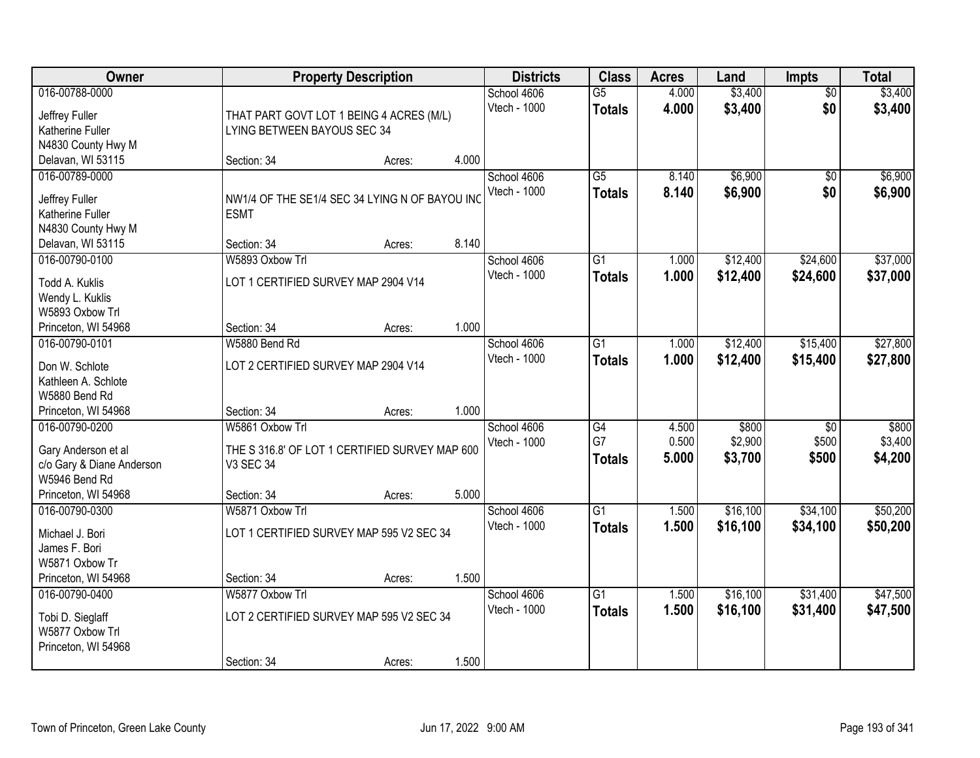| Owner                            |                                                | <b>Property Description</b> |       |                             | <b>Class</b>                     | <b>Acres</b>   | Land               | <b>Impts</b>             | <b>Total</b>       |
|----------------------------------|------------------------------------------------|-----------------------------|-------|-----------------------------|----------------------------------|----------------|--------------------|--------------------------|--------------------|
| 016-00788-0000<br>Jeffrey Fuller | THAT PART GOVT LOT 1 BEING 4 ACRES (M/L)       |                             |       | School 4606<br>Vtech - 1000 | $\overline{G5}$<br><b>Totals</b> | 4.000<br>4.000 | \$3,400<br>\$3,400 | $\overline{50}$<br>\$0   | \$3,400<br>\$3,400 |
| Katherine Fuller                 | LYING BETWEEN BAYOUS SEC 34                    |                             |       |                             |                                  |                |                    |                          |                    |
| N4830 County Hwy M               |                                                |                             |       |                             |                                  |                |                    |                          |                    |
| Delavan, WI 53115                | Section: 34                                    | Acres:                      | 4.000 |                             |                                  |                |                    |                          |                    |
| 016-00789-0000                   |                                                |                             |       | School 4606<br>Vtech - 1000 | $\overline{G5}$<br><b>Totals</b> | 8.140<br>8.140 | \$6,900<br>\$6,900 | $\overline{50}$<br>\$0   | \$6,900<br>\$6,900 |
| Jeffrey Fuller                   | NW1/4 OF THE SE1/4 SEC 34 LYING N OF BAYOU INC |                             |       |                             |                                  |                |                    |                          |                    |
| Katherine Fuller                 | <b>ESMT</b>                                    |                             |       |                             |                                  |                |                    |                          |                    |
| N4830 County Hwy M               |                                                |                             |       |                             |                                  |                |                    |                          |                    |
| Delavan, WI 53115                | Section: 34                                    | Acres:                      | 8.140 |                             |                                  |                |                    |                          |                    |
| 016-00790-0100                   | W5893 Oxbow Trl                                |                             |       | School 4606                 | G1                               | 1.000          | \$12,400           | \$24,600                 | \$37,000           |
| Todd A. Kuklis                   | LOT 1 CERTIFIED SURVEY MAP 2904 V14            |                             |       | Vtech - 1000                | <b>Totals</b>                    | 1.000          | \$12,400           | \$24,600                 | \$37,000           |
| Wendy L. Kuklis                  |                                                |                             |       |                             |                                  |                |                    |                          |                    |
| W5893 Oxbow Trl                  |                                                |                             |       |                             |                                  |                |                    |                          |                    |
| Princeton, WI 54968              | Section: 34                                    | Acres:                      | 1.000 |                             |                                  |                |                    |                          |                    |
| 016-00790-0101                   | W5880 Bend Rd                                  |                             |       | School 4606                 | G1                               | 1.000          | \$12,400           | \$15,400                 | \$27,800           |
| Don W. Schlote                   | LOT 2 CERTIFIED SURVEY MAP 2904 V14            |                             |       | Vtech - 1000                | <b>Totals</b>                    | 1.000          | \$12,400           | \$15,400                 | \$27,800           |
| Kathleen A. Schlote              |                                                |                             |       |                             |                                  |                |                    |                          |                    |
| W5880 Bend Rd                    |                                                |                             |       |                             |                                  |                |                    |                          |                    |
| Princeton, WI 54968              | Section: 34                                    | Acres:                      | 1.000 |                             |                                  |                |                    |                          |                    |
| 016-00790-0200                   | W5861 Oxbow Trl                                |                             |       | School 4606<br>Vtech - 1000 | $\overline{G4}$<br>G7            | 4.500<br>0.500 | \$800<br>\$2,900   | $\overline{30}$<br>\$500 | \$800<br>\$3,400   |
| Gary Anderson et al              | THE S 316.8' OF LOT 1 CERTIFIED SURVEY MAP 600 |                             |       |                             |                                  | 5.000          | \$3,700            | \$500                    |                    |
| c/o Gary & Diane Anderson        | V3 SEC 34                                      |                             |       |                             | <b>Totals</b>                    |                |                    |                          | \$4,200            |
| W5946 Bend Rd                    |                                                |                             |       |                             |                                  |                |                    |                          |                    |
| Princeton, WI 54968              | Section: 34                                    | Acres:                      | 5.000 |                             |                                  |                |                    |                          |                    |
| 016-00790-0300                   | W5871 Oxbow Trl                                |                             |       | School 4606                 | $\overline{G1}$                  | 1.500          | \$16,100           | \$34,100                 | \$50,200           |
| Michael J. Bori                  | LOT 1 CERTIFIED SURVEY MAP 595 V2 SEC 34       |                             |       | Vtech - 1000                | <b>Totals</b>                    | 1.500          | \$16,100           | \$34,100                 | \$50,200           |
| James F. Bori                    |                                                |                             |       |                             |                                  |                |                    |                          |                    |
| W5871 Oxbow Tr                   |                                                |                             |       |                             |                                  |                |                    |                          |                    |
| Princeton, WI 54968              | Section: 34                                    | Acres:                      | 1.500 |                             |                                  |                |                    |                          |                    |
| 016-00790-0400                   | W5877 Oxbow Trl                                |                             |       | School 4606                 | $\overline{G1}$                  | 1.500          | \$16,100           | \$31,400                 | \$47,500           |
| Tobi D. Sieglaff                 | LOT 2 CERTIFIED SURVEY MAP 595 V2 SEC 34       |                             |       | Vtech - 1000                | <b>Totals</b>                    | 1.500          | \$16,100           | \$31,400                 | \$47,500           |
| W5877 Oxbow Trl                  |                                                |                             |       |                             |                                  |                |                    |                          |                    |
| Princeton, WI 54968              |                                                |                             |       |                             |                                  |                |                    |                          |                    |
|                                  | Section: 34                                    | Acres:                      | 1.500 |                             |                                  |                |                    |                          |                    |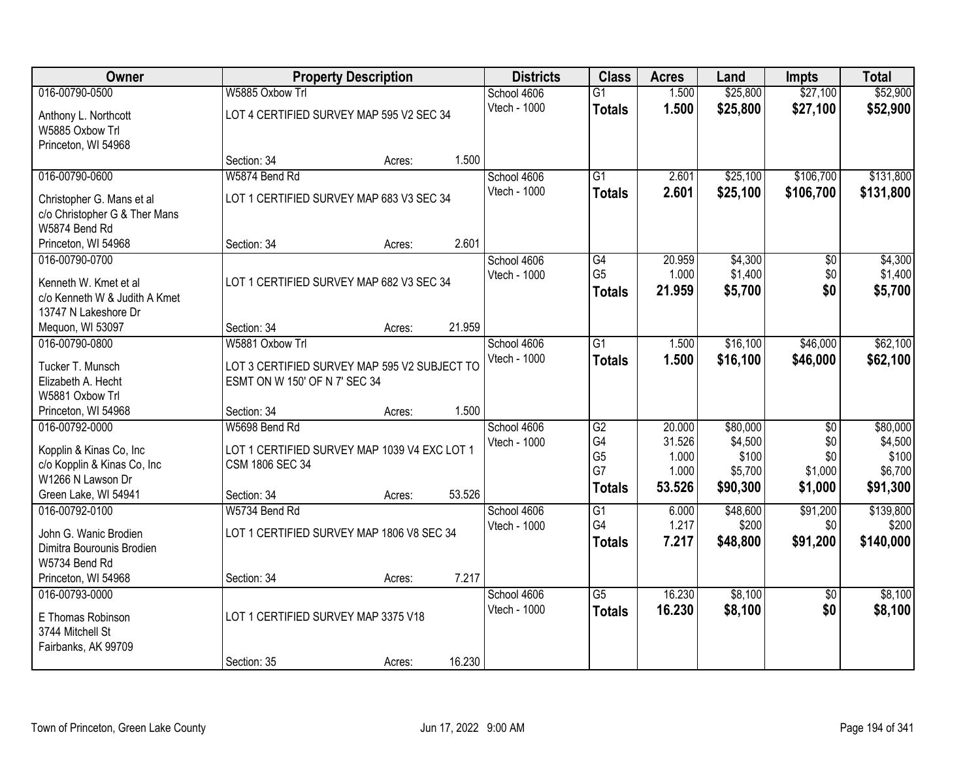| Owner                                                                                                                 | <b>Property Description</b>                                                                     | <b>Districts</b> | <b>Class</b>                | <b>Acres</b>                                      | Land                                         | <b>Impts</b>                                        | <b>Total</b>                            |                                                     |
|-----------------------------------------------------------------------------------------------------------------------|-------------------------------------------------------------------------------------------------|------------------|-----------------------------|---------------------------------------------------|----------------------------------------------|-----------------------------------------------------|-----------------------------------------|-----------------------------------------------------|
| 016-00790-0500                                                                                                        | W5885 Oxbow Trl                                                                                 |                  | School 4606                 | $\overline{G1}$                                   | 1.500                                        | \$25,800                                            | \$27,100                                | \$52,900                                            |
| Anthony L. Northcott<br>W5885 Oxbow Trl<br>Princeton, WI 54968                                                        | LOT 4 CERTIFIED SURVEY MAP 595 V2 SEC 34                                                        |                  | Vtech - 1000                | <b>Totals</b>                                     | 1.500                                        | \$25,800                                            | \$27,100                                | \$52,900                                            |
|                                                                                                                       | Section: 34                                                                                     | 1.500<br>Acres:  |                             |                                                   |                                              |                                                     |                                         |                                                     |
| 016-00790-0600                                                                                                        | W5874 Bend Rd                                                                                   |                  | School 4606                 | G1                                                | 2.601                                        | \$25,100                                            | \$106,700                               | \$131,800                                           |
| Christopher G. Mans et al<br>c/o Christopher G & Ther Mans<br>W5874 Bend Rd                                           | LOT 1 CERTIFIED SURVEY MAP 683 V3 SEC 34                                                        |                  | Vtech - 1000                | <b>Totals</b>                                     | 2.601                                        | \$25,100                                            | \$106,700                               | \$131,800                                           |
| Princeton, WI 54968                                                                                                   | Section: 34                                                                                     | 2.601<br>Acres:  |                             |                                                   |                                              |                                                     |                                         |                                                     |
| 016-00790-0700<br>Kenneth W. Kmet et al<br>c/o Kenneth W & Judith A Kmet<br>13747 N Lakeshore Dr                      | LOT 1 CERTIFIED SURVEY MAP 682 V3 SEC 34                                                        |                  | School 4606<br>Vtech - 1000 | G4<br>G <sub>5</sub><br><b>Totals</b>             | 20.959<br>1.000<br>21.959                    | \$4,300<br>\$1,400<br>\$5,700                       | \$0<br>\$0<br>\$0                       | \$4,300<br>\$1,400<br>\$5,700                       |
| Mequon, WI 53097                                                                                                      | Section: 34                                                                                     | 21.959<br>Acres: |                             |                                                   |                                              |                                                     |                                         |                                                     |
| 016-00790-0800                                                                                                        | W5881 Oxbow Trl                                                                                 |                  | School 4606                 | $\overline{G1}$                                   | 1.500                                        | \$16,100                                            | \$46,000                                | \$62,100                                            |
| Tucker T. Munsch<br>Elizabeth A. Hecht<br>W5881 Oxbow Trl                                                             | LOT 3 CERTIFIED SURVEY MAP 595 V2 SUBJECT TO<br>ESMT ON W 150' OF N 7' SEC 34                   |                  | Vtech - 1000                | <b>Totals</b>                                     | 1.500                                        | \$16,100                                            | \$46,000                                | \$62,100                                            |
| Princeton, WI 54968                                                                                                   | Section: 34                                                                                     | 1.500<br>Acres:  |                             |                                                   |                                              |                                                     |                                         |                                                     |
| 016-00792-0000<br>Kopplin & Kinas Co, Inc<br>c/o Kopplin & Kinas Co, Inc<br>W1266 N Lawson Dr<br>Green Lake, WI 54941 | W5698 Bend Rd<br>LOT 1 CERTIFIED SURVEY MAP 1039 V4 EXC LOT 1<br>CSM 1806 SEC 34<br>Section: 34 | 53.526<br>Acres: | School 4606<br>Vtech - 1000 | G2<br>G4<br>G <sub>5</sub><br>G7<br><b>Totals</b> | 20.000<br>31.526<br>1.000<br>1.000<br>53.526 | \$80,000<br>\$4,500<br>\$100<br>\$5,700<br>\$90,300 | \$0<br>\$0<br>\$0<br>\$1,000<br>\$1,000 | \$80,000<br>\$4,500<br>\$100<br>\$6,700<br>\$91,300 |
| 016-00792-0100<br>John G. Wanic Brodien<br>Dimitra Bourounis Brodien<br>W5734 Bend Rd                                 | W5734 Bend Rd<br>LOT 1 CERTIFIED SURVEY MAP 1806 V8 SEC 34                                      |                  | School 4606<br>Vtech - 1000 | $\overline{G1}$<br>G4<br><b>Totals</b>            | 6.000<br>1.217<br>7.217                      | \$48,600<br>\$200<br>\$48,800                       | \$91,200<br>\$0<br>\$91,200             | \$139,800<br>\$200<br>\$140,000                     |
| Princeton, WI 54968                                                                                                   | Section: 34                                                                                     | 7.217<br>Acres:  |                             |                                                   |                                              |                                                     |                                         |                                                     |
| 016-00793-0000<br>E Thomas Robinson<br>3744 Mitchell St<br>Fairbanks, AK 99709                                        | LOT 1 CERTIFIED SURVEY MAP 3375 V18<br>Section: 35                                              | 16.230           | School 4606<br>Vtech - 1000 | $\overline{G5}$<br><b>Totals</b>                  | 16.230<br>16.230                             | \$8,100<br>\$8,100                                  | $\overline{50}$<br>\$0                  | \$8,100<br>\$8,100                                  |
|                                                                                                                       |                                                                                                 | Acres:           |                             |                                                   |                                              |                                                     |                                         |                                                     |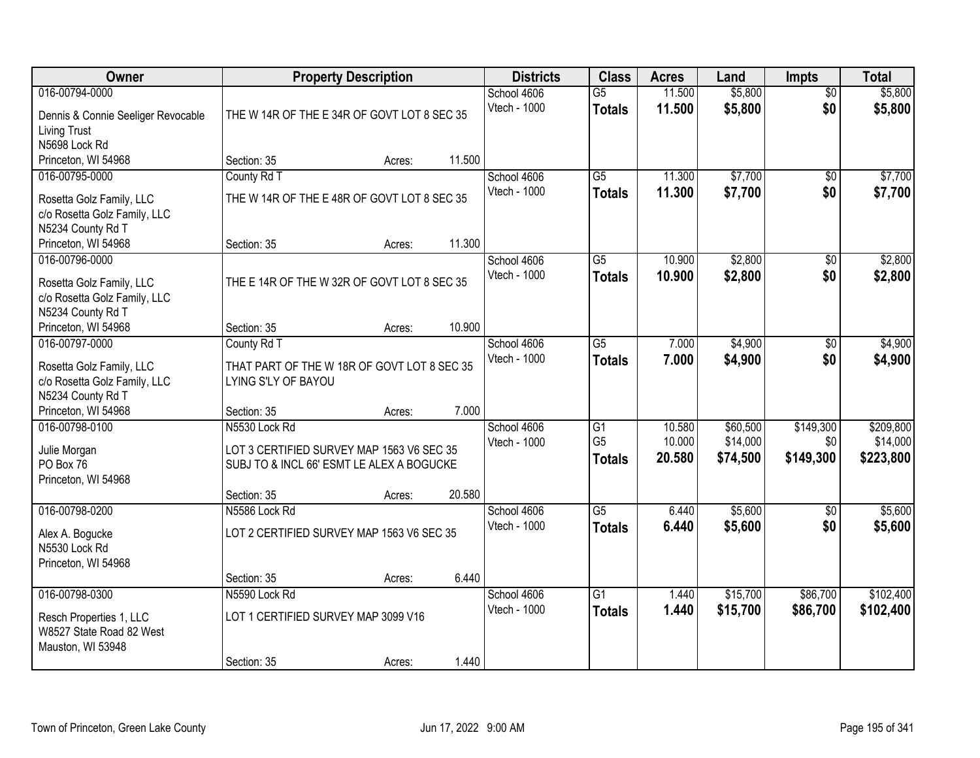| Owner                                                                                           |                                                                                                                        | <b>Property Description</b> |        | <b>Districts</b>            | <b>Class</b>                                       | <b>Acres</b>               | Land                             | Impts                         | <b>Total</b>                       |
|-------------------------------------------------------------------------------------------------|------------------------------------------------------------------------------------------------------------------------|-----------------------------|--------|-----------------------------|----------------------------------------------------|----------------------------|----------------------------------|-------------------------------|------------------------------------|
| 016-00794-0000<br>Dennis & Connie Seeliger Revocable<br><b>Living Trust</b>                     | THE W 14R OF THE E 34R OF GOVT LOT 8 SEC 35                                                                            |                             |        | School 4606<br>Vtech - 1000 | G5<br><b>Totals</b>                                | 11.500<br>11.500           | \$5,800<br>\$5,800               | $\overline{50}$<br>\$0        | \$5,800<br>\$5,800                 |
| N5698 Lock Rd<br>Princeton, WI 54968                                                            | Section: 35                                                                                                            | Acres:                      | 11.500 |                             |                                                    |                            |                                  |                               |                                    |
| 016-00795-0000<br>Rosetta Golz Family, LLC<br>c/o Rosetta Golz Family, LLC<br>N5234 County Rd T | County Rd T<br>THE W 14R OF THE E 48R OF GOVT LOT 8 SEC 35                                                             |                             |        | School 4606<br>Vtech - 1000 | $\overline{G5}$<br><b>Totals</b>                   | 11.300<br>11.300           | \$7,700<br>\$7,700               | $\overline{50}$<br>\$0        | \$7,700<br>\$7,700                 |
| Princeton, WI 54968                                                                             | Section: 35                                                                                                            | Acres:                      | 11.300 |                             |                                                    |                            |                                  |                               |                                    |
| 016-00796-0000<br>Rosetta Golz Family, LLC<br>c/o Rosetta Golz Family, LLC<br>N5234 County Rd T | THE E 14R OF THE W 32R OF GOVT LOT 8 SEC 35                                                                            |                             |        | School 4606<br>Vtech - 1000 | G5<br><b>Totals</b>                                | 10.900<br>10.900           | \$2,800<br>\$2,800               | \$0<br>\$0                    | \$2,800<br>\$2,800                 |
| Princeton, WI 54968                                                                             | Section: 35                                                                                                            | Acres:                      | 10.900 |                             |                                                    |                            |                                  |                               |                                    |
| 016-00797-0000<br>Rosetta Golz Family, LLC<br>c/o Rosetta Golz Family, LLC<br>N5234 County Rd T | County Rd T<br>THAT PART OF THE W 18R OF GOVT LOT 8 SEC 35<br>LYING S'LY OF BAYOU                                      |                             |        | School 4606<br>Vtech - 1000 | G5<br><b>Totals</b>                                | 7.000<br>7.000             | \$4,900<br>\$4,900               | \$0<br>\$0                    | \$4,900<br>\$4,900                 |
| Princeton, WI 54968                                                                             | Section: 35                                                                                                            | Acres:                      | 7.000  |                             |                                                    |                            |                                  |                               |                                    |
| 016-00798-0100<br>Julie Morgan<br>PO Box 76<br>Princeton, WI 54968                              | N5530 Lock Rd<br>LOT 3 CERTIFIED SURVEY MAP 1563 V6 SEC 35<br>SUBJ TO & INCL 66' ESMT LE ALEX A BOGUCKE<br>Section: 35 | Acres:                      | 20.580 | School 4606<br>Vtech - 1000 | $\overline{G1}$<br>G <sub>5</sub><br><b>Totals</b> | 10.580<br>10.000<br>20.580 | \$60,500<br>\$14,000<br>\$74,500 | \$149,300<br>\$0<br>\$149,300 | \$209,800<br>\$14,000<br>\$223,800 |
| 016-00798-0200<br>Alex A. Bogucke<br>N5530 Lock Rd<br>Princeton, WI 54968                       | N5586 Lock Rd<br>LOT 2 CERTIFIED SURVEY MAP 1563 V6 SEC 35                                                             |                             |        | School 4606<br>Vtech - 1000 | $\overline{G5}$<br><b>Totals</b>                   | 6.440<br>6.440             | \$5,600<br>\$5,600               | $\overline{50}$<br>\$0        | \$5,600<br>\$5,600                 |
|                                                                                                 | Section: 35                                                                                                            | Acres:                      | 6.440  |                             |                                                    |                            |                                  |                               |                                    |
| 016-00798-0300<br>Resch Properties 1, LLC<br>W8527 State Road 82 West<br>Mauston, WI 53948      | N5590 Lock Rd<br>LOT 1 CERTIFIED SURVEY MAP 3099 V16                                                                   |                             |        | School 4606<br>Vtech - 1000 | $\overline{G1}$<br><b>Totals</b>                   | 1.440<br>1.440             | \$15,700<br>\$15,700             | \$86,700<br>\$86,700          | \$102,400<br>\$102,400             |
|                                                                                                 | Section: 35                                                                                                            | Acres:                      | 1.440  |                             |                                                    |                            |                                  |                               |                                    |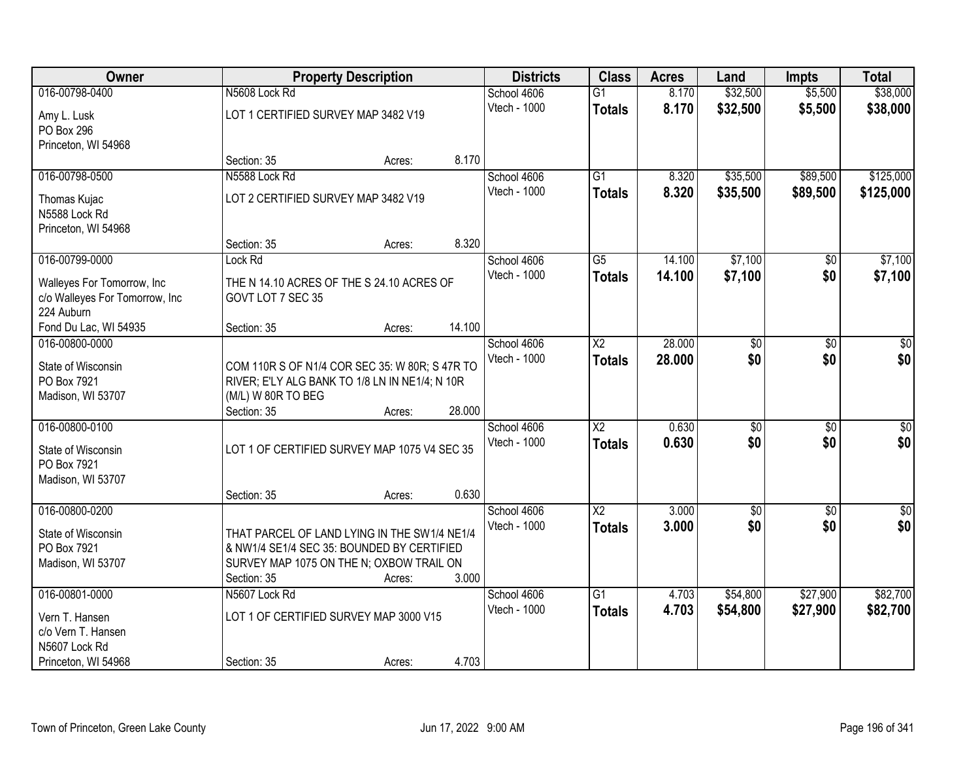| Owner                             |                                     | <b>Property Description</b>                                                                      |              |                        | <b>Acres</b> | Land            | <b>Impts</b>    | <b>Total</b>     |
|-----------------------------------|-------------------------------------|--------------------------------------------------------------------------------------------------|--------------|------------------------|--------------|-----------------|-----------------|------------------|
| 016-00798-0400                    | N5608 Lock Rd                       |                                                                                                  | School 4606  | $\overline{G1}$        | 8.170        | \$32,500        | \$5,500         | \$38,000         |
| Amy L. Lusk                       | LOT 1 CERTIFIED SURVEY MAP 3482 V19 |                                                                                                  | Vtech - 1000 | <b>Totals</b>          | 8.170        | \$32,500        | \$5,500         | \$38,000         |
| PO Box 296                        |                                     |                                                                                                  |              |                        |              |                 |                 |                  |
| Princeton, WI 54968               |                                     |                                                                                                  |              |                        |              |                 |                 |                  |
|                                   | Section: 35                         | Acres:                                                                                           | 8.170        |                        |              |                 |                 |                  |
| 016-00798-0500                    | N5588 Lock Rd                       |                                                                                                  | School 4606  | $\overline{G1}$        | 8.320        | \$35,500        | \$89,500        | \$125,000        |
| Thomas Kujac                      | LOT 2 CERTIFIED SURVEY MAP 3482 V19 |                                                                                                  | Vtech - 1000 | <b>Totals</b>          | 8.320        | \$35,500        | \$89,500        | \$125,000        |
| N5588 Lock Rd                     |                                     |                                                                                                  |              |                        |              |                 |                 |                  |
| Princeton, WI 54968               |                                     |                                                                                                  |              |                        |              |                 |                 |                  |
|                                   | Section: 35                         | Acres:                                                                                           | 8.320        |                        |              |                 |                 |                  |
| 016-00799-0000                    | Lock Rd                             |                                                                                                  | School 4606  | $\overline{G5}$        | 14.100       | \$7,100         | $\sqrt[6]{}$    | \$7,100          |
| Walleyes For Tomorrow, Inc        |                                     | THE N 14.10 ACRES OF THE S 24.10 ACRES OF                                                        | Vtech - 1000 | <b>Totals</b>          | 14.100       | \$7,100         | \$0             | \$7,100          |
| c/o Walleyes For Tomorrow, Inc    | GOVT LOT 7 SEC 35                   |                                                                                                  |              |                        |              |                 |                 |                  |
| 224 Auburn                        |                                     |                                                                                                  |              |                        |              |                 |                 |                  |
| Fond Du Lac, WI 54935             | Section: 35                         | Acres:                                                                                           | 14.100       |                        |              |                 |                 |                  |
| 016-00800-0000                    |                                     |                                                                                                  | School 4606  | X <sub>2</sub>         | 28.000       | $\overline{50}$ | \$0             | \$0              |
| State of Wisconsin                |                                     |                                                                                                  | Vtech - 1000 | <b>Totals</b>          | 28.000       | \$0             | \$0             | \$0              |
| PO Box 7921                       |                                     | COM 110R S OF N1/4 COR SEC 35: W 80R; S 47R TO<br>RIVER; E'LY ALG BANK TO 1/8 LN IN NE1/4; N 10R |              |                        |              |                 |                 |                  |
| Madison, WI 53707                 | (M/L) W 80R TO BEG                  |                                                                                                  |              |                        |              |                 |                 |                  |
|                                   | Section: 35                         | Acres:                                                                                           | 28.000       |                        |              |                 |                 |                  |
| 016-00800-0100                    |                                     |                                                                                                  | School 4606  | $\overline{X2}$        | 0.630        | $\overline{50}$ | $\overline{30}$ | $\overline{\$0}$ |
|                                   |                                     |                                                                                                  | Vtech - 1000 | <b>Totals</b>          | 0.630        | \$0             | \$0             | \$0              |
| State of Wisconsin<br>PO Box 7921 |                                     | LOT 1 OF CERTIFIED SURVEY MAP 1075 V4 SEC 35                                                     |              |                        |              |                 |                 |                  |
| Madison, WI 53707                 |                                     |                                                                                                  |              |                        |              |                 |                 |                  |
|                                   | Section: 35                         | Acres:                                                                                           | 0.630        |                        |              |                 |                 |                  |
| 016-00800-0200                    |                                     |                                                                                                  | School 4606  | $\overline{\text{X2}}$ | 3.000        | \$0             | \$0             | $\sqrt{50}$      |
|                                   |                                     |                                                                                                  | Vtech - 1000 | <b>Totals</b>          | 3.000        | \$0             | \$0             | \$0              |
| State of Wisconsin                |                                     | THAT PARCEL OF LAND LYING IN THE SW1/4 NE1/4                                                     |              |                        |              |                 |                 |                  |
| PO Box 7921                       |                                     | & NW1/4 SE1/4 SEC 35: BOUNDED BY CERTIFIED                                                       |              |                        |              |                 |                 |                  |
| Madison, WI 53707                 | Section: 35                         | SURVEY MAP 1075 ON THE N; OXBOW TRAIL ON<br>Acres:                                               | 3.000        |                        |              |                 |                 |                  |
| 016-00801-0000                    | N5607 Lock Rd                       |                                                                                                  | School 4606  | $\overline{G1}$        | 4.703        | \$54,800        | \$27,900        | \$82,700         |
|                                   |                                     |                                                                                                  | Vtech - 1000 | <b>Totals</b>          | 4.703        | \$54,800        | \$27,900        | \$82,700         |
| Vern T. Hansen                    |                                     | LOT 1 OF CERTIFIED SURVEY MAP 3000 V15                                                           |              |                        |              |                 |                 |                  |
| c/o Vern T. Hansen                |                                     |                                                                                                  |              |                        |              |                 |                 |                  |
| N5607 Lock Rd                     |                                     |                                                                                                  |              |                        |              |                 |                 |                  |
| Princeton, WI 54968               | Section: 35                         | Acres:                                                                                           | 4.703        |                        |              |                 |                 |                  |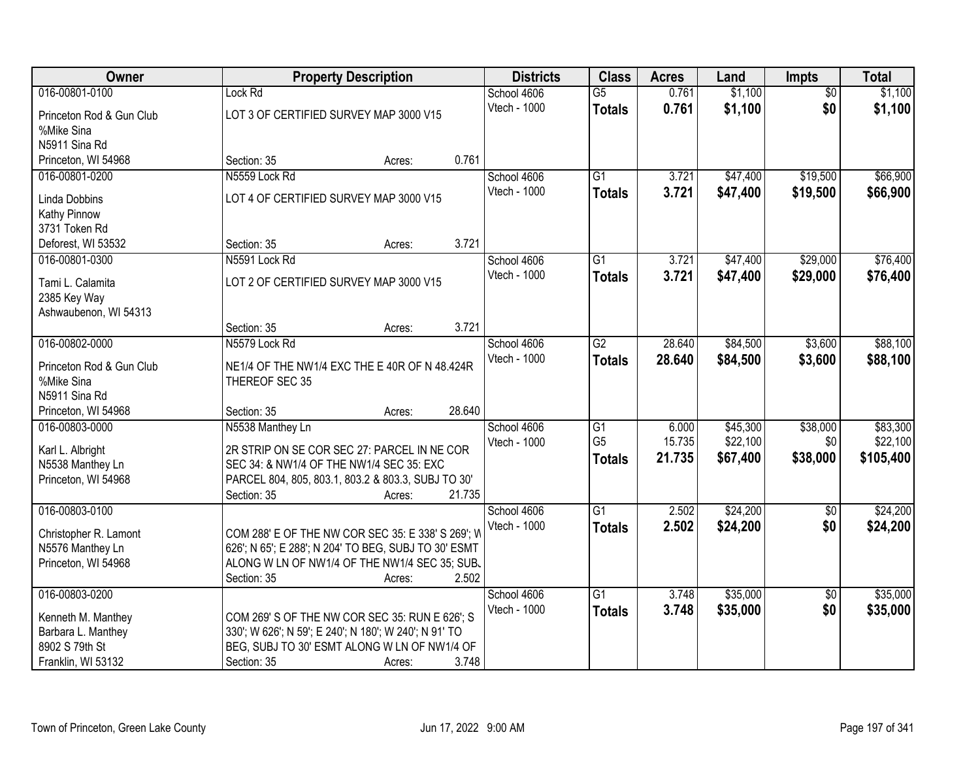| Owner                    | <b>Property Description</b>                           | <b>Districts</b> | <b>Class</b> | <b>Acres</b>    | Land   | Impts    | <b>Total</b>    |           |
|--------------------------|-------------------------------------------------------|------------------|--------------|-----------------|--------|----------|-----------------|-----------|
| 016-00801-0100           | Lock Rd                                               |                  | School 4606  | G5              | 0.761  | \$1,100  | $\overline{50}$ | \$1,100   |
| Princeton Rod & Gun Club | LOT 3 OF CERTIFIED SURVEY MAP 3000 V15                |                  | Vtech - 1000 | <b>Totals</b>   | 0.761  | \$1,100  | \$0             | \$1,100   |
| %Mike Sina               |                                                       |                  |              |                 |        |          |                 |           |
| N5911 Sina Rd            |                                                       |                  |              |                 |        |          |                 |           |
| Princeton, WI 54968      | Section: 35<br>Acres:                                 | 0.761            |              |                 |        |          |                 |           |
| 016-00801-0200           | N5559 Lock Rd                                         |                  | School 4606  | $\overline{G1}$ | 3.721  | \$47,400 | \$19,500        | \$66,900  |
| <b>Linda Dobbins</b>     | LOT 4 OF CERTIFIED SURVEY MAP 3000 V15                |                  | Vtech - 1000 | <b>Totals</b>   | 3.721  | \$47,400 | \$19,500        | \$66,900  |
| Kathy Pinnow             |                                                       |                  |              |                 |        |          |                 |           |
| 3731 Token Rd            |                                                       |                  |              |                 |        |          |                 |           |
| Deforest, WI 53532       | Section: 35<br>Acres:                                 | 3.721            |              |                 |        |          |                 |           |
| 016-00801-0300           | N5591 Lock Rd                                         |                  | School 4606  | $\overline{G1}$ | 3.721  | \$47,400 | \$29,000        | \$76,400  |
| Tami L. Calamita         | LOT 2 OF CERTIFIED SURVEY MAP 3000 V15                |                  | Vtech - 1000 | <b>Totals</b>   | 3.721  | \$47,400 | \$29,000        | \$76,400  |
| 2385 Key Way             |                                                       |                  |              |                 |        |          |                 |           |
| Ashwaubenon, WI 54313    |                                                       |                  |              |                 |        |          |                 |           |
|                          | Section: 35<br>Acres:                                 | 3.721            |              |                 |        |          |                 |           |
| 016-00802-0000           | N5579 Lock Rd                                         |                  | School 4606  | $\overline{G2}$ | 28.640 | \$84,500 | \$3,600         | \$88,100  |
| Princeton Rod & Gun Club | NE1/4 OF THE NW1/4 EXC THE E 40R OF N 48.424R         |                  | Vtech - 1000 | <b>Totals</b>   | 28.640 | \$84,500 | \$3,600         | \$88,100  |
| %Mike Sina               | THEREOF SEC 35                                        |                  |              |                 |        |          |                 |           |
| N5911 Sina Rd            |                                                       |                  |              |                 |        |          |                 |           |
| Princeton, WI 54968      | Section: 35<br>Acres:                                 | 28.640           |              |                 |        |          |                 |           |
| 016-00803-0000           | N5538 Manthey Ln                                      |                  | School 4606  | $\overline{G1}$ | 6.000  | \$45,300 | \$38,000        | \$83,300  |
| Karl L. Albright         | 2R STRIP ON SE COR SEC 27: PARCEL IN NE COR           |                  | Vtech - 1000 | G <sub>5</sub>  | 15.735 | \$22,100 | \$0             | \$22,100  |
| N5538 Manthey Ln         | SEC 34: & NW1/4 OF THE NW1/4 SEC 35: EXC              |                  |              | <b>Totals</b>   | 21.735 | \$67,400 | \$38,000        | \$105,400 |
| Princeton, WI 54968      | PARCEL 804, 805, 803.1, 803.2 & 803.3, SUBJ TO 30'    |                  |              |                 |        |          |                 |           |
|                          | Section: 35<br>Acres:                                 | 21.735           |              |                 |        |          |                 |           |
| 016-00803-0100           |                                                       |                  | School 4606  | $\overline{G1}$ | 2.502  | \$24,200 | $\overline{50}$ | \$24,200  |
| Christopher R. Lamont    | COM 288' E OF THE NW COR SEC 35: E 338' S 269'; W     |                  | Vtech - 1000 | <b>Totals</b>   | 2.502  | \$24,200 | \$0             | \$24,200  |
| N5576 Manthey Ln         | 626'; N 65'; E 288'; N 204' TO BEG, SUBJ TO 30' ESMT  |                  |              |                 |        |          |                 |           |
| Princeton, WI 54968      | ALONG W LN OF NW1/4 OF THE NW1/4 SEC 35; SUB.         |                  |              |                 |        |          |                 |           |
|                          | Section: 35<br>Acres:                                 | 2.502            |              |                 |        |          |                 |           |
| 016-00803-0200           |                                                       |                  | School 4606  | G1              | 3.748  | \$35,000 | $\overline{50}$ | \$35,000  |
| Kenneth M. Manthey       | COM 269' S OF THE NW COR SEC 35: RUN E 626'; S        |                  | Vtech - 1000 | <b>Totals</b>   | 3.748  | \$35,000 | \$0             | \$35,000  |
| Barbara L. Manthey       | 330'; W 626'; N 59'; E 240'; N 180'; W 240'; N 91' TO |                  |              |                 |        |          |                 |           |
| 8902 S 79th St           | BEG, SUBJ TO 30' ESMT ALONG W LN OF NW1/4 OF          |                  |              |                 |        |          |                 |           |
| Franklin, WI 53132       | Section: 35<br>Acres:                                 | 3.748            |              |                 |        |          |                 |           |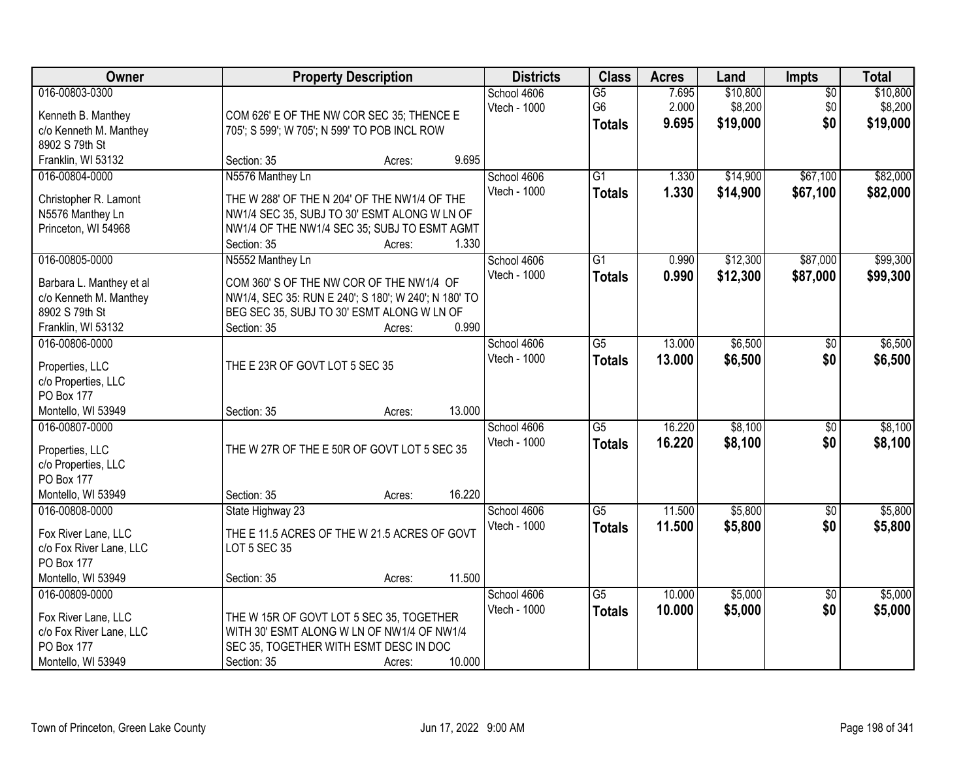| Owner                    |                                                             | <b>Property Description</b> |              |                 |        | Land     | Impts           | <b>Total</b> |
|--------------------------|-------------------------------------------------------------|-----------------------------|--------------|-----------------|--------|----------|-----------------|--------------|
| 016-00803-0300           |                                                             |                             | School 4606  | $\overline{G5}$ | 7.695  | \$10,800 | $\overline{50}$ | \$10,800     |
| Kenneth B. Manthey       | COM 626' E OF THE NW COR SEC 35; THENCE E                   |                             | Vtech - 1000 | G <sub>6</sub>  | 2.000  | \$8,200  | \$0             | \$8,200      |
| c/o Kenneth M. Manthey   | 705'; S 599'; W 705'; N 599' TO POB INCL ROW                |                             |              | <b>Totals</b>   | 9.695  | \$19,000 | \$0             | \$19,000     |
| 8902 S 79th St           |                                                             |                             |              |                 |        |          |                 |              |
| Franklin, WI 53132       | Section: 35                                                 | 9.695<br>Acres:             |              |                 |        |          |                 |              |
| 016-00804-0000           | N5576 Manthey Ln                                            |                             | School 4606  | $\overline{G1}$ | 1.330  | \$14,900 | \$67,100        | \$82,000     |
|                          |                                                             |                             | Vtech - 1000 | <b>Totals</b>   | 1.330  | \$14,900 | \$67,100        | \$82,000     |
| Christopher R. Lamont    | THE W 288' OF THE N 204' OF THE NW1/4 OF THE                |                             |              |                 |        |          |                 |              |
| N5576 Manthey Ln         | NW1/4 SEC 35, SUBJ TO 30' ESMT ALONG W LN OF                |                             |              |                 |        |          |                 |              |
| Princeton, WI 54968      | NW1/4 OF THE NW1/4 SEC 35; SUBJ TO ESMT AGMT<br>Section: 35 | 1.330                       |              |                 |        |          |                 |              |
| 016-00805-0000           | N5552 Manthey Ln                                            | Acres:                      | School 4606  | G1              | 0.990  | \$12,300 | \$87,000        | \$99,300     |
|                          |                                                             |                             | Vtech - 1000 |                 |        |          |                 |              |
| Barbara L. Manthey et al | COM 360' S OF THE NW COR OF THE NW1/4 OF                    |                             |              | <b>Totals</b>   | 0.990  | \$12,300 | \$87,000        | \$99,300     |
| c/o Kenneth M. Manthey   | NW1/4, SEC 35: RUN E 240'; S 180'; W 240'; N 180' TO        |                             |              |                 |        |          |                 |              |
| 8902 S 79th St           | BEG SEC 35, SUBJ TO 30' ESMT ALONG W LN OF                  |                             |              |                 |        |          |                 |              |
| Franklin, WI 53132       | Section: 35                                                 | 0.990<br>Acres:             |              |                 |        |          |                 |              |
| 016-00806-0000           |                                                             |                             | School 4606  | G5              | 13.000 | \$6,500  | $\sqrt{6}$      | \$6,500      |
| Properties, LLC          | THE E 23R OF GOVT LOT 5 SEC 35                              |                             | Vtech - 1000 | <b>Totals</b>   | 13.000 | \$6,500  | \$0             | \$6,500      |
| c/o Properties, LLC      |                                                             |                             |              |                 |        |          |                 |              |
| PO Box 177               |                                                             |                             |              |                 |        |          |                 |              |
| Montello, WI 53949       | Section: 35                                                 | 13.000<br>Acres:            |              |                 |        |          |                 |              |
| 016-00807-0000           |                                                             |                             | School 4606  | $\overline{G5}$ | 16.220 | \$8,100  | \$0             | \$8,100      |
|                          |                                                             |                             | Vtech - 1000 | <b>Totals</b>   | 16.220 | \$8,100  | \$0             | \$8,100      |
| Properties, LLC          | THE W 27R OF THE E 50R OF GOVT LOT 5 SEC 35                 |                             |              |                 |        |          |                 |              |
| c/o Properties, LLC      |                                                             |                             |              |                 |        |          |                 |              |
| PO Box 177               |                                                             |                             |              |                 |        |          |                 |              |
| Montello, WI 53949       | Section: 35                                                 | 16.220<br>Acres:            |              |                 |        |          |                 |              |
| 016-00808-0000           | State Highway 23                                            |                             | School 4606  | $\overline{G5}$ | 11.500 | \$5,800  | $\sqrt{6}$      | \$5,800      |
| Fox River Lane, LLC      | THE E 11.5 ACRES OF THE W 21.5 ACRES OF GOVT                |                             | Vtech - 1000 | <b>Totals</b>   | 11.500 | \$5,800  | \$0             | \$5,800      |
| c/o Fox River Lane, LLC  | LOT 5 SEC 35                                                |                             |              |                 |        |          |                 |              |
| PO Box 177               |                                                             |                             |              |                 |        |          |                 |              |
| Montello, WI 53949       | Section: 35                                                 | 11.500<br>Acres:            |              |                 |        |          |                 |              |
| 016-00809-0000           |                                                             |                             | School 4606  | $\overline{G5}$ | 10.000 | \$5,000  | \$0             | \$5,000      |
|                          |                                                             |                             | Vtech - 1000 | <b>Totals</b>   | 10.000 | \$5,000  | \$0             | \$5,000      |
| Fox River Lane, LLC      | THE W 15R OF GOVT LOT 5 SEC 35, TOGETHER                    |                             |              |                 |        |          |                 |              |
| c/o Fox River Lane, LLC  | WITH 30' ESMT ALONG W LN OF NW1/4 OF NW1/4                  |                             |              |                 |        |          |                 |              |
| PO Box 177               | SEC 35, TOGETHER WITH ESMT DESC IN DOC                      |                             |              |                 |        |          |                 |              |
| Montello, WI 53949       | Section: 35                                                 | 10.000<br>Acres:            |              |                 |        |          |                 |              |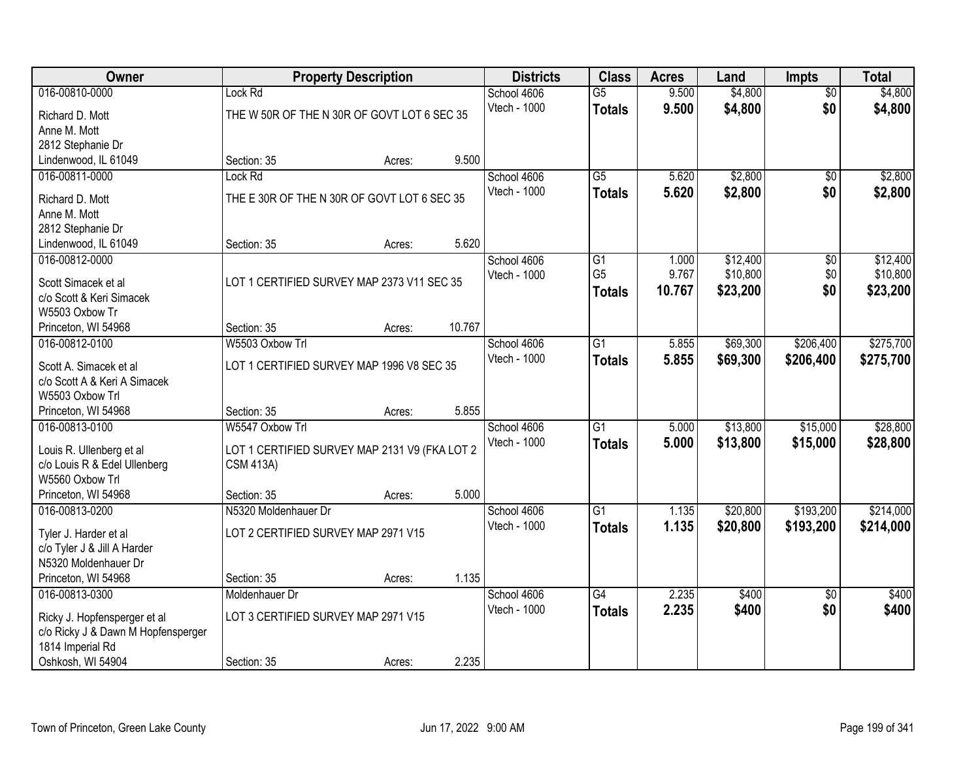| Owner                                                  | <b>Property Description</b>                   |        |        | <b>Districts</b> | <b>Class</b>    | <b>Acres</b> | Land     | <b>Impts</b>    | <b>Total</b> |
|--------------------------------------------------------|-----------------------------------------------|--------|--------|------------------|-----------------|--------------|----------|-----------------|--------------|
| 016-00810-0000                                         | Lock Rd                                       |        |        | School 4606      | G5              | 9.500        | \$4,800  | $\overline{50}$ | \$4,800      |
| Richard D. Mott                                        | THE W 50R OF THE N 30R OF GOVT LOT 6 SEC 35   |        |        | Vtech - 1000     | <b>Totals</b>   | 9.500        | \$4,800  | \$0             | \$4,800      |
| Anne M. Mott                                           |                                               |        |        |                  |                 |              |          |                 |              |
| 2812 Stephanie Dr                                      |                                               |        |        |                  |                 |              |          |                 |              |
| Lindenwood, IL 61049                                   | Section: 35                                   | Acres: | 9.500  |                  |                 |              |          |                 |              |
| 016-00811-0000                                         | Lock Rd                                       |        |        | School 4606      | $\overline{G5}$ | 5.620        | \$2,800  | \$0             | \$2,800      |
| Richard D. Mott                                        | THE E 30R OF THE N 30R OF GOVT LOT 6 SEC 35   |        |        | Vtech - 1000     | <b>Totals</b>   | 5.620        | \$2,800  | \$0             | \$2,800      |
| Anne M. Mott                                           |                                               |        |        |                  |                 |              |          |                 |              |
| 2812 Stephanie Dr                                      |                                               |        |        |                  |                 |              |          |                 |              |
| Lindenwood, IL 61049                                   | Section: 35                                   | Acres: | 5.620  |                  |                 |              |          |                 |              |
| 016-00812-0000                                         |                                               |        |        | School 4606      | G <sub>1</sub>  | 1.000        | \$12,400 | \$0             | \$12,400     |
| Scott Simacek et al                                    | LOT 1 CERTIFIED SURVEY MAP 2373 V11 SEC 35    |        |        | Vtech - 1000     | G <sub>5</sub>  | 9.767        | \$10,800 | \$0             | \$10,800     |
| c/o Scott & Keri Simacek                               |                                               |        |        |                  | <b>Totals</b>   | 10.767       | \$23,200 | \$0             | \$23,200     |
| W5503 Oxbow Tr                                         |                                               |        |        |                  |                 |              |          |                 |              |
| Princeton, WI 54968                                    | Section: 35                                   | Acres: | 10.767 |                  |                 |              |          |                 |              |
| 016-00812-0100                                         | W5503 Oxbow Trl                               |        |        | School 4606      | $\overline{G1}$ | 5.855        | \$69,300 | \$206,400       | \$275,700    |
|                                                        |                                               |        |        | Vtech - 1000     | <b>Totals</b>   | 5.855        | \$69,300 | \$206,400       | \$275,700    |
| Scott A. Simacek et al<br>c/o Scott A & Keri A Simacek | LOT 1 CERTIFIED SURVEY MAP 1996 V8 SEC 35     |        |        |                  |                 |              |          |                 |              |
| W5503 Oxbow Trl                                        |                                               |        |        |                  |                 |              |          |                 |              |
| Princeton, WI 54968                                    | Section: 35                                   | Acres: | 5.855  |                  |                 |              |          |                 |              |
| 016-00813-0100                                         | W5547 Oxbow Trl                               |        |        | School 4606      | $\overline{G1}$ | 5.000        | \$13,800 | \$15,000        | \$28,800     |
|                                                        |                                               |        |        | Vtech - 1000     | <b>Totals</b>   | 5.000        | \$13,800 | \$15,000        | \$28,800     |
| Louis R. Ullenberg et al                               | LOT 1 CERTIFIED SURVEY MAP 2131 V9 (FKA LOT 2 |        |        |                  |                 |              |          |                 |              |
| c/o Louis R & Edel Ullenberg<br>W5560 Oxbow Trl        | <b>CSM 413A)</b>                              |        |        |                  |                 |              |          |                 |              |
| Princeton, WI 54968                                    | Section: 35                                   | Acres: | 5.000  |                  |                 |              |          |                 |              |
| 016-00813-0200                                         | N5320 Moldenhauer Dr                          |        |        | School 4606      | $\overline{G1}$ | 1.135        | \$20,800 | \$193,200       | \$214,000    |
|                                                        |                                               |        |        | Vtech - 1000     | <b>Totals</b>   | 1.135        | \$20,800 | \$193,200       | \$214,000    |
| Tyler J. Harder et al                                  | LOT 2 CERTIFIED SURVEY MAP 2971 V15           |        |        |                  |                 |              |          |                 |              |
| c/o Tyler J & Jill A Harder                            |                                               |        |        |                  |                 |              |          |                 |              |
| N5320 Moldenhauer Dr                                   |                                               |        | 1.135  |                  |                 |              |          |                 |              |
| Princeton, WI 54968<br>016-00813-0300                  | Section: 35<br>Moldenhauer Dr                 | Acres: |        | School 4606      | G4              | 2.235        | \$400    | $\overline{50}$ | \$400        |
|                                                        |                                               |        |        | Vtech - 1000     |                 | 2.235        | \$400    | \$0             | \$400        |
| Ricky J. Hopfensperger et al                           | LOT 3 CERTIFIED SURVEY MAP 2971 V15           |        |        |                  | <b>Totals</b>   |              |          |                 |              |
| c/o Ricky J & Dawn M Hopfensperger                     |                                               |        |        |                  |                 |              |          |                 |              |
| 1814 Imperial Rd                                       |                                               |        |        |                  |                 |              |          |                 |              |
| Oshkosh, WI 54904                                      | Section: 35                                   | Acres: | 2.235  |                  |                 |              |          |                 |              |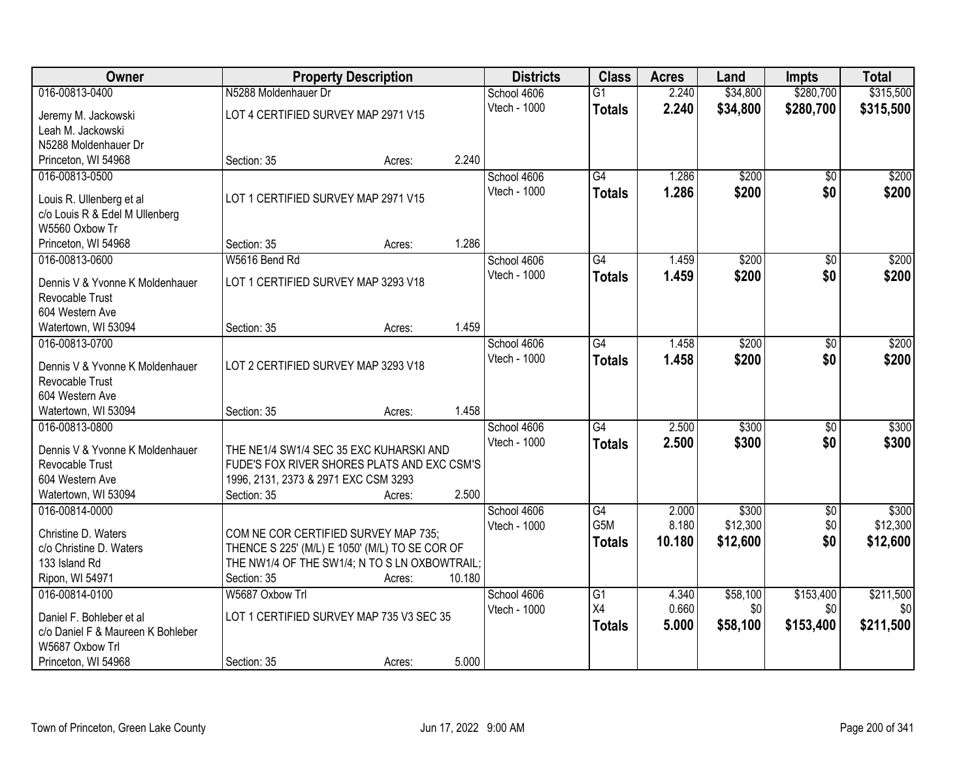| Owner                                                     | <b>Property Description</b>                                                         |        |        | <b>Districts</b> | <b>Class</b>    | <b>Acres</b> | Land     | <b>Impts</b>    | <b>Total</b>     |
|-----------------------------------------------------------|-------------------------------------------------------------------------------------|--------|--------|------------------|-----------------|--------------|----------|-----------------|------------------|
| 016-00813-0400                                            | N5288 Moldenhauer Dr                                                                |        |        | School 4606      | $\overline{G1}$ | 2.240        | \$34,800 | \$280,700       | \$315,500        |
| Jeremy M. Jackowski                                       | LOT 4 CERTIFIED SURVEY MAP 2971 V15                                                 |        |        | Vtech - 1000     | <b>Totals</b>   | 2.240        | \$34,800 | \$280,700       | \$315,500        |
| Leah M. Jackowski                                         |                                                                                     |        |        |                  |                 |              |          |                 |                  |
| N5288 Moldenhauer Dr                                      |                                                                                     |        |        |                  |                 |              |          |                 |                  |
| Princeton, WI 54968                                       | Section: 35                                                                         | Acres: | 2.240  |                  |                 |              |          |                 |                  |
| 016-00813-0500                                            |                                                                                     |        |        | School 4606      | $\overline{G4}$ | 1.286        | \$200    | \$0             | \$200            |
|                                                           | LOT 1 CERTIFIED SURVEY MAP 2971 V15                                                 |        |        | Vtech - 1000     | <b>Totals</b>   | 1.286        | \$200    | \$0             | \$200            |
| Louis R. Ullenberg et al                                  |                                                                                     |        |        |                  |                 |              |          |                 |                  |
| c/o Louis R & Edel M Ullenberg<br>W5560 Oxbow Tr          |                                                                                     |        |        |                  |                 |              |          |                 |                  |
| Princeton, WI 54968                                       | Section: 35                                                                         | Acres: | 1.286  |                  |                 |              |          |                 |                  |
| 016-00813-0600                                            | W5616 Bend Rd                                                                       |        |        | School 4606      | G4              | 1.459        | \$200    | \$0             | \$200            |
|                                                           |                                                                                     |        |        | Vtech - 1000     |                 | 1.459        | \$200    | \$0             | \$200            |
| Dennis V & Yvonne K Moldenhauer                           | LOT 1 CERTIFIED SURVEY MAP 3293 V18                                                 |        |        |                  | <b>Totals</b>   |              |          |                 |                  |
| Revocable Trust                                           |                                                                                     |        |        |                  |                 |              |          |                 |                  |
| 604 Western Ave                                           |                                                                                     |        |        |                  |                 |              |          |                 |                  |
| Watertown, WI 53094                                       | Section: 35                                                                         | Acres: | 1.459  |                  |                 |              |          |                 |                  |
| 016-00813-0700                                            |                                                                                     |        |        | School 4606      | G4              | 1.458        | \$200    | $\frac{1}{20}$  | \$200            |
| Dennis V & Yvonne K Moldenhauer                           | LOT 2 CERTIFIED SURVEY MAP 3293 V18                                                 |        |        | Vtech - 1000     | <b>Totals</b>   | 1.458        | \$200    | \$0             | \$200            |
| Revocable Trust                                           |                                                                                     |        |        |                  |                 |              |          |                 |                  |
| 604 Western Ave                                           |                                                                                     |        |        |                  |                 |              |          |                 |                  |
| Watertown, WI 53094                                       | Section: 35                                                                         | Acres: | 1.458  |                  |                 |              |          |                 |                  |
| 016-00813-0800                                            |                                                                                     |        |        | School 4606      | G4              | 2.500        | \$300    | $\overline{50}$ | \$300            |
|                                                           |                                                                                     |        |        | Vtech - 1000     | <b>Totals</b>   | 2.500        | \$300    | \$0             | \$300            |
| Dennis V & Yvonne K Moldenhauer<br><b>Revocable Trust</b> | THE NE1/4 SW1/4 SEC 35 EXC KUHARSKI AND                                             |        |        |                  |                 |              |          |                 |                  |
| 604 Western Ave                                           | FUDE'S FOX RIVER SHORES PLATS AND EXC CSM'S<br>1996, 2131, 2373 & 2971 EXC CSM 3293 |        |        |                  |                 |              |          |                 |                  |
| Watertown, WI 53094                                       | Section: 35                                                                         | Acres: | 2.500  |                  |                 |              |          |                 |                  |
| 016-00814-0000                                            |                                                                                     |        |        | School 4606      | G4              | 2.000        | \$300    | \$0             | \$300            |
|                                                           |                                                                                     |        |        | Vtech - 1000     | G5M             | 8.180        | \$12,300 | \$0             | \$12,300         |
| Christine D. Waters                                       | COM NE COR CERTIFIED SURVEY MAP 735;                                                |        |        |                  | <b>Totals</b>   | 10.180       | \$12,600 | \$0             | \$12,600         |
| c/o Christine D. Waters                                   | THENCE S 225' (M/L) E 1050' (M/L) TO SE COR OF                                      |        |        |                  |                 |              |          |                 |                  |
| 133 Island Rd                                             | THE NW1/4 OF THE SW1/4; N TO S LN OXBOWTRAIL;                                       |        |        |                  |                 |              |          |                 |                  |
| Ripon, WI 54971                                           | Section: 35                                                                         | Acres: | 10.180 |                  |                 |              |          |                 |                  |
| 016-00814-0100                                            | W5687 Oxbow Trl                                                                     |        |        | School 4606      | $\overline{G1}$ | 4.340        | \$58,100 | \$153,400       | \$211,500        |
| Daniel F. Bohleber et al                                  | LOT 1 CERTIFIED SURVEY MAP 735 V3 SEC 35                                            |        |        | Vtech - 1000     | X4              | 0.660        | \$0      | \$0             | \$0 <sub>l</sub> |
| c/o Daniel F & Maureen K Bohleber                         |                                                                                     |        |        |                  | <b>Totals</b>   | 5.000        | \$58,100 | \$153,400       | \$211,500        |
| W5687 Oxbow Trl                                           |                                                                                     |        |        |                  |                 |              |          |                 |                  |
| Princeton, WI 54968                                       | Section: 35                                                                         | Acres: | 5.000  |                  |                 |              |          |                 |                  |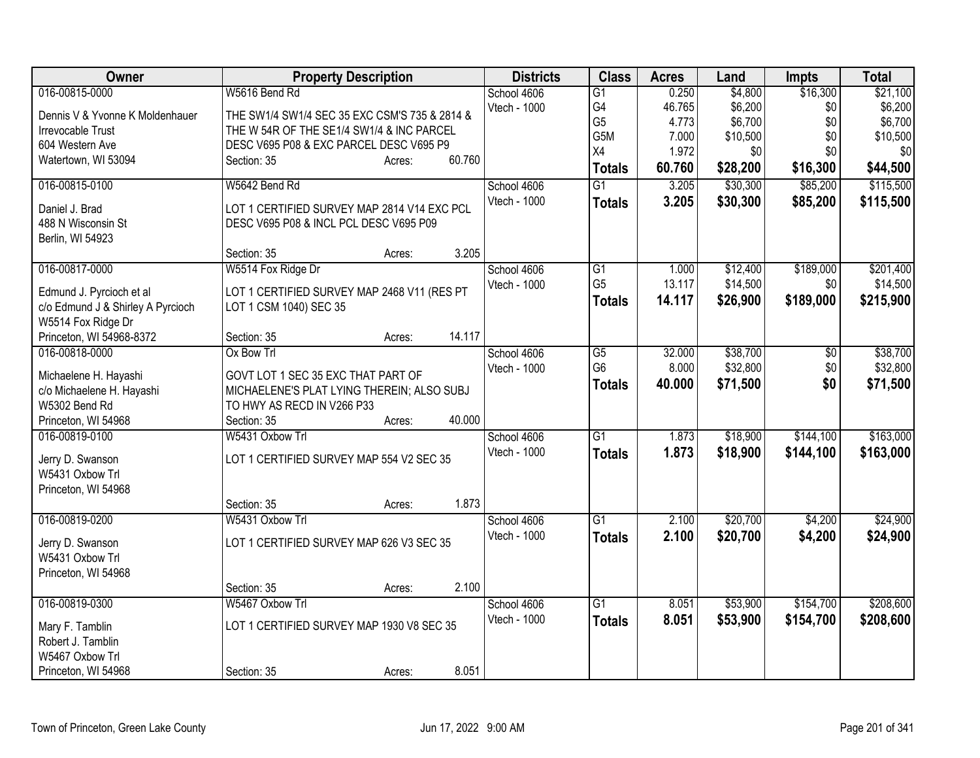| <b>Owner</b>                      | <b>Property Description</b>                   | <b>Districts</b> | <b>Class</b>    | <b>Acres</b> | Land     | <b>Impts</b>    | <b>Total</b> |
|-----------------------------------|-----------------------------------------------|------------------|-----------------|--------------|----------|-----------------|--------------|
| 016-00815-0000                    | W5616 Bend Rd                                 | School 4606      | $\overline{G1}$ | 0.250        | \$4,800  | \$16,300        | \$21,100     |
| Dennis V & Yvonne K Moldenhauer   | THE SW1/4 SW1/4 SEC 35 EXC CSM'S 735 & 2814 & | Vtech - 1000     | G4              | 46.765       | \$6,200  | \$0             | \$6,200      |
| Irrevocable Trust                 | THE W 54R OF THE SE1/4 SW1/4 & INC PARCEL     |                  | G <sub>5</sub>  | 4.773        | \$6,700  | \$0             | \$6,700      |
| 604 Western Ave                   | DESC V695 P08 & EXC PARCEL DESC V695 P9       |                  | G5M             | 7.000        | \$10,500 | \$0             | \$10,500     |
| Watertown, WI 53094               | 60.760<br>Section: 35<br>Acres:               |                  | X4              | 1.972        | \$0      | \$0             | \$0          |
|                                   |                                               |                  | <b>Totals</b>   | 60.760       | \$28,200 | \$16,300        | \$44,500     |
| 016-00815-0100                    | W5642 Bend Rd                                 | School 4606      | $\overline{G1}$ | 3.205        | \$30,300 | \$85,200        | \$115,500    |
| Daniel J. Brad                    | LOT 1 CERTIFIED SURVEY MAP 2814 V14 EXC PCL   | Vtech - 1000     | <b>Totals</b>   | 3.205        | \$30,300 | \$85,200        | \$115,500    |
| 488 N Wisconsin St                | DESC V695 P08 & INCL PCL DESC V695 P09        |                  |                 |              |          |                 |              |
| Berlin, WI 54923                  |                                               |                  |                 |              |          |                 |              |
|                                   | 3.205<br>Section: 35<br>Acres:                |                  |                 |              |          |                 |              |
| 016-00817-0000                    | W5514 Fox Ridge Dr                            | School 4606      | $\overline{G1}$ | 1.000        | \$12,400 | \$189,000       | \$201,400    |
| Edmund J. Pyrcioch et al          | LOT 1 CERTIFIED SURVEY MAP 2468 V11 (RES PT   | Vtech - 1000     | G <sub>5</sub>  | 13.117       | \$14,500 | \$0             | \$14,500     |
| c/o Edmund J & Shirley A Pyrcioch | LOT 1 CSM 1040) SEC 35                        |                  | <b>Totals</b>   | 14.117       | \$26,900 | \$189,000       | \$215,900    |
| W5514 Fox Ridge Dr                |                                               |                  |                 |              |          |                 |              |
| Princeton, WI 54968-8372          | 14.117<br>Section: 35<br>Acres:               |                  |                 |              |          |                 |              |
| 016-00818-0000                    | Ox Bow Trl                                    | School 4606      | $\overline{G5}$ | 32.000       | \$38,700 | $\overline{50}$ | \$38,700     |
|                                   |                                               | Vtech - 1000     | G <sub>6</sub>  | 8.000        | \$32,800 | \$0             | \$32,800     |
| Michaelene H. Hayashi             | GOVT LOT 1 SEC 35 EXC THAT PART OF            |                  | <b>Totals</b>   | 40.000       | \$71,500 | \$0             | \$71,500     |
| c/o Michaelene H. Hayashi         | MICHAELENE'S PLAT LYING THEREIN; ALSO SUBJ    |                  |                 |              |          |                 |              |
| W5302 Bend Rd                     | TO HWY AS RECD IN V266 P33                    |                  |                 |              |          |                 |              |
| Princeton, WI 54968               | 40.000<br>Section: 35<br>Acres:               |                  |                 |              |          |                 |              |
| 016-00819-0100                    | W5431 Oxbow Trl                               | School 4606      | $\overline{G1}$ | 1.873        | \$18,900 | \$144,100       | \$163,000    |
| Jerry D. Swanson                  | LOT 1 CERTIFIED SURVEY MAP 554 V2 SEC 35      | Vtech - 1000     | <b>Totals</b>   | 1.873        | \$18,900 | \$144,100       | \$163,000    |
| W5431 Oxbow Trl                   |                                               |                  |                 |              |          |                 |              |
| Princeton, WI 54968               |                                               |                  |                 |              |          |                 |              |
|                                   | 1.873<br>Section: 35<br>Acres:                |                  |                 |              |          |                 |              |
| 016-00819-0200                    | W5431 Oxbow Trl                               | School 4606      | $\overline{G1}$ | 2.100        | \$20,700 | \$4,200         | \$24,900     |
| Jerry D. Swanson                  | LOT 1 CERTIFIED SURVEY MAP 626 V3 SEC 35      | Vtech - 1000     | <b>Totals</b>   | 2.100        | \$20,700 | \$4,200         | \$24,900     |
| W5431 Oxbow Trl                   |                                               |                  |                 |              |          |                 |              |
| Princeton, WI 54968               |                                               |                  |                 |              |          |                 |              |
|                                   | 2.100<br>Section: 35<br>Acres:                |                  |                 |              |          |                 |              |
| 016-00819-0300                    | W5467 Oxbow Trl                               | School 4606      | $\overline{G1}$ | 8.051        | \$53,900 | \$154,700       | \$208,600    |
|                                   |                                               | Vtech - 1000     | <b>Totals</b>   | 8.051        | \$53,900 | \$154,700       | \$208,600    |
| Mary F. Tamblin                   | LOT 1 CERTIFIED SURVEY MAP 1930 V8 SEC 35     |                  |                 |              |          |                 |              |
| Robert J. Tamblin                 |                                               |                  |                 |              |          |                 |              |
| W5467 Oxbow Trl                   |                                               |                  |                 |              |          |                 |              |
| Princeton, WI 54968               | 8.051<br>Section: 35<br>Acres:                |                  |                 |              |          |                 |              |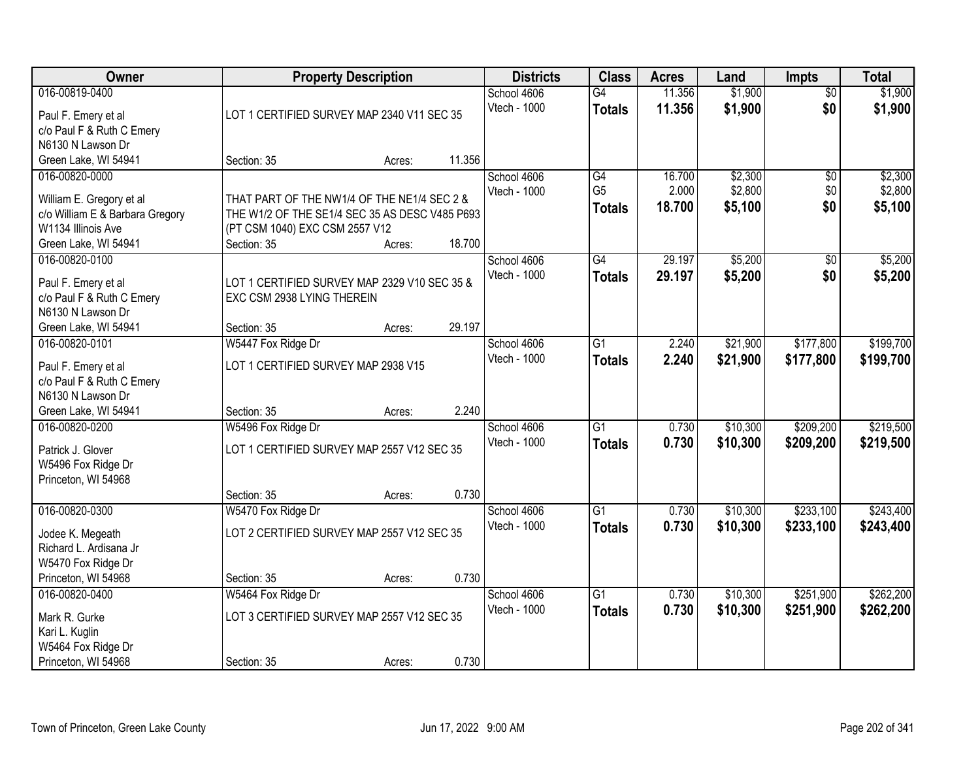| Owner                                            | <b>Property Description</b>                                                | <b>Districts</b> | <b>Class</b> | <b>Acres</b> | Land            | <b>Impts</b> | <b>Total</b> |                 |           |
|--------------------------------------------------|----------------------------------------------------------------------------|------------------|--------------|--------------|-----------------|--------------|--------------|-----------------|-----------|
| 016-00819-0400                                   |                                                                            |                  |              | School 4606  | G4              | 11.356       | \$1,900      | $\overline{50}$ | \$1,900   |
| Paul F. Emery et al                              | LOT 1 CERTIFIED SURVEY MAP 2340 V11 SEC 35                                 |                  |              | Vtech - 1000 | <b>Totals</b>   | 11.356       | \$1,900      | \$0             | \$1,900   |
| c/o Paul F & Ruth C Emery                        |                                                                            |                  |              |              |                 |              |              |                 |           |
| N6130 N Lawson Dr                                |                                                                            |                  |              |              |                 |              |              |                 |           |
| Green Lake, WI 54941                             | Section: 35                                                                | Acres:           | 11.356       |              |                 |              |              |                 |           |
| 016-00820-0000                                   |                                                                            |                  |              | School 4606  | G4              | 16.700       | \$2,300      | $\overline{50}$ | \$2,300   |
| William E. Gregory et al                         | THAT PART OF THE NW1/4 OF THE NE1/4 SEC 2 &                                |                  |              | Vtech - 1000 | G <sub>5</sub>  | 2.000        | \$2,800      | \$0             | \$2,800   |
| c/o William E & Barbara Gregory                  | THE W1/2 OF THE SE1/4 SEC 35 AS DESC V485 P693                             |                  |              |              | <b>Totals</b>   | 18.700       | \$5,100      | \$0             | \$5,100   |
| W1134 Illinois Ave                               | (PT CSM 1040) EXC CSM 2557 V12                                             |                  |              |              |                 |              |              |                 |           |
| Green Lake, WI 54941                             | Section: 35                                                                | Acres:           | 18.700       |              |                 |              |              |                 |           |
| 016-00820-0100                                   |                                                                            |                  |              | School 4606  | $\overline{G4}$ | 29.197       | \$5,200      | \$0             | \$5,200   |
|                                                  |                                                                            |                  |              | Vtech - 1000 | <b>Totals</b>   | 29.197       | \$5,200      | \$0             | \$5,200   |
| Paul F. Emery et al<br>c/o Paul F & Ruth C Emery | LOT 1 CERTIFIED SURVEY MAP 2329 V10 SEC 35 &<br>EXC CSM 2938 LYING THEREIN |                  |              |              |                 |              |              |                 |           |
| N6130 N Lawson Dr                                |                                                                            |                  |              |              |                 |              |              |                 |           |
| Green Lake, WI 54941                             | Section: 35                                                                | Acres:           | 29.197       |              |                 |              |              |                 |           |
| 016-00820-0101                                   | W5447 Fox Ridge Dr                                                         |                  |              | School 4606  | G1              | 2.240        | \$21,900     | \$177,800       | \$199,700 |
|                                                  |                                                                            |                  |              | Vtech - 1000 | <b>Totals</b>   | 2.240        | \$21,900     | \$177,800       | \$199,700 |
| Paul F. Emery et al                              | LOT 1 CERTIFIED SURVEY MAP 2938 V15                                        |                  |              |              |                 |              |              |                 |           |
| c/o Paul F & Ruth C Emery                        |                                                                            |                  |              |              |                 |              |              |                 |           |
| N6130 N Lawson Dr                                |                                                                            |                  |              |              |                 |              |              |                 |           |
| Green Lake, WI 54941                             | Section: 35                                                                | Acres:           | 2.240        |              |                 |              |              |                 |           |
| 016-00820-0200                                   | W5496 Fox Ridge Dr                                                         |                  |              | School 4606  | $\overline{G1}$ | 0.730        | \$10,300     | \$209,200       | \$219,500 |
| Patrick J. Glover                                | LOT 1 CERTIFIED SURVEY MAP 2557 V12 SEC 35                                 |                  |              | Vtech - 1000 | <b>Totals</b>   | 0.730        | \$10,300     | \$209,200       | \$219,500 |
| W5496 Fox Ridge Dr                               |                                                                            |                  |              |              |                 |              |              |                 |           |
| Princeton, WI 54968                              |                                                                            |                  |              |              |                 |              |              |                 |           |
|                                                  | Section: 35                                                                | Acres:           | 0.730        |              |                 |              |              |                 |           |
| 016-00820-0300                                   | W5470 Fox Ridge Dr                                                         |                  |              | School 4606  | $\overline{G1}$ | 0.730        | \$10,300     | \$233,100       | \$243,400 |
| Jodee K. Megeath                                 | LOT 2 CERTIFIED SURVEY MAP 2557 V12 SEC 35                                 |                  |              | Vtech - 1000 | <b>Totals</b>   | 0.730        | \$10,300     | \$233,100       | \$243,400 |
| Richard L. Ardisana Jr                           |                                                                            |                  |              |              |                 |              |              |                 |           |
| W5470 Fox Ridge Dr                               |                                                                            |                  |              |              |                 |              |              |                 |           |
| Princeton, WI 54968                              | Section: 35                                                                | Acres:           | 0.730        |              |                 |              |              |                 |           |
| 016-00820-0400                                   | W5464 Fox Ridge Dr                                                         |                  |              | School 4606  | $\overline{G1}$ | 0.730        | \$10,300     | \$251,900       | \$262,200 |
|                                                  |                                                                            |                  |              | Vtech - 1000 | <b>Totals</b>   | 0.730        | \$10,300     | \$251,900       | \$262,200 |
| Mark R. Gurke                                    | LOT 3 CERTIFIED SURVEY MAP 2557 V12 SEC 35                                 |                  |              |              |                 |              |              |                 |           |
| Kari L. Kuglin<br>W5464 Fox Ridge Dr             |                                                                            |                  |              |              |                 |              |              |                 |           |
| Princeton, WI 54968                              | Section: 35                                                                | Acres:           | 0.730        |              |                 |              |              |                 |           |
|                                                  |                                                                            |                  |              |              |                 |              |              |                 |           |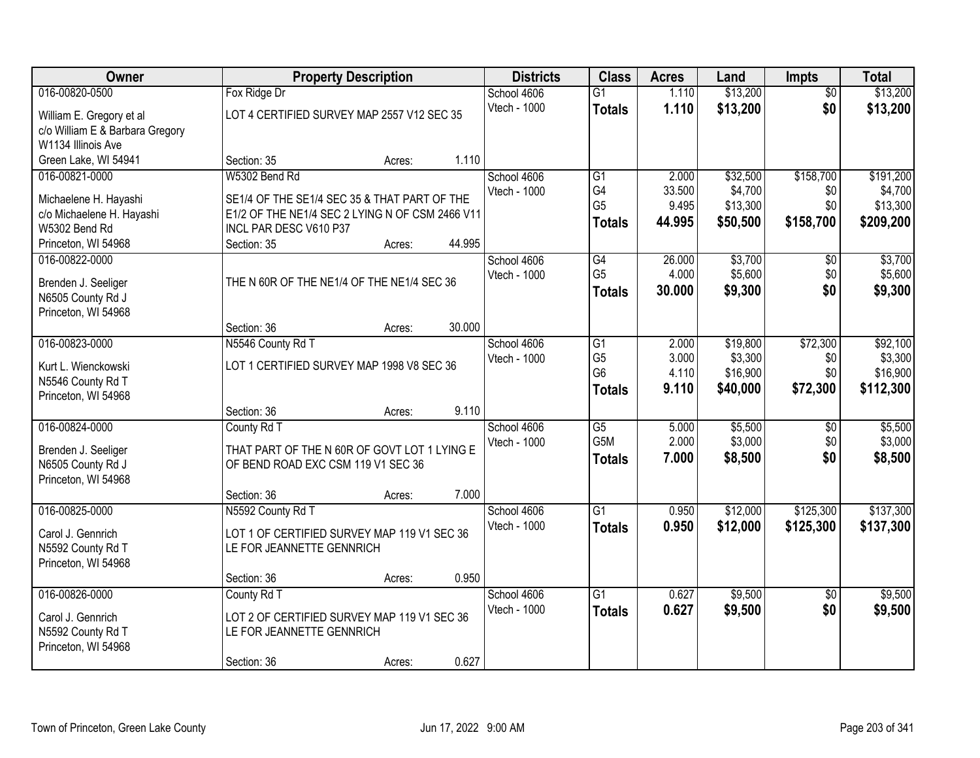| Owner                           | <b>Property Description</b>                     | <b>Districts</b> | <b>Class</b>        | <b>Acres</b>                     | Land           | <b>Impts</b>         | <b>Total</b>    |                     |
|---------------------------------|-------------------------------------------------|------------------|---------------------|----------------------------------|----------------|----------------------|-----------------|---------------------|
| 016-00820-0500                  | Fox Ridge Dr                                    |                  | School 4606         | $\overline{G1}$                  | 1.110          | \$13,200             | $\overline{50}$ | \$13,200            |
| William E. Gregory et al        | LOT 4 CERTIFIED SURVEY MAP 2557 V12 SEC 35      |                  | Vtech - 1000        | <b>Totals</b>                    | 1.110          | \$13,200             | \$0             | \$13,200            |
| c/o William E & Barbara Gregory |                                                 |                  |                     |                                  |                |                      |                 |                     |
| W1134 Illinois Ave              |                                                 |                  |                     |                                  |                |                      |                 |                     |
| Green Lake, WI 54941            | Section: 35<br>Acres:                           | 1.110            |                     |                                  |                |                      |                 |                     |
| 016-00821-0000                  | W5302 Bend Rd                                   |                  | School 4606         | G1                               | 2.000          | \$32,500             | \$158,700       | \$191,200           |
| Michaelene H. Hayashi           | SE1/4 OF THE SE1/4 SEC 35 & THAT PART OF THE    |                  | <b>Vtech - 1000</b> | G4                               | 33.500         | \$4,700              | \$0             | \$4,700             |
| c/o Michaelene H. Hayashi       | E1/2 OF THE NE1/4 SEC 2 LYING N OF CSM 2466 V11 |                  |                     | G <sub>5</sub>                   | 9.495          | \$13,300             | \$0             | \$13,300            |
| W5302 Bend Rd                   | INCL PAR DESC V610 P37                          |                  |                     | <b>Totals</b>                    | 44.995         | \$50,500             | \$158,700       | \$209,200           |
| Princeton, WI 54968             | Section: 35<br>Acres:                           | 44.995           |                     |                                  |                |                      |                 |                     |
| 016-00822-0000                  |                                                 |                  | School 4606         | G4                               | 26.000         | \$3,700              | \$0             | \$3,700             |
| Brenden J. Seeliger             | THE N 60R OF THE NE1/4 OF THE NE1/4 SEC 36      |                  | Vtech - 1000        | G <sub>5</sub>                   | 4.000          | \$5,600              | \$0             | \$5,600             |
| N6505 County Rd J               |                                                 |                  |                     | <b>Totals</b>                    | 30,000         | \$9,300              | \$0             | \$9,300             |
| Princeton, WI 54968             |                                                 |                  |                     |                                  |                |                      |                 |                     |
|                                 | Section: 36<br>Acres:                           | 30.000           |                     |                                  |                |                      |                 |                     |
| 016-00823-0000                  | N5546 County Rd T                               |                  | School 4606         | G1                               | 2.000          | \$19,800             | \$72,300        | \$92,100            |
| Kurt L. Wienckowski             | LOT 1 CERTIFIED SURVEY MAP 1998 V8 SEC 36       |                  | Vtech - 1000        | G <sub>5</sub><br>G <sub>6</sub> | 3.000<br>4.110 | \$3,300              | \$0             | \$3,300<br>\$16,900 |
| N5546 County Rd T               |                                                 |                  |                     |                                  | 9.110          | \$16,900<br>\$40,000 | \$0<br>\$72,300 | \$112,300           |
| Princeton, WI 54968             |                                                 |                  |                     | <b>Totals</b>                    |                |                      |                 |                     |
|                                 | Section: 36<br>Acres:                           | 9.110            |                     |                                  |                |                      |                 |                     |
| 016-00824-0000                  | County Rd T                                     |                  | School 4606         | $\overline{G5}$                  | 5.000          | \$5,500              | $\overline{50}$ | \$5,500             |
| Brenden J. Seeliger             | THAT PART OF THE N 60R OF GOVT LOT 1 LYING E    |                  | Vtech - 1000        | G <sub>5</sub> M                 | 2.000          | \$3,000              | \$0             | \$3,000             |
| N6505 County Rd J               | OF BEND ROAD EXC CSM 119 V1 SEC 36              |                  |                     | <b>Totals</b>                    | 7.000          | \$8,500              | \$0             | \$8,500             |
| Princeton, WI 54968             |                                                 |                  |                     |                                  |                |                      |                 |                     |
|                                 | Section: 36<br>Acres:                           | 7.000            |                     |                                  |                |                      |                 |                     |
| 016-00825-0000                  | N5592 County Rd T                               |                  | School 4606         | $\overline{G1}$                  | 0.950          | \$12,000             | \$125,300       | \$137,300           |
| Carol J. Gennrich               | LOT 1 OF CERTIFIED SURVEY MAP 119 V1 SEC 36     |                  | Vtech - 1000        | <b>Totals</b>                    | 0.950          | \$12,000             | \$125,300       | \$137,300           |
| N5592 County Rd T               | LE FOR JEANNETTE GENNRICH                       |                  |                     |                                  |                |                      |                 |                     |
| Princeton, WI 54968             |                                                 |                  |                     |                                  |                |                      |                 |                     |
|                                 | Section: 36<br>Acres:                           | 0.950            |                     |                                  |                |                      |                 |                     |
| 016-00826-0000                  | County Rd T                                     |                  | School 4606         | $\overline{G1}$                  | 0.627          | \$9,500              | $\overline{50}$ | \$9,500             |
| Carol J. Gennrich               | LOT 2 OF CERTIFIED SURVEY MAP 119 V1 SEC 36     |                  | Vtech - 1000        | <b>Totals</b>                    | 0.627          | \$9,500              | \$0             | \$9,500             |
| N5592 County Rd T               | LE FOR JEANNETTE GENNRICH                       |                  |                     |                                  |                |                      |                 |                     |
| Princeton, WI 54968             |                                                 |                  |                     |                                  |                |                      |                 |                     |
|                                 | Section: 36<br>Acres:                           | 0.627            |                     |                                  |                |                      |                 |                     |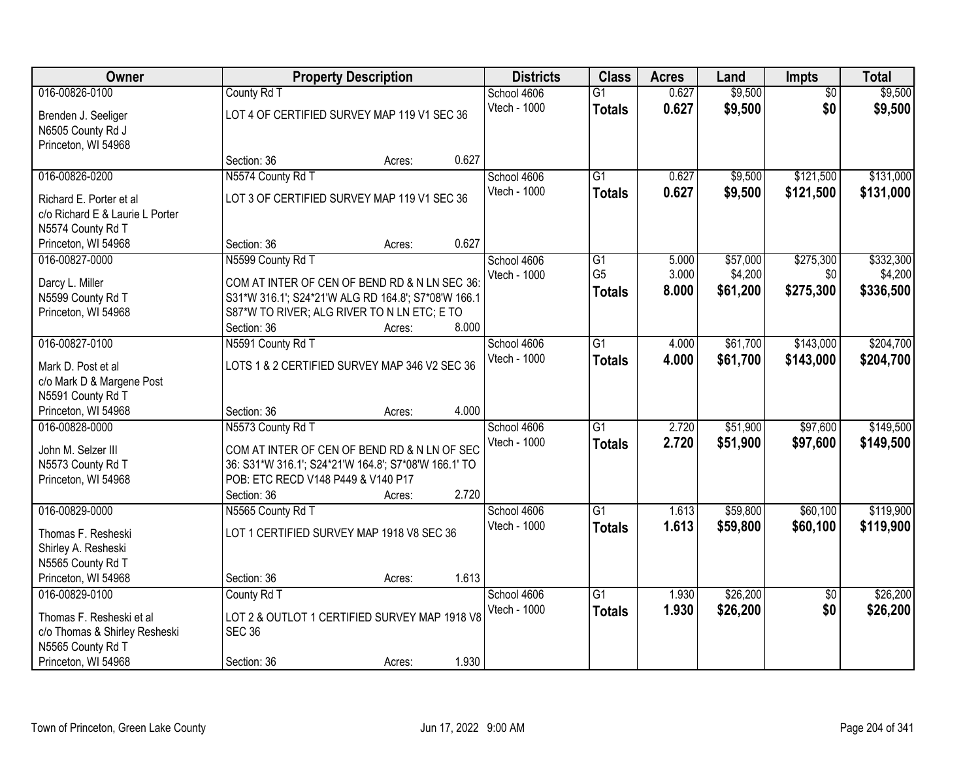| Owner                           |                                                      | <b>Property Description</b> |       | <b>Districts</b> | <b>Class</b>    | <b>Acres</b> | Land     | <b>Impts</b>    | <b>Total</b> |
|---------------------------------|------------------------------------------------------|-----------------------------|-------|------------------|-----------------|--------------|----------|-----------------|--------------|
| 016-00826-0100                  | County Rd T                                          |                             |       | School 4606      | $\overline{G1}$ | 0.627        | \$9,500  | $\overline{50}$ | \$9,500      |
| Brenden J. Seeliger             | LOT 4 OF CERTIFIED SURVEY MAP 119 V1 SEC 36          |                             |       | Vtech - 1000     | <b>Totals</b>   | 0.627        | \$9,500  | \$0             | \$9,500      |
| N6505 County Rd J               |                                                      |                             |       |                  |                 |              |          |                 |              |
| Princeton, WI 54968             |                                                      |                             |       |                  |                 |              |          |                 |              |
|                                 | Section: 36                                          | Acres:                      | 0.627 |                  |                 |              |          |                 |              |
| 016-00826-0200                  | N5574 County Rd T                                    |                             |       | School 4606      | $\overline{G1}$ | 0.627        | \$9,500  | \$121,500       | \$131,000    |
| Richard E. Porter et al         | LOT 3 OF CERTIFIED SURVEY MAP 119 V1 SEC 36          |                             |       | Vtech - 1000     | <b>Totals</b>   | 0.627        | \$9,500  | \$121,500       | \$131,000    |
| c/o Richard E & Laurie L Porter |                                                      |                             |       |                  |                 |              |          |                 |              |
| N5574 County Rd T               |                                                      |                             |       |                  |                 |              |          |                 |              |
| Princeton, WI 54968             | Section: 36                                          | Acres:                      | 0.627 |                  |                 |              |          |                 |              |
| 016-00827-0000                  | N5599 County Rd T                                    |                             |       | School 4606      | G1              | 5.000        | \$57,000 | \$275,300       | \$332,300    |
| Darcy L. Miller                 | COM AT INTER OF CEN OF BEND RD & N LN SEC 36:        |                             |       | Vtech - 1000     | G <sub>5</sub>  | 3.000        | \$4,200  | \$0             | \$4,200      |
| N5599 County Rd T               | S31*W 316.1'; S24*21'W ALG RD 164.8'; S7*08'W 166.1  |                             |       |                  | <b>Totals</b>   | 8.000        | \$61,200 | \$275,300       | \$336,500    |
| Princeton, WI 54968             | S87*W TO RIVER; ALG RIVER TO N LN ETC; E TO          |                             |       |                  |                 |              |          |                 |              |
|                                 | Section: 36                                          | Acres:                      | 8.000 |                  |                 |              |          |                 |              |
| 016-00827-0100                  | N5591 County Rd T                                    |                             |       | School 4606      | $\overline{G1}$ | 4.000        | \$61,700 | \$143,000       | \$204,700    |
| Mark D. Post et al              | LOTS 1 & 2 CERTIFIED SURVEY MAP 346 V2 SEC 36        |                             |       | Vtech - 1000     | <b>Totals</b>   | 4.000        | \$61,700 | \$143,000       | \$204,700    |
| c/o Mark D & Margene Post       |                                                      |                             |       |                  |                 |              |          |                 |              |
| N5591 County Rd T               |                                                      |                             |       |                  |                 |              |          |                 |              |
| Princeton, WI 54968             | Section: 36                                          | Acres:                      | 4.000 |                  |                 |              |          |                 |              |
| 016-00828-0000                  | N5573 County Rd T                                    |                             |       | School 4606      | $\overline{G1}$ | 2.720        | \$51,900 | \$97,600        | \$149,500    |
| John M. Selzer III              | COM AT INTER OF CEN OF BEND RD & N LN OF SEC         |                             |       | Vtech - 1000     | <b>Totals</b>   | 2.720        | \$51,900 | \$97,600        | \$149,500    |
| N5573 County Rd T               | 36: S31*W 316.1'; S24*21'W 164.8'; S7*08'W 166.1' TO |                             |       |                  |                 |              |          |                 |              |
| Princeton, WI 54968             | POB: ETC RECD V148 P449 & V140 P17                   |                             |       |                  |                 |              |          |                 |              |
|                                 | Section: 36                                          | Acres:                      | 2.720 |                  |                 |              |          |                 |              |
| 016-00829-0000                  | N5565 County Rd T                                    |                             |       | School 4606      | $\overline{G1}$ | 1.613        | \$59,800 | \$60,100        | \$119,900    |
| Thomas F. Resheski              | LOT 1 CERTIFIED SURVEY MAP 1918 V8 SEC 36            |                             |       | Vtech - 1000     | <b>Totals</b>   | 1.613        | \$59,800 | \$60,100        | \$119,900    |
| Shirley A. Resheski             |                                                      |                             |       |                  |                 |              |          |                 |              |
| N5565 County Rd T               |                                                      |                             |       |                  |                 |              |          |                 |              |
| Princeton, WI 54968             | Section: 36                                          | Acres:                      | 1.613 |                  |                 |              |          |                 |              |
| 016-00829-0100                  | County Rd T                                          |                             |       | School 4606      | $\overline{G1}$ | 1.930        | \$26,200 | $\overline{50}$ | \$26,200     |
| Thomas F. Resheski et al        | LOT 2 & OUTLOT 1 CERTIFIED SURVEY MAP 1918 V8        |                             |       | Vtech - 1000     | <b>Totals</b>   | 1.930        | \$26,200 | \$0             | \$26,200     |
| c/o Thomas & Shirley Resheski   | <b>SEC 36</b>                                        |                             |       |                  |                 |              |          |                 |              |
| N5565 County Rd T               |                                                      |                             |       |                  |                 |              |          |                 |              |
| Princeton, WI 54968             | Section: 36                                          | Acres:                      | 1.930 |                  |                 |              |          |                 |              |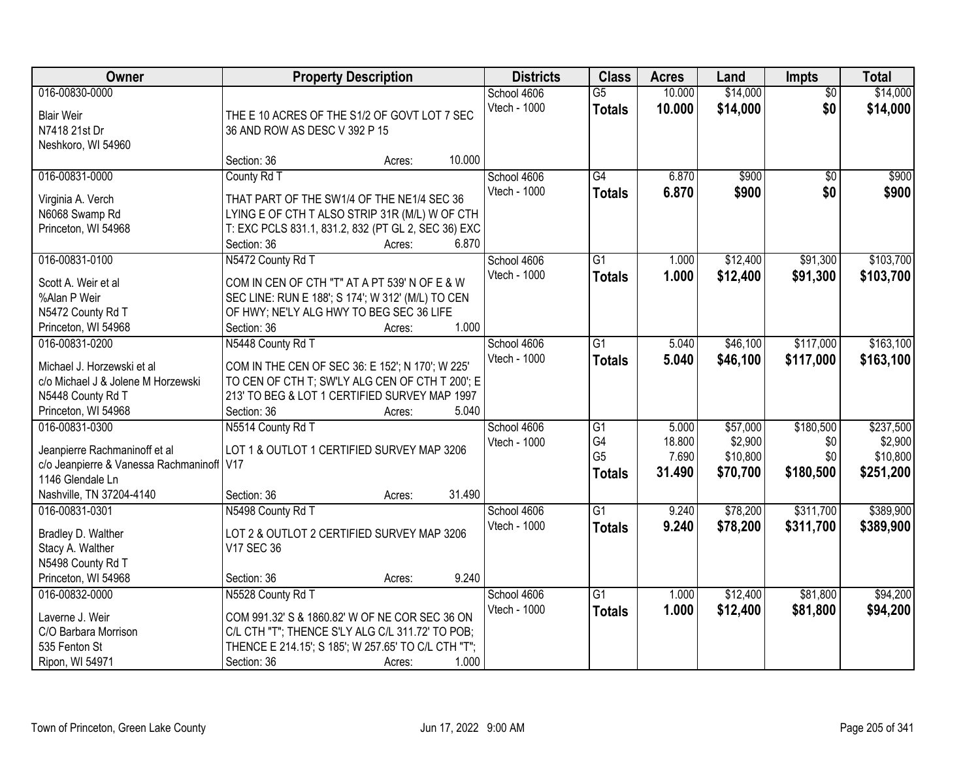| Owner                                       | <b>Property Description</b>                                        | <b>Districts</b> | <b>Class</b> | <b>Acres</b>    | Land   | <b>Impts</b> | <b>Total</b>    |           |
|---------------------------------------------|--------------------------------------------------------------------|------------------|--------------|-----------------|--------|--------------|-----------------|-----------|
| 016-00830-0000                              |                                                                    |                  | School 4606  | $\overline{G5}$ | 10.000 | \$14,000     | $\overline{50}$ | \$14,000  |
| <b>Blair Weir</b>                           | THE E 10 ACRES OF THE S1/2 OF GOVT LOT 7 SEC                       |                  | Vtech - 1000 | <b>Totals</b>   | 10.000 | \$14,000     | \$0             | \$14,000  |
| N7418 21st Dr                               | 36 AND ROW AS DESC V 392 P 15                                      |                  |              |                 |        |              |                 |           |
| Neshkoro, WI 54960                          |                                                                    |                  |              |                 |        |              |                 |           |
|                                             | Section: 36                                                        | 10.000<br>Acres: |              |                 |        |              |                 |           |
| 016-00831-0000                              | County Rd T                                                        |                  | School 4606  | G4              | 6.870  | \$900        | $\overline{50}$ | \$900     |
|                                             |                                                                    |                  | Vtech - 1000 | <b>Totals</b>   | 6.870  | \$900        | \$0             | \$900     |
| Virginia A. Verch                           | THAT PART OF THE SW1/4 OF THE NE1/4 SEC 36                         |                  |              |                 |        |              |                 |           |
| N6068 Swamp Rd                              | LYING E OF CTH T ALSO STRIP 31R (M/L) W OF CTH                     |                  |              |                 |        |              |                 |           |
| Princeton, WI 54968                         | T: EXC PCLS 831.1, 831.2, 832 (PT GL 2, SEC 36) EXC<br>Section: 36 | 6.870<br>Acres:  |              |                 |        |              |                 |           |
| 016-00831-0100                              | N5472 County Rd T                                                  |                  | School 4606  | G1              | 1.000  | \$12,400     | \$91,300        | \$103,700 |
|                                             |                                                                    |                  | Vtech - 1000 |                 | 1.000  | \$12,400     | \$91,300        | \$103,700 |
| Scott A. Weir et al                         | COM IN CEN OF CTH "T" AT A PT 539' N OF E & W                      |                  |              | <b>Totals</b>   |        |              |                 |           |
| %Alan P Weir                                | SEC LINE: RUN E 188'; S 174'; W 312' (M/L) TO CEN                  |                  |              |                 |        |              |                 |           |
| N5472 County Rd T                           | OF HWY; NE'LY ALG HWY TO BEG SEC 36 LIFE                           |                  |              |                 |        |              |                 |           |
| Princeton, WI 54968                         | Section: 36                                                        | 1.000<br>Acres:  |              |                 |        |              |                 |           |
| 016-00831-0200                              | N5448 County Rd T                                                  |                  | School 4606  | G1              | 5.040  | \$46,100     | \$117,000       | \$163,100 |
| Michael J. Horzewski et al                  | COM IN THE CEN OF SEC 36: E 152'; N 170'; W 225'                   |                  | Vtech - 1000 | <b>Totals</b>   | 5.040  | \$46,100     | \$117,000       | \$163,100 |
| c/o Michael J & Jolene M Horzewski          | TO CEN OF CTH T; SW'LY ALG CEN OF CTH T 200'; E                    |                  |              |                 |        |              |                 |           |
| N5448 County Rd T                           | 213' TO BEG & LOT 1 CERTIFIED SURVEY MAP 1997                      |                  |              |                 |        |              |                 |           |
| Princeton, WI 54968                         | Section: 36                                                        | 5.040<br>Acres:  |              |                 |        |              |                 |           |
| 016-00831-0300                              | N5514 County Rd T                                                  |                  | School 4606  | $\overline{G1}$ | 5.000  | \$57,000     | \$180,500       | \$237,500 |
|                                             |                                                                    |                  | Vtech - 1000 | G4              | 18.800 | \$2,900      | \$0             | \$2,900   |
| Jeanpierre Rachmaninoff et al               | LOT 1 & OUTLOT 1 CERTIFIED SURVEY MAP 3206                         |                  |              | G <sub>5</sub>  | 7.690  | \$10,800     | \$0             | \$10,800  |
| c/o Jeanpierre & Vanessa Rachmaninoff   V17 |                                                                    |                  |              | <b>Totals</b>   | 31.490 | \$70,700     | \$180,500       | \$251,200 |
| 1146 Glendale Ln                            |                                                                    |                  |              |                 |        |              |                 |           |
| Nashville, TN 37204-4140                    | Section: 36                                                        | 31.490<br>Acres: |              |                 |        |              |                 |           |
| 016-00831-0301                              | N5498 County Rd T                                                  |                  | School 4606  | $\overline{G1}$ | 9.240  | \$78,200     | \$311,700       | \$389,900 |
| Bradley D. Walther                          | LOT 2 & OUTLOT 2 CERTIFIED SURVEY MAP 3206                         |                  | Vtech - 1000 | <b>Totals</b>   | 9.240  | \$78,200     | \$311,700       | \$389,900 |
| Stacy A. Walther                            | V17 SEC 36                                                         |                  |              |                 |        |              |                 |           |
| N5498 County Rd T                           |                                                                    |                  |              |                 |        |              |                 |           |
| Princeton, WI 54968                         | Section: 36                                                        | 9.240<br>Acres:  |              |                 |        |              |                 |           |
| 016-00832-0000                              | N5528 County Rd T                                                  |                  | School 4606  | $\overline{G1}$ | 1.000  | \$12,400     | \$81,800        | \$94,200  |
|                                             |                                                                    |                  | Vtech - 1000 | <b>Totals</b>   | 1.000  | \$12,400     | \$81,800        | \$94,200  |
| Laverne J. Weir                             | COM 991.32' S & 1860.82' W OF NE COR SEC 36 ON                     |                  |              |                 |        |              |                 |           |
| C/O Barbara Morrison                        | C/L CTH "T"; THENCE S'LY ALG C/L 311.72' TO POB;                   |                  |              |                 |        |              |                 |           |
| 535 Fenton St                               | THENCE E 214.15'; S 185'; W 257.65' TO C/L CTH "T";                |                  |              |                 |        |              |                 |           |
| Ripon, WI 54971                             | Section: 36                                                        | 1.000<br>Acres:  |              |                 |        |              |                 |           |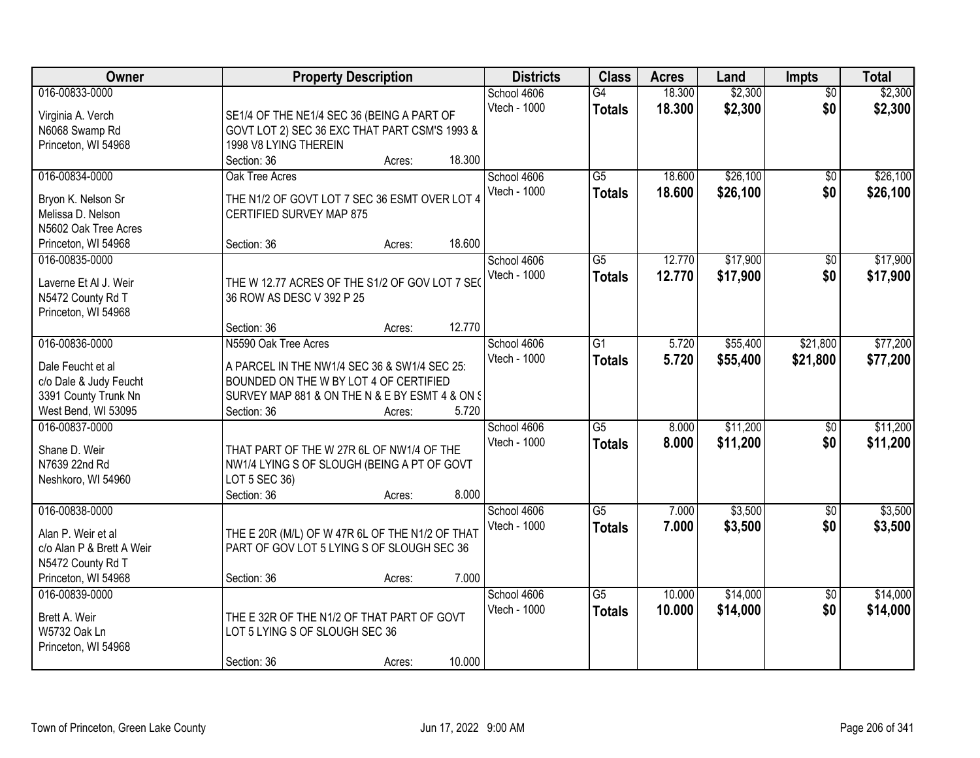| Owner                     | <b>Property Description</b>                     | <b>Districts</b>            | <b>Class</b>        | <b>Acres</b>     | Land               | Impts                  | <b>Total</b>       |
|---------------------------|-------------------------------------------------|-----------------------------|---------------------|------------------|--------------------|------------------------|--------------------|
| 016-00833-0000            |                                                 | School 4606<br>Vtech - 1000 | G4<br><b>Totals</b> | 18.300<br>18.300 | \$2,300<br>\$2,300 | $\overline{50}$<br>\$0 | \$2,300<br>\$2,300 |
| Virginia A. Verch         | SE1/4 OF THE NE1/4 SEC 36 (BEING A PART OF      |                             |                     |                  |                    |                        |                    |
| N6068 Swamp Rd            | GOVT LOT 2) SEC 36 EXC THAT PART CSM'S 1993 &   |                             |                     |                  |                    |                        |                    |
| Princeton, WI 54968       | 1998 V8 LYING THEREIN                           |                             |                     |                  |                    |                        |                    |
|                           | 18.300<br>Section: 36<br>Acres:                 |                             |                     |                  |                    |                        |                    |
| 016-00834-0000            | Oak Tree Acres                                  | School 4606                 | $\overline{G5}$     | 18.600           | \$26,100           | \$0                    | \$26,100           |
| Bryon K. Nelson Sr        | THE N1/2 OF GOVT LOT 7 SEC 36 ESMT OVER LOT 4   | Vtech - 1000                | <b>Totals</b>       | 18.600           | \$26,100           | \$0                    | \$26,100           |
| Melissa D. Nelson         | CERTIFIED SURVEY MAP 875                        |                             |                     |                  |                    |                        |                    |
| N5602 Oak Tree Acres      |                                                 |                             |                     |                  |                    |                        |                    |
| Princeton, WI 54968       | 18.600<br>Section: 36<br>Acres:                 |                             |                     |                  |                    |                        |                    |
| 016-00835-0000            |                                                 | School 4606                 | $\overline{G5}$     | 12.770           | \$17,900           | $\overline{50}$        | \$17,900           |
|                           |                                                 | Vtech - 1000                | <b>Totals</b>       | 12.770           | \$17,900           | \$0                    | \$17,900           |
| Laverne Et Al J. Weir     | THE W 12.77 ACRES OF THE S1/2 OF GOV LOT 7 SE   |                             |                     |                  |                    |                        |                    |
| N5472 County Rd T         | 36 ROW AS DESC V 392 P 25                       |                             |                     |                  |                    |                        |                    |
| Princeton, WI 54968       |                                                 |                             |                     |                  |                    |                        |                    |
|                           | 12.770<br>Section: 36<br>Acres:                 |                             |                     |                  |                    |                        |                    |
| 016-00836-0000            | N5590 Oak Tree Acres                            | School 4606                 | $\overline{G1}$     | 5.720            | \$55,400           | \$21,800               | \$77,200           |
| Dale Feucht et al         | A PARCEL IN THE NW1/4 SEC 36 & SW1/4 SEC 25:    | Vtech - 1000                | <b>Totals</b>       | 5.720            | \$55,400           | \$21,800               | \$77,200           |
| c/o Dale & Judy Feucht    | BOUNDED ON THE W BY LOT 4 OF CERTIFIED          |                             |                     |                  |                    |                        |                    |
| 3391 County Trunk Nn      | SURVEY MAP 881 & ON THE N & E BY ESMT 4 & ON §  |                             |                     |                  |                    |                        |                    |
| West Bend, WI 53095       | 5.720<br>Section: 36<br>Acres:                  |                             |                     |                  |                    |                        |                    |
| 016-00837-0000            |                                                 | School 4606                 | $\overline{G5}$     | 8.000            | \$11,200           | \$0                    | \$11,200           |
|                           |                                                 | Vtech - 1000                | <b>Totals</b>       | 8.000            | \$11,200           | \$0                    | \$11,200           |
| Shane D. Weir             | THAT PART OF THE W 27R 6L OF NW1/4 OF THE       |                             |                     |                  |                    |                        |                    |
| N7639 22nd Rd             | NW1/4 LYING S OF SLOUGH (BEING A PT OF GOVT     |                             |                     |                  |                    |                        |                    |
| Neshkoro, WI 54960        | LOT 5 SEC 36)                                   |                             |                     |                  |                    |                        |                    |
|                           | 8.000<br>Section: 36<br>Acres:                  |                             |                     |                  |                    |                        |                    |
| 016-00838-0000            |                                                 | School 4606                 | $\overline{G5}$     | 7.000            | \$3,500            | $\overline{50}$        | \$3,500            |
| Alan P. Weir et al        | THE E 20R (M/L) OF W 47R 6L OF THE N1/2 OF THAT | Vtech - 1000                | <b>Totals</b>       | 7.000            | \$3,500            | \$0                    | \$3,500            |
| c/o Alan P & Brett A Weir | PART OF GOV LOT 5 LYING S OF SLOUGH SEC 36      |                             |                     |                  |                    |                        |                    |
| N5472 County Rd T         |                                                 |                             |                     |                  |                    |                        |                    |
| Princeton, WI 54968       | 7.000<br>Section: 36<br>Acres:                  |                             |                     |                  |                    |                        |                    |
| 016-00839-0000            |                                                 | School 4606                 | $\overline{G5}$     | 10.000           | \$14,000           | $\overline{30}$        | \$14,000           |
|                           |                                                 | Vtech - 1000                |                     | 10.000           | \$14,000           | \$0                    | \$14,000           |
| Brett A. Weir             | THE E 32R OF THE N1/2 OF THAT PART OF GOVT      |                             | <b>Totals</b>       |                  |                    |                        |                    |
| W5732 Oak Ln              | LOT 5 LYING S OF SLOUGH SEC 36                  |                             |                     |                  |                    |                        |                    |
| Princeton, WI 54968       |                                                 |                             |                     |                  |                    |                        |                    |
|                           | 10.000<br>Section: 36<br>Acres:                 |                             |                     |                  |                    |                        |                    |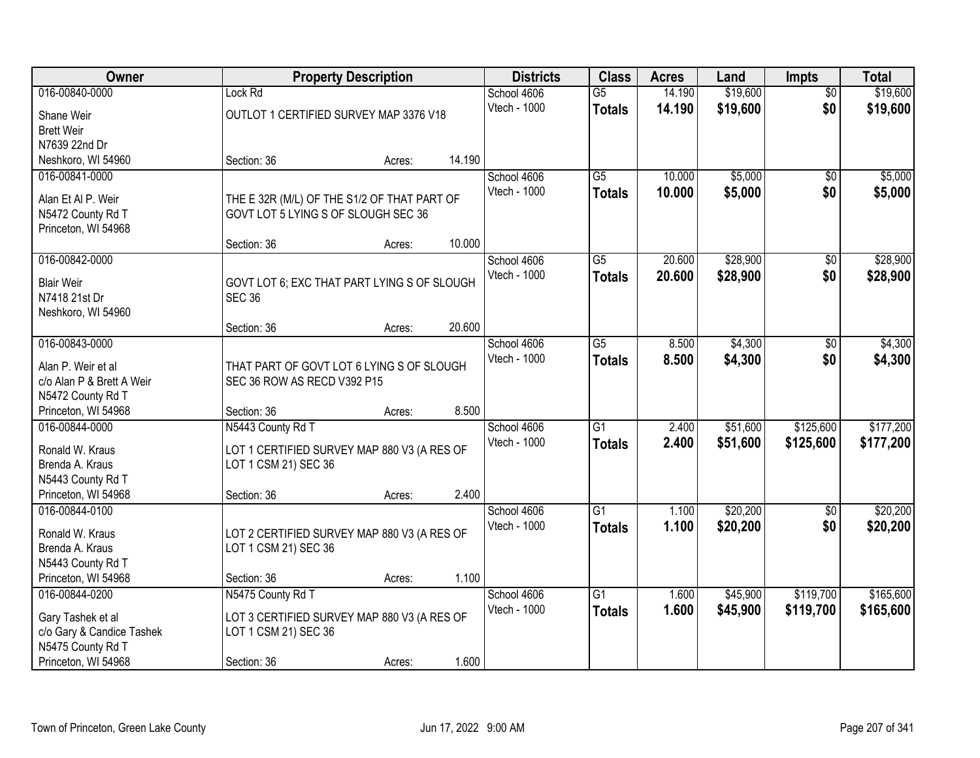| Owner                     |                                             | <b>Property Description</b> |        |              | <b>Class</b>    | <b>Acres</b> | Land     | <b>Impts</b>    | <b>Total</b> |
|---------------------------|---------------------------------------------|-----------------------------|--------|--------------|-----------------|--------------|----------|-----------------|--------------|
| 016-00840-0000            | Lock Rd                                     |                             |        | School 4606  | $\overline{G5}$ | 14.190       | \$19,600 | $\overline{50}$ | \$19,600     |
| Shane Weir                | OUTLOT 1 CERTIFIED SURVEY MAP 3376 V18      |                             |        | Vtech - 1000 | <b>Totals</b>   | 14.190       | \$19,600 | \$0             | \$19,600     |
| <b>Brett Weir</b>         |                                             |                             |        |              |                 |              |          |                 |              |
| N7639 22nd Dr             |                                             |                             |        |              |                 |              |          |                 |              |
| Neshkoro, WI 54960        | Section: 36                                 | Acres:                      | 14.190 |              |                 |              |          |                 |              |
| 016-00841-0000            |                                             |                             |        | School 4606  | $\overline{G5}$ | 10.000       | \$5,000  | \$0             | \$5,000      |
| Alan Et Al P. Weir        | THE E 32R (M/L) OF THE S1/2 OF THAT PART OF |                             |        | Vtech - 1000 | <b>Totals</b>   | 10.000       | \$5,000  | \$0             | \$5,000      |
| N5472 County Rd T         | GOVT LOT 5 LYING S OF SLOUGH SEC 36         |                             |        |              |                 |              |          |                 |              |
| Princeton, WI 54968       |                                             |                             |        |              |                 |              |          |                 |              |
|                           | Section: 36                                 | Acres:                      | 10.000 |              |                 |              |          |                 |              |
| 016-00842-0000            |                                             |                             |        | School 4606  | $\overline{G5}$ | 20.600       | \$28,900 | \$0             | \$28,900     |
| <b>Blair Weir</b>         | GOVT LOT 6; EXC THAT PART LYING S OF SLOUGH |                             |        | Vtech - 1000 | <b>Totals</b>   | 20.600       | \$28,900 | \$0             | \$28,900     |
| N7418 21st Dr             | <b>SEC 36</b>                               |                             |        |              |                 |              |          |                 |              |
| Neshkoro, WI 54960        |                                             |                             |        |              |                 |              |          |                 |              |
|                           | Section: 36                                 | Acres:                      | 20.600 |              |                 |              |          |                 |              |
| 016-00843-0000            |                                             |                             |        | School 4606  | $\overline{G5}$ | 8.500        | \$4,300  | $\frac{1}{20}$  | \$4,300      |
| Alan P. Weir et al        | THAT PART OF GOVT LOT 6 LYING S OF SLOUGH   |                             |        | Vtech - 1000 | <b>Totals</b>   | 8.500        | \$4,300  | \$0             | \$4,300      |
| c/o Alan P & Brett A Weir | SEC 36 ROW AS RECD V392 P15                 |                             |        |              |                 |              |          |                 |              |
| N5472 County Rd T         |                                             |                             |        |              |                 |              |          |                 |              |
| Princeton, WI 54968       | Section: 36                                 | Acres:                      | 8.500  |              |                 |              |          |                 |              |
| 016-00844-0000            | N5443 County Rd T                           |                             |        | School 4606  | $\overline{G1}$ | 2.400        | \$51,600 | \$125,600       | \$177,200    |
| Ronald W. Kraus           | LOT 1 CERTIFIED SURVEY MAP 880 V3 (A RES OF |                             |        | Vtech - 1000 | Totals          | 2.400        | \$51,600 | \$125,600       | \$177,200    |
| Brenda A. Kraus           | LOT 1 CSM 21) SEC 36                        |                             |        |              |                 |              |          |                 |              |
| N5443 County Rd T         |                                             |                             |        |              |                 |              |          |                 |              |
| Princeton, WI 54968       | Section: 36                                 | Acres:                      | 2.400  |              |                 |              |          |                 |              |
| 016-00844-0100            |                                             |                             |        | School 4606  | $\overline{G1}$ | 1.100        | \$20,200 | \$0             | \$20,200     |
| Ronald W. Kraus           | LOT 2 CERTIFIED SURVEY MAP 880 V3 (A RES OF |                             |        | Vtech - 1000 | <b>Totals</b>   | 1.100        | \$20,200 | \$0             | \$20,200     |
| Brenda A. Kraus           | LOT 1 CSM 21) SEC 36                        |                             |        |              |                 |              |          |                 |              |
| N5443 County Rd T         |                                             |                             |        |              |                 |              |          |                 |              |
| Princeton, WI 54968       | Section: 36                                 | Acres:                      | 1.100  |              |                 |              |          |                 |              |
| 016-00844-0200            | N5475 County Rd T                           |                             |        | School 4606  | $\overline{G1}$ | 1.600        | \$45,900 | \$119,700       | \$165,600    |
| Gary Tashek et al         | LOT 3 CERTIFIED SURVEY MAP 880 V3 (A RES OF |                             |        | Vtech - 1000 | <b>Totals</b>   | 1.600        | \$45,900 | \$119,700       | \$165,600    |
| c/o Gary & Candice Tashek | LOT 1 CSM 21) SEC 36                        |                             |        |              |                 |              |          |                 |              |
| N5475 County Rd T         |                                             |                             |        |              |                 |              |          |                 |              |
| Princeton, WI 54968       | Section: 36                                 | Acres:                      | 1.600  |              |                 |              |          |                 |              |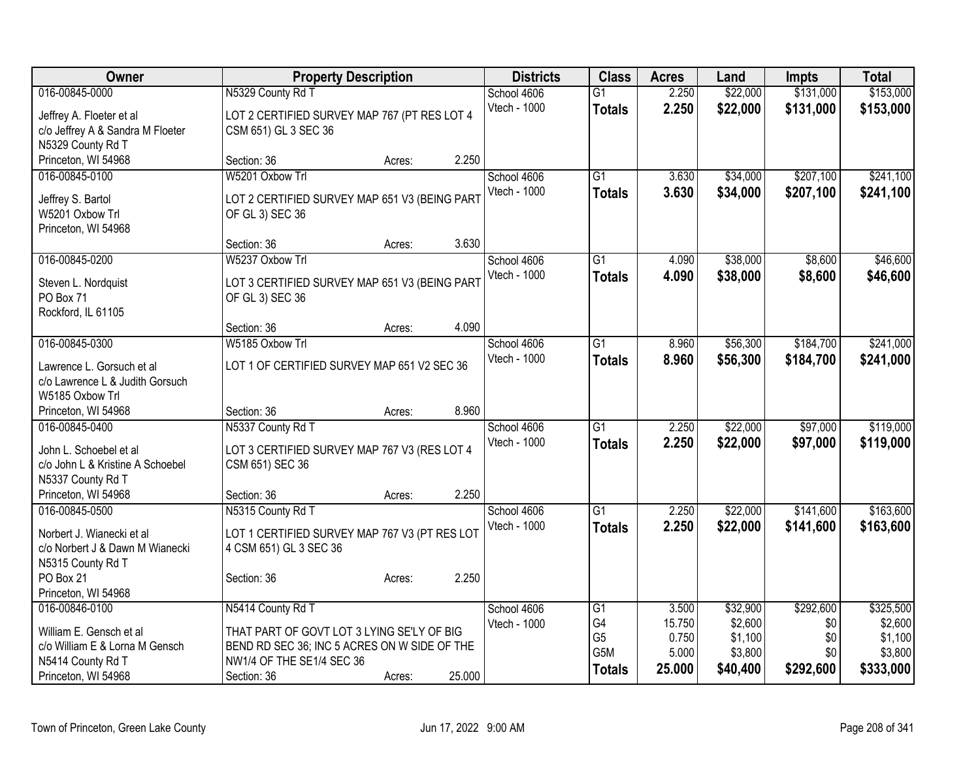| <b>Owner</b>                     | <b>Property Description</b>                   |        |              | <b>Districts</b> | <b>Class</b>    | <b>Acres</b> | Land     | <b>Impts</b> | <b>Total</b> |
|----------------------------------|-----------------------------------------------|--------|--------------|------------------|-----------------|--------------|----------|--------------|--------------|
| 016-00845-0000                   | N5329 County Rd T                             |        | School 4606  |                  | $\overline{G1}$ | 2.250        | \$22,000 | \$131,000    | \$153,000    |
| Jeffrey A. Floeter et al         | LOT 2 CERTIFIED SURVEY MAP 767 (PT RES LOT 4  |        | Vtech - 1000 |                  | <b>Totals</b>   | 2.250        | \$22,000 | \$131,000    | \$153,000    |
| c/o Jeffrey A & Sandra M Floeter | CSM 651) GL 3 SEC 36                          |        |              |                  |                 |              |          |              |              |
| N5329 County Rd T                |                                               |        |              |                  |                 |              |          |              |              |
| Princeton, WI 54968              | Section: 36                                   | Acres: | 2.250        |                  |                 |              |          |              |              |
| 016-00845-0100                   | W5201 Oxbow Trl                               |        | School 4606  |                  | $\overline{G1}$ | 3.630        | \$34,000 | \$207,100    | \$241,100    |
| Jeffrey S. Bartol                | LOT 2 CERTIFIED SURVEY MAP 651 V3 (BEING PART |        | Vtech - 1000 |                  | <b>Totals</b>   | 3.630        | \$34,000 | \$207,100    | \$241,100    |
| W5201 Oxbow Trl                  | OF GL 3) SEC 36                               |        |              |                  |                 |              |          |              |              |
| Princeton, WI 54968              |                                               |        |              |                  |                 |              |          |              |              |
|                                  | Section: 36                                   | Acres: | 3.630        |                  |                 |              |          |              |              |
| 016-00845-0200                   | W5237 Oxbow Trl                               |        | School 4606  |                  | $\overline{G1}$ | 4.090        | \$38,000 | \$8,600      | \$46,600     |
| Steven L. Nordquist              | LOT 3 CERTIFIED SURVEY MAP 651 V3 (BEING PART |        | Vtech - 1000 |                  | <b>Totals</b>   | 4.090        | \$38,000 | \$8,600      | \$46,600     |
| PO Box 71                        | OF GL 3) SEC 36                               |        |              |                  |                 |              |          |              |              |
| Rockford, IL 61105               |                                               |        |              |                  |                 |              |          |              |              |
|                                  | Section: 36                                   | Acres: | 4.090        |                  |                 |              |          |              |              |
| 016-00845-0300                   | W5185 Oxbow Trl                               |        | School 4606  |                  | G1              | 8.960        | \$56,300 | \$184,700    | \$241,000    |
| Lawrence L. Gorsuch et al        | LOT 1 OF CERTIFIED SURVEY MAP 651 V2 SEC 36   |        | Vtech - 1000 |                  | <b>Totals</b>   | 8.960        | \$56,300 | \$184,700    | \$241,000    |
| c/o Lawrence L & Judith Gorsuch  |                                               |        |              |                  |                 |              |          |              |              |
| W5185 Oxbow Trl                  |                                               |        |              |                  |                 |              |          |              |              |
| Princeton, WI 54968              | Section: 36                                   | Acres: | 8.960        |                  |                 |              |          |              |              |
| 016-00845-0400                   | N5337 County Rd T                             |        | School 4606  |                  | $\overline{G1}$ | 2.250        | \$22,000 | \$97,000     | \$119,000    |
| John L. Schoebel et al           | LOT 3 CERTIFIED SURVEY MAP 767 V3 (RES LOT 4  |        | Vtech - 1000 |                  | <b>Totals</b>   | 2.250        | \$22,000 | \$97,000     | \$119,000    |
| c/o John L & Kristine A Schoebel | CSM 651) SEC 36                               |        |              |                  |                 |              |          |              |              |
| N5337 County Rd T                |                                               |        |              |                  |                 |              |          |              |              |
| Princeton, WI 54968              | Section: 36                                   | Acres: | 2.250        |                  |                 |              |          |              |              |
| 016-00845-0500                   | N5315 County Rd T                             |        | School 4606  |                  | $\overline{G1}$ | 2.250        | \$22,000 | \$141,600    | \$163,600    |
| Norbert J. Wianecki et al        | LOT 1 CERTIFIED SURVEY MAP 767 V3 (PT RES LOT |        | Vtech - 1000 |                  | <b>Totals</b>   | 2.250        | \$22,000 | \$141,600    | \$163,600    |
| c/o Norbert J & Dawn M Wianecki  | 4 CSM 651) GL 3 SEC 36                        |        |              |                  |                 |              |          |              |              |
| N5315 County Rd T                |                                               |        |              |                  |                 |              |          |              |              |
| PO Box 21                        | Section: 36                                   | Acres: | 2.250        |                  |                 |              |          |              |              |
| Princeton, WI 54968              |                                               |        |              |                  |                 |              |          |              |              |
| 016-00846-0100                   | N5414 County Rd T                             |        | School 4606  |                  | G1              | 3.500        | \$32,900 | \$292,600    | \$325,500    |
| William E. Gensch et al          | THAT PART OF GOVT LOT 3 LYING SE'LY OF BIG    |        | Vtech - 1000 |                  | G4              | 15.750       | \$2,600  | \$0          | \$2,600      |
| c/o William E & Lorna M Gensch   | BEND RD SEC 36; INC 5 ACRES ON W SIDE OF THE  |        |              |                  | G <sub>5</sub>  | 0.750        | \$1,100  | \$0          | \$1,100      |
| N5414 County Rd T                | NW1/4 OF THE SE1/4 SEC 36                     |        |              |                  | G5M             | 5.000        | \$3,800  | \$0          | \$3,800      |
| Princeton, WI 54968              | Section: 36                                   | Acres: | 25.000       |                  | <b>Totals</b>   | 25.000       | \$40,400 | \$292,600    | \$333,000    |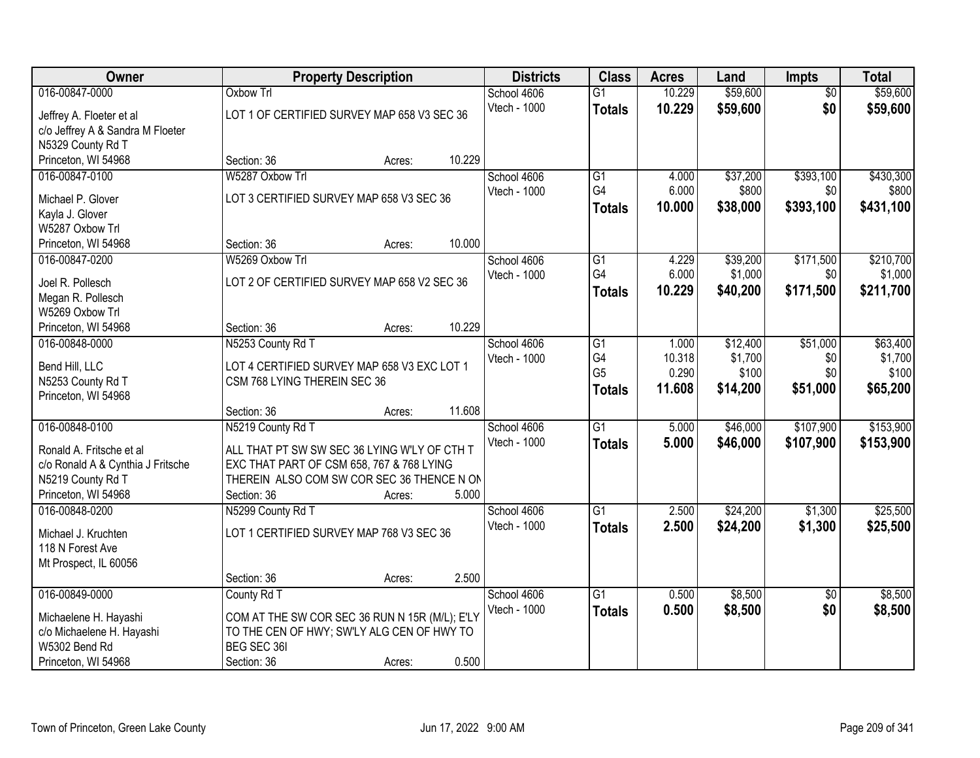| Owner                                |                                                | <b>Property Description</b> |        | <b>Districts</b> | <b>Class</b>    | <b>Acres</b> | Land     | <b>Impts</b>    | <b>Total</b> |
|--------------------------------------|------------------------------------------------|-----------------------------|--------|------------------|-----------------|--------------|----------|-----------------|--------------|
| 016-00847-0000                       | <b>Oxbow Trl</b>                               |                             |        | School 4606      | $\overline{G1}$ | 10.229       | \$59,600 | $\overline{50}$ | \$59,600     |
| Jeffrey A. Floeter et al             | LOT 1 OF CERTIFIED SURVEY MAP 658 V3 SEC 36    |                             |        | Vtech - 1000     | <b>Totals</b>   | 10.229       | \$59,600 | \$0             | \$59,600     |
| c/o Jeffrey A & Sandra M Floeter     |                                                |                             |        |                  |                 |              |          |                 |              |
| N5329 County Rd T                    |                                                |                             |        |                  |                 |              |          |                 |              |
| Princeton, WI 54968                  | Section: 36                                    | Acres:                      | 10.229 |                  |                 |              |          |                 |              |
| 016-00847-0100                       | W5287 Oxbow Trl                                |                             |        | School 4606      | $\overline{G1}$ | 4.000        | \$37,200 | \$393,100       | \$430,300    |
| Michael P. Glover                    | LOT 3 CERTIFIED SURVEY MAP 658 V3 SEC 36       |                             |        | Vtech - 1000     | G4              | 6.000        | \$800    | \$0             | \$800        |
| Kayla J. Glover                      |                                                |                             |        |                  | <b>Totals</b>   | 10.000       | \$38,000 | \$393,100       | \$431,100    |
| W5287 Oxbow Trl                      |                                                |                             |        |                  |                 |              |          |                 |              |
| Princeton, WI 54968                  | Section: 36                                    | Acres:                      | 10.000 |                  |                 |              |          |                 |              |
| 016-00847-0200                       | W5269 Oxbow Trl                                |                             |        | School 4606      | G1              | 4.229        | \$39,200 | \$171,500       | \$210,700    |
|                                      |                                                |                             |        | Vtech - 1000     | G4              | 6.000        | \$1,000  | \$0             | \$1,000      |
| Joel R. Pollesch                     | LOT 2 OF CERTIFIED SURVEY MAP 658 V2 SEC 36    |                             |        |                  | <b>Totals</b>   | 10.229       | \$40,200 | \$171,500       | \$211,700    |
| Megan R. Pollesch<br>W5269 Oxbow Trl |                                                |                             |        |                  |                 |              |          |                 |              |
| Princeton, WI 54968                  | Section: 36                                    | Acres:                      | 10.229 |                  |                 |              |          |                 |              |
| 016-00848-0000                       | N5253 County Rd T                              |                             |        | School 4606      | $\overline{G1}$ | 1.000        | \$12,400 | \$51,000        | \$63,400     |
|                                      |                                                |                             |        | Vtech - 1000     | G4              | 10.318       | \$1,700  | \$0             | \$1,700      |
| Bend Hill, LLC                       | LOT 4 CERTIFIED SURVEY MAP 658 V3 EXC LOT 1    |                             |        |                  | G <sub>5</sub>  | 0.290        | \$100    | \$0             | \$100        |
| N5253 County Rd T                    | CSM 768 LYING THEREIN SEC 36                   |                             |        |                  | <b>Totals</b>   | 11.608       | \$14,200 | \$51,000        | \$65,200     |
| Princeton, WI 54968                  |                                                |                             |        |                  |                 |              |          |                 |              |
|                                      | Section: 36                                    | Acres:                      | 11.608 |                  |                 |              |          |                 |              |
| 016-00848-0100                       | N5219 County Rd T                              |                             |        | School 4606      | $\overline{G1}$ | 5.000        | \$46,000 | \$107,900       | \$153,900    |
| Ronald A. Fritsche et al             | ALL THAT PT SW SW SEC 36 LYING W'LY OF CTH T   |                             |        | Vtech - 1000     | <b>Totals</b>   | 5.000        | \$46,000 | \$107,900       | \$153,900    |
| c/o Ronald A & Cynthia J Fritsche    | EXC THAT PART OF CSM 658, 767 & 768 LYING      |                             |        |                  |                 |              |          |                 |              |
| N5219 County Rd T                    | THEREIN ALSO COM SW COR SEC 36 THENCE N ON     |                             |        |                  |                 |              |          |                 |              |
| Princeton, WI 54968                  | Section: 36                                    | Acres:                      | 5.000  |                  |                 |              |          |                 |              |
| 016-00848-0200                       | N5299 County Rd T                              |                             |        | School 4606      | $\overline{G1}$ | 2.500        | \$24,200 | \$1,300         | \$25,500     |
| Michael J. Kruchten                  | LOT 1 CERTIFIED SURVEY MAP 768 V3 SEC 36       |                             |        | Vtech - 1000     | <b>Totals</b>   | 2.500        | \$24,200 | \$1,300         | \$25,500     |
| 118 N Forest Ave                     |                                                |                             |        |                  |                 |              |          |                 |              |
| Mt Prospect, IL 60056                |                                                |                             |        |                  |                 |              |          |                 |              |
|                                      | Section: 36                                    | Acres:                      | 2.500  |                  |                 |              |          |                 |              |
| 016-00849-0000                       | County Rd T                                    |                             |        | School 4606      | $\overline{G1}$ | 0.500        | \$8,500  | $\overline{30}$ | \$8,500      |
| Michaelene H. Hayashi                | COM AT THE SW COR SEC 36 RUN N 15R (M/L); E'LY |                             |        | Vtech - 1000     | <b>Totals</b>   | 0.500        | \$8,500  | \$0             | \$8,500      |
| c/o Michaelene H. Hayashi            | TO THE CEN OF HWY; SW'LY ALG CEN OF HWY TO     |                             |        |                  |                 |              |          |                 |              |
| W5302 Bend Rd                        | BEG SEC 361                                    |                             |        |                  |                 |              |          |                 |              |
| Princeton, WI 54968                  | Section: 36                                    | Acres:                      | 0.500  |                  |                 |              |          |                 |              |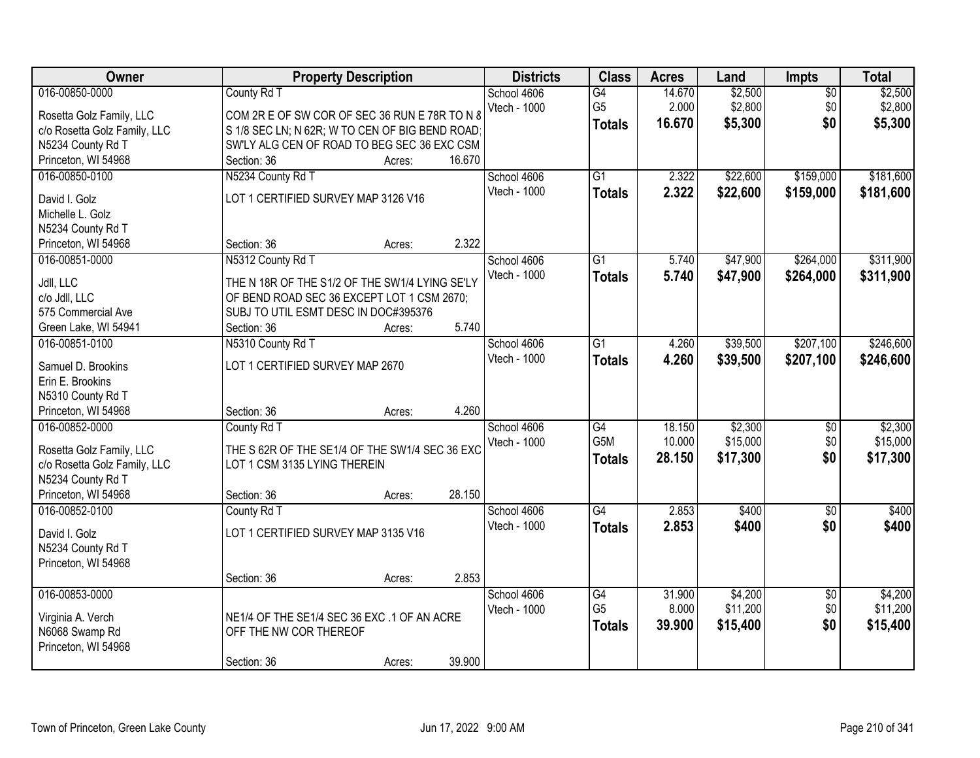| Owner                        | <b>Property Description</b>                     | <b>Districts</b> | <b>Class</b>     | <b>Acres</b> | Land     | <b>Impts</b>    | <b>Total</b> |
|------------------------------|-------------------------------------------------|------------------|------------------|--------------|----------|-----------------|--------------|
| 016-00850-0000               | County Rd T                                     | School 4606      | $\overline{G4}$  | 14.670       | \$2,500  | $\overline{50}$ | \$2,500      |
| Rosetta Golz Family, LLC     | COM 2R E OF SW COR OF SEC 36 RUN E 78R TO N 8   | Vtech - 1000     | G <sub>5</sub>   | 2.000        | \$2,800  | \$0             | \$2,800      |
| c/o Rosetta Golz Family, LLC | S 1/8 SEC LN; N 62R; W TO CEN OF BIG BEND ROAD; |                  | <b>Totals</b>    | 16.670       | \$5,300  | \$0             | \$5,300      |
| N5234 County Rd T            | SW'LY ALG CEN OF ROAD TO BEG SEC 36 EXC CSM     |                  |                  |              |          |                 |              |
| Princeton, WI 54968          | 16.670<br>Section: 36<br>Acres:                 |                  |                  |              |          |                 |              |
| 016-00850-0100               | N5234 County Rd T                               | School 4606      | $\overline{G1}$  | 2.322        | \$22,600 | \$159,000       | \$181,600    |
|                              |                                                 | Vtech - 1000     | <b>Totals</b>    | 2.322        | \$22,600 | \$159,000       | \$181,600    |
| David I. Golz                | LOT 1 CERTIFIED SURVEY MAP 3126 V16             |                  |                  |              |          |                 |              |
| Michelle L. Golz             |                                                 |                  |                  |              |          |                 |              |
| N5234 County Rd T            |                                                 |                  |                  |              |          |                 |              |
| Princeton, WI 54968          | 2.322<br>Section: 36<br>Acres:                  |                  |                  |              |          |                 |              |
| 016-00851-0000               | N5312 County Rd T                               | School 4606      | $\overline{G1}$  | 5.740        | \$47,900 | \$264,000       | \$311,900    |
| Jdll, LLC                    | THE N 18R OF THE S1/2 OF THE SW1/4 LYING SE'LY  | Vtech - 1000     | <b>Totals</b>    | 5.740        | \$47,900 | \$264,000       | \$311,900    |
| c/o Jdll, LLC                | OF BEND ROAD SEC 36 EXCEPT LOT 1 CSM 2670;      |                  |                  |              |          |                 |              |
| 575 Commercial Ave           | SUBJ TO UTIL ESMT DESC IN DOC#395376            |                  |                  |              |          |                 |              |
| Green Lake, WI 54941         | 5.740<br>Section: 36<br>Acres:                  |                  |                  |              |          |                 |              |
| 016-00851-0100               | N5310 County Rd T                               | School 4606      | $\overline{G1}$  | 4.260        | \$39,500 | \$207,100       | \$246,600    |
|                              |                                                 | Vtech - 1000     | <b>Totals</b>    | 4.260        | \$39,500 | \$207,100       | \$246,600    |
| Samuel D. Brookins           | LOT 1 CERTIFIED SURVEY MAP 2670                 |                  |                  |              |          |                 |              |
| Erin E. Brookins             |                                                 |                  |                  |              |          |                 |              |
| N5310 County Rd T            |                                                 |                  |                  |              |          |                 |              |
| Princeton, WI 54968          | 4.260<br>Section: 36<br>Acres:                  |                  |                  |              |          |                 |              |
| 016-00852-0000               | County Rd T                                     | School 4606      | $\overline{G4}$  | 18.150       | \$2,300  | $\overline{50}$ | \$2,300      |
| Rosetta Golz Family, LLC     | THE S 62R OF THE SE1/4 OF THE SW1/4 SEC 36 EXC  | Vtech - 1000     | G <sub>5</sub> M | 10.000       | \$15,000 | \$0             | \$15,000     |
| c/o Rosetta Golz Family, LLC | LOT 1 CSM 3135 LYING THEREIN                    |                  | <b>Totals</b>    | 28.150       | \$17,300 | \$0             | \$17,300     |
| N5234 County Rd T            |                                                 |                  |                  |              |          |                 |              |
| Princeton, WI 54968          | 28.150<br>Section: 36<br>Acres:                 |                  |                  |              |          |                 |              |
| 016-00852-0100               | County Rd T                                     | School 4606      | $\overline{G4}$  | 2.853        | \$400    | $\sqrt{6}$      | \$400        |
|                              |                                                 | Vtech - 1000     | <b>Totals</b>    | 2.853        | \$400    | \$0             | \$400        |
| David I. Golz                | LOT 1 CERTIFIED SURVEY MAP 3135 V16             |                  |                  |              |          |                 |              |
| N5234 County Rd T            |                                                 |                  |                  |              |          |                 |              |
| Princeton, WI 54968          |                                                 |                  |                  |              |          |                 |              |
|                              | 2.853<br>Section: 36<br>Acres:                  |                  |                  |              |          |                 |              |
| 016-00853-0000               |                                                 | School 4606      | G4               | 31.900       | \$4,200  | $\overline{50}$ | \$4,200      |
| Virginia A. Verch            | NE1/4 OF THE SE1/4 SEC 36 EXC .1 OF AN ACRE     | Vtech - 1000     | G <sub>5</sub>   | 8.000        | \$11,200 | \$0             | \$11,200     |
| N6068 Swamp Rd               | OFF THE NW COR THEREOF                          |                  | <b>Totals</b>    | 39.900       | \$15,400 | \$0             | \$15,400     |
| Princeton, WI 54968          |                                                 |                  |                  |              |          |                 |              |
|                              | 39.900<br>Section: 36<br>Acres:                 |                  |                  |              |          |                 |              |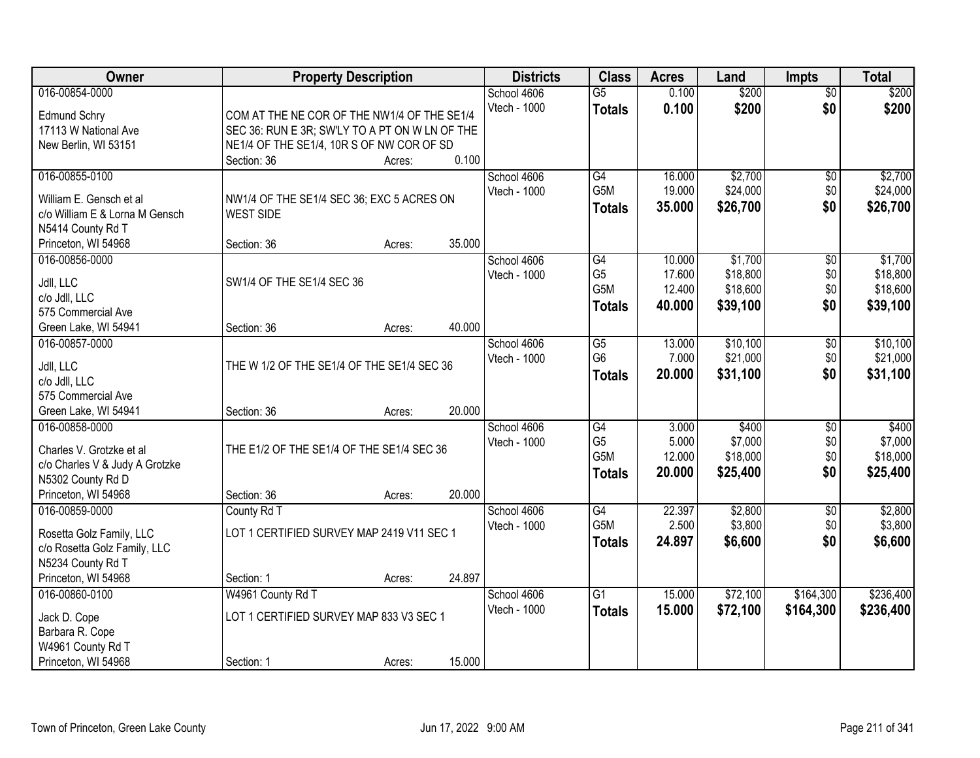| Owner                          |                                                | <b>Property Description</b> |        | <b>Districts</b> | <b>Class</b>    | <b>Acres</b> | Land     | <b>Impts</b>    | <b>Total</b> |
|--------------------------------|------------------------------------------------|-----------------------------|--------|------------------|-----------------|--------------|----------|-----------------|--------------|
| 016-00854-0000                 |                                                |                             |        | School 4606      | $\overline{G5}$ | 0.100        | \$200    | $\overline{50}$ | \$200        |
| <b>Edmund Schry</b>            | COM AT THE NE COR OF THE NW1/4 OF THE SE1/4    |                             |        | Vtech - 1000     | <b>Totals</b>   | 0.100        | \$200    | \$0             | \$200        |
| 17113 W National Ave           | SEC 36: RUN E 3R; SW'LY TO A PT ON W LN OF THE |                             |        |                  |                 |              |          |                 |              |
| New Berlin, WI 53151           | NE1/4 OF THE SE1/4, 10R S OF NW COR OF SD      |                             |        |                  |                 |              |          |                 |              |
|                                | Section: 36                                    | Acres:                      | 0.100  |                  |                 |              |          |                 |              |
| 016-00855-0100                 |                                                |                             |        | School 4606      | G4              | 16.000       | \$2,700  | $\overline{50}$ | \$2,700      |
|                                |                                                |                             |        | Vtech - 1000     | G5M             | 19.000       | \$24,000 | \$0             | \$24,000     |
| William E. Gensch et al        | NW1/4 OF THE SE1/4 SEC 36; EXC 5 ACRES ON      |                             |        |                  | <b>Totals</b>   | 35.000       | \$26,700 | \$0             | \$26,700     |
| c/o William E & Lorna M Gensch | <b>WEST SIDE</b>                               |                             |        |                  |                 |              |          |                 |              |
| N5414 County Rd T              |                                                |                             |        |                  |                 |              |          |                 |              |
| Princeton, WI 54968            | Section: 36                                    | Acres:                      | 35.000 |                  |                 |              |          |                 |              |
| 016-00856-0000                 |                                                |                             |        | School 4606      | G4              | 10.000       | \$1,700  | \$0             | \$1,700      |
| Jdll, LLC                      | SW1/4 OF THE SE1/4 SEC 36                      |                             |        | Vtech - 1000     | G <sub>5</sub>  | 17.600       | \$18,800 | \$0             | \$18,800     |
| c/o Jdll, LLC                  |                                                |                             |        |                  | G5M             | 12.400       | \$18,600 | \$0             | \$18,600     |
| 575 Commercial Ave             |                                                |                             |        |                  | <b>Totals</b>   | 40.000       | \$39,100 | \$0             | \$39,100     |
| Green Lake, WI 54941           | Section: 36                                    | Acres:                      | 40.000 |                  |                 |              |          |                 |              |
| 016-00857-0000                 |                                                |                             |        | School 4606      | G5              | 13.000       | \$10,100 | \$0             | \$10,100     |
|                                |                                                |                             |        | Vtech - 1000     | G <sub>6</sub>  | 7.000        | \$21,000 | \$0             | \$21,000     |
| Jdll, LLC                      | THE W 1/2 OF THE SE1/4 OF THE SE1/4 SEC 36     |                             |        |                  | <b>Totals</b>   | 20.000       | \$31,100 | \$0             | \$31,100     |
| c/o Jdll, LLC                  |                                                |                             |        |                  |                 |              |          |                 |              |
| 575 Commercial Ave             |                                                |                             |        |                  |                 |              |          |                 |              |
| Green Lake, WI 54941           | Section: 36                                    | Acres:                      | 20.000 |                  |                 |              |          |                 |              |
| 016-00858-0000                 |                                                |                             |        | School 4606      | $\overline{G4}$ | 3.000        | \$400    | $\overline{50}$ | \$400        |
| Charles V. Grotzke et al       | THE E1/2 OF THE SE1/4 OF THE SE1/4 SEC 36      |                             |        | Vtech - 1000     | G <sub>5</sub>  | 5.000        | \$7,000  | \$0             | \$7,000      |
| c/o Charles V & Judy A Grotzke |                                                |                             |        |                  | G5M             | 12.000       | \$18,000 | \$0             | \$18,000     |
| N5302 County Rd D              |                                                |                             |        |                  | <b>Totals</b>   | 20.000       | \$25,400 | \$0             | \$25,400     |
| Princeton, WI 54968            | Section: 36                                    | Acres:                      | 20.000 |                  |                 |              |          |                 |              |
| 016-00859-0000                 | County Rd T                                    |                             |        | School 4606      | $\overline{G4}$ | 22.397       | \$2,800  | $\overline{50}$ | \$2,800      |
|                                |                                                |                             |        | Vtech - 1000     | G5M             | 2.500        | \$3,800  | \$0             | \$3,800      |
| Rosetta Golz Family, LLC       | LOT 1 CERTIFIED SURVEY MAP 2419 V11 SEC 1      |                             |        |                  | <b>Totals</b>   | 24.897       | \$6,600  | \$0             | \$6,600      |
| c/o Rosetta Golz Family, LLC   |                                                |                             |        |                  |                 |              |          |                 |              |
| N5234 County Rd T              |                                                |                             |        |                  |                 |              |          |                 |              |
| Princeton, WI 54968            | Section: 1                                     | Acres:                      | 24.897 |                  |                 |              |          |                 |              |
| 016-00860-0100                 | W4961 County Rd T                              |                             |        | School 4606      | $\overline{G1}$ | 15,000       | \$72,100 | \$164,300       | \$236,400    |
| Jack D. Cope                   | LOT 1 CERTIFIED SURVEY MAP 833 V3 SEC 1        |                             |        | Vtech - 1000     | <b>Totals</b>   | 15.000       | \$72,100 | \$164,300       | \$236,400    |
| Barbara R. Cope                |                                                |                             |        |                  |                 |              |          |                 |              |
| W4961 County Rd T              |                                                |                             |        |                  |                 |              |          |                 |              |
| Princeton, WI 54968            | Section: 1                                     | Acres:                      | 15.000 |                  |                 |              |          |                 |              |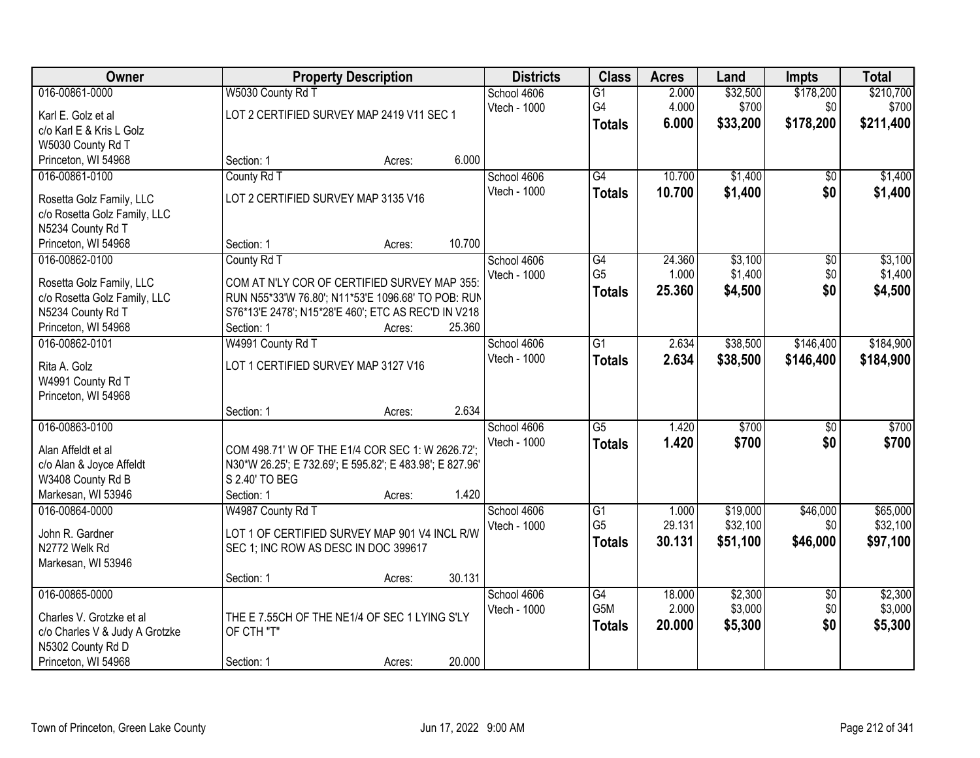| Owner                                                                                                                    |                                                                                                                                                                                        | <b>Property Description</b>                              |        |                             | <b>Class</b>                                       | <b>Acres</b>              | Land                             | <b>Impts</b>                  | <b>Total</b>                     |
|--------------------------------------------------------------------------------------------------------------------------|----------------------------------------------------------------------------------------------------------------------------------------------------------------------------------------|----------------------------------------------------------|--------|-----------------------------|----------------------------------------------------|---------------------------|----------------------------------|-------------------------------|----------------------------------|
| 016-00861-0000<br>Karl E. Golz et al                                                                                     | W5030 County Rd T                                                                                                                                                                      | School 4606<br>LOT 2 CERTIFIED SURVEY MAP 2419 V11 SEC 1 |        |                             | $\overline{G1}$<br>G4                              | 2.000<br>4.000            | \$32,500<br>\$700                | \$178,200<br>\$0              | \$210,700<br>\$700               |
| c/o Karl E & Kris L Golz<br>W5030 County Rd T                                                                            |                                                                                                                                                                                        |                                                          |        |                             | <b>Totals</b>                                      | 6.000                     | \$33,200                         | \$178,200                     | \$211,400                        |
| Princeton, WI 54968                                                                                                      | Section: 1                                                                                                                                                                             | Acres:                                                   | 6.000  |                             |                                                    |                           |                                  |                               |                                  |
| 016-00861-0100<br>Rosetta Golz Family, LLC<br>c/o Rosetta Golz Family, LLC<br>N5234 County Rd T                          | County Rd T<br>LOT 2 CERTIFIED SURVEY MAP 3135 V16                                                                                                                                     |                                                          |        | School 4606<br>Vtech - 1000 | $\overline{G4}$<br><b>Totals</b>                   | 10.700<br>10.700          | \$1,400<br>\$1,400               | \$0<br>\$0                    | \$1,400<br>\$1,400               |
| Princeton, WI 54968                                                                                                      | Section: 1                                                                                                                                                                             | Acres:                                                   | 10.700 |                             |                                                    |                           |                                  |                               |                                  |
| 016-00862-0100<br>Rosetta Golz Family, LLC<br>c/o Rosetta Golz Family, LLC<br>N5234 County Rd T<br>Princeton, WI 54968   | County Rd T<br>COM AT N'LY COR OF CERTIFIED SURVEY MAP 355:<br>RUN N55*33'W 76.80'; N11*53'E 1096.68' TO POB: RUN<br>S76*13'E 2478'; N15*28'E 460'; ETC AS REC'D IN V218<br>Section: 1 | Acres:                                                   | 25.360 | School 4606<br>Vtech - 1000 | $\overline{G4}$<br>G <sub>5</sub><br><b>Totals</b> | 24.360<br>1.000<br>25.360 | \$3,100<br>\$1,400<br>\$4,500    | $\overline{50}$<br>\$0<br>\$0 | \$3,100<br>\$1,400<br>\$4,500    |
| 016-00862-0101<br>Rita A. Golz<br>W4991 County Rd T<br>Princeton, WI 54968                                               | W4991 County Rd T<br>LOT 1 CERTIFIED SURVEY MAP 3127 V16                                                                                                                               |                                                          | 2.634  | School 4606<br>Vtech - 1000 | $\overline{G1}$<br><b>Totals</b>                   | 2.634<br>2.634            | \$38,500<br>\$38,500             | \$146,400<br>\$146,400        | \$184,900<br>\$184,900           |
| 016-00863-0100<br>Alan Affeldt et al<br>c/o Alan & Joyce Affeldt<br>W3408 County Rd B<br>Markesan, WI 53946              | Section: 1<br>COM 498.71' W OF THE E1/4 COR SEC 1: W 2626.72';<br>N30*W 26.25'; E 732.69'; E 595.82'; E 483.98'; E 827.96'<br>S 2.40' TO BEG<br>Section: 1                             | Acres:<br>Acres:                                         | 1.420  | School 4606<br>Vtech - 1000 | $\overline{G5}$<br><b>Totals</b>                   | 1.420<br>1.420            | \$700<br>\$700                   | $\overline{50}$<br>\$0        | \$700<br>\$700                   |
| 016-00864-0000<br>John R. Gardner<br>N2772 Welk Rd<br>Markesan, WI 53946                                                 | W4987 County Rd T<br>LOT 1 OF CERTIFIED SURVEY MAP 901 V4 INCL R/W<br>SEC 1; INC ROW AS DESC IN DOC 399617<br>Section: 1                                                               | Acres:                                                   | 30.131 | School 4606<br>Vtech - 1000 | G1<br>G <sub>5</sub><br><b>Totals</b>              | 1.000<br>29.131<br>30.131 | \$19,000<br>\$32,100<br>\$51,100 | \$46,000<br>\$0<br>\$46,000   | \$65,000<br>\$32,100<br>\$97,100 |
| 016-00865-0000<br>Charles V. Grotzke et al<br>c/o Charles V & Judy A Grotzke<br>N5302 County Rd D<br>Princeton, WI 54968 | THE E 7.55CH OF THE NE1/4 OF SEC 1 LYING S'LY<br>OF CTH "T"<br>Section: 1                                                                                                              | Acres:                                                   | 20.000 | School 4606<br>Vtech - 1000 | $\overline{G4}$<br>G5M<br><b>Totals</b>            | 18.000<br>2.000<br>20.000 | \$2,300<br>\$3,000<br>\$5,300    | $\overline{50}$<br>\$0<br>\$0 | \$2,300<br>\$3,000<br>\$5,300    |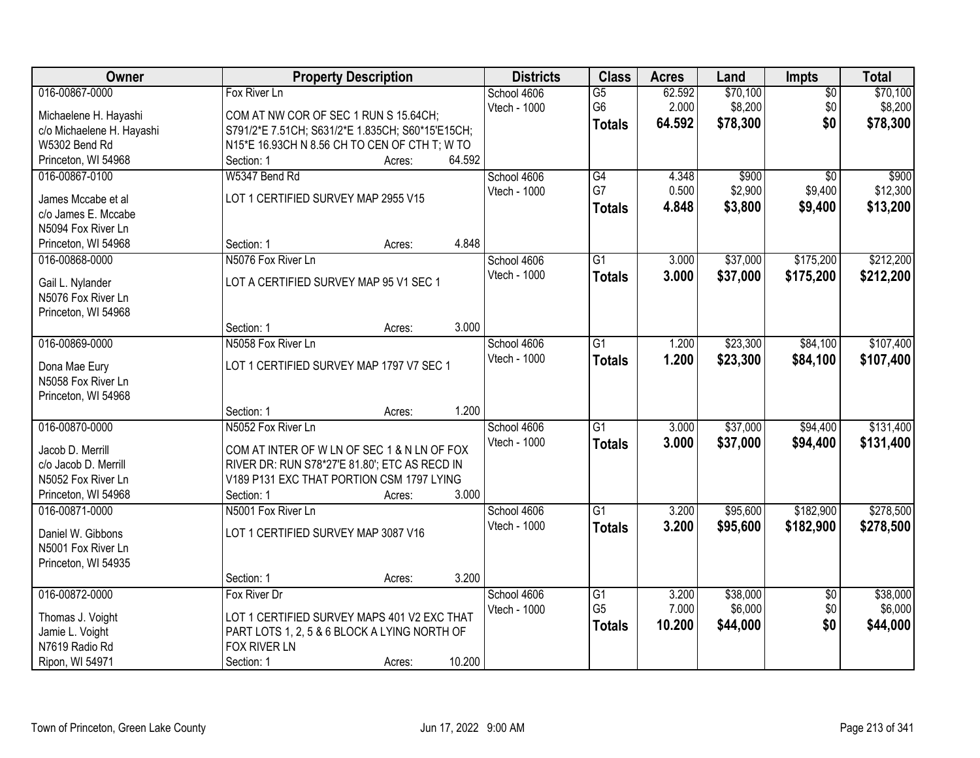| Owner                                      | <b>Property Description</b>                                                                |                  | <b>Districts</b>    | <b>Class</b>    | <b>Acres</b> | Land     | Impts                  | <b>Total</b> |
|--------------------------------------------|--------------------------------------------------------------------------------------------|------------------|---------------------|-----------------|--------------|----------|------------------------|--------------|
| 016-00867-0000                             | Fox River Ln                                                                               |                  | School 4606         | $\overline{G5}$ | 62.592       | \$70,100 | $\overline{50}$        | \$70,100     |
| Michaelene H. Hayashi                      | COM AT NW COR OF SEC 1 RUN S 15.64CH;                                                      |                  | Vtech - 1000        | G <sub>6</sub>  | 2.000        | \$8,200  | \$0                    | \$8,200      |
| c/o Michaelene H. Hayashi                  | S791/2*E 7.51CH; S631/2*E 1.835CH; S60*15'E15CH;                                           |                  |                     | <b>Totals</b>   | 64.592       | \$78,300 | \$0                    | \$78,300     |
| W5302 Bend Rd                              | N15*E 16.93CH N 8.56 CH TO CEN OF CTH T; W TO                                              |                  |                     |                 |              |          |                        |              |
| Princeton, WI 54968                        | Section: 1                                                                                 | 64.592<br>Acres: |                     |                 |              |          |                        |              |
| 016-00867-0100                             | W5347 Bend Rd                                                                              |                  | School 4606         | G4              | 4.348        | \$900    | $\overline{30}$        | \$900        |
| James Mccabe et al                         | LOT 1 CERTIFIED SURVEY MAP 2955 V15                                                        |                  | Vtech - 1000        | G7              | 0.500        | \$2,900  | \$9,400                | \$12,300     |
| c/o James E. Mccabe                        |                                                                                            |                  |                     | <b>Totals</b>   | 4.848        | \$3,800  | \$9,400                | \$13,200     |
| N5094 Fox River Ln                         |                                                                                            |                  |                     |                 |              |          |                        |              |
| Princeton, WI 54968                        | Section: 1                                                                                 | 4.848<br>Acres:  |                     |                 |              |          |                        |              |
| 016-00868-0000                             | N5076 Fox River Ln                                                                         |                  | School 4606         | G1              | 3.000        | \$37,000 | \$175,200              | \$212,200    |
| Gail L. Nylander                           | LOT A CERTIFIED SURVEY MAP 95 V1 SEC 1                                                     |                  | <b>Vtech - 1000</b> | <b>Totals</b>   | 3.000        | \$37,000 | \$175,200              | \$212,200    |
| N5076 Fox River Ln                         |                                                                                            |                  |                     |                 |              |          |                        |              |
| Princeton, WI 54968                        |                                                                                            |                  |                     |                 |              |          |                        |              |
|                                            | Section: 1                                                                                 | 3.000<br>Acres:  |                     |                 |              |          |                        |              |
| 016-00869-0000                             | N5058 Fox River Ln                                                                         |                  | School 4606         | $\overline{G1}$ | 1.200        | \$23,300 | \$84,100               | \$107,400    |
|                                            | LOT 1 CERTIFIED SURVEY MAP 1797 V7 SEC 1                                                   |                  | Vtech - 1000        | <b>Totals</b>   | 1.200        | \$23,300 | \$84,100               | \$107,400    |
| Dona Mae Eury<br>N5058 Fox River Ln        |                                                                                            |                  |                     |                 |              |          |                        |              |
| Princeton, WI 54968                        |                                                                                            |                  |                     |                 |              |          |                        |              |
|                                            | Section: 1                                                                                 | 1.200<br>Acres:  |                     |                 |              |          |                        |              |
| 016-00870-0000                             | N5052 Fox River Ln                                                                         |                  | School 4606         | $\overline{G1}$ | 3.000        | \$37,000 | \$94,400               | \$131,400    |
|                                            |                                                                                            |                  | Vtech - 1000        | <b>Totals</b>   | 3.000        | \$37,000 | \$94,400               | \$131,400    |
| Jacob D. Merrill                           | COM AT INTER OF W LN OF SEC 1 & N LN OF FOX                                                |                  |                     |                 |              |          |                        |              |
| c/o Jacob D. Merrill<br>N5052 Fox River Ln | RIVER DR: RUN S78*27'E 81.80'; ETC AS RECD IN<br>V189 P131 EXC THAT PORTION CSM 1797 LYING |                  |                     |                 |              |          |                        |              |
| Princeton, WI 54968                        | Section: 1                                                                                 | 3.000<br>Acres:  |                     |                 |              |          |                        |              |
| 016-00871-0000                             | N5001 Fox River Ln                                                                         |                  | School 4606         | $\overline{G1}$ | 3.200        | \$95,600 | \$182,900              | \$278,500    |
|                                            |                                                                                            |                  | Vtech - 1000        | <b>Totals</b>   | 3.200        | \$95,600 | \$182,900              | \$278,500    |
| Daniel W. Gibbons                          | LOT 1 CERTIFIED SURVEY MAP 3087 V16                                                        |                  |                     |                 |              |          |                        |              |
| N5001 Fox River Ln                         |                                                                                            |                  |                     |                 |              |          |                        |              |
| Princeton, WI 54935                        | Section: 1                                                                                 | 3.200            |                     |                 |              |          |                        |              |
| 016-00872-0000                             | Fox River Dr                                                                               | Acres:           | School 4606         | G1              | 3.200        | \$38,000 |                        | \$38,000     |
|                                            |                                                                                            |                  | Vtech - 1000        | G <sub>5</sub>  | 7.000        | \$6,000  | $\overline{50}$<br>\$0 | \$6,000      |
| Thomas J. Voight                           | LOT 1 CERTIFIED SURVEY MAPS 401 V2 EXC THAT                                                |                  |                     | <b>Totals</b>   | 10.200       | \$44,000 | \$0                    | \$44,000     |
| Jamie L. Voight                            | PART LOTS 1, 2, 5 & 6 BLOCK A LYING NORTH OF                                               |                  |                     |                 |              |          |                        |              |
| N7619 Radio Rd                             | FOX RIVER LN                                                                               |                  |                     |                 |              |          |                        |              |
| Ripon, WI 54971                            | Section: 1                                                                                 | 10.200<br>Acres: |                     |                 |              |          |                        |              |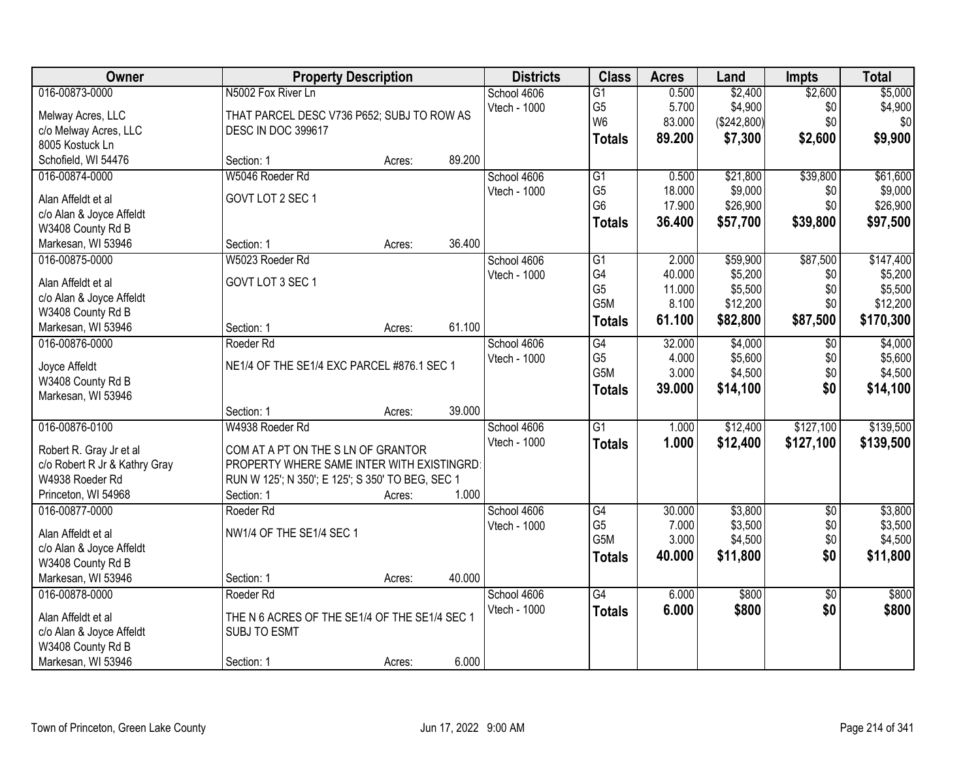| Owner                                         | <b>Property Description</b>                      |        |        | <b>Districts</b> | <b>Class</b>     | <b>Acres</b> | Land        | <b>Impts</b>    | <b>Total</b> |
|-----------------------------------------------|--------------------------------------------------|--------|--------|------------------|------------------|--------------|-------------|-----------------|--------------|
| 016-00873-0000                                | N5002 Fox River Ln                               |        |        | School 4606      | $\overline{G1}$  | 0.500        | \$2,400     | \$2,600         | \$5,000      |
| Melway Acres, LLC                             | THAT PARCEL DESC V736 P652; SUBJ TO ROW AS       |        |        | Vtech - 1000     | G <sub>5</sub>   | 5.700        | \$4,900     | \$0             | \$4,900      |
| c/o Melway Acres, LLC                         | DESC IN DOC 399617                               |        |        |                  | W <sub>6</sub>   | 83.000       | (\$242,800) | \$0             | \$0          |
| 8005 Kostuck Ln                               |                                                  |        |        |                  | <b>Totals</b>    | 89.200       | \$7,300     | \$2,600         | \$9,900      |
| Schofield, WI 54476                           | Section: 1                                       | Acres: | 89.200 |                  |                  |              |             |                 |              |
| 016-00874-0000                                | W5046 Roeder Rd                                  |        |        | School 4606      | G1               | 0.500        | \$21,800    | \$39,800        | \$61,600     |
| Alan Affeldt et al                            | GOVT LOT 2 SEC 1                                 |        |        | Vtech - 1000     | G <sub>5</sub>   | 18.000       | \$9,000     | \$0             | \$9,000      |
| c/o Alan & Joyce Affeldt                      |                                                  |        |        |                  | G <sub>6</sub>   | 17.900       | \$26,900    | \$0             | \$26,900     |
| W3408 County Rd B                             |                                                  |        |        |                  | <b>Totals</b>    | 36.400       | \$57,700    | \$39,800        | \$97,500     |
| Markesan, WI 53946                            | Section: 1                                       | Acres: | 36.400 |                  |                  |              |             |                 |              |
| 016-00875-0000                                | W5023 Roeder Rd                                  |        |        | School 4606      | $\overline{G1}$  | 2.000        | \$59,900    | \$87,500        | \$147,400    |
| Alan Affeldt et al                            | GOVT LOT 3 SEC 1                                 |        |        | Vtech - 1000     | G4               | 40.000       | \$5,200     | \$0             | \$5,200      |
|                                               |                                                  |        |        |                  | G <sub>5</sub>   | 11.000       | \$5,500     | \$0             | \$5,500      |
| c/o Alan & Joyce Affeldt<br>W3408 County Rd B |                                                  |        |        |                  | G5M              | 8.100        | \$12,200    | \$0             | \$12,200     |
| Markesan, WI 53946                            | Section: 1                                       | Acres: | 61.100 |                  | <b>Totals</b>    | 61.100       | \$82,800    | \$87,500        | \$170,300    |
| 016-00876-0000                                | Roeder Rd                                        |        |        | School 4606      | $\overline{G4}$  | 32.000       | \$4,000     | \$0             | \$4,000      |
|                                               |                                                  |        |        | Vtech - 1000     | G <sub>5</sub>   | 4.000        | \$5,600     | \$0             | \$5,600      |
| Joyce Affeldt                                 | NE1/4 OF THE SE1/4 EXC PARCEL #876.1 SEC 1       |        |        |                  | G5M              | 3.000        | \$4,500     | \$0             | \$4,500      |
| W3408 County Rd B                             |                                                  |        |        |                  | <b>Totals</b>    | 39.000       | \$14,100    | \$0             | \$14,100     |
| Markesan, WI 53946                            |                                                  |        |        |                  |                  |              |             |                 |              |
|                                               | Section: 1                                       | Acres: | 39.000 |                  |                  |              |             |                 |              |
| 016-00876-0100                                | W4938 Roeder Rd                                  |        |        | School 4606      | $\overline{G1}$  | 1.000        | \$12,400    | \$127,100       | \$139,500    |
| Robert R. Gray Jr et al                       | COM AT A PT ON THE S LN OF GRANTOR               |        |        | Vtech - 1000     | <b>Totals</b>    | 1.000        | \$12,400    | \$127,100       | \$139,500    |
| c/o Robert R Jr & Kathry Gray                 | PROPERTY WHERE SAME INTER WITH EXISTINGRD        |        |        |                  |                  |              |             |                 |              |
| W4938 Roeder Rd                               | RUN W 125'; N 350'; E 125'; S 350' TO BEG, SEC 1 |        |        |                  |                  |              |             |                 |              |
| Princeton, WI 54968                           | Section: 1                                       | Acres: | 1.000  |                  |                  |              |             |                 |              |
| 016-00877-0000                                | Roeder Rd                                        |        |        | School 4606      | G4               | 30.000       | \$3,800     | $\overline{50}$ | \$3,800      |
| Alan Affeldt et al                            | NW1/4 OF THE SE1/4 SEC 1                         |        |        | Vtech - 1000     | G <sub>5</sub>   | 7.000        | \$3,500     | \$0             | \$3,500      |
| c/o Alan & Joyce Affeldt                      |                                                  |        |        |                  | G <sub>5</sub> M | 3.000        | \$4,500     | \$0             | \$4,500      |
| W3408 County Rd B                             |                                                  |        |        |                  | <b>Totals</b>    | 40.000       | \$11,800    | \$0             | \$11,800     |
| Markesan, WI 53946                            | Section: 1                                       | Acres: | 40.000 |                  |                  |              |             |                 |              |
| 016-00878-0000                                | Roeder Rd                                        |        |        | School 4606      | G4               | 6.000        | \$800       | $\overline{30}$ | \$800        |
|                                               |                                                  |        |        | Vtech - 1000     | <b>Totals</b>    | 6.000        | \$800       | \$0             | \$800        |
| Alan Affeldt et al                            | THE N 6 ACRES OF THE SE1/4 OF THE SE1/4 SEC 1    |        |        |                  |                  |              |             |                 |              |
| c/o Alan & Joyce Affeldt                      | <b>SUBJ TO ESMT</b>                              |        |        |                  |                  |              |             |                 |              |
| W3408 County Rd B                             |                                                  |        |        |                  |                  |              |             |                 |              |
| Markesan, WI 53946                            | Section: 1                                       | Acres: | 6.000  |                  |                  |              |             |                 |              |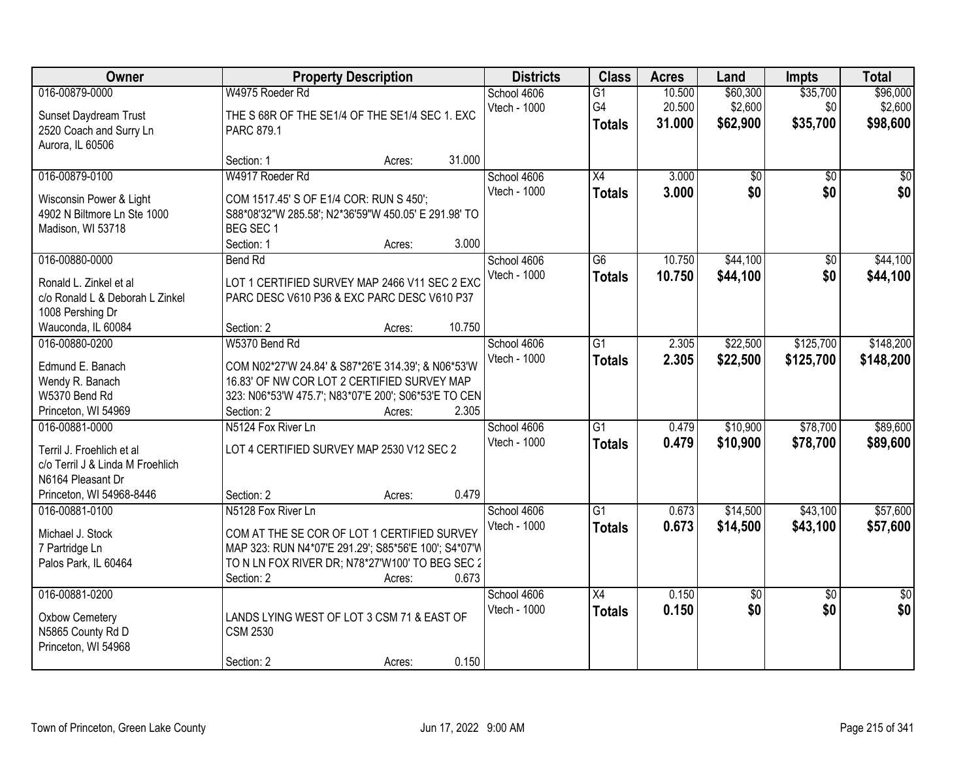| Owner                                                                                                                            | <b>Property Description</b>                                                                                                                                                                                   | <b>Districts</b>            | <b>Class</b>                           | <b>Acres</b>               | Land                            | <b>Impts</b>                | <b>Total</b>                    |
|----------------------------------------------------------------------------------------------------------------------------------|---------------------------------------------------------------------------------------------------------------------------------------------------------------------------------------------------------------|-----------------------------|----------------------------------------|----------------------------|---------------------------------|-----------------------------|---------------------------------|
| 016-00879-0000<br>Sunset Daydream Trust<br>2520 Coach and Surry Ln<br>Aurora, IL 60506                                           | W4975 Roeder Rd<br>THE S 68R OF THE SE1/4 OF THE SE1/4 SEC 1. EXC<br>PARC 879.1                                                                                                                               | School 4606<br>Vtech - 1000 | $\overline{G1}$<br>G4<br><b>Totals</b> | 10.500<br>20.500<br>31.000 | \$60,300<br>\$2,600<br>\$62,900 | \$35,700<br>\$0<br>\$35,700 | \$96,000<br>\$2,600<br>\$98,600 |
|                                                                                                                                  | 31.000<br>Section: 1<br>Acres:                                                                                                                                                                                |                             |                                        |                            |                                 |                             |                                 |
| 016-00879-0100<br>Wisconsin Power & Light<br>4902 N Biltmore Ln Ste 1000<br>Madison, WI 53718                                    | W4917 Roeder Rd<br>COM 1517.45' S OF E1/4 COR: RUN S 450';<br>S88*08'32"W 285.58'; N2*36'59"W 450.05' E 291.98' TO<br>BEG SEC 1<br>3.000<br>Section: 1<br>Acres:                                              | School 4606<br>Vtech - 1000 | $\overline{X4}$<br><b>Totals</b>       | 3.000<br>3.000             | \$0<br>\$0                      | $\overline{50}$<br>\$0      | $\overline{50}$<br>\$0          |
| 016-00880-0000                                                                                                                   | <b>Bend Rd</b>                                                                                                                                                                                                | School 4606                 | $\overline{G6}$                        | 10.750                     | \$44,100                        | $\overline{50}$             | \$44,100                        |
| Ronald L. Zinkel et al<br>c/o Ronald L & Deborah L Zinkel<br>1008 Pershing Dr<br>Wauconda, IL 60084                              | LOT 1 CERTIFIED SURVEY MAP 2466 V11 SEC 2 EXC<br>PARC DESC V610 P36 & EXC PARC DESC V610 P37<br>10.750<br>Section: 2<br>Acres:                                                                                | Vtech - 1000                | <b>Totals</b>                          | 10.750                     | \$44,100                        | \$0                         | \$44,100                        |
| 016-00880-0200                                                                                                                   | W5370 Bend Rd                                                                                                                                                                                                 | School 4606                 | $\overline{G1}$                        | 2.305                      | \$22,500                        | \$125,700                   | \$148,200                       |
| Edmund E. Banach<br>Wendy R. Banach<br>W5370 Bend Rd<br>Princeton, WI 54969                                                      | COM N02*27'W 24.84' & S87*26'E 314.39'; & N06*53'W<br>16.83' OF NW COR LOT 2 CERTIFIED SURVEY MAP<br>323: N06*53'W 475.7'; N83*07'E 200'; S06*53'E TO CEN<br>2.305<br>Section: 2<br>Acres:                    | Vtech - 1000                | <b>Totals</b>                          | 2.305                      | \$22,500                        | \$125,700                   | \$148,200                       |
| 016-00881-0000<br>Terril J. Froehlich et al<br>c/o Terril J & Linda M Froehlich<br>N6164 Pleasant Dr<br>Princeton, WI 54968-8446 | N5124 Fox River Ln<br>LOT 4 CERTIFIED SURVEY MAP 2530 V12 SEC 2<br>0.479<br>Section: 2<br>Acres:                                                                                                              | School 4606<br>Vtech - 1000 | $\overline{G1}$<br><b>Totals</b>       | 0.479<br>0.479             | \$10,900<br>\$10,900            | \$78,700<br>\$78,700        | \$89,600<br>\$89,600            |
| 016-00881-0100<br>Michael J. Stock<br>7 Partridge Ln<br>Palos Park, IL 60464                                                     | N5128 Fox River Ln<br>COM AT THE SE COR OF LOT 1 CERTIFIED SURVEY<br>MAP 323: RUN N4*07'E 291.29'; S85*56'E 100'; S4*07'W<br>TO N LN FOX RIVER DR; N78*27'W100' TO BEG SEC 2<br>0.673<br>Section: 2<br>Acres: | School 4606<br>Vtech - 1000 | $\overline{G1}$<br><b>Totals</b>       | 0.673<br>0.673             | \$14,500<br>\$14,500            | \$43,100<br>\$43,100        | \$57,600<br>\$57,600            |
| 016-00881-0200<br>Oxbow Cemetery<br>N5865 County Rd D<br>Princeton, WI 54968                                                     | LANDS LYING WEST OF LOT 3 CSM 71 & EAST OF<br><b>CSM 2530</b><br>0.150<br>Section: 2<br>Acres:                                                                                                                | School 4606<br>Vtech - 1000 | $\overline{X4}$<br><b>Totals</b>       | 0.150<br>0.150             | \$0<br>\$0                      | $\overline{50}$<br>\$0      | $\overline{50}$<br>\$0          |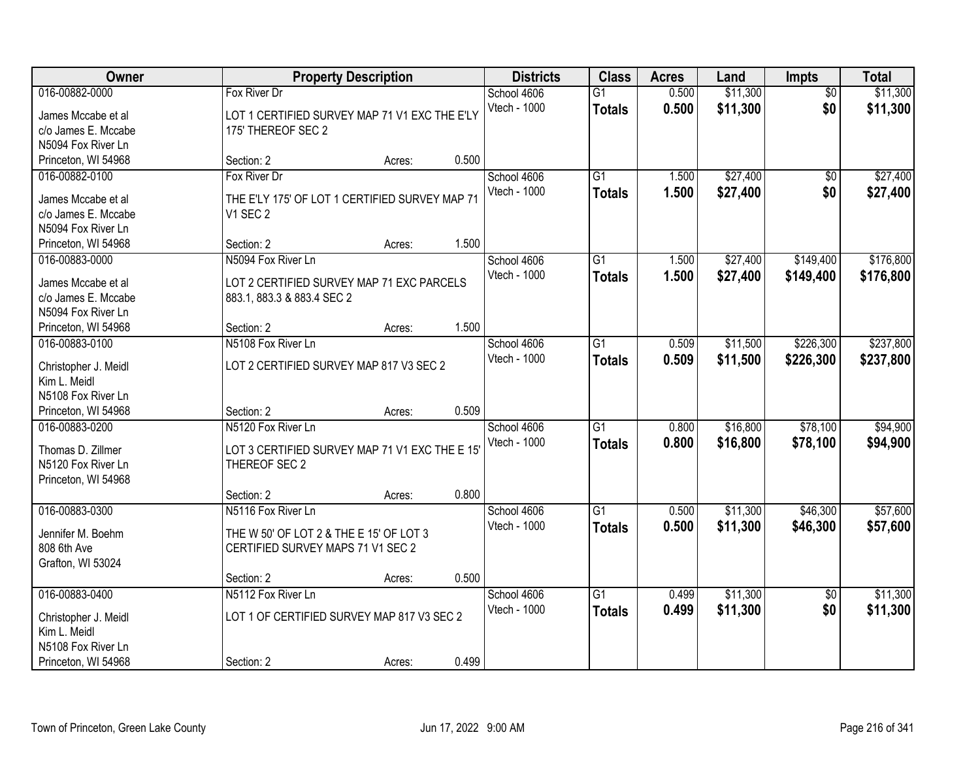| Owner                                                                                               |                                                                                                    | <b>Property Description</b> |       | <b>Districts</b>            | <b>Class</b>                     | <b>Acres</b>   | Land                 | Impts                  | <b>Total</b>           |
|-----------------------------------------------------------------------------------------------------|----------------------------------------------------------------------------------------------------|-----------------------------|-------|-----------------------------|----------------------------------|----------------|----------------------|------------------------|------------------------|
| 016-00882-0000<br>James Mccabe et al<br>c/o James E. Mccabe<br>N5094 Fox River Ln                   | Fox River Dr<br>LOT 1 CERTIFIED SURVEY MAP 71 V1 EXC THE E'LY<br>175' THEREOF SEC 2                |                             |       | School 4606<br>Vtech - 1000 | $\overline{G1}$<br><b>Totals</b> | 0.500<br>0.500 | \$11,300<br>\$11,300 | $\overline{50}$<br>\$0 | \$11,300<br>\$11,300   |
| Princeton, WI 54968                                                                                 | Section: 2                                                                                         | Acres:                      | 0.500 |                             |                                  |                |                      |                        |                        |
| 016-00882-0100<br>James Mccabe et al<br>c/o James E. Mccabe<br>N5094 Fox River Ln                   | Fox River Dr<br>THE E'LY 175' OF LOT 1 CERTIFIED SURVEY MAP 71<br>V1 SEC 2<br>Section: 2           |                             | 1.500 | School 4606<br>Vtech - 1000 | $\overline{G1}$<br><b>Totals</b> | 1.500<br>1.500 | \$27,400<br>\$27,400 | $\overline{50}$<br>\$0 | \$27,400<br>\$27,400   |
| Princeton, WI 54968<br>016-00883-0000                                                               | N5094 Fox River Ln                                                                                 | Acres:                      |       | School 4606                 | G1                               | 1.500          | \$27,400             | \$149,400              | \$176,800              |
| James Mccabe et al<br>c/o James E. Mccabe<br>N5094 Fox River Ln                                     | LOT 2 CERTIFIED SURVEY MAP 71 EXC PARCELS<br>883.1, 883.3 & 883.4 SEC 2                            |                             |       | Vtech - 1000                | <b>Totals</b>                    | 1.500          | \$27,400             | \$149,400              | \$176,800              |
| Princeton, WI 54968                                                                                 | Section: 2                                                                                         | Acres:                      | 1.500 |                             |                                  |                |                      |                        |                        |
| 016-00883-0100<br>Christopher J. Meidl<br>Kim L. Meidl                                              | N5108 Fox River Ln<br>LOT 2 CERTIFIED SURVEY MAP 817 V3 SEC 2                                      |                             |       | School 4606<br>Vtech - 1000 | G1<br><b>Totals</b>              | 0.509<br>0.509 | \$11,500<br>\$11,500 | \$226,300<br>\$226,300 | \$237,800<br>\$237,800 |
| N5108 Fox River Ln<br>Princeton, WI 54968                                                           | Section: 2                                                                                         | Acres:                      | 0.509 |                             |                                  |                |                      |                        |                        |
| 016-00883-0200<br>Thomas D. Zillmer<br>N5120 Fox River Ln<br>Princeton, WI 54968                    | N5120 Fox River Ln<br>LOT 3 CERTIFIED SURVEY MAP 71 V1 EXC THE E 15<br>THEREOF SEC 2               |                             |       | School 4606<br>Vtech - 1000 | $\overline{G1}$<br><b>Totals</b> | 0.800<br>0.800 | \$16,800<br>\$16,800 | \$78,100<br>\$78,100   | \$94,900<br>\$94,900   |
|                                                                                                     | Section: 2                                                                                         | Acres:                      | 0.800 |                             |                                  |                |                      |                        |                        |
| 016-00883-0300<br>Jennifer M. Boehm<br>808 6th Ave<br>Grafton, WI 53024                             | N5116 Fox River Ln<br>THE W 50' OF LOT 2 & THE E 15' OF LOT 3<br>CERTIFIED SURVEY MAPS 71 V1 SEC 2 |                             |       | School 4606<br>Vtech - 1000 | $\overline{G1}$<br><b>Totals</b> | 0.500<br>0.500 | \$11,300<br>\$11,300 | \$46,300<br>\$46,300   | \$57,600<br>\$57,600   |
|                                                                                                     | Section: 2                                                                                         | Acres:                      | 0.500 |                             |                                  |                |                      |                        |                        |
| 016-00883-0400<br>Christopher J. Meidl<br>Kim L. Meidl<br>N5108 Fox River Ln<br>Princeton, WI 54968 | N5112 Fox River Ln<br>LOT 1 OF CERTIFIED SURVEY MAP 817 V3 SEC 2<br>Section: 2                     | Acres:                      | 0.499 | School 4606<br>Vtech - 1000 | $\overline{G1}$<br><b>Totals</b> | 0.499<br>0.499 | \$11,300<br>\$11,300 | $\overline{50}$<br>\$0 | \$11,300<br>\$11,300   |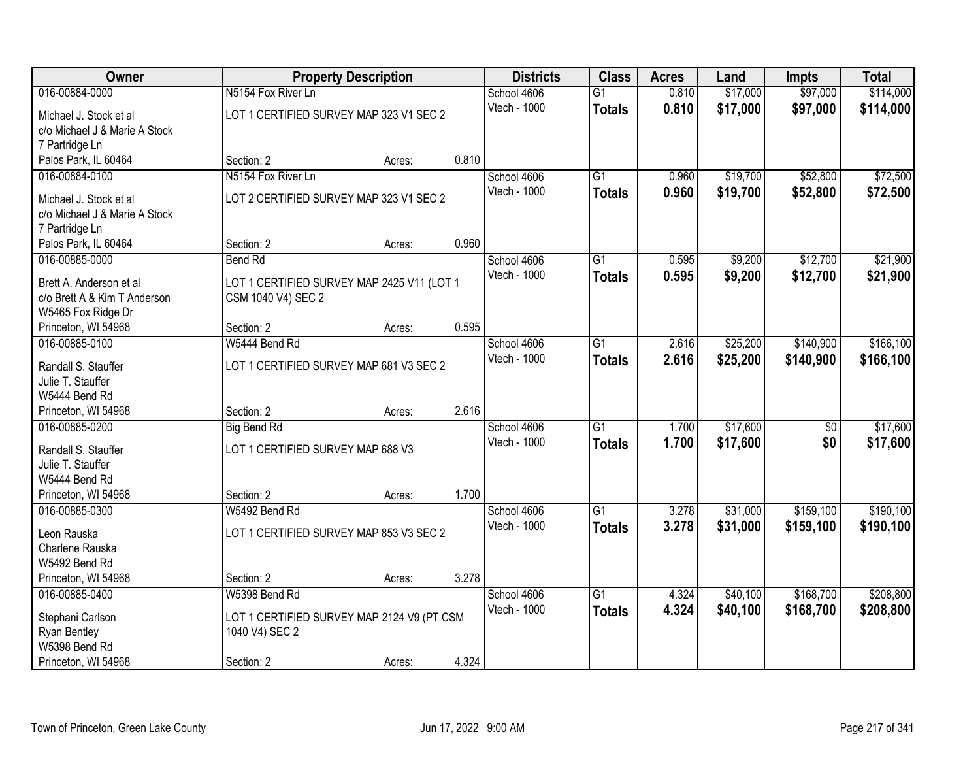| Owner                                                   |                                                                  | <b>Property Description</b> |       | <b>Districts</b>            | <b>Class</b>    | <b>Acres</b> | Land     | <b>Impts</b>    | <b>Total</b> |
|---------------------------------------------------------|------------------------------------------------------------------|-----------------------------|-------|-----------------------------|-----------------|--------------|----------|-----------------|--------------|
| 016-00884-0000                                          | N5154 Fox River Ln                                               |                             |       | School 4606                 | $\overline{G1}$ | 0.810        | \$17,000 | \$97,000        | \$114,000    |
| Michael J. Stock et al                                  | LOT 1 CERTIFIED SURVEY MAP 323 V1 SEC 2                          |                             |       | Vtech - 1000                | <b>Totals</b>   | 0.810        | \$17,000 | \$97,000        | \$114,000    |
| c/o Michael J & Marie A Stock                           |                                                                  |                             |       |                             |                 |              |          |                 |              |
| 7 Partridge Ln                                          |                                                                  |                             |       |                             |                 |              |          |                 |              |
| Palos Park, IL 60464                                    | Section: 2                                                       | Acres:                      | 0.810 |                             |                 |              |          |                 |              |
| 016-00884-0100                                          | N5154 Fox River Ln                                               |                             |       | School 4606                 | $\overline{G1}$ | 0.960        | \$19,700 | \$52,800        | \$72,500     |
| Michael J. Stock et al                                  | LOT 2 CERTIFIED SURVEY MAP 323 V1 SEC 2                          |                             |       | Vtech - 1000                | <b>Totals</b>   | 0.960        | \$19,700 | \$52,800        | \$72,500     |
| c/o Michael J & Marie A Stock                           |                                                                  |                             |       |                             |                 |              |          |                 |              |
| 7 Partridge Ln                                          |                                                                  |                             |       |                             |                 |              |          |                 |              |
| Palos Park, IL 60464                                    | Section: 2                                                       | Acres:                      | 0.960 |                             |                 |              |          |                 |              |
| 016-00885-0000                                          | <b>Bend Rd</b>                                                   |                             |       | School 4606                 | $\overline{G1}$ | 0.595        | \$9,200  | \$12,700        | \$21,900     |
|                                                         |                                                                  |                             |       | Vtech - 1000                | <b>Totals</b>   | 0.595        | \$9,200  | \$12,700        | \$21,900     |
| Brett A. Anderson et al<br>c/o Brett A & Kim T Anderson | LOT 1 CERTIFIED SURVEY MAP 2425 V11 (LOT 1<br>CSM 1040 V4) SEC 2 |                             |       |                             |                 |              |          |                 |              |
| W5465 Fox Ridge Dr                                      |                                                                  |                             |       |                             |                 |              |          |                 |              |
| Princeton, WI 54968                                     | Section: 2                                                       | Acres:                      | 0.595 |                             |                 |              |          |                 |              |
| 016-00885-0100                                          | W5444 Bend Rd                                                    |                             |       | School 4606                 | $\overline{G1}$ | 2.616        | \$25,200 | \$140,900       | \$166, 100   |
|                                                         |                                                                  |                             |       | Vtech - 1000                | <b>Totals</b>   | 2.616        | \$25,200 | \$140,900       | \$166,100    |
| Randall S. Stauffer                                     | LOT 1 CERTIFIED SURVEY MAP 681 V3 SEC 2                          |                             |       |                             |                 |              |          |                 |              |
| Julie T. Stauffer<br>W5444 Bend Rd                      |                                                                  |                             |       |                             |                 |              |          |                 |              |
| Princeton, WI 54968                                     | Section: 2                                                       | Acres:                      | 2.616 |                             |                 |              |          |                 |              |
| 016-00885-0200                                          | <b>Big Bend Rd</b>                                               |                             |       | School 4606                 | $\overline{G1}$ | 1.700        | \$17,600 | $\overline{50}$ | \$17,600     |
|                                                         |                                                                  |                             |       | Vtech - 1000                | <b>Totals</b>   | 1.700        | \$17,600 | \$0             | \$17,600     |
| Randall S. Stauffer                                     | LOT 1 CERTIFIED SURVEY MAP 688 V3                                |                             |       |                             |                 |              |          |                 |              |
| Julie T. Stauffer                                       |                                                                  |                             |       |                             |                 |              |          |                 |              |
| W5444 Bend Rd                                           |                                                                  |                             |       |                             |                 |              |          |                 |              |
| Princeton, WI 54968                                     | Section: 2                                                       | Acres:                      | 1.700 |                             | $\overline{G1}$ |              |          |                 |              |
| 016-00885-0300                                          | W5492 Bend Rd                                                    |                             |       | School 4606<br>Vtech - 1000 |                 | 3.278        | \$31,000 | \$159,100       | \$190,100    |
| Leon Rauska                                             | LOT 1 CERTIFIED SURVEY MAP 853 V3 SEC 2                          |                             |       |                             | <b>Totals</b>   | 3.278        | \$31,000 | \$159,100       | \$190,100    |
| Charlene Rauska                                         |                                                                  |                             |       |                             |                 |              |          |                 |              |
| W5492 Bend Rd                                           |                                                                  |                             |       |                             |                 |              |          |                 |              |
| Princeton, WI 54968                                     | Section: 2                                                       | Acres:                      | 3.278 |                             |                 |              |          |                 |              |
| 016-00885-0400                                          | W5398 Bend Rd                                                    |                             |       | School 4606                 | $\overline{G1}$ | 4.324        | \$40,100 | \$168,700       | \$208,800    |
| Stephani Carlson                                        | LOT 1 CERTIFIED SURVEY MAP 2124 V9 (PT CSM                       |                             |       | Vtech - 1000                | <b>Totals</b>   | 4.324        | \$40,100 | \$168,700       | \$208,800    |
| Ryan Bentley                                            | 1040 V4) SEC 2                                                   |                             |       |                             |                 |              |          |                 |              |
| W5398 Bend Rd                                           |                                                                  |                             |       |                             |                 |              |          |                 |              |
| Princeton, WI 54968                                     | Section: 2                                                       | Acres:                      | 4.324 |                             |                 |              |          |                 |              |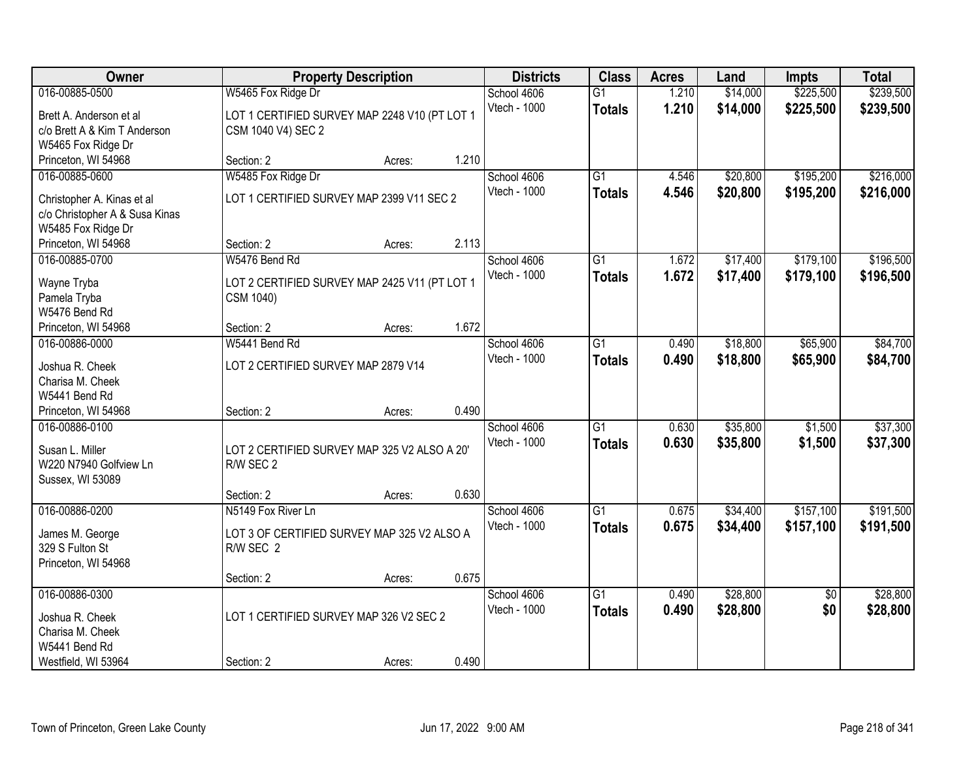| Owner                          |                                               | <b>Property Description</b> |       | <b>Districts</b> | <b>Class</b>    | <b>Acres</b> | Land     | <b>Impts</b>    | <b>Total</b> |
|--------------------------------|-----------------------------------------------|-----------------------------|-------|------------------|-----------------|--------------|----------|-----------------|--------------|
| 016-00885-0500                 | W5465 Fox Ridge Dr                            |                             |       | School 4606      | $\overline{G1}$ | 1.210        | \$14,000 | \$225,500       | \$239,500    |
| Brett A. Anderson et al        | LOT 1 CERTIFIED SURVEY MAP 2248 V10 (PT LOT 1 |                             |       | Vtech - 1000     | <b>Totals</b>   | 1.210        | \$14,000 | \$225,500       | \$239,500    |
| c/o Brett A & Kim T Anderson   | CSM 1040 V4) SEC 2                            |                             |       |                  |                 |              |          |                 |              |
| W5465 Fox Ridge Dr             |                                               |                             |       |                  |                 |              |          |                 |              |
| Princeton, WI 54968            | Section: 2                                    | Acres:                      | 1.210 |                  |                 |              |          |                 |              |
| 016-00885-0600                 | W5485 Fox Ridge Dr                            |                             |       | School 4606      | $\overline{G1}$ | 4.546        | \$20,800 | \$195,200       | \$216,000    |
| Christopher A. Kinas et al     | LOT 1 CERTIFIED SURVEY MAP 2399 V11 SEC 2     |                             |       | Vtech - 1000     | <b>Totals</b>   | 4.546        | \$20,800 | \$195,200       | \$216,000    |
| c/o Christopher A & Susa Kinas |                                               |                             |       |                  |                 |              |          |                 |              |
| W5485 Fox Ridge Dr             |                                               |                             |       |                  |                 |              |          |                 |              |
| Princeton, WI 54968            | Section: 2                                    | Acres:                      | 2.113 |                  |                 |              |          |                 |              |
| 016-00885-0700                 | W5476 Bend Rd                                 |                             |       | School 4606      | $\overline{G1}$ | 1.672        | \$17,400 | \$179,100       | \$196,500    |
|                                |                                               |                             |       | Vtech - 1000     | <b>Totals</b>   | 1.672        | \$17,400 | \$179,100       | \$196,500    |
| Wayne Tryba                    | LOT 2 CERTIFIED SURVEY MAP 2425 V11 (PT LOT 1 |                             |       |                  |                 |              |          |                 |              |
| Pamela Tryba                   | CSM 1040)                                     |                             |       |                  |                 |              |          |                 |              |
| W5476 Bend Rd                  |                                               |                             |       |                  |                 |              |          |                 |              |
| Princeton, WI 54968            | Section: 2                                    | Acres:                      | 1.672 |                  |                 |              |          |                 |              |
| 016-00886-0000                 | W5441 Bend Rd                                 |                             |       | School 4606      | $\overline{G1}$ | 0.490        | \$18,800 | \$65,900        | \$84,700     |
| Joshua R. Cheek                | LOT 2 CERTIFIED SURVEY MAP 2879 V14           |                             |       | Vtech - 1000     | <b>Totals</b>   | 0.490        | \$18,800 | \$65,900        | \$84,700     |
| Charisa M. Cheek               |                                               |                             |       |                  |                 |              |          |                 |              |
| W5441 Bend Rd                  |                                               |                             |       |                  |                 |              |          |                 |              |
| Princeton, WI 54968            | Section: 2                                    | Acres:                      | 0.490 |                  |                 |              |          |                 |              |
| 016-00886-0100                 |                                               |                             |       | School 4606      | $\overline{G1}$ | 0.630        | \$35,800 | \$1,500         | \$37,300     |
| Susan L. Miller                | LOT 2 CERTIFIED SURVEY MAP 325 V2 ALSO A 20'  |                             |       | Vtech - 1000     | <b>Totals</b>   | 0.630        | \$35,800 | \$1,500         | \$37,300     |
| W220 N7940 Golfview Ln         | R/W SEC 2                                     |                             |       |                  |                 |              |          |                 |              |
| Sussex, WI 53089               |                                               |                             |       |                  |                 |              |          |                 |              |
|                                | Section: 2                                    | Acres:                      | 0.630 |                  |                 |              |          |                 |              |
| 016-00886-0200                 | N5149 Fox River Ln                            |                             |       | School 4606      | $\overline{G1}$ | 0.675        | \$34,400 | \$157,100       | \$191,500    |
| James M. George                | LOT 3 OF CERTIFIED SURVEY MAP 325 V2 ALSO A   |                             |       | Vtech - 1000     | <b>Totals</b>   | 0.675        | \$34,400 | \$157,100       | \$191,500    |
| 329 S Fulton St                | R/W SEC 2                                     |                             |       |                  |                 |              |          |                 |              |
| Princeton, WI 54968            |                                               |                             |       |                  |                 |              |          |                 |              |
|                                | Section: 2                                    | Acres:                      | 0.675 |                  |                 |              |          |                 |              |
| 016-00886-0300                 |                                               |                             |       | School 4606      | $\overline{G1}$ | 0.490        | \$28,800 | $\overline{50}$ | \$28,800     |
|                                |                                               |                             |       | Vtech - 1000     | <b>Totals</b>   | 0.490        | \$28,800 | \$0             | \$28,800     |
| Joshua R. Cheek                | LOT 1 CERTIFIED SURVEY MAP 326 V2 SEC 2       |                             |       |                  |                 |              |          |                 |              |
| Charisa M. Cheek               |                                               |                             |       |                  |                 |              |          |                 |              |
| W5441 Bend Rd                  |                                               |                             |       |                  |                 |              |          |                 |              |
| Westfield, WI 53964            | Section: 2                                    | Acres:                      | 0.490 |                  |                 |              |          |                 |              |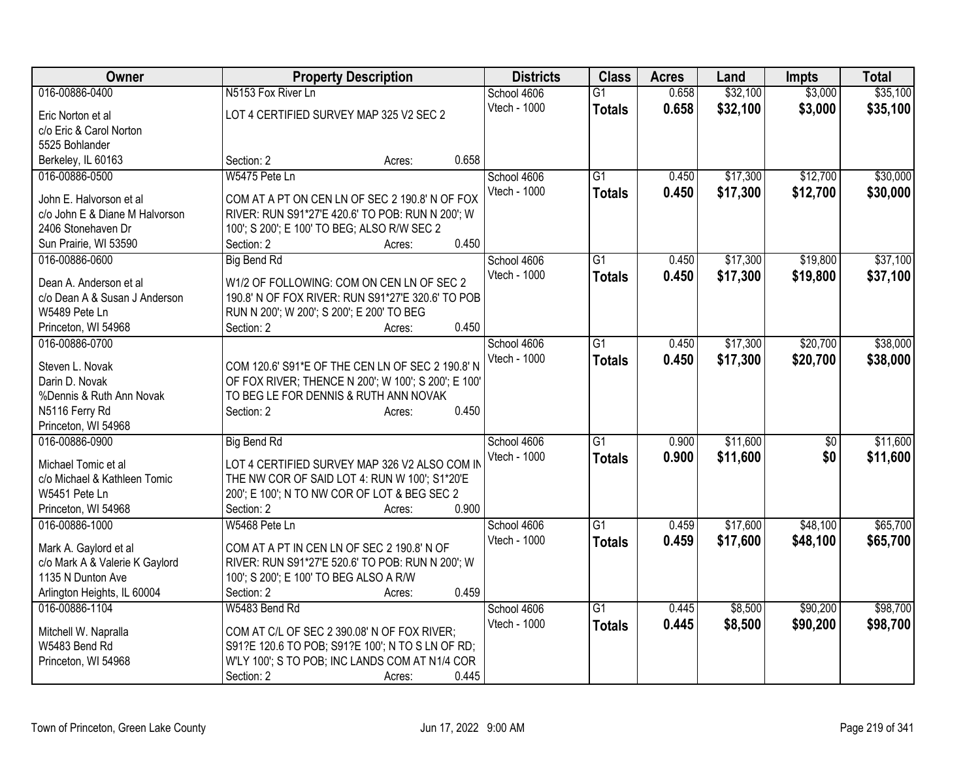| Owner                          | <b>Property Description</b>                         |                 | <b>Districts</b> | <b>Class</b>    | <b>Acres</b> | Land     | <b>Impts</b> | <b>Total</b> |
|--------------------------------|-----------------------------------------------------|-----------------|------------------|-----------------|--------------|----------|--------------|--------------|
| 016-00886-0400                 | N5153 Fox River Ln                                  |                 | School 4606      | $\overline{G1}$ | 0.658        | \$32,100 | \$3,000      | \$35,100     |
| Eric Norton et al              | LOT 4 CERTIFIED SURVEY MAP 325 V2 SEC 2             |                 | Vtech - 1000     | <b>Totals</b>   | 0.658        | \$32,100 | \$3,000      | \$35,100     |
| c/o Eric & Carol Norton        |                                                     |                 |                  |                 |              |          |              |              |
| 5525 Bohlander                 |                                                     |                 |                  |                 |              |          |              |              |
| Berkeley, IL 60163             | Section: 2                                          | 0.658<br>Acres: |                  |                 |              |          |              |              |
| 016-00886-0500                 | W5475 Pete Ln                                       |                 | School 4606      | $\overline{G1}$ | 0.450        | \$17,300 | \$12,700     | \$30,000     |
| John E. Halvorson et al        | COM AT A PT ON CEN LN OF SEC 2 190.8' N OF FOX      |                 | Vtech - 1000     | <b>Totals</b>   | 0.450        | \$17,300 | \$12,700     | \$30,000     |
| c/o John E & Diane M Halvorson | RIVER: RUN S91*27'E 420.6' TO POB: RUN N 200'; W    |                 |                  |                 |              |          |              |              |
| 2406 Stonehaven Dr             | 100'; S 200'; E 100' TO BEG; ALSO R/W SEC 2         |                 |                  |                 |              |          |              |              |
| Sun Prairie, WI 53590          | Section: 2                                          | 0.450<br>Acres: |                  |                 |              |          |              |              |
| 016-00886-0600                 | <b>Big Bend Rd</b>                                  |                 | School 4606      | G <sub>1</sub>  | 0.450        | \$17,300 | \$19,800     | \$37,100     |
|                                |                                                     |                 | Vtech - 1000     | <b>Totals</b>   | 0.450        | \$17,300 | \$19,800     | \$37,100     |
| Dean A. Anderson et al         | W1/2 OF FOLLOWING: COM ON CEN LN OF SEC 2           |                 |                  |                 |              |          |              |              |
| c/o Dean A & Susan J Anderson  | 190.8' N OF FOX RIVER: RUN S91*27'E 320.6' TO POB   |                 |                  |                 |              |          |              |              |
| W5489 Pete Ln                  | RUN N 200'; W 200'; S 200'; E 200' TO BEG           |                 |                  |                 |              |          |              |              |
| Princeton, WI 54968            | Section: 2                                          | 0.450<br>Acres: |                  |                 |              |          |              |              |
| 016-00886-0700                 |                                                     |                 | School 4606      | $\overline{G1}$ | 0.450        | \$17,300 | \$20,700     | \$38,000     |
| Steven L. Novak                | COM 120.6' S91*E OF THE CEN LN OF SEC 2 190.8' N    |                 | Vtech - 1000     | <b>Totals</b>   | 0.450        | \$17,300 | \$20,700     | \$38,000     |
| Darin D. Novak                 | OF FOX RIVER; THENCE N 200'; W 100'; S 200'; E 100' |                 |                  |                 |              |          |              |              |
| %Dennis & Ruth Ann Novak       | TO BEG LE FOR DENNIS & RUTH ANN NOVAK               |                 |                  |                 |              |          |              |              |
| N5116 Ferry Rd                 | Section: 2                                          | 0.450<br>Acres: |                  |                 |              |          |              |              |
| Princeton, WI 54968            |                                                     |                 |                  |                 |              |          |              |              |
| 016-00886-0900                 | <b>Big Bend Rd</b>                                  |                 | School 4606      | G1              | 0.900        | \$11,600 | \$0          | \$11,600     |
| Michael Tomic et al            | LOT 4 CERTIFIED SURVEY MAP 326 V2 ALSO COM IN       |                 | Vtech - 1000     | <b>Totals</b>   | 0.900        | \$11,600 | \$0          | \$11,600     |
| c/o Michael & Kathleen Tomic   | THE NW COR OF SAID LOT 4: RUN W 100'; S1*20'E       |                 |                  |                 |              |          |              |              |
| W5451 Pete Ln                  | 200'; E 100'; N TO NW COR OF LOT & BEG SEC 2        |                 |                  |                 |              |          |              |              |
| Princeton, WI 54968            | Section: 2                                          | 0.900<br>Acres: |                  |                 |              |          |              |              |
| 016-00886-1000                 | W5468 Pete Ln                                       |                 | School 4606      | $\overline{G1}$ | 0.459        | \$17,600 | \$48,100     | \$65,700     |
| Mark A. Gaylord et al          | COM AT A PT IN CEN LN OF SEC 2 190.8' N OF          |                 | Vtech - 1000     | <b>Totals</b>   | 0.459        | \$17,600 | \$48,100     | \$65,700     |
| c/o Mark A & Valerie K Gaylord | RIVER: RUN S91*27'E 520.6' TO POB: RUN N 200'; W    |                 |                  |                 |              |          |              |              |
| 1135 N Dunton Ave              | 100'; S 200'; E 100' TO BEG ALSO A R/W              |                 |                  |                 |              |          |              |              |
| Arlington Heights, IL 60004    | Section: 2                                          | 0.459<br>Acres: |                  |                 |              |          |              |              |
| 016-00886-1104                 | W5483 Bend Rd                                       |                 | School 4606      | $\overline{G1}$ | 0.445        | \$8,500  | \$90,200     | \$98,700     |
|                                |                                                     |                 | Vtech - 1000     | <b>Totals</b>   | 0.445        | \$8,500  | \$90,200     | \$98,700     |
| Mitchell W. Napralla           | COM AT C/L OF SEC 2 390.08' N OF FOX RIVER;         |                 |                  |                 |              |          |              |              |
| W5483 Bend Rd                  | S91?E 120.6 TO POB; S91?E 100'; N TO S LN OF RD;    |                 |                  |                 |              |          |              |              |
| Princeton, WI 54968            | W'LY 100'; S TO POB; INC LANDS COM AT N1/4 COR      |                 |                  |                 |              |          |              |              |
|                                | Section: 2                                          | 0.445<br>Acres: |                  |                 |              |          |              |              |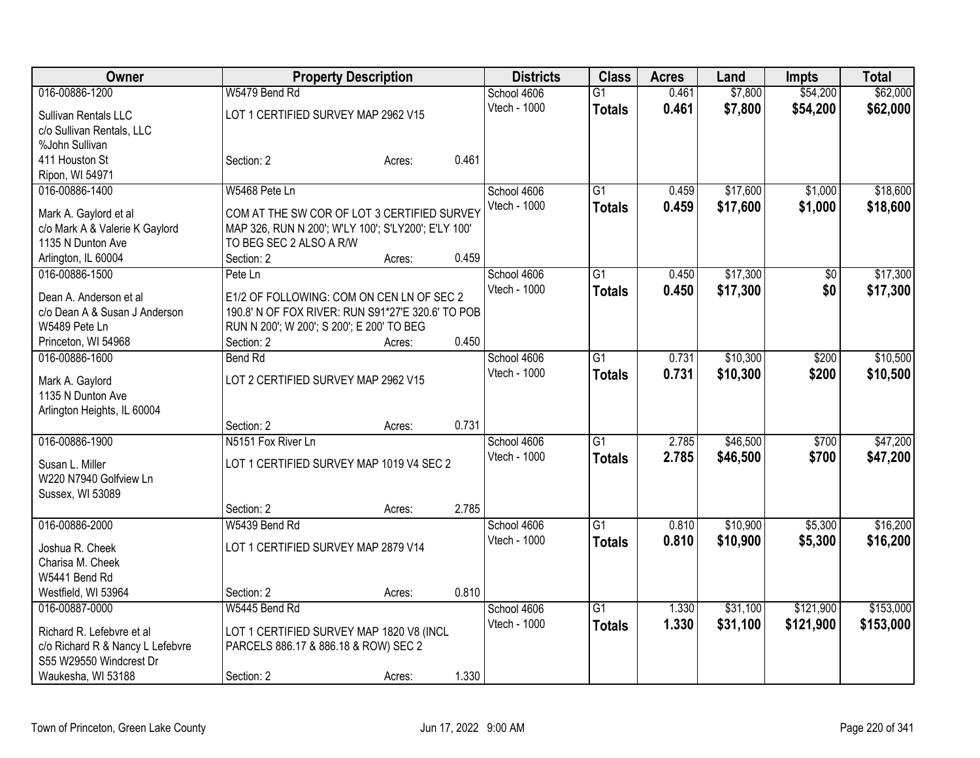| <b>Owner</b>                                                |                                                         | <b>Property Description</b> |       | <b>Districts</b> | <b>Class</b>    | <b>Acres</b> | Land     | <b>Impts</b> | <b>Total</b> |
|-------------------------------------------------------------|---------------------------------------------------------|-----------------------------|-------|------------------|-----------------|--------------|----------|--------------|--------------|
| 016-00886-1200                                              | W5479 Bend Rd                                           |                             |       | School 4606      | $\overline{G1}$ | 0.461        | \$7,800  | \$54,200     | \$62,000     |
| Sullivan Rentals LLC                                        | LOT 1 CERTIFIED SURVEY MAP 2962 V15                     |                             |       | Vtech - 1000     | <b>Totals</b>   | 0.461        | \$7,800  | \$54,200     | \$62,000     |
| c/o Sullivan Rentals, LLC                                   |                                                         |                             |       |                  |                 |              |          |              |              |
| %John Sullivan                                              |                                                         |                             |       |                  |                 |              |          |              |              |
| 411 Houston St                                              | Section: 2                                              | Acres:                      | 0.461 |                  |                 |              |          |              |              |
| Ripon, WI 54971                                             |                                                         |                             |       |                  |                 |              |          |              |              |
| 016-00886-1400                                              | W5468 Pete Ln                                           |                             |       | School 4606      | G1              | 0.459        | \$17,600 | \$1,000      | \$18,600     |
| Mark A. Gaylord et al                                       | COM AT THE SW COR OF LOT 3 CERTIFIED SURVEY             |                             |       | Vtech - 1000     | <b>Totals</b>   | 0.459        | \$17,600 | \$1,000      | \$18,600     |
| c/o Mark A & Valerie K Gaylord                              | MAP 326, RUN N 200'; W'LY 100'; S'LY200'; E'LY 100'     |                             |       |                  |                 |              |          |              |              |
| 1135 N Dunton Ave                                           | TO BEG SEC 2 ALSO A R/W                                 |                             |       |                  |                 |              |          |              |              |
| Arlington, IL 60004                                         | Section: 2                                              | Acres:                      | 0.459 |                  |                 |              |          |              |              |
| 016-00886-1500                                              | Pete Ln                                                 |                             |       | School 4606      | G1              | 0.450        | \$17,300 | $\sqrt[6]{}$ | \$17,300     |
|                                                             |                                                         |                             |       | Vtech - 1000     | <b>Totals</b>   | 0.450        | \$17,300 | \$0          | \$17,300     |
| Dean A. Anderson et al                                      | E1/2 OF FOLLOWING: COM ON CEN LN OF SEC 2               |                             |       |                  |                 |              |          |              |              |
| c/o Dean A & Susan J Anderson                               | 190.8' N OF FOX RIVER: RUN S91*27'E 320.6' TO POB       |                             |       |                  |                 |              |          |              |              |
| W5489 Pete Ln<br>Princeton, WI 54968                        | RUN N 200'; W 200'; S 200'; E 200' TO BEG<br>Section: 2 | Acres:                      | 0.450 |                  |                 |              |          |              |              |
| 016-00886-1600                                              | <b>Bend Rd</b>                                          |                             |       | School 4606      | $\overline{G1}$ | 0.731        | \$10,300 | \$200        | \$10,500     |
|                                                             |                                                         |                             |       | Vtech - 1000     |                 | 0.731        | \$10,300 | \$200        |              |
| Mark A. Gaylord                                             | LOT 2 CERTIFIED SURVEY MAP 2962 V15                     |                             |       |                  | <b>Totals</b>   |              |          |              | \$10,500     |
| 1135 N Dunton Ave                                           |                                                         |                             |       |                  |                 |              |          |              |              |
| Arlington Heights, IL 60004                                 |                                                         |                             |       |                  |                 |              |          |              |              |
|                                                             | Section: 2                                              | Acres:                      | 0.731 |                  |                 |              |          |              |              |
| 016-00886-1900                                              | N5151 Fox River Ln                                      |                             |       | School 4606      | G1              | 2.785        | \$46,500 | \$700        | \$47,200     |
| Susan L. Miller                                             | LOT 1 CERTIFIED SURVEY MAP 1019 V4 SEC 2                |                             |       | Vtech - 1000     | <b>Totals</b>   | 2.785        | \$46,500 | \$700        | \$47,200     |
| W220 N7940 Golfview Ln                                      |                                                         |                             |       |                  |                 |              |          |              |              |
| Sussex, WI 53089                                            |                                                         |                             |       |                  |                 |              |          |              |              |
|                                                             | Section: 2                                              | Acres:                      | 2.785 |                  |                 |              |          |              |              |
| 016-00886-2000                                              | W5439 Bend Rd                                           |                             |       | School 4606      | $\overline{G1}$ | 0.810        | \$10,900 | \$5,300      | \$16,200     |
| Joshua R. Cheek                                             | LOT 1 CERTIFIED SURVEY MAP 2879 V14                     |                             |       | Vtech - 1000     | <b>Totals</b>   | 0.810        | \$10,900 | \$5,300      | \$16,200     |
| Charisa M. Cheek                                            |                                                         |                             |       |                  |                 |              |          |              |              |
| W5441 Bend Rd                                               |                                                         |                             |       |                  |                 |              |          |              |              |
| Westfield, WI 53964                                         | Section: 2                                              | Acres:                      | 0.810 |                  |                 |              |          |              |              |
| 016-00887-0000                                              | W5445 Bend Rd                                           |                             |       | School 4606      | $\overline{G1}$ | 1.330        | \$31,100 | \$121,900    | \$153,000    |
|                                                             |                                                         |                             |       | Vtech - 1000     | <b>Totals</b>   | 1.330        | \$31,100 | \$121,900    | \$153,000    |
| Richard R. Lefebvre et al                                   | LOT 1 CERTIFIED SURVEY MAP 1820 V8 (INCL                |                             |       |                  |                 |              |          |              |              |
| c/o Richard R & Nancy L Lefebvre<br>S55 W29550 Windcrest Dr | PARCELS 886.17 & 886.18 & ROW) SEC 2                    |                             |       |                  |                 |              |          |              |              |
| Waukesha, WI 53188                                          | Section: 2                                              | Acres:                      | 1.330 |                  |                 |              |          |              |              |
|                                                             |                                                         |                             |       |                  |                 |              |          |              |              |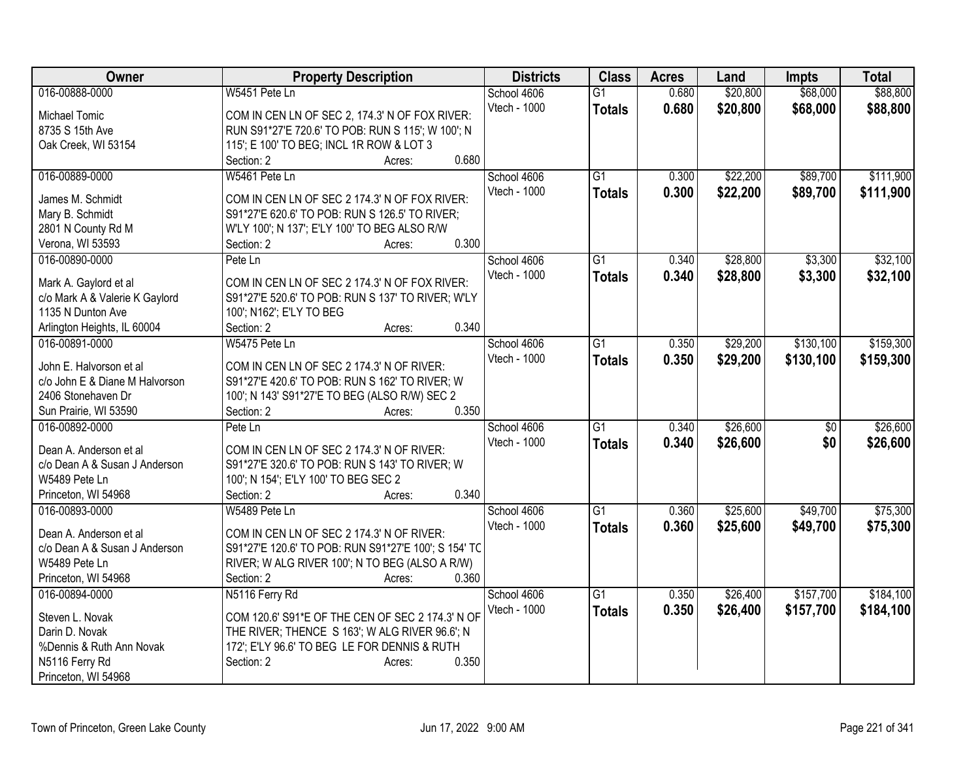| Owner                          | <b>Property Description</b>                          | <b>Districts</b> | <b>Class</b>    | <b>Acres</b> | Land     | <b>Impts</b>    | <b>Total</b> |
|--------------------------------|------------------------------------------------------|------------------|-----------------|--------------|----------|-----------------|--------------|
| 016-00888-0000                 | W5451 Pete Ln                                        | School 4606      | G1              | 0.680        | \$20,800 | \$68,000        | \$88,800     |
| Michael Tomic                  | COM IN CEN LN OF SEC 2, 174.3' N OF FOX RIVER:       | Vtech - 1000     | <b>Totals</b>   | 0.680        | \$20,800 | \$68,000        | \$88,800     |
| 8735 S 15th Ave                | RUN S91*27'E 720.6' TO POB: RUN S 115'; W 100'; N    |                  |                 |              |          |                 |              |
| Oak Creek, WI 53154            | 115'; E 100' TO BEG; INCL 1R ROW & LOT 3             |                  |                 |              |          |                 |              |
|                                | 0.680<br>Section: 2<br>Acres:                        |                  |                 |              |          |                 |              |
| 016-00889-0000                 | W5461 Pete Ln                                        | School 4606      | $\overline{G1}$ | 0.300        | \$22,200 | \$89,700        | \$111,900    |
|                                |                                                      | Vtech - 1000     | <b>Totals</b>   | 0.300        | \$22,200 | \$89,700        | \$111,900    |
| James M. Schmidt               | COM IN CEN LN OF SEC 2 174.3' N OF FOX RIVER:        |                  |                 |              |          |                 |              |
| Mary B. Schmidt                | S91*27'E 620.6' TO POB: RUN S 126.5' TO RIVER;       |                  |                 |              |          |                 |              |
| 2801 N County Rd M             | W'LY 100'; N 137'; E'LY 100' TO BEG ALSO R/W         |                  |                 |              |          |                 |              |
| Verona, WI 53593               | 0.300<br>Section: 2<br>Acres:                        |                  |                 |              |          |                 |              |
| 016-00890-0000                 | Pete Ln                                              | School 4606      | $\overline{G1}$ | 0.340        | \$28,800 | \$3,300         | \$32,100     |
| Mark A. Gaylord et al          | COM IN CEN LN OF SEC 2 174.3' N OF FOX RIVER:        | Vtech - 1000     | <b>Totals</b>   | 0.340        | \$28,800 | \$3,300         | \$32,100     |
| c/o Mark A & Valerie K Gaylord | S91*27'E 520.6' TO POB: RUN S 137' TO RIVER; W'LY    |                  |                 |              |          |                 |              |
| 1135 N Dunton Ave              | 100'; N162'; E'LY TO BEG                             |                  |                 |              |          |                 |              |
| Arlington Heights, IL 60004    | 0.340<br>Section: 2<br>Acres:                        |                  |                 |              |          |                 |              |
| 016-00891-0000                 | W5475 Pete Ln                                        | School 4606      | G1              | 0.350        | \$29,200 | \$130,100       | \$159,300    |
|                                |                                                      | Vtech - 1000     |                 | 0.350        |          |                 |              |
| John E. Halvorson et al        | COM IN CEN LN OF SEC 2 174.3' N OF RIVER:            |                  | <b>Totals</b>   |              | \$29,200 | \$130,100       | \$159,300    |
| c/o John E & Diane M Halvorson | S91*27'E 420.6' TO POB: RUN S 162' TO RIVER; W       |                  |                 |              |          |                 |              |
| 2406 Stonehaven Dr             | 100'; N 143' S91*27'E TO BEG (ALSO R/W) SEC 2        |                  |                 |              |          |                 |              |
| Sun Prairie, WI 53590          | 0.350<br>Section: 2<br>Acres:                        |                  |                 |              |          |                 |              |
| 016-00892-0000                 | Pete Ln                                              | School 4606      | $\overline{G1}$ | 0.340        | \$26,600 | $\overline{50}$ | \$26,600     |
| Dean A. Anderson et al         | COM IN CEN LN OF SEC 2 174.3' N OF RIVER:            | Vtech - 1000     | <b>Totals</b>   | 0.340        | \$26,600 | \$0             | \$26,600     |
| c/o Dean A & Susan J Anderson  | S91*27'E 320.6' TO POB: RUN S 143' TO RIVER; W       |                  |                 |              |          |                 |              |
| W5489 Pete Ln                  | 100'; N 154'; E'LY 100' TO BEG SEC 2                 |                  |                 |              |          |                 |              |
|                                | 0.340                                                |                  |                 |              |          |                 |              |
| Princeton, WI 54968            | Section: 2<br>Acres:                                 |                  |                 |              |          |                 |              |
| 016-00893-0000                 | W5489 Pete Ln                                        | School 4606      | $\overline{G1}$ | 0.360        | \$25,600 | \$49,700        | \$75,300     |
| Dean A. Anderson et all        | COM IN CEN LN OF SEC 2 174.3' N OF RIVER:            | Vtech - 1000     | <b>Totals</b>   | 0.360        | \$25,600 | \$49,700        | \$75,300     |
| c/o Dean A & Susan J Anderson  | S91*27'E 120.6' TO POB: RUN S91*27'E 100'; S 154' TC |                  |                 |              |          |                 |              |
| W5489 Pete Ln                  | RIVER; W ALG RIVER 100'; N TO BEG (ALSO A R/W)       |                  |                 |              |          |                 |              |
| Princeton, WI 54968            | Section: 2<br>0.360<br>Acres:                        |                  |                 |              |          |                 |              |
| 016-00894-0000                 | N5116 Ferry Rd                                       | School 4606      | $\overline{G1}$ | 0.350        | \$26,400 | \$157,700       | \$184,100    |
|                                |                                                      | Vtech - 1000     | <b>Totals</b>   | 0.350        | \$26,400 | \$157,700       | \$184,100    |
| Steven L. Novak                | COM 120.6' S91*E OF THE CEN OF SEC 2 174.3' N OF     |                  |                 |              |          |                 |              |
| Darin D. Novak                 | THE RIVER; THENCE S 163'; W ALG RIVER 96.6'; N       |                  |                 |              |          |                 |              |
| %Dennis & Ruth Ann Novak       | 172'; E'LY 96.6' TO BEG LE FOR DENNIS & RUTH         |                  |                 |              |          |                 |              |
| N5116 Ferry Rd                 | 0.350<br>Section: 2<br>Acres:                        |                  |                 |              |          |                 |              |
| Princeton, WI 54968            |                                                      |                  |                 |              |          |                 |              |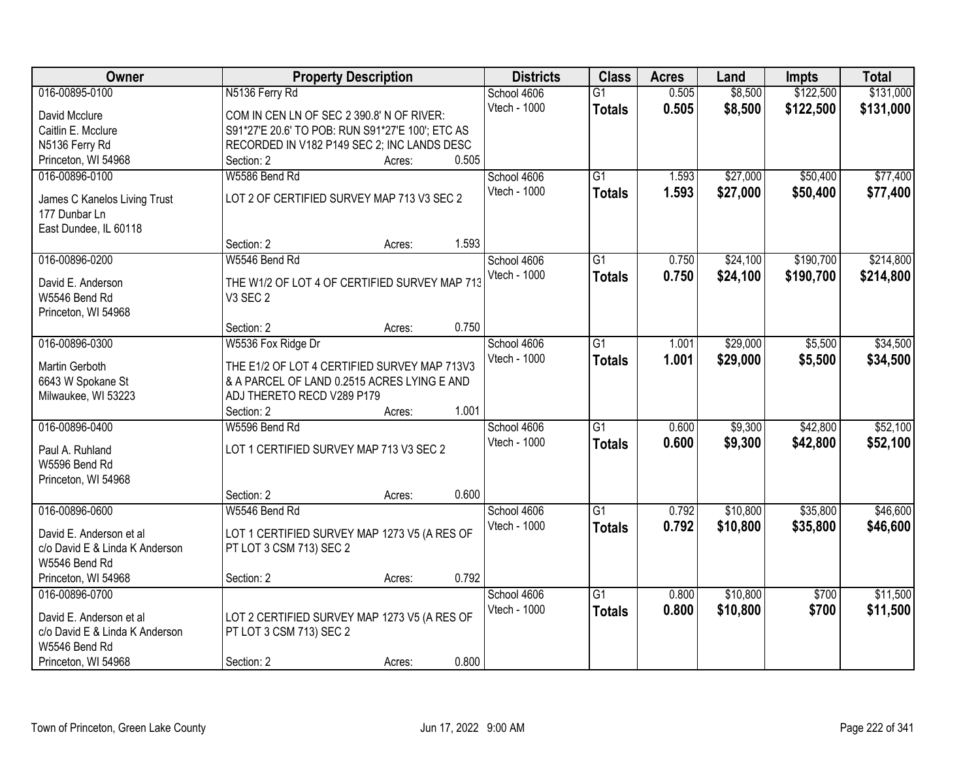| Owner                          | <b>Property Description</b>                      |        |       | <b>Districts</b> | <b>Class</b>    | <b>Acres</b> | Land     | <b>Impts</b> | <b>Total</b> |
|--------------------------------|--------------------------------------------------|--------|-------|------------------|-----------------|--------------|----------|--------------|--------------|
| 016-00895-0100                 | N5136 Ferry Rd                                   |        |       | School 4606      | $\overline{G1}$ | 0.505        | \$8,500  | \$122,500    | \$131,000    |
| David Mcclure                  | COM IN CEN LN OF SEC 2 390.8' N OF RIVER:        |        |       | Vtech - 1000     | <b>Totals</b>   | 0.505        | \$8,500  | \$122,500    | \$131,000    |
| Caitlin E. Mcclure             | S91*27'E 20.6' TO POB: RUN S91*27'E 100'; ETC AS |        |       |                  |                 |              |          |              |              |
| N5136 Ferry Rd                 | RECORDED IN V182 P149 SEC 2; INC LANDS DESC      |        |       |                  |                 |              |          |              |              |
| Princeton, WI 54968            | Section: 2                                       | Acres: | 0.505 |                  |                 |              |          |              |              |
| 016-00896-0100                 | W5586 Bend Rd                                    |        |       | School 4606      | $\overline{G1}$ | 1.593        | \$27,000 | \$50,400     | \$77,400     |
|                                |                                                  |        |       | Vtech - 1000     | <b>Totals</b>   | 1.593        | \$27,000 | \$50,400     | \$77,400     |
| James C Kanelos Living Trust   | LOT 2 OF CERTIFIED SURVEY MAP 713 V3 SEC 2       |        |       |                  |                 |              |          |              |              |
| 177 Dunbar Ln                  |                                                  |        |       |                  |                 |              |          |              |              |
| East Dundee, IL 60118          | Section: 2                                       | Acres: | 1.593 |                  |                 |              |          |              |              |
| 016-00896-0200                 | W5546 Bend Rd                                    |        |       | School 4606      | $\overline{G1}$ | 0.750        | \$24,100 | \$190,700    | \$214,800    |
|                                |                                                  |        |       | Vtech - 1000     |                 |              |          |              |              |
| David E. Anderson              | THE W1/2 OF LOT 4 OF CERTIFIED SURVEY MAP 713    |        |       |                  | <b>Totals</b>   | 0.750        | \$24,100 | \$190,700    | \$214,800    |
| W5546 Bend Rd                  | V3 SEC 2                                         |        |       |                  |                 |              |          |              |              |
| Princeton, WI 54968            |                                                  |        |       |                  |                 |              |          |              |              |
|                                | Section: 2                                       | Acres: | 0.750 |                  |                 |              |          |              |              |
| 016-00896-0300                 | W5536 Fox Ridge Dr                               |        |       | School 4606      | $\overline{G1}$ | 1.001        | \$29,000 | \$5,500      | \$34,500     |
| Martin Gerboth                 | THE E1/2 OF LOT 4 CERTIFIED SURVEY MAP 713V3     |        |       | Vtech - 1000     | <b>Totals</b>   | 1.001        | \$29,000 | \$5,500      | \$34,500     |
| 6643 W Spokane St              | & A PARCEL OF LAND 0.2515 ACRES LYING E AND      |        |       |                  |                 |              |          |              |              |
| Milwaukee, WI 53223            | ADJ THERETO RECD V289 P179                       |        |       |                  |                 |              |          |              |              |
|                                | Section: 2                                       | Acres: | 1.001 |                  |                 |              |          |              |              |
| 016-00896-0400                 | W5596 Bend Rd                                    |        |       | School 4606      | $\overline{G1}$ | 0.600        | \$9,300  | \$42,800     | \$52,100     |
|                                |                                                  |        |       | Vtech - 1000     | <b>Totals</b>   | 0.600        | \$9,300  | \$42,800     | \$52,100     |
| Paul A. Ruhland                | LOT 1 CERTIFIED SURVEY MAP 713 V3 SEC 2          |        |       |                  |                 |              |          |              |              |
| W5596 Bend Rd                  |                                                  |        |       |                  |                 |              |          |              |              |
| Princeton, WI 54968            |                                                  |        |       |                  |                 |              |          |              |              |
|                                | Section: 2                                       | Acres: | 0.600 |                  |                 |              |          |              |              |
| 016-00896-0600                 | W5546 Bend Rd                                    |        |       | School 4606      | $\overline{G1}$ | 0.792        | \$10,800 | \$35,800     | \$46,600     |
| David E. Anderson et al        | LOT 1 CERTIFIED SURVEY MAP 1273 V5 (A RES OF     |        |       | Vtech - 1000     | <b>Totals</b>   | 0.792        | \$10,800 | \$35,800     | \$46,600     |
| c/o David E & Linda K Anderson | PT LOT 3 CSM 713) SEC 2                          |        |       |                  |                 |              |          |              |              |
| W5546 Bend Rd                  |                                                  |        |       |                  |                 |              |          |              |              |
| Princeton, WI 54968            | Section: 2                                       | Acres: | 0.792 |                  |                 |              |          |              |              |
| 016-00896-0700                 |                                                  |        |       | School 4606      | $\overline{G1}$ | 0.800        | \$10,800 | \$700        | \$11,500     |
| David E. Anderson et al        | LOT 2 CERTIFIED SURVEY MAP 1273 V5 (A RES OF     |        |       | Vtech - 1000     | <b>Totals</b>   | 0.800        | \$10,800 | \$700        | \$11,500     |
| c/o David E & Linda K Anderson | PT LOT 3 CSM 713) SEC 2                          |        |       |                  |                 |              |          |              |              |
| W5546 Bend Rd                  |                                                  |        |       |                  |                 |              |          |              |              |
| Princeton, WI 54968            | Section: 2                                       | Acres: | 0.800 |                  |                 |              |          |              |              |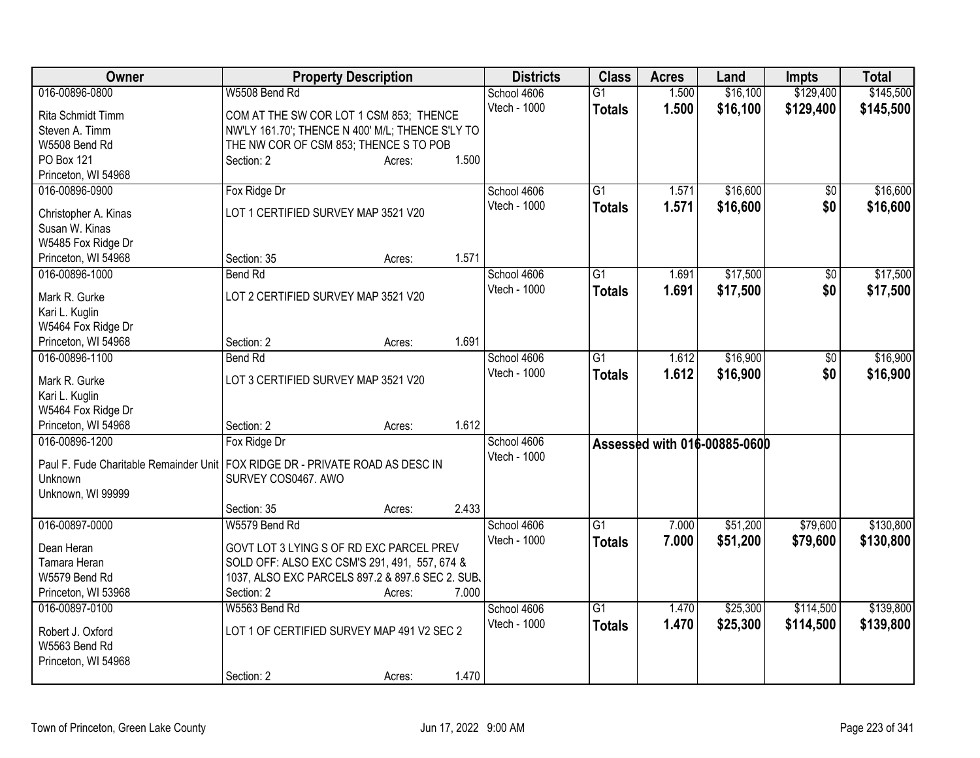| Owner                                                                           | <b>Property Description</b>                      |        |       | <b>Districts</b>            | <b>Class</b>    | <b>Acres</b> | Land                         | <b>Impts</b> | <b>Total</b> |
|---------------------------------------------------------------------------------|--------------------------------------------------|--------|-------|-----------------------------|-----------------|--------------|------------------------------|--------------|--------------|
| 016-00896-0800                                                                  | W5508 Bend Rd                                    |        |       | School 4606                 | $\overline{G1}$ | 1.500        | \$16,100                     | \$129,400    | \$145,500    |
| Rita Schmidt Timm                                                               | COM AT THE SW COR LOT 1 CSM 853; THENCE          |        |       | Vtech - 1000                | <b>Totals</b>   | 1.500        | \$16,100                     | \$129,400    | \$145,500    |
| Steven A. Timm                                                                  | NW'LY 161.70'; THENCE N 400' M/L; THENCE S'LY TO |        |       |                             |                 |              |                              |              |              |
| W5508 Bend Rd                                                                   | THE NW COR OF CSM 853; THENCE S TO POB           |        |       |                             |                 |              |                              |              |              |
| PO Box 121                                                                      | Section: 2                                       | Acres: | 1.500 |                             |                 |              |                              |              |              |
| Princeton, WI 54968                                                             |                                                  |        |       |                             |                 |              |                              |              |              |
| 016-00896-0900                                                                  | Fox Ridge Dr                                     |        |       | School 4606                 | $\overline{G1}$ | 1.571        | \$16,600                     | \$0          | \$16,600     |
|                                                                                 |                                                  |        |       | Vtech - 1000                | <b>Totals</b>   | 1.571        | \$16,600                     | \$0          | \$16,600     |
| Christopher A. Kinas                                                            | LOT 1 CERTIFIED SURVEY MAP 3521 V20              |        |       |                             |                 |              |                              |              |              |
| Susan W. Kinas                                                                  |                                                  |        |       |                             |                 |              |                              |              |              |
| W5485 Fox Ridge Dr<br>Princeton, WI 54968                                       | Section: 35                                      |        | 1.571 |                             |                 |              |                              |              |              |
| 016-00896-1000                                                                  |                                                  | Acres: |       |                             | $\overline{G1}$ |              | \$17,500                     |              | \$17,500     |
|                                                                                 | <b>Bend Rd</b>                                   |        |       | School 4606<br>Vtech - 1000 |                 | 1.691        |                              | \$0          |              |
| Mark R. Gurke                                                                   | LOT 2 CERTIFIED SURVEY MAP 3521 V20              |        |       |                             | <b>Totals</b>   | 1.691        | \$17,500                     | \$0          | \$17,500     |
| Kari L. Kuglin                                                                  |                                                  |        |       |                             |                 |              |                              |              |              |
| W5464 Fox Ridge Dr                                                              |                                                  |        |       |                             |                 |              |                              |              |              |
| Princeton, WI 54968                                                             | Section: 2                                       | Acres: | 1.691 |                             |                 |              |                              |              |              |
| 016-00896-1100                                                                  | <b>Bend Rd</b>                                   |        |       | School 4606                 | $\overline{G1}$ | 1.612        | \$16,900                     | \$0          | \$16,900     |
| Mark R. Gurke                                                                   | LOT 3 CERTIFIED SURVEY MAP 3521 V20              |        |       | Vtech - 1000                | <b>Totals</b>   | 1.612        | \$16,900                     | \$0          | \$16,900     |
| Kari L. Kuglin                                                                  |                                                  |        |       |                             |                 |              |                              |              |              |
| W5464 Fox Ridge Dr                                                              |                                                  |        |       |                             |                 |              |                              |              |              |
| Princeton, WI 54968                                                             | Section: 2                                       | Acres: | 1.612 |                             |                 |              |                              |              |              |
| 016-00896-1200                                                                  | Fox Ridge Dr                                     |        |       | School 4606                 |                 |              |                              |              |              |
|                                                                                 |                                                  |        |       | Vtech - 1000                |                 |              | Assessed with 016-00885-0600 |              |              |
| Paul F. Fude Charitable Remainder Unit   FOX RIDGE DR - PRIVATE ROAD AS DESC IN |                                                  |        |       |                             |                 |              |                              |              |              |
| Unknown                                                                         | SURVEY COS0467. AWO                              |        |       |                             |                 |              |                              |              |              |
| Unknown, WI 99999                                                               |                                                  |        |       |                             |                 |              |                              |              |              |
|                                                                                 | Section: 35                                      | Acres: | 2.433 |                             |                 |              |                              |              |              |
| 016-00897-0000                                                                  | W5579 Bend Rd                                    |        |       | School 4606                 | $\overline{G1}$ | 7.000        | \$51,200                     | \$79,600     | \$130,800    |
| Dean Heran                                                                      | GOVT LOT 3 LYING S OF RD EXC PARCEL PREV         |        |       | Vtech - 1000                | <b>Totals</b>   | 7.000        | \$51,200                     | \$79,600     | \$130,800    |
| Tamara Heran                                                                    | SOLD OFF: ALSO EXC CSM'S 291, 491, 557, 674 &    |        |       |                             |                 |              |                              |              |              |
| W5579 Bend Rd                                                                   | 1037, ALSO EXC PARCELS 897.2 & 897.6 SEC 2. SUB. |        |       |                             |                 |              |                              |              |              |
| Princeton, WI 53968                                                             | Section: 2                                       | Acres: | 7.000 |                             |                 |              |                              |              |              |
| 016-00897-0100                                                                  | W5563 Bend Rd                                    |        |       | School 4606                 | $\overline{G1}$ | 1.470        | \$25,300                     | \$114,500    | \$139,800    |
|                                                                                 |                                                  |        |       | Vtech - 1000                | <b>Totals</b>   | 1.470        | \$25,300                     | \$114,500    | \$139,800    |
| Robert J. Oxford                                                                | LOT 1 OF CERTIFIED SURVEY MAP 491 V2 SEC 2       |        |       |                             |                 |              |                              |              |              |
| W5563 Bend Rd                                                                   |                                                  |        |       |                             |                 |              |                              |              |              |
| Princeton, WI 54968                                                             |                                                  |        |       |                             |                 |              |                              |              |              |
|                                                                                 | Section: 2                                       | Acres: | 1.470 |                             |                 |              |                              |              |              |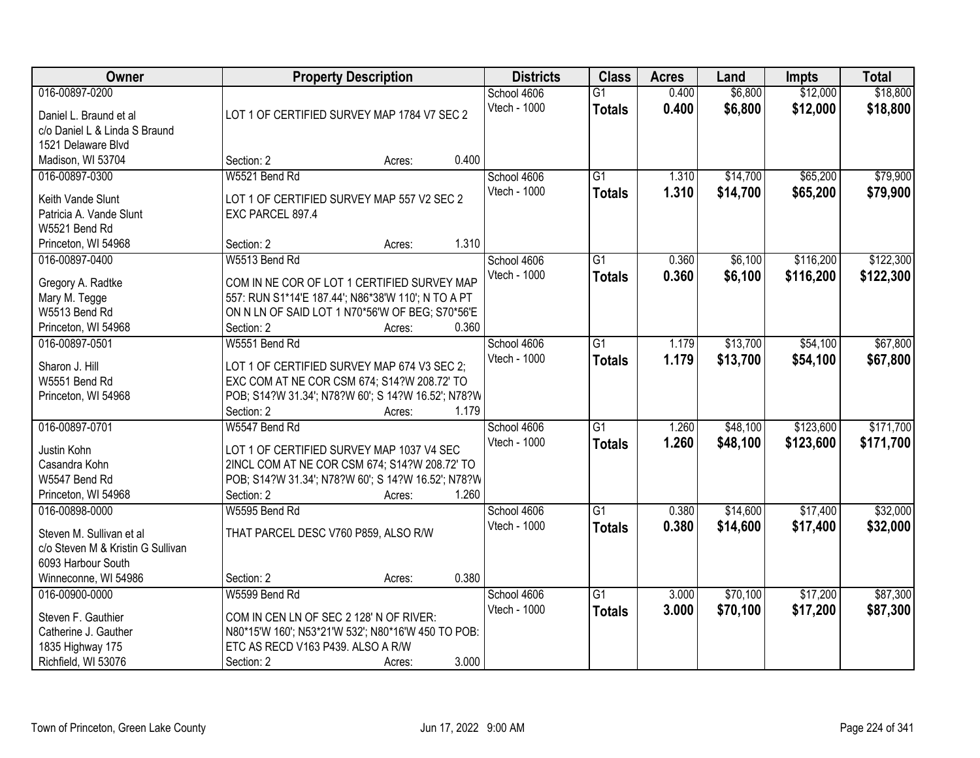| \$18,800<br>016-00897-0200<br>0.400<br>\$6,800<br>\$12,000<br>School 4606<br>$\overline{G1}$<br>Vtech - 1000<br>0.400<br>\$6,800<br>\$12,000<br>\$18,800<br><b>Totals</b><br>LOT 1 OF CERTIFIED SURVEY MAP 1784 V7 SEC 2<br>Daniel L. Braund et al<br>c/o Daniel L & Linda S Braund<br>1521 Delaware Blvd<br>0.400<br>Madison, WI 53704<br>Section: 2<br>Acres:<br>W5521 Bend Rd<br>\$65,200<br>016-00897-0300<br>$\overline{G1}$<br>\$14,700<br>School 4606<br>1.310<br>Vtech - 1000<br>1.310<br>\$14,700<br>\$65,200<br>\$79,900<br><b>Totals</b><br>Keith Vande Slunt<br>LOT 1 OF CERTIFIED SURVEY MAP 557 V2 SEC 2<br>Patricia A. Vande Slunt<br>EXC PARCEL 897.4<br>W5521 Bend Rd<br>1.310<br>Section: 2<br>Princeton, WI 54968<br>Acres:<br>\$6,100<br>\$116,200<br>016-00897-0400<br>W5513 Bend Rd<br>School 4606<br>$\overline{G1}$<br>0.360<br>Vtech - 1000<br>0.360<br>\$6,100<br>\$116,200<br><b>Totals</b><br>COM IN NE COR OF LOT 1 CERTIFIED SURVEY MAP<br>Gregory A. Radtke<br>Mary M. Tegge<br>557: RUN S1*14'E 187.44'; N86*38'W 110'; N TO A PT<br>W5513 Bend Rd<br>ON N LN OF SAID LOT 1 N70*56'W OF BEG; S70*56'E<br>Section: 2<br>0.360<br>Princeton, WI 54968<br>Acres:<br>016-00897-0501<br>W5551 Bend Rd<br>\$13,700<br>\$54,100<br>School 4606<br>G1<br>1.179<br>Vtech - 1000<br>1.179<br>\$13,700<br>\$54,100<br><b>Totals</b><br>Sharon J. Hill<br>LOT 1 OF CERTIFIED SURVEY MAP 674 V3 SEC 2;<br>W5551 Bend Rd<br>EXC COM AT NE COR CSM 674; S14?W 208.72' TO<br>POB; S14?W 31.34'; N78?W 60'; S 14?W 16.52'; N78?W<br>Princeton, WI 54968<br>1.179<br>Section: 2<br>Acres:<br>\$123,600<br>016-00897-0701<br>$\overline{G1}$<br>1.260<br>\$48,100<br>W5547 Bend Rd<br>School 4606<br>1.260<br>\$123,600<br>\$171,700<br>Vtech - 1000<br>\$48,100<br><b>Totals</b><br>Justin Kohn<br>LOT 1 OF CERTIFIED SURVEY MAP 1037 V4 SEC<br>2INCL COM AT NE COR CSM 674; S14?W 208.72' TO<br>Casandra Kohn<br>POB; S14?W 31.34'; N78?W 60'; S 14?W 16.52'; N78?W<br>W5547 Bend Rd<br>1.260<br>Princeton, WI 54968<br>Section: 2<br>Acres:<br>\$14,600<br>\$17,400<br>016-00898-0000<br>W5595 Bend Rd<br>$\overline{G1}$<br>0.380<br>School 4606<br>Vtech - 1000<br>0.380<br>\$14,600<br>\$17,400<br><b>Totals</b><br>Steven M. Sullivan et al<br>THAT PARCEL DESC V760 P859, ALSO R/W<br>c/o Steven M & Kristin G Sullivan<br>6093 Harbour South<br>0.380<br>Winneconne, WI 54986<br>Section: 2<br>Acres:<br>016-00900-0000<br>W5599 Bend Rd<br>$\overline{G1}$<br>\$70,100<br>\$17,200<br>School 4606<br>3.000<br>Vtech - 1000<br>3.000<br>\$17,200<br>\$70,100<br>\$87,300<br><b>Totals</b><br>Steven F. Gauthier<br>COM IN CEN LN OF SEC 2 128' N OF RIVER:<br>Catherine J. Gauther<br>N80*15'W 160'; N53*21'W 532'; N80*16'W 450 TO POB:<br>1835 Highway 175<br>ETC AS RECD V163 P439. ALSO A R/W | Owner               |            | <b>Property Description</b> |       | <b>Districts</b> | <b>Class</b> | <b>Acres</b> | Land | <b>Impts</b> | <b>Total</b> |
|-------------------------------------------------------------------------------------------------------------------------------------------------------------------------------------------------------------------------------------------------------------------------------------------------------------------------------------------------------------------------------------------------------------------------------------------------------------------------------------------------------------------------------------------------------------------------------------------------------------------------------------------------------------------------------------------------------------------------------------------------------------------------------------------------------------------------------------------------------------------------------------------------------------------------------------------------------------------------------------------------------------------------------------------------------------------------------------------------------------------------------------------------------------------------------------------------------------------------------------------------------------------------------------------------------------------------------------------------------------------------------------------------------------------------------------------------------------------------------------------------------------------------------------------------------------------------------------------------------------------------------------------------------------------------------------------------------------------------------------------------------------------------------------------------------------------------------------------------------------------------------------------------------------------------------------------------------------------------------------------------------------------------------------------------------------------------------------------------------------------------------------------------------------------------------------------------------------------------------------------------------------------------------------------------------------------------------------------------------------------------------------------------------------------------------------------------------------------------------------------------------------------------------------------------------------------------------------------------------------------------------------------------------------------------------------------------------------------------------------------------------------------------------------------------------------------------|---------------------|------------|-----------------------------|-------|------------------|--------------|--------------|------|--------------|--------------|
|                                                                                                                                                                                                                                                                                                                                                                                                                                                                                                                                                                                                                                                                                                                                                                                                                                                                                                                                                                                                                                                                                                                                                                                                                                                                                                                                                                                                                                                                                                                                                                                                                                                                                                                                                                                                                                                                                                                                                                                                                                                                                                                                                                                                                                                                                                                                                                                                                                                                                                                                                                                                                                                                                                                                                                                                                         |                     |            |                             |       |                  |              |              |      |              |              |
|                                                                                                                                                                                                                                                                                                                                                                                                                                                                                                                                                                                                                                                                                                                                                                                                                                                                                                                                                                                                                                                                                                                                                                                                                                                                                                                                                                                                                                                                                                                                                                                                                                                                                                                                                                                                                                                                                                                                                                                                                                                                                                                                                                                                                                                                                                                                                                                                                                                                                                                                                                                                                                                                                                                                                                                                                         |                     |            |                             |       |                  |              |              |      |              |              |
| \$79,900<br>\$122,300<br>\$122,300                                                                                                                                                                                                                                                                                                                                                                                                                                                                                                                                                                                                                                                                                                                                                                                                                                                                                                                                                                                                                                                                                                                                                                                                                                                                                                                                                                                                                                                                                                                                                                                                                                                                                                                                                                                                                                                                                                                                                                                                                                                                                                                                                                                                                                                                                                                                                                                                                                                                                                                                                                                                                                                                                                                                                                                      |                     |            |                             |       |                  |              |              |      |              |              |
|                                                                                                                                                                                                                                                                                                                                                                                                                                                                                                                                                                                                                                                                                                                                                                                                                                                                                                                                                                                                                                                                                                                                                                                                                                                                                                                                                                                                                                                                                                                                                                                                                                                                                                                                                                                                                                                                                                                                                                                                                                                                                                                                                                                                                                                                                                                                                                                                                                                                                                                                                                                                                                                                                                                                                                                                                         |                     |            |                             |       |                  |              |              |      |              |              |
|                                                                                                                                                                                                                                                                                                                                                                                                                                                                                                                                                                                                                                                                                                                                                                                                                                                                                                                                                                                                                                                                                                                                                                                                                                                                                                                                                                                                                                                                                                                                                                                                                                                                                                                                                                                                                                                                                                                                                                                                                                                                                                                                                                                                                                                                                                                                                                                                                                                                                                                                                                                                                                                                                                                                                                                                                         |                     |            |                             |       |                  |              |              |      |              |              |
|                                                                                                                                                                                                                                                                                                                                                                                                                                                                                                                                                                                                                                                                                                                                                                                                                                                                                                                                                                                                                                                                                                                                                                                                                                                                                                                                                                                                                                                                                                                                                                                                                                                                                                                                                                                                                                                                                                                                                                                                                                                                                                                                                                                                                                                                                                                                                                                                                                                                                                                                                                                                                                                                                                                                                                                                                         |                     |            |                             |       |                  |              |              |      |              |              |
|                                                                                                                                                                                                                                                                                                                                                                                                                                                                                                                                                                                                                                                                                                                                                                                                                                                                                                                                                                                                                                                                                                                                                                                                                                                                                                                                                                                                                                                                                                                                                                                                                                                                                                                                                                                                                                                                                                                                                                                                                                                                                                                                                                                                                                                                                                                                                                                                                                                                                                                                                                                                                                                                                                                                                                                                                         |                     |            |                             |       |                  |              |              |      |              |              |
|                                                                                                                                                                                                                                                                                                                                                                                                                                                                                                                                                                                                                                                                                                                                                                                                                                                                                                                                                                                                                                                                                                                                                                                                                                                                                                                                                                                                                                                                                                                                                                                                                                                                                                                                                                                                                                                                                                                                                                                                                                                                                                                                                                                                                                                                                                                                                                                                                                                                                                                                                                                                                                                                                                                                                                                                                         |                     |            |                             |       |                  |              |              |      |              |              |
|                                                                                                                                                                                                                                                                                                                                                                                                                                                                                                                                                                                                                                                                                                                                                                                                                                                                                                                                                                                                                                                                                                                                                                                                                                                                                                                                                                                                                                                                                                                                                                                                                                                                                                                                                                                                                                                                                                                                                                                                                                                                                                                                                                                                                                                                                                                                                                                                                                                                                                                                                                                                                                                                                                                                                                                                                         |                     |            |                             |       |                  |              |              |      |              |              |
|                                                                                                                                                                                                                                                                                                                                                                                                                                                                                                                                                                                                                                                                                                                                                                                                                                                                                                                                                                                                                                                                                                                                                                                                                                                                                                                                                                                                                                                                                                                                                                                                                                                                                                                                                                                                                                                                                                                                                                                                                                                                                                                                                                                                                                                                                                                                                                                                                                                                                                                                                                                                                                                                                                                                                                                                                         |                     |            |                             |       |                  |              |              |      |              |              |
|                                                                                                                                                                                                                                                                                                                                                                                                                                                                                                                                                                                                                                                                                                                                                                                                                                                                                                                                                                                                                                                                                                                                                                                                                                                                                                                                                                                                                                                                                                                                                                                                                                                                                                                                                                                                                                                                                                                                                                                                                                                                                                                                                                                                                                                                                                                                                                                                                                                                                                                                                                                                                                                                                                                                                                                                                         |                     |            |                             |       |                  |              |              |      |              |              |
| \$67,800<br>\$67,800<br>\$171,700<br>\$32,000<br>\$32,000<br>\$87,300                                                                                                                                                                                                                                                                                                                                                                                                                                                                                                                                                                                                                                                                                                                                                                                                                                                                                                                                                                                                                                                                                                                                                                                                                                                                                                                                                                                                                                                                                                                                                                                                                                                                                                                                                                                                                                                                                                                                                                                                                                                                                                                                                                                                                                                                                                                                                                                                                                                                                                                                                                                                                                                                                                                                                   |                     |            |                             |       |                  |              |              |      |              |              |
|                                                                                                                                                                                                                                                                                                                                                                                                                                                                                                                                                                                                                                                                                                                                                                                                                                                                                                                                                                                                                                                                                                                                                                                                                                                                                                                                                                                                                                                                                                                                                                                                                                                                                                                                                                                                                                                                                                                                                                                                                                                                                                                                                                                                                                                                                                                                                                                                                                                                                                                                                                                                                                                                                                                                                                                                                         |                     |            |                             |       |                  |              |              |      |              |              |
|                                                                                                                                                                                                                                                                                                                                                                                                                                                                                                                                                                                                                                                                                                                                                                                                                                                                                                                                                                                                                                                                                                                                                                                                                                                                                                                                                                                                                                                                                                                                                                                                                                                                                                                                                                                                                                                                                                                                                                                                                                                                                                                                                                                                                                                                                                                                                                                                                                                                                                                                                                                                                                                                                                                                                                                                                         |                     |            |                             |       |                  |              |              |      |              |              |
|                                                                                                                                                                                                                                                                                                                                                                                                                                                                                                                                                                                                                                                                                                                                                                                                                                                                                                                                                                                                                                                                                                                                                                                                                                                                                                                                                                                                                                                                                                                                                                                                                                                                                                                                                                                                                                                                                                                                                                                                                                                                                                                                                                                                                                                                                                                                                                                                                                                                                                                                                                                                                                                                                                                                                                                                                         |                     |            |                             |       |                  |              |              |      |              |              |
|                                                                                                                                                                                                                                                                                                                                                                                                                                                                                                                                                                                                                                                                                                                                                                                                                                                                                                                                                                                                                                                                                                                                                                                                                                                                                                                                                                                                                                                                                                                                                                                                                                                                                                                                                                                                                                                                                                                                                                                                                                                                                                                                                                                                                                                                                                                                                                                                                                                                                                                                                                                                                                                                                                                                                                                                                         |                     |            |                             |       |                  |              |              |      |              |              |
|                                                                                                                                                                                                                                                                                                                                                                                                                                                                                                                                                                                                                                                                                                                                                                                                                                                                                                                                                                                                                                                                                                                                                                                                                                                                                                                                                                                                                                                                                                                                                                                                                                                                                                                                                                                                                                                                                                                                                                                                                                                                                                                                                                                                                                                                                                                                                                                                                                                                                                                                                                                                                                                                                                                                                                                                                         |                     |            |                             |       |                  |              |              |      |              |              |
|                                                                                                                                                                                                                                                                                                                                                                                                                                                                                                                                                                                                                                                                                                                                                                                                                                                                                                                                                                                                                                                                                                                                                                                                                                                                                                                                                                                                                                                                                                                                                                                                                                                                                                                                                                                                                                                                                                                                                                                                                                                                                                                                                                                                                                                                                                                                                                                                                                                                                                                                                                                                                                                                                                                                                                                                                         |                     |            |                             |       |                  |              |              |      |              |              |
|                                                                                                                                                                                                                                                                                                                                                                                                                                                                                                                                                                                                                                                                                                                                                                                                                                                                                                                                                                                                                                                                                                                                                                                                                                                                                                                                                                                                                                                                                                                                                                                                                                                                                                                                                                                                                                                                                                                                                                                                                                                                                                                                                                                                                                                                                                                                                                                                                                                                                                                                                                                                                                                                                                                                                                                                                         |                     |            |                             |       |                  |              |              |      |              |              |
|                                                                                                                                                                                                                                                                                                                                                                                                                                                                                                                                                                                                                                                                                                                                                                                                                                                                                                                                                                                                                                                                                                                                                                                                                                                                                                                                                                                                                                                                                                                                                                                                                                                                                                                                                                                                                                                                                                                                                                                                                                                                                                                                                                                                                                                                                                                                                                                                                                                                                                                                                                                                                                                                                                                                                                                                                         |                     |            |                             |       |                  |              |              |      |              |              |
|                                                                                                                                                                                                                                                                                                                                                                                                                                                                                                                                                                                                                                                                                                                                                                                                                                                                                                                                                                                                                                                                                                                                                                                                                                                                                                                                                                                                                                                                                                                                                                                                                                                                                                                                                                                                                                                                                                                                                                                                                                                                                                                                                                                                                                                                                                                                                                                                                                                                                                                                                                                                                                                                                                                                                                                                                         |                     |            |                             |       |                  |              |              |      |              |              |
|                                                                                                                                                                                                                                                                                                                                                                                                                                                                                                                                                                                                                                                                                                                                                                                                                                                                                                                                                                                                                                                                                                                                                                                                                                                                                                                                                                                                                                                                                                                                                                                                                                                                                                                                                                                                                                                                                                                                                                                                                                                                                                                                                                                                                                                                                                                                                                                                                                                                                                                                                                                                                                                                                                                                                                                                                         |                     |            |                             |       |                  |              |              |      |              |              |
|                                                                                                                                                                                                                                                                                                                                                                                                                                                                                                                                                                                                                                                                                                                                                                                                                                                                                                                                                                                                                                                                                                                                                                                                                                                                                                                                                                                                                                                                                                                                                                                                                                                                                                                                                                                                                                                                                                                                                                                                                                                                                                                                                                                                                                                                                                                                                                                                                                                                                                                                                                                                                                                                                                                                                                                                                         |                     |            |                             |       |                  |              |              |      |              |              |
|                                                                                                                                                                                                                                                                                                                                                                                                                                                                                                                                                                                                                                                                                                                                                                                                                                                                                                                                                                                                                                                                                                                                                                                                                                                                                                                                                                                                                                                                                                                                                                                                                                                                                                                                                                                                                                                                                                                                                                                                                                                                                                                                                                                                                                                                                                                                                                                                                                                                                                                                                                                                                                                                                                                                                                                                                         |                     |            |                             |       |                  |              |              |      |              |              |
|                                                                                                                                                                                                                                                                                                                                                                                                                                                                                                                                                                                                                                                                                                                                                                                                                                                                                                                                                                                                                                                                                                                                                                                                                                                                                                                                                                                                                                                                                                                                                                                                                                                                                                                                                                                                                                                                                                                                                                                                                                                                                                                                                                                                                                                                                                                                                                                                                                                                                                                                                                                                                                                                                                                                                                                                                         |                     |            |                             |       |                  |              |              |      |              |              |
|                                                                                                                                                                                                                                                                                                                                                                                                                                                                                                                                                                                                                                                                                                                                                                                                                                                                                                                                                                                                                                                                                                                                                                                                                                                                                                                                                                                                                                                                                                                                                                                                                                                                                                                                                                                                                                                                                                                                                                                                                                                                                                                                                                                                                                                                                                                                                                                                                                                                                                                                                                                                                                                                                                                                                                                                                         |                     |            |                             |       |                  |              |              |      |              |              |
|                                                                                                                                                                                                                                                                                                                                                                                                                                                                                                                                                                                                                                                                                                                                                                                                                                                                                                                                                                                                                                                                                                                                                                                                                                                                                                                                                                                                                                                                                                                                                                                                                                                                                                                                                                                                                                                                                                                                                                                                                                                                                                                                                                                                                                                                                                                                                                                                                                                                                                                                                                                                                                                                                                                                                                                                                         |                     |            |                             |       |                  |              |              |      |              |              |
|                                                                                                                                                                                                                                                                                                                                                                                                                                                                                                                                                                                                                                                                                                                                                                                                                                                                                                                                                                                                                                                                                                                                                                                                                                                                                                                                                                                                                                                                                                                                                                                                                                                                                                                                                                                                                                                                                                                                                                                                                                                                                                                                                                                                                                                                                                                                                                                                                                                                                                                                                                                                                                                                                                                                                                                                                         |                     |            |                             |       |                  |              |              |      |              |              |
|                                                                                                                                                                                                                                                                                                                                                                                                                                                                                                                                                                                                                                                                                                                                                                                                                                                                                                                                                                                                                                                                                                                                                                                                                                                                                                                                                                                                                                                                                                                                                                                                                                                                                                                                                                                                                                                                                                                                                                                                                                                                                                                                                                                                                                                                                                                                                                                                                                                                                                                                                                                                                                                                                                                                                                                                                         |                     |            |                             |       |                  |              |              |      |              |              |
|                                                                                                                                                                                                                                                                                                                                                                                                                                                                                                                                                                                                                                                                                                                                                                                                                                                                                                                                                                                                                                                                                                                                                                                                                                                                                                                                                                                                                                                                                                                                                                                                                                                                                                                                                                                                                                                                                                                                                                                                                                                                                                                                                                                                                                                                                                                                                                                                                                                                                                                                                                                                                                                                                                                                                                                                                         |                     |            |                             |       |                  |              |              |      |              |              |
|                                                                                                                                                                                                                                                                                                                                                                                                                                                                                                                                                                                                                                                                                                                                                                                                                                                                                                                                                                                                                                                                                                                                                                                                                                                                                                                                                                                                                                                                                                                                                                                                                                                                                                                                                                                                                                                                                                                                                                                                                                                                                                                                                                                                                                                                                                                                                                                                                                                                                                                                                                                                                                                                                                                                                                                                                         |                     |            |                             |       |                  |              |              |      |              |              |
|                                                                                                                                                                                                                                                                                                                                                                                                                                                                                                                                                                                                                                                                                                                                                                                                                                                                                                                                                                                                                                                                                                                                                                                                                                                                                                                                                                                                                                                                                                                                                                                                                                                                                                                                                                                                                                                                                                                                                                                                                                                                                                                                                                                                                                                                                                                                                                                                                                                                                                                                                                                                                                                                                                                                                                                                                         |                     |            |                             |       |                  |              |              |      |              |              |
|                                                                                                                                                                                                                                                                                                                                                                                                                                                                                                                                                                                                                                                                                                                                                                                                                                                                                                                                                                                                                                                                                                                                                                                                                                                                                                                                                                                                                                                                                                                                                                                                                                                                                                                                                                                                                                                                                                                                                                                                                                                                                                                                                                                                                                                                                                                                                                                                                                                                                                                                                                                                                                                                                                                                                                                                                         |                     |            |                             |       |                  |              |              |      |              |              |
|                                                                                                                                                                                                                                                                                                                                                                                                                                                                                                                                                                                                                                                                                                                                                                                                                                                                                                                                                                                                                                                                                                                                                                                                                                                                                                                                                                                                                                                                                                                                                                                                                                                                                                                                                                                                                                                                                                                                                                                                                                                                                                                                                                                                                                                                                                                                                                                                                                                                                                                                                                                                                                                                                                                                                                                                                         |                     |            |                             |       |                  |              |              |      |              |              |
|                                                                                                                                                                                                                                                                                                                                                                                                                                                                                                                                                                                                                                                                                                                                                                                                                                                                                                                                                                                                                                                                                                                                                                                                                                                                                                                                                                                                                                                                                                                                                                                                                                                                                                                                                                                                                                                                                                                                                                                                                                                                                                                                                                                                                                                                                                                                                                                                                                                                                                                                                                                                                                                                                                                                                                                                                         |                     |            |                             |       |                  |              |              |      |              |              |
|                                                                                                                                                                                                                                                                                                                                                                                                                                                                                                                                                                                                                                                                                                                                                                                                                                                                                                                                                                                                                                                                                                                                                                                                                                                                                                                                                                                                                                                                                                                                                                                                                                                                                                                                                                                                                                                                                                                                                                                                                                                                                                                                                                                                                                                                                                                                                                                                                                                                                                                                                                                                                                                                                                                                                                                                                         | Richfield, WI 53076 | Section: 2 | Acres:                      | 3.000 |                  |              |              |      |              |              |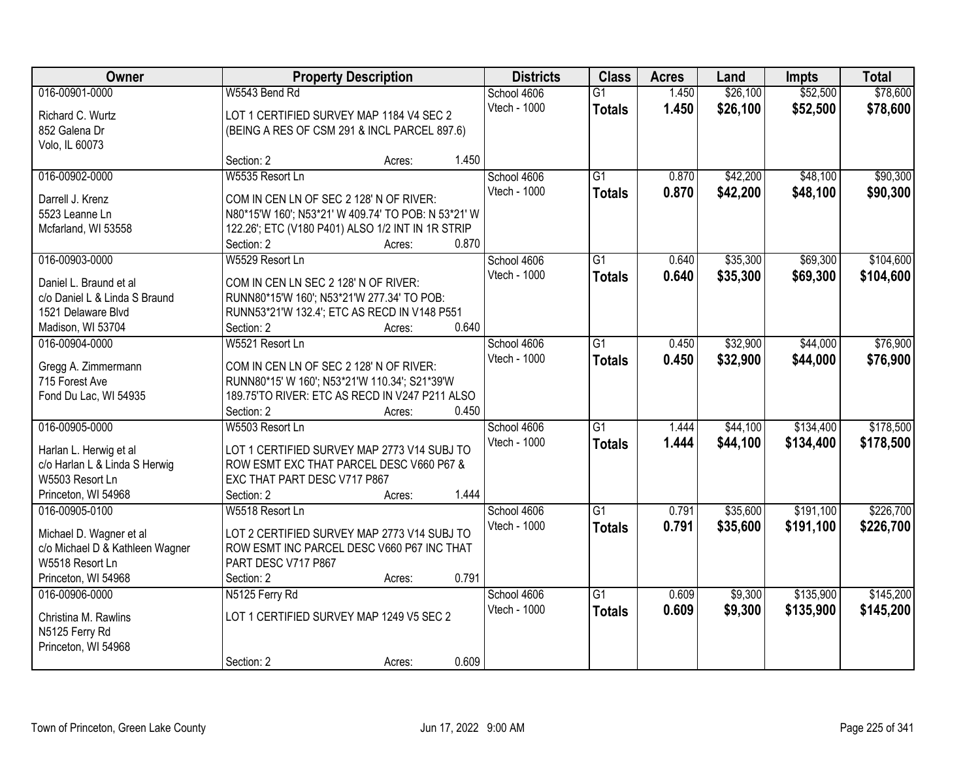| Owner                                              |                                                                   | <b>Property Description</b> |       | <b>Districts</b> | <b>Class</b>    | <b>Acres</b> | Land     | <b>Impts</b> | <b>Total</b> |
|----------------------------------------------------|-------------------------------------------------------------------|-----------------------------|-------|------------------|-----------------|--------------|----------|--------------|--------------|
| 016-00901-0000                                     | W5543 Bend Rd                                                     |                             |       | School 4606      | $\overline{G1}$ | 1.450        | \$26,100 | \$52,500     | \$78,600     |
| Richard C. Wurtz                                   | LOT 1 CERTIFIED SURVEY MAP 1184 V4 SEC 2                          |                             |       | Vtech - 1000     | <b>Totals</b>   | 1.450        | \$26,100 | \$52,500     | \$78,600     |
| 852 Galena Dr                                      | (BEING A RES OF CSM 291 & INCL PARCEL 897.6)                      |                             |       |                  |                 |              |          |              |              |
| Volo, IL 60073                                     |                                                                   |                             |       |                  |                 |              |          |              |              |
|                                                    | Section: 2                                                        | Acres:                      | 1.450 |                  |                 |              |          |              |              |
| 016-00902-0000                                     | W5535 Resort Ln                                                   |                             |       | School 4606      | $\overline{G1}$ | 0.870        | \$42,200 | \$48,100     | \$90,300     |
|                                                    |                                                                   |                             |       | Vtech - 1000     | <b>Totals</b>   | 0.870        | \$42,200 | \$48,100     | \$90,300     |
| Darrell J. Krenz<br>5523 Leanne Ln                 | COM IN CEN LN OF SEC 2 128' N OF RIVER:                           |                             |       |                  |                 |              |          |              |              |
|                                                    | N80*15'W 160'; N53*21' W 409.74' TO POB: N 53*21' W               |                             |       |                  |                 |              |          |              |              |
| Mcfarland, WI 53558                                | 122.26'; ETC (V180 P401) ALSO 1/2 INT IN 1R STRIP                 |                             | 0.870 |                  |                 |              |          |              |              |
|                                                    | Section: 2                                                        | Acres:                      |       |                  |                 | 0.640        |          | \$69,300     | \$104,600    |
| 016-00903-0000                                     | W5529 Resort Ln                                                   |                             |       | School 4606      | G <sub>1</sub>  |              | \$35,300 |              |              |
| Daniel L. Braund et al                             | COM IN CEN LN SEC 2 128' N OF RIVER:                              |                             |       | Vtech - 1000     | <b>Totals</b>   | 0.640        | \$35,300 | \$69,300     | \$104,600    |
| c/o Daniel L & Linda S Braund                      | RUNN80*15'W 160'; N53*21'W 277.34' TO POB:                        |                             |       |                  |                 |              |          |              |              |
| 1521 Delaware Blvd                                 | RUNN53*21'W 132.4'; ETC AS RECD IN V148 P551                      |                             |       |                  |                 |              |          |              |              |
| Madison, WI 53704                                  | Section: 2                                                        | Acres:                      | 0.640 |                  |                 |              |          |              |              |
| 016-00904-0000                                     | W5521 Resort Ln                                                   |                             |       | School 4606      | G1              | 0.450        | \$32,900 | \$44,000     | \$76,900     |
|                                                    |                                                                   |                             |       | Vtech - 1000     | <b>Totals</b>   | 0.450        | \$32,900 | \$44,000     | \$76,900     |
| Gregg A. Zimmermann                                | COM IN CEN LN OF SEC 2 128' N OF RIVER:                           |                             |       |                  |                 |              |          |              |              |
| 715 Forest Ave                                     | RUNN80*15' W 160'; N53*21'W 110.34'; S21*39'W                     |                             |       |                  |                 |              |          |              |              |
| Fond Du Lac, WI 54935                              | 189.75'TO RIVER: ETC AS RECD IN V247 P211 ALSO                    |                             | 0.450 |                  |                 |              |          |              |              |
|                                                    | Section: 2                                                        | Acres:                      |       |                  |                 |              |          |              |              |
| 016-00905-0000                                     | W5503 Resort Ln                                                   |                             |       | School 4606      | $\overline{G1}$ | 1.444        | \$44,100 | \$134,400    | \$178,500    |
| Harlan L. Herwig et al                             | LOT 1 CERTIFIED SURVEY MAP 2773 V14 SUBJ TO                       |                             |       | Vtech - 1000     | <b>Totals</b>   | 1.444        | \$44,100 | \$134,400    | \$178,500    |
| c/o Harlan L & Linda S Herwig                      | ROW ESMT EXC THAT PARCEL DESC V660 P67 &                          |                             |       |                  |                 |              |          |              |              |
| W5503 Resort Ln                                    | EXC THAT PART DESC V717 P867                                      |                             |       |                  |                 |              |          |              |              |
| Princeton, WI 54968                                | Section: 2                                                        | Acres:                      | 1.444 |                  |                 |              |          |              |              |
| 016-00905-0100                                     | W5518 Resort Ln                                                   |                             |       | School 4606      | $\overline{G1}$ | 0.791        | \$35,600 | \$191,100    | \$226,700    |
|                                                    | LOT 2 CERTIFIED SURVEY MAP 2773 V14 SUBJ TO                       |                             |       | Vtech - 1000     | <b>Totals</b>   | 0.791        | \$35,600 | \$191,100    | \$226,700    |
| Michael D. Wagner et al                            |                                                                   |                             |       |                  |                 |              |          |              |              |
| c/o Michael D & Kathleen Wagner<br>W5518 Resort Ln | ROW ESMT INC PARCEL DESC V660 P67 INC THAT<br>PART DESC V717 P867 |                             |       |                  |                 |              |          |              |              |
| Princeton, WI 54968                                | Section: 2                                                        | Acres:                      | 0.791 |                  |                 |              |          |              |              |
| 016-00906-0000                                     |                                                                   |                             |       | School 4606      | $\overline{G1}$ | 0.609        | \$9,300  | \$135,900    | \$145,200    |
|                                                    | N5125 Ferry Rd                                                    |                             |       | Vtech - 1000     |                 |              |          |              |              |
| Christina M. Rawlins                               | LOT 1 CERTIFIED SURVEY MAP 1249 V5 SEC 2                          |                             |       |                  | <b>Totals</b>   | 0.609        | \$9,300  | \$135,900    | \$145,200    |
| N5125 Ferry Rd                                     |                                                                   |                             |       |                  |                 |              |          |              |              |
| Princeton, WI 54968                                |                                                                   |                             |       |                  |                 |              |          |              |              |
|                                                    | Section: 2                                                        | Acres:                      | 0.609 |                  |                 |              |          |              |              |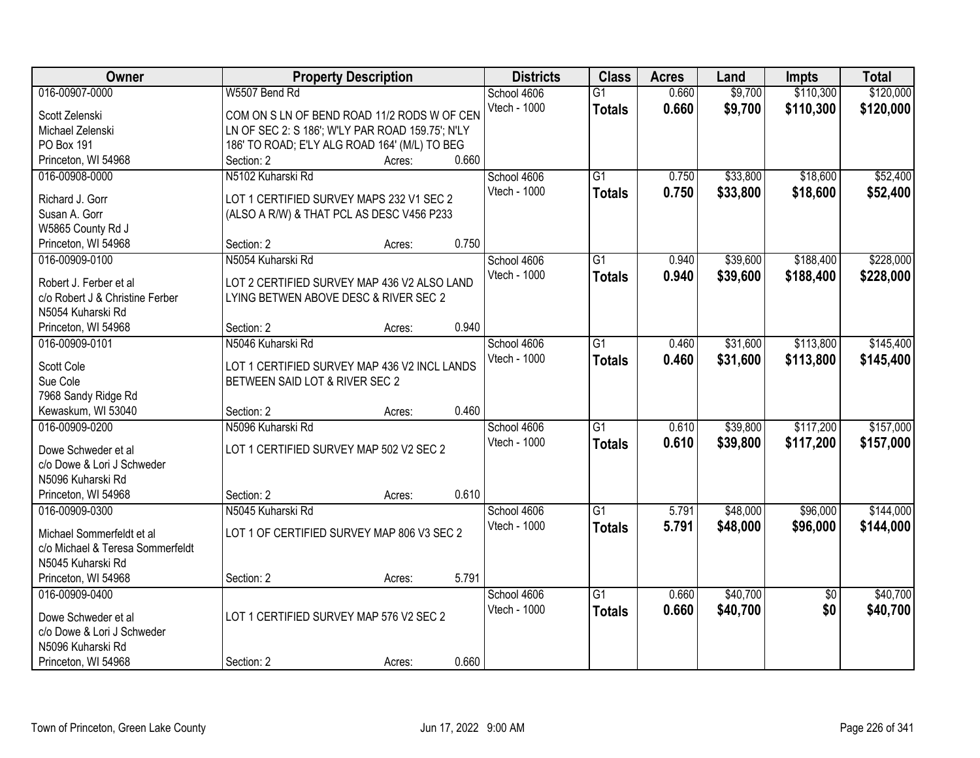| Owner                                    |                                                  | <b>Property Description</b> |       | <b>Districts</b> | <b>Class</b>    | <b>Acres</b> | Land     | <b>Impts</b>    | <b>Total</b> |
|------------------------------------------|--------------------------------------------------|-----------------------------|-------|------------------|-----------------|--------------|----------|-----------------|--------------|
| 016-00907-0000                           | W5507 Bend Rd                                    |                             |       | School 4606      | $\overline{G1}$ | 0.660        | \$9,700  | \$110,300       | \$120,000    |
| Scott Zelenski                           | COM ON S LN OF BEND ROAD 11/2 RODS W OF CEN      |                             |       | Vtech - 1000     | <b>Totals</b>   | 0.660        | \$9,700  | \$110,300       | \$120,000    |
| Michael Zelenski                         | LN OF SEC 2: S 186'; W'LY PAR ROAD 159.75'; N'LY |                             |       |                  |                 |              |          |                 |              |
| PO Box 191                               | 186' TO ROAD; E'LY ALG ROAD 164' (M/L) TO BEG    |                             |       |                  |                 |              |          |                 |              |
| Princeton, WI 54968                      | Section: 2                                       | Acres:                      | 0.660 |                  |                 |              |          |                 |              |
| 016-00908-0000                           | N5102 Kuharski Rd                                |                             |       | School 4606      | $\overline{G1}$ | 0.750        | \$33,800 | \$18,600        | \$52,400     |
|                                          |                                                  |                             |       | Vtech - 1000     | <b>Totals</b>   | 0.750        | \$33,800 | \$18,600        | \$52,400     |
| Richard J. Gorr                          | LOT 1 CERTIFIED SURVEY MAPS 232 V1 SEC 2         |                             |       |                  |                 |              |          |                 |              |
| Susan A. Gorr                            | (ALSO A R/W) & THAT PCL AS DESC V456 P233        |                             |       |                  |                 |              |          |                 |              |
| W5865 County Rd J<br>Princeton, WI 54968 | Section: 2                                       | Acres:                      | 0.750 |                  |                 |              |          |                 |              |
| 016-00909-0100                           | N5054 Kuharski Rd                                |                             |       | School 4606      | $\overline{G1}$ | 0.940        | \$39,600 | \$188,400       | \$228,000    |
|                                          |                                                  |                             |       | Vtech - 1000     |                 |              |          |                 |              |
| Robert J. Ferber et al                   | LOT 2 CERTIFIED SURVEY MAP 436 V2 ALSO LAND      |                             |       |                  | <b>Totals</b>   | 0.940        | \$39,600 | \$188,400       | \$228,000    |
| c/o Robert J & Christine Ferber          | LYING BETWEN ABOVE DESC & RIVER SEC 2            |                             |       |                  |                 |              |          |                 |              |
| N5054 Kuharski Rd                        |                                                  |                             |       |                  |                 |              |          |                 |              |
| Princeton, WI 54968                      | Section: 2                                       | Acres:                      | 0.940 |                  |                 |              |          |                 |              |
| 016-00909-0101                           | N5046 Kuharski Rd                                |                             |       | School 4606      | $\overline{G1}$ | 0.460        | \$31,600 | \$113,800       | \$145,400    |
| Scott Cole                               | LOT 1 CERTIFIED SURVEY MAP 436 V2 INCL LANDS     |                             |       | Vtech - 1000     | <b>Totals</b>   | 0.460        | \$31,600 | \$113,800       | \$145,400    |
| Sue Cole                                 | BETWEEN SAID LOT & RIVER SEC 2                   |                             |       |                  |                 |              |          |                 |              |
| 7968 Sandy Ridge Rd                      |                                                  |                             |       |                  |                 |              |          |                 |              |
| Kewaskum, WI 53040                       | Section: 2                                       | Acres:                      | 0.460 |                  |                 |              |          |                 |              |
| 016-00909-0200                           | N5096 Kuharski Rd                                |                             |       | School 4606      | $\overline{G1}$ | 0.610        | \$39,800 | \$117,200       | \$157,000    |
|                                          |                                                  |                             |       | Vtech - 1000     | <b>Totals</b>   | 0.610        | \$39,800 | \$117,200       | \$157,000    |
| Dowe Schweder et al                      | LOT 1 CERTIFIED SURVEY MAP 502 V2 SEC 2          |                             |       |                  |                 |              |          |                 |              |
| c/o Dowe & Lori J Schweder               |                                                  |                             |       |                  |                 |              |          |                 |              |
| N5096 Kuharski Rd                        |                                                  |                             |       |                  |                 |              |          |                 |              |
| Princeton, WI 54968                      | Section: 2                                       | Acres:                      | 0.610 |                  |                 |              |          |                 |              |
| 016-00909-0300                           | N5045 Kuharski Rd                                |                             |       | School 4606      | G1              | 5.791        | \$48,000 | \$96,000        | \$144,000    |
| Michael Sommerfeldt et al                | LOT 1 OF CERTIFIED SURVEY MAP 806 V3 SEC 2       |                             |       | Vtech - 1000     | <b>Totals</b>   | 5.791        | \$48,000 | \$96,000        | \$144,000    |
| c/o Michael & Teresa Sommerfeldt         |                                                  |                             |       |                  |                 |              |          |                 |              |
| N5045 Kuharski Rd                        |                                                  |                             |       |                  |                 |              |          |                 |              |
| Princeton, WI 54968                      | Section: 2                                       | Acres:                      | 5.791 |                  |                 |              |          |                 |              |
| 016-00909-0400                           |                                                  |                             |       | School 4606      | G1              | 0.660        | \$40,700 | $\overline{50}$ | \$40,700     |
|                                          |                                                  |                             |       | Vtech - 1000     | <b>Totals</b>   | 0.660        | \$40,700 | \$0             | \$40,700     |
| Dowe Schweder et al                      | LOT 1 CERTIFIED SURVEY MAP 576 V2 SEC 2          |                             |       |                  |                 |              |          |                 |              |
| c/o Dowe & Lori J Schweder               |                                                  |                             |       |                  |                 |              |          |                 |              |
| N5096 Kuharski Rd                        |                                                  |                             |       |                  |                 |              |          |                 |              |
| Princeton, WI 54968                      | Section: 2                                       | Acres:                      | 0.660 |                  |                 |              |          |                 |              |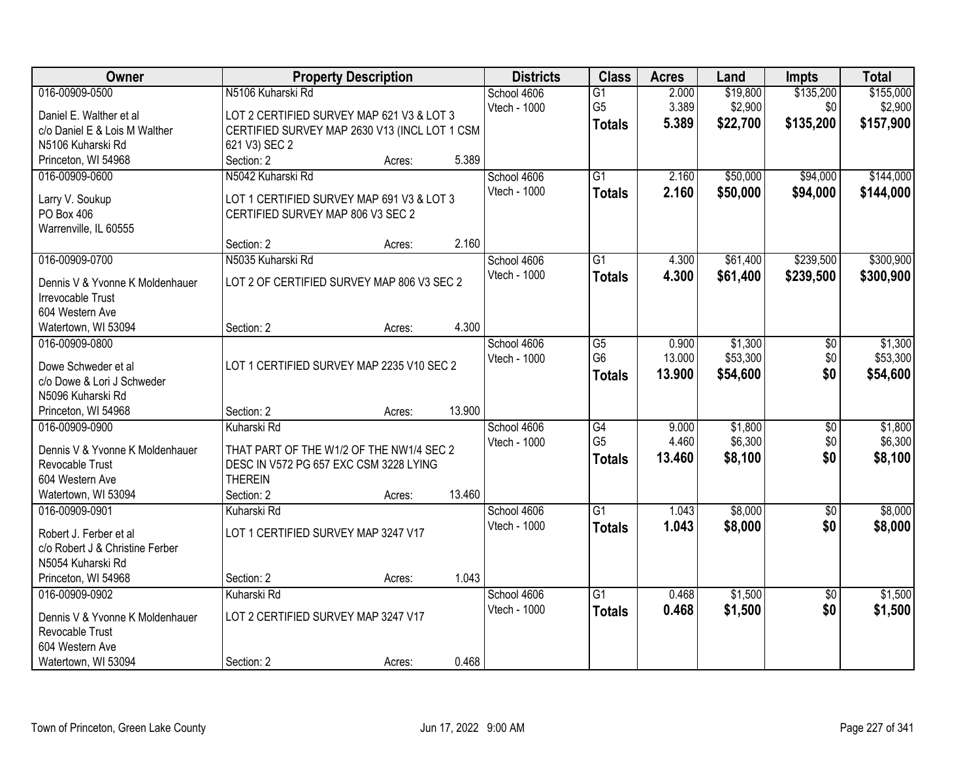| Owner                           |                                               | <b>Property Description</b> |        | <b>Districts</b> | <b>Class</b>    | <b>Acres</b> | Land     | <b>Impts</b>    | <b>Total</b> |
|---------------------------------|-----------------------------------------------|-----------------------------|--------|------------------|-----------------|--------------|----------|-----------------|--------------|
| 016-00909-0500                  | N5106 Kuharski Rd                             |                             |        | School 4606      | $\overline{G1}$ | 2.000        | \$19,800 | \$135,200       | \$155,000    |
| Daniel E. Walther et al         | LOT 2 CERTIFIED SURVEY MAP 621 V3 & LOT 3     |                             |        | Vtech - 1000     | G <sub>5</sub>  | 3.389        | \$2,900  | \$0             | \$2,900      |
| c/o Daniel E & Lois M Walther   | CERTIFIED SURVEY MAP 2630 V13 (INCL LOT 1 CSM |                             |        |                  | <b>Totals</b>   | 5.389        | \$22,700 | \$135,200       | \$157,900    |
| N5106 Kuharski Rd               | 621 V3) SEC 2                                 |                             |        |                  |                 |              |          |                 |              |
| Princeton, WI 54968             | Section: 2                                    | Acres:                      | 5.389  |                  |                 |              |          |                 |              |
| 016-00909-0600                  | N5042 Kuharski Rd                             |                             |        | School 4606      | $\overline{G1}$ | 2.160        | \$50,000 | \$94,000        | \$144,000    |
|                                 |                                               |                             |        | Vtech - 1000     | <b>Totals</b>   | 2.160        | \$50,000 | \$94,000        | \$144,000    |
| Larry V. Soukup                 | LOT 1 CERTIFIED SURVEY MAP 691 V3 & LOT 3     |                             |        |                  |                 |              |          |                 |              |
| PO Box 406                      | CERTIFIED SURVEY MAP 806 V3 SEC 2             |                             |        |                  |                 |              |          |                 |              |
| Warrenville, IL 60555           | Section: 2                                    |                             | 2.160  |                  |                 |              |          |                 |              |
| 016-00909-0700                  | N5035 Kuharski Rd                             | Acres:                      |        | School 4606      | G1              | 4.300        | \$61,400 | \$239,500       | \$300,900    |
|                                 |                                               |                             |        | Vtech - 1000     |                 |              |          |                 |              |
| Dennis V & Yvonne K Moldenhauer | LOT 2 OF CERTIFIED SURVEY MAP 806 V3 SEC 2    |                             |        |                  | <b>Totals</b>   | 4.300        | \$61,400 | \$239,500       | \$300,900    |
| Irrevocable Trust               |                                               |                             |        |                  |                 |              |          |                 |              |
| 604 Western Ave                 |                                               |                             |        |                  |                 |              |          |                 |              |
| Watertown, WI 53094             | Section: 2                                    | Acres:                      | 4.300  |                  |                 |              |          |                 |              |
| 016-00909-0800                  |                                               |                             |        | School 4606      | G5              | 0.900        | \$1,300  | $\frac{1}{20}$  | \$1,300      |
| Dowe Schweder et al             | LOT 1 CERTIFIED SURVEY MAP 2235 V10 SEC 2     |                             |        | Vtech - 1000     | G <sub>6</sub>  | 13.000       | \$53,300 | \$0             | \$53,300     |
| c/o Dowe & Lori J Schweder      |                                               |                             |        |                  | <b>Totals</b>   | 13.900       | \$54,600 | \$0             | \$54,600     |
| N5096 Kuharski Rd               |                                               |                             |        |                  |                 |              |          |                 |              |
| Princeton, WI 54968             | Section: 2                                    | Acres:                      | 13.900 |                  |                 |              |          |                 |              |
| 016-00909-0900                  | Kuharski Rd                                   |                             |        | School 4606      | $\overline{G4}$ | 9.000        | \$1,800  | $\overline{50}$ | \$1,800      |
|                                 |                                               |                             |        | Vtech - 1000     | G <sub>5</sub>  | 4.460        | \$6,300  | \$0             | \$6,300      |
| Dennis V & Yvonne K Moldenhauer | THAT PART OF THE W1/2 OF THE NW1/4 SEC 2      |                             |        |                  | <b>Totals</b>   | 13.460       | \$8,100  | \$0             | \$8,100      |
| <b>Revocable Trust</b>          | DESC IN V572 PG 657 EXC CSM 3228 LYING        |                             |        |                  |                 |              |          |                 |              |
| 604 Western Ave                 | <b>THEREIN</b>                                |                             |        |                  |                 |              |          |                 |              |
| Watertown, WI 53094             | Section: 2                                    | Acres:                      | 13.460 |                  |                 |              |          |                 |              |
| 016-00909-0901                  | Kuharski Rd                                   |                             |        | School 4606      | G1              | 1.043        | \$8,000  | $\sqrt{6}$      | \$8,000      |
| Robert J. Ferber et al          | LOT 1 CERTIFIED SURVEY MAP 3247 V17           |                             |        | Vtech - 1000     | <b>Totals</b>   | 1.043        | \$8,000  | \$0             | \$8,000      |
| c/o Robert J & Christine Ferber |                                               |                             |        |                  |                 |              |          |                 |              |
| N5054 Kuharski Rd               |                                               |                             |        |                  |                 |              |          |                 |              |
| Princeton, WI 54968             | Section: 2                                    | Acres:                      | 1.043  |                  |                 |              |          |                 |              |
| 016-00909-0902                  | Kuharski Rd                                   |                             |        | School 4606      | $\overline{G1}$ | 0.468        | \$1,500  | $\overline{30}$ | \$1,500      |
|                                 |                                               |                             |        | Vtech - 1000     | <b>Totals</b>   | 0.468        | \$1,500  | \$0             | \$1,500      |
| Dennis V & Yvonne K Moldenhauer | LOT 2 CERTIFIED SURVEY MAP 3247 V17           |                             |        |                  |                 |              |          |                 |              |
| Revocable Trust                 |                                               |                             |        |                  |                 |              |          |                 |              |
| 604 Western Ave                 |                                               |                             |        |                  |                 |              |          |                 |              |
| Watertown, WI 53094             | Section: 2                                    | Acres:                      | 0.468  |                  |                 |              |          |                 |              |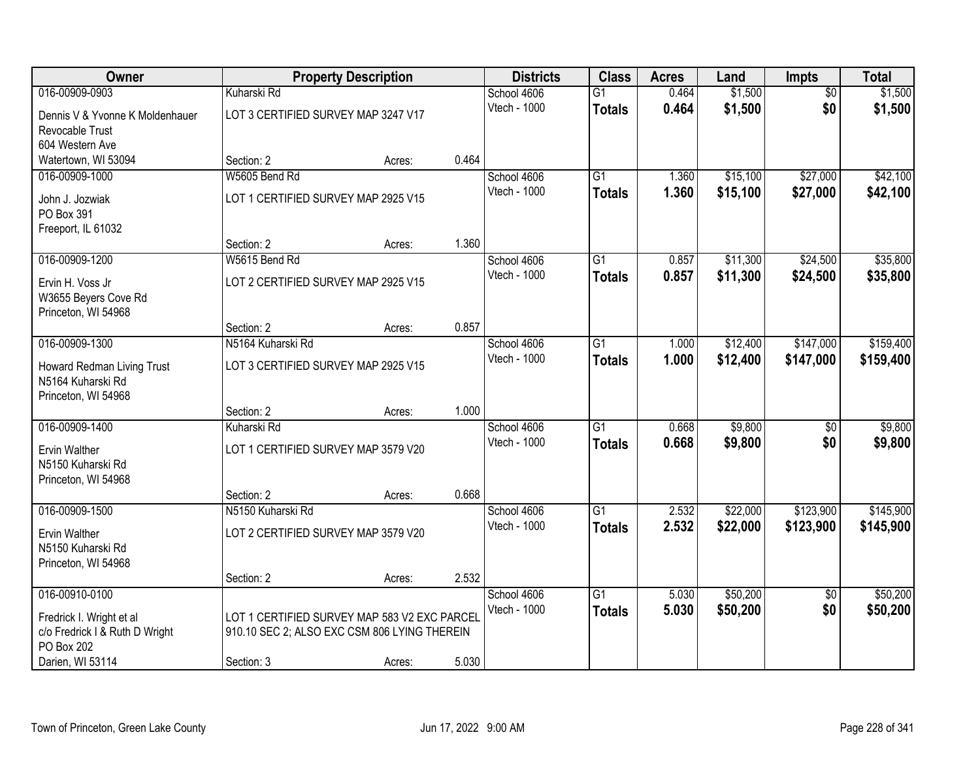| <b>Owner</b>                    |                                              | <b>Property Description</b> |       | <b>Districts</b> | <b>Class</b>    | <b>Acres</b> | Land     | <b>Impts</b>    | <b>Total</b> |
|---------------------------------|----------------------------------------------|-----------------------------|-------|------------------|-----------------|--------------|----------|-----------------|--------------|
| 016-00909-0903                  | Kuharski Rd                                  |                             |       | School 4606      | $\overline{G1}$ | 0.464        | \$1,500  | $\overline{50}$ | \$1,500      |
| Dennis V & Yvonne K Moldenhauer | LOT 3 CERTIFIED SURVEY MAP 3247 V17          |                             |       | Vtech - 1000     | <b>Totals</b>   | 0.464        | \$1,500  | \$0             | \$1,500      |
| Revocable Trust                 |                                              |                             |       |                  |                 |              |          |                 |              |
| 604 Western Ave                 |                                              |                             |       |                  |                 |              |          |                 |              |
| Watertown, WI 53094             | Section: 2                                   | Acres:                      | 0.464 |                  |                 |              |          |                 |              |
| 016-00909-1000                  | W5605 Bend Rd                                |                             |       | School 4606      | $\overline{G1}$ | 1.360        | \$15,100 | \$27,000        | \$42,100     |
| John J. Jozwiak                 | LOT 1 CERTIFIED SURVEY MAP 2925 V15          |                             |       | Vtech - 1000     | <b>Totals</b>   | 1.360        | \$15,100 | \$27,000        | \$42,100     |
| PO Box 391                      |                                              |                             |       |                  |                 |              |          |                 |              |
| Freeport, IL 61032              |                                              |                             |       |                  |                 |              |          |                 |              |
|                                 | Section: 2                                   | Acres:                      | 1.360 |                  |                 |              |          |                 |              |
| 016-00909-1200                  | W5615 Bend Rd                                |                             |       | School 4606      | G1              | 0.857        | \$11,300 | \$24,500        | \$35,800     |
| Ervin H. Voss Jr                | LOT 2 CERTIFIED SURVEY MAP 2925 V15          |                             |       | Vtech - 1000     | <b>Totals</b>   | 0.857        | \$11,300 | \$24,500        | \$35,800     |
| W3655 Beyers Cove Rd            |                                              |                             |       |                  |                 |              |          |                 |              |
| Princeton, WI 54968             |                                              |                             |       |                  |                 |              |          |                 |              |
|                                 | Section: 2                                   | Acres:                      | 0.857 |                  |                 |              |          |                 |              |
| 016-00909-1300                  | N5164 Kuharski Rd                            |                             |       | School 4606      | G1              | 1.000        | \$12,400 | \$147,000       | \$159,400    |
| Howard Redman Living Trust      | LOT 3 CERTIFIED SURVEY MAP 2925 V15          |                             |       | Vtech - 1000     | <b>Totals</b>   | 1.000        | \$12,400 | \$147,000       | \$159,400    |
| N5164 Kuharski Rd               |                                              |                             |       |                  |                 |              |          |                 |              |
| Princeton, WI 54968             |                                              |                             |       |                  |                 |              |          |                 |              |
|                                 | Section: 2                                   | Acres:                      | 1.000 |                  |                 |              |          |                 |              |
| 016-00909-1400                  | Kuharski Rd                                  |                             |       | School 4606      | $\overline{G1}$ | 0.668        | \$9,800  | $\overline{50}$ | \$9,800      |
| Ervin Walther                   | LOT 1 CERTIFIED SURVEY MAP 3579 V20          |                             |       | Vtech - 1000     | <b>Totals</b>   | 0.668        | \$9,800  | \$0             | \$9,800      |
| N5150 Kuharski Rd               |                                              |                             |       |                  |                 |              |          |                 |              |
| Princeton, WI 54968             |                                              |                             |       |                  |                 |              |          |                 |              |
|                                 | Section: 2                                   | Acres:                      | 0.668 |                  |                 |              |          |                 |              |
| 016-00909-1500                  | N5150 Kuharski Rd                            |                             |       | School 4606      | $\overline{G1}$ | 2.532        | \$22,000 | \$123,900       | \$145,900    |
| <b>Ervin Walther</b>            | LOT 2 CERTIFIED SURVEY MAP 3579 V20          |                             |       | Vtech - 1000     | <b>Totals</b>   | 2.532        | \$22,000 | \$123,900       | \$145,900    |
| N5150 Kuharski Rd               |                                              |                             |       |                  |                 |              |          |                 |              |
| Princeton, WI 54968             |                                              |                             |       |                  |                 |              |          |                 |              |
|                                 | Section: 2                                   | Acres:                      | 2.532 |                  |                 |              |          |                 |              |
| 016-00910-0100                  |                                              |                             |       | School 4606      | $\overline{G1}$ | 5.030        | \$50,200 | $\overline{50}$ | \$50,200     |
| Fredrick I. Wright et al        | LOT 1 CERTIFIED SURVEY MAP 583 V2 EXC PARCEL |                             |       | Vtech - 1000     | <b>Totals</b>   | 5.030        | \$50,200 | \$0             | \$50,200     |
| c/o Fredrick I & Ruth D Wright  | 910.10 SEC 2; ALSO EXC CSM 806 LYING THEREIN |                             |       |                  |                 |              |          |                 |              |
| PO Box 202                      |                                              |                             |       |                  |                 |              |          |                 |              |
| Darien, WI 53114                | Section: 3                                   | Acres:                      | 5.030 |                  |                 |              |          |                 |              |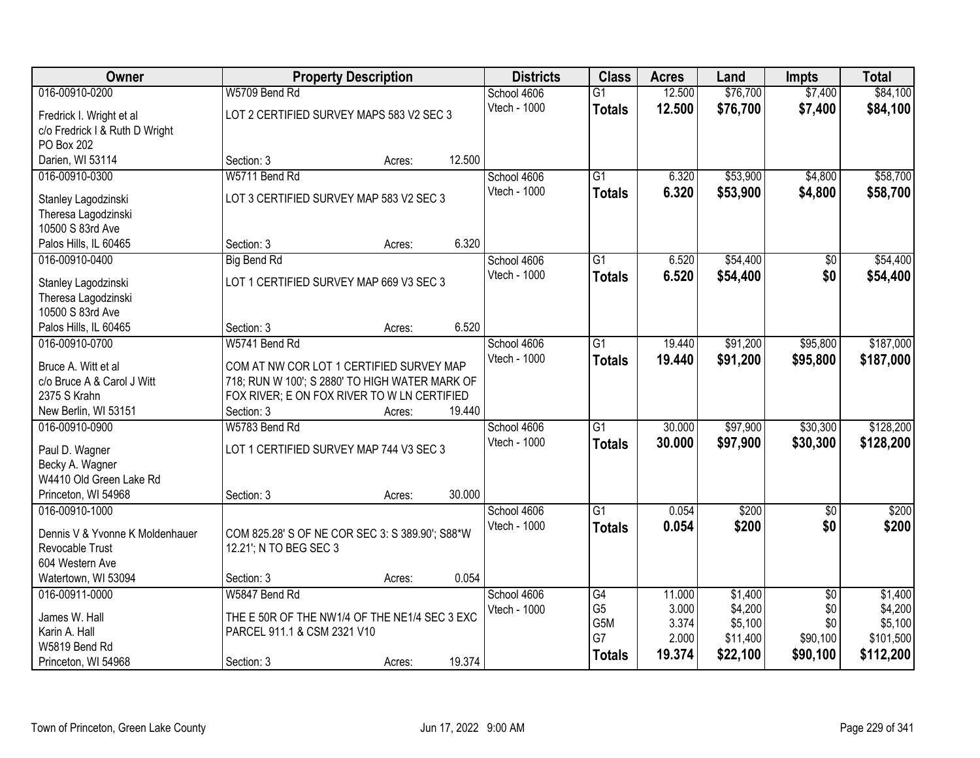| Owner                                   | <b>Property Description</b>                     |        |        | <b>Districts</b> | <b>Class</b>    | <b>Acres</b> | Land     | <b>Impts</b>    | <b>Total</b> |
|-----------------------------------------|-------------------------------------------------|--------|--------|------------------|-----------------|--------------|----------|-----------------|--------------|
| 016-00910-0200                          | W5709 Bend Rd                                   |        |        | School 4606      | $\overline{G1}$ | 12.500       | \$76,700 | \$7,400         | \$84,100     |
| Fredrick I. Wright et al                | LOT 2 CERTIFIED SURVEY MAPS 583 V2 SEC 3        |        |        | Vtech - 1000     | <b>Totals</b>   | 12.500       | \$76,700 | \$7,400         | \$84,100     |
| c/o Fredrick I & Ruth D Wright          |                                                 |        |        |                  |                 |              |          |                 |              |
| PO Box 202                              |                                                 |        |        |                  |                 |              |          |                 |              |
| Darien, WI 53114                        | Section: 3                                      | Acres: | 12.500 |                  |                 |              |          |                 |              |
| 016-00910-0300                          | W5711 Bend Rd                                   |        |        | School 4606      | $\overline{G1}$ | 6.320        | \$53,900 | \$4,800         | \$58,700     |
| Stanley Lagodzinski                     | LOT 3 CERTIFIED SURVEY MAP 583 V2 SEC 3         |        |        | Vtech - 1000     | <b>Totals</b>   | 6.320        | \$53,900 | \$4,800         | \$58,700     |
| Theresa Lagodzinski                     |                                                 |        |        |                  |                 |              |          |                 |              |
| 10500 S 83rd Ave                        |                                                 |        |        |                  |                 |              |          |                 |              |
| Palos Hills, IL 60465                   | Section: 3                                      | Acres: | 6.320  |                  |                 |              |          |                 |              |
| 016-00910-0400                          | <b>Big Bend Rd</b>                              |        |        | School 4606      | $\overline{G1}$ | 6.520        | \$54,400 | $\sqrt[6]{}$    | \$54,400     |
|                                         |                                                 |        |        | Vtech - 1000     | <b>Totals</b>   | 6.520        | \$54,400 | \$0             | \$54,400     |
| Stanley Lagodzinski                     | LOT 1 CERTIFIED SURVEY MAP 669 V3 SEC 3         |        |        |                  |                 |              |          |                 |              |
| Theresa Lagodzinski<br>10500 S 83rd Ave |                                                 |        |        |                  |                 |              |          |                 |              |
| Palos Hills, IL 60465                   | Section: 3                                      | Acres: | 6.520  |                  |                 |              |          |                 |              |
| 016-00910-0700                          | W5741 Bend Rd                                   |        |        | School 4606      | $\overline{G1}$ | 19.440       | \$91,200 | \$95,800        | \$187,000    |
|                                         |                                                 |        |        | Vtech - 1000     | <b>Totals</b>   | 19.440       | \$91,200 | \$95,800        | \$187,000    |
| Bruce A. Witt et al                     | COM AT NW COR LOT 1 CERTIFIED SURVEY MAP        |        |        |                  |                 |              |          |                 |              |
| c/o Bruce A & Carol J Witt              | 718; RUN W 100'; S 2880' TO HIGH WATER MARK OF  |        |        |                  |                 |              |          |                 |              |
| 2375 S Krahn                            | FOX RIVER; E ON FOX RIVER TO W LN CERTIFIED     |        |        |                  |                 |              |          |                 |              |
| New Berlin, WI 53151                    | Section: 3                                      | Acres: | 19.440 |                  |                 |              |          |                 |              |
| 016-00910-0900                          | W5783 Bend Rd                                   |        |        | School 4606      | $\overline{G1}$ | 30.000       | \$97,900 | \$30,300        | \$128,200    |
| Paul D. Wagner                          | LOT 1 CERTIFIED SURVEY MAP 744 V3 SEC 3         |        |        | Vtech - 1000     | <b>Totals</b>   | 30,000       | \$97,900 | \$30,300        | \$128,200    |
| Becky A. Wagner                         |                                                 |        |        |                  |                 |              |          |                 |              |
| W4410 Old Green Lake Rd                 |                                                 |        |        |                  |                 |              |          |                 |              |
| Princeton, WI 54968                     | Section: 3                                      | Acres: | 30.000 |                  |                 |              |          |                 |              |
| 016-00910-1000                          |                                                 |        |        | School 4606      | $\overline{G1}$ | 0.054        | \$200    | $\overline{50}$ | \$200        |
| Dennis V & Yvonne K Moldenhauer         | COM 825.28' S OF NE COR SEC 3: S 389.90'; S88*W |        |        | Vtech - 1000     | <b>Totals</b>   | 0.054        | \$200    | \$0             | \$200        |
| Revocable Trust                         | 12.21; N TO BEG SEC 3                           |        |        |                  |                 |              |          |                 |              |
| 604 Western Ave                         |                                                 |        |        |                  |                 |              |          |                 |              |
| Watertown, WI 53094                     | Section: 3                                      | Acres: | 0.054  |                  |                 |              |          |                 |              |
| 016-00911-0000                          | W5847 Bend Rd                                   |        |        | School 4606      | G4              | 11.000       | \$1,400  | $\overline{50}$ | \$1,400      |
| James W. Hall                           | THE E 50R OF THE NW1/4 OF THE NE1/4 SEC 3 EXC   |        |        | Vtech - 1000     | G <sub>5</sub>  | 3.000        | \$4,200  | \$0             | \$4,200      |
| Karin A. Hall                           | PARCEL 911.1 & CSM 2321 V10                     |        |        |                  | G5M             | 3.374        | \$5,100  | \$0             | \$5,100      |
| W5819 Bend Rd                           |                                                 |        |        |                  | G7              | 2.000        | \$11,400 | \$90,100        | \$101,500    |
| Princeton, WI 54968                     | Section: 3                                      | Acres: | 19.374 |                  | <b>Totals</b>   | 19.374       | \$22,100 | \$90,100        | \$112,200    |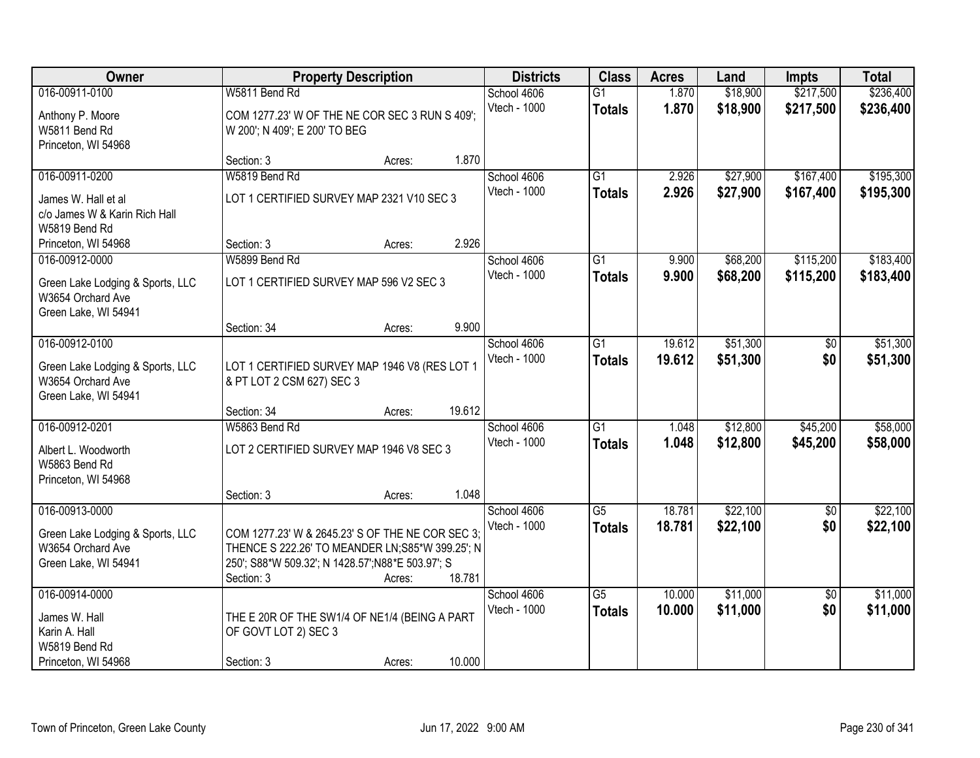| Owner                                                                                           | <b>Property Description</b>                                                                                                                                             |        |        | <b>Districts</b>            | <b>Class</b>                     | <b>Acres</b>     | Land                 | <b>Impts</b>           | <b>Total</b>           |
|-------------------------------------------------------------------------------------------------|-------------------------------------------------------------------------------------------------------------------------------------------------------------------------|--------|--------|-----------------------------|----------------------------------|------------------|----------------------|------------------------|------------------------|
| 016-00911-0100<br>Anthony P. Moore<br>W5811 Bend Rd                                             | W5811 Bend Rd<br>COM 1277.23' W OF THE NE COR SEC 3 RUN S 409';<br>W 200'; N 409'; E 200' TO BEG                                                                        |        |        | School 4606<br>Vtech - 1000 | $\overline{G1}$<br><b>Totals</b> | 1.870<br>1.870   | \$18,900<br>\$18,900 | \$217,500<br>\$217,500 | \$236,400<br>\$236,400 |
| Princeton, WI 54968                                                                             | Section: 3                                                                                                                                                              | Acres: | 1.870  |                             |                                  |                  |                      |                        |                        |
| 016-00911-0200<br>James W. Hall et al<br>c/o James W & Karin Rich Hall<br>W5819 Bend Rd         | W5819 Bend Rd<br>LOT 1 CERTIFIED SURVEY MAP 2321 V10 SEC 3                                                                                                              |        |        | School 4606<br>Vtech - 1000 | $\overline{G1}$<br><b>Totals</b> | 2.926<br>2.926   | \$27,900<br>\$27,900 | \$167,400<br>\$167,400 | \$195,300<br>\$195,300 |
| Princeton, WI 54968                                                                             | Section: 3                                                                                                                                                              | Acres: | 2.926  |                             |                                  |                  |                      |                        |                        |
| 016-00912-0000<br>Green Lake Lodging & Sports, LLC<br>W3654 Orchard Ave<br>Green Lake, WI 54941 | W5899 Bend Rd<br>LOT 1 CERTIFIED SURVEY MAP 596 V2 SEC 3                                                                                                                |        |        | School 4606<br>Vtech - 1000 | $\overline{G1}$<br><b>Totals</b> | 9.900<br>9.900   | \$68,200<br>\$68,200 | \$115,200<br>\$115,200 | \$183,400<br>\$183,400 |
|                                                                                                 | Section: 34                                                                                                                                                             | Acres: | 9.900  |                             |                                  |                  |                      |                        |                        |
| 016-00912-0100<br>Green Lake Lodging & Sports, LLC<br>W3654 Orchard Ave<br>Green Lake, WI 54941 | LOT 1 CERTIFIED SURVEY MAP 1946 V8 (RES LOT 1<br>& PT LOT 2 CSM 627) SEC 3                                                                                              |        |        | School 4606<br>Vtech - 1000 | G1<br><b>Totals</b>              | 19.612<br>19.612 | \$51,300<br>\$51,300 | \$0<br>\$0             | \$51,300<br>\$51,300   |
|                                                                                                 | Section: 34                                                                                                                                                             | Acres: | 19.612 |                             |                                  |                  |                      |                        |                        |
| 016-00912-0201<br>Albert L. Woodworth<br>W5863 Bend Rd<br>Princeton, WI 54968                   | W5863 Bend Rd<br>LOT 2 CERTIFIED SURVEY MAP 1946 V8 SEC 3<br>Section: 3                                                                                                 | Acres: | 1.048  | School 4606<br>Vtech - 1000 | $\overline{G1}$<br><b>Totals</b> | 1.048<br>1.048   | \$12,800<br>\$12,800 | \$45,200<br>\$45,200   | \$58,000<br>\$58,000   |
| 016-00913-0000                                                                                  |                                                                                                                                                                         |        |        | School 4606                 | G5                               | 18.781           | \$22,100             | $\sqrt{6}$             | \$22,100               |
| Green Lake Lodging & Sports, LLC<br>W3654 Orchard Ave<br>Green Lake, WI 54941                   | COM 1277.23' W & 2645.23' S OF THE NE COR SEC 3;<br>THENCE S 222.26' TO MEANDER LN; S85*W 399.25'; N<br>250'; S88*W 509.32'; N 1428.57'; N88*E 503.97'; S<br>Section: 3 | Acres: | 18.781 | Vtech - 1000                | <b>Totals</b>                    | 18.781           | \$22,100             | \$0                    | \$22,100               |
| 016-00914-0000<br>James W. Hall<br>Karin A. Hall<br>W5819 Bend Rd<br>Princeton, WI 54968        | THE E 20R OF THE SW1/4 OF NE1/4 (BEING A PART<br>OF GOVT LOT 2) SEC 3<br>Section: 3                                                                                     | Acres: | 10.000 | School 4606<br>Vtech - 1000 | G5<br><b>Totals</b>              | 10.000<br>10.000 | \$11,000<br>\$11,000 | $\overline{50}$<br>\$0 | \$11,000<br>\$11,000   |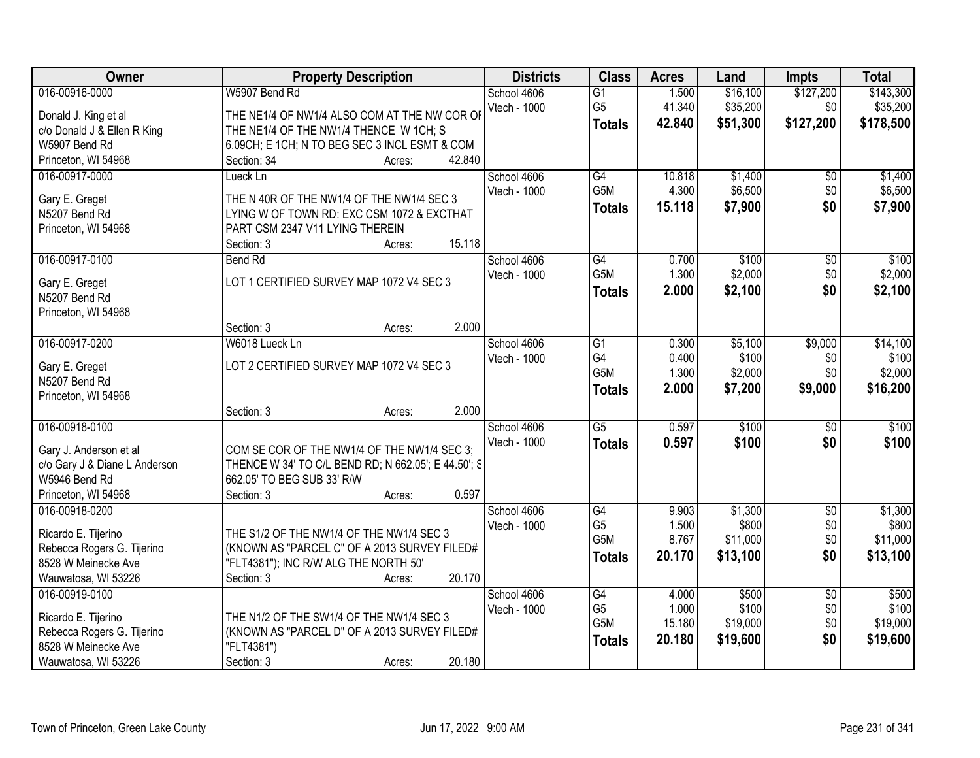| 016-00916-0000<br>\$127,200<br>W5907 Bend Rd<br>School 4606<br>1.500<br>\$16,100<br>\$143,300<br>$\overline{G1}$<br>G <sub>5</sub><br>41.340<br>\$35,200<br>\$35,200<br>Vtech - 1000<br>\$0<br>THE NE1/4 OF NW1/4 ALSO COM AT THE NW COR OF<br>Donald J. King et al<br>\$51,300<br>\$127,200<br>42,840<br>\$178,500<br><b>Totals</b><br>THE NE1/4 OF THE NW1/4 THENCE W 1CH; S<br>c/o Donald J & Ellen R King<br>W5907 Bend Rd<br>6.09CH; E 1CH; N TO BEG SEC 3 INCL ESMT & COM<br>42.840<br>Princeton, WI 54968<br>Section: 34<br>Acres:<br>G4<br>10.818<br>\$1,400<br>016-00917-0000<br>Lueck Ln<br>School 4606<br>\$0<br>G5M<br>4.300<br>\$6,500<br>\$0<br>Vtech - 1000<br>Gary E. Greget<br>THE N 40R OF THE NW1/4 OF THE NW1/4 SEC 3<br>\$0<br>15.118<br>\$7,900<br>\$7,900<br><b>Totals</b><br>LYING W OF TOWN RD: EXC CSM 1072 & EXCTHAT<br>N5207 Bend Rd<br>PART CSM 2347 V11 LYING THEREIN<br>Princeton, WI 54968<br>15.118<br>Section: 3<br>Acres:<br>016-00917-0100<br>School 4606<br>G4<br>\$100<br><b>Bend Rd</b><br>0.700<br>\$0<br>G5M<br>\$2,000<br>1.300<br>\$0<br>Vtech - 1000<br>LOT 1 CERTIFIED SURVEY MAP 1072 V4 SEC 3<br>Gary E. Greget<br>2.000<br>\$2,100<br>\$0<br><b>Totals</b><br>N5207 Bend Rd<br>Princeton, WI 54968<br>2.000<br>Section: 3<br>Acres:<br>016-00917-0200<br>W6018 Lueck Ln<br>\$5,100<br>\$9,000<br>School 4606<br>G1<br>0.300<br>G4<br>0.400<br>\$100<br>Vtech - 1000<br>\$0<br>LOT 2 CERTIFIED SURVEY MAP 1072 V4 SEC 3<br>Gary E. Greget<br>G5M<br>1.300<br>\$2,000<br>\$0<br>N5207 Bend Rd<br>2.000<br>\$7,200<br>\$9,000<br>\$16,200<br><b>Totals</b><br>Princeton, WI 54968<br>2.000<br>Section: 3<br>Acres:<br>016-00918-0100<br>$\overline{G5}$<br>0.597<br>\$100<br>\$0<br>School 4606<br>Vtech - 1000<br>0.597<br>\$100<br><b>Totals</b><br>\$0<br>COM SE COR OF THE NW1/4 OF THE NW1/4 SEC 3;<br>Gary J. Anderson et al<br>c/o Gary J & Diane L Anderson<br>THENCE W 34' TO C/L BEND RD; N 662.05'; E 44.50'; S<br>W5946 Bend Rd<br>662.05' TO BEG SUB 33' R/W | Owner               | <b>Property Description</b>   | <b>Districts</b> | <b>Class</b> | <b>Acres</b> | Land | <b>Impts</b> | <b>Total</b> |
|------------------------------------------------------------------------------------------------------------------------------------------------------------------------------------------------------------------------------------------------------------------------------------------------------------------------------------------------------------------------------------------------------------------------------------------------------------------------------------------------------------------------------------------------------------------------------------------------------------------------------------------------------------------------------------------------------------------------------------------------------------------------------------------------------------------------------------------------------------------------------------------------------------------------------------------------------------------------------------------------------------------------------------------------------------------------------------------------------------------------------------------------------------------------------------------------------------------------------------------------------------------------------------------------------------------------------------------------------------------------------------------------------------------------------------------------------------------------------------------------------------------------------------------------------------------------------------------------------------------------------------------------------------------------------------------------------------------------------------------------------------------------------------------------------------------------------------------------------------------------------------------------------------------------------------------------------------------------------------------------------------------------|---------------------|-------------------------------|------------------|--------------|--------------|------|--------------|--------------|
|                                                                                                                                                                                                                                                                                                                                                                                                                                                                                                                                                                                                                                                                                                                                                                                                                                                                                                                                                                                                                                                                                                                                                                                                                                                                                                                                                                                                                                                                                                                                                                                                                                                                                                                                                                                                                                                                                                                                                                                                                        |                     |                               |                  |              |              |      |              |              |
| \$2,100                                                                                                                                                                                                                                                                                                                                                                                                                                                                                                                                                                                                                                                                                                                                                                                                                                                                                                                                                                                                                                                                                                                                                                                                                                                                                                                                                                                                                                                                                                                                                                                                                                                                                                                                                                                                                                                                                                                                                                                                                |                     |                               |                  |              |              |      |              |              |
|                                                                                                                                                                                                                                                                                                                                                                                                                                                                                                                                                                                                                                                                                                                                                                                                                                                                                                                                                                                                                                                                                                                                                                                                                                                                                                                                                                                                                                                                                                                                                                                                                                                                                                                                                                                                                                                                                                                                                                                                                        |                     |                               |                  |              |              |      |              |              |
|                                                                                                                                                                                                                                                                                                                                                                                                                                                                                                                                                                                                                                                                                                                                                                                                                                                                                                                                                                                                                                                                                                                                                                                                                                                                                                                                                                                                                                                                                                                                                                                                                                                                                                                                                                                                                                                                                                                                                                                                                        |                     |                               |                  |              |              |      |              |              |
|                                                                                                                                                                                                                                                                                                                                                                                                                                                                                                                                                                                                                                                                                                                                                                                                                                                                                                                                                                                                                                                                                                                                                                                                                                                                                                                                                                                                                                                                                                                                                                                                                                                                                                                                                                                                                                                                                                                                                                                                                        |                     |                               |                  |              |              |      |              |              |
| \$6,500<br>\$100<br>\$2,000<br>\$14,100<br>\$100<br>\$2,000<br>\$100<br>\$100                                                                                                                                                                                                                                                                                                                                                                                                                                                                                                                                                                                                                                                                                                                                                                                                                                                                                                                                                                                                                                                                                                                                                                                                                                                                                                                                                                                                                                                                                                                                                                                                                                                                                                                                                                                                                                                                                                                                          |                     |                               |                  |              |              |      |              | \$1,400      |
|                                                                                                                                                                                                                                                                                                                                                                                                                                                                                                                                                                                                                                                                                                                                                                                                                                                                                                                                                                                                                                                                                                                                                                                                                                                                                                                                                                                                                                                                                                                                                                                                                                                                                                                                                                                                                                                                                                                                                                                                                        |                     |                               |                  |              |              |      |              |              |
|                                                                                                                                                                                                                                                                                                                                                                                                                                                                                                                                                                                                                                                                                                                                                                                                                                                                                                                                                                                                                                                                                                                                                                                                                                                                                                                                                                                                                                                                                                                                                                                                                                                                                                                                                                                                                                                                                                                                                                                                                        |                     |                               |                  |              |              |      |              |              |
|                                                                                                                                                                                                                                                                                                                                                                                                                                                                                                                                                                                                                                                                                                                                                                                                                                                                                                                                                                                                                                                                                                                                                                                                                                                                                                                                                                                                                                                                                                                                                                                                                                                                                                                                                                                                                                                                                                                                                                                                                        |                     |                               |                  |              |              |      |              |              |
|                                                                                                                                                                                                                                                                                                                                                                                                                                                                                                                                                                                                                                                                                                                                                                                                                                                                                                                                                                                                                                                                                                                                                                                                                                                                                                                                                                                                                                                                                                                                                                                                                                                                                                                                                                                                                                                                                                                                                                                                                        |                     |                               |                  |              |              |      |              |              |
|                                                                                                                                                                                                                                                                                                                                                                                                                                                                                                                                                                                                                                                                                                                                                                                                                                                                                                                                                                                                                                                                                                                                                                                                                                                                                                                                                                                                                                                                                                                                                                                                                                                                                                                                                                                                                                                                                                                                                                                                                        |                     |                               |                  |              |              |      |              |              |
|                                                                                                                                                                                                                                                                                                                                                                                                                                                                                                                                                                                                                                                                                                                                                                                                                                                                                                                                                                                                                                                                                                                                                                                                                                                                                                                                                                                                                                                                                                                                                                                                                                                                                                                                                                                                                                                                                                                                                                                                                        |                     |                               |                  |              |              |      |              |              |
|                                                                                                                                                                                                                                                                                                                                                                                                                                                                                                                                                                                                                                                                                                                                                                                                                                                                                                                                                                                                                                                                                                                                                                                                                                                                                                                                                                                                                                                                                                                                                                                                                                                                                                                                                                                                                                                                                                                                                                                                                        |                     |                               |                  |              |              |      |              |              |
|                                                                                                                                                                                                                                                                                                                                                                                                                                                                                                                                                                                                                                                                                                                                                                                                                                                                                                                                                                                                                                                                                                                                                                                                                                                                                                                                                                                                                                                                                                                                                                                                                                                                                                                                                                                                                                                                                                                                                                                                                        |                     |                               |                  |              |              |      |              |              |
|                                                                                                                                                                                                                                                                                                                                                                                                                                                                                                                                                                                                                                                                                                                                                                                                                                                                                                                                                                                                                                                                                                                                                                                                                                                                                                                                                                                                                                                                                                                                                                                                                                                                                                                                                                                                                                                                                                                                                                                                                        |                     |                               |                  |              |              |      |              |              |
|                                                                                                                                                                                                                                                                                                                                                                                                                                                                                                                                                                                                                                                                                                                                                                                                                                                                                                                                                                                                                                                                                                                                                                                                                                                                                                                                                                                                                                                                                                                                                                                                                                                                                                                                                                                                                                                                                                                                                                                                                        |                     |                               |                  |              |              |      |              |              |
|                                                                                                                                                                                                                                                                                                                                                                                                                                                                                                                                                                                                                                                                                                                                                                                                                                                                                                                                                                                                                                                                                                                                                                                                                                                                                                                                                                                                                                                                                                                                                                                                                                                                                                                                                                                                                                                                                                                                                                                                                        |                     |                               |                  |              |              |      |              |              |
|                                                                                                                                                                                                                                                                                                                                                                                                                                                                                                                                                                                                                                                                                                                                                                                                                                                                                                                                                                                                                                                                                                                                                                                                                                                                                                                                                                                                                                                                                                                                                                                                                                                                                                                                                                                                                                                                                                                                                                                                                        |                     |                               |                  |              |              |      |              |              |
|                                                                                                                                                                                                                                                                                                                                                                                                                                                                                                                                                                                                                                                                                                                                                                                                                                                                                                                                                                                                                                                                                                                                                                                                                                                                                                                                                                                                                                                                                                                                                                                                                                                                                                                                                                                                                                                                                                                                                                                                                        |                     |                               |                  |              |              |      |              |              |
|                                                                                                                                                                                                                                                                                                                                                                                                                                                                                                                                                                                                                                                                                                                                                                                                                                                                                                                                                                                                                                                                                                                                                                                                                                                                                                                                                                                                                                                                                                                                                                                                                                                                                                                                                                                                                                                                                                                                                                                                                        |                     |                               |                  |              |              |      |              |              |
|                                                                                                                                                                                                                                                                                                                                                                                                                                                                                                                                                                                                                                                                                                                                                                                                                                                                                                                                                                                                                                                                                                                                                                                                                                                                                                                                                                                                                                                                                                                                                                                                                                                                                                                                                                                                                                                                                                                                                                                                                        |                     |                               |                  |              |              |      |              |              |
|                                                                                                                                                                                                                                                                                                                                                                                                                                                                                                                                                                                                                                                                                                                                                                                                                                                                                                                                                                                                                                                                                                                                                                                                                                                                                                                                                                                                                                                                                                                                                                                                                                                                                                                                                                                                                                                                                                                                                                                                                        |                     |                               |                  |              |              |      |              |              |
|                                                                                                                                                                                                                                                                                                                                                                                                                                                                                                                                                                                                                                                                                                                                                                                                                                                                                                                                                                                                                                                                                                                                                                                                                                                                                                                                                                                                                                                                                                                                                                                                                                                                                                                                                                                                                                                                                                                                                                                                                        |                     |                               |                  |              |              |      |              |              |
|                                                                                                                                                                                                                                                                                                                                                                                                                                                                                                                                                                                                                                                                                                                                                                                                                                                                                                                                                                                                                                                                                                                                                                                                                                                                                                                                                                                                                                                                                                                                                                                                                                                                                                                                                                                                                                                                                                                                                                                                                        |                     |                               |                  |              |              |      |              |              |
|                                                                                                                                                                                                                                                                                                                                                                                                                                                                                                                                                                                                                                                                                                                                                                                                                                                                                                                                                                                                                                                                                                                                                                                                                                                                                                                                                                                                                                                                                                                                                                                                                                                                                                                                                                                                                                                                                                                                                                                                                        |                     |                               |                  |              |              |      |              |              |
|                                                                                                                                                                                                                                                                                                                                                                                                                                                                                                                                                                                                                                                                                                                                                                                                                                                                                                                                                                                                                                                                                                                                                                                                                                                                                                                                                                                                                                                                                                                                                                                                                                                                                                                                                                                                                                                                                                                                                                                                                        | Princeton, WI 54968 | 0.597<br>Section: 3<br>Acres: |                  |              |              |      |              |              |
| $\overline{G4}$<br>\$1,300<br>016-00918-0200<br>School 4606<br>9.903<br>$\overline{50}$<br>\$1,300                                                                                                                                                                                                                                                                                                                                                                                                                                                                                                                                                                                                                                                                                                                                                                                                                                                                                                                                                                                                                                                                                                                                                                                                                                                                                                                                                                                                                                                                                                                                                                                                                                                                                                                                                                                                                                                                                                                     |                     |                               |                  |              |              |      |              |              |
| G <sub>5</sub><br>1.500<br>\$800<br>\$0<br>\$800<br>Vtech - 1000<br>THE S1/2 OF THE NW1/4 OF THE NW1/4 SEC 3<br>Ricardo E. Tijerino                                                                                                                                                                                                                                                                                                                                                                                                                                                                                                                                                                                                                                                                                                                                                                                                                                                                                                                                                                                                                                                                                                                                                                                                                                                                                                                                                                                                                                                                                                                                                                                                                                                                                                                                                                                                                                                                                    |                     |                               |                  |              |              |      |              |              |
| G <sub>5</sub> M<br>8.767<br>\$11,000<br>\$0<br>\$11,000<br>Rebecca Rogers G. Tijerino<br>(KNOWN AS "PARCEL C" OF A 2013 SURVEY FILED#                                                                                                                                                                                                                                                                                                                                                                                                                                                                                                                                                                                                                                                                                                                                                                                                                                                                                                                                                                                                                                                                                                                                                                                                                                                                                                                                                                                                                                                                                                                                                                                                                                                                                                                                                                                                                                                                                 |                     |                               |                  |              |              |      |              |              |
| 20.170<br>\$13,100<br>\$0<br>\$13,100<br><b>Totals</b><br>8528 W Meinecke Ave<br>"FLT4381"); INC R/W ALG THE NORTH 50'                                                                                                                                                                                                                                                                                                                                                                                                                                                                                                                                                                                                                                                                                                                                                                                                                                                                                                                                                                                                                                                                                                                                                                                                                                                                                                                                                                                                                                                                                                                                                                                                                                                                                                                                                                                                                                                                                                 |                     |                               |                  |              |              |      |              |              |
| 20.170<br>Wauwatosa, WI 53226<br>Section: 3<br>Acres:                                                                                                                                                                                                                                                                                                                                                                                                                                                                                                                                                                                                                                                                                                                                                                                                                                                                                                                                                                                                                                                                                                                                                                                                                                                                                                                                                                                                                                                                                                                                                                                                                                                                                                                                                                                                                                                                                                                                                                  |                     |                               |                  |              |              |      |              |              |
| 016-00919-0100<br>\$500<br>\$500<br>School 4606<br>G4<br>4.000<br>$\overline{50}$                                                                                                                                                                                                                                                                                                                                                                                                                                                                                                                                                                                                                                                                                                                                                                                                                                                                                                                                                                                                                                                                                                                                                                                                                                                                                                                                                                                                                                                                                                                                                                                                                                                                                                                                                                                                                                                                                                                                      |                     |                               |                  |              |              |      |              |              |
| G <sub>5</sub><br>1.000<br>\$100<br>\$100<br>\$0<br>Vtech - 1000<br>THE N1/2 OF THE SW1/4 OF THE NW1/4 SEC 3                                                                                                                                                                                                                                                                                                                                                                                                                                                                                                                                                                                                                                                                                                                                                                                                                                                                                                                                                                                                                                                                                                                                                                                                                                                                                                                                                                                                                                                                                                                                                                                                                                                                                                                                                                                                                                                                                                           |                     |                               |                  |              |              |      |              |              |
| Ricardo E. Tijerino<br>G5M<br>\$19,000<br>\$19,000<br>15.180<br>\$0<br>Rebecca Rogers G. Tijerino<br>(KNOWN AS "PARCEL D" OF A 2013 SURVEY FILED#                                                                                                                                                                                                                                                                                                                                                                                                                                                                                                                                                                                                                                                                                                                                                                                                                                                                                                                                                                                                                                                                                                                                                                                                                                                                                                                                                                                                                                                                                                                                                                                                                                                                                                                                                                                                                                                                      |                     |                               |                  |              |              |      |              |              |
| 20.180<br>\$19,600<br>\$0<br>\$19,600<br><b>Totals</b><br>8528 W Meinecke Ave<br>"FLT4381")                                                                                                                                                                                                                                                                                                                                                                                                                                                                                                                                                                                                                                                                                                                                                                                                                                                                                                                                                                                                                                                                                                                                                                                                                                                                                                                                                                                                                                                                                                                                                                                                                                                                                                                                                                                                                                                                                                                            |                     |                               |                  |              |              |      |              |              |
| Wauwatosa, WI 53226<br>Section: 3<br>20.180<br>Acres:                                                                                                                                                                                                                                                                                                                                                                                                                                                                                                                                                                                                                                                                                                                                                                                                                                                                                                                                                                                                                                                                                                                                                                                                                                                                                                                                                                                                                                                                                                                                                                                                                                                                                                                                                                                                                                                                                                                                                                  |                     |                               |                  |              |              |      |              |              |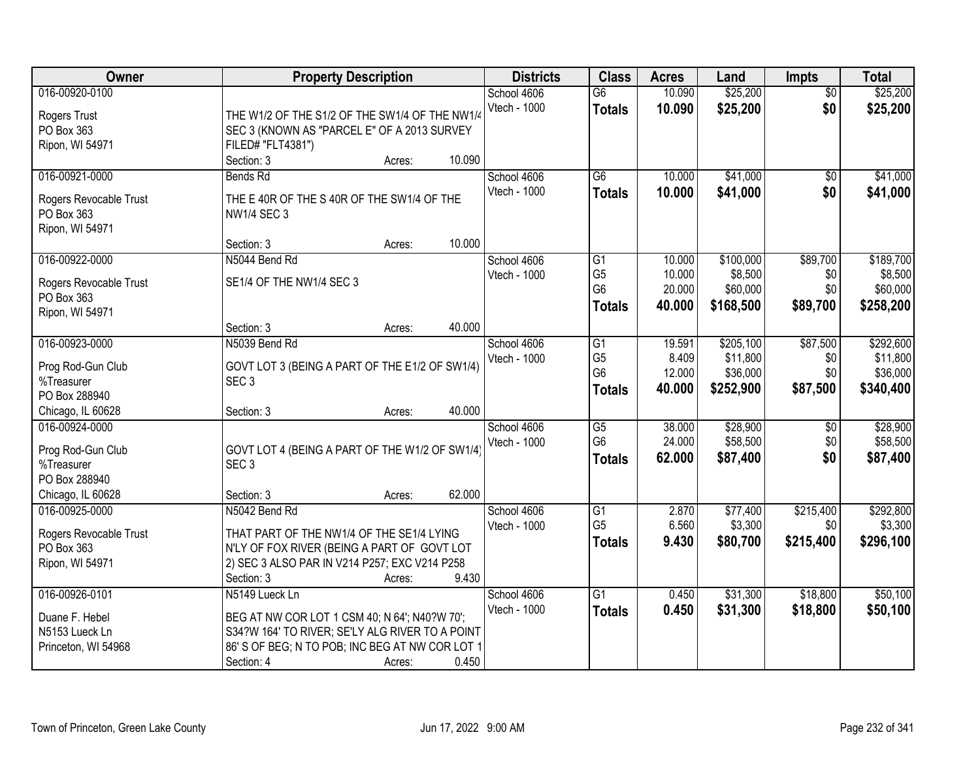| Owner                                                                     | <b>Property Description</b>                                                                                                                                                                            | <b>Districts</b>            | <b>Class</b>                                            | <b>Acres</b>                         | Land                                           | <b>Impts</b>                       | <b>Total</b>                                   |
|---------------------------------------------------------------------------|--------------------------------------------------------------------------------------------------------------------------------------------------------------------------------------------------------|-----------------------------|---------------------------------------------------------|--------------------------------------|------------------------------------------------|------------------------------------|------------------------------------------------|
| 016-00920-0100<br>Rogers Trust<br>PO Box 363                              | THE W1/2 OF THE S1/2 OF THE SW1/4 OF THE NW1/4<br>SEC 3 (KNOWN AS "PARCEL E" OF A 2013 SURVEY                                                                                                          | School 4606<br>Vtech - 1000 | $\overline{G6}$<br><b>Totals</b>                        | 10.090<br>10.090                     | \$25,200<br>\$25,200                           | $\overline{50}$<br>\$0             | \$25,200<br>\$25,200                           |
| Ripon, WI 54971                                                           | FILED# "FLT4381")<br>10.090<br>Section: 3<br>Acres:                                                                                                                                                    |                             |                                                         |                                      |                                                |                                    |                                                |
| 016-00921-0000<br>Rogers Revocable Trust<br>PO Box 363<br>Ripon, WI 54971 | Bends Rd<br>THE E 40R OF THE S 40R OF THE SW1/4 OF THE<br><b>NW1/4 SEC 3</b>                                                                                                                           | School 4606<br>Vtech - 1000 | $\overline{G6}$<br><b>Totals</b>                        | 10.000<br>10.000                     | \$41,000<br>\$41,000                           | \$0<br>\$0                         | \$41,000<br>\$41,000                           |
|                                                                           | 10.000<br>Section: 3<br>Acres:                                                                                                                                                                         |                             |                                                         |                                      |                                                |                                    |                                                |
| 016-00922-0000<br>Rogers Revocable Trust<br>PO Box 363<br>Ripon, WI 54971 | N5044 Bend Rd<br>SE1/4 OF THE NW1/4 SEC 3                                                                                                                                                              | School 4606<br>Vtech - 1000 | G1<br>G <sub>5</sub><br>G <sub>6</sub><br><b>Totals</b> | 10.000<br>10.000<br>20.000<br>40.000 | \$100,000<br>\$8,500<br>\$60,000<br>\$168,500  | \$89,700<br>\$0<br>\$0<br>\$89,700 | \$189,700<br>\$8,500<br>\$60,000<br>\$258,200  |
|                                                                           | 40.000<br>Section: 3<br>Acres:                                                                                                                                                                         |                             |                                                         |                                      |                                                |                                    |                                                |
| 016-00923-0000<br>Prog Rod-Gun Club<br>%Treasurer<br>PO Box 288940        | N5039 Bend Rd<br>GOVT LOT 3 (BEING A PART OF THE E1/2 OF SW1/4)<br>SEC <sub>3</sub>                                                                                                                    | School 4606<br>Vtech - 1000 | G1<br>G <sub>5</sub><br>G <sub>6</sub><br><b>Totals</b> | 19.591<br>8.409<br>12.000<br>40.000  | \$205,100<br>\$11,800<br>\$36,000<br>\$252,900 | \$87,500<br>\$0<br>\$0<br>\$87,500 | \$292,600<br>\$11,800<br>\$36,000<br>\$340,400 |
| Chicago, IL 60628                                                         | 40.000<br>Section: 3<br>Acres:                                                                                                                                                                         |                             |                                                         |                                      |                                                |                                    |                                                |
| 016-00924-0000<br>Prog Rod-Gun Club<br>%Treasurer<br>PO Box 288940        | GOVT LOT 4 (BEING A PART OF THE W1/2 OF SW1/4)<br>SEC <sub>3</sub>                                                                                                                                     | School 4606<br>Vtech - 1000 | $\overline{G5}$<br>G <sub>6</sub><br><b>Totals</b>      | 38.000<br>24.000<br>62.000           | \$28,900<br>\$58,500<br>\$87,400               | \$0<br>\$0<br>\$0                  | \$28,900<br>\$58,500<br>\$87,400               |
| Chicago, IL 60628                                                         | 62.000<br>Section: 3<br>Acres:                                                                                                                                                                         |                             |                                                         |                                      |                                                |                                    |                                                |
| 016-00925-0000<br>Rogers Revocable Trust<br>PO Box 363<br>Ripon, WI 54971 | N5042 Bend Rd<br>THAT PART OF THE NW1/4 OF THE SE1/4 LYING<br>N'LY OF FOX RIVER (BEING A PART OF GOVT LOT<br>2) SEC 3 ALSO PAR IN V214 P257; EXC V214 P258<br>9.430<br>Section: 3<br>Acres:            | School 4606<br>Vtech - 1000 | G1<br>G <sub>5</sub><br><b>Totals</b>                   | 2.870<br>6.560<br>9.430              | \$77,400<br>\$3,300<br>\$80,700                | \$215,400<br>\$0<br>\$215,400      | \$292,800<br>\$3,300<br>\$296,100              |
| 016-00926-0101<br>Duane F. Hebel<br>N5153 Lueck Ln<br>Princeton, WI 54968 | N5149 Lueck Ln<br>BEG AT NW COR LOT 1 CSM 40; N 64'; N40?W 70';<br>S34?W 164' TO RIVER; SE'LY ALG RIVER TO A POINT<br>86' S OF BEG; N TO POB; INC BEG AT NW COR LOT 1<br>0.450<br>Section: 4<br>Acres: | School 4606<br>Vtech - 1000 | $\overline{G1}$<br><b>Totals</b>                        | 0.450<br>0.450                       | \$31,300<br>\$31,300                           | \$18,800<br>\$18,800               | \$50,100<br>\$50,100                           |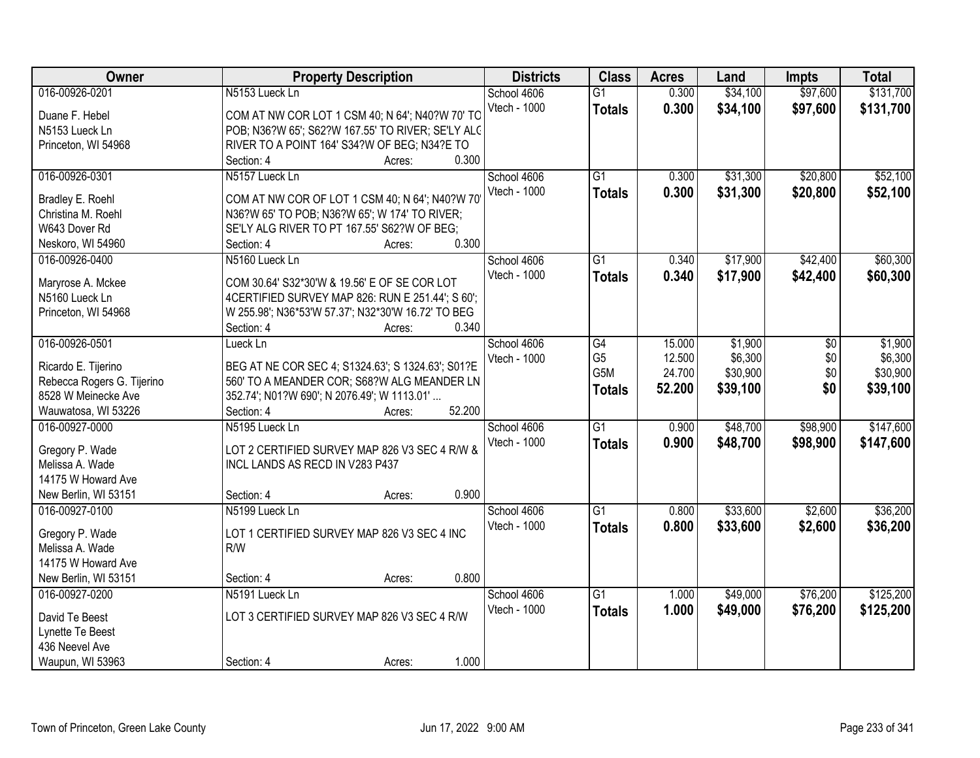| Owner                              | <b>Property Description</b>                        | <b>Districts</b> | <b>Class</b>    | <b>Acres</b> | Land     | <b>Impts</b> | <b>Total</b> |
|------------------------------------|----------------------------------------------------|------------------|-----------------|--------------|----------|--------------|--------------|
| 016-00926-0201                     | N5153 Lueck Ln                                     | School 4606      | $\overline{G1}$ | 0.300        | \$34,100 | \$97,600     | \$131,700    |
| Duane F. Hebel                     | COM AT NW COR LOT 1 CSM 40; N 64'; N40?W 70' TO    | Vtech - 1000     | <b>Totals</b>   | 0.300        | \$34,100 | \$97,600     | \$131,700    |
| N5153 Lueck Ln                     | POB; N36?W 65'; S62?W 167.55' TO RIVER; SE'LY ALC  |                  |                 |              |          |              |              |
| Princeton, WI 54968                | RIVER TO A POINT 164' S34?W OF BEG; N34?E TO       |                  |                 |              |          |              |              |
|                                    | Section: 4<br>Acres:                               | 0.300            |                 |              |          |              |              |
| 016-00926-0301                     | N5157 Lueck Ln                                     | School 4606      | $\overline{G1}$ | 0.300        | \$31,300 | \$20,800     | \$52,100     |
|                                    |                                                    | Vtech - 1000     | <b>Totals</b>   | 0.300        | \$31,300 | \$20,800     | \$52,100     |
| Bradley E. Roehl                   | COM AT NW COR OF LOT 1 CSM 40; N 64'; N40?W 70     |                  |                 |              |          |              |              |
| Christina M. Roehl                 | N36?W 65' TO POB; N36?W 65'; W 174' TO RIVER;      |                  |                 |              |          |              |              |
| W643 Dover Rd                      | SE'LY ALG RIVER TO PT 167.55' S62?W OF BEG;        |                  |                 |              |          |              |              |
| Neskoro, WI 54960                  | 0.300<br>Section: 4<br>Acres:                      |                  |                 |              |          |              |              |
| 016-00926-0400                     | N5160 Lueck Ln                                     | School 4606      | $\overline{G1}$ | 0.340        | \$17,900 | \$42,400     | \$60,300     |
| Maryrose A. Mckee                  | COM 30.64' S32*30'W & 19.56' E OF SE COR LOT       | Vtech - 1000     | <b>Totals</b>   | 0.340        | \$17,900 | \$42,400     | \$60,300     |
| N5160 Lueck Ln                     | 4 CERTIFIED SURVEY MAP 826: RUN E 251.44'; S 60';  |                  |                 |              |          |              |              |
| Princeton, WI 54968                | W 255.98'; N36*53'W 57.37'; N32*30'W 16.72' TO BEG |                  |                 |              |          |              |              |
|                                    | Section: 4<br>Acres:                               | 0.340            |                 |              |          |              |              |
| 016-00926-0501                     | Lueck Ln                                           | School 4606      | G4              | 15.000       | \$1,900  | \$0          | \$1,900      |
|                                    |                                                    | Vtech - 1000     | G <sub>5</sub>  | 12.500       | \$6,300  | \$0          | \$6,300      |
| Ricardo E. Tijerino                | BEG AT NE COR SEC 4; S1324.63'; S 1324.63'; S01?E  |                  | G5M             | 24.700       | \$30,900 | \$0          | \$30,900     |
| Rebecca Rogers G. Tijerino         | 560' TO A MEANDER COR; S68?W ALG MEANDER LN        |                  | <b>Totals</b>   | 52.200       | \$39,100 | \$0          | \$39,100     |
| 8528 W Meinecke Ave                | 352.74'; N01?W 690'; N 2076.49'; W 1113.01'        |                  |                 |              |          |              |              |
| Wauwatosa, WI 53226                | 52.200<br>Section: 4<br>Acres:                     |                  |                 |              |          |              |              |
| 016-00927-0000                     | N5195 Lueck Ln                                     | School 4606      | $\overline{G1}$ | 0.900        | \$48,700 | \$98,900     | \$147,600    |
| Gregory P. Wade                    | LOT 2 CERTIFIED SURVEY MAP 826 V3 SEC 4 R/W &      | Vtech - 1000     | <b>Totals</b>   | 0.900        | \$48,700 | \$98,900     | \$147,600    |
| Melissa A. Wade                    | INCL LANDS AS RECD IN V283 P437                    |                  |                 |              |          |              |              |
| 14175 W Howard Ave                 |                                                    |                  |                 |              |          |              |              |
| New Berlin, WI 53151               | Section: 4<br>Acres:                               | 0.900            |                 |              |          |              |              |
| 016-00927-0100                     | N5199 Lueck Ln                                     | School 4606      | G1              | 0.800        | \$33,600 | \$2,600      | \$36,200     |
|                                    | LOT 1 CERTIFIED SURVEY MAP 826 V3 SEC 4 INC        | Vtech - 1000     | <b>Totals</b>   | 0.800        | \$33,600 | \$2,600      | \$36,200     |
| Gregory P. Wade<br>Melissa A. Wade | R/W                                                |                  |                 |              |          |              |              |
| 14175 W Howard Ave                 |                                                    |                  |                 |              |          |              |              |
| New Berlin, WI 53151               | Section: 4                                         | 0.800            |                 |              |          |              |              |
|                                    | Acres:                                             |                  |                 |              |          |              | \$125,200    |
| 016-00927-0200                     | N5191 Lueck Ln                                     | School 4606      | G1              | 1.000        | \$49,000 | \$76,200     |              |
| David Te Beest                     | LOT 3 CERTIFIED SURVEY MAP 826 V3 SEC 4 R/W        | Vtech - 1000     | <b>Totals</b>   | 1.000        | \$49,000 | \$76,200     | \$125,200    |
| Lynette Te Beest                   |                                                    |                  |                 |              |          |              |              |
| 436 Neevel Ave                     |                                                    |                  |                 |              |          |              |              |
| Waupun, WI 53963                   | Section: 4<br>Acres:                               | 1.000            |                 |              |          |              |              |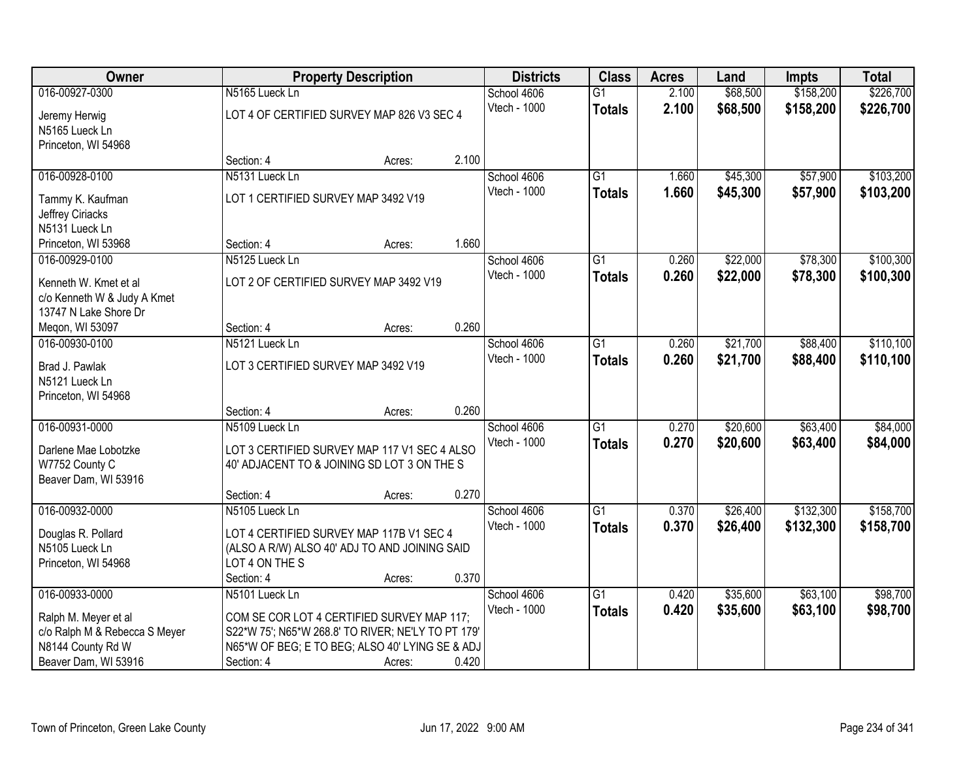| Owner                                                |                                                    | <b>Property Description</b> |       | <b>Districts</b> | <b>Class</b>    | <b>Acres</b> | Land     | <b>Impts</b> | <b>Total</b> |
|------------------------------------------------------|----------------------------------------------------|-----------------------------|-------|------------------|-----------------|--------------|----------|--------------|--------------|
| 016-00927-0300                                       | N5165 Lueck Ln                                     |                             |       | School 4606      | $\overline{G1}$ | 2.100        | \$68,500 | \$158,200    | \$226,700    |
| Jeremy Herwig                                        | LOT 4 OF CERTIFIED SURVEY MAP 826 V3 SEC 4         |                             |       | Vtech - 1000     | <b>Totals</b>   | 2.100        | \$68,500 | \$158,200    | \$226,700    |
| N5165 Lueck Ln                                       |                                                    |                             |       |                  |                 |              |          |              |              |
| Princeton, WI 54968                                  |                                                    |                             |       |                  |                 |              |          |              |              |
|                                                      | Section: 4                                         | Acres:                      | 2.100 |                  |                 |              |          |              |              |
| 016-00928-0100                                       | N5131 Lueck Ln                                     |                             |       | School 4606      | $\overline{G1}$ | 1.660        | \$45,300 | \$57,900     | \$103,200    |
| Tammy K. Kaufman                                     | LOT 1 CERTIFIED SURVEY MAP 3492 V19                |                             |       | Vtech - 1000     | <b>Totals</b>   | 1.660        | \$45,300 | \$57,900     | \$103,200    |
| Jeffrey Ciriacks                                     |                                                    |                             |       |                  |                 |              |          |              |              |
| N5131 Lueck Ln                                       |                                                    |                             |       |                  |                 |              |          |              |              |
| Princeton, WI 53968                                  | Section: 4                                         | Acres:                      | 1.660 |                  |                 |              |          |              |              |
| 016-00929-0100                                       | N5125 Lueck Ln                                     |                             |       | School 4606      | $\overline{G1}$ | 0.260        | \$22,000 | \$78,300     | \$100,300    |
|                                                      | LOT 2 OF CERTIFIED SURVEY MAP 3492 V19             |                             |       | Vtech - 1000     | <b>Totals</b>   | 0.260        | \$22,000 | \$78,300     | \$100,300    |
| Kenneth W. Kmet et al<br>c/o Kenneth W & Judy A Kmet |                                                    |                             |       |                  |                 |              |          |              |              |
| 13747 N Lake Shore Dr                                |                                                    |                             |       |                  |                 |              |          |              |              |
| Megon, WI 53097                                      | Section: 4                                         | Acres:                      | 0.260 |                  |                 |              |          |              |              |
| 016-00930-0100                                       | N5121 Lueck Ln                                     |                             |       | School 4606      | G1              | 0.260        | \$21,700 | \$88,400     | \$110,100    |
|                                                      |                                                    |                             |       | Vtech - 1000     | <b>Totals</b>   | 0.260        | \$21,700 | \$88,400     | \$110,100    |
| Brad J. Pawlak                                       | LOT 3 CERTIFIED SURVEY MAP 3492 V19                |                             |       |                  |                 |              |          |              |              |
| N5121 Lueck Ln                                       |                                                    |                             |       |                  |                 |              |          |              |              |
| Princeton, WI 54968                                  | Section: 4                                         | Acres:                      | 0.260 |                  |                 |              |          |              |              |
| 016-00931-0000                                       | N5109 Lueck Ln                                     |                             |       | School 4606      | $\overline{G1}$ | 0.270        | \$20,600 | \$63,400     | \$84,000     |
|                                                      |                                                    |                             |       | Vtech - 1000     | <b>Totals</b>   | 0.270        | \$20,600 | \$63,400     | \$84,000     |
| Darlene Mae Lobotzke                                 | LOT 3 CERTIFIED SURVEY MAP 117 V1 SEC 4 ALSO       |                             |       |                  |                 |              |          |              |              |
| W7752 County C                                       | 40' ADJACENT TO & JOINING SD LOT 3 ON THE S        |                             |       |                  |                 |              |          |              |              |
| Beaver Dam, WI 53916                                 |                                                    |                             |       |                  |                 |              |          |              |              |
|                                                      | Section: 4                                         | Acres:                      | 0.270 |                  |                 |              |          |              |              |
| 016-00932-0000                                       | N5105 Lueck Ln                                     |                             |       | School 4606      | G <sub>1</sub>  | 0.370        | \$26,400 | \$132,300    | \$158,700    |
| Douglas R. Pollard                                   | LOT 4 CERTIFIED SURVEY MAP 117B V1 SEC 4           |                             |       | Vtech - 1000     | <b>Totals</b>   | 0.370        | \$26,400 | \$132,300    | \$158,700    |
| N5105 Lueck Ln                                       | (ALSO A R/W) ALSO 40' ADJ TO AND JOINING SAID      |                             |       |                  |                 |              |          |              |              |
| Princeton, WI 54968                                  | LOT 4 ON THE S                                     |                             |       |                  |                 |              |          |              |              |
|                                                      | Section: 4                                         | Acres:                      | 0.370 |                  |                 |              |          |              |              |
| 016-00933-0000                                       | N5101 Lueck Ln                                     |                             |       | School 4606      | $\overline{G1}$ | 0.420        | \$35,600 | \$63,100     | \$98,700     |
| Ralph M. Meyer et al                                 | COM SE COR LOT 4 CERTIFIED SURVEY MAP 117;         |                             |       | Vtech - 1000     | <b>Totals</b>   | 0.420        | \$35,600 | \$63,100     | \$98,700     |
| c/o Ralph M & Rebecca S Meyer                        | S22*W 75'; N65*W 268.8' TO RIVER; NE'LY TO PT 179' |                             |       |                  |                 |              |          |              |              |
| N8144 County Rd W                                    | N65*W OF BEG; E TO BEG; ALSO 40' LYING SE & ADJ    |                             |       |                  |                 |              |          |              |              |
| Beaver Dam, WI 53916                                 | Section: 4                                         | Acres:                      | 0.420 |                  |                 |              |          |              |              |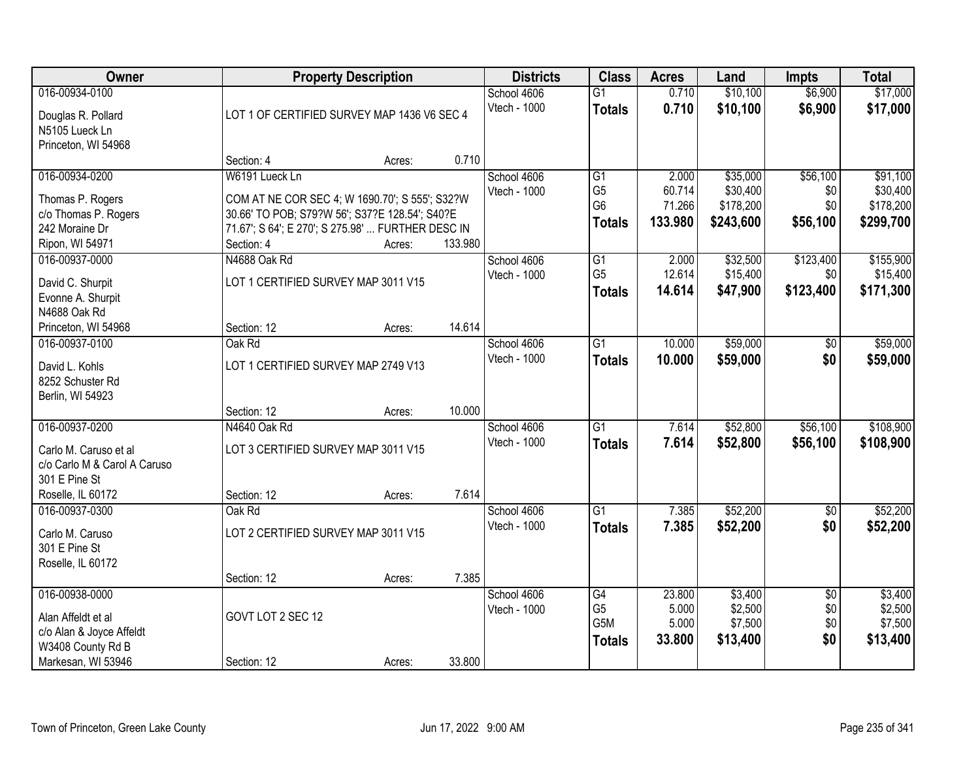| Owner                        | <b>Property Description</b>                       |        |         | <b>Districts</b> | <b>Class</b>                     | <b>Acres</b> | Land      | <b>Impts</b>    | <b>Total</b> |
|------------------------------|---------------------------------------------------|--------|---------|------------------|----------------------------------|--------------|-----------|-----------------|--------------|
| 016-00934-0100               |                                                   |        |         | School 4606      | $\overline{G1}$                  | 0.710        | \$10,100  | \$6,900         | \$17,000     |
| Douglas R. Pollard           | LOT 1 OF CERTIFIED SURVEY MAP 1436 V6 SEC 4       |        |         | Vtech - 1000     | <b>Totals</b>                    | 0.710        | \$10,100  | \$6,900         | \$17,000     |
| N5105 Lueck Ln               |                                                   |        |         |                  |                                  |              |           |                 |              |
| Princeton, WI 54968          |                                                   |        |         |                  |                                  |              |           |                 |              |
|                              | Section: 4                                        | Acres: | 0.710   |                  |                                  |              |           |                 |              |
| 016-00934-0200               | W6191 Lueck Ln                                    |        |         | School 4606      | G1                               | 2.000        | \$35,000  | \$56,100        | \$91,100     |
| Thomas P. Rogers             | COM AT NE COR SEC 4; W 1690.70'; S 555'; S32?W    |        |         | Vtech - 1000     | G <sub>5</sub><br>G <sub>6</sub> | 60.714       | \$30,400  | \$0             | \$30,400     |
| c/o Thomas P. Rogers         | 30.66' TO POB; S79?W 56'; S37?E 128.54'; S40?E    |        |         |                  |                                  | 71.266       | \$178,200 | \$0             | \$178,200    |
| 242 Moraine Dr               | 71.67'; S 64'; E 270'; S 275.98'  FURTHER DESC IN |        |         |                  | <b>Totals</b>                    | 133.980      | \$243,600 | \$56,100        | \$299,700    |
| Ripon, WI 54971              | Section: 4                                        | Acres: | 133.980 |                  |                                  |              |           |                 |              |
| 016-00937-0000               | N4688 Oak Rd                                      |        |         | School 4606      | G1                               | 2.000        | \$32,500  | \$123,400       | \$155,900    |
| David C. Shurpit             | LOT 1 CERTIFIED SURVEY MAP 3011 V15               |        |         | Vtech - 1000     | G <sub>5</sub>                   | 12.614       | \$15,400  | \$0             | \$15,400     |
| Evonne A. Shurpit            |                                                   |        |         |                  | <b>Totals</b>                    | 14.614       | \$47,900  | \$123,400       | \$171,300    |
| N4688 Oak Rd                 |                                                   |        |         |                  |                                  |              |           |                 |              |
| Princeton, WI 54968          | Section: 12                                       | Acres: | 14.614  |                  |                                  |              |           |                 |              |
| 016-00937-0100               | Oak Rd                                            |        |         | School 4606      | $\overline{G1}$                  | 10.000       | \$59,000  | \$0             | \$59,000     |
| David L. Kohls               | LOT 1 CERTIFIED SURVEY MAP 2749 V13               |        |         | Vtech - 1000     | <b>Totals</b>                    | 10.000       | \$59,000  | \$0             | \$59,000     |
| 8252 Schuster Rd             |                                                   |        |         |                  |                                  |              |           |                 |              |
| Berlin, WI 54923             |                                                   |        |         |                  |                                  |              |           |                 |              |
|                              | Section: 12                                       | Acres: | 10.000  |                  |                                  |              |           |                 |              |
| 016-00937-0200               | N4640 Oak Rd                                      |        |         | School 4606      | $\overline{G1}$                  | 7.614        | \$52,800  | \$56,100        | \$108,900    |
| Carlo M. Caruso et al        | LOT 3 CERTIFIED SURVEY MAP 3011 V15               |        |         | Vtech - 1000     | <b>Totals</b>                    | 7.614        | \$52,800  | \$56,100        | \$108,900    |
| c/o Carlo M & Carol A Caruso |                                                   |        |         |                  |                                  |              |           |                 |              |
| 301 E Pine St                |                                                   |        |         |                  |                                  |              |           |                 |              |
| Roselle, IL 60172            | Section: 12                                       | Acres: | 7.614   |                  |                                  |              |           |                 |              |
| 016-00937-0300               | Oak Rd                                            |        |         | School 4606      | $\overline{G1}$                  | 7.385        | \$52,200  | $\overline{60}$ | \$52,200     |
| Carlo M. Caruso              | LOT 2 CERTIFIED SURVEY MAP 3011 V15               |        |         | Vtech - 1000     | <b>Totals</b>                    | 7.385        | \$52,200  | \$0             | \$52,200     |
| 301 E Pine St                |                                                   |        |         |                  |                                  |              |           |                 |              |
| Roselle, IL 60172            |                                                   |        |         |                  |                                  |              |           |                 |              |
|                              | Section: 12                                       | Acres: | 7.385   |                  |                                  |              |           |                 |              |
| 016-00938-0000               |                                                   |        |         | School 4606      | G4                               | 23.800       | \$3,400   | $\overline{50}$ | \$3,400      |
| Alan Affeldt et al           | GOVT LOT 2 SEC 12                                 |        |         | Vtech - 1000     | G <sub>5</sub>                   | 5.000        | \$2,500   | \$0             | \$2,500      |
| c/o Alan & Joyce Affeldt     |                                                   |        |         |                  | G5M                              | 5.000        | \$7,500   | \$0             | \$7,500      |
| W3408 County Rd B            |                                                   |        |         |                  | <b>Totals</b>                    | 33.800       | \$13,400  | \$0             | \$13,400     |
| Markesan, WI 53946           | Section: 12                                       | Acres: | 33.800  |                  |                                  |              |           |                 |              |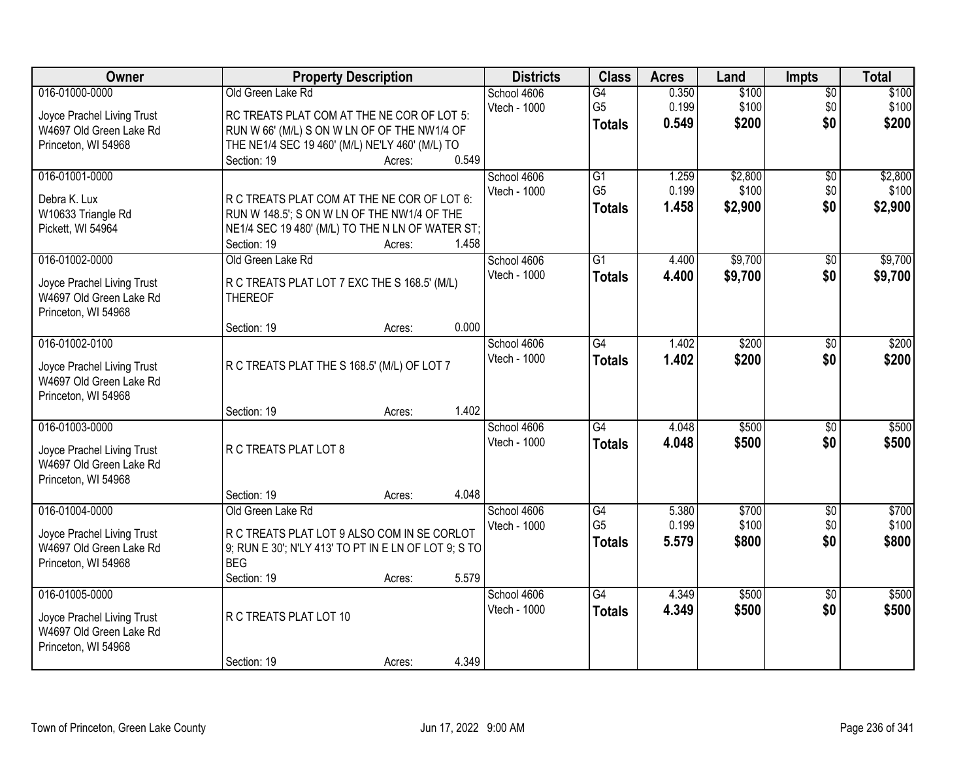| Owner                                                                                          | <b>Property Description</b>                                                                                                                                                                 | <b>Districts</b>                              | <b>Class</b>                                       | <b>Acres</b>            | Land                        | <b>Impts</b>                  | <b>Total</b>                |
|------------------------------------------------------------------------------------------------|---------------------------------------------------------------------------------------------------------------------------------------------------------------------------------------------|-----------------------------------------------|----------------------------------------------------|-------------------------|-----------------------------|-------------------------------|-----------------------------|
| 016-01000-0000<br>Joyce Prachel Living Trust<br>W4697 Old Green Lake Rd<br>Princeton, WI 54968 | Old Green Lake Rd<br>RC TREATS PLAT COM AT THE NE COR OF LOT 5:<br>RUN W 66' (M/L) S ON W LN OF OF THE NW1/4 OF<br>THE NE1/4 SEC 19 460' (M/L) NE'LY 460' (M/L) TO<br>Section: 19<br>Acres: | School 4606<br>Vtech - 1000<br>0.549          | $\overline{G4}$<br>G <sub>5</sub><br><b>Totals</b> | 0.350<br>0.199<br>0.549 | \$100<br>\$100<br>\$200     | $\overline{50}$<br>\$0<br>\$0 | \$100<br>\$100<br>\$200     |
| 016-01001-0000<br>Debra K. Lux<br>W10633 Triangle Rd<br>Pickett, WI 54964                      | R C TREATS PLAT COM AT THE NE COR OF LOT 6:<br>RUN W 148.5'; S ON W LN OF THE NW1/4 OF THE<br>NE1/4 SEC 19 480' (M/L) TO THE N LN OF WATER ST;<br>Section: 19<br>Acres:                     | School 4606<br>Vtech - 1000<br>1.458          | $\overline{G1}$<br>G <sub>5</sub><br><b>Totals</b> | 1.259<br>0.199<br>1.458 | \$2,800<br>\$100<br>\$2,900 | \$0<br>\$0<br>\$0             | \$2,800<br>\$100<br>\$2,900 |
| 016-01002-0000<br>Joyce Prachel Living Trust<br>W4697 Old Green Lake Rd<br>Princeton, WI 54968 | Old Green Lake Rd<br>R C TREATS PLAT LOT 7 EXC THE S 168.5' (M/L)<br><b>THEREOF</b>                                                                                                         | School 4606<br>Vtech - 1000                   | $\overline{G1}$<br><b>Totals</b>                   | 4.400<br>4.400          | \$9,700<br>\$9,700          | \$0<br>\$0                    | \$9,700<br>\$9,700          |
| 016-01002-0100<br>Joyce Prachel Living Trust<br>W4697 Old Green Lake Rd<br>Princeton, WI 54968 | Section: 19<br>Acres:<br>R C TREATS PLAT THE S 168.5' (M/L) OF LOT 7<br>Section: 19<br>Acres:                                                                                               | 0.000<br>School 4606<br>Vtech - 1000<br>1.402 | $\overline{G4}$<br><b>Totals</b>                   | 1.402<br>1.402          | \$200<br>\$200              | $\sqrt[6]{3}$<br>\$0          | \$200<br>\$200              |
| 016-01003-0000<br>Joyce Prachel Living Trust<br>W4697 Old Green Lake Rd<br>Princeton, WI 54968 | R C TREATS PLAT LOT 8<br>Section: 19<br>Acres:                                                                                                                                              | School 4606<br>Vtech - 1000<br>4.048          | $\overline{G4}$<br><b>Totals</b>                   | 4.048<br>4.048          | \$500<br>\$500              | $\overline{50}$<br>\$0        | \$500<br>\$500              |
| 016-01004-0000<br>Joyce Prachel Living Trust<br>W4697 Old Green Lake Rd<br>Princeton, WI 54968 | Old Green Lake Rd<br>R C TREATS PLAT LOT 9 ALSO COM IN SE CORLOT<br>9; RUN E 30'; N'LY 413' TO PT IN E LN OF LOT 9; S TO<br><b>BEG</b><br>Section: 19<br>Acres:                             | School 4606<br>Vtech - 1000<br>5.579          | G4<br>G <sub>5</sub><br><b>Totals</b>              | 5.380<br>0.199<br>5.579 | \$700<br>\$100<br>\$800     | $\overline{50}$<br>\$0<br>\$0 | \$700<br>\$100<br>\$800     |
| 016-01005-0000<br>Joyce Prachel Living Trust<br>W4697 Old Green Lake Rd<br>Princeton, WI 54968 | R C TREATS PLAT LOT 10<br>Section: 19<br>Acres:                                                                                                                                             | School 4606<br>Vtech - 1000<br>4.349          | $\overline{G4}$<br><b>Totals</b>                   | 4.349<br>4.349          | \$500<br>\$500              | $\overline{50}$<br>\$0        | \$500<br>\$500              |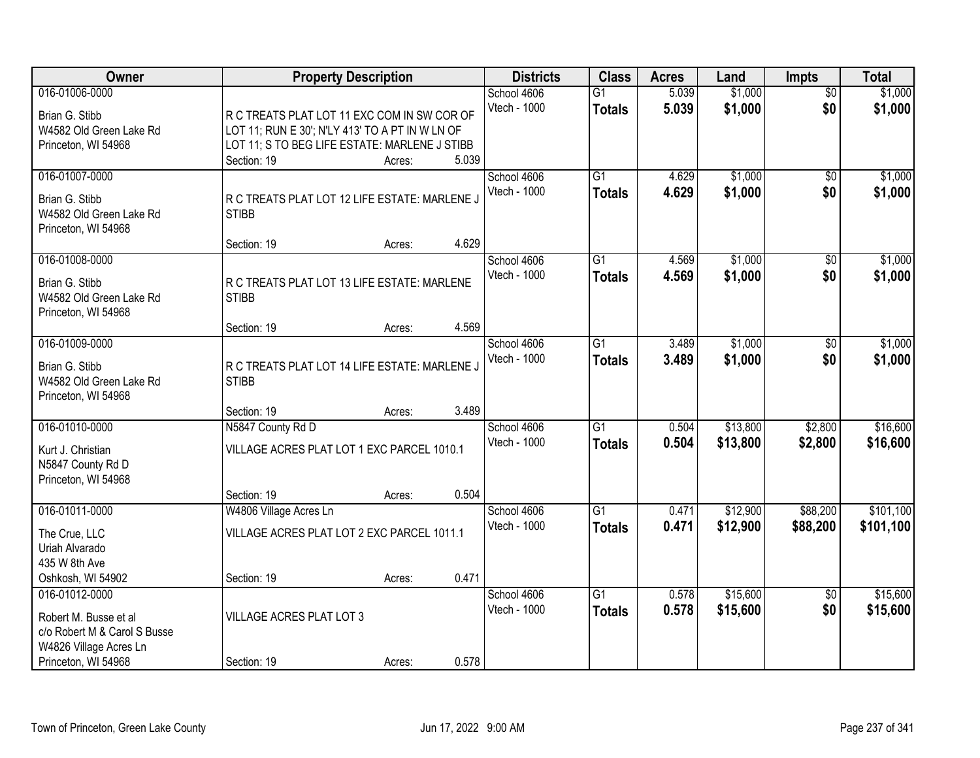| <b>Owner</b>                                                                                                             | <b>Property Description</b>                                                                                                                                    |                | <b>Districts</b>            | <b>Class</b>                     | <b>Acres</b>   | Land                 | <b>Impts</b>           | <b>Total</b>           |
|--------------------------------------------------------------------------------------------------------------------------|----------------------------------------------------------------------------------------------------------------------------------------------------------------|----------------|-----------------------------|----------------------------------|----------------|----------------------|------------------------|------------------------|
| 016-01006-0000<br>Brian G. Stibb<br>W4582 Old Green Lake Rd<br>Princeton, WI 54968                                       | R C TREATS PLAT LOT 11 EXC COM IN SW COR OF<br>LOT 11; RUN E 30'; N'LY 413' TO A PT IN W LN OF<br>LOT 11; S TO BEG LIFE ESTATE: MARLENE J STIBB<br>Section: 19 | 5.039          | School 4606<br>Vtech - 1000 | $\overline{G1}$<br><b>Totals</b> | 5.039<br>5.039 | \$1,000<br>\$1,000   | $\overline{30}$<br>\$0 | \$1,000<br>\$1,000     |
| 016-01007-0000<br>Brian G. Stibb<br>W4582 Old Green Lake Rd<br>Princeton, WI 54968                                       | Acres:<br>R C TREATS PLAT LOT 12 LIFE ESTATE: MARLENE J<br><b>STIBB</b>                                                                                        |                | School 4606<br>Vtech - 1000 | $\overline{G1}$<br><b>Totals</b> | 4.629<br>4.629 | \$1,000<br>\$1,000   | \$0<br>\$0             | \$1,000<br>\$1,000     |
| 016-01008-0000<br>Brian G. Stibb<br>W4582 Old Green Lake Rd<br>Princeton, WI 54968                                       | Section: 19<br>Acres:<br>R C TREATS PLAT LOT 13 LIFE ESTATE: MARLENE<br><b>STIBB</b>                                                                           | 4.629<br>4.569 | School 4606<br>Vtech - 1000 | G1<br><b>Totals</b>              | 4.569<br>4.569 | \$1,000<br>\$1,000   | \$0<br>\$0             | \$1,000<br>\$1,000     |
| 016-01009-0000<br>Brian G. Stibb<br>W4582 Old Green Lake Rd<br>Princeton, WI 54968                                       | Section: 19<br>Acres:<br>R C TREATS PLAT LOT 14 LIFE ESTATE: MARLENE J<br><b>STIBB</b><br>Section: 19<br>Acres:                                                | 3.489          | School 4606<br>Vtech - 1000 | G1<br><b>Totals</b>              | 3.489<br>3.489 | \$1,000<br>\$1,000   | \$0<br>\$0             | \$1,000<br>\$1,000     |
| 016-01010-0000<br>Kurt J. Christian<br>N5847 County Rd D<br>Princeton, WI 54968                                          | N5847 County Rd D<br>VILLAGE ACRES PLAT LOT 1 EXC PARCEL 1010.1<br>Section: 19<br>Acres:                                                                       | 0.504          | School 4606<br>Vtech - 1000 | $\overline{G1}$<br><b>Totals</b> | 0.504<br>0.504 | \$13,800<br>\$13,800 | \$2,800<br>\$2,800     | \$16,600<br>\$16,600   |
| 016-01011-0000<br>The Crue, LLC<br>Uriah Alvarado<br>435 W 8th Ave<br>Oshkosh, WI 54902                                  | W4806 Village Acres Ln<br>VILLAGE ACRES PLAT LOT 2 EXC PARCEL 1011.1<br>Section: 19<br>Acres:                                                                  | 0.471          | School 4606<br>Vtech - 1000 | $\overline{G1}$<br><b>Totals</b> | 0.471<br>0.471 | \$12,900<br>\$12,900 | \$88,200<br>\$88,200   | \$101,100<br>\$101,100 |
| 016-01012-0000<br>Robert M. Busse et al<br>c/o Robert M & Carol S Busse<br>W4826 Village Acres Ln<br>Princeton, WI 54968 | <b>VILLAGE ACRES PLAT LOT 3</b><br>Section: 19<br>Acres:                                                                                                       | 0.578          | School 4606<br>Vtech - 1000 | $\overline{G1}$<br><b>Totals</b> | 0.578<br>0.578 | \$15,600<br>\$15,600 | $\overline{50}$<br>\$0 | \$15,600<br>\$15,600   |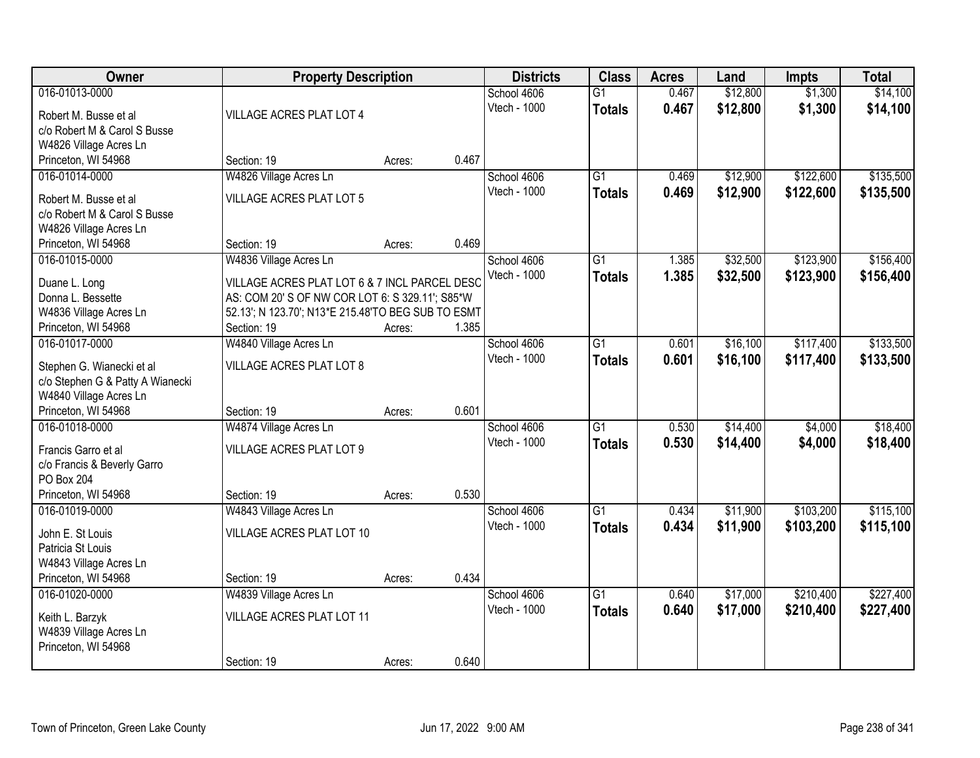| Owner                                         | <b>Property Description</b>                                                                           |        | <b>Districts</b> | <b>Class</b> | <b>Acres</b>    | Land  | <b>Impts</b> | <b>Total</b> |           |
|-----------------------------------------------|-------------------------------------------------------------------------------------------------------|--------|------------------|--------------|-----------------|-------|--------------|--------------|-----------|
| 016-01013-0000                                |                                                                                                       |        |                  | School 4606  | $\overline{G1}$ | 0.467 | \$12,800     | \$1,300      | \$14,100  |
| Robert M. Busse et al                         | VILLAGE ACRES PLAT LOT 4                                                                              |        |                  | Vtech - 1000 | <b>Totals</b>   | 0.467 | \$12,800     | \$1,300      | \$14,100  |
| c/o Robert M & Carol S Busse                  |                                                                                                       |        |                  |              |                 |       |              |              |           |
| W4826 Village Acres Ln                        |                                                                                                       |        |                  |              |                 |       |              |              |           |
| Princeton, WI 54968                           | Section: 19                                                                                           | Acres: | 0.467            |              |                 |       |              |              |           |
| 016-01014-0000                                | W4826 Village Acres Ln                                                                                |        |                  | School 4606  | $\overline{G1}$ | 0.469 | \$12,900     | \$122,600    | \$135,500 |
| Robert M. Busse et al                         | <b>VILLAGE ACRES PLAT LOT 5</b>                                                                       |        |                  | Vtech - 1000 | <b>Totals</b>   | 0.469 | \$12,900     | \$122,600    | \$135,500 |
| c/o Robert M & Carol S Busse                  |                                                                                                       |        |                  |              |                 |       |              |              |           |
| W4826 Village Acres Ln                        |                                                                                                       |        |                  |              |                 |       |              |              |           |
| Princeton, WI 54968                           | Section: 19                                                                                           | Acres: | 0.469            |              |                 |       |              |              |           |
| 016-01015-0000                                | W4836 Village Acres Ln                                                                                |        |                  | School 4606  | G1              | 1.385 | \$32,500     | \$123,900    | \$156,400 |
|                                               |                                                                                                       |        |                  | Vtech - 1000 | <b>Totals</b>   | 1.385 | \$32,500     | \$123,900    | \$156,400 |
| Duane L. Long<br>Donna L. Bessette            | VILLAGE ACRES PLAT LOT 6 & 7 INCL PARCEL DESC                                                         |        |                  |              |                 |       |              |              |           |
|                                               | AS: COM 20' S OF NW COR LOT 6: S 329.11'; S85*W<br>52.13'; N 123.70'; N13*E 215.48'TO BEG SUB TO ESMT |        |                  |              |                 |       |              |              |           |
| W4836 Village Acres Ln<br>Princeton, WI 54968 | Section: 19                                                                                           | Acres: | 1.385            |              |                 |       |              |              |           |
| 016-01017-0000                                | W4840 Village Acres Ln                                                                                |        |                  | School 4606  | G1              | 0.601 | \$16,100     | \$117,400    | \$133,500 |
|                                               |                                                                                                       |        |                  | Vtech - 1000 | <b>Totals</b>   | 0.601 | \$16,100     | \$117,400    | \$133,500 |
| Stephen G. Wianecki et al                     | <b>VILLAGE ACRES PLAT LOT 8</b>                                                                       |        |                  |              |                 |       |              |              |           |
| c/o Stephen G & Patty A Wianecki              |                                                                                                       |        |                  |              |                 |       |              |              |           |
| W4840 Village Acres Ln                        |                                                                                                       |        |                  |              |                 |       |              |              |           |
| Princeton, WI 54968                           | Section: 19                                                                                           | Acres: | 0.601            |              |                 |       |              |              |           |
| 016-01018-0000                                | W4874 Village Acres Ln                                                                                |        |                  | School 4606  | $\overline{G1}$ | 0.530 | \$14,400     | \$4,000      | \$18,400  |
| Francis Garro et al                           | VILLAGE ACRES PLAT LOT 9                                                                              |        |                  | Vtech - 1000 | <b>Totals</b>   | 0.530 | \$14,400     | \$4,000      | \$18,400  |
| c/o Francis & Beverly Garro                   |                                                                                                       |        |                  |              |                 |       |              |              |           |
| PO Box 204                                    |                                                                                                       |        |                  |              |                 |       |              |              |           |
| Princeton, WI 54968                           | Section: 19                                                                                           | Acres: | 0.530            |              |                 |       |              |              |           |
| 016-01019-0000                                | W4843 Village Acres Ln                                                                                |        |                  | School 4606  | $\overline{G1}$ | 0.434 | \$11,900     | \$103,200    | \$115,100 |
| John E. St Louis                              | VILLAGE ACRES PLAT LOT 10                                                                             |        |                  | Vtech - 1000 | <b>Totals</b>   | 0.434 | \$11,900     | \$103,200    | \$115,100 |
| Patricia St Louis                             |                                                                                                       |        |                  |              |                 |       |              |              |           |
| W4843 Village Acres Ln                        |                                                                                                       |        |                  |              |                 |       |              |              |           |
| Princeton, WI 54968                           | Section: 19                                                                                           | Acres: | 0.434            |              |                 |       |              |              |           |
| 016-01020-0000                                | W4839 Village Acres Ln                                                                                |        |                  | School 4606  | $\overline{G1}$ | 0.640 | \$17,000     | \$210,400    | \$227,400 |
| Keith L. Barzyk                               | VILLAGE ACRES PLAT LOT 11                                                                             |        |                  | Vtech - 1000 | <b>Totals</b>   | 0.640 | \$17,000     | \$210,400    | \$227,400 |
| W4839 Village Acres Ln                        |                                                                                                       |        |                  |              |                 |       |              |              |           |
| Princeton, WI 54968                           |                                                                                                       |        |                  |              |                 |       |              |              |           |
|                                               | Section: 19                                                                                           | Acres: | 0.640            |              |                 |       |              |              |           |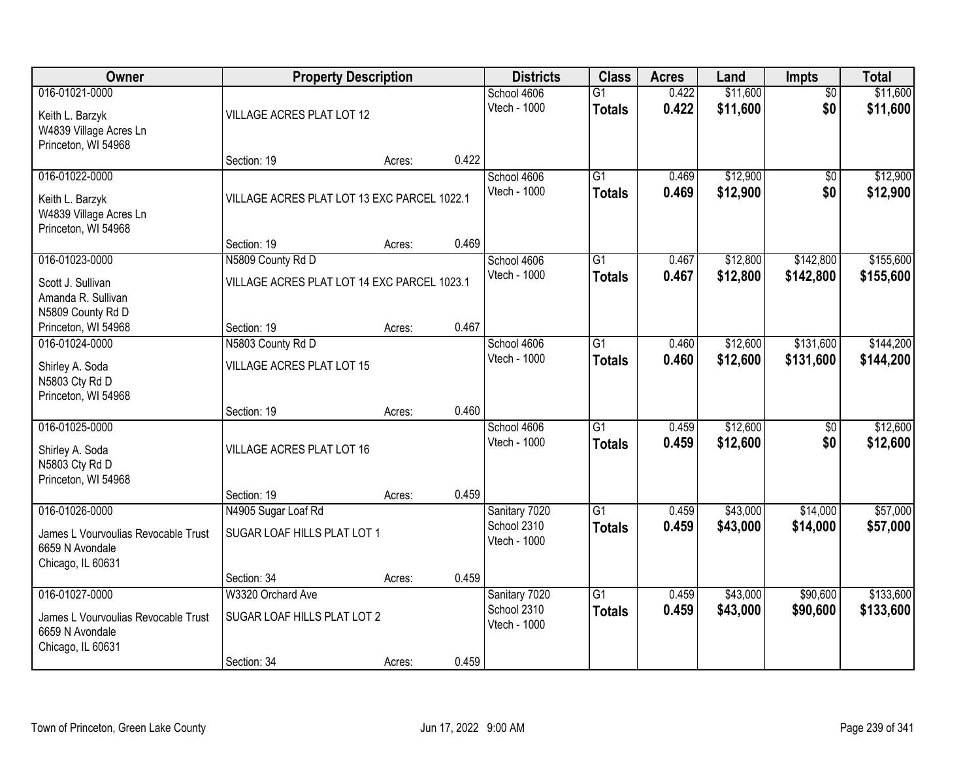| Owner                                   | <b>Property Description</b>                 |        |       | <b>Districts</b>            | <b>Class</b>    | <b>Acres</b> | Land     | Impts           | <b>Total</b> |
|-----------------------------------------|---------------------------------------------|--------|-------|-----------------------------|-----------------|--------------|----------|-----------------|--------------|
| 016-01021-0000                          |                                             |        |       | School 4606                 | $\overline{G1}$ | 0.422        | \$11,600 | $\overline{50}$ | \$11,600     |
| Keith L. Barzyk                         | VILLAGE ACRES PLAT LOT 12                   |        |       | Vtech - 1000                | <b>Totals</b>   | 0.422        | \$11,600 | \$0             | \$11,600     |
| W4839 Village Acres Ln                  |                                             |        |       |                             |                 |              |          |                 |              |
| Princeton, WI 54968                     |                                             |        | 0.422 |                             |                 |              |          |                 |              |
| 016-01022-0000                          | Section: 19                                 | Acres: |       | School 4606                 | $\overline{G1}$ | 0.469        | \$12,900 | \$0             | \$12,900     |
|                                         |                                             |        |       | Vtech - 1000                | <b>Totals</b>   | 0.469        | \$12,900 | \$0             | \$12,900     |
| Keith L. Barzyk                         | VILLAGE ACRES PLAT LOT 13 EXC PARCEL 1022.1 |        |       |                             |                 |              |          |                 |              |
| W4839 Village Acres Ln                  |                                             |        |       |                             |                 |              |          |                 |              |
| Princeton, WI 54968                     | Section: 19                                 | Acres: | 0.469 |                             |                 |              |          |                 |              |
| 016-01023-0000                          | N5809 County Rd D                           |        |       | School 4606                 | $\overline{G1}$ | 0.467        | \$12,800 | \$142,800       | \$155,600    |
|                                         |                                             |        |       | Vtech - 1000                | <b>Totals</b>   | 0.467        | \$12,800 | \$142,800       | \$155,600    |
| Scott J. Sullivan                       | VILLAGE ACRES PLAT LOT 14 EXC PARCEL 1023.1 |        |       |                             |                 |              |          |                 |              |
| Amanda R. Sullivan<br>N5809 County Rd D |                                             |        |       |                             |                 |              |          |                 |              |
| Princeton, WI 54968                     | Section: 19                                 | Acres: | 0.467 |                             |                 |              |          |                 |              |
| 016-01024-0000                          | N5803 County Rd D                           |        |       | School 4606                 | $\overline{G1}$ | 0.460        | \$12,600 | \$131,600       | \$144,200    |
|                                         |                                             |        |       | Vtech - 1000                | <b>Totals</b>   | 0.460        | \$12,600 | \$131,600       | \$144,200    |
| Shirley A. Soda<br>N5803 Cty Rd D       | VILLAGE ACRES PLAT LOT 15                   |        |       |                             |                 |              |          |                 |              |
| Princeton, WI 54968                     |                                             |        |       |                             |                 |              |          |                 |              |
|                                         | Section: 19                                 | Acres: | 0.460 |                             |                 |              |          |                 |              |
| 016-01025-0000                          |                                             |        |       | School 4606                 | $\overline{G1}$ | 0.459        | \$12,600 | $\overline{50}$ | \$12,600     |
| Shirley A. Soda                         | VILLAGE ACRES PLAT LOT 16                   |        |       | Vtech - 1000                | <b>Totals</b>   | 0.459        | \$12,600 | \$0             | \$12,600     |
| N5803 Cty Rd D                          |                                             |        |       |                             |                 |              |          |                 |              |
| Princeton, WI 54968                     |                                             |        |       |                             |                 |              |          |                 |              |
|                                         | Section: 19                                 | Acres: | 0.459 |                             |                 |              |          |                 |              |
| 016-01026-0000                          | N4905 Sugar Loaf Rd                         |        |       | Sanitary 7020               | $\overline{G1}$ | 0.459        | \$43,000 | \$14,000        | \$57,000     |
| James L Vourvoulias Revocable Trust     | SUGAR LOAF HILLS PLAT LOT 1                 |        |       | School 2310                 | <b>Totals</b>   | 0.459        | \$43,000 | \$14,000        | \$57,000     |
| 6659 N Avondale                         |                                             |        |       | Vtech - 1000                |                 |              |          |                 |              |
| Chicago, IL 60631                       |                                             |        |       |                             |                 |              |          |                 |              |
|                                         | Section: 34                                 | Acres: | 0.459 |                             |                 |              |          |                 |              |
| 016-01027-0000                          | W3320 Orchard Ave                           |        |       | Sanitary 7020               | $\overline{G1}$ | 0.459        | \$43,000 | \$90,600        | \$133,600    |
| James L Vourvoulias Revocable Trust     | SUGAR LOAF HILLS PLAT LOT 2                 |        |       | School 2310<br>Vtech - 1000 | <b>Totals</b>   | 0.459        | \$43,000 | \$90,600        | \$133,600    |
| 6659 N Avondale                         |                                             |        |       |                             |                 |              |          |                 |              |
| Chicago, IL 60631                       |                                             |        |       |                             |                 |              |          |                 |              |
|                                         | Section: 34                                 | Acres: | 0.459 |                             |                 |              |          |                 |              |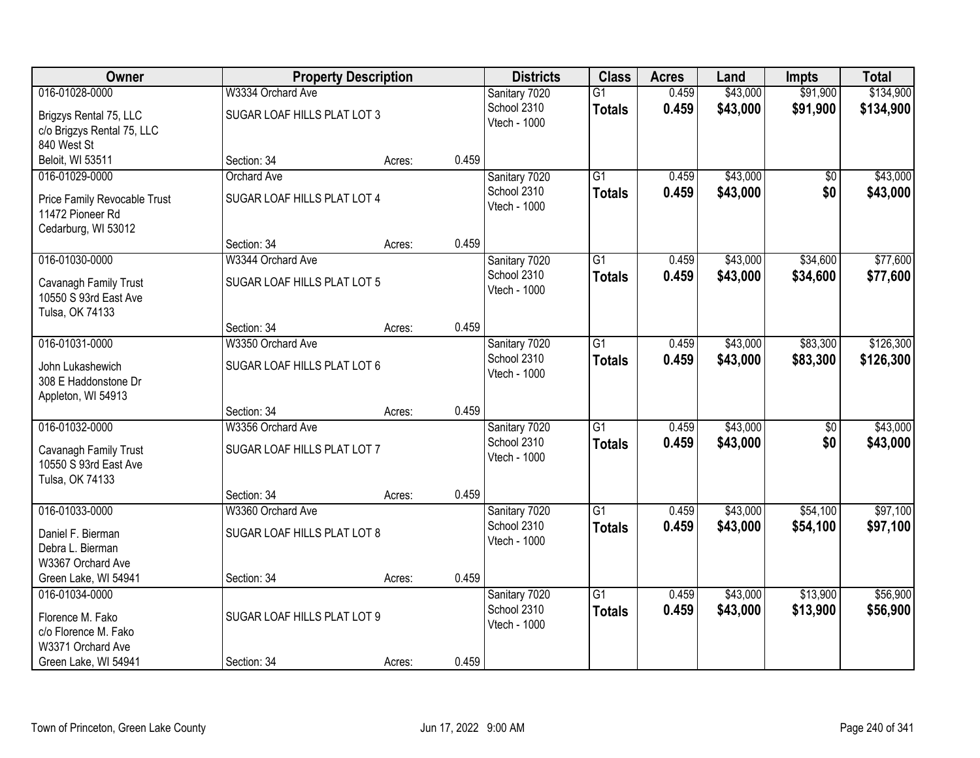| Owner                                                                   |                             | <b>Property Description</b> |       | <b>Districts</b>            | <b>Class</b>    | <b>Acres</b> | Land     | <b>Impts</b> | <b>Total</b> |
|-------------------------------------------------------------------------|-----------------------------|-----------------------------|-------|-----------------------------|-----------------|--------------|----------|--------------|--------------|
| 016-01028-0000                                                          | W3334 Orchard Ave           |                             |       | Sanitary 7020               | $\overline{G1}$ | 0.459        | \$43,000 | \$91,900     | \$134,900    |
| Brigzys Rental 75, LLC<br>c/o Brigzys Rental 75, LLC<br>840 West St     | SUGAR LOAF HILLS PLAT LOT 3 |                             |       | School 2310<br>Vtech - 1000 | <b>Totals</b>   | 0.459        | \$43,000 | \$91,900     | \$134,900    |
| Beloit, WI 53511                                                        | Section: 34                 | Acres:                      | 0.459 |                             |                 |              |          |              |              |
| 016-01029-0000                                                          | <b>Orchard Ave</b>          |                             |       | Sanitary 7020               | $\overline{G1}$ | 0.459        | \$43,000 | \$0          | \$43,000     |
| Price Family Revocable Trust<br>11472 Pioneer Rd<br>Cedarburg, WI 53012 | SUGAR LOAF HILLS PLAT LOT 4 |                             |       | School 2310<br>Vtech - 1000 | <b>Totals</b>   | 0.459        | \$43,000 | \$0          | \$43,000     |
|                                                                         | Section: 34                 | Acres:                      | 0.459 |                             |                 |              |          |              |              |
| 016-01030-0000                                                          | W3344 Orchard Ave           |                             |       | Sanitary 7020               | $\overline{G1}$ | 0.459        | \$43,000 | \$34,600     | \$77,600     |
| Cavanagh Family Trust<br>10550 S 93rd East Ave<br>Tulsa, OK 74133       | SUGAR LOAF HILLS PLAT LOT 5 |                             |       | School 2310<br>Vtech - 1000 | <b>Totals</b>   | 0.459        | \$43,000 | \$34,600     | \$77,600     |
|                                                                         | Section: 34                 | Acres:                      | 0.459 |                             |                 |              |          |              |              |
| 016-01031-0000                                                          | W3350 Orchard Ave           |                             |       | Sanitary 7020               | $\overline{G1}$ | 0.459        | \$43,000 | \$83,300     | \$126,300    |
| John Lukashewich<br>308 E Haddonstone Dr<br>Appleton, WI 54913          | SUGAR LOAF HILLS PLAT LOT 6 |                             |       | School 2310<br>Vtech - 1000 | <b>Totals</b>   | 0.459        | \$43,000 | \$83,300     | \$126,300    |
|                                                                         | Section: 34                 | Acres:                      | 0.459 |                             |                 |              |          |              |              |
| 016-01032-0000                                                          | W3356 Orchard Ave           |                             |       | Sanitary 7020               | $\overline{G1}$ | 0.459        | \$43,000 | \$0          | \$43,000     |
| Cavanagh Family Trust<br>10550 S 93rd East Ave<br>Tulsa, OK 74133       | SUGAR LOAF HILLS PLAT LOT 7 |                             |       | School 2310<br>Vtech - 1000 | <b>Totals</b>   | 0.459        | \$43,000 | \$0          | \$43,000     |
|                                                                         | Section: 34                 | Acres:                      | 0.459 |                             |                 |              |          |              |              |
| 016-01033-0000                                                          | W3360 Orchard Ave           |                             |       | Sanitary 7020               | $\overline{G1}$ | 0.459        | \$43,000 | \$54,100     | \$97,100     |
| Daniel F. Bierman<br>Debra L. Bierman<br>W3367 Orchard Ave              | SUGAR LOAF HILLS PLAT LOT 8 |                             |       | School 2310<br>Vtech - 1000 | <b>Totals</b>   | 0.459        | \$43,000 | \$54,100     | \$97,100     |
| Green Lake, WI 54941                                                    | Section: 34                 | Acres:                      | 0.459 |                             |                 |              |          |              |              |
| 016-01034-0000                                                          |                             |                             |       | Sanitary 7020               | $\overline{G1}$ | 0.459        | \$43,000 | \$13,900     | \$56,900     |
| Florence M. Fako<br>c/o Florence M. Fako<br>W3371 Orchard Ave           | SUGAR LOAF HILLS PLAT LOT 9 |                             |       | School 2310<br>Vtech - 1000 | <b>Totals</b>   | 0.459        | \$43,000 | \$13,900     | \$56,900     |
| Green Lake, WI 54941                                                    | Section: 34                 | Acres:                      | 0.459 |                             |                 |              |          |              |              |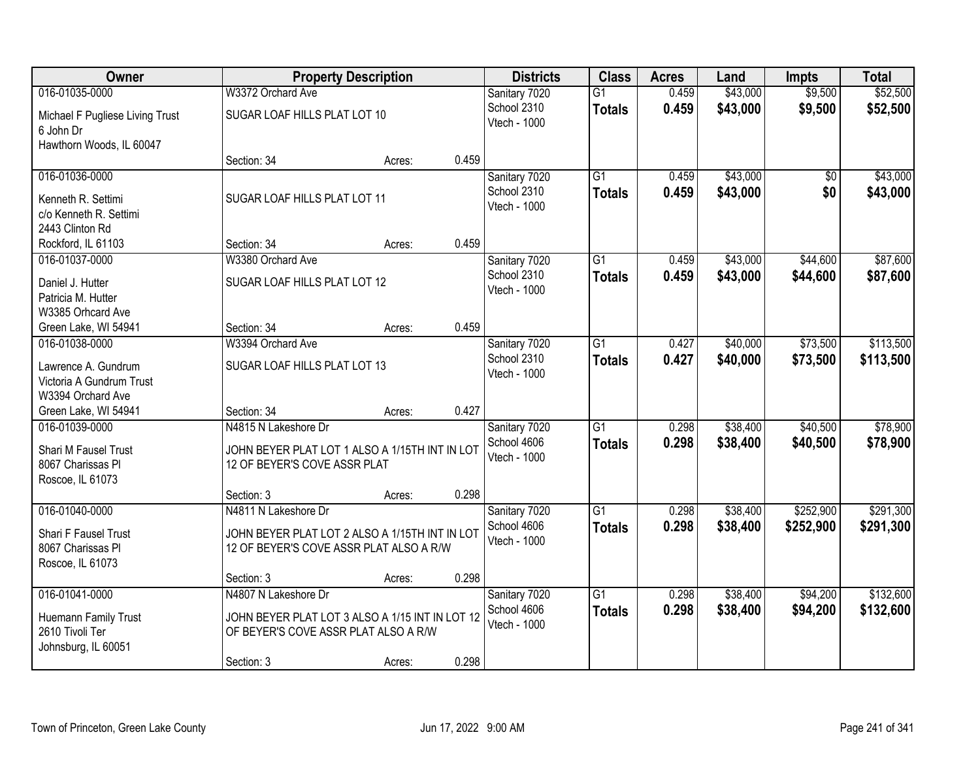| Owner                                        |                                                                                         | <b>Property Description</b> |       | <b>Districts</b>            | <b>Class</b>    | <b>Acres</b> | Land     | <b>Impts</b>    | <b>Total</b> |
|----------------------------------------------|-----------------------------------------------------------------------------------------|-----------------------------|-------|-----------------------------|-----------------|--------------|----------|-----------------|--------------|
| 016-01035-0000                               | W3372 Orchard Ave                                                                       |                             |       | Sanitary 7020               | $\overline{G1}$ | 0.459        | \$43,000 | \$9,500         | \$52,500     |
| Michael F Pugliese Living Trust<br>6 John Dr | SUGAR LOAF HILLS PLAT LOT 10                                                            |                             |       | School 2310<br>Vtech - 1000 | <b>Totals</b>   | 0.459        | \$43,000 | \$9,500         | \$52,500     |
| Hawthorn Woods, IL 60047                     | Section: 34                                                                             | Acres:                      | 0.459 |                             |                 |              |          |                 |              |
| 016-01036-0000                               |                                                                                         |                             |       | Sanitary 7020               | $\overline{G1}$ | 0.459        | \$43,000 | $\overline{50}$ | \$43,000     |
|                                              |                                                                                         |                             |       | School 2310                 | <b>Totals</b>   | 0.459        | \$43,000 | \$0             | \$43,000     |
| Kenneth R. Settimi                           | SUGAR LOAF HILLS PLAT LOT 11                                                            |                             |       | Vtech - 1000                |                 |              |          |                 |              |
| c/o Kenneth R. Settimi                       |                                                                                         |                             |       |                             |                 |              |          |                 |              |
| 2443 Clinton Rd                              |                                                                                         |                             |       |                             |                 |              |          |                 |              |
| Rockford, IL 61103                           | Section: 34                                                                             | Acres:                      | 0.459 |                             |                 |              |          |                 |              |
| 016-01037-0000                               | W3380 Orchard Ave                                                                       |                             |       | Sanitary 7020               | $\overline{G1}$ | 0.459        | \$43,000 | \$44,600        | \$87,600     |
| Daniel J. Hutter                             | SUGAR LOAF HILLS PLAT LOT 12                                                            |                             |       | School 2310<br>Vtech - 1000 | <b>Totals</b>   | 0.459        | \$43,000 | \$44,600        | \$87,600     |
| Patricia M. Hutter                           |                                                                                         |                             |       |                             |                 |              |          |                 |              |
| W3385 Orhcard Ave                            |                                                                                         |                             |       |                             |                 |              |          |                 |              |
| Green Lake, WI 54941                         | Section: 34                                                                             | Acres:                      | 0.459 |                             |                 |              |          |                 |              |
| 016-01038-0000                               | W3394 Orchard Ave                                                                       |                             |       | Sanitary 7020               | $\overline{G1}$ | 0.427        | \$40,000 | \$73,500        | \$113,500    |
| Lawrence A. Gundrum                          | SUGAR LOAF HILLS PLAT LOT 13                                                            |                             |       | School 2310                 | <b>Totals</b>   | 0.427        | \$40,000 | \$73,500        | \$113,500    |
| Victoria A Gundrum Trust                     |                                                                                         |                             |       | Vtech - 1000                |                 |              |          |                 |              |
| W3394 Orchard Ave                            |                                                                                         |                             |       |                             |                 |              |          |                 |              |
| Green Lake, WI 54941                         | Section: 34                                                                             | Acres:                      | 0.427 |                             |                 |              |          |                 |              |
| 016-01039-0000                               | N4815 N Lakeshore Dr                                                                    |                             |       | Sanitary 7020               | $\overline{G1}$ | 0.298        | \$38,400 | \$40,500        | \$78,900     |
| Shari M Fausel Trust                         | JOHN BEYER PLAT LOT 1 ALSO A 1/15TH INT IN LOT                                          |                             |       | School 4606                 | <b>Totals</b>   | 0.298        | \$38,400 | \$40,500        | \$78,900     |
| 8067 Charissas Pl                            | 12 OF BEYER'S COVE ASSR PLAT                                                            |                             |       | Vtech - 1000                |                 |              |          |                 |              |
| Roscoe, IL 61073                             |                                                                                         |                             |       |                             |                 |              |          |                 |              |
|                                              | Section: 3                                                                              | Acres:                      | 0.298 |                             |                 |              |          |                 |              |
| 016-01040-0000                               | N4811 N Lakeshore Dr                                                                    |                             |       | Sanitary 7020               | $\overline{G1}$ | 0.298        | \$38,400 | \$252,900       | \$291,300    |
| Shari F Fausel Trust                         | JOHN BEYER PLAT LOT 2 ALSO A 1/15TH INT IN LOT                                          |                             |       | School 4606                 | <b>Totals</b>   | 0.298        | \$38,400 | \$252,900       | \$291,300    |
| 8067 Charissas Pl                            | 12 OF BEYER'S COVE ASSR PLAT ALSO A R/W                                                 |                             |       | Vtech - 1000                |                 |              |          |                 |              |
| Roscoe, IL 61073                             |                                                                                         |                             |       |                             |                 |              |          |                 |              |
|                                              | Section: 3                                                                              | Acres:                      | 0.298 |                             |                 |              |          |                 |              |
| 016-01041-0000                               | N4807 N Lakeshore Dr                                                                    |                             |       | Sanitary 7020               | $\overline{G1}$ | 0.298        | \$38,400 | \$94,200        | \$132,600    |
|                                              |                                                                                         |                             |       | School 4606                 | <b>Totals</b>   | 0.298        | \$38,400 | \$94,200        | \$132,600    |
| Huemann Family Trust<br>2610 Tivoli Ter      | JOHN BEYER PLAT LOT 3 ALSO A 1/15 INT IN LOT 12<br>OF BEYER'S COVE ASSR PLAT ALSO A R/W |                             |       | Vtech - 1000                |                 |              |          |                 |              |
| Johnsburg, IL 60051                          |                                                                                         |                             |       |                             |                 |              |          |                 |              |
|                                              | Section: 3                                                                              | Acres:                      | 0.298 |                             |                 |              |          |                 |              |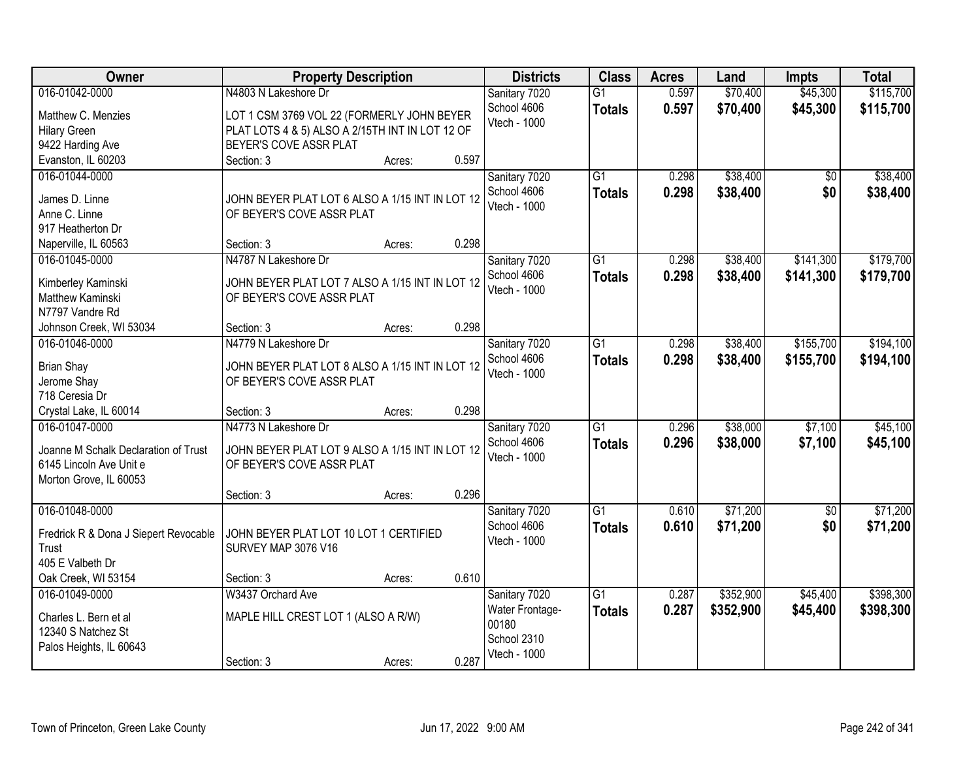| Owner                                                                                                       | <b>Property Description</b>                                                                                             |       | <b>Districts</b>                                                         | <b>Class</b>                     | <b>Acres</b>   | Land                   | <b>Impts</b>           | <b>Total</b>           |
|-------------------------------------------------------------------------------------------------------------|-------------------------------------------------------------------------------------------------------------------------|-------|--------------------------------------------------------------------------|----------------------------------|----------------|------------------------|------------------------|------------------------|
| 016-01042-0000                                                                                              | N4803 N Lakeshore Dr                                                                                                    |       | Sanitary 7020                                                            | $\overline{G1}$                  | 0.597          | \$70,400               | \$45,300               | \$115,700              |
| Matthew C. Menzies<br><b>Hilary Green</b><br>9422 Harding Ave                                               | LOT 1 CSM 3769 VOL 22 (FORMERLY JOHN BEYER<br>PLAT LOTS 4 & 5) ALSO A 2/15TH INT IN LOT 12 OF<br>BEYER'S COVE ASSR PLAT |       | School 4606<br>Vtech - 1000                                              | <b>Totals</b>                    | 0.597          | \$70,400               | \$45,300               | \$115,700              |
| Evanston, IL 60203                                                                                          | Section: 3<br>Acres:                                                                                                    | 0.597 |                                                                          |                                  |                |                        |                        |                        |
| 016-01044-0000<br>James D. Linne<br>Anne C. Linne<br>917 Heatherton Dr                                      | JOHN BEYER PLAT LOT 6 ALSO A 1/15 INT IN LOT 12<br>OF BEYER'S COVE ASSR PLAT                                            |       | Sanitary 7020<br>School 4606<br>Vtech - 1000                             | $\overline{G1}$<br><b>Totals</b> | 0.298<br>0.298 | \$38,400<br>\$38,400   | $\overline{50}$<br>\$0 | \$38,400<br>\$38,400   |
| Naperville, IL 60563                                                                                        | Section: 3<br>Acres:                                                                                                    | 0.298 |                                                                          |                                  |                |                        |                        |                        |
| 016-01045-0000<br>Kimberley Kaminski<br>Matthew Kaminski<br>N7797 Vandre Rd                                 | N4787 N Lakeshore Dr<br>JOHN BEYER PLAT LOT 7 ALSO A 1/15 INT IN LOT 12<br>OF BEYER'S COVE ASSR PLAT                    |       | Sanitary 7020<br>School 4606<br>Vtech - 1000                             | G1<br><b>Totals</b>              | 0.298<br>0.298 | \$38,400<br>\$38,400   | \$141,300<br>\$141,300 | \$179,700<br>\$179,700 |
| Johnson Creek, WI 53034                                                                                     | Section: 3<br>Acres:                                                                                                    | 0.298 |                                                                          |                                  |                |                        |                        |                        |
| 016-01046-0000<br><b>Brian Shay</b><br>Jerome Shay                                                          | N4779 N Lakeshore Dr<br>JOHN BEYER PLAT LOT 8 ALSO A 1/15 INT IN LOT 12<br>OF BEYER'S COVE ASSR PLAT                    |       | Sanitary 7020<br>School 4606<br>Vtech - 1000                             | $\overline{G1}$<br><b>Totals</b> | 0.298<br>0.298 | \$38,400<br>\$38,400   | \$155,700<br>\$155,700 | \$194,100<br>\$194,100 |
| 718 Ceresia Dr<br>Crystal Lake, IL 60014                                                                    | Section: 3<br>Acres:                                                                                                    | 0.298 |                                                                          |                                  |                |                        |                        |                        |
| 016-01047-0000<br>Joanne M Schalk Declaration of Trust<br>6145 Lincoln Ave Unit e<br>Morton Grove, IL 60053 | N4773 N Lakeshore Dr<br>JOHN BEYER PLAT LOT 9 ALSO A 1/15 INT IN LOT 12<br>OF BEYER'S COVE ASSR PLAT                    |       | Sanitary 7020<br>School 4606<br>Vtech - 1000                             | $\overline{G1}$<br><b>Totals</b> | 0.296<br>0.296 | \$38,000<br>\$38,000   | \$7,100<br>\$7,100     | \$45,100<br>\$45,100   |
|                                                                                                             | Section: 3<br>Acres:                                                                                                    | 0.296 |                                                                          |                                  |                |                        |                        |                        |
| 016-01048-0000<br>Fredrick R & Dona J Siepert Revocable<br>Trust<br>405 E Valbeth Dr                        | JOHN BEYER PLAT LOT 10 LOT 1 CERTIFIED<br>SURVEY MAP 3076 V16                                                           |       | Sanitary 7020<br>School 4606<br>Vtech - 1000                             | G1<br><b>Totals</b>              | 0.610<br>0.610 | \$71,200<br>\$71,200   | $\overline{50}$<br>\$0 | \$71,200<br>\$71,200   |
| Oak Creek, WI 53154                                                                                         | Section: 3<br>Acres:                                                                                                    | 0.610 |                                                                          |                                  |                |                        |                        |                        |
| 016-01049-0000<br>Charles L. Bern et al<br>12340 S Natchez St<br>Palos Heights, IL 60643                    | W3437 Orchard Ave<br>MAPLE HILL CREST LOT 1 (ALSO A R/W)<br>Section: 3<br>Acres:                                        | 0.287 | Sanitary 7020<br>Water Frontage-<br>00180<br>School 2310<br>Vtech - 1000 | $\overline{G1}$<br><b>Totals</b> | 0.287<br>0.287 | \$352,900<br>\$352,900 | \$45,400<br>\$45,400   | \$398,300<br>\$398,300 |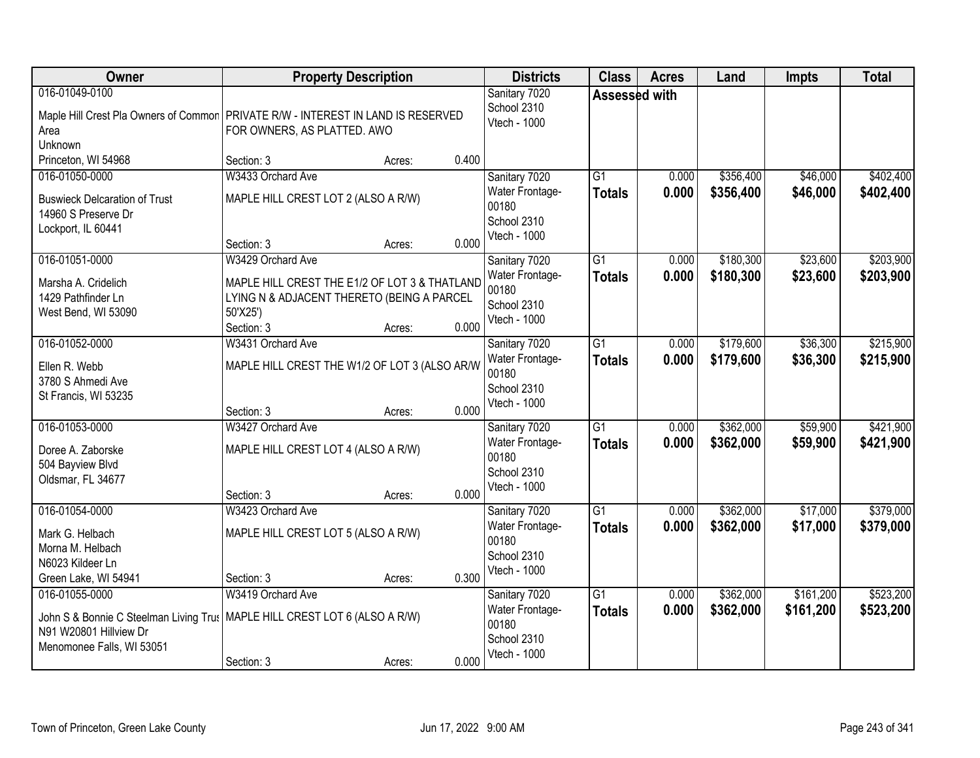| Owner                                                                                               | <b>Property Description</b>                                                                                                                                   | <b>Districts</b>                                                         | <b>Class</b>                     | <b>Acres</b>   | Land                   | <b>Impts</b>           | <b>Total</b>           |
|-----------------------------------------------------------------------------------------------------|---------------------------------------------------------------------------------------------------------------------------------------------------------------|--------------------------------------------------------------------------|----------------------------------|----------------|------------------------|------------------------|------------------------|
| 016-01049-0100<br>Area<br>Unknown                                                                   | Maple Hill Crest Pla Owners of Common   PRIVATE R/W - INTEREST IN LAND IS RESERVED<br>FOR OWNERS, AS PLATTED. AWO                                             | Sanitary 7020<br>School 2310<br>Vtech - 1000                             | Assessed with                    |                |                        |                        |                        |
| Princeton, WI 54968                                                                                 | 0.400<br>Section: 3<br>Acres:                                                                                                                                 |                                                                          |                                  |                |                        |                        |                        |
| 016-01050-0000<br><b>Buswieck Delcaration of Trust</b><br>14960 S Preserve Dr<br>Lockport, IL 60441 | W3433 Orchard Ave<br>MAPLE HILL CREST LOT 2 (ALSO A R/W)<br>0.000<br>Section: 3<br>Acres:                                                                     | Sanitary 7020<br>Water Frontage-<br>00180<br>School 2310<br>Vtech - 1000 | G1<br><b>Totals</b>              | 0.000<br>0.000 | \$356,400<br>\$356,400 | \$46,000<br>\$46,000   | \$402,400<br>\$402,400 |
| 016-01051-0000<br>Marsha A. Cridelich<br>1429 Pathfinder Ln<br>West Bend, WI 53090                  | W3429 Orchard Ave<br>MAPLE HILL CREST THE E1/2 OF LOT 3 & THATLAND<br>LYING N & ADJACENT THERETO (BEING A PARCEL<br>50'X25')<br>0.000<br>Section: 3<br>Acres: | Sanitary 7020<br>Water Frontage-<br>00180<br>School 2310<br>Vtech - 1000 | G1<br><b>Totals</b>              | 0.000<br>0.000 | \$180,300<br>\$180,300 | \$23,600<br>\$23,600   | \$203,900<br>\$203,900 |
| 016-01052-0000<br>Ellen R. Webb<br>3780 S Ahmedi Ave<br>St Francis, WI 53235                        | W3431 Orchard Ave<br>MAPLE HILL CREST THE W1/2 OF LOT 3 (ALSO AR/W<br>0.000<br>Section: 3<br>Acres:                                                           | Sanitary 7020<br>Water Frontage-<br>00180<br>School 2310<br>Vtech - 1000 | $\overline{G1}$<br><b>Totals</b> | 0.000<br>0.000 | \$179,600<br>\$179,600 | \$36,300<br>\$36,300   | \$215,900<br>\$215,900 |
| 016-01053-0000<br>Doree A. Zaborske<br>504 Bayview Blvd<br>Oldsmar, FL 34677                        | W3427 Orchard Ave<br>MAPLE HILL CREST LOT 4 (ALSO A R/W)<br>0.000<br>Section: 3<br>Acres:                                                                     | Sanitary 7020<br>Water Frontage-<br>00180<br>School 2310<br>Vtech - 1000 | $\overline{G1}$<br><b>Totals</b> | 0.000<br>0.000 | \$362,000<br>\$362,000 | \$59,900<br>\$59,900   | \$421,900<br>\$421,900 |
| 016-01054-0000<br>Mark G. Helbach<br>Morna M. Helbach<br>N6023 Kildeer Ln<br>Green Lake, WI 54941   | W3423 Orchard Ave<br>MAPLE HILL CREST LOT 5 (ALSO A R/W)<br>0.300<br>Section: 3<br>Acres:                                                                     | Sanitary 7020<br>Water Frontage-<br>00180<br>School 2310<br>Vtech - 1000 | $\overline{G1}$<br><b>Totals</b> | 0.000<br>0.000 | \$362,000<br>\$362,000 | \$17,000<br>\$17,000   | \$379,000<br>\$379,000 |
| 016-01055-0000<br>N91 W20801 Hillview Dr<br>Menomonee Falls, WI 53051                               | W3419 Orchard Ave<br>John S & Bonnie C Steelman Living Trus   MAPLE HILL CREST LOT 6 (ALSO A R/W)<br>0.000<br>Section: 3<br>Acres:                            | Sanitary 7020<br>Water Frontage-<br>00180<br>School 2310<br>Vtech - 1000 | $\overline{G1}$<br><b>Totals</b> | 0.000<br>0.000 | \$362,000<br>\$362,000 | \$161,200<br>\$161,200 | \$523,200<br>\$523,200 |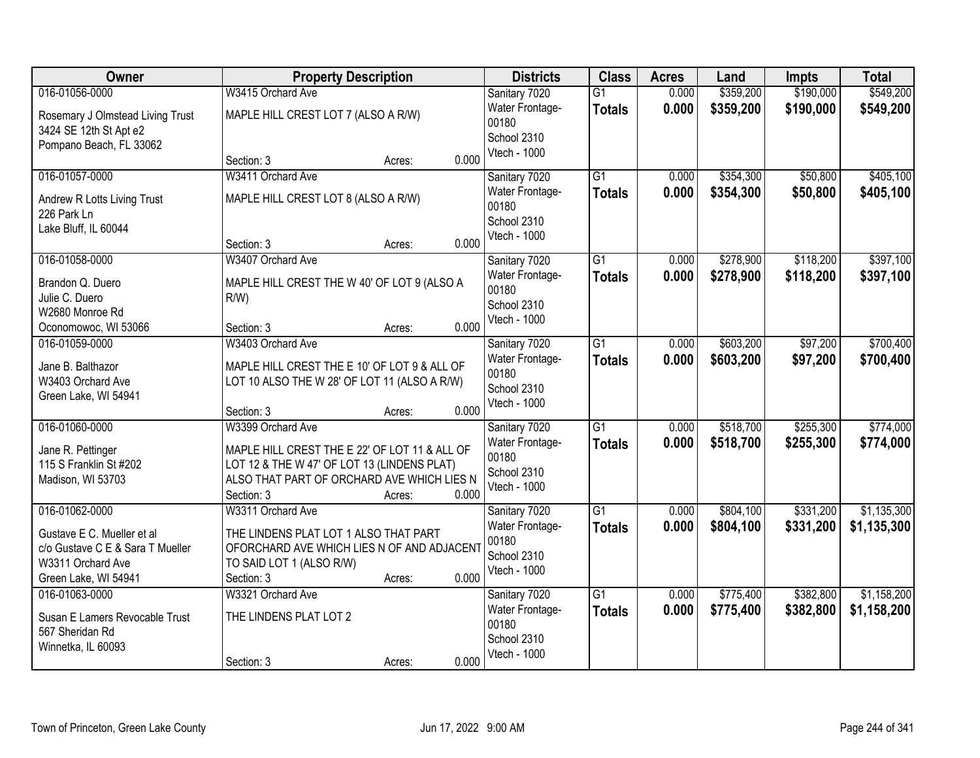| Owner                                             | <b>Property Description</b>                   | <b>Districts</b>         | <b>Class</b>    | <b>Acres</b> | Land      | <b>Impts</b> | <b>Total</b> |
|---------------------------------------------------|-----------------------------------------------|--------------------------|-----------------|--------------|-----------|--------------|--------------|
| 016-01056-0000                                    | W3415 Orchard Ave                             | Sanitary 7020            | $\overline{G1}$ | 0.000        | \$359,200 | \$190,000    | \$549,200    |
| Rosemary J Olmstead Living Trust                  | MAPLE HILL CREST LOT 7 (ALSO A R/W)           | Water Frontage-<br>00180 | <b>Totals</b>   | 0.000        | \$359,200 | \$190,000    | \$549,200    |
| 3424 SE 12th St Apt e2<br>Pompano Beach, FL 33062 |                                               | School 2310              |                 |              |           |              |              |
|                                                   | 0.000<br>Section: 3<br>Acres:                 | Vtech - 1000             |                 |              |           |              |              |
| 016-01057-0000                                    | W3411 Orchard Ave                             | Sanitary 7020            | $\overline{G1}$ | 0.000        | \$354,300 | \$50,800     | \$405,100    |
| Andrew R Lotts Living Trust                       | MAPLE HILL CREST LOT 8 (ALSO A R/W)           | Water Frontage-<br>00180 | <b>Totals</b>   | 0.000        | \$354,300 | \$50,800     | \$405,100    |
| 226 Park Ln<br>Lake Bluff, IL 60044               |                                               | School 2310              |                 |              |           |              |              |
|                                                   | 0.000<br>Section: 3<br>Acres:                 | Vtech - 1000             |                 |              |           |              |              |
| 016-01058-0000                                    | W3407 Orchard Ave                             | Sanitary 7020            | G1              | 0.000        | \$278,900 | \$118,200    | \$397,100    |
| Brandon Q. Duero                                  | MAPLE HILL CREST THE W 40' OF LOT 9 (ALSO A   | Water Frontage-          | <b>Totals</b>   | 0.000        | \$278,900 | \$118,200    | \$397,100    |
| Julie C. Duero                                    | $R/W$ )                                       | 00180                    |                 |              |           |              |              |
| W2680 Monroe Rd                                   |                                               | School 2310              |                 |              |           |              |              |
| Oconomowoc, WI 53066                              | 0.000<br>Section: 3<br>Acres:                 | Vtech - 1000             |                 |              |           |              |              |
| 016-01059-0000                                    | W3403 Orchard Ave                             | Sanitary 7020            | $\overline{G1}$ | 0.000        | \$603,200 | \$97,200     | \$700,400    |
| Jane B. Balthazor                                 | MAPLE HILL CREST THE E 10' OF LOT 9 & ALL OF  | Water Frontage-          | <b>Totals</b>   | 0.000        | \$603,200 | \$97,200     | \$700,400    |
| W3403 Orchard Ave                                 | LOT 10 ALSO THE W 28' OF LOT 11 (ALSO A R/W)  | 00180                    |                 |              |           |              |              |
| Green Lake, WI 54941                              |                                               | School 2310              |                 |              |           |              |              |
|                                                   | 0.000<br>Section: 3<br>Acres:                 | Vtech - 1000             |                 |              |           |              |              |
| 016-01060-0000                                    | W3399 Orchard Ave                             | Sanitary 7020            | $\overline{G1}$ | 0.000        | \$518,700 | \$255,300    | \$774,000    |
| Jane R. Pettinger                                 | MAPLE HILL CREST THE E 22' OF LOT 11 & ALL OF | Water Frontage-          | <b>Totals</b>   | 0.000        | \$518,700 | \$255,300    | \$774,000    |
| 115 S Franklin St #202                            | LOT 12 & THE W 47' OF LOT 13 (LINDENS PLAT)   | 00180                    |                 |              |           |              |              |
| Madison, WI 53703                                 | ALSO THAT PART OF ORCHARD AVE WHICH LIES N    | School 2310              |                 |              |           |              |              |
|                                                   | Section: 3<br>0.000<br>Acres:                 | Vtech - 1000             |                 |              |           |              |              |
| 016-01062-0000                                    | W3311 Orchard Ave                             | Sanitary 7020            | $\overline{G1}$ | 0.000        | \$804,100 | \$331,200    | \$1,135,300  |
| Gustave E C. Mueller et al                        | THE LINDENS PLAT LOT 1 ALSO THAT PART         | Water Frontage-          | <b>Totals</b>   | 0.000        | \$804,100 | \$331,200    | \$1,135,300  |
| c/o Gustave C E & Sara T Mueller                  | OFORCHARD AVE WHICH LIES N OF AND ADJACENT    | 00180                    |                 |              |           |              |              |
| W3311 Orchard Ave                                 | TO SAID LOT 1 (ALSO R/W)                      | School 2310              |                 |              |           |              |              |
| Green Lake, WI 54941                              | 0.000<br>Section: 3<br>Acres:                 | Vtech - 1000             |                 |              |           |              |              |
| 016-01063-0000                                    | W3321 Orchard Ave                             | Sanitary 7020            | $\overline{G1}$ | 0.000        | \$775,400 | \$382,800    | \$1,158,200  |
| Susan E Lamers Revocable Trust                    | THE LINDENS PLAT LOT 2                        | Water Frontage-          | <b>Totals</b>   | 0.000        | \$775,400 | \$382,800    | \$1,158,200  |
| 567 Sheridan Rd                                   |                                               | 00180                    |                 |              |           |              |              |
| Winnetka, IL 60093                                |                                               | School 2310              |                 |              |           |              |              |
|                                                   | 0.000<br>Section: 3<br>Acres:                 | Vtech - 1000             |                 |              |           |              |              |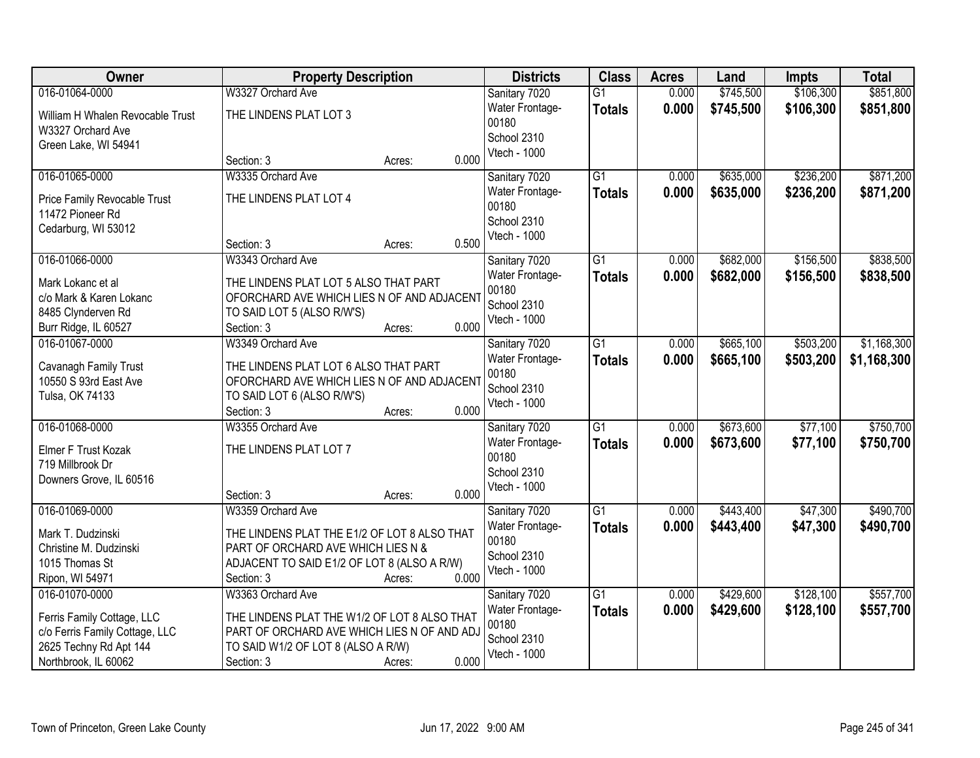| Owner                                          | <b>Property Description</b>                                                         | <b>Districts</b> | <b>Class</b>           | <b>Acres</b>    | Land  | <b>Impts</b> | <b>Total</b> |             |
|------------------------------------------------|-------------------------------------------------------------------------------------|------------------|------------------------|-----------------|-------|--------------|--------------|-------------|
| 016-01064-0000                                 | W3327 Orchard Ave                                                                   |                  | Sanitary 7020          | $\overline{G1}$ | 0.000 | \$745,500    | \$106,300    | \$851,800   |
| William H Whalen Revocable Trust               | THE LINDENS PLAT LOT 3                                                              |                  | Water Frontage-        | <b>Totals</b>   | 0.000 | \$745,500    | \$106,300    | \$851,800   |
| W3327 Orchard Ave                              |                                                                                     |                  | 00180                  |                 |       |              |              |             |
| Green Lake, WI 54941                           |                                                                                     |                  | School 2310            |                 |       |              |              |             |
|                                                | Section: 3                                                                          | 0.000<br>Acres:  | Vtech - 1000           |                 |       |              |              |             |
| 016-01065-0000                                 | W3335 Orchard Ave                                                                   |                  | Sanitary 7020          | $\overline{G1}$ | 0.000 | \$635,000    | \$236,200    | \$871,200   |
| Price Family Revocable Trust                   | THE LINDENS PLAT LOT 4                                                              |                  | Water Frontage-        | <b>Totals</b>   | 0.000 | \$635,000    | \$236,200    | \$871,200   |
| 11472 Pioneer Rd                               |                                                                                     |                  | 00180                  |                 |       |              |              |             |
| Cedarburg, WI 53012                            |                                                                                     |                  | School 2310            |                 |       |              |              |             |
|                                                | Section: 3                                                                          | 0.500<br>Acres:  | Vtech - 1000           |                 |       |              |              |             |
| 016-01066-0000                                 | W3343 Orchard Ave                                                                   |                  | Sanitary 7020          | $\overline{G1}$ | 0.000 | \$682,000    | \$156,500    | \$838,500   |
| Mark Lokanc et al                              | THE LINDENS PLAT LOT 5 ALSO THAT PART                                               |                  | Water Frontage-        | <b>Totals</b>   | 0.000 | \$682,000    | \$156,500    | \$838,500   |
| c/o Mark & Karen Lokanc                        | OFORCHARD AVE WHICH LIES N OF AND ADJACENT                                          |                  | 00180                  |                 |       |              |              |             |
| 8485 Clynderven Rd                             | TO SAID LOT 5 (ALSO R/W'S)                                                          |                  | School 2310            |                 |       |              |              |             |
| Burr Ridge, IL 60527                           | Section: 3                                                                          | 0.000<br>Acres:  | Vtech - 1000           |                 |       |              |              |             |
| 016-01067-0000                                 | W3349 Orchard Ave                                                                   |                  | Sanitary 7020          | $\overline{G1}$ | 0.000 | \$665,100    | \$503,200    | \$1,168,300 |
|                                                |                                                                                     |                  | Water Frontage-        | <b>Totals</b>   | 0.000 | \$665,100    | \$503,200    | \$1,168,300 |
| Cavanagh Family Trust<br>10550 S 93rd East Ave | THE LINDENS PLAT LOT 6 ALSO THAT PART<br>OFORCHARD AVE WHICH LIES N OF AND ADJACENT |                  | 00180                  |                 |       |              |              |             |
| Tulsa, OK 74133                                | TO SAID LOT 6 (ALSO R/W'S)                                                          |                  | School 2310            |                 |       |              |              |             |
|                                                | Section: 3                                                                          | 0.000<br>Acres:  | Vtech - 1000           |                 |       |              |              |             |
| 016-01068-0000                                 | W3355 Orchard Ave                                                                   |                  | Sanitary 7020          | $\overline{G1}$ | 0.000 | \$673,600    | \$77,100     | \$750,700   |
|                                                |                                                                                     |                  | Water Frontage-        | <b>Totals</b>   | 0.000 | \$673,600    | \$77,100     | \$750,700   |
| Elmer F Trust Kozak                            | THE LINDENS PLAT LOT 7                                                              |                  | 00180                  |                 |       |              |              |             |
| 719 Millbrook Dr                               |                                                                                     |                  | School 2310            |                 |       |              |              |             |
| Downers Grove, IL 60516                        |                                                                                     |                  | Vtech - 1000           |                 |       |              |              |             |
|                                                | Section: 3                                                                          | 0.000<br>Acres:  |                        |                 |       |              |              |             |
| 016-01069-0000                                 | W3359 Orchard Ave                                                                   |                  | Sanitary 7020          | G1              | 0.000 | \$443,400    | \$47,300     | \$490,700   |
| Mark T. Dudzinski                              | THE LINDENS PLAT THE E1/2 OF LOT 8 ALSO THAT                                        |                  | Water Frontage-        | <b>Totals</b>   | 0.000 | \$443,400    | \$47,300     | \$490,700   |
| Christine M. Dudzinski                         | PART OF ORCHARD AVE WHICH LIES N &                                                  |                  | 00180<br>School 2310   |                 |       |              |              |             |
| 1015 Thomas St                                 | ADJACENT TO SAID E1/2 OF LOT 8 (ALSO A R/W)                                         |                  | Vtech - 1000           |                 |       |              |              |             |
| Ripon, WI 54971                                | Section: 3                                                                          | 0.000<br>Acres:  |                        |                 |       |              |              |             |
| 016-01070-0000                                 | W3363 Orchard Ave                                                                   |                  | Sanitary 7020          | $\overline{G1}$ | 0.000 | \$429,600    | \$128,100    | \$557,700   |
| Ferris Family Cottage, LLC                     | THE LINDENS PLAT THE W1/2 OF LOT 8 ALSO THAT                                        |                  | <b>Water Frontage-</b> | <b>Totals</b>   | 0.000 | \$429,600    | \$128,100    | \$557,700   |
| c/o Ferris Family Cottage, LLC                 | PART OF ORCHARD AVE WHICH LIES N OF AND ADJ                                         |                  | 00180                  |                 |       |              |              |             |
| 2625 Techny Rd Apt 144                         | TO SAID W1/2 OF LOT 8 (ALSO A R/W)                                                  |                  | School 2310            |                 |       |              |              |             |
| Northbrook, IL 60062                           | Section: 3                                                                          | 0.000<br>Acres:  | Vtech - 1000           |                 |       |              |              |             |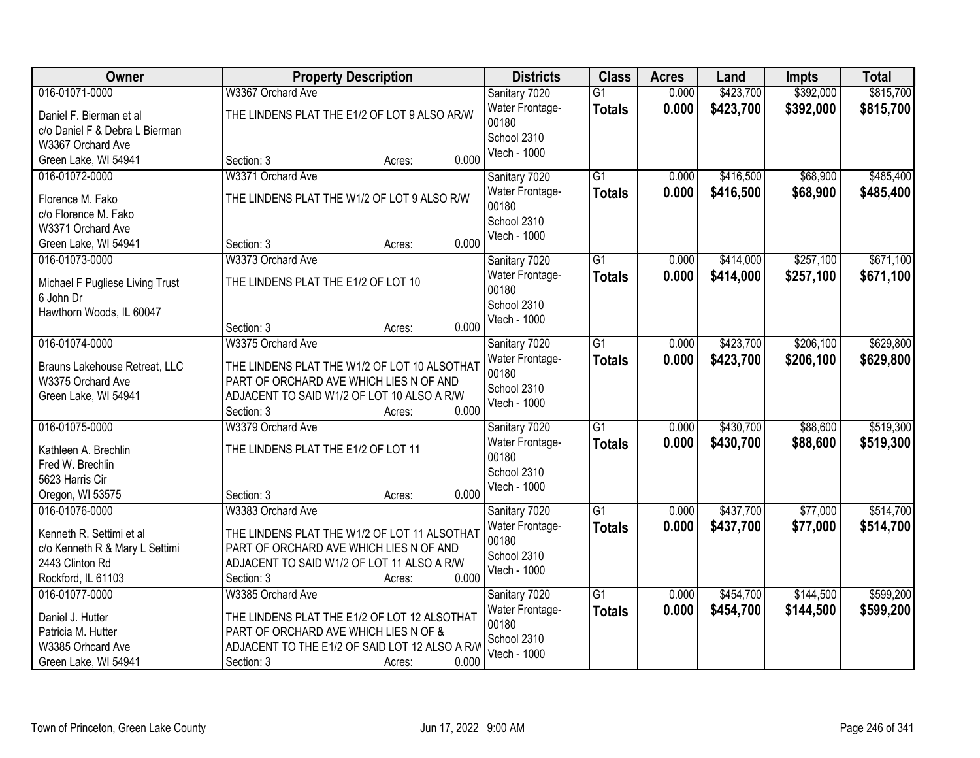| Owner                                 | <b>Property Description</b>                                       | <b>Districts</b>         | <b>Class</b>    | <b>Acres</b> | Land      | <b>Impts</b> | <b>Total</b> |
|---------------------------------------|-------------------------------------------------------------------|--------------------------|-----------------|--------------|-----------|--------------|--------------|
| 016-01071-0000                        | W3367 Orchard Ave                                                 | Sanitary 7020            | $\overline{G1}$ | 0.000        | \$423,700 | \$392,000    | \$815,700    |
| Daniel F. Bierman et al               | THE LINDENS PLAT THE E1/2 OF LOT 9 ALSO AR/W                      | Water Frontage-          | <b>Totals</b>   | 0.000        | \$423,700 | \$392,000    | \$815,700    |
| c/o Daniel F & Debra L Bierman        |                                                                   | 00180                    |                 |              |           |              |              |
| W3367 Orchard Ave                     |                                                                   | School 2310              |                 |              |           |              |              |
| Green Lake, WI 54941                  | 0.000<br>Section: 3<br>Acres:                                     | Vtech - 1000             |                 |              |           |              |              |
| 016-01072-0000                        | W3371 Orchard Ave                                                 | Sanitary 7020            | $\overline{G1}$ | 0.000        | \$416,500 | \$68,900     | \$485,400    |
| Florence M. Fako                      | THE LINDENS PLAT THE W1/2 OF LOT 9 ALSO R/W                       | Water Frontage-          | <b>Totals</b>   | 0.000        | \$416,500 | \$68,900     | \$485,400    |
| c/o Florence M. Fako                  |                                                                   | 00180                    |                 |              |           |              |              |
| W3371 Orchard Ave                     |                                                                   | School 2310              |                 |              |           |              |              |
| Green Lake, WI 54941                  | 0.000<br>Section: 3<br>Acres:                                     | Vtech - 1000             |                 |              |           |              |              |
| 016-01073-0000                        | W3373 Orchard Ave                                                 | Sanitary 7020            | G1              | 0.000        | \$414,000 | \$257,100    | \$671,100    |
|                                       |                                                                   | Water Frontage-          | <b>Totals</b>   | 0.000        | \$414,000 | \$257,100    | \$671,100    |
| Michael F Pugliese Living Trust       | THE LINDENS PLAT THE E1/2 OF LOT 10                               | 00180                    |                 |              |           |              |              |
| 6 John Dr<br>Hawthorn Woods, IL 60047 |                                                                   | School 2310              |                 |              |           |              |              |
|                                       | 0.000<br>Section: 3<br>Acres:                                     | Vtech - 1000             |                 |              |           |              |              |
| 016-01074-0000                        | W3375 Orchard Ave                                                 | Sanitary 7020            | G1              | 0.000        | \$423,700 | \$206,100    | \$629,800    |
|                                       |                                                                   | Water Frontage-          |                 | 0.000        |           |              |              |
| Brauns Lakehouse Retreat, LLC         | THE LINDENS PLAT THE W1/2 OF LOT 10 ALSOTHAT                      | 00180                    | <b>Totals</b>   |              | \$423,700 | \$206,100    | \$629,800    |
| W3375 Orchard Ave                     | PART OF ORCHARD AVE WHICH LIES N OF AND                           | School 2310              |                 |              |           |              |              |
| Green Lake, WI 54941                  | ADJACENT TO SAID W1/2 OF LOT 10 ALSO A R/W                        | Vtech - 1000             |                 |              |           |              |              |
|                                       | 0.000<br>Section: 3<br>Acres:                                     |                          |                 |              |           |              |              |
| 016-01075-0000                        | W3379 Orchard Ave                                                 | Sanitary 7020            | $\overline{G1}$ | 0.000        | \$430,700 | \$88,600     | \$519,300    |
| Kathleen A. Brechlin                  | THE LINDENS PLAT THE E1/2 OF LOT 11                               | Water Frontage-          | <b>Totals</b>   | 0.000        | \$430,700 | \$88,600     | \$519,300    |
| Fred W. Brechlin                      |                                                                   | 00180                    |                 |              |           |              |              |
| 5623 Harris Cir                       |                                                                   | School 2310              |                 |              |           |              |              |
| Oregon, WI 53575                      | 0.000<br>Section: 3<br>Acres:                                     | Vtech - 1000             |                 |              |           |              |              |
| 016-01076-0000                        | W3383 Orchard Ave                                                 | Sanitary 7020            | G1              | 0.000        | \$437,700 | \$77,000     | \$514,700    |
|                                       |                                                                   | Water Frontage-          | <b>Totals</b>   | 0.000        | \$437,700 | \$77,000     | \$514,700    |
| Kenneth R. Settimi et al              | THE LINDENS PLAT THE W1/2 OF LOT 11 ALSOTHAT                      | 00180                    |                 |              |           |              |              |
| c/o Kenneth R & Mary L Settimi        | PART OF ORCHARD AVE WHICH LIES N OF AND                           | School 2310              |                 |              |           |              |              |
| 2443 Clinton Rd<br>Rockford, IL 61103 | ADJACENT TO SAID W1/2 OF LOT 11 ALSO A R/W<br>0.000<br>Section: 3 | Vtech - 1000             |                 |              |           |              |              |
| 016-01077-0000                        | Acres:<br>W3385 Orchard Ave                                       |                          | $\overline{G1}$ | 0.000        | \$454,700 | \$144,500    | \$599,200    |
|                                       |                                                                   | Sanitary 7020            |                 |              |           |              |              |
| Daniel J. Hutter                      | THE LINDENS PLAT THE E1/2 OF LOT 12 ALSOTHAT                      | Water Frontage-<br>00180 | <b>Totals</b>   | 0.000        | \$454,700 | \$144,500    | \$599,200    |
| Patricia M. Hutter                    | PART OF ORCHARD AVE WHICH LIES N OF &                             | School 2310              |                 |              |           |              |              |
| W3385 Orhcard Ave                     | ADJACENT TO THE E1/2 OF SAID LOT 12 ALSO A R/V                    | Vtech - 1000             |                 |              |           |              |              |
| Green Lake, WI 54941                  | 0.000<br>Section: 3<br>Acres:                                     |                          |                 |              |           |              |              |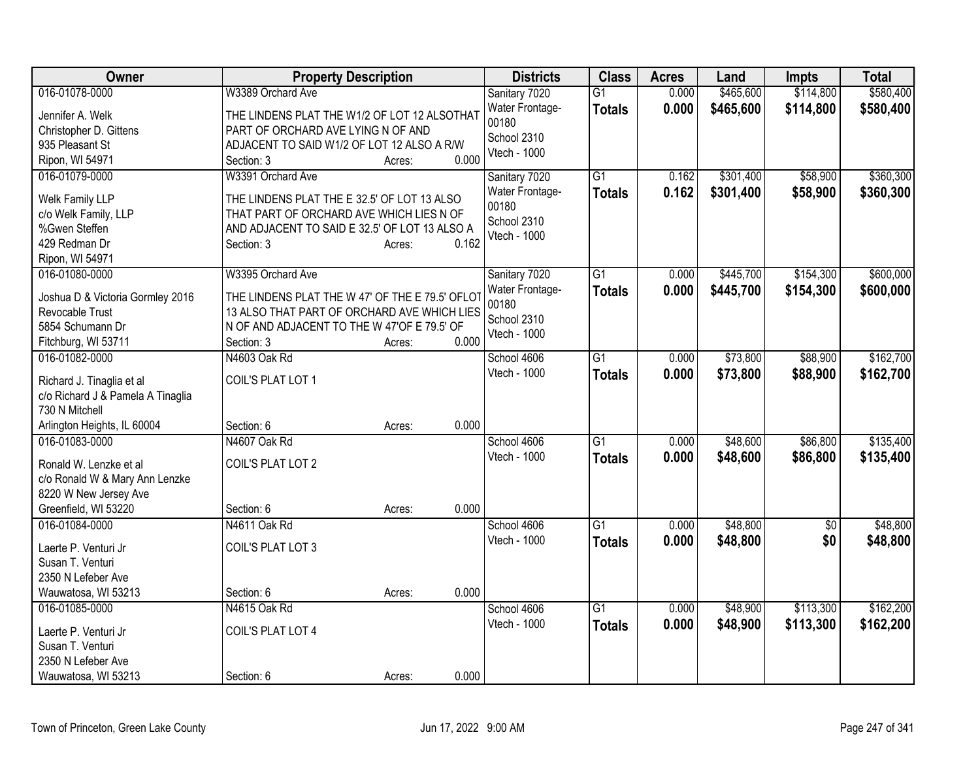| Owner                                    | <b>Property Description</b>                     |        |       | <b>Districts</b>       | <b>Class</b>    | <b>Acres</b> | Land      | <b>Impts</b>    | <b>Total</b> |
|------------------------------------------|-------------------------------------------------|--------|-------|------------------------|-----------------|--------------|-----------|-----------------|--------------|
| 016-01078-0000                           | W3389 Orchard Ave                               |        |       | Sanitary 7020          | $\overline{G1}$ | 0.000        | \$465,600 | \$114,800       | \$580,400    |
| Jennifer A. Welk                         | THE LINDENS PLAT THE W1/2 OF LOT 12 ALSOTHAT    |        |       | Water Frontage-        | <b>Totals</b>   | 0.000        | \$465,600 | \$114,800       | \$580,400    |
| Christopher D. Gittens                   | PART OF ORCHARD AVE LYING N OF AND              |        |       | 00180                  |                 |              |           |                 |              |
| 935 Pleasant St                          | ADJACENT TO SAID W1/2 OF LOT 12 ALSO A R/W      |        |       | School 2310            |                 |              |           |                 |              |
| Ripon, WI 54971                          | Section: 3                                      | Acres: | 0.000 | Vtech - 1000           |                 |              |           |                 |              |
| 016-01079-0000                           | W3391 Orchard Ave                               |        |       | Sanitary 7020          | $\overline{G1}$ | 0.162        | \$301,400 | \$58,900        | \$360,300    |
|                                          |                                                 |        |       | Water Frontage-        | <b>Totals</b>   | 0.162        | \$301,400 | \$58,900        | \$360,300    |
| Welk Family LLP                          | THE LINDENS PLAT THE E 32.5' OF LOT 13 ALSO     |        |       | 00180                  |                 |              |           |                 |              |
| c/o Welk Family, LLP<br>%Gwen Steffen    | THAT PART OF ORCHARD AVE WHICH LIES N OF        |        |       | School 2310            |                 |              |           |                 |              |
| 429 Redman Dr                            | AND ADJACENT TO SAID E 32.5' OF LOT 13 ALSO A   |        | 0.162 | Vtech - 1000           |                 |              |           |                 |              |
| Ripon, WI 54971                          | Section: 3                                      | Acres: |       |                        |                 |              |           |                 |              |
| 016-01080-0000                           | W3395 Orchard Ave                               |        |       | Sanitary 7020          | $\overline{G1}$ | 0.000        | \$445,700 | \$154,300       | \$600,000    |
|                                          |                                                 |        |       | <b>Water Frontage-</b> |                 | 0.000        | \$445,700 | \$154,300       |              |
| Joshua D & Victoria Gormley 2016         | THE LINDENS PLAT THE W 47' OF THE E 79.5' OFLOT |        |       | 00180                  | <b>Totals</b>   |              |           |                 | \$600,000    |
| Revocable Trust                          | 13 ALSO THAT PART OF ORCHARD AVE WHICH LIES     |        |       | School 2310            |                 |              |           |                 |              |
| 5854 Schumann Dr                         | N OF AND ADJACENT TO THE W 47'OF E 79.5' OF     |        |       | Vtech - 1000           |                 |              |           |                 |              |
| Fitchburg, WI 53711                      | Section: 3                                      | Acres: | 0.000 |                        |                 |              |           |                 |              |
| 016-01082-0000                           | N4603 Oak Rd                                    |        |       | School 4606            | $\overline{G1}$ | 0.000        | \$73,800  | \$88,900        | \$162,700    |
| Richard J. Tinaglia et al                | COIL'S PLAT LOT 1                               |        |       | Vtech - 1000           | <b>Totals</b>   | 0.000        | \$73,800  | \$88,900        | \$162,700    |
| c/o Richard J & Pamela A Tinaglia        |                                                 |        |       |                        |                 |              |           |                 |              |
| 730 N Mitchell                           |                                                 |        |       |                        |                 |              |           |                 |              |
| Arlington Heights, IL 60004              | Section: 6                                      | Acres: | 0.000 |                        |                 |              |           |                 |              |
| 016-01083-0000                           | N4607 Oak Rd                                    |        |       | School 4606            | $\overline{G1}$ | 0.000        | \$48,600  | \$86,800        | \$135,400    |
|                                          |                                                 |        |       | Vtech - 1000           | <b>Totals</b>   | 0.000        | \$48,600  | \$86,800        | \$135,400    |
| Ronald W. Lenzke et al                   | COIL'S PLAT LOT 2                               |        |       |                        |                 |              |           |                 |              |
| c/o Ronald W & Mary Ann Lenzke           |                                                 |        |       |                        |                 |              |           |                 |              |
| 8220 W New Jersey Ave                    |                                                 |        |       |                        |                 |              |           |                 |              |
| Greenfield, WI 53220                     | Section: 6                                      | Acres: | 0.000 |                        |                 |              |           |                 |              |
| 016-01084-0000                           | N4611 Oak Rd                                    |        |       | School 4606            | $\overline{G1}$ | 0.000        | \$48,800  | $\overline{50}$ | \$48,800     |
| Laerte P. Venturi Jr                     | COIL'S PLAT LOT 3                               |        |       | Vtech - 1000           | <b>Totals</b>   | 0.000        | \$48,800  | \$0             | \$48,800     |
| Susan T. Venturi                         |                                                 |        |       |                        |                 |              |           |                 |              |
| 2350 N Lefeber Ave                       |                                                 |        |       |                        |                 |              |           |                 |              |
| Wauwatosa, WI 53213                      | Section: 6                                      | Acres: | 0.000 |                        |                 |              |           |                 |              |
| 016-01085-0000                           | N4615 Oak Rd                                    |        |       | School 4606            | $\overline{G1}$ | 0.000        | \$48,900  | \$113,300       | \$162,200    |
|                                          | COIL'S PLAT LOT 4                               |        |       | Vtech - 1000           | <b>Totals</b>   | 0.000        | \$48,900  | \$113,300       | \$162,200    |
| Laerte P. Venturi Jr<br>Susan T. Venturi |                                                 |        |       |                        |                 |              |           |                 |              |
| 2350 N Lefeber Ave                       |                                                 |        |       |                        |                 |              |           |                 |              |
| Wauwatosa, WI 53213                      | Section: 6                                      |        | 0.000 |                        |                 |              |           |                 |              |
|                                          |                                                 | Acres: |       |                        |                 |              |           |                 |              |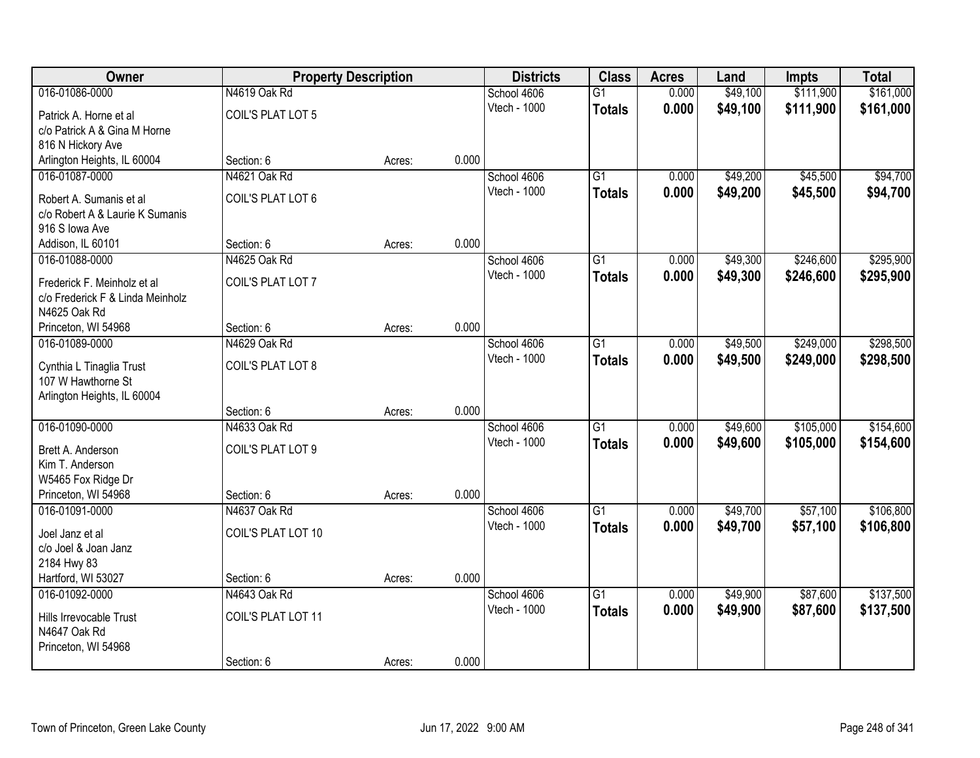| Owner                            |                    | <b>Property Description</b> |       | <b>Districts</b> | <b>Class</b>    | <b>Acres</b> | Land     | <b>Impts</b> | <b>Total</b> |
|----------------------------------|--------------------|-----------------------------|-------|------------------|-----------------|--------------|----------|--------------|--------------|
| 016-01086-0000                   | N4619 Oak Rd       |                             |       | School 4606      | $\overline{G1}$ | 0.000        | \$49,100 | \$111,900    | \$161,000    |
| Patrick A. Horne et al           | COIL'S PLAT LOT 5  |                             |       | Vtech - 1000     | <b>Totals</b>   | 0.000        | \$49,100 | \$111,900    | \$161,000    |
| c/o Patrick A & Gina M Horne     |                    |                             |       |                  |                 |              |          |              |              |
| 816 N Hickory Ave                |                    |                             |       |                  |                 |              |          |              |              |
| Arlington Heights, IL 60004      | Section: 6         | Acres:                      | 0.000 |                  |                 |              |          |              |              |
| 016-01087-0000                   | N4621 Oak Rd       |                             |       | School 4606      | $\overline{G1}$ | 0.000        | \$49,200 | \$45,500     | \$94,700     |
| Robert A. Sumanis et al          | COIL'S PLAT LOT 6  |                             |       | Vtech - 1000     | <b>Totals</b>   | 0.000        | \$49,200 | \$45,500     | \$94,700     |
| c/o Robert A & Laurie K Sumanis  |                    |                             |       |                  |                 |              |          |              |              |
| 916 S Iowa Ave                   |                    |                             |       |                  |                 |              |          |              |              |
| Addison, IL 60101                | Section: 6         | Acres:                      | 0.000 |                  |                 |              |          |              |              |
| 016-01088-0000                   | N4625 Oak Rd       |                             |       | School 4606      | G1              | 0.000        | \$49,300 | \$246,600    | \$295,900    |
| Frederick F. Meinholz et al      | COIL'S PLAT LOT 7  |                             |       | Vtech - 1000     | <b>Totals</b>   | 0.000        | \$49,300 | \$246,600    | \$295,900    |
| c/o Frederick F & Linda Meinholz |                    |                             |       |                  |                 |              |          |              |              |
| N4625 Oak Rd                     |                    |                             |       |                  |                 |              |          |              |              |
| Princeton, WI 54968              | Section: 6         | Acres:                      | 0.000 |                  |                 |              |          |              |              |
| 016-01089-0000                   | N4629 Oak Rd       |                             |       | School 4606      | G1              | 0.000        | \$49,500 | \$249,000    | \$298,500    |
| Cynthia L Tinaglia Trust         | COIL'S PLAT LOT 8  |                             |       | Vtech - 1000     | <b>Totals</b>   | 0.000        | \$49,500 | \$249,000    | \$298,500    |
| 107 W Hawthorne St               |                    |                             |       |                  |                 |              |          |              |              |
| Arlington Heights, IL 60004      |                    |                             |       |                  |                 |              |          |              |              |
|                                  | Section: 6         | Acres:                      | 0.000 |                  |                 |              |          |              |              |
| 016-01090-0000                   | N4633 Oak Rd       |                             |       | School 4606      | $\overline{G1}$ | 0.000        | \$49,600 | \$105,000    | \$154,600    |
| Brett A. Anderson                | COIL'S PLAT LOT 9  |                             |       | Vtech - 1000     | <b>Totals</b>   | 0.000        | \$49,600 | \$105,000    | \$154,600    |
| Kim T. Anderson                  |                    |                             |       |                  |                 |              |          |              |              |
| W5465 Fox Ridge Dr               |                    |                             |       |                  |                 |              |          |              |              |
| Princeton, WI 54968              | Section: 6         | Acres:                      | 0.000 |                  |                 |              |          |              |              |
| 016-01091-0000                   | N4637 Oak Rd       |                             |       | School 4606      | $\overline{G1}$ | 0.000        | \$49,700 | \$57,100     | \$106,800    |
| Joel Janz et al                  | COIL'S PLAT LOT 10 |                             |       | Vtech - 1000     | <b>Totals</b>   | 0.000        | \$49,700 | \$57,100     | \$106,800    |
| c/o Joel & Joan Janz             |                    |                             |       |                  |                 |              |          |              |              |
| 2184 Hwy 83                      |                    |                             |       |                  |                 |              |          |              |              |
| Hartford, WI 53027               | Section: 6         | Acres:                      | 0.000 |                  |                 |              |          |              |              |
| 016-01092-0000                   | N4643 Oak Rd       |                             |       | School 4606      | $\overline{G1}$ | 0.000        | \$49,900 | \$87,600     | \$137,500    |
| Hills Irrevocable Trust          | COIL'S PLAT LOT 11 |                             |       | Vtech - 1000     | <b>Totals</b>   | 0.000        | \$49,900 | \$87,600     | \$137,500    |
| N4647 Oak Rd                     |                    |                             |       |                  |                 |              |          |              |              |
| Princeton, WI 54968              |                    |                             |       |                  |                 |              |          |              |              |
|                                  | Section: 6         | Acres:                      | 0.000 |                  |                 |              |          |              |              |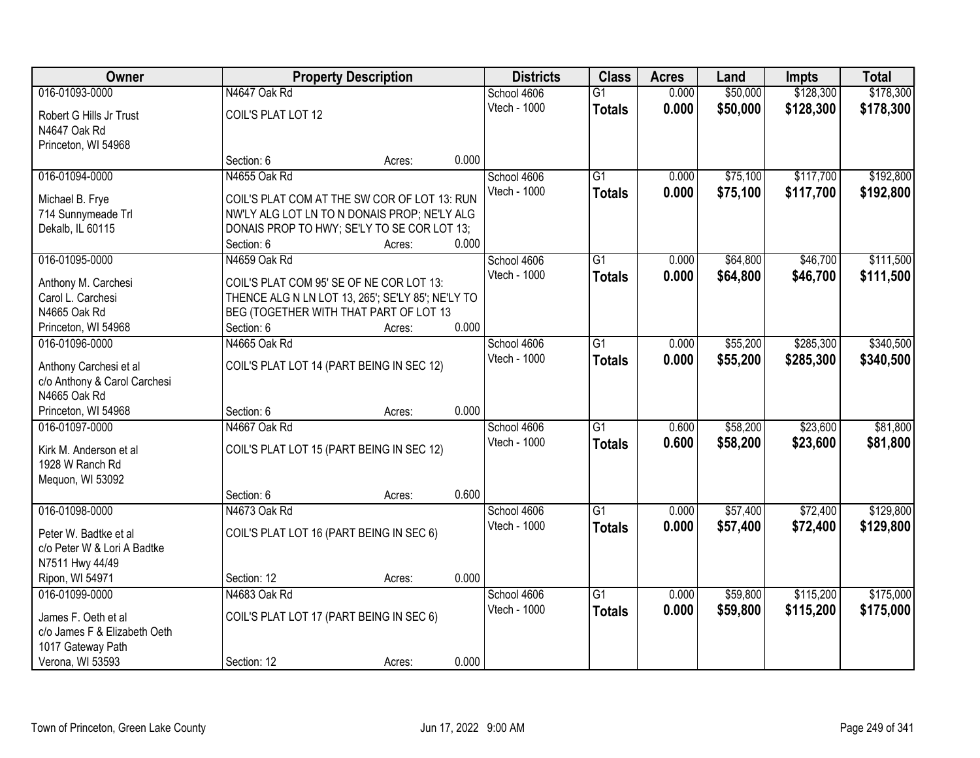| 016-01093-0000<br>N4647 Oak Rd<br>\$50,000<br>\$128,300<br>School 4606<br>$\overline{G1}$<br>0.000<br>Vtech - 1000<br>0.000<br>\$50,000<br>\$128,300<br><b>Totals</b><br>COIL'S PLAT LOT 12<br>Robert G Hills Jr Trust<br>N4647 Oak Rd<br>Princeton, WI 54968<br>0.000<br>Section: 6<br>Acres:<br>$\overline{G1}$<br>\$75,100<br>\$117,700<br>016-01094-0000<br>N4655 Oak Rd<br>School 4606<br>0.000<br>Vtech - 1000<br>0.000<br>\$75,100<br>\$117,700<br><b>Totals</b><br>COIL'S PLAT COM AT THE SW COR OF LOT 13: RUN<br>Michael B. Frye<br>714 Sunnymeade Trl<br>NW'LY ALG LOT LN TO N DONAIS PROP; NE'LY ALG<br>DONAIS PROP TO HWY; SE'LY TO SE COR LOT 13;<br>Dekalb, IL 60115<br>0.000<br>Section: 6<br>Acres:<br>N4659 Oak Rd<br>\$64,800<br>\$46,700<br>016-01095-0000<br>G <sub>1</sub><br>0.000<br>School 4606<br>Vtech - 1000<br>\$64,800<br>0.000<br>\$46,700<br><b>Totals</b><br>COIL'S PLAT COM 95' SE OF NE COR LOT 13:<br>Anthony M. Carchesi<br>THENCE ALG N LN LOT 13, 265'; SE'LY 85'; NE'LY TO<br>Carol L. Carchesi<br>N4665 Oak Rd<br>BEG (TOGETHER WITH THAT PART OF LOT 13<br>0.000<br>Section: 6<br>Princeton, WI 54968<br>Acres:<br>\$55,200<br>\$285,300<br>016-01096-0000<br>N4665 Oak Rd<br>School 4606<br>G1<br>0.000<br>Vtech - 1000<br>0.000<br>\$55,200<br>\$285,300<br><b>Totals</b><br>Anthony Carchesi et al<br>COIL'S PLAT LOT 14 (PART BEING IN SEC 12)<br>c/o Anthony & Carol Carchesi<br>N4665 Oak Rd<br>0.000<br>Princeton, WI 54968<br>Section: 6<br>Acres:<br>N4667 Oak Rd<br>\$23,600<br>016-01097-0000<br>$\overline{G1}$<br>0.600<br>\$58,200<br>School 4606<br>Vtech - 1000<br>0.600<br>\$58,200<br>\$23,600<br><b>Totals</b><br>COIL'S PLAT LOT 15 (PART BEING IN SEC 12)<br>Kirk M. Anderson et al<br>1928 W Ranch Rd<br>Mequon, WI 53092<br>0.600<br>Section: 6<br>Acres:<br>$\overline{G1}$<br>\$57,400<br>\$72,400<br>016-01098-0000<br>N4673 Oak Rd<br>School 4606<br>0.000<br>Vtech - 1000<br>0.000<br>\$57,400<br>\$72,400<br><b>Totals</b><br>COIL'S PLAT LOT 16 (PART BEING IN SEC 6)<br>Peter W. Badtke et al<br>c/o Peter W & Lori A Badtke<br>N7511 Hwy 44/49<br>0.000<br>Ripon, WI 54971<br>Section: 12<br>Acres:<br>016-01099-0000<br>N4683 Oak Rd<br>\$59,800<br>\$115,200<br>G1<br>0.000<br>School 4606<br>Vtech - 1000<br>0.000<br>\$115,200<br>\$59,800<br><b>Totals</b><br>COIL'S PLAT LOT 17 (PART BEING IN SEC 6)<br>James F. Oeth et al<br>c/o James F & Elizabeth Oeth<br>1017 Gateway Path | Owner            | <b>Property Description</b> |        | <b>Districts</b> | <b>Class</b> | <b>Acres</b> | Land | <b>Impts</b> | <b>Total</b> |           |
|-------------------------------------------------------------------------------------------------------------------------------------------------------------------------------------------------------------------------------------------------------------------------------------------------------------------------------------------------------------------------------------------------------------------------------------------------------------------------------------------------------------------------------------------------------------------------------------------------------------------------------------------------------------------------------------------------------------------------------------------------------------------------------------------------------------------------------------------------------------------------------------------------------------------------------------------------------------------------------------------------------------------------------------------------------------------------------------------------------------------------------------------------------------------------------------------------------------------------------------------------------------------------------------------------------------------------------------------------------------------------------------------------------------------------------------------------------------------------------------------------------------------------------------------------------------------------------------------------------------------------------------------------------------------------------------------------------------------------------------------------------------------------------------------------------------------------------------------------------------------------------------------------------------------------------------------------------------------------------------------------------------------------------------------------------------------------------------------------------------------------------------------------------------------------------------------------------------------------------------------------------------------------------------------------------------------------------------------------------------------------------------------------------------------------------------------------------------------|------------------|-----------------------------|--------|------------------|--------------|--------------|------|--------------|--------------|-----------|
| \$178,300<br>\$192,800<br>\$192,800<br>\$111,500<br>\$111,500<br>\$340,500<br>\$340,500<br>\$81,800<br>\$81,800<br>\$129,800<br>\$129,800<br>\$175,000<br>\$175,000                                                                                                                                                                                                                                                                                                                                                                                                                                                                                                                                                                                                                                                                                                                                                                                                                                                                                                                                                                                                                                                                                                                                                                                                                                                                                                                                                                                                                                                                                                                                                                                                                                                                                                                                                                                                                                                                                                                                                                                                                                                                                                                                                                                                                                                                                               |                  |                             |        |                  |              |              |      |              |              | \$178,300 |
|                                                                                                                                                                                                                                                                                                                                                                                                                                                                                                                                                                                                                                                                                                                                                                                                                                                                                                                                                                                                                                                                                                                                                                                                                                                                                                                                                                                                                                                                                                                                                                                                                                                                                                                                                                                                                                                                                                                                                                                                                                                                                                                                                                                                                                                                                                                                                                                                                                                                   |                  |                             |        |                  |              |              |      |              |              |           |
|                                                                                                                                                                                                                                                                                                                                                                                                                                                                                                                                                                                                                                                                                                                                                                                                                                                                                                                                                                                                                                                                                                                                                                                                                                                                                                                                                                                                                                                                                                                                                                                                                                                                                                                                                                                                                                                                                                                                                                                                                                                                                                                                                                                                                                                                                                                                                                                                                                                                   |                  |                             |        |                  |              |              |      |              |              |           |
|                                                                                                                                                                                                                                                                                                                                                                                                                                                                                                                                                                                                                                                                                                                                                                                                                                                                                                                                                                                                                                                                                                                                                                                                                                                                                                                                                                                                                                                                                                                                                                                                                                                                                                                                                                                                                                                                                                                                                                                                                                                                                                                                                                                                                                                                                                                                                                                                                                                                   |                  |                             |        |                  |              |              |      |              |              |           |
|                                                                                                                                                                                                                                                                                                                                                                                                                                                                                                                                                                                                                                                                                                                                                                                                                                                                                                                                                                                                                                                                                                                                                                                                                                                                                                                                                                                                                                                                                                                                                                                                                                                                                                                                                                                                                                                                                                                                                                                                                                                                                                                                                                                                                                                                                                                                                                                                                                                                   |                  |                             |        |                  |              |              |      |              |              |           |
|                                                                                                                                                                                                                                                                                                                                                                                                                                                                                                                                                                                                                                                                                                                                                                                                                                                                                                                                                                                                                                                                                                                                                                                                                                                                                                                                                                                                                                                                                                                                                                                                                                                                                                                                                                                                                                                                                                                                                                                                                                                                                                                                                                                                                                                                                                                                                                                                                                                                   |                  |                             |        |                  |              |              |      |              |              |           |
|                                                                                                                                                                                                                                                                                                                                                                                                                                                                                                                                                                                                                                                                                                                                                                                                                                                                                                                                                                                                                                                                                                                                                                                                                                                                                                                                                                                                                                                                                                                                                                                                                                                                                                                                                                                                                                                                                                                                                                                                                                                                                                                                                                                                                                                                                                                                                                                                                                                                   |                  |                             |        |                  |              |              |      |              |              |           |
|                                                                                                                                                                                                                                                                                                                                                                                                                                                                                                                                                                                                                                                                                                                                                                                                                                                                                                                                                                                                                                                                                                                                                                                                                                                                                                                                                                                                                                                                                                                                                                                                                                                                                                                                                                                                                                                                                                                                                                                                                                                                                                                                                                                                                                                                                                                                                                                                                                                                   |                  |                             |        |                  |              |              |      |              |              |           |
|                                                                                                                                                                                                                                                                                                                                                                                                                                                                                                                                                                                                                                                                                                                                                                                                                                                                                                                                                                                                                                                                                                                                                                                                                                                                                                                                                                                                                                                                                                                                                                                                                                                                                                                                                                                                                                                                                                                                                                                                                                                                                                                                                                                                                                                                                                                                                                                                                                                                   |                  |                             |        |                  |              |              |      |              |              |           |
|                                                                                                                                                                                                                                                                                                                                                                                                                                                                                                                                                                                                                                                                                                                                                                                                                                                                                                                                                                                                                                                                                                                                                                                                                                                                                                                                                                                                                                                                                                                                                                                                                                                                                                                                                                                                                                                                                                                                                                                                                                                                                                                                                                                                                                                                                                                                                                                                                                                                   |                  |                             |        |                  |              |              |      |              |              |           |
|                                                                                                                                                                                                                                                                                                                                                                                                                                                                                                                                                                                                                                                                                                                                                                                                                                                                                                                                                                                                                                                                                                                                                                                                                                                                                                                                                                                                                                                                                                                                                                                                                                                                                                                                                                                                                                                                                                                                                                                                                                                                                                                                                                                                                                                                                                                                                                                                                                                                   |                  |                             |        |                  |              |              |      |              |              |           |
|                                                                                                                                                                                                                                                                                                                                                                                                                                                                                                                                                                                                                                                                                                                                                                                                                                                                                                                                                                                                                                                                                                                                                                                                                                                                                                                                                                                                                                                                                                                                                                                                                                                                                                                                                                                                                                                                                                                                                                                                                                                                                                                                                                                                                                                                                                                                                                                                                                                                   |                  |                             |        |                  |              |              |      |              |              |           |
|                                                                                                                                                                                                                                                                                                                                                                                                                                                                                                                                                                                                                                                                                                                                                                                                                                                                                                                                                                                                                                                                                                                                                                                                                                                                                                                                                                                                                                                                                                                                                                                                                                                                                                                                                                                                                                                                                                                                                                                                                                                                                                                                                                                                                                                                                                                                                                                                                                                                   |                  |                             |        |                  |              |              |      |              |              |           |
|                                                                                                                                                                                                                                                                                                                                                                                                                                                                                                                                                                                                                                                                                                                                                                                                                                                                                                                                                                                                                                                                                                                                                                                                                                                                                                                                                                                                                                                                                                                                                                                                                                                                                                                                                                                                                                                                                                                                                                                                                                                                                                                                                                                                                                                                                                                                                                                                                                                                   |                  |                             |        |                  |              |              |      |              |              |           |
|                                                                                                                                                                                                                                                                                                                                                                                                                                                                                                                                                                                                                                                                                                                                                                                                                                                                                                                                                                                                                                                                                                                                                                                                                                                                                                                                                                                                                                                                                                                                                                                                                                                                                                                                                                                                                                                                                                                                                                                                                                                                                                                                                                                                                                                                                                                                                                                                                                                                   |                  |                             |        |                  |              |              |      |              |              |           |
|                                                                                                                                                                                                                                                                                                                                                                                                                                                                                                                                                                                                                                                                                                                                                                                                                                                                                                                                                                                                                                                                                                                                                                                                                                                                                                                                                                                                                                                                                                                                                                                                                                                                                                                                                                                                                                                                                                                                                                                                                                                                                                                                                                                                                                                                                                                                                                                                                                                                   |                  |                             |        |                  |              |              |      |              |              |           |
|                                                                                                                                                                                                                                                                                                                                                                                                                                                                                                                                                                                                                                                                                                                                                                                                                                                                                                                                                                                                                                                                                                                                                                                                                                                                                                                                                                                                                                                                                                                                                                                                                                                                                                                                                                                                                                                                                                                                                                                                                                                                                                                                                                                                                                                                                                                                                                                                                                                                   |                  |                             |        |                  |              |              |      |              |              |           |
|                                                                                                                                                                                                                                                                                                                                                                                                                                                                                                                                                                                                                                                                                                                                                                                                                                                                                                                                                                                                                                                                                                                                                                                                                                                                                                                                                                                                                                                                                                                                                                                                                                                                                                                                                                                                                                                                                                                                                                                                                                                                                                                                                                                                                                                                                                                                                                                                                                                                   |                  |                             |        |                  |              |              |      |              |              |           |
|                                                                                                                                                                                                                                                                                                                                                                                                                                                                                                                                                                                                                                                                                                                                                                                                                                                                                                                                                                                                                                                                                                                                                                                                                                                                                                                                                                                                                                                                                                                                                                                                                                                                                                                                                                                                                                                                                                                                                                                                                                                                                                                                                                                                                                                                                                                                                                                                                                                                   |                  |                             |        |                  |              |              |      |              |              |           |
|                                                                                                                                                                                                                                                                                                                                                                                                                                                                                                                                                                                                                                                                                                                                                                                                                                                                                                                                                                                                                                                                                                                                                                                                                                                                                                                                                                                                                                                                                                                                                                                                                                                                                                                                                                                                                                                                                                                                                                                                                                                                                                                                                                                                                                                                                                                                                                                                                                                                   |                  |                             |        |                  |              |              |      |              |              |           |
|                                                                                                                                                                                                                                                                                                                                                                                                                                                                                                                                                                                                                                                                                                                                                                                                                                                                                                                                                                                                                                                                                                                                                                                                                                                                                                                                                                                                                                                                                                                                                                                                                                                                                                                                                                                                                                                                                                                                                                                                                                                                                                                                                                                                                                                                                                                                                                                                                                                                   |                  |                             |        |                  |              |              |      |              |              |           |
|                                                                                                                                                                                                                                                                                                                                                                                                                                                                                                                                                                                                                                                                                                                                                                                                                                                                                                                                                                                                                                                                                                                                                                                                                                                                                                                                                                                                                                                                                                                                                                                                                                                                                                                                                                                                                                                                                                                                                                                                                                                                                                                                                                                                                                                                                                                                                                                                                                                                   |                  |                             |        |                  |              |              |      |              |              |           |
|                                                                                                                                                                                                                                                                                                                                                                                                                                                                                                                                                                                                                                                                                                                                                                                                                                                                                                                                                                                                                                                                                                                                                                                                                                                                                                                                                                                                                                                                                                                                                                                                                                                                                                                                                                                                                                                                                                                                                                                                                                                                                                                                                                                                                                                                                                                                                                                                                                                                   |                  |                             |        |                  |              |              |      |              |              |           |
|                                                                                                                                                                                                                                                                                                                                                                                                                                                                                                                                                                                                                                                                                                                                                                                                                                                                                                                                                                                                                                                                                                                                                                                                                                                                                                                                                                                                                                                                                                                                                                                                                                                                                                                                                                                                                                                                                                                                                                                                                                                                                                                                                                                                                                                                                                                                                                                                                                                                   |                  |                             |        |                  |              |              |      |              |              |           |
|                                                                                                                                                                                                                                                                                                                                                                                                                                                                                                                                                                                                                                                                                                                                                                                                                                                                                                                                                                                                                                                                                                                                                                                                                                                                                                                                                                                                                                                                                                                                                                                                                                                                                                                                                                                                                                                                                                                                                                                                                                                                                                                                                                                                                                                                                                                                                                                                                                                                   |                  |                             |        |                  |              |              |      |              |              |           |
|                                                                                                                                                                                                                                                                                                                                                                                                                                                                                                                                                                                                                                                                                                                                                                                                                                                                                                                                                                                                                                                                                                                                                                                                                                                                                                                                                                                                                                                                                                                                                                                                                                                                                                                                                                                                                                                                                                                                                                                                                                                                                                                                                                                                                                                                                                                                                                                                                                                                   |                  |                             |        |                  |              |              |      |              |              |           |
|                                                                                                                                                                                                                                                                                                                                                                                                                                                                                                                                                                                                                                                                                                                                                                                                                                                                                                                                                                                                                                                                                                                                                                                                                                                                                                                                                                                                                                                                                                                                                                                                                                                                                                                                                                                                                                                                                                                                                                                                                                                                                                                                                                                                                                                                                                                                                                                                                                                                   |                  |                             |        |                  |              |              |      |              |              |           |
|                                                                                                                                                                                                                                                                                                                                                                                                                                                                                                                                                                                                                                                                                                                                                                                                                                                                                                                                                                                                                                                                                                                                                                                                                                                                                                                                                                                                                                                                                                                                                                                                                                                                                                                                                                                                                                                                                                                                                                                                                                                                                                                                                                                                                                                                                                                                                                                                                                                                   |                  |                             |        |                  |              |              |      |              |              |           |
|                                                                                                                                                                                                                                                                                                                                                                                                                                                                                                                                                                                                                                                                                                                                                                                                                                                                                                                                                                                                                                                                                                                                                                                                                                                                                                                                                                                                                                                                                                                                                                                                                                                                                                                                                                                                                                                                                                                                                                                                                                                                                                                                                                                                                                                                                                                                                                                                                                                                   |                  |                             |        |                  |              |              |      |              |              |           |
|                                                                                                                                                                                                                                                                                                                                                                                                                                                                                                                                                                                                                                                                                                                                                                                                                                                                                                                                                                                                                                                                                                                                                                                                                                                                                                                                                                                                                                                                                                                                                                                                                                                                                                                                                                                                                                                                                                                                                                                                                                                                                                                                                                                                                                                                                                                                                                                                                                                                   |                  |                             |        |                  |              |              |      |              |              |           |
|                                                                                                                                                                                                                                                                                                                                                                                                                                                                                                                                                                                                                                                                                                                                                                                                                                                                                                                                                                                                                                                                                                                                                                                                                                                                                                                                                                                                                                                                                                                                                                                                                                                                                                                                                                                                                                                                                                                                                                                                                                                                                                                                                                                                                                                                                                                                                                                                                                                                   |                  |                             |        |                  |              |              |      |              |              |           |
|                                                                                                                                                                                                                                                                                                                                                                                                                                                                                                                                                                                                                                                                                                                                                                                                                                                                                                                                                                                                                                                                                                                                                                                                                                                                                                                                                                                                                                                                                                                                                                                                                                                                                                                                                                                                                                                                                                                                                                                                                                                                                                                                                                                                                                                                                                                                                                                                                                                                   |                  |                             |        |                  |              |              |      |              |              |           |
|                                                                                                                                                                                                                                                                                                                                                                                                                                                                                                                                                                                                                                                                                                                                                                                                                                                                                                                                                                                                                                                                                                                                                                                                                                                                                                                                                                                                                                                                                                                                                                                                                                                                                                                                                                                                                                                                                                                                                                                                                                                                                                                                                                                                                                                                                                                                                                                                                                                                   |                  |                             |        |                  |              |              |      |              |              |           |
|                                                                                                                                                                                                                                                                                                                                                                                                                                                                                                                                                                                                                                                                                                                                                                                                                                                                                                                                                                                                                                                                                                                                                                                                                                                                                                                                                                                                                                                                                                                                                                                                                                                                                                                                                                                                                                                                                                                                                                                                                                                                                                                                                                                                                                                                                                                                                                                                                                                                   |                  |                             |        |                  |              |              |      |              |              |           |
|                                                                                                                                                                                                                                                                                                                                                                                                                                                                                                                                                                                                                                                                                                                                                                                                                                                                                                                                                                                                                                                                                                                                                                                                                                                                                                                                                                                                                                                                                                                                                                                                                                                                                                                                                                                                                                                                                                                                                                                                                                                                                                                                                                                                                                                                                                                                                                                                                                                                   | Verona, WI 53593 | Section: 12                 | Acres: | 0.000            |              |              |      |              |              |           |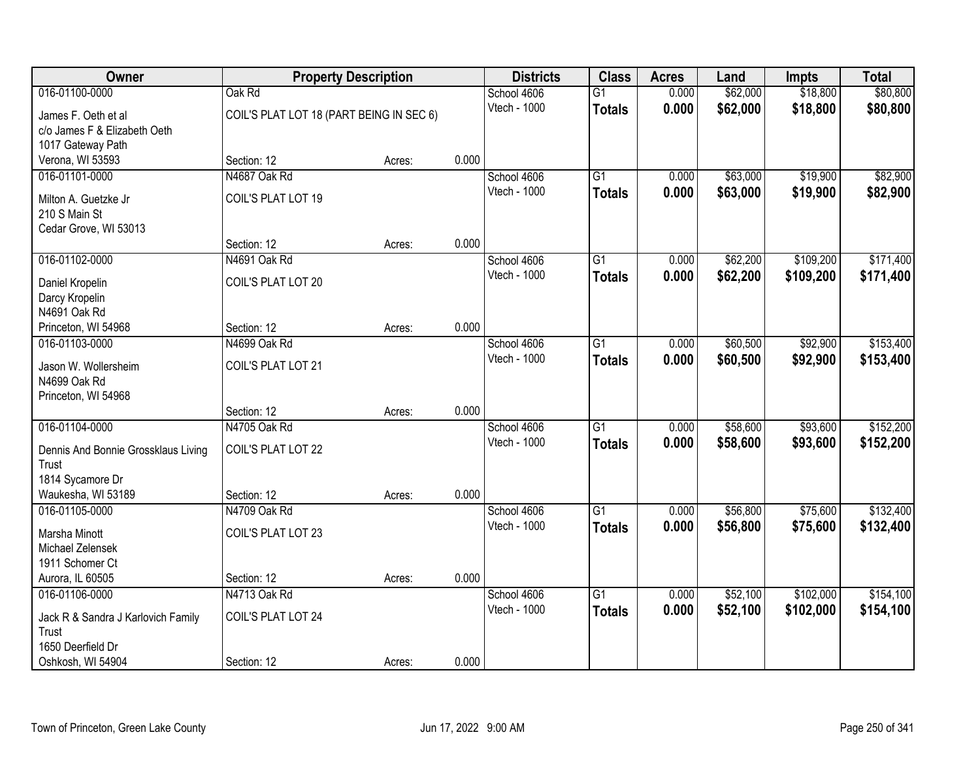| Owner                               | <b>Property Description</b>              |        | <b>Districts</b> | <b>Class</b> | <b>Acres</b>    | Land  | <b>Impts</b> | <b>Total</b> |           |
|-------------------------------------|------------------------------------------|--------|------------------|--------------|-----------------|-------|--------------|--------------|-----------|
| 016-01100-0000                      | Oak Rd                                   |        |                  | School 4606  | $\overline{G1}$ | 0.000 | \$62,000     | \$18,800     | \$80,800  |
| James F. Oeth et al                 | COIL'S PLAT LOT 18 (PART BEING IN SEC 6) |        |                  | Vtech - 1000 | <b>Totals</b>   | 0.000 | \$62,000     | \$18,800     | \$80,800  |
| c/o James F & Elizabeth Oeth        |                                          |        |                  |              |                 |       |              |              |           |
| 1017 Gateway Path                   |                                          |        |                  |              |                 |       |              |              |           |
| Verona, WI 53593                    | Section: 12                              | Acres: | 0.000            |              |                 |       |              |              |           |
| 016-01101-0000                      | N4687 Oak Rd                             |        |                  | School 4606  | $\overline{G1}$ | 0.000 | \$63,000     | \$19,900     | \$82,900  |
| Milton A. Guetzke Jr                | COIL'S PLAT LOT 19                       |        |                  | Vtech - 1000 | <b>Totals</b>   | 0.000 | \$63,000     | \$19,900     | \$82,900  |
| 210 S Main St                       |                                          |        |                  |              |                 |       |              |              |           |
| Cedar Grove, WI 53013               |                                          |        |                  |              |                 |       |              |              |           |
|                                     | Section: 12                              | Acres: | 0.000            |              |                 |       |              |              |           |
| 016-01102-0000                      | N4691 Oak Rd                             |        |                  | School 4606  | $\overline{G1}$ | 0.000 | \$62,200     | \$109,200    | \$171,400 |
|                                     | COIL'S PLAT LOT 20                       |        |                  | Vtech - 1000 | <b>Totals</b>   | 0.000 | \$62,200     | \$109,200    | \$171,400 |
| Daniel Kropelin<br>Darcy Kropelin   |                                          |        |                  |              |                 |       |              |              |           |
| N4691 Oak Rd                        |                                          |        |                  |              |                 |       |              |              |           |
| Princeton, WI 54968                 | Section: 12                              | Acres: | 0.000            |              |                 |       |              |              |           |
| 016-01103-0000                      | N4699 Oak Rd                             |        |                  | School 4606  | G1              | 0.000 | \$60,500     | \$92,900     | \$153,400 |
|                                     |                                          |        |                  | Vtech - 1000 | <b>Totals</b>   | 0.000 | \$60,500     | \$92,900     | \$153,400 |
| Jason W. Wollersheim                | COIL'S PLAT LOT 21                       |        |                  |              |                 |       |              |              |           |
| N4699 Oak Rd                        |                                          |        |                  |              |                 |       |              |              |           |
| Princeton, WI 54968                 | Section: 12                              | Acres: | 0.000            |              |                 |       |              |              |           |
| 016-01104-0000                      | N4705 Oak Rd                             |        |                  | School 4606  | $\overline{G1}$ | 0.000 | \$58,600     | \$93,600     | \$152,200 |
|                                     |                                          |        |                  | Vtech - 1000 | <b>Totals</b>   | 0.000 | \$58,600     | \$93,600     | \$152,200 |
| Dennis And Bonnie Grossklaus Living | COIL'S PLAT LOT 22                       |        |                  |              |                 |       |              |              |           |
| Trust                               |                                          |        |                  |              |                 |       |              |              |           |
| 1814 Sycamore Dr                    |                                          |        |                  |              |                 |       |              |              |           |
| Waukesha, WI 53189                  | Section: 12                              | Acres: | 0.000            |              |                 |       |              |              |           |
| 016-01105-0000                      | N4709 Oak Rd                             |        |                  | School 4606  | $\overline{G1}$ | 0.000 | \$56,800     | \$75,600     | \$132,400 |
| Marsha Minott                       | COIL'S PLAT LOT 23                       |        |                  | Vtech - 1000 | <b>Totals</b>   | 0.000 | \$56,800     | \$75,600     | \$132,400 |
| Michael Zelensek                    |                                          |        |                  |              |                 |       |              |              |           |
| 1911 Schomer Ct                     |                                          |        |                  |              |                 |       |              |              |           |
| Aurora, IL 60505                    | Section: 12                              | Acres: | 0.000            |              |                 |       |              |              |           |
| 016-01106-0000                      | N4713 Oak Rd                             |        |                  | School 4606  | $\overline{G1}$ | 0.000 | \$52,100     | \$102,000    | \$154,100 |
| Jack R & Sandra J Karlovich Family  | COIL'S PLAT LOT 24                       |        |                  | Vtech - 1000 | <b>Totals</b>   | 0.000 | \$52,100     | \$102,000    | \$154,100 |
| Trust                               |                                          |        |                  |              |                 |       |              |              |           |
| 1650 Deerfield Dr                   |                                          |        |                  |              |                 |       |              |              |           |
| Oshkosh, WI 54904                   | Section: 12                              | Acres: | 0.000            |              |                 |       |              |              |           |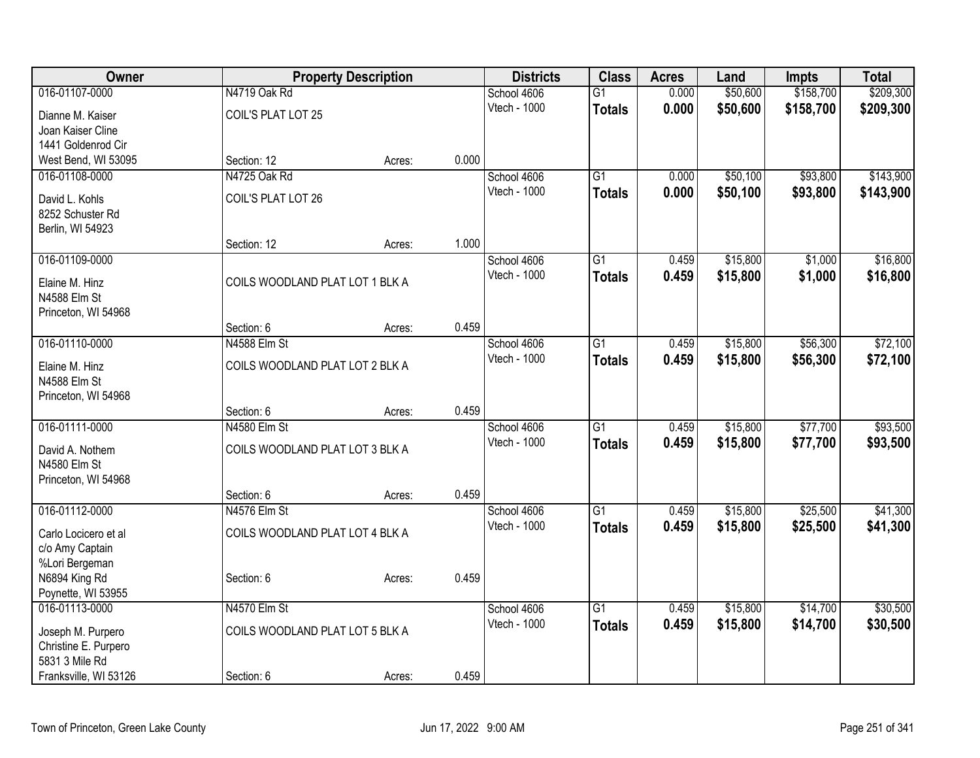| Owner                 |                                 | <b>Property Description</b> |       | <b>Districts</b>            | <b>Class</b>    | <b>Acres</b> | Land     | <b>Impts</b> | <b>Total</b> |
|-----------------------|---------------------------------|-----------------------------|-------|-----------------------------|-----------------|--------------|----------|--------------|--------------|
| 016-01107-0000        | N4719 Oak Rd                    |                             |       | School 4606                 | $\overline{G1}$ | 0.000        | \$50,600 | \$158,700    | \$209,300    |
| Dianne M. Kaiser      | COIL'S PLAT LOT 25              |                             |       | Vtech - 1000                | <b>Totals</b>   | 0.000        | \$50,600 | \$158,700    | \$209,300    |
| Joan Kaiser Cline     |                                 |                             |       |                             |                 |              |          |              |              |
| 1441 Goldenrod Cir    |                                 |                             |       |                             |                 |              |          |              |              |
| West Bend, WI 53095   | Section: 12                     | Acres:                      | 0.000 |                             |                 |              |          |              |              |
| 016-01108-0000        | N4725 Oak Rd                    |                             |       | School 4606                 | $\overline{G1}$ | 0.000        | \$50,100 | \$93,800     | \$143,900    |
| David L. Kohls        | COIL'S PLAT LOT 26              |                             |       | Vtech - 1000                | <b>Totals</b>   | 0.000        | \$50,100 | \$93,800     | \$143,900    |
| 8252 Schuster Rd      |                                 |                             |       |                             |                 |              |          |              |              |
| Berlin, WI 54923      |                                 |                             |       |                             |                 |              |          |              |              |
|                       | Section: 12                     | Acres:                      | 1.000 |                             |                 |              |          |              |              |
| 016-01109-0000        |                                 |                             |       | School 4606                 | G1              | 0.459        | \$15,800 | \$1,000      | \$16,800     |
| Elaine M. Hinz        | COILS WOODLAND PLAT LOT 1 BLK A |                             |       | Vtech - 1000                | <b>Totals</b>   | 0.459        | \$15,800 | \$1,000      | \$16,800     |
| N4588 Elm St          |                                 |                             |       |                             |                 |              |          |              |              |
| Princeton, WI 54968   |                                 |                             |       |                             |                 |              |          |              |              |
|                       | Section: 6                      | Acres:                      | 0.459 |                             |                 |              |          |              |              |
| 016-01110-0000        | N4588 Elm St                    |                             |       | School 4606                 | $\overline{G1}$ | 0.459        | \$15,800 | \$56,300     | \$72,100     |
| Elaine M. Hinz        | COILS WOODLAND PLAT LOT 2 BLK A |                             |       | Vtech - 1000                | <b>Totals</b>   | 0.459        | \$15,800 | \$56,300     | \$72,100     |
| N4588 Elm St          |                                 |                             |       |                             |                 |              |          |              |              |
| Princeton, WI 54968   |                                 |                             |       |                             |                 |              |          |              |              |
|                       | Section: 6                      | Acres:                      | 0.459 |                             |                 |              |          |              |              |
| 016-01111-0000        | N4580 Elm St                    |                             |       | School 4606                 | $\overline{G1}$ | 0.459        | \$15,800 | \$77,700     | \$93,500     |
| David A. Nothem       | COILS WOODLAND PLAT LOT 3 BLK A |                             |       | Vtech - 1000                | <b>Totals</b>   | 0.459        | \$15,800 | \$77,700     | \$93,500     |
| N4580 Elm St          |                                 |                             |       |                             |                 |              |          |              |              |
| Princeton, WI 54968   |                                 |                             |       |                             |                 |              |          |              |              |
|                       | Section: 6                      | Acres:                      | 0.459 |                             |                 |              |          |              |              |
| 016-01112-0000        | N4576 Elm St                    |                             |       | School 4606                 | $\overline{G1}$ | 0.459        | \$15,800 | \$25,500     | \$41,300     |
| Carlo Locicero et al  | COILS WOODLAND PLAT LOT 4 BLK A |                             |       | Vtech - 1000                | <b>Totals</b>   | 0.459        | \$15,800 | \$25,500     | \$41,300     |
| c/o Amy Captain       |                                 |                             |       |                             |                 |              |          |              |              |
| %Lori Bergeman        |                                 |                             |       |                             |                 |              |          |              |              |
| N6894 King Rd         | Section: 6                      | Acres:                      | 0.459 |                             |                 |              |          |              |              |
| Poynette, WI 53955    |                                 |                             |       |                             |                 |              |          |              |              |
| 016-01113-0000        | N4570 Elm St                    |                             |       | School 4606<br>Vtech - 1000 | $\overline{G1}$ | 0.459        | \$15,800 | \$14,700     | \$30,500     |
| Joseph M. Purpero     | COILS WOODLAND PLAT LOT 5 BLK A |                             |       |                             | <b>Totals</b>   | 0.459        | \$15,800 | \$14,700     | \$30,500     |
| Christine E. Purpero  |                                 |                             |       |                             |                 |              |          |              |              |
| 5831 3 Mile Rd        |                                 |                             |       |                             |                 |              |          |              |              |
| Franksville, WI 53126 | Section: 6                      | Acres:                      | 0.459 |                             |                 |              |          |              |              |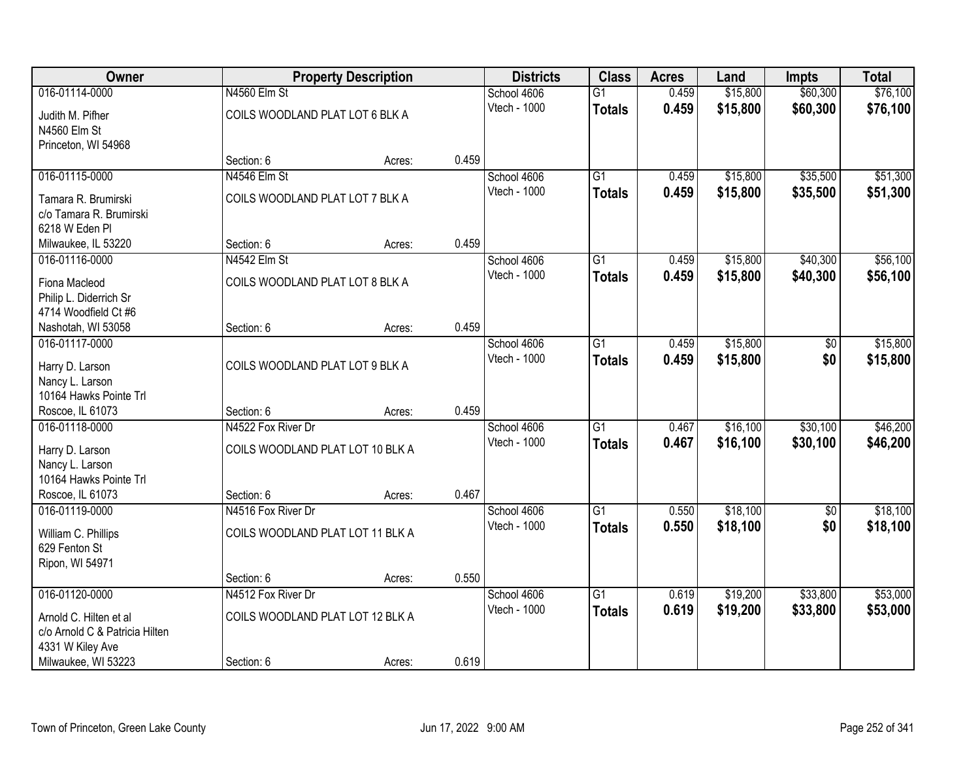| <b>Owner</b>                   | <b>Property Description</b>      |        | <b>Districts</b> | <b>Class</b> | <b>Acres</b>    | Land  | <b>Impts</b> | <b>Total</b> |          |
|--------------------------------|----------------------------------|--------|------------------|--------------|-----------------|-------|--------------|--------------|----------|
| 016-01114-0000                 | N4560 Elm St                     |        |                  | School 4606  | $\overline{G1}$ | 0.459 | \$15,800     | \$60,300     | \$76,100 |
| Judith M. Pifher               | COILS WOODLAND PLAT LOT 6 BLK A  |        |                  | Vtech - 1000 | <b>Totals</b>   | 0.459 | \$15,800     | \$60,300     | \$76,100 |
| N4560 Elm St                   |                                  |        |                  |              |                 |       |              |              |          |
| Princeton, WI 54968            |                                  |        |                  |              |                 |       |              |              |          |
|                                | Section: 6                       | Acres: | 0.459            |              |                 |       |              |              |          |
| 016-01115-0000                 | N4546 Elm St                     |        |                  | School 4606  | $\overline{G1}$ | 0.459 | \$15,800     | \$35,500     | \$51,300 |
| Tamara R. Brumirski            | COILS WOODLAND PLAT LOT 7 BLK A  |        |                  | Vtech - 1000 | <b>Totals</b>   | 0.459 | \$15,800     | \$35,500     | \$51,300 |
| c/o Tamara R. Brumirski        |                                  |        |                  |              |                 |       |              |              |          |
| 6218 W Eden Pl                 |                                  |        |                  |              |                 |       |              |              |          |
| Milwaukee, IL 53220            | Section: 6                       | Acres: | 0.459            |              |                 |       |              |              |          |
| 016-01116-0000                 | N4542 Elm St                     |        |                  | School 4606  | G1              | 0.459 | \$15,800     | \$40,300     | \$56,100 |
| Fiona Macleod                  | COILS WOODLAND PLAT LOT 8 BLK A  |        |                  | Vtech - 1000 | <b>Totals</b>   | 0.459 | \$15,800     | \$40,300     | \$56,100 |
| Philip L. Diderrich Sr         |                                  |        |                  |              |                 |       |              |              |          |
| 4714 Woodfield Ct #6           |                                  |        |                  |              |                 |       |              |              |          |
| Nashotah, WI 53058             | Section: 6                       | Acres: | 0.459            |              |                 |       |              |              |          |
| 016-01117-0000                 |                                  |        |                  | School 4606  | $\overline{G1}$ | 0.459 | \$15,800     | \$0          | \$15,800 |
| Harry D. Larson                | COILS WOODLAND PLAT LOT 9 BLK A  |        |                  | Vtech - 1000 | <b>Totals</b>   | 0.459 | \$15,800     | \$0          | \$15,800 |
| Nancy L. Larson                |                                  |        |                  |              |                 |       |              |              |          |
| 10164 Hawks Pointe Trl         |                                  |        |                  |              |                 |       |              |              |          |
| Roscoe, IL 61073               | Section: 6                       | Acres: | 0.459            |              |                 |       |              |              |          |
| 016-01118-0000                 | N4522 Fox River Dr               |        |                  | School 4606  | $\overline{G1}$ | 0.467 | \$16,100     | \$30,100     | \$46,200 |
| Harry D. Larson                | COILS WOODLAND PLAT LOT 10 BLK A |        |                  | Vtech - 1000 | <b>Totals</b>   | 0.467 | \$16,100     | \$30,100     | \$46,200 |
| Nancy L. Larson                |                                  |        |                  |              |                 |       |              |              |          |
| 10164 Hawks Pointe Trl         |                                  |        |                  |              |                 |       |              |              |          |
| Roscoe, IL 61073               | Section: 6                       | Acres: | 0.467            |              |                 |       |              |              |          |
| 016-01119-0000                 | N4516 Fox River Dr               |        |                  | School 4606  | $\overline{G1}$ | 0.550 | \$18,100     | \$0          | \$18,100 |
| William C. Phillips            | COILS WOODLAND PLAT LOT 11 BLK A |        |                  | Vtech - 1000 | <b>Totals</b>   | 0.550 | \$18,100     | \$0          | \$18,100 |
| 629 Fenton St                  |                                  |        |                  |              |                 |       |              |              |          |
| Ripon, WI 54971                |                                  |        |                  |              |                 |       |              |              |          |
|                                | Section: 6                       | Acres: | 0.550            |              |                 |       |              |              |          |
| 016-01120-0000                 | N4512 Fox River Dr               |        |                  | School 4606  | $\overline{G1}$ | 0.619 | \$19,200     | \$33,800     | \$53,000 |
| Arnold C. Hilten et al         | COILS WOODLAND PLAT LOT 12 BLK A |        |                  | Vtech - 1000 | <b>Totals</b>   | 0.619 | \$19,200     | \$33,800     | \$53,000 |
| c/o Arnold C & Patricia Hilten |                                  |        |                  |              |                 |       |              |              |          |
| 4331 W Kiley Ave               |                                  |        |                  |              |                 |       |              |              |          |
| Milwaukee, WI 53223            | Section: 6                       | Acres: | 0.619            |              |                 |       |              |              |          |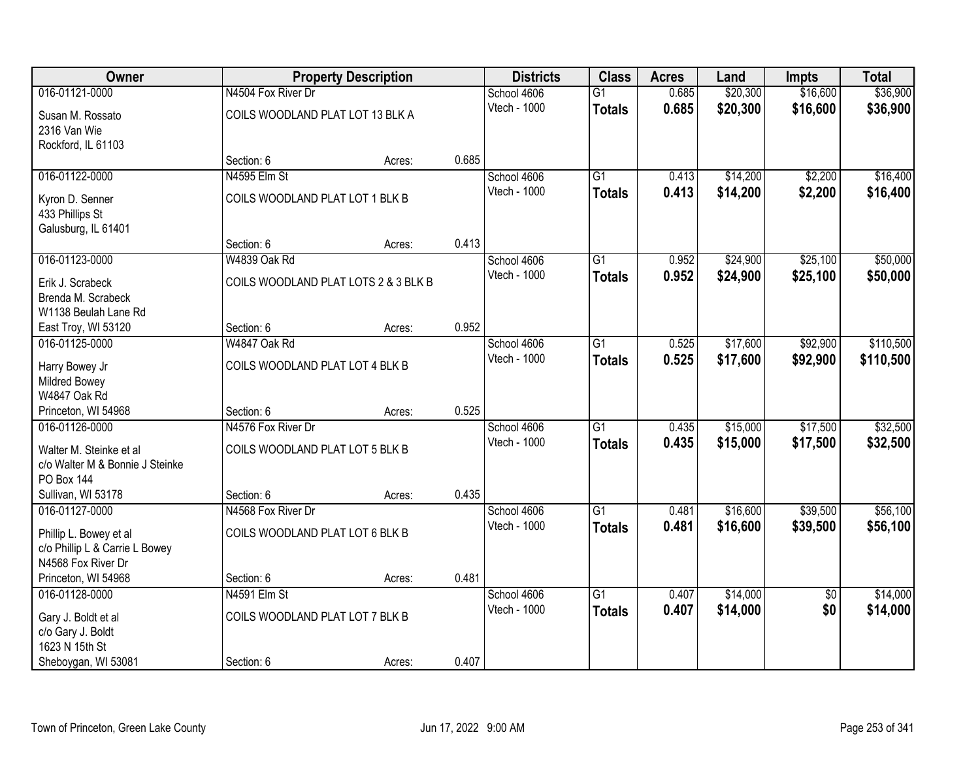| Owner                           |                                      | <b>Property Description</b> |       | <b>Districts</b> | <b>Class</b>    | <b>Acres</b> | Land     | <b>Impts</b>    | <b>Total</b> |
|---------------------------------|--------------------------------------|-----------------------------|-------|------------------|-----------------|--------------|----------|-----------------|--------------|
| 016-01121-0000                  | N4504 Fox River Dr                   |                             |       | School 4606      | $\overline{G1}$ | 0.685        | \$20,300 | \$16,600        | \$36,900     |
| Susan M. Rossato                | COILS WOODLAND PLAT LOT 13 BLK A     |                             |       | Vtech - 1000     | <b>Totals</b>   | 0.685        | \$20,300 | \$16,600        | \$36,900     |
| 2316 Van Wie                    |                                      |                             |       |                  |                 |              |          |                 |              |
| Rockford, IL 61103              |                                      |                             |       |                  |                 |              |          |                 |              |
|                                 | Section: 6                           | Acres:                      | 0.685 |                  |                 |              |          |                 |              |
| 016-01122-0000                  | N4595 Elm St                         |                             |       | School 4606      | $\overline{G1}$ | 0.413        | \$14,200 | \$2,200         | \$16,400     |
| Kyron D. Senner                 | COILS WOODLAND PLAT LOT 1 BLK B      |                             |       | Vtech - 1000     | <b>Totals</b>   | 0.413        | \$14,200 | \$2,200         | \$16,400     |
| 433 Phillips St                 |                                      |                             |       |                  |                 |              |          |                 |              |
| Galusburg, IL 61401             |                                      |                             |       |                  |                 |              |          |                 |              |
|                                 | Section: 6                           | Acres:                      | 0.413 |                  |                 |              |          |                 |              |
| 016-01123-0000                  | W4839 Oak Rd                         |                             |       | School 4606      | $\overline{G1}$ | 0.952        | \$24,900 | \$25,100        | \$50,000     |
| Erik J. Scrabeck                | COILS WOODLAND PLAT LOTS 2 & 3 BLK B |                             |       | Vtech - 1000     | <b>Totals</b>   | 0.952        | \$24,900 | \$25,100        | \$50,000     |
| Brenda M. Scrabeck              |                                      |                             |       |                  |                 |              |          |                 |              |
| W1138 Beulah Lane Rd            |                                      |                             |       |                  |                 |              |          |                 |              |
| East Troy, WI 53120             | Section: 6                           | Acres:                      | 0.952 |                  |                 |              |          |                 |              |
| 016-01125-0000                  | W4847 Oak Rd                         |                             |       | School 4606      | $\overline{G1}$ | 0.525        | \$17,600 | \$92,900        | \$110,500    |
| Harry Bowey Jr                  | COILS WOODLAND PLAT LOT 4 BLK B      |                             |       | Vtech - 1000     | <b>Totals</b>   | 0.525        | \$17,600 | \$92,900        | \$110,500    |
| <b>Mildred Bowey</b>            |                                      |                             |       |                  |                 |              |          |                 |              |
| W4847 Oak Rd                    |                                      |                             |       |                  |                 |              |          |                 |              |
| Princeton, WI 54968             | Section: 6                           | Acres:                      | 0.525 |                  |                 |              |          |                 |              |
| 016-01126-0000                  | N4576 Fox River Dr                   |                             |       | School 4606      | $\overline{G1}$ | 0.435        | \$15,000 | \$17,500        | \$32,500     |
| Walter M. Steinke et al         | COILS WOODLAND PLAT LOT 5 BLK B      |                             |       | Vtech - 1000     | <b>Totals</b>   | 0.435        | \$15,000 | \$17,500        | \$32,500     |
| c/o Walter M & Bonnie J Steinke |                                      |                             |       |                  |                 |              |          |                 |              |
| PO Box 144                      |                                      |                             |       |                  |                 |              |          |                 |              |
| Sullivan, WI 53178              | Section: 6                           | Acres:                      | 0.435 |                  |                 |              |          |                 |              |
| 016-01127-0000                  | N4568 Fox River Dr                   |                             |       | School 4606      | $\overline{G1}$ | 0.481        | \$16,600 | \$39,500        | \$56,100     |
| Phillip L. Bowey et al          | COILS WOODLAND PLAT LOT 6 BLK B      |                             |       | Vtech - 1000     | <b>Totals</b>   | 0.481        | \$16,600 | \$39,500        | \$56,100     |
| c/o Phillip L & Carrie L Bowey  |                                      |                             |       |                  |                 |              |          |                 |              |
| N4568 Fox River Dr              |                                      |                             |       |                  |                 |              |          |                 |              |
| Princeton, WI 54968             | Section: 6                           | Acres:                      | 0.481 |                  |                 |              |          |                 |              |
| 016-01128-0000                  | N4591 Elm St                         |                             |       | School 4606      | $\overline{G1}$ | 0.407        | \$14,000 | $\overline{50}$ | \$14,000     |
| Gary J. Boldt et al             | COILS WOODLAND PLAT LOT 7 BLK B      |                             |       | Vtech - 1000     | <b>Totals</b>   | 0.407        | \$14,000 | \$0             | \$14,000     |
| c/o Gary J. Boldt               |                                      |                             |       |                  |                 |              |          |                 |              |
| 1623 N 15th St                  |                                      |                             |       |                  |                 |              |          |                 |              |
| Sheboygan, WI 53081             | Section: 6                           | Acres:                      | 0.407 |                  |                 |              |          |                 |              |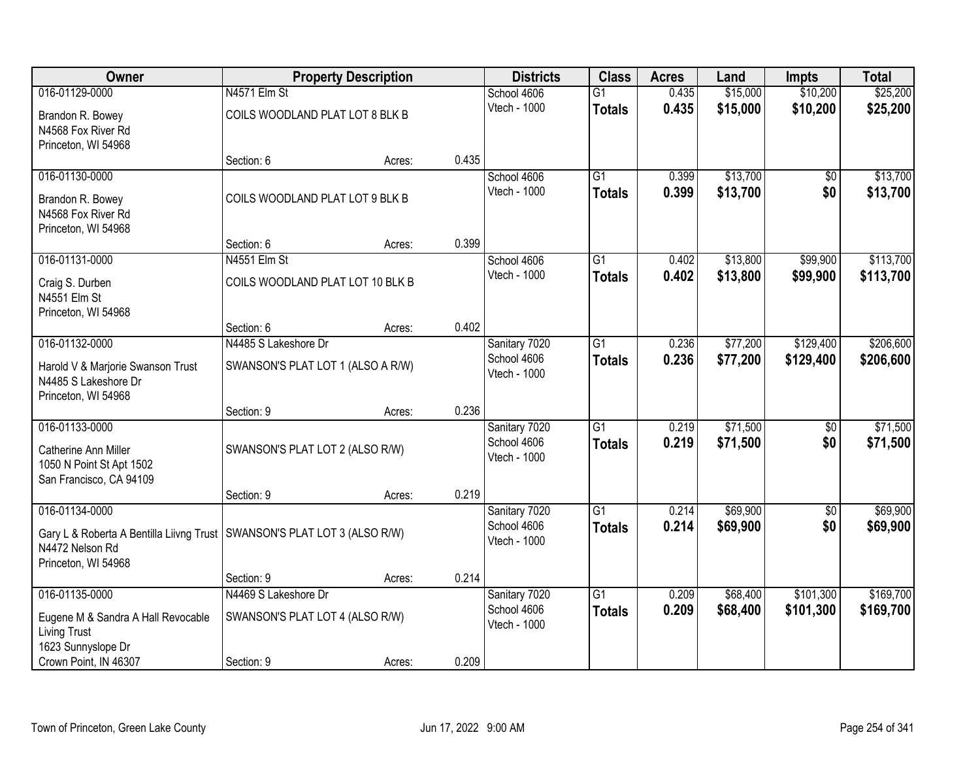| Owner                                                                                                                |                                   | <b>Property Description</b> |       | <b>Districts</b>                             | <b>Class</b>                     | <b>Acres</b>   | Land                 | <b>Impts</b>           | <b>Total</b>         |
|----------------------------------------------------------------------------------------------------------------------|-----------------------------------|-----------------------------|-------|----------------------------------------------|----------------------------------|----------------|----------------------|------------------------|----------------------|
| 016-01129-0000                                                                                                       | N4571 Elm St                      |                             |       | School 4606                                  | G1                               | 0.435          | \$15,000             | \$10,200               | \$25,200             |
| Brandon R. Bowey<br>N4568 Fox River Rd<br>Princeton, WI 54968                                                        | COILS WOODLAND PLAT LOT 8 BLK B   |                             |       | Vtech - 1000                                 | <b>Totals</b>                    | 0.435          | \$15,000             | \$10,200               | \$25,200             |
|                                                                                                                      | Section: 6                        | Acres:                      | 0.435 |                                              |                                  |                |                      |                        |                      |
| 016-01130-0000                                                                                                       |                                   |                             |       | School 4606                                  | $\overline{G1}$                  | 0.399          | \$13,700             | $\overline{50}$        | \$13,700             |
| Brandon R. Bowey<br>N4568 Fox River Rd<br>Princeton, WI 54968                                                        | COILS WOODLAND PLAT LOT 9 BLK B   |                             |       | Vtech - 1000                                 | <b>Totals</b>                    | 0.399          | \$13,700             | \$0                    | \$13,700             |
|                                                                                                                      | Section: 6                        | Acres:                      | 0.399 |                                              |                                  |                |                      |                        |                      |
| 016-01131-0000                                                                                                       | N4551 Elm St                      |                             |       | School 4606                                  | G1                               | 0.402          | \$13,800             | \$99,900               | \$113,700            |
| Craig S. Durben<br>N4551 Elm St<br>Princeton, WI 54968                                                               | COILS WOODLAND PLAT LOT 10 BLK B  |                             |       | Vtech - 1000                                 | <b>Totals</b>                    | 0.402          | \$13,800             | \$99,900               | \$113,700            |
|                                                                                                                      | Section: 6                        | Acres:                      | 0.402 |                                              |                                  |                |                      |                        |                      |
| 016-01132-0000                                                                                                       | N4485 S Lakeshore Dr              |                             |       | Sanitary 7020                                | $\overline{G1}$                  | 0.236          | \$77,200             | \$129,400              | \$206,600            |
| Harold V & Marjorie Swanson Trust<br>N4485 S Lakeshore Dr<br>Princeton, WI 54968                                     | SWANSON'S PLAT LOT 1 (ALSO A R/W) |                             |       | School 4606<br>Vtech - 1000                  | <b>Totals</b>                    | 0.236          | \$77,200             | \$129,400              | \$206,600            |
|                                                                                                                      | Section: 9                        | Acres:                      | 0.236 |                                              |                                  |                |                      |                        |                      |
| 016-01133-0000<br>Catherine Ann Miller<br>1050 N Point St Apt 1502<br>San Francisco, CA 94109                        | SWANSON'S PLAT LOT 2 (ALSO R/W)   |                             |       | Sanitary 7020<br>School 4606<br>Vtech - 1000 | $\overline{G1}$<br><b>Totals</b> | 0.219<br>0.219 | \$71,500<br>\$71,500 | $\overline{50}$<br>\$0 | \$71,500<br>\$71,500 |
|                                                                                                                      | Section: 9                        | Acres:                      | 0.219 |                                              |                                  |                |                      |                        |                      |
| 016-01134-0000                                                                                                       |                                   |                             |       | Sanitary 7020                                | $\overline{G1}$                  | 0.214          | \$69,900             | $\sqrt{6}$             | \$69,900             |
| Gary L & Roberta A Bentilla Liivng Trust   SWANSON'S PLAT LOT 3 (ALSO R/W)<br>N4472 Nelson Rd<br>Princeton, WI 54968 |                                   |                             |       | School 4606<br>Vtech - 1000                  | <b>Totals</b>                    | 0.214          | \$69,900             | \$0                    | \$69,900             |
|                                                                                                                      | Section: 9                        | Acres:                      | 0.214 |                                              |                                  |                |                      |                        |                      |
| 016-01135-0000                                                                                                       | N4469 S Lakeshore Dr              |                             |       | Sanitary 7020                                | $\overline{G1}$                  | 0.209          | \$68,400             | \$101,300              | \$169,700            |
| Eugene M & Sandra A Hall Revocable<br><b>Living Trust</b>                                                            | SWANSON'S PLAT LOT 4 (ALSO R/W)   |                             |       | School 4606<br>Vtech - 1000                  | <b>Totals</b>                    | 0.209          | \$68,400             | \$101,300              | \$169,700            |
| 1623 Sunnyslope Dr<br>Crown Point, IN 46307                                                                          | Section: 9                        | Acres:                      | 0.209 |                                              |                                  |                |                      |                        |                      |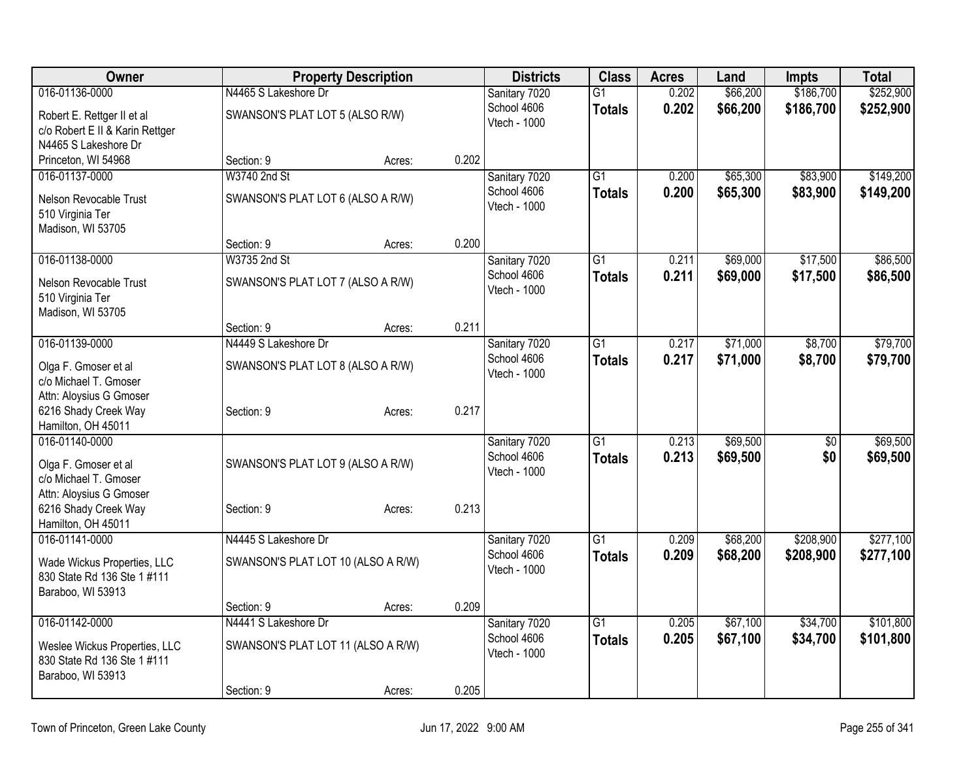| Owner                                           |                                    | <b>Property Description</b> |       | <b>Districts</b>             | <b>Class</b>    | <b>Acres</b> | Land     | <b>Impts</b> | <b>Total</b> |
|-------------------------------------------------|------------------------------------|-----------------------------|-------|------------------------------|-----------------|--------------|----------|--------------|--------------|
| 016-01136-0000                                  | N4465 S Lakeshore Dr               |                             |       | Sanitary 7020                | $\overline{G1}$ | 0.202        | \$66,200 | \$186,700    | \$252,900    |
| Robert E. Rettger II et al                      | SWANSON'S PLAT LOT 5 (ALSO R/W)    |                             |       | School 4606                  | <b>Totals</b>   | 0.202        | \$66,200 | \$186,700    | \$252,900    |
| c/o Robert E II & Karin Rettger                 |                                    |                             |       | Vtech - 1000                 |                 |              |          |              |              |
| N4465 S Lakeshore Dr                            |                                    |                             |       |                              |                 |              |          |              |              |
| Princeton, WI 54968                             | Section: 9                         | Acres:                      | 0.202 |                              |                 |              |          |              |              |
| 016-01137-0000                                  | W3740 2nd St                       |                             |       | Sanitary 7020<br>School 4606 | $\overline{G1}$ | 0.200        | \$65,300 | \$83,900     | \$149,200    |
| Nelson Revocable Trust                          | SWANSON'S PLAT LOT 6 (ALSO A R/W)  |                             |       | Vtech - 1000                 | <b>Totals</b>   | 0.200        | \$65,300 | \$83,900     | \$149,200    |
| 510 Virginia Ter                                |                                    |                             |       |                              |                 |              |          |              |              |
| Madison, WI 53705                               | Section: 9                         | Acres:                      | 0.200 |                              |                 |              |          |              |              |
| 016-01138-0000                                  | W3735 2nd St                       |                             |       | Sanitary 7020                | $\overline{G1}$ | 0.211        | \$69,000 | \$17,500     | \$86,500     |
|                                                 |                                    |                             |       | School 4606                  | <b>Totals</b>   | 0.211        | \$69,000 | \$17,500     | \$86,500     |
| Nelson Revocable Trust<br>510 Virginia Ter      | SWANSON'S PLAT LOT 7 (ALSO A R/W)  |                             |       | Vtech - 1000                 |                 |              |          |              |              |
| Madison, WI 53705                               |                                    |                             |       |                              |                 |              |          |              |              |
|                                                 | Section: 9                         | Acres:                      | 0.211 |                              |                 |              |          |              |              |
| 016-01139-0000                                  | N4449 S Lakeshore Dr               |                             |       | Sanitary 7020                | $\overline{G1}$ | 0.217        | \$71,000 | \$8,700      | \$79,700     |
| Olga F. Gmoser et al                            | SWANSON'S PLAT LOT 8 (ALSO A R/W)  |                             |       | School 4606                  | <b>Totals</b>   | 0.217        | \$71,000 | \$8,700      | \$79,700     |
| c/o Michael T. Gmoser                           |                                    |                             |       | Vtech - 1000                 |                 |              |          |              |              |
| Attn: Aloysius G Gmoser                         |                                    |                             |       |                              |                 |              |          |              |              |
| 6216 Shady Creek Way                            | Section: 9                         | Acres:                      | 0.217 |                              |                 |              |          |              |              |
| Hamilton, OH 45011<br>016-01140-0000            |                                    |                             |       |                              | G1              | 0.213        | \$69,500 |              | \$69,500     |
|                                                 |                                    |                             |       | Sanitary 7020<br>School 4606 | <b>Totals</b>   | 0.213        | \$69,500 | \$0<br>\$0   | \$69,500     |
| Olga F. Gmoser et al                            | SWANSON'S PLAT LOT 9 (ALSO A R/W)  |                             |       | Vtech - 1000                 |                 |              |          |              |              |
| c/o Michael T. Gmoser                           |                                    |                             |       |                              |                 |              |          |              |              |
| Attn: Aloysius G Gmoser<br>6216 Shady Creek Way | Section: 9                         | Acres:                      | 0.213 |                              |                 |              |          |              |              |
| Hamilton, OH 45011                              |                                    |                             |       |                              |                 |              |          |              |              |
| 016-01141-0000                                  | N4445 S Lakeshore Dr               |                             |       | Sanitary 7020                | G1              | 0.209        | \$68,200 | \$208,900    | \$277,100    |
| Wade Wickus Properties, LLC                     | SWANSON'S PLAT LOT 10 (ALSO A R/W) |                             |       | School 4606                  | <b>Totals</b>   | 0.209        | \$68,200 | \$208,900    | \$277,100    |
| 830 State Rd 136 Ste 1 #111                     |                                    |                             |       | Vtech - 1000                 |                 |              |          |              |              |
| Baraboo, WI 53913                               |                                    |                             |       |                              |                 |              |          |              |              |
|                                                 | Section: 9                         | Acres:                      | 0.209 |                              |                 |              |          |              |              |
| 016-01142-0000                                  | N4441 S Lakeshore Dr               |                             |       | Sanitary 7020                | G <sub>1</sub>  | 0.205        | \$67,100 | \$34,700     | \$101,800    |
| Weslee Wickus Properties, LLC                   | SWANSON'S PLAT LOT 11 (ALSO A R/W) |                             |       | School 4606<br>Vtech - 1000  | Totals          | 0.205        | \$67,100 | \$34,700     | \$101,800    |
| 830 State Rd 136 Ste 1 #111                     |                                    |                             |       |                              |                 |              |          |              |              |
| Baraboo, WI 53913                               |                                    |                             |       |                              |                 |              |          |              |              |
|                                                 | Section: 9                         | Acres:                      | 0.205 |                              |                 |              |          |              |              |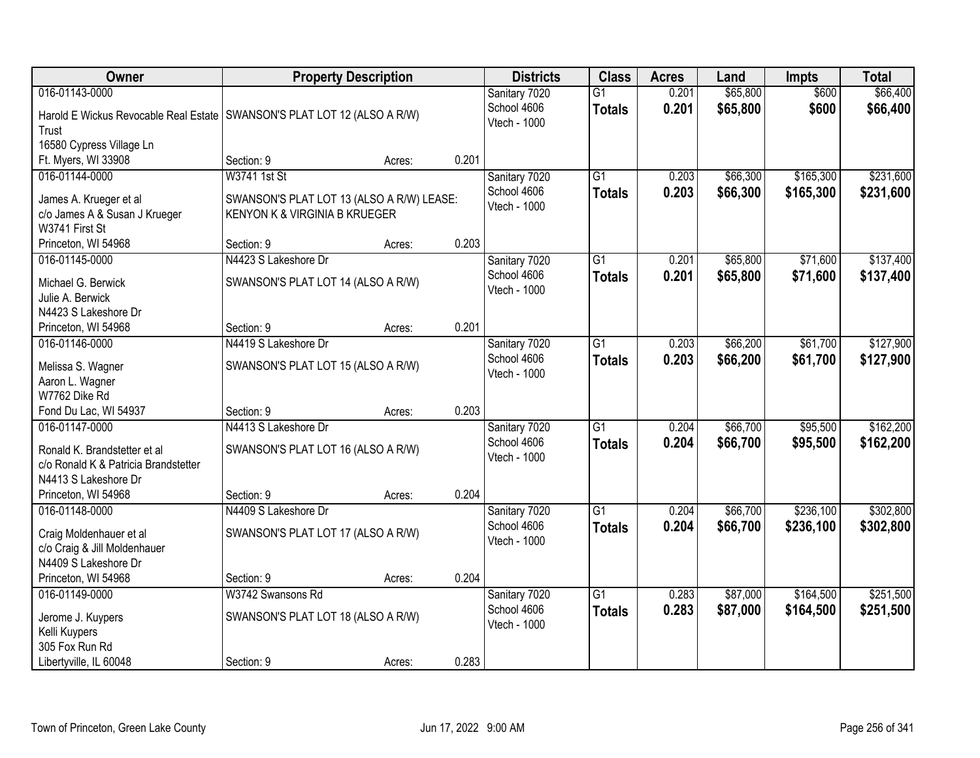| Owner                                                                                                          | <b>Property Description</b>                                                |        |       | <b>Districts</b>                             | <b>Class</b>                     | <b>Acres</b>   | Land                 | <b>Impts</b>           | <b>Total</b>           |
|----------------------------------------------------------------------------------------------------------------|----------------------------------------------------------------------------|--------|-------|----------------------------------------------|----------------------------------|----------------|----------------------|------------------------|------------------------|
| 016-01143-0000<br>Harold E Wickus Revocable Real Estate   SWANSON'S PLAT LOT 12 (ALSO A R/W)<br>Trust          |                                                                            |        |       | Sanitary 7020<br>School 4606<br>Vtech - 1000 | $\overline{G1}$<br><b>Totals</b> | 0.201<br>0.201 | \$65,800<br>\$65,800 | \$600<br>\$600         | \$66,400<br>\$66,400   |
| 16580 Cypress Village Ln                                                                                       | Section: 9                                                                 |        | 0.201 |                                              |                                  |                |                      |                        |                        |
| Ft. Myers, WI 33908                                                                                            | W3741 1st St                                                               | Acres: |       |                                              | $\overline{G1}$                  |                |                      |                        | \$231,600              |
| 016-01144-0000<br>James A. Krueger et al<br>c/o James A & Susan J Krueger<br>W3741 First St                    | SWANSON'S PLAT LOT 13 (ALSO A R/W) LEASE:<br>KENYON K & VIRGINIA B KRUEGER |        |       | Sanitary 7020<br>School 4606<br>Vtech - 1000 | <b>Totals</b>                    | 0.203<br>0.203 | \$66,300<br>\$66,300 | \$165,300<br>\$165,300 | \$231,600              |
| Princeton, WI 54968                                                                                            | Section: 9                                                                 | Acres: | 0.203 |                                              |                                  |                |                      |                        |                        |
| 016-01145-0000                                                                                                 | N4423 S Lakeshore Dr                                                       |        |       | Sanitary 7020                                | G1                               | 0.201          | \$65,800             | \$71,600               | \$137,400              |
| Michael G. Berwick<br>Julie A. Berwick<br>N4423 S Lakeshore Dr                                                 | SWANSON'S PLAT LOT 14 (ALSO A R/W)                                         |        |       | School 4606<br>Vtech - 1000                  | <b>Totals</b>                    | 0.201          | \$65,800             | \$71,600               | \$137,400              |
| Princeton, WI 54968                                                                                            | Section: 9                                                                 | Acres: | 0.201 |                                              |                                  |                |                      |                        |                        |
| 016-01146-0000                                                                                                 | N4419 S Lakeshore Dr                                                       |        |       | Sanitary 7020                                | $\overline{G1}$                  | 0.203          | \$66,200             | \$61,700               | \$127,900              |
| Melissa S. Wagner<br>Aaron L. Wagner<br>W7762 Dike Rd                                                          | SWANSON'S PLAT LOT 15 (ALSO A R/W)                                         |        |       | School 4606<br>Vtech - 1000                  | <b>Totals</b>                    | 0.203          | \$66,200             | \$61,700               | \$127,900              |
| Fond Du Lac, WI 54937                                                                                          | Section: 9                                                                 | Acres: | 0.203 |                                              |                                  |                |                      |                        |                        |
| 016-01147-0000<br>Ronald K. Brandstetter et al<br>c/o Ronald K & Patricia Brandstetter<br>N4413 S Lakeshore Dr | N4413 S Lakeshore Dr<br>SWANSON'S PLAT LOT 16 (ALSO A R/W)                 |        |       | Sanitary 7020<br>School 4606<br>Vtech - 1000 | $\overline{G1}$<br><b>Totals</b> | 0.204<br>0.204 | \$66,700<br>\$66,700 | \$95,500<br>\$95,500   | \$162,200<br>\$162,200 |
| Princeton, WI 54968                                                                                            | Section: 9                                                                 | Acres: | 0.204 |                                              |                                  |                |                      |                        |                        |
| 016-01148-0000<br>Craig Moldenhauer et al<br>c/o Craig & Jill Moldenhauer<br>N4409 S Lakeshore Dr              | N4409 S Lakeshore Dr<br>SWANSON'S PLAT LOT 17 (ALSO A R/W)                 |        |       | Sanitary 7020<br>School 4606<br>Vtech - 1000 | G1<br><b>Totals</b>              | 0.204<br>0.204 | \$66,700<br>\$66,700 | \$236,100<br>\$236,100 | \$302,800<br>\$302,800 |
| Princeton, WI 54968                                                                                            | Section: 9                                                                 | Acres: | 0.204 |                                              |                                  |                |                      |                        |                        |
| 016-01149-0000<br>Jerome J. Kuypers<br>Kelli Kuypers<br>305 Fox Run Rd                                         | W3742 Swansons Rd<br>SWANSON'S PLAT LOT 18 (ALSO A R/W)                    |        |       | Sanitary 7020<br>School 4606<br>Vtech - 1000 | $\overline{G1}$<br><b>Totals</b> | 0.283<br>0.283 | \$87,000<br>\$87,000 | \$164,500<br>\$164,500 | \$251,500<br>\$251,500 |
| Libertyville, IL 60048                                                                                         | Section: 9                                                                 | Acres: | 0.283 |                                              |                                  |                |                      |                        |                        |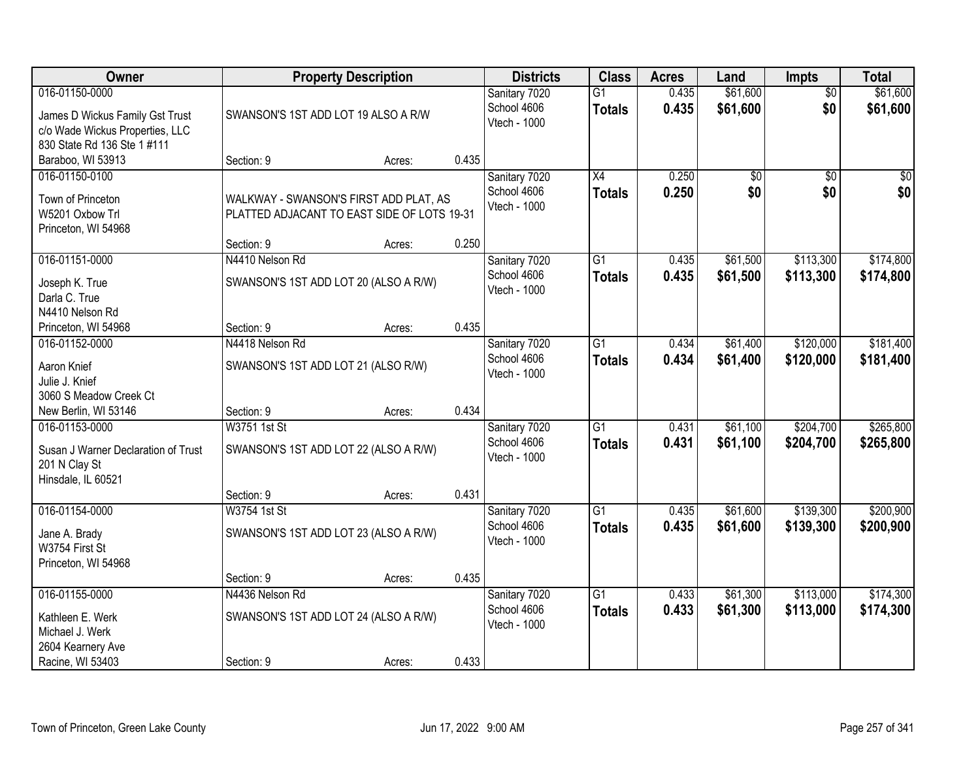| Owner                                                                                                               | <b>Property Description</b>                                                           |        |       | <b>Districts</b>                             | <b>Class</b>                     | <b>Acres</b>   | Land                   | <b>Impts</b>           | <b>Total</b>           |
|---------------------------------------------------------------------------------------------------------------------|---------------------------------------------------------------------------------------|--------|-------|----------------------------------------------|----------------------------------|----------------|------------------------|------------------------|------------------------|
| 016-01150-0000<br>James D Wickus Family Gst Trust<br>c/o Wade Wickus Properties, LLC<br>830 State Rd 136 Ste 1 #111 | SWANSON'S 1ST ADD LOT 19 ALSO A R/W                                                   |        |       | Sanitary 7020<br>School 4606<br>Vtech - 1000 | $\overline{G1}$<br><b>Totals</b> | 0.435<br>0.435 | \$61,600<br>\$61,600   | $\overline{50}$<br>\$0 | \$61,600<br>\$61,600   |
| Baraboo, WI 53913                                                                                                   | Section: 9                                                                            | Acres: | 0.435 |                                              |                                  |                |                        |                        |                        |
| 016-01150-0100<br>Town of Princeton<br>W5201 Oxbow Trl<br>Princeton, WI 54968                                       | WALKWAY - SWANSON'S FIRST ADD PLAT, AS<br>PLATTED ADJACANT TO EAST SIDE OF LOTS 19-31 |        |       | Sanitary 7020<br>School 4606<br>Vtech - 1000 | $\overline{X4}$<br><b>Totals</b> | 0.250<br>0.250 | $\overline{50}$<br>\$0 | $\overline{50}$<br>\$0 | $\sqrt{50}$<br>\$0     |
|                                                                                                                     | Section: 9                                                                            | Acres: | 0.250 |                                              |                                  |                |                        |                        |                        |
| 016-01151-0000<br>Joseph K. True<br>Darla C. True<br>N4410 Nelson Rd                                                | N4410 Nelson Rd<br>SWANSON'S 1ST ADD LOT 20 (ALSO A R/W)                              |        |       | Sanitary 7020<br>School 4606<br>Vtech - 1000 | G1<br><b>Totals</b>              | 0.435<br>0.435 | \$61,500<br>\$61,500   | \$113,300<br>\$113,300 | \$174,800<br>\$174,800 |
| Princeton, WI 54968                                                                                                 | Section: 9                                                                            | Acres: | 0.435 |                                              |                                  |                |                        |                        |                        |
| 016-01152-0000<br>Aaron Knief<br>Julie J. Knief<br>3060 S Meadow Creek Ct                                           | N4418 Nelson Rd<br>SWANSON'S 1ST ADD LOT 21 (ALSO R/W)                                |        |       | Sanitary 7020<br>School 4606<br>Vtech - 1000 | G1<br><b>Totals</b>              | 0.434<br>0.434 | \$61,400<br>\$61,400   | \$120,000<br>\$120,000 | \$181,400<br>\$181,400 |
| New Berlin, WI 53146                                                                                                | Section: 9                                                                            | Acres: | 0.434 |                                              |                                  |                |                        |                        |                        |
| 016-01153-0000<br>Susan J Warner Declaration of Trust<br>201 N Clay St<br>Hinsdale, IL 60521                        | <b>W3751 1st St</b><br>SWANSON'S 1ST ADD LOT 22 (ALSO A R/W)<br>Section: 9            | Acres: | 0.431 | Sanitary 7020<br>School 4606<br>Vtech - 1000 | $\overline{G1}$<br><b>Totals</b> | 0.431<br>0.431 | \$61,100<br>\$61,100   | \$204,700<br>\$204,700 | \$265,800<br>\$265,800 |
| 016-01154-0000                                                                                                      | W3754 1st St                                                                          |        |       | Sanitary 7020                                | $\overline{G1}$                  | 0.435          | \$61,600               | \$139,300              | \$200,900              |
| Jane A. Brady<br>W3754 First St<br>Princeton, WI 54968                                                              | SWANSON'S 1ST ADD LOT 23 (ALSO A R/W)                                                 |        |       | School 4606<br>Vtech - 1000                  | <b>Totals</b>                    | 0.435          | \$61,600               | \$139,300              | \$200,900              |
|                                                                                                                     | Section: 9                                                                            | Acres: | 0.435 |                                              |                                  |                |                        |                        |                        |
| 016-01155-0000<br>Kathleen E. Werk<br>Michael J. Werk<br>2604 Kearnery Ave<br>Racine, WI 53403                      | N4436 Nelson Rd<br>SWANSON'S 1ST ADD LOT 24 (ALSO A R/W)<br>Section: 9                | Acres: | 0.433 | Sanitary 7020<br>School 4606<br>Vtech - 1000 | $\overline{G1}$<br><b>Totals</b> | 0.433<br>0.433 | \$61,300<br>\$61,300   | \$113,000<br>\$113,000 | \$174,300<br>\$174,300 |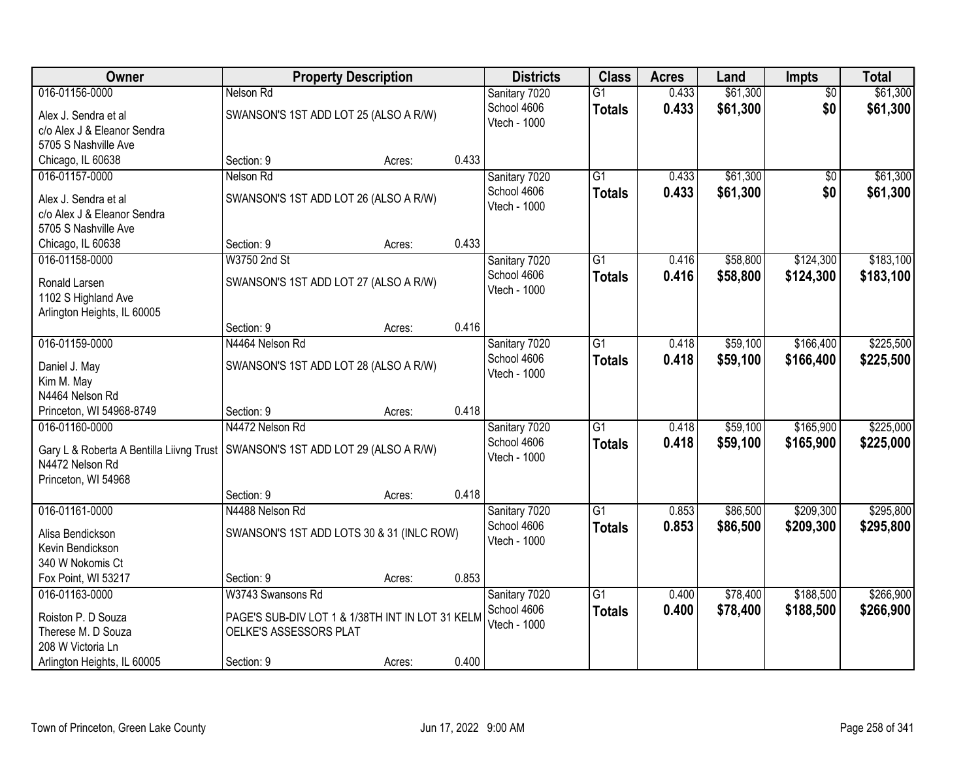| Owner                                    |                                                  | <b>Property Description</b> |       | <b>Districts</b>             | <b>Class</b>    | <b>Acres</b> | Land     | Impts           | <b>Total</b> |
|------------------------------------------|--------------------------------------------------|-----------------------------|-------|------------------------------|-----------------|--------------|----------|-----------------|--------------|
| 016-01156-0000                           | Nelson Rd                                        |                             |       | Sanitary 7020                | $\overline{G1}$ | 0.433        | \$61,300 | $\overline{50}$ | \$61,300     |
| Alex J. Sendra et al                     | SWANSON'S 1ST ADD LOT 25 (ALSO A R/W)            |                             |       | School 4606                  | <b>Totals</b>   | 0.433        | \$61,300 | \$0             | \$61,300     |
| c/o Alex J & Eleanor Sendra              |                                                  |                             |       | Vtech - 1000                 |                 |              |          |                 |              |
| 5705 S Nashville Ave                     |                                                  |                             |       |                              |                 |              |          |                 |              |
| Chicago, IL 60638                        | Section: 9                                       | Acres:                      | 0.433 |                              |                 |              |          |                 |              |
| 016-01157-0000                           | Nelson Rd                                        |                             |       | Sanitary 7020                | $\overline{G1}$ | 0.433        | \$61,300 | \$0             | \$61,300     |
| Alex J. Sendra et al                     | SWANSON'S 1ST ADD LOT 26 (ALSO A R/W)            |                             |       | School 4606                  | <b>Totals</b>   | 0.433        | \$61,300 | \$0             | \$61,300     |
| c/o Alex J & Eleanor Sendra              |                                                  |                             |       | Vtech - 1000                 |                 |              |          |                 |              |
| 5705 S Nashville Ave                     |                                                  |                             |       |                              |                 |              |          |                 |              |
| Chicago, IL 60638                        | Section: 9                                       | Acres:                      | 0.433 |                              |                 |              |          |                 |              |
| 016-01158-0000                           | W3750 2nd St                                     |                             |       | Sanitary 7020                | $\overline{G1}$ | 0.416        | \$58,800 | \$124,300       | \$183,100    |
| Ronald Larsen                            | SWANSON'S 1ST ADD LOT 27 (ALSO A R/W)            |                             |       | School 4606                  | <b>Totals</b>   | 0.416        | \$58,800 | \$124,300       | \$183,100    |
| 1102 S Highland Ave                      |                                                  |                             |       | Vtech - 1000                 |                 |              |          |                 |              |
| Arlington Heights, IL 60005              |                                                  |                             |       |                              |                 |              |          |                 |              |
|                                          | Section: 9                                       | Acres:                      | 0.416 |                              |                 |              |          |                 |              |
| 016-01159-0000                           | N4464 Nelson Rd                                  |                             |       | Sanitary 7020                | $\overline{G1}$ | 0.418        | \$59,100 | \$166,400       | \$225,500    |
|                                          |                                                  |                             |       | School 4606                  | <b>Totals</b>   | 0.418        | \$59,100 | \$166,400       | \$225,500    |
| Daniel J. May<br>Kim M. May              | SWANSON'S 1ST ADD LOT 28 (ALSO A R/W)            |                             |       | Vtech - 1000                 |                 |              |          |                 |              |
| N4464 Nelson Rd                          |                                                  |                             |       |                              |                 |              |          |                 |              |
| Princeton, WI 54968-8749                 | Section: 9                                       | Acres:                      | 0.418 |                              |                 |              |          |                 |              |
| 016-01160-0000                           | N4472 Nelson Rd                                  |                             |       | Sanitary 7020                | $\overline{G1}$ | 0.418        | \$59,100 | \$165,900       | \$225,000    |
|                                          |                                                  |                             |       | School 4606                  | <b>Totals</b>   | 0.418        | \$59,100 | \$165,900       | \$225,000    |
| Gary L & Roberta A Bentilla Liivng Trust | SWANSON'S 1ST ADD LOT 29 (ALSO A R/W)            |                             |       | Vtech - 1000                 |                 |              |          |                 |              |
| N4472 Nelson Rd                          |                                                  |                             |       |                              |                 |              |          |                 |              |
| Princeton, WI 54968                      | Section: 9                                       | Acres:                      | 0.418 |                              |                 |              |          |                 |              |
| 016-01161-0000                           | N4488 Nelson Rd                                  |                             |       | Sanitary 7020                | $\overline{G1}$ | 0.853        | \$86,500 | \$209,300       | \$295,800    |
|                                          |                                                  |                             |       | School 4606                  | <b>Totals</b>   | 0.853        | \$86,500 | \$209,300       | \$295,800    |
| Alisa Bendickson                         | SWANSON'S 1ST ADD LOTS 30 & 31 (INLC ROW)        |                             |       | Vtech - 1000                 |                 |              |          |                 |              |
| Kevin Bendickson                         |                                                  |                             |       |                              |                 |              |          |                 |              |
| 340 W Nokomis Ct                         |                                                  |                             |       |                              |                 |              |          |                 |              |
| Fox Point, WI 53217<br>016-01163-0000    | Section: 9<br>W3743 Swansons Rd                  | Acres:                      | 0.853 |                              | $\overline{G1}$ | 0.400        | \$78,400 | \$188,500       | \$266,900    |
|                                          |                                                  |                             |       | Sanitary 7020<br>School 4606 |                 | 0.400        |          |                 |              |
| Roiston P. D Souza                       | PAGE'S SUB-DIV LOT 1 & 1/38TH INT IN LOT 31 KELM |                             |       | Vtech - 1000                 | <b>Totals</b>   |              | \$78,400 | \$188,500       | \$266,900    |
| Therese M. D Souza                       | OELKE'S ASSESSORS PLAT                           |                             |       |                              |                 |              |          |                 |              |
| 208 W Victoria Ln                        |                                                  |                             |       |                              |                 |              |          |                 |              |
| Arlington Heights, IL 60005              | Section: 9                                       | Acres:                      | 0.400 |                              |                 |              |          |                 |              |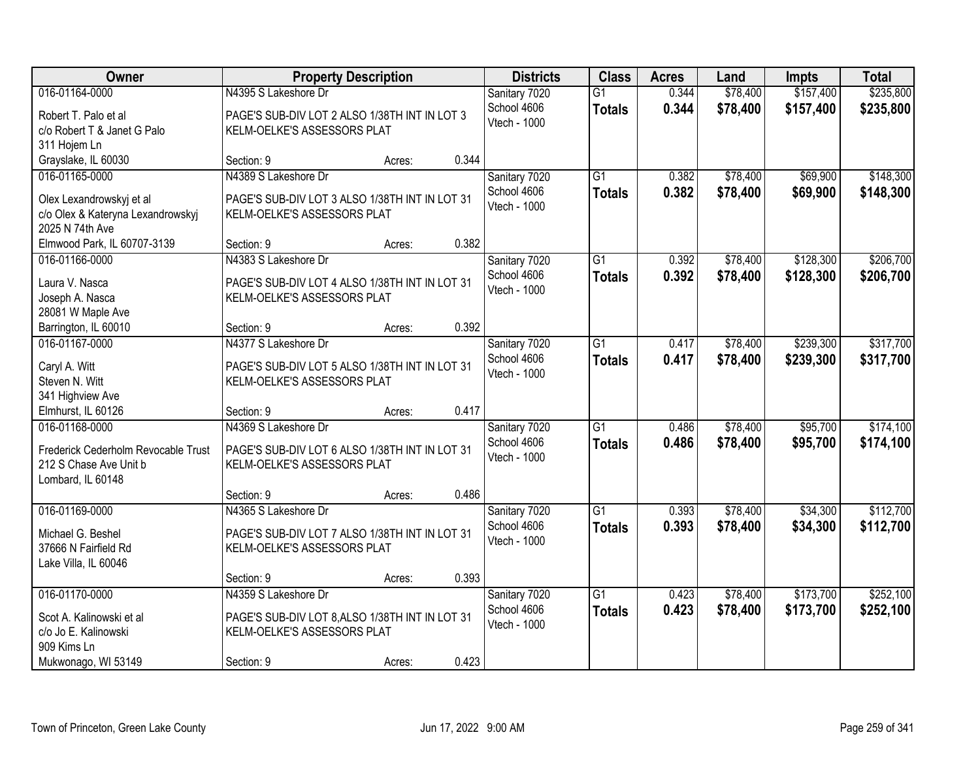| Owner                                |                                                 | <b>Property Description</b> |       | <b>Districts</b>             | <b>Class</b>    | <b>Acres</b> | Land     | Impts     | <b>Total</b> |
|--------------------------------------|-------------------------------------------------|-----------------------------|-------|------------------------------|-----------------|--------------|----------|-----------|--------------|
| 016-01164-0000                       | N4395 S Lakeshore Dr                            |                             |       | Sanitary 7020                | $\overline{G1}$ | 0.344        | \$78,400 | \$157,400 | \$235,800    |
| Robert T. Palo et al                 | PAGE'S SUB-DIV LOT 2 ALSO 1/38TH INT IN LOT 3   |                             |       | School 4606                  | <b>Totals</b>   | 0.344        | \$78,400 | \$157,400 | \$235,800    |
| c/o Robert T & Janet G Palo          | KELM-OELKE'S ASSESSORS PLAT                     |                             |       | Vtech - 1000                 |                 |              |          |           |              |
| 311 Hojem Ln                         |                                                 |                             |       |                              |                 |              |          |           |              |
| Grayslake, IL 60030                  | Section: 9                                      | Acres:                      | 0.344 |                              |                 |              |          |           |              |
| 016-01165-0000                       | N4389 S Lakeshore Dr                            |                             |       | Sanitary 7020                | $\overline{G1}$ | 0.382        | \$78,400 | \$69,900  | \$148,300    |
|                                      |                                                 |                             |       | School 4606                  | <b>Totals</b>   | 0.382        | \$78,400 | \$69,900  | \$148,300    |
| Olex Lexandrowskyj et al             | PAGE'S SUB-DIV LOT 3 ALSO 1/38TH INT IN LOT 31  |                             |       | Vtech - 1000                 |                 |              |          |           |              |
| c/o Olex & Kateryna Lexandrowskyj    | KELM-OELKE'S ASSESSORS PLAT                     |                             |       |                              |                 |              |          |           |              |
| 2025 N 74th Ave                      |                                                 |                             |       |                              |                 |              |          |           |              |
| Elmwood Park, IL 60707-3139          | Section: 9                                      | Acres:                      | 0.382 |                              |                 |              |          |           |              |
| 016-01166-0000                       | N4383 S Lakeshore Dr                            |                             |       | Sanitary 7020                | G1              | 0.392        | \$78,400 | \$128,300 | \$206,700    |
| Laura V. Nasca                       | PAGE'S SUB-DIV LOT 4 ALSO 1/38TH INT IN LOT 31  |                             |       | School 4606                  | <b>Totals</b>   | 0.392        | \$78,400 | \$128,300 | \$206,700    |
| Joseph A. Nasca                      | KELM-OELKE'S ASSESSORS PLAT                     |                             |       | Vtech - 1000                 |                 |              |          |           |              |
| 28081 W Maple Ave                    |                                                 |                             |       |                              |                 |              |          |           |              |
| Barrington, IL 60010                 | Section: 9                                      | Acres:                      | 0.392 |                              |                 |              |          |           |              |
| 016-01167-0000                       | N4377 S Lakeshore Dr                            |                             |       | Sanitary 7020                | G1              | 0.417        | \$78,400 | \$239,300 | \$317,700    |
|                                      |                                                 |                             |       | School 4606                  | <b>Totals</b>   | 0.417        | \$78,400 | \$239,300 | \$317,700    |
| Caryl A. Witt                        | PAGE'S SUB-DIV LOT 5 ALSO 1/38TH INT IN LOT 31  |                             |       | Vtech - 1000                 |                 |              |          |           |              |
| Steven N. Witt                       | KELM-OELKE'S ASSESSORS PLAT                     |                             |       |                              |                 |              |          |           |              |
| 341 Highview Ave                     |                                                 |                             | 0.417 |                              |                 |              |          |           |              |
| Elmhurst, IL 60126<br>016-01168-0000 | Section: 9<br>N4369 S Lakeshore Dr              | Acres:                      |       |                              | $\overline{G1}$ |              |          | \$95,700  | \$174,100    |
|                                      |                                                 |                             |       | Sanitary 7020                |                 | 0.486        | \$78,400 |           |              |
| Frederick Cederholm Revocable Trust  | PAGE'S SUB-DIV LOT 6 ALSO 1/38TH INT IN LOT 31  |                             |       | School 4606<br>Vtech - 1000  | <b>Totals</b>   | 0.486        | \$78,400 | \$95,700  | \$174,100    |
| 212 S Chase Ave Unit b               | KELM-OELKE'S ASSESSORS PLAT                     |                             |       |                              |                 |              |          |           |              |
| Lombard, IL 60148                    |                                                 |                             |       |                              |                 |              |          |           |              |
|                                      | Section: 9                                      | Acres:                      | 0.486 |                              |                 |              |          |           |              |
| 016-01169-0000                       | N4365 S Lakeshore Dr                            |                             |       | Sanitary 7020                | $\overline{G1}$ | 0.393        | \$78,400 | \$34,300  | \$112,700    |
| Michael G. Beshel                    | PAGE'S SUB-DIV LOT 7 ALSO 1/38TH INT IN LOT 31  |                             |       | School 4606                  | <b>Totals</b>   | 0.393        | \$78,400 | \$34,300  | \$112,700    |
| 37666 N Fairfield Rd                 | KELM-OELKE'S ASSESSORS PLAT                     |                             |       | Vtech - 1000                 |                 |              |          |           |              |
| Lake Villa, IL 60046                 |                                                 |                             |       |                              |                 |              |          |           |              |
|                                      | Section: 9                                      | Acres:                      | 0.393 |                              |                 |              |          |           |              |
| 016-01170-0000                       | N4359 S Lakeshore Dr                            |                             |       |                              | $\overline{G1}$ | 0.423        | \$78,400 | \$173,700 | \$252,100    |
|                                      |                                                 |                             |       | Sanitary 7020<br>School 4606 |                 | 0.423        |          | \$173,700 |              |
| Scot A. Kalinowski et al             | PAGE'S SUB-DIV LOT 8, ALSO 1/38TH INT IN LOT 31 |                             |       | Vtech - 1000                 | <b>Totals</b>   |              | \$78,400 |           | \$252,100    |
| c/o Jo E. Kalinowski                 | KELM-OELKE'S ASSESSORS PLAT                     |                             |       |                              |                 |              |          |           |              |
| 909 Kims Ln                          |                                                 |                             |       |                              |                 |              |          |           |              |
| Mukwonago, WI 53149                  | Section: 9                                      | Acres:                      | 0.423 |                              |                 |              |          |           |              |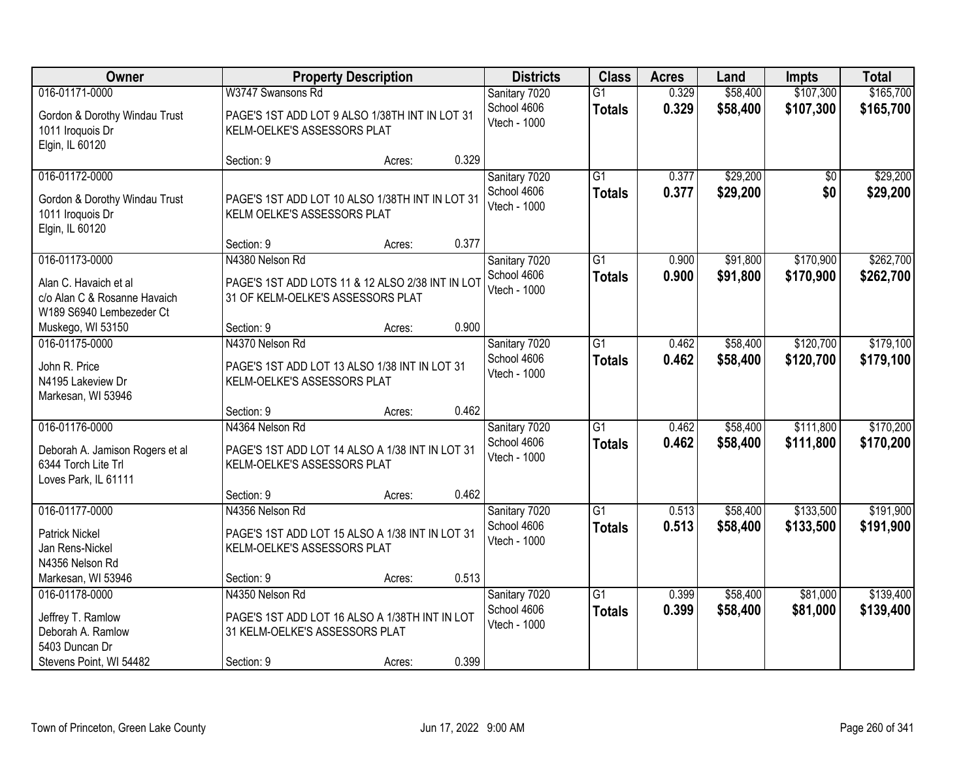| <b>Owner</b>                                                                                          |                                                                                                                   | <b>Property Description</b> |       | <b>Districts</b>                             | <b>Class</b>                     | <b>Acres</b>   | Land                 | <b>Impts</b>           | <b>Total</b>           |
|-------------------------------------------------------------------------------------------------------|-------------------------------------------------------------------------------------------------------------------|-----------------------------|-------|----------------------------------------------|----------------------------------|----------------|----------------------|------------------------|------------------------|
| 016-01171-0000                                                                                        | W3747 Swansons Rd                                                                                                 |                             |       | Sanitary 7020                                | $\overline{G1}$                  | 0.329          | \$58,400             | \$107,300              | \$165,700              |
| Gordon & Dorothy Windau Trust<br>1011 Iroquois Dr<br>Elgin, IL 60120                                  | PAGE'S 1ST ADD LOT 9 ALSO 1/38TH INT IN LOT 31<br>KELM-OELKE'S ASSESSORS PLAT                                     |                             |       | School 4606<br>Vtech - 1000                  | <b>Totals</b>                    | 0.329          | \$58,400             | \$107,300              | \$165,700              |
|                                                                                                       | Section: 9                                                                                                        | Acres:                      | 0.329 |                                              |                                  |                |                      |                        |                        |
| 016-01172-0000<br>Gordon & Dorothy Windau Trust<br>1011 Iroquois Dr<br>Elgin, IL 60120                | PAGE'S 1ST ADD LOT 10 ALSO 1/38TH INT IN LOT 31<br>KELM OELKE'S ASSESSORS PLAT                                    |                             |       | Sanitary 7020<br>School 4606<br>Vtech - 1000 | $\overline{G1}$<br><b>Totals</b> | 0.377<br>0.377 | \$29,200<br>\$29,200 | \$0<br>\$0             | \$29,200<br>\$29,200   |
|                                                                                                       | Section: 9                                                                                                        | Acres:                      | 0.377 |                                              |                                  |                |                      |                        |                        |
| 016-01173-0000<br>Alan C. Havaich et al<br>c/o Alan C & Rosanne Havaich<br>W189 S6940 Lembezeder Ct   | N4380 Nelson Rd<br>PAGE'S 1ST ADD LOTS 11 & 12 ALSO 2/38 INT IN LOT<br>31 OF KELM-OELKE'S ASSESSORS PLAT          |                             |       | Sanitary 7020<br>School 4606<br>Vtech - 1000 | G <sub>1</sub><br><b>Totals</b>  | 0.900<br>0.900 | \$91,800<br>\$91,800 | \$170,900<br>\$170,900 | \$262,700<br>\$262,700 |
| Muskego, WI 53150                                                                                     | Section: 9                                                                                                        | Acres:                      | 0.900 |                                              |                                  |                |                      |                        |                        |
| 016-01175-0000<br>John R. Price<br>N4195 Lakeview Dr<br>Markesan, WI 53946                            | N4370 Nelson Rd<br>PAGE'S 1ST ADD LOT 13 ALSO 1/38 INT IN LOT 31<br>KELM-OELKE'S ASSESSORS PLAT                   |                             |       | Sanitary 7020<br>School 4606<br>Vtech - 1000 | $\overline{G1}$<br><b>Totals</b> | 0.462<br>0.462 | \$58,400<br>\$58,400 | \$120,700<br>\$120,700 | \$179,100<br>\$179,100 |
|                                                                                                       | Section: 9                                                                                                        | Acres:                      | 0.462 |                                              |                                  |                |                      |                        |                        |
| 016-01176-0000<br>Deborah A. Jamison Rogers et al<br>6344 Torch Lite Trl<br>Loves Park, IL 61111      | N4364 Nelson Rd<br>PAGE'S 1ST ADD LOT 14 ALSO A 1/38 INT IN LOT 31<br>KELM-OELKE'S ASSESSORS PLAT                 |                             |       | Sanitary 7020<br>School 4606<br>Vtech - 1000 | $\overline{G1}$<br><b>Totals</b> | 0.462<br>0.462 | \$58,400<br>\$58,400 | \$111,800<br>\$111,800 | \$170,200<br>\$170,200 |
|                                                                                                       | Section: 9                                                                                                        | Acres:                      | 0.462 |                                              |                                  |                |                      |                        |                        |
| 016-01177-0000<br><b>Patrick Nickel</b><br>Jan Rens-Nickel<br>N4356 Nelson Rd                         | N4356 Nelson Rd<br>PAGE'S 1ST ADD LOT 15 ALSO A 1/38 INT IN LOT 31<br>KELM-OELKE'S ASSESSORS PLAT                 |                             |       | Sanitary 7020<br>School 4606<br>Vtech - 1000 | $\overline{G1}$<br><b>Totals</b> | 0.513<br>0.513 | \$58,400<br>\$58,400 | \$133,500<br>\$133,500 | \$191,900<br>\$191,900 |
| Markesan, WI 53946                                                                                    | Section: 9                                                                                                        | Acres:                      | 0.513 |                                              |                                  |                |                      |                        |                        |
| 016-01178-0000<br>Jeffrey T. Ramlow<br>Deborah A. Ramlow<br>5403 Duncan Dr<br>Stevens Point, WI 54482 | N4350 Nelson Rd<br>PAGE'S 1ST ADD LOT 16 ALSO A 1/38TH INT IN LOT<br>31 KELM-OELKE'S ASSESSORS PLAT<br>Section: 9 | Acres:                      | 0.399 | Sanitary 7020<br>School 4606<br>Vtech - 1000 | G1<br><b>Totals</b>              | 0.399<br>0.399 | \$58,400<br>\$58,400 | \$81,000<br>\$81,000   | \$139,400<br>\$139,400 |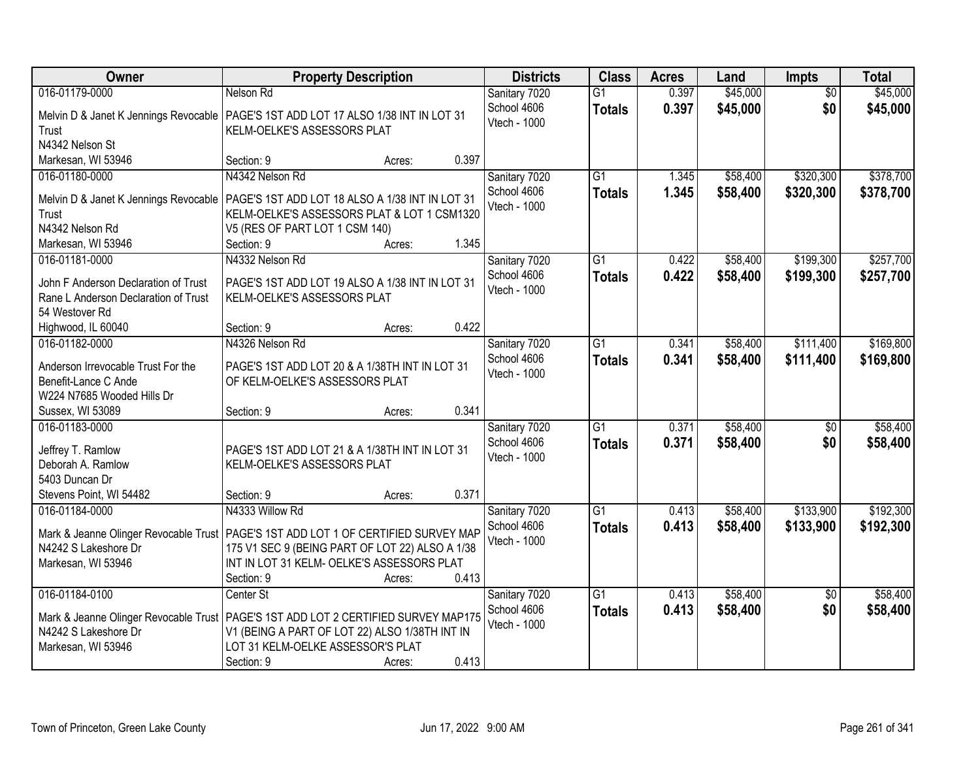| Owner                                                                                          | <b>Property Description</b>                                                                                                                                                                                               | <b>Districts</b>                             | <b>Class</b>                     | <b>Acres</b>   | Land                 | <b>Impts</b>           | <b>Total</b>         |
|------------------------------------------------------------------------------------------------|---------------------------------------------------------------------------------------------------------------------------------------------------------------------------------------------------------------------------|----------------------------------------------|----------------------------------|----------------|----------------------|------------------------|----------------------|
| 016-01179-0000                                                                                 | Nelson Rd                                                                                                                                                                                                                 | Sanitary 7020                                | $\overline{G1}$                  | 0.397          | \$45,000             | $\overline{50}$        | \$45,000             |
| Melvin D & Janet K Jennings Revocable<br>Trust<br>N4342 Nelson St                              | PAGE'S 1ST ADD LOT 17 ALSO 1/38 INT IN LOT 31<br>KELM-OELKE'S ASSESSORS PLAT                                                                                                                                              | School 4606<br>Vtech - 1000                  | <b>Totals</b>                    | 0.397          | \$45,000             | \$0                    | \$45,000             |
| Markesan, WI 53946                                                                             | 0.397<br>Section: 9<br>Acres:                                                                                                                                                                                             |                                              |                                  |                |                      |                        |                      |
| 016-01180-0000                                                                                 | N4342 Nelson Rd                                                                                                                                                                                                           | Sanitary 7020                                | $\overline{G1}$                  | 1.345          | \$58,400             | \$320,300              | \$378,700            |
| Melvin D & Janet K Jennings Revocable<br>Trust                                                 | PAGE'S 1ST ADD LOT 18 ALSO A 1/38 INT IN LOT 31<br>KELM-OELKE'S ASSESSORS PLAT & LOT 1 CSM1320                                                                                                                            | School 4606<br>Vtech - 1000                  | <b>Totals</b>                    | 1.345          | \$58,400             | \$320,300              | \$378,700            |
| N4342 Nelson Rd                                                                                | V5 (RES OF PART LOT 1 CSM 140)                                                                                                                                                                                            |                                              |                                  |                |                      |                        |                      |
| Markesan, WI 53946                                                                             | 1.345<br>Section: 9<br>Acres:                                                                                                                                                                                             |                                              |                                  |                |                      |                        |                      |
| 016-01181-0000                                                                                 | N4332 Nelson Rd                                                                                                                                                                                                           | Sanitary 7020                                | G1                               | 0.422          | \$58,400             | \$199,300              | \$257,700            |
| John F Anderson Declaration of Trust<br>Rane L Anderson Declaration of Trust<br>54 Westover Rd | PAGE'S 1ST ADD LOT 19 ALSO A 1/38 INT IN LOT 31<br>KELM-OELKE'S ASSESSORS PLAT                                                                                                                                            | School 4606<br>Vtech - 1000                  | <b>Totals</b>                    | 0.422          | \$58,400             | \$199,300              | \$257,700            |
| Highwood, IL 60040                                                                             | 0.422<br>Section: 9<br>Acres:                                                                                                                                                                                             |                                              |                                  |                |                      |                        |                      |
| 016-01182-0000                                                                                 | N4326 Nelson Rd                                                                                                                                                                                                           | Sanitary 7020                                | $\overline{G1}$                  | 0.341          | \$58,400             | \$111,400              | \$169,800            |
| Anderson Irrevocable Trust For the<br>Benefit-Lance C Ande<br>W224 N7685 Wooded Hills Dr       | PAGE'S 1ST ADD LOT 20 & A 1/38TH INT IN LOT 31<br>OF KELM-OELKE'S ASSESSORS PLAT                                                                                                                                          | School 4606<br>Vtech - 1000                  | <b>Totals</b>                    | 0.341          | \$58,400             | \$111,400              | \$169,800            |
| Sussex, WI 53089                                                                               | 0.341<br>Section: 9<br>Acres:                                                                                                                                                                                             |                                              |                                  |                |                      |                        |                      |
| 016-01183-0000<br>Jeffrey T. Ramlow                                                            | PAGE'S 1ST ADD LOT 21 & A 1/38TH INT IN LOT 31                                                                                                                                                                            | Sanitary 7020<br>School 4606                 | $\overline{G1}$<br><b>Totals</b> | 0.371<br>0.371 | \$58,400<br>\$58,400 | \$0<br>\$0             | \$58,400<br>\$58,400 |
| Deborah A. Ramlow                                                                              | KELM-OELKE'S ASSESSORS PLAT                                                                                                                                                                                               | Vtech - 1000                                 |                                  |                |                      |                        |                      |
| 5403 Duncan Dr                                                                                 |                                                                                                                                                                                                                           |                                              |                                  |                |                      |                        |                      |
| Stevens Point, WI 54482                                                                        | 0.371<br>Section: 9<br>Acres:                                                                                                                                                                                             |                                              |                                  |                |                      |                        |                      |
| 016-01184-0000                                                                                 | N4333 Willow Rd                                                                                                                                                                                                           | Sanitary 7020                                | $\overline{G1}$                  | 0.413          | \$58,400             | \$133,900              | \$192,300            |
| N4242 S Lakeshore Dr<br>Markesan, WI 53946                                                     | Mark & Jeanne Olinger Revocable Trust   PAGE'S 1ST ADD LOT 1 OF CERTIFIED SURVEY MAP<br>175 V1 SEC 9 (BEING PART OF LOT 22) ALSO A 1/38<br>INT IN LOT 31 KELM- OELKE'S ASSESSORS PLAT                                     | School 4606<br>Vtech - 1000                  | <b>Totals</b>                    | 0.413          | \$58,400             | \$133,900              | \$192,300            |
|                                                                                                | 0.413<br>Section: 9<br>Acres:                                                                                                                                                                                             |                                              |                                  |                |                      |                        |                      |
| 016-01184-0100<br>N4242 S Lakeshore Dr<br>Markesan, WI 53946                                   | Center St<br>Mark & Jeanne Olinger Revocable Trust   PAGE'S 1ST ADD LOT 2 CERTIFIED SURVEY MAP175<br>V1 (BEING A PART OF LOT 22) ALSO 1/38TH INT IN<br>LOT 31 KELM-OELKE ASSESSOR'S PLAT<br>0.413<br>Section: 9<br>Acres: | Sanitary 7020<br>School 4606<br>Vtech - 1000 | $\overline{G1}$<br><b>Totals</b> | 0.413<br>0.413 | \$58,400<br>\$58,400 | $\overline{50}$<br>\$0 | \$58,400<br>\$58,400 |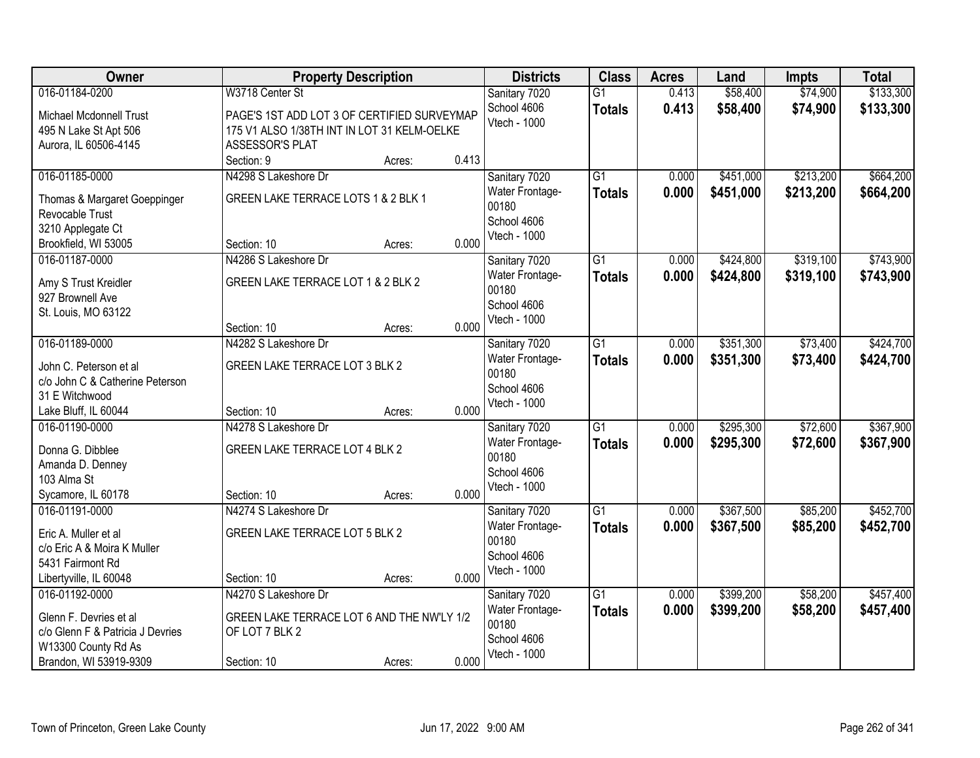| Owner                                    |                                             | <b>Property Description</b> |       | <b>Districts</b>            | <b>Class</b>    | <b>Acres</b> | Land      | <b>Impts</b> | <b>Total</b> |
|------------------------------------------|---------------------------------------------|-----------------------------|-------|-----------------------------|-----------------|--------------|-----------|--------------|--------------|
| 016-01184-0200                           | W3718 Center St                             |                             |       | Sanitary 7020               | $\overline{G1}$ | 0.413        | \$58,400  | \$74,900     | \$133,300    |
| Michael Mcdonnell Trust                  | PAGE'S 1ST ADD LOT 3 OF CERTIFIED SURVEYMAP |                             |       | School 4606<br>Vtech - 1000 | <b>Totals</b>   | 0.413        | \$58,400  | \$74,900     | \$133,300    |
| 495 N Lake St Apt 506                    | 175 V1 ALSO 1/38TH INT IN LOT 31 KELM-OELKE |                             |       |                             |                 |              |           |              |              |
| Aurora, IL 60506-4145                    | ASSESSOR'S PLAT                             |                             |       |                             |                 |              |           |              |              |
|                                          | Section: 9                                  | Acres:                      | 0.413 |                             |                 |              |           |              |              |
| 016-01185-0000                           | N4298 S Lakeshore Dr                        |                             |       | Sanitary 7020               | $\overline{G1}$ | 0.000        | \$451,000 | \$213,200    | \$664,200    |
| Thomas & Margaret Goeppinger             | GREEN LAKE TERRACE LOTS 1 & 2 BLK 1         |                             |       | Water Frontage-             | <b>Totals</b>   | 0.000        | \$451,000 | \$213,200    | \$664,200    |
| Revocable Trust                          |                                             |                             |       | 00180                       |                 |              |           |              |              |
| 3210 Applegate Ct                        |                                             |                             |       | School 4606                 |                 |              |           |              |              |
| Brookfield, WI 53005                     | Section: 10                                 | Acres:                      | 0.000 | Vtech - 1000                |                 |              |           |              |              |
| 016-01187-0000                           | N4286 S Lakeshore Dr                        |                             |       | Sanitary 7020               | $\overline{G1}$ | 0.000        | \$424,800 | \$319,100    | \$743,900    |
|                                          | GREEN LAKE TERRACE LOT 1 & 2 BLK 2          |                             |       | Water Frontage-             | <b>Totals</b>   | 0.000        | \$424,800 | \$319,100    | \$743,900    |
| Amy S Trust Kreidler<br>927 Brownell Ave |                                             |                             |       | 00180                       |                 |              |           |              |              |
| St. Louis, MO 63122                      |                                             |                             |       | School 4606                 |                 |              |           |              |              |
|                                          | Section: 10                                 | Acres:                      | 0.000 | Vtech - 1000                |                 |              |           |              |              |
| 016-01189-0000                           | N4282 S Lakeshore Dr                        |                             |       | Sanitary 7020               | $\overline{G1}$ | 0.000        | \$351,300 | \$73,400     | \$424,700    |
|                                          |                                             |                             |       | Water Frontage-             | <b>Totals</b>   | 0.000        | \$351,300 | \$73,400     | \$424,700    |
| John C. Peterson et al                   | GREEN LAKE TERRACE LOT 3 BLK 2              |                             |       | 00180                       |                 |              |           |              |              |
| c/o John C & Catherine Peterson          |                                             |                             |       | School 4606                 |                 |              |           |              |              |
| 31 E Witchwood                           |                                             |                             | 0.000 | Vtech - 1000                |                 |              |           |              |              |
| Lake Bluff, IL 60044                     | Section: 10                                 | Acres:                      |       |                             | $\overline{G1}$ | 0.000        |           |              |              |
| 016-01190-0000                           | N4278 S Lakeshore Dr                        |                             |       | Sanitary 7020               |                 |              | \$295,300 | \$72,600     | \$367,900    |
| Donna G. Dibblee                         | GREEN LAKE TERRACE LOT 4 BLK 2              |                             |       | Water Frontage-<br>00180    | <b>Totals</b>   | 0.000        | \$295,300 | \$72,600     | \$367,900    |
| Amanda D. Denney                         |                                             |                             |       | School 4606                 |                 |              |           |              |              |
| 103 Alma St                              |                                             |                             |       | Vtech - 1000                |                 |              |           |              |              |
| Sycamore, IL 60178                       | Section: 10                                 | Acres:                      | 0.000 |                             |                 |              |           |              |              |
| 016-01191-0000                           | N4274 S Lakeshore Dr                        |                             |       | Sanitary 7020               | $\overline{G1}$ | 0.000        | \$367,500 | \$85,200     | \$452,700    |
| Eric A. Muller et al                     | GREEN LAKE TERRACE LOT 5 BLK 2              |                             |       | Water Frontage-             | <b>Totals</b>   | 0.000        | \$367,500 | \$85,200     | \$452,700    |
| c/o Eric A & Moira K Muller              |                                             |                             |       | 00180                       |                 |              |           |              |              |
| 5431 Fairmont Rd                         |                                             |                             |       | School 4606                 |                 |              |           |              |              |
| Libertyville, IL 60048                   | Section: 10                                 | Acres:                      | 0.000 | Vtech - 1000                |                 |              |           |              |              |
| 016-01192-0000                           | N4270 S Lakeshore Dr                        |                             |       | Sanitary 7020               | $\overline{G1}$ | 0.000        | \$399,200 | \$58,200     | \$457,400    |
| Glenn F. Devries et al                   | GREEN LAKE TERRACE LOT 6 AND THE NW'LY 1/2  |                             |       | Water Frontage-             | <b>Totals</b>   | 0.000        | \$399,200 | \$58,200     | \$457,400    |
| c/o Glenn F & Patricia J Devries         | OF LOT 7 BLK 2                              |                             |       | 00180                       |                 |              |           |              |              |
| W13300 County Rd As                      |                                             |                             |       | School 4606                 |                 |              |           |              |              |
| Brandon, WI 53919-9309                   | Section: 10                                 | Acres:                      | 0.000 | Vtech - 1000                |                 |              |           |              |              |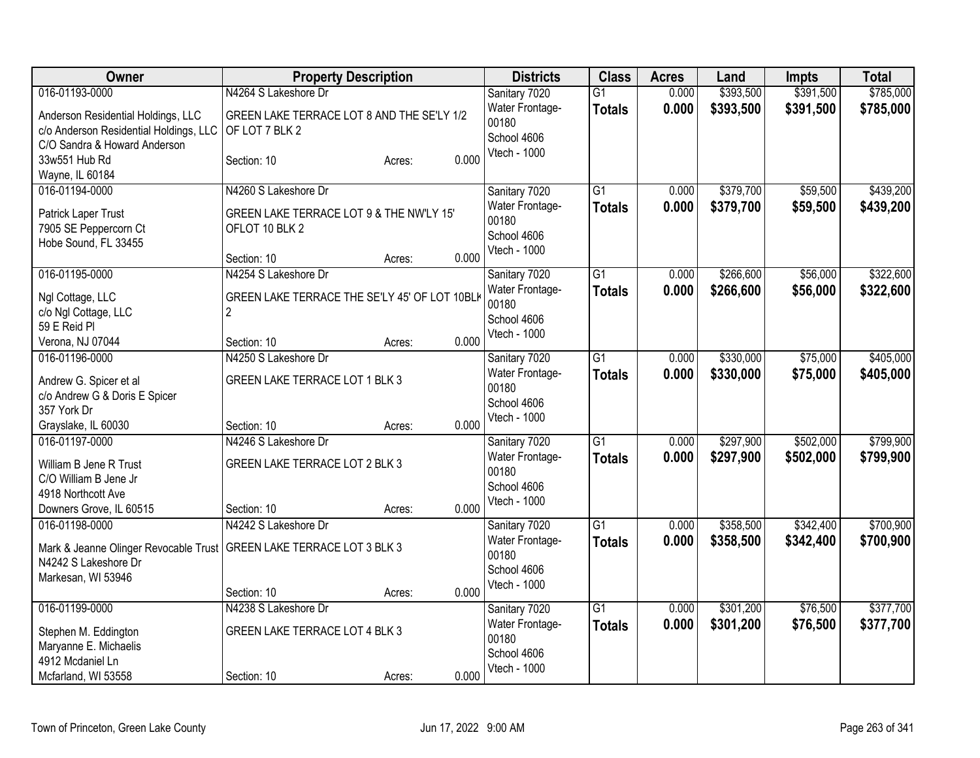| <b>Owner</b>                                | <b>Property Description</b>                   | <b>Districts</b>                 | <b>Class</b>    | <b>Acres</b> | Land      | Impts     | <b>Total</b> |
|---------------------------------------------|-----------------------------------------------|----------------------------------|-----------------|--------------|-----------|-----------|--------------|
| 016-01193-0000                              | N4264 S Lakeshore Dr                          | Sanitary 7020                    | $\overline{G1}$ | 0.000        | \$393,500 | \$391,500 | \$785,000    |
| Anderson Residential Holdings, LLC          | GREEN LAKE TERRACE LOT 8 AND THE SE'LY 1/2    | Water Frontage-                  | <b>Totals</b>   | 0.000        | \$393,500 | \$391,500 | \$785,000    |
| c/o Anderson Residential Holdings, LLC      | OF LOT 7 BLK 2                                | 00180                            |                 |              |           |           |              |
| C/O Sandra & Howard Anderson                |                                               | School 4606                      |                 |              |           |           |              |
| 33w551 Hub Rd                               | 0.000<br>Section: 10<br>Acres:                | Vtech - 1000                     |                 |              |           |           |              |
| Wayne, IL 60184                             |                                               |                                  |                 |              |           |           |              |
| 016-01194-0000                              | N4260 S Lakeshore Dr                          | Sanitary 7020                    | $\overline{G1}$ | 0.000        | \$379,700 | \$59,500  | \$439,200    |
| Patrick Laper Trust                         | GREEN LAKE TERRACE LOT 9 & THE NW'LY 15'      | Water Frontage-                  | <b>Totals</b>   | 0.000        | \$379,700 | \$59,500  | \$439,200    |
| 7905 SE Peppercorn Ct                       | OFLOT 10 BLK 2                                | 00180                            |                 |              |           |           |              |
| Hobe Sound, FL 33455                        |                                               | School 4606                      |                 |              |           |           |              |
|                                             | 0.000<br>Section: 10<br>Acres:                | Vtech - 1000                     |                 |              |           |           |              |
| 016-01195-0000                              | N4254 S Lakeshore Dr                          | Sanitary 7020                    | $\overline{G1}$ | 0.000        | \$266,600 | \$56,000  | \$322,600    |
|                                             |                                               | Water Frontage-                  | <b>Totals</b>   | 0.000        | \$266,600 | \$56,000  | \$322,600    |
| Ngl Cottage, LLC                            | GREEN LAKE TERRACE THE SE'LY 45' OF LOT 10BLK | 00180                            |                 |              |           |           |              |
| c/o Ngl Cottage, LLC                        | $\overline{2}$                                | School 4606                      |                 |              |           |           |              |
| 59 E Reid Pl                                |                                               | Vtech - 1000                     |                 |              |           |           |              |
| Verona, NJ 07044                            | 0.000<br>Section: 10<br>Acres:                |                                  |                 |              |           |           |              |
| 016-01196-0000                              | N4250 S Lakeshore Dr                          | Sanitary 7020                    | $\overline{G1}$ | 0.000        | \$330,000 | \$75,000  | \$405,000    |
| Andrew G. Spicer et al                      | GREEN LAKE TERRACE LOT 1 BLK 3                | Water Frontage-                  | <b>Totals</b>   | 0.000        | \$330,000 | \$75,000  | \$405,000    |
| c/o Andrew G & Doris E Spicer               |                                               | 00180                            |                 |              |           |           |              |
| 357 York Dr                                 |                                               | School 4606                      |                 |              |           |           |              |
| Grayslake, IL 60030                         | 0.000<br>Section: 10<br>Acres:                | Vtech - 1000                     |                 |              |           |           |              |
| 016-01197-0000                              | N4246 S Lakeshore Dr                          | Sanitary 7020                    | $\overline{G1}$ | 0.000        | \$297,900 | \$502,000 | \$799,900    |
|                                             |                                               | <b>Water Frontage-</b>           | <b>Totals</b>   | 0.000        | \$297,900 | \$502,000 | \$799,900    |
| William B Jene R Trust                      | GREEN LAKE TERRACE LOT 2 BLK 3                | 00180                            |                 |              |           |           |              |
| C/O William B Jene Jr<br>4918 Northcott Ave |                                               | School 4606                      |                 |              |           |           |              |
| Downers Grove, IL 60515                     | 0.000<br>Section: 10<br>Acres:                | Vtech - 1000                     |                 |              |           |           |              |
| 016-01198-0000                              | N4242 S Lakeshore Dr                          |                                  | $\overline{G1}$ | 0.000        | \$358,500 | \$342,400 | \$700,900    |
|                                             |                                               | Sanitary 7020<br>Water Frontage- |                 | 0.000        | \$358,500 |           |              |
| Mark & Jeanne Olinger Revocable Trust       | GREEN LAKE TERRACE LOT 3 BLK 3                | 00180                            | <b>Totals</b>   |              |           | \$342,400 | \$700,900    |
| N4242 S Lakeshore Dr                        |                                               | School 4606                      |                 |              |           |           |              |
| Markesan, WI 53946                          |                                               | Vtech - 1000                     |                 |              |           |           |              |
|                                             | 0.000<br>Section: 10<br>Acres:                |                                  |                 |              |           |           |              |
| 016-01199-0000                              | N4238 S Lakeshore Dr                          | Sanitary 7020                    | $\overline{G1}$ | 0.000        | \$301,200 | \$76,500  | \$377,700    |
| Stephen M. Eddington                        | GREEN LAKE TERRACE LOT 4 BLK 3                | Water Frontage-                  | <b>Totals</b>   | 0.000        | \$301,200 | \$76,500  | \$377,700    |
| Maryanne E. Michaelis                       |                                               | 00180                            |                 |              |           |           |              |
| 4912 Mcdaniel Ln                            |                                               | School 4606                      |                 |              |           |           |              |
| Mcfarland, WI 53558                         | 0.000<br>Section: 10<br>Acres:                | Vtech - 1000                     |                 |              |           |           |              |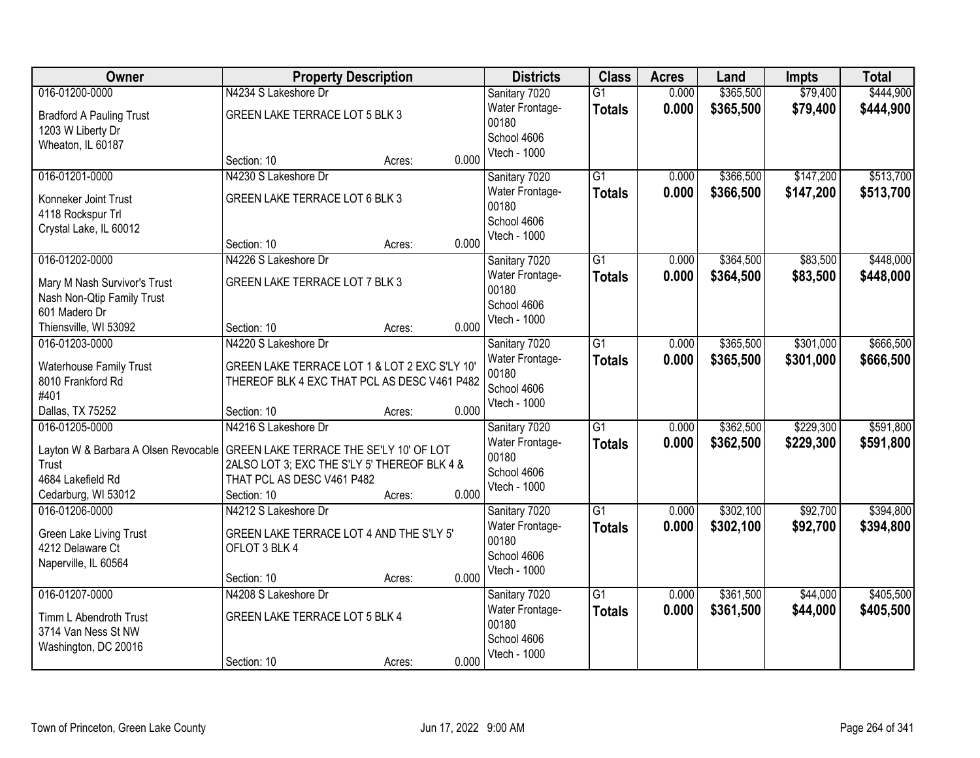| Owner                                         | <b>Property Description</b>                                                             | <b>Districts</b>         | <b>Class</b>    | <b>Acres</b> | Land      | <b>Impts</b> | <b>Total</b> |
|-----------------------------------------------|-----------------------------------------------------------------------------------------|--------------------------|-----------------|--------------|-----------|--------------|--------------|
| 016-01200-0000                                | N4234 S Lakeshore Dr                                                                    | Sanitary 7020            | $\overline{G1}$ | 0.000        | \$365,500 | \$79,400     | \$444,900    |
| <b>Bradford A Pauling Trust</b>               | GREEN LAKE TERRACE LOT 5 BLK 3                                                          | Water Frontage-<br>00180 | <b>Totals</b>   | 0.000        | \$365,500 | \$79,400     | \$444,900    |
| 1203 W Liberty Dr                             |                                                                                         | School 4606              |                 |              |           |              |              |
| Wheaton, IL 60187                             |                                                                                         | Vtech - 1000             |                 |              |           |              |              |
|                                               | 0.000<br>Section: 10<br>Acres:                                                          |                          |                 |              |           |              |              |
| 016-01201-0000                                | N4230 S Lakeshore Dr                                                                    | Sanitary 7020            | $\overline{G1}$ | 0.000        | \$366,500 | \$147,200    | \$513,700    |
| Konneker Joint Trust                          | GREEN LAKE TERRACE LOT 6 BLK 3                                                          | Water Frontage-<br>00180 | <b>Totals</b>   | 0.000        | \$366,500 | \$147,200    | \$513,700    |
| 4118 Rockspur Trl                             |                                                                                         | School 4606              |                 |              |           |              |              |
| Crystal Lake, IL 60012                        |                                                                                         | Vtech - 1000             |                 |              |           |              |              |
|                                               | 0.000<br>Section: 10<br>Acres:                                                          |                          |                 |              |           |              |              |
| 016-01202-0000                                | N4226 S Lakeshore Dr                                                                    | Sanitary 7020            | G1              | 0.000        | \$364,500 | \$83,500     | \$448,000    |
| Mary M Nash Survivor's Trust                  | GREEN LAKE TERRACE LOT 7 BLK 3                                                          | Water Frontage-          | <b>Totals</b>   | 0.000        | \$364,500 | \$83,500     | \$448,000    |
| Nash Non-Qtip Family Trust                    |                                                                                         | 00180                    |                 |              |           |              |              |
| 601 Madero Dr                                 |                                                                                         | School 4606              |                 |              |           |              |              |
| Thiensville, WI 53092                         | 0.000<br>Section: 10<br>Acres:                                                          | Vtech - 1000             |                 |              |           |              |              |
| 016-01203-0000                                | N4220 S Lakeshore Dr                                                                    | Sanitary 7020            | G1              | 0.000        | \$365,500 | \$301,000    | \$666,500    |
| <b>Waterhouse Family Trust</b>                | GREEN LAKE TERRACE LOT 1 & LOT 2 EXC S'LY 10'                                           | <b>Water Frontage-</b>   | <b>Totals</b>   | 0.000        | \$365,500 | \$301,000    | \$666,500    |
| 8010 Frankford Rd                             | THEREOF BLK 4 EXC THAT PCL AS DESC V461 P482                                            | 00180                    |                 |              |           |              |              |
| #401                                          |                                                                                         | School 4606              |                 |              |           |              |              |
| Dallas, TX 75252                              | 0.000<br>Section: 10<br>Acres:                                                          | Vtech - 1000             |                 |              |           |              |              |
| 016-01205-0000                                | N4216 S Lakeshore Dr                                                                    | Sanitary 7020            | $\overline{G1}$ | 0.000        | \$362,500 | \$229,300    | \$591,800    |
|                                               |                                                                                         | Water Frontage-          | <b>Totals</b>   | 0.000        | \$362,500 | \$229,300    | \$591,800    |
| Layton W & Barbara A Olsen Revocable<br>Trust | GREEN LAKE TERRACE THE SE'LY 10' OF LOT<br>2ALSO LOT 3; EXC THE S'LY 5' THEREOF BLK 4 & | 00180                    |                 |              |           |              |              |
| 4684 Lakefield Rd                             | THAT PCL AS DESC V461 P482                                                              | School 4606              |                 |              |           |              |              |
| Cedarburg, WI 53012                           | 0.000<br>Section: 10<br>Acres:                                                          | Vtech - 1000             |                 |              |           |              |              |
| 016-01206-0000                                | N4212 S Lakeshore Dr                                                                    | Sanitary 7020            | $\overline{G1}$ | 0.000        | \$302,100 | \$92,700     | \$394,800    |
|                                               |                                                                                         | Water Frontage-          | <b>Totals</b>   | 0.000        | \$302,100 | \$92,700     | \$394,800    |
| Green Lake Living Trust                       | GREEN LAKE TERRACE LOT 4 AND THE S'LY 5'                                                | 00180                    |                 |              |           |              |              |
| 4212 Delaware Ct                              | OFLOT 3 BLK 4                                                                           | School 4606              |                 |              |           |              |              |
| Naperville, IL 60564                          | 0.000<br>Section: 10<br>Acres:                                                          | Vtech - 1000             |                 |              |           |              |              |
| 016-01207-0000                                | N4208 S Lakeshore Dr                                                                    | Sanitary 7020            | $\overline{G1}$ | 0.000        | \$361,500 | \$44,000     | \$405,500    |
|                                               |                                                                                         | Water Frontage-          | <b>Totals</b>   | 0.000        | \$361,500 | \$44,000     | \$405,500    |
| Timm L Abendroth Trust                        | GREEN LAKE TERRACE LOT 5 BLK 4                                                          | 00180                    |                 |              |           |              |              |
| 3714 Van Ness St NW                           |                                                                                         | School 4606              |                 |              |           |              |              |
| Washington, DC 20016                          |                                                                                         | Vtech - 1000             |                 |              |           |              |              |
|                                               | 0.000<br>Section: 10<br>Acres:                                                          |                          |                 |              |           |              |              |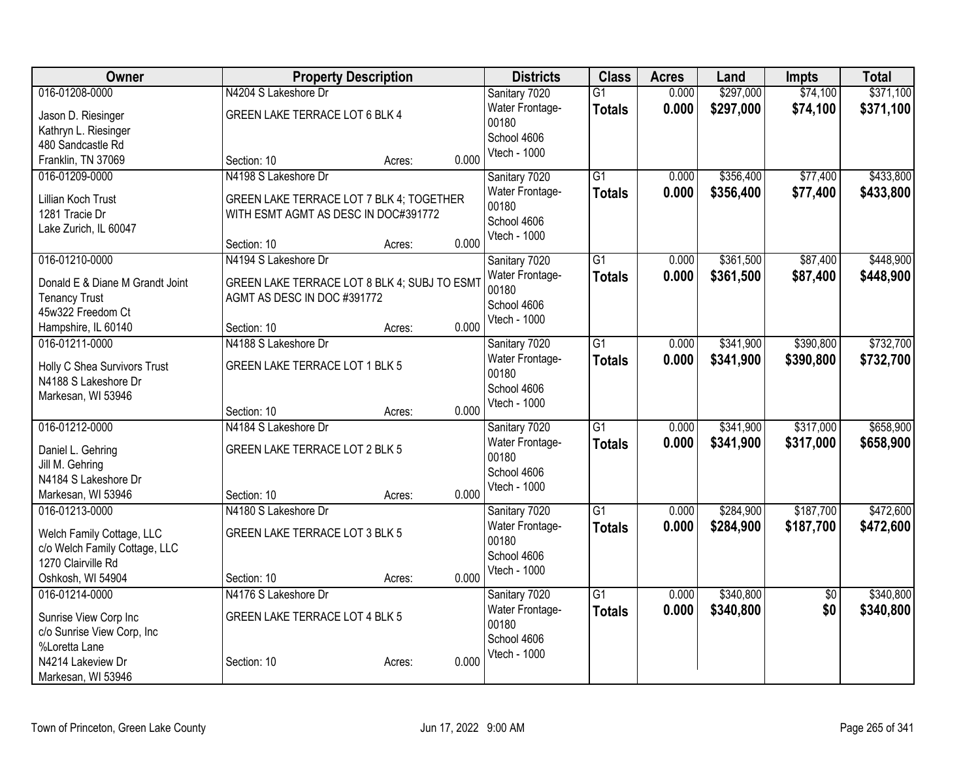| Owner                                       |                                              | <b>Property Description</b> | <b>Districts</b>         | <b>Class</b>    | <b>Acres</b> | Land      | <b>Impts</b>    | <b>Total</b> |
|---------------------------------------------|----------------------------------------------|-----------------------------|--------------------------|-----------------|--------------|-----------|-----------------|--------------|
| 016-01208-0000                              | N4204 S Lakeshore Dr                         |                             | Sanitary 7020            | $\overline{G1}$ | 0.000        | \$297,000 | \$74,100        | \$371,100    |
| Jason D. Riesinger                          | GREEN LAKE TERRACE LOT 6 BLK 4               |                             | Water Frontage-          | <b>Totals</b>   | 0.000        | \$297,000 | \$74,100        | \$371,100    |
| Kathryn L. Riesinger                        |                                              |                             | 00180<br>School 4606     |                 |              |           |                 |              |
| 480 Sandcastle Rd                           |                                              |                             | Vtech - 1000             |                 |              |           |                 |              |
| Franklin, TN 37069                          | Section: 10                                  | 0.000<br>Acres:             |                          |                 |              |           |                 |              |
| 016-01209-0000                              | N4198 S Lakeshore Dr                         |                             | Sanitary 7020            | $\overline{G1}$ | 0.000        | \$356,400 | \$77,400        | \$433,800    |
| Lillian Koch Trust                          | GREEN LAKE TERRACE LOT 7 BLK 4; TOGETHER     |                             | Water Frontage-          | <b>Totals</b>   | 0.000        | \$356,400 | \$77,400        | \$433,800    |
| 1281 Tracie Dr                              | WITH ESMT AGMT AS DESC IN DOC#391772         |                             | 00180                    |                 |              |           |                 |              |
| Lake Zurich, IL 60047                       |                                              |                             | School 4606              |                 |              |           |                 |              |
|                                             | Section: 10                                  | 0.000<br>Acres:             | Vtech - 1000             |                 |              |           |                 |              |
| 016-01210-0000                              | N4194 S Lakeshore Dr                         |                             | Sanitary 7020            | $\overline{G1}$ | 0.000        | \$361,500 | \$87,400        | \$448,900    |
| Donald E & Diane M Grandt Joint             | GREEN LAKE TERRACE LOT 8 BLK 4; SUBJ TO ESMT |                             | Water Frontage-          | <b>Totals</b>   | 0.000        | \$361,500 | \$87,400        | \$448,900    |
| <b>Tenancy Trust</b>                        | AGMT AS DESC IN DOC #391772                  |                             | 00180                    |                 |              |           |                 |              |
| 45w322 Freedom Ct                           |                                              |                             | School 4606              |                 |              |           |                 |              |
| Hampshire, IL 60140                         | Section: 10                                  | 0.000<br>Acres:             | Vtech - 1000             |                 |              |           |                 |              |
| 016-01211-0000                              | N4188 S Lakeshore Dr                         |                             | Sanitary 7020            | $\overline{G1}$ | 0.000        | \$341,900 | \$390,800       | \$732,700    |
|                                             |                                              |                             | Water Frontage-          | <b>Totals</b>   | 0.000        | \$341,900 | \$390,800       | \$732,700    |
| Holly C Shea Survivors Trust                | GREEN LAKE TERRACE LOT 1 BLK 5               |                             | 00180                    |                 |              |           |                 |              |
| N4188 S Lakeshore Dr                        |                                              |                             | School 4606              |                 |              |           |                 |              |
| Markesan, WI 53946                          |                                              |                             | Vtech - 1000             |                 |              |           |                 |              |
| 016-01212-0000                              | Section: 10<br>N4184 S Lakeshore Dr          | 0.000<br>Acres:             |                          | $\overline{G1}$ |              |           |                 |              |
|                                             |                                              |                             | Sanitary 7020            |                 | 0.000        | \$341,900 | \$317,000       | \$658,900    |
| Daniel L. Gehring                           | GREEN LAKE TERRACE LOT 2 BLK 5               |                             | Water Frontage-<br>00180 | <b>Totals</b>   | 0.000        | \$341,900 | \$317,000       | \$658,900    |
| Jill M. Gehring                             |                                              |                             | School 4606              |                 |              |           |                 |              |
| N4184 S Lakeshore Dr                        |                                              |                             | Vtech - 1000             |                 |              |           |                 |              |
| Markesan, WI 53946                          | Section: 10                                  | 0.000<br>Acres:             |                          |                 |              |           |                 |              |
| 016-01213-0000                              | N4180 S Lakeshore Dr                         |                             | Sanitary 7020            | $\overline{G1}$ | 0.000        | \$284,900 | \$187,700       | \$472,600    |
| Welch Family Cottage, LLC                   | GREEN LAKE TERRACE LOT 3 BLK 5               |                             | Water Frontage-          | <b>Totals</b>   | 0.000        | \$284,900 | \$187,700       | \$472,600    |
| c/o Welch Family Cottage, LLC               |                                              |                             | 00180                    |                 |              |           |                 |              |
| 1270 Clairville Rd                          |                                              |                             | School 4606              |                 |              |           |                 |              |
| Oshkosh, WI 54904                           | Section: 10                                  | 0.000<br>Acres:             | Vtech - 1000             |                 |              |           |                 |              |
| 016-01214-0000                              | N4176 S Lakeshore Dr                         |                             | Sanitary 7020            | $\overline{G1}$ | 0.000        | \$340,800 | $\overline{50}$ | \$340,800    |
|                                             | GREEN LAKE TERRACE LOT 4 BLK 5               |                             | Water Frontage-          | <b>Totals</b>   | 0.000        | \$340,800 | \$0             | \$340,800    |
| Sunrise View Corp Inc                       |                                              |                             | 00180                    |                 |              |           |                 |              |
| c/o Sunrise View Corp, Inc<br>%Loretta Lane |                                              |                             | School 4606              |                 |              |           |                 |              |
| N4214 Lakeview Dr                           | Section: 10                                  | 0.000<br>Acres:             | Vtech - 1000             |                 |              |           |                 |              |
| Markesan, WI 53946                          |                                              |                             |                          |                 |              |           |                 |              |
|                                             |                                              |                             |                          |                 |              |           |                 |              |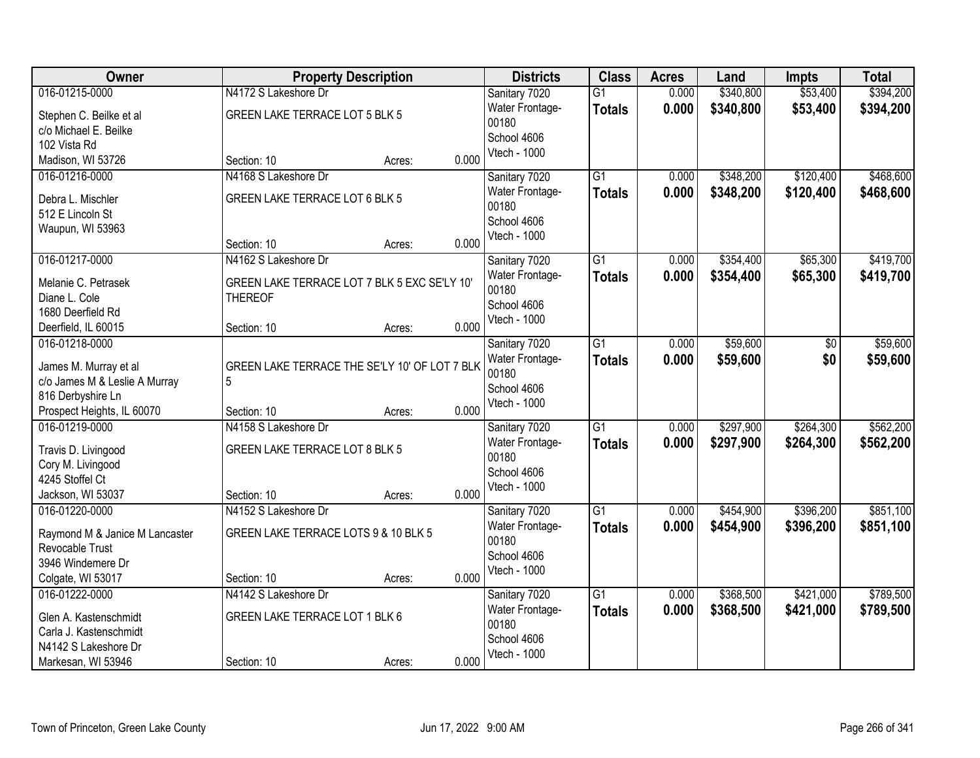| Owner                              | <b>Property Description</b>                   |        | <b>Districts</b> | <b>Class</b>           | <b>Acres</b>    | Land  | <b>Impts</b> | <b>Total</b> |           |
|------------------------------------|-----------------------------------------------|--------|------------------|------------------------|-----------------|-------|--------------|--------------|-----------|
| 016-01215-0000                     | N4172 S Lakeshore Dr                          |        |                  | Sanitary 7020          | $\overline{G1}$ | 0.000 | \$340,800    | \$53,400     | \$394,200 |
| Stephen C. Beilke et al            | GREEN LAKE TERRACE LOT 5 BLK 5                |        |                  | Water Frontage-        | <b>Totals</b>   | 0.000 | \$340,800    | \$53,400     | \$394,200 |
| c/o Michael E. Beilke              |                                               |        |                  | 00180                  |                 |       |              |              |           |
| 102 Vista Rd                       |                                               |        |                  | School 4606            |                 |       |              |              |           |
| Madison, WI 53726                  | Section: 10                                   | Acres: | 0.000            | Vtech - 1000           |                 |       |              |              |           |
| 016-01216-0000                     | N4168 S Lakeshore Dr                          |        |                  | Sanitary 7020          | $\overline{G1}$ | 0.000 | \$348,200    | \$120,400    | \$468,600 |
| Debra L. Mischler                  | GREEN LAKE TERRACE LOT 6 BLK 5                |        |                  | Water Frontage-        | <b>Totals</b>   | 0.000 | \$348,200    | \$120,400    | \$468,600 |
| 512 E Lincoln St                   |                                               |        |                  | 00180                  |                 |       |              |              |           |
| Waupun, WI 53963                   |                                               |        |                  | School 4606            |                 |       |              |              |           |
|                                    | Section: 10                                   | Acres: | 0.000            | Vtech - 1000           |                 |       |              |              |           |
| 016-01217-0000                     | N4162 S Lakeshore Dr                          |        |                  | Sanitary 7020          | $\overline{G1}$ | 0.000 | \$354,400    | \$65,300     | \$419,700 |
|                                    |                                               |        |                  | Water Frontage-        | <b>Totals</b>   | 0.000 | \$354,400    | \$65,300     | \$419,700 |
| Melanie C. Petrasek                | GREEN LAKE TERRACE LOT 7 BLK 5 EXC SE'LY 10'  |        |                  | 00180                  |                 |       |              |              |           |
| Diane L. Cole<br>1680 Deerfield Rd | <b>THEREOF</b>                                |        |                  | School 4606            |                 |       |              |              |           |
| Deerfield, IL 60015                | Section: 10                                   | Acres: | 0.000            | Vtech - 1000           |                 |       |              |              |           |
| 016-01218-0000                     |                                               |        |                  | Sanitary 7020          | $\overline{G1}$ | 0.000 | \$59,600     | \$0          | \$59,600  |
|                                    |                                               |        |                  | <b>Water Frontage-</b> | <b>Totals</b>   | 0.000 | \$59,600     | \$0          | \$59,600  |
| James M. Murray et al              | GREEN LAKE TERRACE THE SE'LY 10' OF LOT 7 BLK |        |                  | 00180                  |                 |       |              |              |           |
| c/o James M & Leslie A Murray      | 5                                             |        |                  | School 4606            |                 |       |              |              |           |
| 816 Derbyshire Ln                  |                                               |        |                  | Vtech - 1000           |                 |       |              |              |           |
| Prospect Heights, IL 60070         | Section: 10                                   | Acres: | 0.000            |                        |                 |       |              |              |           |
| 016-01219-0000                     | N4158 S Lakeshore Dr                          |        |                  | Sanitary 7020          | $\overline{G1}$ | 0.000 | \$297,900    | \$264,300    | \$562,200 |
| Travis D. Livingood                | GREEN LAKE TERRACE LOT 8 BLK 5                |        |                  | Water Frontage-        | <b>Totals</b>   | 0.000 | \$297,900    | \$264,300    | \$562,200 |
| Cory M. Livingood                  |                                               |        |                  | 00180<br>School 4606   |                 |       |              |              |           |
| 4245 Stoffel Ct                    |                                               |        |                  | Vtech - 1000           |                 |       |              |              |           |
| Jackson, WI 53037                  | Section: 10                                   | Acres: | 0.000            |                        |                 |       |              |              |           |
| 016-01220-0000                     | N4152 S Lakeshore Dr                          |        |                  | Sanitary 7020          | $\overline{G1}$ | 0.000 | \$454,900    | \$396,200    | \$851,100 |
| Raymond M & Janice M Lancaster     | GREEN LAKE TERRACE LOTS 9 & 10 BLK 5          |        |                  | Water Frontage-        | <b>Totals</b>   | 0.000 | \$454,900    | \$396,200    | \$851,100 |
| Revocable Trust                    |                                               |        |                  | 00180                  |                 |       |              |              |           |
| 3946 Windemere Dr                  |                                               |        |                  | School 4606            |                 |       |              |              |           |
| Colgate, WI 53017                  | Section: 10                                   | Acres: | 0.000            | Vtech - 1000           |                 |       |              |              |           |
| 016-01222-0000                     | N4142 S Lakeshore Dr                          |        |                  | Sanitary 7020          | $\overline{G1}$ | 0.000 | \$368,500    | \$421,000    | \$789,500 |
| Glen A. Kastenschmidt              | GREEN LAKE TERRACE LOT 1 BLK 6                |        |                  | Water Frontage-        | <b>Totals</b>   | 0.000 | \$368,500    | \$421,000    | \$789,500 |
| Carla J. Kastenschmidt             |                                               |        |                  | 00180                  |                 |       |              |              |           |
| N4142 S Lakeshore Dr               |                                               |        |                  | School 4606            |                 |       |              |              |           |
| Markesan, WI 53946                 | Section: 10                                   | Acres: | 0.000            | Vtech - 1000           |                 |       |              |              |           |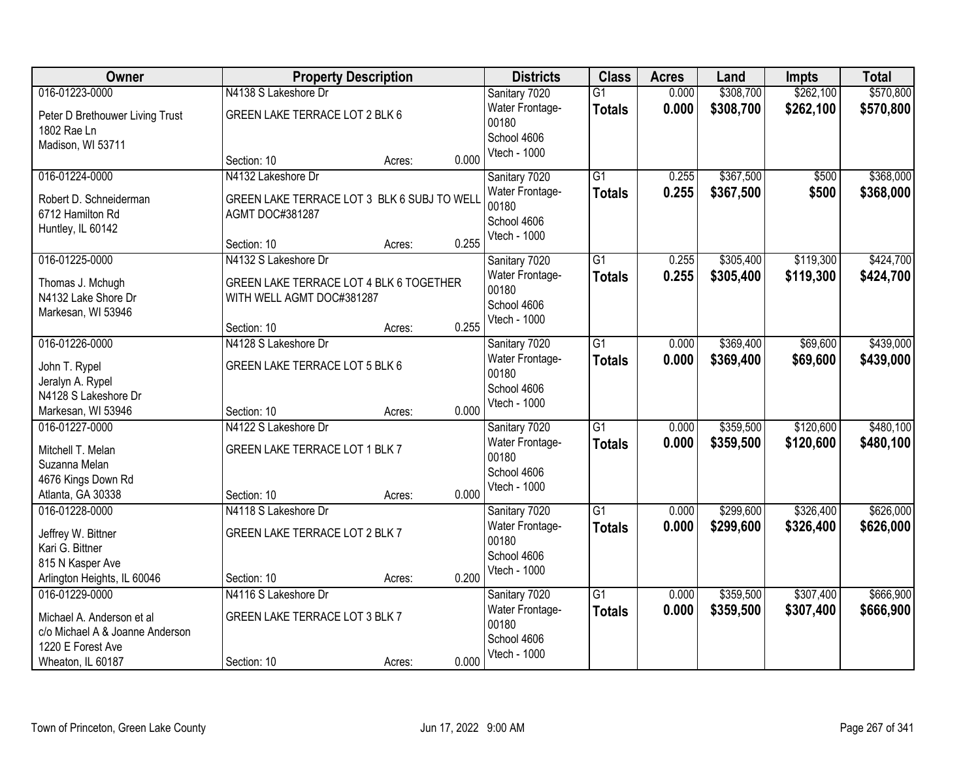| Owner                           | <b>Property Description</b>                 |        | <b>Districts</b> | <b>Class</b>                | <b>Acres</b>    | Land  | Impts     | <b>Total</b> |           |
|---------------------------------|---------------------------------------------|--------|------------------|-----------------------------|-----------------|-------|-----------|--------------|-----------|
| 016-01223-0000                  | N4138 S Lakeshore Dr                        |        |                  | Sanitary 7020               | $\overline{G1}$ | 0.000 | \$308,700 | \$262,100    | \$570,800 |
| Peter D Brethouwer Living Trust | GREEN LAKE TERRACE LOT 2 BLK 6              |        |                  | Water Frontage-             | <b>Totals</b>   | 0.000 | \$308,700 | \$262,100    | \$570,800 |
| 1802 Rae Ln                     |                                             |        |                  | 00180                       |                 |       |           |              |           |
| Madison, WI 53711               |                                             |        |                  | School 4606<br>Vtech - 1000 |                 |       |           |              |           |
|                                 | Section: 10                                 | Acres: | 0.000            |                             |                 |       |           |              |           |
| 016-01224-0000                  | N4132 Lakeshore Dr                          |        |                  | Sanitary 7020               | $\overline{G1}$ | 0.255 | \$367,500 | \$500        | \$368,000 |
| Robert D. Schneiderman          | GREEN LAKE TERRACE LOT 3 BLK 6 SUBJ TO WELL |        |                  | Water Frontage-             | <b>Totals</b>   | 0.255 | \$367,500 | \$500        | \$368,000 |
| 6712 Hamilton Rd                | AGMT DOC#381287                             |        |                  | 00180                       |                 |       |           |              |           |
| Huntley, IL 60142               |                                             |        |                  | School 4606<br>Vtech - 1000 |                 |       |           |              |           |
|                                 | Section: 10                                 | Acres: | 0.255            |                             |                 |       |           |              |           |
| 016-01225-0000                  | N4132 S Lakeshore Dr                        |        |                  | Sanitary 7020               | $\overline{G1}$ | 0.255 | \$305,400 | \$119,300    | \$424,700 |
| Thomas J. Mchugh                | GREEN LAKE TERRACE LOT 4 BLK 6 TOGETHER     |        |                  | Water Frontage-             | <b>Totals</b>   | 0.255 | \$305,400 | \$119,300    | \$424,700 |
| N4132 Lake Shore Dr             | WITH WELL AGMT DOC#381287                   |        |                  | 00180                       |                 |       |           |              |           |
| Markesan, WI 53946              |                                             |        |                  | School 4606                 |                 |       |           |              |           |
|                                 | Section: 10                                 | Acres: | 0.255            | Vtech - 1000                |                 |       |           |              |           |
| 016-01226-0000                  | N4128 S Lakeshore Dr                        |        |                  | Sanitary 7020               | $\overline{G1}$ | 0.000 | \$369,400 | \$69,600     | \$439,000 |
| John T. Rypel                   | GREEN LAKE TERRACE LOT 5 BLK 6              |        |                  | <b>Water Frontage-</b>      | <b>Totals</b>   | 0.000 | \$369,400 | \$69,600     | \$439,000 |
| Jeralyn A. Rypel                |                                             |        |                  | 00180                       |                 |       |           |              |           |
| N4128 S Lakeshore Dr            |                                             |        |                  | School 4606                 |                 |       |           |              |           |
| Markesan, WI 53946              | Section: 10                                 | Acres: | 0.000            | Vtech - 1000                |                 |       |           |              |           |
| 016-01227-0000                  | N4122 S Lakeshore Dr                        |        |                  | Sanitary 7020               | $\overline{G1}$ | 0.000 | \$359,500 | \$120,600    | \$480,100 |
| Mitchell T. Melan               | GREEN LAKE TERRACE LOT 1 BLK 7              |        |                  | Water Frontage-             | Totals          | 0.000 | \$359,500 | \$120,600    | \$480,100 |
| Suzanna Melan                   |                                             |        |                  | 00180                       |                 |       |           |              |           |
| 4676 Kings Down Rd              |                                             |        |                  | School 4606                 |                 |       |           |              |           |
| Atlanta, GA 30338               | Section: 10                                 | Acres: | 0.000            | Vtech - 1000                |                 |       |           |              |           |
| 016-01228-0000                  | N4118 S Lakeshore Dr                        |        |                  | Sanitary 7020               | G1              | 0.000 | \$299,600 | \$326,400    | \$626,000 |
| Jeffrey W. Bittner              | GREEN LAKE TERRACE LOT 2 BLK 7              |        |                  | Water Frontage-             | <b>Totals</b>   | 0.000 | \$299,600 | \$326,400    | \$626,000 |
| Kari G. Bittner                 |                                             |        |                  | 00180                       |                 |       |           |              |           |
| 815 N Kasper Ave                |                                             |        |                  | School 4606                 |                 |       |           |              |           |
| Arlington Heights, IL 60046     | Section: 10                                 | Acres: | 0.200            | Vtech - 1000                |                 |       |           |              |           |
| 016-01229-0000                  | N4116 S Lakeshore Dr                        |        |                  | Sanitary 7020               | $\overline{G1}$ | 0.000 | \$359,500 | \$307,400    | \$666,900 |
| Michael A. Anderson et al       | GREEN LAKE TERRACE LOT 3 BLK 7              |        |                  | Water Frontage-             | <b>Totals</b>   | 0.000 | \$359,500 | \$307,400    | \$666,900 |
| c/o Michael A & Joanne Anderson |                                             |        |                  | 00180                       |                 |       |           |              |           |
| 1220 E Forest Ave               |                                             |        |                  | School 4606                 |                 |       |           |              |           |
| Wheaton, IL 60187               | Section: 10                                 | Acres: | 0.000            | Vtech - 1000                |                 |       |           |              |           |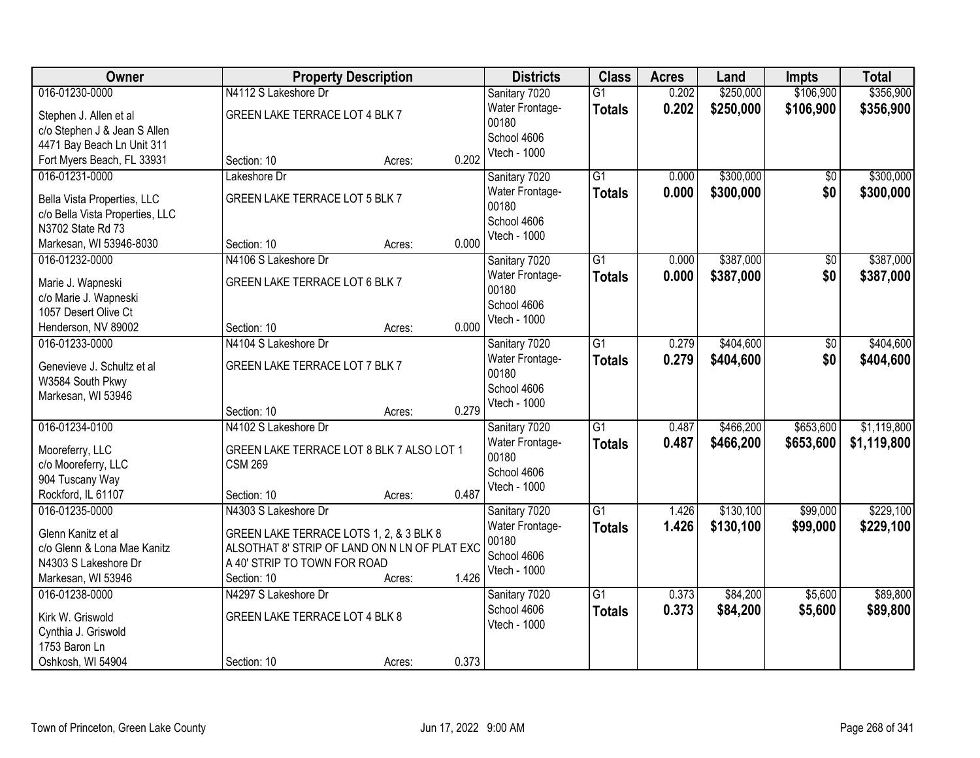| \$106,900<br>\$356,900<br>016-01230-0000<br>N4112 S Lakeshore Dr<br>0.202<br>\$250,000<br>Sanitary 7020<br>$\overline{G1}$<br>0.202<br>\$250,000<br>\$106,900<br>Water Frontage-<br>\$356,900<br><b>Totals</b><br>GREEN LAKE TERRACE LOT 4 BLK 7<br>Stephen J. Allen et al<br>00180<br>c/o Stephen J & Jean S Allen<br>School 4606<br>4471 Bay Beach Ln Unit 311<br>Vtech - 1000<br>0.202<br>Fort Myers Beach, FL 33931<br>Section: 10<br>Acres:<br>016-01231-0000<br>$\overline{G1}$<br>\$300,000<br>\$300,000<br>Sanitary 7020<br>0.000<br>$\overline{50}$<br>Lakeshore Dr<br>0.000<br>\$300,000<br>\$0<br>\$300,000<br>Water Frontage-<br><b>Totals</b><br>GREEN LAKE TERRACE LOT 5 BLK 7<br>Bella Vista Properties, LLC<br>00180<br>c/o Bella Vista Properties, LLC<br>School 4606<br>N3702 State Rd 73<br>Vtech - 1000<br>0.000<br>Section: 10<br>Markesan, WI 53946-8030<br>Acres:<br>\$387,000<br>016-01232-0000<br>N4106 S Lakeshore Dr<br>G1<br>0.000<br>\$0<br>Sanitary 7020<br>0.000<br>\$387,000<br>\$0<br>Water Frontage-<br><b>Totals</b><br>GREEN LAKE TERRACE LOT 6 BLK 7<br>Marie J. Wapneski<br>00180<br>c/o Marie J. Wapneski<br>School 4606<br>1057 Desert Olive Ct<br>Vtech - 1000<br>0.000<br>Henderson, NV 89002<br>Section: 10<br>Acres:<br>\$404,600<br>\$404,600<br>016-01233-0000<br>N4104 S Lakeshore Dr<br>Sanitary 7020<br>G1<br>0.279<br>\$0<br>0.279<br>\$0<br>\$404,600<br>Water Frontage-<br>\$404,600<br><b>Totals</b><br>GREEN LAKE TERRACE LOT 7 BLK 7<br>Genevieve J. Schultz et al<br>00180<br>W3584 South Pkwy<br>School 4606<br>Markesan, WI 53946<br>Vtech - 1000<br>0.279<br>Section: 10<br>Acres:<br>016-01234-0100<br>N4102 S Lakeshore Dr<br>$\overline{G1}$<br>0.487<br>\$466,200<br>\$653,600<br>Sanitary 7020<br>0.487<br>\$466,200<br>\$653,600<br>Water Frontage-<br><b>Totals</b><br>Mooreferry, LLC<br>GREEN LAKE TERRACE LOT 8 BLK 7 ALSO LOT 1<br>00180<br><b>CSM 269</b><br>c/o Mooreferry, LLC<br>School 4606<br>904 Tuscany Way<br>Vtech - 1000<br>0.487<br>Rockford, IL 61107<br>Section: 10<br>Acres: |
|-------------------------------------------------------------------------------------------------------------------------------------------------------------------------------------------------------------------------------------------------------------------------------------------------------------------------------------------------------------------------------------------------------------------------------------------------------------------------------------------------------------------------------------------------------------------------------------------------------------------------------------------------------------------------------------------------------------------------------------------------------------------------------------------------------------------------------------------------------------------------------------------------------------------------------------------------------------------------------------------------------------------------------------------------------------------------------------------------------------------------------------------------------------------------------------------------------------------------------------------------------------------------------------------------------------------------------------------------------------------------------------------------------------------------------------------------------------------------------------------------------------------------------------------------------------------------------------------------------------------------------------------------------------------------------------------------------------------------------------------------------------------------------------------------------------------------------------------------------------------------------------------------------------------------------------------------------------------------------------------------------------------------------------------------------------------|
|                                                                                                                                                                                                                                                                                                                                                                                                                                                                                                                                                                                                                                                                                                                                                                                                                                                                                                                                                                                                                                                                                                                                                                                                                                                                                                                                                                                                                                                                                                                                                                                                                                                                                                                                                                                                                                                                                                                                                                                                                                                                   |
|                                                                                                                                                                                                                                                                                                                                                                                                                                                                                                                                                                                                                                                                                                                                                                                                                                                                                                                                                                                                                                                                                                                                                                                                                                                                                                                                                                                                                                                                                                                                                                                                                                                                                                                                                                                                                                                                                                                                                                                                                                                                   |
|                                                                                                                                                                                                                                                                                                                                                                                                                                                                                                                                                                                                                                                                                                                                                                                                                                                                                                                                                                                                                                                                                                                                                                                                                                                                                                                                                                                                                                                                                                                                                                                                                                                                                                                                                                                                                                                                                                                                                                                                                                                                   |
| \$387,000<br>\$1,119,800<br>\$1,119,800                                                                                                                                                                                                                                                                                                                                                                                                                                                                                                                                                                                                                                                                                                                                                                                                                                                                                                                                                                                                                                                                                                                                                                                                                                                                                                                                                                                                                                                                                                                                                                                                                                                                                                                                                                                                                                                                                                                                                                                                                           |
|                                                                                                                                                                                                                                                                                                                                                                                                                                                                                                                                                                                                                                                                                                                                                                                                                                                                                                                                                                                                                                                                                                                                                                                                                                                                                                                                                                                                                                                                                                                                                                                                                                                                                                                                                                                                                                                                                                                                                                                                                                                                   |
|                                                                                                                                                                                                                                                                                                                                                                                                                                                                                                                                                                                                                                                                                                                                                                                                                                                                                                                                                                                                                                                                                                                                                                                                                                                                                                                                                                                                                                                                                                                                                                                                                                                                                                                                                                                                                                                                                                                                                                                                                                                                   |
|                                                                                                                                                                                                                                                                                                                                                                                                                                                                                                                                                                                                                                                                                                                                                                                                                                                                                                                                                                                                                                                                                                                                                                                                                                                                                                                                                                                                                                                                                                                                                                                                                                                                                                                                                                                                                                                                                                                                                                                                                                                                   |
|                                                                                                                                                                                                                                                                                                                                                                                                                                                                                                                                                                                                                                                                                                                                                                                                                                                                                                                                                                                                                                                                                                                                                                                                                                                                                                                                                                                                                                                                                                                                                                                                                                                                                                                                                                                                                                                                                                                                                                                                                                                                   |
| \$387,000                                                                                                                                                                                                                                                                                                                                                                                                                                                                                                                                                                                                                                                                                                                                                                                                                                                                                                                                                                                                                                                                                                                                                                                                                                                                                                                                                                                                                                                                                                                                                                                                                                                                                                                                                                                                                                                                                                                                                                                                                                                         |
|                                                                                                                                                                                                                                                                                                                                                                                                                                                                                                                                                                                                                                                                                                                                                                                                                                                                                                                                                                                                                                                                                                                                                                                                                                                                                                                                                                                                                                                                                                                                                                                                                                                                                                                                                                                                                                                                                                                                                                                                                                                                   |
|                                                                                                                                                                                                                                                                                                                                                                                                                                                                                                                                                                                                                                                                                                                                                                                                                                                                                                                                                                                                                                                                                                                                                                                                                                                                                                                                                                                                                                                                                                                                                                                                                                                                                                                                                                                                                                                                                                                                                                                                                                                                   |
|                                                                                                                                                                                                                                                                                                                                                                                                                                                                                                                                                                                                                                                                                                                                                                                                                                                                                                                                                                                                                                                                                                                                                                                                                                                                                                                                                                                                                                                                                                                                                                                                                                                                                                                                                                                                                                                                                                                                                                                                                                                                   |
|                                                                                                                                                                                                                                                                                                                                                                                                                                                                                                                                                                                                                                                                                                                                                                                                                                                                                                                                                                                                                                                                                                                                                                                                                                                                                                                                                                                                                                                                                                                                                                                                                                                                                                                                                                                                                                                                                                                                                                                                                                                                   |
|                                                                                                                                                                                                                                                                                                                                                                                                                                                                                                                                                                                                                                                                                                                                                                                                                                                                                                                                                                                                                                                                                                                                                                                                                                                                                                                                                                                                                                                                                                                                                                                                                                                                                                                                                                                                                                                                                                                                                                                                                                                                   |
|                                                                                                                                                                                                                                                                                                                                                                                                                                                                                                                                                                                                                                                                                                                                                                                                                                                                                                                                                                                                                                                                                                                                                                                                                                                                                                                                                                                                                                                                                                                                                                                                                                                                                                                                                                                                                                                                                                                                                                                                                                                                   |
|                                                                                                                                                                                                                                                                                                                                                                                                                                                                                                                                                                                                                                                                                                                                                                                                                                                                                                                                                                                                                                                                                                                                                                                                                                                                                                                                                                                                                                                                                                                                                                                                                                                                                                                                                                                                                                                                                                                                                                                                                                                                   |
|                                                                                                                                                                                                                                                                                                                                                                                                                                                                                                                                                                                                                                                                                                                                                                                                                                                                                                                                                                                                                                                                                                                                                                                                                                                                                                                                                                                                                                                                                                                                                                                                                                                                                                                                                                                                                                                                                                                                                                                                                                                                   |
|                                                                                                                                                                                                                                                                                                                                                                                                                                                                                                                                                                                                                                                                                                                                                                                                                                                                                                                                                                                                                                                                                                                                                                                                                                                                                                                                                                                                                                                                                                                                                                                                                                                                                                                                                                                                                                                                                                                                                                                                                                                                   |
|                                                                                                                                                                                                                                                                                                                                                                                                                                                                                                                                                                                                                                                                                                                                                                                                                                                                                                                                                                                                                                                                                                                                                                                                                                                                                                                                                                                                                                                                                                                                                                                                                                                                                                                                                                                                                                                                                                                                                                                                                                                                   |
|                                                                                                                                                                                                                                                                                                                                                                                                                                                                                                                                                                                                                                                                                                                                                                                                                                                                                                                                                                                                                                                                                                                                                                                                                                                                                                                                                                                                                                                                                                                                                                                                                                                                                                                                                                                                                                                                                                                                                                                                                                                                   |
|                                                                                                                                                                                                                                                                                                                                                                                                                                                                                                                                                                                                                                                                                                                                                                                                                                                                                                                                                                                                                                                                                                                                                                                                                                                                                                                                                                                                                                                                                                                                                                                                                                                                                                                                                                                                                                                                                                                                                                                                                                                                   |
|                                                                                                                                                                                                                                                                                                                                                                                                                                                                                                                                                                                                                                                                                                                                                                                                                                                                                                                                                                                                                                                                                                                                                                                                                                                                                                                                                                                                                                                                                                                                                                                                                                                                                                                                                                                                                                                                                                                                                                                                                                                                   |
|                                                                                                                                                                                                                                                                                                                                                                                                                                                                                                                                                                                                                                                                                                                                                                                                                                                                                                                                                                                                                                                                                                                                                                                                                                                                                                                                                                                                                                                                                                                                                                                                                                                                                                                                                                                                                                                                                                                                                                                                                                                                   |
|                                                                                                                                                                                                                                                                                                                                                                                                                                                                                                                                                                                                                                                                                                                                                                                                                                                                                                                                                                                                                                                                                                                                                                                                                                                                                                                                                                                                                                                                                                                                                                                                                                                                                                                                                                                                                                                                                                                                                                                                                                                                   |
|                                                                                                                                                                                                                                                                                                                                                                                                                                                                                                                                                                                                                                                                                                                                                                                                                                                                                                                                                                                                                                                                                                                                                                                                                                                                                                                                                                                                                                                                                                                                                                                                                                                                                                                                                                                                                                                                                                                                                                                                                                                                   |
|                                                                                                                                                                                                                                                                                                                                                                                                                                                                                                                                                                                                                                                                                                                                                                                                                                                                                                                                                                                                                                                                                                                                                                                                                                                                                                                                                                                                                                                                                                                                                                                                                                                                                                                                                                                                                                                                                                                                                                                                                                                                   |
|                                                                                                                                                                                                                                                                                                                                                                                                                                                                                                                                                                                                                                                                                                                                                                                                                                                                                                                                                                                                                                                                                                                                                                                                                                                                                                                                                                                                                                                                                                                                                                                                                                                                                                                                                                                                                                                                                                                                                                                                                                                                   |
| 016-01235-0000<br>$\overline{G1}$<br>\$130,100<br>\$99,000<br>\$229,100<br>N4303 S Lakeshore Dr<br>1.426<br>Sanitary 7020                                                                                                                                                                                                                                                                                                                                                                                                                                                                                                                                                                                                                                                                                                                                                                                                                                                                                                                                                                                                                                                                                                                                                                                                                                                                                                                                                                                                                                                                                                                                                                                                                                                                                                                                                                                                                                                                                                                                         |
| 1.426<br>\$130,100<br>\$99,000<br>\$229,100<br>Water Frontage-<br><b>Totals</b><br>Glenn Kanitz et al<br>GREEN LAKE TERRACE LOTS 1, 2, & 3 BLK 8                                                                                                                                                                                                                                                                                                                                                                                                                                                                                                                                                                                                                                                                                                                                                                                                                                                                                                                                                                                                                                                                                                                                                                                                                                                                                                                                                                                                                                                                                                                                                                                                                                                                                                                                                                                                                                                                                                                  |
| 00180<br>ALSOTHAT 8' STRIP OF LAND ON N LN OF PLAT EXC<br>c/o Glenn & Lona Mae Kanitz                                                                                                                                                                                                                                                                                                                                                                                                                                                                                                                                                                                                                                                                                                                                                                                                                                                                                                                                                                                                                                                                                                                                                                                                                                                                                                                                                                                                                                                                                                                                                                                                                                                                                                                                                                                                                                                                                                                                                                             |
| School 4606<br>A 40' STRIP TO TOWN FOR ROAD<br>N4303 S Lakeshore Dr                                                                                                                                                                                                                                                                                                                                                                                                                                                                                                                                                                                                                                                                                                                                                                                                                                                                                                                                                                                                                                                                                                                                                                                                                                                                                                                                                                                                                                                                                                                                                                                                                                                                                                                                                                                                                                                                                                                                                                                               |
| Vtech - 1000<br>1.426<br>Markesan, WI 53946<br>Section: 10<br>Acres:                                                                                                                                                                                                                                                                                                                                                                                                                                                                                                                                                                                                                                                                                                                                                                                                                                                                                                                                                                                                                                                                                                                                                                                                                                                                                                                                                                                                                                                                                                                                                                                                                                                                                                                                                                                                                                                                                                                                                                                              |
| $\overline{G1}$<br>0.373<br>\$84,200<br>\$5,600<br>\$89,800<br>016-01238-0000<br>N4297 S Lakeshore Dr<br>Sanitary 7020                                                                                                                                                                                                                                                                                                                                                                                                                                                                                                                                                                                                                                                                                                                                                                                                                                                                                                                                                                                                                                                                                                                                                                                                                                                                                                                                                                                                                                                                                                                                                                                                                                                                                                                                                                                                                                                                                                                                            |
| 0.373<br>School 4606<br>\$84,200<br>\$89,800<br>\$5,600<br><b>Totals</b><br>GREEN LAKE TERRACE LOT 4 BLK 8                                                                                                                                                                                                                                                                                                                                                                                                                                                                                                                                                                                                                                                                                                                                                                                                                                                                                                                                                                                                                                                                                                                                                                                                                                                                                                                                                                                                                                                                                                                                                                                                                                                                                                                                                                                                                                                                                                                                                        |
| Kirk W. Griswold<br>Vtech - 1000<br>Cynthia J. Griswold                                                                                                                                                                                                                                                                                                                                                                                                                                                                                                                                                                                                                                                                                                                                                                                                                                                                                                                                                                                                                                                                                                                                                                                                                                                                                                                                                                                                                                                                                                                                                                                                                                                                                                                                                                                                                                                                                                                                                                                                           |
| 1753 Baron Ln                                                                                                                                                                                                                                                                                                                                                                                                                                                                                                                                                                                                                                                                                                                                                                                                                                                                                                                                                                                                                                                                                                                                                                                                                                                                                                                                                                                                                                                                                                                                                                                                                                                                                                                                                                                                                                                                                                                                                                                                                                                     |
| 0.373<br>Oshkosh, WI 54904<br>Section: 10<br>Acres:                                                                                                                                                                                                                                                                                                                                                                                                                                                                                                                                                                                                                                                                                                                                                                                                                                                                                                                                                                                                                                                                                                                                                                                                                                                                                                                                                                                                                                                                                                                                                                                                                                                                                                                                                                                                                                                                                                                                                                                                               |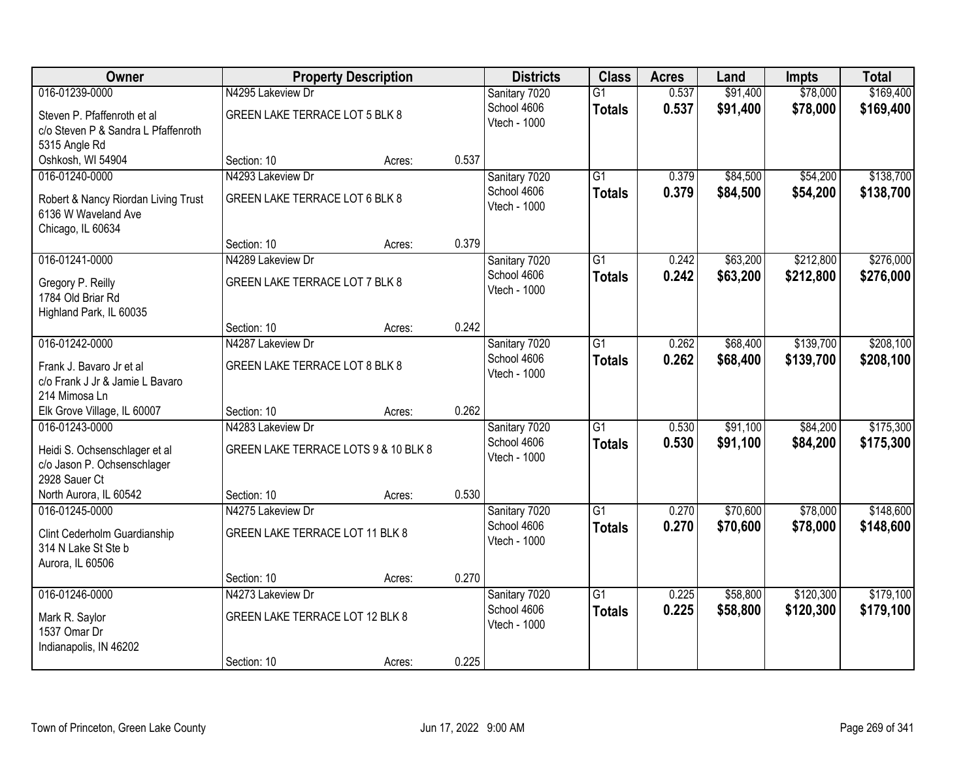| Owner                               | <b>Property Description</b>          |        | <b>Districts</b> | <b>Class</b>  | <b>Acres</b>    | Land  | <b>Impts</b> | <b>Total</b> |           |
|-------------------------------------|--------------------------------------|--------|------------------|---------------|-----------------|-------|--------------|--------------|-----------|
| 016-01239-0000                      | N4295 Lakeview Dr                    |        |                  | Sanitary 7020 | $\overline{G1}$ | 0.537 | \$91,400     | \$78,000     | \$169,400 |
| Steven P. Pfaffenroth et al         | GREEN LAKE TERRACE LOT 5 BLK 8       |        |                  | School 4606   | <b>Totals</b>   | 0.537 | \$91,400     | \$78,000     | \$169,400 |
| c/o Steven P & Sandra L Pfaffenroth |                                      |        |                  | Vtech - 1000  |                 |       |              |              |           |
| 5315 Angle Rd                       |                                      |        |                  |               |                 |       |              |              |           |
| Oshkosh, WI 54904                   | Section: 10                          | Acres: | 0.537            |               |                 |       |              |              |           |
| 016-01240-0000                      | N4293 Lakeview Dr                    |        |                  | Sanitary 7020 | $\overline{G1}$ | 0.379 | \$84,500     | \$54,200     | \$138,700 |
| Robert & Nancy Riordan Living Trust | GREEN LAKE TERRACE LOT 6 BLK 8       |        |                  | School 4606   | <b>Totals</b>   | 0.379 | \$84,500     | \$54,200     | \$138,700 |
| 6136 W Waveland Ave                 |                                      |        |                  | Vtech - 1000  |                 |       |              |              |           |
| Chicago, IL 60634                   |                                      |        |                  |               |                 |       |              |              |           |
|                                     | Section: 10                          | Acres: | 0.379            |               |                 |       |              |              |           |
| 016-01241-0000                      | N4289 Lakeview Dr                    |        |                  | Sanitary 7020 | G1              | 0.242 | \$63,200     | \$212,800    | \$276,000 |
| Gregory P. Reilly                   | GREEN LAKE TERRACE LOT 7 BLK 8       |        |                  | School 4606   | <b>Totals</b>   | 0.242 | \$63,200     | \$212,800    | \$276,000 |
| 1784 Old Briar Rd                   |                                      |        |                  | Vtech - 1000  |                 |       |              |              |           |
| Highland Park, IL 60035             |                                      |        |                  |               |                 |       |              |              |           |
|                                     | Section: 10                          | Acres: | 0.242            |               |                 |       |              |              |           |
| 016-01242-0000                      | N4287 Lakeview Dr                    |        |                  | Sanitary 7020 | G1              | 0.262 | \$68,400     | \$139,700    | \$208,100 |
| Frank J. Bavaro Jr et al            | GREEN LAKE TERRACE LOT 8 BLK 8       |        |                  | School 4606   | <b>Totals</b>   | 0.262 | \$68,400     | \$139,700    | \$208,100 |
| c/o Frank J Jr & Jamie L Bavaro     |                                      |        |                  | Vtech - 1000  |                 |       |              |              |           |
| 214 Mimosa Ln                       |                                      |        |                  |               |                 |       |              |              |           |
| Elk Grove Village, IL 60007         | Section: 10                          | Acres: | 0.262            |               |                 |       |              |              |           |
| 016-01243-0000                      | N4283 Lakeview Dr                    |        |                  | Sanitary 7020 | $\overline{G1}$ | 0.530 | \$91,100     | \$84,200     | \$175,300 |
| Heidi S. Ochsenschlager et al       | GREEN LAKE TERRACE LOTS 9 & 10 BLK 8 |        |                  | School 4606   | <b>Totals</b>   | 0.530 | \$91,100     | \$84,200     | \$175,300 |
| c/o Jason P. Ochsenschlager         |                                      |        |                  | Vtech - 1000  |                 |       |              |              |           |
| 2928 Sauer Ct                       |                                      |        |                  |               |                 |       |              |              |           |
| North Aurora, IL 60542              | Section: 10                          | Acres: | 0.530            |               |                 |       |              |              |           |
| 016-01245-0000                      | N4275 Lakeview Dr                    |        |                  | Sanitary 7020 | $\overline{G1}$ | 0.270 | \$70,600     | \$78,000     | \$148,600 |
| Clint Cederholm Guardianship        | GREEN LAKE TERRACE LOT 11 BLK 8      |        |                  | School 4606   | <b>Totals</b>   | 0.270 | \$70,600     | \$78,000     | \$148,600 |
| 314 N Lake St Ste b                 |                                      |        |                  | Vtech - 1000  |                 |       |              |              |           |
| Aurora, IL 60506                    |                                      |        |                  |               |                 |       |              |              |           |
|                                     | Section: 10                          | Acres: | 0.270            |               |                 |       |              |              |           |
| 016-01246-0000                      | N4273 Lakeview Dr                    |        |                  | Sanitary 7020 | $\overline{G1}$ | 0.225 | \$58,800     | \$120,300    | \$179,100 |
| Mark R. Saylor                      | GREEN LAKE TERRACE LOT 12 BLK 8      |        |                  | School 4606   | <b>Totals</b>   | 0.225 | \$58,800     | \$120,300    | \$179,100 |
| 1537 Omar Dr                        |                                      |        |                  | Vtech - 1000  |                 |       |              |              |           |
| Indianapolis, IN 46202              |                                      |        |                  |               |                 |       |              |              |           |
|                                     | Section: 10                          | Acres: | 0.225            |               |                 |       |              |              |           |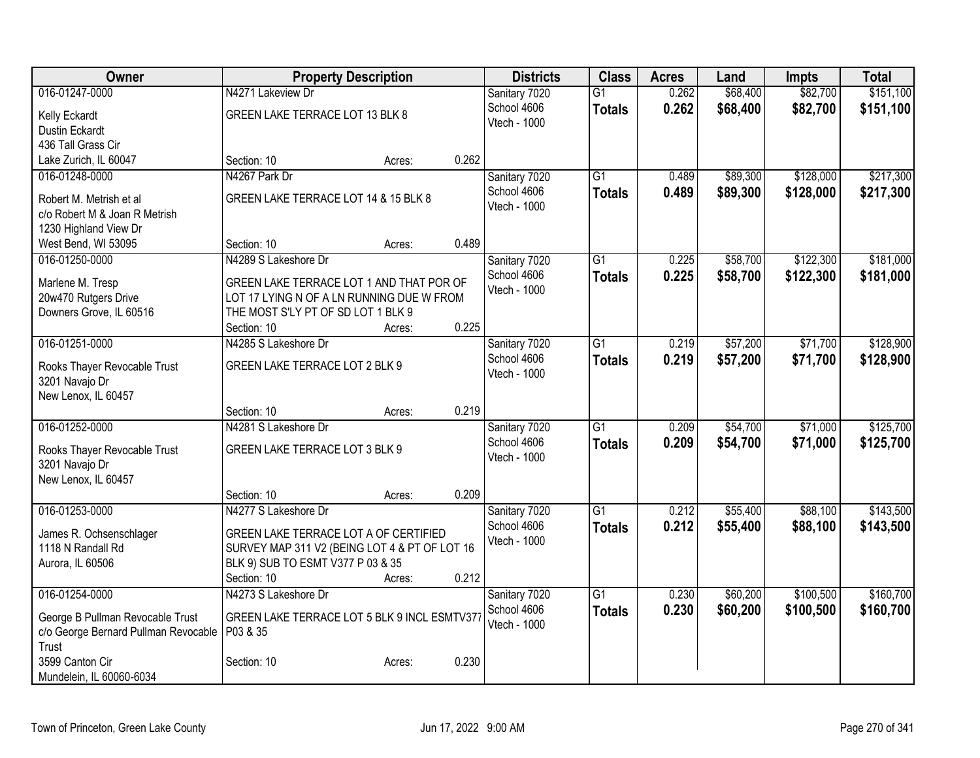| Owner                                | <b>Property Description</b>                       |        |       | <b>Districts</b> | <b>Class</b>    | <b>Acres</b> | Land     | <b>Impts</b> | <b>Total</b> |
|--------------------------------------|---------------------------------------------------|--------|-------|------------------|-----------------|--------------|----------|--------------|--------------|
| 016-01247-0000                       | N4271 Lakeview Dr                                 |        |       | Sanitary 7020    | $\overline{G1}$ | 0.262        | \$68,400 | \$82,700     | \$151,100    |
| Kelly Eckardt                        | GREEN LAKE TERRACE LOT 13 BLK 8                   |        |       | School 4606      | <b>Totals</b>   | 0.262        | \$68,400 | \$82,700     | \$151,100    |
| Dustin Eckardt                       |                                                   |        |       | Vtech - 1000     |                 |              |          |              |              |
| 436 Tall Grass Cir                   |                                                   |        |       |                  |                 |              |          |              |              |
| Lake Zurich, IL 60047                | Section: 10                                       | Acres: | 0.262 |                  |                 |              |          |              |              |
| 016-01248-0000                       | N4267 Park Dr                                     |        |       | Sanitary 7020    | $\overline{G1}$ | 0.489        | \$89,300 | \$128,000    | \$217,300    |
| Robert M. Metrish et al              | GREEN LAKE TERRACE LOT 14 & 15 BLK 8              |        |       | School 4606      | <b>Totals</b>   | 0.489        | \$89,300 | \$128,000    | \$217,300    |
| c/o Robert M & Joan R Metrish        |                                                   |        |       | Vtech - 1000     |                 |              |          |              |              |
| 1230 Highland View Dr                |                                                   |        |       |                  |                 |              |          |              |              |
| West Bend, WI 53095                  | Section: 10                                       | Acres: | 0.489 |                  |                 |              |          |              |              |
| 016-01250-0000                       | N4289 S Lakeshore Dr                              |        |       | Sanitary 7020    | G1              | 0.225        | \$58,700 | \$122,300    | \$181,000    |
|                                      |                                                   |        |       | School 4606      | <b>Totals</b>   | 0.225        | \$58,700 | \$122,300    | \$181,000    |
| Marlene M. Tresp                     | GREEN LAKE TERRACE LOT 1 AND THAT POR OF          |        |       | Vtech - 1000     |                 |              |          |              |              |
| 20w470 Rutgers Drive                 | LOT 17 LYING N OF A LN RUNNING DUE W FROM         |        |       |                  |                 |              |          |              |              |
| Downers Grove, IL 60516              | THE MOST S'LY PT OF SD LOT 1 BLK 9<br>Section: 10 | Acres: | 0.225 |                  |                 |              |          |              |              |
| 016-01251-0000                       | N4285 S Lakeshore Dr                              |        |       | Sanitary 7020    | $\overline{G1}$ | 0.219        | \$57,200 | \$71,700     | \$128,900    |
|                                      |                                                   |        |       | School 4606      |                 | 0.219        | \$57,200 | \$71,700     | \$128,900    |
| Rooks Thayer Revocable Trust         | GREEN LAKE TERRACE LOT 2 BLK 9                    |        |       | Vtech - 1000     | <b>Totals</b>   |              |          |              |              |
| 3201 Navajo Dr                       |                                                   |        |       |                  |                 |              |          |              |              |
| New Lenox, IL 60457                  |                                                   |        |       |                  |                 |              |          |              |              |
|                                      | Section: 10                                       | Acres: | 0.219 |                  |                 |              |          |              |              |
| 016-01252-0000                       | N4281 S Lakeshore Dr                              |        |       | Sanitary 7020    | $\overline{G1}$ | 0.209        | \$54,700 | \$71,000     | \$125,700    |
| Rooks Thayer Revocable Trust         | GREEN LAKE TERRACE LOT 3 BLK 9                    |        |       | School 4606      | <b>Totals</b>   | 0.209        | \$54,700 | \$71,000     | \$125,700    |
| 3201 Navajo Dr                       |                                                   |        |       | Vtech - 1000     |                 |              |          |              |              |
| New Lenox, IL 60457                  |                                                   |        |       |                  |                 |              |          |              |              |
|                                      | Section: 10                                       | Acres: | 0.209 |                  |                 |              |          |              |              |
| 016-01253-0000                       | N4277 S Lakeshore Dr                              |        |       | Sanitary 7020    | G1              | 0.212        | \$55,400 | \$88,100     | \$143,500    |
| James R. Ochsenschlager              | GREEN LAKE TERRACE LOT A OF CERTIFIED             |        |       | School 4606      | <b>Totals</b>   | 0.212        | \$55,400 | \$88,100     | \$143,500    |
| 1118 N Randall Rd                    | SURVEY MAP 311 V2 (BEING LOT 4 & PT OF LOT 16     |        |       | Vtech - 1000     |                 |              |          |              |              |
| Aurora, IL 60506                     | BLK 9) SUB TO ESMT V377 P 03 & 35                 |        |       |                  |                 |              |          |              |              |
|                                      | Section: 10                                       | Acres: | 0.212 |                  |                 |              |          |              |              |
| 016-01254-0000                       | N4273 S Lakeshore Dr                              |        |       | Sanitary 7020    | $\overline{G1}$ | 0.230        | \$60,200 | \$100,500    | \$160,700    |
| George B Pullman Revocable Trust     | GREEN LAKE TERRACE LOT 5 BLK 9 INCL ESMTV377      |        |       | School 4606      | <b>Totals</b>   | 0.230        | \$60,200 | \$100,500    | \$160,700    |
| c/o George Bernard Pullman Revocable | P03 & 35                                          |        |       | Vtech - 1000     |                 |              |          |              |              |
| Trust                                |                                                   |        |       |                  |                 |              |          |              |              |
| 3599 Canton Cir                      | Section: 10                                       | Acres: | 0.230 |                  |                 |              |          |              |              |
| Mundelein, IL 60060-6034             |                                                   |        |       |                  |                 |              |          |              |              |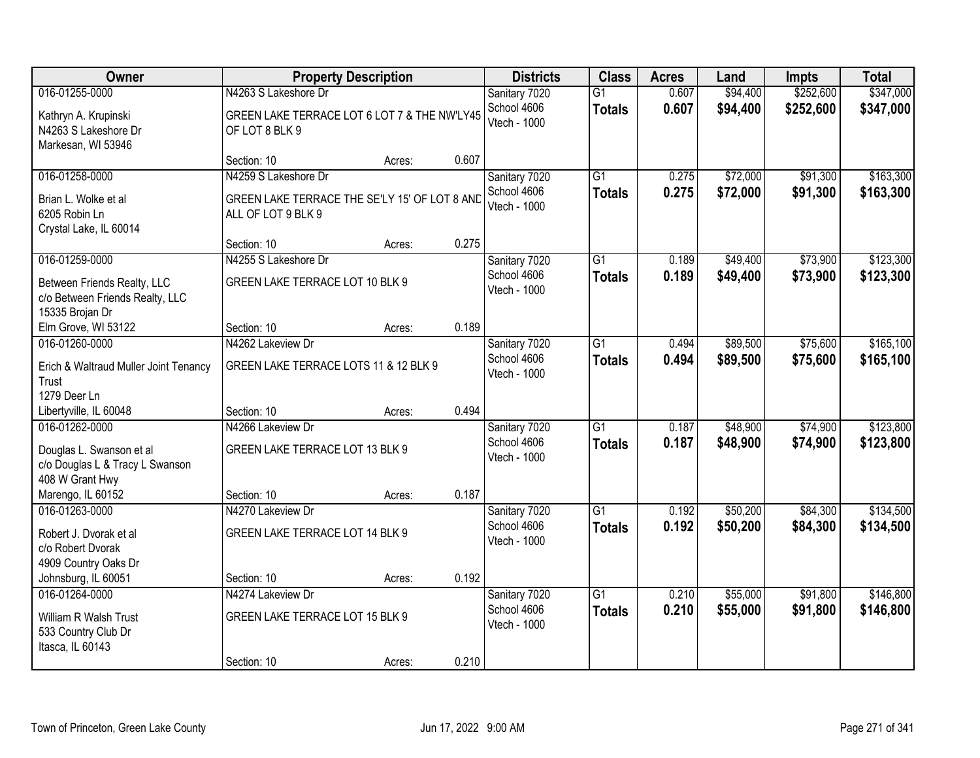| Owner                                                                                               | <b>Property Description</b>                                                                 |        |       | <b>Districts</b>                             | <b>Class</b>                     | <b>Acres</b>   | Land                 | <b>Impts</b>         | <b>Total</b>           |
|-----------------------------------------------------------------------------------------------------|---------------------------------------------------------------------------------------------|--------|-------|----------------------------------------------|----------------------------------|----------------|----------------------|----------------------|------------------------|
| 016-01255-0000                                                                                      | N4263 S Lakeshore Dr                                                                        |        |       | Sanitary 7020                                | $\overline{G1}$                  | 0.607          | \$94,400             | \$252,600            | \$347,000              |
| Kathryn A. Krupinski<br>N4263 S Lakeshore Dr<br>Markesan, WI 53946                                  | GREEN LAKE TERRACE LOT 6 LOT 7 & THE NW'LY45<br>OF LOT 8 BLK 9                              |        |       | School 4606<br>Vtech - 1000                  | <b>Totals</b>                    | 0.607          | \$94,400             | \$252,600            | \$347,000              |
|                                                                                                     | Section: 10                                                                                 | Acres: | 0.607 |                                              |                                  |                |                      |                      |                        |
| 016-01258-0000<br>Brian L. Wolke et al<br>6205 Robin Ln<br>Crystal Lake, IL 60014                   | N4259 S Lakeshore Dr<br>GREEN LAKE TERRACE THE SE'LY 15' OF LOT 8 AND<br>ALL OF LOT 9 BLK 9 |        |       | Sanitary 7020<br>School 4606<br>Vtech - 1000 | $\overline{G1}$<br><b>Totals</b> | 0.275<br>0.275 | \$72,000<br>\$72,000 | \$91,300<br>\$91,300 | \$163,300<br>\$163,300 |
|                                                                                                     | Section: 10                                                                                 | Acres: | 0.275 |                                              |                                  |                |                      |                      |                        |
| 016-01259-0000<br>Between Friends Realty, LLC<br>c/o Between Friends Realty, LLC<br>15335 Brojan Dr | N4255 S Lakeshore Dr<br>GREEN LAKE TERRACE LOT 10 BLK 9                                     |        |       | Sanitary 7020<br>School 4606<br>Vtech - 1000 | G1<br><b>Totals</b>              | 0.189<br>0.189 | \$49,400<br>\$49,400 | \$73,900<br>\$73,900 | \$123,300<br>\$123,300 |
| Elm Grove, WI 53122                                                                                 | Section: 10                                                                                 | Acres: | 0.189 |                                              |                                  |                |                      |                      |                        |
| 016-01260-0000<br>Erich & Waltraud Muller Joint Tenancy<br>Trust                                    | N4262 Lakeview Dr<br>GREEN LAKE TERRACE LOTS 11 & 12 BLK 9                                  |        |       | Sanitary 7020<br>School 4606<br>Vtech - 1000 | G1<br><b>Totals</b>              | 0.494<br>0.494 | \$89,500<br>\$89,500 | \$75,600<br>\$75,600 | \$165,100<br>\$165,100 |
| 1279 Deer Ln<br>Libertyville, IL 60048                                                              | Section: 10                                                                                 | Acres: | 0.494 |                                              |                                  |                |                      |                      |                        |
| 016-01262-0000<br>Douglas L. Swanson et al<br>c/o Douglas L & Tracy L Swanson<br>408 W Grant Hwy    | N4266 Lakeview Dr<br>GREEN LAKE TERRACE LOT 13 BLK 9                                        |        | 0.187 | Sanitary 7020<br>School 4606<br>Vtech - 1000 | $\overline{G1}$<br><b>Totals</b> | 0.187<br>0.187 | \$48,900<br>\$48,900 | \$74,900<br>\$74,900 | \$123,800<br>\$123,800 |
| Marengo, IL 60152<br>016-01263-0000                                                                 | Section: 10<br>N4270 Lakeview Dr                                                            | Acres: |       | Sanitary 7020                                | G1                               | 0.192          | \$50,200             | \$84,300             | \$134,500              |
| Robert J. Dvorak et al<br>c/o Robert Dvorak<br>4909 Country Oaks Dr                                 | GREEN LAKE TERRACE LOT 14 BLK 9                                                             |        |       | School 4606<br>Vtech - 1000                  | <b>Totals</b>                    | 0.192          | \$50,200             | \$84,300             | \$134,500              |
| Johnsburg, IL 60051                                                                                 | Section: 10                                                                                 | Acres: | 0.192 |                                              |                                  |                |                      |                      |                        |
| 016-01264-0000<br>William R Walsh Trust<br>533 Country Club Dr<br>Itasca, IL 60143                  | N4274 Lakeview Dr<br>GREEN LAKE TERRACE LOT 15 BLK 9<br>Section: 10                         | Acres: | 0.210 | Sanitary 7020<br>School 4606<br>Vtech - 1000 | $\overline{G1}$<br><b>Totals</b> | 0.210<br>0.210 | \$55,000<br>\$55,000 | \$91,800<br>\$91,800 | \$146,800<br>\$146,800 |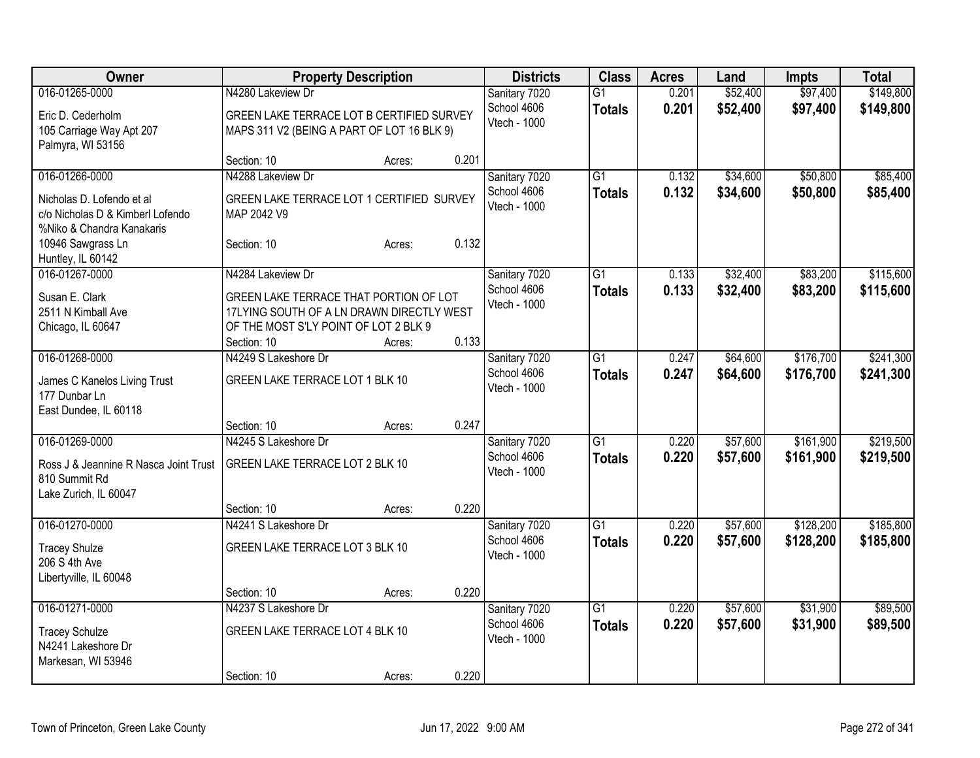| Owner                                                                                                                             | <b>Property Description</b>                                                                                                                           | <b>Districts</b> | <b>Class</b>                                 | <b>Acres</b>                     | Land           | <b>Impts</b>         | <b>Total</b>           |                        |
|-----------------------------------------------------------------------------------------------------------------------------------|-------------------------------------------------------------------------------------------------------------------------------------------------------|------------------|----------------------------------------------|----------------------------------|----------------|----------------------|------------------------|------------------------|
| 016-01265-0000<br>Eric D. Cederholm<br>105 Carriage Way Apt 207                                                                   | N4280 Lakeview Dr<br>GREEN LAKE TERRACE LOT B CERTIFIED SURVEY<br>MAPS 311 V2 (BEING A PART OF LOT 16 BLK 9)                                          |                  | Sanitary 7020<br>School 4606<br>Vtech - 1000 | $\overline{G1}$<br><b>Totals</b> | 0.201<br>0.201 | \$52,400<br>\$52,400 | \$97,400<br>\$97,400   | \$149,800<br>\$149,800 |
| Palmyra, WI 53156                                                                                                                 | Section: 10<br>Acres:                                                                                                                                 | 0.201            |                                              |                                  |                |                      |                        |                        |
| 016-01266-0000<br>Nicholas D. Lofendo et al<br>c/o Nicholas D & Kimberl Lofendo<br>%Niko & Chandra Kanakaris<br>10946 Sawgrass Ln | N4288 Lakeview Dr<br>GREEN LAKE TERRACE LOT 1 CERTIFIED SURVEY<br>MAP 2042 V9<br>Section: 10<br>Acres:                                                | 0.132            | Sanitary 7020<br>School 4606<br>Vtech - 1000 | G1<br><b>Totals</b>              | 0.132<br>0.132 | \$34,600<br>\$34,600 | \$50,800<br>\$50,800   | \$85,400<br>\$85,400   |
| Huntley, IL 60142<br>016-01267-0000                                                                                               | N4284 Lakeview Dr                                                                                                                                     |                  | Sanitary 7020                                | $\overline{G1}$                  | 0.133          | \$32,400             | \$83,200               | \$115,600              |
| Susan E. Clark<br>2511 N Kimball Ave<br>Chicago, IL 60647                                                                         | GREEN LAKE TERRACE THAT PORTION OF LOT<br>17LYING SOUTH OF A LN DRAWN DIRECTLY WEST<br>OF THE MOST S'LY POINT OF LOT 2 BLK 9<br>Section: 10<br>Acres: | 0.133            | School 4606<br>Vtech - 1000                  | <b>Totals</b>                    | 0.133          | \$32,400             | \$83,200               | \$115,600              |
| 016-01268-0000<br>James C Kanelos Living Trust<br>177 Dunbar Ln<br>East Dundee, IL 60118                                          | N4249 S Lakeshore Dr<br>GREEN LAKE TERRACE LOT 1 BLK 10                                                                                               |                  | Sanitary 7020<br>School 4606<br>Vtech - 1000 | $\overline{G1}$<br><b>Totals</b> | 0.247<br>0.247 | \$64,600<br>\$64,600 | \$176,700<br>\$176,700 | \$241,300<br>\$241,300 |
|                                                                                                                                   | Section: 10<br>Acres:                                                                                                                                 | 0.247            |                                              |                                  |                |                      |                        |                        |
| 016-01269-0000<br>Ross J & Jeannine R Nasca Joint Trust<br>810 Summit Rd<br>Lake Zurich, IL 60047                                 | N4245 S Lakeshore Dr<br>GREEN LAKE TERRACE LOT 2 BLK 10                                                                                               |                  | Sanitary 7020<br>School 4606<br>Vtech - 1000 | $\overline{G1}$<br><b>Totals</b> | 0.220<br>0.220 | \$57,600<br>\$57,600 | \$161,900<br>\$161,900 | \$219,500<br>\$219,500 |
|                                                                                                                                   | Section: 10<br>Acres:                                                                                                                                 | 0.220            |                                              |                                  |                |                      |                        |                        |
| 016-01270-0000<br><b>Tracey Shulze</b><br>206 S 4th Ave<br>Libertyville, IL 60048                                                 | N4241 S Lakeshore Dr<br>GREEN LAKE TERRACE LOT 3 BLK 10                                                                                               |                  | Sanitary 7020<br>School 4606<br>Vtech - 1000 | $\overline{G1}$<br><b>Totals</b> | 0.220<br>0.220 | \$57,600<br>\$57,600 | \$128,200<br>\$128,200 | \$185,800<br>\$185,800 |
|                                                                                                                                   | Section: 10<br>Acres:                                                                                                                                 | 0.220            |                                              |                                  |                |                      |                        |                        |
| 016-01271-0000<br><b>Tracey Schulze</b><br>N4241 Lakeshore Dr<br>Markesan, WI 53946                                               | N4237 S Lakeshore Dr<br>GREEN LAKE TERRACE LOT 4 BLK 10                                                                                               |                  | Sanitary 7020<br>School 4606<br>Vtech - 1000 | $\overline{G1}$<br><b>Totals</b> | 0.220<br>0.220 | \$57,600<br>\$57,600 | \$31,900<br>\$31,900   | \$89,500<br>\$89,500   |
|                                                                                                                                   | Section: 10<br>Acres:                                                                                                                                 | 0.220            |                                              |                                  |                |                      |                        |                        |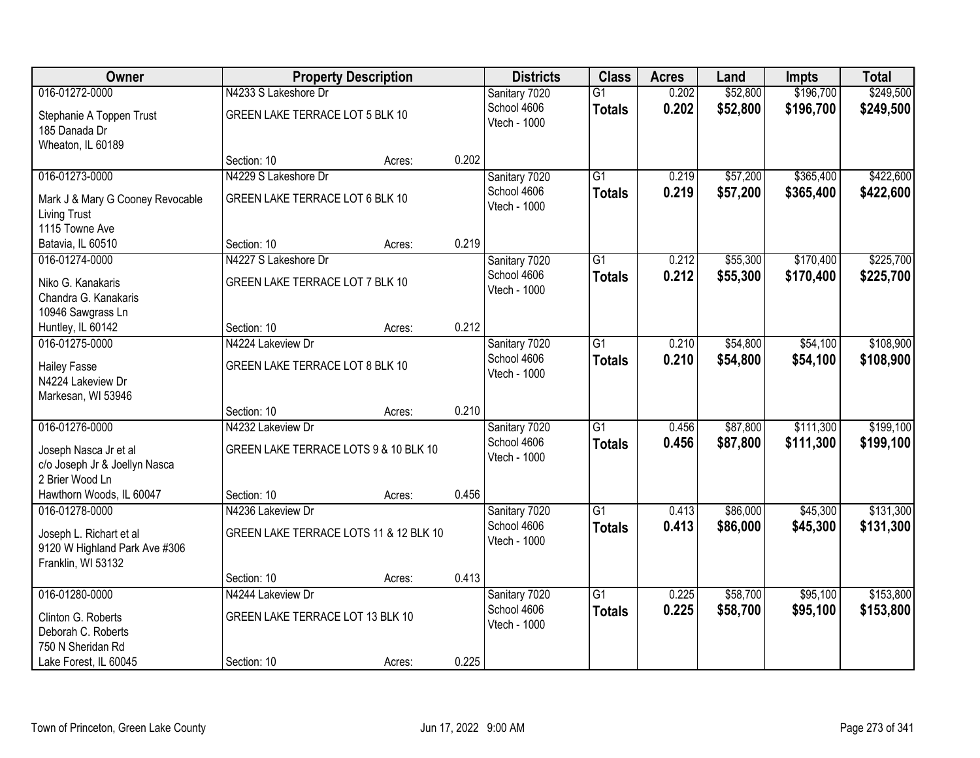| Owner                            |                                        | <b>Property Description</b> |       | <b>Districts</b> | <b>Class</b>    | <b>Acres</b> | Land     | <b>Impts</b> | <b>Total</b> |
|----------------------------------|----------------------------------------|-----------------------------|-------|------------------|-----------------|--------------|----------|--------------|--------------|
| 016-01272-0000                   | N4233 S Lakeshore Dr                   |                             |       | Sanitary 7020    | $\overline{G1}$ | 0.202        | \$52,800 | \$196,700    | \$249,500    |
| Stephanie A Toppen Trust         | GREEN LAKE TERRACE LOT 5 BLK 10        |                             |       | School 4606      | <b>Totals</b>   | 0.202        | \$52,800 | \$196,700    | \$249,500    |
| 185 Danada Dr                    |                                        |                             |       | Vtech - 1000     |                 |              |          |              |              |
| Wheaton, IL 60189                |                                        |                             |       |                  |                 |              |          |              |              |
|                                  | Section: 10                            | Acres:                      | 0.202 |                  |                 |              |          |              |              |
| 016-01273-0000                   | N4229 S Lakeshore Dr                   |                             |       | Sanitary 7020    | $\overline{G1}$ | 0.219        | \$57,200 | \$365,400    | \$422,600    |
| Mark J & Mary G Cooney Revocable | GREEN LAKE TERRACE LOT 6 BLK 10        |                             |       | School 4606      | <b>Totals</b>   | 0.219        | \$57,200 | \$365,400    | \$422,600    |
| <b>Living Trust</b>              |                                        |                             |       | Vtech - 1000     |                 |              |          |              |              |
| 1115 Towne Ave                   |                                        |                             |       |                  |                 |              |          |              |              |
| Batavia, IL 60510                | Section: 10                            | Acres:                      | 0.219 |                  |                 |              |          |              |              |
| 016-01274-0000                   | N4227 S Lakeshore Dr                   |                             |       | Sanitary 7020    | $\overline{G1}$ | 0.212        | \$55,300 | \$170,400    | \$225,700    |
| Niko G. Kanakaris                | GREEN LAKE TERRACE LOT 7 BLK 10        |                             |       | School 4606      | <b>Totals</b>   | 0.212        | \$55,300 | \$170,400    | \$225,700    |
| Chandra G. Kanakaris             |                                        |                             |       | Vtech - 1000     |                 |              |          |              |              |
| 10946 Sawgrass Ln                |                                        |                             |       |                  |                 |              |          |              |              |
| Huntley, IL 60142                | Section: 10                            | Acres:                      | 0.212 |                  |                 |              |          |              |              |
| 016-01275-0000                   | N4224 Lakeview Dr                      |                             |       | Sanitary 7020    | $\overline{G1}$ | 0.210        | \$54,800 | \$54,100     | \$108,900    |
| <b>Hailey Fasse</b>              | GREEN LAKE TERRACE LOT 8 BLK 10        |                             |       | School 4606      | <b>Totals</b>   | 0.210        | \$54,800 | \$54,100     | \$108,900    |
| N4224 Lakeview Dr                |                                        |                             |       | Vtech - 1000     |                 |              |          |              |              |
| Markesan, WI 53946               |                                        |                             |       |                  |                 |              |          |              |              |
|                                  | Section: 10                            | Acres:                      | 0.210 |                  |                 |              |          |              |              |
| 016-01276-0000                   | N4232 Lakeview Dr                      |                             |       | Sanitary 7020    | $\overline{G1}$ | 0.456        | \$87,800 | \$111,300    | \$199,100    |
| Joseph Nasca Jr et al            | GREEN LAKE TERRACE LOTS 9 & 10 BLK 10  |                             |       | School 4606      | <b>Totals</b>   | 0.456        | \$87,800 | \$111,300    | \$199,100    |
| c/o Joseph Jr & Joellyn Nasca    |                                        |                             |       | Vtech - 1000     |                 |              |          |              |              |
| 2 Brier Wood Ln                  |                                        |                             |       |                  |                 |              |          |              |              |
| Hawthorn Woods, IL 60047         | Section: 10                            | Acres:                      | 0.456 |                  |                 |              |          |              |              |
| 016-01278-0000                   | N4236 Lakeview Dr                      |                             |       | Sanitary 7020    | $\overline{G1}$ | 0.413        | \$86,000 | \$45,300     | \$131,300    |
| Joseph L. Richart et al          | GREEN LAKE TERRACE LOTS 11 & 12 BLK 10 |                             |       | School 4606      | <b>Totals</b>   | 0.413        | \$86,000 | \$45,300     | \$131,300    |
| 9120 W Highland Park Ave #306    |                                        |                             |       | Vtech - 1000     |                 |              |          |              |              |
| Franklin, WI 53132               |                                        |                             |       |                  |                 |              |          |              |              |
|                                  | Section: 10                            | Acres:                      | 0.413 |                  |                 |              |          |              |              |
| 016-01280-0000                   | N4244 Lakeview Dr                      |                             |       | Sanitary 7020    | $\overline{G1}$ | 0.225        | \$58,700 | \$95,100     | \$153,800    |
| Clinton G. Roberts               | GREEN LAKE TERRACE LOT 13 BLK 10       |                             |       | School 4606      | <b>Totals</b>   | 0.225        | \$58,700 | \$95,100     | \$153,800    |
| Deborah C. Roberts               |                                        |                             |       | Vtech - 1000     |                 |              |          |              |              |
| 750 N Sheridan Rd                |                                        |                             |       |                  |                 |              |          |              |              |
| Lake Forest, IL 60045            | Section: 10                            | Acres:                      | 0.225 |                  |                 |              |          |              |              |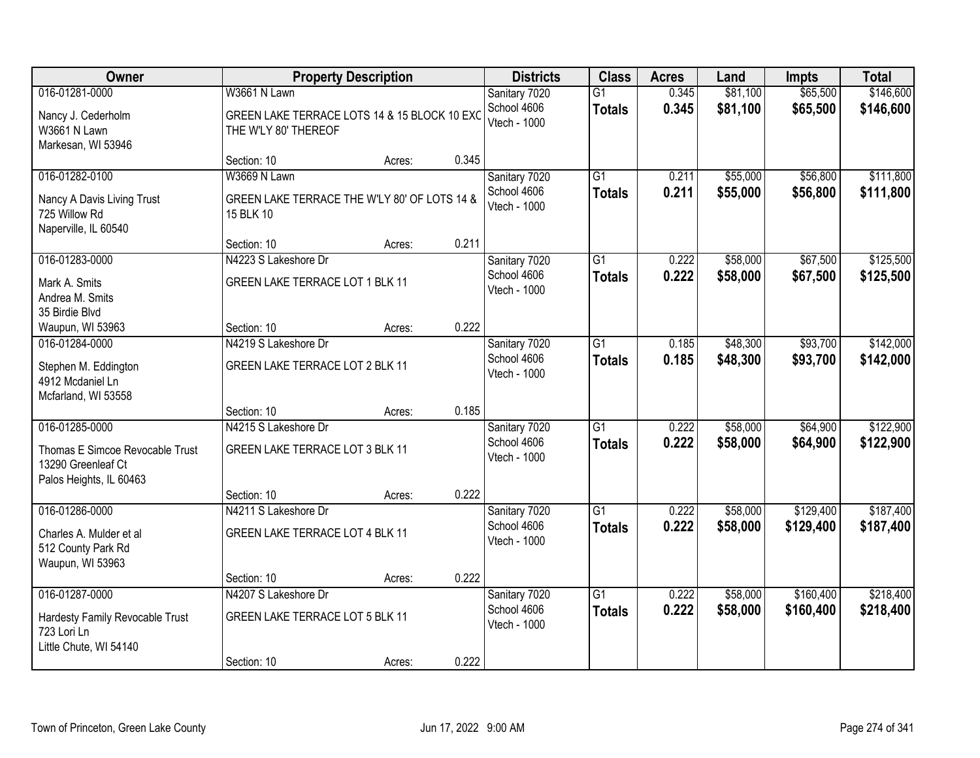| Owner                                                                                              |                                                                                      | <b>Property Description</b> |       |                                              | <b>Class</b>                     | <b>Acres</b>   | Land                 | <b>Impts</b>           | <b>Total</b>           |
|----------------------------------------------------------------------------------------------------|--------------------------------------------------------------------------------------|-----------------------------|-------|----------------------------------------------|----------------------------------|----------------|----------------------|------------------------|------------------------|
| 016-01281-0000<br>Nancy J. Cederholm<br>W3661 N Lawn<br>Markesan, WI 53946                         | W3661 N Lawn<br>GREEN LAKE TERRACE LOTS 14 & 15 BLOCK 10 EXC<br>THE W'LY 80' THEREOF |                             |       | Sanitary 7020<br>School 4606<br>Vtech - 1000 | $\overline{G1}$<br><b>Totals</b> | 0.345<br>0.345 | \$81,100<br>\$81,100 | \$65,500<br>\$65,500   | \$146,600<br>\$146,600 |
|                                                                                                    | Section: 10                                                                          | Acres:                      | 0.345 |                                              |                                  |                |                      |                        |                        |
| 016-01282-0100<br>Nancy A Davis Living Trust<br>725 Willow Rd<br>Naperville, IL 60540              | W3669 N Lawn<br>GREEN LAKE TERRACE THE W'LY 80' OF LOTS 14 &<br>15 BLK 10            |                             |       | Sanitary 7020<br>School 4606<br>Vtech - 1000 | $\overline{G1}$<br><b>Totals</b> | 0.211<br>0.211 | \$55,000<br>\$55,000 | \$56,800<br>\$56,800   | \$111,800<br>\$111,800 |
|                                                                                                    | Section: 10                                                                          | Acres:                      | 0.211 |                                              |                                  |                |                      |                        |                        |
| 016-01283-0000<br>Mark A. Smits<br>Andrea M. Smits<br>35 Birdie Blvd                               | N4223 S Lakeshore Dr<br>GREEN LAKE TERRACE LOT 1 BLK 11                              |                             |       | Sanitary 7020<br>School 4606<br>Vtech - 1000 | G1<br><b>Totals</b>              | 0.222<br>0.222 | \$58,000<br>\$58,000 | \$67,500<br>\$67,500   | \$125,500<br>\$125,500 |
| Waupun, WI 53963                                                                                   | Section: 10                                                                          | Acres:                      | 0.222 |                                              |                                  |                |                      |                        |                        |
| 016-01284-0000<br>Stephen M. Eddington<br>4912 Mcdaniel Ln<br>Mcfarland, WI 53558                  | N4219 S Lakeshore Dr<br>GREEN LAKE TERRACE LOT 2 BLK 11                              |                             |       | Sanitary 7020<br>School 4606<br>Vtech - 1000 | G1<br><b>Totals</b>              | 0.185<br>0.185 | \$48,300<br>\$48,300 | \$93,700<br>\$93,700   | \$142,000<br>\$142,000 |
|                                                                                                    | Section: 10                                                                          | Acres:                      | 0.185 |                                              |                                  |                |                      |                        |                        |
| 016-01285-0000<br>Thomas E Simcoe Revocable Trust<br>13290 Greenleaf Ct<br>Palos Heights, IL 60463 | N4215 S Lakeshore Dr<br>GREEN LAKE TERRACE LOT 3 BLK 11<br>Section: 10               | Acres:                      | 0.222 | Sanitary 7020<br>School 4606<br>Vtech - 1000 | $\overline{G1}$<br><b>Totals</b> | 0.222<br>0.222 | \$58,000<br>\$58,000 | \$64,900<br>\$64,900   | \$122,900<br>\$122,900 |
| 016-01286-0000                                                                                     | N4211 S Lakeshore Dr                                                                 |                             |       | Sanitary 7020                                | $\overline{G1}$                  | 0.222          | \$58,000             | \$129,400              | \$187,400              |
| Charles A. Mulder et al<br>512 County Park Rd<br>Waupun, WI 53963                                  | GREEN LAKE TERRACE LOT 4 BLK 11                                                      |                             |       | School 4606<br>Vtech - 1000                  | <b>Totals</b>                    | 0.222          | \$58,000             | \$129,400              | \$187,400              |
|                                                                                                    | Section: 10                                                                          | Acres:                      | 0.222 |                                              |                                  |                |                      |                        |                        |
| 016-01287-0000<br>Hardesty Family Revocable Trust<br>723 Lori Ln<br>Little Chute, WI 54140         | N4207 S Lakeshore Dr<br>GREEN LAKE TERRACE LOT 5 BLK 11<br>Section: 10               | Acres:                      | 0.222 | Sanitary 7020<br>School 4606<br>Vtech - 1000 | $\overline{G1}$<br><b>Totals</b> | 0.222<br>0.222 | \$58,000<br>\$58,000 | \$160,400<br>\$160,400 | \$218,400<br>\$218,400 |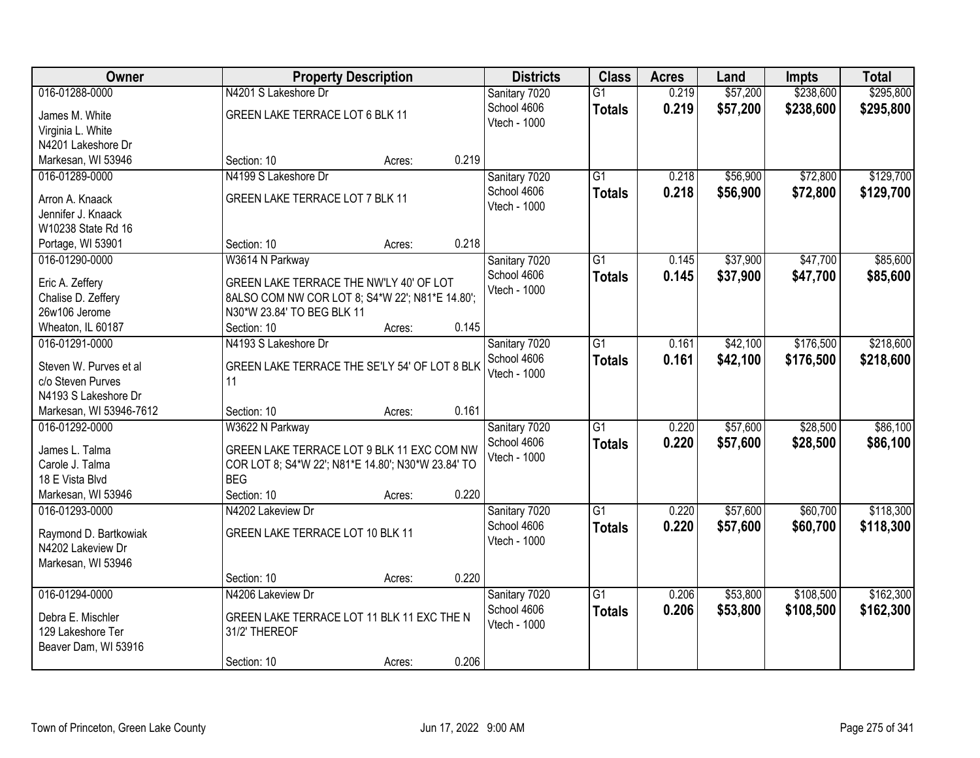| Owner                   | <b>Property Description</b>                        |                                            | <b>Districts</b> | <b>Class</b>  | <b>Acres</b>    | Land  | <b>Impts</b> | <b>Total</b> |           |
|-------------------------|----------------------------------------------------|--------------------------------------------|------------------|---------------|-----------------|-------|--------------|--------------|-----------|
| 016-01288-0000          | N4201 S Lakeshore Dr                               |                                            |                  | Sanitary 7020 | $\overline{G1}$ | 0.219 | \$57,200     | \$238,600    | \$295,800 |
| James M. White          | GREEN LAKE TERRACE LOT 6 BLK 11                    |                                            |                  | School 4606   | <b>Totals</b>   | 0.219 | \$57,200     | \$238,600    | \$295,800 |
| Virginia L. White       |                                                    |                                            |                  | Vtech - 1000  |                 |       |              |              |           |
| N4201 Lakeshore Dr      |                                                    |                                            |                  |               |                 |       |              |              |           |
| Markesan, WI 53946      | Section: 10                                        | Acres:                                     | 0.219            |               |                 |       |              |              |           |
| 016-01289-0000          | N4199 S Lakeshore Dr                               |                                            |                  | Sanitary 7020 | $\overline{G1}$ | 0.218 | \$56,900     | \$72,800     | \$129,700 |
|                         |                                                    |                                            |                  | School 4606   | <b>Totals</b>   | 0.218 | \$56,900     | \$72,800     | \$129,700 |
| Arron A. Knaack         | GREEN LAKE TERRACE LOT 7 BLK 11                    |                                            |                  | Vtech - 1000  |                 |       |              |              |           |
| Jennifer J. Knaack      |                                                    |                                            |                  |               |                 |       |              |              |           |
| W10238 State Rd 16      |                                                    |                                            |                  |               |                 |       |              |              |           |
| Portage, WI 53901       | Section: 10                                        | Acres:                                     | 0.218            |               |                 |       |              |              |           |
| 016-01290-0000          | W3614 N Parkway                                    |                                            |                  | Sanitary 7020 | G1              | 0.145 | \$37,900     | \$47,700     | \$85,600  |
| Eric A. Zeffery         | GREEN LAKE TERRACE THE NW'LY 40' OF LOT            |                                            |                  | School 4606   | <b>Totals</b>   | 0.145 | \$37,900     | \$47,700     | \$85,600  |
| Chalise D. Zeffery      | 8ALSO COM NW COR LOT 8; S4*W 22'; N81*E 14.80';    |                                            |                  | Vtech - 1000  |                 |       |              |              |           |
| 26w106 Jerome           | N30*W 23.84' TO BEG BLK 11                         |                                            |                  |               |                 |       |              |              |           |
| Wheaton, IL 60187       | Section: 10                                        | Acres:                                     | 0.145            |               |                 |       |              |              |           |
| 016-01291-0000          | N4193 S Lakeshore Dr                               |                                            |                  | Sanitary 7020 | G1              | 0.161 | \$42,100     | \$176,500    | \$218,600 |
|                         |                                                    |                                            |                  | School 4606   | <b>Totals</b>   | 0.161 | \$42,100     | \$176,500    | \$218,600 |
| Steven W. Purves et al  | GREEN LAKE TERRACE THE SE'LY 54' OF LOT 8 BLK      |                                            |                  | Vtech - 1000  |                 |       |              |              |           |
| c/o Steven Purves       | 11                                                 |                                            |                  |               |                 |       |              |              |           |
| N4193 S Lakeshore Dr    |                                                    |                                            |                  |               |                 |       |              |              |           |
| Markesan, WI 53946-7612 | Section: 10                                        | Acres:                                     | 0.161            |               |                 |       |              |              |           |
| 016-01292-0000          | W3622 N Parkway                                    |                                            |                  | Sanitary 7020 | $\overline{G1}$ | 0.220 | \$57,600     | \$28,500     | \$86,100  |
| James L. Talma          | GREEN LAKE TERRACE LOT 9 BLK 11 EXC COM NW         |                                            |                  | School 4606   | <b>Totals</b>   | 0.220 | \$57,600     | \$28,500     | \$86,100  |
| Carole J. Talma         | COR LOT 8; S4*W 22'; N81*E 14.80'; N30*W 23.84' TO |                                            |                  | Vtech - 1000  |                 |       |              |              |           |
| 18 E Vista Blvd         | <b>BEG</b>                                         |                                            |                  |               |                 |       |              |              |           |
| Markesan, WI 53946      | Section: 10                                        | Acres:                                     | 0.220            |               |                 |       |              |              |           |
| 016-01293-0000          | N4202 Lakeview Dr                                  |                                            |                  | Sanitary 7020 | $\overline{G1}$ | 0.220 | \$57,600     | \$60,700     | \$118,300 |
|                         |                                                    |                                            |                  | School 4606   | <b>Totals</b>   | 0.220 | \$57,600     | \$60,700     | \$118,300 |
| Raymond D. Bartkowiak   | GREEN LAKE TERRACE LOT 10 BLK 11                   |                                            |                  | Vtech - 1000  |                 |       |              |              |           |
| N4202 Lakeview Dr       |                                                    |                                            |                  |               |                 |       |              |              |           |
| Markesan, WI 53946      |                                                    |                                            |                  |               |                 |       |              |              |           |
|                         | Section: 10                                        | Acres:                                     | 0.220            |               |                 |       |              |              |           |
| 016-01294-0000          | N4206 Lakeview Dr                                  |                                            |                  | Sanitary 7020 | $\overline{G1}$ | 0.206 | \$53,800     | \$108,500    | \$162,300 |
| Debra E. Mischler       |                                                    | GREEN LAKE TERRACE LOT 11 BLK 11 EXC THE N |                  | School 4606   | <b>Totals</b>   | 0.206 | \$53,800     | \$108,500    | \$162,300 |
| 129 Lakeshore Ter       | 31/2' THEREOF                                      |                                            |                  | Vtech - 1000  |                 |       |              |              |           |
| Beaver Dam, WI 53916    |                                                    |                                            |                  |               |                 |       |              |              |           |
|                         | Section: 10                                        | Acres:                                     | 0.206            |               |                 |       |              |              |           |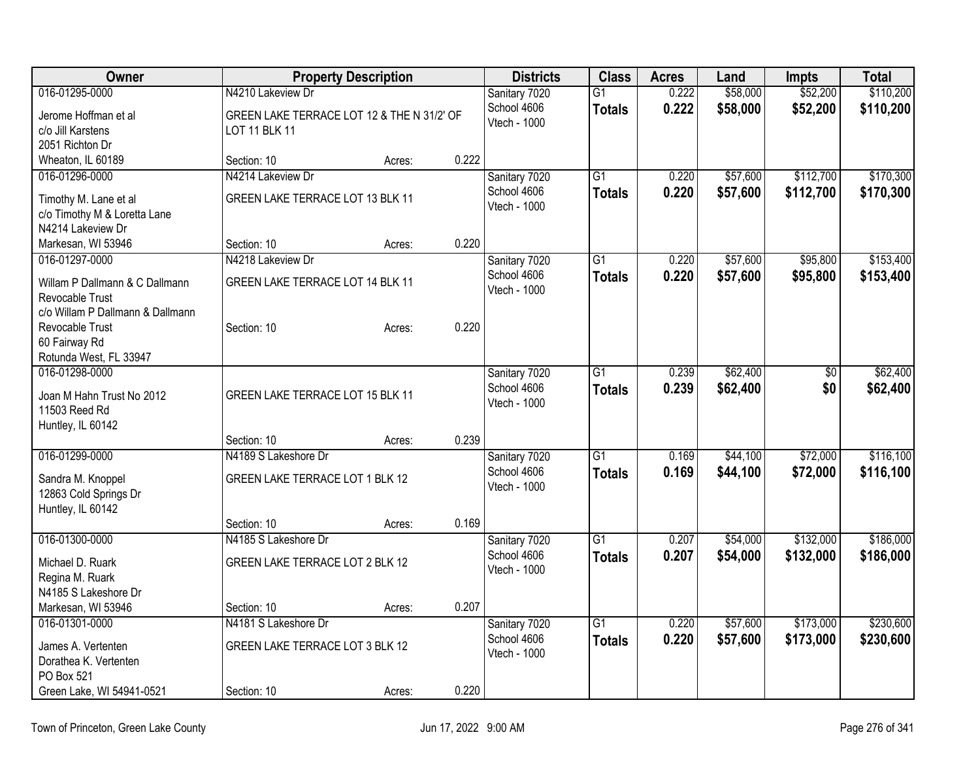| <b>Owner</b>                     | <b>Property Description</b>                |        | <b>Districts</b> | <b>Class</b>        | <b>Acres</b>    | Land  | <b>Impts</b> | <b>Total</b> |           |
|----------------------------------|--------------------------------------------|--------|------------------|---------------------|-----------------|-------|--------------|--------------|-----------|
| 016-01295-0000                   | N4210 Lakeview Dr                          |        |                  | Sanitary 7020       | $\overline{G1}$ | 0.222 | \$58,000     | \$52,200     | \$110,200 |
| Jerome Hoffman et al             | GREEN LAKE TERRACE LOT 12 & THE N 31/2' OF |        |                  | School 4606         | <b>Totals</b>   | 0.222 | \$58,000     | \$52,200     | \$110,200 |
| c/o Jill Karstens                | LOT 11 BLK 11                              |        |                  | <b>Vtech - 1000</b> |                 |       |              |              |           |
| 2051 Richton Dr                  |                                            |        |                  |                     |                 |       |              |              |           |
| Wheaton, IL 60189                | Section: 10                                | Acres: | 0.222            |                     |                 |       |              |              |           |
| 016-01296-0000                   | N4214 Lakeview Dr                          |        |                  | Sanitary 7020       | $\overline{G1}$ | 0.220 | \$57,600     | \$112,700    | \$170,300 |
| Timothy M. Lane et al            | GREEN LAKE TERRACE LOT 13 BLK 11           |        |                  | School 4606         | <b>Totals</b>   | 0.220 | \$57,600     | \$112,700    | \$170,300 |
| c/o Timothy M & Loretta Lane     |                                            |        |                  | Vtech - 1000        |                 |       |              |              |           |
| N4214 Lakeview Dr                |                                            |        |                  |                     |                 |       |              |              |           |
| Markesan, WI 53946               | Section: 10                                | Acres: | 0.220            |                     |                 |       |              |              |           |
| 016-01297-0000                   | N4218 Lakeview Dr                          |        |                  | Sanitary 7020       | $\overline{G1}$ | 0.220 | \$57,600     | \$95,800     | \$153,400 |
| Willam P Dallmann & C Dallmann   | GREEN LAKE TERRACE LOT 14 BLK 11           |        |                  | School 4606         | <b>Totals</b>   | 0.220 | \$57,600     | \$95,800     | \$153,400 |
| Revocable Trust                  |                                            |        |                  | Vtech - 1000        |                 |       |              |              |           |
| c/o Willam P Dallmann & Dallmann |                                            |        |                  |                     |                 |       |              |              |           |
| Revocable Trust                  | Section: 10                                | Acres: | 0.220            |                     |                 |       |              |              |           |
| 60 Fairway Rd                    |                                            |        |                  |                     |                 |       |              |              |           |
| Rotunda West, FL 33947           |                                            |        |                  |                     |                 |       |              |              |           |
| 016-01298-0000                   |                                            |        |                  | Sanitary 7020       | G1              | 0.239 | \$62,400     | \$0          | \$62,400  |
| Joan M Hahn Trust No 2012        | GREEN LAKE TERRACE LOT 15 BLK 11           |        |                  | School 4606         | <b>Totals</b>   | 0.239 | \$62,400     | \$0          | \$62,400  |
| 11503 Reed Rd                    |                                            |        |                  | Vtech - 1000        |                 |       |              |              |           |
| Huntley, IL 60142                |                                            |        |                  |                     |                 |       |              |              |           |
|                                  | Section: 10                                | Acres: | 0.239            |                     |                 |       |              |              |           |
| 016-01299-0000                   | N4189 S Lakeshore Dr                       |        |                  | Sanitary 7020       | $\overline{G1}$ | 0.169 | \$44,100     | \$72,000     | \$116,100 |
| Sandra M. Knoppel                | GREEN LAKE TERRACE LOT 1 BLK 12            |        |                  | School 4606         | <b>Totals</b>   | 0.169 | \$44,100     | \$72,000     | \$116,100 |
| 12863 Cold Springs Dr            |                                            |        |                  | Vtech - 1000        |                 |       |              |              |           |
| Huntley, IL 60142                |                                            |        |                  |                     |                 |       |              |              |           |
|                                  | Section: 10                                | Acres: | 0.169            |                     |                 |       |              |              |           |
| 016-01300-0000                   | N4185 S Lakeshore Dr                       |        |                  | Sanitary 7020       | $\overline{G1}$ | 0.207 | \$54,000     | \$132,000    | \$186,000 |
| Michael D. Ruark                 | GREEN LAKE TERRACE LOT 2 BLK 12            |        |                  | School 4606         | <b>Totals</b>   | 0.207 | \$54,000     | \$132,000    | \$186,000 |
| Regina M. Ruark                  |                                            |        |                  | Vtech - 1000        |                 |       |              |              |           |
| N4185 S Lakeshore Dr             |                                            |        |                  |                     |                 |       |              |              |           |
| Markesan, WI 53946               | Section: 10                                | Acres: | 0.207            |                     |                 |       |              |              |           |
| 016-01301-0000                   | N4181 S Lakeshore Dr                       |        |                  | Sanitary 7020       | $\overline{G1}$ | 0.220 | \$57,600     | \$173,000    | \$230,600 |
| James A. Vertenten               | GREEN LAKE TERRACE LOT 3 BLK 12            |        |                  | School 4606         | <b>Totals</b>   | 0.220 | \$57,600     | \$173,000    | \$230,600 |
| Dorathea K. Vertenten            |                                            |        |                  | Vtech - 1000        |                 |       |              |              |           |
| PO Box 521                       |                                            |        |                  |                     |                 |       |              |              |           |
| Green Lake, WI 54941-0521        | Section: 10                                | Acres: | 0.220            |                     |                 |       |              |              |           |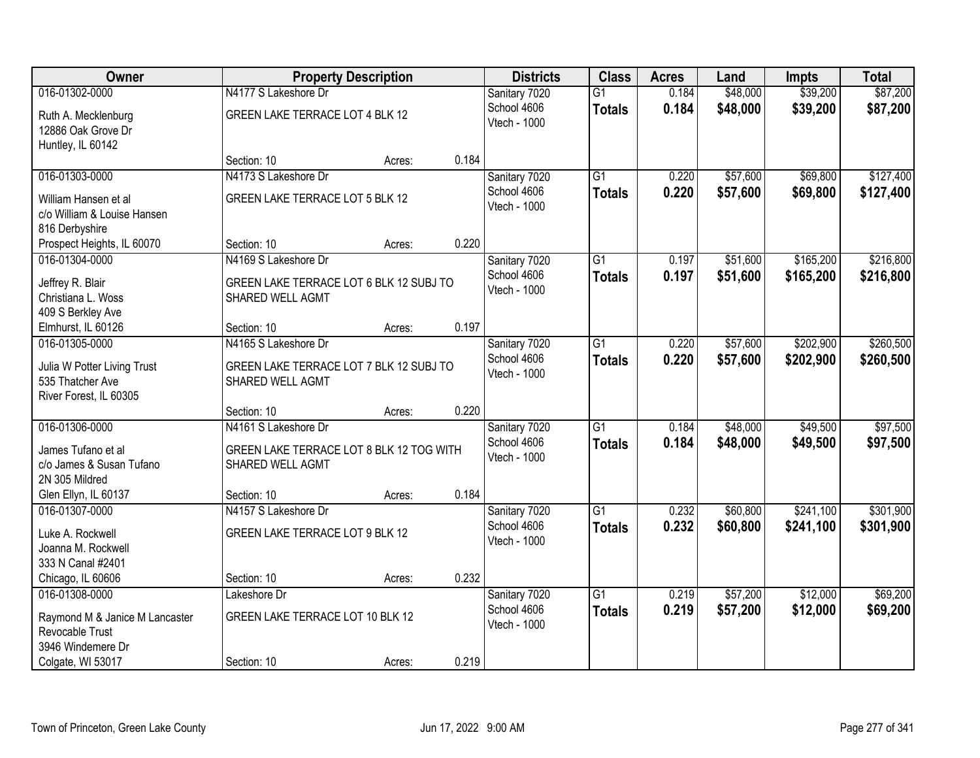| Owner                                      |                                          | <b>Property Description</b> |       | <b>Districts</b>            | <b>Class</b>    | <b>Acres</b> | Land     | <b>Impts</b> | <b>Total</b> |
|--------------------------------------------|------------------------------------------|-----------------------------|-------|-----------------------------|-----------------|--------------|----------|--------------|--------------|
| 016-01302-0000                             | N4177 S Lakeshore Dr                     |                             |       | Sanitary 7020               | $\overline{G1}$ | 0.184        | \$48,000 | \$39,200     | \$87,200     |
| Ruth A. Mecklenburg                        | GREEN LAKE TERRACE LOT 4 BLK 12          |                             |       | School 4606                 | <b>Totals</b>   | 0.184        | \$48,000 | \$39,200     | \$87,200     |
| 12886 Oak Grove Dr                         |                                          |                             |       | Vtech - 1000                |                 |              |          |              |              |
| Huntley, IL 60142                          |                                          |                             |       |                             |                 |              |          |              |              |
|                                            | Section: 10                              | Acres:                      | 0.184 |                             |                 |              |          |              |              |
| 016-01303-0000                             | N4173 S Lakeshore Dr                     |                             |       | Sanitary 7020               | $\overline{G1}$ | 0.220        | \$57,600 | \$69,800     | \$127,400    |
| William Hansen et al                       | GREEN LAKE TERRACE LOT 5 BLK 12          |                             |       | School 4606                 | <b>Totals</b>   | 0.220        | \$57,600 | \$69,800     | \$127,400    |
| c/o William & Louise Hansen                |                                          |                             |       | Vtech - 1000                |                 |              |          |              |              |
| 816 Derbyshire                             |                                          |                             |       |                             |                 |              |          |              |              |
| Prospect Heights, IL 60070                 | Section: 10                              | Acres:                      | 0.220 |                             |                 |              |          |              |              |
| 016-01304-0000                             | N4169 S Lakeshore Dr                     |                             |       | Sanitary 7020               | $\overline{G1}$ | 0.197        | \$51,600 | \$165,200    | \$216,800    |
| Jeffrey R. Blair                           | GREEN LAKE TERRACE LOT 6 BLK 12 SUBJ TO  |                             |       | School 4606                 | <b>Totals</b>   | 0.197        | \$51,600 | \$165,200    | \$216,800    |
| Christiana L. Woss                         | SHARED WELL AGMT                         |                             |       | Vtech - 1000                |                 |              |          |              |              |
| 409 S Berkley Ave                          |                                          |                             |       |                             |                 |              |          |              |              |
| Elmhurst, IL 60126                         | Section: 10                              | Acres:                      | 0.197 |                             |                 |              |          |              |              |
| 016-01305-0000                             | N4165 S Lakeshore Dr                     |                             |       | Sanitary 7020               | $\overline{G1}$ | 0.220        | \$57,600 | \$202,900    | \$260,500    |
|                                            |                                          |                             |       | School 4606                 | <b>Totals</b>   | 0.220        | \$57,600 | \$202,900    | \$260,500    |
| Julia W Potter Living Trust                | GREEN LAKE TERRACE LOT 7 BLK 12 SUBJ TO  |                             |       | Vtech - 1000                |                 |              |          |              |              |
| 535 Thatcher Ave<br>River Forest, IL 60305 | SHARED WELL AGMT                         |                             |       |                             |                 |              |          |              |              |
|                                            | Section: 10                              | Acres:                      | 0.220 |                             |                 |              |          |              |              |
| 016-01306-0000                             | N4161 S Lakeshore Dr                     |                             |       | Sanitary 7020               | $\overline{G1}$ | 0.184        | \$48,000 | \$49,500     | \$97,500     |
|                                            |                                          |                             |       | School 4606                 | <b>Totals</b>   | 0.184        | \$48,000 | \$49,500     | \$97,500     |
| James Tufano et al                         | GREEN LAKE TERRACE LOT 8 BLK 12 TOG WITH |                             |       | Vtech - 1000                |                 |              |          |              |              |
| c/o James & Susan Tufano                   | SHARED WELL AGMT                         |                             |       |                             |                 |              |          |              |              |
| 2N 305 Mildred                             |                                          |                             |       |                             |                 |              |          |              |              |
| Glen Ellyn, IL 60137                       | Section: 10                              | Acres:                      | 0.184 |                             |                 |              |          |              |              |
| 016-01307-0000                             | N4157 S Lakeshore Dr                     |                             |       | Sanitary 7020               | G1              | 0.232        | \$60,800 | \$241,100    | \$301,900    |
| Luke A. Rockwell                           | GREEN LAKE TERRACE LOT 9 BLK 12          |                             |       | School 4606<br>Vtech - 1000 | <b>Totals</b>   | 0.232        | \$60,800 | \$241,100    | \$301,900    |
| Joanna M. Rockwell                         |                                          |                             |       |                             |                 |              |          |              |              |
| 333 N Canal #2401                          |                                          |                             |       |                             |                 |              |          |              |              |
| Chicago, IL 60606                          | Section: 10                              | Acres:                      | 0.232 |                             |                 |              |          |              |              |
| 016-01308-0000                             | Lakeshore Dr                             |                             |       | Sanitary 7020               | $\overline{G1}$ | 0.219        | \$57,200 | \$12,000     | \$69,200     |
| Raymond M & Janice M Lancaster             | GREEN LAKE TERRACE LOT 10 BLK 12         |                             |       | School 4606                 | <b>Totals</b>   | 0.219        | \$57,200 | \$12,000     | \$69,200     |
| Revocable Trust                            |                                          |                             |       | Vtech - 1000                |                 |              |          |              |              |
| 3946 Windemere Dr                          |                                          |                             |       |                             |                 |              |          |              |              |
| Colgate, WI 53017                          | Section: 10                              | Acres:                      | 0.219 |                             |                 |              |          |              |              |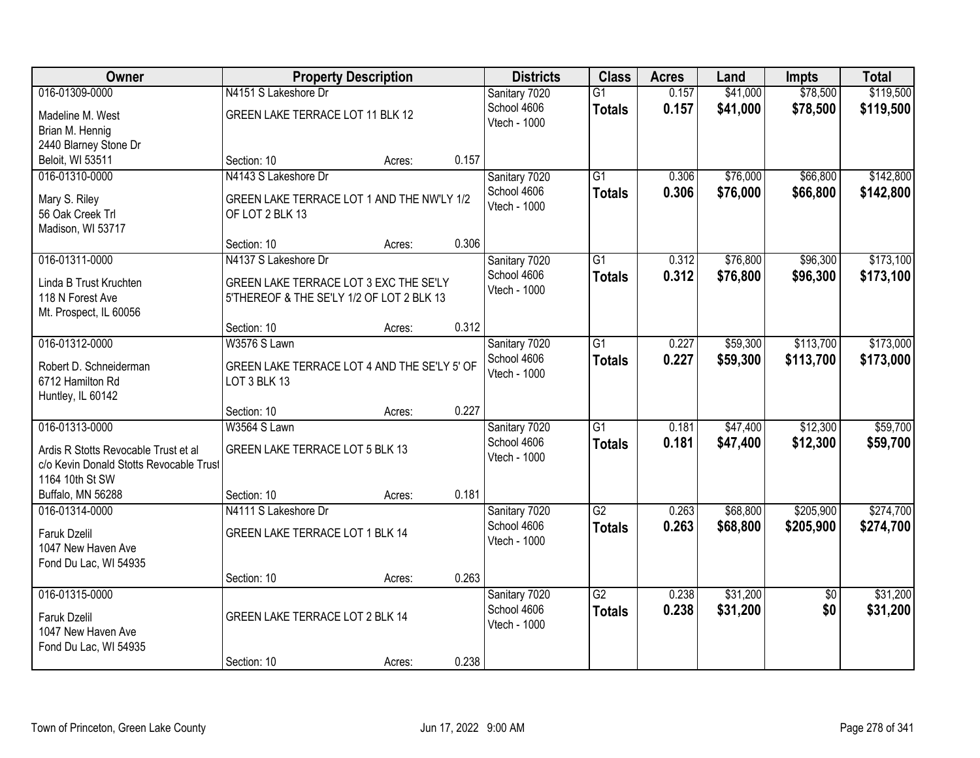| Owner                                   | <b>Property Description</b>                  |        |       | <b>Districts</b> | <b>Class</b>    | <b>Acres</b> | Land     | <b>Impts</b>    | <b>Total</b> |
|-----------------------------------------|----------------------------------------------|--------|-------|------------------|-----------------|--------------|----------|-----------------|--------------|
| 016-01309-0000                          | N4151 S Lakeshore Dr                         |        |       | Sanitary 7020    | $\overline{G1}$ | 0.157        | \$41,000 | \$78,500        | \$119,500    |
| Madeline M. West                        | GREEN LAKE TERRACE LOT 11 BLK 12             |        |       | School 4606      | <b>Totals</b>   | 0.157        | \$41,000 | \$78,500        | \$119,500    |
| Brian M. Hennig                         |                                              |        |       | Vtech - 1000     |                 |              |          |                 |              |
| 2440 Blarney Stone Dr                   |                                              |        |       |                  |                 |              |          |                 |              |
| Beloit, WI 53511                        | Section: 10                                  | Acres: | 0.157 |                  |                 |              |          |                 |              |
| 016-01310-0000                          | N4143 S Lakeshore Dr                         |        |       | Sanitary 7020    | $\overline{G1}$ | 0.306        | \$76,000 | \$66,800        | \$142,800    |
| Mary S. Riley                           | GREEN LAKE TERRACE LOT 1 AND THE NW'LY 1/2   |        |       | School 4606      | <b>Totals</b>   | 0.306        | \$76,000 | \$66,800        | \$142,800    |
| 56 Oak Creek Trl                        | OF LOT 2 BLK 13                              |        |       | Vtech - 1000     |                 |              |          |                 |              |
| Madison, WI 53717                       |                                              |        |       |                  |                 |              |          |                 |              |
|                                         | Section: 10                                  | Acres: | 0.306 |                  |                 |              |          |                 |              |
| 016-01311-0000                          | N4137 S Lakeshore Dr                         |        |       | Sanitary 7020    | G1              | 0.312        | \$76,800 | \$96,300        | \$173,100    |
| Linda B Trust Kruchten                  | GREEN LAKE TERRACE LOT 3 EXC THE SE'LY       |        |       | School 4606      | <b>Totals</b>   | 0.312        | \$76,800 | \$96,300        | \$173,100    |
| 118 N Forest Ave                        | 5'THEREOF & THE SE'LY 1/2 OF LOT 2 BLK 13    |        |       | Vtech - 1000     |                 |              |          |                 |              |
| Mt. Prospect, IL 60056                  |                                              |        |       |                  |                 |              |          |                 |              |
|                                         | Section: 10                                  | Acres: | 0.312 |                  |                 |              |          |                 |              |
| 016-01312-0000                          | W3576 S Lawn                                 |        |       | Sanitary 7020    | G1              | 0.227        | \$59,300 | \$113,700       | \$173,000    |
| Robert D. Schneiderman                  | GREEN LAKE TERRACE LOT 4 AND THE SE'LY 5' OF |        |       | School 4606      | <b>Totals</b>   | 0.227        | \$59,300 | \$113,700       | \$173,000    |
| 6712 Hamilton Rd                        | LOT 3 BLK 13                                 |        |       | Vtech - 1000     |                 |              |          |                 |              |
| Huntley, IL 60142                       |                                              |        |       |                  |                 |              |          |                 |              |
|                                         | Section: 10                                  | Acres: | 0.227 |                  |                 |              |          |                 |              |
| 016-01313-0000                          | W3564 S Lawn                                 |        |       | Sanitary 7020    | $\overline{G1}$ | 0.181        | \$47,400 | \$12,300        | \$59,700     |
| Ardis R Stotts Revocable Trust et al    | GREEN LAKE TERRACE LOT 5 BLK 13              |        |       | School 4606      | <b>Totals</b>   | 0.181        | \$47,400 | \$12,300        | \$59,700     |
| c/o Kevin Donald Stotts Revocable Trust |                                              |        |       | Vtech - 1000     |                 |              |          |                 |              |
| 1164 10th St SW                         |                                              |        |       |                  |                 |              |          |                 |              |
| Buffalo, MN 56288                       | Section: 10                                  | Acres: | 0.181 |                  |                 |              |          |                 |              |
| 016-01314-0000                          | N4111 S Lakeshore Dr                         |        |       | Sanitary 7020    | $\overline{G2}$ | 0.263        | \$68,800 | \$205,900       | \$274,700    |
| Faruk Dzelil                            | GREEN LAKE TERRACE LOT 1 BLK 14              |        |       | School 4606      | <b>Totals</b>   | 0.263        | \$68,800 | \$205,900       | \$274,700    |
| 1047 New Haven Ave                      |                                              |        |       | Vtech - 1000     |                 |              |          |                 |              |
| Fond Du Lac, WI 54935                   |                                              |        |       |                  |                 |              |          |                 |              |
|                                         | Section: 10                                  | Acres: | 0.263 |                  |                 |              |          |                 |              |
| 016-01315-0000                          |                                              |        |       | Sanitary 7020    | $\overline{G2}$ | 0.238        | \$31,200 | $\overline{50}$ | \$31,200     |
| <b>Faruk Dzelil</b>                     | GREEN LAKE TERRACE LOT 2 BLK 14              |        |       | School 4606      | <b>Totals</b>   | 0.238        | \$31,200 | \$0             | \$31,200     |
| 1047 New Haven Ave                      |                                              |        |       | Vtech - 1000     |                 |              |          |                 |              |
| Fond Du Lac, WI 54935                   |                                              |        |       |                  |                 |              |          |                 |              |
|                                         | Section: 10                                  | Acres: | 0.238 |                  |                 |              |          |                 |              |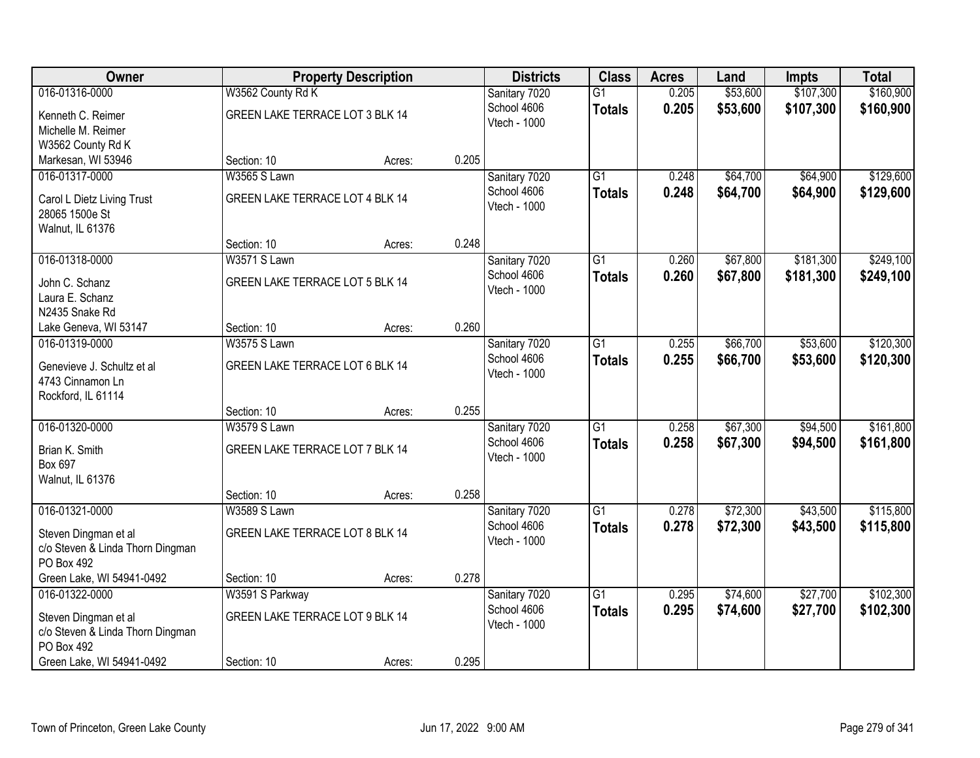| <b>Owner</b>                           |                                 | <b>Property Description</b> |       | <b>Districts</b>             | <b>Class</b>    | <b>Acres</b> | Land     | <b>Impts</b> | <b>Total</b> |
|----------------------------------------|---------------------------------|-----------------------------|-------|------------------------------|-----------------|--------------|----------|--------------|--------------|
| 016-01316-0000                         | W3562 County Rd K               |                             |       | Sanitary 7020                | $\overline{G1}$ | 0.205        | \$53,600 | \$107,300    | \$160,900    |
| Kenneth C. Reimer                      | GREEN LAKE TERRACE LOT 3 BLK 14 |                             |       | School 4606                  | <b>Totals</b>   | 0.205        | \$53,600 | \$107,300    | \$160,900    |
| Michelle M. Reimer                     |                                 |                             |       | Vtech - 1000                 |                 |              |          |              |              |
| W3562 County Rd K                      |                                 |                             |       |                              |                 |              |          |              |              |
| Markesan, WI 53946                     | Section: 10                     | Acres:                      | 0.205 |                              |                 |              |          |              |              |
| 016-01317-0000                         | <b>W3565 S Lawn</b>             |                             |       | Sanitary 7020                | $\overline{G1}$ | 0.248        | \$64,700 | \$64,900     | \$129,600    |
| Carol L Dietz Living Trust             | GREEN LAKE TERRACE LOT 4 BLK 14 |                             |       | School 4606                  | <b>Totals</b>   | 0.248        | \$64,700 | \$64,900     | \$129,600    |
| 28065 1500e St                         |                                 |                             |       | Vtech - 1000                 |                 |              |          |              |              |
| Walnut, IL 61376                       |                                 |                             |       |                              |                 |              |          |              |              |
|                                        | Section: 10                     | Acres:                      | 0.248 |                              |                 |              |          |              |              |
| 016-01318-0000                         | W3571 S Lawn                    |                             |       | Sanitary 7020                | G1              | 0.260        | \$67,800 | \$181,300    | \$249,100    |
| John C. Schanz                         | GREEN LAKE TERRACE LOT 5 BLK 14 |                             |       | School 4606                  | <b>Totals</b>   | 0.260        | \$67,800 | \$181,300    | \$249,100    |
| Laura E. Schanz                        |                                 |                             |       | Vtech - 1000                 |                 |              |          |              |              |
| N2435 Snake Rd                         |                                 |                             |       |                              |                 |              |          |              |              |
| Lake Geneva, WI 53147                  | Section: 10                     | Acres:                      | 0.260 |                              |                 |              |          |              |              |
| 016-01319-0000                         | <b>W3575 S Lawn</b>             |                             |       | Sanitary 7020                | $\overline{G1}$ | 0.255        | \$66,700 | \$53,600     | \$120,300    |
|                                        |                                 |                             |       | School 4606                  | <b>Totals</b>   | 0.255        | \$66,700 | \$53,600     | \$120,300    |
| Genevieve J. Schultz et al             | GREEN LAKE TERRACE LOT 6 BLK 14 |                             |       | Vtech - 1000                 |                 |              |          |              |              |
| 4743 Cinnamon Ln<br>Rockford, IL 61114 |                                 |                             |       |                              |                 |              |          |              |              |
|                                        | Section: 10                     | Acres:                      | 0.255 |                              |                 |              |          |              |              |
| 016-01320-0000                         | W3579 S Lawn                    |                             |       | Sanitary 7020                | $\overline{G1}$ | 0.258        | \$67,300 | \$94,500     | \$161,800    |
|                                        |                                 |                             |       | School 4606                  | <b>Totals</b>   | 0.258        | \$67,300 | \$94,500     | \$161,800    |
| Brian K. Smith                         | GREEN LAKE TERRACE LOT 7 BLK 14 |                             |       | Vtech - 1000                 |                 |              |          |              |              |
| Box 697                                |                                 |                             |       |                              |                 |              |          |              |              |
| Walnut, IL 61376                       |                                 |                             | 0.258 |                              |                 |              |          |              |              |
| 016-01321-0000                         | Section: 10<br>W3589 S Lawn     | Acres:                      |       |                              | $\overline{G1}$ | 0.278        | \$72,300 | \$43,500     | \$115,800    |
|                                        |                                 |                             |       | Sanitary 7020<br>School 4606 |                 | 0.278        | \$72,300 | \$43,500     | \$115,800    |
| Steven Dingman et al                   | GREEN LAKE TERRACE LOT 8 BLK 14 |                             |       | Vtech - 1000                 | <b>Totals</b>   |              |          |              |              |
| c/o Steven & Linda Thorn Dingman       |                                 |                             |       |                              |                 |              |          |              |              |
| PO Box 492                             |                                 |                             |       |                              |                 |              |          |              |              |
| Green Lake, WI 54941-0492              | Section: 10                     | Acres:                      | 0.278 |                              |                 |              |          |              |              |
| 016-01322-0000                         | W3591 S Parkway                 |                             |       | Sanitary 7020                | $\overline{G1}$ | 0.295        | \$74,600 | \$27,700     | \$102,300    |
| Steven Dingman et al                   | GREEN LAKE TERRACE LOT 9 BLK 14 |                             |       | School 4606                  | <b>Totals</b>   | 0.295        | \$74,600 | \$27,700     | \$102,300    |
| c/o Steven & Linda Thorn Dingman       |                                 |                             |       | Vtech - 1000                 |                 |              |          |              |              |
| PO Box 492                             |                                 |                             |       |                              |                 |              |          |              |              |
| Green Lake, WI 54941-0492              | Section: 10                     | Acres:                      | 0.295 |                              |                 |              |          |              |              |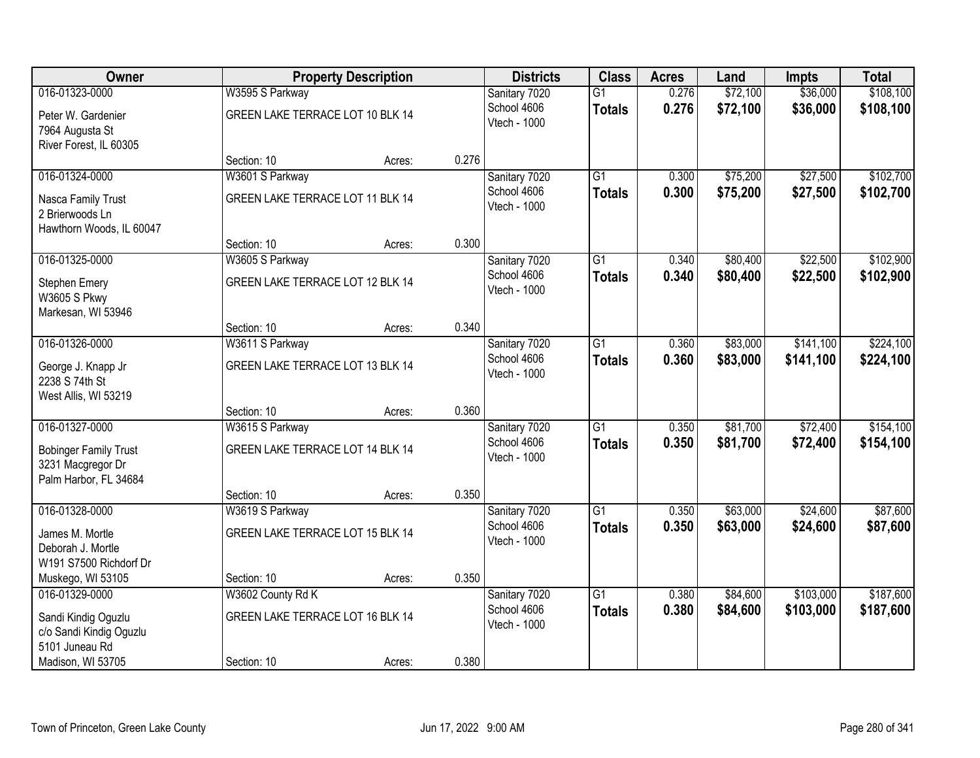| Owner                        | <b>Property Description</b>      |        |       | <b>Districts</b>            | <b>Class</b>    | <b>Acres</b> | Land     | <b>Impts</b> | <b>Total</b> |
|------------------------------|----------------------------------|--------|-------|-----------------------------|-----------------|--------------|----------|--------------|--------------|
| 016-01323-0000               | W3595 S Parkway                  |        |       | Sanitary 7020               | $\overline{G1}$ | 0.276        | \$72,100 | \$36,000     | \$108,100    |
| Peter W. Gardenier           | GREEN LAKE TERRACE LOT 10 BLK 14 |        |       | School 4606<br>Vtech - 1000 | <b>Totals</b>   | 0.276        | \$72,100 | \$36,000     | \$108,100    |
| 7964 Augusta St              |                                  |        |       |                             |                 |              |          |              |              |
| River Forest, IL 60305       |                                  |        |       |                             |                 |              |          |              |              |
|                              | Section: 10                      | Acres: | 0.276 |                             |                 |              |          |              |              |
| 016-01324-0000               | W3601 S Parkway                  |        |       | Sanitary 7020               | $\overline{G1}$ | 0.300        | \$75,200 | \$27,500     | \$102,700    |
| Nasca Family Trust           | GREEN LAKE TERRACE LOT 11 BLK 14 |        |       | School 4606<br>Vtech - 1000 | <b>Totals</b>   | 0.300        | \$75,200 | \$27,500     | \$102,700    |
| 2 Brierwoods Ln              |                                  |        |       |                             |                 |              |          |              |              |
| Hawthorn Woods, IL 60047     |                                  |        |       |                             |                 |              |          |              |              |
|                              | Section: 10                      | Acres: | 0.300 |                             |                 |              |          |              |              |
| 016-01325-0000               | W3605 S Parkway                  |        |       | Sanitary 7020               | G1              | 0.340        | \$80,400 | \$22,500     | \$102,900    |
| Stephen Emery                | GREEN LAKE TERRACE LOT 12 BLK 14 |        |       | School 4606<br>Vtech - 1000 | <b>Totals</b>   | 0.340        | \$80,400 | \$22,500     | \$102,900    |
| W3605 S Pkwy                 |                                  |        |       |                             |                 |              |          |              |              |
| Markesan, WI 53946           |                                  |        |       |                             |                 |              |          |              |              |
|                              | Section: 10                      | Acres: | 0.340 |                             |                 |              |          |              |              |
| 016-01326-0000               | W3611 S Parkway                  |        |       | Sanitary 7020               | G1              | 0.360        | \$83,000 | \$141,100    | \$224,100    |
| George J. Knapp Jr           | GREEN LAKE TERRACE LOT 13 BLK 14 |        |       | School 4606<br>Vtech - 1000 | <b>Totals</b>   | 0.360        | \$83,000 | \$141,100    | \$224,100    |
| 2238 S 74th St               |                                  |        |       |                             |                 |              |          |              |              |
| West Allis, WI 53219         |                                  |        |       |                             |                 |              |          |              |              |
|                              | Section: 10                      | Acres: | 0.360 |                             |                 |              |          |              |              |
| 016-01327-0000               | W3615 S Parkway                  |        |       | Sanitary 7020               | $\overline{G1}$ | 0.350        | \$81,700 | \$72,400     | \$154,100    |
| <b>Bobinger Family Trust</b> | GREEN LAKE TERRACE LOT 14 BLK 14 |        |       | School 4606<br>Vtech - 1000 | <b>Totals</b>   | 0.350        | \$81,700 | \$72,400     | \$154,100    |
| 3231 Macgregor Dr            |                                  |        |       |                             |                 |              |          |              |              |
| Palm Harbor, FL 34684        |                                  |        |       |                             |                 |              |          |              |              |
|                              | Section: 10                      | Acres: | 0.350 |                             |                 |              |          |              |              |
| 016-01328-0000               | W3619 S Parkway                  |        |       | Sanitary 7020               | $\overline{G1}$ | 0.350        | \$63,000 | \$24,600     | \$87,600     |
| James M. Mortle              | GREEN LAKE TERRACE LOT 15 BLK 14 |        |       | School 4606<br>Vtech - 1000 | <b>Totals</b>   | 0.350        | \$63,000 | \$24,600     | \$87,600     |
| Deborah J. Mortle            |                                  |        |       |                             |                 |              |          |              |              |
| W191 S7500 Richdorf Dr       |                                  |        |       |                             |                 |              |          |              |              |
| Muskego, WI 53105            | Section: 10                      | Acres: | 0.350 |                             |                 |              |          |              |              |
| 016-01329-0000               | W3602 County Rd K                |        |       | Sanitary 7020               | $\overline{G1}$ | 0.380        | \$84,600 | \$103,000    | \$187,600    |
| Sandi Kindig Oguzlu          | GREEN LAKE TERRACE LOT 16 BLK 14 |        |       | School 4606                 | <b>Totals</b>   | 0.380        | \$84,600 | \$103,000    | \$187,600    |
| c/o Sandi Kindig Oguzlu      |                                  |        |       | Vtech - 1000                |                 |              |          |              |              |
| 5101 Juneau Rd               |                                  |        |       |                             |                 |              |          |              |              |
| Madison, WI 53705            | Section: 10                      | Acres: | 0.380 |                             |                 |              |          |              |              |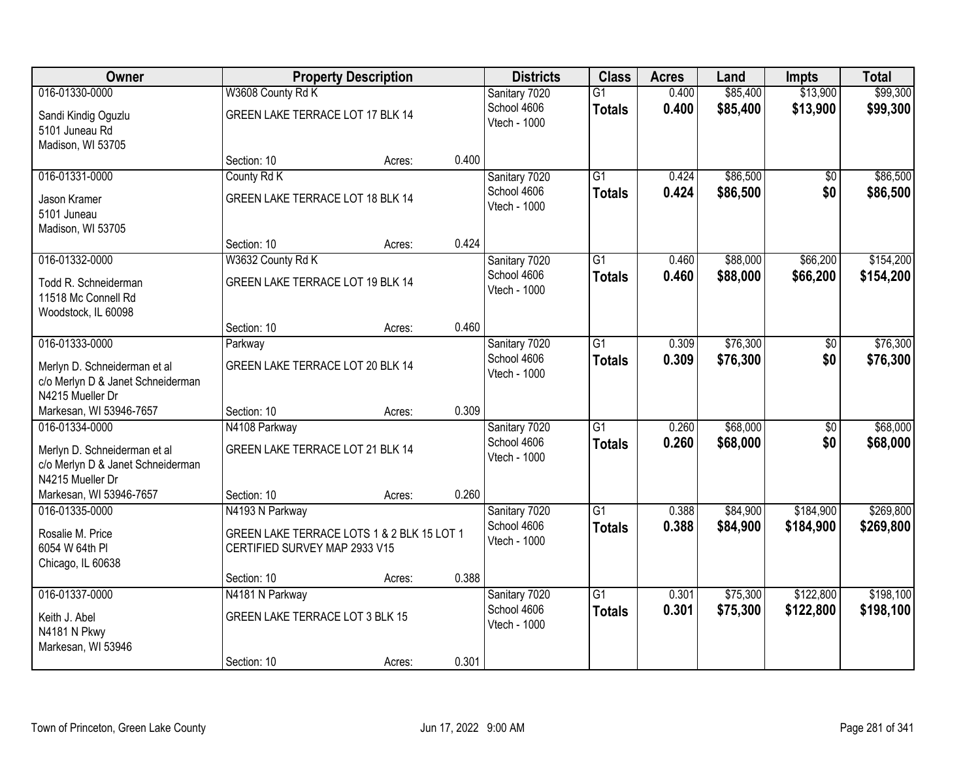| Owner                                                             |                                                                             | <b>Property Description</b> |       | <b>Districts</b>             | <b>Class</b>                     | <b>Acres</b>   | Land                 | <b>Impts</b>         | <b>Total</b>         |
|-------------------------------------------------------------------|-----------------------------------------------------------------------------|-----------------------------|-------|------------------------------|----------------------------------|----------------|----------------------|----------------------|----------------------|
| 016-01330-0000<br>Sandi Kindig Oguzlu                             | W3608 County Rd K<br>GREEN LAKE TERRACE LOT 17 BLK 14                       |                             |       | Sanitary 7020<br>School 4606 | $\overline{G1}$<br><b>Totals</b> | 0.400<br>0.400 | \$85,400<br>\$85,400 | \$13,900<br>\$13,900 | \$99,300<br>\$99,300 |
| 5101 Juneau Rd<br>Madison, WI 53705                               |                                                                             |                             |       | Vtech - 1000                 |                                  |                |                      |                      |                      |
|                                                                   | Section: 10                                                                 | Acres:                      | 0.400 |                              |                                  |                |                      |                      |                      |
| 016-01331-0000                                                    | County Rd K                                                                 |                             |       | Sanitary 7020                | $\overline{G1}$                  | 0.424          | \$86,500             | \$0                  | \$86,500             |
| Jason Kramer<br>5101 Juneau                                       | GREEN LAKE TERRACE LOT 18 BLK 14                                            |                             |       | School 4606<br>Vtech - 1000  | <b>Totals</b>                    | 0.424          | \$86,500             | \$0                  | \$86,500             |
| Madison, WI 53705                                                 |                                                                             |                             | 0.424 |                              |                                  |                |                      |                      |                      |
| 016-01332-0000                                                    | Section: 10<br>W3632 County Rd K                                            | Acres:                      |       | Sanitary 7020                | G1                               | 0.460          | \$88,000             | \$66,200             | \$154,200            |
| Todd R. Schneiderman<br>11518 Mc Connell Rd                       | GREEN LAKE TERRACE LOT 19 BLK 14                                            |                             |       | School 4606<br>Vtech - 1000  | <b>Totals</b>                    | 0.460          | \$88,000             | \$66,200             | \$154,200            |
| Woodstock, IL 60098                                               |                                                                             |                             | 0.460 |                              |                                  |                |                      |                      |                      |
| 016-01333-0000                                                    | Section: 10<br>Parkway                                                      | Acres:                      |       | Sanitary 7020                | $\overline{G1}$                  | 0.309          | \$76,300             | \$0                  | \$76,300             |
| Merlyn D. Schneiderman et al<br>c/o Merlyn D & Janet Schneiderman | GREEN LAKE TERRACE LOT 20 BLK 14                                            |                             |       | School 4606<br>Vtech - 1000  | <b>Totals</b>                    | 0.309          | \$76,300             | \$0                  | \$76,300             |
| N4215 Mueller Dr<br>Markesan, WI 53946-7657                       | Section: 10                                                                 | Acres:                      | 0.309 |                              |                                  |                |                      |                      |                      |
| 016-01334-0000                                                    | N4108 Parkway                                                               |                             |       | Sanitary 7020                | $\overline{G1}$                  | 0.260          | \$68,000             | $\overline{50}$      | \$68,000             |
| Merlyn D. Schneiderman et al<br>c/o Merlyn D & Janet Schneiderman | GREEN LAKE TERRACE LOT 21 BLK 14                                            |                             |       | School 4606<br>Vtech - 1000  | <b>Totals</b>                    | 0.260          | \$68,000             | \$0                  | \$68,000             |
| N4215 Mueller Dr<br>Markesan, WI 53946-7657                       | Section: 10                                                                 | Acres:                      | 0.260 |                              |                                  |                |                      |                      |                      |
| 016-01335-0000                                                    | N4193 N Parkway                                                             |                             |       | Sanitary 7020                | $\overline{G1}$                  | 0.388          | \$84,900             | \$184,900            | \$269,800            |
| Rosalie M. Price<br>6054 W 64th PI<br>Chicago, IL 60638           | GREEN LAKE TERRACE LOTS 1 & 2 BLK 15 LOT 1<br>CERTIFIED SURVEY MAP 2933 V15 |                             |       | School 4606<br>Vtech - 1000  | <b>Totals</b>                    | 0.388          | \$84,900             | \$184,900            | \$269,800            |
|                                                                   | Section: 10                                                                 | Acres:                      | 0.388 |                              |                                  |                |                      |                      |                      |
| 016-01337-0000                                                    | N4181 N Parkway                                                             |                             |       | Sanitary 7020                | $\overline{G1}$                  | 0.301          | \$75,300             | \$122,800            | \$198,100            |
| Keith J. Abel<br>N4181 N Pkwy                                     | GREEN LAKE TERRACE LOT 3 BLK 15                                             |                             |       | School 4606<br>Vtech - 1000  | <b>Totals</b>                    | 0.301          | \$75,300             | \$122,800            | \$198,100            |
| Markesan, WI 53946                                                | Section: 10                                                                 | Acres:                      | 0.301 |                              |                                  |                |                      |                      |                      |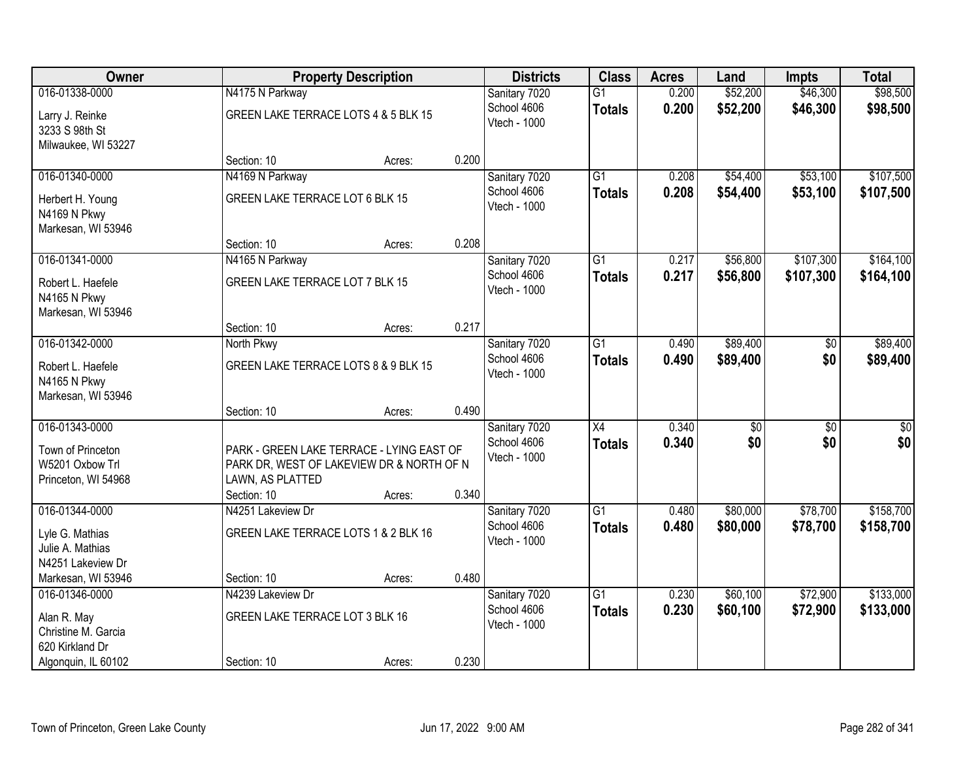| Owner                                   |                                                               | <b>Property Description</b> |       | <b>Districts</b> | <b>Class</b>    | <b>Acres</b> | Land            | <b>Impts</b>    | <b>Total</b>    |
|-----------------------------------------|---------------------------------------------------------------|-----------------------------|-------|------------------|-----------------|--------------|-----------------|-----------------|-----------------|
| 016-01338-0000                          | N4175 N Parkway                                               |                             |       | Sanitary 7020    | $\overline{G1}$ | 0.200        | \$52,200        | \$46,300        | \$98,500        |
| Larry J. Reinke                         | GREEN LAKE TERRACE LOTS 4 & 5 BLK 15                          |                             |       | School 4606      | <b>Totals</b>   | 0.200        | \$52,200        | \$46,300        | \$98,500        |
| 3233 S 98th St                          |                                                               |                             |       | Vtech - 1000     |                 |              |                 |                 |                 |
| Milwaukee, WI 53227                     |                                                               |                             |       |                  |                 |              |                 |                 |                 |
|                                         | Section: 10                                                   | Acres:                      | 0.200 |                  |                 |              |                 |                 |                 |
| 016-01340-0000                          | N4169 N Parkway                                               |                             |       | Sanitary 7020    | $\overline{G1}$ | 0.208        | \$54,400        | \$53,100        | \$107,500       |
| Herbert H. Young                        | GREEN LAKE TERRACE LOT 6 BLK 15                               |                             |       | School 4606      | <b>Totals</b>   | 0.208        | \$54,400        | \$53,100        | \$107,500       |
| N4169 N Pkwy                            |                                                               |                             |       | Vtech - 1000     |                 |              |                 |                 |                 |
| Markesan, WI 53946                      |                                                               |                             |       |                  |                 |              |                 |                 |                 |
|                                         | Section: 10                                                   | Acres:                      | 0.208 |                  |                 |              |                 |                 |                 |
| 016-01341-0000                          | N4165 N Parkway                                               |                             |       | Sanitary 7020    | G1              | 0.217        | \$56,800        | \$107,300       | \$164,100       |
| Robert L. Haefele                       | GREEN LAKE TERRACE LOT 7 BLK 15                               |                             |       | School 4606      | <b>Totals</b>   | 0.217        | \$56,800        | \$107,300       | \$164,100       |
| N4165 N Pkwy                            |                                                               |                             |       | Vtech - 1000     |                 |              |                 |                 |                 |
| Markesan, WI 53946                      |                                                               |                             |       |                  |                 |              |                 |                 |                 |
|                                         | Section: 10                                                   | Acres:                      | 0.217 |                  |                 |              |                 |                 |                 |
| 016-01342-0000                          | North Pkwy                                                    |                             |       | Sanitary 7020    | G1              | 0.490        | \$89,400        | \$0             | \$89,400        |
|                                         |                                                               |                             |       | School 4606      | <b>Totals</b>   | 0.490        | \$89,400        | \$0             | \$89,400        |
| Robert L. Haefele<br>N4165 N Pkwy       | GREEN LAKE TERRACE LOTS 8 & 9 BLK 15                          |                             |       | Vtech - 1000     |                 |              |                 |                 |                 |
| Markesan, WI 53946                      |                                                               |                             |       |                  |                 |              |                 |                 |                 |
|                                         | Section: 10                                                   | Acres:                      | 0.490 |                  |                 |              |                 |                 |                 |
| 016-01343-0000                          |                                                               |                             |       | Sanitary 7020    | $\overline{X4}$ | 0.340        | $\overline{50}$ | $\overline{50}$ | $\overline{50}$ |
|                                         |                                                               |                             |       | School 4606      | <b>Totals</b>   | 0.340        | \$0             | \$0             | \$0             |
| Town of Princeton<br>W5201 Oxbow Trl    | PARK - GREEN LAKE TERRACE - LYING EAST OF                     |                             |       | Vtech - 1000     |                 |              |                 |                 |                 |
| Princeton, WI 54968                     | PARK DR, WEST OF LAKEVIEW DR & NORTH OF N<br>LAWN, AS PLATTED |                             |       |                  |                 |              |                 |                 |                 |
|                                         | Section: 10                                                   | Acres:                      | 0.340 |                  |                 |              |                 |                 |                 |
| 016-01344-0000                          | N4251 Lakeview Dr                                             |                             |       | Sanitary 7020    | $\overline{G1}$ | 0.480        | \$80,000        | \$78,700        | \$158,700       |
|                                         |                                                               |                             |       | School 4606      | <b>Totals</b>   | 0.480        | \$80,000        | \$78,700        | \$158,700       |
| Lyle G. Mathias                         | GREEN LAKE TERRACE LOTS 1 & 2 BLK 16                          |                             |       | Vtech - 1000     |                 |              |                 |                 |                 |
| Julie A. Mathias                        |                                                               |                             |       |                  |                 |              |                 |                 |                 |
| N4251 Lakeview Dr<br>Markesan, WI 53946 | Section: 10                                                   | Acres:                      | 0.480 |                  |                 |              |                 |                 |                 |
| 016-01346-0000                          | N4239 Lakeview Dr                                             |                             |       | Sanitary 7020    | $\overline{G1}$ | 0.230        | \$60,100        | \$72,900        | \$133,000       |
|                                         |                                                               |                             |       | School 4606      | <b>Totals</b>   | 0.230        | \$60,100        | \$72,900        | \$133,000       |
| Alan R. May                             | GREEN LAKE TERRACE LOT 3 BLK 16                               |                             |       | Vtech - 1000     |                 |              |                 |                 |                 |
| Christine M. Garcia                     |                                                               |                             |       |                  |                 |              |                 |                 |                 |
| 620 Kirkland Dr                         |                                                               |                             |       |                  |                 |              |                 |                 |                 |
| Algonquin, IL 60102                     | Section: 10                                                   | Acres:                      | 0.230 |                  |                 |              |                 |                 |                 |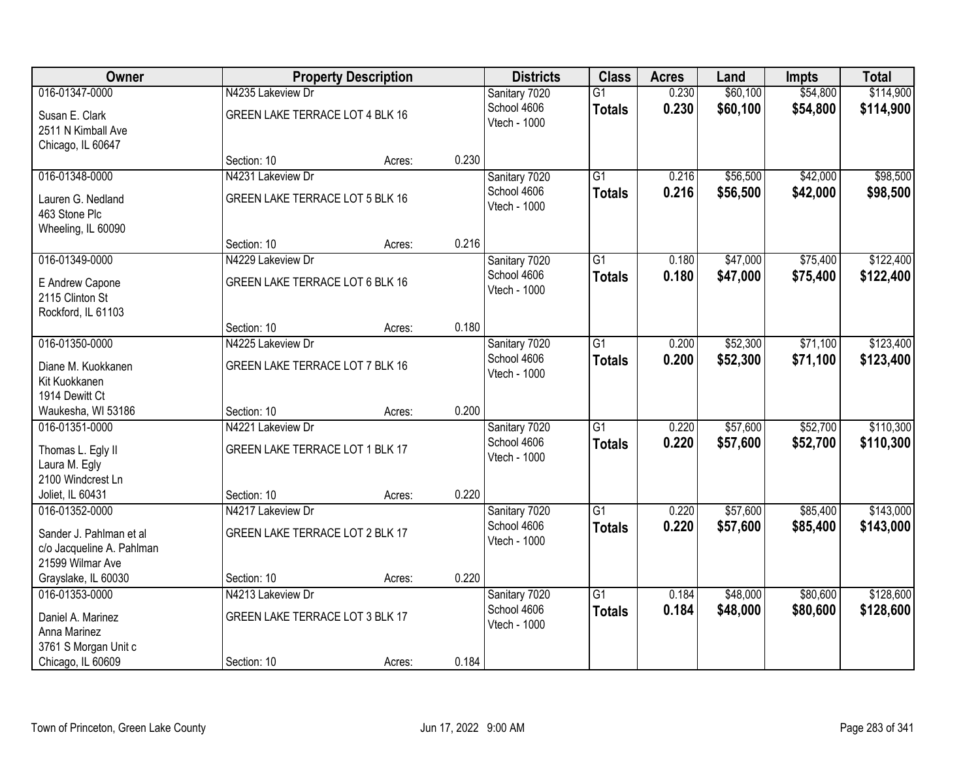| Owner                                                                    |                                 | <b>Property Description</b> |       | <b>Districts</b>            | <b>Class</b>    | <b>Acres</b> | Land     | <b>Impts</b> | <b>Total</b> |
|--------------------------------------------------------------------------|---------------------------------|-----------------------------|-------|-----------------------------|-----------------|--------------|----------|--------------|--------------|
| 016-01347-0000                                                           | N4235 Lakeview Dr               |                             |       | Sanitary 7020               | $\overline{G1}$ | 0.230        | \$60,100 | \$54,800     | \$114,900    |
| Susan E. Clark<br>2511 N Kimball Ave<br>Chicago, IL 60647                | GREEN LAKE TERRACE LOT 4 BLK 16 |                             |       | School 4606<br>Vtech - 1000 | <b>Totals</b>   | 0.230        | \$60,100 | \$54,800     | \$114,900    |
|                                                                          | Section: 10                     | Acres:                      | 0.230 |                             |                 |              |          |              |              |
| 016-01348-0000                                                           | N4231 Lakeview Dr               |                             |       | Sanitary 7020               | $\overline{G1}$ | 0.216        | \$56,500 | \$42,000     | \$98,500     |
| Lauren G. Nedland<br>463 Stone Plc<br>Wheeling, IL 60090                 | GREEN LAKE TERRACE LOT 5 BLK 16 |                             |       | School 4606<br>Vtech - 1000 | <b>Totals</b>   | 0.216        | \$56,500 | \$42,000     | \$98,500     |
|                                                                          | Section: 10                     | Acres:                      | 0.216 |                             |                 |              |          |              |              |
| 016-01349-0000                                                           | N4229 Lakeview Dr               |                             |       | Sanitary 7020               | $\overline{G1}$ | 0.180        | \$47,000 | \$75,400     | \$122,400    |
| E Andrew Capone<br>2115 Clinton St<br>Rockford, IL 61103                 | GREEN LAKE TERRACE LOT 6 BLK 16 |                             |       | School 4606<br>Vtech - 1000 | <b>Totals</b>   | 0.180        | \$47,000 | \$75,400     | \$122,400    |
|                                                                          | Section: 10                     | Acres:                      | 0.180 |                             |                 |              |          |              |              |
| 016-01350-0000                                                           | N4225 Lakeview Dr               |                             |       | Sanitary 7020               | $\overline{G1}$ | 0.200        | \$52,300 | \$71,100     | \$123,400    |
| Diane M. Kuokkanen<br>Kit Kuokkanen                                      | GREEN LAKE TERRACE LOT 7 BLK 16 |                             |       | School 4606<br>Vtech - 1000 | <b>Totals</b>   | 0.200        | \$52,300 | \$71,100     | \$123,400    |
| 1914 Dewitt Ct                                                           | Section: 10                     |                             | 0.200 |                             |                 |              |          |              |              |
| Waukesha, WI 53186<br>016-01351-0000                                     | N4221 Lakeview Dr               | Acres:                      |       | Sanitary 7020               | $\overline{G1}$ | 0.220        | \$57,600 | \$52,700     | \$110,300    |
|                                                                          |                                 |                             |       | School 4606                 | <b>Totals</b>   | 0.220        | \$57,600 | \$52,700     | \$110,300    |
| Thomas L. Egly II                                                        | GREEN LAKE TERRACE LOT 1 BLK 17 |                             |       | Vtech - 1000                |                 |              |          |              |              |
| Laura M. Egly                                                            |                                 |                             |       |                             |                 |              |          |              |              |
| 2100 Windcrest Ln<br>Joliet, IL 60431                                    | Section: 10                     | Acres:                      | 0.220 |                             |                 |              |          |              |              |
| 016-01352-0000                                                           | N4217 Lakeview Dr               |                             |       | Sanitary 7020               | $\overline{G1}$ | 0.220        | \$57,600 | \$85,400     | \$143,000    |
| Sander J. Pahlman et al<br>c/o Jacqueline A. Pahlman<br>21599 Wilmar Ave | GREEN LAKE TERRACE LOT 2 BLK 17 |                             |       | School 4606<br>Vtech - 1000 | <b>Totals</b>   | 0.220        | \$57,600 | \$85,400     | \$143,000    |
| Grayslake, IL 60030                                                      | Section: 10                     | Acres:                      | 0.220 |                             |                 |              |          |              |              |
| 016-01353-0000                                                           | N4213 Lakeview Dr               |                             |       | Sanitary 7020               | $\overline{G1}$ | 0.184        | \$48,000 | \$80,600     | \$128,600    |
| Daniel A. Marinez<br>Anna Marinez                                        | GREEN LAKE TERRACE LOT 3 BLK 17 |                             |       | School 4606<br>Vtech - 1000 | <b>Totals</b>   | 0.184        | \$48,000 | \$80,600     | \$128,600    |
| 3761 S Morgan Unit c<br>Chicago, IL 60609                                | Section: 10                     | Acres:                      | 0.184 |                             |                 |              |          |              |              |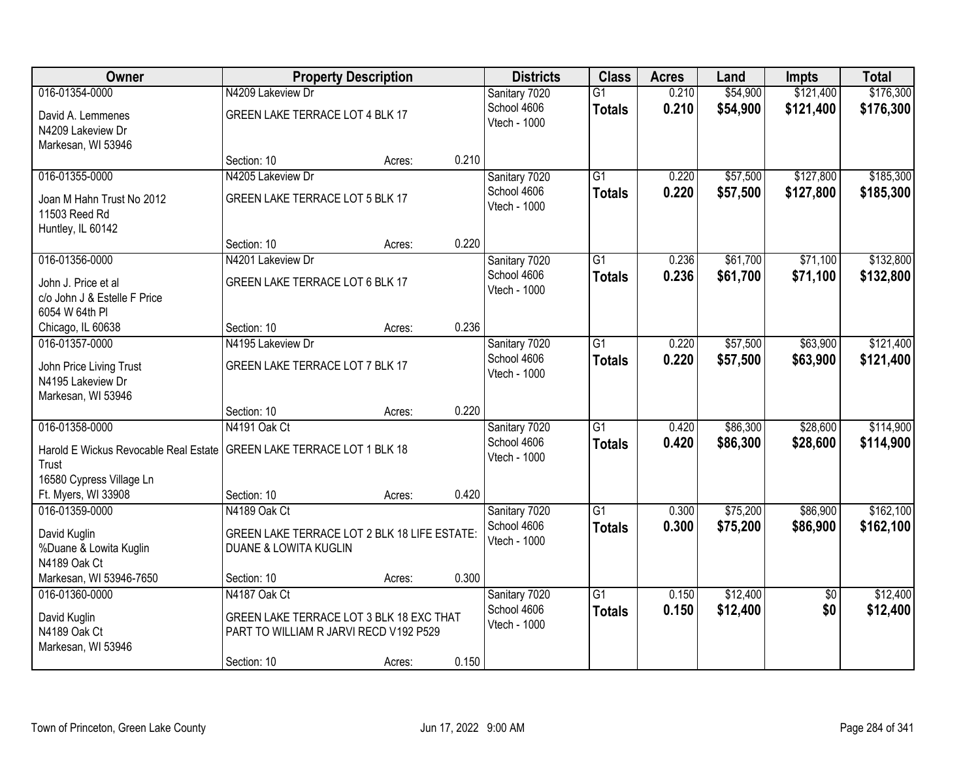| Owner                                      |                                              | <b>Property Description</b> |       | <b>Districts</b>             | <b>Class</b>    | <b>Acres</b> | Land                 | <b>Impts</b>    | <b>Total</b> |
|--------------------------------------------|----------------------------------------------|-----------------------------|-------|------------------------------|-----------------|--------------|----------------------|-----------------|--------------|
| 016-01354-0000                             | N4209 Lakeview Dr                            |                             |       | Sanitary 7020                | $\overline{G1}$ | 0.210        | \$54,900             | \$121,400       | \$176,300    |
| David A. Lemmenes<br>N4209 Lakeview Dr     | GREEN LAKE TERRACE LOT 4 BLK 17              |                             |       | School 4606<br>Vtech - 1000  | <b>Totals</b>   | 0.210        | \$54,900             | \$121,400       | \$176,300    |
| Markesan, WI 53946                         |                                              |                             |       |                              |                 |              |                      |                 |              |
| 016-01355-0000                             | Section: 10<br>N4205 Lakeview Dr             | Acres:                      | 0.210 |                              | $\overline{G1}$ | 0.220        |                      | \$127,800       | \$185,300    |
|                                            |                                              |                             |       | Sanitary 7020<br>School 4606 |                 | 0.220        | \$57,500<br>\$57,500 | \$127,800       |              |
| Joan M Hahn Trust No 2012<br>11503 Reed Rd | GREEN LAKE TERRACE LOT 5 BLK 17              |                             |       | Vtech - 1000                 | <b>Totals</b>   |              |                      |                 | \$185,300    |
| Huntley, IL 60142                          |                                              |                             |       |                              |                 |              |                      |                 |              |
|                                            | Section: 10                                  | Acres:                      | 0.220 |                              |                 |              |                      |                 |              |
| 016-01356-0000                             | N4201 Lakeview Dr                            |                             |       | Sanitary 7020                | $\overline{G1}$ | 0.236        | \$61,700             | \$71,100        | \$132,800    |
| John J. Price et al                        | GREEN LAKE TERRACE LOT 6 BLK 17              |                             |       | School 4606                  | <b>Totals</b>   | 0.236        | \$61,700             | \$71,100        | \$132,800    |
| c/o John J & Estelle F Price               |                                              |                             |       | Vtech - 1000                 |                 |              |                      |                 |              |
| 6054 W 64th PI                             |                                              |                             |       |                              |                 |              |                      |                 |              |
| Chicago, IL 60638                          | Section: 10                                  | Acres:                      | 0.236 |                              |                 |              |                      |                 |              |
| 016-01357-0000                             | N4195 Lakeview Dr                            |                             |       | Sanitary 7020                | $\overline{G1}$ | 0.220        | \$57,500             | \$63,900        | \$121,400    |
| John Price Living Trust                    | GREEN LAKE TERRACE LOT 7 BLK 17              |                             |       | School 4606                  | <b>Totals</b>   | 0.220        | \$57,500             | \$63,900        | \$121,400    |
| N4195 Lakeview Dr                          |                                              |                             |       | Vtech - 1000                 |                 |              |                      |                 |              |
| Markesan, WI 53946                         |                                              |                             |       |                              |                 |              |                      |                 |              |
|                                            | Section: 10                                  | Acres:                      | 0.220 |                              |                 |              |                      |                 |              |
| 016-01358-0000                             | N4191 Oak Ct                                 |                             |       | Sanitary 7020                | $\overline{G1}$ | 0.420        | \$86,300             | \$28,600        | \$114,900    |
| Harold E Wickus Revocable Real Estate      | GREEN LAKE TERRACE LOT 1 BLK 18              |                             |       | School 4606                  | <b>Totals</b>   | 0.420        | \$86,300             | \$28,600        | \$114,900    |
| Trust                                      |                                              |                             |       | Vtech - 1000                 |                 |              |                      |                 |              |
| 16580 Cypress Village Ln                   |                                              |                             |       |                              |                 |              |                      |                 |              |
| Ft. Myers, WI 33908                        | Section: 10                                  | Acres:                      | 0.420 |                              |                 |              |                      |                 |              |
| 016-01359-0000                             | N4189 Oak Ct                                 |                             |       | Sanitary 7020                | G1              | 0.300        | \$75,200             | \$86,900        | \$162,100    |
| David Kuglin                               | GREEN LAKE TERRACE LOT 2 BLK 18 LIFE ESTATE: |                             |       | School 4606                  | <b>Totals</b>   | 0.300        | \$75,200             | \$86,900        | \$162,100    |
| %Duane & Lowita Kuglin                     | <b>DUANE &amp; LOWITA KUGLIN</b>             |                             |       | Vtech - 1000                 |                 |              |                      |                 |              |
| N4189 Oak Ct                               |                                              |                             |       |                              |                 |              |                      |                 |              |
| Markesan, WI 53946-7650                    | Section: 10                                  | Acres:                      | 0.300 |                              |                 |              |                      |                 |              |
| 016-01360-0000                             | N4187 Oak Ct                                 |                             |       | Sanitary 7020                | $\overline{G1}$ | 0.150        | \$12,400             | $\overline{50}$ | \$12,400     |
| David Kuglin                               | GREEN LAKE TERRACE LOT 3 BLK 18 EXC THAT     |                             |       | School 4606                  | <b>Totals</b>   | 0.150        | \$12,400             | \$0             | \$12,400     |
| N4189 Oak Ct                               | PART TO WILLIAM R JARVI RECD V192 P529       |                             |       | Vtech - 1000                 |                 |              |                      |                 |              |
| Markesan, WI 53946                         |                                              |                             |       |                              |                 |              |                      |                 |              |
|                                            | Section: 10                                  | Acres:                      | 0.150 |                              |                 |              |                      |                 |              |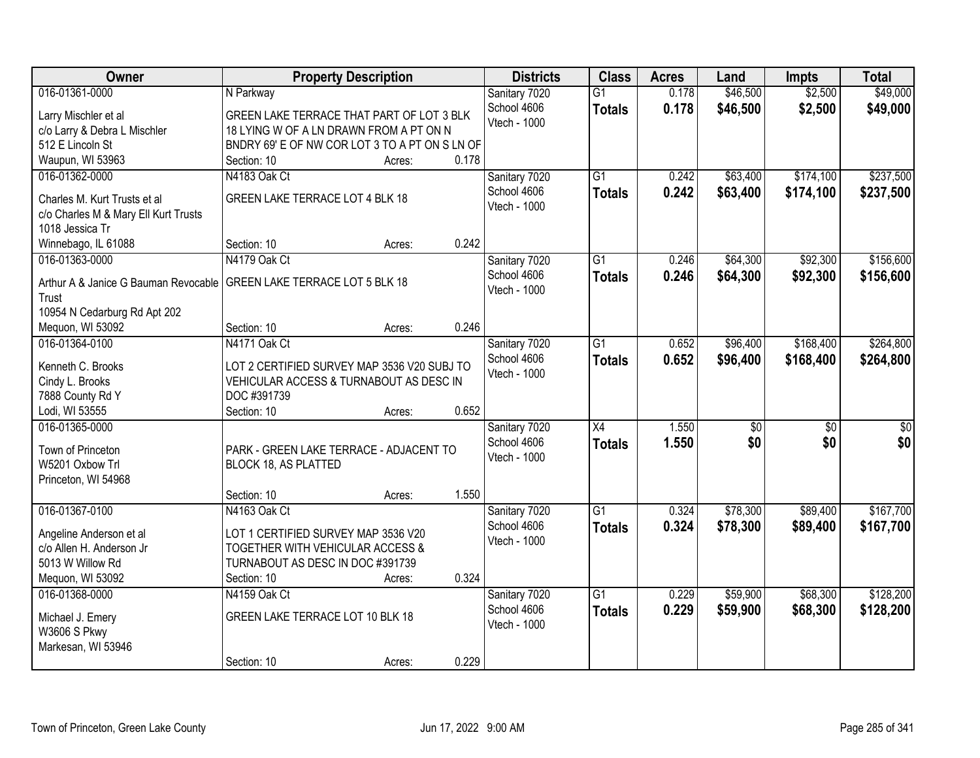| Owner                                | <b>Property Description</b>                    | <b>Districts</b>            | <b>Class</b>    | <b>Acres</b> | Land            | <b>Impts</b>    | <b>Total</b>    |
|--------------------------------------|------------------------------------------------|-----------------------------|-----------------|--------------|-----------------|-----------------|-----------------|
| 016-01361-0000                       | N Parkway                                      | Sanitary 7020               | $\overline{G1}$ | 0.178        | \$46,500        | \$2,500         | \$49,000        |
| Larry Mischler et al                 | GREEN LAKE TERRACE THAT PART OF LOT 3 BLK      | School 4606                 | <b>Totals</b>   | 0.178        | \$46,500        | \$2,500         | \$49,000        |
| c/o Larry & Debra L Mischler         | 18 LYING W OF A LN DRAWN FROM A PT ON N        | Vtech - 1000                |                 |              |                 |                 |                 |
| 512 E Lincoln St                     | BNDRY 69' E OF NW COR LOT 3 TO A PT ON S LN OF |                             |                 |              |                 |                 |                 |
| Waupun, WI 53963                     | 0.178<br>Section: 10<br>Acres:                 |                             |                 |              |                 |                 |                 |
| 016-01362-0000                       | N4183 Oak Ct                                   | Sanitary 7020               | $\overline{G1}$ | 0.242        | \$63,400        | \$174,100       | \$237,500       |
|                                      |                                                | School 4606                 | <b>Totals</b>   | 0.242        | \$63,400        | \$174,100       | \$237,500       |
| Charles M. Kurt Trusts et al         | GREEN LAKE TERRACE LOT 4 BLK 18                | Vtech - 1000                |                 |              |                 |                 |                 |
| c/o Charles M & Mary Ell Kurt Trusts |                                                |                             |                 |              |                 |                 |                 |
| 1018 Jessica Tr                      | 0.242<br>Section: 10                           |                             |                 |              |                 |                 |                 |
| Winnebago, IL 61088                  | Acres:                                         |                             |                 |              |                 |                 |                 |
| 016-01363-0000                       | N4179 Oak Ct                                   | Sanitary 7020               | G1              | 0.246        | \$64,300        | \$92,300        | \$156,600       |
| Arthur A & Janice G Bauman Revocable | <b>GREEN LAKE TERRACE LOT 5 BLK 18</b>         | School 4606<br>Vtech - 1000 | <b>Totals</b>   | 0.246        | \$64,300        | \$92,300        | \$156,600       |
| Trust                                |                                                |                             |                 |              |                 |                 |                 |
| 10954 N Cedarburg Rd Apt 202         |                                                |                             |                 |              |                 |                 |                 |
| Mequon, WI 53092                     | 0.246<br>Section: 10<br>Acres:                 |                             |                 |              |                 |                 |                 |
| 016-01364-0100                       | N4171 Oak Ct                                   | Sanitary 7020               | G1              | 0.652        | \$96,400        | \$168,400       | \$264,800       |
| Kenneth C. Brooks                    | LOT 2 CERTIFIED SURVEY MAP 3536 V20 SUBJ TO    | School 4606                 | <b>Totals</b>   | 0.652        | \$96,400        | \$168,400       | \$264,800       |
| Cindy L. Brooks                      | VEHICULAR ACCESS & TURNABOUT AS DESC IN        | Vtech - 1000                |                 |              |                 |                 |                 |
| 7888 County Rd Y                     | DOC #391739                                    |                             |                 |              |                 |                 |                 |
| Lodi, WI 53555                       | 0.652<br>Section: 10<br>Acres:                 |                             |                 |              |                 |                 |                 |
| 016-01365-0000                       |                                                | Sanitary 7020               | $\overline{X4}$ | 1.550        | $\overline{50}$ | $\overline{50}$ | $\overline{50}$ |
|                                      |                                                | School 4606                 |                 | 1.550        | \$0             | \$0             | \$0             |
| Town of Princeton                    | PARK - GREEN LAKE TERRACE - ADJACENT TO        | Vtech - 1000                | <b>Totals</b>   |              |                 |                 |                 |
| W5201 Oxbow Trl                      | <b>BLOCK 18, AS PLATTED</b>                    |                             |                 |              |                 |                 |                 |
| Princeton, WI 54968                  |                                                |                             |                 |              |                 |                 |                 |
|                                      | 1.550<br>Section: 10<br>Acres:                 |                             |                 |              |                 |                 |                 |
| 016-01367-0100                       | N4163 Oak Ct                                   | Sanitary 7020               | $\overline{G1}$ | 0.324        | \$78,300        | \$89,400        | \$167,700       |
| Angeline Anderson et al              | LOT 1 CERTIFIED SURVEY MAP 3536 V20            | School 4606                 | <b>Totals</b>   | 0.324        | \$78,300        | \$89,400        | \$167,700       |
| c/o Allen H. Anderson Jr             | TOGETHER WITH VEHICULAR ACCESS &               | Vtech - 1000                |                 |              |                 |                 |                 |
| 5013 W Willow Rd                     | TURNABOUT AS DESC IN DOC #391739               |                             |                 |              |                 |                 |                 |
| Mequon, WI 53092                     | 0.324<br>Section: 10<br>Acres:                 |                             |                 |              |                 |                 |                 |
| 016-01368-0000                       | N4159 Oak Ct                                   | Sanitary 7020               | $\overline{G1}$ | 0.229        | \$59,900        | \$68,300        | \$128,200       |
|                                      |                                                | School 4606                 | <b>Totals</b>   | 0.229        | \$59,900        | \$68,300        | \$128,200       |
| Michael J. Emery                     | GREEN LAKE TERRACE LOT 10 BLK 18               | Vtech - 1000                |                 |              |                 |                 |                 |
| W3606 S Pkwy                         |                                                |                             |                 |              |                 |                 |                 |
| Markesan, WI 53946                   |                                                |                             |                 |              |                 |                 |                 |
|                                      | 0.229<br>Section: 10<br>Acres:                 |                             |                 |              |                 |                 |                 |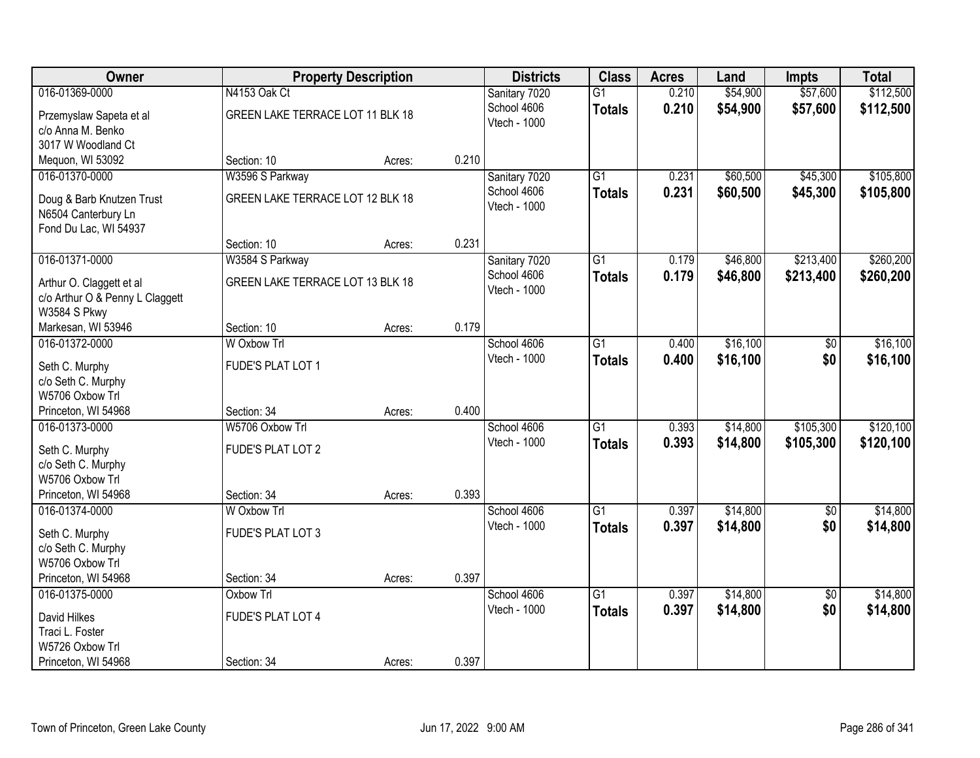| <b>Owner</b>                          |                                  | <b>Property Description</b> |       | <b>Districts</b>            | <b>Class</b>    | <b>Acres</b> | Land     | <b>Impts</b>           | <b>Total</b> |
|---------------------------------------|----------------------------------|-----------------------------|-------|-----------------------------|-----------------|--------------|----------|------------------------|--------------|
| 016-01369-0000                        | N4153 Oak Ct                     |                             |       | Sanitary 7020               | $\overline{G1}$ | 0.210        | \$54,900 | \$57,600               | \$112,500    |
| Przemyslaw Sapeta et al               | GREEN LAKE TERRACE LOT 11 BLK 18 |                             |       | School 4606                 | <b>Totals</b>   | 0.210        | \$54,900 | \$57,600               | \$112,500    |
| c/o Anna M. Benko                     |                                  |                             |       | Vtech - 1000                |                 |              |          |                        |              |
| 3017 W Woodland Ct                    |                                  |                             |       |                             |                 |              |          |                        |              |
| Mequon, WI 53092                      | Section: 10                      | Acres:                      | 0.210 |                             |                 |              |          |                        |              |
| 016-01370-0000                        | W3596 S Parkway                  |                             |       | Sanitary 7020               | $\overline{G1}$ | 0.231        | \$60,500 | \$45,300               | \$105,800    |
| Doug & Barb Knutzen Trust             | GREEN LAKE TERRACE LOT 12 BLK 18 |                             |       | School 4606                 | <b>Totals</b>   | 0.231        | \$60,500 | \$45,300               | \$105,800    |
| N6504 Canterbury Ln                   |                                  |                             |       | Vtech - 1000                |                 |              |          |                        |              |
| Fond Du Lac, WI 54937                 |                                  |                             |       |                             |                 |              |          |                        |              |
|                                       | Section: 10                      | Acres:                      | 0.231 |                             |                 |              |          |                        |              |
| 016-01371-0000                        | W3584 S Parkway                  |                             |       | Sanitary 7020               | $\overline{G1}$ | 0.179        | \$46,800 | \$213,400              | \$260,200    |
| Arthur O. Claggett et al              | GREEN LAKE TERRACE LOT 13 BLK 18 |                             |       | School 4606                 | <b>Totals</b>   | 0.179        | \$46,800 | \$213,400              | \$260,200    |
| c/o Arthur O & Penny L Claggett       |                                  |                             |       | Vtech - 1000                |                 |              |          |                        |              |
| W3584 S Pkwy                          |                                  |                             |       |                             |                 |              |          |                        |              |
| Markesan, WI 53946                    | Section: 10                      | Acres:                      | 0.179 |                             |                 |              |          |                        |              |
| 016-01372-0000                        | W Oxbow Trl                      |                             |       | School 4606                 | G1              | 0.400        | \$16,100 | \$0                    | \$16,100     |
|                                       |                                  |                             |       | <b>Vtech - 1000</b>         | <b>Totals</b>   | 0.400        | \$16,100 | \$0                    | \$16,100     |
| Seth C. Murphy<br>c/o Seth C. Murphy  | FUDE'S PLAT LOT 1                |                             |       |                             |                 |              |          |                        |              |
| W5706 Oxbow Trl                       |                                  |                             |       |                             |                 |              |          |                        |              |
| Princeton, WI 54968                   | Section: 34                      | Acres:                      | 0.400 |                             |                 |              |          |                        |              |
| 016-01373-0000                        | W5706 Oxbow Trl                  |                             |       | School 4606                 | $\overline{G1}$ | 0.393        | \$14,800 | \$105,300              | \$120,100    |
|                                       |                                  |                             |       | Vtech - 1000                | <b>Totals</b>   | 0.393        | \$14,800 | \$105,300              | \$120,100    |
| Seth C. Murphy                        | FUDE'S PLAT LOT 2                |                             |       |                             |                 |              |          |                        |              |
| c/o Seth C. Murphy<br>W5706 Oxbow Trl |                                  |                             |       |                             |                 |              |          |                        |              |
| Princeton, WI 54968                   | Section: 34                      | Acres:                      | 0.393 |                             |                 |              |          |                        |              |
| 016-01374-0000                        | W Oxbow Trl                      |                             |       | School 4606                 | $\overline{G1}$ | 0.397        | \$14,800 | $\overline{50}$        | \$14,800     |
|                                       |                                  |                             |       | Vtech - 1000                | <b>Totals</b>   | 0.397        | \$14,800 | \$0                    | \$14,800     |
| Seth C. Murphy                        | <b>FUDE'S PLAT LOT 3</b>         |                             |       |                             |                 |              |          |                        |              |
| c/o Seth C. Murphy                    |                                  |                             |       |                             |                 |              |          |                        |              |
| W5706 Oxbow Trl                       |                                  |                             | 0.397 |                             |                 |              |          |                        |              |
| Princeton, WI 54968<br>016-01375-0000 | Section: 34<br>Oxbow Trl         | Acres:                      |       |                             | $\overline{G1}$ | 0.397        | \$14,800 |                        | \$14,800     |
|                                       |                                  |                             |       | School 4606<br>Vtech - 1000 |                 |              |          | $\overline{50}$<br>\$0 |              |
| David Hilkes                          | <b>FUDE'S PLAT LOT 4</b>         |                             |       |                             | <b>Totals</b>   | 0.397        | \$14,800 |                        | \$14,800     |
| Traci L. Foster                       |                                  |                             |       |                             |                 |              |          |                        |              |
| W5726 Oxbow Trl                       |                                  |                             |       |                             |                 |              |          |                        |              |
| Princeton, WI 54968                   | Section: 34                      | Acres:                      | 0.397 |                             |                 |              |          |                        |              |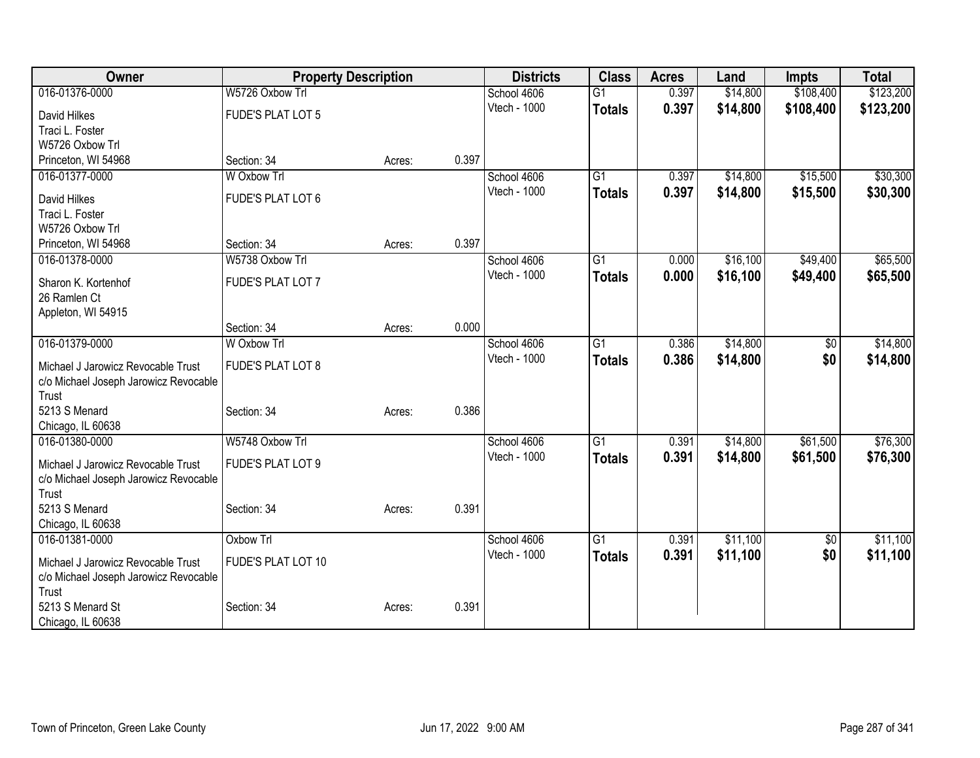| Owner                                                                       |                          | <b>Property Description</b> |       | <b>Districts</b> | <b>Class</b>    | <b>Acres</b> | Land     | <b>Impts</b>    | <b>Total</b> |
|-----------------------------------------------------------------------------|--------------------------|-----------------------------|-------|------------------|-----------------|--------------|----------|-----------------|--------------|
| 016-01376-0000                                                              | W5726 Oxbow Trl          |                             |       | School 4606      | $\overline{G1}$ | 0.397        | \$14,800 | \$108,400       | \$123,200    |
| David Hilkes                                                                | <b>FUDE'S PLAT LOT 5</b> |                             |       | Vtech - 1000     | <b>Totals</b>   | 0.397        | \$14,800 | \$108,400       | \$123,200    |
| Traci L. Foster                                                             |                          |                             |       |                  |                 |              |          |                 |              |
| W5726 Oxbow Trl                                                             |                          |                             |       |                  |                 |              |          |                 |              |
| Princeton, WI 54968                                                         | Section: 34              | Acres:                      | 0.397 |                  |                 |              |          |                 |              |
| 016-01377-0000                                                              | W Oxbow Trl              |                             |       | School 4606      | $\overline{G1}$ | 0.397        | \$14,800 | \$15,500        | \$30,300     |
| David Hilkes                                                                | FUDE'S PLAT LOT 6        |                             |       | Vtech - 1000     | <b>Totals</b>   | 0.397        | \$14,800 | \$15,500        | \$30,300     |
| Traci L. Foster                                                             |                          |                             |       |                  |                 |              |          |                 |              |
| W5726 Oxbow Trl                                                             |                          |                             |       |                  |                 |              |          |                 |              |
| Princeton, WI 54968                                                         | Section: 34              | Acres:                      | 0.397 |                  |                 |              |          |                 |              |
| 016-01378-0000                                                              | W5738 Oxbow Trl          |                             |       | School 4606      | G1              | 0.000        | \$16,100 | \$49,400        | \$65,500     |
| Sharon K. Kortenhof                                                         | FUDE'S PLAT LOT 7        |                             |       | Vtech - 1000     | <b>Totals</b>   | 0.000        | \$16,100 | \$49,400        | \$65,500     |
| 26 Ramlen Ct                                                                |                          |                             |       |                  |                 |              |          |                 |              |
| Appleton, WI 54915                                                          |                          |                             |       |                  |                 |              |          |                 |              |
|                                                                             | Section: 34              | Acres:                      | 0.000 |                  |                 |              |          |                 |              |
| 016-01379-0000                                                              | W Oxbow Trl              |                             |       | School 4606      | $\overline{G1}$ | 0.386        | \$14,800 | \$0             | \$14,800     |
|                                                                             | FUDE'S PLAT LOT 8        |                             |       | Vtech - 1000     | <b>Totals</b>   | 0.386        | \$14,800 | \$0             | \$14,800     |
| Michael J Jarowicz Revocable Trust<br>c/o Michael Joseph Jarowicz Revocable |                          |                             |       |                  |                 |              |          |                 |              |
| Trust                                                                       |                          |                             |       |                  |                 |              |          |                 |              |
| 5213 S Menard                                                               | Section: 34              | Acres:                      | 0.386 |                  |                 |              |          |                 |              |
| Chicago, IL 60638                                                           |                          |                             |       |                  |                 |              |          |                 |              |
| 016-01380-0000                                                              | W5748 Oxbow Trl          |                             |       | School 4606      | G1              | 0.391        | \$14,800 | \$61,500        | \$76,300     |
| Michael J Jarowicz Revocable Trust                                          | FUDE'S PLAT LOT 9        |                             |       | Vtech - 1000     | <b>Totals</b>   | 0.391        | \$14,800 | \$61,500        | \$76,300     |
| c/o Michael Joseph Jarowicz Revocable                                       |                          |                             |       |                  |                 |              |          |                 |              |
| Trust                                                                       |                          |                             |       |                  |                 |              |          |                 |              |
| 5213 S Menard                                                               | Section: 34              | Acres:                      | 0.391 |                  |                 |              |          |                 |              |
| Chicago, IL 60638                                                           |                          |                             |       |                  |                 |              |          |                 |              |
| 016-01381-0000                                                              | Oxbow Trl                |                             |       | School 4606      | $\overline{G1}$ | 0.391        | \$11,100 | $\overline{60}$ | \$11,100     |
| Michael J Jarowicz Revocable Trust                                          | FUDE'S PLAT LOT 10       |                             |       | Vtech - 1000     | <b>Totals</b>   | 0.391        | \$11,100 | \$0             | \$11,100     |
| c/o Michael Joseph Jarowicz Revocable                                       |                          |                             |       |                  |                 |              |          |                 |              |
| Trust                                                                       |                          |                             |       |                  |                 |              |          |                 |              |
| 5213 S Menard St                                                            | Section: 34              | Acres:                      | 0.391 |                  |                 |              |          |                 |              |
| Chicago, IL 60638                                                           |                          |                             |       |                  |                 |              |          |                 |              |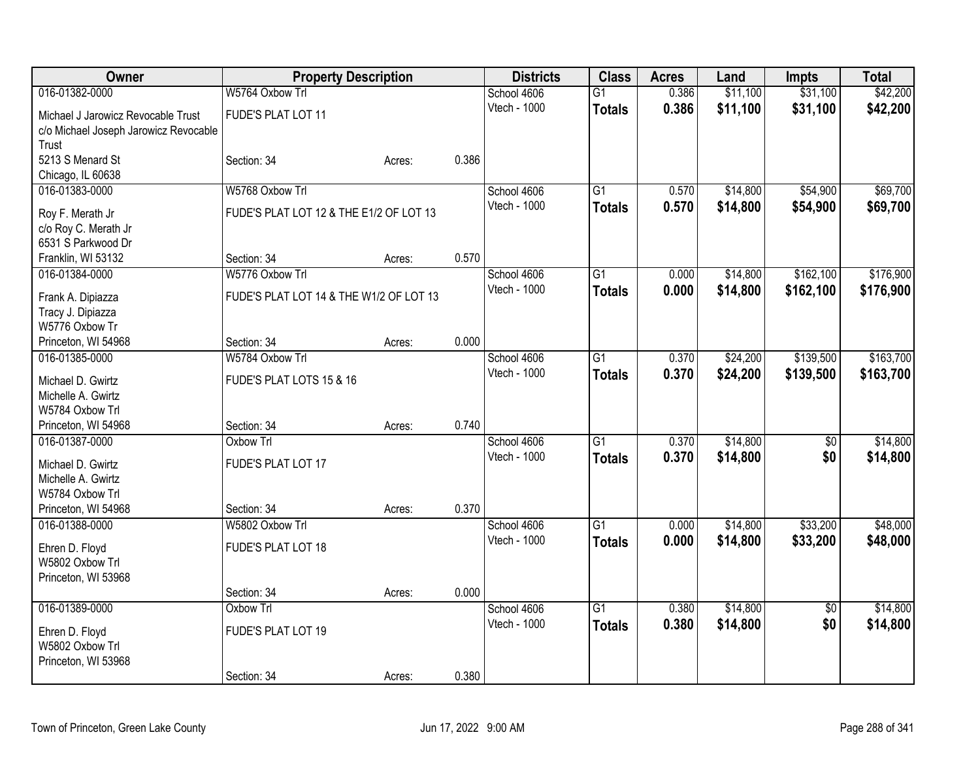| 016-01382-0000<br>0.386<br>\$11,100<br>\$42,200<br>W5764 Oxbow Trl<br>School 4606<br>$\overline{G1}$<br>Vtech - 1000<br>0.386<br>\$11,100<br>\$31,100<br>\$42,200<br><b>Totals</b><br>Michael J Jarowicz Revocable Trust<br>FUDE'S PLAT LOT 11<br>c/o Michael Joseph Jarowicz Revocable<br>Trust<br>5213 S Menard St<br>0.386<br>Section: 34<br>Acres:<br>Chicago, IL 60638<br>G1<br>\$14,800<br>\$54,900<br>\$69,700<br>016-01383-0000<br>W5768 Oxbow Trl<br>School 4606<br>0.570<br>Vtech - 1000<br>0.570<br>\$14,800<br>\$54,900<br>\$69,700<br><b>Totals</b><br>FUDE'S PLAT LOT 12 & THE E1/2 OF LOT 13<br>Roy F. Merath Jr<br>c/o Roy C. Merath Jr<br>6531 S Parkwood Dr<br>0.570<br>Franklin, WI 53132<br>Section: 34<br>Acres:<br>016-01384-0000<br>W5776 Oxbow Trl<br>School 4606<br>$\overline{G1}$<br>\$14,800<br>\$162,100<br>\$176,900<br>0.000<br>Vtech - 1000<br>\$14,800<br>\$162,100<br>0.000<br>\$176,900<br><b>Totals</b><br>FUDE'S PLAT LOT 14 & THE W1/2 OF LOT 13<br>Frank A. Dipiazza<br>Tracy J. Dipiazza<br>W5776 Oxbow Tr<br>0.000<br>Princeton, WI 54968<br>Section: 34<br>Acres:<br>\$163,700<br>016-01385-0000<br>W5784 Oxbow Trl<br>School 4606<br>$\overline{G1}$<br>\$24,200<br>\$139,500<br>0.370<br>Vtech - 1000<br>0.370<br>\$24,200<br>\$139,500<br>\$163,700<br><b>Totals</b><br>FUDE'S PLAT LOTS 15 & 16<br>Michael D. Gwirtz<br>Michelle A. Gwirtz<br>W5784 Oxbow Trl<br>0.740<br>Princeton, WI 54968<br>Section: 34<br>Acres:<br>\$14,800<br>Oxbow Trl<br>School 4606<br>$\overline{G1}$<br>0.370<br>\$14,800<br>016-01387-0000<br>\$0<br>Vtech - 1000<br>0.370<br>\$0<br>\$14,800<br>\$14,800<br><b>Totals</b><br>FUDE'S PLAT LOT 17<br>Michael D. Gwirtz<br>Michelle A. Gwirtz<br>W5784 Oxbow Trl<br>0.370<br>Princeton, WI 54968<br>Section: 34<br>Acres:<br>$\overline{G1}$<br>\$14,800<br>\$33,200<br>\$48,000<br>016-01388-0000<br>W5802 Oxbow Trl<br>School 4606<br>0.000<br>Vtech - 1000<br>0.000<br>\$33,200<br>\$48,000<br>\$14,800<br><b>Totals</b><br>FUDE'S PLAT LOT 18<br>Ehren D. Floyd<br>W5802 Oxbow Trl<br>Princeton, WI 53968<br>0.000<br>Section: 34<br>Acres:<br>\$14,800<br>016-01389-0000<br>$\overline{G1}$<br>\$14,800<br>Oxbow Trl<br>School 4606<br>0.380<br>$\overline{50}$<br>Vtech - 1000<br>0.380<br>\$14,800<br>\$0<br>\$14,800<br><b>Totals</b><br>FUDE'S PLAT LOT 19<br>Ehren D. Floyd<br>W5802 Oxbow Trl<br>Princeton, WI 53968 | Owner | <b>Property Description</b> |  | <b>Districts</b> | <b>Class</b> | <b>Acres</b> | Land | <b>Impts</b> | <b>Total</b> |
|-----------------------------------------------------------------------------------------------------------------------------------------------------------------------------------------------------------------------------------------------------------------------------------------------------------------------------------------------------------------------------------------------------------------------------------------------------------------------------------------------------------------------------------------------------------------------------------------------------------------------------------------------------------------------------------------------------------------------------------------------------------------------------------------------------------------------------------------------------------------------------------------------------------------------------------------------------------------------------------------------------------------------------------------------------------------------------------------------------------------------------------------------------------------------------------------------------------------------------------------------------------------------------------------------------------------------------------------------------------------------------------------------------------------------------------------------------------------------------------------------------------------------------------------------------------------------------------------------------------------------------------------------------------------------------------------------------------------------------------------------------------------------------------------------------------------------------------------------------------------------------------------------------------------------------------------------------------------------------------------------------------------------------------------------------------------------------------------------------------------------------------------------------------------------------------------------------------------------------------------------------------------------------------------------------------------------------------------------------------------------------------------------------------|-------|-----------------------------|--|------------------|--------------|--------------|------|--------------|--------------|
|                                                                                                                                                                                                                                                                                                                                                                                                                                                                                                                                                                                                                                                                                                                                                                                                                                                                                                                                                                                                                                                                                                                                                                                                                                                                                                                                                                                                                                                                                                                                                                                                                                                                                                                                                                                                                                                                                                                                                                                                                                                                                                                                                                                                                                                                                                                                                                                                           |       |                             |  |                  |              |              |      | \$31,100     |              |
|                                                                                                                                                                                                                                                                                                                                                                                                                                                                                                                                                                                                                                                                                                                                                                                                                                                                                                                                                                                                                                                                                                                                                                                                                                                                                                                                                                                                                                                                                                                                                                                                                                                                                                                                                                                                                                                                                                                                                                                                                                                                                                                                                                                                                                                                                                                                                                                                           |       |                             |  |                  |              |              |      |              |              |
|                                                                                                                                                                                                                                                                                                                                                                                                                                                                                                                                                                                                                                                                                                                                                                                                                                                                                                                                                                                                                                                                                                                                                                                                                                                                                                                                                                                                                                                                                                                                                                                                                                                                                                                                                                                                                                                                                                                                                                                                                                                                                                                                                                                                                                                                                                                                                                                                           |       |                             |  |                  |              |              |      |              |              |
|                                                                                                                                                                                                                                                                                                                                                                                                                                                                                                                                                                                                                                                                                                                                                                                                                                                                                                                                                                                                                                                                                                                                                                                                                                                                                                                                                                                                                                                                                                                                                                                                                                                                                                                                                                                                                                                                                                                                                                                                                                                                                                                                                                                                                                                                                                                                                                                                           |       |                             |  |                  |              |              |      |              |              |
|                                                                                                                                                                                                                                                                                                                                                                                                                                                                                                                                                                                                                                                                                                                                                                                                                                                                                                                                                                                                                                                                                                                                                                                                                                                                                                                                                                                                                                                                                                                                                                                                                                                                                                                                                                                                                                                                                                                                                                                                                                                                                                                                                                                                                                                                                                                                                                                                           |       |                             |  |                  |              |              |      |              |              |
|                                                                                                                                                                                                                                                                                                                                                                                                                                                                                                                                                                                                                                                                                                                                                                                                                                                                                                                                                                                                                                                                                                                                                                                                                                                                                                                                                                                                                                                                                                                                                                                                                                                                                                                                                                                                                                                                                                                                                                                                                                                                                                                                                                                                                                                                                                                                                                                                           |       |                             |  |                  |              |              |      |              |              |
|                                                                                                                                                                                                                                                                                                                                                                                                                                                                                                                                                                                                                                                                                                                                                                                                                                                                                                                                                                                                                                                                                                                                                                                                                                                                                                                                                                                                                                                                                                                                                                                                                                                                                                                                                                                                                                                                                                                                                                                                                                                                                                                                                                                                                                                                                                                                                                                                           |       |                             |  |                  |              |              |      |              |              |
|                                                                                                                                                                                                                                                                                                                                                                                                                                                                                                                                                                                                                                                                                                                                                                                                                                                                                                                                                                                                                                                                                                                                                                                                                                                                                                                                                                                                                                                                                                                                                                                                                                                                                                                                                                                                                                                                                                                                                                                                                                                                                                                                                                                                                                                                                                                                                                                                           |       |                             |  |                  |              |              |      |              |              |
|                                                                                                                                                                                                                                                                                                                                                                                                                                                                                                                                                                                                                                                                                                                                                                                                                                                                                                                                                                                                                                                                                                                                                                                                                                                                                                                                                                                                                                                                                                                                                                                                                                                                                                                                                                                                                                                                                                                                                                                                                                                                                                                                                                                                                                                                                                                                                                                                           |       |                             |  |                  |              |              |      |              |              |
|                                                                                                                                                                                                                                                                                                                                                                                                                                                                                                                                                                                                                                                                                                                                                                                                                                                                                                                                                                                                                                                                                                                                                                                                                                                                                                                                                                                                                                                                                                                                                                                                                                                                                                                                                                                                                                                                                                                                                                                                                                                                                                                                                                                                                                                                                                                                                                                                           |       |                             |  |                  |              |              |      |              |              |
|                                                                                                                                                                                                                                                                                                                                                                                                                                                                                                                                                                                                                                                                                                                                                                                                                                                                                                                                                                                                                                                                                                                                                                                                                                                                                                                                                                                                                                                                                                                                                                                                                                                                                                                                                                                                                                                                                                                                                                                                                                                                                                                                                                                                                                                                                                                                                                                                           |       |                             |  |                  |              |              |      |              |              |
|                                                                                                                                                                                                                                                                                                                                                                                                                                                                                                                                                                                                                                                                                                                                                                                                                                                                                                                                                                                                                                                                                                                                                                                                                                                                                                                                                                                                                                                                                                                                                                                                                                                                                                                                                                                                                                                                                                                                                                                                                                                                                                                                                                                                                                                                                                                                                                                                           |       |                             |  |                  |              |              |      |              |              |
|                                                                                                                                                                                                                                                                                                                                                                                                                                                                                                                                                                                                                                                                                                                                                                                                                                                                                                                                                                                                                                                                                                                                                                                                                                                                                                                                                                                                                                                                                                                                                                                                                                                                                                                                                                                                                                                                                                                                                                                                                                                                                                                                                                                                                                                                                                                                                                                                           |       |                             |  |                  |              |              |      |              |              |
|                                                                                                                                                                                                                                                                                                                                                                                                                                                                                                                                                                                                                                                                                                                                                                                                                                                                                                                                                                                                                                                                                                                                                                                                                                                                                                                                                                                                                                                                                                                                                                                                                                                                                                                                                                                                                                                                                                                                                                                                                                                                                                                                                                                                                                                                                                                                                                                                           |       |                             |  |                  |              |              |      |              |              |
|                                                                                                                                                                                                                                                                                                                                                                                                                                                                                                                                                                                                                                                                                                                                                                                                                                                                                                                                                                                                                                                                                                                                                                                                                                                                                                                                                                                                                                                                                                                                                                                                                                                                                                                                                                                                                                                                                                                                                                                                                                                                                                                                                                                                                                                                                                                                                                                                           |       |                             |  |                  |              |              |      |              |              |
|                                                                                                                                                                                                                                                                                                                                                                                                                                                                                                                                                                                                                                                                                                                                                                                                                                                                                                                                                                                                                                                                                                                                                                                                                                                                                                                                                                                                                                                                                                                                                                                                                                                                                                                                                                                                                                                                                                                                                                                                                                                                                                                                                                                                                                                                                                                                                                                                           |       |                             |  |                  |              |              |      |              |              |
|                                                                                                                                                                                                                                                                                                                                                                                                                                                                                                                                                                                                                                                                                                                                                                                                                                                                                                                                                                                                                                                                                                                                                                                                                                                                                                                                                                                                                                                                                                                                                                                                                                                                                                                                                                                                                                                                                                                                                                                                                                                                                                                                                                                                                                                                                                                                                                                                           |       |                             |  |                  |              |              |      |              |              |
|                                                                                                                                                                                                                                                                                                                                                                                                                                                                                                                                                                                                                                                                                                                                                                                                                                                                                                                                                                                                                                                                                                                                                                                                                                                                                                                                                                                                                                                                                                                                                                                                                                                                                                                                                                                                                                                                                                                                                                                                                                                                                                                                                                                                                                                                                                                                                                                                           |       |                             |  |                  |              |              |      |              |              |
|                                                                                                                                                                                                                                                                                                                                                                                                                                                                                                                                                                                                                                                                                                                                                                                                                                                                                                                                                                                                                                                                                                                                                                                                                                                                                                                                                                                                                                                                                                                                                                                                                                                                                                                                                                                                                                                                                                                                                                                                                                                                                                                                                                                                                                                                                                                                                                                                           |       |                             |  |                  |              |              |      |              |              |
|                                                                                                                                                                                                                                                                                                                                                                                                                                                                                                                                                                                                                                                                                                                                                                                                                                                                                                                                                                                                                                                                                                                                                                                                                                                                                                                                                                                                                                                                                                                                                                                                                                                                                                                                                                                                                                                                                                                                                                                                                                                                                                                                                                                                                                                                                                                                                                                                           |       |                             |  |                  |              |              |      |              |              |
|                                                                                                                                                                                                                                                                                                                                                                                                                                                                                                                                                                                                                                                                                                                                                                                                                                                                                                                                                                                                                                                                                                                                                                                                                                                                                                                                                                                                                                                                                                                                                                                                                                                                                                                                                                                                                                                                                                                                                                                                                                                                                                                                                                                                                                                                                                                                                                                                           |       |                             |  |                  |              |              |      |              |              |
|                                                                                                                                                                                                                                                                                                                                                                                                                                                                                                                                                                                                                                                                                                                                                                                                                                                                                                                                                                                                                                                                                                                                                                                                                                                                                                                                                                                                                                                                                                                                                                                                                                                                                                                                                                                                                                                                                                                                                                                                                                                                                                                                                                                                                                                                                                                                                                                                           |       |                             |  |                  |              |              |      |              |              |
|                                                                                                                                                                                                                                                                                                                                                                                                                                                                                                                                                                                                                                                                                                                                                                                                                                                                                                                                                                                                                                                                                                                                                                                                                                                                                                                                                                                                                                                                                                                                                                                                                                                                                                                                                                                                                                                                                                                                                                                                                                                                                                                                                                                                                                                                                                                                                                                                           |       |                             |  |                  |              |              |      |              |              |
|                                                                                                                                                                                                                                                                                                                                                                                                                                                                                                                                                                                                                                                                                                                                                                                                                                                                                                                                                                                                                                                                                                                                                                                                                                                                                                                                                                                                                                                                                                                                                                                                                                                                                                                                                                                                                                                                                                                                                                                                                                                                                                                                                                                                                                                                                                                                                                                                           |       |                             |  |                  |              |              |      |              |              |
|                                                                                                                                                                                                                                                                                                                                                                                                                                                                                                                                                                                                                                                                                                                                                                                                                                                                                                                                                                                                                                                                                                                                                                                                                                                                                                                                                                                                                                                                                                                                                                                                                                                                                                                                                                                                                                                                                                                                                                                                                                                                                                                                                                                                                                                                                                                                                                                                           |       |                             |  |                  |              |              |      |              |              |
|                                                                                                                                                                                                                                                                                                                                                                                                                                                                                                                                                                                                                                                                                                                                                                                                                                                                                                                                                                                                                                                                                                                                                                                                                                                                                                                                                                                                                                                                                                                                                                                                                                                                                                                                                                                                                                                                                                                                                                                                                                                                                                                                                                                                                                                                                                                                                                                                           |       |                             |  |                  |              |              |      |              |              |
|                                                                                                                                                                                                                                                                                                                                                                                                                                                                                                                                                                                                                                                                                                                                                                                                                                                                                                                                                                                                                                                                                                                                                                                                                                                                                                                                                                                                                                                                                                                                                                                                                                                                                                                                                                                                                                                                                                                                                                                                                                                                                                                                                                                                                                                                                                                                                                                                           |       |                             |  |                  |              |              |      |              |              |
|                                                                                                                                                                                                                                                                                                                                                                                                                                                                                                                                                                                                                                                                                                                                                                                                                                                                                                                                                                                                                                                                                                                                                                                                                                                                                                                                                                                                                                                                                                                                                                                                                                                                                                                                                                                                                                                                                                                                                                                                                                                                                                                                                                                                                                                                                                                                                                                                           |       |                             |  |                  |              |              |      |              |              |
|                                                                                                                                                                                                                                                                                                                                                                                                                                                                                                                                                                                                                                                                                                                                                                                                                                                                                                                                                                                                                                                                                                                                                                                                                                                                                                                                                                                                                                                                                                                                                                                                                                                                                                                                                                                                                                                                                                                                                                                                                                                                                                                                                                                                                                                                                                                                                                                                           |       |                             |  |                  |              |              |      |              |              |
|                                                                                                                                                                                                                                                                                                                                                                                                                                                                                                                                                                                                                                                                                                                                                                                                                                                                                                                                                                                                                                                                                                                                                                                                                                                                                                                                                                                                                                                                                                                                                                                                                                                                                                                                                                                                                                                                                                                                                                                                                                                                                                                                                                                                                                                                                                                                                                                                           |       |                             |  |                  |              |              |      |              |              |
|                                                                                                                                                                                                                                                                                                                                                                                                                                                                                                                                                                                                                                                                                                                                                                                                                                                                                                                                                                                                                                                                                                                                                                                                                                                                                                                                                                                                                                                                                                                                                                                                                                                                                                                                                                                                                                                                                                                                                                                                                                                                                                                                                                                                                                                                                                                                                                                                           |       |                             |  |                  |              |              |      |              |              |
|                                                                                                                                                                                                                                                                                                                                                                                                                                                                                                                                                                                                                                                                                                                                                                                                                                                                                                                                                                                                                                                                                                                                                                                                                                                                                                                                                                                                                                                                                                                                                                                                                                                                                                                                                                                                                                                                                                                                                                                                                                                                                                                                                                                                                                                                                                                                                                                                           |       |                             |  |                  |              |              |      |              |              |
|                                                                                                                                                                                                                                                                                                                                                                                                                                                                                                                                                                                                                                                                                                                                                                                                                                                                                                                                                                                                                                                                                                                                                                                                                                                                                                                                                                                                                                                                                                                                                                                                                                                                                                                                                                                                                                                                                                                                                                                                                                                                                                                                                                                                                                                                                                                                                                                                           |       |                             |  |                  |              |              |      |              |              |
|                                                                                                                                                                                                                                                                                                                                                                                                                                                                                                                                                                                                                                                                                                                                                                                                                                                                                                                                                                                                                                                                                                                                                                                                                                                                                                                                                                                                                                                                                                                                                                                                                                                                                                                                                                                                                                                                                                                                                                                                                                                                                                                                                                                                                                                                                                                                                                                                           |       |                             |  |                  |              |              |      |              |              |
|                                                                                                                                                                                                                                                                                                                                                                                                                                                                                                                                                                                                                                                                                                                                                                                                                                                                                                                                                                                                                                                                                                                                                                                                                                                                                                                                                                                                                                                                                                                                                                                                                                                                                                                                                                                                                                                                                                                                                                                                                                                                                                                                                                                                                                                                                                                                                                                                           |       |                             |  |                  |              |              |      |              |              |
| 0.380<br>Section: 34<br>Acres:                                                                                                                                                                                                                                                                                                                                                                                                                                                                                                                                                                                                                                                                                                                                                                                                                                                                                                                                                                                                                                                                                                                                                                                                                                                                                                                                                                                                                                                                                                                                                                                                                                                                                                                                                                                                                                                                                                                                                                                                                                                                                                                                                                                                                                                                                                                                                                            |       |                             |  |                  |              |              |      |              |              |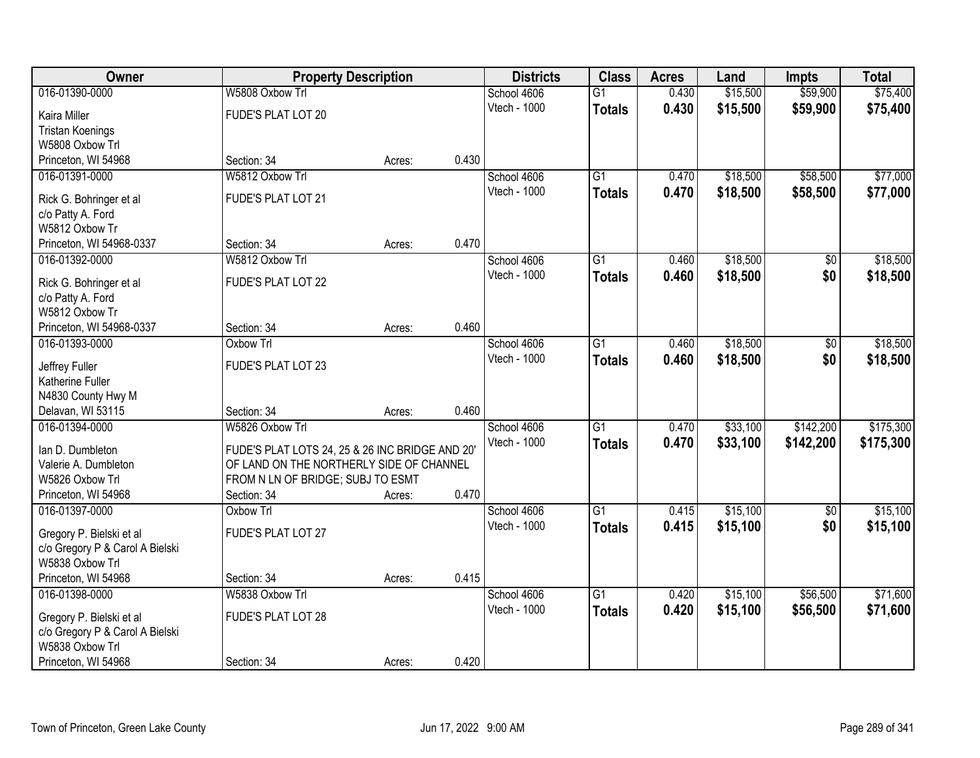| Owner                                        |                                                  | <b>Property Description</b> |       | <b>Districts</b>            | <b>Class</b>    | <b>Acres</b> | Land     | <b>Impts</b>    | <b>Total</b> |
|----------------------------------------------|--------------------------------------------------|-----------------------------|-------|-----------------------------|-----------------|--------------|----------|-----------------|--------------|
| 016-01390-0000                               | W5808 Oxbow Trl                                  |                             |       | School 4606                 | $\overline{G1}$ | 0.430        | \$15,500 | \$59,900        | \$75,400     |
| Kaira Miller                                 | FUDE'S PLAT LOT 20                               |                             |       | Vtech - 1000                | <b>Totals</b>   | 0.430        | \$15,500 | \$59,900        | \$75,400     |
| <b>Tristan Koenings</b>                      |                                                  |                             |       |                             |                 |              |          |                 |              |
| W5808 Oxbow Trl                              |                                                  |                             |       |                             |                 |              |          |                 |              |
| Princeton, WI 54968                          | Section: 34                                      | Acres:                      | 0.430 |                             |                 |              |          |                 |              |
| 016-01391-0000                               | W5812 Oxbow Trl                                  |                             |       | School 4606                 | $\overline{G1}$ | 0.470        | \$18,500 | \$58,500        | \$77,000     |
| Rick G. Bohringer et al                      | FUDE'S PLAT LOT 21                               |                             |       | Vtech - 1000                | <b>Totals</b>   | 0.470        | \$18,500 | \$58,500        | \$77,000     |
| c/o Patty A. Ford                            |                                                  |                             |       |                             |                 |              |          |                 |              |
| W5812 Oxbow Tr                               |                                                  |                             |       |                             |                 |              |          |                 |              |
| Princeton, WI 54968-0337                     | Section: 34                                      | Acres:                      | 0.470 |                             |                 |              |          |                 |              |
| 016-01392-0000                               | W5812 Oxbow Trl                                  |                             |       | School 4606                 | G1              | 0.460        | \$18,500 | \$0             | \$18,500     |
|                                              | FUDE'S PLAT LOT 22                               |                             |       | Vtech - 1000                | <b>Totals</b>   | 0.460        | \$18,500 | \$0             | \$18,500     |
| Rick G. Bohringer et al<br>c/o Patty A. Ford |                                                  |                             |       |                             |                 |              |          |                 |              |
| W5812 Oxbow Tr                               |                                                  |                             |       |                             |                 |              |          |                 |              |
| Princeton, WI 54968-0337                     | Section: 34                                      | Acres:                      | 0.460 |                             |                 |              |          |                 |              |
| 016-01393-0000                               | Oxbow Trl                                        |                             |       | School 4606                 | $\overline{G1}$ | 0.460        | \$18,500 | \$0             | \$18,500     |
|                                              |                                                  |                             |       | Vtech - 1000                | <b>Totals</b>   | 0.460        | \$18,500 | \$0             | \$18,500     |
| Jeffrey Fuller                               | FUDE'S PLAT LOT 23                               |                             |       |                             |                 |              |          |                 |              |
| Katherine Fuller<br>N4830 County Hwy M       |                                                  |                             |       |                             |                 |              |          |                 |              |
| Delavan, WI 53115                            | Section: 34                                      | Acres:                      | 0.460 |                             |                 |              |          |                 |              |
| 016-01394-0000                               | W5826 Oxbow Trl                                  |                             |       | School 4606                 | $\overline{G1}$ | 0.470        | \$33,100 | \$142,200       | \$175,300    |
|                                              |                                                  |                             |       | Vtech - 1000                | <b>Totals</b>   | 0.470        | \$33,100 | \$142,200       | \$175,300    |
| Ian D. Dumbleton                             | FUDE'S PLAT LOTS 24, 25 & 26 INC BRIDGE AND 20'  |                             |       |                             |                 |              |          |                 |              |
| Valerie A. Dumbleton                         | OF LAND ON THE NORTHERLY SIDE OF CHANNEL         |                             |       |                             |                 |              |          |                 |              |
| W5826 Oxbow Trl<br>Princeton, WI 54968       | FROM N LN OF BRIDGE; SUBJ TO ESMT<br>Section: 34 | Acres:                      | 0.470 |                             |                 |              |          |                 |              |
| 016-01397-0000                               | <b>Oxbow Trl</b>                                 |                             |       | School 4606                 | $\overline{G1}$ | 0.415        | \$15,100 | $\overline{50}$ | \$15,100     |
|                                              |                                                  |                             |       | Vtech - 1000                | <b>Totals</b>   | 0.415        | \$15,100 | \$0             | \$15,100     |
| Gregory P. Bielski et al                     | FUDE'S PLAT LOT 27                               |                             |       |                             |                 |              |          |                 |              |
| c/o Gregory P & Carol A Bielski              |                                                  |                             |       |                             |                 |              |          |                 |              |
| W5838 Oxbow Trl                              |                                                  |                             |       |                             |                 |              |          |                 |              |
| Princeton, WI 54968                          | Section: 34                                      | Acres:                      | 0.415 |                             |                 |              |          |                 |              |
| 016-01398-0000                               | W5838 Oxbow Trl                                  |                             |       | School 4606<br>Vtech - 1000 | $\overline{G1}$ | 0.420        | \$15,100 | \$56,500        | \$71,600     |
| Gregory P. Bielski et al                     | FUDE'S PLAT LOT 28                               |                             |       |                             | <b>Totals</b>   | 0.420        | \$15,100 | \$56,500        | \$71,600     |
| c/o Gregory P & Carol A Bielski              |                                                  |                             |       |                             |                 |              |          |                 |              |
| W5838 Oxbow Trl                              |                                                  |                             |       |                             |                 |              |          |                 |              |
| Princeton, WI 54968                          | Section: 34                                      | Acres:                      | 0.420 |                             |                 |              |          |                 |              |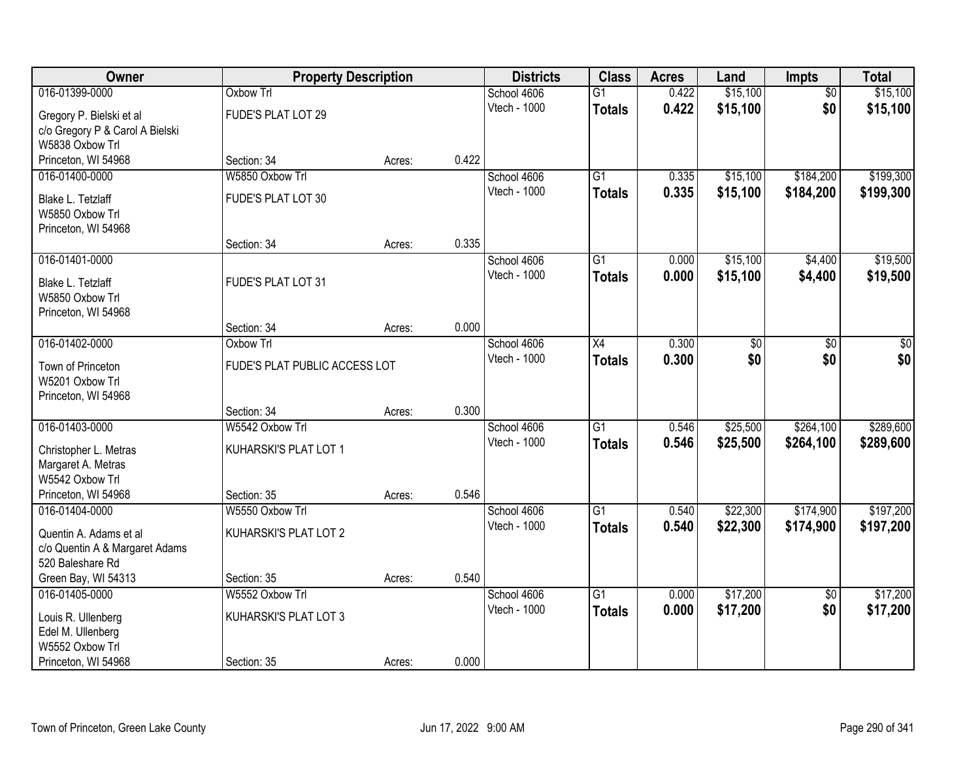| Owner                           | <b>Property Description</b>   |        |       | <b>Districts</b> | <b>Class</b>    | <b>Acres</b> | Land     | Impts           | <b>Total</b> |
|---------------------------------|-------------------------------|--------|-------|------------------|-----------------|--------------|----------|-----------------|--------------|
| 016-01399-0000                  | <b>Oxbow Trl</b>              |        |       | School 4606      | $\overline{G1}$ | 0.422        | \$15,100 | $\overline{50}$ | \$15,100     |
| Gregory P. Bielski et al        | FUDE'S PLAT LOT 29            |        |       | Vtech - 1000     | <b>Totals</b>   | 0.422        | \$15,100 | \$0             | \$15,100     |
| c/o Gregory P & Carol A Bielski |                               |        |       |                  |                 |              |          |                 |              |
| W5838 Oxbow Trl                 |                               |        |       |                  |                 |              |          |                 |              |
| Princeton, WI 54968             | Section: 34                   | Acres: | 0.422 |                  |                 |              |          |                 |              |
| 016-01400-0000                  | W5850 Oxbow Trl               |        |       | School 4606      | $\overline{G1}$ | 0.335        | \$15,100 | \$184,200       | \$199,300    |
| Blake L. Tetzlaff               | FUDE'S PLAT LOT 30            |        |       | Vtech - 1000     | <b>Totals</b>   | 0.335        | \$15,100 | \$184,200       | \$199,300    |
| W5850 Oxbow Trl                 |                               |        |       |                  |                 |              |          |                 |              |
| Princeton, WI 54968             |                               |        |       |                  |                 |              |          |                 |              |
|                                 | Section: 34                   | Acres: | 0.335 |                  |                 |              |          |                 |              |
| 016-01401-0000                  |                               |        |       | School 4606      | G1              | 0.000        | \$15,100 | \$4,400         | \$19,500     |
| Blake L. Tetzlaff               | FUDE'S PLAT LOT 31            |        |       | Vtech - 1000     | <b>Totals</b>   | 0.000        | \$15,100 | \$4,400         | \$19,500     |
| W5850 Oxbow Trl                 |                               |        |       |                  |                 |              |          |                 |              |
| Princeton, WI 54968             |                               |        |       |                  |                 |              |          |                 |              |
|                                 | Section: 34                   | Acres: | 0.000 |                  |                 |              |          |                 |              |
| 016-01402-0000                  | Oxbow Trl                     |        |       | School 4606      | $\overline{X4}$ | 0.300        | \$0      | $\overline{50}$ | \$0          |
| Town of Princeton               | FUDE'S PLAT PUBLIC ACCESS LOT |        |       | Vtech - 1000     | <b>Totals</b>   | 0.300        | \$0      | \$0             | \$0          |
| W5201 Oxbow Trl                 |                               |        |       |                  |                 |              |          |                 |              |
| Princeton, WI 54968             |                               |        |       |                  |                 |              |          |                 |              |
|                                 | Section: 34                   | Acres: | 0.300 |                  |                 |              |          |                 |              |
| 016-01403-0000                  | W5542 Oxbow Trl               |        |       | School 4606      | $\overline{G1}$ | 0.546        | \$25,500 | \$264,100       | \$289,600    |
| Christopher L. Metras           | KUHARSKI'S PLAT LOT 1         |        |       | Vtech - 1000     | <b>Totals</b>   | 0.546        | \$25,500 | \$264,100       | \$289,600    |
| Margaret A. Metras              |                               |        |       |                  |                 |              |          |                 |              |
| W5542 Oxbow Trl                 |                               |        |       |                  |                 |              |          |                 |              |
| Princeton, WI 54968             | Section: 35                   | Acres: | 0.546 |                  |                 |              |          |                 |              |
| 016-01404-0000                  | W5550 Oxbow Trl               |        |       | School 4606      | $\overline{G1}$ | 0.540        | \$22,300 | \$174,900       | \$197,200    |
| Quentin A. Adams et al          | KUHARSKI'S PLAT LOT 2         |        |       | Vtech - 1000     | <b>Totals</b>   | 0.540        | \$22,300 | \$174,900       | \$197,200    |
| c/o Quentin A & Margaret Adams  |                               |        |       |                  |                 |              |          |                 |              |
| 520 Baleshare Rd                |                               |        |       |                  |                 |              |          |                 |              |
| Green Bay, WI 54313             | Section: 35                   | Acres: | 0.540 |                  |                 |              |          |                 |              |
| 016-01405-0000                  | W5552 Oxbow Trl               |        |       | School 4606      | $\overline{G1}$ | 0.000        | \$17,200 | $\overline{50}$ | \$17,200     |
| Louis R. Ullenberg              | KUHARSKI'S PLAT LOT 3         |        |       | Vtech - 1000     | <b>Totals</b>   | 0.000        | \$17,200 | \$0             | \$17,200     |
| Edel M. Ullenberg               |                               |        |       |                  |                 |              |          |                 |              |
| W5552 Oxbow Trl                 |                               |        |       |                  |                 |              |          |                 |              |
| Princeton, WI 54968             | Section: 35                   | Acres: | 0.000 |                  |                 |              |          |                 |              |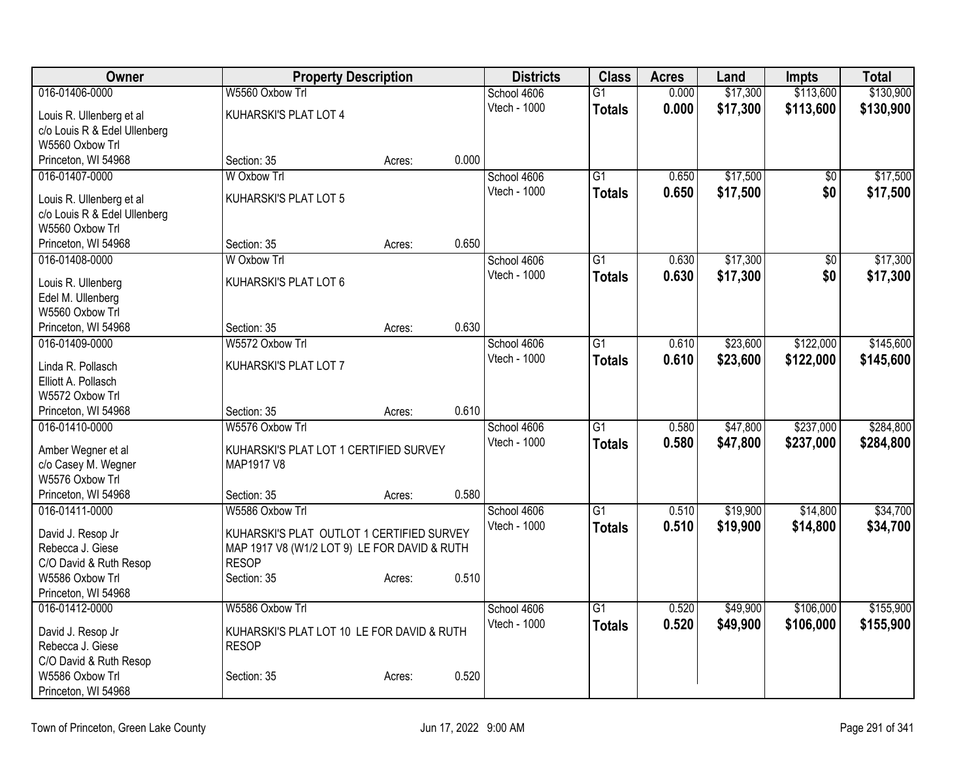| Owner                                      | <b>Property Description</b>                                  |        |       | <b>Districts</b> | <b>Class</b>    | <b>Acres</b> | Land     | <b>Impts</b>    | <b>Total</b> |
|--------------------------------------------|--------------------------------------------------------------|--------|-------|------------------|-----------------|--------------|----------|-----------------|--------------|
| 016-01406-0000                             | W5560 Oxbow Trl                                              |        |       | School 4606      | $\overline{G1}$ | 0.000        | \$17,300 | \$113,600       | \$130,900    |
| Louis R. Ullenberg et al                   | KUHARSKI'S PLAT LOT 4                                        |        |       | Vtech - 1000     | <b>Totals</b>   | 0.000        | \$17,300 | \$113,600       | \$130,900    |
| c/o Louis R & Edel Ullenberg               |                                                              |        |       |                  |                 |              |          |                 |              |
| W5560 Oxbow Trl                            |                                                              |        |       |                  |                 |              |          |                 |              |
| Princeton, WI 54968                        | Section: 35                                                  | Acres: | 0.000 |                  |                 |              |          |                 |              |
| 016-01407-0000                             | W Oxbow Trl                                                  |        |       | School 4606      | $\overline{G1}$ | 0.650        | \$17,500 | $\overline{50}$ | \$17,500     |
| Louis R. Ullenberg et al                   | KUHARSKI'S PLAT LOT 5                                        |        |       | Vtech - 1000     | <b>Totals</b>   | 0.650        | \$17,500 | \$0             | \$17,500     |
| c/o Louis R & Edel Ullenberg               |                                                              |        |       |                  |                 |              |          |                 |              |
| W5560 Oxbow Trl                            |                                                              |        |       |                  |                 |              |          |                 |              |
| Princeton, WI 54968                        | Section: 35                                                  | Acres: | 0.650 |                  |                 |              |          |                 |              |
| 016-01408-0000                             | W Oxbow Trl                                                  |        |       | School 4606      | $\overline{G1}$ | 0.630        | \$17,300 | $\overline{50}$ | \$17,300     |
| Louis R. Ullenberg                         | KUHARSKI'S PLAT LOT 6                                        |        |       | Vtech - 1000     | <b>Totals</b>   | 0.630        | \$17,300 | \$0             | \$17,300     |
| Edel M. Ullenberg                          |                                                              |        |       |                  |                 |              |          |                 |              |
| W5560 Oxbow Trl                            |                                                              |        |       |                  |                 |              |          |                 |              |
| Princeton, WI 54968                        | Section: 35                                                  | Acres: | 0.630 |                  |                 |              |          |                 |              |
| 016-01409-0000                             | W5572 Oxbow Trl                                              |        |       | School 4606      | $\overline{G1}$ | 0.610        | \$23,600 | \$122,000       | \$145,600    |
| Linda R. Pollasch                          | KUHARSKI'S PLAT LOT 7                                        |        |       | Vtech - 1000     | Totals          | 0.610        | \$23,600 | \$122,000       | \$145,600    |
| Elliott A. Pollasch                        |                                                              |        |       |                  |                 |              |          |                 |              |
| W5572 Oxbow Trl                            |                                                              |        |       |                  |                 |              |          |                 |              |
| Princeton, WI 54968                        | Section: 35                                                  | Acres: | 0.610 |                  |                 |              |          |                 |              |
| 016-01410-0000                             | W5576 Oxbow Trl                                              |        |       | School 4606      | $\overline{G1}$ | 0.580        | \$47,800 | \$237,000       | \$284,800    |
|                                            |                                                              |        |       | Vtech - 1000     | <b>Totals</b>   | 0.580        | \$47,800 | \$237,000       | \$284,800    |
| Amber Wegner et al<br>c/o Casey M. Wegner  | KUHARSKI'S PLAT LOT 1 CERTIFIED SURVEY<br>MAP1917 V8         |        |       |                  |                 |              |          |                 |              |
| W5576 Oxbow Trl                            |                                                              |        |       |                  |                 |              |          |                 |              |
| Princeton, WI 54968                        | Section: 35                                                  | Acres: | 0.580 |                  |                 |              |          |                 |              |
| 016-01411-0000                             | W5586 Oxbow Trl                                              |        |       | School 4606      | $\overline{G1}$ | 0.510        | \$19,900 | \$14,800        | \$34,700     |
|                                            |                                                              |        |       | Vtech - 1000     | <b>Totals</b>   | 0.510        | \$19,900 | \$14,800        | \$34,700     |
| David J. Resop Jr                          | KUHARSKI'S PLAT OUTLOT 1 CERTIFIED SURVEY                    |        |       |                  |                 |              |          |                 |              |
| Rebecca J. Giese<br>C/O David & Ruth Resop | MAP 1917 V8 (W1/2 LOT 9) LE FOR DAVID & RUTH<br><b>RESOP</b> |        |       |                  |                 |              |          |                 |              |
| W5586 Oxbow Trl                            | Section: 35                                                  | Acres: | 0.510 |                  |                 |              |          |                 |              |
| Princeton, WI 54968                        |                                                              |        |       |                  |                 |              |          |                 |              |
| 016-01412-0000                             | W5586 Oxbow Trl                                              |        |       | School 4606      | G1              | 0.520        | \$49,900 | \$106,000       | \$155,900    |
|                                            |                                                              |        |       | Vtech - 1000     | <b>Totals</b>   | 0.520        | \$49,900 | \$106,000       | \$155,900    |
| David J. Resop Jr<br>Rebecca J. Giese      | KUHARSKI'S PLAT LOT 10 LE FOR DAVID & RUTH<br><b>RESOP</b>   |        |       |                  |                 |              |          |                 |              |
| C/O David & Ruth Resop                     |                                                              |        |       |                  |                 |              |          |                 |              |
| W5586 Oxbow Trl                            | Section: 35                                                  | Acres: | 0.520 |                  |                 |              |          |                 |              |
| Princeton, WI 54968                        |                                                              |        |       |                  |                 |              |          |                 |              |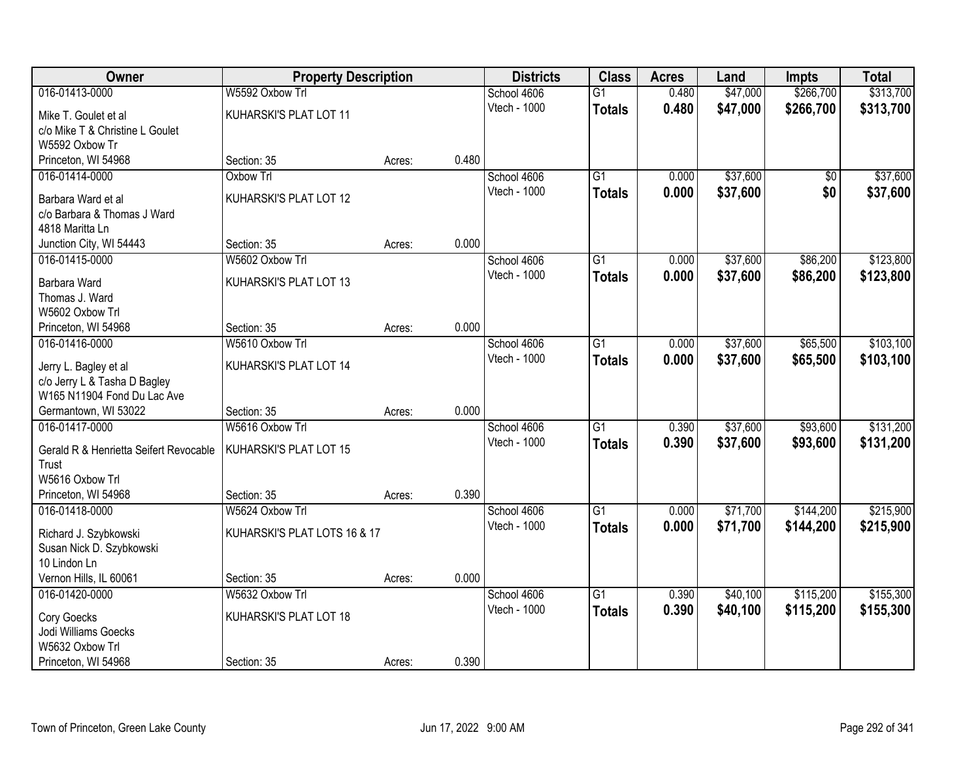| Owner                                  | <b>Property Description</b>  |        |       | <b>Districts</b> | <b>Class</b>    | <b>Acres</b> | Land     | <b>Impts</b> | <b>Total</b> |
|----------------------------------------|------------------------------|--------|-------|------------------|-----------------|--------------|----------|--------------|--------------|
| 016-01413-0000                         | W5592 Oxbow Trl              |        |       | School 4606      | $\overline{G1}$ | 0.480        | \$47,000 | \$266,700    | \$313,700    |
| Mike T. Goulet et al                   | KUHARSKI'S PLAT LOT 11       |        |       | Vtech - 1000     | <b>Totals</b>   | 0.480        | \$47,000 | \$266,700    | \$313,700    |
| c/o Mike T & Christine L Goulet        |                              |        |       |                  |                 |              |          |              |              |
| W5592 Oxbow Tr                         |                              |        |       |                  |                 |              |          |              |              |
| Princeton, WI 54968                    | Section: 35                  | Acres: | 0.480 |                  |                 |              |          |              |              |
| 016-01414-0000                         | Oxbow Trl                    |        |       | School 4606      | $\overline{G1}$ | 0.000        | \$37,600 | \$0          | \$37,600     |
| Barbara Ward et al                     | KUHARSKI'S PLAT LOT 12       |        |       | Vtech - 1000     | <b>Totals</b>   | 0.000        | \$37,600 | \$0          | \$37,600     |
| c/o Barbara & Thomas J Ward            |                              |        |       |                  |                 |              |          |              |              |
| 4818 Maritta Ln                        |                              |        |       |                  |                 |              |          |              |              |
| Junction City, WI 54443                | Section: 35                  | Acres: | 0.000 |                  |                 |              |          |              |              |
| 016-01415-0000                         | W5602 Oxbow Trl              |        |       | School 4606      | G1              | 0.000        | \$37,600 | \$86,200     | \$123,800    |
|                                        |                              |        |       | Vtech - 1000     | <b>Totals</b>   | 0.000        | \$37,600 | \$86,200     | \$123,800    |
| Barbara Ward                           | KUHARSKI'S PLAT LOT 13       |        |       |                  |                 |              |          |              |              |
| Thomas J. Ward                         |                              |        |       |                  |                 |              |          |              |              |
| W5602 Oxbow Trl                        |                              |        |       |                  |                 |              |          |              |              |
| Princeton, WI 54968                    | Section: 35                  | Acres: | 0.000 |                  |                 |              |          |              |              |
| 016-01416-0000                         | W5610 Oxbow Trl              |        |       | School 4606      | G1              | 0.000        | \$37,600 | \$65,500     | \$103,100    |
| Jerry L. Bagley et al                  | KUHARSKI'S PLAT LOT 14       |        |       | Vtech - 1000     | <b>Totals</b>   | 0.000        | \$37,600 | \$65,500     | \$103,100    |
| c/o Jerry L & Tasha D Bagley           |                              |        |       |                  |                 |              |          |              |              |
| W165 N11904 Fond Du Lac Ave            |                              |        |       |                  |                 |              |          |              |              |
| Germantown, WI 53022                   | Section: 35                  | Acres: | 0.000 |                  |                 |              |          |              |              |
| 016-01417-0000                         | W5616 Oxbow Trl              |        |       | School 4606      | $\overline{G1}$ | 0.390        | \$37,600 | \$93,600     | \$131,200    |
| Gerald R & Henrietta Seifert Revocable | KUHARSKI'S PLAT LOT 15       |        |       | Vtech - 1000     | <b>Totals</b>   | 0.390        | \$37,600 | \$93,600     | \$131,200    |
| Trust                                  |                              |        |       |                  |                 |              |          |              |              |
| W5616 Oxbow Trl                        |                              |        |       |                  |                 |              |          |              |              |
| Princeton, WI 54968                    | Section: 35                  | Acres: | 0.390 |                  |                 |              |          |              |              |
| 016-01418-0000                         | W5624 Oxbow Trl              |        |       | School 4606      | $\overline{G1}$ | 0.000        | \$71,700 | \$144,200    | \$215,900    |
| Richard J. Szybkowski                  | KUHARSKI'S PLAT LOTS 16 & 17 |        |       | Vtech - 1000     | <b>Totals</b>   | 0.000        | \$71,700 | \$144,200    | \$215,900    |
| Susan Nick D. Szybkowski               |                              |        |       |                  |                 |              |          |              |              |
| 10 Lindon Ln                           |                              |        |       |                  |                 |              |          |              |              |
| Vernon Hills, IL 60061                 | Section: 35                  | Acres: | 0.000 |                  |                 |              |          |              |              |
| 016-01420-0000                         | W5632 Oxbow Trl              |        |       | School 4606      | $\overline{G1}$ | 0.390        | \$40,100 | \$115,200    | \$155,300    |
|                                        |                              |        |       | Vtech - 1000     | <b>Totals</b>   | 0.390        | \$40,100 | \$115,200    | \$155,300    |
| Cory Goecks                            | KUHARSKI'S PLAT LOT 18       |        |       |                  |                 |              |          |              |              |
| Jodi Williams Goecks                   |                              |        |       |                  |                 |              |          |              |              |
| W5632 Oxbow Trl                        |                              |        |       |                  |                 |              |          |              |              |
| Princeton, WI 54968                    | Section: 35                  | Acres: | 0.390 |                  |                 |              |          |              |              |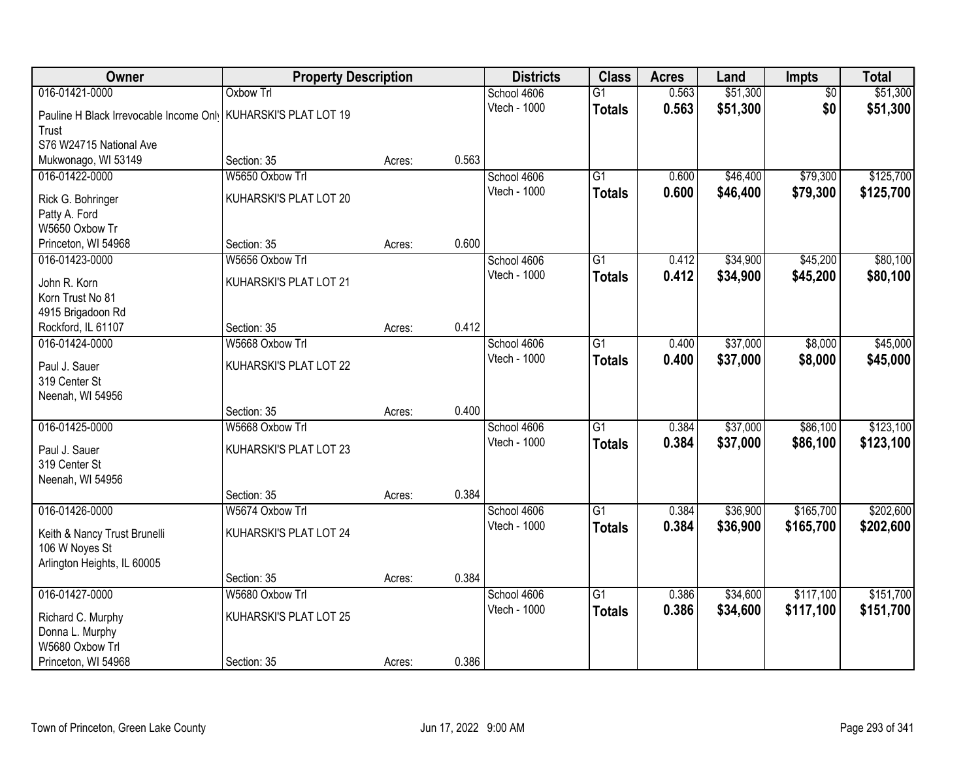| Owner                                                                      | <b>Property Description</b> |        |       | <b>Districts</b> | <b>Class</b>    | <b>Acres</b> | Land     | Impts           | <b>Total</b> |
|----------------------------------------------------------------------------|-----------------------------|--------|-------|------------------|-----------------|--------------|----------|-----------------|--------------|
| 016-01421-0000                                                             | <b>Oxbow Trl</b>            |        |       | School 4606      | $\overline{G1}$ | 0.563        | \$51,300 | $\overline{50}$ | \$51,300     |
| Pauline H Black Irrevocable Income Onl <sup>1</sup> KUHARSKI'S PLAT LOT 19 |                             |        |       | Vtech - 1000     | <b>Totals</b>   | 0.563        | \$51,300 | \$0             | \$51,300     |
| Trust                                                                      |                             |        |       |                  |                 |              |          |                 |              |
| S76 W24715 National Ave                                                    |                             |        |       |                  |                 |              |          |                 |              |
| Mukwonago, WI 53149                                                        | Section: 35                 | Acres: | 0.563 |                  |                 |              |          |                 |              |
| 016-01422-0000                                                             | W5650 Oxbow Trl             |        |       | School 4606      | $\overline{G1}$ | 0.600        | \$46,400 | \$79,300        | \$125,700    |
| Rick G. Bohringer                                                          | KUHARSKI'S PLAT LOT 20      |        |       | Vtech - 1000     | <b>Totals</b>   | 0.600        | \$46,400 | \$79,300        | \$125,700    |
| Patty A. Ford                                                              |                             |        |       |                  |                 |              |          |                 |              |
| W5650 Oxbow Tr                                                             |                             |        |       |                  |                 |              |          |                 |              |
| Princeton, WI 54968                                                        | Section: 35                 | Acres: | 0.600 |                  |                 |              |          |                 |              |
| 016-01423-0000                                                             | W5656 Oxbow Trl             |        |       | School 4606      | G1              | 0.412        | \$34,900 | \$45,200        | \$80,100     |
| John R. Korn                                                               | KUHARSKI'S PLAT LOT 21      |        |       | Vtech - 1000     | <b>Totals</b>   | 0.412        | \$34,900 | \$45,200        | \$80,100     |
| Korn Trust No 81                                                           |                             |        |       |                  |                 |              |          |                 |              |
| 4915 Brigadoon Rd                                                          |                             |        |       |                  |                 |              |          |                 |              |
| Rockford, IL 61107                                                         | Section: 35                 | Acres: | 0.412 |                  |                 |              |          |                 |              |
| 016-01424-0000                                                             | W5668 Oxbow Trl             |        |       | School 4606      | G1              | 0.400        | \$37,000 | \$8,000         | \$45,000     |
|                                                                            |                             |        |       | Vtech - 1000     | <b>Totals</b>   | 0.400        | \$37,000 | \$8,000         | \$45,000     |
| Paul J. Sauer                                                              | KUHARSKI'S PLAT LOT 22      |        |       |                  |                 |              |          |                 |              |
| 319 Center St                                                              |                             |        |       |                  |                 |              |          |                 |              |
| Neenah, WI 54956                                                           |                             |        |       |                  |                 |              |          |                 |              |
|                                                                            | Section: 35                 | Acres: | 0.400 |                  |                 |              |          |                 |              |
| 016-01425-0000                                                             | W5668 Oxbow Trl             |        |       | School 4606      | $\overline{G1}$ | 0.384        | \$37,000 | \$86,100        | \$123,100    |
| Paul J. Sauer                                                              | KUHARSKI'S PLAT LOT 23      |        |       | Vtech - 1000     | <b>Totals</b>   | 0.384        | \$37,000 | \$86,100        | \$123,100    |
| 319 Center St                                                              |                             |        |       |                  |                 |              |          |                 |              |
| Neenah, WI 54956                                                           |                             |        |       |                  |                 |              |          |                 |              |
|                                                                            | Section: 35                 | Acres: | 0.384 |                  |                 |              |          |                 |              |
| 016-01426-0000                                                             | W5674 Oxbow Trl             |        |       | School 4606      | $\overline{G1}$ | 0.384        | \$36,900 | \$165,700       | \$202,600    |
| Keith & Nancy Trust Brunelli                                               | KUHARSKI'S PLAT LOT 24      |        |       | Vtech - 1000     | <b>Totals</b>   | 0.384        | \$36,900 | \$165,700       | \$202,600    |
| 106 W Noyes St                                                             |                             |        |       |                  |                 |              |          |                 |              |
| Arlington Heights, IL 60005                                                |                             |        |       |                  |                 |              |          |                 |              |
|                                                                            | Section: 35                 | Acres: | 0.384 |                  |                 |              |          |                 |              |
| 016-01427-0000                                                             | W5680 Oxbow Trl             |        |       | School 4606      | $\overline{G1}$ | 0.386        | \$34,600 | \$117,100       | \$151,700    |
|                                                                            |                             |        |       | Vtech - 1000     | <b>Totals</b>   | 0.386        | \$34,600 | \$117,100       | \$151,700    |
| Richard C. Murphy                                                          | KUHARSKI'S PLAT LOT 25      |        |       |                  |                 |              |          |                 |              |
| Donna L. Murphy                                                            |                             |        |       |                  |                 |              |          |                 |              |
| W5680 Oxbow Trl                                                            |                             |        |       |                  |                 |              |          |                 |              |
| Princeton, WI 54968                                                        | Section: 35                 | Acres: | 0.386 |                  |                 |              |          |                 |              |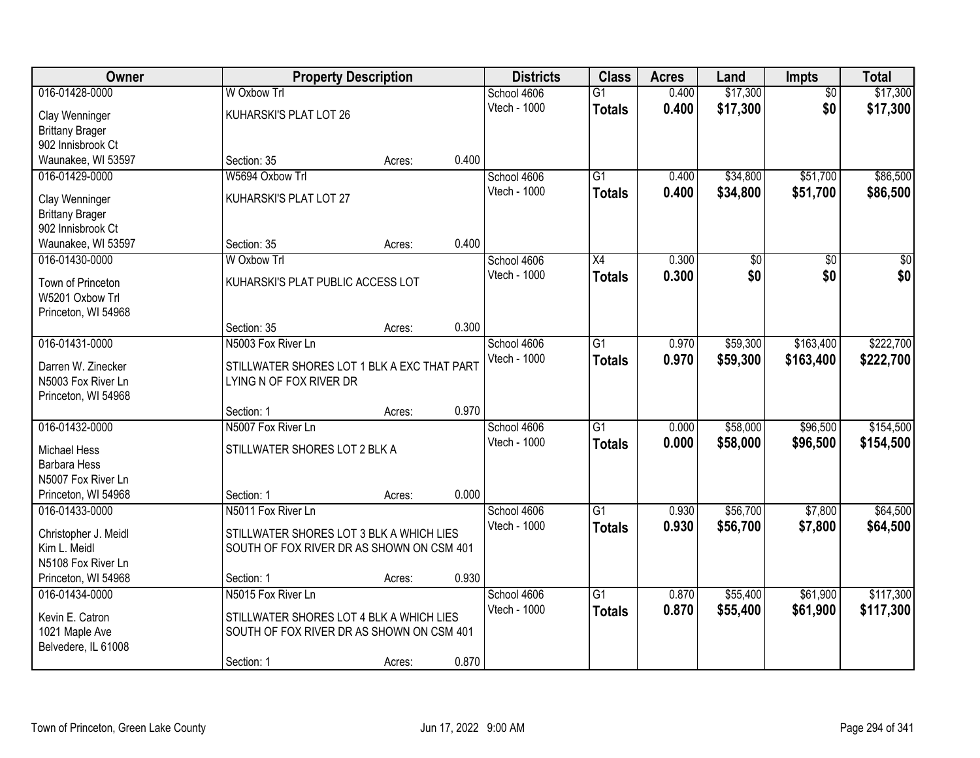| Owner                                     |                                             | <b>Property Description</b> |       | <b>Districts</b> | <b>Class</b>    | <b>Acres</b> | Land            | <b>Impts</b>    | <b>Total</b> |
|-------------------------------------------|---------------------------------------------|-----------------------------|-------|------------------|-----------------|--------------|-----------------|-----------------|--------------|
| 016-01428-0000                            | W Oxbow Trl                                 |                             |       | School 4606      | $\overline{G1}$ | 0.400        | \$17,300        | $\overline{50}$ | \$17,300     |
| Clay Wenninger                            | KUHARSKI'S PLAT LOT 26                      |                             |       | Vtech - 1000     | <b>Totals</b>   | 0.400        | \$17,300        | \$0             | \$17,300     |
| <b>Brittany Brager</b>                    |                                             |                             |       |                  |                 |              |                 |                 |              |
| 902 Innisbrook Ct                         |                                             |                             |       |                  |                 |              |                 |                 |              |
| Waunakee, WI 53597                        | Section: 35                                 | Acres:                      | 0.400 |                  |                 |              |                 |                 |              |
| 016-01429-0000                            | W5694 Oxbow Trl                             |                             |       | School 4606      | $\overline{G1}$ | 0.400        | \$34,800        | \$51,700        | \$86,500     |
| Clay Wenninger                            | KUHARSKI'S PLAT LOT 27                      |                             |       | Vtech - 1000     | <b>Totals</b>   | 0.400        | \$34,800        | \$51,700        | \$86,500     |
| <b>Brittany Brager</b>                    |                                             |                             |       |                  |                 |              |                 |                 |              |
| 902 Innisbrook Ct                         |                                             |                             |       |                  |                 |              |                 |                 |              |
| Waunakee, WI 53597                        | Section: 35                                 | Acres:                      | 0.400 |                  |                 |              |                 |                 |              |
| 016-01430-0000                            | W Oxbow Trl                                 |                             |       | School 4606      | X4              | 0.300        | $\overline{50}$ | \$0             | $\sqrt{50}$  |
| Town of Princeton                         | KUHARSKI'S PLAT PUBLIC ACCESS LOT           |                             |       | Vtech - 1000     | <b>Totals</b>   | 0.300        | \$0             | \$0             | \$0          |
| W5201 Oxbow Trl                           |                                             |                             |       |                  |                 |              |                 |                 |              |
| Princeton, WI 54968                       |                                             |                             |       |                  |                 |              |                 |                 |              |
|                                           | Section: 35                                 | Acres:                      | 0.300 |                  |                 |              |                 |                 |              |
| 016-01431-0000                            | N5003 Fox River Ln                          |                             |       | School 4606      | $\overline{G1}$ | 0.970        | \$59,300        | \$163,400       | \$222,700    |
|                                           |                                             |                             |       | Vtech - 1000     | <b>Totals</b>   | 0.970        | \$59,300        | \$163,400       | \$222,700    |
| Darren W. Zinecker<br>N5003 Fox River Ln  | STILLWATER SHORES LOT 1 BLK A EXC THAT PART |                             |       |                  |                 |              |                 |                 |              |
| Princeton, WI 54968                       | LYING N OF FOX RIVER DR                     |                             |       |                  |                 |              |                 |                 |              |
|                                           | Section: 1                                  | Acres:                      | 0.970 |                  |                 |              |                 |                 |              |
| 016-01432-0000                            | N5007 Fox River Ln                          |                             |       | School 4606      | $\overline{G1}$ | 0.000        | \$58,000        | \$96,500        | \$154,500    |
|                                           |                                             |                             |       | Vtech - 1000     | <b>Totals</b>   | 0.000        | \$58,000        | \$96,500        | \$154,500    |
| <b>Michael Hess</b>                       | STILLWATER SHORES LOT 2 BLK A               |                             |       |                  |                 |              |                 |                 |              |
| <b>Barbara Hess</b>                       |                                             |                             |       |                  |                 |              |                 |                 |              |
| N5007 Fox River Ln<br>Princeton, WI 54968 | Section: 1                                  | Acres:                      | 0.000 |                  |                 |              |                 |                 |              |
| 016-01433-0000                            | N5011 Fox River Ln                          |                             |       | School 4606      | $\overline{G1}$ | 0.930        | \$56,700        | \$7,800         | \$64,500     |
|                                           |                                             |                             |       | Vtech - 1000     | <b>Totals</b>   | 0.930        | \$56,700        | \$7,800         | \$64,500     |
| Christopher J. Meidl                      | STILLWATER SHORES LOT 3 BLK A WHICH LIES    |                             |       |                  |                 |              |                 |                 |              |
| Kim L. Meidl                              | SOUTH OF FOX RIVER DR AS SHOWN ON CSM 401   |                             |       |                  |                 |              |                 |                 |              |
| N5108 Fox River Ln                        |                                             |                             | 0.930 |                  |                 |              |                 |                 |              |
| Princeton, WI 54968<br>016-01434-0000     | Section: 1<br>N5015 Fox River Ln            | Acres:                      |       | School 4606      | $\overline{G1}$ | 0.870        | \$55,400        | \$61,900        | \$117,300    |
|                                           |                                             |                             |       | Vtech - 1000     |                 | 0.870        | \$55,400        | \$61,900        | \$117,300    |
| Kevin E. Catron                           | STILLWATER SHORES LOT 4 BLK A WHICH LIES    |                             |       |                  | <b>Totals</b>   |              |                 |                 |              |
| 1021 Maple Ave                            | SOUTH OF FOX RIVER DR AS SHOWN ON CSM 401   |                             |       |                  |                 |              |                 |                 |              |
| Belvedere, IL 61008                       |                                             |                             |       |                  |                 |              |                 |                 |              |
|                                           | Section: 1                                  | Acres:                      | 0.870 |                  |                 |              |                 |                 |              |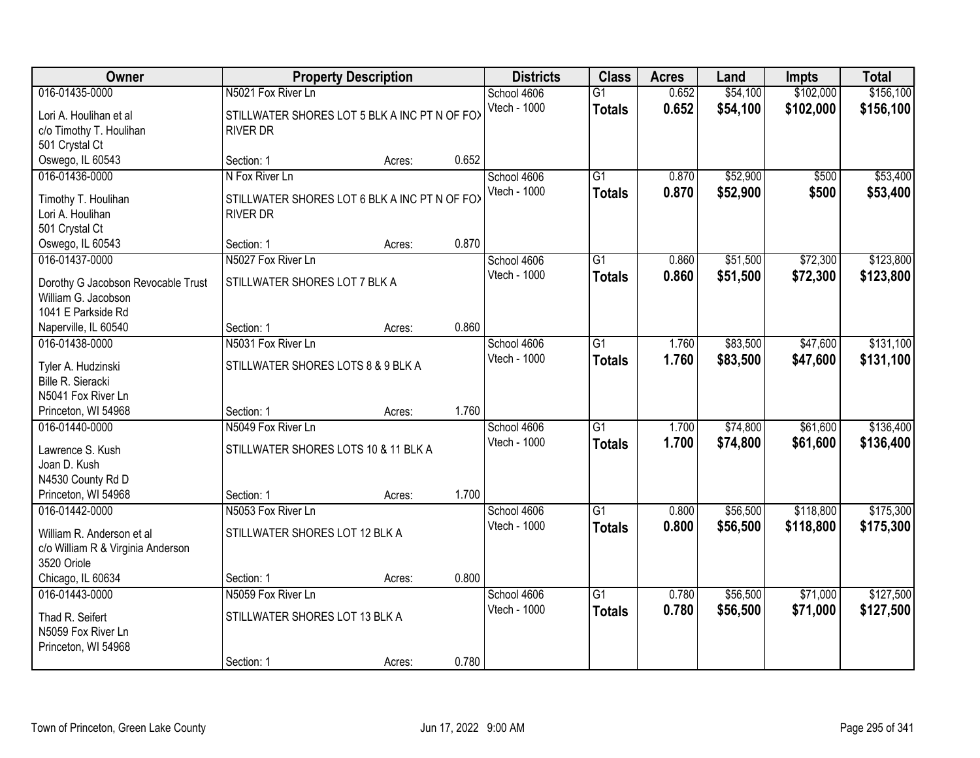| Owner                                            |                                               | <b>Property Description</b> |       | <b>Districts</b> | <b>Class</b>    | <b>Acres</b> | Land     | <b>Impts</b> | <b>Total</b> |
|--------------------------------------------------|-----------------------------------------------|-----------------------------|-------|------------------|-----------------|--------------|----------|--------------|--------------|
| 016-01435-0000                                   | N5021 Fox River Ln                            |                             |       | School 4606      | $\overline{G1}$ | 0.652        | \$54,100 | \$102,000    | \$156,100    |
| Lori A. Houlihan et al                           | STILLWATER SHORES LOT 5 BLK A INC PT N OF FOX |                             |       | Vtech - 1000     | <b>Totals</b>   | 0.652        | \$54,100 | \$102,000    | \$156,100    |
| c/o Timothy T. Houlihan                          | <b>RIVER DR</b>                               |                             |       |                  |                 |              |          |              |              |
| 501 Crystal Ct                                   |                                               |                             |       |                  |                 |              |          |              |              |
| Oswego, IL 60543                                 | Section: 1                                    | Acres:                      | 0.652 |                  |                 |              |          |              |              |
| 016-01436-0000                                   | N Fox River Ln                                |                             |       | School 4606      | $\overline{G1}$ | 0.870        | \$52,900 | \$500        | \$53,400     |
| Timothy T. Houlihan                              | STILLWATER SHORES LOT 6 BLK A INC PT N OF FOX |                             |       | Vtech - 1000     | <b>Totals</b>   | 0.870        | \$52,900 | \$500        | \$53,400     |
| Lori A. Houlihan                                 | <b>RIVER DR</b>                               |                             |       |                  |                 |              |          |              |              |
| 501 Crystal Ct                                   |                                               |                             |       |                  |                 |              |          |              |              |
| Oswego, IL 60543                                 | Section: 1                                    | Acres:                      | 0.870 |                  |                 |              |          |              |              |
| 016-01437-0000                                   | N5027 Fox River Ln                            |                             |       | School 4606      | G1              | 0.860        | \$51,500 | \$72,300     | \$123,800    |
|                                                  |                                               |                             |       | Vtech - 1000     | <b>Totals</b>   | 0.860        | \$51,500 | \$72,300     | \$123,800    |
| Dorothy G Jacobson Revocable Trust               | STILLWATER SHORES LOT 7 BLK A                 |                             |       |                  |                 |              |          |              |              |
| William G. Jacobson                              |                                               |                             |       |                  |                 |              |          |              |              |
| 1041 E Parkside Rd                               |                                               |                             |       |                  |                 |              |          |              |              |
| Naperville, IL 60540                             | Section: 1                                    | Acres:                      | 0.860 |                  |                 |              |          |              |              |
| 016-01438-0000                                   | N5031 Fox River Ln                            |                             |       | School 4606      | G1              | 1.760        | \$83,500 | \$47,600     | \$131,100    |
| Tyler A. Hudzinski                               | STILLWATER SHORES LOTS 8 & 9 BLK A            |                             |       | Vtech - 1000     | <b>Totals</b>   | 1.760        | \$83,500 | \$47,600     | \$131,100    |
| Bille R. Sieracki                                |                                               |                             |       |                  |                 |              |          |              |              |
| N5041 Fox River Ln                               |                                               |                             |       |                  |                 |              |          |              |              |
| Princeton, WI 54968                              | Section: 1                                    | Acres:                      | 1.760 |                  |                 |              |          |              |              |
| 016-01440-0000                                   | N5049 Fox River Ln                            |                             |       | School 4606      | $\overline{G1}$ | 1.700        | \$74,800 | \$61,600     | \$136,400    |
| Lawrence S. Kush                                 | STILLWATER SHORES LOTS 10 & 11 BLK A          |                             |       | Vtech - 1000     | <b>Totals</b>   | 1.700        | \$74,800 | \$61,600     | \$136,400    |
| Joan D. Kush                                     |                                               |                             |       |                  |                 |              |          |              |              |
| N4530 County Rd D                                |                                               |                             |       |                  |                 |              |          |              |              |
| Princeton, WI 54968                              | Section: 1                                    | Acres:                      | 1.700 |                  |                 |              |          |              |              |
| 016-01442-0000                                   | N5053 Fox River Ln                            |                             |       | School 4606      | $\overline{G1}$ | 0.800        | \$56,500 | \$118,800    | \$175,300    |
|                                                  |                                               |                             |       | Vtech - 1000     | <b>Totals</b>   | 0.800        | \$56,500 | \$118,800    | \$175,300    |
| William R. Anderson et al                        | STILLWATER SHORES LOT 12 BLK A                |                             |       |                  |                 |              |          |              |              |
| c/o William R & Virginia Anderson<br>3520 Oriole |                                               |                             |       |                  |                 |              |          |              |              |
| Chicago, IL 60634                                | Section: 1                                    | Acres:                      | 0.800 |                  |                 |              |          |              |              |
| 016-01443-0000                                   | N5059 Fox River Ln                            |                             |       | School 4606      | $\overline{G1}$ | 0.780        | \$56,500 | \$71,000     | \$127,500    |
|                                                  |                                               |                             |       | Vtech - 1000     |                 | 0.780        |          | \$71,000     | \$127,500    |
| Thad R. Seifert                                  | STILLWATER SHORES LOT 13 BLK A                |                             |       |                  | <b>Totals</b>   |              | \$56,500 |              |              |
| N5059 Fox River Ln                               |                                               |                             |       |                  |                 |              |          |              |              |
| Princeton, WI 54968                              |                                               |                             |       |                  |                 |              |          |              |              |
|                                                  | Section: 1                                    | Acres:                      | 0.780 |                  |                 |              |          |              |              |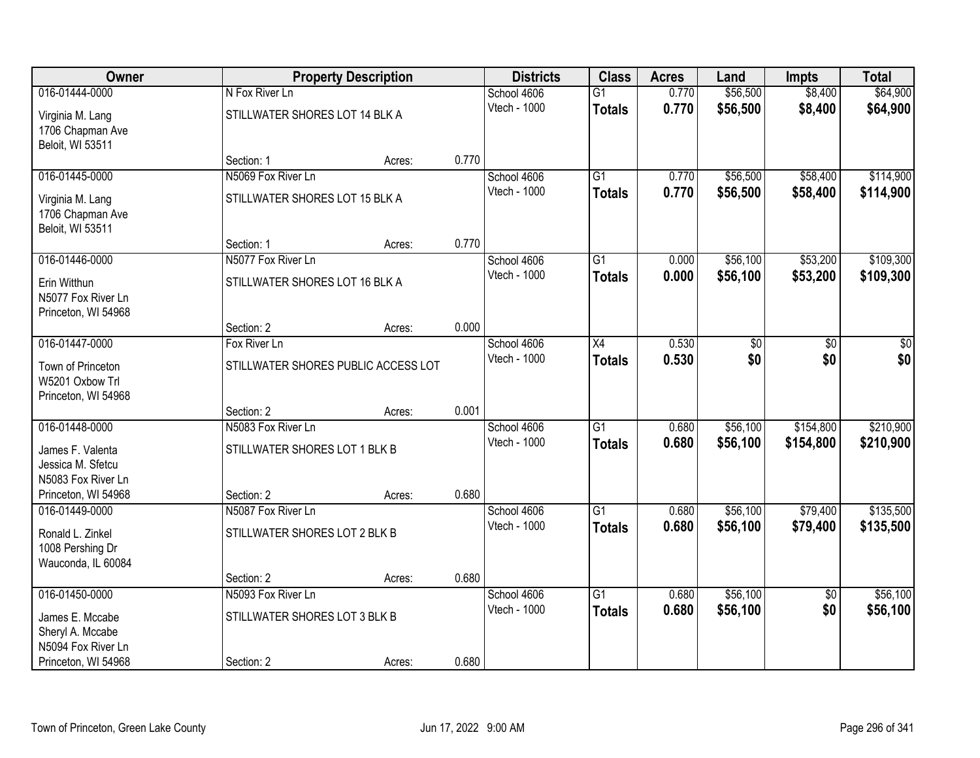| Owner               |                                     | <b>Property Description</b> |       | <b>Districts</b> | <b>Class</b>    | <b>Acres</b> | Land     | <b>Impts</b>    | <b>Total</b> |
|---------------------|-------------------------------------|-----------------------------|-------|------------------|-----------------|--------------|----------|-----------------|--------------|
| 016-01444-0000      | N Fox River Ln                      |                             |       | School 4606      | $\overline{G1}$ | 0.770        | \$56,500 | \$8,400         | \$64,900     |
| Virginia M. Lang    | STILLWATER SHORES LOT 14 BLK A      |                             |       | Vtech - 1000     | <b>Totals</b>   | 0.770        | \$56,500 | \$8,400         | \$64,900     |
| 1706 Chapman Ave    |                                     |                             |       |                  |                 |              |          |                 |              |
| Beloit, WI 53511    |                                     |                             |       |                  |                 |              |          |                 |              |
|                     | Section: 1                          | Acres:                      | 0.770 |                  |                 |              |          |                 |              |
| 016-01445-0000      | N5069 Fox River Ln                  |                             |       | School 4606      | $\overline{G1}$ | 0.770        | \$56,500 | \$58,400        | \$114,900    |
| Virginia M. Lang    | STILLWATER SHORES LOT 15 BLK A      |                             |       | Vtech - 1000     | <b>Totals</b>   | 0.770        | \$56,500 | \$58,400        | \$114,900    |
| 1706 Chapman Ave    |                                     |                             |       |                  |                 |              |          |                 |              |
| Beloit, WI 53511    |                                     |                             |       |                  |                 |              |          |                 |              |
|                     | Section: 1                          | Acres:                      | 0.770 |                  |                 |              |          |                 |              |
| 016-01446-0000      | N5077 Fox River Ln                  |                             |       | School 4606      | G1              | 0.000        | \$56,100 | \$53,200        | \$109,300    |
| Erin Witthun        | STILLWATER SHORES LOT 16 BLK A      |                             |       | Vtech - 1000     | <b>Totals</b>   | 0.000        | \$56,100 | \$53,200        | \$109,300    |
| N5077 Fox River Ln  |                                     |                             |       |                  |                 |              |          |                 |              |
| Princeton, WI 54968 |                                     |                             |       |                  |                 |              |          |                 |              |
|                     | Section: 2                          | Acres:                      | 0.000 |                  |                 |              |          |                 |              |
| 016-01447-0000      | Fox River Ln                        |                             |       | School 4606      | X4              | 0.530        | \$0      | \$0             | \$0          |
| Town of Princeton   | STILLWATER SHORES PUBLIC ACCESS LOT |                             |       | Vtech - 1000     | <b>Totals</b>   | 0.530        | \$0      | \$0             | \$0          |
| W5201 Oxbow Trl     |                                     |                             |       |                  |                 |              |          |                 |              |
| Princeton, WI 54968 |                                     |                             |       |                  |                 |              |          |                 |              |
|                     | Section: 2                          | Acres:                      | 0.001 |                  |                 |              |          |                 |              |
| 016-01448-0000      | N5083 Fox River Ln                  |                             |       | School 4606      | $\overline{G1}$ | 0.680        | \$56,100 | \$154,800       | \$210,900    |
| James F. Valenta    | STILLWATER SHORES LOT 1 BLK B       |                             |       | Vtech - 1000     | <b>Totals</b>   | 0.680        | \$56,100 | \$154,800       | \$210,900    |
| Jessica M. Sfetcu   |                                     |                             |       |                  |                 |              |          |                 |              |
| N5083 Fox River Ln  |                                     |                             |       |                  |                 |              |          |                 |              |
| Princeton, WI 54968 | Section: 2                          | Acres:                      | 0.680 |                  |                 |              |          |                 |              |
| 016-01449-0000      | N5087 Fox River Ln                  |                             |       | School 4606      | $\overline{G1}$ | 0.680        | \$56,100 | \$79,400        | \$135,500    |
| Ronald L. Zinkel    | STILLWATER SHORES LOT 2 BLK B       |                             |       | Vtech - 1000     | <b>Totals</b>   | 0.680        | \$56,100 | \$79,400        | \$135,500    |
| 1008 Pershing Dr    |                                     |                             |       |                  |                 |              |          |                 |              |
| Wauconda, IL 60084  |                                     |                             |       |                  |                 |              |          |                 |              |
|                     | Section: 2                          | Acres:                      | 0.680 |                  |                 |              |          |                 |              |
| 016-01450-0000      | N5093 Fox River Ln                  |                             |       | School 4606      | $\overline{G1}$ | 0.680        | \$56,100 | $\overline{50}$ | \$56,100     |
| James E. Mccabe     | STILLWATER SHORES LOT 3 BLK B       |                             |       | Vtech - 1000     | <b>Totals</b>   | 0.680        | \$56,100 | \$0             | \$56,100     |
| Sheryl A. Mccabe    |                                     |                             |       |                  |                 |              |          |                 |              |
| N5094 Fox River Ln  |                                     |                             |       |                  |                 |              |          |                 |              |
| Princeton, WI 54968 | Section: 2                          | Acres:                      | 0.680 |                  |                 |              |          |                 |              |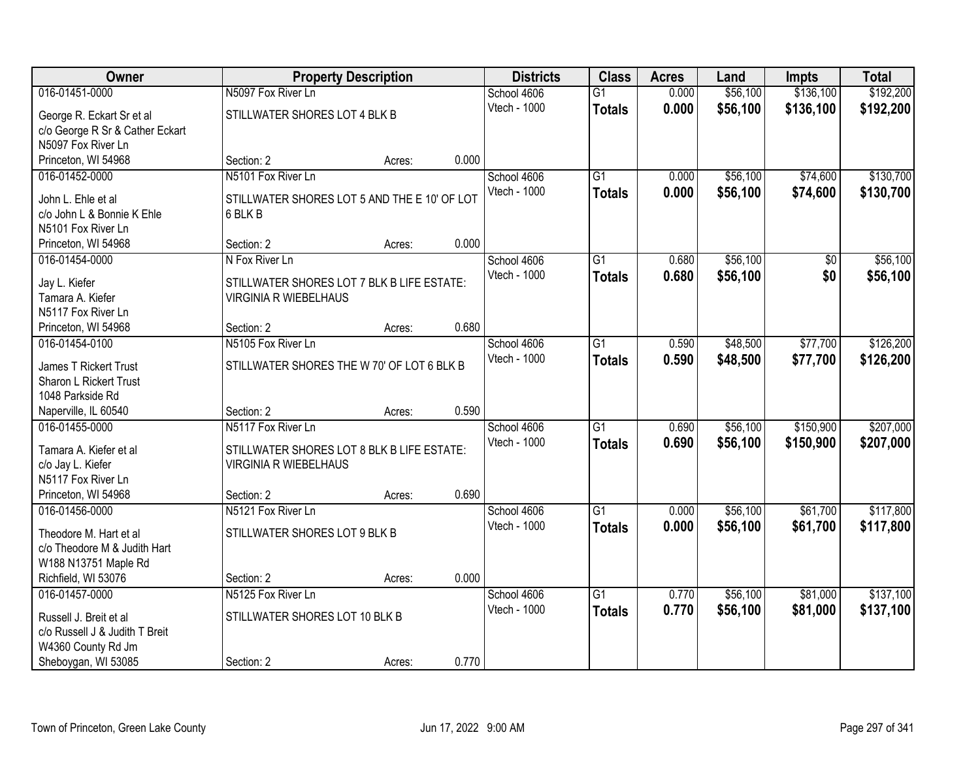| Owner                                 |                                              | <b>Property Description</b> |       | <b>Districts</b>            | <b>Class</b>    | <b>Acres</b> | Land     | Impts     | <b>Total</b> |
|---------------------------------------|----------------------------------------------|-----------------------------|-------|-----------------------------|-----------------|--------------|----------|-----------|--------------|
| 016-01451-0000                        | N5097 Fox River Ln                           |                             |       | School 4606                 | $\overline{G1}$ | 0.000        | \$56,100 | \$136,100 | \$192,200    |
| George R. Eckart Sr et al             | STILLWATER SHORES LOT 4 BLK B                |                             |       | Vtech - 1000                | <b>Totals</b>   | 0.000        | \$56,100 | \$136,100 | \$192,200    |
| c/o George R Sr & Cather Eckart       |                                              |                             |       |                             |                 |              |          |           |              |
| N5097 Fox River Ln                    |                                              |                             |       |                             |                 |              |          |           |              |
| Princeton, WI 54968                   | Section: 2                                   | Acres:                      | 0.000 |                             |                 |              |          |           |              |
| 016-01452-0000                        | N5101 Fox River Ln                           |                             |       | School 4606                 | $\overline{G1}$ | 0.000        | \$56,100 | \$74,600  | \$130,700    |
| John L. Ehle et al                    | STILLWATER SHORES LOT 5 AND THE E 10' OF LOT |                             |       | Vtech - 1000                | <b>Totals</b>   | 0.000        | \$56,100 | \$74,600  | \$130,700    |
| c/o John L & Bonnie K Ehle            | 6 BLK B                                      |                             |       |                             |                 |              |          |           |              |
| N5101 Fox River Ln                    |                                              |                             |       |                             |                 |              |          |           |              |
| Princeton, WI 54968                   | Section: 2                                   | Acres:                      | 0.000 |                             |                 |              |          |           |              |
| 016-01454-0000                        | N Fox River Ln                               |                             |       | School 4606                 | G <sub>1</sub>  | 0.680        | \$56,100 | \$0       | \$56,100     |
|                                       |                                              |                             |       | Vtech - 1000                | <b>Totals</b>   | 0.680        | \$56,100 | \$0       | \$56,100     |
| Jay L. Kiefer                         | STILLWATER SHORES LOT 7 BLK B LIFE ESTATE:   |                             |       |                             |                 |              |          |           |              |
| Tamara A. Kiefer                      | <b>VIRGINIA R WIEBELHAUS</b>                 |                             |       |                             |                 |              |          |           |              |
| N5117 Fox River Ln                    |                                              |                             |       |                             |                 |              |          |           |              |
| Princeton, WI 54968                   | Section: 2                                   | Acres:                      | 0.680 |                             |                 |              |          |           |              |
| 016-01454-0100                        | N5105 Fox River Ln                           |                             |       | School 4606                 | $\overline{G1}$ | 0.590        | \$48,500 | \$77,700  | \$126,200    |
| James T Rickert Trust                 | STILLWATER SHORES THE W 70' OF LOT 6 BLK B   |                             |       | Vtech - 1000                | <b>Totals</b>   | 0.590        | \$48,500 | \$77,700  | \$126,200    |
| Sharon L Rickert Trust                |                                              |                             |       |                             |                 |              |          |           |              |
| 1048 Parkside Rd                      |                                              |                             |       |                             |                 |              |          |           |              |
| Naperville, IL 60540                  | Section: 2                                   | Acres:                      | 0.590 |                             |                 |              |          |           |              |
| 016-01455-0000                        | N5117 Fox River Ln                           |                             |       | School 4606                 | $\overline{G1}$ | 0.690        | \$56,100 | \$150,900 | \$207,000    |
| Tamara A. Kiefer et al                | STILLWATER SHORES LOT 8 BLK B LIFE ESTATE:   |                             |       | Vtech - 1000                | <b>Totals</b>   | 0.690        | \$56,100 | \$150,900 | \$207,000    |
| c/o Jay L. Kiefer                     | <b>VIRGINIA R WIEBELHAUS</b>                 |                             |       |                             |                 |              |          |           |              |
| N5117 Fox River Ln                    |                                              |                             |       |                             |                 |              |          |           |              |
| Princeton, WI 54968                   | Section: 2                                   | Acres:                      | 0.690 |                             |                 |              |          |           |              |
| 016-01456-0000                        | N5121 Fox River Ln                           |                             |       | School 4606                 | $\overline{G1}$ | 0.000        | \$56,100 | \$61,700  | \$117,800    |
|                                       |                                              |                             |       | Vtech - 1000                | <b>Totals</b>   | 0.000        | \$56,100 | \$61,700  | \$117,800    |
| Theodore M. Hart et al                | STILLWATER SHORES LOT 9 BLK B                |                             |       |                             |                 |              |          |           |              |
| c/o Theodore M & Judith Hart          |                                              |                             |       |                             |                 |              |          |           |              |
| W188 N13751 Maple Rd                  |                                              |                             | 0.000 |                             |                 |              |          |           |              |
| Richfield, WI 53076<br>016-01457-0000 | Section: 2<br>N5125 Fox River Ln             | Acres:                      |       |                             | $\overline{G1}$ | 0.770        | \$56,100 | \$81,000  | \$137,100    |
|                                       |                                              |                             |       | School 4606<br>Vtech - 1000 |                 |              |          |           |              |
| Russell J. Breit et al                | STILLWATER SHORES LOT 10 BLK B               |                             |       |                             | <b>Totals</b>   | 0.770        | \$56,100 | \$81,000  | \$137,100    |
| c/o Russell J & Judith T Breit        |                                              |                             |       |                             |                 |              |          |           |              |
| W4360 County Rd Jm                    |                                              |                             |       |                             |                 |              |          |           |              |
| Sheboygan, WI 53085                   | Section: 2                                   | Acres:                      | 0.770 |                             |                 |              |          |           |              |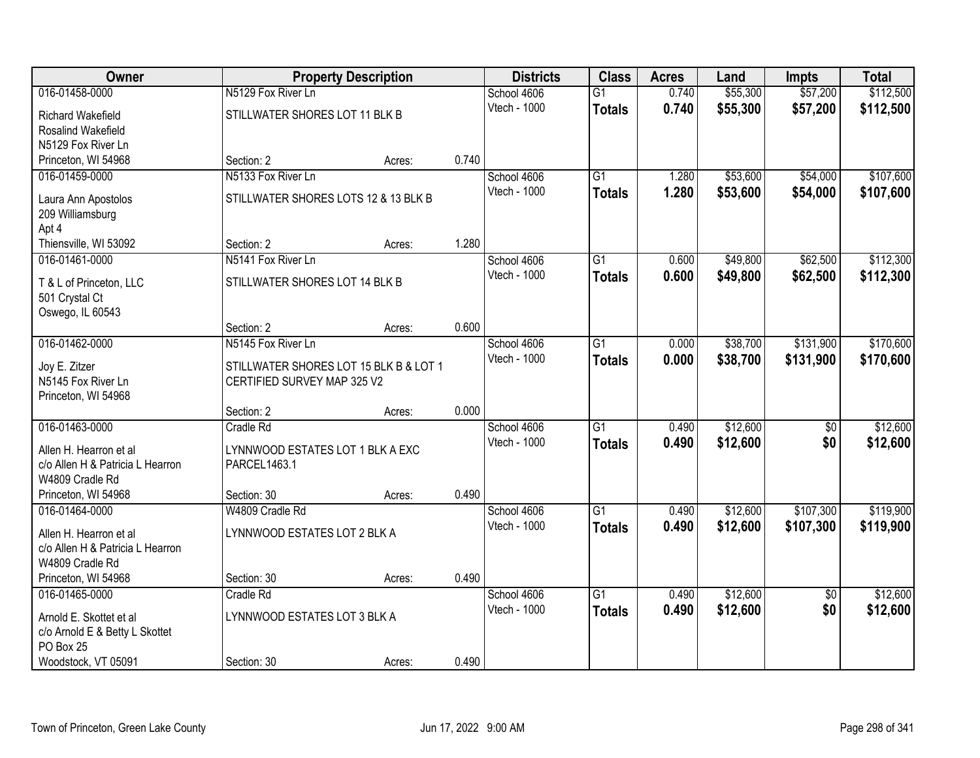| Owner                            |                                        | <b>Property Description</b> |       | <b>Districts</b>    | <b>Class</b>    | <b>Acres</b> | Land     | <b>Impts</b>    | <b>Total</b> |
|----------------------------------|----------------------------------------|-----------------------------|-------|---------------------|-----------------|--------------|----------|-----------------|--------------|
| 016-01458-0000                   | N5129 Fox River Ln                     |                             |       | School 4606         | $\overline{G1}$ | 0.740        | \$55,300 | \$57,200        | \$112,500    |
| Richard Wakefield                | STILLWATER SHORES LOT 11 BLK B         |                             |       | Vtech - 1000        | <b>Totals</b>   | 0.740        | \$55,300 | \$57,200        | \$112,500    |
| Rosalind Wakefield               |                                        |                             |       |                     |                 |              |          |                 |              |
| N5129 Fox River Ln               |                                        |                             |       |                     |                 |              |          |                 |              |
| Princeton, WI 54968              | Section: 2                             | Acres:                      | 0.740 |                     |                 |              |          |                 |              |
| 016-01459-0000                   | N5133 Fox River Ln                     |                             |       | School 4606         | $\overline{G1}$ | 1.280        | \$53,600 | \$54,000        | \$107,600    |
| Laura Ann Apostolos              | STILLWATER SHORES LOTS 12 & 13 BLK B   |                             |       | <b>Vtech - 1000</b> | <b>Totals</b>   | 1.280        | \$53,600 | \$54,000        | \$107,600    |
| 209 Williamsburg                 |                                        |                             |       |                     |                 |              |          |                 |              |
| Apt 4                            |                                        |                             |       |                     |                 |              |          |                 |              |
| Thiensville, WI 53092            | Section: 2                             | Acres:                      | 1.280 |                     |                 |              |          |                 |              |
| 016-01461-0000                   | N5141 Fox River Ln                     |                             |       | School 4606         | $\overline{G1}$ | 0.600        | \$49,800 | \$62,500        | \$112,300    |
| T & L of Princeton, LLC          | STILLWATER SHORES LOT 14 BLK B         |                             |       | Vtech - 1000        | <b>Totals</b>   | 0.600        | \$49,800 | \$62,500        | \$112,300    |
| 501 Crystal Ct                   |                                        |                             |       |                     |                 |              |          |                 |              |
| Oswego, IL 60543                 |                                        |                             |       |                     |                 |              |          |                 |              |
|                                  | Section: 2                             | Acres:                      | 0.600 |                     |                 |              |          |                 |              |
| 016-01462-0000                   | N5145 Fox River Ln                     |                             |       | School 4606         | G1              | 0.000        | \$38,700 | \$131,900       | \$170,600    |
| Joy E. Zitzer                    | STILLWATER SHORES LOT 15 BLK B & LOT 1 |                             |       | Vtech - 1000        | <b>Totals</b>   | 0.000        | \$38,700 | \$131,900       | \$170,600    |
| N5145 Fox River Ln               | CERTIFIED SURVEY MAP 325 V2            |                             |       |                     |                 |              |          |                 |              |
| Princeton, WI 54968              |                                        |                             |       |                     |                 |              |          |                 |              |
|                                  | Section: 2                             | Acres:                      | 0.000 |                     |                 |              |          |                 |              |
| 016-01463-0000                   | Cradle Rd                              |                             |       | School 4606         | $\overline{G1}$ | 0.490        | \$12,600 | $\overline{50}$ | \$12,600     |
| Allen H. Hearron et al           | LYNNWOOD ESTATES LOT 1 BLK A EXC       |                             |       | Vtech - 1000        | <b>Totals</b>   | 0.490        | \$12,600 | \$0             | \$12,600     |
| c/o Allen H & Patricia L Hearron | PARCEL1463.1                           |                             |       |                     |                 |              |          |                 |              |
| W4809 Cradle Rd                  |                                        |                             |       |                     |                 |              |          |                 |              |
| Princeton, WI 54968              | Section: 30                            | Acres:                      | 0.490 |                     |                 |              |          |                 |              |
| 016-01464-0000                   | W4809 Cradle Rd                        |                             |       | School 4606         | $\overline{G1}$ | 0.490        | \$12,600 | \$107,300       | \$119,900    |
| Allen H. Hearron et al           | LYNNWOOD ESTATES LOT 2 BLK A           |                             |       | Vtech - 1000        | <b>Totals</b>   | 0.490        | \$12,600 | \$107,300       | \$119,900    |
| c/o Allen H & Patricia L Hearron |                                        |                             |       |                     |                 |              |          |                 |              |
| W4809 Cradle Rd                  |                                        |                             |       |                     |                 |              |          |                 |              |
| Princeton, WI 54968              | Section: 30                            | Acres:                      | 0.490 |                     |                 |              |          |                 |              |
| 016-01465-0000                   | Cradle Rd                              |                             |       | School 4606         | $\overline{G1}$ | 0.490        | \$12,600 | $\overline{50}$ | \$12,600     |
| Arnold E. Skottet et al          | LYNNWOOD ESTATES LOT 3 BLK A           |                             |       | Vtech - 1000        | <b>Totals</b>   | 0.490        | \$12,600 | \$0             | \$12,600     |
| c/o Arnold E & Betty L Skottet   |                                        |                             |       |                     |                 |              |          |                 |              |
| PO Box 25                        |                                        |                             |       |                     |                 |              |          |                 |              |
| Woodstock, VT 05091              | Section: 30                            | Acres:                      | 0.490 |                     |                 |              |          |                 |              |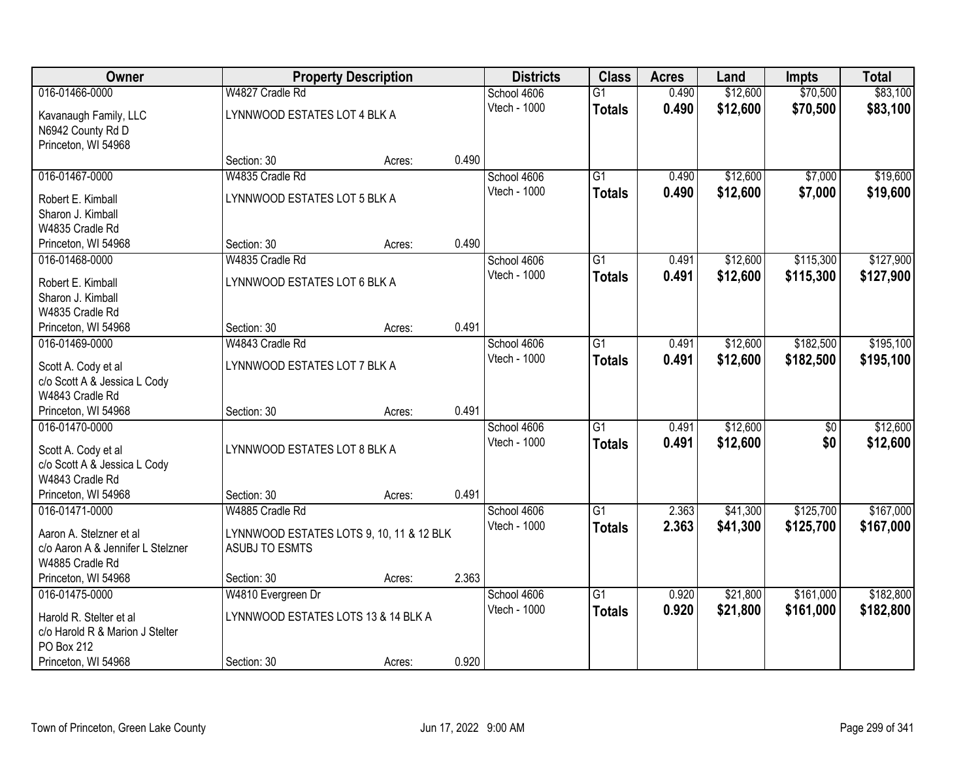| Owner                                               |                                          | <b>Property Description</b> |       | <b>Districts</b>            | <b>Class</b>    | <b>Acres</b> | Land     | <b>Impts</b>    | <b>Total</b> |
|-----------------------------------------------------|------------------------------------------|-----------------------------|-------|-----------------------------|-----------------|--------------|----------|-----------------|--------------|
| 016-01466-0000                                      | W4827 Cradle Rd                          |                             |       | School 4606                 | $\overline{G1}$ | 0.490        | \$12,600 | \$70,500        | \$83,100     |
| Kavanaugh Family, LLC                               | LYNNWOOD ESTATES LOT 4 BLK A             |                             |       | Vtech - 1000                | <b>Totals</b>   | 0.490        | \$12,600 | \$70,500        | \$83,100     |
| N6942 County Rd D                                   |                                          |                             |       |                             |                 |              |          |                 |              |
| Princeton, WI 54968                                 |                                          |                             |       |                             |                 |              |          |                 |              |
|                                                     | Section: 30                              | Acres:                      | 0.490 |                             |                 |              |          |                 |              |
| 016-01467-0000                                      | W4835 Cradle Rd                          |                             |       | School 4606                 | $\overline{G1}$ | 0.490        | \$12,600 | \$7,000         | \$19,600     |
| Robert E. Kimball                                   | LYNNWOOD ESTATES LOT 5 BLK A             |                             |       | Vtech - 1000                | <b>Totals</b>   | 0.490        | \$12,600 | \$7,000         | \$19,600     |
| Sharon J. Kimball                                   |                                          |                             |       |                             |                 |              |          |                 |              |
| W4835 Cradle Rd                                     |                                          |                             |       |                             |                 |              |          |                 |              |
| Princeton, WI 54968                                 | Section: 30                              | Acres:                      | 0.490 |                             |                 |              |          |                 |              |
| 016-01468-0000                                      | W4835 Cradle Rd                          |                             |       | School 4606                 | G <sub>1</sub>  | 0.491        | \$12,600 | \$115,300       | \$127,900    |
| Robert E. Kimball                                   | LYNNWOOD ESTATES LOT 6 BLK A             |                             |       | Vtech - 1000                | <b>Totals</b>   | 0.491        | \$12,600 | \$115,300       | \$127,900    |
| Sharon J. Kimball                                   |                                          |                             |       |                             |                 |              |          |                 |              |
| W4835 Cradle Rd                                     |                                          |                             |       |                             |                 |              |          |                 |              |
| Princeton, WI 54968                                 | Section: 30                              | Acres:                      | 0.491 |                             |                 |              |          |                 |              |
| 016-01469-0000                                      | W4843 Cradle Rd                          |                             |       | School 4606                 | G1              | 0.491        | \$12,600 | \$182,500       | \$195,100    |
|                                                     | LYNNWOOD ESTATES LOT 7 BLK A             |                             |       | Vtech - 1000                | <b>Totals</b>   | 0.491        | \$12,600 | \$182,500       | \$195,100    |
| Scott A. Cody et al<br>c/o Scott A & Jessica L Cody |                                          |                             |       |                             |                 |              |          |                 |              |
| W4843 Cradle Rd                                     |                                          |                             |       |                             |                 |              |          |                 |              |
| Princeton, WI 54968                                 | Section: 30                              | Acres:                      | 0.491 |                             |                 |              |          |                 |              |
| 016-01470-0000                                      |                                          |                             |       | School 4606                 | $\overline{G1}$ | 0.491        | \$12,600 | $\overline{50}$ | \$12,600     |
|                                                     |                                          |                             |       | Vtech - 1000                | <b>Totals</b>   | 0.491        | \$12,600 | \$0             | \$12,600     |
| Scott A. Cody et al                                 | LYNNWOOD ESTATES LOT 8 BLK A             |                             |       |                             |                 |              |          |                 |              |
| c/o Scott A & Jessica L Cody<br>W4843 Cradle Rd     |                                          |                             |       |                             |                 |              |          |                 |              |
| Princeton, WI 54968                                 | Section: 30                              | Acres:                      | 0.491 |                             |                 |              |          |                 |              |
| 016-01471-0000                                      | W4885 Cradle Rd                          |                             |       | School 4606                 | $\overline{G1}$ | 2.363        | \$41,300 | \$125,700       | \$167,000    |
|                                                     |                                          |                             |       | Vtech - 1000                | <b>Totals</b>   | 2.363        | \$41,300 | \$125,700       | \$167,000    |
| Aaron A. Stelzner et al                             | LYNNWOOD ESTATES LOTS 9, 10, 11 & 12 BLK |                             |       |                             |                 |              |          |                 |              |
| c/o Aaron A & Jennifer L Stelzner                   | ASUBJ TO ESMTS                           |                             |       |                             |                 |              |          |                 |              |
| W4885 Cradle Rd                                     |                                          |                             |       |                             |                 |              |          |                 |              |
| Princeton, WI 54968                                 | Section: 30                              | Acres:                      | 2.363 |                             | $\overline{G1}$ |              |          |                 |              |
| 016-01475-0000                                      | W4810 Evergreen Dr                       |                             |       | School 4606<br>Vtech - 1000 |                 | 0.920        | \$21,800 | \$161,000       | \$182,800    |
| Harold R. Stelter et al                             | LYNNWOOD ESTATES LOTS 13 & 14 BLK A      |                             |       |                             | <b>Totals</b>   | 0.920        | \$21,800 | \$161,000       | \$182,800    |
| c/o Harold R & Marion J Stelter                     |                                          |                             |       |                             |                 |              |          |                 |              |
| PO Box 212                                          |                                          |                             |       |                             |                 |              |          |                 |              |
| Princeton, WI 54968                                 | Section: 30                              | Acres:                      | 0.920 |                             |                 |              |          |                 |              |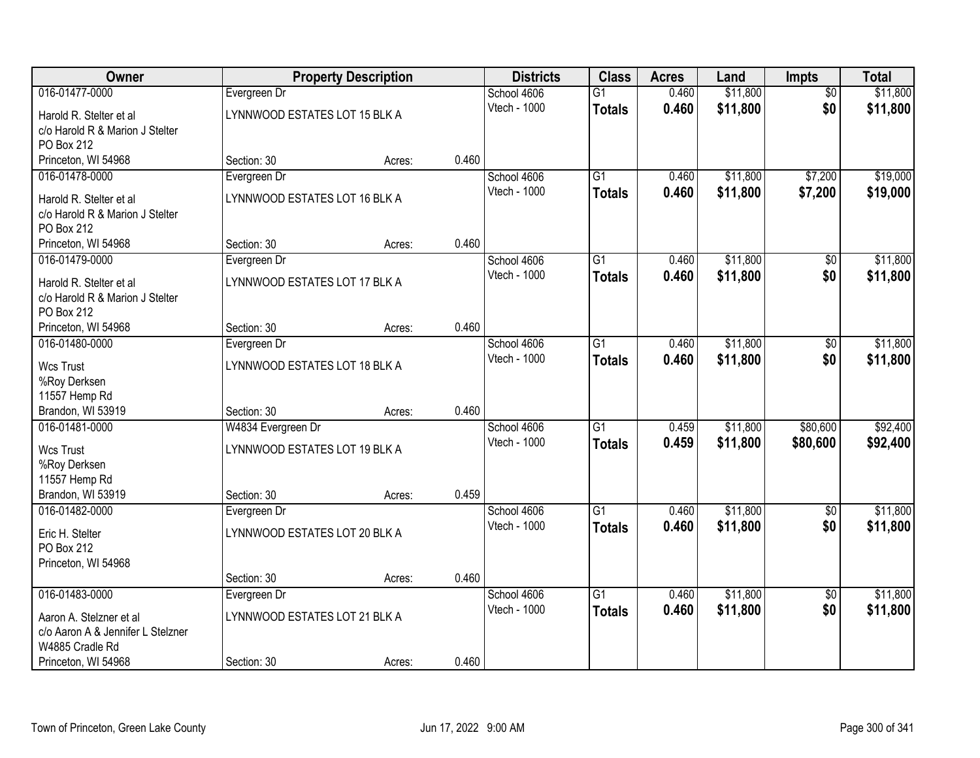| Owner                             |                               | <b>Property Description</b> |       | <b>Districts</b> | <b>Class</b>    | <b>Acres</b> | Land     | Impts           | <b>Total</b> |
|-----------------------------------|-------------------------------|-----------------------------|-------|------------------|-----------------|--------------|----------|-----------------|--------------|
| 016-01477-0000                    | Evergreen Dr                  |                             |       | School 4606      | $\overline{G1}$ | 0.460        | \$11,800 | $\overline{50}$ | \$11,800     |
| Harold R. Stelter et al           | LYNNWOOD ESTATES LOT 15 BLK A |                             |       | Vtech - 1000     | <b>Totals</b>   | 0.460        | \$11,800 | \$0             | \$11,800     |
| c/o Harold R & Marion J Stelter   |                               |                             |       |                  |                 |              |          |                 |              |
| PO Box 212                        |                               |                             |       |                  |                 |              |          |                 |              |
| Princeton, WI 54968               | Section: 30                   | Acres:                      | 0.460 |                  |                 |              |          |                 |              |
| 016-01478-0000                    | Evergreen Dr                  |                             |       | School 4606      | $\overline{G1}$ | 0.460        | \$11,800 | \$7,200         | \$19,000     |
| Harold R. Stelter et al           | LYNNWOOD ESTATES LOT 16 BLK A |                             |       | Vtech - 1000     | <b>Totals</b>   | 0.460        | \$11,800 | \$7,200         | \$19,000     |
| c/o Harold R & Marion J Stelter   |                               |                             |       |                  |                 |              |          |                 |              |
| PO Box 212                        |                               |                             |       |                  |                 |              |          |                 |              |
| Princeton, WI 54968               | Section: 30                   | Acres:                      | 0.460 |                  |                 |              |          |                 |              |
| 016-01479-0000                    | Evergreen Dr                  |                             |       | School 4606      | G <sub>1</sub>  | 0.460        | \$11,800 | \$0             | \$11,800     |
| Harold R. Stelter et al           | LYNNWOOD ESTATES LOT 17 BLK A |                             |       | Vtech - 1000     | <b>Totals</b>   | 0.460        | \$11,800 | \$0             | \$11,800     |
| c/o Harold R & Marion J Stelter   |                               |                             |       |                  |                 |              |          |                 |              |
| PO Box 212                        |                               |                             |       |                  |                 |              |          |                 |              |
| Princeton, WI 54968               | Section: 30                   | Acres:                      | 0.460 |                  |                 |              |          |                 |              |
| 016-01480-0000                    | Evergreen Dr                  |                             |       | School 4606      | $\overline{G1}$ | 0.460        | \$11,800 | \$0             | \$11,800     |
| <b>Wcs Trust</b>                  | LYNNWOOD ESTATES LOT 18 BLK A |                             |       | Vtech - 1000     | <b>Totals</b>   | 0.460        | \$11,800 | \$0             | \$11,800     |
| %Roy Derksen                      |                               |                             |       |                  |                 |              |          |                 |              |
| 11557 Hemp Rd                     |                               |                             |       |                  |                 |              |          |                 |              |
| Brandon, WI 53919                 | Section: 30                   | Acres:                      | 0.460 |                  |                 |              |          |                 |              |
| 016-01481-0000                    | W4834 Evergreen Dr            |                             |       | School 4606      | $\overline{G1}$ | 0.459        | \$11,800 | \$80,600        | \$92,400     |
| <b>Wcs Trust</b>                  | LYNNWOOD ESTATES LOT 19 BLK A |                             |       | Vtech - 1000     | <b>Totals</b>   | 0.459        | \$11,800 | \$80,600        | \$92,400     |
| %Roy Derksen                      |                               |                             |       |                  |                 |              |          |                 |              |
| 11557 Hemp Rd                     |                               |                             |       |                  |                 |              |          |                 |              |
| Brandon, WI 53919                 | Section: 30                   | Acres:                      | 0.459 |                  |                 |              |          |                 |              |
| 016-01482-0000                    | Evergreen Dr                  |                             |       | School 4606      | $\overline{G1}$ | 0.460        | \$11,800 | $\overline{50}$ | \$11,800     |
| Eric H. Stelter                   | LYNNWOOD ESTATES LOT 20 BLK A |                             |       | Vtech - 1000     | <b>Totals</b>   | 0.460        | \$11,800 | \$0             | \$11,800     |
| PO Box 212                        |                               |                             |       |                  |                 |              |          |                 |              |
| Princeton, WI 54968               |                               |                             |       |                  |                 |              |          |                 |              |
|                                   | Section: 30                   | Acres:                      | 0.460 |                  |                 |              |          |                 |              |
| 016-01483-0000                    | Evergreen Dr                  |                             |       | School 4606      | $\overline{G1}$ | 0.460        | \$11,800 | $\overline{50}$ | \$11,800     |
| Aaron A. Stelzner et al           | LYNNWOOD ESTATES LOT 21 BLK A |                             |       | Vtech - 1000     | <b>Totals</b>   | 0.460        | \$11,800 | \$0             | \$11,800     |
| c/o Aaron A & Jennifer L Stelzner |                               |                             |       |                  |                 |              |          |                 |              |
| W4885 Cradle Rd                   |                               |                             |       |                  |                 |              |          |                 |              |
| Princeton, WI 54968               | Section: 30                   | Acres:                      | 0.460 |                  |                 |              |          |                 |              |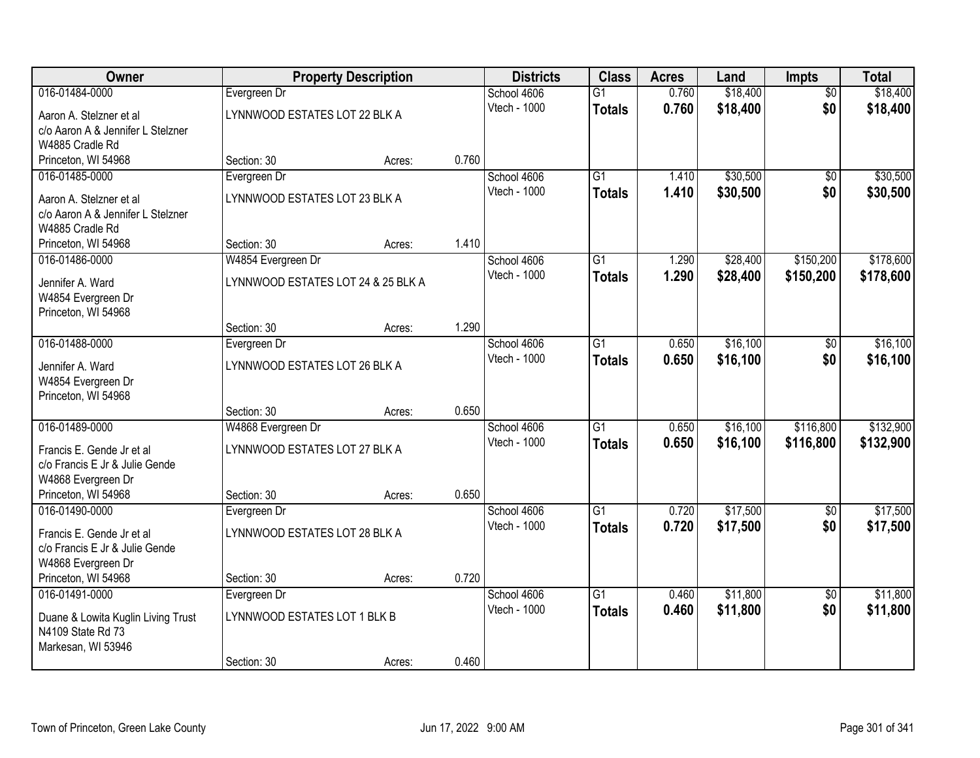| <b>Owner</b>                       |                                    | <b>Property Description</b> |       | <b>Districts</b> | <b>Class</b>    | <b>Acres</b> | Land     | Impts           | <b>Total</b> |
|------------------------------------|------------------------------------|-----------------------------|-------|------------------|-----------------|--------------|----------|-----------------|--------------|
| 016-01484-0000                     | Evergreen Dr                       |                             |       | School 4606      | $\overline{G1}$ | 0.760        | \$18,400 | $\overline{50}$ | \$18,400     |
| Aaron A. Stelzner et al            | LYNNWOOD ESTATES LOT 22 BLK A      |                             |       | Vtech - 1000     | <b>Totals</b>   | 0.760        | \$18,400 | \$0             | \$18,400     |
| c/o Aaron A & Jennifer L Stelzner  |                                    |                             |       |                  |                 |              |          |                 |              |
| W4885 Cradle Rd                    |                                    |                             |       |                  |                 |              |          |                 |              |
| Princeton, WI 54968                | Section: 30                        | Acres:                      | 0.760 |                  |                 |              |          |                 |              |
| 016-01485-0000                     | Evergreen Dr                       |                             |       | School 4606      | $\overline{G1}$ | 1.410        | \$30,500 | \$0             | \$30,500     |
| Aaron A. Stelzner et al            | LYNNWOOD ESTATES LOT 23 BLK A      |                             |       | Vtech - 1000     | <b>Totals</b>   | 1.410        | \$30,500 | \$0             | \$30,500     |
| c/o Aaron A & Jennifer L Stelzner  |                                    |                             |       |                  |                 |              |          |                 |              |
| W4885 Cradle Rd                    |                                    |                             |       |                  |                 |              |          |                 |              |
| Princeton, WI 54968                | Section: 30                        | Acres:                      | 1.410 |                  |                 |              |          |                 |              |
| 016-01486-0000                     | W4854 Evergreen Dr                 |                             |       | School 4606      | G1              | 1.290        | \$28,400 | \$150,200       | \$178,600    |
| Jennifer A. Ward                   | LYNNWOOD ESTATES LOT 24 & 25 BLK A |                             |       | Vtech - 1000     | <b>Totals</b>   | 1.290        | \$28,400 | \$150,200       | \$178,600    |
| W4854 Evergreen Dr                 |                                    |                             |       |                  |                 |              |          |                 |              |
| Princeton, WI 54968                |                                    |                             |       |                  |                 |              |          |                 |              |
|                                    | Section: 30                        | Acres:                      | 1.290 |                  |                 |              |          |                 |              |
| 016-01488-0000                     | Evergreen Dr                       |                             |       | School 4606      | $\overline{G1}$ | 0.650        | \$16,100 | \$0             | \$16,100     |
| Jennifer A. Ward                   | LYNNWOOD ESTATES LOT 26 BLK A      |                             |       | Vtech - 1000     | <b>Totals</b>   | 0.650        | \$16,100 | \$0             | \$16,100     |
| W4854 Evergreen Dr                 |                                    |                             |       |                  |                 |              |          |                 |              |
| Princeton, WI 54968                |                                    |                             |       |                  |                 |              |          |                 |              |
|                                    | Section: 30                        | Acres:                      | 0.650 |                  |                 |              |          |                 |              |
| 016-01489-0000                     | W4868 Evergreen Dr                 |                             |       | School 4606      | $\overline{G1}$ | 0.650        | \$16,100 | \$116,800       | \$132,900    |
| Francis E. Gende Jr et al          | LYNNWOOD ESTATES LOT 27 BLK A      |                             |       | Vtech - 1000     | <b>Totals</b>   | 0.650        | \$16,100 | \$116,800       | \$132,900    |
| c/o Francis E Jr & Julie Gende     |                                    |                             |       |                  |                 |              |          |                 |              |
| W4868 Evergreen Dr                 |                                    |                             |       |                  |                 |              |          |                 |              |
| Princeton, WI 54968                | Section: 30                        | Acres:                      | 0.650 |                  |                 |              |          |                 |              |
| 016-01490-0000                     | Evergreen Dr                       |                             |       | School 4606      | $\overline{G1}$ | 0.720        | \$17,500 | $\overline{60}$ | \$17,500     |
| Francis E. Gende Jr et al          | LYNNWOOD ESTATES LOT 28 BLK A      |                             |       | Vtech - 1000     | <b>Totals</b>   | 0.720        | \$17,500 | \$0             | \$17,500     |
| c/o Francis E Jr & Julie Gende     |                                    |                             |       |                  |                 |              |          |                 |              |
| W4868 Evergreen Dr                 |                                    |                             |       |                  |                 |              |          |                 |              |
| Princeton, WI 54968                | Section: 30                        | Acres:                      | 0.720 |                  |                 |              |          |                 |              |
| 016-01491-0000                     | Evergreen Dr                       |                             |       | School 4606      | $\overline{G1}$ | 0.460        | \$11,800 | $\overline{50}$ | \$11,800     |
| Duane & Lowita Kuglin Living Trust | LYNNWOOD ESTATES LOT 1 BLK B       |                             |       | Vtech - 1000     | <b>Totals</b>   | 0.460        | \$11,800 | \$0             | \$11,800     |
| N4109 State Rd 73                  |                                    |                             |       |                  |                 |              |          |                 |              |
| Markesan, WI 53946                 |                                    |                             |       |                  |                 |              |          |                 |              |
|                                    | Section: 30                        | Acres:                      | 0.460 |                  |                 |              |          |                 |              |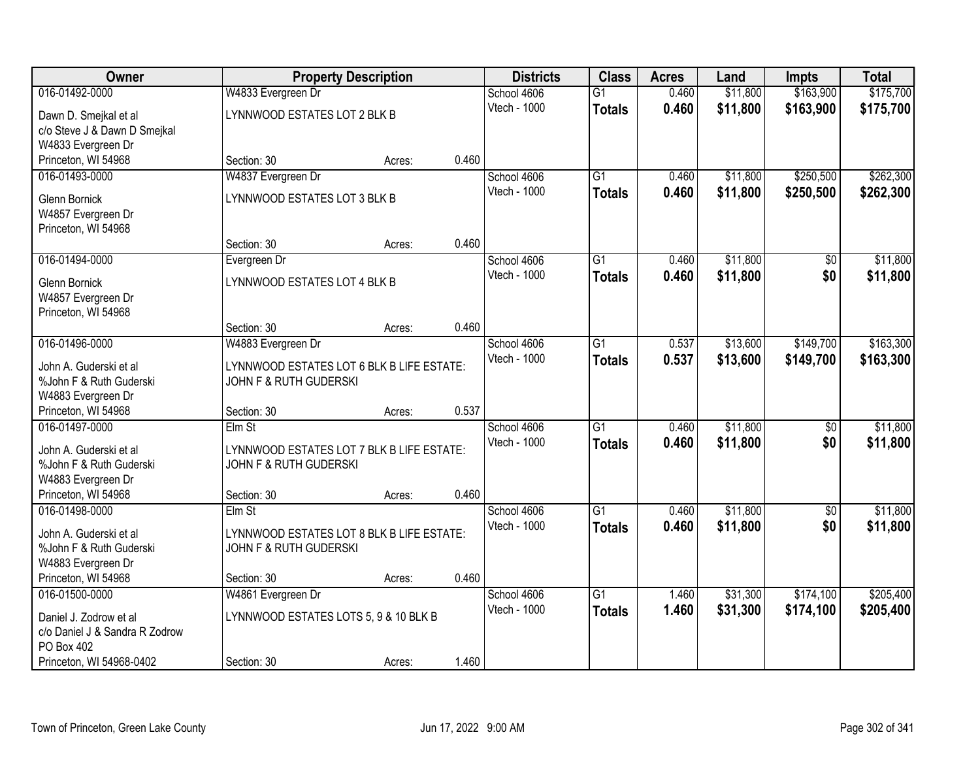| Owner                                                    |                                           | <b>Property Description</b> |       | <b>Districts</b> | <b>Class</b>    | <b>Acres</b> | Land     | Impts           | <b>Total</b> |
|----------------------------------------------------------|-------------------------------------------|-----------------------------|-------|------------------|-----------------|--------------|----------|-----------------|--------------|
| 016-01492-0000                                           | W4833 Evergreen Dr                        |                             |       | School 4606      | $\overline{G1}$ | 0.460        | \$11,800 | \$163,900       | \$175,700    |
| Dawn D. Smejkal et al                                    | LYNNWOOD ESTATES LOT 2 BLK B              |                             |       | Vtech - 1000     | <b>Totals</b>   | 0.460        | \$11,800 | \$163,900       | \$175,700    |
| c/o Steve J & Dawn D Smejkal                             |                                           |                             |       |                  |                 |              |          |                 |              |
| W4833 Evergreen Dr                                       |                                           |                             |       |                  |                 |              |          |                 |              |
| Princeton, WI 54968                                      | Section: 30                               | Acres:                      | 0.460 |                  |                 |              |          |                 |              |
| 016-01493-0000                                           | W4837 Evergreen Dr                        |                             |       | School 4606      | $\overline{G1}$ | 0.460        | \$11,800 | \$250,500       | \$262,300    |
| <b>Glenn Bornick</b>                                     | LYNNWOOD ESTATES LOT 3 BLK B              |                             |       | Vtech - 1000     | <b>Totals</b>   | 0.460        | \$11,800 | \$250,500       | \$262,300    |
| W4857 Evergreen Dr                                       |                                           |                             |       |                  |                 |              |          |                 |              |
| Princeton, WI 54968                                      |                                           |                             |       |                  |                 |              |          |                 |              |
|                                                          | Section: 30                               | Acres:                      | 0.460 |                  |                 |              |          |                 |              |
| 016-01494-0000                                           | Evergreen Dr                              |                             |       | School 4606      | $\overline{G1}$ | 0.460        | \$11,800 | \$0             | \$11,800     |
| <b>Glenn Bornick</b>                                     | LYNNWOOD ESTATES LOT 4 BLK B              |                             |       | Vtech - 1000     | <b>Totals</b>   | 0.460        | \$11,800 | \$0             | \$11,800     |
| W4857 Evergreen Dr                                       |                                           |                             |       |                  |                 |              |          |                 |              |
| Princeton, WI 54968                                      |                                           |                             |       |                  |                 |              |          |                 |              |
|                                                          | Section: 30                               | Acres:                      | 0.460 |                  |                 |              |          |                 |              |
| 016-01496-0000                                           | W4883 Evergreen Dr                        |                             |       | School 4606      | $\overline{G1}$ | 0.537        | \$13,600 | \$149,700       | \$163,300    |
| John A. Guderski et al.                                  | LYNNWOOD ESTATES LOT 6 BLK B LIFE ESTATE: |                             |       | Vtech - 1000     | <b>Totals</b>   | 0.537        | \$13,600 | \$149,700       | \$163,300    |
| %John F & Ruth Guderski                                  | JOHN F & RUTH GUDERSKI                    |                             |       |                  |                 |              |          |                 |              |
| W4883 Evergreen Dr                                       |                                           |                             |       |                  |                 |              |          |                 |              |
| Princeton, WI 54968                                      | Section: 30                               | Acres:                      | 0.537 |                  |                 |              |          |                 |              |
| 016-01497-0000                                           | Elm St                                    |                             |       | School 4606      | $\overline{G1}$ | 0.460        | \$11,800 | $\overline{50}$ | \$11,800     |
| John A. Guderski et al                                   | LYNNWOOD ESTATES LOT 7 BLK B LIFE ESTATE: |                             |       | Vtech - 1000     | <b>Totals</b>   | 0.460        | \$11,800 | \$0             | \$11,800     |
| %John F & Ruth Guderski                                  | <b>JOHN F &amp; RUTH GUDERSKI</b>         |                             |       |                  |                 |              |          |                 |              |
| W4883 Evergreen Dr                                       |                                           |                             |       |                  |                 |              |          |                 |              |
| Princeton, WI 54968                                      | Section: 30                               | Acres:                      | 0.460 |                  |                 |              |          |                 |              |
| 016-01498-0000                                           | $E$ Im St                                 |                             |       | School 4606      | $\overline{G1}$ | 0.460        | \$11,800 | $\overline{50}$ | \$11,800     |
| John A. Guderski et al                                   | LYNNWOOD ESTATES LOT 8 BLK B LIFE ESTATE: |                             |       | Vtech - 1000     | <b>Totals</b>   | 0.460        | \$11,800 | \$0             | \$11,800     |
| %John F & Ruth Guderski                                  | JOHN F & RUTH GUDERSKI                    |                             |       |                  |                 |              |          |                 |              |
| W4883 Evergreen Dr                                       |                                           |                             |       |                  |                 |              |          |                 |              |
| Princeton, WI 54968                                      | Section: 30                               | Acres:                      | 0.460 |                  |                 |              |          |                 |              |
| 016-01500-0000                                           | W4861 Evergreen Dr                        |                             |       | School 4606      | $\overline{G1}$ | 1.460        | \$31,300 | \$174,100       | \$205,400    |
|                                                          | LYNNWOOD ESTATES LOTS 5, 9 & 10 BLK B     |                             |       | Vtech - 1000     | <b>Totals</b>   | 1.460        | \$31,300 | \$174,100       | \$205,400    |
| Daniel J. Zodrow et al<br>c/o Daniel J & Sandra R Zodrow |                                           |                             |       |                  |                 |              |          |                 |              |
| PO Box 402                                               |                                           |                             |       |                  |                 |              |          |                 |              |
| Princeton, WI 54968-0402                                 | Section: 30                               | Acres:                      | 1.460 |                  |                 |              |          |                 |              |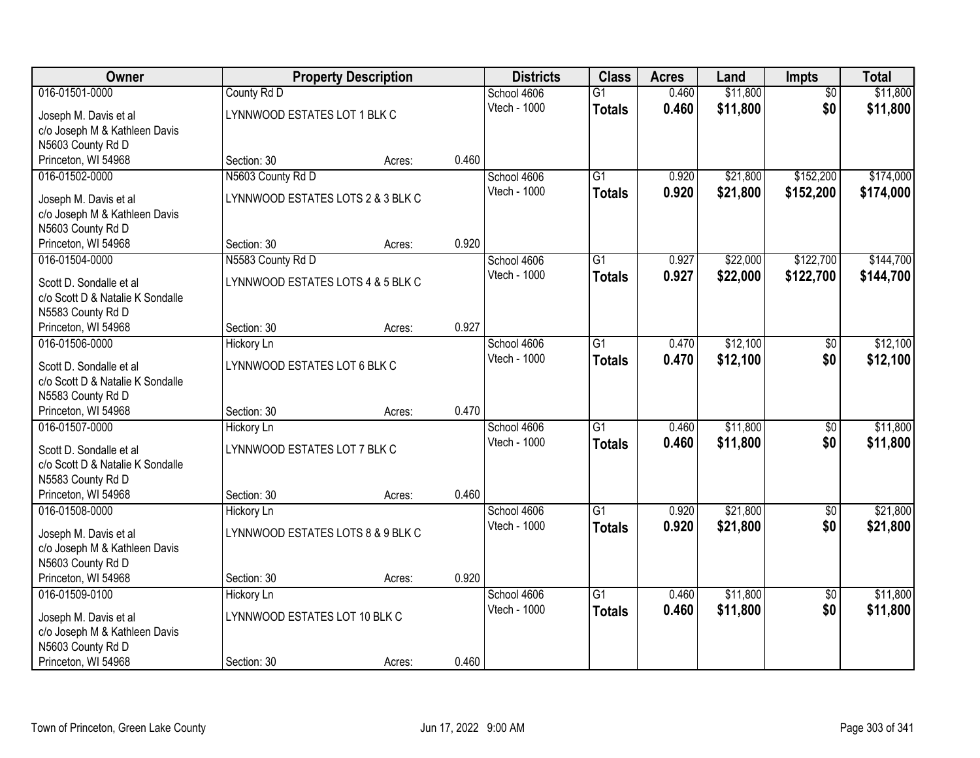| <b>Owner</b>                                                |                                   | <b>Property Description</b> |       | <b>Districts</b>    | <b>Class</b>    | <b>Acres</b> | Land     | Impts           | <b>Total</b> |
|-------------------------------------------------------------|-----------------------------------|-----------------------------|-------|---------------------|-----------------|--------------|----------|-----------------|--------------|
| 016-01501-0000                                              | County Rd D                       |                             |       | School 4606         | $\overline{G1}$ | 0.460        | \$11,800 | $\overline{50}$ | \$11,800     |
| Joseph M. Davis et al                                       | LYNNWOOD ESTATES LOT 1 BLK C      |                             |       | Vtech - 1000        | <b>Totals</b>   | 0.460        | \$11,800 | \$0             | \$11,800     |
| c/o Joseph M & Kathleen Davis                               |                                   |                             |       |                     |                 |              |          |                 |              |
| N5603 County Rd D                                           |                                   |                             |       |                     |                 |              |          |                 |              |
| Princeton, WI 54968                                         | Section: 30                       | Acres:                      | 0.460 |                     |                 |              |          |                 |              |
| 016-01502-0000                                              | N5603 County Rd D                 |                             |       | School 4606         | $\overline{G1}$ | 0.920        | \$21,800 | \$152,200       | \$174,000    |
| Joseph M. Davis et al                                       | LYNNWOOD ESTATES LOTS 2 & 3 BLK C |                             |       | <b>Vtech - 1000</b> | <b>Totals</b>   | 0.920        | \$21,800 | \$152,200       | \$174,000    |
| c/o Joseph M & Kathleen Davis                               |                                   |                             |       |                     |                 |              |          |                 |              |
| N5603 County Rd D                                           |                                   |                             |       |                     |                 |              |          |                 |              |
| Princeton, WI 54968                                         | Section: 30                       | Acres:                      | 0.920 |                     |                 |              |          |                 |              |
| 016-01504-0000                                              | N5583 County Rd D                 |                             |       | School 4606         | $\overline{G1}$ | 0.927        | \$22,000 | \$122,700       | \$144,700    |
| Scott D. Sondalle et al                                     | LYNNWOOD ESTATES LOTS 4 & 5 BLK C |                             |       | Vtech - 1000        | <b>Totals</b>   | 0.927        | \$22,000 | \$122,700       | \$144,700    |
| c/o Scott D & Natalie K Sondalle                            |                                   |                             |       |                     |                 |              |          |                 |              |
| N5583 County Rd D                                           |                                   |                             |       |                     |                 |              |          |                 |              |
| Princeton, WI 54968                                         | Section: 30                       | Acres:                      | 0.927 |                     |                 |              |          |                 |              |
| 016-01506-0000                                              | <b>Hickory Ln</b>                 |                             |       | School 4606         | G1              | 0.470        | \$12,100 | \$0             | \$12,100     |
| Scott D. Sondalle et al                                     | LYNNWOOD ESTATES LOT 6 BLK C      |                             |       | Vtech - 1000        | <b>Totals</b>   | 0.470        | \$12,100 | \$0             | \$12,100     |
| c/o Scott D & Natalie K Sondalle                            |                                   |                             |       |                     |                 |              |          |                 |              |
| N5583 County Rd D                                           |                                   |                             |       |                     |                 |              |          |                 |              |
| Princeton, WI 54968                                         | Section: 30                       | Acres:                      | 0.470 |                     |                 |              |          |                 |              |
| 016-01507-0000                                              | <b>Hickory Ln</b>                 |                             |       | School 4606         | $\overline{G1}$ | 0.460        | \$11,800 | $\overline{50}$ | \$11,800     |
|                                                             |                                   |                             |       | Vtech - 1000        | <b>Totals</b>   | 0.460        | \$11,800 | \$0             | \$11,800     |
| Scott D. Sondalle et al<br>c/o Scott D & Natalie K Sondalle | LYNNWOOD ESTATES LOT 7 BLK C      |                             |       |                     |                 |              |          |                 |              |
| N5583 County Rd D                                           |                                   |                             |       |                     |                 |              |          |                 |              |
| Princeton, WI 54968                                         | Section: 30                       | Acres:                      | 0.460 |                     |                 |              |          |                 |              |
| 016-01508-0000                                              | Hickory Ln                        |                             |       | School 4606         | $\overline{G1}$ | 0.920        | \$21,800 | $\overline{60}$ | \$21,800     |
|                                                             |                                   |                             |       | Vtech - 1000        | <b>Totals</b>   | 0.920        | \$21,800 | \$0             | \$21,800     |
| Joseph M. Davis et al                                       | LYNNWOOD ESTATES LOTS 8 & 9 BLK C |                             |       |                     |                 |              |          |                 |              |
| c/o Joseph M & Kathleen Davis<br>N5603 County Rd D          |                                   |                             |       |                     |                 |              |          |                 |              |
| Princeton, WI 54968                                         | Section: 30                       | Acres:                      | 0.920 |                     |                 |              |          |                 |              |
| 016-01509-0100                                              | <b>Hickory Ln</b>                 |                             |       | School 4606         | $\overline{G1}$ | 0.460        | \$11,800 | $\overline{30}$ | \$11,800     |
|                                                             |                                   |                             |       | Vtech - 1000        | <b>Totals</b>   | 0.460        | \$11,800 | \$0             | \$11,800     |
| Joseph M. Davis et al                                       | LYNNWOOD ESTATES LOT 10 BLK C     |                             |       |                     |                 |              |          |                 |              |
| c/o Joseph M & Kathleen Davis                               |                                   |                             |       |                     |                 |              |          |                 |              |
| N5603 County Rd D                                           |                                   |                             | 0.460 |                     |                 |              |          |                 |              |
| Princeton, WI 54968                                         | Section: 30                       | Acres:                      |       |                     |                 |              |          |                 |              |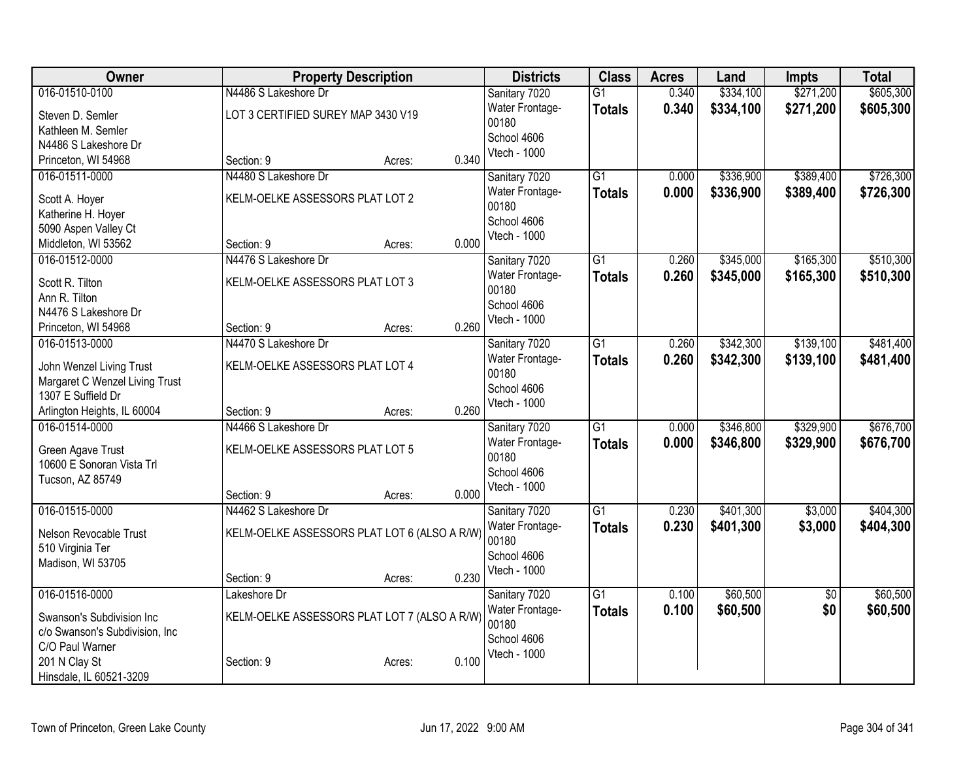| <b>Owner</b>                                  |                                              | <b>Property Description</b> |       | <b>Districts</b>         | <b>Class</b>    | <b>Acres</b> | Land      | <b>Impts</b>    | <b>Total</b> |
|-----------------------------------------------|----------------------------------------------|-----------------------------|-------|--------------------------|-----------------|--------------|-----------|-----------------|--------------|
| 016-01510-0100                                | N4486 S Lakeshore Dr                         |                             |       | Sanitary 7020            | $\overline{G1}$ | 0.340        | \$334,100 | \$271,200       | \$605,300    |
| Steven D. Semler                              | LOT 3 CERTIFIED SUREY MAP 3430 V19           |                             |       | Water Frontage-          | <b>Totals</b>   | 0.340        | \$334,100 | \$271,200       | \$605,300    |
| Kathleen M. Semler                            |                                              |                             |       | 00180                    |                 |              |           |                 |              |
| N4486 S Lakeshore Dr                          |                                              |                             |       | School 4606              |                 |              |           |                 |              |
| Princeton, WI 54968                           | Section: 9                                   | Acres:                      | 0.340 | Vtech - 1000             |                 |              |           |                 |              |
| 016-01511-0000                                | N4480 S Lakeshore Dr                         |                             |       | Sanitary 7020            | $\overline{G1}$ | 0.000        | \$336,900 | \$389,400       | \$726,300    |
| Scott A. Hoyer                                | KELM-OELKE ASSESSORS PLAT LOT 2              |                             |       | Water Frontage-          | <b>Totals</b>   | 0.000        | \$336,900 | \$389,400       | \$726,300    |
| Katherine H. Hoyer                            |                                              |                             |       | 00180                    |                 |              |           |                 |              |
| 5090 Aspen Valley Ct                          |                                              |                             |       | School 4606              |                 |              |           |                 |              |
| Middleton, WI 53562                           | Section: 9                                   | Acres:                      | 0.000 | Vtech - 1000             |                 |              |           |                 |              |
| 016-01512-0000                                | N4476 S Lakeshore Dr                         |                             |       | Sanitary 7020            | $\overline{G1}$ | 0.260        | \$345,000 | \$165,300       | \$510,300    |
| Scott R. Tilton                               | KELM-OELKE ASSESSORS PLAT LOT 3              |                             |       | Water Frontage-          | <b>Totals</b>   | 0.260        | \$345,000 | \$165,300       | \$510,300    |
| Ann R. Tilton                                 |                                              |                             |       | 00180                    |                 |              |           |                 |              |
| N4476 S Lakeshore Dr                          |                                              |                             |       | School 4606              |                 |              |           |                 |              |
| Princeton, WI 54968                           | Section: 9                                   | Acres:                      | 0.260 | Vtech - 1000             |                 |              |           |                 |              |
| 016-01513-0000                                | N4470 S Lakeshore Dr                         |                             |       | Sanitary 7020            | $\overline{G1}$ | 0.260        | \$342,300 | \$139,100       | \$481,400    |
|                                               |                                              |                             |       | Water Frontage-          | <b>Totals</b>   | 0.260        | \$342,300 | \$139,100       | \$481,400    |
| John Wenzel Living Trust                      | KELM-OELKE ASSESSORS PLAT LOT 4              |                             |       | 00180                    |                 |              |           |                 |              |
| Margaret C Wenzel Living Trust                |                                              |                             |       | School 4606              |                 |              |           |                 |              |
| 1307 E Suffield Dr                            | Section: 9                                   |                             | 0.260 | Vtech - 1000             |                 |              |           |                 |              |
| Arlington Heights, IL 60004<br>016-01514-0000 | N4466 S Lakeshore Dr                         | Acres:                      |       |                          | $\overline{G1}$ | 0.000        | \$346,800 | \$329,900       | \$676,700    |
|                                               |                                              |                             |       | Sanitary 7020            |                 |              |           |                 |              |
| Green Agave Trust                             | KELM-OELKE ASSESSORS PLAT LOT 5              |                             |       | Water Frontage-<br>00180 | <b>Totals</b>   | 0.000        | \$346,800 | \$329,900       | \$676,700    |
| 10600 E Sonoran Vista Trl                     |                                              |                             |       | School 4606              |                 |              |           |                 |              |
| Tucson, AZ 85749                              |                                              |                             |       | Vtech - 1000             |                 |              |           |                 |              |
|                                               | Section: 9                                   | Acres:                      | 0.000 |                          |                 |              |           |                 |              |
| 016-01515-0000                                | N4462 S Lakeshore Dr                         |                             |       | Sanitary 7020            | $\overline{G1}$ | 0.230        | \$401,300 | \$3,000         | \$404,300    |
| Nelson Revocable Trust                        | KELM-OELKE ASSESSORS PLAT LOT 6 (ALSO A R/W) |                             |       | Water Frontage-          | <b>Totals</b>   | 0.230        | \$401,300 | \$3,000         | \$404,300    |
| 510 Virginia Ter                              |                                              |                             |       | 00180                    |                 |              |           |                 |              |
| Madison, WI 53705                             |                                              |                             |       | School 4606              |                 |              |           |                 |              |
|                                               | Section: 9                                   | Acres:                      | 0.230 | Vtech - 1000             |                 |              |           |                 |              |
| 016-01516-0000                                | Lakeshore Dr                                 |                             |       | Sanitary 7020            | $\overline{G1}$ | 0.100        | \$60,500  | $\overline{50}$ | \$60,500     |
| Swanson's Subdivision Inc                     | KELM-OELKE ASSESSORS PLAT LOT 7 (ALSO A R/W) |                             |       | Water Frontage-          | <b>Totals</b>   | 0.100        | \$60,500  | \$0             | \$60,500     |
| c/o Swanson's Subdivision, Inc                |                                              |                             |       | 00180                    |                 |              |           |                 |              |
| C/O Paul Warner                               |                                              |                             |       | School 4606              |                 |              |           |                 |              |
| 201 N Clay St                                 | Section: 9                                   | Acres:                      | 0.100 | Vtech - 1000             |                 |              |           |                 |              |
| Hinsdale, IL 60521-3209                       |                                              |                             |       |                          |                 |              |           |                 |              |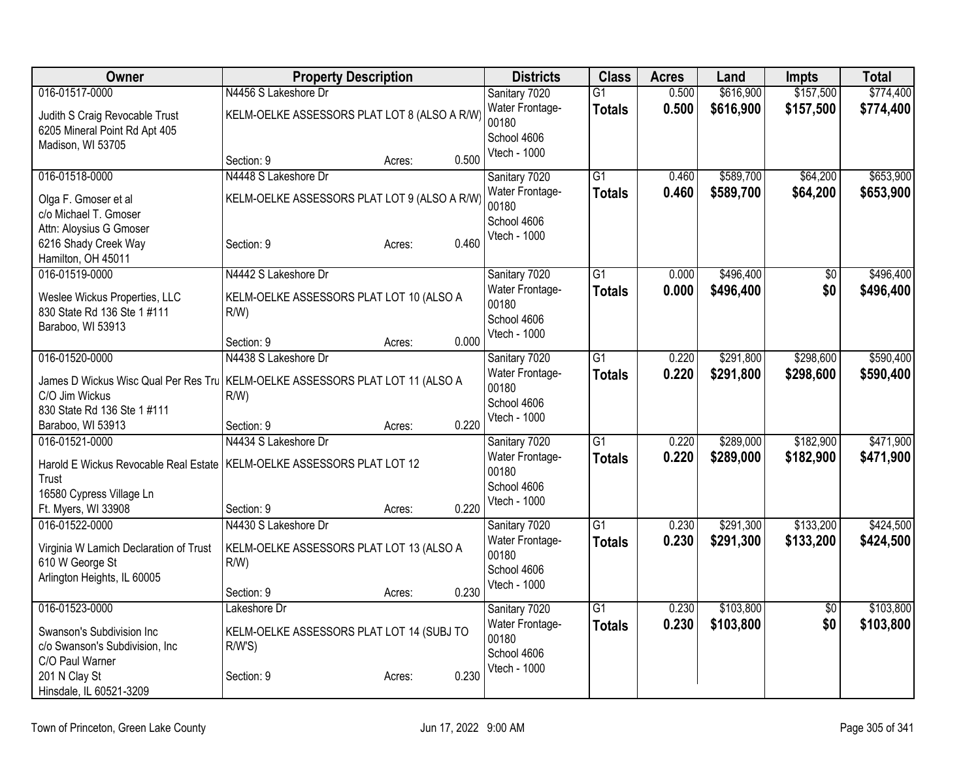| Owner                                  | <b>Property Description</b>                  | <b>Districts</b>         | <b>Class</b>    | <b>Acres</b> | Land      | <b>Impts</b>    | <b>Total</b> |
|----------------------------------------|----------------------------------------------|--------------------------|-----------------|--------------|-----------|-----------------|--------------|
| 016-01517-0000                         | N4456 S Lakeshore Dr                         | Sanitary 7020            | $\overline{G1}$ | 0.500        | \$616,900 | \$157,500       | \$774,400    |
| Judith S Craig Revocable Trust         | KELM-OELKE ASSESSORS PLAT LOT 8 (ALSO A R/W) | Water Frontage-          | <b>Totals</b>   | 0.500        | \$616,900 | \$157,500       | \$774,400    |
| 6205 Mineral Point Rd Apt 405          |                                              | 00180<br>School 4606     |                 |              |           |                 |              |
| Madison, WI 53705                      |                                              | Vtech - 1000             |                 |              |           |                 |              |
|                                        | 0.500<br>Section: 9<br>Acres:                |                          |                 |              |           |                 |              |
| 016-01518-0000                         | N4448 S Lakeshore Dr                         | Sanitary 7020            | G1              | 0.460        | \$589,700 | \$64,200        | \$653,900    |
| Olga F. Gmoser et al                   | KELM-OELKE ASSESSORS PLAT LOT 9 (ALSO A R/W) | Water Frontage-          | <b>Totals</b>   | 0.460        | \$589,700 | \$64,200        | \$653,900    |
| c/o Michael T. Gmoser                  |                                              | 00180<br>School 4606     |                 |              |           |                 |              |
| Attn: Aloysius G Gmoser                |                                              | Vtech - 1000             |                 |              |           |                 |              |
| 6216 Shady Creek Way                   | 0.460<br>Section: 9<br>Acres:                |                          |                 |              |           |                 |              |
| Hamilton, OH 45011                     |                                              |                          |                 |              |           |                 |              |
| 016-01519-0000                         | N4442 S Lakeshore Dr                         | Sanitary 7020            | $\overline{G1}$ | 0.000        | \$496,400 | $\overline{50}$ | \$496,400    |
| Weslee Wickus Properties, LLC          | KELM-OELKE ASSESSORS PLAT LOT 10 (ALSO A     | Water Frontage-<br>00180 | <b>Totals</b>   | 0.000        | \$496,400 | \$0             | \$496,400    |
| 830 State Rd 136 Ste 1 #111            | $R/W$ )                                      | School 4606              |                 |              |           |                 |              |
| Baraboo, WI 53913                      |                                              | Vtech - 1000             |                 |              |           |                 |              |
|                                        | 0.000<br>Section: 9<br>Acres:                |                          |                 |              |           |                 |              |
| 016-01520-0000                         | N4438 S Lakeshore Dr                         | Sanitary 7020            | $\overline{G1}$ | 0.220        | \$291,800 | \$298,600       | \$590,400    |
| James D Wickus Wisc Qual Per Res Tru   | KELM-OELKE ASSESSORS PLAT LOT 11 (ALSO A     | Water Frontage-<br>00180 | <b>Totals</b>   | 0.220        | \$291,800 | \$298,600       | \$590,400    |
| C/O Jim Wickus                         | $R/W$ )                                      | School 4606              |                 |              |           |                 |              |
| 830 State Rd 136 Ste 1 #111            |                                              | Vtech - 1000             |                 |              |           |                 |              |
| Baraboo, WI 53913                      | 0.220<br>Section: 9<br>Acres:                |                          |                 |              |           |                 |              |
| 016-01521-0000                         | N4434 S Lakeshore Dr                         | Sanitary 7020            | $\overline{G1}$ | 0.220        | \$289,000 | \$182,900       | \$471,900    |
| Harold E Wickus Revocable Real Estate  | KELM-OELKE ASSESSORS PLAT LOT 12             | Water Frontage-          | <b>Totals</b>   | 0.220        | \$289,000 | \$182,900       | \$471,900    |
| Trust                                  |                                              | 00180<br>School 4606     |                 |              |           |                 |              |
| 16580 Cypress Village Ln               |                                              | Vtech - 1000             |                 |              |           |                 |              |
| Ft. Myers, WI 33908                    | 0.220<br>Section: 9<br>Acres:                |                          |                 |              |           |                 |              |
| 016-01522-0000                         | N4430 S Lakeshore Dr                         | Sanitary 7020            | $\overline{G1}$ | 0.230        | \$291,300 | \$133,200       | \$424,500    |
| Virginia W Lamich Declaration of Trust | KELM-OELKE ASSESSORS PLAT LOT 13 (ALSO A     | Water Frontage-<br>00180 | <b>Totals</b>   | 0.230        | \$291,300 | \$133,200       | \$424,500    |
| 610 W George St                        | $R/W$ )                                      | School 4606              |                 |              |           |                 |              |
| Arlington Heights, IL 60005            |                                              | Vtech - 1000             |                 |              |           |                 |              |
|                                        | 0.230<br>Section: 9<br>Acres:                |                          |                 |              |           |                 |              |
| 016-01523-0000                         | Lakeshore Dr                                 | Sanitary 7020            | G1              | 0.230        | \$103,800 | $\overline{50}$ | \$103,800    |
| Swanson's Subdivision Inc              | KELM-OELKE ASSESSORS PLAT LOT 14 (SUBJ TO    | Water Frontage-<br>00180 | <b>Totals</b>   | 0.230        | \$103,800 | \$0             | \$103,800    |
| c/o Swanson's Subdivision, Inc.        | R/W'S                                        | School 4606              |                 |              |           |                 |              |
| C/O Paul Warner                        |                                              | Vtech - 1000             |                 |              |           |                 |              |
| 201 N Clay St                          | 0.230<br>Section: 9<br>Acres:                |                          |                 |              |           |                 |              |
| Hinsdale, IL 60521-3209                |                                              |                          |                 |              |           |                 |              |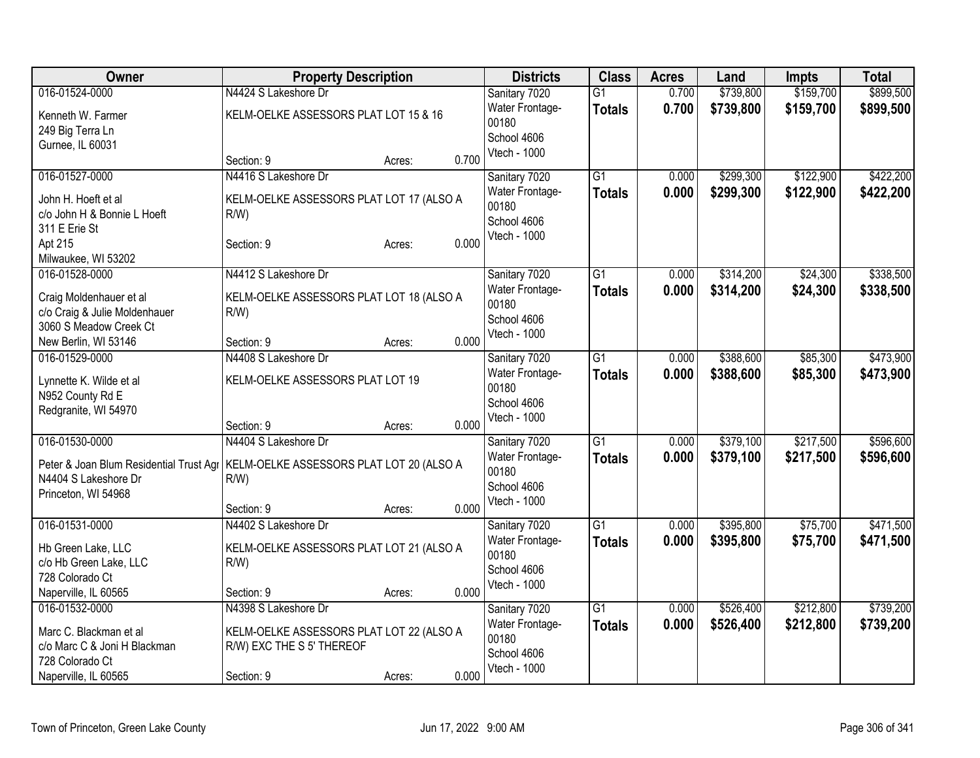| Owner                                       | <b>Property Description</b>              |                 | <b>Districts</b>         | <b>Class</b>    | <b>Acres</b> | Land      | Impts     | <b>Total</b> |
|---------------------------------------------|------------------------------------------|-----------------|--------------------------|-----------------|--------------|-----------|-----------|--------------|
| 016-01524-0000                              | N4424 S Lakeshore Dr                     |                 | Sanitary 7020            | $\overline{G1}$ | 0.700        | \$739,800 | \$159,700 | \$899,500    |
| Kenneth W. Farmer                           | KELM-OELKE ASSESSORS PLAT LOT 15 & 16    |                 | Water Frontage-<br>00180 | <b>Totals</b>   | 0.700        | \$739,800 | \$159,700 | \$899,500    |
| 249 Big Terra Ln                            |                                          |                 | School 4606              |                 |              |           |           |              |
| Gurnee, IL 60031                            |                                          |                 | Vtech - 1000             |                 |              |           |           |              |
|                                             | Section: 9                               | 0.700<br>Acres: |                          |                 |              |           |           |              |
| 016-01527-0000                              | N4416 S Lakeshore Dr                     |                 | Sanitary 7020            | $\overline{G1}$ | 0.000        | \$299,300 | \$122,900 | \$422,200    |
| John H. Hoeft et al                         | KELM-OELKE ASSESSORS PLAT LOT 17 (ALSO A |                 | Water Frontage-          | <b>Totals</b>   | 0.000        | \$299,300 | \$122,900 | \$422,200    |
| c/o John H & Bonnie L Hoeft                 | $R/W$ )                                  |                 | 00180                    |                 |              |           |           |              |
| 311 E Erie St                               |                                          |                 | School 4606              |                 |              |           |           |              |
| Apt 215                                     | Section: 9                               | 0.000<br>Acres: | Vtech - 1000             |                 |              |           |           |              |
| Milwaukee, WI 53202                         |                                          |                 |                          |                 |              |           |           |              |
| 016-01528-0000                              | N4412 S Lakeshore Dr                     |                 | Sanitary 7020            | $\overline{G1}$ | 0.000        | \$314,200 | \$24,300  | \$338,500    |
| Craig Moldenhauer et al                     | KELM-OELKE ASSESSORS PLAT LOT 18 (ALSO A |                 | Water Frontage-          | <b>Totals</b>   | 0.000        | \$314,200 | \$24,300  | \$338,500    |
| c/o Craig & Julie Moldenhauer               | $R/W$ )                                  |                 | 00180                    |                 |              |           |           |              |
| 3060 S Meadow Creek Ct                      |                                          |                 | School 4606              |                 |              |           |           |              |
| New Berlin, WI 53146                        | Section: 9                               | 0.000<br>Acres: | Vtech - 1000             |                 |              |           |           |              |
| 016-01529-0000                              | N4408 S Lakeshore Dr                     |                 | Sanitary 7020            | $\overline{G1}$ | 0.000        | \$388,600 | \$85,300  | \$473,900    |
|                                             | KELM-OELKE ASSESSORS PLAT LOT 19         |                 | Water Frontage-          | <b>Totals</b>   | 0.000        | \$388,600 | \$85,300  | \$473,900    |
| Lynnette K. Wilde et al<br>N952 County Rd E |                                          |                 | 00180                    |                 |              |           |           |              |
| Redgranite, WI 54970                        |                                          |                 | School 4606              |                 |              |           |           |              |
|                                             | Section: 9                               | 0.000<br>Acres: | Vtech - 1000             |                 |              |           |           |              |
| 016-01530-0000                              | N4404 S Lakeshore Dr                     |                 | Sanitary 7020            | $\overline{G1}$ | 0.000        | \$379,100 | \$217,500 | \$596,600    |
|                                             |                                          |                 | Water Frontage-          | <b>Totals</b>   | 0.000        | \$379,100 | \$217,500 | \$596,600    |
| Peter & Joan Blum Residential Trust Agr     | KELM-OELKE ASSESSORS PLAT LOT 20 (ALSO A |                 | 00180                    |                 |              |           |           |              |
| N4404 S Lakeshore Dr<br>Princeton, WI 54968 | $R/W$ )                                  |                 | School 4606              |                 |              |           |           |              |
|                                             | Section: 9                               | 0.000<br>Acres: | Vtech - 1000             |                 |              |           |           |              |
| 016-01531-0000                              | N4402 S Lakeshore Dr                     |                 | Sanitary 7020            | $\overline{G1}$ | 0.000        | \$395,800 | \$75,700  | \$471,500    |
|                                             |                                          |                 | Water Frontage-          | <b>Totals</b>   | 0.000        | \$395,800 | \$75,700  | \$471,500    |
| Hb Green Lake, LLC                          | KELM-OELKE ASSESSORS PLAT LOT 21 (ALSO A |                 | 00180                    |                 |              |           |           |              |
| c/o Hb Green Lake, LLC                      | $R/W$ )                                  |                 | School 4606              |                 |              |           |           |              |
| 728 Colorado Ct                             |                                          |                 | Vtech - 1000             |                 |              |           |           |              |
| Naperville, IL 60565                        | Section: 9                               | 0.000<br>Acres: |                          |                 |              |           |           |              |
| 016-01532-0000                              | N4398 S Lakeshore Dr                     |                 | Sanitary 7020            | $\overline{G1}$ | 0.000        | \$526,400 | \$212,800 | \$739,200    |
| Marc C. Blackman et al                      | KELM-OELKE ASSESSORS PLAT LOT 22 (ALSO A |                 | Water Frontage-<br>00180 | <b>Totals</b>   | 0.000        | \$526,400 | \$212,800 | \$739,200    |
| c/o Marc C & Joni H Blackman                | R/W) EXC THE S 5' THEREOF                |                 | School 4606              |                 |              |           |           |              |
| 728 Colorado Ct                             |                                          |                 | Vtech - 1000             |                 |              |           |           |              |
| Naperville, IL 60565                        | Section: 9                               | 0.000<br>Acres: |                          |                 |              |           |           |              |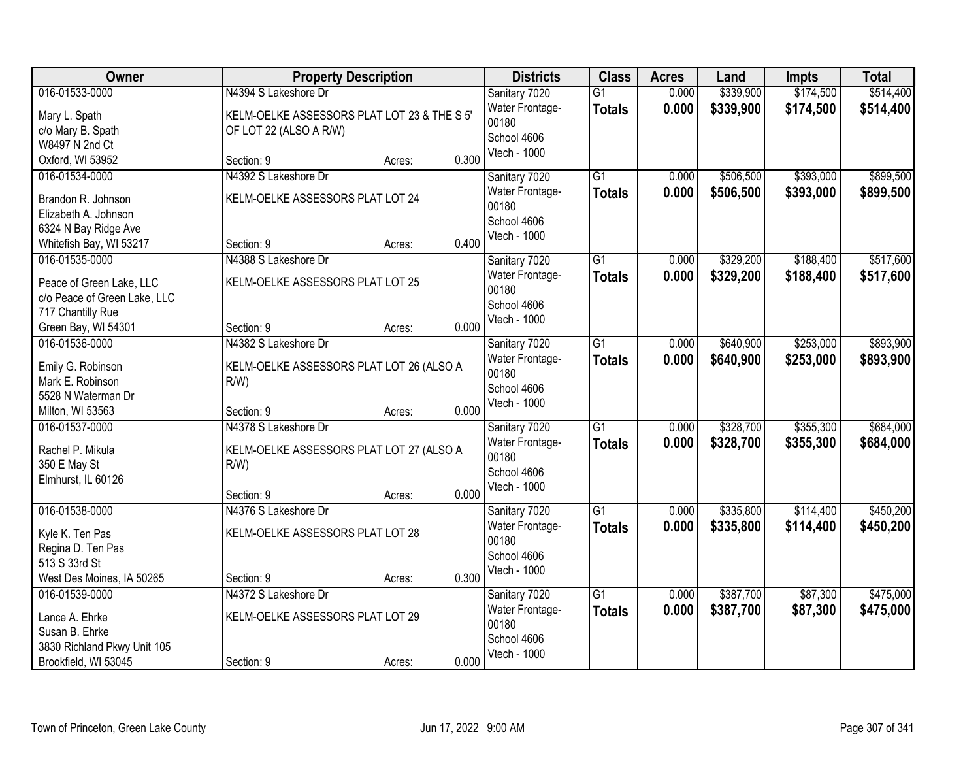| <b>Owner</b>                          | <b>Property Description</b>                 |        |       | <b>Districts</b>         | <b>Class</b>    | <b>Acres</b> | Land      | <b>Impts</b> | <b>Total</b> |
|---------------------------------------|---------------------------------------------|--------|-------|--------------------------|-----------------|--------------|-----------|--------------|--------------|
| 016-01533-0000                        | N4394 S Lakeshore Dr                        |        |       | Sanitary 7020            | $\overline{G1}$ | 0.000        | \$339,900 | \$174,500    | \$514,400    |
| Mary L. Spath                         | KELM-OELKE ASSESSORS PLAT LOT 23 & THE S 5' |        |       | Water Frontage-          | <b>Totals</b>   | 0.000        | \$339,900 | \$174,500    | \$514,400    |
| c/o Mary B. Spath                     | OF LOT 22 (ALSO A R/W)                      |        |       | 00180                    |                 |              |           |              |              |
| W8497 N 2nd Ct                        |                                             |        |       | School 4606              |                 |              |           |              |              |
| Oxford, WI 53952                      | Section: 9                                  | Acres: | 0.300 | Vtech - 1000             |                 |              |           |              |              |
| 016-01534-0000                        | N4392 S Lakeshore Dr                        |        |       | Sanitary 7020            | $\overline{G1}$ | 0.000        | \$506,500 | \$393,000    | \$899,500    |
| Brandon R. Johnson                    | KELM-OELKE ASSESSORS PLAT LOT 24            |        |       | Water Frontage-          | <b>Totals</b>   | 0.000        | \$506,500 | \$393,000    | \$899,500    |
| Elizabeth A. Johnson                  |                                             |        |       | 00180                    |                 |              |           |              |              |
| 6324 N Bay Ridge Ave                  |                                             |        |       | School 4606              |                 |              |           |              |              |
| Whitefish Bay, WI 53217               | Section: 9                                  | Acres: | 0.400 | Vtech - 1000             |                 |              |           |              |              |
| 016-01535-0000                        | N4388 S Lakeshore Dr                        |        |       | Sanitary 7020            | G <sub>1</sub>  | 0.000        | \$329,200 | \$188,400    | \$517,600    |
|                                       |                                             |        |       | Water Frontage-          | <b>Totals</b>   | 0.000        | \$329,200 | \$188,400    | \$517,600    |
| Peace of Green Lake, LLC              | KELM-OELKE ASSESSORS PLAT LOT 25            |        |       | 00180                    |                 |              |           |              |              |
| c/o Peace of Green Lake, LLC          |                                             |        |       | School 4606              |                 |              |           |              |              |
| 717 Chantilly Rue                     | Section: 9                                  |        | 0.000 | Vtech - 1000             |                 |              |           |              |              |
| Green Bay, WI 54301<br>016-01536-0000 | N4382 S Lakeshore Dr                        | Acres: |       |                          |                 |              |           | \$253,000    | \$893,900    |
|                                       |                                             |        |       | Sanitary 7020            | $\overline{G1}$ | 0.000        | \$640,900 |              |              |
| Emily G. Robinson                     | KELM-OELKE ASSESSORS PLAT LOT 26 (ALSO A    |        |       | Water Frontage-<br>00180 | <b>Totals</b>   | 0.000        | \$640,900 | \$253,000    | \$893,900    |
| Mark E. Robinson                      | $R/W$ )                                     |        |       | School 4606              |                 |              |           |              |              |
| 5528 N Waterman Dr                    |                                             |        |       | Vtech - 1000             |                 |              |           |              |              |
| Milton, WI 53563                      | Section: 9                                  | Acres: | 0.000 |                          |                 |              |           |              |              |
| 016-01537-0000                        | N4378 S Lakeshore Dr                        |        |       | Sanitary 7020            | $\overline{G1}$ | 0.000        | \$328,700 | \$355,300    | \$684,000    |
| Rachel P. Mikula                      | KELM-OELKE ASSESSORS PLAT LOT 27 (ALSO A    |        |       | Water Frontage-          | <b>Totals</b>   | 0.000        | \$328,700 | \$355,300    | \$684,000    |
| 350 E May St                          | $R/W$ )                                     |        |       | 00180                    |                 |              |           |              |              |
| Elmhurst, IL 60126                    |                                             |        |       | School 4606              |                 |              |           |              |              |
|                                       | Section: 9                                  | Acres: | 0.000 | Vtech - 1000             |                 |              |           |              |              |
| 016-01538-0000                        | N4376 S Lakeshore Dr                        |        |       | Sanitary 7020            | $\overline{G1}$ | 0.000        | \$335,800 | \$114,400    | \$450,200    |
| Kyle K. Ten Pas                       | KELM-OELKE ASSESSORS PLAT LOT 28            |        |       | Water Frontage-          | <b>Totals</b>   | 0.000        | \$335,800 | \$114,400    | \$450,200    |
| Regina D. Ten Pas                     |                                             |        |       | 00180                    |                 |              |           |              |              |
| 513 S 33rd St                         |                                             |        |       | School 4606              |                 |              |           |              |              |
| West Des Moines, IA 50265             | Section: 9                                  | Acres: | 0.300 | Vtech - 1000             |                 |              |           |              |              |
| 016-01539-0000                        | N4372 S Lakeshore Dr                        |        |       | Sanitary 7020            | G1              | 0.000        | \$387,700 | \$87,300     | \$475,000    |
|                                       |                                             |        |       | Water Frontage-          | <b>Totals</b>   | 0.000        | \$387,700 | \$87,300     | \$475,000    |
| Lance A. Ehrke                        | KELM-OELKE ASSESSORS PLAT LOT 29            |        |       | 00180                    |                 |              |           |              |              |
| Susan B. Ehrke                        |                                             |        |       | School 4606              |                 |              |           |              |              |
| 3830 Richland Pkwy Unit 105           |                                             |        |       | Vtech - 1000             |                 |              |           |              |              |
| Brookfield, WI 53045                  | Section: 9                                  | Acres: | 0.000 |                          |                 |              |           |              |              |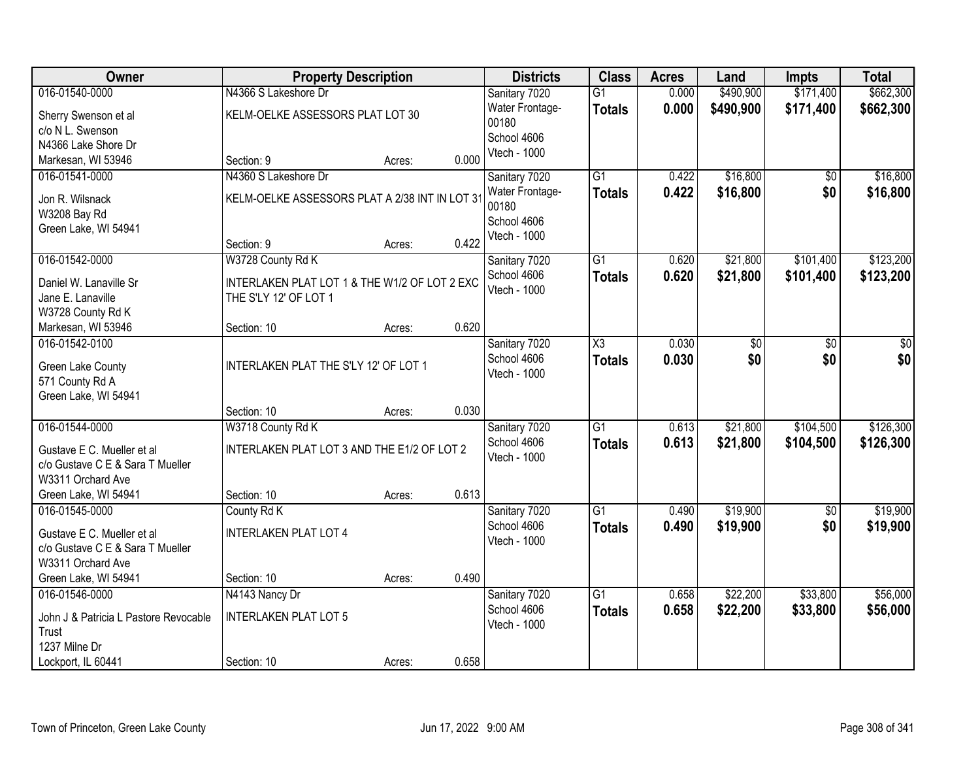| Owner                                                          | <b>Property Description</b>                   |        |       | <b>Districts</b>             | <b>Class</b>           | <b>Acres</b> | Land       | Impts      | <b>Total</b> |
|----------------------------------------------------------------|-----------------------------------------------|--------|-------|------------------------------|------------------------|--------------|------------|------------|--------------|
| 016-01540-0000                                                 | N4366 S Lakeshore Dr                          |        |       | Sanitary 7020                | $\overline{G1}$        | 0.000        | \$490,900  | \$171,400  | \$662,300    |
| Sherry Swenson et al                                           | KELM-OELKE ASSESSORS PLAT LOT 30              |        |       | Water Frontage-              | <b>Totals</b>          | 0.000        | \$490,900  | \$171,400  | \$662,300    |
| c/o N L. Swenson                                               |                                               |        |       | 00180                        |                        |              |            |            |              |
| N4366 Lake Shore Dr                                            |                                               |        |       | School 4606                  |                        |              |            |            |              |
| Markesan, WI 53946                                             | Section: 9                                    | Acres: | 0.000 | Vtech - 1000                 |                        |              |            |            |              |
| 016-01541-0000                                                 | N4360 S Lakeshore Dr                          |        |       | Sanitary 7020                | $\overline{G1}$        | 0.422        | \$16,800   | \$0        | \$16,800     |
| Jon R. Wilsnack                                                | KELM-OELKE ASSESSORS PLAT A 2/38 INT IN LOT 3 |        |       | Water Frontage-              | <b>Totals</b>          | 0.422        | \$16,800   | \$0        | \$16,800     |
| W3208 Bay Rd                                                   |                                               |        |       | 00180                        |                        |              |            |            |              |
| Green Lake, WI 54941                                           |                                               |        |       | School 4606                  |                        |              |            |            |              |
|                                                                | Section: 9                                    | Acres: | 0.422 | Vtech - 1000                 |                        |              |            |            |              |
| 016-01542-0000                                                 | W3728 County Rd K                             |        |       | Sanitary 7020                | $\overline{G1}$        | 0.620        | \$21,800   | \$101,400  | \$123,200    |
|                                                                |                                               |        |       | School 4606                  | <b>Totals</b>          | 0.620        | \$21,800   | \$101,400  | \$123,200    |
| Daniel W. Lanaville Sr                                         | INTERLAKEN PLAT LOT 1 & THE W1/2 OF LOT 2 EXC |        |       | Vtech - 1000                 |                        |              |            |            |              |
| Jane E. Lanaville                                              | THE S'LY 12' OF LOT 1                         |        |       |                              |                        |              |            |            |              |
| W3728 County Rd K                                              | Section: 10                                   |        | 0.620 |                              |                        |              |            |            |              |
| Markesan, WI 53946<br>016-01542-0100                           |                                               | Acres: |       |                              | $\overline{\text{X3}}$ | 0.030        |            |            | \$0          |
|                                                                |                                               |        |       | Sanitary 7020<br>School 4606 |                        |              | \$0<br>\$0 | \$0<br>\$0 | \$0          |
| Green Lake County                                              | INTERLAKEN PLAT THE S'LY 12' OF LOT 1         |        |       | Vtech - 1000                 | <b>Totals</b>          | 0.030        |            |            |              |
| 571 County Rd A                                                |                                               |        |       |                              |                        |              |            |            |              |
| Green Lake, WI 54941                                           |                                               |        |       |                              |                        |              |            |            |              |
|                                                                | Section: 10                                   | Acres: | 0.030 |                              |                        |              |            |            |              |
| 016-01544-0000                                                 | W3718 County Rd K                             |        |       | Sanitary 7020                | $\overline{G1}$        | 0.613        | \$21,800   | \$104,500  | \$126,300    |
| Gustave E C. Mueller et al                                     | INTERLAKEN PLAT LOT 3 AND THE E1/2 OF LOT 2   |        |       | School 4606                  | <b>Totals</b>          | 0.613        | \$21,800   | \$104,500  | \$126,300    |
| c/o Gustave C E & Sara T Mueller                               |                                               |        |       | Vtech - 1000                 |                        |              |            |            |              |
| W3311 Orchard Ave                                              |                                               |        |       |                              |                        |              |            |            |              |
| Green Lake, WI 54941                                           | Section: 10                                   | Acres: | 0.613 |                              |                        |              |            |            |              |
| 016-01545-0000                                                 | County Rd K                                   |        |       | Sanitary 7020                | G1                     | 0.490        | \$19,900   | $\sqrt{6}$ | \$19,900     |
|                                                                | <b>INTERLAKEN PLAT LOT 4</b>                  |        |       | School 4606                  | <b>Totals</b>          | 0.490        | \$19,900   | \$0        | \$19,900     |
| Gustave E C. Mueller et al<br>c/o Gustave C E & Sara T Mueller |                                               |        |       | Vtech - 1000                 |                        |              |            |            |              |
| W3311 Orchard Ave                                              |                                               |        |       |                              |                        |              |            |            |              |
| Green Lake, WI 54941                                           | Section: 10                                   | Acres: | 0.490 |                              |                        |              |            |            |              |
| 016-01546-0000                                                 | N4143 Nancy Dr                                |        |       | Sanitary 7020                | $\overline{G1}$        | 0.658        | \$22,200   | \$33,800   | \$56,000     |
|                                                                |                                               |        |       | School 4606                  | <b>Totals</b>          | 0.658        | \$22,200   | \$33,800   | \$56,000     |
| John J & Patricia L Pastore Revocable                          | <b>INTERLAKEN PLAT LOT 5</b>                  |        |       | Vtech - 1000                 |                        |              |            |            |              |
| Trust                                                          |                                               |        |       |                              |                        |              |            |            |              |
| 1237 Milne Dr                                                  |                                               |        |       |                              |                        |              |            |            |              |
| Lockport, IL 60441                                             | Section: 10                                   | Acres: | 0.658 |                              |                        |              |            |            |              |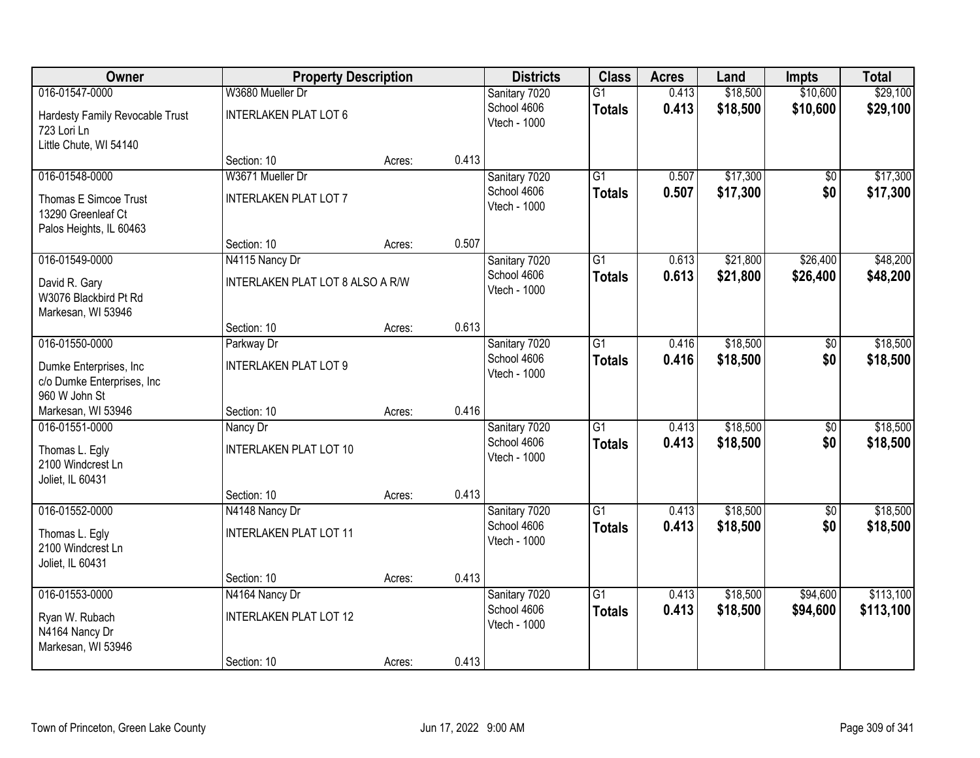| Owner                                                                  | <b>Property Description</b>             |        |       | <b>Districts</b>             | <b>Class</b>    | <b>Acres</b> | Land     | <b>Impts</b>           | <b>Total</b> |
|------------------------------------------------------------------------|-----------------------------------------|--------|-------|------------------------------|-----------------|--------------|----------|------------------------|--------------|
| 016-01547-0000                                                         | W3680 Mueller Dr                        |        |       | Sanitary 7020                | $\overline{G1}$ | 0.413        | \$18,500 | \$10,600               | \$29,100     |
| Hardesty Family Revocable Trust<br>723 Lori Ln                         | <b>INTERLAKEN PLAT LOT 6</b>            |        |       | School 4606<br>Vtech - 1000  | <b>Totals</b>   | 0.413        | \$18,500 | \$10,600               | \$29,100     |
| Little Chute, WI 54140                                                 |                                         |        |       |                              |                 |              |          |                        |              |
| 016-01548-0000                                                         | Section: 10<br>W3671 Mueller Dr         | Acres: | 0.413 |                              | $\overline{G1}$ | 0.507        | \$17,300 |                        | \$17,300     |
|                                                                        |                                         |        |       | Sanitary 7020<br>School 4606 |                 | 0.507        | \$17,300 | $\overline{50}$<br>\$0 |              |
| Thomas E Simcoe Trust<br>13290 Greenleaf Ct<br>Palos Heights, IL 60463 | <b>INTERLAKEN PLAT LOT 7</b>            |        |       | Vtech - 1000                 | <b>Totals</b>   |              |          |                        | \$17,300     |
|                                                                        | Section: 10                             | Acres: | 0.507 |                              |                 |              |          |                        |              |
| 016-01549-0000                                                         | N4115 Nancy Dr                          |        |       | Sanitary 7020                | G1              | 0.613        | \$21,800 | \$26,400               | \$48,200     |
| David R. Gary<br>W3076 Blackbird Pt Rd<br>Markesan, WI 53946           | <b>INTERLAKEN PLAT LOT 8 ALSO A R/W</b> |        |       | School 4606<br>Vtech - 1000  | <b>Totals</b>   | 0.613        | \$21,800 | \$26,400               | \$48,200     |
|                                                                        | Section: 10                             | Acres: | 0.613 |                              |                 |              |          |                        |              |
| 016-01550-0000                                                         | Parkway Dr                              |        |       | Sanitary 7020                | $\overline{G1}$ | 0.416        | \$18,500 | \$0                    | \$18,500     |
| Dumke Enterprises, Inc.<br>c/o Dumke Enterprises, Inc.                 | <b>INTERLAKEN PLAT LOT 9</b>            |        |       | School 4606<br>Vtech - 1000  | <b>Totals</b>   | 0.416        | \$18,500 | \$0                    | \$18,500     |
| 960 W John St<br>Markesan, WI 53946                                    | Section: 10                             | Acres: | 0.416 |                              |                 |              |          |                        |              |
| 016-01551-0000                                                         | Nancy Dr                                |        |       | Sanitary 7020                | $\overline{G1}$ | 0.413        | \$18,500 | $\overline{50}$        | \$18,500     |
|                                                                        |                                         |        |       | School 4606                  | <b>Totals</b>   | 0.413        | \$18,500 | \$0                    | \$18,500     |
| Thomas L. Egly<br>2100 Windcrest Ln<br>Joliet, IL 60431                | <b>INTERLAKEN PLAT LOT 10</b>           |        |       | Vtech - 1000                 |                 |              |          |                        |              |
|                                                                        | Section: 10                             | Acres: | 0.413 |                              |                 |              |          |                        |              |
| 016-01552-0000                                                         | N4148 Nancy Dr                          |        |       | Sanitary 7020                | $\overline{G1}$ | 0.413        | \$18,500 | $\overline{50}$        | \$18,500     |
| Thomas L. Egly<br>2100 Windcrest Ln<br>Joliet, IL 60431                | <b>INTERLAKEN PLAT LOT 11</b>           |        |       | School 4606<br>Vtech - 1000  | <b>Totals</b>   | 0.413        | \$18,500 | \$0                    | \$18,500     |
|                                                                        | Section: 10                             | Acres: | 0.413 |                              |                 |              |          |                        |              |
| 016-01553-0000                                                         | N4164 Nancy Dr                          |        |       | Sanitary 7020                | $\overline{G1}$ | 0.413        | \$18,500 | \$94,600               | \$113,100    |
| Ryan W. Rubach<br>N4164 Nancy Dr<br>Markesan, WI 53946                 | <b>INTERLAKEN PLAT LOT 12</b>           |        |       | School 4606<br>Vtech - 1000  | <b>Totals</b>   | 0.413        | \$18,500 | \$94,600               | \$113,100    |
|                                                                        | Section: 10                             | Acres: | 0.413 |                              |                 |              |          |                        |              |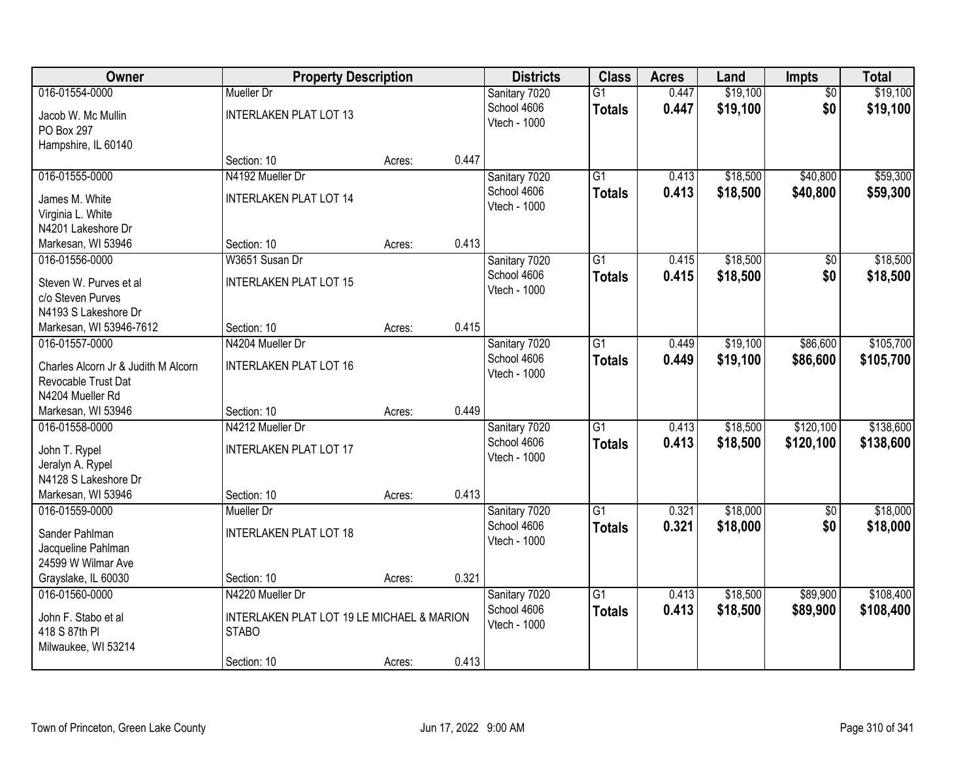| Owner                                | <b>Property Description</b>                                |        |       | <b>Districts</b> | <b>Class</b>    | <b>Acres</b> | Land     | <b>Impts</b>    | <b>Total</b> |
|--------------------------------------|------------------------------------------------------------|--------|-------|------------------|-----------------|--------------|----------|-----------------|--------------|
| 016-01554-0000                       | Mueller Dr                                                 |        |       | Sanitary 7020    | $\overline{G1}$ | 0.447        | \$19,100 | $\overline{50}$ | \$19,100     |
| Jacob W. Mc Mullin                   | <b>INTERLAKEN PLAT LOT 13</b>                              |        |       | School 4606      | <b>Totals</b>   | 0.447        | \$19,100 | \$0             | \$19,100     |
| PO Box 297                           |                                                            |        |       | Vtech - 1000     |                 |              |          |                 |              |
| Hampshire, IL 60140                  |                                                            |        |       |                  |                 |              |          |                 |              |
|                                      | Section: 10                                                | Acres: | 0.447 |                  |                 |              |          |                 |              |
| 016-01555-0000                       | N4192 Mueller Dr                                           |        |       | Sanitary 7020    | $\overline{G1}$ | 0.413        | \$18,500 | \$40,800        | \$59,300     |
| James M. White                       | <b>INTERLAKEN PLAT LOT 14</b>                              |        |       | School 4606      | <b>Totals</b>   | 0.413        | \$18,500 | \$40,800        | \$59,300     |
| Virginia L. White                    |                                                            |        |       | Vtech - 1000     |                 |              |          |                 |              |
| N4201 Lakeshore Dr                   |                                                            |        |       |                  |                 |              |          |                 |              |
| Markesan, WI 53946                   | Section: 10                                                | Acres: | 0.413 |                  |                 |              |          |                 |              |
| 016-01556-0000                       | W3651 Susan Dr                                             |        |       | Sanitary 7020    | G1              | 0.415        | \$18,500 | \$0             | \$18,500     |
| Steven W. Purves et al               | <b>INTERLAKEN PLAT LOT 15</b>                              |        |       | School 4606      | <b>Totals</b>   | 0.415        | \$18,500 | \$0             | \$18,500     |
| c/o Steven Purves                    |                                                            |        |       | Vtech - 1000     |                 |              |          |                 |              |
| N4193 S Lakeshore Dr                 |                                                            |        |       |                  |                 |              |          |                 |              |
| Markesan, WI 53946-7612              | Section: 10                                                | Acres: | 0.415 |                  |                 |              |          |                 |              |
| 016-01557-0000                       | N4204 Mueller Dr                                           |        |       | Sanitary 7020    | $\overline{G1}$ | 0.449        | \$19,100 | \$86,600        | \$105,700    |
| Charles Alcorn Jr & Judith M Alcorn  | <b>INTERLAKEN PLAT LOT 16</b>                              |        |       | School 4606      | <b>Totals</b>   | 0.449        | \$19,100 | \$86,600        | \$105,700    |
| Revocable Trust Dat                  |                                                            |        |       | Vtech - 1000     |                 |              |          |                 |              |
| N4204 Mueller Rd                     |                                                            |        |       |                  |                 |              |          |                 |              |
| Markesan, WI 53946                   | Section: 10                                                | Acres: | 0.449 |                  |                 |              |          |                 |              |
| 016-01558-0000                       | N4212 Mueller Dr                                           |        |       | Sanitary 7020    | $\overline{G1}$ | 0.413        | \$18,500 | \$120,100       | \$138,600    |
| John T. Rypel                        | <b>INTERLAKEN PLAT LOT 17</b>                              |        |       | School 4606      | <b>Totals</b>   | 0.413        | \$18,500 | \$120,100       | \$138,600    |
| Jeralyn A. Rypel                     |                                                            |        |       | Vtech - 1000     |                 |              |          |                 |              |
| N4128 S Lakeshore Dr                 |                                                            |        |       |                  |                 |              |          |                 |              |
| Markesan, WI 53946                   | Section: 10                                                | Acres: | 0.413 |                  |                 |              |          |                 |              |
| 016-01559-0000                       | Mueller Dr                                                 |        |       | Sanitary 7020    | $\overline{G1}$ | 0.321        | \$18,000 | $\overline{60}$ | \$18,000     |
| Sander Pahlman                       | <b>INTERLAKEN PLAT LOT 18</b>                              |        |       | School 4606      | <b>Totals</b>   | 0.321        | \$18,000 | \$0             | \$18,000     |
| Jacqueline Pahlman                   |                                                            |        |       | Vtech - 1000     |                 |              |          |                 |              |
| 24599 W Wilmar Ave                   |                                                            |        |       |                  |                 |              |          |                 |              |
| Grayslake, IL 60030                  | Section: 10                                                | Acres: | 0.321 |                  |                 |              |          |                 |              |
| 016-01560-0000                       | N4220 Mueller Dr                                           |        |       | Sanitary 7020    | $\overline{G1}$ | 0.413        | \$18,500 | \$89,900        | \$108,400    |
|                                      |                                                            |        |       | School 4606      | <b>Totals</b>   | 0.413        | \$18,500 | \$89,900        | \$108,400    |
| John F. Stabo et al<br>418 S 87th PI | INTERLAKEN PLAT LOT 19 LE MICHAEL & MARION<br><b>STABO</b> |        |       | Vtech - 1000     |                 |              |          |                 |              |
| Milwaukee, WI 53214                  |                                                            |        |       |                  |                 |              |          |                 |              |
|                                      | Section: 10                                                | Acres: | 0.413 |                  |                 |              |          |                 |              |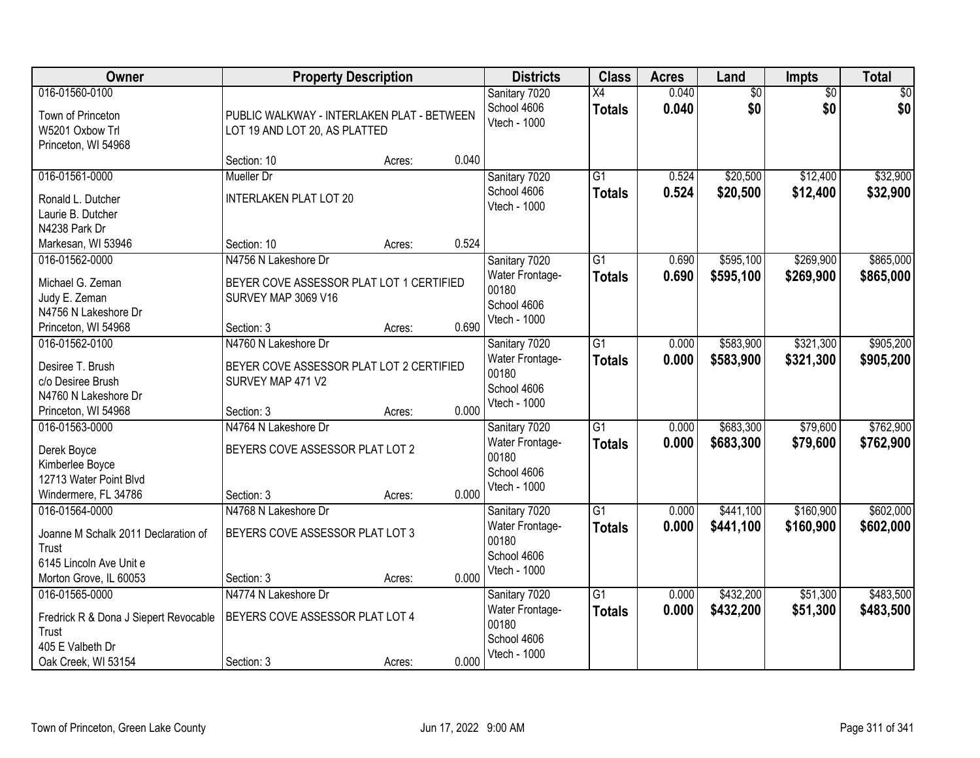| Owner                                                                                                               | <b>Property Description</b>                                                 |        |       | <b>Districts</b>                                                         | <b>Class</b>                     | <b>Acres</b>   | Land                   | <b>Impts</b>           | <b>Total</b>           |
|---------------------------------------------------------------------------------------------------------------------|-----------------------------------------------------------------------------|--------|-------|--------------------------------------------------------------------------|----------------------------------|----------------|------------------------|------------------------|------------------------|
| 016-01560-0100<br>Town of Princeton<br>W5201 Oxbow Trl<br>Princeton, WI 54968                                       | PUBLIC WALKWAY - INTERLAKEN PLAT - BETWEEN<br>LOT 19 AND LOT 20, AS PLATTED |        |       | Sanitary 7020<br>School 4606<br>Vtech - 1000                             | $\overline{X4}$<br><b>Totals</b> | 0.040<br>0.040 | $\overline{50}$<br>\$0 | $\overline{50}$<br>\$0 | $\sqrt{30}$<br>\$0     |
|                                                                                                                     | Section: 10                                                                 | Acres: | 0.040 |                                                                          |                                  |                |                        |                        |                        |
| 016-01561-0000<br>Ronald L. Dutcher                                                                                 | <b>Mueller Dr</b><br><b>INTERLAKEN PLAT LOT 20</b>                          |        |       | Sanitary 7020<br>School 4606<br>Vtech - 1000                             | $\overline{G1}$<br><b>Totals</b> | 0.524<br>0.524 | \$20,500<br>\$20,500   | \$12,400<br>\$12,400   | \$32,900<br>\$32,900   |
| Laurie B. Dutcher<br>N4238 Park Dr                                                                                  | Section: 10                                                                 |        | 0.524 |                                                                          |                                  |                |                        |                        |                        |
| Markesan, WI 53946<br>016-01562-0000                                                                                | N4756 N Lakeshore Dr                                                        | Acres: |       | Sanitary 7020                                                            | G1                               | 0.690          | \$595,100              | \$269,900              | \$865,000              |
| Michael G. Zeman<br>Judy E. Zeman<br>N4756 N Lakeshore Dr                                                           | BEYER COVE ASSESSOR PLAT LOT 1 CERTIFIED<br>SURVEY MAP 3069 V16             |        |       | Water Frontage-<br>00180<br>School 4606                                  | <b>Totals</b>                    | 0.690          | \$595,100              | \$269,900              | \$865,000              |
| Princeton, WI 54968                                                                                                 | Section: 3                                                                  | Acres: | 0.690 | Vtech - 1000                                                             |                                  |                |                        |                        |                        |
| 016-01562-0100<br>Desiree T. Brush                                                                                  | N4760 N Lakeshore Dr<br>BEYER COVE ASSESSOR PLAT LOT 2 CERTIFIED            |        |       | Sanitary 7020<br>Water Frontage-                                         | $\overline{G1}$<br><b>Totals</b> | 0.000<br>0.000 | \$583,900<br>\$583,900 | \$321,300<br>\$321,300 | \$905,200<br>\$905,200 |
| c/o Desiree Brush<br>N4760 N Lakeshore Dr                                                                           | SURVEY MAP 471 V2                                                           |        |       | 00180<br>School 4606<br>Vtech - 1000                                     |                                  |                |                        |                        |                        |
| Princeton, WI 54968                                                                                                 | Section: 3                                                                  | Acres: | 0.000 |                                                                          |                                  |                |                        |                        |                        |
| 016-01563-0000<br>Derek Boyce<br>Kimberlee Boyce<br>12713 Water Point Blvd<br>Windermere, FL 34786                  | N4764 N Lakeshore Dr<br>BEYERS COVE ASSESSOR PLAT LOT 2<br>Section: 3       | Acres: | 0.000 | Sanitary 7020<br>Water Frontage-<br>00180<br>School 4606<br>Vtech - 1000 | $\overline{G1}$<br><b>Totals</b> | 0.000<br>0.000 | \$683,300<br>\$683,300 | \$79,600<br>\$79,600   | \$762,900<br>\$762,900 |
| 016-01564-0000<br>Joanne M Schalk 2011 Declaration of<br>Trust<br>6145 Lincoln Ave Unit e<br>Morton Grove, IL 60053 | N4768 N Lakeshore Dr<br>BEYERS COVE ASSESSOR PLAT LOT 3<br>Section: 3       | Acres: | 0.000 | Sanitary 7020<br>Water Frontage-<br>00180<br>School 4606<br>Vtech - 1000 | $\overline{G1}$<br><b>Totals</b> | 0.000<br>0.000 | \$441,100<br>\$441,100 | \$160,900<br>\$160,900 | \$602,000<br>\$602,000 |
| 016-01565-0000<br>Fredrick R & Dona J Siepert Revocable<br>Trust<br>405 E Valbeth Dr<br>Oak Creek, WI 53154         | N4774 N Lakeshore Dr<br>BEYERS COVE ASSESSOR PLAT LOT 4<br>Section: 3       | Acres: | 0.000 | Sanitary 7020<br>Water Frontage-<br>00180<br>School 4606<br>Vtech - 1000 | $\overline{G1}$<br><b>Totals</b> | 0.000<br>0.000 | \$432,200<br>\$432,200 | \$51,300<br>\$51,300   | \$483,500<br>\$483,500 |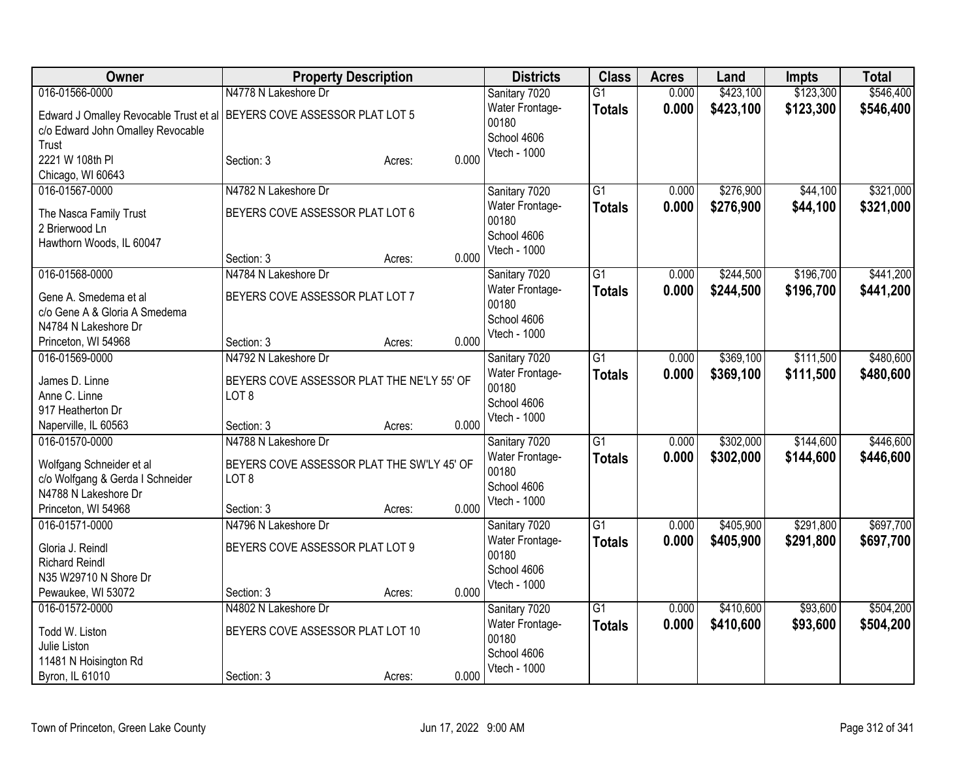| Owner                                                                    | <b>Property Description</b>                |                 | <b>Districts</b>         | <b>Class</b>    | <b>Acres</b> | Land      | Impts     | <b>Total</b> |
|--------------------------------------------------------------------------|--------------------------------------------|-----------------|--------------------------|-----------------|--------------|-----------|-----------|--------------|
| 016-01566-0000                                                           | N4778 N Lakeshore Dr                       |                 | Sanitary 7020            | $\overline{G1}$ | 0.000        | \$423,100 | \$123,300 | \$546,400    |
| Edward J Omalley Revocable Trust et al   BEYERS COVE ASSESSOR PLAT LOT 5 |                                            |                 | Water Frontage-          | <b>Totals</b>   | 0.000        | \$423,100 | \$123,300 | \$546,400    |
| c/o Edward John Omalley Revocable                                        |                                            |                 | 00180                    |                 |              |           |           |              |
| Trust                                                                    |                                            |                 | School 4606              |                 |              |           |           |              |
| 2221 W 108th PI                                                          | Section: 3                                 | 0.000<br>Acres: | Vtech - 1000             |                 |              |           |           |              |
| Chicago, WI 60643                                                        |                                            |                 |                          |                 |              |           |           |              |
| 016-01567-0000                                                           | N4782 N Lakeshore Dr                       |                 | Sanitary 7020            | G1              | 0.000        | \$276,900 | \$44,100  | \$321,000    |
| The Nasca Family Trust                                                   | BEYERS COVE ASSESSOR PLAT LOT 6            |                 | Water Frontage-          | <b>Totals</b>   | 0.000        | \$276,900 | \$44,100  | \$321,000    |
| 2 Brierwood Ln                                                           |                                            |                 | 00180                    |                 |              |           |           |              |
| Hawthorn Woods, IL 60047                                                 |                                            |                 | School 4606              |                 |              |           |           |              |
|                                                                          | Section: 3                                 | 0.000<br>Acres: | Vtech - 1000             |                 |              |           |           |              |
| 016-01568-0000                                                           | N4784 N Lakeshore Dr                       |                 | Sanitary 7020            | $\overline{G1}$ | 0.000        | \$244,500 | \$196,700 | \$441,200    |
|                                                                          |                                            |                 | <b>Water Frontage-</b>   | <b>Totals</b>   | 0.000        | \$244,500 | \$196,700 | \$441,200    |
| Gene A. Smedema et al                                                    | BEYERS COVE ASSESSOR PLAT LOT 7            |                 | 00180                    |                 |              |           |           |              |
| c/o Gene A & Gloria A Smedema                                            |                                            |                 | School 4606              |                 |              |           |           |              |
| N4784 N Lakeshore Dr                                                     |                                            |                 | Vtech - 1000             |                 |              |           |           |              |
| Princeton, WI 54968                                                      | Section: 3                                 | 0.000<br>Acres: |                          |                 |              |           |           |              |
| 016-01569-0000                                                           | N4792 N Lakeshore Dr                       |                 | Sanitary 7020            | $\overline{G1}$ | 0.000        | \$369,100 | \$111,500 | \$480,600    |
| James D. Linne                                                           | BEYERS COVE ASSESSOR PLAT THE NE'LY 55' OF |                 | Water Frontage-<br>00180 | <b>Totals</b>   | 0.000        | \$369,100 | \$111,500 | \$480,600    |
| Anne C. Linne                                                            | LOT <sub>8</sub>                           |                 | School 4606              |                 |              |           |           |              |
| 917 Heatherton Dr                                                        |                                            |                 | Vtech - 1000             |                 |              |           |           |              |
| Naperville, IL 60563                                                     | Section: 3                                 | 0.000<br>Acres: |                          |                 |              |           |           |              |
| 016-01570-0000                                                           | N4788 N Lakeshore Dr                       |                 | Sanitary 7020            | $\overline{G1}$ | 0.000        | \$302,000 | \$144,600 | \$446,600    |
| Wolfgang Schneider et al                                                 | BEYERS COVE ASSESSOR PLAT THE SW'LY 45' OF |                 | Water Frontage-          | <b>Totals</b>   | 0.000        | \$302,000 | \$144,600 | \$446,600    |
| c/o Wolfgang & Gerda I Schneider                                         | LOT <sub>8</sub>                           |                 | 00180                    |                 |              |           |           |              |
| N4788 N Lakeshore Dr                                                     |                                            |                 | School 4606              |                 |              |           |           |              |
| Princeton, WI 54968                                                      | Section: 3                                 | 0.000<br>Acres: | Vtech - 1000             |                 |              |           |           |              |
| 016-01571-0000                                                           | N4796 N Lakeshore Dr                       |                 | Sanitary 7020            | $\overline{G1}$ | 0.000        | \$405,900 | \$291,800 | \$697,700    |
|                                                                          |                                            |                 | Water Frontage-          | <b>Totals</b>   | 0.000        | \$405,900 | \$291,800 | \$697,700    |
| Gloria J. Reindl                                                         | BEYERS COVE ASSESSOR PLAT LOT 9            |                 | 00180                    |                 |              |           |           |              |
| <b>Richard Reindl</b><br>N35 W29710 N Shore Dr                           |                                            |                 | School 4606              |                 |              |           |           |              |
| Pewaukee, WI 53072                                                       | Section: 3                                 | 0.000<br>Acres: | Vtech - 1000             |                 |              |           |           |              |
| 016-01572-0000                                                           | N4802 N Lakeshore Dr                       |                 | Sanitary 7020            | $\overline{G1}$ | 0.000        | \$410,600 | \$93,600  | \$504,200    |
|                                                                          |                                            |                 | Water Frontage-          |                 | 0.000        |           |           |              |
| Todd W. Liston                                                           | BEYERS COVE ASSESSOR PLAT LOT 10           |                 | 00180                    | <b>Totals</b>   |              | \$410,600 | \$93,600  | \$504,200    |
| Julie Liston                                                             |                                            |                 | School 4606              |                 |              |           |           |              |
| 11481 N Hoisington Rd                                                    |                                            |                 | Vtech - 1000             |                 |              |           |           |              |
| Byron, IL 61010                                                          | Section: 3                                 | 0.000<br>Acres: |                          |                 |              |           |           |              |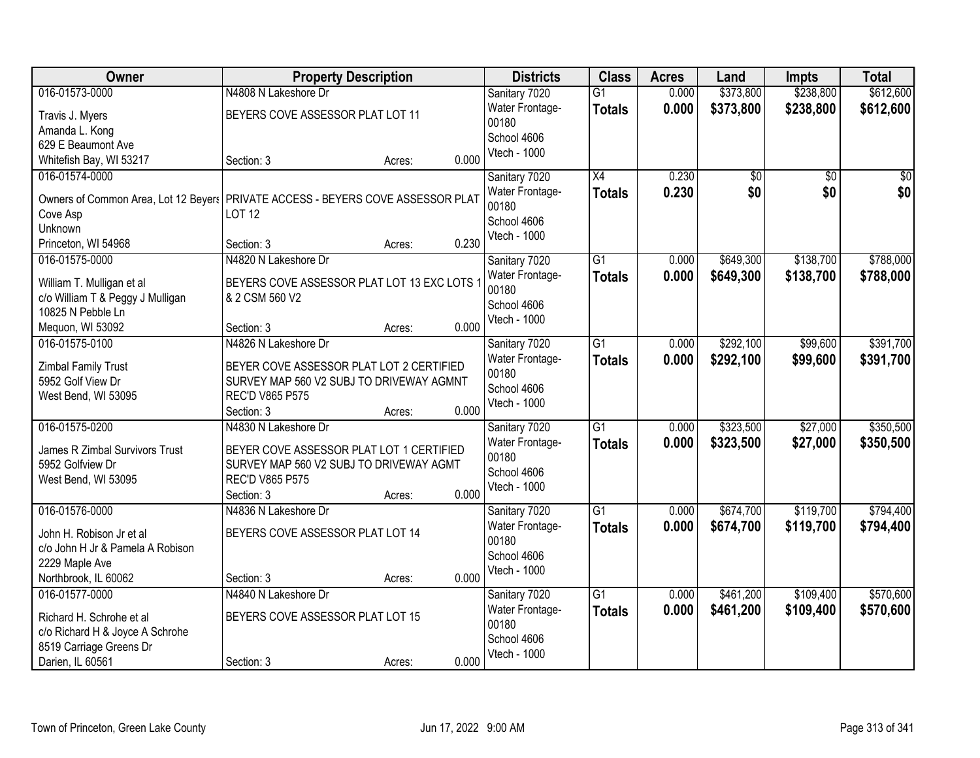| Owner                                                                           | <b>Property Description</b>                 |        |       | <b>Districts</b>         | <b>Class</b>    | <b>Acres</b> | Land      | <b>Impts</b>    | <b>Total</b>    |
|---------------------------------------------------------------------------------|---------------------------------------------|--------|-------|--------------------------|-----------------|--------------|-----------|-----------------|-----------------|
| 016-01573-0000                                                                  | N4808 N Lakeshore Dr                        |        |       | Sanitary 7020            | $\overline{G1}$ | 0.000        | \$373,800 | \$238,800       | \$612,600       |
| Travis J. Myers                                                                 | BEYERS COVE ASSESSOR PLAT LOT 11            |        |       | Water Frontage-<br>00180 | <b>Totals</b>   | 0.000        | \$373,800 | \$238,800       | \$612,600       |
| Amanda L. Kong                                                                  |                                             |        |       | School 4606              |                 |              |           |                 |                 |
| 629 E Beaumont Ave                                                              |                                             |        |       | Vtech - 1000             |                 |              |           |                 |                 |
| Whitefish Bay, WI 53217                                                         | Section: 3                                  | Acres: | 0.000 |                          |                 |              |           |                 |                 |
| 016-01574-0000                                                                  |                                             |        |       | Sanitary 7020            | $\overline{X4}$ | 0.230        | \$0       | $\overline{50}$ | $\overline{50}$ |
| Owners of Common Area, Lot 12 Beyers PRIVATE ACCESS - BEYERS COVE ASSESSOR PLAT |                                             |        |       | Water Frontage-          | <b>Totals</b>   | 0.230        | \$0       | \$0             | \$0             |
| Cove Asp                                                                        | <b>LOT 12</b>                               |        |       | 00180                    |                 |              |           |                 |                 |
| Unknown                                                                         |                                             |        |       | School 4606              |                 |              |           |                 |                 |
| Princeton, WI 54968                                                             | Section: 3                                  | Acres: | 0.230 | Vtech - 1000             |                 |              |           |                 |                 |
| 016-01575-0000                                                                  | N4820 N Lakeshore Dr                        |        |       |                          | $\overline{G1}$ | 0.000        | \$649,300 | \$138,700       | \$788,000       |
|                                                                                 |                                             |        |       | Sanitary 7020            |                 |              |           |                 |                 |
| William T. Mulligan et al                                                       | BEYERS COVE ASSESSOR PLAT LOT 13 EXC LOTS 1 |        |       | Water Frontage-<br>00180 | <b>Totals</b>   | 0.000        | \$649,300 | \$138,700       | \$788,000       |
| c/o William T & Peggy J Mulligan                                                | & 2 CSM 560 V2                              |        |       | School 4606              |                 |              |           |                 |                 |
| 10825 N Pebble Ln                                                               |                                             |        |       | Vtech - 1000             |                 |              |           |                 |                 |
| Mequon, WI 53092                                                                | Section: 3                                  | Acres: | 0.000 |                          |                 |              |           |                 |                 |
| 016-01575-0100                                                                  | N4826 N Lakeshore Dr                        |        |       | Sanitary 7020            | $\overline{G1}$ | 0.000        | \$292,100 | \$99,600        | \$391,700       |
|                                                                                 |                                             |        |       | Water Frontage-          | <b>Totals</b>   | 0.000        | \$292,100 | \$99,600        | \$391,700       |
| <b>Zimbal Family Trust</b>                                                      | BEYER COVE ASSESSOR PLAT LOT 2 CERTIFIED    |        |       | 00180                    |                 |              |           |                 |                 |
| 5952 Golf View Dr                                                               | SURVEY MAP 560 V2 SUBJ TO DRIVEWAY AGMNT    |        |       | School 4606              |                 |              |           |                 |                 |
| West Bend, WI 53095                                                             | <b>REC'D V865 P575</b>                      |        | 0.000 | Vtech - 1000             |                 |              |           |                 |                 |
|                                                                                 | Section: 3                                  | Acres: |       |                          |                 |              |           |                 |                 |
| 016-01575-0200                                                                  | N4830 N Lakeshore Dr                        |        |       | Sanitary 7020            | $\overline{G1}$ | 0.000        | \$323,500 | \$27,000        | \$350,500       |
| James R Zimbal Survivors Trust                                                  | BEYER COVE ASSESSOR PLAT LOT 1 CERTIFIED    |        |       | Water Frontage-          | <b>Totals</b>   | 0.000        | \$323,500 | \$27,000        | \$350,500       |
| 5952 Golfview Dr                                                                | SURVEY MAP 560 V2 SUBJ TO DRIVEWAY AGMT     |        |       | 00180                    |                 |              |           |                 |                 |
| West Bend, WI 53095                                                             | <b>REC'D V865 P575</b>                      |        |       | School 4606              |                 |              |           |                 |                 |
|                                                                                 | Section: 3                                  | Acres: | 0.000 | Vtech - 1000             |                 |              |           |                 |                 |
| 016-01576-0000                                                                  | N4836 N Lakeshore Dr                        |        |       | Sanitary 7020            | $\overline{G1}$ | 0.000        | \$674,700 | \$119,700       | \$794,400       |
|                                                                                 |                                             |        |       | Water Frontage-          | <b>Totals</b>   | 0.000        | \$674,700 | \$119,700       | \$794,400       |
| John H. Robison Jr et al                                                        | BEYERS COVE ASSESSOR PLAT LOT 14            |        |       | 00180                    |                 |              |           |                 |                 |
| c/o John H Jr & Pamela A Robison                                                |                                             |        |       | School 4606              |                 |              |           |                 |                 |
| 2229 Maple Ave                                                                  |                                             |        |       | Vtech - 1000             |                 |              |           |                 |                 |
| Northbrook, IL 60062                                                            | Section: 3                                  | Acres: | 0.000 |                          |                 |              |           |                 |                 |
| 016-01577-0000                                                                  | N4840 N Lakeshore Dr                        |        |       | Sanitary 7020            | $\overline{G1}$ | 0.000        | \$461,200 | \$109,400       | \$570,600       |
| Richard H. Schrohe et al                                                        | BEYERS COVE ASSESSOR PLAT LOT 15            |        |       | <b>Water Frontage-</b>   | <b>Totals</b>   | 0.000        | \$461,200 | \$109,400       | \$570,600       |
| c/o Richard H & Joyce A Schrohe                                                 |                                             |        |       | 00180                    |                 |              |           |                 |                 |
| 8519 Carriage Greens Dr                                                         |                                             |        |       | School 4606              |                 |              |           |                 |                 |
| Darien, IL 60561                                                                | Section: 3                                  | Acres: | 0.000 | Vtech - 1000             |                 |              |           |                 |                 |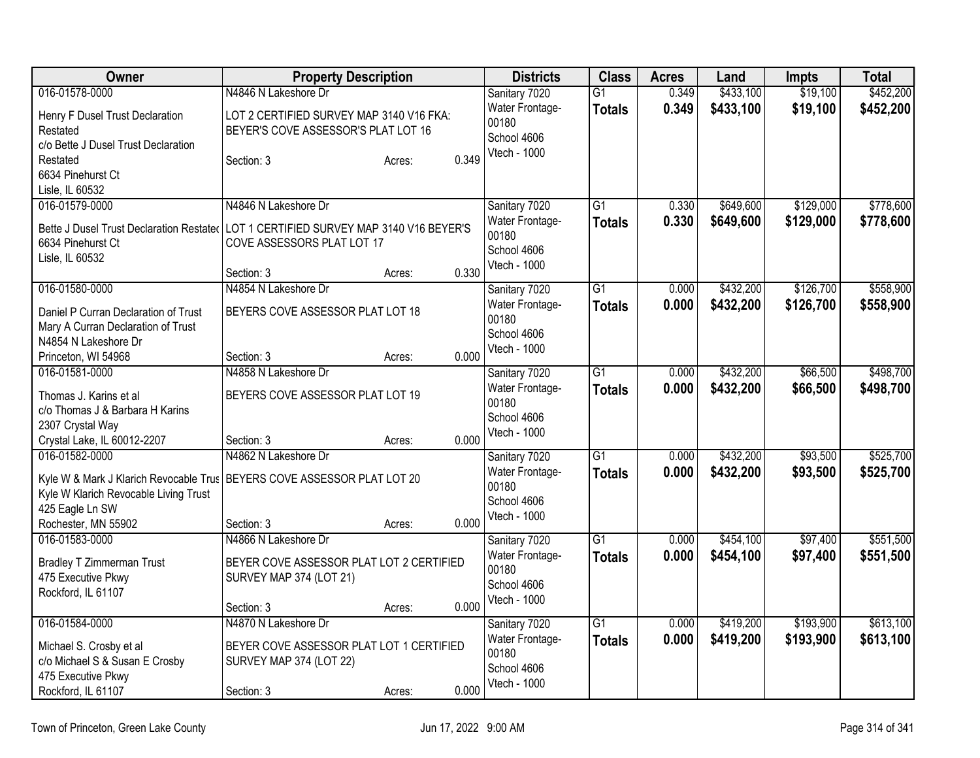| Owner                                                                     | <b>Property Description</b>                 |                 | <b>Districts</b>            | <b>Class</b>    | <b>Acres</b> | Land      | <b>Impts</b> | <b>Total</b> |
|---------------------------------------------------------------------------|---------------------------------------------|-----------------|-----------------------------|-----------------|--------------|-----------|--------------|--------------|
| 016-01578-0000                                                            | N4846 N Lakeshore Dr                        |                 | Sanitary 7020               | $\overline{G1}$ | 0.349        | \$433,100 | \$19,100     | \$452,200    |
| Henry F Dusel Trust Declaration                                           | LOT 2 CERTIFIED SURVEY MAP 3140 V16 FKA:    |                 | Water Frontage-             | <b>Totals</b>   | 0.349        | \$433,100 | \$19,100     | \$452,200    |
| Restated                                                                  | BEYER'S COVE ASSESSOR'S PLAT LOT 16         |                 | 00180                       |                 |              |           |              |              |
| c/o Bette J Dusel Trust Declaration                                       |                                             |                 | School 4606<br>Vtech - 1000 |                 |              |           |              |              |
| Restated                                                                  | Section: 3                                  | 0.349<br>Acres: |                             |                 |              |           |              |              |
| 6634 Pinehurst Ct                                                         |                                             |                 |                             |                 |              |           |              |              |
| Lisle, IL 60532                                                           |                                             |                 |                             |                 |              |           |              |              |
| 016-01579-0000                                                            | N4846 N Lakeshore Dr                        |                 | Sanitary 7020               | $\overline{G1}$ | 0.330        | \$649,600 | \$129,000    | \$778,600    |
| Bette J Dusel Trust Declaration Restated                                  | LOT 1 CERTIFIED SURVEY MAP 3140 V16 BEYER'S |                 | Water Frontage-             | <b>Totals</b>   | 0.330        | \$649,600 | \$129,000    | \$778,600    |
| 6634 Pinehurst Ct                                                         | COVE ASSESSORS PLAT LOT 17                  |                 | 00180<br>School 4606        |                 |              |           |              |              |
| Lisle, IL 60532                                                           |                                             |                 | Vtech - 1000                |                 |              |           |              |              |
|                                                                           | Section: 3                                  | 0.330<br>Acres: |                             |                 |              |           |              |              |
| 016-01580-0000                                                            | N4854 N Lakeshore Dr                        |                 | Sanitary 7020               | $\overline{G1}$ | 0.000        | \$432,200 | \$126,700    | \$558,900    |
| Daniel P Curran Declaration of Trust                                      | BEYERS COVE ASSESSOR PLAT LOT 18            |                 | Water Frontage-             | <b>Totals</b>   | 0.000        | \$432,200 | \$126,700    | \$558,900    |
| Mary A Curran Declaration of Trust                                        |                                             |                 | 00180<br>School 4606        |                 |              |           |              |              |
| N4854 N Lakeshore Dr                                                      |                                             |                 | Vtech - 1000                |                 |              |           |              |              |
| Princeton, WI 54968                                                       | Section: 3                                  | 0.000<br>Acres: |                             |                 |              |           |              |              |
| 016-01581-0000                                                            | N4858 N Lakeshore Dr                        |                 | Sanitary 7020               | G <sub>1</sub>  | 0.000        | \$432,200 | \$66,500     | \$498,700    |
| Thomas J. Karins et al                                                    | BEYERS COVE ASSESSOR PLAT LOT 19            |                 | Water Frontage-             | <b>Totals</b>   | 0.000        | \$432,200 | \$66,500     | \$498,700    |
| c/o Thomas J & Barbara H Karins                                           |                                             |                 | 00180                       |                 |              |           |              |              |
| 2307 Crystal Way                                                          |                                             |                 | School 4606<br>Vtech - 1000 |                 |              |           |              |              |
| Crystal Lake, IL 60012-2207                                               | Section: 3                                  | 0.000<br>Acres: |                             |                 |              |           |              |              |
| 016-01582-0000                                                            | N4862 N Lakeshore Dr                        |                 | Sanitary 7020               | $\overline{G1}$ | 0.000        | \$432,200 | \$93,500     | \$525,700    |
| Kyle W & Mark J Klarich Revocable Trus   BEYERS COVE ASSESSOR PLAT LOT 20 |                                             |                 | Water Frontage-             | <b>Totals</b>   | 0.000        | \$432,200 | \$93,500     | \$525,700    |
| Kyle W Klarich Revocable Living Trust                                     |                                             |                 | 00180                       |                 |              |           |              |              |
| 425 Eagle Ln SW                                                           |                                             |                 | School 4606<br>Vtech - 1000 |                 |              |           |              |              |
| Rochester, MN 55902                                                       | Section: 3                                  | 0.000<br>Acres: |                             |                 |              |           |              |              |
| 016-01583-0000                                                            | N4866 N Lakeshore Dr                        |                 | Sanitary 7020               | $\overline{G1}$ | 0.000        | \$454,100 | \$97,400     | \$551,500    |
| <b>Bradley T Zimmerman Trust</b>                                          | BEYER COVE ASSESSOR PLAT LOT 2 CERTIFIED    |                 | Water Frontage-             | <b>Totals</b>   | 0.000        | \$454,100 | \$97,400     | \$551,500    |
| 475 Executive Pkwy                                                        | SURVEY MAP 374 (LOT 21)                     |                 | 00180                       |                 |              |           |              |              |
| Rockford, IL 61107                                                        |                                             |                 | School 4606                 |                 |              |           |              |              |
|                                                                           | Section: 3                                  | 0.000<br>Acres: | Vtech - 1000                |                 |              |           |              |              |
| 016-01584-0000                                                            | N4870 N Lakeshore Dr                        |                 | Sanitary 7020               | $\overline{G1}$ | 0.000        | \$419,200 | \$193,900    | \$613,100    |
| Michael S. Crosby et al                                                   | BEYER COVE ASSESSOR PLAT LOT 1 CERTIFIED    |                 | Water Frontage-             | <b>Totals</b>   | 0.000        | \$419,200 | \$193,900    | \$613,100    |
| c/o Michael S & Susan E Crosby                                            | SURVEY MAP 374 (LOT 22)                     |                 | 00180                       |                 |              |           |              |              |
| 475 Executive Pkwy                                                        |                                             |                 | School 4606                 |                 |              |           |              |              |
| Rockford, IL 61107                                                        | Section: 3                                  | 0.000<br>Acres: | Vtech - 1000                |                 |              |           |              |              |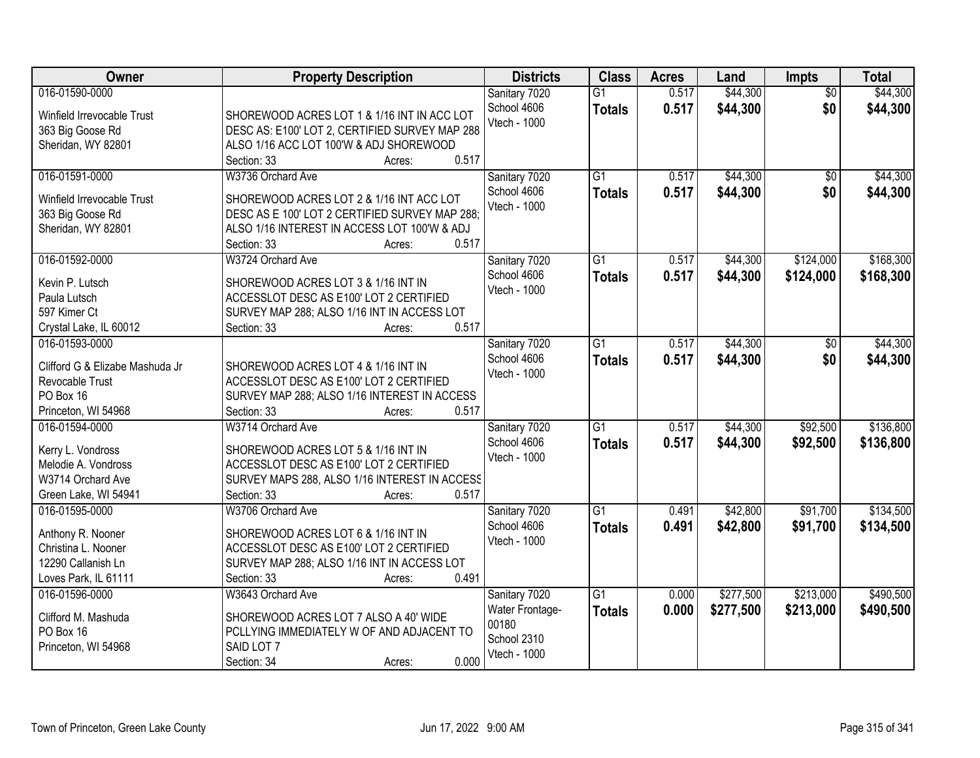| Owner                                  | <b>Property Description</b>                    | <b>Districts</b>             | <b>Class</b>    | <b>Acres</b> | Land      | Impts           | <b>Total</b> |
|----------------------------------------|------------------------------------------------|------------------------------|-----------------|--------------|-----------|-----------------|--------------|
| 016-01590-0000                         |                                                | Sanitary 7020                | $\overline{G1}$ | 0.517        | \$44,300  | $\overline{50}$ | \$44,300     |
| Winfield Irrevocable Trust             | SHOREWOOD ACRES LOT 1 & 1/16 INT IN ACC LOT    | School 4606                  | <b>Totals</b>   | 0.517        | \$44,300  | \$0             | \$44,300     |
| 363 Big Goose Rd                       | DESC AS: E100' LOT 2, CERTIFIED SURVEY MAP 288 | Vtech - 1000                 |                 |              |           |                 |              |
| Sheridan, WY 82801                     | ALSO 1/16 ACC LOT 100'W & ADJ SHOREWOOD        |                              |                 |              |           |                 |              |
|                                        | 0.517<br>Section: 33<br>Acres:                 |                              |                 |              |           |                 |              |
| 016-01591-0000                         | W3736 Orchard Ave                              | Sanitary 7020                | $\overline{G1}$ | 0.517        | \$44,300  | $\overline{50}$ | \$44,300     |
| Winfield Irrevocable Trust             | SHOREWOOD ACRES LOT 2 & 1/16 INT ACC LOT       | School 4606                  | <b>Totals</b>   | 0.517        | \$44,300  | \$0             | \$44,300     |
|                                        | DESC AS E 100' LOT 2 CERTIFIED SURVEY MAP 288; | Vtech - 1000                 |                 |              |           |                 |              |
| 363 Big Goose Rd<br>Sheridan, WY 82801 | ALSO 1/16 INTEREST IN ACCESS LOT 100'W & ADJ   |                              |                 |              |           |                 |              |
|                                        | 0.517<br>Section: 33<br>Acres:                 |                              |                 |              |           |                 |              |
| 016-01592-0000                         | W3724 Orchard Ave                              | Sanitary 7020                | G1              | 0.517        | \$44,300  | \$124,000       | \$168,300    |
|                                        |                                                | School 4606                  |                 |              |           | \$124,000       |              |
| Kevin P. Lutsch                        | SHOREWOOD ACRES LOT 3 & 1/16 INT IN            | Vtech - 1000                 | <b>Totals</b>   | 0.517        | \$44,300  |                 | \$168,300    |
| Paula Lutsch                           | ACCESSLOT DESC AS E100' LOT 2 CERTIFIED        |                              |                 |              |           |                 |              |
| 597 Kimer Ct                           | SURVEY MAP 288; ALSO 1/16 INT IN ACCESS LOT    |                              |                 |              |           |                 |              |
| Crystal Lake, IL 60012                 | 0.517<br>Section: 33<br>Acres:                 |                              |                 |              |           |                 |              |
| 016-01593-0000                         |                                                | Sanitary 7020                | $\overline{G1}$ | 0.517        | \$44,300  | \$0             | \$44,300     |
| Clifford G & Elizabe Mashuda Jr        | SHOREWOOD ACRES LOT 4 & 1/16 INT IN            | School 4606                  | <b>Totals</b>   | 0.517        | \$44,300  | \$0             | \$44,300     |
| Revocable Trust                        | ACCESSLOT DESC AS E100' LOT 2 CERTIFIED        | Vtech - 1000                 |                 |              |           |                 |              |
| PO Box 16                              | SURVEY MAP 288; ALSO 1/16 INTEREST IN ACCESS   |                              |                 |              |           |                 |              |
| Princeton, WI 54968                    | 0.517<br>Section: 33<br>Acres:                 |                              |                 |              |           |                 |              |
| 016-01594-0000                         | W3714 Orchard Ave                              |                              | $\overline{G1}$ | 0.517        | \$44,300  | \$92,500        | \$136,800    |
|                                        |                                                | Sanitary 7020<br>School 4606 |                 |              |           |                 |              |
| Kerry L. Vondross                      | SHOREWOOD ACRES LOT 5 & 1/16 INT IN            | Vtech - 1000                 | <b>Totals</b>   | 0.517        | \$44,300  | \$92,500        | \$136,800    |
| Melodie A. Vondross                    | ACCESSLOT DESC AS E100' LOT 2 CERTIFIED        |                              |                 |              |           |                 |              |
| W3714 Orchard Ave                      | SURVEY MAPS 288, ALSO 1/16 INTEREST IN ACCESS  |                              |                 |              |           |                 |              |
| Green Lake, WI 54941                   | 0.517<br>Section: 33<br>Acres:                 |                              |                 |              |           |                 |              |
| 016-01595-0000                         | W3706 Orchard Ave                              | Sanitary 7020                | $\overline{G1}$ | 0.491        | \$42,800  | \$91,700        | \$134,500    |
| Anthony R. Nooner                      | SHOREWOOD ACRES LOT 6 & 1/16 INT IN            | School 4606                  | <b>Totals</b>   | 0.491        | \$42,800  | \$91,700        | \$134,500    |
| Christina L. Nooner                    | ACCESSLOT DESC AS E100' LOT 2 CERTIFIED        | Vtech - 1000                 |                 |              |           |                 |              |
| 12290 Callanish Ln                     | SURVEY MAP 288; ALSO 1/16 INT IN ACCESS LOT    |                              |                 |              |           |                 |              |
| Loves Park, IL 61111                   | 0.491<br>Section: 33<br>Acres:                 |                              |                 |              |           |                 |              |
| 016-01596-0000                         | W3643 Orchard Ave                              | Sanitary 7020                | G1              | 0.000        | \$277,500 | \$213,000       | \$490,500    |
|                                        |                                                | Water Frontage-              | <b>Totals</b>   | 0.000        | \$277,500 | \$213,000       | \$490,500    |
| Clifford M. Mashuda                    | SHOREWOOD ACRES LOT 7 ALSO A 40' WIDE          | 00180                        |                 |              |           |                 |              |
| PO Box 16                              | PCLLYING IMMEDIATELY W OF AND ADJACENT TO      | School 2310                  |                 |              |           |                 |              |
| Princeton, WI 54968                    | SAID LOT 7                                     | Vtech - 1000                 |                 |              |           |                 |              |
|                                        | 0.000<br>Section: 34<br>Acres:                 |                              |                 |              |           |                 |              |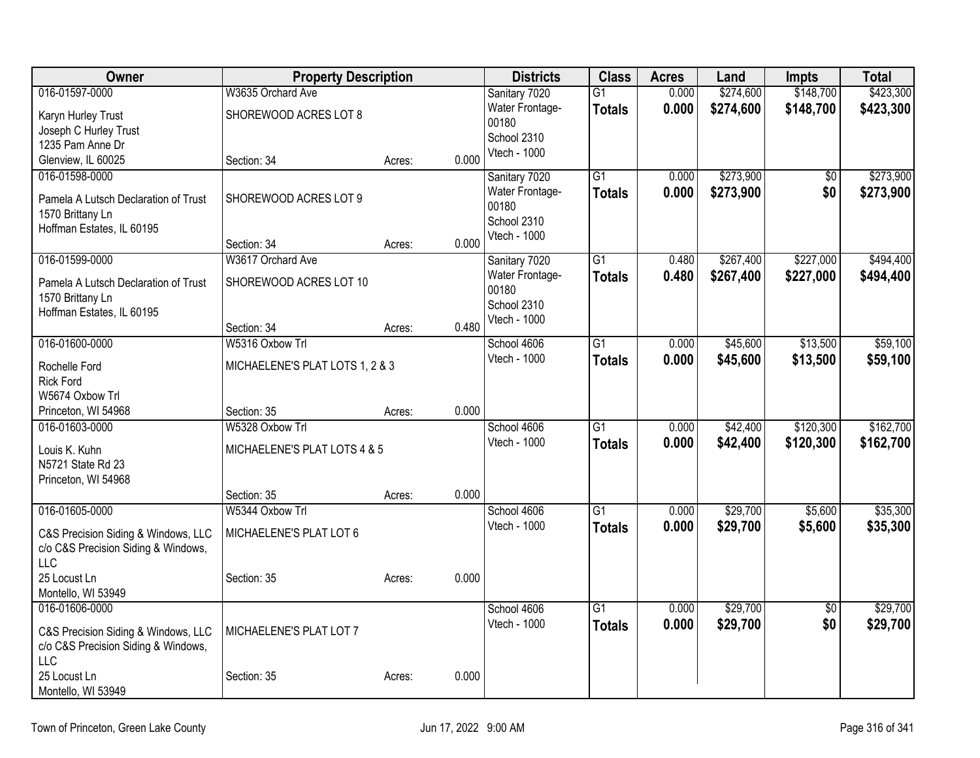| Owner                                | <b>Property Description</b>     |        |       | <b>Districts</b>            | <b>Class</b>    | <b>Acres</b> | Land      | <b>Impts</b>    | <b>Total</b> |
|--------------------------------------|---------------------------------|--------|-------|-----------------------------|-----------------|--------------|-----------|-----------------|--------------|
| 016-01597-0000                       | W3635 Orchard Ave               |        |       | Sanitary 7020               | $\overline{G1}$ | 0.000        | \$274,600 | \$148,700       | \$423,300    |
| Karyn Hurley Trust                   | SHOREWOOD ACRES LOT 8           |        |       | Water Frontage-             | <b>Totals</b>   | 0.000        | \$274,600 | \$148,700       | \$423,300    |
| Joseph C Hurley Trust                |                                 |        |       | 00180<br>School 2310        |                 |              |           |                 |              |
| 1235 Pam Anne Dr                     |                                 |        |       | Vtech - 1000                |                 |              |           |                 |              |
| Glenview, IL 60025                   | Section: 34                     | Acres: | 0.000 |                             |                 |              |           |                 |              |
| 016-01598-0000                       |                                 |        |       | Sanitary 7020               | $\overline{G1}$ | 0.000        | \$273,900 | $\overline{60}$ | \$273,900    |
| Pamela A Lutsch Declaration of Trust | SHOREWOOD ACRES LOT 9           |        |       | Water Frontage-             | <b>Totals</b>   | 0.000        | \$273,900 | \$0             | \$273,900    |
| 1570 Brittany Ln                     |                                 |        |       | 00180                       |                 |              |           |                 |              |
| Hoffman Estates, IL 60195            |                                 |        |       | School 2310<br>Vtech - 1000 |                 |              |           |                 |              |
|                                      | Section: 34                     | Acres: | 0.000 |                             |                 |              |           |                 |              |
| 016-01599-0000                       | W3617 Orchard Ave               |        |       | Sanitary 7020               | $\overline{G1}$ | 0.480        | \$267,400 | \$227,000       | \$494,400    |
| Pamela A Lutsch Declaration of Trust | SHOREWOOD ACRES LOT 10          |        |       | Water Frontage-             | <b>Totals</b>   | 0.480        | \$267,400 | \$227,000       | \$494,400    |
| 1570 Brittany Ln                     |                                 |        |       | 00180                       |                 |              |           |                 |              |
| Hoffman Estates, IL 60195            |                                 |        |       | School 2310                 |                 |              |           |                 |              |
|                                      | Section: 34                     | Acres: | 0.480 | Vtech - 1000                |                 |              |           |                 |              |
| 016-01600-0000                       | W5316 Oxbow Trl                 |        |       | School 4606                 | $\overline{G1}$ | 0.000        | \$45,600  | \$13,500        | \$59,100     |
| Rochelle Ford                        | MICHAELENE'S PLAT LOTS 1, 2 & 3 |        |       | Vtech - 1000                | <b>Totals</b>   | 0.000        | \$45,600  | \$13,500        | \$59,100     |
| <b>Rick Ford</b>                     |                                 |        |       |                             |                 |              |           |                 |              |
| W5674 Oxbow Trl                      |                                 |        |       |                             |                 |              |           |                 |              |
| Princeton, WI 54968                  | Section: 35                     | Acres: | 0.000 |                             |                 |              |           |                 |              |
| 016-01603-0000                       | W5328 Oxbow Trl                 |        |       | School 4606                 | $\overline{G1}$ | 0.000        | \$42,400  | \$120,300       | \$162,700    |
| Louis K. Kuhn                        | MICHAELENE'S PLAT LOTS 4 & 5    |        |       | Vtech - 1000                | <b>Totals</b>   | 0.000        | \$42,400  | \$120,300       | \$162,700    |
| N5721 State Rd 23                    |                                 |        |       |                             |                 |              |           |                 |              |
| Princeton, WI 54968                  |                                 |        |       |                             |                 |              |           |                 |              |
|                                      | Section: 35                     | Acres: | 0.000 |                             |                 |              |           |                 |              |
| 016-01605-0000                       | W5344 Oxbow Trl                 |        |       | School 4606                 | $\overline{G1}$ | 0.000        | \$29,700  | \$5,600         | \$35,300     |
| C&S Precision Siding & Windows, LLC  | MICHAELENE'S PLAT LOT 6         |        |       | Vtech - 1000                | <b>Totals</b>   | 0.000        | \$29,700  | \$5,600         | \$35,300     |
| c/o C&S Precision Siding & Windows,  |                                 |        |       |                             |                 |              |           |                 |              |
| <b>LLC</b>                           |                                 |        |       |                             |                 |              |           |                 |              |
| 25 Locust Ln                         | Section: 35                     | Acres: | 0.000 |                             |                 |              |           |                 |              |
| Montello, WI 53949                   |                                 |        |       |                             |                 |              |           |                 |              |
| 016-01606-0000                       |                                 |        |       | School 4606                 | $\overline{G1}$ | 0.000        | \$29,700  | $\overline{60}$ | \$29,700     |
| C&S Precision Siding & Windows, LLC  | MICHAELENE'S PLAT LOT 7         |        |       | Vtech - 1000                | <b>Totals</b>   | 0.000        | \$29,700  | \$0             | \$29,700     |
| c/o C&S Precision Siding & Windows,  |                                 |        |       |                             |                 |              |           |                 |              |
| <b>LLC</b>                           |                                 |        |       |                             |                 |              |           |                 |              |
| 25 Locust Ln                         | Section: 35                     | Acres: | 0.000 |                             |                 |              |           |                 |              |
| Montello, WI 53949                   |                                 |        |       |                             |                 |              |           |                 |              |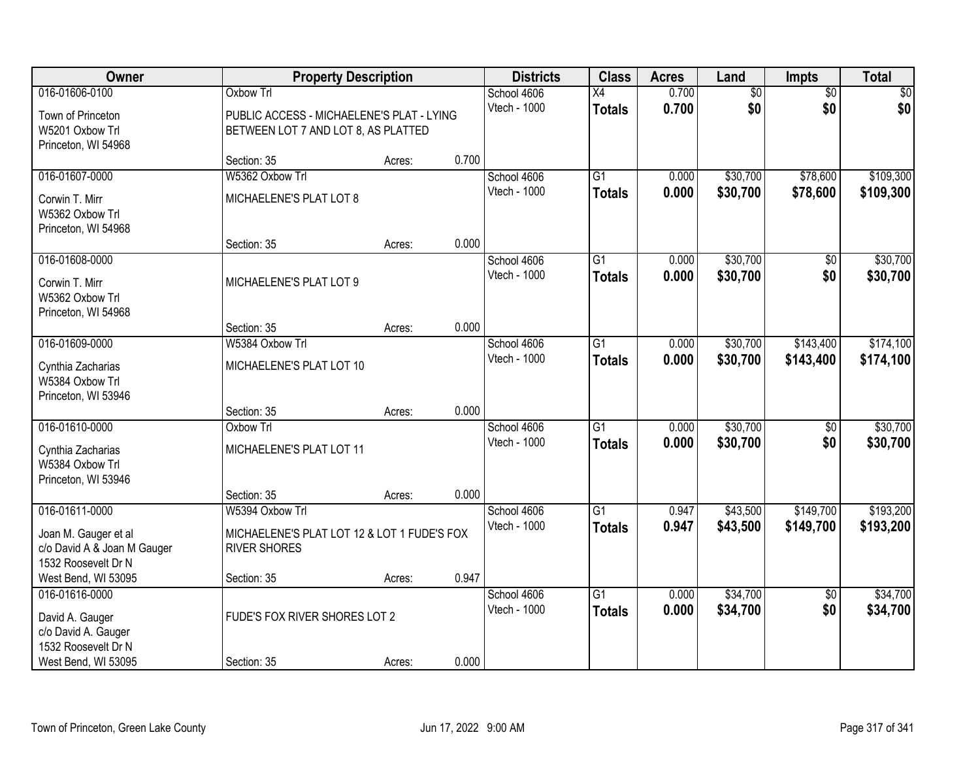| Owner                                  | <b>Property Description</b>                 |        |       | <b>Districts</b> | <b>Class</b>    | <b>Acres</b> | Land     | <b>Impts</b>    | <b>Total</b> |
|----------------------------------------|---------------------------------------------|--------|-------|------------------|-----------------|--------------|----------|-----------------|--------------|
| 016-01606-0100                         | <b>Oxbow Trl</b>                            |        |       | School 4606      | $\overline{X4}$ | 0.700        | \$0      | $\overline{50}$ | \$0          |
| Town of Princeton                      | PUBLIC ACCESS - MICHAELENE'S PLAT - LYING   |        |       | Vtech - 1000     | <b>Totals</b>   | 0.700        | \$0      | \$0             | \$0          |
| W5201 Oxbow Trl                        | BETWEEN LOT 7 AND LOT 8, AS PLATTED         |        |       |                  |                 |              |          |                 |              |
| Princeton, WI 54968                    | Section: 35                                 | Acres: | 0.700 |                  |                 |              |          |                 |              |
| 016-01607-0000                         | W5362 Oxbow Trl                             |        |       | School 4606      | $\overline{G1}$ | 0.000        | \$30,700 | \$78,600        | \$109,300    |
|                                        |                                             |        |       | Vtech - 1000     | <b>Totals</b>   | 0.000        | \$30,700 | \$78,600        | \$109,300    |
| Corwin T. Mirr<br>W5362 Oxbow Trl      | MICHAELENE'S PLAT LOT 8                     |        |       |                  |                 |              |          |                 |              |
| Princeton, WI 54968                    |                                             |        |       |                  |                 |              |          |                 |              |
|                                        | Section: 35                                 | Acres: | 0.000 |                  |                 |              |          |                 |              |
| 016-01608-0000                         |                                             |        |       | School 4606      | G1              | 0.000        | \$30,700 | \$0             | \$30,700     |
| Corwin T. Mirr                         | MICHAELENE'S PLAT LOT 9                     |        |       | Vtech - 1000     | <b>Totals</b>   | 0.000        | \$30,700 | \$0             | \$30,700     |
| W5362 Oxbow Trl                        |                                             |        |       |                  |                 |              |          |                 |              |
| Princeton, WI 54968                    |                                             |        |       |                  |                 |              |          |                 |              |
|                                        | Section: 35                                 | Acres: | 0.000 |                  |                 |              |          |                 |              |
| 016-01609-0000                         | W5384 Oxbow Trl                             |        |       | School 4606      | $\overline{G1}$ | 0.000        | \$30,700 | \$143,400       | \$174,100    |
| Cynthia Zacharias                      | MICHAELENE'S PLAT LOT 10                    |        |       | Vtech - 1000     | <b>Totals</b>   | 0.000        | \$30,700 | \$143,400       | \$174,100    |
| W5384 Oxbow Trl                        |                                             |        |       |                  |                 |              |          |                 |              |
| Princeton, WI 53946                    |                                             |        | 0.000 |                  |                 |              |          |                 |              |
| 016-01610-0000                         | Section: 35<br>Oxbow Trl                    | Acres: |       | School 4606      | $\overline{G1}$ | 0.000        | \$30,700 | $\overline{50}$ | \$30,700     |
|                                        |                                             |        |       | Vtech - 1000     | <b>Totals</b>   | 0.000        | \$30,700 | \$0             | \$30,700     |
| Cynthia Zacharias                      | MICHAELENE'S PLAT LOT 11                    |        |       |                  |                 |              |          |                 |              |
| W5384 Oxbow Trl<br>Princeton, WI 53946 |                                             |        |       |                  |                 |              |          |                 |              |
|                                        | Section: 35                                 | Acres: | 0.000 |                  |                 |              |          |                 |              |
| 016-01611-0000                         | W5394 Oxbow Trl                             |        |       | School 4606      | $\overline{G1}$ | 0.947        | \$43,500 | \$149,700       | \$193,200    |
| Joan M. Gauger et al                   | MICHAELENE'S PLAT LOT 12 & LOT 1 FUDE'S FOX |        |       | Vtech - 1000     | <b>Totals</b>   | 0.947        | \$43,500 | \$149,700       | \$193,200    |
| c/o David A & Joan M Gauger            | <b>RIVER SHORES</b>                         |        |       |                  |                 |              |          |                 |              |
| 1532 Roosevelt Dr N                    |                                             |        |       |                  |                 |              |          |                 |              |
| West Bend, WI 53095                    | Section: 35                                 | Acres: | 0.947 |                  |                 |              |          |                 |              |
| 016-01616-0000                         |                                             |        |       | School 4606      | $\overline{G1}$ | 0.000        | \$34,700 | $\overline{50}$ | \$34,700     |
| David A. Gauger                        | FUDE'S FOX RIVER SHORES LOT 2               |        |       | Vtech - 1000     | <b>Totals</b>   | 0.000        | \$34,700 | \$0             | \$34,700     |
| c/o David A. Gauger                    |                                             |        |       |                  |                 |              |          |                 |              |
| 1532 Roosevelt Dr N                    |                                             |        |       |                  |                 |              |          |                 |              |
| West Bend, WI 53095                    | Section: 35                                 | Acres: | 0.000 |                  |                 |              |          |                 |              |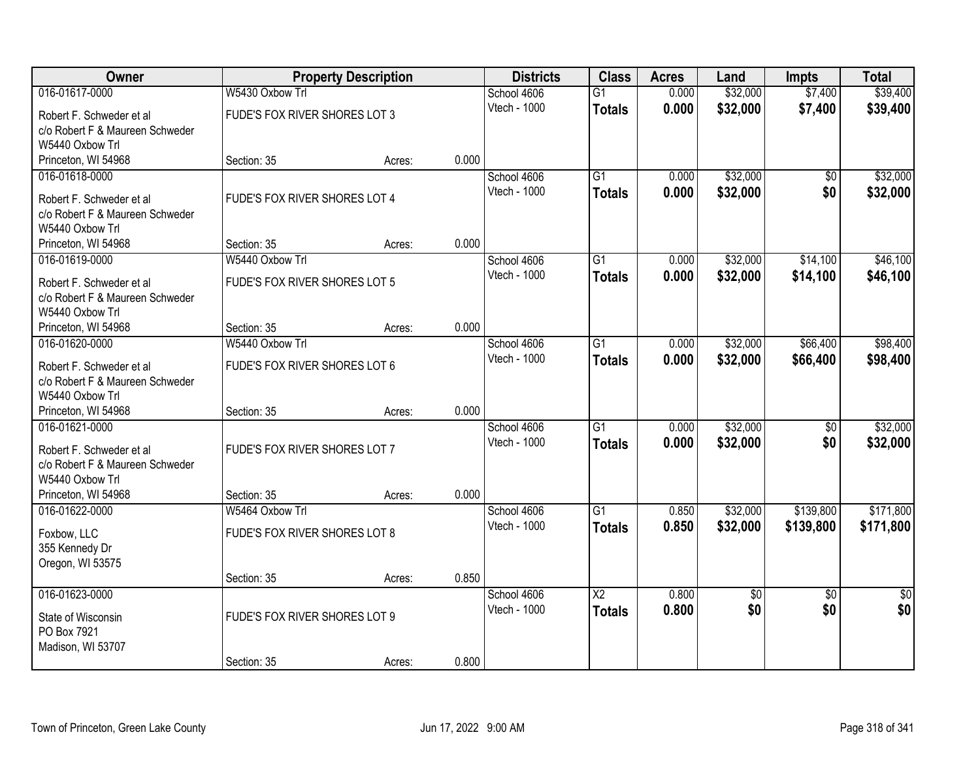| Owner                           |                               | <b>Property Description</b> |       | <b>Districts</b> | <b>Class</b>           | <b>Acres</b> | Land            | <b>Impts</b>    | <b>Total</b>    |
|---------------------------------|-------------------------------|-----------------------------|-------|------------------|------------------------|--------------|-----------------|-----------------|-----------------|
| 016-01617-0000                  | W5430 Oxbow Trl               |                             |       | School 4606      | $\overline{G1}$        | 0.000        | \$32,000        | \$7,400         | \$39,400        |
| Robert F. Schweder et al        | FUDE'S FOX RIVER SHORES LOT 3 |                             |       | Vtech - 1000     | <b>Totals</b>          | 0.000        | \$32,000        | \$7,400         | \$39,400        |
| c/o Robert F & Maureen Schweder |                               |                             |       |                  |                        |              |                 |                 |                 |
| W5440 Oxbow Trl                 |                               |                             |       |                  |                        |              |                 |                 |                 |
| Princeton, WI 54968             | Section: 35                   | Acres:                      | 0.000 |                  |                        |              |                 |                 |                 |
| 016-01618-0000                  |                               |                             |       | School 4606      | G1                     | 0.000        | \$32,000        | \$0             | \$32,000        |
| Robert F. Schweder et al        | FUDE'S FOX RIVER SHORES LOT 4 |                             |       | Vtech - 1000     | <b>Totals</b>          | 0.000        | \$32,000        | \$0             | \$32,000        |
| c/o Robert F & Maureen Schweder |                               |                             |       |                  |                        |              |                 |                 |                 |
| W5440 Oxbow Trl                 |                               |                             |       |                  |                        |              |                 |                 |                 |
| Princeton, WI 54968             | Section: 35                   | Acres:                      | 0.000 |                  |                        |              |                 |                 |                 |
| 016-01619-0000                  | W5440 Oxbow Trl               |                             |       | School 4606      | $\overline{G1}$        | 0.000        | \$32,000        | \$14,100        | \$46,100        |
| Robert F. Schweder et al        | FUDE'S FOX RIVER SHORES LOT 5 |                             |       | Vtech - 1000     | <b>Totals</b>          | 0.000        | \$32,000        | \$14,100        | \$46,100        |
| c/o Robert F & Maureen Schweder |                               |                             |       |                  |                        |              |                 |                 |                 |
| W5440 Oxbow Trl                 |                               |                             |       |                  |                        |              |                 |                 |                 |
| Princeton, WI 54968             | Section: 35                   | Acres:                      | 0.000 |                  |                        |              |                 |                 |                 |
| 016-01620-0000                  | W5440 Oxbow Trl               |                             |       | School 4606      | $\overline{G1}$        | 0.000        | \$32,000        | \$66,400        | \$98,400        |
| Robert F. Schweder et al        | FUDE'S FOX RIVER SHORES LOT 6 |                             |       | Vtech - 1000     | <b>Totals</b>          | 0.000        | \$32,000        | \$66,400        | \$98,400        |
| c/o Robert F & Maureen Schweder |                               |                             |       |                  |                        |              |                 |                 |                 |
| W5440 Oxbow Trl                 |                               |                             |       |                  |                        |              |                 |                 |                 |
| Princeton, WI 54968             | Section: 35                   | Acres:                      | 0.000 |                  |                        |              |                 |                 |                 |
| 016-01621-0000                  |                               |                             |       | School 4606      | $\overline{G1}$        | 0.000        | \$32,000        | \$0             | \$32,000        |
| Robert F. Schweder et al        | FUDE'S FOX RIVER SHORES LOT 7 |                             |       | Vtech - 1000     | <b>Totals</b>          | 0.000        | \$32,000        | \$0             | \$32,000        |
| c/o Robert F & Maureen Schweder |                               |                             |       |                  |                        |              |                 |                 |                 |
| W5440 Oxbow Trl                 |                               |                             |       |                  |                        |              |                 |                 |                 |
| Princeton, WI 54968             | Section: 35                   | Acres:                      | 0.000 |                  |                        |              |                 |                 |                 |
| 016-01622-0000                  | W5464 Oxbow Trl               |                             |       | School 4606      | G1                     | 0.850        | \$32,000        | \$139,800       | \$171,800       |
| Foxbow, LLC                     | FUDE'S FOX RIVER SHORES LOT 8 |                             |       | Vtech - 1000     | <b>Totals</b>          | 0.850        | \$32,000        | \$139,800       | \$171,800       |
| 355 Kennedy Dr                  |                               |                             |       |                  |                        |              |                 |                 |                 |
| Oregon, WI 53575                |                               |                             |       |                  |                        |              |                 |                 |                 |
|                                 | Section: 35                   | Acres:                      | 0.850 |                  |                        |              |                 |                 |                 |
| 016-01623-0000                  |                               |                             |       | School 4606      | $\overline{\text{X2}}$ | 0.800        | $\overline{60}$ | $\overline{30}$ | $\overline{30}$ |
| State of Wisconsin              | FUDE'S FOX RIVER SHORES LOT 9 |                             |       | Vtech - 1000     | <b>Totals</b>          | 0.800        | \$0             | \$0             | \$0             |
| PO Box 7921                     |                               |                             |       |                  |                        |              |                 |                 |                 |
| Madison, WI 53707               |                               |                             |       |                  |                        |              |                 |                 |                 |
|                                 | Section: 35                   | Acres:                      | 0.800 |                  |                        |              |                 |                 |                 |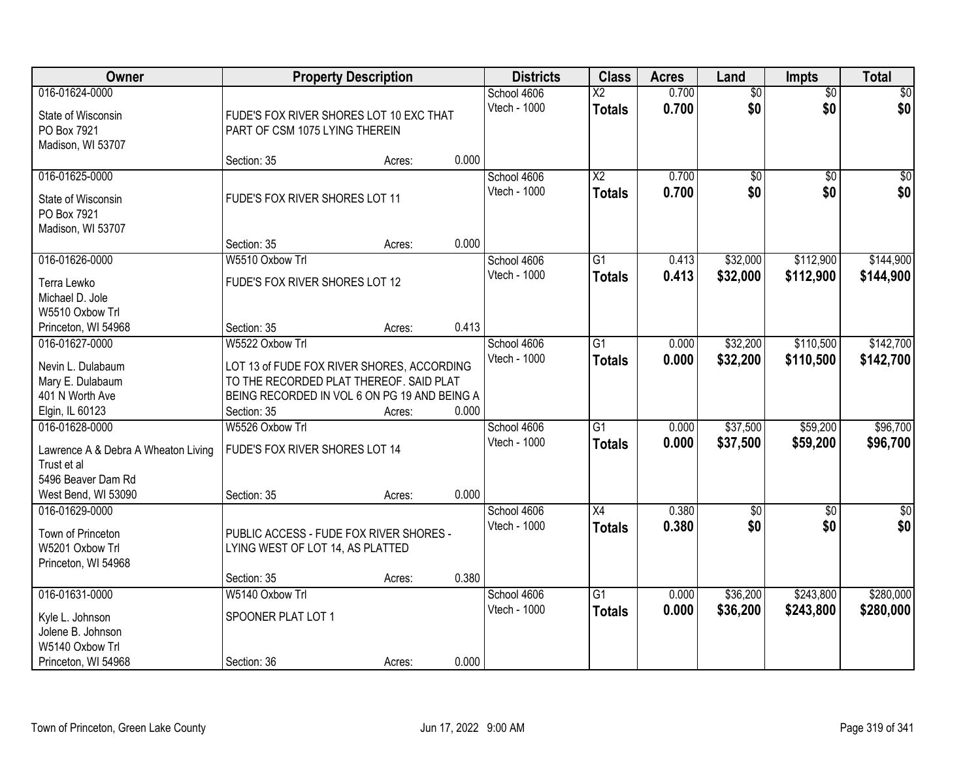| Owner                               | <b>Property Description</b>                  |        |       | <b>Districts</b> | <b>Class</b>           | <b>Acres</b> | Land            | <b>Impts</b>    | <b>Total</b>     |
|-------------------------------------|----------------------------------------------|--------|-------|------------------|------------------------|--------------|-----------------|-----------------|------------------|
| 016-01624-0000                      |                                              |        |       | School 4606      | $\overline{\text{X2}}$ | 0.700        | $\overline{50}$ | $\overline{50}$ | $\sqrt{50}$      |
| State of Wisconsin                  | FUDE'S FOX RIVER SHORES LOT 10 EXC THAT      |        |       | Vtech - 1000     | <b>Totals</b>          | 0.700        | \$0             | \$0             | \$0              |
| PO Box 7921                         | PART OF CSM 1075 LYING THEREIN               |        |       |                  |                        |              |                 |                 |                  |
| Madison, WI 53707                   |                                              |        |       |                  |                        |              |                 |                 |                  |
|                                     | Section: 35                                  | Acres: | 0.000 |                  |                        |              |                 |                 |                  |
| 016-01625-0000                      |                                              |        |       | School 4606      | $\overline{X2}$        | 0.700        | $\overline{50}$ | $\overline{50}$ | $\sqrt{50}$      |
| State of Wisconsin                  | FUDE'S FOX RIVER SHORES LOT 11               |        |       | Vtech - 1000     | <b>Totals</b>          | 0.700        | \$0             | \$0             | \$0              |
| PO Box 7921                         |                                              |        |       |                  |                        |              |                 |                 |                  |
| Madison, WI 53707                   |                                              |        |       |                  |                        |              |                 |                 |                  |
|                                     | Section: 35                                  | Acres: | 0.000 |                  |                        |              |                 |                 |                  |
| 016-01626-0000                      | W5510 Oxbow Trl                              |        |       | School 4606      | G1                     | 0.413        | \$32,000        | \$112,900       | \$144,900        |
| Terra Lewko                         | FUDE'S FOX RIVER SHORES LOT 12               |        |       | Vtech - 1000     | <b>Totals</b>          | 0.413        | \$32,000        | \$112,900       | \$144,900        |
| Michael D. Jole                     |                                              |        |       |                  |                        |              |                 |                 |                  |
| W5510 Oxbow Trl                     |                                              |        |       |                  |                        |              |                 |                 |                  |
| Princeton, WI 54968                 | Section: 35                                  | Acres: | 0.413 |                  |                        |              |                 |                 |                  |
| 016-01627-0000                      | W5522 Oxbow Trl                              |        |       | School 4606      | G1                     | 0.000        | \$32,200        | \$110,500       | \$142,700        |
|                                     |                                              |        |       | Vtech - 1000     | <b>Totals</b>          | 0.000        | \$32,200        | \$110,500       | \$142,700        |
| Nevin L. Dulabaum                   | LOT 13 of FUDE FOX RIVER SHORES, ACCORDING   |        |       |                  |                        |              |                 |                 |                  |
| Mary E. Dulabaum                    | TO THE RECORDED PLAT THEREOF. SAID PLAT      |        |       |                  |                        |              |                 |                 |                  |
| 401 N Worth Ave                     | BEING RECORDED IN VOL 6 ON PG 19 AND BEING A |        |       |                  |                        |              |                 |                 |                  |
| Elgin, IL 60123                     | Section: 35                                  | Acres: | 0.000 |                  |                        |              |                 |                 |                  |
| 016-01628-0000                      | W5526 Oxbow Trl                              |        |       | School 4606      | $\overline{G1}$        | 0.000        | \$37,500        | \$59,200        | \$96,700         |
| Lawrence A & Debra A Wheaton Living | FUDE'S FOX RIVER SHORES LOT 14               |        |       | Vtech - 1000     | <b>Totals</b>          | 0.000        | \$37,500        | \$59,200        | \$96,700         |
| Trust et al                         |                                              |        |       |                  |                        |              |                 |                 |                  |
| 5496 Beaver Dam Rd                  |                                              |        |       |                  |                        |              |                 |                 |                  |
| West Bend, WI 53090                 | Section: 35                                  | Acres: | 0.000 |                  |                        |              |                 |                 |                  |
| 016-01629-0000                      |                                              |        |       | School 4606      | X4                     | 0.380        | $\overline{50}$ | $\overline{30}$ | $\overline{\$0}$ |
| Town of Princeton                   | PUBLIC ACCESS - FUDE FOX RIVER SHORES -      |        |       | Vtech - 1000     | <b>Totals</b>          | 0.380        | \$0             | \$0             | \$0              |
| W5201 Oxbow Trl                     | LYING WEST OF LOT 14, AS PLATTED             |        |       |                  |                        |              |                 |                 |                  |
| Princeton, WI 54968                 |                                              |        |       |                  |                        |              |                 |                 |                  |
|                                     | Section: 35                                  | Acres: | 0.380 |                  |                        |              |                 |                 |                  |
| 016-01631-0000                      | W5140 Oxbow Trl                              |        |       | School 4606      | $\overline{G1}$        | 0.000        | \$36,200        | \$243,800       | \$280,000        |
|                                     |                                              |        |       | Vtech - 1000     | <b>Totals</b>          | 0.000        | \$36,200        | \$243,800       | \$280,000        |
| Kyle L. Johnson                     | SPOONER PLAT LOT 1                           |        |       |                  |                        |              |                 |                 |                  |
| Jolene B. Johnson                   |                                              |        |       |                  |                        |              |                 |                 |                  |
| W5140 Oxbow Trl                     |                                              |        |       |                  |                        |              |                 |                 |                  |
| Princeton, WI 54968                 | Section: 36                                  | Acres: | 0.000 |                  |                        |              |                 |                 |                  |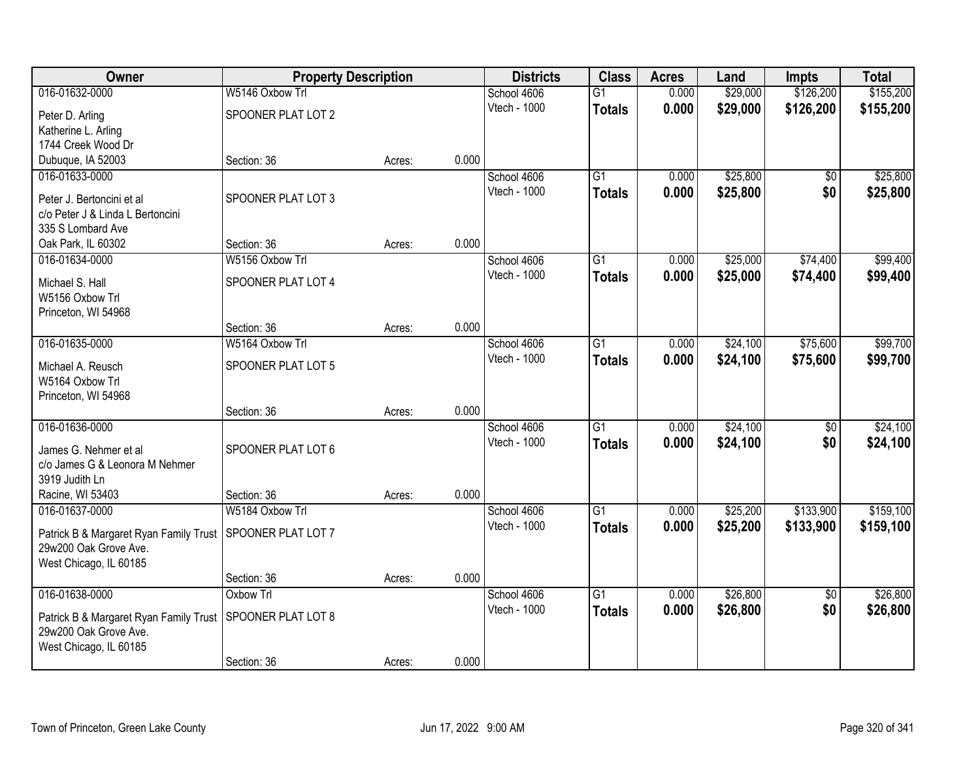| Owner                                  | <b>Property Description</b> |        |       | <b>Districts</b> | <b>Class</b>    | <b>Acres</b> | Land     | Impts           | <b>Total</b> |
|----------------------------------------|-----------------------------|--------|-------|------------------|-----------------|--------------|----------|-----------------|--------------|
| 016-01632-0000                         | W5146 Oxbow Trl             |        |       | School 4606      | $\overline{G1}$ | 0.000        | \$29,000 | \$126,200       | \$155,200    |
| Peter D. Arling                        | SPOONER PLAT LOT 2          |        |       | Vtech - 1000     | <b>Totals</b>   | 0.000        | \$29,000 | \$126,200       | \$155,200    |
| Katherine L. Arling                    |                             |        |       |                  |                 |              |          |                 |              |
| 1744 Creek Wood Dr                     |                             |        |       |                  |                 |              |          |                 |              |
| Dubuque, IA 52003                      | Section: 36                 | Acres: | 0.000 |                  |                 |              |          |                 |              |
| 016-01633-0000                         |                             |        |       | School 4606      | $\overline{G1}$ | 0.000        | \$25,800 | \$0             | \$25,800     |
| Peter J. Bertoncini et al              | SPOONER PLAT LOT 3          |        |       | Vtech - 1000     | <b>Totals</b>   | 0.000        | \$25,800 | \$0             | \$25,800     |
| c/o Peter J & Linda L Bertoncini       |                             |        |       |                  |                 |              |          |                 |              |
| 335 S Lombard Ave                      |                             |        |       |                  |                 |              |          |                 |              |
| Oak Park, IL 60302                     | Section: 36                 | Acres: | 0.000 |                  |                 |              |          |                 |              |
| 016-01634-0000                         | W5156 Oxbow Trl             |        |       | School 4606      | G <sub>1</sub>  | 0.000        | \$25,000 | \$74,400        | \$99,400     |
| Michael S. Hall                        | SPOONER PLAT LOT 4          |        |       | Vtech - 1000     | <b>Totals</b>   | 0.000        | \$25,000 | \$74,400        | \$99,400     |
| W5156 Oxbow Trl                        |                             |        |       |                  |                 |              |          |                 |              |
| Princeton, WI 54968                    |                             |        |       |                  |                 |              |          |                 |              |
|                                        | Section: 36                 | Acres: | 0.000 |                  |                 |              |          |                 |              |
| 016-01635-0000                         | W5164 Oxbow Trl             |        |       | School 4606      | G1              | 0.000        | \$24,100 | \$75,600        | \$99,700     |
| Michael A. Reusch                      | SPOONER PLAT LOT 5          |        |       | Vtech - 1000     | <b>Totals</b>   | 0.000        | \$24,100 | \$75,600        | \$99,700     |
| W5164 Oxbow Trl                        |                             |        |       |                  |                 |              |          |                 |              |
| Princeton, WI 54968                    |                             |        |       |                  |                 |              |          |                 |              |
|                                        | Section: 36                 | Acres: | 0.000 |                  |                 |              |          |                 |              |
| 016-01636-0000                         |                             |        |       | School 4606      | $\overline{G1}$ | 0.000        | \$24,100 | $\overline{50}$ | \$24,100     |
| James G. Nehmer et al                  | SPOONER PLAT LOT 6          |        |       | Vtech - 1000     | <b>Totals</b>   | 0.000        | \$24,100 | \$0             | \$24,100     |
| c/o James G & Leonora M Nehmer         |                             |        |       |                  |                 |              |          |                 |              |
| 3919 Judith Ln                         |                             |        |       |                  |                 |              |          |                 |              |
| Racine, WI 53403                       | Section: 36                 | Acres: | 0.000 |                  |                 |              |          |                 |              |
| 016-01637-0000                         | W5184 Oxbow Trl             |        |       | School 4606      | $\overline{G1}$ | 0.000        | \$25,200 | \$133,900       | \$159,100    |
| Patrick B & Margaret Ryan Family Trust | SPOONER PLAT LOT 7          |        |       | Vtech - 1000     | <b>Totals</b>   | 0.000        | \$25,200 | \$133,900       | \$159,100    |
| 29w200 Oak Grove Ave.                  |                             |        |       |                  |                 |              |          |                 |              |
| West Chicago, IL 60185                 |                             |        |       |                  |                 |              |          |                 |              |
|                                        | Section: 36                 | Acres: | 0.000 |                  |                 |              |          |                 |              |
| 016-01638-0000                         | Oxbow Trl                   |        |       | School 4606      | G1              | 0.000        | \$26,800 | $\overline{50}$ | \$26,800     |
| Patrick B & Margaret Ryan Family Trust | SPOONER PLAT LOT 8          |        |       | Vtech - 1000     | <b>Totals</b>   | 0.000        | \$26,800 | \$0             | \$26,800     |
| 29w200 Oak Grove Ave.                  |                             |        |       |                  |                 |              |          |                 |              |
| West Chicago, IL 60185                 |                             |        |       |                  |                 |              |          |                 |              |
|                                        | Section: 36                 | Acres: | 0.000 |                  |                 |              |          |                 |              |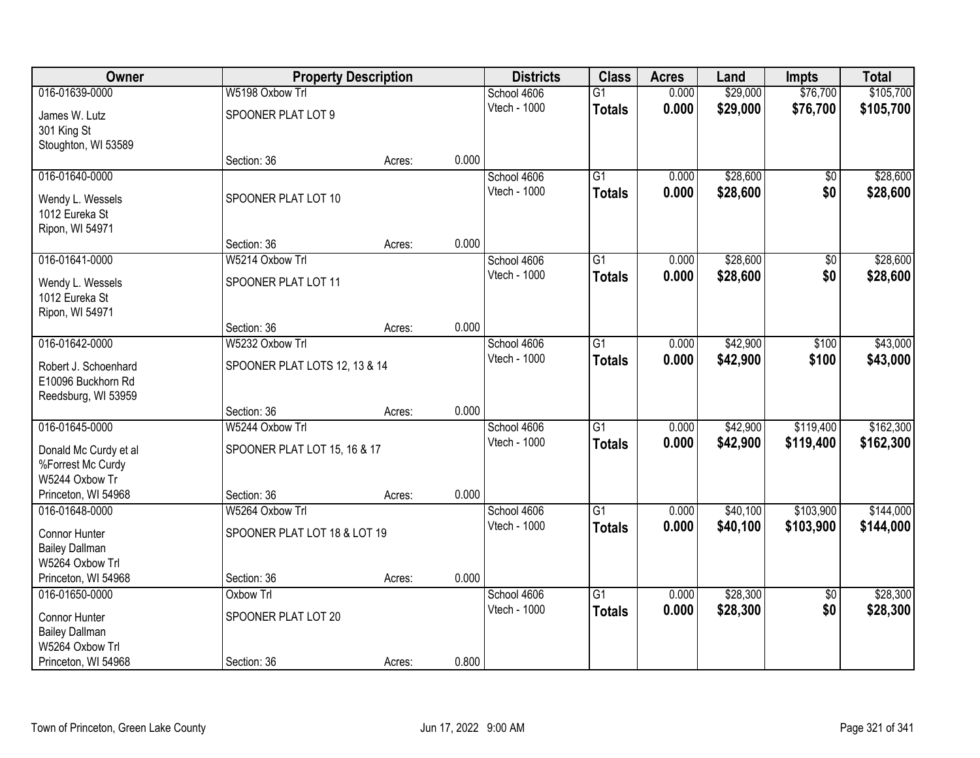| Owner                 | <b>Property Description</b>   |        |       | <b>Districts</b> | <b>Class</b>    | <b>Acres</b> | Land     | <b>Impts</b>    | <b>Total</b> |
|-----------------------|-------------------------------|--------|-------|------------------|-----------------|--------------|----------|-----------------|--------------|
| 016-01639-0000        | W5198 Oxbow Trl               |        |       | School 4606      | $\overline{G1}$ | 0.000        | \$29,000 | \$76,700        | \$105,700    |
| James W. Lutz         | SPOONER PLAT LOT 9            |        |       | Vtech - 1000     | <b>Totals</b>   | 0.000        | \$29,000 | \$76,700        | \$105,700    |
| 301 King St           |                               |        |       |                  |                 |              |          |                 |              |
| Stoughton, WI 53589   |                               |        |       |                  |                 |              |          |                 |              |
|                       | Section: 36                   | Acres: | 0.000 |                  |                 |              |          |                 |              |
| 016-01640-0000        |                               |        |       | School 4606      | $\overline{G1}$ | 0.000        | \$28,600 | \$0             | \$28,600     |
| Wendy L. Wessels      | SPOONER PLAT LOT 10           |        |       | Vtech - 1000     | <b>Totals</b>   | 0.000        | \$28,600 | \$0             | \$28,600     |
| 1012 Eureka St        |                               |        |       |                  |                 |              |          |                 |              |
| Ripon, WI 54971       |                               |        |       |                  |                 |              |          |                 |              |
|                       | Section: 36                   | Acres: | 0.000 |                  |                 |              |          |                 |              |
| 016-01641-0000        | W5214 Oxbow Trl               |        |       | School 4606      | $\overline{G1}$ | 0.000        | \$28,600 | $\overline{50}$ | \$28,600     |
| Wendy L. Wessels      | SPOONER PLAT LOT 11           |        |       | Vtech - 1000     | <b>Totals</b>   | 0.000        | \$28,600 | \$0             | \$28,600     |
| 1012 Eureka St        |                               |        |       |                  |                 |              |          |                 |              |
| Ripon, WI 54971       |                               |        |       |                  |                 |              |          |                 |              |
|                       | Section: 36                   | Acres: | 0.000 |                  |                 |              |          |                 |              |
| 016-01642-0000        | W5232 Oxbow Trl               |        |       | School 4606      | G1              | 0.000        | \$42,900 | \$100           | \$43,000     |
| Robert J. Schoenhard  | SPOONER PLAT LOTS 12, 13 & 14 |        |       | Vtech - 1000     | <b>Totals</b>   | 0.000        | \$42,900 | \$100           | \$43,000     |
| E10096 Buckhorn Rd    |                               |        |       |                  |                 |              |          |                 |              |
| Reedsburg, WI 53959   |                               |        |       |                  |                 |              |          |                 |              |
|                       | Section: 36                   | Acres: | 0.000 |                  |                 |              |          |                 |              |
| 016-01645-0000        | W5244 Oxbow Trl               |        |       | School 4606      | $\overline{G1}$ | 0.000        | \$42,900 | \$119,400       | \$162,300    |
| Donald Mc Curdy et al | SPOONER PLAT LOT 15, 16 & 17  |        |       | Vtech - 1000     | <b>Totals</b>   | 0.000        | \$42,900 | \$119,400       | \$162,300    |
| %Forrest Mc Curdy     |                               |        |       |                  |                 |              |          |                 |              |
| W5244 Oxbow Tr        |                               |        |       |                  |                 |              |          |                 |              |
| Princeton, WI 54968   | Section: 36                   | Acres: | 0.000 |                  |                 |              |          |                 |              |
| 016-01648-0000        | W5264 Oxbow Trl               |        |       | School 4606      | $\overline{G1}$ | 0.000        | \$40,100 | \$103,900       | \$144,000    |
| Connor Hunter         | SPOONER PLAT LOT 18 & LOT 19  |        |       | Vtech - 1000     | <b>Totals</b>   | 0.000        | \$40,100 | \$103,900       | \$144,000    |
| <b>Bailey Dallman</b> |                               |        |       |                  |                 |              |          |                 |              |
| W5264 Oxbow Trl       |                               |        |       |                  |                 |              |          |                 |              |
| Princeton, WI 54968   | Section: 36                   | Acres: | 0.000 |                  |                 |              |          |                 |              |
| 016-01650-0000        | Oxbow Trl                     |        |       | School 4606      | $\overline{G1}$ | 0.000        | \$28,300 | $\overline{50}$ | \$28,300     |
| Connor Hunter         | SPOONER PLAT LOT 20           |        |       | Vtech - 1000     | <b>Totals</b>   | 0.000        | \$28,300 | \$0             | \$28,300     |
| <b>Bailey Dallman</b> |                               |        |       |                  |                 |              |          |                 |              |
| W5264 Oxbow Trl       |                               |        |       |                  |                 |              |          |                 |              |
| Princeton, WI 54968   | Section: 36                   | Acres: | 0.800 |                  |                 |              |          |                 |              |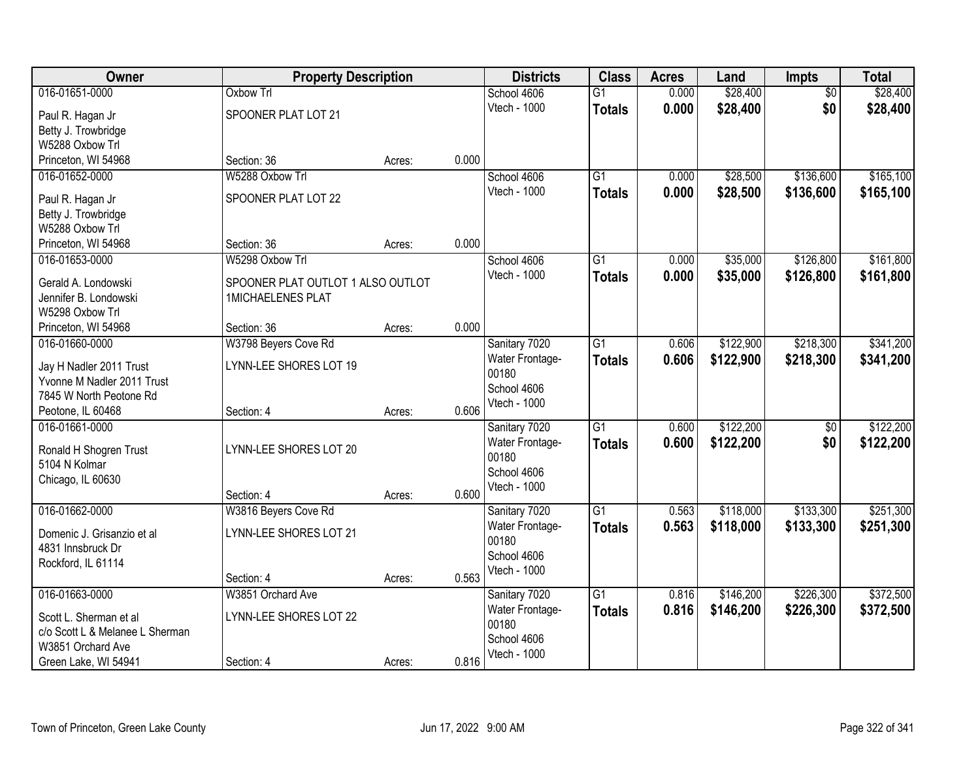| Owner                                                 | <b>Property Description</b>       |        | <b>Districts</b>       | <b>Class</b>    | <b>Acres</b> | Land      | Impts           | <b>Total</b> |
|-------------------------------------------------------|-----------------------------------|--------|------------------------|-----------------|--------------|-----------|-----------------|--------------|
| 016-01651-0000                                        | <b>Oxbow Trl</b>                  |        | School 4606            | $\overline{G1}$ | 0.000        | \$28,400  | $\overline{50}$ | \$28,400     |
| Paul R. Hagan Jr                                      | SPOONER PLAT LOT 21               |        | Vtech - 1000           | <b>Totals</b>   | 0.000        | \$28,400  | \$0             | \$28,400     |
| Betty J. Trowbridge                                   |                                   |        |                        |                 |              |           |                 |              |
| W5288 Oxbow Trl                                       |                                   |        |                        |                 |              |           |                 |              |
| Princeton, WI 54968                                   | Section: 36                       | Acres: | 0.000                  |                 |              |           |                 |              |
| 016-01652-0000                                        | W5288 Oxbow Trl                   |        | School 4606            | $\overline{G1}$ | 0.000        | \$28,500  | \$136,600       | \$165,100    |
| Paul R. Hagan Jr                                      | SPOONER PLAT LOT 22               |        | Vtech - 1000           | <b>Totals</b>   | 0.000        | \$28,500  | \$136,600       | \$165,100    |
| Betty J. Trowbridge                                   |                                   |        |                        |                 |              |           |                 |              |
| W5288 Oxbow Trl                                       |                                   |        |                        |                 |              |           |                 |              |
| Princeton, WI 54968                                   | Section: 36                       | Acres: | 0.000                  |                 |              |           |                 |              |
| 016-01653-0000                                        | W5298 Oxbow Trl                   |        | School 4606            | $\overline{G1}$ | 0.000        | \$35,000  | \$126,800       | \$161,800    |
| Gerald A. Londowski                                   | SPOONER PLAT OUTLOT 1 ALSO OUTLOT |        | Vtech - 1000           | <b>Totals</b>   | 0.000        | \$35,000  | \$126,800       | \$161,800    |
| Jennifer B. Londowski                                 | <b>1MICHAELENES PLAT</b>          |        |                        |                 |              |           |                 |              |
| W5298 Oxbow Trl                                       |                                   |        |                        |                 |              |           |                 |              |
| Princeton, WI 54968                                   | Section: 36                       | Acres: | 0.000                  |                 |              |           |                 |              |
| 016-01660-0000                                        | W3798 Beyers Cove Rd              |        | Sanitary 7020          | $\overline{G1}$ | 0.606        | \$122,900 | \$218,300       | \$341,200    |
|                                                       | LYNN-LEE SHORES LOT 19            |        | <b>Water Frontage-</b> | <b>Totals</b>   | 0.606        | \$122,900 | \$218,300       | \$341,200    |
| Jay H Nadler 2011 Trust<br>Yvonne M Nadler 2011 Trust |                                   |        | 00180                  |                 |              |           |                 |              |
| 7845 W North Peotone Rd                               |                                   |        | School 4606            |                 |              |           |                 |              |
| Peotone, IL 60468                                     | Section: 4                        | Acres: | Vtech - 1000<br>0.606  |                 |              |           |                 |              |
| 016-01661-0000                                        |                                   |        | Sanitary 7020          | $\overline{G1}$ | 0.600        | \$122,200 | $\overline{50}$ | \$122,200    |
|                                                       |                                   |        | Water Frontage-        | <b>Totals</b>   | 0.600        | \$122,200 | \$0             | \$122,200    |
| Ronald H Shogren Trust<br>5104 N Kolmar               | LYNN-LEE SHORES LOT 20            |        | 00180                  |                 |              |           |                 |              |
| Chicago, IL 60630                                     |                                   |        | School 4606            |                 |              |           |                 |              |
|                                                       | Section: 4                        | Acres: | Vtech - 1000<br>0.600  |                 |              |           |                 |              |
| 016-01662-0000                                        | W3816 Beyers Cove Rd              |        | Sanitary 7020          | G1              | 0.563        | \$118,000 | \$133,300       | \$251,300    |
|                                                       |                                   |        | Water Frontage-        | <b>Totals</b>   | 0.563        | \$118,000 | \$133,300       | \$251,300    |
| Domenic J. Grisanzio et al                            | LYNN-LEE SHORES LOT 21            |        | 00180                  |                 |              |           |                 |              |
| 4831 Innsbruck Dr                                     |                                   |        | School 4606            |                 |              |           |                 |              |
| Rockford, IL 61114                                    | Section: 4                        | Acres: | Vtech - 1000<br>0.563  |                 |              |           |                 |              |
| 016-01663-0000                                        | W3851 Orchard Ave                 |        | Sanitary 7020          | $\overline{G1}$ | 0.816        | \$146,200 | \$226,300       | \$372,500    |
|                                                       |                                   |        | Water Frontage-        | <b>Totals</b>   | 0.816        | \$146,200 | \$226,300       | \$372,500    |
| Scott L. Sherman et al                                | LYNN-LEE SHORES LOT 22            |        | 00180                  |                 |              |           |                 |              |
| c/o Scott L & Melanee L Sherman                       |                                   |        | School 4606            |                 |              |           |                 |              |
| W3851 Orchard Ave<br>Green Lake, WI 54941             | Section: 4                        |        | Vtech - 1000<br>0.816  |                 |              |           |                 |              |
|                                                       |                                   | Acres: |                        |                 |              |           |                 |              |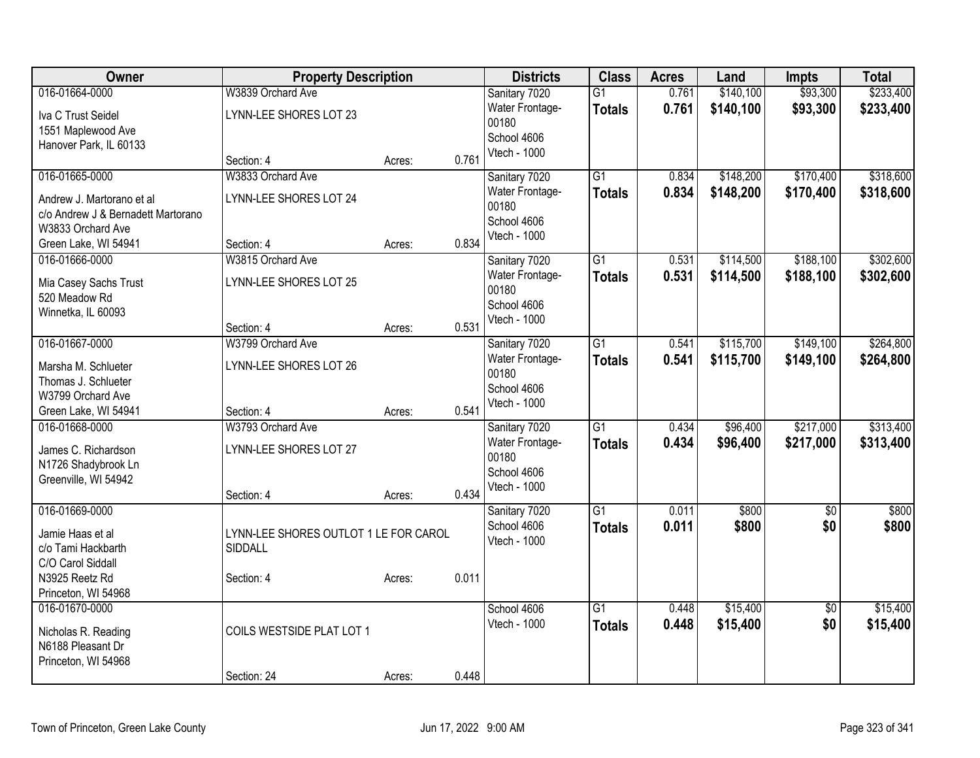| Owner                                      | <b>Property Description</b>           |        |       | <b>Districts</b>            | <b>Class</b>    | <b>Acres</b> | Land      | <b>Impts</b>    | <b>Total</b> |
|--------------------------------------------|---------------------------------------|--------|-------|-----------------------------|-----------------|--------------|-----------|-----------------|--------------|
| 016-01664-0000                             | W3839 Orchard Ave                     |        |       | Sanitary 7020               | $\overline{G1}$ | 0.761        | \$140,100 | \$93,300        | \$233,400    |
| Iva C Trust Seidel                         | LYNN-LEE SHORES LOT 23                |        |       | Water Frontage-             | <b>Totals</b>   | 0.761        | \$140,100 | \$93,300        | \$233,400    |
| 1551 Maplewood Ave                         |                                       |        |       | 00180                       |                 |              |           |                 |              |
| Hanover Park, IL 60133                     |                                       |        |       | School 4606                 |                 |              |           |                 |              |
|                                            | Section: 4                            | Acres: | 0.761 | Vtech - 1000                |                 |              |           |                 |              |
| 016-01665-0000                             | W3833 Orchard Ave                     |        |       | Sanitary 7020               | $\overline{G1}$ | 0.834        | \$148,200 | \$170,400       | \$318,600    |
| Andrew J. Martorano et al                  | LYNN-LEE SHORES LOT 24                |        |       | Water Frontage-             | <b>Totals</b>   | 0.834        | \$148,200 | \$170,400       | \$318,600    |
| c/o Andrew J & Bernadett Martorano         |                                       |        |       | 00180                       |                 |              |           |                 |              |
| W3833 Orchard Ave                          |                                       |        |       | School 4606<br>Vtech - 1000 |                 |              |           |                 |              |
| Green Lake, WI 54941                       | Section: 4                            | Acres: | 0.834 |                             |                 |              |           |                 |              |
| 016-01666-0000                             | W3815 Orchard Ave                     |        |       | Sanitary 7020               | $\overline{G1}$ | 0.531        | \$114,500 | \$188,100       | \$302,600    |
| Mia Casey Sachs Trust                      | LYNN-LEE SHORES LOT 25                |        |       | Water Frontage-             | <b>Totals</b>   | 0.531        | \$114,500 | \$188,100       | \$302,600    |
| 520 Meadow Rd                              |                                       |        |       | 00180                       |                 |              |           |                 |              |
| Winnetka, IL 60093                         |                                       |        |       | School 4606                 |                 |              |           |                 |              |
|                                            | Section: 4                            | Acres: | 0.531 | Vtech - 1000                |                 |              |           |                 |              |
| 016-01667-0000                             | W3799 Orchard Ave                     |        |       | Sanitary 7020               | $\overline{G1}$ | 0.541        | \$115,700 | \$149,100       | \$264,800    |
| Marsha M. Schlueter                        | LYNN-LEE SHORES LOT 26                |        |       | Water Frontage-             | <b>Totals</b>   | 0.541        | \$115,700 | \$149,100       | \$264,800    |
| Thomas J. Schlueter                        |                                       |        |       | 00180                       |                 |              |           |                 |              |
| W3799 Orchard Ave                          |                                       |        |       | School 4606                 |                 |              |           |                 |              |
| Green Lake, WI 54941                       | Section: 4                            | Acres: | 0.541 | Vtech - 1000                |                 |              |           |                 |              |
| 016-01668-0000                             | W3793 Orchard Ave                     |        |       | Sanitary 7020               | $\overline{G1}$ | 0.434        | \$96,400  | \$217,000       | \$313,400    |
|                                            |                                       |        |       | Water Frontage-             | <b>Totals</b>   | 0.434        | \$96,400  | \$217,000       | \$313,400    |
| James C. Richardson<br>N1726 Shadybrook Ln | LYNN-LEE SHORES LOT 27                |        |       | 00180                       |                 |              |           |                 |              |
| Greenville, WI 54942                       |                                       |        |       | School 4606                 |                 |              |           |                 |              |
|                                            | Section: 4                            | Acres: | 0.434 | Vtech - 1000                |                 |              |           |                 |              |
| 016-01669-0000                             |                                       |        |       | Sanitary 7020               | $\overline{G1}$ | 0.011        | \$800     | $\overline{50}$ | \$800        |
|                                            |                                       |        |       | School 4606                 | <b>Totals</b>   | 0.011        | \$800     | \$0             | \$800        |
| Jamie Haas et al                           | LYNN-LEE SHORES OUTLOT 1 LE FOR CAROL |        |       | Vtech - 1000                |                 |              |           |                 |              |
| c/o Tami Hackbarth<br>C/O Carol Siddall    | SIDDALL                               |        |       |                             |                 |              |           |                 |              |
| N3925 Reetz Rd                             | Section: 4                            | Acres: | 0.011 |                             |                 |              |           |                 |              |
| Princeton, WI 54968                        |                                       |        |       |                             |                 |              |           |                 |              |
| 016-01670-0000                             |                                       |        |       | School 4606                 | $\overline{G1}$ | 0.448        | \$15,400  | $\overline{50}$ | \$15,400     |
|                                            |                                       |        |       | Vtech - 1000                | <b>Totals</b>   | 0.448        | \$15,400  | \$0             | \$15,400     |
| Nicholas R. Reading                        | COILS WESTSIDE PLAT LOT 1             |        |       |                             |                 |              |           |                 |              |
| N6188 Pleasant Dr                          |                                       |        |       |                             |                 |              |           |                 |              |
| Princeton, WI 54968                        | Section: 24                           | Acres: | 0.448 |                             |                 |              |           |                 |              |
|                                            |                                       |        |       |                             |                 |              |           |                 |              |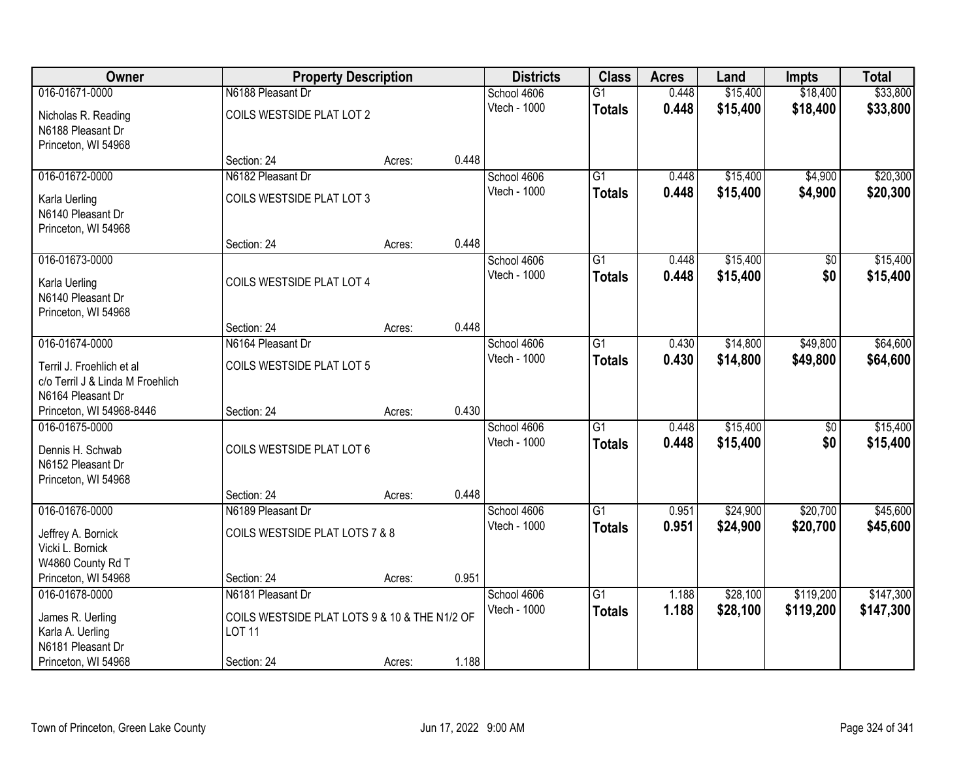| <b>Owner</b>                     | <b>Property Description</b>                   |        |       | <b>Districts</b> | <b>Class</b>    | <b>Acres</b> | Land     | <b>Impts</b>    | <b>Total</b> |
|----------------------------------|-----------------------------------------------|--------|-------|------------------|-----------------|--------------|----------|-----------------|--------------|
| 016-01671-0000                   | N6188 Pleasant Dr                             |        |       | School 4606      | $\overline{G1}$ | 0.448        | \$15,400 | \$18,400        | \$33,800     |
| Nicholas R. Reading              | COILS WESTSIDE PLAT LOT 2                     |        |       | Vtech - 1000     | <b>Totals</b>   | 0.448        | \$15,400 | \$18,400        | \$33,800     |
| N6188 Pleasant Dr                |                                               |        |       |                  |                 |              |          |                 |              |
| Princeton, WI 54968              |                                               |        |       |                  |                 |              |          |                 |              |
|                                  | Section: 24                                   | Acres: | 0.448 |                  |                 |              |          |                 |              |
| 016-01672-0000                   | N6182 Pleasant Dr                             |        |       | School 4606      | $\overline{G1}$ | 0.448        | \$15,400 | \$4,900         | \$20,300     |
| Karla Uerling                    | COILS WESTSIDE PLAT LOT 3                     |        |       | Vtech - 1000     | <b>Totals</b>   | 0.448        | \$15,400 | \$4,900         | \$20,300     |
| N6140 Pleasant Dr                |                                               |        |       |                  |                 |              |          |                 |              |
| Princeton, WI 54968              |                                               |        |       |                  |                 |              |          |                 |              |
|                                  | Section: 24                                   | Acres: | 0.448 |                  |                 |              |          |                 |              |
| 016-01673-0000                   |                                               |        |       | School 4606      | G1              | 0.448        | \$15,400 | \$0             | \$15,400     |
| Karla Uerling                    | COILS WESTSIDE PLAT LOT 4                     |        |       | Vtech - 1000     | <b>Totals</b>   | 0.448        | \$15,400 | \$0             | \$15,400     |
| N6140 Pleasant Dr                |                                               |        |       |                  |                 |              |          |                 |              |
| Princeton, WI 54968              |                                               |        |       |                  |                 |              |          |                 |              |
|                                  | Section: 24                                   | Acres: | 0.448 |                  |                 |              |          |                 |              |
| 016-01674-0000                   | N6164 Pleasant Dr                             |        |       | School 4606      | $\overline{G1}$ | 0.430        | \$14,800 | \$49,800        | \$64,600     |
| Terril J. Froehlich et al        | COILS WESTSIDE PLAT LOT 5                     |        |       | Vtech - 1000     | <b>Totals</b>   | 0.430        | \$14,800 | \$49,800        | \$64,600     |
| c/o Terril J & Linda M Froehlich |                                               |        |       |                  |                 |              |          |                 |              |
| N6164 Pleasant Dr                |                                               |        |       |                  |                 |              |          |                 |              |
| Princeton, WI 54968-8446         | Section: 24                                   | Acres: | 0.430 |                  |                 |              |          |                 |              |
| 016-01675-0000                   |                                               |        |       | School 4606      | $\overline{G1}$ | 0.448        | \$15,400 | $\overline{50}$ | \$15,400     |
| Dennis H. Schwab                 | COILS WESTSIDE PLAT LOT 6                     |        |       | Vtech - 1000     | Totals          | 0.448        | \$15,400 | \$0             | \$15,400     |
| N6152 Pleasant Dr                |                                               |        |       |                  |                 |              |          |                 |              |
| Princeton, WI 54968              |                                               |        |       |                  |                 |              |          |                 |              |
|                                  | Section: 24                                   | Acres: | 0.448 |                  |                 |              |          |                 |              |
| 016-01676-0000                   | N6189 Pleasant Dr                             |        |       | School 4606      | $\overline{G1}$ | 0.951        | \$24,900 | \$20,700        | \$45,600     |
| Jeffrey A. Bornick               | COILS WESTSIDE PLAT LOTS 7 & 8                |        |       | Vtech - 1000     | <b>Totals</b>   | 0.951        | \$24,900 | \$20,700        | \$45,600     |
| Vicki L. Bornick                 |                                               |        |       |                  |                 |              |          |                 |              |
| W4860 County Rd T                |                                               |        |       |                  |                 |              |          |                 |              |
| Princeton, WI 54968              | Section: 24                                   | Acres: | 0.951 |                  |                 |              |          |                 |              |
| 016-01678-0000                   | N6181 Pleasant Dr                             |        |       | School 4606      | $\overline{G1}$ | 1.188        | \$28,100 | \$119,200       | \$147,300    |
| James R. Uerling                 | COILS WESTSIDE PLAT LOTS 9 & 10 & THE N1/2 OF |        |       | Vtech - 1000     | <b>Totals</b>   | 1.188        | \$28,100 | \$119,200       | \$147,300    |
| Karla A. Uerling                 | <b>LOT 11</b>                                 |        |       |                  |                 |              |          |                 |              |
| N6181 Pleasant Dr                |                                               |        |       |                  |                 |              |          |                 |              |
| Princeton, WI 54968              | Section: 24                                   | Acres: | 1.188 |                  |                 |              |          |                 |              |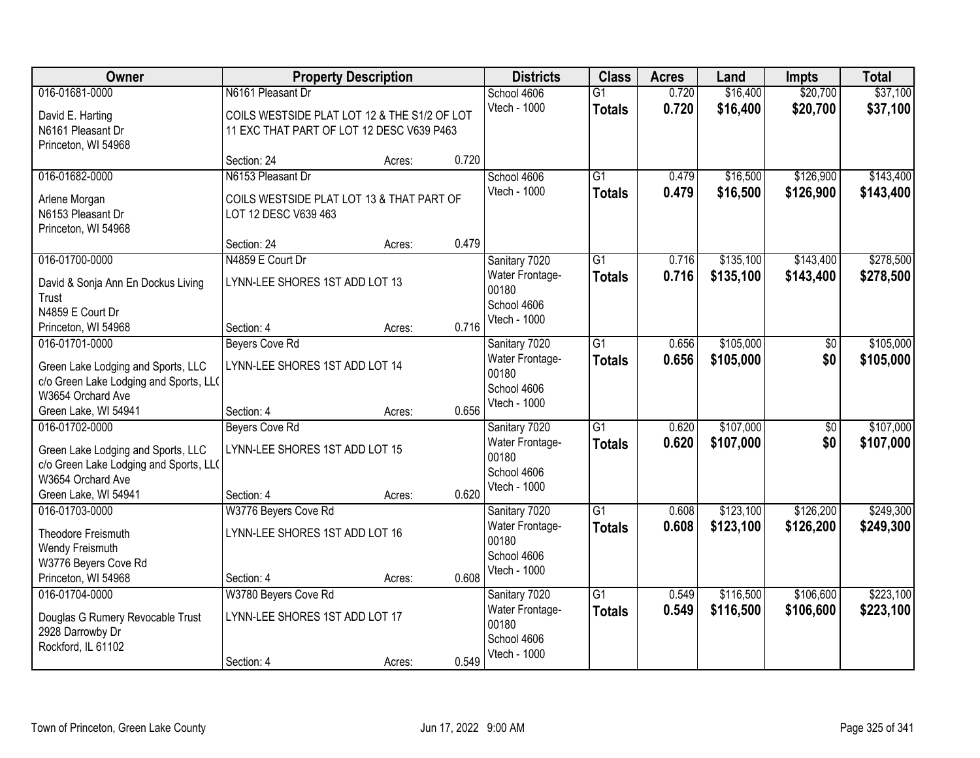| Owner                                                |                                              | <b>Property Description</b> |       | <b>Districts</b> | <b>Class</b>    | <b>Acres</b> | Land      | <b>Impts</b>    | <b>Total</b> |
|------------------------------------------------------|----------------------------------------------|-----------------------------|-------|------------------|-----------------|--------------|-----------|-----------------|--------------|
| 016-01681-0000                                       | N6161 Pleasant Dr                            |                             |       | School 4606      | $\overline{G1}$ | 0.720        | \$16,400  | \$20,700        | \$37,100     |
| David E. Harting                                     | COILS WESTSIDE PLAT LOT 12 & THE S1/2 OF LOT |                             |       | Vtech - 1000     | <b>Totals</b>   | 0.720        | \$16,400  | \$20,700        | \$37,100     |
| N6161 Pleasant Dr                                    | 11 EXC THAT PART OF LOT 12 DESC V639 P463    |                             |       |                  |                 |              |           |                 |              |
| Princeton, WI 54968                                  |                                              |                             |       |                  |                 |              |           |                 |              |
|                                                      | Section: 24                                  | Acres:                      | 0.720 |                  |                 |              |           |                 |              |
| 016-01682-0000                                       | N6153 Pleasant Dr                            |                             |       | School 4606      | $\overline{G1}$ | 0.479        | \$16,500  | \$126,900       | \$143,400    |
| Arlene Morgan                                        | COILS WESTSIDE PLAT LOT 13 & THAT PART OF    |                             |       | Vtech - 1000     | <b>Totals</b>   | 0.479        | \$16,500  | \$126,900       | \$143,400    |
| N6153 Pleasant Dr                                    | LOT 12 DESC V639 463                         |                             |       |                  |                 |              |           |                 |              |
| Princeton, WI 54968                                  |                                              |                             |       |                  |                 |              |           |                 |              |
|                                                      | Section: 24                                  | Acres:                      | 0.479 |                  |                 |              |           |                 |              |
| 016-01700-0000                                       | N4859 E Court Dr                             |                             |       | Sanitary 7020    | G1              | 0.716        | \$135,100 | \$143,400       | \$278,500    |
| David & Sonja Ann En Dockus Living                   | LYNN-LEE SHORES 1ST ADD LOT 13               |                             |       | Water Frontage-  | <b>Totals</b>   | 0.716        | \$135,100 | \$143,400       | \$278,500    |
| Trust                                                |                                              |                             |       | 00180            |                 |              |           |                 |              |
| N4859 E Court Dr                                     |                                              |                             |       | School 4606      |                 |              |           |                 |              |
| Princeton, WI 54968                                  | Section: 4                                   | Acres:                      | 0.716 | Vtech - 1000     |                 |              |           |                 |              |
| 016-01701-0000                                       | <b>Beyers Cove Rd</b>                        |                             |       | Sanitary 7020    | $\overline{G1}$ | 0.656        | \$105,000 | \$0             | \$105,000    |
| Green Lake Lodging and Sports, LLC                   | LYNN-LEE SHORES 1ST ADD LOT 14               |                             |       | Water Frontage-  | <b>Totals</b>   | 0.656        | \$105,000 | \$0             | \$105,000    |
| c/o Green Lake Lodging and Sports, LL(               |                                              |                             |       | 00180            |                 |              |           |                 |              |
| W3654 Orchard Ave                                    |                                              |                             |       | School 4606      |                 |              |           |                 |              |
| Green Lake, WI 54941                                 | Section: 4                                   | Acres:                      | 0.656 | Vtech - 1000     |                 |              |           |                 |              |
| 016-01702-0000                                       | <b>Beyers Cove Rd</b>                        |                             |       | Sanitary 7020    | $\overline{G1}$ | 0.620        | \$107,000 | $\overline{50}$ | \$107,000    |
| Green Lake Lodging and Sports, LLC                   | LYNN-LEE SHORES 1ST ADD LOT 15               |                             |       | Water Frontage-  | <b>Totals</b>   | 0.620        | \$107,000 | \$0             | \$107,000    |
| c/o Green Lake Lodging and Sports, LL(               |                                              |                             |       | 00180            |                 |              |           |                 |              |
| W3654 Orchard Ave                                    |                                              |                             |       | School 4606      |                 |              |           |                 |              |
| Green Lake, WI 54941                                 | Section: 4                                   | Acres:                      | 0.620 | Vtech - 1000     |                 |              |           |                 |              |
| 016-01703-0000                                       | W3776 Beyers Cove Rd                         |                             |       | Sanitary 7020    | $\overline{G1}$ | 0.608        | \$123,100 | \$126,200       | \$249,300    |
| Theodore Freismuth                                   | LYNN-LEE SHORES 1ST ADD LOT 16               |                             |       | Water Frontage-  | <b>Totals</b>   | 0.608        | \$123,100 | \$126,200       | \$249,300    |
| Wendy Freismuth                                      |                                              |                             |       | 00180            |                 |              |           |                 |              |
| W3776 Beyers Cove Rd                                 |                                              |                             |       | School 4606      |                 |              |           |                 |              |
| Princeton, WI 54968                                  | Section: 4                                   | Acres:                      | 0.608 | Vtech - 1000     |                 |              |           |                 |              |
| 016-01704-0000                                       | W3780 Beyers Cove Rd                         |                             |       | Sanitary 7020    | $\overline{G1}$ | 0.549        | \$116,500 | \$106,600       | \$223,100    |
|                                                      | LYNN-LEE SHORES 1ST ADD LOT 17               |                             |       | Water Frontage-  | <b>Totals</b>   | 0.549        | \$116,500 | \$106,600       | \$223,100    |
| Douglas G Rumery Revocable Trust<br>2928 Darrowby Dr |                                              |                             |       | 00180            |                 |              |           |                 |              |
| Rockford, IL 61102                                   |                                              |                             |       | School 4606      |                 |              |           |                 |              |
|                                                      | Section: 4                                   | Acres:                      | 0.549 | Vtech - 1000     |                 |              |           |                 |              |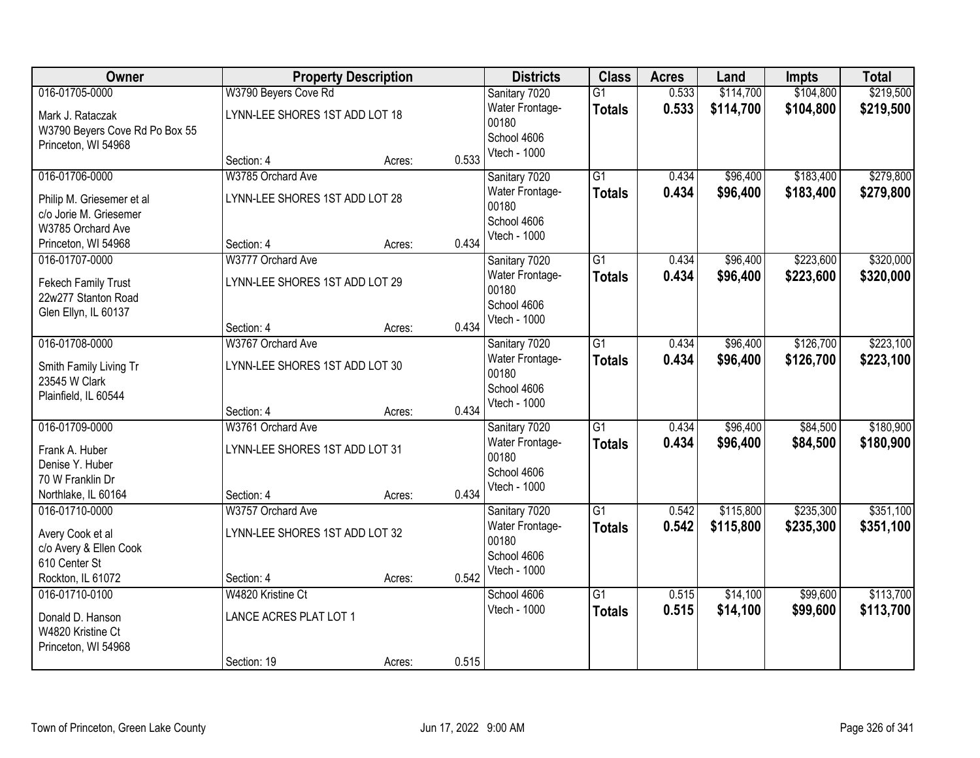| Owner                          |                                | <b>Property Description</b> |       | <b>Districts</b> | <b>Class</b>    | <b>Acres</b> | Land      | <b>Impts</b> | <b>Total</b> |
|--------------------------------|--------------------------------|-----------------------------|-------|------------------|-----------------|--------------|-----------|--------------|--------------|
| 016-01705-0000                 | W3790 Beyers Cove Rd           |                             |       | Sanitary 7020    | $\overline{G1}$ | 0.533        | \$114,700 | \$104,800    | \$219,500    |
| Mark J. Rataczak               | LYNN-LEE SHORES 1ST ADD LOT 18 |                             |       | Water Frontage-  | <b>Totals</b>   | 0.533        | \$114,700 | \$104,800    | \$219,500    |
| W3790 Beyers Cove Rd Po Box 55 |                                |                             |       | 00180            |                 |              |           |              |              |
| Princeton, WI 54968            |                                |                             |       | School 4606      |                 |              |           |              |              |
|                                | Section: 4                     | Acres:                      | 0.533 | Vtech - 1000     |                 |              |           |              |              |
| 016-01706-0000                 | W3785 Orchard Ave              |                             |       | Sanitary 7020    | $\overline{G1}$ | 0.434        | \$96,400  | \$183,400    | \$279,800    |
| Philip M. Griesemer et al      | LYNN-LEE SHORES 1ST ADD LOT 28 |                             |       | Water Frontage-  | <b>Totals</b>   | 0.434        | \$96,400  | \$183,400    | \$279,800    |
| c/o Jorie M. Griesemer         |                                |                             |       | 00180            |                 |              |           |              |              |
| W3785 Orchard Ave              |                                |                             |       | School 4606      |                 |              |           |              |              |
| Princeton, WI 54968            | Section: 4                     | Acres:                      | 0.434 | Vtech - 1000     |                 |              |           |              |              |
| 016-01707-0000                 | W3777 Orchard Ave              |                             |       | Sanitary 7020    | G <sub>1</sub>  | 0.434        | \$96,400  | \$223,600    | \$320,000    |
| Fekech Family Trust            | LYNN-LEE SHORES 1ST ADD LOT 29 |                             |       | Water Frontage-  | <b>Totals</b>   | 0.434        | \$96,400  | \$223,600    | \$320,000    |
| 22w277 Stanton Road            |                                |                             |       | 00180            |                 |              |           |              |              |
| Glen Ellyn, IL 60137           |                                |                             |       | School 4606      |                 |              |           |              |              |
|                                | Section: 4                     | Acres:                      | 0.434 | Vtech - 1000     |                 |              |           |              |              |
| 016-01708-0000                 | W3767 Orchard Ave              |                             |       | Sanitary 7020    | $\overline{G1}$ | 0.434        | \$96,400  | \$126,700    | \$223,100    |
| Smith Family Living Tr         | LYNN-LEE SHORES 1ST ADD LOT 30 |                             |       | Water Frontage-  | <b>Totals</b>   | 0.434        | \$96,400  | \$126,700    | \$223,100    |
| 23545 W Clark                  |                                |                             |       | 00180            |                 |              |           |              |              |
| Plainfield, IL 60544           |                                |                             |       | School 4606      |                 |              |           |              |              |
|                                | Section: 4                     | Acres:                      | 0.434 | Vtech - 1000     |                 |              |           |              |              |
| 016-01709-0000                 | W3761 Orchard Ave              |                             |       | Sanitary 7020    | $\overline{G1}$ | 0.434        | \$96,400  | \$84,500     | \$180,900    |
| Frank A. Huber                 | LYNN-LEE SHORES 1ST ADD LOT 31 |                             |       | Water Frontage-  | <b>Totals</b>   | 0.434        | \$96,400  | \$84,500     | \$180,900    |
| Denise Y. Huber                |                                |                             |       | 00180            |                 |              |           |              |              |
| 70 W Franklin Dr               |                                |                             |       | School 4606      |                 |              |           |              |              |
| Northlake, IL 60164            | Section: 4                     | Acres:                      | 0.434 | Vtech - 1000     |                 |              |           |              |              |
| 016-01710-0000                 | W3757 Orchard Ave              |                             |       | Sanitary 7020    | $\overline{G1}$ | 0.542        | \$115,800 | \$235,300    | \$351,100    |
| Avery Cook et al               | LYNN-LEE SHORES 1ST ADD LOT 32 |                             |       | Water Frontage-  | <b>Totals</b>   | 0.542        | \$115,800 | \$235,300    | \$351,100    |
| c/o Avery & Ellen Cook         |                                |                             |       | 00180            |                 |              |           |              |              |
| 610 Center St                  |                                |                             |       | School 4606      |                 |              |           |              |              |
| Rockton, IL 61072              | Section: 4                     | Acres:                      | 0.542 | Vtech - 1000     |                 |              |           |              |              |
| 016-01710-0100                 | W4820 Kristine Ct              |                             |       | School 4606      | G1              | 0.515        | \$14,100  | \$99,600     | \$113,700    |
| Donald D. Hanson               | LANCE ACRES PLAT LOT 1         |                             |       | Vtech - 1000     | <b>Totals</b>   | 0.515        | \$14,100  | \$99,600     | \$113,700    |
| W4820 Kristine Ct              |                                |                             |       |                  |                 |              |           |              |              |
| Princeton, WI 54968            |                                |                             |       |                  |                 |              |           |              |              |
|                                | Section: 19                    | Acres:                      | 0.515 |                  |                 |              |           |              |              |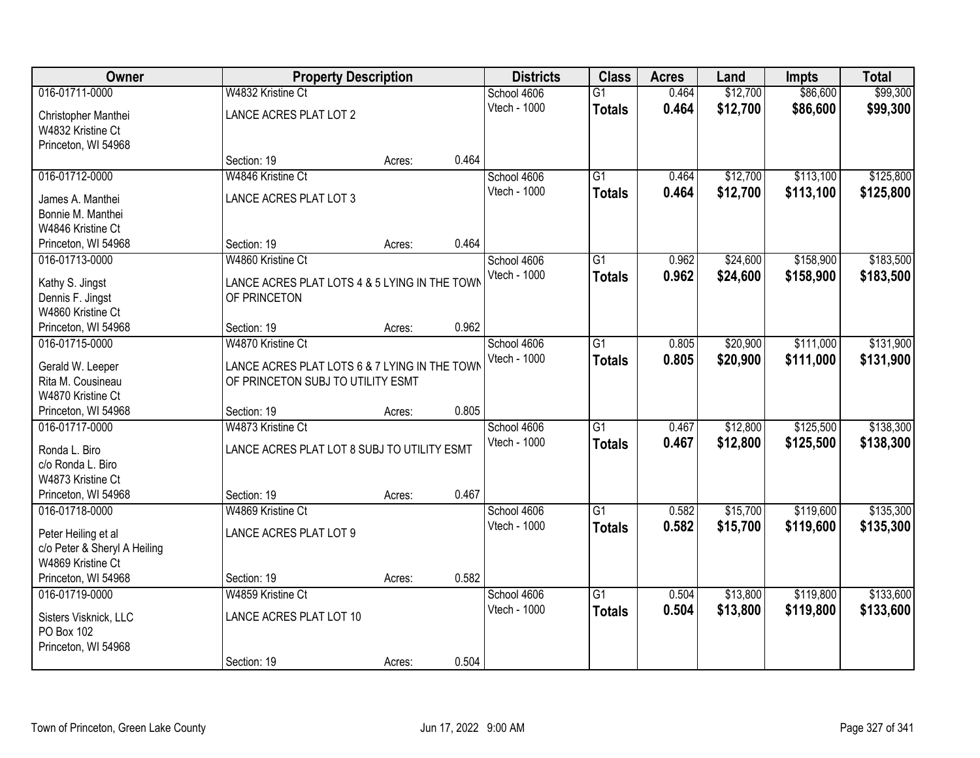| Owner                                  | <b>Property Description</b>                   |        |       | <b>Districts</b> | <b>Class</b>    | <b>Acres</b> | Land     | <b>Impts</b> | <b>Total</b> |
|----------------------------------------|-----------------------------------------------|--------|-------|------------------|-----------------|--------------|----------|--------------|--------------|
| 016-01711-0000                         | W4832 Kristine Ct                             |        |       | School 4606      | $\overline{G1}$ | 0.464        | \$12,700 | \$86,600     | \$99,300     |
| Christopher Manthei                    | LANCE ACRES PLAT LOT 2                        |        |       | Vtech - 1000     | <b>Totals</b>   | 0.464        | \$12,700 | \$86,600     | \$99,300     |
| W4832 Kristine Ct                      |                                               |        |       |                  |                 |              |          |              |              |
| Princeton, WI 54968                    |                                               |        |       |                  |                 |              |          |              |              |
|                                        | Section: 19                                   | Acres: | 0.464 |                  |                 |              |          |              |              |
| 016-01712-0000                         | W4846 Kristine Ct                             |        |       | School 4606      | $\overline{G1}$ | 0.464        | \$12,700 | \$113,100    | \$125,800    |
| James A. Manthei                       | LANCE ACRES PLAT LOT 3                        |        |       | Vtech - 1000     | <b>Totals</b>   | 0.464        | \$12,700 | \$113,100    | \$125,800    |
| Bonnie M. Manthei                      |                                               |        |       |                  |                 |              |          |              |              |
| W4846 Kristine Ct                      |                                               |        |       |                  |                 |              |          |              |              |
| Princeton, WI 54968                    | Section: 19                                   | Acres: | 0.464 |                  |                 |              |          |              |              |
| 016-01713-0000                         | W4860 Kristine Ct                             |        |       | School 4606      | G <sub>1</sub>  | 0.962        | \$24,600 | \$158,900    | \$183,500    |
|                                        | LANCE ACRES PLAT LOTS 4 & 5 LYING IN THE TOWN |        |       | Vtech - 1000     | <b>Totals</b>   | 0.962        | \$24,600 | \$158,900    | \$183,500    |
| Kathy S. Jingst<br>Dennis F. Jingst    | OF PRINCETON                                  |        |       |                  |                 |              |          |              |              |
| W4860 Kristine Ct                      |                                               |        |       |                  |                 |              |          |              |              |
| Princeton, WI 54968                    | Section: 19                                   | Acres: | 0.962 |                  |                 |              |          |              |              |
| 016-01715-0000                         | W4870 Kristine Ct                             |        |       | School 4606      | G1              | 0.805        | \$20,900 | \$111,000    | \$131,900    |
|                                        |                                               |        |       | Vtech - 1000     | <b>Totals</b>   | 0.805        | \$20,900 | \$111,000    | \$131,900    |
| Gerald W. Leeper                       | LANCE ACRES PLAT LOTS 6 & 7 LYING IN THE TOWN |        |       |                  |                 |              |          |              |              |
| Rita M. Cousineau<br>W4870 Kristine Ct | OF PRINCETON SUBJ TO UTILITY ESMT             |        |       |                  |                 |              |          |              |              |
| Princeton, WI 54968                    | Section: 19                                   | Acres: | 0.805 |                  |                 |              |          |              |              |
| 016-01717-0000                         | W4873 Kristine Ct                             |        |       | School 4606      | $\overline{G1}$ | 0.467        | \$12,800 | \$125,500    | \$138,300    |
|                                        |                                               |        |       | Vtech - 1000     | <b>Totals</b>   | 0.467        | \$12,800 | \$125,500    | \$138,300    |
| Ronda L. Biro                          | LANCE ACRES PLAT LOT 8 SUBJ TO UTILITY ESMT   |        |       |                  |                 |              |          |              |              |
| c/o Ronda L. Biro                      |                                               |        |       |                  |                 |              |          |              |              |
| W4873 Kristine Ct                      |                                               |        |       |                  |                 |              |          |              |              |
| Princeton, WI 54968                    | Section: 19                                   | Acres: | 0.467 |                  |                 |              |          |              |              |
| 016-01718-0000                         | W4869 Kristine Ct                             |        |       | School 4606      | $\overline{G1}$ | 0.582        | \$15,700 | \$119,600    | \$135,300    |
| Peter Heiling et al                    | LANCE ACRES PLAT LOT 9                        |        |       | Vtech - 1000     | <b>Totals</b>   | 0.582        | \$15,700 | \$119,600    | \$135,300    |
| c/o Peter & Sheryl A Heiling           |                                               |        |       |                  |                 |              |          |              |              |
| W4869 Kristine Ct                      |                                               |        |       |                  |                 |              |          |              |              |
| Princeton, WI 54968                    | Section: 19                                   | Acres: | 0.582 |                  |                 |              |          |              |              |
| 016-01719-0000                         | W4859 Kristine Ct                             |        |       | School 4606      | $\overline{G1}$ | 0.504        | \$13,800 | \$119,800    | \$133,600    |
| Sisters Visknick, LLC                  | LANCE ACRES PLAT LOT 10                       |        |       | Vtech - 1000     | <b>Totals</b>   | 0.504        | \$13,800 | \$119,800    | \$133,600    |
| PO Box 102                             |                                               |        |       |                  |                 |              |          |              |              |
| Princeton, WI 54968                    |                                               |        |       |                  |                 |              |          |              |              |
|                                        | Section: 19                                   | Acres: | 0.504 |                  |                 |              |          |              |              |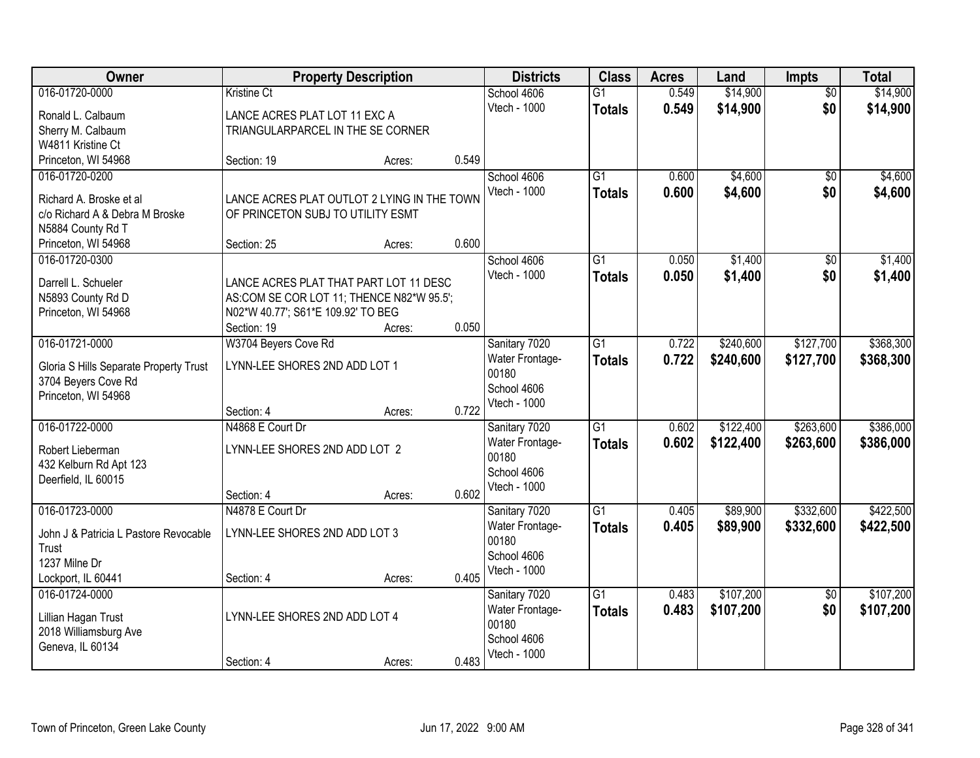| <b>Owner</b>                           |                                                                                 | <b>Property Description</b> |       | <b>Districts</b>         | <b>Class</b>    | <b>Acres</b> | Land      | Impts           | <b>Total</b> |
|----------------------------------------|---------------------------------------------------------------------------------|-----------------------------|-------|--------------------------|-----------------|--------------|-----------|-----------------|--------------|
| 016-01720-0000                         | Kristine Ct                                                                     |                             |       | School 4606              | $\overline{G1}$ | 0.549        | \$14,900  | $\overline{50}$ | \$14,900     |
| Ronald L. Calbaum                      | LANCE ACRES PLAT LOT 11 EXC A                                                   |                             |       | Vtech - 1000             | <b>Totals</b>   | 0.549        | \$14,900  | \$0             | \$14,900     |
| Sherry M. Calbaum                      | TRIANGULARPARCEL IN THE SE CORNER                                               |                             |       |                          |                 |              |           |                 |              |
| W4811 Kristine Ct                      |                                                                                 |                             |       |                          |                 |              |           |                 |              |
| Princeton, WI 54968                    | Section: 19                                                                     | Acres:                      | 0.549 |                          |                 |              |           |                 |              |
| 016-01720-0200                         |                                                                                 |                             |       | School 4606              | $\overline{G1}$ | 0.600        | \$4,600   | $\overline{50}$ | \$4,600      |
| Richard A. Broske et al                | LANCE ACRES PLAT OUTLOT 2 LYING IN THE TOWN                                     |                             |       | Vtech - 1000             | <b>Totals</b>   | 0.600        | \$4,600   | \$0             | \$4,600      |
| c/o Richard A & Debra M Broske         | OF PRINCETON SUBJ TO UTILITY ESMT                                               |                             |       |                          |                 |              |           |                 |              |
| N5884 County Rd T                      |                                                                                 |                             |       |                          |                 |              |           |                 |              |
| Princeton, WI 54968                    | Section: 25                                                                     | Acres:                      | 0.600 |                          |                 |              |           |                 |              |
| 016-01720-0300                         |                                                                                 |                             |       | School 4606              | $\overline{G1}$ | 0.050        | \$1,400   | \$0             | \$1,400      |
|                                        |                                                                                 |                             |       | Vtech - 1000             | <b>Totals</b>   | 0.050        | \$1,400   | \$0             | \$1,400      |
| Darrell L. Schueler                    | LANCE ACRES PLAT THAT PART LOT 11 DESC                                          |                             |       |                          |                 |              |           |                 |              |
| N5893 County Rd D                      | AS:COM SE COR LOT 11; THENCE N82*W 95.5';<br>N02*W 40.77'; S61*E 109.92' TO BEG |                             |       |                          |                 |              |           |                 |              |
| Princeton, WI 54968                    | Section: 19                                                                     | Acres:                      | 0.050 |                          |                 |              |           |                 |              |
| 016-01721-0000                         | W3704 Beyers Cove Rd                                                            |                             |       | Sanitary 7020            | $\overline{G1}$ | 0.722        | \$240,600 | \$127,700       | \$368,300    |
|                                        |                                                                                 |                             |       | Water Frontage-          | <b>Totals</b>   | 0.722        | \$240,600 | \$127,700       | \$368,300    |
| Gloria S Hills Separate Property Trust | LYNN-LEE SHORES 2ND ADD LOT 1                                                   |                             |       | 00180                    |                 |              |           |                 |              |
| 3704 Beyers Cove Rd                    |                                                                                 |                             |       | School 4606              |                 |              |           |                 |              |
| Princeton, WI 54968                    |                                                                                 |                             |       | Vtech - 1000             |                 |              |           |                 |              |
|                                        | Section: 4                                                                      | Acres:                      | 0.722 |                          |                 |              |           |                 |              |
| 016-01722-0000                         | N4868 E Court Dr                                                                |                             |       | Sanitary 7020            | $\overline{G1}$ | 0.602        | \$122,400 | \$263,600       | \$386,000    |
| Robert Lieberman                       | LYNN-LEE SHORES 2ND ADD LOT 2                                                   |                             |       | Water Frontage-<br>00180 | <b>Totals</b>   | 0.602        | \$122,400 | \$263,600       | \$386,000    |
| 432 Kelburn Rd Apt 123                 |                                                                                 |                             |       | School 4606              |                 |              |           |                 |              |
| Deerfield, IL 60015                    |                                                                                 |                             |       | Vtech - 1000             |                 |              |           |                 |              |
|                                        | Section: 4                                                                      | Acres:                      | 0.602 |                          |                 |              |           |                 |              |
| 016-01723-0000                         | N4878 E Court Dr                                                                |                             |       | Sanitary 7020            | $\overline{G1}$ | 0.405        | \$89,900  | \$332,600       | \$422,500    |
| John J & Patricia L Pastore Revocable  | LYNN-LEE SHORES 2ND ADD LOT 3                                                   |                             |       | Water Frontage-          | <b>Totals</b>   | 0.405        | \$89,900  | \$332,600       | \$422,500    |
| Trust                                  |                                                                                 |                             |       | 00180                    |                 |              |           |                 |              |
| 1237 Milne Dr                          |                                                                                 |                             |       | School 4606              |                 |              |           |                 |              |
| Lockport, IL 60441                     | Section: 4                                                                      | Acres:                      | 0.405 | Vtech - 1000             |                 |              |           |                 |              |
| 016-01724-0000                         |                                                                                 |                             |       | Sanitary 7020            | $\overline{G1}$ | 0.483        | \$107,200 | $\overline{50}$ | \$107,200    |
| Lillian Hagan Trust                    | LYNN-LEE SHORES 2ND ADD LOT 4                                                   |                             |       | Water Frontage-          | <b>Totals</b>   | 0.483        | \$107,200 | \$0             | \$107,200    |
| 2018 Williamsburg Ave                  |                                                                                 |                             |       | 00180                    |                 |              |           |                 |              |
| Geneva, IL 60134                       |                                                                                 |                             |       | School 4606              |                 |              |           |                 |              |
|                                        | Section: 4                                                                      | Acres:                      | 0.483 | Vtech - 1000             |                 |              |           |                 |              |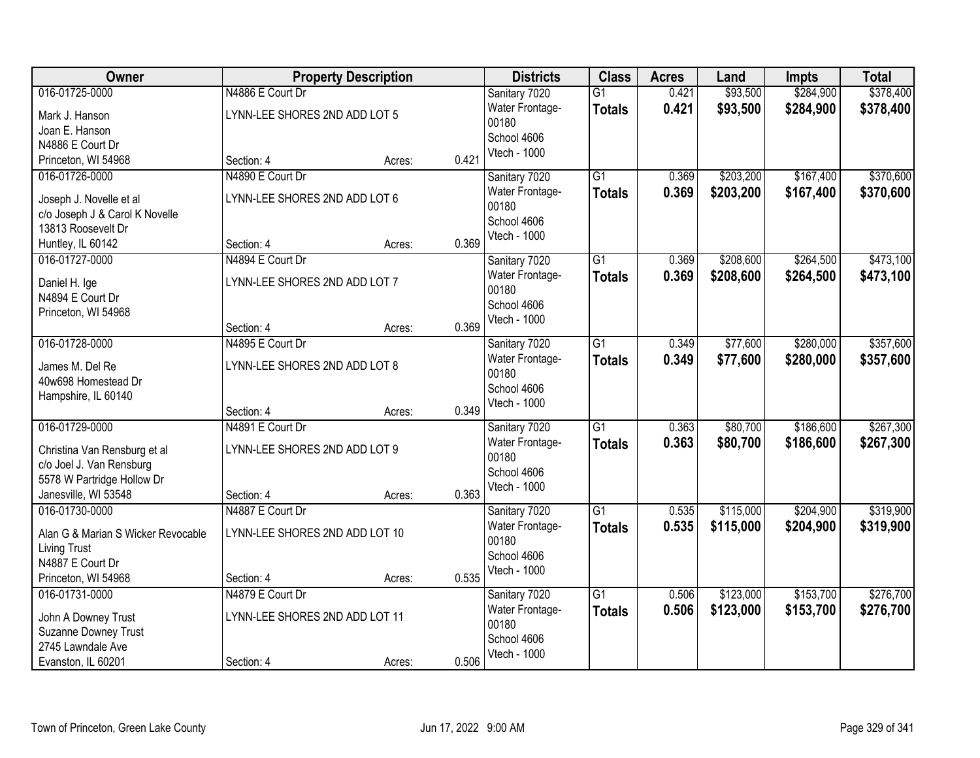| Owner                              |                                | <b>Property Description</b> |       | <b>Districts</b>     | <b>Class</b>    | <b>Acres</b> | Land      | <b>Impts</b> | <b>Total</b> |
|------------------------------------|--------------------------------|-----------------------------|-------|----------------------|-----------------|--------------|-----------|--------------|--------------|
| 016-01725-0000                     | N4886 E Court Dr               |                             |       | Sanitary 7020        | $\overline{G1}$ | 0.421        | \$93,500  | \$284,900    | \$378,400    |
| Mark J. Hanson                     | LYNN-LEE SHORES 2ND ADD LOT 5  |                             |       | Water Frontage-      | <b>Totals</b>   | 0.421        | \$93,500  | \$284,900    | \$378,400    |
| Joan E. Hanson                     |                                |                             |       | 00180                |                 |              |           |              |              |
| N4886 E Court Dr                   |                                |                             |       | School 4606          |                 |              |           |              |              |
| Princeton, WI 54968                | Section: 4                     | Acres:                      | 0.421 | Vtech - 1000         |                 |              |           |              |              |
| 016-01726-0000                     | N4890 E Court Dr               |                             |       | Sanitary 7020        | $\overline{G1}$ | 0.369        | \$203,200 | \$167,400    | \$370,600    |
| Joseph J. Novelle et al            | LYNN-LEE SHORES 2ND ADD LOT 6  |                             |       | Water Frontage-      | <b>Totals</b>   | 0.369        | \$203,200 | \$167,400    | \$370,600    |
| c/o Joseph J & Carol K Novelle     |                                |                             |       | 00180                |                 |              |           |              |              |
| 13813 Roosevelt Dr                 |                                |                             |       | School 4606          |                 |              |           |              |              |
| Huntley, IL 60142                  | Section: 4                     | Acres:                      | 0.369 | Vtech - 1000         |                 |              |           |              |              |
| 016-01727-0000                     | N4894 E Court Dr               |                             |       | Sanitary 7020        | G1              | 0.369        | \$208,600 | \$264,500    | \$473,100    |
|                                    |                                |                             |       | Water Frontage-      | <b>Totals</b>   | 0.369        | \$208,600 | \$264,500    | \$473,100    |
| Daniel H. Ige<br>N4894 E Court Dr  | LYNN-LEE SHORES 2ND ADD LOT 7  |                             |       | 00180                |                 |              |           |              |              |
| Princeton, WI 54968                |                                |                             |       | School 4606          |                 |              |           |              |              |
|                                    | Section: 4                     | Acres:                      | 0.369 | Vtech - 1000         |                 |              |           |              |              |
| 016-01728-0000                     | N4895 E Court Dr               |                             |       | Sanitary 7020        | $\overline{G1}$ | 0.349        | \$77,600  | \$280,000    | \$357,600    |
|                                    |                                |                             |       | Water Frontage-      | <b>Totals</b>   | 0.349        | \$77,600  | \$280,000    | \$357,600    |
| James M. Del Re                    | LYNN-LEE SHORES 2ND ADD LOT 8  |                             |       | 00180                |                 |              |           |              |              |
| 40w698 Homestead Dr                |                                |                             |       | School 4606          |                 |              |           |              |              |
| Hampshire, IL 60140                |                                |                             |       | Vtech - 1000         |                 |              |           |              |              |
|                                    | Section: 4                     | Acres:                      | 0.349 |                      |                 |              |           |              |              |
| 016-01729-0000                     | N4891 E Court Dr               |                             |       | Sanitary 7020        | $\overline{G1}$ | 0.363        | \$80,700  | \$186,600    | \$267,300    |
| Christina Van Rensburg et al       | LYNN-LEE SHORES 2ND ADD LOT 9  |                             |       | Water Frontage-      | <b>Totals</b>   | 0.363        | \$80,700  | \$186,600    | \$267,300    |
| c/o Joel J. Van Rensburg           |                                |                             |       | 00180<br>School 4606 |                 |              |           |              |              |
| 5578 W Partridge Hollow Dr         |                                |                             |       | Vtech - 1000         |                 |              |           |              |              |
| Janesville, WI 53548               | Section: 4                     | Acres:                      | 0.363 |                      |                 |              |           |              |              |
| 016-01730-0000                     | N4887 E Court Dr               |                             |       | Sanitary 7020        | $\overline{G1}$ | 0.535        | \$115,000 | \$204,900    | \$319,900    |
| Alan G & Marian S Wicker Revocable | LYNN-LEE SHORES 2ND ADD LOT 10 |                             |       | Water Frontage-      | <b>Totals</b>   | 0.535        | \$115,000 | \$204,900    | \$319,900    |
| <b>Living Trust</b>                |                                |                             |       | 00180                |                 |              |           |              |              |
| N4887 E Court Dr                   |                                |                             |       | School 4606          |                 |              |           |              |              |
| Princeton, WI 54968                | Section: 4                     | Acres:                      | 0.535 | Vtech - 1000         |                 |              |           |              |              |
| 016-01731-0000                     | N4879 E Court Dr               |                             |       | Sanitary 7020        | $\overline{G1}$ | 0.506        | \$123,000 | \$153,700    | \$276,700    |
| John A Downey Trust                | LYNN-LEE SHORES 2ND ADD LOT 11 |                             |       | Water Frontage-      | <b>Totals</b>   | 0.506        | \$123,000 | \$153,700    | \$276,700    |
| Suzanne Downey Trust               |                                |                             |       | 00180                |                 |              |           |              |              |
| 2745 Lawndale Ave                  |                                |                             |       | School 4606          |                 |              |           |              |              |
| Evanston, IL 60201                 | Section: 4                     | Acres:                      | 0.506 | Vtech - 1000         |                 |              |           |              |              |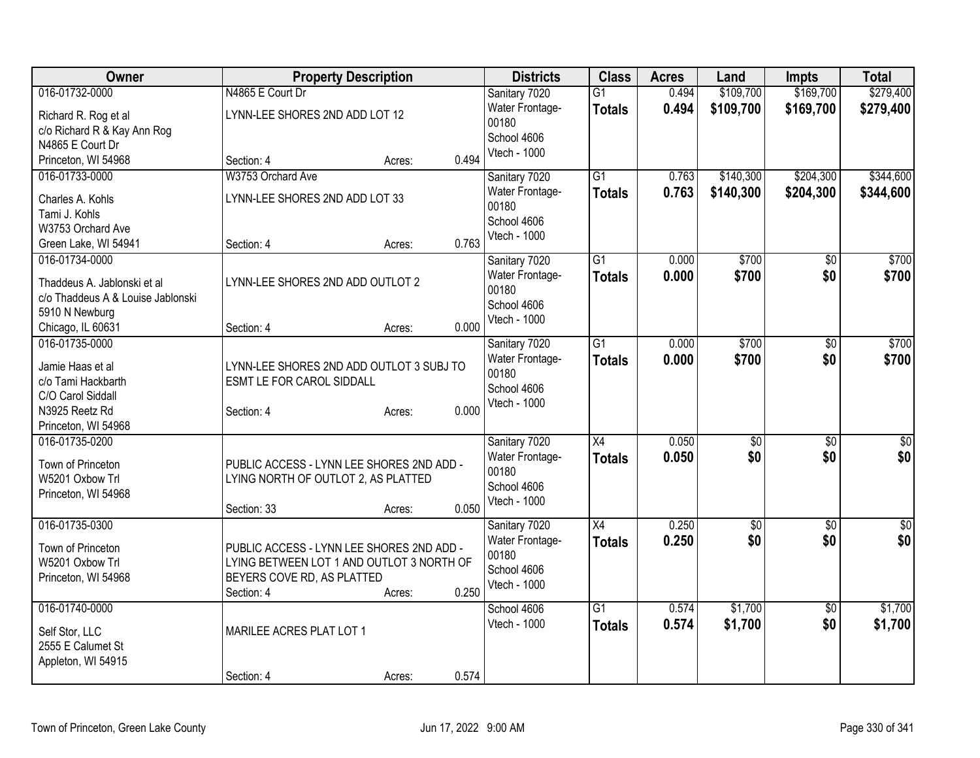| Owner                             |                                     | <b>Property Description</b>               |       | <b>Districts</b>         | <b>Class</b>    | <b>Acres</b> | Land            | Impts           | <b>Total</b>    |
|-----------------------------------|-------------------------------------|-------------------------------------------|-------|--------------------------|-----------------|--------------|-----------------|-----------------|-----------------|
| 016-01732-0000                    | N4865 E Court Dr                    |                                           |       | Sanitary 7020            | $\overline{G1}$ | 0.494        | \$109,700       | \$169,700       | \$279,400       |
| Richard R. Rog et al              | LYNN-LEE SHORES 2ND ADD LOT 12      |                                           |       | Water Frontage-          | <b>Totals</b>   | 0.494        | \$109,700       | \$169,700       | \$279,400       |
| c/o Richard R & Kay Ann Rog       |                                     |                                           |       | 00180                    |                 |              |                 |                 |                 |
| N4865 E Court Dr                  |                                     |                                           |       | School 4606              |                 |              |                 |                 |                 |
| Princeton, WI 54968               | Section: 4                          | Acres:                                    | 0.494 | Vtech - 1000             |                 |              |                 |                 |                 |
| 016-01733-0000                    | W3753 Orchard Ave                   |                                           |       | Sanitary 7020            | $\overline{G1}$ | 0.763        | \$140,300       | \$204,300       | \$344,600       |
| Charles A. Kohls                  | LYNN-LEE SHORES 2ND ADD LOT 33      |                                           |       | Water Frontage-          | <b>Totals</b>   | 0.763        | \$140,300       | \$204,300       | \$344,600       |
| Tami J. Kohls                     |                                     |                                           |       | 00180                    |                 |              |                 |                 |                 |
| W3753 Orchard Ave                 |                                     |                                           |       | School 4606              |                 |              |                 |                 |                 |
| Green Lake, WI 54941              | Section: 4                          | Acres:                                    | 0.763 | Vtech - 1000             |                 |              |                 |                 |                 |
| 016-01734-0000                    |                                     |                                           |       | Sanitary 7020            | $\overline{G1}$ | 0.000        | \$700           | \$0             | \$700           |
|                                   |                                     |                                           |       | Water Frontage-          | <b>Totals</b>   | 0.000        | \$700           | \$0             | \$700           |
| Thaddeus A. Jablonski et al       | LYNN-LEE SHORES 2ND ADD OUTLOT 2    |                                           |       | 00180                    |                 |              |                 |                 |                 |
| c/o Thaddeus A & Louise Jablonski |                                     |                                           |       | School 4606              |                 |              |                 |                 |                 |
| 5910 N Newburg                    |                                     |                                           |       | Vtech - 1000             |                 |              |                 |                 |                 |
| Chicago, IL 60631                 | Section: 4                          | Acres:                                    | 0.000 |                          |                 |              |                 |                 |                 |
| 016-01735-0000                    |                                     |                                           |       | Sanitary 7020            | $\overline{G1}$ | 0.000        | \$700           | $\overline{50}$ | \$700           |
| Jamie Haas et al                  |                                     | LYNN-LEE SHORES 2ND ADD OUTLOT 3 SUBJ TO  |       | Water Frontage-<br>00180 | <b>Totals</b>   | 0.000        | \$700           | \$0             | \$700           |
| c/o Tami Hackbarth                | ESMT LE FOR CAROL SIDDALL           |                                           |       | School 4606              |                 |              |                 |                 |                 |
| C/O Carol Siddall                 |                                     |                                           |       | Vtech - 1000             |                 |              |                 |                 |                 |
| N3925 Reetz Rd                    | Section: 4                          | Acres:                                    | 0.000 |                          |                 |              |                 |                 |                 |
| Princeton, WI 54968               |                                     |                                           |       |                          |                 |              |                 |                 |                 |
| 016-01735-0200                    |                                     |                                           |       | Sanitary 7020            | $\overline{X4}$ | 0.050        | $\overline{30}$ | $\overline{30}$ | $\overline{50}$ |
| Town of Princeton                 |                                     | PUBLIC ACCESS - LYNN LEE SHORES 2ND ADD - |       | Water Frontage-          | <b>Totals</b>   | 0.050        | \$0             | \$0             | \$0             |
| W5201 Oxbow Trl                   | LYING NORTH OF OUTLOT 2, AS PLATTED |                                           |       | 00180                    |                 |              |                 |                 |                 |
| Princeton, WI 54968               |                                     |                                           |       | School 4606              |                 |              |                 |                 |                 |
|                                   | Section: 33                         | Acres:                                    | 0.050 | Vtech - 1000             |                 |              |                 |                 |                 |
| 016-01735-0300                    |                                     |                                           |       | Sanitary 7020            | $\overline{X4}$ | 0.250        | $\overline{60}$ | $\overline{30}$ | $\overline{30}$ |
|                                   |                                     |                                           |       | Water Frontage-          | <b>Totals</b>   | 0.250        | \$0             | \$0             | \$0             |
| Town of Princeton                 |                                     | PUBLIC ACCESS - LYNN LEE SHORES 2ND ADD - |       | 00180                    |                 |              |                 |                 |                 |
| W5201 Oxbow Trl                   | BEYERS COVE RD, AS PLATTED          | LYING BETWEEN LOT 1 AND OUTLOT 3 NORTH OF |       | School 4606              |                 |              |                 |                 |                 |
| Princeton, WI 54968               | Section: 4                          | Acres:                                    | 0.250 | Vtech - 1000             |                 |              |                 |                 |                 |
| 016-01740-0000                    |                                     |                                           |       | School 4606              | $\overline{G1}$ | 0.574        | \$1,700         | $\overline{50}$ | \$1,700         |
|                                   |                                     |                                           |       | Vtech - 1000             | <b>Totals</b>   | 0.574        | \$1,700         | \$0             | \$1,700         |
| Self Stor, LLC                    | MARILEE ACRES PLAT LOT 1            |                                           |       |                          |                 |              |                 |                 |                 |
| 2555 E Calumet St                 |                                     |                                           |       |                          |                 |              |                 |                 |                 |
| Appleton, WI 54915                |                                     |                                           |       |                          |                 |              |                 |                 |                 |
|                                   | Section: 4                          | Acres:                                    | 0.574 |                          |                 |              |                 |                 |                 |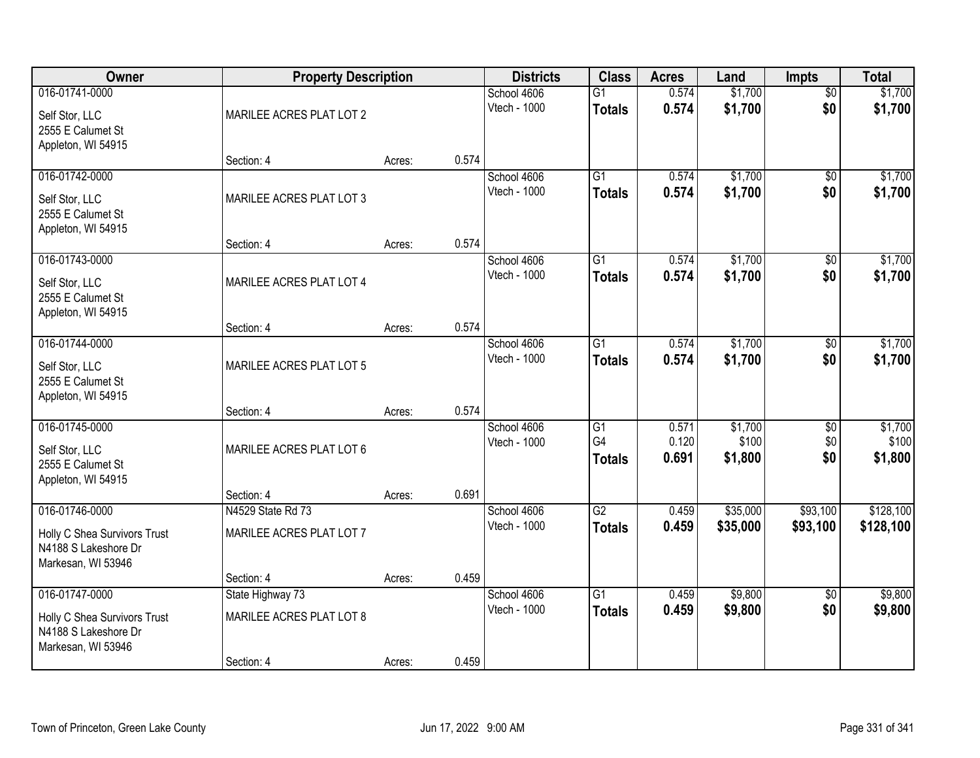| Owner                                                                                        | <b>Property Description</b>                                |        |       | <b>Districts</b>                   | <b>Class</b>                                       | <b>Acres</b>            | Land                        | Impts                         | <b>Total</b>                |
|----------------------------------------------------------------------------------------------|------------------------------------------------------------|--------|-------|------------------------------------|----------------------------------------------------|-------------------------|-----------------------------|-------------------------------|-----------------------------|
| 016-01741-0000<br>Self Stor, LLC<br>2555 E Calumet St<br>Appleton, WI 54915                  | MARILEE ACRES PLAT LOT 2                                   |        |       | School 4606<br>Vtech - 1000        | $\overline{G1}$<br><b>Totals</b>                   | 0.574<br>0.574          | \$1,700<br>\$1,700          | $\overline{50}$<br>\$0        | \$1,700<br>\$1,700          |
|                                                                                              | Section: 4                                                 | Acres: | 0.574 |                                    |                                                    |                         |                             |                               |                             |
| 016-01742-0000<br>Self Stor, LLC<br>2555 E Calumet St<br>Appleton, WI 54915                  | MARILEE ACRES PLAT LOT 3                                   |        |       | School 4606<br>Vtech - 1000        | $\overline{G1}$<br><b>Totals</b>                   | 0.574<br>0.574          | \$1,700<br>\$1,700          | $\overline{50}$<br>\$0        | \$1,700<br>\$1,700          |
| 016-01743-0000                                                                               | Section: 4                                                 | Acres: | 0.574 | School 4606                        | G1                                                 | 0.574                   | \$1,700                     | \$0                           | \$1,700                     |
| Self Stor, LLC<br>2555 E Calumet St<br>Appleton, WI 54915                                    | MARILEE ACRES PLAT LOT 4                                   |        |       | Vtech - 1000                       | <b>Totals</b>                                      | 0.574                   | \$1,700                     | \$0                           | \$1,700                     |
|                                                                                              | Section: 4                                                 | Acres: | 0.574 |                                    |                                                    |                         |                             |                               |                             |
| 016-01744-0000<br>Self Stor, LLC<br>2555 E Calumet St<br>Appleton, WI 54915                  | MARILEE ACRES PLAT LOT 5                                   |        |       | School 4606<br><b>Vtech - 1000</b> | G1<br><b>Totals</b>                                | 0.574<br>0.574          | \$1,700<br>\$1,700          | \$0<br>\$0                    | \$1,700<br>\$1,700          |
|                                                                                              | Section: 4                                                 | Acres: | 0.574 |                                    |                                                    |                         |                             |                               |                             |
| 016-01745-0000<br>Self Stor, LLC<br>2555 E Calumet St<br>Appleton, WI 54915                  | MARILEE ACRES PLAT LOT 6<br>Section: 4                     | Acres: | 0.691 | School 4606<br>Vtech - 1000        | $\overline{G1}$<br>G <sub>4</sub><br><b>Totals</b> | 0.571<br>0.120<br>0.691 | \$1,700<br>\$100<br>\$1,800 | $\overline{50}$<br>\$0<br>\$0 | \$1,700<br>\$100<br>\$1,800 |
| 016-01746-0000                                                                               | N4529 State Rd 73                                          |        |       | School 4606                        | G2                                                 | 0.459                   | \$35,000                    | \$93,100                      | \$128,100                   |
| Holly C Shea Survivors Trust<br>N4188 S Lakeshore Dr<br>Markesan, WI 53946                   | MARILEE ACRES PLAT LOT 7                                   |        |       | Vtech - 1000                       | <b>Totals</b>                                      | 0.459                   | \$35,000                    | \$93,100                      | \$128,100                   |
|                                                                                              | Section: 4                                                 | Acres: | 0.459 |                                    |                                                    |                         |                             |                               |                             |
| 016-01747-0000<br>Holly C Shea Survivors Trust<br>N4188 S Lakeshore Dr<br>Markesan, WI 53946 | State Highway 73<br>MARILEE ACRES PLAT LOT 8<br>Section: 4 | Acres: | 0.459 | School 4606<br>Vtech - 1000        | $\overline{G1}$<br><b>Totals</b>                   | 0.459<br>0.459          | \$9,800<br>\$9,800          | $\overline{50}$<br>\$0        | \$9,800<br>\$9,800          |
|                                                                                              |                                                            |        |       |                                    |                                                    |                         |                             |                               |                             |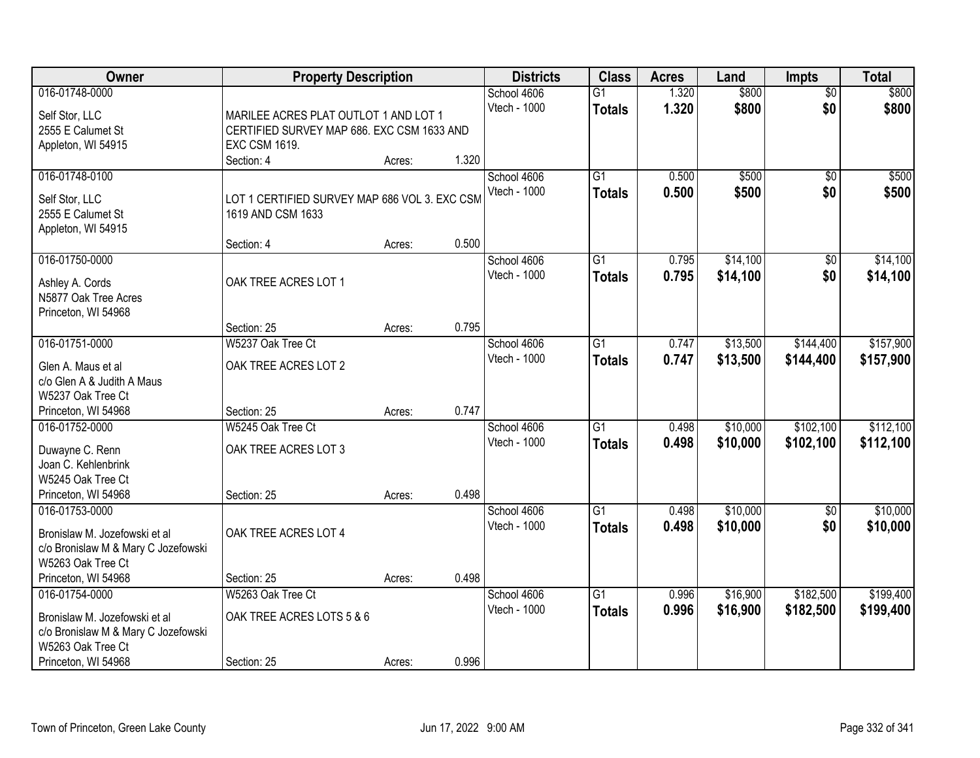| Owner                                            | <b>Property Description</b>                   |        |       | <b>Districts</b>            | <b>Class</b>                     | <b>Acres</b>   | Land           | <b>Impts</b>           | <b>Total</b>   |
|--------------------------------------------------|-----------------------------------------------|--------|-------|-----------------------------|----------------------------------|----------------|----------------|------------------------|----------------|
| 016-01748-0000<br>Self Stor, LLC                 | MARILEE ACRES PLAT OUTLOT 1 AND LOT 1         |        |       | School 4606<br>Vtech - 1000 | $\overline{G1}$<br><b>Totals</b> | 1.320<br>1.320 | \$800<br>\$800 | $\overline{50}$<br>\$0 | \$800<br>\$800 |
| 2555 E Calumet St                                | CERTIFIED SURVEY MAP 686. EXC CSM 1633 AND    |        |       |                             |                                  |                |                |                        |                |
| Appleton, WI 54915                               | <b>EXC CSM 1619.</b>                          |        |       |                             |                                  |                |                |                        |                |
|                                                  | Section: 4                                    | Acres: | 1.320 |                             |                                  |                |                |                        |                |
| 016-01748-0100                                   |                                               |        |       | School 4606                 | $\overline{G1}$                  | 0.500          | \$500          | $\overline{50}$        | \$500          |
| Self Stor, LLC                                   | LOT 1 CERTIFIED SURVEY MAP 686 VOL 3. EXC CSM |        |       | Vtech - 1000                | <b>Totals</b>                    | 0.500          | \$500          | \$0                    | \$500          |
| 2555 E Calumet St                                | 1619 AND CSM 1633                             |        |       |                             |                                  |                |                |                        |                |
| Appleton, WI 54915                               |                                               |        |       |                             |                                  |                |                |                        |                |
|                                                  | Section: 4                                    | Acres: | 0.500 |                             |                                  |                |                |                        |                |
| 016-01750-0000                                   |                                               |        |       | School 4606                 | $\overline{G1}$                  | 0.795          | \$14,100       | \$0                    | \$14,100       |
| Ashley A. Cords                                  | OAK TREE ACRES LOT 1                          |        |       | Vtech - 1000                | <b>Totals</b>                    | 0.795          | \$14,100       | \$0                    | \$14,100       |
| N5877 Oak Tree Acres                             |                                               |        |       |                             |                                  |                |                |                        |                |
| Princeton, WI 54968                              |                                               |        |       |                             |                                  |                |                |                        |                |
|                                                  | Section: 25                                   | Acres: | 0.795 |                             |                                  |                |                |                        |                |
| 016-01751-0000                                   | W5237 Oak Tree Ct                             |        |       | School 4606                 | $\overline{G1}$                  | 0.747          | \$13,500       | \$144,400              | \$157,900      |
|                                                  |                                               |        |       | Vtech - 1000                | <b>Totals</b>                    | 0.747          | \$13,500       | \$144,400              | \$157,900      |
| Glen A. Maus et al<br>c/o Glen A & Judith A Maus | OAK TREE ACRES LOT 2                          |        |       |                             |                                  |                |                |                        |                |
| W5237 Oak Tree Ct                                |                                               |        |       |                             |                                  |                |                |                        |                |
| Princeton, WI 54968                              | Section: 25                                   | Acres: | 0.747 |                             |                                  |                |                |                        |                |
| 016-01752-0000                                   | W5245 Oak Tree Ct                             |        |       | School 4606                 | $\overline{G1}$                  | 0.498          | \$10,000       | \$102,100              | \$112,100      |
|                                                  |                                               |        |       | Vtech - 1000                | Totals                           | 0.498          | \$10,000       | \$102,100              | \$112,100      |
| Duwayne C. Renn                                  | OAK TREE ACRES LOT 3                          |        |       |                             |                                  |                |                |                        |                |
| Joan C. Kehlenbrink                              |                                               |        |       |                             |                                  |                |                |                        |                |
| W5245 Oak Tree Ct                                |                                               |        |       |                             |                                  |                |                |                        |                |
| Princeton, WI 54968                              | Section: 25                                   | Acres: | 0.498 |                             |                                  |                |                |                        |                |
| 016-01753-0000                                   |                                               |        |       | School 4606                 | $\overline{G1}$                  | 0.498          | \$10,000       | \$0                    | \$10,000       |
| Bronislaw M. Jozefowski et al                    | OAK TREE ACRES LOT 4                          |        |       | Vtech - 1000                | <b>Totals</b>                    | 0.498          | \$10,000       | \$0                    | \$10,000       |
| c/o Bronislaw M & Mary C Jozefowski              |                                               |        |       |                             |                                  |                |                |                        |                |
| W5263 Oak Tree Ct                                |                                               |        |       |                             |                                  |                |                |                        |                |
| Princeton, WI 54968                              | Section: 25                                   | Acres: | 0.498 |                             |                                  |                |                |                        |                |
| 016-01754-0000                                   | W5263 Oak Tree Ct                             |        |       | School 4606                 | $\overline{G1}$                  | 0.996          | \$16,900       | \$182,500              | \$199,400      |
| Bronislaw M. Jozefowski et al                    | OAK TREE ACRES LOTS 5 & 6                     |        |       | Vtech - 1000                | <b>Totals</b>                    | 0.996          | \$16,900       | \$182,500              | \$199,400      |
| c/o Bronislaw M & Mary C Jozefowski              |                                               |        |       |                             |                                  |                |                |                        |                |
| W5263 Oak Tree Ct                                |                                               |        |       |                             |                                  |                |                |                        |                |
| Princeton, WI 54968                              | Section: 25                                   | Acres: | 0.996 |                             |                                  |                |                |                        |                |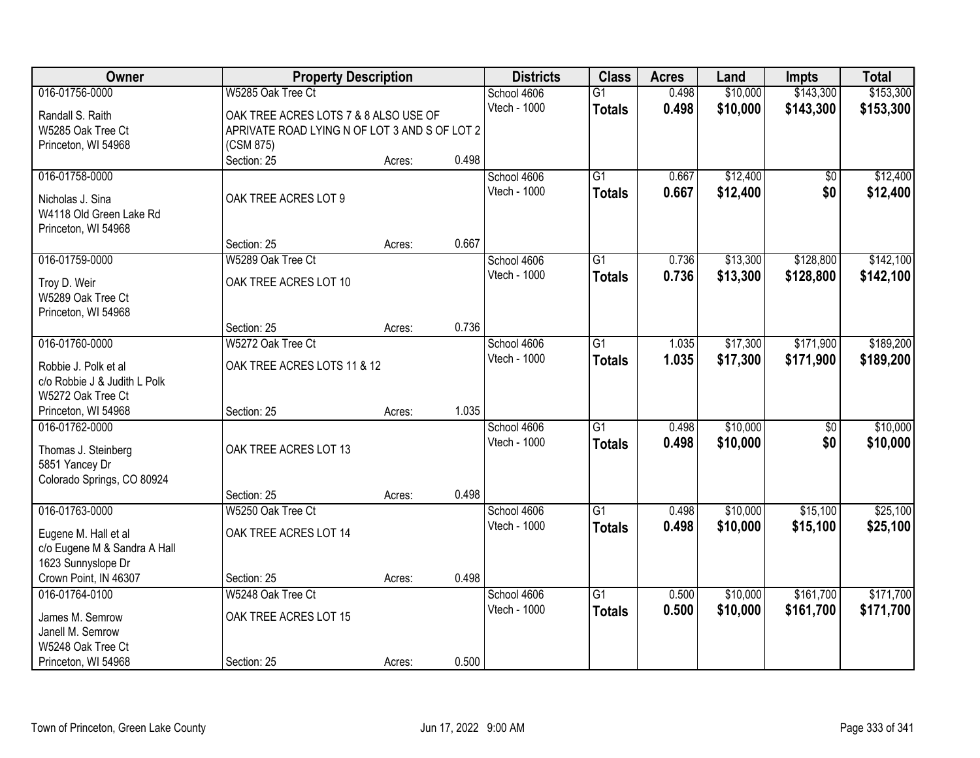| Owner                        | <b>Property Description</b>                   |        |       | <b>Districts</b> | <b>Class</b>    | <b>Acres</b> | Land     | <b>Impts</b>    | <b>Total</b> |
|------------------------------|-----------------------------------------------|--------|-------|------------------|-----------------|--------------|----------|-----------------|--------------|
| 016-01756-0000               | W5285 Oak Tree Ct                             |        |       | School 4606      | $\overline{G1}$ | 0.498        | \$10,000 | \$143,300       | \$153,300    |
| Randall S. Raith             | OAK TREE ACRES LOTS 7 & 8 ALSO USE OF         |        |       | Vtech - 1000     | <b>Totals</b>   | 0.498        | \$10,000 | \$143,300       | \$153,300    |
| W5285 Oak Tree Ct            | APRIVATE ROAD LYING N OF LOT 3 AND S OF LOT 2 |        |       |                  |                 |              |          |                 |              |
| Princeton, WI 54968          | (CSM 875)                                     |        |       |                  |                 |              |          |                 |              |
|                              | Section: 25                                   | Acres: | 0.498 |                  |                 |              |          |                 |              |
| 016-01758-0000               |                                               |        |       | School 4606      | $\overline{G1}$ | 0.667        | \$12,400 | \$0             | \$12,400     |
| Nicholas J. Sina             | OAK TREE ACRES LOT 9                          |        |       | Vtech - 1000     | <b>Totals</b>   | 0.667        | \$12,400 | \$0             | \$12,400     |
| W4118 Old Green Lake Rd      |                                               |        |       |                  |                 |              |          |                 |              |
| Princeton, WI 54968          |                                               |        |       |                  |                 |              |          |                 |              |
|                              | Section: 25                                   | Acres: | 0.667 |                  |                 |              |          |                 |              |
| 016-01759-0000               | W5289 Oak Tree Ct                             |        |       | School 4606      | G1              | 0.736        | \$13,300 | \$128,800       | \$142,100    |
|                              |                                               |        |       | Vtech - 1000     | <b>Totals</b>   | 0.736        | \$13,300 | \$128,800       | \$142,100    |
| Troy D. Weir                 | OAK TREE ACRES LOT 10                         |        |       |                  |                 |              |          |                 |              |
| W5289 Oak Tree Ct            |                                               |        |       |                  |                 |              |          |                 |              |
| Princeton, WI 54968          |                                               |        | 0.736 |                  |                 |              |          |                 |              |
| 016-01760-0000               | Section: 25<br>W5272 Oak Tree Ct              | Acres: |       | School 4606      | G1              | 1.035        | \$17,300 | \$171,900       | \$189,200    |
|                              |                                               |        |       | Vtech - 1000     |                 | 1.035        |          |                 |              |
| Robbie J. Polk et al         | OAK TREE ACRES LOTS 11 & 12                   |        |       |                  | <b>Totals</b>   |              | \$17,300 | \$171,900       | \$189,200    |
| c/o Robbie J & Judith L Polk |                                               |        |       |                  |                 |              |          |                 |              |
| W5272 Oak Tree Ct            |                                               |        |       |                  |                 |              |          |                 |              |
| Princeton, WI 54968          | Section: 25                                   | Acres: | 1.035 |                  |                 |              |          |                 |              |
| 016-01762-0000               |                                               |        |       | School 4606      | $\overline{G1}$ | 0.498        | \$10,000 | $\overline{50}$ | \$10,000     |
| Thomas J. Steinberg          | OAK TREE ACRES LOT 13                         |        |       | Vtech - 1000     | <b>Totals</b>   | 0.498        | \$10,000 | \$0             | \$10,000     |
| 5851 Yancey Dr               |                                               |        |       |                  |                 |              |          |                 |              |
| Colorado Springs, CO 80924   |                                               |        |       |                  |                 |              |          |                 |              |
|                              | Section: 25                                   | Acres: | 0.498 |                  |                 |              |          |                 |              |
| 016-01763-0000               | W5250 Oak Tree Ct                             |        |       | School 4606      | $\overline{G1}$ | 0.498        | \$10,000 | \$15,100        | \$25,100     |
| Eugene M. Hall et al         | OAK TREE ACRES LOT 14                         |        |       | Vtech - 1000     | <b>Totals</b>   | 0.498        | \$10,000 | \$15,100        | \$25,100     |
| c/o Eugene M & Sandra A Hall |                                               |        |       |                  |                 |              |          |                 |              |
| 1623 Sunnyslope Dr           |                                               |        |       |                  |                 |              |          |                 |              |
| Crown Point, IN 46307        | Section: 25                                   | Acres: | 0.498 |                  |                 |              |          |                 |              |
| 016-01764-0100               | W5248 Oak Tree Ct                             |        |       | School 4606      | $\overline{G1}$ | 0.500        | \$10,000 | \$161,700       | \$171,700    |
| James M. Semrow              | OAK TREE ACRES LOT 15                         |        |       | Vtech - 1000     | <b>Totals</b>   | 0.500        | \$10,000 | \$161,700       | \$171,700    |
| Janell M. Semrow             |                                               |        |       |                  |                 |              |          |                 |              |
| W5248 Oak Tree Ct            |                                               |        |       |                  |                 |              |          |                 |              |
| Princeton, WI 54968          | Section: 25                                   | Acres: | 0.500 |                  |                 |              |          |                 |              |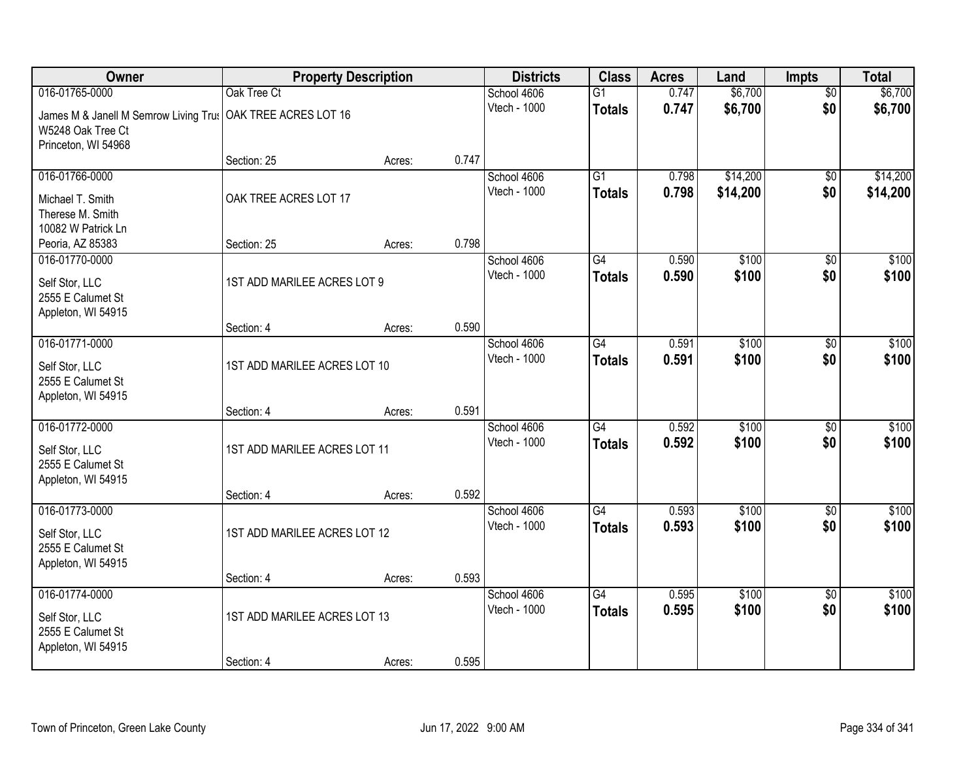| Owner                                                                             | <b>Property Description</b>  |        |       | <b>Districts</b>            | <b>Class</b>                     | <b>Acres</b>   | Land                 | <b>Impts</b>           | <b>Total</b>         |
|-----------------------------------------------------------------------------------|------------------------------|--------|-------|-----------------------------|----------------------------------|----------------|----------------------|------------------------|----------------------|
| 016-01765-0000                                                                    | Oak Tree Ct                  |        |       | School 4606                 | $\overline{G1}$                  | 0.747          | \$6,700              | $\overline{50}$        | \$6,700              |
| James M & Janell M Semrow Living Trus<br>W5248 Oak Tree Ct<br>Princeton, WI 54968 | OAK TREE ACRES LOT 16        |        |       | Vtech - 1000                | <b>Totals</b>                    | 0.747          | \$6,700              | \$0                    | \$6,700              |
|                                                                                   | Section: 25                  | Acres: | 0.747 |                             |                                  |                |                      |                        |                      |
| 016-01766-0000<br>Michael T. Smith                                                | OAK TREE ACRES LOT 17        |        |       | School 4606<br>Vtech - 1000 | $\overline{G1}$<br><b>Totals</b> | 0.798<br>0.798 | \$14,200<br>\$14,200 | $\overline{50}$<br>\$0 | \$14,200<br>\$14,200 |
| Therese M. Smith<br>10082 W Patrick Ln                                            |                              |        |       |                             |                                  |                |                      |                        |                      |
| Peoria, AZ 85383                                                                  | Section: 25                  | Acres: | 0.798 |                             |                                  |                |                      |                        |                      |
| 016-01770-0000                                                                    |                              |        |       | School 4606                 | G4                               | 0.590          | \$100                | \$0                    | \$100                |
| Self Stor, LLC<br>2555 E Calumet St<br>Appleton, WI 54915                         | 1ST ADD MARILEE ACRES LOT 9  |        |       | Vtech - 1000                | <b>Totals</b>                    | 0.590          | \$100                | \$0                    | \$100                |
|                                                                                   | Section: 4                   | Acres: | 0.590 |                             |                                  |                |                      |                        |                      |
| 016-01771-0000                                                                    |                              |        |       | School 4606                 | $\overline{G4}$                  | 0.591          | \$100                | \$0                    | \$100                |
| Self Stor, LLC<br>2555 E Calumet St<br>Appleton, WI 54915                         | 1ST ADD MARILEE ACRES LOT 10 |        |       | Vtech - 1000                | <b>Totals</b>                    | 0.591          | \$100                | \$0                    | \$100                |
|                                                                                   | Section: 4                   | Acres: | 0.591 |                             |                                  |                |                      |                        |                      |
| 016-01772-0000                                                                    |                              |        |       | School 4606<br>Vtech - 1000 | $\overline{G4}$<br><b>Totals</b> | 0.592<br>0.592 | \$100<br>\$100       | $\overline{50}$<br>\$0 | \$100<br>\$100       |
| Self Stor, LLC<br>2555 E Calumet St<br>Appleton, WI 54915                         | 1ST ADD MARILEE ACRES LOT 11 |        |       |                             |                                  |                |                      |                        |                      |
|                                                                                   | Section: 4                   | Acres: | 0.592 |                             |                                  |                |                      |                        |                      |
| 016-01773-0000                                                                    |                              |        |       | School 4606                 | $\overline{G4}$                  | 0.593          | \$100                | \$0                    | \$100                |
| Self Stor, LLC<br>2555 E Calumet St<br>Appleton, WI 54915                         | 1ST ADD MARILEE ACRES LOT 12 |        |       | Vtech - 1000                | <b>Totals</b>                    | 0.593          | \$100                | \$0                    | \$100                |
|                                                                                   | Section: 4                   | Acres: | 0.593 |                             |                                  |                |                      |                        |                      |
| 016-01774-0000                                                                    |                              |        |       | School 4606                 | $\overline{G4}$                  | 0.595          | \$100                | $\overline{50}$        | \$100                |
| Self Stor, LLC<br>2555 E Calumet St<br>Appleton, WI 54915                         | 1ST ADD MARILEE ACRES LOT 13 |        |       | Vtech - 1000                | <b>Totals</b>                    | 0.595          | \$100                | \$0                    | \$100                |
|                                                                                   | Section: 4                   | Acres: | 0.595 |                             |                                  |                |                      |                        |                      |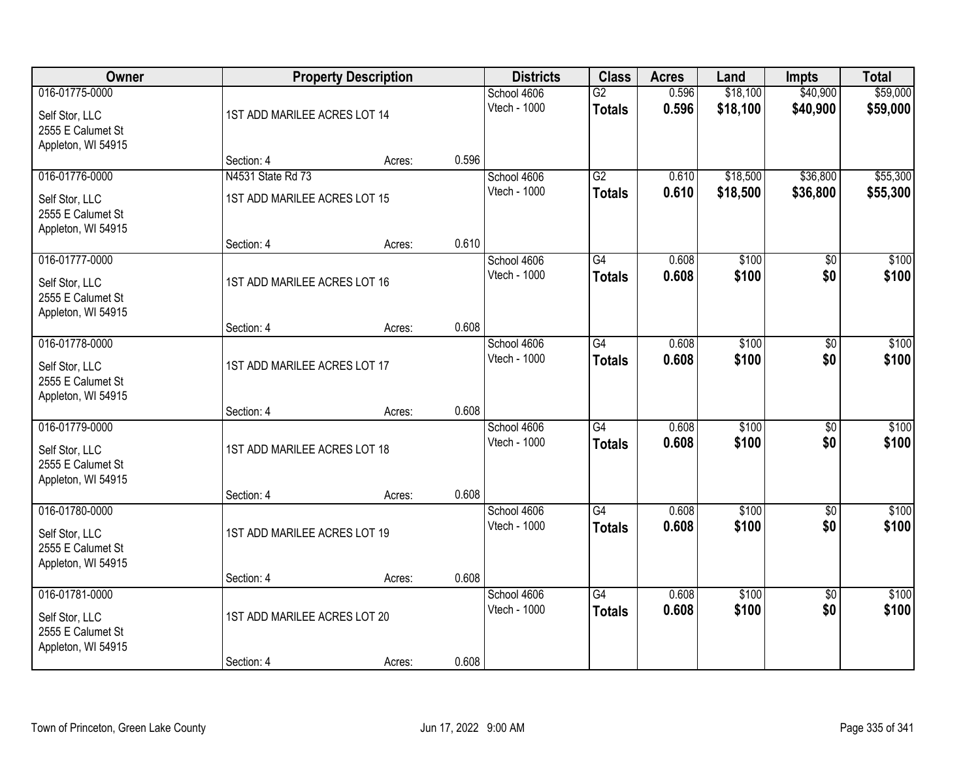| Owner                                                                       |                              | <b>Property Description</b> |       | <b>Districts</b>            | <b>Class</b>                     | <b>Acres</b>   | Land                 | <b>Impts</b>           | <b>Total</b>         |
|-----------------------------------------------------------------------------|------------------------------|-----------------------------|-------|-----------------------------|----------------------------------|----------------|----------------------|------------------------|----------------------|
| 016-01775-0000<br>Self Stor, LLC<br>2555 E Calumet St                       | 1ST ADD MARILEE ACRES LOT 14 |                             |       | School 4606<br>Vtech - 1000 | $\overline{G2}$<br><b>Totals</b> | 0.596<br>0.596 | \$18,100<br>\$18,100 | \$40,900<br>\$40,900   | \$59,000<br>\$59,000 |
| Appleton, WI 54915                                                          | Section: 4                   | Acres:                      | 0.596 |                             |                                  |                |                      |                        |                      |
| 016-01776-0000                                                              | N4531 State Rd 73            |                             |       | School 4606                 | $\overline{G2}$                  | 0.610          | \$18,500             | \$36,800               | \$55,300             |
| Self Stor, LLC<br>2555 E Calumet St<br>Appleton, WI 54915                   | 1ST ADD MARILEE ACRES LOT 15 |                             |       | Vtech - 1000                | <b>Totals</b>                    | 0.610          | \$18,500             | \$36,800               | \$55,300             |
|                                                                             | Section: 4                   | Acres:                      | 0.610 |                             |                                  |                |                      |                        |                      |
| 016-01777-0000<br>Self Stor, LLC<br>2555 E Calumet St<br>Appleton, WI 54915 | 1ST ADD MARILEE ACRES LOT 16 |                             |       | School 4606<br>Vtech - 1000 | G4<br><b>Totals</b>              | 0.608<br>0.608 | \$100<br>\$100       | \$0<br>\$0             | \$100<br>\$100       |
|                                                                             | Section: 4                   | Acres:                      | 0.608 |                             |                                  |                |                      |                        |                      |
| 016-01778-0000                                                              |                              |                             |       | School 4606<br>Vtech - 1000 | $\overline{G4}$<br><b>Totals</b> | 0.608<br>0.608 | \$100<br>\$100       | \$0<br>\$0             | \$100<br>\$100       |
| Self Stor, LLC<br>2555 E Calumet St<br>Appleton, WI 54915                   | 1ST ADD MARILEE ACRES LOT 17 |                             |       |                             |                                  |                |                      |                        |                      |
|                                                                             | Section: 4                   | Acres:                      | 0.608 |                             |                                  |                |                      |                        |                      |
| 016-01779-0000<br>Self Stor, LLC<br>2555 E Calumet St<br>Appleton, WI 54915 | 1ST ADD MARILEE ACRES LOT 18 |                             |       | School 4606<br>Vtech - 1000 | $\overline{G4}$<br><b>Totals</b> | 0.608<br>0.608 | \$100<br>\$100       | \$0<br>\$0             | \$100<br>\$100       |
|                                                                             | Section: 4                   | Acres:                      | 0.608 |                             |                                  |                |                      |                        |                      |
| 016-01780-0000<br>Self Stor, LLC<br>2555 E Calumet St                       | 1ST ADD MARILEE ACRES LOT 19 |                             |       | School 4606<br>Vtech - 1000 | $\overline{G4}$<br><b>Totals</b> | 0.608<br>0.608 | \$100<br>\$100       | $\overline{30}$<br>\$0 | \$100<br>\$100       |
| Appleton, WI 54915                                                          | Section: 4                   | Acres:                      | 0.608 |                             |                                  |                |                      |                        |                      |
| 016-01781-0000<br>Self Stor, LLC                                            | 1ST ADD MARILEE ACRES LOT 20 |                             |       | School 4606<br>Vtech - 1000 | $\overline{G4}$<br><b>Totals</b> | 0.608<br>0.608 | \$100<br>\$100       | $\overline{50}$<br>\$0 | \$100<br>\$100       |
| 2555 E Calumet St<br>Appleton, WI 54915                                     |                              |                             |       |                             |                                  |                |                      |                        |                      |
|                                                                             | Section: 4                   | Acres:                      | 0.608 |                             |                                  |                |                      |                        |                      |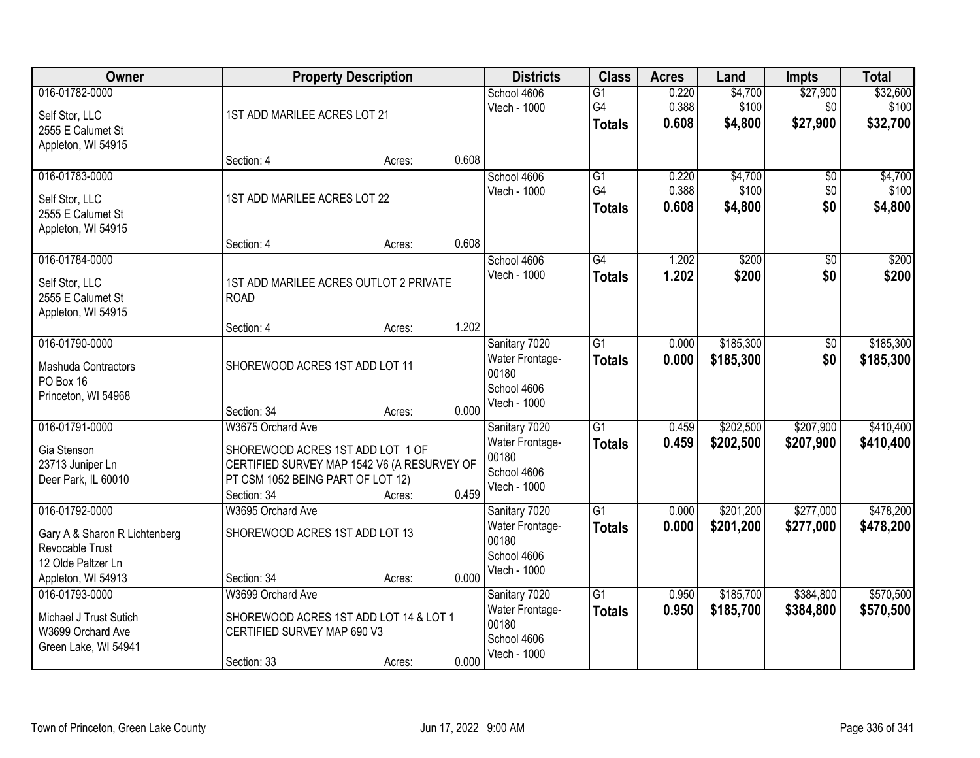| Owner                                                                                                          |                                                                                                                                     | <b>Property Description</b> |       | <b>Districts</b>                                                         | <b>Class</b>                           | <b>Acres</b>            | Land                        | <b>Impts</b>                | <b>Total</b>                  |
|----------------------------------------------------------------------------------------------------------------|-------------------------------------------------------------------------------------------------------------------------------------|-----------------------------|-------|--------------------------------------------------------------------------|----------------------------------------|-------------------------|-----------------------------|-----------------------------|-------------------------------|
| 016-01782-0000<br>Self Stor, LLC<br>2555 E Calumet St<br>Appleton, WI 54915                                    | 1ST ADD MARILEE ACRES LOT 21                                                                                                        |                             |       | School 4606<br>Vtech - 1000                                              | $\overline{G1}$<br>G4<br><b>Totals</b> | 0.220<br>0.388<br>0.608 | \$4,700<br>\$100<br>\$4,800 | \$27,900<br>\$0<br>\$27,900 | \$32,600<br>\$100<br>\$32,700 |
|                                                                                                                | Section: 4                                                                                                                          | Acres:                      | 0.608 |                                                                          |                                        |                         |                             |                             |                               |
| 016-01783-0000<br>Self Stor, LLC<br>2555 E Calumet St<br>Appleton, WI 54915                                    | 1ST ADD MARILEE ACRES LOT 22                                                                                                        |                             | 0.608 | School 4606<br>Vtech - 1000                                              | $\overline{G1}$<br>G4<br><b>Totals</b> | 0.220<br>0.388<br>0.608 | \$4,700<br>\$100<br>\$4,800 | \$0<br>\$0<br>\$0           | \$4,700<br>\$100<br>\$4,800   |
| 016-01784-0000                                                                                                 | Section: 4                                                                                                                          | Acres:                      |       | School 4606                                                              | $\overline{G4}$                        | 1.202                   | \$200                       | $\overline{50}$             | \$200                         |
| Self Stor, LLC<br>2555 E Calumet St<br>Appleton, WI 54915                                                      | 1ST ADD MARILEE ACRES OUTLOT 2 PRIVATE<br><b>ROAD</b>                                                                               |                             |       | Vtech - 1000                                                             | <b>Totals</b>                          | 1.202                   | \$200                       | \$0                         | \$200                         |
|                                                                                                                | Section: 4                                                                                                                          | Acres:                      | 1.202 |                                                                          |                                        |                         |                             |                             |                               |
| 016-01790-0000<br>Mashuda Contractors<br>PO Box 16<br>Princeton, WI 54968                                      | SHOREWOOD ACRES 1ST ADD LOT 11                                                                                                      |                             |       | Sanitary 7020<br>Water Frontage-<br>00180<br>School 4606<br>Vtech - 1000 | $\overline{G1}$<br><b>Totals</b>       | 0.000<br>0.000          | \$185,300<br>\$185,300      | $\sqrt[6]{3}$<br>\$0        | \$185,300<br>\$185,300        |
| 016-01791-0000                                                                                                 | Section: 34<br>W3675 Orchard Ave                                                                                                    | Acres:                      | 0.000 | Sanitary 7020                                                            | $\overline{G1}$                        | 0.459                   | \$202,500                   | \$207,900                   | \$410,400                     |
| Gia Stenson<br>23713 Juniper Ln<br>Deer Park, IL 60010                                                         | SHOREWOOD ACRES 1ST ADD LOT 1 OF<br>CERTIFIED SURVEY MAP 1542 V6 (A RESURVEY OF<br>PT CSM 1052 BEING PART OF LOT 12)<br>Section: 34 | Acres:                      | 0.459 | Water Frontage-<br>00180<br>School 4606<br>Vtech - 1000                  | <b>Totals</b>                          | 0.459                   | \$202,500                   | \$207,900                   | \$410,400                     |
| 016-01792-0000<br>Gary A & Sharon R Lichtenberg<br>Revocable Trust<br>12 Olde Paltzer Ln<br>Appleton, WI 54913 | W3695 Orchard Ave<br>SHOREWOOD ACRES 1ST ADD LOT 13<br>Section: 34                                                                  | Acres:                      | 0.000 | Sanitary 7020<br>Water Frontage-<br>00180<br>School 4606<br>Vtech - 1000 | $\overline{G1}$<br><b>Totals</b>       | 0.000<br>0.000          | \$201,200<br>\$201,200      | \$277,000<br>\$277,000      | \$478,200<br>\$478,200        |
| 016-01793-0000<br>Michael J Trust Sutich<br>W3699 Orchard Ave<br>Green Lake, WI 54941                          | W3699 Orchard Ave<br>SHOREWOOD ACRES 1ST ADD LOT 14 & LOT 1<br>CERTIFIED SURVEY MAP 690 V3<br>Section: 33                           | Acres:                      | 0.000 | Sanitary 7020<br>Water Frontage-<br>00180<br>School 4606<br>Vtech - 1000 | $\overline{G1}$<br><b>Totals</b>       | 0.950<br>0.950          | \$185,700<br>\$185,700      | \$384,800<br>\$384,800      | \$570,500<br>\$570,500        |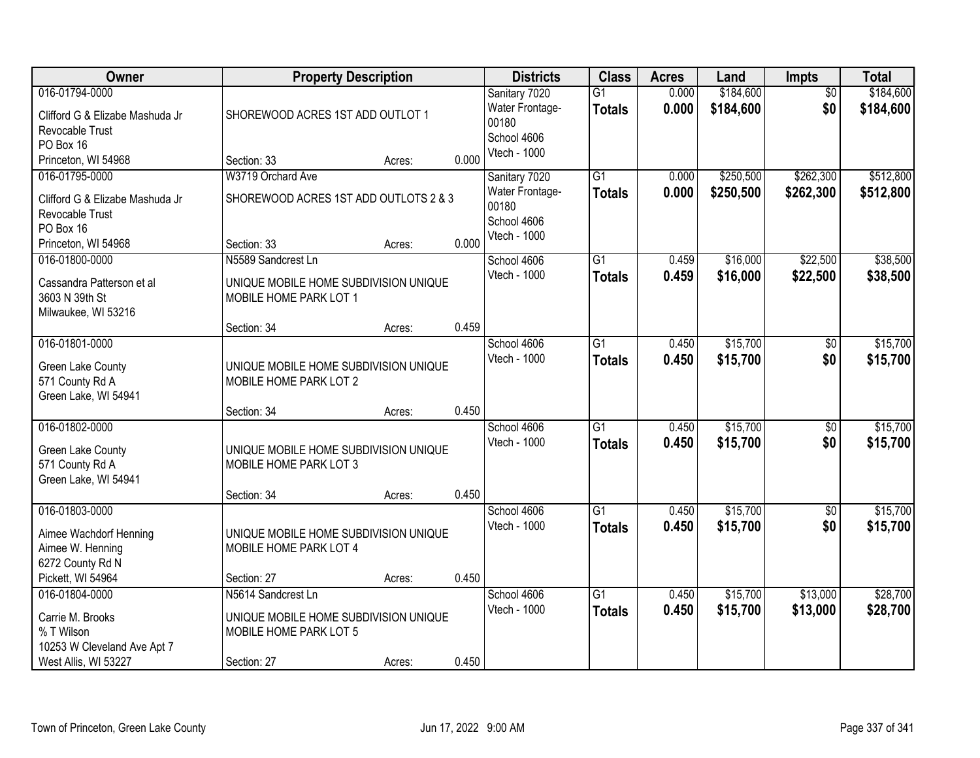| Owner                                                                                                    | <b>Property Description</b>                                                                                         |                  |       | <b>Districts</b>                                                         | <b>Class</b>                     | <b>Acres</b>   | Land                   | <b>Impts</b>           | <b>Total</b>           |
|----------------------------------------------------------------------------------------------------------|---------------------------------------------------------------------------------------------------------------------|------------------|-------|--------------------------------------------------------------------------|----------------------------------|----------------|------------------------|------------------------|------------------------|
| 016-01794-0000<br>Clifford G & Elizabe Mashuda Jr<br>Revocable Trust<br>PO Box 16                        | SHOREWOOD ACRES 1ST ADD OUTLOT 1                                                                                    |                  |       | Sanitary 7020<br>Water Frontage-<br>00180<br>School 4606                 | $\overline{G1}$<br><b>Totals</b> | 0.000<br>0.000 | \$184,600<br>\$184,600 | $\overline{50}$<br>\$0 | \$184,600<br>\$184,600 |
| Princeton, WI 54968                                                                                      | Section: 33                                                                                                         | Acres:           | 0.000 | Vtech - 1000                                                             |                                  |                |                        |                        |                        |
| 016-01795-0000<br>Clifford G & Elizabe Mashuda Jr<br>Revocable Trust<br>PO Box 16<br>Princeton, WI 54968 | W3719 Orchard Ave<br>SHOREWOOD ACRES 1ST ADD OUTLOTS 2 & 3<br>Section: 33                                           | Acres:           | 0.000 | Sanitary 7020<br>Water Frontage-<br>00180<br>School 4606<br>Vtech - 1000 | $\overline{G1}$<br><b>Totals</b> | 0.000<br>0.000 | \$250,500<br>\$250,500 | \$262,300<br>\$262,300 | \$512,800<br>\$512,800 |
| 016-01800-0000<br>Cassandra Patterson et al<br>3603 N 39th St<br>Milwaukee, WI 53216                     | N5589 Sandcrest Ln<br>UNIQUE MOBILE HOME SUBDIVISION UNIQUE<br>MOBILE HOME PARK LOT 1                               |                  |       | School 4606<br>Vtech - 1000                                              | $\overline{G1}$<br><b>Totals</b> | 0.459<br>0.459 | \$16,000<br>\$16,000   | \$22,500<br>\$22,500   | \$38,500<br>\$38,500   |
|                                                                                                          | Section: 34                                                                                                         | Acres:           | 0.459 |                                                                          |                                  |                |                        |                        |                        |
| 016-01801-0000<br>Green Lake County<br>571 County Rd A<br>Green Lake, WI 54941                           | UNIQUE MOBILE HOME SUBDIVISION UNIQUE<br>MOBILE HOME PARK LOT 2                                                     |                  |       | School 4606<br>Vtech - 1000                                              | $\overline{G1}$<br><b>Totals</b> | 0.450<br>0.450 | \$15,700<br>\$15,700   | $\sqrt[6]{}$<br>\$0    | \$15,700<br>\$15,700   |
|                                                                                                          | Section: 34                                                                                                         | Acres:           | 0.450 |                                                                          |                                  |                |                        |                        |                        |
| 016-01802-0000<br>Green Lake County<br>571 County Rd A<br>Green Lake, WI 54941                           | UNIQUE MOBILE HOME SUBDIVISION UNIQUE<br>MOBILE HOME PARK LOT 3<br>Section: 34                                      | Acres:           | 0.450 | School 4606<br>Vtech - 1000                                              | $\overline{G1}$<br><b>Totals</b> | 0.450<br>0.450 | \$15,700<br>\$15,700   | $\overline{50}$<br>\$0 | \$15,700<br>\$15,700   |
| 016-01803-0000<br>Aimee Wachdorf Henning<br>Aimee W. Henning<br>6272 County Rd N<br>Pickett, WI 54964    | UNIQUE MOBILE HOME SUBDIVISION UNIQUE<br>MOBILE HOME PARK LOT 4                                                     |                  | 0.450 | School 4606<br>Vtech - 1000                                              | $\overline{G1}$<br><b>Totals</b> | 0.450<br>0.450 | \$15,700<br>\$15,700   | $\sqrt{$0}$<br>\$0     | \$15,700<br>\$15,700   |
| 016-01804-0000<br>Carrie M. Brooks<br>% T Wilson<br>10253 W Cleveland Ave Apt 7<br>West Allis, WI 53227  | Section: 27<br>N5614 Sandcrest Ln<br>UNIQUE MOBILE HOME SUBDIVISION UNIQUE<br>MOBILE HOME PARK LOT 5<br>Section: 27 | Acres:<br>Acres: | 0.450 | School 4606<br>Vtech - 1000                                              | $\overline{G1}$<br><b>Totals</b> | 0.450<br>0.450 | \$15,700<br>\$15,700   | \$13,000<br>\$13,000   | \$28,700<br>\$28,700   |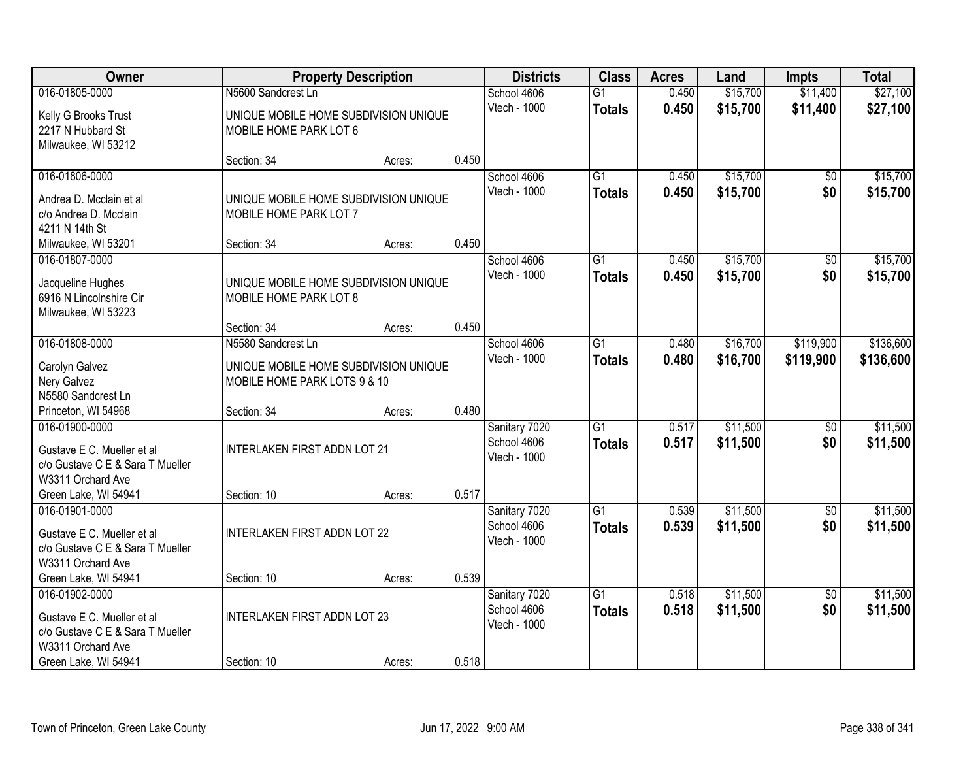| Owner                                                          |                                       | <b>Property Description</b> |       | <b>Districts</b> | <b>Class</b>    | <b>Acres</b> | Land     | <b>Impts</b>    | <b>Total</b> |
|----------------------------------------------------------------|---------------------------------------|-----------------------------|-------|------------------|-----------------|--------------|----------|-----------------|--------------|
| 016-01805-0000                                                 | N5600 Sandcrest Ln                    |                             |       | School 4606      | $\overline{G1}$ | 0.450        | \$15,700 | \$11,400        | \$27,100     |
| Kelly G Brooks Trust                                           | UNIQUE MOBILE HOME SUBDIVISION UNIQUE |                             |       | Vtech - 1000     | <b>Totals</b>   | 0.450        | \$15,700 | \$11,400        | \$27,100     |
| 2217 N Hubbard St                                              | MOBILE HOME PARK LOT 6                |                             |       |                  |                 |              |          |                 |              |
| Milwaukee, WI 53212                                            |                                       |                             |       |                  |                 |              |          |                 |              |
|                                                                | Section: 34                           | Acres:                      | 0.450 |                  |                 |              |          |                 |              |
| 016-01806-0000                                                 |                                       |                             |       | School 4606      | $\overline{G1}$ | 0.450        | \$15,700 | \$0             | \$15,700     |
| Andrea D. Mcclain et al.                                       | UNIQUE MOBILE HOME SUBDIVISION UNIQUE |                             |       | Vtech - 1000     | <b>Totals</b>   | 0.450        | \$15,700 | \$0             | \$15,700     |
| c/o Andrea D. Mcclain                                          | MOBILE HOME PARK LOT 7                |                             |       |                  |                 |              |          |                 |              |
| 4211 N 14th St                                                 |                                       |                             |       |                  |                 |              |          |                 |              |
| Milwaukee, WI 53201                                            | Section: 34                           | Acres:                      | 0.450 |                  |                 |              |          |                 |              |
| 016-01807-0000                                                 |                                       |                             |       | School 4606      | G1              | 0.450        | \$15,700 | \$0             | \$15,700     |
| Jacqueline Hughes                                              | UNIQUE MOBILE HOME SUBDIVISION UNIQUE |                             |       | Vtech - 1000     | <b>Totals</b>   | 0.450        | \$15,700 | \$0             | \$15,700     |
| 6916 N Lincolnshire Cir                                        | MOBILE HOME PARK LOT 8                |                             |       |                  |                 |              |          |                 |              |
| Milwaukee, WI 53223                                            |                                       |                             |       |                  |                 |              |          |                 |              |
|                                                                | Section: 34                           | Acres:                      | 0.450 |                  |                 |              |          |                 |              |
| 016-01808-0000                                                 | N5580 Sandcrest Ln                    |                             |       | School 4606      | $\overline{G1}$ | 0.480        | \$16,700 | \$119,900       | \$136,600    |
| Carolyn Galvez                                                 | UNIQUE MOBILE HOME SUBDIVISION UNIQUE |                             |       | Vtech - 1000     | <b>Totals</b>   | 0.480        | \$16,700 | \$119,900       | \$136,600    |
| Nery Galvez                                                    | MOBILE HOME PARK LOTS 9 & 10          |                             |       |                  |                 |              |          |                 |              |
| N5580 Sandcrest Ln                                             |                                       |                             |       |                  |                 |              |          |                 |              |
| Princeton, WI 54968                                            | Section: 34                           | Acres:                      | 0.480 |                  |                 |              |          |                 |              |
| 016-01900-0000                                                 |                                       |                             |       | Sanitary 7020    | $\overline{G1}$ | 0.517        | \$11,500 | $\overline{50}$ | \$11,500     |
|                                                                |                                       |                             |       | School 4606      | <b>Totals</b>   | 0.517        | \$11,500 | \$0             | \$11,500     |
| Gustave E C. Mueller et al<br>c/o Gustave C E & Sara T Mueller | <b>INTERLAKEN FIRST ADDN LOT 21</b>   |                             |       | Vtech - 1000     |                 |              |          |                 |              |
| W3311 Orchard Ave                                              |                                       |                             |       |                  |                 |              |          |                 |              |
| Green Lake, WI 54941                                           | Section: 10                           | Acres:                      | 0.517 |                  |                 |              |          |                 |              |
| 016-01901-0000                                                 |                                       |                             |       | Sanitary 7020    | $\overline{G1}$ | 0.539        | \$11,500 | $\overline{60}$ | \$11,500     |
|                                                                |                                       |                             |       | School 4606      | <b>Totals</b>   | 0.539        | \$11,500 | \$0             | \$11,500     |
| Gustave E C. Mueller et al                                     | <b>INTERLAKEN FIRST ADDN LOT 22</b>   |                             |       | Vtech - 1000     |                 |              |          |                 |              |
| c/o Gustave C E & Sara T Mueller<br>W3311 Orchard Ave          |                                       |                             |       |                  |                 |              |          |                 |              |
| Green Lake, WI 54941                                           | Section: 10                           | Acres:                      | 0.539 |                  |                 |              |          |                 |              |
| 016-01902-0000                                                 |                                       |                             |       | Sanitary 7020    | $\overline{G1}$ | 0.518        | \$11,500 | $\overline{50}$ | \$11,500     |
|                                                                |                                       |                             |       | School 4606      | <b>Totals</b>   | 0.518        | \$11,500 | \$0             | \$11,500     |
| Gustave E C. Mueller et al                                     | <b>INTERLAKEN FIRST ADDN LOT 23</b>   |                             |       | Vtech - 1000     |                 |              |          |                 |              |
| c/o Gustave C E & Sara T Mueller                               |                                       |                             |       |                  |                 |              |          |                 |              |
| W3311 Orchard Ave<br>Green Lake, WI 54941                      | Section: 10                           |                             | 0.518 |                  |                 |              |          |                 |              |
|                                                                |                                       | Acres:                      |       |                  |                 |              |          |                 |              |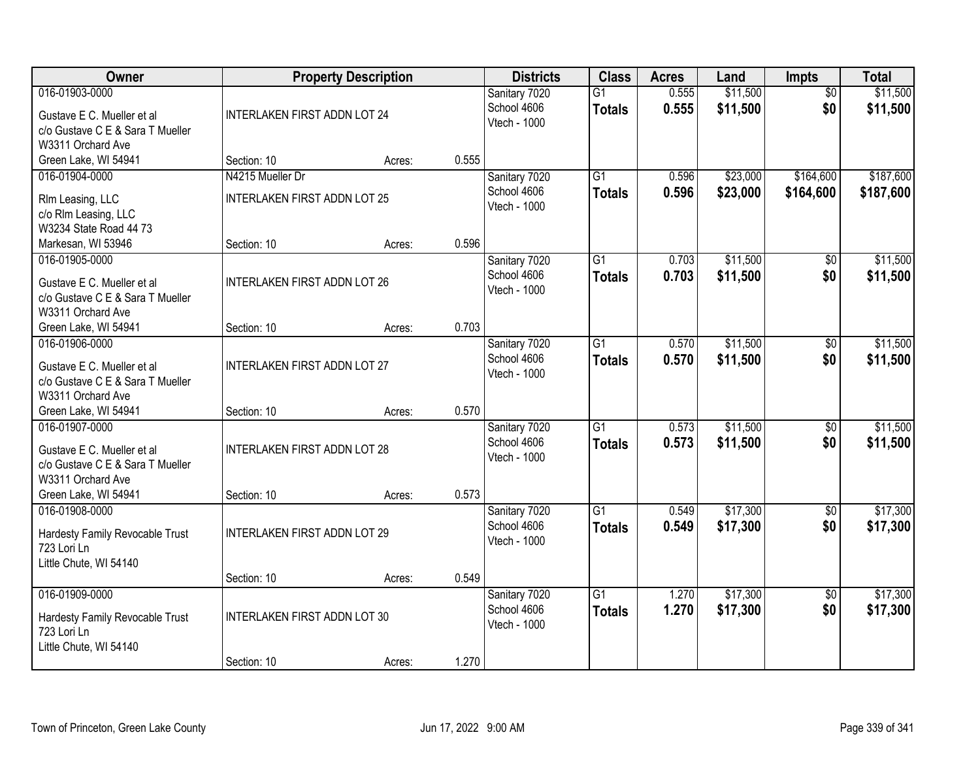| Owner                                                                                                                         |                                                         | <b>Property Description</b> |       | <b>Districts</b>                             | <b>Class</b>                     | <b>Acres</b>   | Land                 | <b>Impts</b>           | <b>Total</b>           |
|-------------------------------------------------------------------------------------------------------------------------------|---------------------------------------------------------|-----------------------------|-------|----------------------------------------------|----------------------------------|----------------|----------------------|------------------------|------------------------|
| 016-01903-0000<br>Gustave E C. Mueller et al<br>c/o Gustave C E & Sara T Mueller<br>W3311 Orchard Ave                         | <b>INTERLAKEN FIRST ADDN LOT 24</b>                     |                             |       | Sanitary 7020<br>School 4606<br>Vtech - 1000 | $\overline{G1}$<br><b>Totals</b> | 0.555<br>0.555 | \$11,500<br>\$11,500 | $\overline{50}$<br>\$0 | \$11,500<br>\$11,500   |
| Green Lake, WI 54941                                                                                                          | Section: 10                                             | Acres:                      | 0.555 |                                              |                                  |                |                      |                        |                        |
| 016-01904-0000<br>RIm Leasing, LLC<br>c/o RIm Leasing, LLC<br>W3234 State Road 44 73                                          | N4215 Mueller Dr<br><b>INTERLAKEN FIRST ADDN LOT 25</b> |                             |       | Sanitary 7020<br>School 4606<br>Vtech - 1000 | $\overline{G1}$<br><b>Totals</b> | 0.596<br>0.596 | \$23,000<br>\$23,000 | \$164,600<br>\$164,600 | \$187,600<br>\$187,600 |
| Markesan, WI 53946                                                                                                            | Section: 10                                             | Acres:                      | 0.596 |                                              |                                  |                |                      |                        |                        |
| 016-01905-0000<br>Gustave E C. Mueller et al<br>c/o Gustave C E & Sara T Mueller<br>W3311 Orchard Ave                         | <b>INTERLAKEN FIRST ADDN LOT 26</b>                     |                             |       | Sanitary 7020<br>School 4606<br>Vtech - 1000 | $\overline{G1}$<br><b>Totals</b> | 0.703<br>0.703 | \$11,500<br>\$11,500 | \$0<br>\$0             | \$11,500<br>\$11,500   |
| Green Lake, WI 54941                                                                                                          | Section: 10                                             | Acres:                      | 0.703 |                                              |                                  |                |                      |                        |                        |
| 016-01906-0000<br>Gustave E C. Mueller et al<br>c/o Gustave C E & Sara T Mueller<br>W3311 Orchard Ave                         | INTERLAKEN FIRST ADDN LOT 27                            |                             |       | Sanitary 7020<br>School 4606<br>Vtech - 1000 | $\overline{G1}$<br><b>Totals</b> | 0.570<br>0.570 | \$11,500<br>\$11,500 | $\sqrt[6]{3}$<br>\$0   | \$11,500<br>\$11,500   |
| Green Lake, WI 54941                                                                                                          | Section: 10                                             | Acres:                      | 0.570 |                                              |                                  |                |                      |                        |                        |
| 016-01907-0000<br>Gustave E C. Mueller et al<br>c/o Gustave C E & Sara T Mueller<br>W3311 Orchard Ave<br>Green Lake, WI 54941 | <b>INTERLAKEN FIRST ADDN LOT 28</b><br>Section: 10      | Acres:                      | 0.573 | Sanitary 7020<br>School 4606<br>Vtech - 1000 | $\overline{G1}$<br><b>Totals</b> | 0.573<br>0.573 | \$11,500<br>\$11,500 | $\overline{50}$<br>\$0 | \$11,500<br>\$11,500   |
| 016-01908-0000<br>Hardesty Family Revocable Trust<br>723 Lori Ln<br>Little Chute, WI 54140                                    | <b>INTERLAKEN FIRST ADDN LOT 29</b>                     |                             |       | Sanitary 7020<br>School 4606<br>Vtech - 1000 | $\overline{G1}$<br><b>Totals</b> | 0.549<br>0.549 | \$17,300<br>\$17,300 | $\sqrt{$0}$<br>\$0     | \$17,300<br>\$17,300   |
|                                                                                                                               | Section: 10                                             | Acres:                      | 0.549 |                                              |                                  |                |                      |                        |                        |
| 016-01909-0000<br>Hardesty Family Revocable Trust<br>723 Lori Ln<br>Little Chute, WI 54140                                    | <b>INTERLAKEN FIRST ADDN LOT 30</b>                     |                             |       | Sanitary 7020<br>School 4606<br>Vtech - 1000 | $\overline{G1}$<br><b>Totals</b> | 1.270<br>1.270 | \$17,300<br>\$17,300 | $\overline{50}$<br>\$0 | \$17,300<br>\$17,300   |
|                                                                                                                               | Section: 10                                             | Acres:                      | 1.270 |                                              |                                  |                |                      |                        |                        |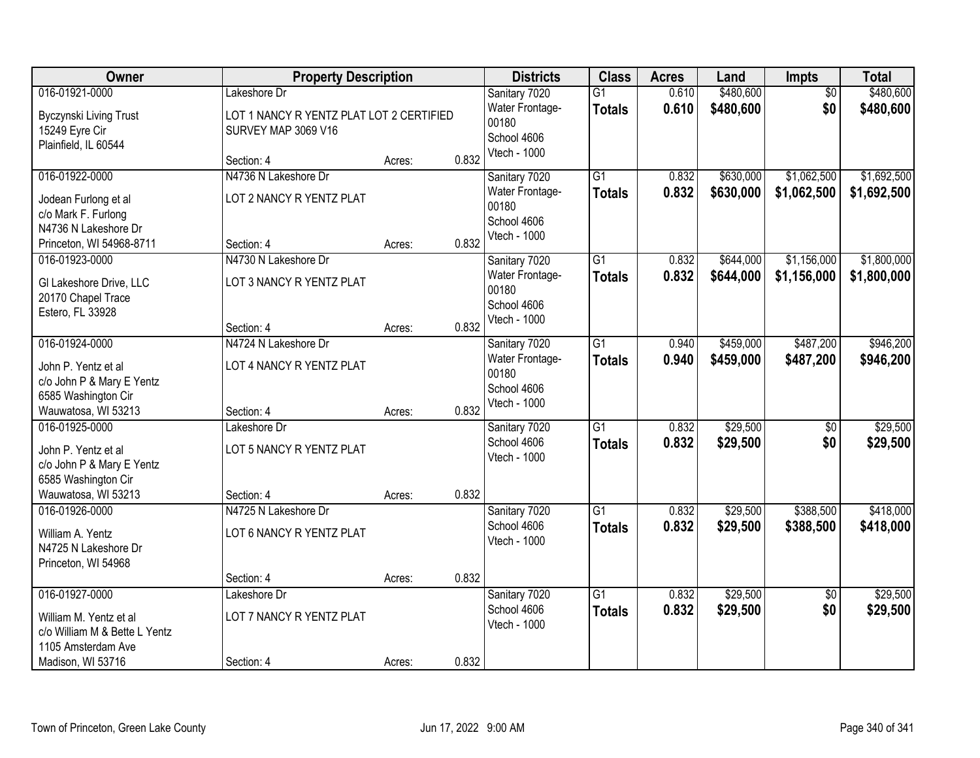| Owner                                                                                                                | <b>Property Description</b>                                                     |                  |                | <b>Districts</b>                                                         | <b>Class</b>                     | <b>Acres</b>   | Land                   | Impts                      | <b>Total</b>               |
|----------------------------------------------------------------------------------------------------------------------|---------------------------------------------------------------------------------|------------------|----------------|--------------------------------------------------------------------------|----------------------------------|----------------|------------------------|----------------------------|----------------------------|
| 016-01921-0000<br>Byczynski Living Trust<br>15249 Eyre Cir<br>Plainfield, IL 60544                                   | Lakeshore Dr<br>LOT 1 NANCY R YENTZ PLAT LOT 2 CERTIFIED<br>SURVEY MAP 3069 V16 |                  |                | Sanitary 7020<br>Water Frontage-<br>00180<br>School 4606                 | $\overline{G1}$<br><b>Totals</b> | 0.610<br>0.610 | \$480,600<br>\$480,600 | $\overline{50}$<br>\$0     | \$480,600<br>\$480,600     |
|                                                                                                                      | Section: 4                                                                      | Acres:           | 0.832          | Vtech - 1000                                                             |                                  |                |                        |                            |                            |
| 016-01922-0000<br>Jodean Furlong et al<br>c/o Mark F. Furlong<br>N4736 N Lakeshore Dr<br>Princeton, WI 54968-8711    | N4736 N Lakeshore Dr<br>LOT 2 NANCY R YENTZ PLAT<br>Section: 4                  | Acres:           | 0.832          | Sanitary 7020<br>Water Frontage-<br>00180<br>School 4606<br>Vtech - 1000 | G1<br><b>Totals</b>              | 0.832<br>0.832 | \$630,000<br>\$630,000 | \$1,062,500<br>\$1,062,500 | \$1,692,500<br>\$1,692,500 |
| 016-01923-0000<br>GI Lakeshore Drive, LLC<br>20170 Chapel Trace<br>Estero, FL 33928                                  | N4730 N Lakeshore Dr<br>LOT 3 NANCY R YENTZ PLAT<br>Section: 4                  | Acres:           | 0.832          | Sanitary 7020<br>Water Frontage-<br>00180<br>School 4606<br>Vtech - 1000 | G1<br><b>Totals</b>              | 0.832<br>0.832 | \$644,000<br>\$644,000 | \$1,156,000<br>\$1,156,000 | \$1,800,000<br>\$1,800,000 |
| 016-01924-0000<br>John P. Yentz et al<br>c/o John P & Mary E Yentz<br>6585 Washington Cir<br>Wauwatosa, WI 53213     | N4724 N Lakeshore Dr<br>LOT 4 NANCY R YENTZ PLAT<br>Section: 4                  | Acres:           | 0.832          | Sanitary 7020<br>Water Frontage-<br>00180<br>School 4606<br>Vtech - 1000 | G1<br><b>Totals</b>              | 0.940<br>0.940 | \$459,000<br>\$459,000 | \$487,200<br>\$487,200     | \$946,200<br>\$946,200     |
| 016-01925-0000<br>John P. Yentz et al<br>c/o John P & Mary E Yentz<br>6585 Washington Cir<br>Wauwatosa, WI 53213     | Lakeshore Dr<br>LOT 5 NANCY R YENTZ PLAT<br>Section: 4                          | Acres:           | 0.832          | Sanitary 7020<br>School 4606<br>Vtech - 1000                             | $\overline{G1}$<br><b>Totals</b> | 0.832<br>0.832 | \$29,500<br>\$29,500   | $\overline{50}$<br>\$0     | \$29,500<br>\$29,500       |
| 016-01926-0000<br>William A. Yentz<br>N4725 N Lakeshore Dr<br>Princeton, WI 54968                                    | N4725 N Lakeshore Dr<br>LOT 6 NANCY R YENTZ PLAT                                |                  |                | Sanitary 7020<br>School 4606<br>Vtech - 1000                             | G1<br><b>Totals</b>              | 0.832<br>0.832 | \$29,500<br>\$29,500   | \$388,500<br>\$388,500     | \$418,000<br>\$418,000     |
| 016-01927-0000<br>William M. Yentz et al<br>c/o William M & Bette L Yentz<br>1105 Amsterdam Ave<br>Madison, WI 53716 | Section: 4<br>Lakeshore Dr<br>LOT 7 NANCY R YENTZ PLAT<br>Section: 4            | Acres:<br>Acres: | 0.832<br>0.832 | Sanitary 7020<br>School 4606<br>Vtech - 1000                             | $\overline{G1}$<br><b>Totals</b> | 0.832<br>0.832 | \$29,500<br>\$29,500   | $\overline{50}$<br>\$0     | \$29,500<br>\$29,500       |